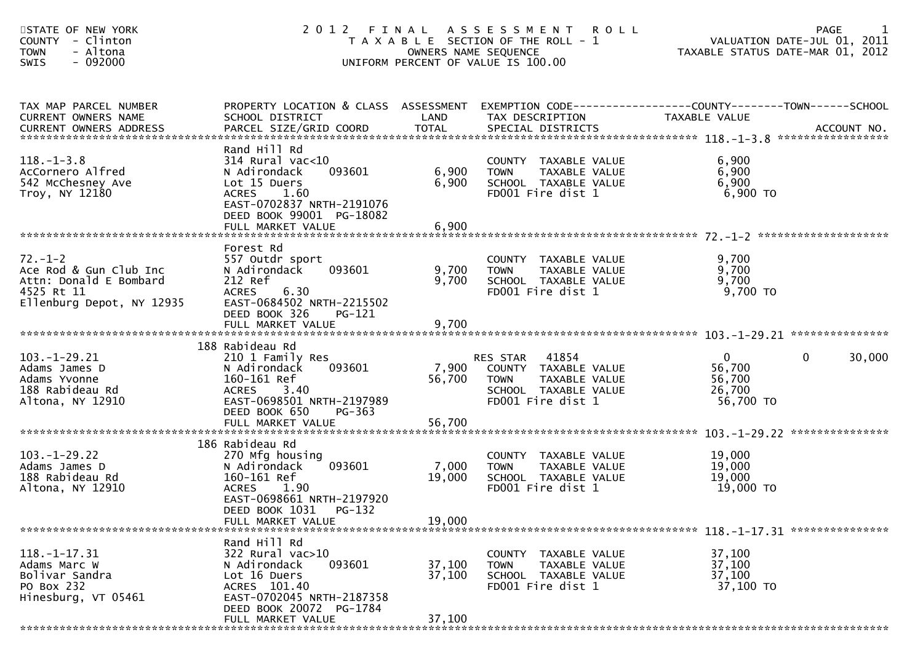| STATE OF NEW YORK<br><b>COUNTY</b><br>- Clinton<br><b>TOWN</b><br>- Altona<br>$-092000$<br>SWIS              |                                                                                                                                                                             |                            | 2012 FINAL ASSESSMENT ROLL<br>T A X A B L E SECTION OF THE ROLL - 1<br>OWNERS NAME SEQUENCE<br>UNIFORM PERCENT OF VALUE IS 100.00 | VALUATION DATE-JUL 01, 2011<br>2011 TAXABLE STATUS DATE-MAR 01, 2012 | 1<br><b>PAGE</b>       |
|--------------------------------------------------------------------------------------------------------------|-----------------------------------------------------------------------------------------------------------------------------------------------------------------------------|----------------------------|-----------------------------------------------------------------------------------------------------------------------------------|----------------------------------------------------------------------|------------------------|
| TAX MAP PARCEL NUMBER<br>CURRENT OWNERS NAME                                                                 | PROPERTY LOCATION & CLASS ASSESSMENT EXEMPTION CODE----------------COUNTY-------TOWN------SCHOOL<br>SCHOOL DISTRICT                                                         | LAND                       | TAX DESCRIPTION                                                                                                                   | TAXABLE VALUE                                                        |                        |
| $118.-1-3.8$<br>AcCornero Alfred<br>542 McChesney Ave<br>Troy, NY 12180                                      | Rand Hill Rd<br>$314$ Rural vac< $10$<br>093601<br>N Adirondack<br>Lot 15 Duers<br>ACRES 1.60<br>EAST-0702837 NRTH-2191076<br>DEED BOOK 99001 PG-18082<br>FULL MARKET VALUE | 6,900<br>6,900<br>6,900    | COUNTY TAXABLE VALUE<br><b>TOWN</b><br>TAXABLE VALUE<br>SCHOOL TAXABLE VALUE<br>FD001 Fire dist 1                                 | 6,900<br>6,900<br>6,900<br>$6,900$ TO                                |                        |
| $72. - 1 - 2$<br>Ace Rod & Gun Club Inc<br>Attn: Donald E Bombard<br>4525 Rt 11<br>Ellenburg Depot, NY 12935 | Forest Rd<br>557 Outdr sport<br>093601<br>N Adirondack<br>212 Ref<br><b>ACRES</b><br>6.30<br>EAST-0684502 NRTH-2215502<br>DEED BOOK 326<br>PG-121                           | 9,700<br>9,700             | COUNTY TAXABLE VALUE<br>TAXABLE VALUE<br><b>TOWN</b><br>SCHOOL TAXABLE VALUE<br>FD001 Fire dist 1                                 | 9,700<br>9,700<br>9,700<br>9,700 TO                                  |                        |
|                                                                                                              |                                                                                                                                                                             |                            |                                                                                                                                   |                                                                      |                        |
| $103.-1-29.21$<br>Adams James D<br>Adams Yvonne<br>188 Rabideau Rd<br>Altona, NY 12910                       | 188 Rabideau Rd<br>210 1 Family Res<br>093601<br>N Adirondack<br>160-161 Ref<br>ACRES 3.40<br>EAST-0698501 NRTH-2197989<br>DEED BOOK 650<br>PG-363                          | 7,900<br>56,700            | RES STAR 41854<br>COUNTY TAXABLE VALUE<br>TAXABLE VALUE<br><b>TOWN</b><br>SCHOOL TAXABLE VALUE<br>FD001 Fire dist 1               | $\overline{0}$<br>56,700<br>56,700<br>26,700<br>56,700 TO            | $\mathbf{0}$<br>30,000 |
|                                                                                                              | FULL MARKET VALUE                                                                                                                                                           | 56,700                     |                                                                                                                                   |                                                                      |                        |
| $103. - 1 - 29.22$<br>Adams James D<br>188 Rabideau Rd<br>Altona, NY 12910                                   | 186 Rabideau Rd<br>270 Mfg housing<br>093601<br>N Adirondack<br>160-161 Ref<br>1.90<br><b>ACRES</b><br>EAST-0698661 NRTH-2197920                                            | 7,000<br>19,000            | COUNTY TAXABLE VALUE<br>TAXABLE VALUE<br><b>TOWN</b><br>SCHOOL TAXABLE VALUE<br>FD001 Fire dist 1                                 | 19,000<br>19,000<br>19,000<br>19,000 TO                              |                        |
|                                                                                                              | DEED BOOK 1031 PG-132<br>FULL MARKET VALUE                                                                                                                                  | 19,000                     |                                                                                                                                   |                                                                      |                        |
| $118. - 1 - 17.31$<br>Adams Marc W<br>Bolivar Sandra<br>PO Box 232<br>Hinesburg, VT 05461                    | Rand Hill Rd<br>322 Rural vac>10<br>093601<br>N Adirondack<br>Lot 16 Duers<br>ACRES 101.40<br>EAST-0702045 NRTH-2187358<br>DEED BOOK 20072 PG-1784                          | 37,100<br>37,100<br>37,100 | COUNTY TAXABLE VALUE<br>TAXABLE VALUE<br><b>TOWN</b><br>SCHOOL TAXABLE VALUE<br>FD001 Fire dist 1                                 | 37,100<br>37,100<br>37,100<br>37,100 TO                              |                        |
|                                                                                                              | FULL MARKET VALUE                                                                                                                                                           |                            |                                                                                                                                   |                                                                      |                        |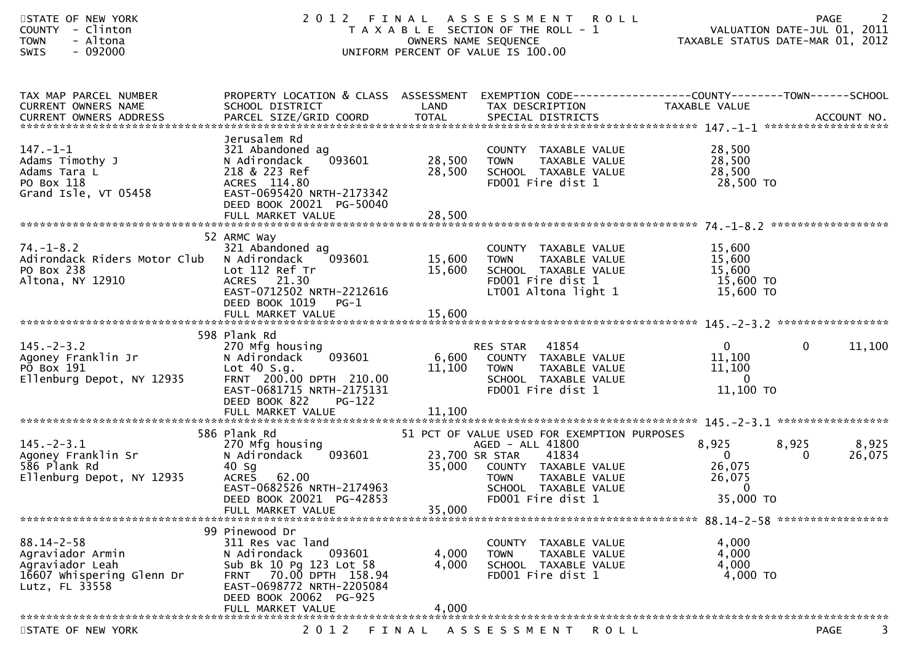| STATE OF NEW YORK<br><b>COUNTY</b><br>- Clinton<br>- Altona<br><b>TOWN</b><br>SWIS<br>$-092000$        | 2012 FINAL                                                                                                                                                               | OWNERS NAME SEQUENCE | ASSESSMENT ROLL<br>T A X A B L E SECTION OF THE ROLL - 1<br>UNIFORM PERCENT OF VALUE IS 100.00                                                                                                         | VALUATION DATE-JUL 01, 2011<br>TAXABLE STATUS DATE-MAR 01, 2012      | <b>PAGE</b>                   |
|--------------------------------------------------------------------------------------------------------|--------------------------------------------------------------------------------------------------------------------------------------------------------------------------|----------------------|--------------------------------------------------------------------------------------------------------------------------------------------------------------------------------------------------------|----------------------------------------------------------------------|-------------------------------|
| TAX MAP PARCEL NUMBER<br>CURRENT OWNERS NAME<br><b>CURRENT OWNERS ADDRESS</b>                          | PROPERTY LOCATION & CLASS ASSESSMENT EXEMPTION CODE----------------COUNTY-------TOWN------SCHOOL<br>SCHOOL DISTRICT                                                      | LAND                 | TAX DESCRIPTION                                                                                                                                                                                        | TAXABLE VALUE                                                        |                               |
| $147. - 1 - 1$<br>Adams Timothy J<br>Adams Tara L<br>PO Box 118<br>Grand Isle, VT 05458                | Jerusalem Rd<br>321 Abandoned ag<br>093601<br>N Adirondack<br>218 & 223 Ref<br>ACRES 114.80<br>EAST-0695420 NRTH-2173342<br>DEED BOOK 20021 PG-50040                     | 28,500<br>28,500     | COUNTY TAXABLE VALUE<br><b>TOWN</b><br>TAXABLE VALUE<br>SCHOOL TAXABLE VALUE<br>FD001 Fire dist 1                                                                                                      | 28,500<br>28,500<br>28,500<br>28,500 TO                              |                               |
|                                                                                                        |                                                                                                                                                                          |                      |                                                                                                                                                                                                        |                                                                      |                               |
| $74. - 1 - 8.2$<br>Adirondack Riders Motor Club<br>PO Box 238<br>Altona, NY 12910                      | 52 ARMC Way<br>321 Abandoned ag<br>093601<br>N Adirondack<br>Lot 112 Ref Tr<br><b>ACRES</b><br>21.30<br>EAST-0712502 NRTH-2212616<br>DEED BOOK 1019<br>PG-1              | 15,600<br>15,600     | COUNTY TAXABLE VALUE<br>TAXABLE VALUE<br><b>TOWN</b><br>SCHOOL TAXABLE VALUE<br>FD001 Fire dist 1<br>LT001 Altona light 1                                                                              | 15,600<br>15,600<br>15,600<br>15,600 TO<br>15,600 TO                 |                               |
|                                                                                                        | 598 Plank Rd                                                                                                                                                             |                      |                                                                                                                                                                                                        |                                                                      |                               |
| $145. - 2 - 3.2$<br>Agoney Franklin Jr<br>PO Box 191<br>Ellenburg Depot, NY 12935                      | 270 Mfg housing<br>093601<br>N Adirondack<br>Lot $40 S.g.$<br>FRNT 200.00 DPTH 210.00<br>EAST-0681715 NRTH-2175131<br>DEED BOOK 822<br><b>PG-122</b>                     | 6,600<br>11,100      | 41854<br>RES STAR<br>COUNTY TAXABLE VALUE<br><b>TOWN</b><br>TAXABLE VALUE<br>SCHOOL TAXABLE VALUE<br>FD001 Fire dist 1                                                                                 | $\mathbf{0}$<br>11,100<br>11,100<br>$\overline{0}$<br>11,100 TO      | $\mathbf{0}$<br>11,100        |
|                                                                                                        | 586 Plank Rd                                                                                                                                                             |                      |                                                                                                                                                                                                        |                                                                      |                               |
| $145. - 2 - 3.1$<br>Agoney Franklin Sr<br>586 Plank Rd<br>Ellenburg Depot, NY 12935                    | 270 Mfg housing<br>093601<br>N Adirondack<br>$40$ Sg<br><b>ACRES</b><br>62.00<br>EAST-0682526 NRTH-2174963<br>DEED BOOK 20021 PG-42853<br>FULL MARKET VALUE              | 35,000               | 51 PCT OF VALUE USED FOR EXEMPTION PURPOSES<br>AGED - ALL 41800<br>23,700 SR STAR<br>41834<br>35,000 COUNTY TAXABLE VALUE<br><b>TOWN</b><br>TAXABLE VALUE<br>SCHOOL TAXABLE VALUE<br>FD001 Fire dist 1 | 8,925<br>$\mathbf 0$<br>26,075<br>26,075<br>$\mathbf 0$<br>35,000 TO | 8,925<br>8,925<br>0<br>26,075 |
|                                                                                                        |                                                                                                                                                                          |                      |                                                                                                                                                                                                        |                                                                      |                               |
| $88.14 - 2 - 58$<br>Agraviador Armin<br>Agraviador Leah<br>16607 whispering Glenn Dr<br>Lutz, FL 33558 | 99 Pinewood Dr<br>311 Res vac land<br>093601<br>N Adirondack<br>Sub Bk 10 Pg 123 Lot 58<br>FRNT 70.00 DPTH 158.94<br>EAST-0698772 NRTH-2205084<br>DEED BOOK 20062 PG-925 | 4,000<br>4,000       | COUNTY TAXABLE VALUE<br><b>TOWN</b><br>TAXABLE VALUE<br>SCHOOL TAXABLE VALUE<br>FD001 Fire dist 1                                                                                                      | 4,000<br>4,000<br>4,000<br>4,000 TO                                  |                               |
|                                                                                                        | FULL MARKET VALUE                                                                                                                                                        | 4,000                |                                                                                                                                                                                                        |                                                                      |                               |
| STATE OF NEW YORK                                                                                      | 2 0 1 2                                                                                                                                                                  | FINAL                | A S S E S S M E N T<br>ROLL                                                                                                                                                                            |                                                                      | PAGE                          |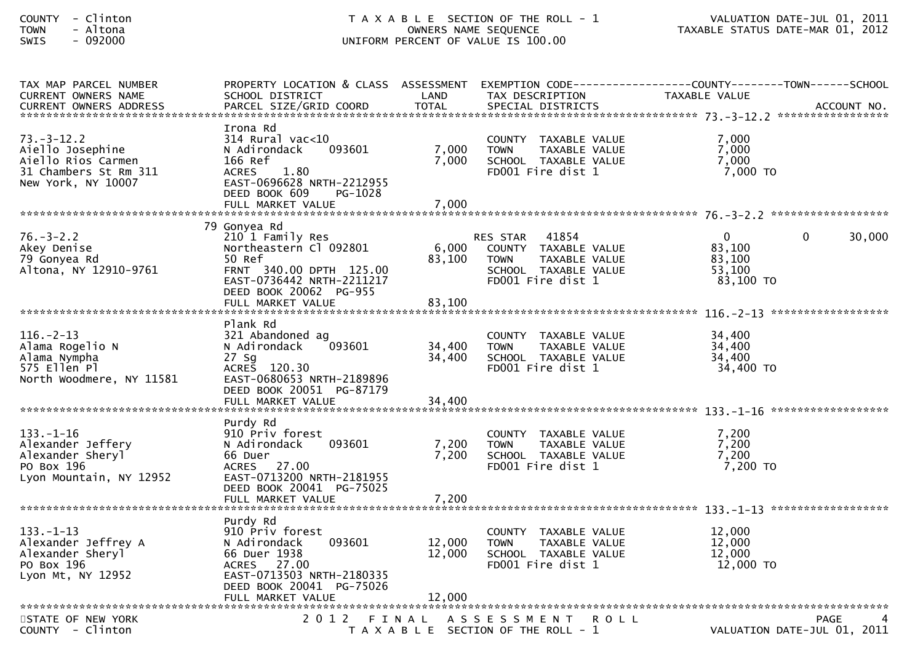| TAX MAP PARCEL NUMBER<br><b>CURRENT OWNERS NAME</b><br><b>CURRENT OWNERS ADDRESS</b>              | PROPERTY LOCATION & CLASS ASSESSMENT<br>SCHOOL DISTRICT<br>PARCEL SIZE/GRID COORD                                                                             | LAND<br><b>TOTAL</b>      | EXEMPTION CODE--<br>TAX DESCRIPTION<br>SPECIAL DISTRICTS                                                                      | ----------------COUNTY--------TOWN------SCHOOL<br>TAXABLE VALUE | ACCOUNT NO.                                |
|---------------------------------------------------------------------------------------------------|---------------------------------------------------------------------------------------------------------------------------------------------------------------|---------------------------|-------------------------------------------------------------------------------------------------------------------------------|-----------------------------------------------------------------|--------------------------------------------|
| $73. - 3 - 12.2$<br>Aiello Josephine<br>Aiello Rios Carmen<br>31 Chambers St Rm 311               | Irona Rd<br>314 Rural vac<10<br>093601<br>N Adirondack<br>166 Ref<br>1.80<br><b>ACRES</b>                                                                     | 7,000<br>7,000            | COUNTY TAXABLE VALUE<br>TAXABLE VALUE<br><b>TOWN</b><br>SCHOOL TAXABLE VALUE<br>FD001 Fire dist 1                             | 7.000<br>7.000<br>7,000<br>$7,000$ TO                           |                                            |
| New York, NY 10007                                                                                | EAST-0696628 NRTH-2212955<br>DEED BOOK 609<br>PG-1028<br>FULL MARKET VALUE                                                                                    | 7,000                     |                                                                                                                               |                                                                 |                                            |
|                                                                                                   | 79 Gonyea Rd                                                                                                                                                  |                           |                                                                                                                               |                                                                 |                                            |
| $76. - 3 - 2.2$<br>Akey Denise<br>79 Gonyea Rd<br>Altona, NY 12910-9761                           | 210 1 Family Res<br>Northeastern Cl 092801<br>50 Ref<br>FRNT 340.00 DPTH 125.00<br>EAST-0736442 NRTH-2211217<br>DEED BOOK 20062 PG-955<br>FULL MARKET VALUE   | 6,000<br>83,100<br>83,100 | <b>RES STAR</b><br>41854<br>COUNTY TAXABLE VALUE<br><b>TOWN</b><br>TAXABLE VALUE<br>SCHOOL TAXABLE VALUE<br>FD001 Fire dist 1 | $\mathbf{0}$<br>83,100<br>83,100<br>53,100<br>83,100 TO         | 30,000<br>$\Omega$                         |
|                                                                                                   |                                                                                                                                                               |                           |                                                                                                                               |                                                                 |                                            |
| $116. - 2 - 13$<br>Alama Rogelio N<br>Alama Nympha<br>575 Ellen Pl<br>North Woodmere, NY 11581    | Plank Rd<br>321 Abandoned ag<br>N Adirondack<br>093601<br>27 Sg<br>ACRES 120.30<br>EAST-0680653 NRTH-2189896<br>DEED BOOK 20051 PG-87179                      | 34,400<br>34,400          | COUNTY TAXABLE VALUE<br><b>TOWN</b><br>TAXABLE VALUE<br>SCHOOL TAXABLE VALUE<br>FD001 Fire dist 1                             | 34,400<br>34,400<br>34,400<br>34,400 TO                         |                                            |
|                                                                                                   | FULL MARKET VALUE                                                                                                                                             | 34,400                    |                                                                                                                               |                                                                 |                                            |
|                                                                                                   |                                                                                                                                                               |                           |                                                                                                                               |                                                                 | ******************                         |
| $133. - 1 - 16$<br>Alexander Jeffery<br>Alexander Sheryl<br>PO Box 196<br>Lyon Mountain, NY 12952 | Purdy Rd<br>910 Priv forest<br>093601<br>N Adirondack<br>66 Duer<br>ACRES 27.00<br>EAST-0713200 NRTH-2181955<br>DEED BOOK 20041 PG-75025<br>FULL MARKET VALUE | 7,200<br>7,200<br>7,200   | COUNTY TAXABLE VALUE<br>TAXABLE VALUE<br><b>TOWN</b><br>SCHOOL TAXABLE VALUE<br>FD001 Fire dist 1                             | 7,200<br>7,200<br>7,200<br>$7,200$ TO                           |                                            |
|                                                                                                   |                                                                                                                                                               |                           |                                                                                                                               |                                                                 |                                            |
| $133. - 1 - 13$<br>Alexander Jeffrey A<br>Alexander Sheryl<br>PO Box 196<br>Lyon Mt, NY 12952     | Purdy Rd<br>910 Priv forest<br>093601<br>N Adirondack<br>66 Duer 1938<br>ACRES 27.00<br>EAST-0713503 NRTH-2180335<br>DEED BOOK 20041 PG-75026                 | 12,000<br>12,000          | COUNTY TAXABLE VALUE<br><b>TOWN</b><br>TAXABLE VALUE<br>SCHOOL TAXABLE VALUE<br>FD001 Fire dist 1                             | 12,000<br>12,000<br>12,000<br>12,000 TO                         |                                            |
|                                                                                                   | FULL MARKET VALUE                                                                                                                                             | 12,000                    |                                                                                                                               |                                                                 |                                            |
| STATE OF NEW YORK<br>COUNTY - Clinton                                                             | 2012                                                                                                                                                          | FINAL                     | A S S E S S M E N T<br><b>ROLL</b><br>T A X A B L E SECTION OF THE ROLL - 1                                                   |                                                                 | <b>PAGE</b><br>VALUATION DATE-JUL 01, 2011 |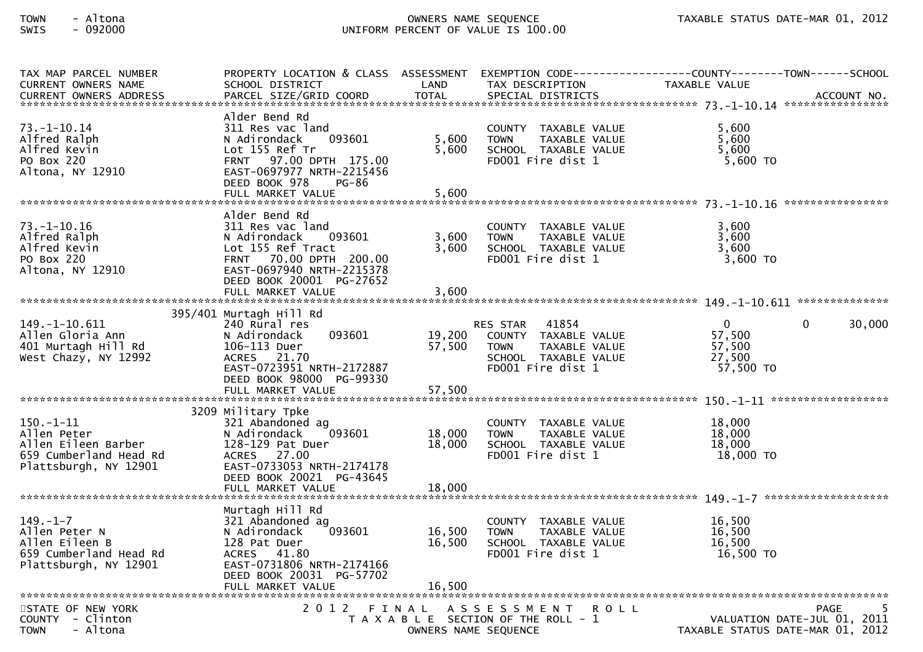| TAX MAP PARCEL NUMBER         | PROPERTY LOCATION & CLASS ASSESSMENT |                      |                                       |                                  |
|-------------------------------|--------------------------------------|----------------------|---------------------------------------|----------------------------------|
| <b>CURRENT OWNERS NAME</b>    | SCHOOL DISTRICT                      | LAND                 | TAX DESCRIPTION                       | TAXABLE VALUE                    |
| <b>CURRENT OWNERS ADDRESS</b> | PARCEL SIZE/GRID COORD               | <b>TOTAL</b>         | SPECIAL DISTRICTS                     | ACCOUNT NO.                      |
|                               |                                      |                      |                                       |                                  |
|                               | Alder Bend Rd                        |                      |                                       |                                  |
| $73. - 1 - 10.14$             | 311 Res vac land                     |                      | COUNTY TAXABLE VALUE                  | 5,600                            |
| Alfred Ralph                  | N Adirondack<br>093601               | 5,600                | <b>TOWN</b><br>TAXABLE VALUE          | 5,600                            |
| Alfred Kevin                  | Lot 155 Ref Tr                       | 5,600                | SCHOOL TAXABLE VALUE                  | 5,600                            |
| PO Box 220                    | FRNT 97.00 DPTH 175.00               |                      | FD001 Fire dist 1                     | $5,600$ TO                       |
| Altona, NY 12910              | EAST-0697977 NRTH-2215456            |                      |                                       |                                  |
|                               | DEED BOOK 978<br>PG-86               |                      |                                       |                                  |
|                               | FULL MARKET VALUE                    | 5,600                |                                       |                                  |
|                               |                                      |                      |                                       |                                  |
|                               | Alder Bend Rd                        |                      |                                       |                                  |
| $73. - 1 - 10.16$             | 311 Res vac land                     |                      | COUNTY TAXABLE VALUE                  | 3,600                            |
| Alfred Ralph                  | N Adirondack<br>093601               | 3,600                | TAXABLE VALUE<br><b>TOWN</b>          | 3,600                            |
| Alfred Kevin                  | Lot 155 Ref Tract                    | 3.600                | SCHOOL TAXABLE VALUE                  | 3,600                            |
| PO Box 220                    | FRNT 70.00 DPTH 200.00               |                      | FD001 Fire dist 1                     | 3,600 TO                         |
| Altona, NY 12910              | EAST-0697940 NRTH-2215378            |                      |                                       |                                  |
|                               | DEED BOOK 20001 PG-27652             |                      |                                       |                                  |
|                               |                                      |                      |                                       |                                  |
|                               | FULL MARKET VALUE                    | 3,600                |                                       |                                  |
|                               |                                      |                      |                                       |                                  |
|                               | 395/401 Murtagh Hill Rd              |                      |                                       |                                  |
| 149. -1-10. 611               | 240 Rural res                        |                      | 41854<br><b>RES STAR</b>              | $\Omega$<br>30,000<br>0          |
| Allen Gloria Ann              | N Adirondack<br>093601               | 19,200               | COUNTY TAXABLE VALUE                  | 57,500                           |
| 401 Murtagh Hill Rd           | 106-113 Duer                         | 57,500               | TAXABLE VALUE<br><b>TOWN</b>          | 57,500                           |
| West Chazy, NY 12992          | ACRES 21.70                          |                      | SCHOOL TAXABLE VALUE                  | 27,500                           |
|                               | EAST-0723951 NRTH-2172887            |                      | FD001 Fire dist 1                     | 57,500 TO                        |
|                               | DEED BOOK 98000 PG-99330             |                      |                                       |                                  |
|                               | FULL MARKET VALUE                    | 57,500               |                                       |                                  |
|                               |                                      |                      |                                       |                                  |
|                               | 3209 Military Tpke                   |                      |                                       |                                  |
| $150. - 1 - 11$               | 321 Abandoned ag                     |                      | COUNTY TAXABLE VALUE                  | 18,000                           |
| Allen Peter                   | N Adirondack<br>093601               | 18,000               | <b>TOWN</b><br>TAXABLE VALUE          | 18,000                           |
| Allen Eileen Barber           | 128-129 Pat Duer                     | 18,000               | SCHOOL TAXABLE VALUE                  | 18,000                           |
| 659 Cumberland Head Rd        | ACRES 27.00                          |                      | FD001 Fire dist 1                     | 18,000 TO                        |
| Plattsburgh, NY 12901         | EAST-0733053 NRTH-2174178            |                      |                                       |                                  |
|                               | DEED BOOK 20021 PG-43645             |                      |                                       |                                  |
|                               | FULL MARKET VALUE                    | 18,000               |                                       |                                  |
|                               |                                      |                      |                                       | *******************              |
|                               | Murtagh Hill Rd                      |                      |                                       |                                  |
| $149. - 1 - 7$                |                                      |                      |                                       | 16,500                           |
|                               | 321 Abandoned ag                     |                      | COUNTY TAXABLE VALUE                  |                                  |
| Allen Peter N                 | 093601<br>N Adirondack               | 16,500               | <b>TOWN</b><br>TAXABLE VALUE          | 16,500                           |
| Allen Eileen B                | 128 Pat Duer                         | 16.500               | SCHOOL TAXABLE VALUE                  | 16.500                           |
| 659 Cumberland Head Rd        | 41.80<br><b>ACRES</b>                |                      | FD001 Fire dist 1                     | 16,500 TO                        |
| Plattsburgh, NY 12901         | EAST-0731806 NRTH-2174166            |                      |                                       |                                  |
|                               | DEED BOOK 20031 PG-57702             |                      |                                       |                                  |
|                               | FULL MARKET VALUE                    | 16.500               |                                       |                                  |
|                               |                                      |                      |                                       |                                  |
| STATE OF NEW YORK             |                                      |                      | 2012 FINAL ASSESSMENT<br>R O L L      | 5<br>PAGE                        |
| COUNTY - Clinton              |                                      |                      | T A X A B L E SECTION OF THE ROLL - 1 | VALUATION DATE-JUL 01, 2011      |
| <b>TOWN</b><br>- Altona       |                                      | OWNERS NAME SEQUENCE |                                       | TAXABLE STATUS DATE-MAR 01, 2012 |
|                               |                                      |                      |                                       |                                  |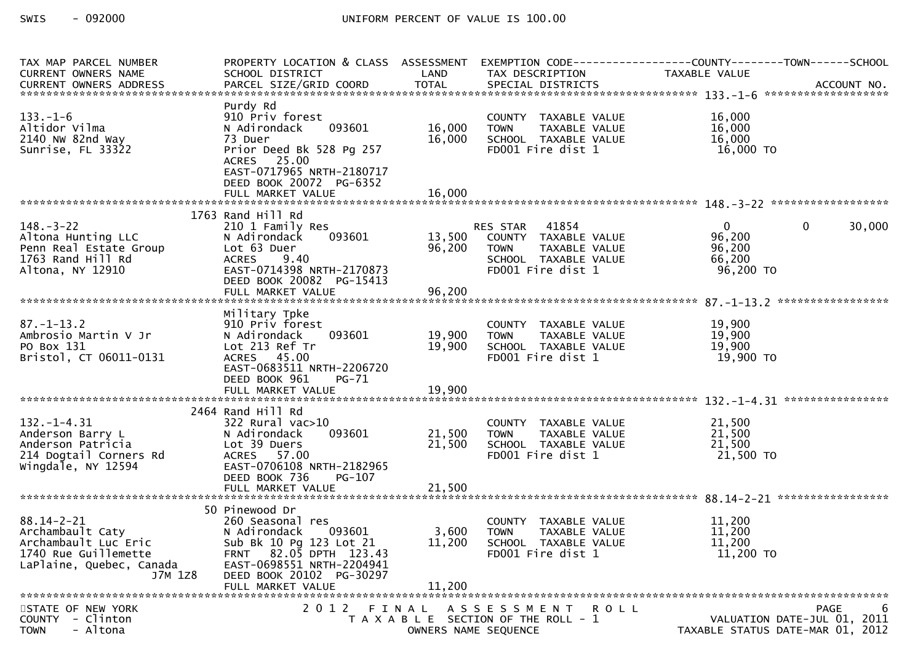| TAX MAP PARCEL NUMBER<br><b>CURRENT OWNERS NAME</b>                                                                         | PROPERTY LOCATION & CLASS ASSESSMENT<br>SCHOOL DISTRICT                                                                                                                 | LAND                       | TAX DESCRIPTION                                                                                                        | EXEMPTION CODE-----------------COUNTY-------TOWN------SCHOOL<br>TAXABLE VALUE     |
|-----------------------------------------------------------------------------------------------------------------------------|-------------------------------------------------------------------------------------------------------------------------------------------------------------------------|----------------------------|------------------------------------------------------------------------------------------------------------------------|-----------------------------------------------------------------------------------|
|                                                                                                                             |                                                                                                                                                                         |                            |                                                                                                                        |                                                                                   |
| $133. - 1 - 6$<br>Altidor Vilma<br>2140 NW 82nd Way<br>Sunrise, FL 33322                                                    | Purdy Rd<br>910 Priv forest<br>093601<br>N Adirondack<br>73 Duer<br>Prior Deed Bk 528 Pg 257<br>ACRES 25.00<br>EAST-0717965 NRTH-2180717<br>DEED BOOK 20072 PG-6352     | 16,000<br>16,000           | COUNTY TAXABLE VALUE<br>TAXABLE VALUE<br><b>TOWN</b><br>SCHOOL TAXABLE VALUE<br>FD001 Fire dist 1                      | 16,000<br>16,000<br>16,000<br>16,000 TO                                           |
|                                                                                                                             | FULL MARKET VALUE                                                                                                                                                       | 16,000                     |                                                                                                                        |                                                                                   |
|                                                                                                                             | 1763 Rand Hill Rd                                                                                                                                                       |                            |                                                                                                                        |                                                                                   |
| $148. - 3 - 22$<br>Altona Hunting LLC<br>Penn Real Estate Group<br>1763 Rand Hill Rd<br>Altona, NY 12910                    | 210 1 Family Res<br>093601<br>N Adirondack<br>Lot 63 Duer<br><b>ACRES</b><br>9.40<br>EAST-0714398 NRTH-2170873<br>DEED BOOK 20082 PG-15413                              | 13,500<br>96,200           | RES STAR<br>41854<br>COUNTY TAXABLE VALUE<br><b>TOWN</b><br>TAXABLE VALUE<br>SCHOOL TAXABLE VALUE<br>FD001 Fire dist 1 | $\mathbf{0}$<br>$\mathbf{0}$<br>30,000<br>96,200<br>96,200<br>66,200<br>96,200 TO |
|                                                                                                                             | FULL MARKET VALUE                                                                                                                                                       | 96,200                     |                                                                                                                        |                                                                                   |
| $87. - 1 - 13.2$<br>Ambrosio Martin V Jr<br>PO Box 131<br>Bristol, CT 06011-0131                                            | Military Tpke<br>910 Priv forest<br>093601<br>N Adirondack<br>Lot 213 Ref Tr<br>ACRES 45.00<br>EAST-0683511 NRTH-2206720<br>DEED BOOK 961<br>PG-71<br>FULL MARKET VALUE | 19,900<br>19,900<br>19,900 | COUNTY TAXABLE VALUE<br>TAXABLE VALUE<br><b>TOWN</b><br>SCHOOL TAXABLE VALUE<br>FD001 Fire dist 1                      | 19,900<br>19,900<br>19,900<br>19,900 TO                                           |
|                                                                                                                             |                                                                                                                                                                         |                            |                                                                                                                        |                                                                                   |
| $132. - 1 - 4.31$<br>Anderson Barry L<br>Anderson Patricia<br>214 Dogtail Corners Rd<br>Wingdale, NY 12594                  | 2464 Rand Hill Rd<br>322 Rural vac>10<br>093601<br>N Adirondack<br>Lot 39 Duers<br>ACRES 57.00<br>EAST-0706108 NRTH-2182965<br>DEED BOOK 736<br>PG-107                  | 21,500<br>21,500           | COUNTY TAXABLE VALUE<br>TAXABLE VALUE<br><b>TOWN</b><br>SCHOOL TAXABLE VALUE<br>FD001 Fire dist 1                      | 21,500<br>21,500<br>21,500<br>21,500 TO                                           |
|                                                                                                                             |                                                                                                                                                                         |                            |                                                                                                                        |                                                                                   |
|                                                                                                                             | 50 Pinewood Dr                                                                                                                                                          |                            |                                                                                                                        |                                                                                   |
| $88.14 - 2 - 21$<br>Archambault Caty<br>Archambault Luc Eric<br>1740 Rue Guillemette<br>LaPlaine, Quebec, Canada<br>J7M 1Z8 | 260 Seasonal res<br>093601<br>N Adirondack<br>Sub Bk 10 Pg 123 Lot 21<br>82.05 DPTH 123.43<br><b>FRNT</b><br>EAST-0698551 NRTH-2204941<br>DEED BOOK 20102 PG-30297      | 3,600<br>11,200            | COUNTY TAXABLE VALUE<br><b>TOWN</b><br>TAXABLE VALUE<br>SCHOOL TAXABLE VALUE<br>FD001 Fire dist 1                      | 11,200<br>11,200<br>11,200<br>11,200 TO                                           |
|                                                                                                                             | FULL MARKET VALUE                                                                                                                                                       | 11,200                     |                                                                                                                        |                                                                                   |
| STATE OF NEW YORK<br><b>COUNTY</b><br>- Clinton<br>- Altona<br><b>TOWN</b>                                                  | 2 0 1 2                                                                                                                                                                 |                            | FINAL ASSESSMENT ROLL<br>T A X A B L E SECTION OF THE ROLL - 1<br>OWNERS NAME SEQUENCE                                 | 6<br>PAGE<br>VALUATION DATE-JUL 01, 2011<br>TAXABLE STATUS DATE-MAR 01, 2012      |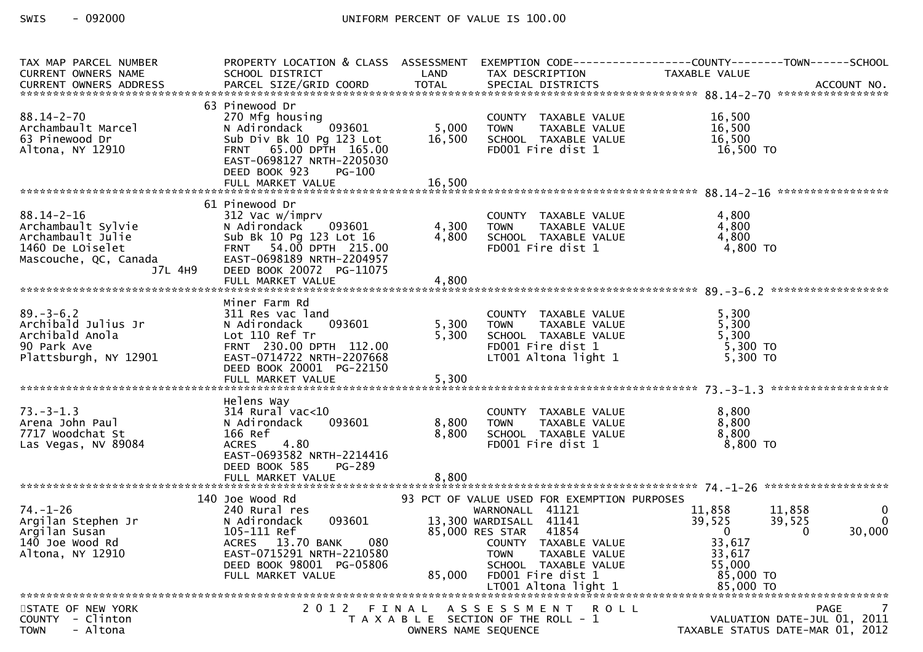| TAX MAP PARCEL NUMBER<br>CURRENT OWNERS NAME<br>CURRENT OWNERS ADDRESS                                              | PROPERTY LOCATION & CLASS ASSESSMENT<br>SCHOOL DISTRICT                                                                                                                                        | LAND                    | TAX DESCRIPTION                                                                                                                                                                          | EXEMPTION CODE------------------COUNTY--------TOWN------SCHOOL<br>TAXABLE VALUE                              |                                                |
|---------------------------------------------------------------------------------------------------------------------|------------------------------------------------------------------------------------------------------------------------------------------------------------------------------------------------|-------------------------|------------------------------------------------------------------------------------------------------------------------------------------------------------------------------------------|--------------------------------------------------------------------------------------------------------------|------------------------------------------------|
| $88.14 - 2 - 70$<br>Archambault Marcel<br>63 Pinewood Dr<br>Altona, NY 12910                                        | 63 Pinewood Dr<br>270 Mfg housing<br>093601<br>N Adirondack<br>Sub Div Bk 10 Pg 123 Lot<br>FRNT 65.00 DPTH 165.00<br>EAST-0698127 NRTH-2205030<br>DEED BOOK 923<br><b>PG-100</b>               | 5,000<br>16,500         | COUNTY TAXABLE VALUE<br><b>TOWN</b><br>TAXABLE VALUE<br>SCHOOL TAXABLE VALUE<br>FD001 Fire dist 1                                                                                        | 16,500<br>16,500<br>16,500<br>16,500 TO                                                                      |                                                |
|                                                                                                                     |                                                                                                                                                                                                |                         |                                                                                                                                                                                          |                                                                                                              |                                                |
| $88.14 - 2 - 16$<br>Archambault Sylvie<br>Archambault Julie<br>1460 De LOiselet<br>Mascouche, QC, Canada<br>J7L 4H9 | 61 Pinewood Dr<br>312 Vac w/imprv<br>093601<br>N Adirondack<br>Sub Bk 10 Pg 123 Lot 16<br>FRNT 54.00 DPTH 215.00<br>EAST-0698189 NRTH-2204957<br>DEED BOOK 20072 PG-11075<br>FULL MARKET VALUE | 4,300<br>4,800<br>4,800 | COUNTY TAXABLE VALUE<br><b>TOWN</b><br>TAXABLE VALUE<br>SCHOOL TAXABLE VALUE<br>FD001 Fire dist 1                                                                                        | 4,800<br>4,800<br>4,800<br>4,800 TO                                                                          |                                                |
|                                                                                                                     | Miner Farm Rd                                                                                                                                                                                  |                         |                                                                                                                                                                                          |                                                                                                              |                                                |
| $89. - 3 - 6.2$<br>Archibald Julius Jr<br>Archibald Anola<br>90 Park Ave<br>Plattsburgh, NY 12901                   | 311 Res vac land<br>093601<br>N Adirondack<br>Lot 110 Ref Tr<br>FRNT 230.00 DPTH 112.00<br>EAST-0714722 NRTH-2207668<br>DEED BOOK 20001 PG-22150                                               | 5,300<br>5,300          | COUNTY TAXABLE VALUE<br>TAXABLE VALUE<br><b>TOWN</b><br>SCHOOL TAXABLE VALUE<br>FD001 Fire dist 1<br>LT001 Altona light 1                                                                | 5,300<br>5,300<br>5,300<br>5,300 TO<br>5,300 TO                                                              |                                                |
|                                                                                                                     | Helens Way                                                                                                                                                                                     |                         |                                                                                                                                                                                          |                                                                                                              |                                                |
| $73. - 3 - 1.3$<br>Arena John Paul<br>7717 Woodchat St<br>Las Vegas, NV 89084                                       | $314$ Rural vac< $10$<br>093601<br>N Adirondack<br>166 Ref<br>4.80<br><b>ACRES</b><br>EAST-0693582 NRTH-2214416<br>DEED BOOK 585<br>PG-289<br>FULL MARKET VALUE                                | 8,800<br>8,800<br>8,800 | COUNTY TAXABLE VALUE<br><b>TOWN</b><br>TAXABLE VALUE<br>SCHOOL TAXABLE VALUE<br>FD001 Fire dist 1                                                                                        | 8,800<br>8,800<br>8,800<br>$8,800$ TO                                                                        |                                                |
|                                                                                                                     | 140 Joe Wood Rd                                                                                                                                                                                |                         | 93 PCT OF VALUE USED FOR EXEMPTION PURPOSES                                                                                                                                              |                                                                                                              |                                                |
| $74. - 1 - 26$<br>Argilan Stephen Jr<br>Argilan Susan<br>140 Joe Wood Rd<br>Altona, NY 12910                        | 240 Rural res<br>093601<br>N Adirondack<br>105-111 Ref<br>080<br>ACRES 13.70 BANK<br>EAST-0715291 NRTH-2210580<br>DEED BOOK 98001 PG-05806<br>FULL MARKET VALUE                                | 85,000                  | WARNONALL 41121<br>13,300 WARDISALL 41141<br>85,000 RES STAR 41854<br>COUNTY TAXABLE VALUE<br>TAXABLE VALUE<br>TOWN<br>SCHOOL TAXABLE VALUE<br>FD001 Fire dist 1<br>LT001 Altona light 1 | 11,858<br>11,858<br>39,525<br>39,525<br>$\mathbf{0}$<br>33,617<br>33,617<br>55,000<br>85,000 TO<br>85,000 TO | $\bf{0}$<br>$\mathbf{0}$<br>30,000<br>$\Omega$ |
|                                                                                                                     |                                                                                                                                                                                                |                         |                                                                                                                                                                                          |                                                                                                              |                                                |
| STATE OF NEW YORK<br>COUNTY - Clinton<br>- Altona<br><b>TOWN</b>                                                    | 2012 FINAL                                                                                                                                                                                     |                         | A S S E S S M E N T<br>R O L L<br>T A X A B L E SECTION OF THE ROLL - 1<br>OWNERS NAME SEQUENCE                                                                                          | TAXABLE STATUS DATE-MAR 01, 2012                                                                             | 7<br>PAGE<br>VALUATION DATE-JUL 01, 2011       |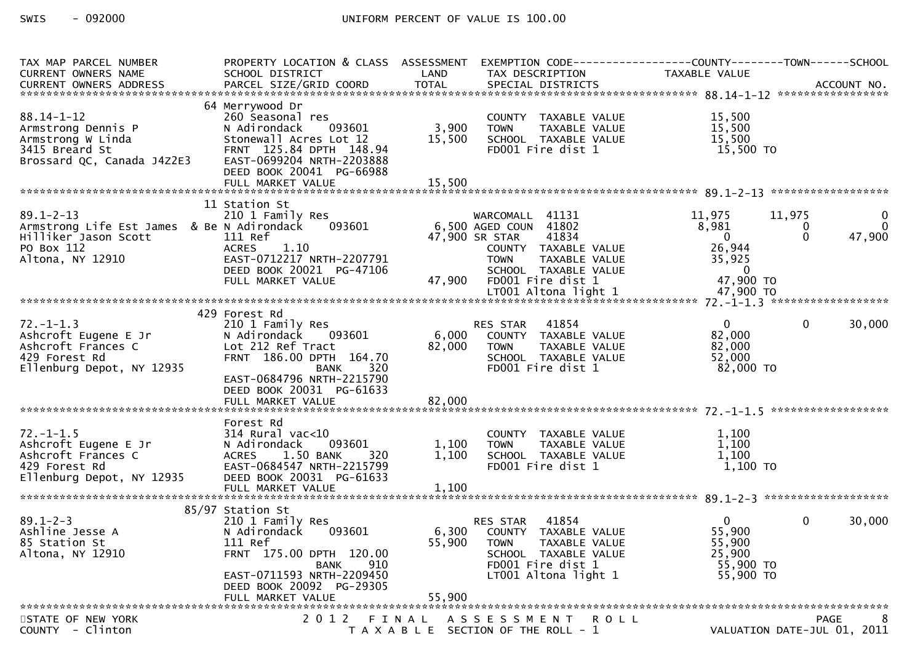| TAX MAP PARCEL NUMBER                                                                                                   | PROPERTY LOCATION & CLASS ASSESSMENT                                                                                                                                                                            |                           |                                                                                                                                                                          |                                                                                |                                                                  |
|-------------------------------------------------------------------------------------------------------------------------|-----------------------------------------------------------------------------------------------------------------------------------------------------------------------------------------------------------------|---------------------------|--------------------------------------------------------------------------------------------------------------------------------------------------------------------------|--------------------------------------------------------------------------------|------------------------------------------------------------------|
| CURRENT OWNERS NAME                                                                                                     | SCHOOL DISTRICT                                                                                                                                                                                                 | LAND                      | TAX DESCRIPTION                                                                                                                                                          | TAXABLE VALUE                                                                  |                                                                  |
|                                                                                                                         |                                                                                                                                                                                                                 |                           |                                                                                                                                                                          |                                                                                |                                                                  |
| $88.14 - 1 - 12$<br>Armstrong Dennis P<br>Armstrong W Linda<br>3415 Breard St<br>Brossard QC, Canada J4Z2E3             | 64 Merrywood Dr<br>260 Seasonal res<br>093601<br>N Adirondack<br>Stonewall Acres Lot 12<br>FRNT 125.84 DPTH 148.94<br>EAST-0699204 NRTH-2203888<br>DEED BOOK 20041 PG-66988                                     | 3,900<br>15,500           | COUNTY TAXABLE VALUE<br>TAXABLE VALUE<br><b>TOWN</b><br>SCHOOL TAXABLE VALUE<br>FD001 Fire dist 1                                                                        | 15,500<br>15,500<br>15,500<br>15,500 TO                                        |                                                                  |
|                                                                                                                         |                                                                                                                                                                                                                 |                           |                                                                                                                                                                          |                                                                                |                                                                  |
| $89.1 - 2 - 13$<br>Armstrong Life Est James & Be N Adirondack<br>Hilliker Jason Scott<br>PO Box 112<br>Altona, NY 12910 | 11 Station St<br>210 1 Family Res<br>093601<br>111 Ref<br><b>ACRES</b><br>1.10<br>EAST-0712217 NRTH-2207791<br>DEED BOOK 20021 PG-47106<br>FULL MARKET VALUE                                                    | 47,900                    | WARCOMALL 41131<br>6,500 AGED COUN 41802<br>41834<br>47,900 SR STAR<br>COUNTY TAXABLE VALUE<br>TAXABLE VALUE<br><b>TOWN</b><br>SCHOOL TAXABLE VALUE<br>FD001 Fire dist 1 | 11,975<br>8,981<br>$\Omega$<br>26,944<br>35,925<br>$\overline{0}$<br>47,900 TO | 11,975<br>$\mathbf 0$<br>$\mathbf{0}$<br>0<br>47,900<br>$\Omega$ |
|                                                                                                                         |                                                                                                                                                                                                                 |                           |                                                                                                                                                                          |                                                                                |                                                                  |
| $72. - 1 - 1.3$<br>Ashcroft Eugene E Jr<br>Ashcroft Frances C<br>429 Forest Rd<br>Ellenburg Depot, NY 12935             | 429 Forest Rd<br>210 1 Family Res<br>093601<br>N Adirondack<br>Lot 212 Ref Tract<br>FRNT 186.00 DPTH 164.70<br><b>BANK</b><br>320<br>EAST-0684796 NRTH-2215790<br>DEED BOOK 20031 PG-61633<br>FULL MARKET VALUE | 6,000<br>82,000<br>82,000 | 41854<br>RES STAR<br>COUNTY TAXABLE VALUE<br><b>TOWN</b><br>TAXABLE VALUE<br>SCHOOL TAXABLE VALUE<br>FD001 Fire dist 1                                                   | $\Omega$<br>82,000<br>82,000<br>52,000<br>82,000 TO                            | $\overline{0}$<br>30,000                                         |
|                                                                                                                         |                                                                                                                                                                                                                 |                           |                                                                                                                                                                          |                                                                                |                                                                  |
| $72. - 1 - 1.5$<br>Ashcroft Eugene E Jr<br>Ashcroft Frances C<br>429 Forest Rd<br>Ellenburg Depot, NY 12935             | Forest Rd<br>$314$ Rural vac<10<br>093601<br>N Adirondack<br>1.50 BANK<br><b>ACRES</b><br>320<br>EAST-0684547 NRTH-2215799<br>DEED BOOK 20031 PG-61633                                                          | 1,100<br>1,100            | COUNTY TAXABLE VALUE<br>TAXABLE VALUE<br><b>TOWN</b><br>SCHOOL TAXABLE VALUE<br>FD001 Fire dist 1                                                                        | 1,100<br>1,100<br>1,100<br>1,100 TO                                            |                                                                  |
|                                                                                                                         |                                                                                                                                                                                                                 |                           |                                                                                                                                                                          |                                                                                |                                                                  |
|                                                                                                                         | 85/97 Station St                                                                                                                                                                                                |                           |                                                                                                                                                                          |                                                                                |                                                                  |
| $89.1 - 2 - 3$<br>Ashline Jesse A<br>85 Station St<br>Altona, NY 12910                                                  | 210 1 Family Res<br>N Adirondack<br>093601<br>111 Ref<br>FRNT 175.00 DPTH 120.00<br>910<br><b>BANK</b><br>EAST-0711593 NRTH-2209450<br>DEED BOOK 20092 PG-29305                                                 | 6,300<br>55,900           | 41854<br>RES STAR<br>COUNTY TAXABLE VALUE<br><b>TOWN</b><br>TAXABLE VALUE<br>SCHOOL TAXABLE VALUE<br>FD001 Fire dist 1<br>LT001 Altona light 1                           | $\mathbf{0}$<br>55,900<br>55,900<br>25,900<br>55,900 TO<br>55,900 TO           | $\mathbf{0}$<br>30,000                                           |
|                                                                                                                         | FULL MARKET VALUE                                                                                                                                                                                               | 55,900                    |                                                                                                                                                                          |                                                                                |                                                                  |
| STATE OF NEW YORK<br>COUNTY - Clinton                                                                                   | 2 0 1 2                                                                                                                                                                                                         | FINAL                     | ASSESSMENT ROLL<br>T A X A B L E SECTION OF THE ROLL - 1                                                                                                                 |                                                                                | <b>PAGE</b><br>8<br>VALUATION DATE-JUL 01, 2011                  |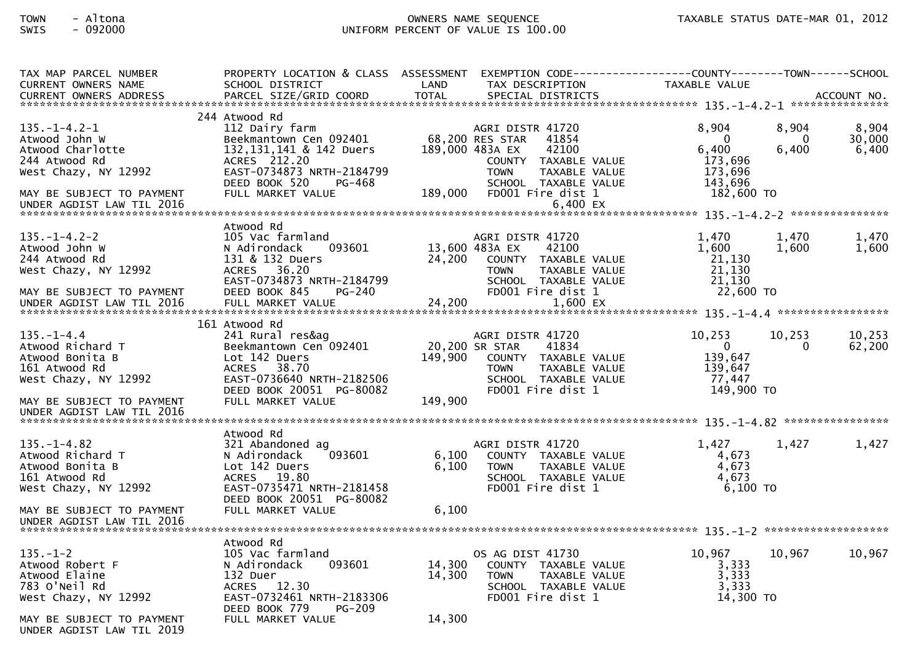| TAX MAP PARCEL NUMBER<br><b>CURRENT OWNERS NAME</b>                                                                                                          | PROPERTY LOCATION & CLASS ASSESSMENT<br>SCHOOL DISTRICT                                                                                                                             | LAND                       | EXEMPTION CODE-----------------COUNTY-------TOWN------SCHOOL<br>TAX DESCRIPTION                                                                                                           | TAXABLE VALUE                                                             |                            |                          |
|--------------------------------------------------------------------------------------------------------------------------------------------------------------|-------------------------------------------------------------------------------------------------------------------------------------------------------------------------------------|----------------------------|-------------------------------------------------------------------------------------------------------------------------------------------------------------------------------------------|---------------------------------------------------------------------------|----------------------------|--------------------------|
|                                                                                                                                                              |                                                                                                                                                                                     |                            |                                                                                                                                                                                           |                                                                           |                            |                          |
| $135. - 1 - 4.2 - 1$<br>Atwood John W<br>Atwood Charlotte<br>244 Atwood Rd<br>West Chazy, NY 12992<br>MAY BE SUBJECT TO PAYMENT<br>UNDER AGDIST LAW TIL 2016 | 244 Atwood Rd<br>112 Dairy farm<br>Beekmantown Cen 092401<br>132, 131, 141 & 142 Duers<br>ACRES 212.20<br>EAST-0734873 NRTH-2184799<br>DEED BOOK 520<br>PG-468<br>FULL MARKET VALUE | 189,000                    | AGRI DISTR 41720<br>68,200 RES STAR<br>41854<br>189,000 483A EX<br>42100<br>COUNTY TAXABLE VALUE<br><b>TOWN</b><br>TAXABLE VALUE<br>SCHOOL TAXABLE VALUE<br>FD001 Fire dist 1<br>6,400 EX | 8,904<br>$\Omega$<br>6,400<br>173,696<br>173,696<br>143,696<br>182,600 TO | 8,904<br>$\Omega$<br>6.400 | 8,904<br>30,000<br>6,400 |
| $135. - 1 - 4.2 - 2$<br>Atwood John W<br>244 Atwood Rd<br>West Chazy, NY 12992<br>MAY BE SUBJECT TO PAYMENT                                                  | Atwood Rd<br>105 Vac farmland<br>N Adirondack<br>093601<br>131 & 132 Duers<br>ACRES 36.20<br>EAST-0734873 NRTH-2184799<br>DEED BOOK 845<br>PG-240                                   | 24,200                     | AGRI DISTR 41720<br>13,600 483A EX<br>42100<br>COUNTY TAXABLE VALUE<br>TAXABLE VALUE<br><b>TOWN</b><br>SCHOOL TAXABLE VALUE<br>FD001 Fire dist 1                                          | 1,470<br>1,600<br>21,130<br>21,130<br>21,130<br>22,600 TO                 | 1,470<br>1,600             | 1,470<br>1,600           |
| $135. - 1 - 4.4$<br>Atwood Richard T<br>Atwood Bonita B<br>161 Atwood Rd<br>West Chazy, NY 12992<br>MAY BE SUBJECT TO PAYMENT                                | 161 Atwood Rd<br>241 Rural res&ag<br>Beekmantown Cen 092401<br>Lot 142 Duers<br>ACRES 38.70<br>EAST-0736640 NRTH-2182506<br>DEED BOOK 20051 PG-80082<br>FULL MARKET VALUE           | 149,900<br>149,900         | AGRI DISTR 41720<br>41834<br>20,200 SR STAR<br>COUNTY TAXABLE VALUE<br><b>TOWN</b><br>TAXABLE VALUE<br>SCHOOL TAXABLE VALUE<br>FD001 Fire dist 1                                          | 10,253<br>$\overline{0}$<br>139,647<br>139,647<br>77.447<br>149,900 TO    | 10,253<br>$\Omega$         | 10,253<br>62,200         |
| UNDER AGDIST LAW TIL 2016                                                                                                                                    |                                                                                                                                                                                     |                            |                                                                                                                                                                                           |                                                                           |                            |                          |
| $135. - 1 - 4.82$<br>Atwood Richard T<br>Atwood Bonita B<br>161 Atwood Rd<br>West Chazy, NY 12992                                                            | Atwood Rd<br>321 Abandoned ag<br>N Adirondack<br>093601<br>Lot 142 Duers<br>ACRES 19.80<br>EAST-0735471 NRTH-2181458<br>DEED BOOK 20051 PG-80082                                    | 6,100<br>6,100             | AGRI DISTR 41720<br>COUNTY TAXABLE VALUE<br><b>TOWN</b><br>TAXABLE VALUE<br>SCHOOL TAXABLE VALUE<br>FD001 Fire dist 1                                                                     | 1,427<br>4,673<br>4,673<br>4.673<br>6,100 TO                              | 1,427                      | 1,427                    |
| MAY BE SUBJECT TO PAYMENT<br>UNDER AGDIST LAW TIL 2016                                                                                                       | FULL MARKET VALUE                                                                                                                                                                   | 6,100                      |                                                                                                                                                                                           |                                                                           |                            |                          |
| $135. - 1 - 2$<br>Atwood Robert F<br>Atwood Elaine<br>783 O'Neil Rd<br>West Chazy, NY 12992<br>MAY BE SUBJECT TO PAYMENT<br>UNDER AGDIST LAW TIL 2019        | Atwood Rd<br>105 Vac farmland<br>N Adirondack<br>093601<br>132 Duer<br>ACRES 12.30<br>EAST-0732461 NRTH-2183306<br>DEED BOOK 779<br>$PG-209$<br>FULL MARKET VALUE                   | 14,300<br>14,300<br>14,300 | OS AG DIST 41730<br>COUNTY TAXABLE VALUE<br>TAXABLE VALUE<br><b>TOWN</b><br>SCHOOL TAXABLE VALUE<br>FD001 Fire dist 1                                                                     | 10,967<br>3,333<br>3,333<br>3,333<br>14,300 TO                            | 10,967                     | 10,967                   |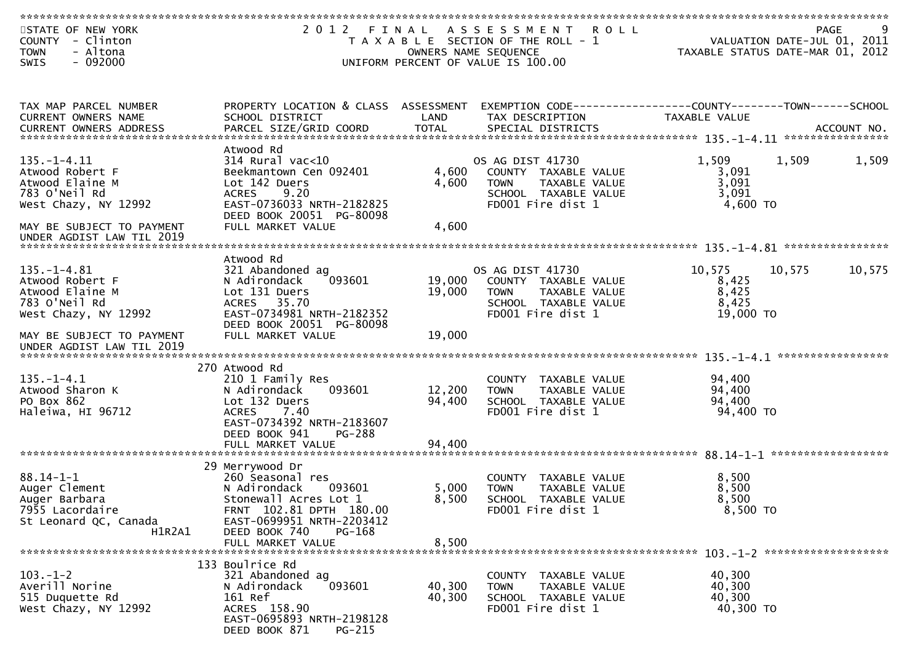| STATE OF NEW YORK<br>COUNTY - Clinton                                                                                                                                                                                          | 2 0 1 2                                                 | FINAL            | A S S E S S M E N T<br><b>ROLL</b><br>T A X A B L E SECTION OF THE ROLL - 1 | PAGE<br>VALUATION DATE-JUL 01, 2011                                           | 9      |
|--------------------------------------------------------------------------------------------------------------------------------------------------------------------------------------------------------------------------------|---------------------------------------------------------|------------------|-----------------------------------------------------------------------------|-------------------------------------------------------------------------------|--------|
| - Altona<br><b>TOWN</b>                                                                                                                                                                                                        |                                                         |                  | OWNERS NAME SEQUENCE                                                        | TAXABLE STATUS DATE-MAR 01, 2012                                              |        |
| $-092000$<br>SWIS                                                                                                                                                                                                              |                                                         |                  | UNIFORM PERCENT OF VALUE IS 100.00                                          |                                                                               |        |
|                                                                                                                                                                                                                                |                                                         |                  |                                                                             |                                                                               |        |
|                                                                                                                                                                                                                                |                                                         |                  |                                                                             |                                                                               |        |
| TAX MAP PARCEL NUMBER<br>CURRENT OWNERS NAME                                                                                                                                                                                   | PROPERTY LOCATION & CLASS ASSESSMENT<br>SCHOOL DISTRICT | LAND             | TAX DESCRIPTION                                                             | EXEMPTION CODE-----------------COUNTY-------TOWN------SCHOOL<br>TAXABLE VALUE |        |
| <b>CURRENT OWNERS ADDRESS</b>                                                                                                                                                                                                  |                                                         |                  |                                                                             |                                                                               |        |
| .4CCOUNT NO . PARCEL SIZE/GRID COORD TOTAL SPECIAL DISTRICTS . ACCOUNT NO . ACCOUNT NO . AND . ACCOUNT NO . AND . ACCOUNT NO . AND . AND . A . TOTAL SPECIAL DISTRICTS . AND . A . THE . A . THAT . AND . A . THAT . A . A . A |                                                         |                  |                                                                             |                                                                               |        |
|                                                                                                                                                                                                                                | Atwood Rd                                               |                  |                                                                             |                                                                               |        |
| $135. - 1 - 4.11$<br>Atwood Robert F                                                                                                                                                                                           | $314$ Rural vac< $10$<br>Beekmantown Cen 092401         | 4,600            | OS AG DIST 41730<br>COUNTY TAXABLE VALUE                                    | 1,509<br>1,509<br>3,091                                                       | 1,509  |
| Atwood Elaine M                                                                                                                                                                                                                | Lot 142 Duers                                           | 4,600            | TAXABLE VALUE<br><b>TOWN</b>                                                | 3,091                                                                         |        |
| 783 O'Neil Rd                                                                                                                                                                                                                  | 9.20<br><b>ACRES</b>                                    |                  | SCHOOL TAXABLE VALUE                                                        | 3,091                                                                         |        |
| West Chazy, NY 12992                                                                                                                                                                                                           | EAST-0736033 NRTH-2182825                               |                  | FD001 Fire dist 1                                                           | 4,600 TO                                                                      |        |
|                                                                                                                                                                                                                                | DEED BOOK 20051 PG-80098                                |                  |                                                                             |                                                                               |        |
| MAY BE SUBJECT TO PAYMENT                                                                                                                                                                                                      | FULL MARKET VALUE                                       | 4,600            |                                                                             |                                                                               |        |
|                                                                                                                                                                                                                                |                                                         |                  |                                                                             |                                                                               |        |
|                                                                                                                                                                                                                                | Atwood Rd                                               |                  |                                                                             |                                                                               |        |
| $135. - 1 - 4.81$                                                                                                                                                                                                              | 321 Abandoned ag                                        |                  | OS AG DIST 41730                                                            | 10,575<br>10,575                                                              | 10,575 |
| Atwood Robert F                                                                                                                                                                                                                | 093601<br>N Adirondack                                  | 19,000           | COUNTY TAXABLE VALUE                                                        | 8,425                                                                         |        |
| Atwood Elaine M                                                                                                                                                                                                                | Lot 131 Duers                                           | 19,000           | <b>TOWN</b><br>TAXABLE VALUE                                                | 8,425                                                                         |        |
| 783 O'Neil Rd<br>West Chazy, NY 12992                                                                                                                                                                                          | ACRES 35.70<br>EAST-0734981 NRTH-2182352                |                  | SCHOOL TAXABLE VALUE<br>FD001 Fire dist 1                                   | 8,425<br>19,000 TO                                                            |        |
|                                                                                                                                                                                                                                | DEED BOOK 20051 PG-80098                                |                  |                                                                             |                                                                               |        |
| MAY BE SUBJECT TO PAYMENT<br>UNDER AGDIST LAW TIL 2019                                                                                                                                                                         | FULL MARKET VALUE                                       | 19,000           |                                                                             |                                                                               |        |
|                                                                                                                                                                                                                                |                                                         |                  |                                                                             |                                                                               |        |
|                                                                                                                                                                                                                                | 270 Atwood Rd                                           |                  |                                                                             |                                                                               |        |
| $135. - 1 - 4.1$                                                                                                                                                                                                               | 210 1 Family Res                                        |                  | COUNTY TAXABLE VALUE                                                        | 94,400                                                                        |        |
| Atwood Sharon K<br>PO Box 862                                                                                                                                                                                                  | 093601<br>N Adirondack<br>Lot 132 Duers                 | 12,200<br>94,400 | TAXABLE VALUE<br><b>TOWN</b><br>SCHOOL TAXABLE VALUE                        | 94,400<br>94,400                                                              |        |
| Haleiwa, HI 96712                                                                                                                                                                                                              | ACRES 7.40                                              |                  | FD001 Fire dist 1                                                           | 94,400 TO                                                                     |        |
|                                                                                                                                                                                                                                | EAST-0734392 NRTH-2183607                               |                  |                                                                             |                                                                               |        |
|                                                                                                                                                                                                                                | DEED BOOK 941<br><b>PG-288</b>                          |                  |                                                                             |                                                                               |        |
|                                                                                                                                                                                                                                | FULL MARKET VALUE                                       | 94,400           |                                                                             |                                                                               |        |
|                                                                                                                                                                                                                                | 29 Merrywood Dr                                         |                  |                                                                             |                                                                               |        |
| $88.14 - 1 - 1$                                                                                                                                                                                                                | 260 Seasonal res                                        |                  | COUNTY TAXABLE VALUE                                                        | 8,500                                                                         |        |
| Auger Clement                                                                                                                                                                                                                  | N Adirondack<br>093601                                  | 5,000            | TAXABLE VALUE<br><b>TOWN</b>                                                | 8,500                                                                         |        |
| Auger Barbara                                                                                                                                                                                                                  | Stonewall Acres Lot 1                                   | 8,500            | SCHOOL TAXABLE VALUE                                                        | 8,500                                                                         |        |
| 7955 Lacordaire                                                                                                                                                                                                                | FRNT 102.81 DPTH 180.00                                 |                  | FD001 Fire dist 1                                                           | 8,500 TO                                                                      |        |
| St Leonard QC, Canada                                                                                                                                                                                                          | EAST-0699951 NRTH-2203412                               |                  |                                                                             |                                                                               |        |
| H1R2A1                                                                                                                                                                                                                         | DEED BOOK 740<br>PG-168<br>FULL MARKET VALUE            | 8,500            |                                                                             |                                                                               |        |
|                                                                                                                                                                                                                                |                                                         |                  |                                                                             |                                                                               |        |
|                                                                                                                                                                                                                                | 133 Boulrice Rd                                         |                  |                                                                             |                                                                               |        |
| $103.-1-2$                                                                                                                                                                                                                     | 321 Abandoned ag                                        |                  | COUNTY TAXABLE VALUE                                                        | 40,300                                                                        |        |
| Averill Norine<br>515 Duquette Rd                                                                                                                                                                                              | 093601<br>N Adirondack<br>161 Ref                       | 40,300<br>40,300 | TAXABLE VALUE<br><b>TOWN</b><br>SCHOOL TAXABLE VALUE                        | 40,300<br>40,300                                                              |        |
| West Chazy, NY 12992                                                                                                                                                                                                           | ACRES 158.90                                            |                  | FD001 Fire dist 1                                                           | 40,300 TO                                                                     |        |
|                                                                                                                                                                                                                                | EAST-0695893 NRTH-2198128<br>DEED BOOK 871<br>PG-215    |                  |                                                                             |                                                                               |        |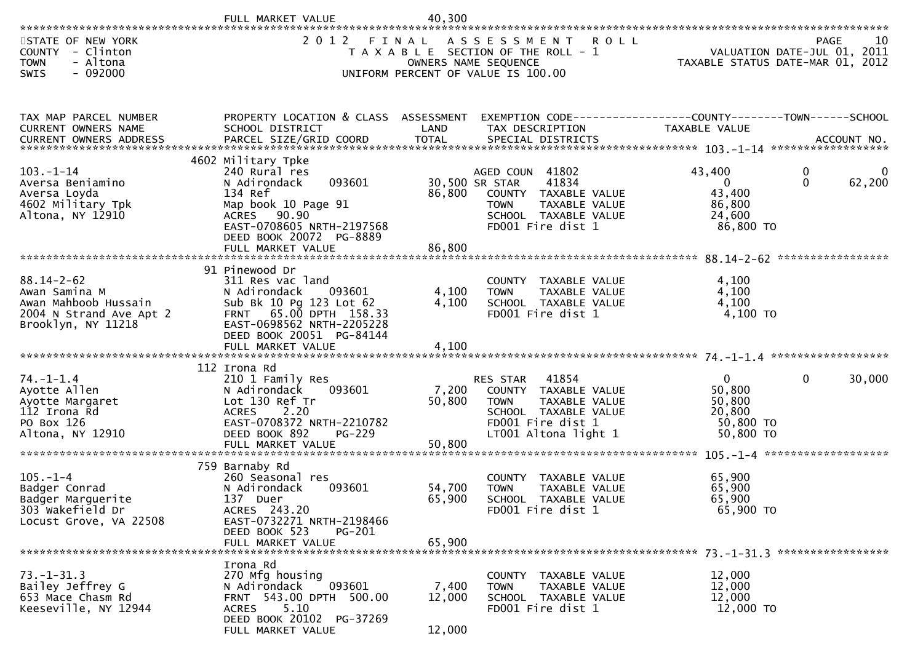|                                                                                                            | FULL MARKET VALUE                                                                                                                                                                                         | 40,300                             |                                                                                                                                                |                                                                      |                                           |
|------------------------------------------------------------------------------------------------------------|-----------------------------------------------------------------------------------------------------------------------------------------------------------------------------------------------------------|------------------------------------|------------------------------------------------------------------------------------------------------------------------------------------------|----------------------------------------------------------------------|-------------------------------------------|
| STATE OF NEW YORK<br><b>COUNTY</b><br>- Clinton<br>- Altona<br><b>TOWN</b><br>$-092000$<br>SWIS            | 2 0 1 2                                                                                                                                                                                                   | FINAL<br>OWNERS NAME SEQUENCE      | ASSESSMENT<br>R O L L<br>T A X A B L E SECTION OF THE ROLL - 1<br>UNIFORM PERCENT OF VALUE IS 100.00                                           | TAXABLE STATUS DATE-MAR 01, 2012                                     | 10<br>PAGE<br>VALUATION DATE-JUL 01, 2011 |
| TAX MAP PARCEL NUMBER<br>CURRENT OWNERS NAME                                                               | PROPERTY LOCATION & CLASS ASSESSMENT<br>SCHOOL DISTRICT                                                                                                                                                   | LAND                               | EXEMPTION CODE-----------------COUNTY--------TOWN------SCHOOL<br>TAX DESCRIPTION                                                               | TAXABLE VALUE                                                        |                                           |
| $103. - 1 - 14$<br>Aversa Beniamino<br>Aversa Loyda<br>4602 Military Tpk<br>Altona, NY 12910               | 4602 Military Tpke<br>240 Rural res<br>N Adirondack<br>093601<br>134 Ref<br>Map book 10 Page 91<br>ACRES 90.90<br>EAST-0708605 NRTH-2197568<br>DEED BOOK 20072 PG-8889<br>FULL MARKET VALUE               | 30,500 SR STAR<br>86,800<br>86,800 | AGED COUN 41802<br>41834<br>COUNTY TAXABLE VALUE<br>TAXABLE VALUE<br><b>TOWN</b><br>SCHOOL TAXABLE VALUE<br>FD001 Fire dist 1                  | 43,400<br>$\Omega$<br>43,400<br>86,800<br>24,600<br>86,800 TO        | 0<br>$\Omega$<br>$\Omega$<br>62,200       |
| $88.14 - 2 - 62$<br>Awan Samina M<br>Awan Mahboob Hussain<br>2004 N Strand Ave Apt 2<br>Brooklyn, NY 11218 | 91 Pinewood Dr<br>311 Res vac land<br>N Adirondack<br>093601<br>Sub Bk 10 Pg 123 Lot 62<br>65.OO DPTH 158.33<br><b>FRNT</b><br>EAST-0698562 NRTH-2205228<br>DEED BOOK 20051 PG-84144<br>FULL MARKET VALUE | 4,100<br>4,100<br>4,100            | COUNTY TAXABLE VALUE<br><b>TOWN</b><br>TAXABLE VALUE<br>SCHOOL TAXABLE VALUE<br>FD001 Fire dist 1                                              | 4,100<br>4,100<br>4,100<br>4,100 TO                                  |                                           |
| $74. - 1 - 1.4$<br>Ayotte Allen<br>Ayotte Margaret<br>112 Irona Rd<br>PO Box 126<br>Altona, NY 12910       | 112 Irona Rd<br>210 1 Family Res<br>N Adirondack<br>093601<br>Lot 130 Ref Tr<br><b>ACRES</b><br>2.20<br>EAST-0708372 NRTH-2210782<br>DEED BOOK 892<br>PG-229                                              | 7,200<br>50,800                    | 41854<br>RES STAR<br>COUNTY TAXABLE VALUE<br>TAXABLE VALUE<br><b>TOWN</b><br>SCHOOL TAXABLE VALUE<br>FD001 Fire dist 1<br>LT001 Altona light 1 | $\mathbf{0}$<br>50,800<br>50,800<br>20,800<br>50,800 TO<br>50,800 TO | 30,000<br>$\mathbf{0}$                    |
| $105. - 1 - 4$<br>Badger Conrad<br>Badger Marguerite<br>303 Wakefield Dr<br>Locust Grove, VA 22508         | 759 Barnaby Rd<br>260 Seasonal res<br>093601<br>N Adirondack<br>137 Duer<br>ACRES 243.20<br>EAST-0732271 NRTH-2198466<br>DEED BOOK 523<br><b>PG-201</b><br>FULL MARKET VALUE                              | 54,700<br>65,900<br>65,900         | COUNTY<br>TAXABLE VALUE<br>TAXABLE VALUE<br><b>TOWN</b><br>SCHOOL TAXABLE VALUE<br>FD001 Fire dist 1                                           | 65,900<br>65,900<br>65,900<br>65,900 TO                              |                                           |
| $73. - 1 - 31.3$<br>Bailey Jeffrey G<br>653 Mace Chasm Rd<br>Keeseville, NY 12944                          | Irona Rd<br>270 Mfg housing<br>093601<br>N Adirondack<br>FRNT 543.00 DPTH 500.00<br>5.10<br><b>ACRES</b><br>DEED BOOK 20102 PG-37269<br>FULL MARKET VALUE                                                 | 7,400<br>12,000<br>12,000          | COUNTY TAXABLE VALUE<br>TAXABLE VALUE<br><b>TOWN</b><br>SCHOOL TAXABLE VALUE<br>FD001 Fire dist 1                                              | 12,000<br>12,000<br>12,000<br>12,000 TO                              |                                           |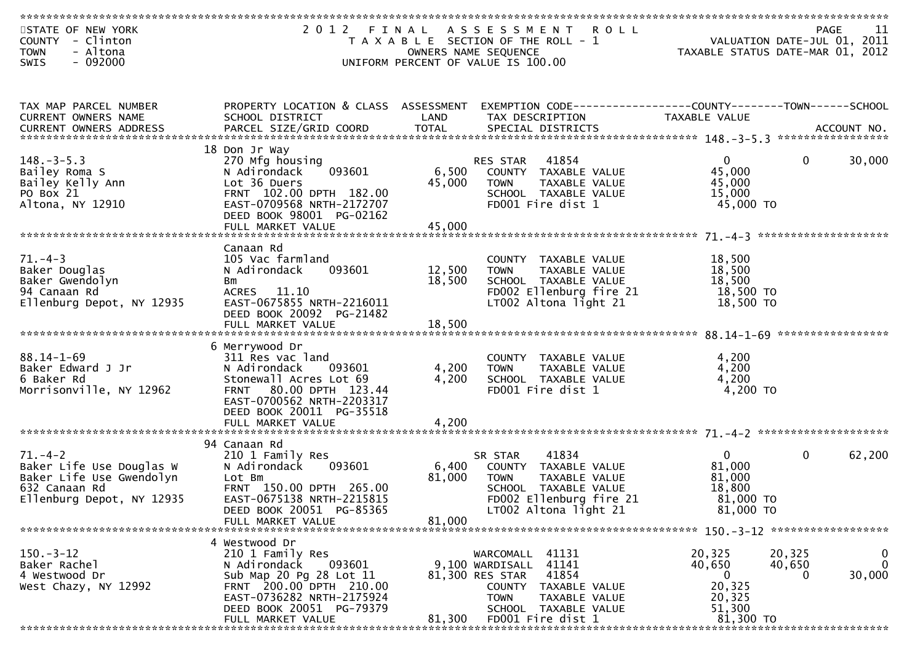| STATE OF NEW YORK<br>COUNTY - Clinton<br><b>TOWN</b><br>- Altona<br>$-092000$<br><b>SWIS</b>                        | 2012 FINAL                                                                                                                                                                 |                           | A S S E S S M E N T<br><b>ROLL</b><br>T A X A B L E SECTION OF THE ROLL - 1<br>OWNERS NAME SEQUENCE<br>UNIFORM PERCENT OF VALUE IS 100.00                 | VALUATION DATE-JUL 01, 2011<br>TAXABLE STATUS DATE-MAR 01, 2012        | PAGE                  | 11                         |
|---------------------------------------------------------------------------------------------------------------------|----------------------------------------------------------------------------------------------------------------------------------------------------------------------------|---------------------------|-----------------------------------------------------------------------------------------------------------------------------------------------------------|------------------------------------------------------------------------|-----------------------|----------------------------|
|                                                                                                                     |                                                                                                                                                                            |                           |                                                                                                                                                           |                                                                        |                       |                            |
| TAX MAP PARCEL NUMBER<br>CURRENT OWNERS NAME                                                                        | PROPERTY LOCATION & CLASS ASSESSMENT<br>SCHOOL DISTRICT                                                                                                                    | LAND                      | TAX DESCRIPTION                                                                                                                                           | TAXABLE VALUE                                                          |                       |                            |
|                                                                                                                     | 18 Don Jr Way                                                                                                                                                              |                           |                                                                                                                                                           |                                                                        |                       |                            |
| $148. - 3 - 5.3$<br>Bailey Roma S<br>Bailey Kelly Ann<br>PO Box 21<br>Altona, NY 12910                              | 270 Mfg housing<br>093601<br>N Adirondack<br>Lot 36 Duers<br>FRNT 102.00 DPTH 182.00<br>EAST-0709568 NRTH-2172707<br>DEED BOOK 98001 PG-02162                              | 45,000                    | RES STAR 41854<br>6,500 COUNTY TAXABLE VALUE<br>TAXABLE volt.<br>TAXABLE VALUE<br>ALAME VALUE<br><b>TOWN</b><br>SCHOOL TAXABLE VALUE<br>FD001 Fire dist 1 | $\overline{0}$<br>45,000<br>45,000<br>15,000<br>45,000 TO              | $\bf{0}$              | 30,000                     |
|                                                                                                                     | FULL MARKET VALUE                                                                                                                                                          | 45,000                    |                                                                                                                                                           |                                                                        |                       |                            |
| $71. - 4 - 3$<br>Baker Douglas<br>Baker Gwendolyn<br>94 Canaan Rd<br>Ellenburg Depot, NY 12935                      | Canaan Rd<br>105 Vac farmland<br>N Adirondack<br>093601<br>Bm<br>ACRES 11.10<br>EAST-0675855 NRTH-2216011<br>DEED BOOK 20092 PG-21482                                      | 12,500<br>18,500          | COUNTY TAXABLE VALUE<br>TAXABLE VALUE<br><b>TOWN</b><br>SCHOOL TAXABLE VALUE<br>FD002 Ellenburg fire 21<br>LT002 Altona light 21                          | 18,500<br>18,500<br>18,500<br>18,500 TO<br>18,500 TO                   |                       |                            |
|                                                                                                                     |                                                                                                                                                                            |                           |                                                                                                                                                           |                                                                        |                       |                            |
| $88.14 - 1 - 69$<br>Baker Edward J Jr<br>6 Baker Rd<br>Morrisonville, NY 12962                                      | 6 Merrywood Dr<br>311 Res vac land<br>N Adirondack 093601<br>Stonewall Acres Lot 69<br>FRNT 80.00 DPTH 123.44<br>EAST-0700562 NRTH-2203317<br>DEED BOOK 20011 PG-35518     | 4,200<br>4,200            | COUNTY TAXABLE VALUE<br><b>TOWN</b><br>TAXABLE VALUE<br>SCHOOL TAXABLE VALUE<br>FD001 Fire dist 1                                                         | 4,200<br>4,200<br>4,200<br>4,200 TO                                    |                       |                            |
|                                                                                                                     | FULL MARKET VALUE                                                                                                                                                          | 4,200                     |                                                                                                                                                           |                                                                        |                       |                            |
|                                                                                                                     |                                                                                                                                                                            |                           |                                                                                                                                                           |                                                                        |                       |                            |
| $71. - 4 - 2$<br>Baker Life Use Douglas W<br>Baker Life Use Gwendolyn<br>632 Canaan Rd<br>Ellenburg Depot, NY 12935 | 94 Canaan Rd<br>210 1 Family Res<br>093601<br>N Adirondack<br>Lot Bm<br>FRNT 150.00 DPTH 265.00<br>EAST-0675138 NRTH-2215815<br>DEED BOOK 20051 PG-85365                   | 6,400<br>81,000<br>81,000 | 41834<br>SR STAR<br>COUNTY TAXABLE VALUE<br>TAXABLE VALUE<br><b>TOWN</b><br>SCHOOL TAXABLE VALUE<br>FD002 Ellenburg fire 21<br>LT002 Altona light 21      | $\overline{0}$<br>81,000<br>81,000<br>18,800<br>81,000 TO<br>81,000 TO | $\mathbf 0$           | 62,200                     |
|                                                                                                                     | FULL MARKET VALUE                                                                                                                                                          |                           |                                                                                                                                                           |                                                                        |                       |                            |
| $150 - 3 - 12$<br>Baker Rachel<br>4 Westwood Dr<br>West Chazy, NY 12992                                             | 4 Westwood Dr<br>210 1 Family Res<br>N Adirondack<br>093601<br>Sub Map 20 Pg 28 Lot 11<br>FRNT 200.00 DPTH 210.00<br>EAST-0736282 NRTH-2175924<br>DEED BOOK 20051 PG-79379 |                           | WARCOMALL 41131<br>9,100 WARDISALL 41141<br>81,300 RES STAR<br>41854<br>COUNTY TAXABLE VALUE<br><b>TOWN</b><br>TAXABLE VALUE<br>SCHOOL TAXABLE VALUE      | 20,325<br>40,650<br>$\bf{0}$<br>20,325<br>20,325<br>51,300             | 20,325<br>40,650<br>0 | 0<br>$\mathbf 0$<br>30,000 |
|                                                                                                                     | FULL MARKET VALUE                                                                                                                                                          | 81,300                    | FD001 Fire dist 1                                                                                                                                         | 81,300 TO                                                              |                       |                            |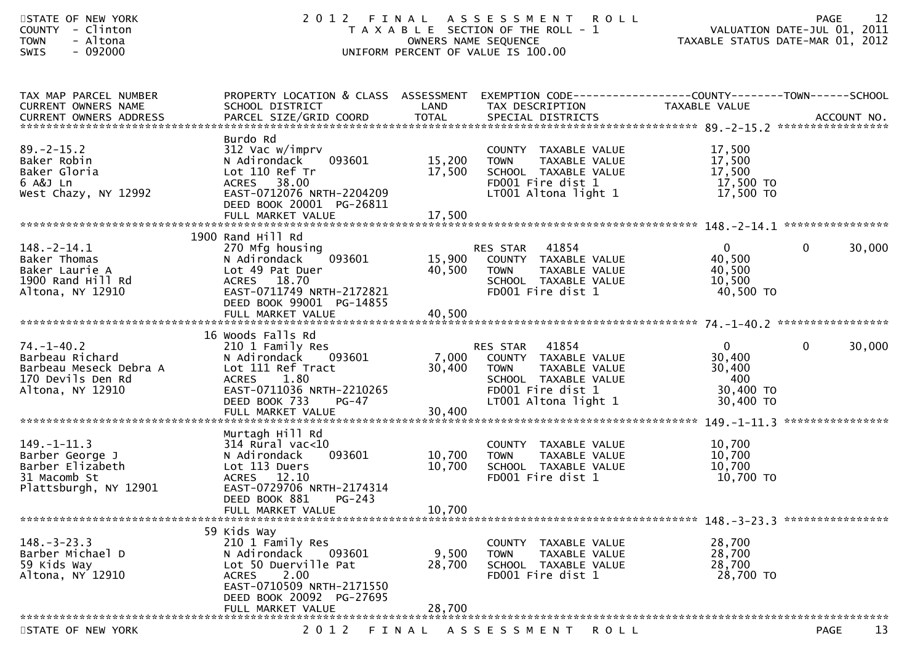| STATE OF NEW YORK<br>- Clinton<br><b>COUNTY</b><br>- Altona<br><b>TOWN</b><br>SWIS<br>$-092000$        | 2 0 1 2                                                                                                                                                                                                         | OWNERS NAME SEQUENCE       | FINAL ASSESSMENT ROLL<br>T A X A B L E SECTION OF THE ROLL - 1<br>UNIFORM PERCENT OF VALUE IS 100.00                                           | VALUATION DATE-JUL 01, 2011<br>TAXABLE STATUS DATE-MAR 01, 2012   | 12<br><b>PAGE</b>      |
|--------------------------------------------------------------------------------------------------------|-----------------------------------------------------------------------------------------------------------------------------------------------------------------------------------------------------------------|----------------------------|------------------------------------------------------------------------------------------------------------------------------------------------|-------------------------------------------------------------------|------------------------|
| TAX MAP PARCEL NUMBER<br>CURRENT OWNERS NAME                                                           | PROPERTY LOCATION & CLASS ASSESSMENT EXEMPTION CODE----------------COUNTY-------TOWN------SCHOOL<br>SCHOOL DISTRICT<br>CURRENT OWNERS ADDRESS PARCEL SIZE/GRID COORD TOTAL SPECIAL DISTRICTS (2007) ACCOUNT NO. | LAND                       | TAX DESCRIPTION                                                                                                                                | TAXABLE VALUE                                                     |                        |
| $89. - 2 - 15.2$<br>Baker Robin<br>Baker Gloria<br>6 A&J Ln<br>West Chazy, NY 12992                    | Burdo Rd<br>312 Vac w/imprv<br>N Adirondack<br>093601<br>Lot 110 Ref Tr<br>38.00<br><b>ACRES</b><br>EAST-0712076 NRTH-2204209<br>DEED BOOK 20001 PG-26811                                                       | 15,200<br>17,500           | COUNTY TAXABLE VALUE<br><b>TOWN</b><br>TAXABLE VALUE<br>SCHOOL TAXABLE VALUE<br>FD001 Fire dist 1<br>LT001 Altona light 1                      | 17,500<br>17,500<br>17,500<br>17,500 TO<br>17,500 TO              |                        |
|                                                                                                        |                                                                                                                                                                                                                 |                            |                                                                                                                                                |                                                                   |                        |
| $148. - 2 - 14.1$<br>Baker Thomas<br>Baker Laurie A<br>1900 Rand Hill Rd<br>Altona, NY 12910           | 1900 Rand Hill Rd<br>270 Mfg housing<br>093601<br>N Adirondack<br>Lot 49 Pat Duer<br>18.70<br><b>ACRES</b><br>EAST-0711749 NRTH-2172821<br>DEED BOOK 99001 PG-14855                                             | 15,900<br>40,500           | 41854<br>RES STAR<br>COUNTY TAXABLE VALUE<br>TAXABLE VALUE<br><b>TOWN</b><br>SCHOOL TAXABLE VALUE<br>FD001 Fire dist 1                         | $\mathbf{0}$<br>40,500<br>40,500<br>10,500<br>40,500 TO           | 30,000<br>$\mathbf{0}$ |
|                                                                                                        |                                                                                                                                                                                                                 |                            |                                                                                                                                                |                                                                   |                        |
| $74. - 1 - 40.2$<br>Barbeau Richard<br>Barbeau Meseck Debra A<br>170 Devils Den Rd<br>Altona, NY 12910 | 16 Woods Falls Rd<br>210 1 Family Res<br>N Adirondack<br>093601<br>Lot 111 Ref Tract<br>1.80<br><b>ACRES</b><br>EAST-0711036 NRTH-2210265<br>DEED BOOK 733<br>$PG-47$                                           | 7,000<br>30,400            | 41854<br>RES STAR<br>COUNTY TAXABLE VALUE<br>TAXABLE VALUE<br><b>TOWN</b><br>SCHOOL TAXABLE VALUE<br>FD001 Fire dist 1<br>LT001 Altona light 1 | $\mathbf{0}$<br>30,400<br>30,400<br>400<br>30,400 TO<br>30,400 TO | $\mathbf{0}$<br>30,000 |
|                                                                                                        | Murtagh Hill Rd                                                                                                                                                                                                 |                            |                                                                                                                                                |                                                                   |                        |
| $149. - 1 - 11.3$<br>Barber George J<br>Barber Elizabeth<br>31 Macomb St<br>Plattsburgh, NY 12901      | $314$ Rural vac<10<br>093601<br>N Adirondack<br>Lot 113 Duers<br>ACRES 12.10<br>EAST-0729706 NRTH-2174314<br>DEED BOOK 881<br>PG-243                                                                            | 10,700<br>10,700<br>10,700 | COUNTY TAXABLE VALUE<br><b>TOWN</b><br>TAXABLE VALUE<br>SCHOOL TAXABLE VALUE<br>FD001 Fire dist 1                                              | 10,700<br>10,700<br>10,700<br>10,700 TO                           |                        |
|                                                                                                        | FULL MARKET VALUE                                                                                                                                                                                               |                            |                                                                                                                                                |                                                                   |                        |
| $148. - 3 - 23.3$<br>Barber Michael D<br>59 Kids Way<br>Altona, NY 12910                               | 59 Kids Way<br>210 1 Family Res<br>N Adirondack<br>093601<br>Lot 50 Duerville Pat<br>2.00<br><b>ACRES</b><br>EAST-0710509 NRTH-2171550<br>DEED BOOK 20092 PG-27695                                              | 9,500<br>28,700            | COUNTY<br>TAXABLE VALUE<br><b>TOWN</b><br>TAXABLE VALUE<br>SCHOOL TAXABLE VALUE<br>FD001 Fire dist 1                                           | 28,700<br>28,700<br>28,700<br>28,700 TO                           |                        |
|                                                                                                        | FULL MARKET VALUE                                                                                                                                                                                               | 28,700                     |                                                                                                                                                |                                                                   |                        |
| STATE OF NEW YORK                                                                                      | 2 0 1 2                                                                                                                                                                                                         | FINAL                      | A S S E S S M E N T<br>ROLL                                                                                                                    |                                                                   | 13<br><b>PAGE</b>      |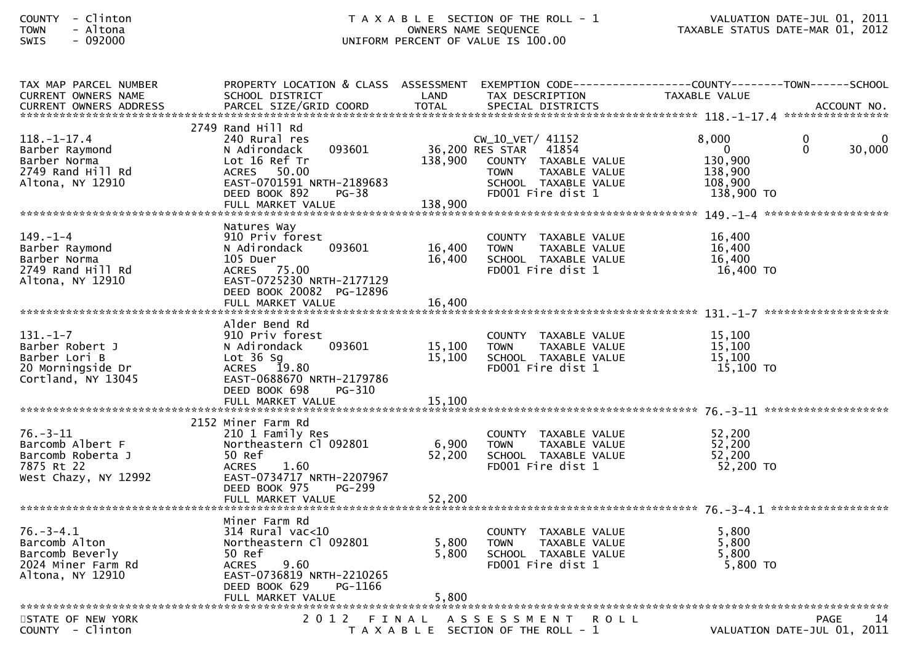| TAX MAP PARCEL NUMBER<br><b>CURRENT OWNERS NAME</b>                                           | PROPERTY LOCATION & CLASS ASSESSMENT<br>SCHOOL DISTRICT                                                                                                                         | LAND                      | TAX DESCRIPTION                                                                                                                                | EXEMPTION CODE------------------COUNTY--------TOWN------SCHOOL<br>TAXABLE VALUE                                   |
|-----------------------------------------------------------------------------------------------|---------------------------------------------------------------------------------------------------------------------------------------------------------------------------------|---------------------------|------------------------------------------------------------------------------------------------------------------------------------------------|-------------------------------------------------------------------------------------------------------------------|
| $118. - 1 - 17.4$<br>Barber Raymond<br>Barber Norma<br>2749 Rand Hill Rd<br>Altona, NY 12910  | 2749 Rand Hill Rd<br>240 Rural res<br>093601<br>N Adirondack<br>Lot 16 Ref Tr<br>50.00<br>ACRES<br>EAST-0701591 NRTH-2189683<br>DEED BOOK 892<br>$PG-38$<br>FULL MARKET VALUE   | 138,900<br>138,900        | CW_10_VET/ 41152<br>36,200 RES STAR 41854<br>COUNTY TAXABLE VALUE<br>TAXABLE VALUE<br><b>TOWN</b><br>SCHOOL TAXABLE VALUE<br>FD001 Fire dist 1 | 8,000<br>$\mathbf{0}$<br>0<br>$\overline{0}$<br>$\Omega$<br>30,000<br>130,900<br>138,900<br>108,900<br>138,900 TO |
| $149. - 1 - 4$<br>Barber Raymond<br>Barber Norma<br>2749 Rand Hill Rd<br>Altona, NY 12910     | Natures Way<br>910 Priv forest<br>093601<br>N Adirondack<br>105 Duer<br>ACRES 75.00<br>EAST-0725230 NRTH-2177129<br>DEED BOOK 20082 PG-12896                                    | 16,400<br>16,400          | COUNTY TAXABLE VALUE<br><b>TOWN</b><br>TAXABLE VALUE<br>SCHOOL TAXABLE VALUE<br>FD001 Fire dist 1                                              | 16,400<br>16,400<br>16,400<br>16,400 TO                                                                           |
| $131. - 1 - 7$<br>Barber Robert J<br>Barber Lori B<br>20 Morningside Dr<br>Cortland, NY 13045 | Alder Bend Rd<br>910 Priv forest<br>093601<br>N Adirondack<br>Lot $36$ Sg<br>ACRES 19.80<br>EAST-0688670 NRTH-2179786<br>DEED BOOK 698<br>PG-310                                | 15,100<br>15,100          | COUNTY TAXABLE VALUE<br><b>TOWN</b><br>TAXABLE VALUE<br>SCHOOL TAXABLE VALUE<br>FD001 Fire dist 1                                              | 15,100<br>15,100<br>15,100<br>15,100 TO                                                                           |
| $76. - 3 - 11$<br>Barcomb Albert F<br>Barcomb Roberta J<br>7875 Rt 22<br>West Chazy, NY 12992 | 2152 Miner Farm Rd<br>210 1 Family Res<br>Northeastern Cl 092801<br>50 Ref<br><b>ACRES</b><br>1.60<br>EAST-0734717 NRTH-2207967<br>DEED BOOK 975<br>PG-299<br>FULL MARKET VALUE | 6,900<br>52,200<br>52,200 | COUNTY TAXABLE VALUE<br><b>TOWN</b><br>TAXABLE VALUE<br>SCHOOL TAXABLE VALUE<br>FD001 Fire dist 1                                              | 52,200<br>52,200<br>52,200<br>52,200 TO                                                                           |
| $76. - 3 - 4.1$<br>Barcomb Alton<br>Barcomb Beverly<br>2024 Miner Farm Rd<br>Altona, NY 12910 | Miner Farm Rd<br>$314$ Rural vac<10<br>Northeastern Cl 092801<br>50 Ref<br>9.60<br><b>ACRES</b><br>EAST-0736819 NRTH-2210265<br>PG-1166<br>DEED BOOK 629                        | 5,800<br>5,800            | COUNTY TAXABLE VALUE<br><b>TOWN</b><br>TAXABLE VALUE<br>SCHOOL TAXABLE VALUE<br>FD001 Fire dist 1                                              | 5.800<br>5,800<br>5,800<br>$5,800$ TO                                                                             |
| STATE OF NEW YORK<br>COUNTY - Clinton                                                         | 2012                                                                                                                                                                            |                           | FINAL ASSESSMENT<br><b>ROLL</b><br>T A X A B L E SECTION OF THE ROLL - 1                                                                       | PAGE<br>14<br>VALUATION DATE-JUL 01, 2011                                                                         |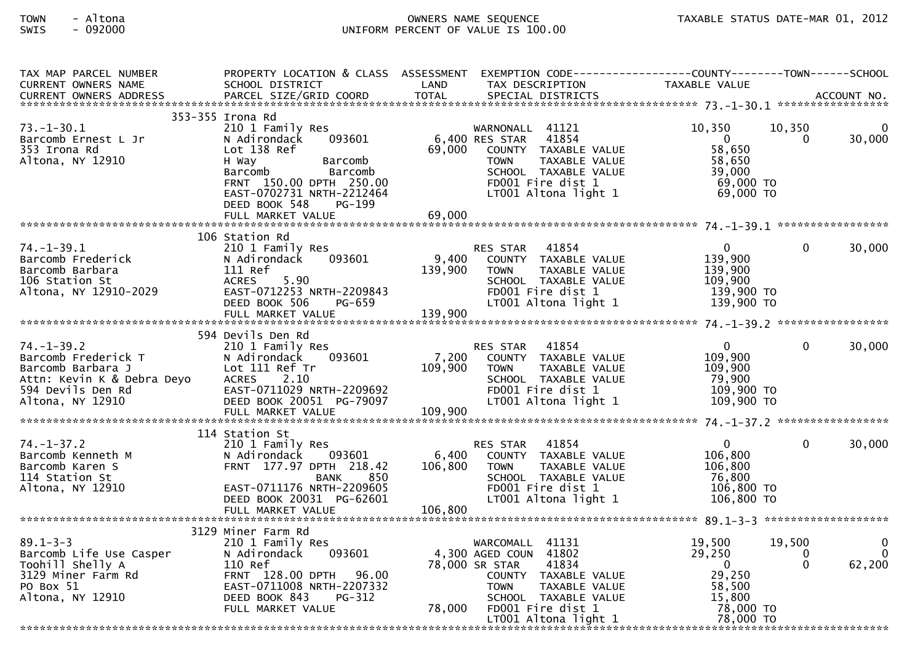| TAX MAP PARCEL NUMBER                                                                                                                                         | PROPERTY LOCATION & CLASS ASSESSMENT                                                             |                                                                                                | EXEMPTION CODE-----------------COUNTY--------TOWN------SCHOOL                                                     | TAXABLE VALUE                 |             |                    |
|---------------------------------------------------------------------------------------------------------------------------------------------------------------|--------------------------------------------------------------------------------------------------|------------------------------------------------------------------------------------------------|-------------------------------------------------------------------------------------------------------------------|-------------------------------|-------------|--------------------|
|                                                                                                                                                               |                                                                                                  |                                                                                                |                                                                                                                   |                               |             |                    |
|                                                                                                                                                               | 353-355 Irona Rd                                                                                 |                                                                                                |                                                                                                                   |                               |             |                    |
| $73. - 1 - 30.1$<br>Barcomb Ernest L Jr                                                                                                                       | 210 1 Family Res<br>093601<br>N Adirondack                                                       |                                                                                                | WARNONALL 41121<br>6,400 RES STAR<br>41854                                                                        | 10,350<br>$\overline{0}$      | 10,350<br>0 | $\Omega$<br>30,000 |
| 353 Irona Rd<br>Altona, NY 12910                                                                                                                              | Lot 138 Ref<br>H Way<br>Barcomb<br>Barcomb<br>Barcomb                                            | 69,000                                                                                         | COUNTY TAXABLE VALUE<br>TAXABLE VALUE<br><b>TOWN</b><br>TOWN TAXADLL<br>SCHOOL TAXABLE VALUE<br>TRAN1 Fire dist 1 | 58,650<br>58,650<br>39,000    |             |                    |
|                                                                                                                                                               | FRNT 150.00 DPTH 250.00<br>EAST-0702731 NRTH-2212464<br>DEED BOOK 548<br>PG-199                  |                                                                                                | FD001 Fire dist 1 69,000 TO<br>LT001 Altona light 1 69,000 TO                                                     |                               |             |                    |
|                                                                                                                                                               |                                                                                                  |                                                                                                |                                                                                                                   |                               |             |                    |
|                                                                                                                                                               |                                                                                                  |                                                                                                |                                                                                                                   |                               |             |                    |
| $74. - 1 - 39.1$                                                                                                                                              | 106 Station Rd<br>210 1 Family Res                                                               |                                                                                                | RES STAR 41854                                                                                                    | $\mathbf{0}$                  | $\Omega$    | 30,000             |
|                                                                                                                                                               | 093601<br>N Adirondack                                                                           | 9,400                                                                                          | COUNTY TAXABLE VALUE                                                                                              | 139,900                       |             |                    |
| Barcomb Frederick<br>Barcomb Barbara<br>106 Station St<br>Altona, NY 12910-2029                                                                               | 111 Ref                                                                                          | 139,900                                                                                        | <b>TOWN</b><br>TAXABLE VALUE                                                                                      | 139,900                       |             |                    |
|                                                                                                                                                               | 5.90<br><b>ACRES</b>                                                                             |                                                                                                | SCHOOL TAXABLE VALUE                                                                                              | 109,900                       |             |                    |
|                                                                                                                                                               |                                                                                                  |                                                                                                | FD001 Fire dist 1                                                                                                 | 139,900 TO                    |             |                    |
|                                                                                                                                                               | DEED BOOK 506<br>PG-659                                                                          |                                                                                                | $LT001$ Altona light 1 $139,900$ TO                                                                               |                               |             |                    |
|                                                                                                                                                               |                                                                                                  |                                                                                                |                                                                                                                   |                               |             |                    |
|                                                                                                                                                               |                                                                                                  |                                                                                                |                                                                                                                   |                               |             |                    |
|                                                                                                                                                               | 594 Devils Den Rd                                                                                |                                                                                                |                                                                                                                   |                               |             |                    |
| $74. - 1 - 39.2$                                                                                                                                              | 210 1 Family Res                                                                                 |                                                                                                | RES STAR 41854                                                                                                    | $\overline{0}$                | $\Omega$    | 30,000             |
|                                                                                                                                                               | 093601<br>N Adirondack<br>Lot 111 Ref Tr                                                         | $\begin{array}{c} 7,200 \\ 109 \text{ }^{\circ} \text{ }^{\circ} \text{ }^{\circ} \end{array}$ | COUNTY TAXABLE VALUE                                                                                              | 109,900<br>109,900            |             |                    |
|                                                                                                                                                               | <b>ACRES</b><br>2.10                                                                             |                                                                                                | TOWN<br>TAXABLE VALUE<br>SCHOOL TAXABLE VALUE                                                                     | 79,900                        |             |                    |
|                                                                                                                                                               |                                                                                                  |                                                                                                | FD001 Fire dist 1                                                                                                 | 109,900 TO                    |             |                    |
|                                                                                                                                                               |                                                                                                  |                                                                                                | LT001 Altona light 1                                                                                              | $109,900$ TO                  |             |                    |
| Cuerick T<br>Darcomb Barbara J<br>Attn: Kevin K & Debra Deyo<br>594 Devils Den Rd<br>11tona, NY 12910 Density<br>11tona, NY 12910 Density<br>11tona, NY 12910 | ACRES 2.10<br>EAST-0711029 NRTH-2209692<br>DEED BOOK 20051 PG-79097<br>FULL MARKET VALUE 109,900 |                                                                                                |                                                                                                                   |                               |             |                    |
|                                                                                                                                                               |                                                                                                  |                                                                                                |                                                                                                                   |                               |             |                    |
|                                                                                                                                                               | 114 Station St                                                                                   |                                                                                                |                                                                                                                   |                               |             |                    |
| 74.-1-37.2<br>Barcomb Kenneth M<br>Parcomb Karen S                                                                                                            | 210 1 Family Res                                                                                 |                                                                                                | RES STAR 41854                                                                                                    | $\mathbf{0}$                  | $\Omega$    | 30,000             |
|                                                                                                                                                               | 093601<br>N Adirondack                                                                           | 6,400                                                                                          | COUNTY TAXABLE VALUE                                                                                              | 106,800                       |             |                    |
|                                                                                                                                                               | FRNT 177.97 DPTH 218.42                                                                          | 106,800                                                                                        | TAXABLE VALUE<br>TOWN                                                                                             | 106,800<br>00, 106<br>76, 800 |             |                    |
|                                                                                                                                                               | BANK<br>850                                                                                      |                                                                                                | SCHOOL TAXABLE VALUE                                                                                              |                               |             |                    |
| Altona, NY 12910                                                                                                                                              | EAST-0711176 NRTH-2209605                                                                        |                                                                                                | FD001 Fire dist 1                                                                                                 | 106,800 TO                    |             |                    |
|                                                                                                                                                               | DEED BOOK 20031 PG-62601                                                                         |                                                                                                | LT001 Altona light 1                                                                                              | 106,800 TO                    |             |                    |
|                                                                                                                                                               |                                                                                                  |                                                                                                |                                                                                                                   |                               |             |                    |
|                                                                                                                                                               | 3129 Miner Farm Rd                                                                               |                                                                                                |                                                                                                                   |                               |             |                    |
| $89.1 - 3 - 3$                                                                                                                                                | 210 1 Family Res                                                                                 |                                                                                                | WARCOMALL 41131                                                                                                   | 19,500                        | 19,500      | 0                  |
|                                                                                                                                                               | N Adirondack 093601                                                                              |                                                                                                | 4,300 AGED COUN 41802                                                                                             | 29,250                        | 0           | $\Omega$           |
|                                                                                                                                                               | 110 Ref                                                                                          |                                                                                                | 78,000 SR STAR<br>41834                                                                                           | $\overline{0}$                | $\Omega$    | 62,200             |
| Barcomb Life Use Casper<br>Toohill Shelly A<br>3129 Miner Farm Rd<br>PO Box 51<br>Altona, NY 12910                                                            | FRNT 128.00 DPTH 96.00                                                                           |                                                                                                | COUNTY TAXABLE VALUE                                                                                              | 29,250                        |             |                    |
|                                                                                                                                                               | EAST-0711008 NRTH-2207332                                                                        |                                                                                                | TAXABLE VALUE<br><b>TOWN</b>                                                                                      | 58,500                        |             |                    |
|                                                                                                                                                               | DEED BOOK 843<br>PG-312                                                                          |                                                                                                | SCHOOL TAXABLE VALUE                                                                                              | 15,800                        |             |                    |
|                                                                                                                                                               | FULL MARKET VALUE                                                                                |                                                                                                | 78,000 FD001 Fire dist 1                                                                                          | $78,000$ TO<br>$78,000$ TO    |             |                    |
|                                                                                                                                                               |                                                                                                  |                                                                                                | LT001 Altona light 1                                                                                              |                               |             |                    |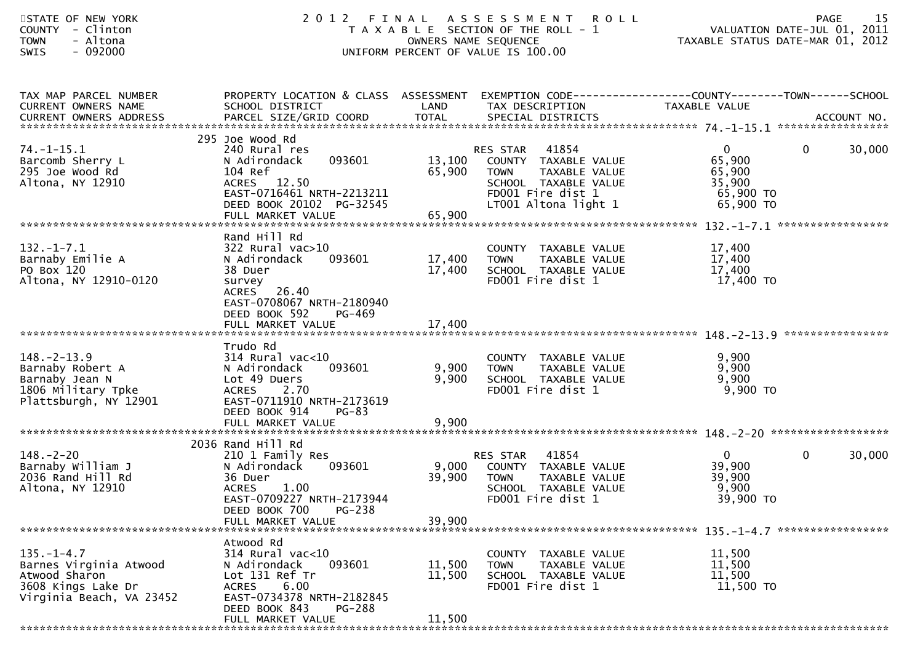| STATE OF NEW YORK<br>- Clinton<br><b>COUNTY</b><br>- Altona<br><b>TOWN</b><br>$-092000$<br>SWIS               | 2012 FINAL                                                                                                                                                                              |                            | A S S E S S M E N T<br><b>ROLL</b><br>T A X A B L E SECTION OF THE ROLL - 1<br>OWNERS NAME SEQUENCE<br>UNIFORM PERCENT OF VALUE IS 100.00      | VALUATION DATE-JUL 01, 2011<br>TAXABLE STATUS DATE-MAR 01, 2012      | 15<br><b>PAGE</b>      |
|---------------------------------------------------------------------------------------------------------------|-----------------------------------------------------------------------------------------------------------------------------------------------------------------------------------------|----------------------------|------------------------------------------------------------------------------------------------------------------------------------------------|----------------------------------------------------------------------|------------------------|
| TAX MAP PARCEL NUMBER<br>CURRENT OWNERS NAME<br><b>CURRENT OWNERS ADDRESS</b>                                 | PROPERTY LOCATION & CLASS ASSESSMENT<br>SCHOOL DISTRICT<br>PARCEL SIZE/GRID COORD                                                                                                       | LAND<br><b>TOTAL</b>       | EXEMPTION CODE------------------COUNTY--------TOWN------SCHOOL<br>TAX DESCRIPTION<br>SPECIAL DISTRICTS                                         | TAXABLE VALUE                                                        | ACCOUNT NO.            |
| $74. - 1 - 15.1$<br>Barcomb Sherry L<br>295 Joe Wood Rd<br>Altona, NY 12910                                   | 295 Joe Wood Rd<br>240 Rural res<br>093601<br>N Adirondack<br>104 Ref<br>ACRES 12.50<br>EAST-0716461 NRTH-2213211<br>DEED BOOK 20102 PG-32545                                           | 13,100<br>65,900           | 41854<br>RES STAR<br>COUNTY TAXABLE VALUE<br>TAXABLE VALUE<br><b>TOWN</b><br>SCHOOL TAXABLE VALUE<br>FD001 Fire dist 1<br>LT001 Altona light 1 | $\mathbf{0}$<br>65,900<br>65,900<br>35,900<br>65,900 TO<br>65,900 TO | $\mathbf{0}$<br>30,000 |
| $132. - 1 - 7.1$<br>Barnaby Emilie A<br>PO Box 120<br>Altona, NY 12910-0120                                   | Rand Hill Rd<br>$322$ Rural vac $>10$<br>N Adirondack<br>093601<br>38 Duer<br>survey<br>ACRES 26.40<br>EAST-0708067 NRTH-2180940<br>DEED BOOK 592<br>PG-469<br>FULL MARKET VALUE        | 17,400<br>17,400<br>17,400 | COUNTY TAXABLE VALUE<br>TAXABLE VALUE<br><b>TOWN</b><br>SCHOOL TAXABLE VALUE<br>FD001 Fire dist 1                                              | 17,400<br>17,400<br>17,400<br>17,400 TO                              |                        |
| $148. - 2 - 13.9$<br>Barnaby Robert A<br>Barnaby Jean N<br>1806 Military Tpke<br>Plattsburgh, NY 12901        | Trudo Rd<br>$314$ Rural vac< $10$<br>N Adirondack<br>093601<br>Lot 49 Duers<br><b>ACRES</b><br>2.70<br>EAST-0711910 NRTH-2173619<br>DEED BOOK 914<br>$PG-83$                            | 9,900<br>9,900             | COUNTY TAXABLE VALUE<br><b>TOWN</b><br>TAXABLE VALUE<br>SCHOOL TAXABLE VALUE<br>FD001 Fire dist 1                                              | 9,900<br>9,900<br>9,900<br>9,900 TO                                  |                        |
|                                                                                                               | 2036 Rand Hill Rd                                                                                                                                                                       |                            |                                                                                                                                                |                                                                      |                        |
| $148. - 2 - 20$<br>Barnaby William J<br>2036 Rand Hill Rd<br>Altona, NY 12910                                 | 210 1 Family Res<br>093601<br>N Adirondack<br>36 Duer<br>1.00<br><b>ACRES</b><br>EAST-0709227 NRTH-2173944<br>DEED BOOK 700<br><b>PG-238</b>                                            | 9,000<br>39,900            | 41854<br>RES STAR<br>COUNTY TAXABLE VALUE<br><b>TOWN</b><br>TAXABLE VALUE<br>SCHOOL TAXABLE VALUE<br>FD001 Fire dist 1                         | $\mathbf 0$<br>39,900<br>39,900<br>9,900<br>39,900 TO                | $\mathbf 0$<br>30,000  |
|                                                                                                               | FULL MARKET VALUE                                                                                                                                                                       | 39,900                     |                                                                                                                                                |                                                                      |                        |
| $135. - 1 - 4.7$<br>Barnes Virginia Atwood<br>Atwood Sharon<br>3608 Kings Lake Dr<br>Virginia Beach, VA 23452 | Atwood Rd<br>$314$ Rural vac<10<br>N Adirondack<br>093601<br>Lot 131 Ref Tr<br>6.00<br><b>ACRES</b><br>EAST-0734378 NRTH-2182845<br>DEED BOOK 843<br><b>PG-288</b><br>FULL MARKET VALUE | 11,500<br>11,500<br>11,500 | COUNTY TAXABLE VALUE<br><b>TOWN</b><br>TAXABLE VALUE<br>SCHOOL TAXABLE VALUE<br>FD001 Fire dist 1                                              | 11,500<br>11,500<br>11,500<br>11,500 TO                              |                        |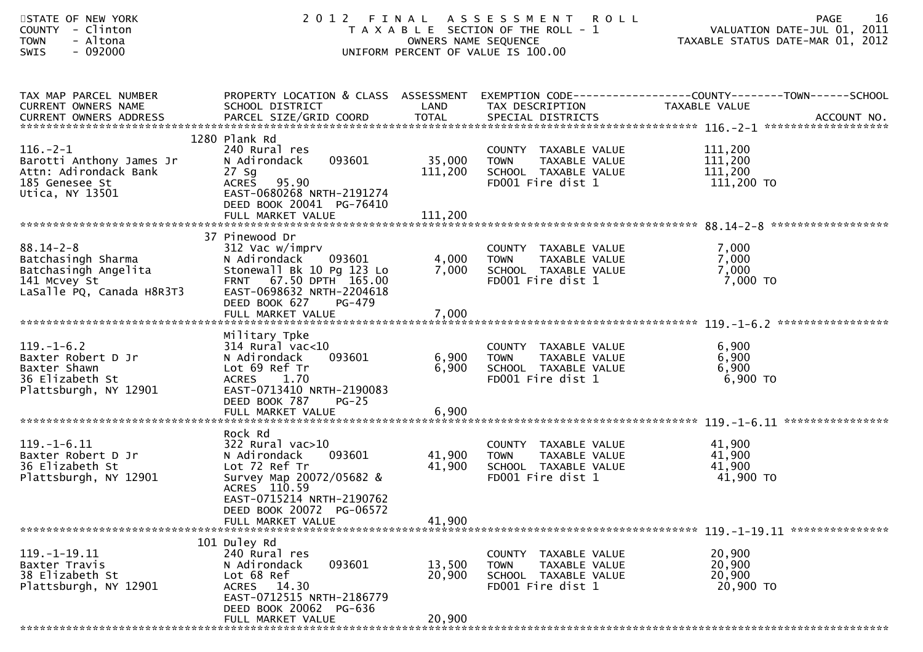| STATE OF NEW YORK<br>- Clinton<br><b>COUNTY</b><br>- Altona<br><b>TOWN</b><br>$-092000$<br>SWIS            | 2 0 1 2                                                                                                                                                                                               |                            | FINAL ASSESSMENT<br><b>ROLL</b><br>T A X A B L E SECTION OF THE ROLL - 1<br>OWNERS NAME SEQUENCE<br>UNIFORM PERCENT OF VALUE IS 100.00 | 16<br>PAGE<br>VALUATION DATE-JUL 01, 2011<br>TAXABLE STATUS DATE-MAR 01, 2012 |
|------------------------------------------------------------------------------------------------------------|-------------------------------------------------------------------------------------------------------------------------------------------------------------------------------------------------------|----------------------------|----------------------------------------------------------------------------------------------------------------------------------------|-------------------------------------------------------------------------------|
| TAX MAP PARCEL NUMBER<br>CURRENT OWNERS NAME                                                               | PROPERTY LOCATION & CLASS ASSESSMENT<br>SCHOOL DISTRICT                                                                                                                                               | LAND                       | TAX DESCRIPTION                                                                                                                        | EXEMPTION CODE-----------------COUNTY--------TOWN-----SCHOOL<br>TAXABLE VALUE |
| $116. - 2 - 1$<br>Barotti Anthony James Jr<br>Attn: Adirondack Bank<br>185 Genesee St<br>Utica, NY 13501   | 1280 Plank Rd<br>240 Rural res<br>N Adirondack<br>093601<br>$27$ Sg<br>95.90<br><b>ACRES</b><br>EAST-0680268 NRTH-2191274<br>DEED BOOK 20041 PG-76410                                                 | 35,000<br>111,200          | COUNTY TAXABLE VALUE<br>TAXABLE VALUE<br><b>TOWN</b><br>SCHOOL TAXABLE VALUE<br>FD001 Fire dist 1                                      | 111,200<br>111,200<br>111,200<br>111,200 TO                                   |
| $88.14 - 2 - 8$<br>Batchasingh Sharma<br>Batchasingh Angelita<br>141 Mcvey St<br>LaSalle PQ, Canada H8R3T3 | 37 Pinewood Dr<br>312 Vac w/imprv<br>N Adirondack<br>093601<br>Stonewall Bk 10 Pg 123 Lo<br>67.50 DPTH 165.00<br><b>FRNT</b><br>EAST-0698632 NRTH-2204618<br>DEED BOOK 627<br>PG-479                  | 4,000<br>7,000             | COUNTY TAXABLE VALUE<br><b>TOWN</b><br>TAXABLE VALUE<br>SCHOOL TAXABLE VALUE<br>FD001 Fire dist 1                                      | 7,000<br>7,000<br>7,000<br>$7,000$ TO                                         |
|                                                                                                            |                                                                                                                                                                                                       |                            |                                                                                                                                        |                                                                               |
| $119. - 1 - 6.2$<br>Baxter Robert D Jr<br>Baxter Shawn<br>36 Elizabeth St<br>Plattsburgh, NY 12901         | Military Tpke<br>$314$ Rural vac< $10$<br>093601<br>N Adirondack<br>Lot 69 Ref Tr<br><b>ACRES</b><br>1.70<br>EAST-0713410 NRTH-2190083<br>DEED BOOK 787<br>$PG-25$                                    | 6,900<br>6,900             | COUNTY TAXABLE VALUE<br>TAXABLE VALUE<br><b>TOWN</b><br>SCHOOL TAXABLE VALUE<br>FD001 Fire dist 1                                      | 6,900<br>6,900<br>6,900<br>6,900 TO                                           |
| $119. - 1 - 6.11$<br>Baxter Robert D Jr<br>36 Elizabeth St<br>Plattsburgh, NY 12901                        | Rock Rd<br>$322$ Rural vac $>10$<br>093601<br>N Adirondack<br>Lot 72 Ref Tr<br>Survey Map 20072/05682 &<br>ACRES 110.59<br>EAST-0715214 NRTH-2190762<br>DEED BOOK 20072 PG-06572<br>FULL MARKET VALUE | 41,900<br>41,900<br>41,900 | COUNTY TAXABLE VALUE<br><b>TOWN</b><br>TAXABLE VALUE<br>SCHOOL TAXABLE VALUE<br>FD001 Fire dist 1                                      | 41,900<br>41,900<br>41,900<br>41,900 TO                                       |
|                                                                                                            | 101 Duley Rd                                                                                                                                                                                          |                            |                                                                                                                                        |                                                                               |
| $119. - 1 - 19.11$<br>Baxter Travis<br>38 Elizabeth St<br>Plattsburgh, NY 12901                            | 240 Rural res<br>093601<br>N Adirondack<br>Lot 68 Ref<br>ACRES 14.30<br>EAST-0712515 NRTH-2186779<br>DEED BOOK 20062 PG-636<br>FULL MARKET VALUE                                                      | 13,500<br>20,900<br>20,900 | COUNTY TAXABLE VALUE<br>TAXABLE VALUE<br><b>TOWN</b><br>SCHOOL TAXABLE VALUE<br>FD001 Fire dist 1                                      | 20,900<br>20,900<br>20,900<br>20,900 TO                                       |
|                                                                                                            |                                                                                                                                                                                                       |                            |                                                                                                                                        |                                                                               |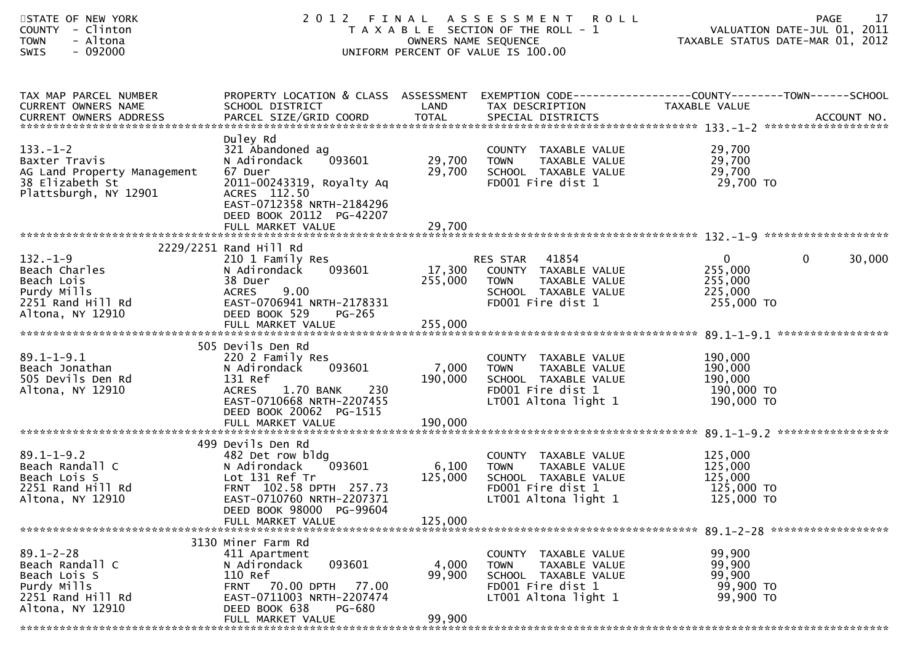| STATE OF NEW YORK<br>COUNTY - Clinton<br>- Altona<br><b>TOWN</b><br><b>SWIS</b><br>- 092000                                             |                                                                                                                                                                                  |                                       | 2012 FINAL ASSESSMENT ROLL<br>T A X A B L E SECTION OF THE ROLL - 1<br>OWNERS NAME SEQUENCE<br>UNIFORM PERCENT OF VALUE IS 100.00 | ROLL - 1 VALUATION DATE-JUL 01, 2011<br>TAXABLE STATUS DATE-MAR 01, 2012 | 17<br>PAGE            |
|-----------------------------------------------------------------------------------------------------------------------------------------|----------------------------------------------------------------------------------------------------------------------------------------------------------------------------------|---------------------------------------|-----------------------------------------------------------------------------------------------------------------------------------|--------------------------------------------------------------------------|-----------------------|
| TAX MAP PARCEL NUMBER<br>CURRENT OWNERS NAME<br>CURRENT OWNERS ADDRESS                                                                  | PROPERTY LOCATION & CLASS ASSESSMENT EXEMPTION CODE----------------COUNTY-------TOWN------SCHOOL<br>SCHOOL DISTRICT<br><b>Example 2018 LAND</b>                                  |                                       | TAX DESCRIPTION                                                                                                                   | TAXABLE VALUE                                                            |                       |
| $133. - 1 - 2$<br>Baxter Travis<br>AG Land Property Management<br>38 Elizabeth St<br>Plattsburgh, NY 12901                              | Duley Rd<br>321 Abandoned ag<br>093601<br>N Adirondack<br>67 Duer<br>2011-00243319, Royalty Aq<br>ACRES 112.50<br>EAST-0712358 NRTH-2184296<br>DEED BOOK 20112 PG-42207          | 29,700<br>29,700                      | COUNTY TAXABLE VALUE<br><b>TOWN</b><br>TAXABLE VALUE<br>SCHOOL TAXABLE VALUE<br>FD001 Fire dist 1                                 | 29,700<br>29,700<br>29,700<br>29,700 TO                                  |                       |
|                                                                                                                                         |                                                                                                                                                                                  |                                       |                                                                                                                                   |                                                                          |                       |
| $132. - 1 - 9$<br>Beach Charles<br>Beach Lois<br>peacul LOIS<br>Purdy Mills<br>2251 Rand Hill Rd<br>Altons WY 10016<br>Altona, NY 12910 | 2229/2251 Rand Hill Rd<br>210 1 Family Res<br>093601<br>N Adirondack<br>38 Duer<br>ACRES 9.00<br>EAST-0706941 NRTH-2178331<br>DEED BOOK 529<br>PG-265                            | 255,000                               | RES STAR 41854<br>17,300 COUNTY TAXABLE VALUE<br><b>TOWN</b><br>TAXABLE VALUE<br>SCHOOL TAXABLE VALUE<br>FD001 Fire dist 1        | $\mathbf{0}$<br>255,000<br>255,000<br>225,000<br>255,000 TO              | $\mathbf 0$<br>30,000 |
| $89.1 - 1 - 9.1$<br>Beach Jonathan<br>505 Devils Den Rd<br>Altona, NY 12910                                                             | 505 Devils Den Rd<br>220 2 Family Res<br>093601<br>N Adirondack<br>131 Ref<br>ACRES 1.70 BANK 230<br>EAST-0710668 NRTH-2207455<br>DEED BOOK 20062 PG-1515                        | 7,000 TOWN<br>190,000                 | COUNTY TAXABLE VALUE<br>TAXABLE VALUE<br>SCHOOL TAXABLE VALUE<br>FD001 Fire dist 1<br>LT001 Altona light 1                        | 190,000<br>190,000<br>190,000<br>190,000 TO<br>190,000 TO                |                       |
| $89.1 - 1 - 9.2$<br>Beach Randall C<br>Beach Lois S<br>2251 Rand Hill Rd<br>Altona, NY 12910                                            | 499 Devils Den Rd<br>482 Det row bldg<br>N Adirondack<br>Lot 131 Ref Tr<br>FRNT 102.58 DPTH 257.73<br>EAST-0710760 NRTH-2207371<br>DEED BOOK 98000 PG-99604<br>FULL MARKET VALUE | $1093601$ 6,100<br>125,000<br>125,000 | COUNTY TAXABLE VALUE<br><b>TOWN</b><br>TAXABLE VALUE<br>SCHOOL TAXABLE VALUE<br>FD001 Fire dist 1<br>LT001 Altona light 1         | 125,000<br>125,000<br>125,000<br>125,000 TO<br>125,000 TO                |                       |
| $89.1 - 2 - 28$<br>Beach Randall C<br>Beach Lois S<br>Purdy Mills<br>2251 Rand Hill Rd<br>Altona, NY 12910                              | 3130 Miner Farm Rd<br>411 Apartment<br>093601<br>N Adirondack<br>110 Ref<br>FRNT 70.00 DPTH 77.00<br>EAST-0711003 NRTH-2207474<br>DEED BOOK 638<br>PG-680<br>FULL MARKET VALUE   | 4,000<br>99,900<br>99,900             | COUNTY TAXABLE VALUE<br>TAXABLE VALUE<br><b>TOWN</b><br>SCHOOL TAXABLE VALUE<br>FD001 Fire dist 1<br>LT001 Altona light 1         | 99,900<br>99,900<br>99,900<br>99,900 TO<br>99,900 TO                     |                       |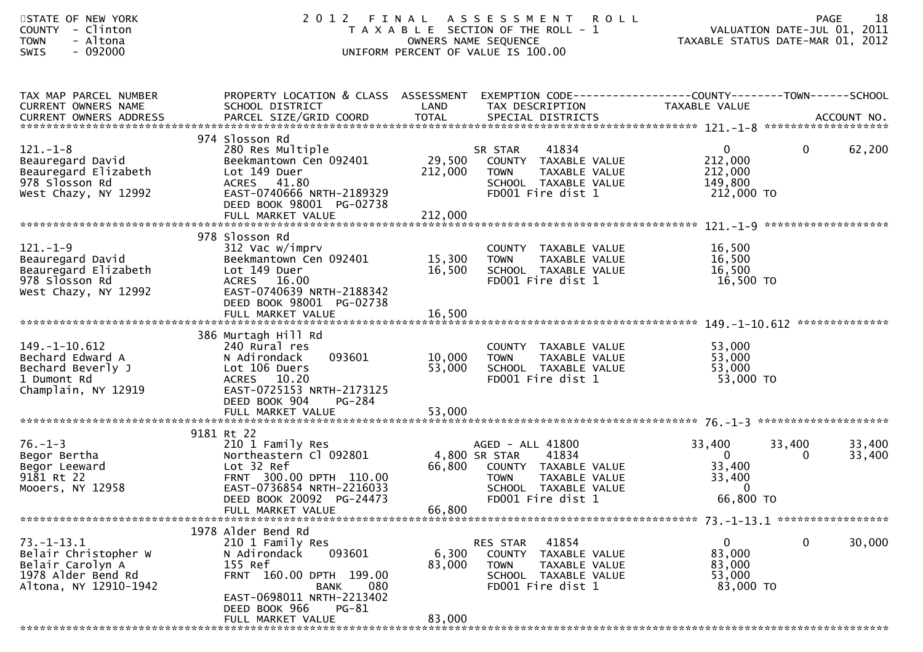| STATE OF NEW YORK<br>COUNTY - Clinton<br>- Altona<br><b>TOWN</b><br>SWIS<br>- 092000                        | 2 0 1 2                                                                                                                                                                                             | FINAL                     | A S S E S S M E N T<br><b>ROLL</b><br>T A X A B L E SECTION OF THE ROLL - 1<br>OWNERS NAME SEQUENCE<br>UNIFORM PERCENT OF VALUE IS 100.00       | VALUATION DATE-JUL 01, 2011<br>TAXABLE STATUS DATE-MAR 01, 2012 | <b>PAGE</b> | 18               |
|-------------------------------------------------------------------------------------------------------------|-----------------------------------------------------------------------------------------------------------------------------------------------------------------------------------------------------|---------------------------|-------------------------------------------------------------------------------------------------------------------------------------------------|-----------------------------------------------------------------|-------------|------------------|
| TAX MAP PARCEL NUMBER<br>CURRENT OWNERS NAME                                                                | PROPERTY LOCATION & CLASS ASSESSMENT<br>SCHOOL DISTRICT                                                                                                                                             | LAND                      | EXEMPTION CODE------------------COUNTY--------TOWN------SCHOOL<br>TAX DESCRIPTION                                                               | TAXABLE VALUE                                                   |             |                  |
| $121. - 1 - 8$<br>Beauregard David<br>Beauregard Elizabeth<br>978 Slosson Rd<br>West Chazy, NY 12992        | 974 Slosson Rd<br>280 Res Multiple<br>Beekmantown Cen 092401<br>Lot 149 Duer<br>ACRES 41.80<br>EAST-0740666 NRTH-2189329<br>DEED BOOK 98001 PG-02738                                                | 29,500<br>212,000         | 41834<br>SR STAR<br>COUNTY TAXABLE VALUE<br>TAXABLE VALUE<br><b>TOWN</b><br>SCHOOL TAXABLE VALUE<br>FD001 Fire dist 1                           | $\mathbf{0}$<br>212,000<br>212,000<br>149,800<br>212,000 TO     | $\mathbf 0$ | 62,200           |
| $121. - 1 - 9$<br>Beauregard David<br>Beauregard Elizabeth<br>978 Slosson Rd<br>West Chazy, NY 12992        | 978 Slosson Rd<br>312 Vac w/imprv<br>Beekmantown Cen 092401<br>Lot 149 Duer<br>ACRES 16.00<br>EAST-0740639 NRTH-2188342<br>DEED BOOK 98001 PG-02738                                                 | 15,300<br>16,500          | COUNTY TAXABLE VALUE<br><b>TOWN</b><br>TAXABLE VALUE<br>SCHOOL TAXABLE VALUE<br>FD001 Fire dist 1                                               | 16,500<br>16,500<br>16,500<br>16,500 TO                         |             |                  |
| $149. - 1 - 10.612$<br>Bechard Edward A<br>Bechard Beverly J<br>1 Dumont Rd<br>Champlain, NY 12919          | 386 Murtagh Hill Rd<br>240 Rural res<br>093601<br>N Adirondack<br>Lot 106 Duers<br>ACRES 10.20<br>EAST-0725153 NRTH-2173125<br>DEED BOOK 904<br>PG-284                                              | 10,000<br>53,000          | COUNTY TAXABLE VALUE<br>TAXABLE VALUE<br><b>TOWN</b><br>SCHOOL TAXABLE VALUE<br>FD001 Fire dist 1                                               | 53,000<br>53,000<br>53,000<br>53,000 TO                         |             |                  |
| $76. - 1 - 3$<br>Begor Bertha<br>Begor Leeward<br>9181 Rt 22<br>Mooers, NY 12958                            | 9181 Rt 22<br>210 1 Family Res<br>Northeastern Cl 092801<br>Lot 32 Ref<br>FRNT 300.00 DPTH 110.00<br>EAST-0736854 NRTH-2216033<br>DEED BOOK 20092 PG-24473<br>FULL MARKET VALUE                     | 66,800<br>66,800          | AGED - ALL 41800<br>4,800 SR STAR<br>41834<br>COUNTY TAXABLE VALUE<br>TAXABLE VALUE<br><b>TOWN</b><br>SCHOOL TAXABLE VALUE<br>FD001 Fire dist 1 | 33,400<br>$\overline{0}$<br>33,400<br>33,400<br>0<br>66,800 TO  | 33,400<br>0 | 33,400<br>33,400 |
| $73. - 1 - 13.1$<br>Belair Christopher W<br>Belair Carolyn A<br>1978 Alder Bend Rd<br>Altona, NY 12910-1942 | 1978 Alder Bend Rd<br>210 1 Family Res<br>093601<br>N Adirondack<br>155 Ref<br>FRNT 160.00 DPTH 199.00<br>080<br>BANK<br>EAST-0698011 NRTH-2213402<br>DEED BOOK 966<br>$PG-81$<br>FULL MARKET VALUE | 6,300<br>83,000<br>83,000 | 41854<br><b>RES STAR</b><br>COUNTY<br>TAXABLE VALUE<br>TAXABLE VALUE<br>TOWN<br>SCHOOL TAXABLE VALUE<br>FD001 Fire dist 1                       | 0<br>83,000<br>83,000<br>53,000<br>83,000 TO                    | 0           | 30,000           |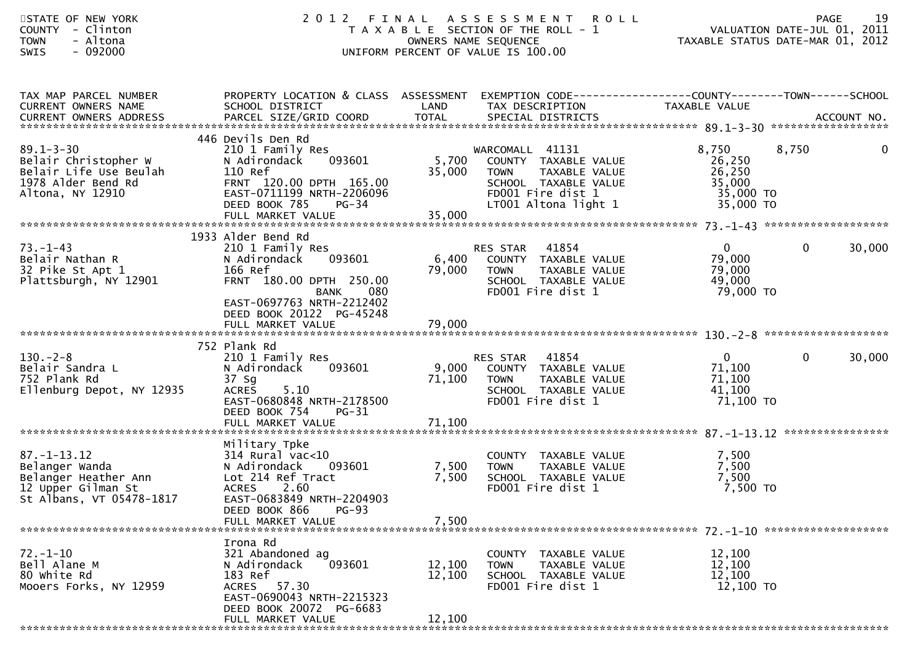| STATE OF NEW YORK<br>- Clinton<br><b>COUNTY</b><br>- Altona<br><b>TOWN</b><br>$-092000$<br><b>SWIS</b>        | 2 0 1 2                                                                                                                                                                        | FINAL                     | A S S E S S M E N T<br><b>ROLL</b><br>T A X A B L E SECTION OF THE ROLL - 1<br>OWNERS NAME SEQUENCE<br>UNIFORM PERCENT OF VALUE IS 100.00    | PAGE 19<br>VALUATION DATE-JUL 01, 2011<br>TAXARLE STATUS DATE USE 10.000<br>TAXABLE STATUS DATE-MAR 01, 2012 | <b>PAGE</b>  | 19           |
|---------------------------------------------------------------------------------------------------------------|--------------------------------------------------------------------------------------------------------------------------------------------------------------------------------|---------------------------|----------------------------------------------------------------------------------------------------------------------------------------------|--------------------------------------------------------------------------------------------------------------|--------------|--------------|
| TAX MAP PARCEL NUMBER<br>CURRENT OWNERS NAME<br>CURRENT OWNERS ADDRESS                                        | PROPERTY LOCATION & CLASS ASSESSMENT EXEMPTION CODE----------------COUNTY-------TOWN------SCHOOL<br>SCHOOL DISTRICT                                                            | LAND                      | TAX DESCRIPTION                                                                                                                              | TAXABLE VALUE                                                                                                |              |              |
| $89.1 - 3 - 30$<br>Belair Christopher W<br>Belair Life Use Beulah<br>1978 Alder Bend Rd<br>Altona, NY 12910   | 446 Devils Den Rd<br>210 1 Family Res<br>093601<br>N Adirondack<br>110 Ref<br>FRNT 120.00 DPTH 165.00<br>EAST-0711199 NRTH-2206096<br>DEED BOOK 785<br>$PG-34$                 | 5,700<br>35,000           | WARCOMALL 41131<br>COUNTY TAXABLE VALUE<br><b>TOWN</b><br>TAXABLE VALUE<br>SCHOOL TAXABLE VALUE<br>FD001 Fire dist 1<br>LT001 Altona light 1 | 8,750<br>26,250<br>26,250<br>35,000<br>35,000 TO<br>35,000 TO                                                | 8,750        | $\mathbf{0}$ |
|                                                                                                               |                                                                                                                                                                                |                           |                                                                                                                                              |                                                                                                              |              |              |
| $73. - 1 - 43$<br>Belair Nathan R<br>32 Pike St Apt 1<br>Plattsburgh, NY 12901                                | 1933 Alder Bend Rd<br>210 1 Family Res<br>N Adirondack<br>093601<br>166 Ref<br>FRNT 180.00 DPTH 250.00<br><b>BANK</b><br>080                                                   | 6,400<br>79,000           | 41854<br>RES STAR<br>COUNTY TAXABLE VALUE<br>TAXABLE VALUE<br><b>TOWN</b><br>SCHOOL TAXABLE VALUE<br>FD001 Fire dist 1                       | $\mathbf{0}$<br>79,000<br>79,000<br>49,000<br>79,000 TO                                                      | $\mathbf{0}$ | 30,000       |
|                                                                                                               | EAST-0697763 NRTH-2212402<br>DEED BOOK 20122 PG-45248                                                                                                                          |                           |                                                                                                                                              |                                                                                                              |              |              |
| $130 - 2 - 8$<br>Belair Sandra L<br>752 Plank Rd<br>Ellenburg Depot, NY 12935                                 | 752 Plank Rd<br>210 1 Family Res<br>093601<br>N Adirondack<br>37 Sg<br><b>ACRES</b><br>5.10<br>EAST-0680848 NRTH-2178500<br>DEED BOOK 754<br><b>PG-31</b><br>FULL MARKET VALUE | 9,000<br>71,100<br>71,100 | RES STAR 41854<br>COUNTY TAXABLE VALUE<br><b>TOWN</b><br>TAXABLE VALUE<br>SCHOOL TAXABLE VALUE<br>FD001 Fire dist 1                          | $\mathbf{0}$<br>71,100<br>71,100<br>41,100<br>71,100 TO                                                      | $\mathbf 0$  | 30,000       |
|                                                                                                               |                                                                                                                                                                                |                           |                                                                                                                                              |                                                                                                              |              |              |
| $87. - 1 - 13.12$<br>Belanger Wanda<br>Belanger Heather Ann<br>12 Upper Gilman St<br>St Albans, VT 05478-1817 | Military Tpke<br>$314$ Rural vac<10<br>093601<br>N Adirondack<br>Lot 214 Ref Tract<br><b>ACRES</b><br>2.60<br>EAST-0683849 NRTH-2204903                                        | 7,500<br>7,500            | COUNTY TAXABLE VALUE<br>TAXABLE VALUE<br><b>TOWN</b><br>SCHOOL TAXABLE VALUE<br>FD001 Fire dist 1                                            | 7,500<br>7,500<br>7,500<br>7,500 TO                                                                          |              |              |
|                                                                                                               | DEED BOOK 866<br><b>PG-93</b><br>FULL MARKET VALUE                                                                                                                             | 7,500                     |                                                                                                                                              |                                                                                                              |              |              |
|                                                                                                               |                                                                                                                                                                                |                           |                                                                                                                                              |                                                                                                              |              |              |
| $72. - 1 - 10$<br>Bell Alane M<br>80 white Rd<br>Mooers Forks, NY 12959                                       | Irona Rd<br>321 Abandoned ag<br>093601<br>N Adirondack<br>183 Ref<br>ACRES 57.30<br>EAST-0690043 NRTH-2215323<br>DEED BOOK 20072 PG-6683                                       | 12,100<br>12,100          | COUNTY TAXABLE VALUE<br>TAXABLE VALUE<br><b>TOWN</b><br>SCHOOL TAXABLE VALUE<br>FD001 Fire dist 1                                            | 12,100<br>12,100<br>12,100<br>12,100 TO                                                                      |              |              |
|                                                                                                               | FULL MARKET VALUE                                                                                                                                                              | 12,100                    |                                                                                                                                              |                                                                                                              |              |              |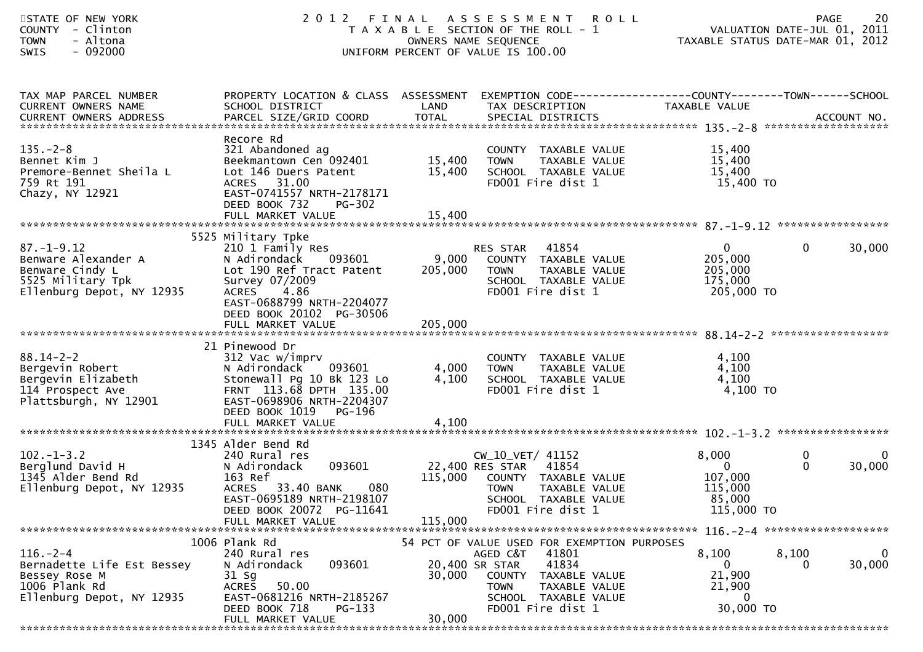| STATE OF NEW YORK<br>- Clinton<br><b>COUNTY</b><br>- Altona<br><b>TOWN</b><br>$-092000$<br><b>SWIS</b>       | 2 0 1 2                                                                                                                                                                                           |                         | FINAL ASSESSMENT<br><b>ROLL</b><br>T A X A B L E SECTION OF THE ROLL - 1<br>OWNERS NAME SEQUENCE<br>UNIFORM PERCENT OF VALUE IS 100.00                                                 | VALUATION DATE-JUL 01, 2011<br>TAXABLE STATUS DATE-MAR 01, 2012     | <b>PAGE</b>       | 20                    |
|--------------------------------------------------------------------------------------------------------------|---------------------------------------------------------------------------------------------------------------------------------------------------------------------------------------------------|-------------------------|----------------------------------------------------------------------------------------------------------------------------------------------------------------------------------------|---------------------------------------------------------------------|-------------------|-----------------------|
| TAX MAP PARCEL NUMBER<br>CURRENT OWNERS NAME<br>CURRENT OWNERS ADDRESS                                       | PROPERTY LOCATION & CLASS ASSESSMENT EXEMPTION CODE----------------COUNTY-------TOWN------SCHOOL<br>SCHOOL DISTRICT                                                                               | LAND                    | TAX DESCRIPTION                                                                                                                                                                        | TAXABLE VALUE                                                       |                   |                       |
| $135. - 2 - 8$<br>Bennet Kim J<br>Premore-Bennet Sheila L<br>759 Rt 191<br>Chazy, NY 12921                   | Recore Rd<br>321 Abandoned ag<br>Beekmantown Cen 092401<br>Lot 146 Duers Patent<br>ACRES 31.00<br>EAST-0741557 NRTH-2178171<br>DEED BOOK 732<br>PG-302                                            | 15,400<br>15,400        | COUNTY TAXABLE VALUE<br>TAXABLE VALUE<br><b>TOWN</b><br>SCHOOL TAXABLE VALUE<br>FD001 Fire dist 1                                                                                      | 15,400<br>15,400<br>15,400<br>15,400 TO                             |                   |                       |
|                                                                                                              |                                                                                                                                                                                                   |                         |                                                                                                                                                                                        |                                                                     |                   |                       |
| $87. - 1 - 9.12$<br>Benware Alexander A<br>Benware Cindy L<br>5525 Military Tpk<br>Ellenburg Depot, NY 12935 | 5525 Military Tpke<br>210 1 Family Res<br>N Adirondack<br>093601<br>Lot 190 Ref Tract Patent<br>Survey 07/2009<br>4.86<br><b>ACRES</b><br>EAST-0688799 NRTH-2204077<br>DEED BOOK 20102 PG-30506   | 9,000<br>205,000        | 41854<br>RES STAR<br>COUNTY TAXABLE VALUE<br>TAXABLE VALUE<br><b>TOWN</b><br>SCHOOL TAXABLE VALUE<br>FD001 Fire dist 1                                                                 | $\mathbf{0}$<br>205,000<br>205,000<br>175,000<br>205,000 TO         | $\mathbf 0$       | 30,000                |
| $88.14 - 2 - 2$<br>Bergevin Robert<br>Bergevin Elizabeth<br>114 Prospect Ave<br>Plattsburgh, NY 12901        | 21 Pinewood Dr<br>312 Vac w/imprv<br>093601<br>N Adirondack<br>Stonewall Pg 10 Bk 123 Lo<br>FRNT 113.68 DPTH 135.00<br>EAST-0698906 NRTH-2204307<br>DEED BOOK 1019<br>PG-196<br>FULL MARKET VALUE | 4,000<br>4,100<br>4,100 | COUNTY TAXABLE VALUE<br>TAXABLE VALUE<br>TOWN<br>SCHOOL TAXABLE VALUE<br>FD001 Fire dist 1                                                                                             | 4,100<br>4,100<br>4,100<br>4,100 TO                                 |                   |                       |
|                                                                                                              |                                                                                                                                                                                                   |                         |                                                                                                                                                                                        |                                                                     |                   |                       |
| $102. - 1 - 3.2$<br>Berglund David H<br>1345 Alder Bend Rd<br>Ellenburg Depot, NY 12935                      | 1345 Alder Bend Rd<br>240 Rural res<br>093601<br>N Adirondack<br>163 Ref<br>ACRES 33.40 BANK<br>080<br>EAST-0695189 NRTH-2198107<br>DEED BOOK 20072 PG-11641<br>FULL MARKET VALUE                 | 115,000<br>115,000      | CW_10_VET/ 41152<br>22,400 RES STAR<br>41854<br>COUNTY TAXABLE VALUE<br>TAXABLE VALUE<br><b>TOWN</b><br>SCHOOL TAXABLE VALUE<br>FD001 Fire dist 1                                      | 8,000<br>$\mathbf{0}$<br>107,000<br>115,000<br>85,000<br>115,000 TO | 0<br>$\mathbf{0}$ | $\bf{0}$<br>30,000    |
| $116. - 2 - 4$<br>Bernadette Life Est Bessey<br>Bessey Rose M<br>1006 Plank Rd<br>Ellenburg Depot, NY 12935  | 1006 Plank Rd<br>240 Rural res<br>093601<br>N Adirondack<br>31 Sg<br>50.00<br><b>ACRES</b><br>EAST-0681216 NRTH-2185267<br>DEED BOOK 718<br>PG-133<br>FULL MARKET VALUE                           | 30,000<br>30,000        | 54 PCT OF VALUE USED FOR EXEMPTION PURPOSES<br>AGED C&T 41801<br>41834<br>20,400 SR STAR<br>COUNTY TAXABLE VALUE<br>TAXABLE VALUE<br>TOWN<br>SCHOOL TAXABLE VALUE<br>FD001 Fire dist 1 | 8,100<br>0<br>21,900<br>21,900<br>0<br>30,000 TO                    | 8,100             | $\mathbf 0$<br>30,000 |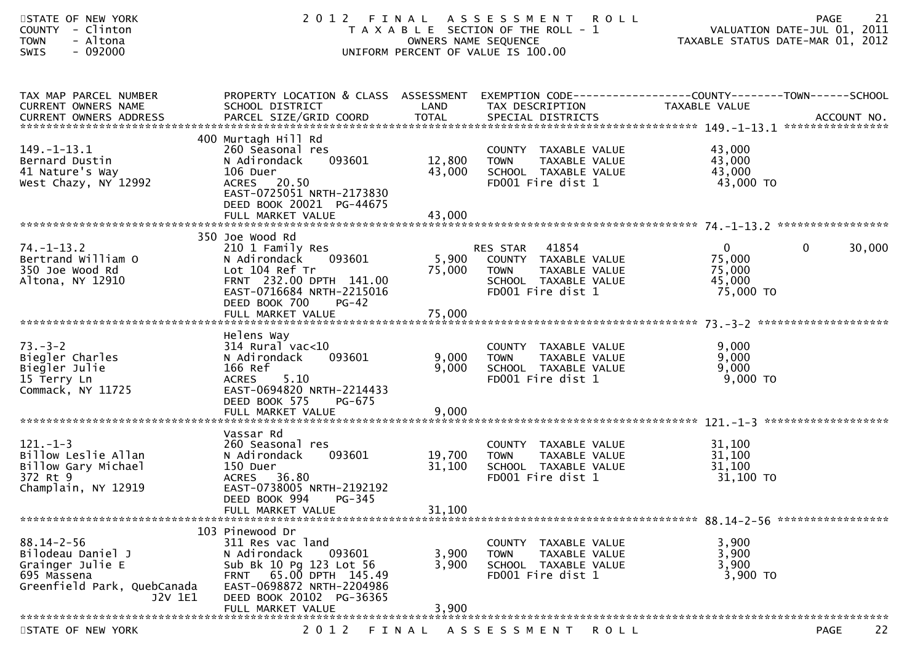| STATE OF NEW YORK<br>COUNTY - Clinton<br>- Altona<br><b>TOWN</b><br><b>SWIS</b><br>- 092000                        |                                                                                                                                                                                       | OWNERS NAME SEQUENCE       | 2012 FINAL ASSESSMENT ROLL<br>T A X A B L E SECTION OF THE ROLL - 1<br>UNIFORM PERCENT OF VALUE IS 100.00    |                                                         | 21<br><b>PAGE</b><br>VALUATION DATE-JUL 01, 2011<br>TAXABLE STATUS DATE-MAR 01, 2012 |
|--------------------------------------------------------------------------------------------------------------------|---------------------------------------------------------------------------------------------------------------------------------------------------------------------------------------|----------------------------|--------------------------------------------------------------------------------------------------------------|---------------------------------------------------------|--------------------------------------------------------------------------------------|
| TAX MAP PARCEL NUMBER<br>CURRENT OWNERS NAME                                                                       | PROPERTY LOCATION & CLASS ASSESSMENT EXEMPTION CODE----------------COUNTY-------TOWN------SCHOOL<br>SCHOOL DISTRICT                                                                   | LAND                       | TAX DESCRIPTION                                                                                              | TAXABLE VALUE                                           |                                                                                      |
| $149. - 1 - 13.1$<br>Bernard Dustin<br>41 Nature's Way<br>West Chazy, NY 12992                                     | 400 Murtagh Hill Rd<br>260 Seasonal res<br>N Adirondack<br>093601<br>106 Duer<br>ACRES 20.50<br>EAST-0725051 NRTH-2173830<br>DEED BOOK 20021 PG-44675                                 | 12,800<br>43,000           | COUNTY TAXABLE VALUE<br>TAXABLE VALUE<br>TOWN<br>SCHOOL TAXABLE VALUE<br>FD001 Fire dist 1                   | 43,000<br>43,000<br>43,000<br>43,000 TO                 |                                                                                      |
|                                                                                                                    |                                                                                                                                                                                       |                            |                                                                                                              |                                                         |                                                                                      |
| $74. - 1 - 13.2$<br>Bertrand William O<br>350 Joe Wood Rd<br>Altona, NY 12910                                      | 350 Joe Wood Rd<br>210 1 Family Res<br>N Adirondack<br>093601<br>Lot 104 Ref Tr<br>FRNT 232.00 DPTH 141.00<br>EAST-0716684 NRTH-2215016<br>DEED BOOK 700<br>$PG-42$                   | 5,900<br>75,000            | RES STAR 41854<br>COUNTY TAXABLE VALUE<br>TAXABLE VALUE<br>TOWN<br>SCHOOL TAXABLE VALUE<br>FD001 Fire dist 1 | $\mathbf{0}$<br>75,000<br>75,000<br>45,000<br>75,000 TO | $\mathbf 0$<br>30,000                                                                |
| $73. - 3 - 2$<br>Biegler Charles<br>Biegler Julie<br>15 Terry Ln<br>Commack, NY 11725                              | Helens Way<br>$314$ Rural vac< $10$<br>093601<br>N Adirondack<br>166 Ref<br><b>ACRES</b><br>5.10<br>EAST-0694820 NRTH-2214433<br>DEED BOOK 575<br>PG-675                              | 9,000<br>9,000             | COUNTY TAXABLE VALUE<br>TAXABLE VALUE<br><b>TOWN</b><br>SCHOOL TAXABLE VALUE<br>FD001 Fire dist 1            | 9,000<br>9,000<br>9,000<br>$9,000$ TO                   |                                                                                      |
|                                                                                                                    | Vassar Rd                                                                                                                                                                             |                            |                                                                                                              |                                                         |                                                                                      |
| $121. - 1 - 3$<br>Billow Leslie Allan<br>Billow Gary Michael<br>372 Rt 9<br>Champlain, NY 12919                    | 260 Seasonal res<br>093601<br>N Adirondack<br>150 Duer<br>ACRES 36.80<br>EAST-0738005 NRTH-2192192<br>DEED BOOK 994<br>PG-345<br>FULL MARKET VALUE                                    | 19,700<br>31,100<br>31,100 | COUNTY TAXABLE VALUE<br>TAXABLE VALUE<br><b>TOWN</b><br>SCHOOL TAXABLE VALUE<br>FD001 Fire dist 1            | 31,100<br>31,100<br>31,100<br>31,100 TO                 |                                                                                      |
|                                                                                                                    |                                                                                                                                                                                       |                            |                                                                                                              |                                                         |                                                                                      |
| $88.14 - 2 - 56$<br>Bilodeau Daniel J<br>Grainger Julie E<br>695 Massena<br>Greenfield Park, QuebCanada<br>J2V 1E1 | 103 Pinewood Dr<br>311 Res vac land<br>093601<br>N Adirondack<br>Sub Bk 10 Pg 123 Lot 56<br>65.00 DPTH 145.49<br><b>FRNT</b><br>EAST-0698872 NRTH-2204986<br>DEED BOOK 20102 PG-36365 | 3,900<br>3,900             | COUNTY TAXABLE VALUE<br><b>TOWN</b><br>TAXABLE VALUE<br>SCHOOL TAXABLE VALUE<br>FD001 Fire dist 1            | 3,900<br>3,900<br>3,900<br>3,900 TO                     |                                                                                      |
|                                                                                                                    | FULL MARKET VALUE                                                                                                                                                                     | 3,900                      |                                                                                                              |                                                         |                                                                                      |
| STATE OF NEW YORK                                                                                                  | 2 0 1 2                                                                                                                                                                               | FINAL                      | A S S E S S M E N T                                                                                          | R O L L                                                 | 22<br><b>PAGE</b>                                                                    |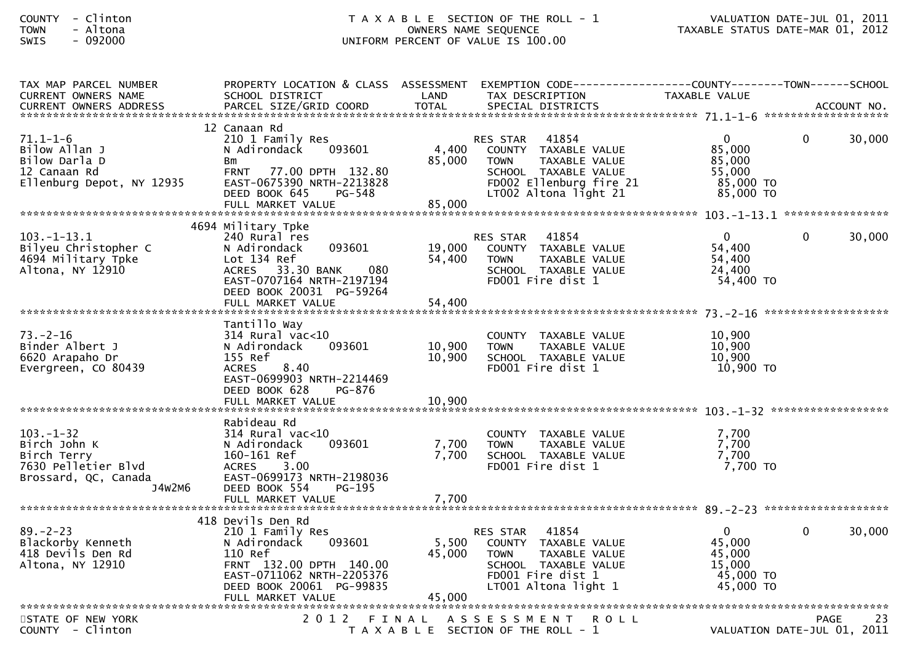| 12 Canaan Rd<br>$71.1 - 1 - 6$<br>$\overline{0}$<br>30,000<br>210 1 Family Res<br>41854<br>$\Omega$<br>RES STAR<br>Bilow Allan J<br>4,400<br>COUNTY TAXABLE VALUE<br>85,000<br>N Adirondack<br>093601<br>Bilow Darla D<br>85,000<br>85,000<br><b>TOWN</b><br><b>TAXABLE VALUE</b><br>Bm<br>12 Canaan Rd<br>FRNT 77.00 DPTH 132.80<br>SCHOOL TAXABLE VALUE<br>55.000<br>Ellenburg Depot, NY 12935<br>EAST-0675390 NRTH-2213828<br>FD002 Ellenburg fire 21<br>85,000 TO<br>DEED BOOK 645<br>LT002 Altona light 21<br>85,000 TO<br>PG-548<br>85,000<br>FULL MARKET VALUE<br>4694 Military Tpke<br>$103.-1-13.1$<br>$\mathbf{0}$<br>30,000<br>240 Rural res<br>41854<br>$\Omega$<br><b>RES STAR</b><br>54,400<br>093601<br>19,000<br>Bilyeu Christopher C<br>COUNTY TAXABLE VALUE<br>N Adirondack<br>54,400<br>54,400<br>4694 Military Tpke<br>Lot 134 Ref<br><b>TOWN</b><br>TAXABLE VALUE<br>Altona, NY 12910<br>080<br><b>ACRES</b><br>33.30 BANK<br>24,400<br>SCHOOL TAXABLE VALUE<br>EAST-0707164 NRTH-2197194<br>FD001 Fire dist 1<br>54,400 TO<br>DEED BOOK 20031 PG-59264<br>Tantillo Way<br>$73. - 2 - 16$<br>10,900<br>$314$ Rural vac<10<br>COUNTY TAXABLE VALUE<br>10,900<br>10,900<br>Binder Albert J<br>093601<br>N Adirondack<br><b>TOWN</b><br>TAXABLE VALUE<br>10,900<br>10,900<br>6620 Arapaho Dr<br>155 Ref<br>SCHOOL TAXABLE VALUE<br>10,900 TO<br>Evergreen, CO 80439<br><b>ACRES</b><br>8.40<br>FD001 Fire dist 1<br>EAST-0699903 NRTH-2214469<br>DEED BOOK 628<br>PG-876<br>Rabideau Rd<br>$103. - 1 - 32$<br>314 Rural vac<10<br>7,700<br>COUNTY TAXABLE VALUE<br>7,700<br>7,700<br>Birch John K<br>093601<br>N Adirondack<br><b>TOWN</b><br>TAXABLE VALUE<br>7,700<br>7.700<br>Birch Terry<br>160-161 Ref<br>SCHOOL TAXABLE VALUE<br>$7,700$ TO<br>7630 Pelletier Blvd<br>3.00<br>FD001 Fire dist 1<br><b>ACRES</b><br>Brossard, QC, Canada<br>EAST-0699173 NRTH-2198036<br>J4W2M6<br>PG-195<br>DEED BOOK 554<br>FULL MARKET VALUE<br>7,700<br>418 Devils Den Rd<br>$\mathbf 0$<br>30,000<br>$89. - 2 - 23$<br>41854<br>210 1 Family Res<br>$\Omega$<br>RES STAR<br>5,500<br>45,000<br>Blackorby Kenneth<br>093601<br>COUNTY TAXABLE VALUE<br>N Adirondack<br>418 Devils Den Rd<br>45,000<br>45,000<br>110 Ref<br>TAXABLE VALUE<br><b>TOWN</b><br>Altona, NY 12910<br>FRNT 132.00 DPTH 140.00<br>SCHOOL TAXABLE VALUE<br>15,000<br>EAST-0711062 NRTH-2205376<br>FD001 Fire dist 1<br>45,000 TO<br>45,000 TO<br>DEED BOOK 20061 PG-99835<br>LT001 Altona light 1<br>STATE OF NEW YORK<br>2 0 1 2<br>FINAL ASSESSMENT<br><b>ROLL</b><br>PAGE<br>23<br>T A X A B L E SECTION OF THE ROLL - 1<br>VALUATION DATE-JUL 01, 2011 | TAX MAP PARCEL NUMBER<br><b>CURRENT OWNERS NAME</b> | PROPERTY LOCATION & CLASS ASSESSMENT EXEMPTION CODE----------------COUNTY-------TOWN------SCHOOL<br>SCHOOL DISTRICT | LAND | TAX DESCRIPTION | <b>TAXABLE VALUE</b> |  |
|----------------------------------------------------------------------------------------------------------------------------------------------------------------------------------------------------------------------------------------------------------------------------------------------------------------------------------------------------------------------------------------------------------------------------------------------------------------------------------------------------------------------------------------------------------------------------------------------------------------------------------------------------------------------------------------------------------------------------------------------------------------------------------------------------------------------------------------------------------------------------------------------------------------------------------------------------------------------------------------------------------------------------------------------------------------------------------------------------------------------------------------------------------------------------------------------------------------------------------------------------------------------------------------------------------------------------------------------------------------------------------------------------------------------------------------------------------------------------------------------------------------------------------------------------------------------------------------------------------------------------------------------------------------------------------------------------------------------------------------------------------------------------------------------------------------------------------------------------------------------------------------------------------------------------------------------------------------------------------------------------------------------------------------------------------------------------------------------------------------------------------------------------------------------------------------------------------------------------------------------------------------------------------------------------------------------------------------------------------------------------------------------------------------------------------------------------------------------------------------------------------------------------------------------------------------------------------------------------------------------------------------------|-----------------------------------------------------|---------------------------------------------------------------------------------------------------------------------|------|-----------------|----------------------|--|
|                                                                                                                                                                                                                                                                                                                                                                                                                                                                                                                                                                                                                                                                                                                                                                                                                                                                                                                                                                                                                                                                                                                                                                                                                                                                                                                                                                                                                                                                                                                                                                                                                                                                                                                                                                                                                                                                                                                                                                                                                                                                                                                                                                                                                                                                                                                                                                                                                                                                                                                                                                                                                                              |                                                     |                                                                                                                     |      |                 |                      |  |
|                                                                                                                                                                                                                                                                                                                                                                                                                                                                                                                                                                                                                                                                                                                                                                                                                                                                                                                                                                                                                                                                                                                                                                                                                                                                                                                                                                                                                                                                                                                                                                                                                                                                                                                                                                                                                                                                                                                                                                                                                                                                                                                                                                                                                                                                                                                                                                                                                                                                                                                                                                                                                                              |                                                     |                                                                                                                     |      |                 |                      |  |
|                                                                                                                                                                                                                                                                                                                                                                                                                                                                                                                                                                                                                                                                                                                                                                                                                                                                                                                                                                                                                                                                                                                                                                                                                                                                                                                                                                                                                                                                                                                                                                                                                                                                                                                                                                                                                                                                                                                                                                                                                                                                                                                                                                                                                                                                                                                                                                                                                                                                                                                                                                                                                                              |                                                     |                                                                                                                     |      |                 |                      |  |
|                                                                                                                                                                                                                                                                                                                                                                                                                                                                                                                                                                                                                                                                                                                                                                                                                                                                                                                                                                                                                                                                                                                                                                                                                                                                                                                                                                                                                                                                                                                                                                                                                                                                                                                                                                                                                                                                                                                                                                                                                                                                                                                                                                                                                                                                                                                                                                                                                                                                                                                                                                                                                                              |                                                     |                                                                                                                     |      |                 |                      |  |
|                                                                                                                                                                                                                                                                                                                                                                                                                                                                                                                                                                                                                                                                                                                                                                                                                                                                                                                                                                                                                                                                                                                                                                                                                                                                                                                                                                                                                                                                                                                                                                                                                                                                                                                                                                                                                                                                                                                                                                                                                                                                                                                                                                                                                                                                                                                                                                                                                                                                                                                                                                                                                                              |                                                     |                                                                                                                     |      |                 |                      |  |
|                                                                                                                                                                                                                                                                                                                                                                                                                                                                                                                                                                                                                                                                                                                                                                                                                                                                                                                                                                                                                                                                                                                                                                                                                                                                                                                                                                                                                                                                                                                                                                                                                                                                                                                                                                                                                                                                                                                                                                                                                                                                                                                                                                                                                                                                                                                                                                                                                                                                                                                                                                                                                                              |                                                     |                                                                                                                     |      |                 |                      |  |
|                                                                                                                                                                                                                                                                                                                                                                                                                                                                                                                                                                                                                                                                                                                                                                                                                                                                                                                                                                                                                                                                                                                                                                                                                                                                                                                                                                                                                                                                                                                                                                                                                                                                                                                                                                                                                                                                                                                                                                                                                                                                                                                                                                                                                                                                                                                                                                                                                                                                                                                                                                                                                                              |                                                     |                                                                                                                     |      |                 |                      |  |
|                                                                                                                                                                                                                                                                                                                                                                                                                                                                                                                                                                                                                                                                                                                                                                                                                                                                                                                                                                                                                                                                                                                                                                                                                                                                                                                                                                                                                                                                                                                                                                                                                                                                                                                                                                                                                                                                                                                                                                                                                                                                                                                                                                                                                                                                                                                                                                                                                                                                                                                                                                                                                                              |                                                     |                                                                                                                     |      |                 |                      |  |
|                                                                                                                                                                                                                                                                                                                                                                                                                                                                                                                                                                                                                                                                                                                                                                                                                                                                                                                                                                                                                                                                                                                                                                                                                                                                                                                                                                                                                                                                                                                                                                                                                                                                                                                                                                                                                                                                                                                                                                                                                                                                                                                                                                                                                                                                                                                                                                                                                                                                                                                                                                                                                                              |                                                     |                                                                                                                     |      |                 |                      |  |
|                                                                                                                                                                                                                                                                                                                                                                                                                                                                                                                                                                                                                                                                                                                                                                                                                                                                                                                                                                                                                                                                                                                                                                                                                                                                                                                                                                                                                                                                                                                                                                                                                                                                                                                                                                                                                                                                                                                                                                                                                                                                                                                                                                                                                                                                                                                                                                                                                                                                                                                                                                                                                                              |                                                     |                                                                                                                     |      |                 |                      |  |
|                                                                                                                                                                                                                                                                                                                                                                                                                                                                                                                                                                                                                                                                                                                                                                                                                                                                                                                                                                                                                                                                                                                                                                                                                                                                                                                                                                                                                                                                                                                                                                                                                                                                                                                                                                                                                                                                                                                                                                                                                                                                                                                                                                                                                                                                                                                                                                                                                                                                                                                                                                                                                                              | COUNTY - Clinton                                    |                                                                                                                     |      |                 |                      |  |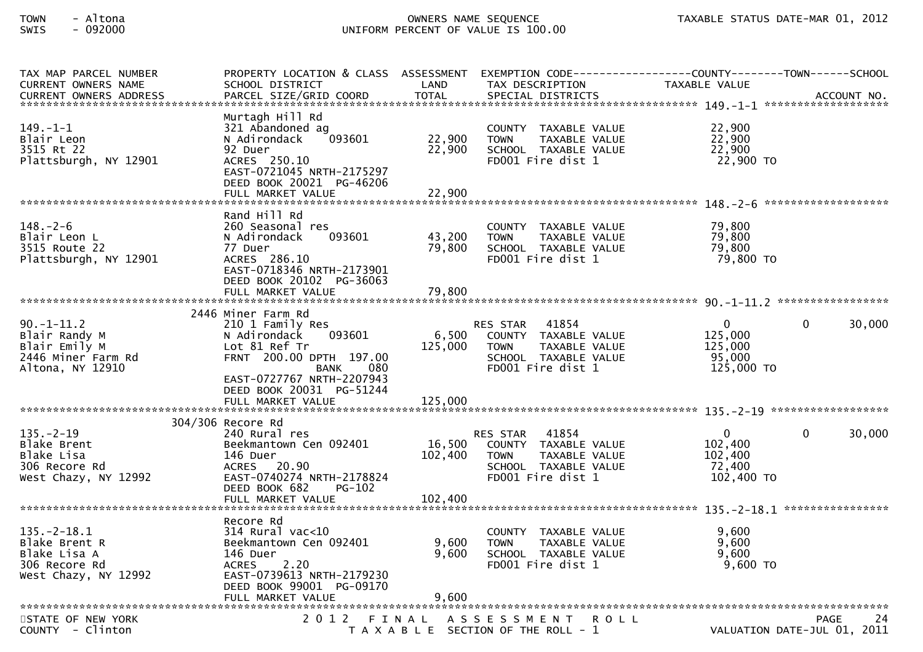| TAX MAP PARCEL NUMBER<br><b>CURRENT OWNERS NAME</b><br><b>CURRENT OWNERS ADDRESS</b>        | PROPERTY LOCATION & CLASS ASSESSMENT<br>SCHOOL DISTRICT<br>PARCEL SIZE/GRID COORD                                                                                      | LAND<br><b>TOTAL</b>         | EXEMPTION CODE-----------------COUNTY-------TOWN------SCHOOL<br>TAX DESCRIPTION<br>SPECIAL DISTRICTS                                 | TAXABLE VALUE                                              |                                            | ACCOUNT NO. |
|---------------------------------------------------------------------------------------------|------------------------------------------------------------------------------------------------------------------------------------------------------------------------|------------------------------|--------------------------------------------------------------------------------------------------------------------------------------|------------------------------------------------------------|--------------------------------------------|-------------|
| $149. - 1 - 1$<br>Blair Leon<br>3515 Rt 22<br>Plattsburgh, NY 12901                         | Murtagh Hill Rd<br>321 Abandoned ag<br>N Adirondack<br>093601<br>92 Duer<br>ACRES 250.10<br>EAST-0721045 NRTH-2175297<br>DEED BOOK 20021 PG-46206                      | 22,900<br>22,900             | COUNTY TAXABLE VALUE<br><b>TOWN</b><br>TAXABLE VALUE<br>SCHOOL TAXABLE VALUE<br>FD001 Fire dist 1                                    | 22,900<br>22,900<br>22,900<br>22,900 TO                    |                                            |             |
|                                                                                             | FULL MARKET VALUE                                                                                                                                                      | 22,900                       |                                                                                                                                      |                                                            |                                            |             |
| $148. - 2 - 6$<br>Blair Leon L<br>3515 Route 22<br>Plattsburgh, NY 12901                    | Rand Hill Rd<br>260 Seasonal res<br>093601<br>N Adirondack<br>77 Duer<br>ACRES 286.10<br>EAST-0718346 NRTH-2173901<br>DEED BOOK 20102 PG-36063                         | 43,200<br>79,800             | COUNTY TAXABLE VALUE<br>TAXABLE VALUE<br><b>TOWN</b><br>SCHOOL TAXABLE VALUE<br>FD001 Fire dist 1                                    | 79,800<br>79,800<br>79,800<br>79,800 TO                    |                                            |             |
|                                                                                             |                                                                                                                                                                        |                              |                                                                                                                                      |                                                            |                                            |             |
| $90. -1 - 11.2$<br>Blair Randy M<br>Blair Emily M<br>2446 Miner Farm Rd<br>Altona, NY 12910 | 2446 Miner Farm Rd<br>210 1 Family Res<br>093601<br>N Adirondack<br>Lot 81 Ref Tr<br>FRNT 200.00 DPTH 197.00<br><b>BANK</b><br>080<br>EAST-0727767 NRTH-2207943        | 6,500<br>125,000             | 41854<br><b>RES STAR</b><br>COUNTY TAXABLE VALUE<br>TAXABLE VALUE<br><b>TOWN</b><br>SCHOOL TAXABLE VALUE<br>FD001 Fire dist 1        | $\mathbf{0}$<br>125,000<br>125,000<br>95,000<br>125,000 TO | $\mathbf{0}$                               | 30,000      |
|                                                                                             | DEED BOOK 20031 PG-51244<br>FULL MARKET VALUE                                                                                                                          | 125,000                      |                                                                                                                                      |                                                            |                                            |             |
|                                                                                             |                                                                                                                                                                        |                              |                                                                                                                                      |                                                            |                                            |             |
| $135. - 2 - 19$<br>Blake Brent<br>Blake Lisa<br>306 Recore Rd<br>West Chazy, NY 12992       | 304/306 Recore Rd<br>240 Rural res<br>Beekmantown Cen 092401<br>146 Duer<br>ACRES 20.90<br>EAST-0740274 NRTH-2178824<br>DEED BOOK 682<br>$PG-102$<br>FULL MARKET VALUE | 16,500<br>102,400<br>102,400 | 41854<br><b>RES STAR</b><br>COUNTY TAXABLE VALUE<br><b>TOWN</b><br><b>TAXABLE VALUE</b><br>SCHOOL TAXABLE VALUE<br>FD001 Fire dist 1 | $\mathbf 0$<br>102,400<br>102,400<br>72,400<br>102,400 TO  | $\Omega$                                   | 30,000      |
|                                                                                             | Recore Rd                                                                                                                                                              |                              |                                                                                                                                      |                                                            |                                            |             |
| $135. - 2 - 18.1$<br>Blake Brent R<br>Blake Lisa A<br>306 Recore Rd<br>West Chazy, NY 12992 | $314$ Rural vac< $10$<br>Beekmantown Cen 092401<br>146 Duer<br><b>ACRES</b><br>2.20<br>EAST-0739613 NRTH-2179230<br>DEED BOOK 99001 PG-09170                           | 9,600<br>9,600               | COUNTY TAXABLE VALUE<br><b>TOWN</b><br>TAXABLE VALUE<br>SCHOOL TAXABLE VALUE<br>FD001 Fire dist 1                                    | 9,600<br>9,600<br>9,600<br>9,600 TO                        |                                            |             |
|                                                                                             |                                                                                                                                                                        |                              |                                                                                                                                      |                                                            |                                            |             |
| STATE OF NEW YORK<br>COUNTY - Clinton                                                       | 2012 FINAL                                                                                                                                                             |                              | ASSESSMENT ROLL<br>T A X A B L E SECTION OF THE ROLL - 1                                                                             |                                                            | <b>PAGE</b><br>VALUATION DATE-JUL 01, 2011 | 24          |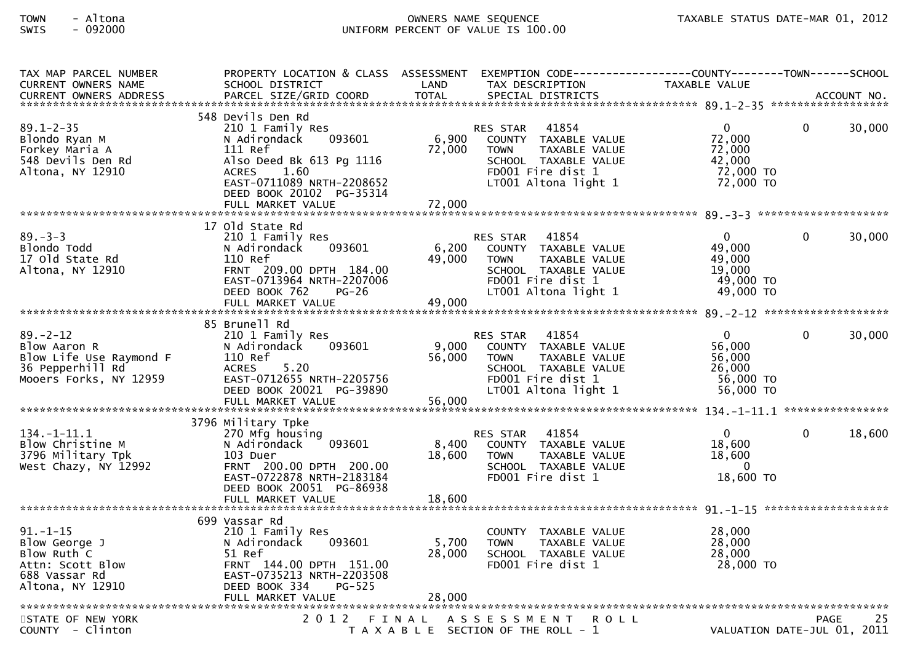| TAX MAP PARCEL NUMBER                       | PROPERTY LOCATION & CLASS ASSESSMENT EXEMPTION CODE----------------COUNTY-------TOWN------SCHOOL |                 |                                                      |                             |              |        |
|---------------------------------------------|--------------------------------------------------------------------------------------------------|-----------------|------------------------------------------------------|-----------------------------|--------------|--------|
| CURRENT OWNERS NAME                         | SCHOOL DISTRICT                                                                                  | LAND            | TAX DESCRIPTION                                      | TAXABLE VALUE               |              |        |
|                                             |                                                                                                  |                 |                                                      |                             |              |        |
|                                             |                                                                                                  |                 |                                                      |                             |              |        |
| $89.1 - 2 - 35$                             | 548 Devils Den Rd                                                                                |                 |                                                      | $\mathbf 0$                 | $\Omega$     | 30,000 |
|                                             | 210 1 Family Res<br>093601                                                                       | 6,900           | 41854<br><b>RES STAR</b><br>COUNTY TAXABLE VALUE     | 72,000                      |              |        |
| Blondo Ryan M<br>Forkey Maria A             | N Adirondack<br>111 Ref                                                                          | 72,000          | TAXABLE VALUE<br><b>TOWN</b>                         | 72,000                      |              |        |
| 548 Devils Den Rd                           | Also Deed Bk 613 Pg 1116                                                                         |                 | SCHOOL TAXABLE VALUE                                 | 42,000                      |              |        |
| Altona, NY 12910                            | 1.60<br><b>ACRES</b>                                                                             |                 | FD001 Fire dist 1                                    | 72,000 TO                   |              |        |
|                                             | EAST-0711089 NRTH-2208652                                                                        |                 | LT001 Altona light 1                                 | 72,000 TO                   |              |        |
|                                             | DEED BOOK 20102 PG-35314                                                                         |                 |                                                      |                             |              |        |
|                                             | FULL MARKET VALUE                                                                                | 72,000          |                                                      |                             |              |        |
|                                             |                                                                                                  |                 |                                                      |                             |              |        |
|                                             | 17 old State Rd                                                                                  |                 |                                                      |                             |              |        |
| $89 - 3 - 3$                                | 210 1 Family Res                                                                                 |                 | 41854<br><b>RES STAR</b>                             | $\overline{0}$              | 0            | 30,000 |
| Blondo Todd                                 | N Adirondack<br>093601                                                                           | 6,200           | COUNTY TAXABLE VALUE                                 | 49,000                      |              |        |
| 17 old State Rd                             | 110 Ref                                                                                          | 49,000          | <b>TOWN</b><br>TAXABLE VALUE                         | 49,000                      |              |        |
| Altona, NY 12910                            | FRNT 209.00 DPTH 184.00                                                                          |                 | SCHOOL TAXABLE VALUE                                 | 19,000                      |              |        |
|                                             | EAST-0713964 NRTH-2207006                                                                        |                 | FD001 Fire dist 1                                    | 49,000 TO                   |              |        |
|                                             | DEED BOOK 762<br><b>PG-26</b>                                                                    |                 | LT001 Altona light 1                                 | 49,000 TO                   |              |        |
|                                             | FULL MARKET VALUE                                                                                | 49,000          |                                                      |                             |              |        |
|                                             |                                                                                                  |                 |                                                      |                             |              |        |
|                                             | 85 Brunell Rd                                                                                    |                 |                                                      |                             |              |        |
| $89 - 2 - 12$                               | 210 1 Family Res                                                                                 |                 | 41854<br><b>RES STAR</b>                             | $\overline{0}$              | $\mathbf{0}$ | 30,000 |
| Blow Aaron R                                | 093601<br>N Adirondack<br>110 Ref                                                                | 9,000<br>56,000 | COUNTY TAXABLE VALUE                                 | 56,000<br>56,000            |              |        |
| Blow Life Use Raymond F<br>36 Pepperhill Rd | <b>ACRES</b><br>5.20                                                                             |                 | <b>TOWN</b><br>TAXABLE VALUE<br>SCHOOL TAXABLE VALUE | 26,000                      |              |        |
| Mooers Forks, NY 12959                      | EAST-0712655 NRTH-2205756                                                                        |                 | FD001 Fire dist 1                                    | 56,000 TO                   |              |        |
|                                             | DEED BOOK 20021 PG-39890                                                                         |                 | LT001 Altona light 1                                 | 56,000 TO                   |              |        |
|                                             | FULL MARKET VALUE                                                                                | 56,000          |                                                      |                             |              |        |
|                                             |                                                                                                  |                 |                                                      |                             |              |        |
|                                             | 3796 Military Tpke                                                                               |                 |                                                      |                             |              |        |
| $134. - 1 - 11.1$                           | 270 Mfg housing                                                                                  |                 | 41854<br><b>RES STAR</b>                             | $\mathbf 0$                 | $\Omega$     | 18,600 |
| Blow Christine M                            | 093601<br>N Adirondack                                                                           | 8,400           | COUNTY TAXABLE VALUE                                 | 18,600                      |              |        |
| 3796 Military Tpk                           | 103 Duer                                                                                         | 18,600          | <b>TOWN</b><br>TAXABLE VALUE                         | 18,600                      |              |        |
| West Chazy, NY 12992                        | FRNT 200.00 DPTH 200.00                                                                          |                 | SCHOOL TAXABLE VALUE                                 | $\Omega$                    |              |        |
|                                             | EAST-0722878 NRTH-2183184                                                                        |                 | FD001 Fire dist 1                                    | 18,600 TO                   |              |        |
|                                             | DEED BOOK 20051 PG-86938                                                                         |                 |                                                      |                             |              |        |
|                                             | FULL MARKET VALUE                                                                                | 18,600          |                                                      |                             |              |        |
|                                             |                                                                                                  |                 |                                                      |                             |              |        |
|                                             | 699 Vassar Rd                                                                                    |                 |                                                      |                             |              |        |
| $91. - 1 - 15$                              | 210 1 Family Res                                                                                 |                 | COUNTY TAXABLE VALUE                                 | 28,000                      |              |        |
| Blow George J                               | 093601<br>N Adirondack                                                                           | 5,700           | TAXABLE VALUE<br><b>TOWN</b>                         | 28,000                      |              |        |
| Blow Ruth C                                 | 51 Ref                                                                                           | 28,000          | SCHOOL TAXABLE VALUE                                 | 28,000                      |              |        |
| Attn: Scott Blow                            | FRNT 144.00 DPTH 151.00                                                                          |                 | FD001 Fire dist 1                                    | 28,000 TO                   |              |        |
| 688 Vassar Rd                               | EAST-0735213 NRTH-2203508<br>DEED BOOK 334<br>PG-525                                             |                 |                                                      |                             |              |        |
| Altona, NY 12910                            | FULL MARKET VALUE                                                                                | 28,000          |                                                      |                             |              |        |
|                                             |                                                                                                  |                 |                                                      |                             |              |        |
| STATE OF NEW YORK                           | 2 0 1 2                                                                                          |                 | FINAL ASSESSMENT<br><b>ROLL</b>                      |                             | PAGE         | 25     |
| COUNTY - Clinton                            |                                                                                                  |                 | T A X A B L E SECTION OF THE ROLL - 1                | VALUATION DATE-JUL 01, 2011 |              |        |
|                                             |                                                                                                  |                 |                                                      |                             |              |        |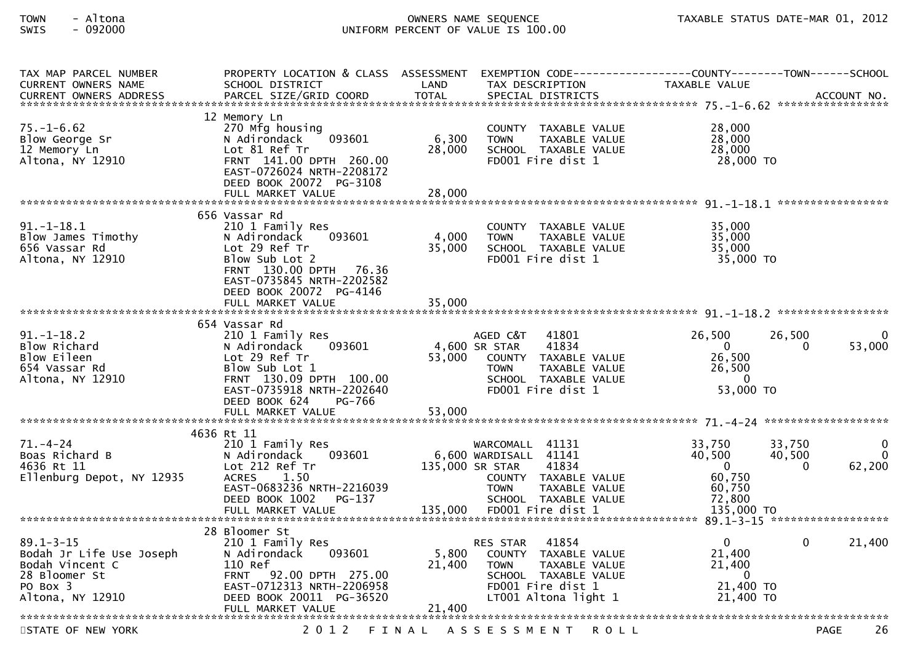| TAX MAP PARCEL NUMBER<br><b>CURRENT OWNERS NAME</b>                                                                                                                                                        | PROPERTY LOCATION & CLASS ASSESSMENT<br>SCHOOL DISTRICT                                                                                                                                               | LAND                      | TAX DESCRIPTION                                                                                                                                                | EXEMPTION CODE------------------COUNTY-------TOWN------SCHOOL<br>TAXABLE VALUE                           |                         |
|------------------------------------------------------------------------------------------------------------------------------------------------------------------------------------------------------------|-------------------------------------------------------------------------------------------------------------------------------------------------------------------------------------------------------|---------------------------|----------------------------------------------------------------------------------------------------------------------------------------------------------------|----------------------------------------------------------------------------------------------------------|-------------------------|
| -CURRENT OWNERS ADDRESS PARCEL SIZE/GRID COORD TOTAL SPECIAL DISTRICTS AND MONERS ADDRESS PARCEL SIZE/GRID COORD TOTAL SPECIAL DISTRICTS AND MONERS ADDRESS PARCEL SIZE/GRID COORD TOTAL SPECIAL DISTRICTS |                                                                                                                                                                                                       |                           |                                                                                                                                                                |                                                                                                          |                         |
| $75. - 1 - 6.62$<br>Blow George Sr<br>12 Memory Ln<br>Altona, NY 12910                                                                                                                                     | 12 Memory Ln<br>270 Mfg housing<br>093601<br>N Adirondack<br>Lot 81 Ref Tr<br>FRNT 141.00 DPTH 260.00<br>EAST-0726024 NRTH-2208172<br>DEED BOOK 20072 PG-3108                                         | 6,300<br>28,000           | COUNTY TAXABLE VALUE<br>TAXABLE VALUE<br><b>TOWN</b><br>SCHOOL TAXABLE VALUE<br>FD001 Fire dist 1                                                              | 28,000<br>28,000<br>28,000<br>28,000 TO                                                                  |                         |
|                                                                                                                                                                                                            | FULL MARKET VALUE                                                                                                                                                                                     | 28,000                    |                                                                                                                                                                |                                                                                                          |                         |
| $91.-1-18.1$<br>Blow James Timothy<br>656 Vassar Rd<br>Altona, NY 12910                                                                                                                                    | 656 Vassar Rd<br>210 1 Family Res<br>093601<br>N Adirondack<br>Lot 29 Ref Tr<br>Blow Sub Lot 2<br>FRNT 130.00 DPTH 76.36<br>EAST-0735845 NRTH-2202582<br>DEED BOOK 20072 PG-4146<br>FULL MARKET VALUE | 4,000<br>35,000<br>35,000 | COUNTY TAXABLE VALUE<br><b>TOWN</b><br>TAXABLE VALUE<br>SCHOOL TAXABLE VALUE<br>FD001 Fire dist 1                                                              | 35,000<br>35,000<br>35,000<br>35,000 TO                                                                  |                         |
|                                                                                                                                                                                                            |                                                                                                                                                                                                       |                           |                                                                                                                                                                |                                                                                                          |                         |
| $91. - 1 - 18.2$<br>Blow Richard<br>Blow Eileen<br>654 Vassar Rd<br>Altona, NY 12910                                                                                                                       | 654 Vassar Rd<br>210 1 Family Res<br>093601<br>N Adirondack<br>Lot 29 Ref Tr<br>Blow Sub Lot 1<br>FRNT 130.09 DPTH 100.00<br>EAST-0735918 NRTH-2202640<br>PG-766<br>DEED BOOK 624                     | 53,000                    | AGED C&T<br>41801<br>4,600 SR STAR<br>41834<br>COUNTY TAXABLE VALUE<br><b>TOWN</b><br>TAXABLE VALUE<br>SCHOOL TAXABLE VALUE<br>FD001 Fire dist 1               | 26,500<br>26,500<br>$\mathbf{0}$<br>0<br>26,500<br>26,500<br>$\mathbf{0}$<br>53,000 TO                   | 53,000                  |
|                                                                                                                                                                                                            |                                                                                                                                                                                                       |                           |                                                                                                                                                                |                                                                                                          |                         |
| $71. - 4 - 24$<br>Boas Richard B<br>4636 Rt 11<br>Ellenburg Depot, NY 12935                                                                                                                                | 4636 Rt 11<br>210 1 Family Res<br>N Adirondack<br>093601<br>Lot 212 Ref Tr<br>1.50<br><b>ACRES</b><br>EAST-0683236 NRTH-2216039<br>DEED BOOK 1002 PG-137<br>FULL MARKET VALUE                         | 135,000 SR STAR           | WARCOMALL 41131<br>6,600 WARDISALL 41141<br>41834<br>COUNTY TAXABLE VALUE<br><b>TOWN</b><br>TAXABLE VALUE<br>SCHOOL TAXABLE VALUE<br>135,000 FD001 Fire dist 1 | 33,750<br>33,750<br>40,500<br>40,500<br>$\Omega$<br>$\Omega$<br>60,750<br>60,750<br>72,800<br>135,000 TO | 0<br>$\Omega$<br>62,200 |
|                                                                                                                                                                                                            | 28 Bloomer St                                                                                                                                                                                         |                           |                                                                                                                                                                |                                                                                                          |                         |
| $89.1 - 3 - 15$<br>Bodah Jr Life Use Joseph<br>Bodah Vincent C<br>28 Bloomer St<br>PO Box 3<br>Altona, NY 12910                                                                                            | 210 1 Family Res<br>093601<br>N Adirondack<br>110 Ref<br>FRNT 92.00 DPTH 275.00<br>EAST-0712313 NRTH-2206958<br>DEED BOOK 20011 PG-36520                                                              | 5,800<br>21,400           | 41854<br><b>RES STAR</b><br>COUNTY TAXABLE VALUE<br>TAXABLE VALUE<br><b>TOWN</b><br>SCHOOL TAXABLE VALUE<br>FD001 Fire dist 1<br>LT001 Altona light 1          | $\Omega$<br>$\Omega$<br>21,400<br>21,400<br>$\overline{0}$<br>21,400 TO<br>21,400 TO                     | 21,400                  |
|                                                                                                                                                                                                            |                                                                                                                                                                                                       |                           |                                                                                                                                                                |                                                                                                          |                         |
| STATE OF NEW YORK                                                                                                                                                                                          | 2 0 1 2                                                                                                                                                                                               |                           | FINAL ASSESSMENT<br><b>ROLL</b>                                                                                                                                |                                                                                                          | 26<br><b>PAGE</b>       |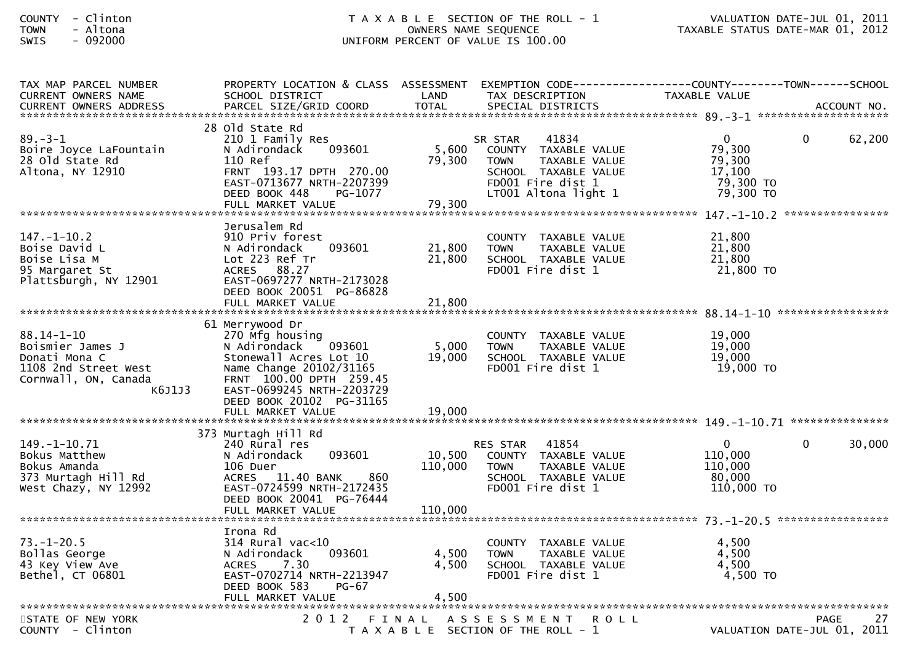| TAX MAP PARCEL NUMBER<br>CURRENT OWNERS NAME                                                              | PROPERTY LOCATION & CLASS ASSESSMENT<br>SCHOOL DISTRICT                                                                                                                                                                    | LAND                         | EXEMPTION CODE------------------COUNTY--------TOWN------SCHOOL<br>TAX DESCRIPTION                                                             | TAXABLE VALUE                                                        |                                           |
|-----------------------------------------------------------------------------------------------------------|----------------------------------------------------------------------------------------------------------------------------------------------------------------------------------------------------------------------------|------------------------------|-----------------------------------------------------------------------------------------------------------------------------------------------|----------------------------------------------------------------------|-------------------------------------------|
|                                                                                                           |                                                                                                                                                                                                                            |                              |                                                                                                                                               |                                                                      |                                           |
| $89. - 3 - 1$<br>Boire Joyce LaFountain<br>28 Old State Rd<br>Altona, NY 12910                            | 28 Old State Rd<br>210 1 Family Res<br>093601<br>N Adirondack<br>110 Ref<br>FRNT 193.17 DPTH 270.00<br>EAST-0713677 NRTH-2207399<br>PG-1077<br>DEED BOOK 448<br>FULL MARKET VALUE                                          | 5,600<br>79,300<br>79,300    | 41834<br>SR STAR<br>COUNTY TAXABLE VALUE<br><b>TOWN</b><br>TAXABLE VALUE<br>SCHOOL TAXABLE VALUE<br>FD001 Fire dist 1<br>LT001 Altona light 1 | $\mathbf{0}$<br>79,300<br>79,300<br>17,100<br>79,300 TO<br>79,300 TO | 62,200<br>0                               |
|                                                                                                           |                                                                                                                                                                                                                            |                              |                                                                                                                                               |                                                                      |                                           |
| $147. - 1 - 10.2$<br>Boise David L<br>Boise Lisa M<br>95 Margaret St<br>Plattsburgh, NY 12901             | Jerusalem Rd<br>910 Priv forest<br>093601<br>N Adirondack<br>Lot 223 Ref Tr<br>ACRES 88.27<br>EAST-0697277 NRTH-2173028<br>DEED BOOK 20051 PG-86828                                                                        | 21,800<br>21,800             | COUNTY TAXABLE VALUE<br><b>TOWN</b><br>TAXABLE VALUE<br>SCHOOL TAXABLE VALUE<br>FD001 Fire dist 1                                             | 21,800<br>21,800<br>21,800<br>21,800 TO                              |                                           |
|                                                                                                           | FULL MARKET VALUE                                                                                                                                                                                                          | 21,800                       |                                                                                                                                               |                                                                      |                                           |
| 88.14-1-10<br>Boismier James J<br>Donati Mona C<br>1108 2nd Street West<br>Cornwall, ON, Canada<br>K6J1J3 | 61 Merrywood Dr<br>270 Mfg housing<br>093601<br>N Adirondack<br>Stonewall Acres Lot 10<br>Name Change 20102/31165<br>FRNT 100.00 DPTH 259.45<br>EAST-0699245 NRTH-2203729<br>DEED BOOK 20102 PG-31165<br>FULL MARKET VALUE | 5,000<br>19,000<br>19,000    | COUNTY TAXABLE VALUE<br><b>TOWN</b><br>TAXABLE VALUE<br>SCHOOL TAXABLE VALUE<br>FD001 Fire dist 1                                             | 19,000<br>19,000<br>19,000<br>19,000 TO                              |                                           |
| $149. - 1 - 10.71$<br>Bokus Matthew<br>Bokus Amanda<br>373 Murtagh Hill Rd<br>West Chazy, NY 12992        | 373 Murtagh Hill Rd<br>240 Rural res<br>093601<br>N Adirondack<br>106 Duer<br>860<br>ACRES 11.40 BANK<br>EAST-0724599 NRTH-2172435<br>DEED BOOK 20041 PG-76444<br>FULL MARKET VALUE                                        | 10,500<br>110,000<br>110,000 | RES STAR 41854<br>COUNTY TAXABLE VALUE<br><b>TOWN</b><br>TAXABLE VALUE<br>SCHOOL TAXABLE VALUE<br>FD001 Fire dist 1                           | $\overline{0}$<br>110,000<br>110,000<br>80,000<br>110,000 TO         | $\Omega$<br>30,000                        |
| $73. - 1 - 20.5$<br>Bollas George<br>43 Key View Ave<br>Bethel, CT 06801                                  | Irona Rd<br>$314$ Rural vac< $10$<br>093601<br>N Adirondack<br><b>ACRES</b><br>7.30<br>EAST-0702714 NRTH-2213947<br>DEED BOOK 583<br>PG-67                                                                                 | 4,500<br>4,500<br>4,500      | COUNTY TAXABLE VALUE<br>TAXABLE VALUE<br><b>TOWN</b><br>SCHOOL TAXABLE VALUE<br>FD001 Fire dist 1                                             | 4,500<br>4,500<br>4,500<br>$4,500$ TO                                |                                           |
| STATE OF NEW YORK<br>COUNTY - Clinton                                                                     |                                                                                                                                                                                                                            |                              | 2012 FINAL ASSESSMENT<br><b>ROLL</b><br>T A X A B L E SECTION OF THE ROLL - 1                                                                 |                                                                      | PAGE<br>27<br>VALUATION DATE-JUL 01, 2011 |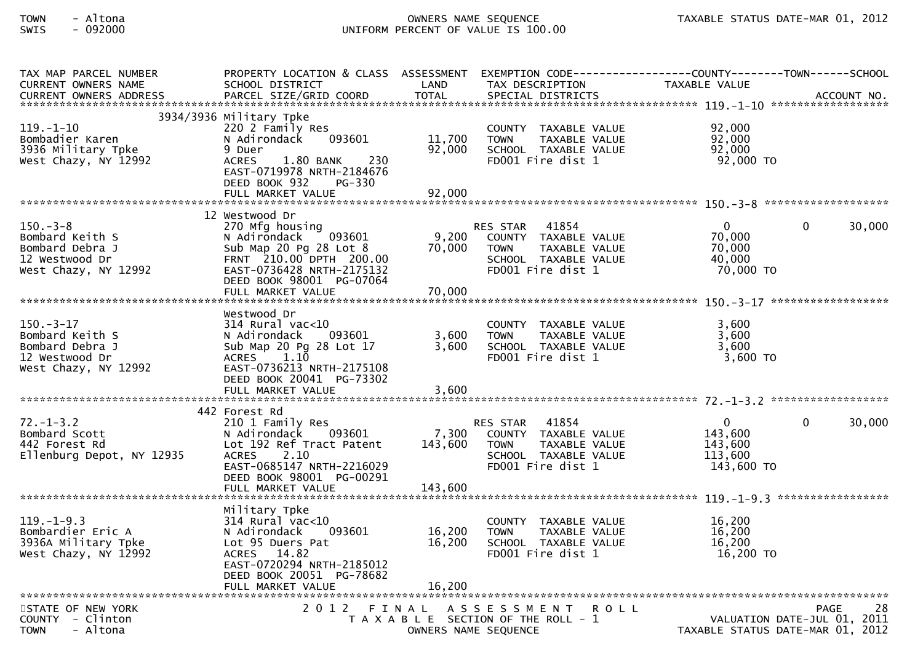| TAX MAP PARCEL NUMBER<br><b>CURRENT OWNERS NAME</b>                                            | PROPERTY LOCATION & CLASS ASSESSMENT<br>SCHOOL DISTRICT                                                                                                                                          | LAND                       | TAX DESCRIPTION                                                                                                               | EXEMPTION        CODE-----------------COUNTY-------TOWN------SCHOOL<br><b>TAXABLE VALUE</b> |            |
|------------------------------------------------------------------------------------------------|--------------------------------------------------------------------------------------------------------------------------------------------------------------------------------------------------|----------------------------|-------------------------------------------------------------------------------------------------------------------------------|---------------------------------------------------------------------------------------------|------------|
| $119. - 1 - 10$<br>Bombadier Karen<br>3936 Military Tpke<br>West Chazy, NY 12992               | 3934/3936 Military Tpke<br>220 2 Family Res<br>N Adirondack<br>093601<br>9 Duer<br><b>ACRES</b><br>1.80 BANK<br>230<br>EAST-0719978 NRTH-2184676<br>DEED BOOK 932<br>PG-330<br>FULL MARKET VALUE | 11,700<br>92,000<br>92,000 | COUNTY TAXABLE VALUE<br><b>TOWN</b><br>TAXABLE VALUE<br>SCHOOL TAXABLE VALUE<br>FD001 Fire dist 1                             | 92,000<br>92,000<br>92,000<br>92,000 TO                                                     |            |
|                                                                                                | 12 Westwood Dr                                                                                                                                                                                   |                            |                                                                                                                               |                                                                                             |            |
| $150 - 3 - 8$<br>Bombard Keith S<br>Bombard Debra J<br>12 Westwood Dr<br>West Chazy, NY 12992  | 270 Mfg housing<br>N Adirondack<br>093601<br>Sub Map 20 Pg 28 Lot 8<br>FRNT 210.00 DPTH 200.00<br>EAST-0736428 NRTH-2175132<br>DEED BOOK 98001 PG-07064<br>FULL MARKET VALUE                     | 9,200<br>70,000<br>70,000  | 41854<br>RES STAR<br>COUNTY TAXABLE VALUE<br>TAXABLE VALUE<br><b>TOWN</b><br>SCHOOL TAXABLE VALUE<br>FD001 Fire dist 1        | $\mathbf{0}$<br>$\Omega$<br>70,000<br>70,000<br>40,000<br>70,000 TO                         | 30,000     |
|                                                                                                |                                                                                                                                                                                                  |                            |                                                                                                                               |                                                                                             |            |
| $150 - 3 - 17$<br>Bombard Keith S<br>Bombard Debra J<br>12 Westwood Dr<br>West Chazy, NY 12992 | Westwood Dr<br>$314$ Rural vac<10<br>093601<br>N Adirondack<br>Sub Map 20 Pg 28 Lot 17<br>1.10<br><b>ACRES</b><br>EAST-0736213 NRTH-2175108<br>DEED BOOK 20041 PG-73302<br>FULL MARKET VALUE     | 3,600<br>3.600<br>3,600    | COUNTY TAXABLE VALUE<br><b>TOWN</b><br>TAXABLE VALUE<br>SCHOOL TAXABLE VALUE<br>FD001 Fire dist 1                             | 3,600<br>3,600<br>3,600<br>3,600 TO                                                         |            |
|                                                                                                |                                                                                                                                                                                                  |                            |                                                                                                                               |                                                                                             |            |
| $72. - 1 - 3.2$<br>Bombard Scott<br>442 Forest Rd<br>Ellenburg Depot, NY 12935                 | 442 Forest Rd<br>210 1 Family Res<br>N Adirondack<br>093601<br>Lot 192 Ref Tract Patent<br><b>ACRES</b><br>2.10<br>EAST-0685147 NRTH-2216029<br>DEED BOOK 98001 PG-00291                         | 7,300<br>143,600           | 41854<br><b>RES STAR</b><br>COUNTY TAXABLE VALUE<br>TAXABLE VALUE<br><b>TOWN</b><br>SCHOOL TAXABLE VALUE<br>FD001 Fire dist 1 | $\mathbf{0}$<br>0<br>143,600<br>143,600<br>113,600<br>143,600 TO                            | 30,000     |
|                                                                                                |                                                                                                                                                                                                  |                            |                                                                                                                               |                                                                                             |            |
| $119. - 1 - 9.3$<br>Bombardier Eric A<br>3936A Military Tpke<br>West Chazy, NY 12992           | Military Tpke<br>$314$ Rural vac< $10$<br>N Adirondack<br>093601<br>Lot 95 Duers Pat<br>ACRES 14.82<br>EAST-0720294 NRTH-2185012<br>DEED BOOK 20051 PG-78682<br>FULL MARKET VALUE                | 16,200<br>16,200<br>16,200 | COUNTY TAXABLE VALUE<br><b>TOWN</b><br>TAXABLE VALUE<br>SCHOOL TAXABLE VALUE<br>FD001 Fire dist 1                             | 16,200<br>16,200<br>16,200<br>16,200 TO                                                     |            |
| STATE OF NEW YORK                                                                              |                                                                                                                                                                                                  |                            | 2012 FINAL ASSESSMENT<br><b>ROLL</b>                                                                                          |                                                                                             | 28<br>PAGE |
| COUNTY - Clinton<br>- Altona<br><b>TOWN</b>                                                    |                                                                                                                                                                                                  | OWNERS NAME SEQUENCE       | T A X A B L E SECTION OF THE ROLL - 1                                                                                         | VALUATION DATE-JUL 01, 2011<br>TAXABLE STATUS DATE-MAR 01, 2012                             |            |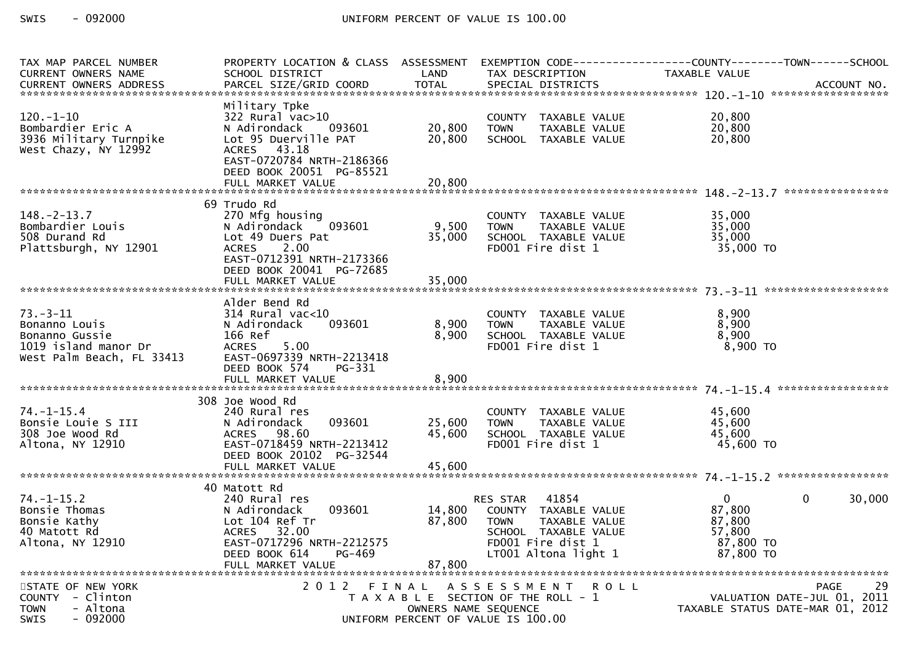| TAX MAP PARCEL NUMBER<br><b>CURRENT OWNERS NAME</b>                                         | PROPERTY LOCATION & CLASS ASSESSMENT<br>SCHOOL DISTRICT                                                                                                                         | LAND                       | TAX DESCRIPTION                                                                                                                                | EXEMPTION        CODE-----------------COUNTY-------TOWN------SCHOOL<br>TAXABLE VALUE   |
|---------------------------------------------------------------------------------------------|---------------------------------------------------------------------------------------------------------------------------------------------------------------------------------|----------------------------|------------------------------------------------------------------------------------------------------------------------------------------------|----------------------------------------------------------------------------------------|
|                                                                                             |                                                                                                                                                                                 |                            |                                                                                                                                                |                                                                                        |
| $120. - 1 - 10$<br>Bombardier Eric A<br>3936 Military Turnpike<br>West Chazy, NY 12992      | Military Tpke<br>$322$ Rural vac $>10$<br>N Adirondack<br>093601<br>Lot 95 Duerville PAT<br>ACRES 43.18<br>EAST-0720784 NRTH-2186366<br>DEED BOOK 20051 PG-85521                | 20,800<br>20,800           | COUNTY TAXABLE VALUE<br><b>TOWN</b><br>TAXABLE VALUE<br>SCHOOL TAXABLE VALUE                                                                   | 20,800<br>20,800<br>20,800                                                             |
|                                                                                             |                                                                                                                                                                                 |                            |                                                                                                                                                |                                                                                        |
|                                                                                             |                                                                                                                                                                                 |                            |                                                                                                                                                |                                                                                        |
| $148. - 2 - 13.7$<br>Bombardier Louis<br>508 Durand Rd<br>Plattsburgh, NY 12901             | 69 Trudo Rd<br>270 Mfg housing<br>093601<br>N Adirondack<br>Lot 49 Duers Pat<br>2.00<br><b>ACRES</b><br>EAST-0712391 NRTH-2173366<br>DEED BOOK 20041 PG-72685                   | 9,500<br>35,000            | COUNTY TAXABLE VALUE<br><b>TOWN</b><br>TAXABLE VALUE<br>SCHOOL TAXABLE VALUE<br>FD001 Fire dist 1                                              | 35,000<br>35,000<br>35,000<br>35,000 TO                                                |
|                                                                                             | FULL MARKET VALUE                                                                                                                                                               | 35,000                     |                                                                                                                                                |                                                                                        |
| $73. - 3 - 11$<br>Bonanno Louis<br>Bonanno Gussie<br>1019 island manor Dr                   | Alder Bend Rd<br>$314$ Rural vac<10<br>093601<br>N Adirondack<br>166 Ref<br>5.00<br><b>ACRES</b>                                                                                | 8,900<br>8,900             | COUNTY TAXABLE VALUE<br><b>TOWN</b><br>TAXABLE VALUE<br>SCHOOL TAXABLE VALUE<br>FD001 Fire dist 1                                              | 8,900<br>8,900<br>8,900<br>8,900 TO                                                    |
| West Palm Beach, FL 33413                                                                   | EAST-0697339 NRTH-2213418<br>DEED BOOK 574<br>PG-331<br>FULL MARKET VALUE                                                                                                       | 8,900                      |                                                                                                                                                |                                                                                        |
|                                                                                             | 308 Joe Wood Rd                                                                                                                                                                 |                            |                                                                                                                                                |                                                                                        |
| $74. - 1 - 15.4$<br>Bonsie Louie S III<br>308 Joe Wood Rd<br>Altona, NY 12910               | 240 Rural res<br>093601<br>N Adirondack<br>98.60<br><b>ACRES</b><br>EAST-0718459 NRTH-2213412<br>DEED BOOK 20102 PG-32544<br>FULL MARKET VALUE                                  | 25,600<br>45,600<br>45,600 | COUNTY TAXABLE VALUE<br><b>TOWN</b><br>TAXABLE VALUE<br>SCHOOL TAXABLE VALUE<br>FD001 Fire dist 1                                              | 45,600<br>45,600<br>45.600<br>45,600 TO                                                |
|                                                                                             |                                                                                                                                                                                 |                            |                                                                                                                                                |                                                                                        |
| $74. - 1 - 15.2$<br>Bonsie Thomas<br>Bonsie Kathy<br>40 Matott Rd<br>Altona, NY 12910       | 40 Matott Rd<br>240 Rural res<br>N Adirondack<br>093601<br>Lot 104 Ref Tr<br>32.00<br><b>ACRES</b><br>EAST-0717296 NRTH-2212575<br>DEED BOOK 614<br>PG-469<br>FULL MARKET VALUE | 14,800<br>87,800<br>87,800 | 41854<br>RES STAR<br>COUNTY TAXABLE VALUE<br><b>TOWN</b><br>TAXABLE VALUE<br>SCHOOL TAXABLE VALUE<br>FD001 Fire dist 1<br>LT001 Altona light 1 | $\Omega$<br>$\Omega$<br>30,000<br>87,800<br>87,800<br>57,800<br>87,800 TO<br>87,800 TO |
| STATE OF NEW YORK<br>COUNTY - Clinton<br><b>TOWN</b><br>- Altona<br>- 092000<br><b>SWIS</b> | 2 0 1 2                                                                                                                                                                         | FINAL                      | A S S E S S M E N T<br><b>ROLL</b><br>T A X A B L E SECTION OF THE ROLL - 1<br>OWNERS NAME SEQUENCE<br>UNIFORM PERCENT OF VALUE IS 100.00      | PAGE<br>29<br>VALUATION DATE-JUL 01, 2011<br>TAXABLE STATUS DATE-MAR 01, 2012          |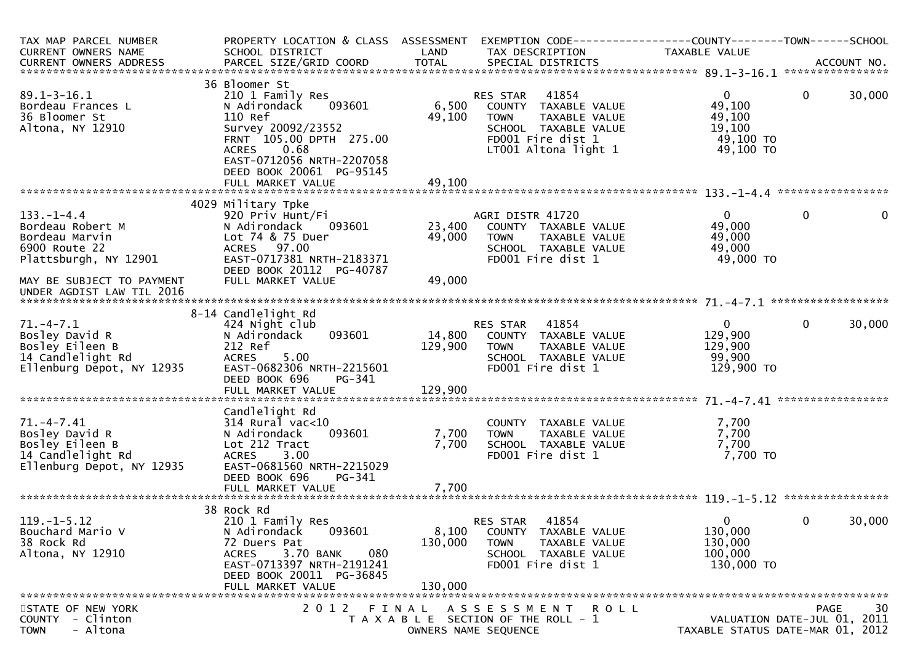| TAX MAP PARCEL NUMBER<br><b>CURRENT OWNERS NAME</b><br>CURRENT OWNERS ADDRESS                          | PROPERTY LOCATION & CLASS ASSESSMENT<br>SCHOOL DISTRICT                                                                                                                                                  | LAND                        | EXEMPTION CODE-----------------COUNTY-------TOWN------SCHOOL<br>TAX DESCRIPTION                                                                | TAXABLE VALUE                                                        |              |          |
|--------------------------------------------------------------------------------------------------------|----------------------------------------------------------------------------------------------------------------------------------------------------------------------------------------------------------|-----------------------------|------------------------------------------------------------------------------------------------------------------------------------------------|----------------------------------------------------------------------|--------------|----------|
|                                                                                                        |                                                                                                                                                                                                          |                             |                                                                                                                                                |                                                                      |              |          |
| $89.1 - 3 - 16.1$<br>Bordeau Frances L<br>36 Bloomer St<br>Altona, NY 12910                            | 36 Bloomer St<br>210 1 Family Res<br>093601<br>N Adirondack<br>110 Ref<br>Survey 20092/23552<br>FRNT 105.00 DPTH 275.00<br>0.68<br><b>ACRES</b><br>EAST-0712056 NRTH-2207058<br>DEED BOOK 20061 PG-95145 | 6,500<br>49,100<br>49,100   | 41854<br>RES STAR<br>COUNTY TAXABLE VALUE<br>TAXABLE VALUE<br><b>TOWN</b><br>SCHOOL TAXABLE VALUE<br>FD001 Fire dist 1<br>LT001 Altona light 1 | $\mathbf{0}$<br>49,100<br>49,100<br>19,100<br>49,100 TO<br>49,100 TO | $\mathbf{0}$ | 30,000   |
|                                                                                                        | FULL MARKET VALUE                                                                                                                                                                                        |                             |                                                                                                                                                |                                                                      |              |          |
| $133. - 1 - 4.4$<br>Bordeau Robert M<br>Bordeau Marvin<br>6900 Route 22<br>Plattsburgh, NY 12901       | 4029 Military Tpke<br>920 Priv Hunt/Fi<br>N Adirondack<br>093601<br>Lot 74 & 75 Duer<br>ACRES 97.00<br>EAST-0717381 NRTH-2183371<br>DEED BOOK 20112 PG-40787                                             | 23,400<br>49,000            | AGRI DISTR 41720<br>COUNTY TAXABLE VALUE<br>TAXABLE VALUE<br><b>TOWN</b><br>SCHOOL TAXABLE VALUE<br>FD001 Fire dist 1                          | $\mathbf{0}$<br>49,000<br>49,000<br>49,000<br>49,000 TO              | $\mathbf{0}$ | $\Omega$ |
| MAY BE SUBJECT TO PAYMENT<br>UNDER AGDIST LAW TIL 2016                                                 | FULL MARKET VALUE                                                                                                                                                                                        | 49,000                      |                                                                                                                                                |                                                                      |              |          |
|                                                                                                        |                                                                                                                                                                                                          |                             |                                                                                                                                                |                                                                      |              |          |
| $71. - 4 - 7.1$<br>Bosley David R<br>Bosley Eileen B<br>14 Candlelight Rd<br>Ellenburg Depot, NY 12935 | 8-14 Candlelight Rd<br>424 Night club<br>093601<br>N Adirondack<br>212 Ref<br><b>ACRES</b><br>5.00<br>EAST-0682306 NRTH-2215601<br>DEED BOOK 696<br>PG-341                                               | 14,800<br>129,900           | 41854<br>RES STAR<br>COUNTY TAXABLE VALUE<br>TAXABLE VALUE<br><b>TOWN</b><br>SCHOOL TAXABLE VALUE<br>FD001 Fire dist 1                         | $\overline{0}$<br>129,900<br>129,900<br>99,900<br>129,900 TO         | $\mathbf 0$  | 30,000   |
|                                                                                                        | Candlelight Rd                                                                                                                                                                                           |                             |                                                                                                                                                |                                                                      |              |          |
| $71. -4 - 7.41$<br>Bosley David R<br>Bosley Eileen B<br>14 Candlelight Rd<br>Ellenburg Depot, NY 12935 | $314$ Rural vac< $10$<br>093601<br>N Adirondack<br>Lot 212 Tract<br>3.00<br><b>ACRES</b><br>EAST-0681560 NRTH-2215029<br>DEED BOOK 696<br>PG-341                                                         | 7,700<br>7,700              | COUNTY TAXABLE VALUE<br>TAXABLE VALUE<br><b>TOWN</b><br>SCHOOL TAXABLE VALUE<br>FD001 Fire dist 1                                              | 7,700<br>7,700<br>7,700<br>7,700 TO                                  |              |          |
|                                                                                                        |                                                                                                                                                                                                          |                             |                                                                                                                                                |                                                                      |              |          |
| $119. - 1 - 5.12$<br>Bouchard Mario V<br>38 Rock Rd<br>Altona, NY 12910                                | 38 Rock Rd<br>210 1 Family Res<br>093601<br>N Adirondack<br>72 Duers Pat<br>080<br><b>ACRES</b><br>3.70 BANK<br>EAST-0713397 NRTH-2191241<br>DEED BOOK 20011 PG-36845<br>FULL MARKET VALUE               | 8,100<br>130,000<br>130,000 | 41854<br><b>RES STAR</b><br>COUNTY TAXABLE VALUE<br><b>TOWN</b><br>TAXABLE VALUE<br>SCHOOL TAXABLE VALUE<br>FD001 Fire dist 1                  | $\Omega$<br>130,000<br>130,000<br>100,000<br>130,000 TO              | $\mathbf 0$  | 30,000   |
| STATE OF NEW YORK<br>COUNTY - Clinton<br>- Altona<br><b>TOWN</b>                                       | 2 0 1 2<br>FINAL                                                                                                                                                                                         |                             | A S S E S S M E N T<br><b>ROLL</b><br>T A X A B L E SECTION OF THE ROLL - 1<br>OWNERS NAME SEQUENCE                                            | VALUATION DATE-JUL 01, 2011<br>TAXABLE STATUS DATE-MAR 01, 2012      | <b>PAGE</b>  | 30       |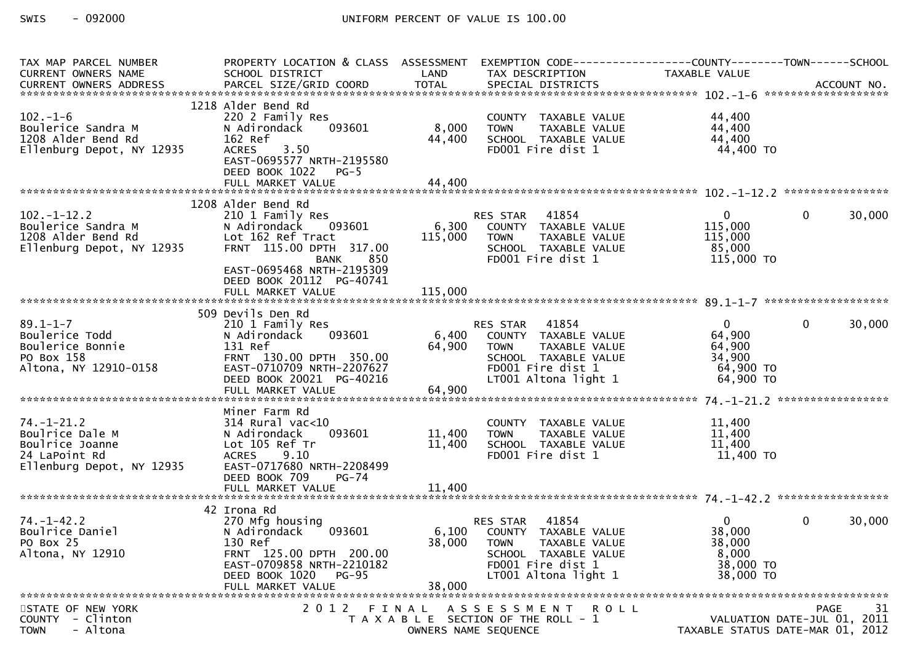| TAX MAP PARCEL NUMBER<br>CURRENT OWNERS NAME<br>CURRENT OWNERS ADDRESS PARCEL SIZE/GRID COORD TOTAL SPECIAL DISTRICTS (2011) 10. ACCOUNT NO. | PROPERTY LOCATION & CLASS ASSESSMENT<br>SCHOOL DISTRICT                                                                                                           | LAND             | EXEMPTION CODE-----------------COUNTY-------TOWN------SCHOOL<br>TAX DESCRIPTION                                                                | <b>TAXABLE VALUE</b>                                                 |                                                                               |
|----------------------------------------------------------------------------------------------------------------------------------------------|-------------------------------------------------------------------------------------------------------------------------------------------------------------------|------------------|------------------------------------------------------------------------------------------------------------------------------------------------|----------------------------------------------------------------------|-------------------------------------------------------------------------------|
| $102. - 1 - 6$<br>Boulerice Sandra M<br>1208 Alder Bend Rd<br>Ellenburg Depot, NY 12935                                                      | 1218 Alder Bend Rd<br>220 2 Family Res<br>093601<br>N Adirondack<br>162 Ref<br><b>ACRES</b><br>3.50<br>EAST-0695577 NRTH-2195580<br>DEED BOOK 1022<br>$PG-5$      | 8,000<br>44,400  | COUNTY TAXABLE VALUE<br>TAXABLE VALUE<br><b>TOWN</b><br>SCHOOL TAXABLE VALUE<br>FD001 Fire dist 1                                              | 44,400<br>44,400<br>44,400<br>44,400 TO                              |                                                                               |
|                                                                                                                                              | 1208 Alder Bend Rd                                                                                                                                                |                  |                                                                                                                                                |                                                                      |                                                                               |
| $102. - 1 - 12.2$<br>Boulerice Sandra M<br>1208 Alder Bend Rd<br>Ellenburg Depot, NY 12935<br>1208 Alder Bend Rd                             | 210 1 Family Res<br>093601<br>N Adirondack<br>Lot 162 Ref Tract<br>FRNT 115.00 DPTH 317.00<br><b>BANK</b><br>850<br>EAST-0695468 NRTH-2195309                     | 6,300<br>115,000 | RES STAR<br>41854<br>COUNTY TAXABLE VALUE<br><b>TOWN</b><br>TAXABLE VALUE<br>SCHOOL TAXABLE VALUE<br>FD001 Fire dist 1                         | $\overline{0}$<br>115,000<br>115,000<br>85,000<br>115,000 TO         | $\mathbf{0}$<br>30,000                                                        |
|                                                                                                                                              | DEED BOOK 20112 PG-40741                                                                                                                                          |                  |                                                                                                                                                |                                                                      |                                                                               |
| $89.1 - 1 - 7$<br>Boulerice Todd<br>Boulerice Bonnie<br>PO Box 158<br>PO Box 158<br>Altona, NY 12910-0158                                    | 509 Devils Den Rd<br>210 1 Family Res<br>093601<br>N Adirondack<br>131 Ref<br>FRNT 130.00 DPTH 350.00<br>EAST-0710709 NRTH-2207627<br>DEED BOOK 20021 PG-40216    | 6,400<br>64,900  | RES STAR 41854<br>COUNTY TAXABLE VALUE<br><b>TOWN</b><br>TAXABLE VALUE<br>SCHOOL TAXABLE VALUE<br>FD001 Fire dist 1<br>LT001 Altona light 1    | $\mathbf{0}$<br>64,900<br>64,900<br>34,900<br>64,900 TO<br>64,900 TO | 30,000<br>$\overline{0}$                                                      |
|                                                                                                                                              |                                                                                                                                                                   |                  |                                                                                                                                                |                                                                      |                                                                               |
| $74. - 1 - 21.2$<br>Boulrice Dale M<br>Boulrice Joanne<br>24 LaPoint Rd<br>Ellenburg Depot, NY 12935                                         | Miner Farm Rd<br>$314$ Rural vac< $10$<br>093601<br>N Adirondack<br>Lot 105 Ref Tr<br><b>ACRES</b><br>9.10<br>EAST-0717680 NRTH-2208499<br>DEED BOOK 709<br>PG-74 | 11,400<br>11,400 | COUNTY TAXABLE VALUE<br><b>TOWN</b><br>TAXABLE VALUE<br>SCHOOL TAXABLE VALUE<br>FD001 Fire dist 1                                              | 11,400<br>11,400<br>11,400<br>11,400 TO                              |                                                                               |
|                                                                                                                                              |                                                                                                                                                                   |                  |                                                                                                                                                |                                                                      |                                                                               |
| $74. - 1 - 42.2$<br>Boulrice Daniel<br>PO Box 25<br>Altona, NY 12910                                                                         | 42 Irona Rd<br>270 Mfg housing<br>093601<br>N Adirondack<br>130 Ref<br>FRNT 125.00 DPTH 200.00<br>EAST-0709858 NRTH-2210182<br>DEED BOOK 1020<br>PG-95            | 6,100<br>38,000  | 41854<br>RES STAR<br>COUNTY TAXABLE VALUE<br><b>TOWN</b><br>TAXABLE VALUE<br>SCHOOL TAXABLE VALUE<br>FD001 Fire dist 1<br>LT001 Altona light 1 | 0<br>38,000<br>38,000<br>8,000<br>38,000 TO<br>38,000 TO             | 30,000<br>$\mathbf{0}$                                                        |
|                                                                                                                                              | FULL MARKET VALUE                                                                                                                                                 | 38,000           |                                                                                                                                                |                                                                      |                                                                               |
| STATE OF NEW YORK<br>- Clinton<br><b>COUNTY</b><br>- Altona<br><b>TOWN</b>                                                                   | 2012 FINAL                                                                                                                                                        |                  | ASSESSMENT ROLL<br>T A X A B L E SECTION OF THE ROLL - 1<br>OWNERS NAME SEQUENCE                                                               |                                                                      | 31<br>PAGE<br>VALUATION DATE-JUL 01, 2011<br>TAXABLE STATUS DATE-MAR 01, 2012 |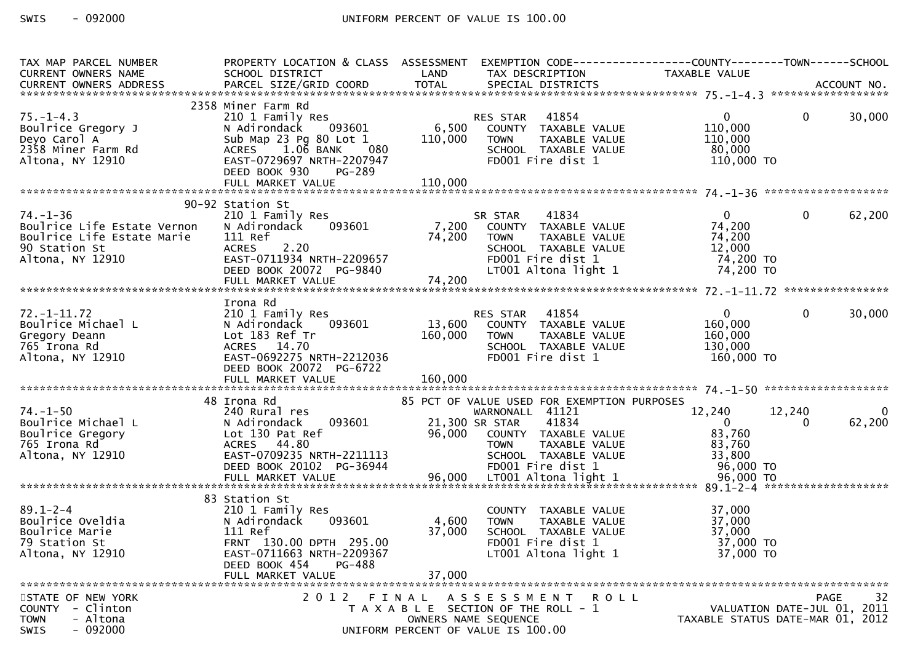| TAX MAP PARCEL NUMBER<br><b>CURRENT OWNERS NAME</b>                                                              | PROPERTY LOCATION & CLASS ASSESSMENT<br>SCHOOL DISTRICT<br><b>Example 18 The LAND</b>                                                                                             |                                    | EXEMPTION CODE-----------------COUNTY-------TOWN------SCHOOL<br>TAX DESCRIPTION                                                                                 | TAXABLE VALUE                                                        |                                                                                |             |
|------------------------------------------------------------------------------------------------------------------|-----------------------------------------------------------------------------------------------------------------------------------------------------------------------------------|------------------------------------|-----------------------------------------------------------------------------------------------------------------------------------------------------------------|----------------------------------------------------------------------|--------------------------------------------------------------------------------|-------------|
|                                                                                                                  |                                                                                                                                                                                   |                                    |                                                                                                                                                                 |                                                                      |                                                                                |             |
| $75. - 1 - 4.3$<br>Boulrice Gregory J<br>Deyo Carol A<br>2358 Miner Farm Rd<br>Altona, NY 12910                  | 2358 Miner Farm Rd<br>210 1 Family Res<br>N Adirondack<br>Sub Map 23 Pg 80 Lot 1 110,000<br>080<br>ACRES 1.06 BANK<br>EAST-0729697 NRTH-2207947<br>DEED BOOK 930<br><b>PG-289</b> |                                    | TAXABLE VALUE<br><b>TOWN</b><br>SCHOOL TAXABLE VALUE<br>FD001 Fire dist 1                                                                                       | $\overline{0}$<br>110,000<br>110,000<br>80,000<br>110,000 TO         | $\mathbf{0}$                                                                   | 30,000      |
|                                                                                                                  | 90-92 Station St                                                                                                                                                                  |                                    |                                                                                                                                                                 |                                                                      |                                                                                |             |
| $74. - 1 - 36$<br>Boulrice Life Estate Vernon<br>Boulrice Life Estate Marie<br>90 Station St<br>Altona, NY 12910 | 210 1 Family Res<br>093601<br>N Adirondack<br>111 Ref<br>2.20<br><b>ACRES</b><br>EAST-0711934 NRTH-2209657<br>DEED BOOK 20072 PG-9840                                             |                                    | SR STAR       41834<br>7,200    COUNTY   TAXABLE VALUE<br>74,200    TOWN     TAXABLE VALUE<br>SCHOOL TAXABLE VALUE<br>FD001 Fire dist 1<br>LT001 Altona light 1 | $\mathbf{0}$<br>74,200<br>74,200<br>12,000<br>74,200 TO<br>74,200 TO | $\mathbf{0}$                                                                   | 62,200      |
|                                                                                                                  | Irona Rd                                                                                                                                                                          |                                    |                                                                                                                                                                 |                                                                      |                                                                                |             |
| $72. - 1 - 11.72$<br>Boulrice Michael L<br>Gregory Deann<br>765 Irona Rd<br>Altona, NY 12910                     | 210 1 Family Res<br>N Adirondack<br>093601<br>Lot 183 Ref Tr<br>ACRES 14.70<br>EAST-0692275 NRTH-2212036<br>DEED BOOK 20072 PG-6722                                               | 160,000                            | RES STAR 41854<br>13,600 COUNTY TAXABLE VALUE<br><b>TOWN</b><br>TAXABLE VALUE<br>SCHOOL TAXABLE VALUE<br>FD001 Fire dist 1                                      | $\overline{0}$<br>160,000<br>160,000<br>130,000<br>160,000 TO        | $\mathbf{0}$                                                                   | 30,000      |
|                                                                                                                  | 48 Irona Rd                                                                                                                                                                       |                                    | 85 PCT OF VALUE USED FOR EXEMPTION PURPOSES                                                                                                                     |                                                                      |                                                                                |             |
| $74. - 1 - 50$<br>Courrice Michael L<br>Boulrice Gregory<br>765 Irona Rd<br>Altona, NY 12910                     | 240 Rural res<br>N Adirondack<br>Lot 130 Pat Ref<br>ACRES 44.80<br>EAST-0709235 NRTH-2211113                                                                                      | WARNONALL<br>093601 21,300 SR STAR | WARNONALL 41121<br>41834<br>96,000 COUNTY TAXABLE VALUE<br>TAXABLE VALUE<br><b>TOWN</b><br>SCHOOL TAXABLE VALUE                                                 | 12,240<br>$\overline{0}$<br>83,760<br>83,760<br>33,800               | 12,240<br>$\Omega$                                                             | 0<br>62,200 |
|                                                                                                                  | 83 Station St                                                                                                                                                                     |                                    |                                                                                                                                                                 |                                                                      |                                                                                |             |
| $89.1 - 2 - 4$<br>soulrice Oveldia<br>Boulrice Marie<br>79 Station St<br>Altona, NY 12910                        | 210 1 Family Res<br>093601<br>N Adirondack<br>111 Ref<br>FRNT 130.00 DPTH 295.00<br>EAST-0711663 NRTH-2209367<br>DEED BOOK 454<br>PG-488<br>FULL MARKET VALUE                     | 4,600<br>37,000<br>37,000          | COUNTY TAXABLE VALUE<br>TAXABLE VALUE<br>TOWN<br>SCHOOL TAXABLE VALUE<br>FD001 Fire dist 1<br>LT001 Altona light 1                                              | 37,000<br>37,000<br>37,000<br>37,000 TO<br>37,000 TO                 |                                                                                |             |
| STATE OF NEW YORK<br>COUNTY - Clinton<br>- Altona<br><b>TOWN</b><br>$-092000$<br>SWIS                            | 2 0 1 2                                                                                                                                                                           | FINAL                              | A S S E S S M E N T R O L L<br>T A X A B L E SECTION OF THE ROLL - 1<br>OWNERS NAME SEQUENCE<br>UNIFORM PERCENT OF VALUE IS 100.00                              |                                                                      | <b>PAGE</b><br>VALUATION DATE-JUL 01, 2011<br>TAXABLE STATUS DATE-MAR 01, 2012 | 32          |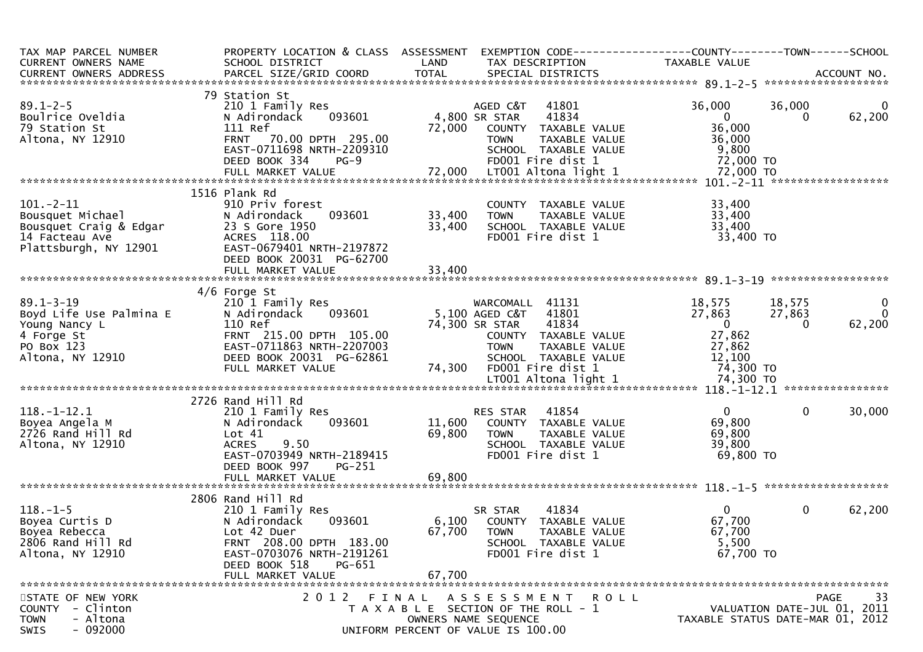| TAX MAP PARCEL NUMBER<br>CURRENT OWNERS NAME<br>CURRENT OWNERS ADDRESS                                      | PROPERTY LOCATION & CLASS ASSESSMENT<br>SCHOOL DISTRICT                                                                                                                                | LAND                       | EXEMPTION CODE------------------COUNTY--------TOWN------SCHOOL<br>TAX DESCRIPTION                                                                     | TAXABLE VALUE                                                    |                                                                                      |
|-------------------------------------------------------------------------------------------------------------|----------------------------------------------------------------------------------------------------------------------------------------------------------------------------------------|----------------------------|-------------------------------------------------------------------------------------------------------------------------------------------------------|------------------------------------------------------------------|--------------------------------------------------------------------------------------|
|                                                                                                             |                                                                                                                                                                                        |                            |                                                                                                                                                       |                                                                  |                                                                                      |
| $89.1 - 2 - 5$<br>Boulrice Oveldia<br>79 Station St<br>Altona, NY 12910                                     | 79 Station St<br>210 1 Family Res<br>093601<br>N Adirondack<br>111 Ref<br>FRNT 70.00 DPTH 295.00<br>EAST-0711698 NRTH-2209310<br>DEED BOOK 334<br>$PG-9$                               | 72,000                     | 41801<br>AGED C&T<br>4,800 SR STAR<br>41834<br>COUNTY TAXABLE VALUE<br>TAXABLE VALUE<br><b>TOWN</b><br>SCHOOL TAXABLE VALUE<br>FD001 Fire dist 1      | 36,000<br>$\mathbf{0}$<br>36,000<br>36,000<br>9,800<br>72,000 TO | 36,000<br>0<br>62,200<br>0                                                           |
|                                                                                                             |                                                                                                                                                                                        |                            |                                                                                                                                                       |                                                                  |                                                                                      |
|                                                                                                             |                                                                                                                                                                                        |                            |                                                                                                                                                       |                                                                  |                                                                                      |
| $101. -2 - 11$<br>Bousquet Michael<br>Bousquet Craig & Edgar<br>14 Facteau Ave<br>Plattsburgh, NY 12901     | 1516 Plank Rd<br>910 Priv forest<br>093601<br>N Adirondack<br>23 S Gore 1950<br>ACRES 118.00<br>EAST-0679401 NRTH-2197872<br>DEED BOOK 20031 PG-62700                                  | 33,400<br>33,400           | COUNTY TAXABLE VALUE<br><b>TOWN</b><br>TAXABLE VALUE<br>SCHOOL TAXABLE VALUE<br>FD001 Fire dist 1                                                     | 33,400<br>33,400<br>33,400<br>33,400 TO                          |                                                                                      |
|                                                                                                             | FULL MARKET VALUE                                                                                                                                                                      | 33,400                     |                                                                                                                                                       |                                                                  |                                                                                      |
|                                                                                                             |                                                                                                                                                                                        |                            |                                                                                                                                                       |                                                                  |                                                                                      |
| $89.1 - 3 - 19$<br>Boyd Life Use Palmina E<br>Young Nancy L<br>4 Forge St<br>PO Box 123<br>Altona, NY 12910 | $4/6$ Forge St<br>210 1 Family Res<br>N Adirondack<br>093601<br>110 Ref<br>FRNT 215.00 DPTH 105.00<br>EAST-0711863 NRTH-2207003<br>DEED BOOK 20031 PG-62861                            |                            | WARCOMALL 41131<br>41801<br>5,100 AGED C&T<br>74,300 SR STAR<br>41834<br>COUNTY TAXABLE VALUE<br><b>TOWN</b><br>TAXABLE VALUE<br>SCHOOL TAXABLE VALUE | 18,575<br>27,863<br>$\overline{0}$<br>27,862<br>27,862<br>12,100 | $\mathbf{0}$<br>18,575<br>27,863<br>$\mathbf{0}$<br>62,200<br>$\Omega$               |
|                                                                                                             | FULL MARKET VALUE                                                                                                                                                                      | 74,300                     | FD001 Fire dist 1                                                                                                                                     | 74,300 TO                                                        |                                                                                      |
|                                                                                                             |                                                                                                                                                                                        |                            |                                                                                                                                                       |                                                                  |                                                                                      |
|                                                                                                             |                                                                                                                                                                                        |                            |                                                                                                                                                       |                                                                  |                                                                                      |
| $118.-1-12.1$<br>Boyea Angela M<br>2726 Rand Hill Rd<br>Altona, NY 12910                                    | 2726 Rand Hill Rd<br>210 1 Family Res<br>093601<br>N Adirondack<br>Lot 41<br>9.50<br><b>ACRES</b><br>EAST-0703949 NRTH-2189415<br>DEED BOOK 997<br>PG-251<br>FULL MARKET VALUE         | 11,600<br>69,800<br>69,800 | 41854<br>RES STAR<br>COUNTY TAXABLE VALUE<br><b>TOWN</b><br>TAXABLE VALUE<br>SCHOOL TAXABLE VALUE<br>FD001 Fire dist 1                                | $\mathbf{0}$<br>69,800<br>69,800<br>39,800<br>69,800 TO          | $\mathbf 0$<br>30,000                                                                |
|                                                                                                             |                                                                                                                                                                                        |                            |                                                                                                                                                       |                                                                  |                                                                                      |
| $118. - 1 - 5$<br>Boyea Curtis D<br>Boyea Rebecca<br>2806 Rand Hill Rd<br>Altona, NY 12910                  | 2806 Rand Hill Rd<br>210 1 Family Res<br>093601<br>N Adirondack<br>Lot 42 Duer<br>FRNT 208.00 DPTH 183.00<br>EAST-0703076 NRTH-2191261<br>DEED BOOK 518<br>PG-651<br>FULL MARKET VALUE | 67,700<br>67,700           | 41834<br>SR STAR<br>6,100 COUNTY TAXABLE VALUE<br><b>TOWN</b><br>TAXABLE VALUE<br>SCHOOL TAXABLE VALUE<br>FD001 Fire dist 1                           | $\Omega$<br>67,700<br>67,700<br>5,500<br>67,700 TO               | $\mathbf 0$<br>62,200                                                                |
|                                                                                                             |                                                                                                                                                                                        |                            |                                                                                                                                                       |                                                                  |                                                                                      |
| STATE OF NEW YORK<br>COUNTY - Clinton<br>- Altona<br><b>TOWN</b><br>$-092000$<br>SWIS                       | 2 0 1 2                                                                                                                                                                                | FINAL                      | A S S E S S M E N T<br>R O L L<br>T A X A B L E SECTION OF THE ROLL - 1<br>OWNERS NAME SEQUENCE<br>UNIFORM PERCENT OF VALUE IS 100.00                 |                                                                  | 33<br><b>PAGE</b><br>VALUATION DATE-JUL 01, 2011<br>TAXABLE STATUS DATE-MAR 01, 2012 |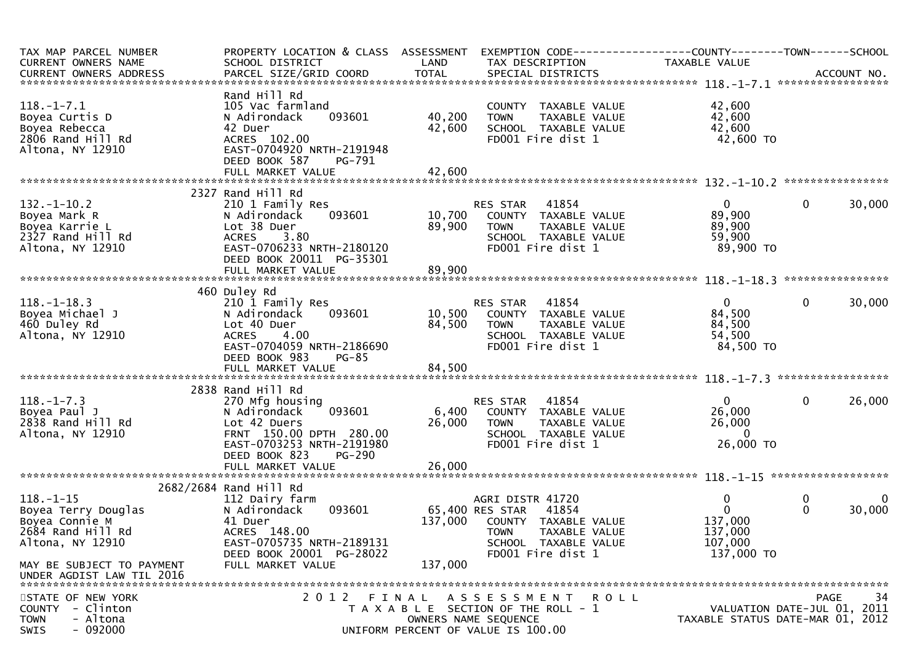| TAX MAP PARCEL NUMBER<br>CURRENT OWNERS NAME<br>CURRENT OWNERS ADDRESS                            | PROPERTY LOCATION & CLASS ASSESSMENT<br>SCHOOL DISTRICT                                                                                                         | LAND             | EXEMPTION CODE-----------------COUNTY-------TOWN------SCHOOL<br>TAX DESCRIPTION                                                                | TAXABLE VALUE                                                          |                                                                               |
|---------------------------------------------------------------------------------------------------|-----------------------------------------------------------------------------------------------------------------------------------------------------------------|------------------|------------------------------------------------------------------------------------------------------------------------------------------------|------------------------------------------------------------------------|-------------------------------------------------------------------------------|
|                                                                                                   |                                                                                                                                                                 |                  |                                                                                                                                                |                                                                        |                                                                               |
| $118.-1-7.1$<br>Boyea Curtis D<br>Boyea Rebecca<br>2806 Rand Hill Rd<br>Altona, NY 12910          | Rand Hill Rd<br>105 Vac farmland<br>093601<br>N Adirondack<br>42 Duer<br>ACRES 102.00<br>EAST-0704920 NRTH-2191948<br>DEED BOOK 587<br>PG-791                   | 40,200<br>42,600 | COUNTY TAXABLE VALUE<br>TAXABLE VALUE<br><b>TOWN</b><br>SCHOOL TAXABLE VALUE<br>FD001 Fire dist 1                                              | 42,600<br>42,600<br>42,600<br>42,600 TO                                |                                                                               |
|                                                                                                   | FULL MARKET VALUE                                                                                                                                               | 42,600           |                                                                                                                                                |                                                                        |                                                                               |
|                                                                                                   |                                                                                                                                                                 |                  |                                                                                                                                                |                                                                        |                                                                               |
| $132. - 1 - 10.2$<br>Boyea Mark R<br>Boyea Karrie L<br>2327 Rand Hill Rd<br>Altona, NY 12910      | 2327 Rand Hill Rd<br>210 1 Family Res<br>093601<br>N Adirondack<br>Lot 38 Duer<br><b>ACRES</b><br>3.80<br>EAST-0706233 NRTH-2180120<br>DEED BOOK 20011 PG-35301 | 10,700<br>89,900 | 41854<br>RES STAR<br>COUNTY TAXABLE VALUE<br><b>TOWN</b><br>TAXABLE VALUE<br>SCHOOL TAXABLE VALUE<br>FD001 Fire dist 1                         | $\mathbf{0}$<br>89,900<br>89,900<br>59,900<br>89,900 TO                | 30,000<br>$\bf{0}$                                                            |
|                                                                                                   | FULL MARKET VALUE                                                                                                                                               | 89,900           |                                                                                                                                                |                                                                        |                                                                               |
| $118.-1-18.3$<br>Boyea Michael J<br>460 Duley Rd<br>Altona, NY 12910                              | 460 Duley Rd<br>210 1 Family Res<br>N Adirondack<br>093601<br>Lot 40 Duer<br>4.00<br><b>ACRES</b>                                                               | 84,500           | 41854<br>RES STAR<br>10,500 COUNTY TAXABLE VALUE<br>TAXABLE VALUE<br>TOWN<br>SCHOOL TAXABLE VALUE                                              | $\overline{0}$<br>84,500<br>84,500<br>54,500                           | $\mathbf{0}$<br>30,000                                                        |
|                                                                                                   | EAST-0704059 NRTH-2186690<br>DEED BOOK 983<br><b>PG-85</b>                                                                                                      |                  | FD001 Fire dist 1                                                                                                                              | 84,500 TO                                                              |                                                                               |
|                                                                                                   | 2838 Rand Hill Rd                                                                                                                                               |                  |                                                                                                                                                |                                                                        |                                                                               |
| $118. - 1 - 7.3$<br>Boyea Paul J<br>2838 Rand Hill Rd<br>Altona, NY 12910                         | 270 Mfg housing<br>093601<br>N Adirondack<br>Lot 42 Duers<br>FRNT 150.00 DPTH 280.00<br>EAST-0703253 NRTH-2191980<br>DEED BOOK 823<br><b>PG-290</b>             | 26,000           | 41854<br>RES STAR<br>6,400 COUNTY TAXABLE VALUE<br>TAXABLE VALUE<br><b>TOWN</b><br>SCHOOL TAXABLE VALUE<br>FD001 Fire dist 1                   | $\mathbf{0}$<br>26,000<br>26,000<br>$\Omega$<br>26,000 TO              | $\mathbf{0}$<br>26,000                                                        |
|                                                                                                   | FULL MARKET VALUE                                                                                                                                               | 26,000           |                                                                                                                                                |                                                                        |                                                                               |
|                                                                                                   | 2682/2684 Rand Hill Rd                                                                                                                                          |                  |                                                                                                                                                |                                                                        |                                                                               |
| $118. - 1 - 15$<br>Boyea Terry Douglas<br>Boyea Connie M<br>2684 Rand Hill Rd<br>Altona, NY 12910 | 112 Dairy farm<br>093601<br>N Adirondack<br>41 Duer<br>ACRES 148.00<br>EAST-0705735 NRTH-2189131<br>DEED BOOK 20001 PG-28022                                    | 137,000          | AGRI DISTR 41720<br>65,400 RES STAR 41854<br>COUNTY TAXABLE VALUE<br>TAXABLE VALUE<br><b>TOWN</b><br>SCHOOL TAXABLE VALUE<br>FD001 Fire dist 1 | $\mathbf 0$<br>$\Omega$<br>137,000<br>137,000<br>107,000<br>137,000 TO | $\bf{0}$<br>30,000<br>$\mathbf{0}$                                            |
| MAY BE SUBJECT TO PAYMENT<br>UNDER AGDIST LAW TIL 2016                                            | FULL MARKET VALUE                                                                                                                                               | 137,000          |                                                                                                                                                |                                                                        |                                                                               |
| STATE OF NEW YORK<br><b>COUNTY</b><br>- Clinton<br>- Altona<br><b>TOWN</b><br>$-092000$<br>SWIS   | 2012 FINAL                                                                                                                                                      |                  | A S S E S S M E N T R O L L<br>T A X A B L E SECTION OF THE ROLL - 1<br>OWNERS NAME SEQUENCE<br>UNIFORM PERCENT OF VALUE IS 100.00             |                                                                        | 34<br>PAGE<br>VALUATION DATE-JUL 01, 2011<br>TAXABLE STATUS DATE-MAR 01, 2012 |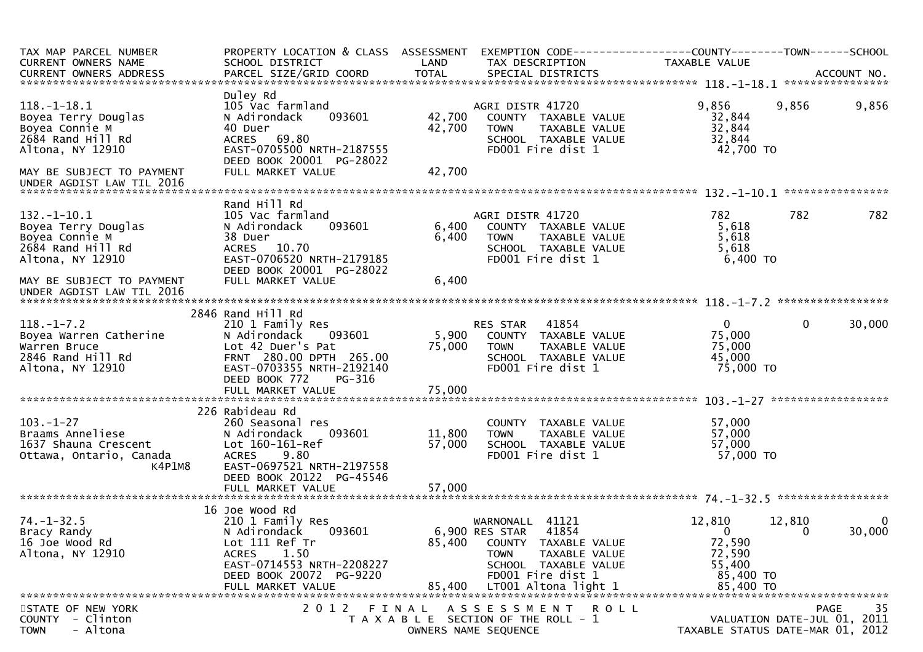| TAX MAP PARCEL NUMBER<br>CURRENT OWNERS NAME<br>CURRENT OWNERS ADDRESS                              | PROPERTY LOCATION & CLASS ASSESSMENT<br>SCHOOL DISTRICT<br>PARCEL SIZE/GRID COORD                                                                                       | LAND<br><b>TOTAL</b>    | EXEMPTION CODE-----------------COUNTY-------TOWN------SCHOOL<br>TAX DESCRIPTION<br>SPECIAL DISTRICTS                                               | TAXABLE VALUE                                                     | ACCOUNT NO.                                                                          |
|-----------------------------------------------------------------------------------------------------|-------------------------------------------------------------------------------------------------------------------------------------------------------------------------|-------------------------|----------------------------------------------------------------------------------------------------------------------------------------------------|-------------------------------------------------------------------|--------------------------------------------------------------------------------------|
|                                                                                                     |                                                                                                                                                                         |                         |                                                                                                                                                    |                                                                   |                                                                                      |
| $118.-1-18.1$<br>Boyea Terry Douglas<br>Boyea Connie M<br>2684 Rand Hill Rd<br>Altona, NY 12910     | Duley Rd<br>105 Vac farmland<br>093601<br>N Adirondack<br>40 Duer<br>ACRES 69.80<br>EAST-0705500 NRTH-2187555<br>DEED BOOK 20001 PG-28022                               | 42,700<br>42,700        | AGRI DISTR 41720<br>COUNTY TAXABLE VALUE<br>TAXABLE VALUE<br><b>TOWN</b><br>SCHOOL TAXABLE VALUE<br>FD001 Fire dist 1                              | 9,856<br>32,844<br>32,844<br>32,844<br>42,700 TO                  | 9,856<br>9,856                                                                       |
| MAY BE SUBJECT TO PAYMENT<br>UNDER AGDIST LAW TIL 2016                                              | FULL MARKET VALUE                                                                                                                                                       | 42,700                  |                                                                                                                                                    |                                                                   | ****************                                                                     |
|                                                                                                     | Rand Hill Rd                                                                                                                                                            |                         |                                                                                                                                                    |                                                                   |                                                                                      |
| $132.-1-10.1$<br>Boyea Terry Douglas<br>Boyea Connie M<br>2684 Rand Hill Rd<br>Altona, NY 12910     | 105 Vac farmland<br>N Adirondack<br>093601<br>38 Duer<br>ACRES 10.70<br>EAST-0706520 NRTH-2179185<br>DEED BOOK 20001 PG-28022<br>FULL MARKET VALUE                      | 6,400<br>6,400<br>6,400 | AGRI DISTR 41720<br>COUNTY TAXABLE VALUE<br><b>TOWN</b><br>TAXABLE VALUE<br>SCHOOL TAXABLE VALUE<br>FD001 Fire dist 1                              | 782<br>5,618<br>5,618<br>5,618<br>6,400 TO                        | 782<br>782                                                                           |
| MAY BE SUBJECT TO PAYMENT<br>UNDER AGDIST LAW TIL 2016                                              |                                                                                                                                                                         |                         |                                                                                                                                                    |                                                                   |                                                                                      |
|                                                                                                     |                                                                                                                                                                         |                         |                                                                                                                                                    |                                                                   |                                                                                      |
| $118. - 1 - 7.2$<br>Boyea Warren Catherine<br>Warren Bruce<br>2846 Rand Hill Rd<br>Altona, NY 12910 | 2846 Rand Hill Rd<br>210 1 Family Res<br>N Adirondack<br>093601<br>Lot 42 Duer's Pat<br>FRNT 280.00 DPTH 265.00<br>EAST-0703355 NRTH-2192140<br>DEED BOOK 772<br>PG-316 | 5,900<br>75,000         | 41854<br>RES STAR<br>COUNTY TAXABLE VALUE<br>TOWN<br>TAXABLE VALUE<br>SCHOOL TAXABLE VALUE<br>FD001 Fire dist 1                                    | $\mathbf{0}$<br>75,000<br>75,000<br>45,000<br>75,000 TO           | $\mathbf{0}$<br>30,000                                                               |
|                                                                                                     | FULL MARKET VALUE                                                                                                                                                       | 75,000                  |                                                                                                                                                    |                                                                   |                                                                                      |
| $103. - 1 - 27$<br>Braams Anneliese<br>1637 Shauna Crescent<br>Ottawa, Ontario, Canada<br>K4P1M8    | 226 Rabideau Rd<br>260 Seasonal res<br>N Adirondack<br>093601<br>Lot 160-161-Ref<br>9.80<br><b>ACRES</b><br>EAST-0697521 NRTH-2197558<br>DEED BOOK 20122 PG-45546       | 11,800<br>57,000        | TAXABLE VALUE<br>COUNTY<br>TAXABLE VALUE<br><b>TOWN</b><br>SCHOOL TAXABLE VALUE<br>FD001 Fire dist 1                                               | 57,000<br>57,000<br>57,000<br>57,000 TO                           |                                                                                      |
|                                                                                                     |                                                                                                                                                                         |                         |                                                                                                                                                    |                                                                   |                                                                                      |
| $74. - 1 - 32.5$<br>Bracy Randy<br>16 Joe Wood Rd<br>Altona, NY 12910                               | 16 Joe Wood Rd<br>210 1 Family Res<br>N Adirondack<br>093601<br>Lot 111 Ref Tr<br>1.50<br><b>ACRES</b><br>EAST-0714553 NRTH-2208227<br>DEED BOOK 20072 PG-9220          | 85,400                  | 41121<br>WARNONALL<br>6,900 RES STAR<br>41854<br>COUNTY TAXABLE VALUE<br>TAXABLE VALUE<br><b>TOWN</b><br>SCHOOL TAXABLE VALUE<br>FD001 Fire dist 1 | 12,810<br>$\mathbf{0}$<br>72,590<br>72,590<br>55,400<br>85,400 TO | 12,810<br>0<br>30,000<br>0                                                           |
| STATE OF NEW YORK<br>- Clinton<br><b>COUNTY</b><br>- Altona<br><b>TOWN</b>                          | 2 0 1 2                                                                                                                                                                 | FINAL                   | A S S E S S M E N T<br>ROLL<br>T A X A B L E SECTION OF THE ROLL - 1<br>OWNERS NAME SEQUENCE                                                       |                                                                   | 35<br><b>PAGE</b><br>VALUATION DATE-JUL 01, 2011<br>TAXABLE STATUS DATE-MAR 01, 2012 |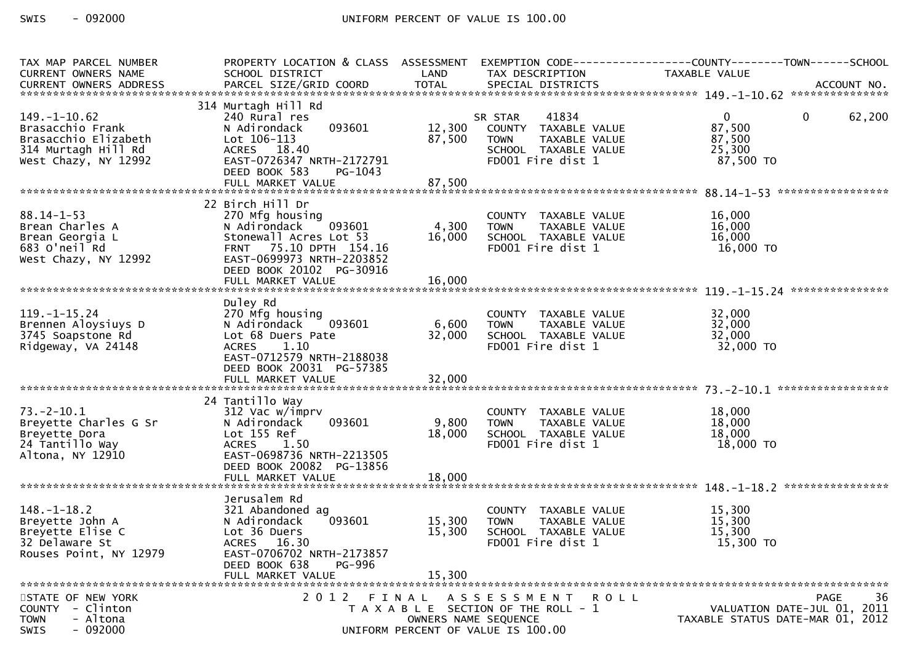| TAX MAP PARCEL NUMBER<br>CURRENT OWNERS NAME                                                                  | PROPERTY LOCATION & CLASS ASSESSMENT<br>SCHOOL DISTRICT                                                                                                                           | LAND                      | TAX DESCRIPTION                                                                                                        | EXEMPTION CODE------------------COUNTY--------TOWN------SCHOOL<br>TAXABLE VALUE     |
|---------------------------------------------------------------------------------------------------------------|-----------------------------------------------------------------------------------------------------------------------------------------------------------------------------------|---------------------------|------------------------------------------------------------------------------------------------------------------------|-------------------------------------------------------------------------------------|
|                                                                                                               |                                                                                                                                                                                   |                           |                                                                                                                        |                                                                                     |
| $149. - 1 - 10.62$<br>Brasacchio Frank<br>Brasacchio Elizabeth<br>314 Murtagh Hill Rd<br>West Chazy, NY 12992 | 314 Murtagh Hill Rd<br>240 Rural res<br>093601<br>N Adirondack<br>$Lot 106-113$<br>ACRES 18.40<br>EAST-0726347 NRTH-2172791                                                       | 12,300<br>87,500          | 41834<br>SR STAR<br>COUNTY TAXABLE VALUE<br>TAXABLE VALUE<br><b>TOWN</b><br>SCHOOL TAXABLE VALUE<br>FD001 Fire dist 1  | $\overline{0}$<br>62,200<br>$\mathbf{0}$<br>87,500<br>87,500<br>25,300<br>87,500 TO |
|                                                                                                               | DEED BOOK 583<br>PG-1043                                                                                                                                                          |                           |                                                                                                                        |                                                                                     |
|                                                                                                               | 22 Birch Hill Dr                                                                                                                                                                  |                           |                                                                                                                        |                                                                                     |
| $88.14 - 1 - 53$<br>Brean Charles A<br>Brean Georgia L<br>683 O'neil Rd<br>West Chazy, NY 12992               | 270 Mfg housing<br>093601<br>N Adirondack<br>Stonewall Acres Lot 53<br>75.10 DPTH 154.16<br><b>FRNT</b><br>EAST-0699973 NRTH-2203852<br>DEED BOOK 20102 PG-30916                  | 4,300<br>16,000           | COUNTY TAXABLE VALUE<br><b>TOWN</b><br>TAXABLE VALUE<br>SCHOOL TAXABLE VALUE<br>FD001 Fire dist 1                      | 16,000<br>16,000<br>16,000<br>16,000 TO                                             |
|                                                                                                               | FULL MARKET VALUE                                                                                                                                                                 | 16,000                    |                                                                                                                        |                                                                                     |
|                                                                                                               |                                                                                                                                                                                   |                           |                                                                                                                        |                                                                                     |
| $119. - 1 - 15.24$<br>Brennen Aloysiuys D<br>3745 Soapstone Rd<br>Ridgeway, VA 24148                          | Duley Rd<br>270 Mfg housing<br>093601<br>N Adirondack<br>Lot 68 Duers Pate<br>1.10<br><b>ACRES</b><br>EAST-0712579 NRTH-2188038<br>DEED BOOK 20031 PG-57385                       | 6,600<br>32,000           | COUNTY TAXABLE VALUE<br>TAXABLE VALUE<br><b>TOWN</b><br>SCHOOL TAXABLE VALUE<br>FD001 Fire dist 1                      | 32,000<br>32,000<br>32,000<br>32,000 TO                                             |
|                                                                                                               |                                                                                                                                                                                   |                           |                                                                                                                        |                                                                                     |
| $73. - 2 - 10.1$<br>Breyette Charles G Sr<br>Breyette Dora<br>24 Tantillo Way<br>Altona, NY 12910             | 24 Tantillo Way<br>312 Vac w/imprv<br>093601<br>N Adirondack<br>Lot 155 Ref<br><b>ACRES</b><br>1.50<br>EAST-0698736 NRTH-2213505<br>DEED BOOK 20082 PG-13856<br>FULL MARKET VALUE | 9,800<br>18,000<br>18,000 | COUNTY TAXABLE VALUE<br><b>TOWN</b><br>TAXABLE VALUE<br>SCHOOL TAXABLE VALUE<br>FD001 Fire dist 1                      | 18,000<br>18,000<br>18,000<br>18,000 TO                                             |
|                                                                                                               | Jerusalem Rd                                                                                                                                                                      |                           |                                                                                                                        |                                                                                     |
| $148. - 1 - 18.2$<br>Breyette John A<br>Brevette Elise C<br>32 Delaware St<br>Rouses Point, NY 12979          | 321 Abandoned ag<br>N Adirondack<br>093601<br>Lot 36 Duers<br>ACRES 16.30<br>EAST-0706702 NRTH-2173857<br>DEED BOOK 638<br><b>PG-996</b>                                          | 15,300<br>15,300          | COUNTY TAXABLE VALUE<br>TAXABLE VALUE<br><b>TOWN</b><br>SCHOOL TAXABLE VALUE<br>FD001 Fire dist 1                      | 15,300<br>15,300<br>15,300<br>15,300 TO                                             |
|                                                                                                               | FULL MARKET VALUE                                                                                                                                                                 | 15,300                    |                                                                                                                        |                                                                                     |
| STATE OF NEW YORK<br>COUNTY - Clinton<br><b>TOWN</b><br>- Altona<br>$-092000$<br><b>SWIS</b>                  | 2012 FINAL                                                                                                                                                                        |                           | ASSESSMENT ROLL<br>T A X A B L E SECTION OF THE ROLL - 1<br>OWNERS NAME SEQUENCE<br>UNIFORM PERCENT OF VALUE IS 100.00 | 36<br>PAGE<br>VALUATION DATE-JUL 01, 2011<br>TAXABLE STATUS DATE-MAR 01, 2012       |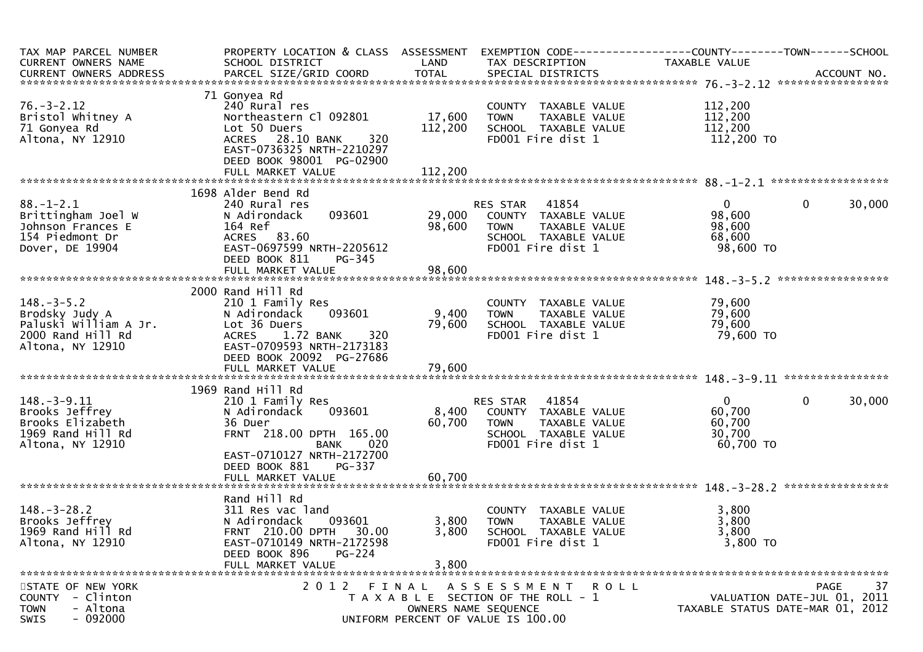| TAX MAP PARCEL NUMBER                 |                                                      |         |                                                               | PROPERTY LOCATION & CLASS ASSESSMENT EXEMPTION CODE----------------COUNTY-------TOWN------SCHOOL                                                                        |
|---------------------------------------|------------------------------------------------------|---------|---------------------------------------------------------------|-------------------------------------------------------------------------------------------------------------------------------------------------------------------------|
| CURRENT OWNERS NAME                   | SCHOOL DISTRICT                                      | LAND    | TAX DESCRIPTION                                               | TAXABLE VALUE                                                                                                                                                           |
|                                       |                                                      |         |                                                               | -CURRENT OWNERS ADDRESS PARCEL SIZE/GRID COORD TOTAL SPECIAL DISTRICTS AND MONERS ADDRESS PARCEL SIZE/GRID COORD TOTAL SPECIAL DISTRICTS AND MONERS ADDRESS ACCOUNT NO. |
|                                       |                                                      |         |                                                               |                                                                                                                                                                         |
|                                       | 71 Gonyea Rd                                         |         |                                                               |                                                                                                                                                                         |
| $76. - 3 - 2.12$                      | 240 Rural res                                        |         | COUNTY TAXABLE VALUE                                          | 112,200                                                                                                                                                                 |
| Bristol Whitney A                     | Northeastern Cl 092801                               | 17,600  | TAXABLE VALUE<br><b>TOWN</b>                                  | 112,200                                                                                                                                                                 |
| 71 Gonyea Rd                          | Lot 50 Duers                                         | 112,200 | SCHOOL TAXABLE VALUE                                          | 112,200                                                                                                                                                                 |
| Altona, NY 12910                      | ACRES 28.10 BANK<br>320<br>EAST-0736325 NRTH-2210297 |         | FD001 Fire dist 1                                             | 112,200 TO                                                                                                                                                              |
|                                       |                                                      |         |                                                               |                                                                                                                                                                         |
|                                       | DEED BOOK 98001 PG-02900                             |         |                                                               |                                                                                                                                                                         |
|                                       |                                                      |         |                                                               |                                                                                                                                                                         |
|                                       | 1698 Alder Bend Rd                                   |         |                                                               |                                                                                                                                                                         |
| $88. - 1 - 2.1$                       | 240 Rural res                                        |         | RES STAR 41854                                                | $\overline{0}$<br>$\mathbf{0}$<br>30,000                                                                                                                                |
| Brittingham Joel W                    | 093601<br>N Adirondack                               |         | 29,000 COUNTY TAXABLE VALUE                                   | 98,600                                                                                                                                                                  |
| Johnson Frances E                     | 164 Ref                                              | 98,600  | TAXABLE VALUE<br><b>TOWN</b>                                  | 98,600                                                                                                                                                                  |
| 154 Piedmont Dr                       | ACRES 83.60                                          |         | SCHOOL TAXABLE VALUE                                          | 68,600                                                                                                                                                                  |
| Dover, DE 19904                       | EAST-0697599 NRTH-2205612                            |         | FD001 Fire dist 1                                             | 98,600 TO                                                                                                                                                               |
|                                       | DEED BOOK 811<br>$PG-345$                            |         |                                                               |                                                                                                                                                                         |
|                                       | FULL MARKET VALUE                                    | 98,600  |                                                               |                                                                                                                                                                         |
|                                       |                                                      |         |                                                               |                                                                                                                                                                         |
|                                       | 2000 Rand Hill Rd                                    |         |                                                               |                                                                                                                                                                         |
| $148. - 3 - 5.2$                      | 210 1 Family Res                                     |         | COUNTY TAXABLE VALUE                                          | 79,600                                                                                                                                                                  |
| Brodsky Judy A                        | 093601<br>N Adirondack                               | 9,400   | <b>TOWN</b><br>TAXABLE VALUE                                  | 79,600                                                                                                                                                                  |
| Paluski William A Jr.                 | Lot 36 Duers                                         | 79,600  | SCHOOL TAXABLE VALUE                                          | 79,600                                                                                                                                                                  |
| 2000 Rand Hill Rd                     | ACRES 1.72 BANK<br>320                               |         | FD001 Fire dist 1                                             | 79,600 TO                                                                                                                                                               |
| Altona, NY 12910                      | EAST-0709593 NRTH-2173183                            |         |                                                               |                                                                                                                                                                         |
|                                       | DEED BOOK 20092 PG-27686                             |         |                                                               |                                                                                                                                                                         |
|                                       |                                                      |         |                                                               |                                                                                                                                                                         |
|                                       |                                                      |         |                                                               |                                                                                                                                                                         |
|                                       | 1969 Rand Hill Rd                                    |         |                                                               |                                                                                                                                                                         |
| $148.-3-9.11$                         | 210 1 Family Res                                     |         | <b>RES STAR 41854</b>                                         | $\mathbf{0}$<br>0<br>30,000                                                                                                                                             |
| Brooks Jeffrey                        | N Adirondack<br>093601                               | 8,400   | COUNTY TAXABLE VALUE                                          | 60,700                                                                                                                                                                  |
| Brooks Elizabeth                      | 36 Duer                                              | 60,700  | <b>TOWN</b><br>TAXABLE VALUE                                  | 60,700                                                                                                                                                                  |
| 1969 Rand Hill Rd                     | FRNT 218.00 DPTH 165.00                              |         | SCHOOL TAXABLE VALUE                                          | 30,700                                                                                                                                                                  |
| Altona, NY 12910                      | <b>BANK</b><br>020                                   |         | FD001 Fire dist 1                                             | 60,700 TO                                                                                                                                                               |
|                                       | EAST-0710127 NRTH-2172700                            |         |                                                               |                                                                                                                                                                         |
|                                       | DEED BOOK 881<br>PG-337                              |         |                                                               |                                                                                                                                                                         |
|                                       | FULL MARKET VALUE                                    | 60,700  |                                                               |                                                                                                                                                                         |
|                                       |                                                      |         |                                                               |                                                                                                                                                                         |
|                                       | Rand Hill Rd                                         |         |                                                               |                                                                                                                                                                         |
| $148. - 3 - 28.2$                     | 311 Res vac land                                     |         | COUNTY TAXABLE VALUE                                          | 3,800                                                                                                                                                                   |
| Brooks Jeffrey                        | 093601<br>N Adirondack                               | 3,800   | <b>TOWN</b><br>TAXABLE VALUE                                  | 3,800                                                                                                                                                                   |
| 1969 Rand Hill Rd                     | FRNT 210.00 DPTH<br>30.00                            | 3,800   | SCHOOL TAXABLE VALUE                                          | 3,800                                                                                                                                                                   |
| Altona, NY 12910                      | EAST-0710149 NRTH-2172598                            |         | FD001 Fire dist 1                                             | 3,800 TO                                                                                                                                                                |
|                                       | DEED BOOK 896<br><b>PG-224</b>                       |         |                                                               |                                                                                                                                                                         |
|                                       | FULL MARKET VALUE                                    | 3,800   |                                                               |                                                                                                                                                                         |
|                                       |                                                      |         |                                                               |                                                                                                                                                                         |
| STATE OF NEW YORK<br>COUNTY - Clinton | 2012 FINAL                                           |         | A S S E S S M E N T R O L L                                   | 37<br>PAGE                                                                                                                                                              |
| - Altona<br><b>TOWN</b>               |                                                      |         | T A X A B L E SECTION OF THE ROLL - 1<br>OWNERS NAME SEQUENCE | VALUATION DATE-JUL 01, 2011<br>TAXABLE STATUS DATE-MAR 01, 2012                                                                                                         |
| $-092000$<br>SWIS                     |                                                      |         | UNIFORM PERCENT OF VALUE IS 100.00                            |                                                                                                                                                                         |
|                                       |                                                      |         |                                                               |                                                                                                                                                                         |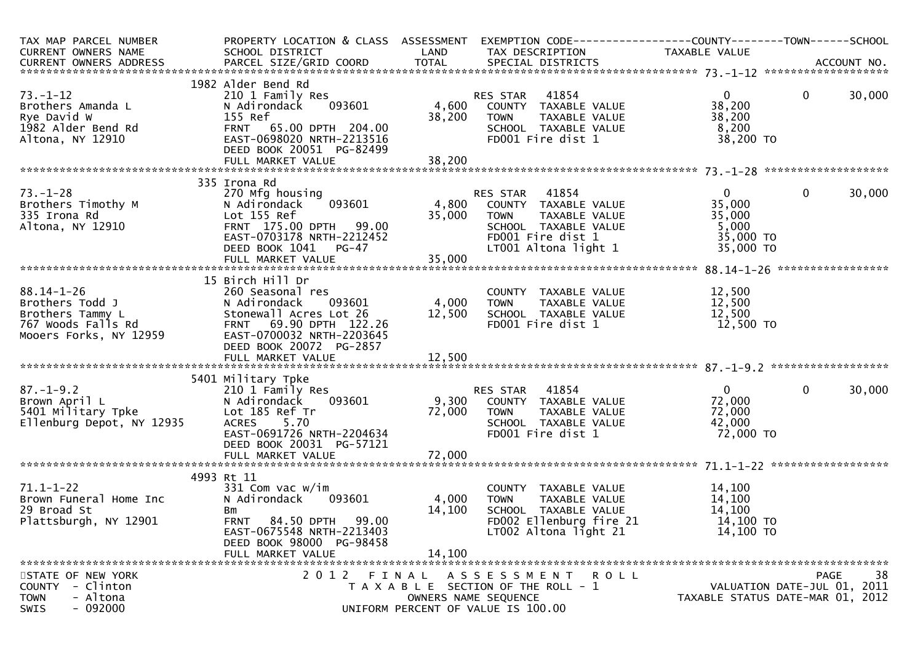| TAX MAP PARCEL NUMBER<br>CURRENT OWNERS NAME                                                     | PROPERTY LOCATION & CLASS ASSESSMENT<br>SCHOOL DISTRICT<br><b>Example 12 DE LAND</b> |                                   | TAX DESCRIPTION                                      | TAXABLE VALUE                    |                             |                   |
|--------------------------------------------------------------------------------------------------|--------------------------------------------------------------------------------------|-----------------------------------|------------------------------------------------------|----------------------------------|-----------------------------|-------------------|
|                                                                                                  |                                                                                      |                                   |                                                      |                                  |                             |                   |
| $73. - 1 - 12$                                                                                   | 1982 Alder Bend Rd<br>210 1 Family Res                                               |                                   | RES STAR 41854<br>4,600 COUNTY TAXABLE VALUE         | $\overline{0}$                   | $\mathbf 0$                 | 30,000            |
| Brothers Amanda L<br>Rye David W<br>1982 Alder Bend Rd                                           | 093601<br>N Adirondack<br>155 Ref<br>FRNT 65.00 DPTH 204.00                          |                                   | TAXABLE VALUE<br>38,200 TOWN<br>SCHOOL TAXABLE VALUE | 38,200<br>38,200<br>8,200        |                             |                   |
| Altona, NY 12910                                                                                 | EAST-0698020 NRTH-2213516<br>DEED BOOK 20051 PG-82499                                |                                   | FD001 Fire dist 1                                    | 38,200 TO                        |                             |                   |
|                                                                                                  |                                                                                      |                                   |                                                      |                                  |                             |                   |
|                                                                                                  | 335 Irona Rd                                                                         |                                   |                                                      |                                  |                             |                   |
| $73. - 1 - 28$                                                                                   | 270 Mfg housing                                                                      |                                   | RES STAR 41854<br>093601 4,800 COUNTY TAXABLE VALUE  | $0 \qquad \qquad$                | $\mathbf 0$                 | 30,000            |
| Brothers Timothy M<br>335 Irona Rd                                                               | N Adirondack<br>Lot 155 Ref                                                          |                                   | 35,000 TOWN<br>TAXABLE VALUE                         | 35,000<br>35,000                 |                             |                   |
| Altona, NY 12910                                                                                 | FRNT 175.00 DPTH 99.00                                                               |                                   | SCHOOL TAXABLE VALUE                                 | 5,000                            |                             |                   |
|                                                                                                  | EAST-0703178 NRTH-2212452                                                            |                                   | FD001 Fire dist 1                                    | 35,000 TO                        |                             |                   |
|                                                                                                  | DEED BOOK 1041 PG-47                                                                 |                                   | LT001 Altona light 1                                 | 35,000 TO                        |                             |                   |
|                                                                                                  |                                                                                      |                                   |                                                      |                                  |                             |                   |
|                                                                                                  | 15 Birch Hill Dr                                                                     |                                   |                                                      |                                  |                             |                   |
| $88.14 - 1 - 26$                                                                                 | 260 Seasonal res                                                                     |                                   | COUNTY TAXABLE VALUE                                 | 12,500                           |                             |                   |
| Brothers Todd J                                                                                  | 093601<br>N Adirondack                                                               | 4,000 TOWN                        | TAXABLE VALUE                                        | 12,500                           |                             |                   |
| Brothers Tammy L                                                                                 | Stonewall Acres Lot 26                                                               | 12,500                            | SCHOOL TAXABLE VALUE                                 | 12,500                           |                             |                   |
| 767 Woods Falls Rd                                                                               | FRNT 69.90 DPTH 122.26                                                               |                                   | FD001 Fire dist 1                                    | 12,500 TO                        |                             |                   |
| Mooers Forks, NY 12959                                                                           | EAST-0700032 NRTH-2203645<br>DEED BOOK 20072 PG-2857                                 |                                   |                                                      |                                  |                             |                   |
|                                                                                                  |                                                                                      |                                   |                                                      |                                  |                             |                   |
|                                                                                                  |                                                                                      |                                   |                                                      |                                  |                             |                   |
|                                                                                                  | 5401 Military Tpke                                                                   |                                   |                                                      |                                  |                             |                   |
| $87. - 1 - 9.2$<br>ŏ/.-1-9.2<br>Brown April L<br>5401 Military Tpke<br>Ellenburg Depot, NY 12935 | 210 1 Family Res                                                                     |                                   |                                                      | $0 \qquad \qquad$                | $\mathbf 0$                 | 30,000            |
|                                                                                                  | N Adirondack<br>Lot 185 Ref Tr                                                       |                                   |                                                      | 72,000<br>72,000                 |                             |                   |
|                                                                                                  | ACRES 5.70                                                                           |                                   | TAXABLE VALUE<br>SCHOOL TAXABLE VALUE                | 42,000                           |                             |                   |
|                                                                                                  | EAST-0691726 NRTH-2204634                                                            | 72,000 TOWN<br>2204634 TOWN SCHOO | FD001 Fire dist 1                                    | 72,000 TO                        |                             |                   |
|                                                                                                  | DEED BOOK 20031 PG-57121                                                             |                                   |                                                      |                                  |                             |                   |
|                                                                                                  |                                                                                      |                                   |                                                      |                                  |                             |                   |
|                                                                                                  | 4993 Rt 11                                                                           |                                   |                                                      |                                  |                             |                   |
| $71.1 - 1 - 22$                                                                                  | 331 Com vac w/im                                                                     |                                   | COUNTY TAXABLE VALUE                                 | 14,100                           |                             |                   |
| Brown Funeral Home Inc                                                                           | N Adirondack<br>093601                                                               | 4,000                             | TAXABLE VALUE<br>TOWN                                | 14,100                           |                             |                   |
| 29 Broad St                                                                                      | Bm                                                                                   | 14,100                            | SCHOOL TAXABLE VALUE                                 | 14,100                           |                             |                   |
| Plattsburgh, NY 12901                                                                            | FRNT 84.50 DPTH 99.00                                                                |                                   | FD002 Ellenburg fire 21                              | 14,100 TO                        |                             |                   |
|                                                                                                  | EAST-0675548 NRTH-2213403                                                            |                                   | LT002 Altona light 21                                | 14,100 TO                        |                             |                   |
|                                                                                                  | DEED BOOK 98000 PG-98458<br>FULL MARKET VALUE                                        | 14,100                            |                                                      |                                  |                             |                   |
|                                                                                                  |                                                                                      |                                   |                                                      |                                  |                             |                   |
| STATE OF NEW YORK                                                                                | 2012 FINAL                                                                           |                                   | A S S E S S M E N T<br>R O L L                       |                                  |                             | 38<br><b>PAGE</b> |
| COUNTY - Clinton                                                                                 |                                                                                      |                                   | T A X A B L E SECTION OF THE ROLL - 1                |                                  | VALUATION DATE-JUL 01, 2011 |                   |
| - Altona<br><b>TOWN</b>                                                                          |                                                                                      |                                   | OWNERS NAME SEQUENCE                                 | TAXABLE STATUS DATE-MAR 01, 2012 |                             |                   |
| $-092000$<br><b>SWIS</b>                                                                         |                                                                                      |                                   | UNIFORM PERCENT OF VALUE IS 100.00                   |                                  |                             |                   |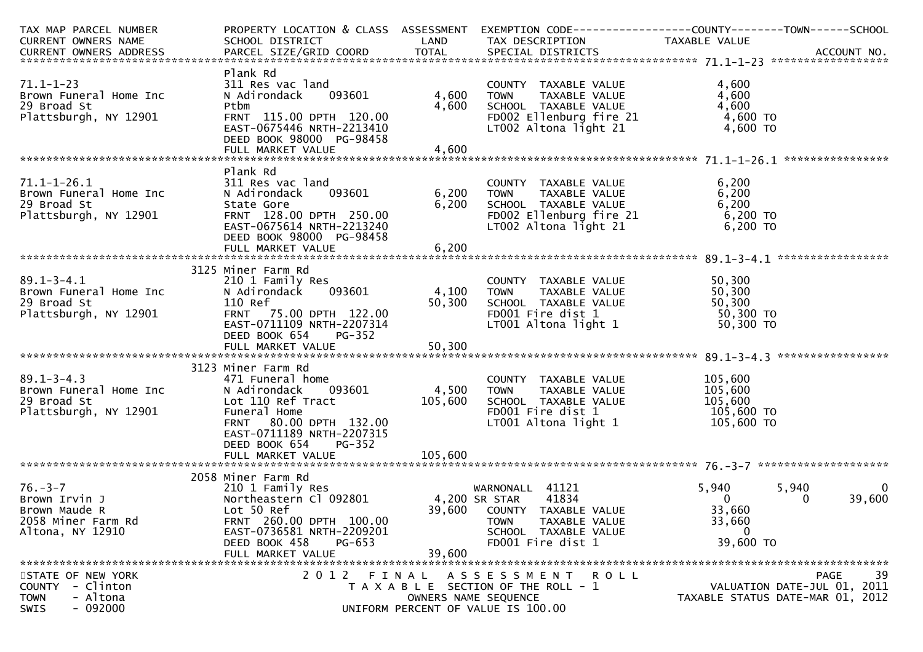| TAX MAP PARCEL NUMBER                                                                                        |                                                                                                                                                                                                                                 |                                         | PROPERTY LOCATION & CLASS ASSESSMENT EXEMPTION CODE----------------COUNTY-------TOWN------SCHOOL<br>TAX DESCRIPTION                                      |                                                                        |                                           |
|--------------------------------------------------------------------------------------------------------------|---------------------------------------------------------------------------------------------------------------------------------------------------------------------------------------------------------------------------------|-----------------------------------------|----------------------------------------------------------------------------------------------------------------------------------------------------------|------------------------------------------------------------------------|-------------------------------------------|
|                                                                                                              |                                                                                                                                                                                                                                 |                                         |                                                                                                                                                          |                                                                        |                                           |
| $71.1 - 1 - 23$<br>Brown Funeral Home Inc<br>29 Broad St<br>Plattsburgh, NY 12901                            | Plank Rd<br>311 Res vac land<br>N Adirondack 093601<br>Ptbm<br>FRNT 115.00 DPTH 120.00<br>EAST-0675446 NRTH-2213410                                                                                                             | 4,600<br>4,600                          | COUNTY TAXABLE VALUE<br>TOWN     TAXABLE VALUE<br>TOWN<br>SCHOOL TAXABLE VALUE<br>FDOO2 Ellenburg fire 21<br>LTOO2 Altona light 21                       | 4,600<br>4,600<br>4,600<br>4,600 TO<br>4,600 TO                        |                                           |
|                                                                                                              | DEED BOOK 98000 PG-98458                                                                                                                                                                                                        |                                         |                                                                                                                                                          |                                                                        |                                           |
|                                                                                                              |                                                                                                                                                                                                                                 |                                         |                                                                                                                                                          |                                                                        |                                           |
| $71.1 - 1 - 26.1$<br>Brown Funeral Home Inc<br>29 Broad St<br>Plattsburgh, NY 12901                          | Plank Rd<br>311 Res vac land<br>093601<br>N Adirondack<br>State Gore<br>FRNT 128.00 DPTH 250.00<br>EAST-0675614 NRTH-2213240<br>DEED BOOK 98000 PG-98458                                                                        | 6,200<br>6,200                          | COUNTY TAXABLE VALUE<br>TOWN TAXABLE VALUE<br>TOWN<br>SCHOOL TAXABLE VALUE 6,200<br>FDOO2 Ellenburg fire 21 6,200 TO<br>LTOO2 Altona light 21 6,200 TO   | 6,200<br>6,200                                                         |                                           |
|                                                                                                              | FULL MARKET VALUE                                                                                                                                                                                                               | 6,200                                   |                                                                                                                                                          |                                                                        |                                           |
|                                                                                                              | 3125 Miner Farm Rd                                                                                                                                                                                                              |                                         |                                                                                                                                                          |                                                                        |                                           |
| $89.1 - 3 - 4.1$<br>$\frac{1}{2}$ Home Inc<br>Brown Funeral Home Inc<br>29 Broad St<br>Plattsburgh, NY 12901 | 210 1 Family Res<br>N Adirondack<br>093601<br>110 Ref<br>FRNT 75.00 DPTH 122.00<br>EAST-0711109 NRTH-2207314<br>PG-352                                                                                                          | 4,100 TOWN<br>50,300                    | COUNTY TAXABLE VALUE 50,300<br>TOWN TAXABLE VALUE 50,300<br>SCHOOL TAXABLE VALUE 50,300<br>FDO01 Fire dist 1 50,300 TO<br>LTO01 Altona light 1 50,300 TO |                                                                        |                                           |
|                                                                                                              | DEED BOOK 654                                                                                                                                                                                                                   |                                         |                                                                                                                                                          |                                                                        |                                           |
|                                                                                                              |                                                                                                                                                                                                                                 |                                         |                                                                                                                                                          |                                                                        |                                           |
|                                                                                                              | 3123 Miner Farm Rd                                                                                                                                                                                                              |                                         |                                                                                                                                                          |                                                                        |                                           |
| $89.1 - 3 - 4.3$<br>Brown Funeral Home Inc<br>29 Broad St<br>Plattsburgh, NY 12901                           | 471 Funeral home<br>N Adirondack<br>Lot 110 Ref Tract<br>Funeral Home<br>FRNT 80.00 DPTH 132.00<br>EAST-0711189 NRTH-2207315<br>DEED BOOK 654<br><b>PG-352</b>                                                                  | $093601$ 4,500<br>$105,600$<br>$132.00$ | COUNTY TAXABLE VALUE<br><b>TOWN</b><br>TAXABLE VALUE<br>SCHOOL TAXABLE VALUE<br>FD001 Fire dist 1<br>$LT001$ Altona light 1 $105,600$ TO                 | 105,600<br>105,600<br>105,600<br>105,600 TO                            |                                           |
|                                                                                                              |                                                                                                                                                                                                                                 |                                         |                                                                                                                                                          |                                                                        |                                           |
| 76.-3-7<br>Brown Irvin J<br>Brown Maude R<br>2058 Miner Farm Rd<br>Altona, NY 12910                          | 2058 Miner Farm Rd<br>210 1 Family Res<br>210 1 Family Res<br>Northeastern Cl 092801 24,200 SR STAR 41834<br>Lot 50 Ref<br>FRNT 260.00 DPTH 100.00<br>EAST-0736581 NRTH-2209201<br>DEED BOOK 458<br>PG-653<br>FULL MARKET VALUE | 39,600                                  | 4,200 SR STAR      41834<br>39,600    COUNTY   TAXABLE VALUE<br>TOWN<br>TAXABLE VALUE<br>SCHOOL TAXABLE VALUE<br>FD001 Fire dist 1                       | 5,940<br>$\mathbf{0}$<br>33,660<br>33,660<br>$\mathbf{0}$<br>39,600 TO | 5,940<br>0<br>39,600<br>0                 |
| STATE OF NEW YORK<br>- Clinton<br><b>COUNTY</b><br>- Altona<br><b>TOWN</b><br>$-092000$<br>SWIS              |                                                                                                                                                                                                                                 | OWNERS NAME SEQUENCE                    | 2012 FINAL ASSESSMENT<br><b>ROLL</b><br>T A X A B L E SECTION OF THE ROLL - 1<br>UNIFORM PERCENT OF VALUE IS 100.00                                      | TAXABLE STATUS DATE-MAR 01, 2012                                       | 39<br>PAGE<br>VALUATION DATE-JUL 01, 2011 |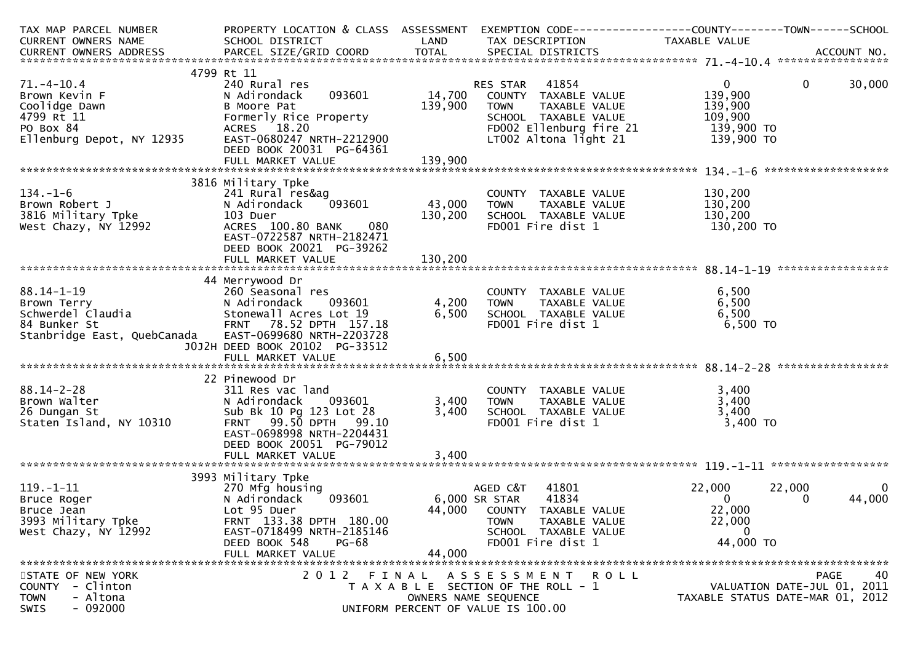| TAX MAP PARCEL NUMBER                                        | PROPERTY LOCATION & CLASS ASSESSMENT                 |               | EXEMPTION CODE-----------------COUNTY-------TOWN------SCHOOL   |                                  |             |                   |
|--------------------------------------------------------------|------------------------------------------------------|---------------|----------------------------------------------------------------|----------------------------------|-------------|-------------------|
| CURRENT OWNERS NAME                                          | SCHOOL DISTRICT                                      | LAND          | TAX DESCRIPTION                                                | TAXABLE VALUE                    |             |                   |
|                                                              |                                                      |               |                                                                |                                  |             |                   |
|                                                              | 4799 Rt 11                                           |               |                                                                |                                  |             |                   |
| $71.-4-10.4$                                                 | 240 Rural res                                        |               | RES STAR 41854                                                 | $0 \qquad \qquad$                | $\mathbf 0$ | 30,000            |
| Brown Kevin F                                                | 093601<br>N Adirondack                               | 14,700        | COUNTY TAXABLE VALUE                                           | 139,900                          |             |                   |
| Coolidge Dawn                                                | B Moore Pat                                          | 139,900       | TAXABLE VALUE<br>TOWN                                          | 139,900                          |             |                   |
| 4799 Rt 11                                                   | Formerly Rice Property                               |               | SCHOOL TAXABLE VALUE                                           | 109,900                          |             |                   |
| PO Box 84                                                    | ACRES 18.20                                          |               | FD002 Ellenburg fire 21                                        | 139,900 то                       |             |                   |
| Ellenburg Depot, NY 12935                                    | EAST-0680247 NRTH-2212900                            |               | LT002 Altona light 21                                          | 139,900 то                       |             |                   |
|                                                              | DEED BOOK 20031 PG-64361                             |               |                                                                |                                  |             |                   |
|                                                              | FULL MARKET VALUE                                    | 139,900       |                                                                |                                  |             |                   |
|                                                              |                                                      |               |                                                                |                                  |             |                   |
| $134. - 1 - 6$                                               | 3816 Military Tpke                                   |               |                                                                |                                  |             |                   |
|                                                              | 241 Rural res&ag<br>093601<br>N Adirondack           | 43,000        | COUNTY TAXABLE VALUE<br>TAXABLE VALUE<br><b>TOWN</b>           | 130,200<br>130,200               |             |                   |
|                                                              | 103 Duer                                             | 130,200       | SCHOOL TAXABLE VALUE                                           | 130,200                          |             |                   |
| Brown Robert J<br>3816 Military Tpke<br>West Chazy, NY 12992 | ACRES 100.80 BANK<br>080                             |               | FD001 Fire dist 1                                              | 130,200 TO                       |             |                   |
|                                                              | EAST-0722587 NRTH-2182471                            |               |                                                                |                                  |             |                   |
|                                                              | DEED BOOK 20021 PG-39262                             |               |                                                                |                                  |             |                   |
|                                                              |                                                      |               |                                                                |                                  |             |                   |
|                                                              |                                                      |               |                                                                |                                  |             |                   |
|                                                              | 44 Merrywood Dr                                      |               |                                                                |                                  |             |                   |
| $88.14 - 1 - 19$                                             | 260 Seasonal res                                     |               | COUNTY TAXABLE VALUE                                           | 6,500                            |             |                   |
| Brown Terry<br>Brown Terry<br>Schwerdel Claudia              | N Adirondack 093601                                  | 4,200         | TAXABLE VALUE<br>TAXABLE VALUE<br>TAXABLE VALUE<br><b>TOWN</b> | 6,500                            |             |                   |
|                                                              | Stonewall Acres Lot 19                               | 6,500         | SCHOOL TAXABLE VALUE                                           | 6,500                            |             |                   |
| 84 Bunker St                                                 | FRNT 78.52 DPTH 157.18                               |               | FD001 Fire dist 1                                              | 6,500 TO                         |             |                   |
| Stanbridge East, QuebCanada                                  | EAST-0699680 NRTH-2203728                            |               |                                                                |                                  |             |                   |
|                                                              | J0J2H DEED BOOK 20102 PG-33512                       |               |                                                                |                                  |             |                   |
|                                                              | FULL MARKET VALUE                                    | 6,500         |                                                                |                                  |             |                   |
|                                                              | 22 Pinewood Dr                                       |               |                                                                |                                  |             |                   |
| $88.14 - 2 - 28$                                             | 311 Res vac land                                     |               | COUNTY TAXABLE VALUE                                           | 3,400                            |             |                   |
| Brown Walter                                                 | N Adirondack<br>093601                               | 3,400         | TAXABLE VALUE<br><b>TOWN</b>                                   | 3,400                            |             |                   |
| 26 Dungan St                                                 | Sub Bk 10 Pg 123 Lot 28                              | 3,400         | SCHOOL TAXABLE VALUE                                           | 3,400                            |             |                   |
| Staten Island, NY 10310                                      | FRNT 99.50 DPTH 99.10                                |               | FD001 Fire dist 1                                              | 3,400 TO                         |             |                   |
|                                                              | EAST-0698998 NRTH-2204431                            |               |                                                                |                                  |             |                   |
|                                                              | DEED BOOK 20051 PG-79012                             |               |                                                                |                                  |             |                   |
|                                                              | FULL MARKET VALUE                                    | 3,400         |                                                                |                                  |             |                   |
|                                                              |                                                      |               |                                                                |                                  |             |                   |
|                                                              | 3993 Military Tpke                                   |               |                                                                |                                  |             |                   |
| $119. - 1 - 11$                                              | 270 Mfg housing                                      |               | 41801<br>AGED C&T                                              | 22,000                           | 22,000      | 0                 |
| Bruce Roger                                                  | 093601<br>N Adirondack                               | 6,000 SR STAR | 41834                                                          | $\mathbf{0}$                     | 0           | 44,000            |
| Bruce Jean                                                   | Lot 95 Duer                                          |               | 44,000 COUNTY TAXABLE VALUE                                    | 22,000                           |             |                   |
| 3993 Military Tpke                                           | FRNT 133.38 DPTH 180.00<br>EAST-0718499 NRTH-2185146 |               | TOWN<br>TAXABLE VALUE<br>SCHOOL TAXABLE VALUE                  | 22,000<br>$\mathbf{0}$           |             |                   |
| West Chazy, NY 12992                                         | DEED BOOK 548<br><b>PG-68</b>                        |               | FD001 Fire dist 1                                              | 44,000 TO                        |             |                   |
|                                                              | FULL MARKET VALUE                                    | 44,000        |                                                                |                                  |             |                   |
|                                                              |                                                      |               |                                                                |                                  |             |                   |
| STATE OF NEW YORK                                            |                                                      |               | 2012 FINAL ASSESSMENT<br><b>ROLL</b>                           |                                  |             | 40<br><b>PAGE</b> |
| - Clinton<br><b>COUNTY</b>                                   |                                                      |               | T A X A B L E SECTION OF THE ROLL - 1                          | VALUATION DATE-JUL 01, 2011      |             |                   |
| - Altona<br><b>TOWN</b>                                      |                                                      |               | OWNERS NAME SEQUENCE                                           | TAXABLE STATUS DATE-MAR 01, 2012 |             |                   |
| $-092000$<br>SWIS                                            |                                                      |               | UNIFORM PERCENT OF VALUE IS 100.00                             |                                  |             |                   |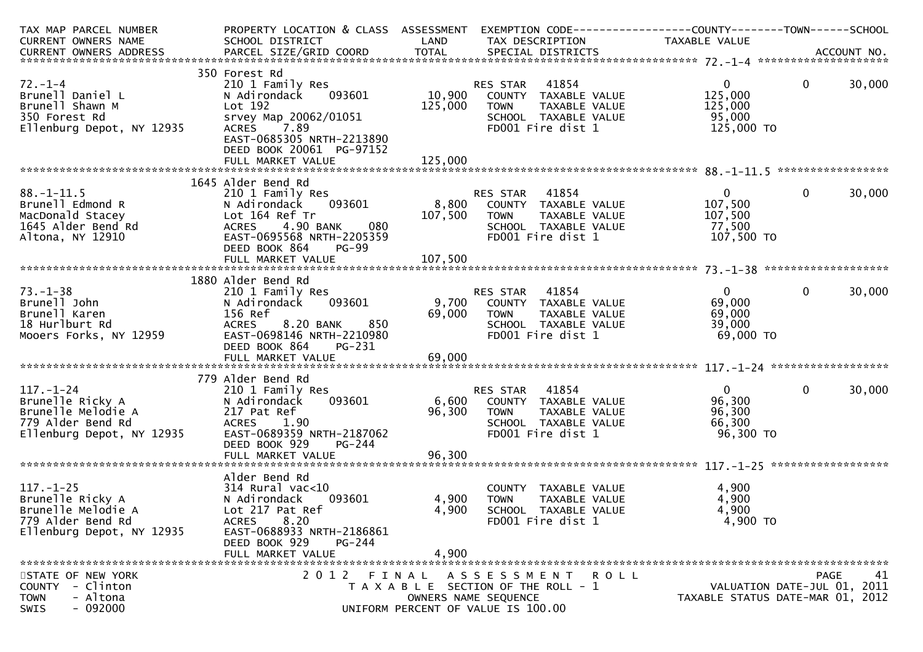| TAX MAP PARCEL NUMBER<br>CURRENT OWNERS NAME                                                                                | PROPERTY LOCATION & CLASS ASSESSMENT<br>SCHOOL DISTRICT<br><b>Example 12 District LAND</b>                                                                                |                  | EXEMPTION CODE-----------------COUNTY-------TOWN------SCHOOL<br>TAX DESCRIPTION                                           | TAXABLE VALUE                                                   |                                                                 |
|-----------------------------------------------------------------------------------------------------------------------------|---------------------------------------------------------------------------------------------------------------------------------------------------------------------------|------------------|---------------------------------------------------------------------------------------------------------------------------|-----------------------------------------------------------------|-----------------------------------------------------------------|
|                                                                                                                             |                                                                                                                                                                           |                  |                                                                                                                           |                                                                 |                                                                 |
|                                                                                                                             | 350 Forest Rd                                                                                                                                                             |                  |                                                                                                                           |                                                                 |                                                                 |
| $72. - 1 - 4$<br>Brunell Daniel L<br>Brunell Shawn M<br>350 Forest Rd<br>Ellenburg Depot, NY 12935                          | 210 1 Family Res<br>093601<br>N Adirondack<br>Lot 192<br>srvey Map 20062/01051<br>ACRES 7.89<br>EAST-0685305 NRTH-2213890<br>DEED BOOK 20061 PG-97152                     | 125,000          | RES STAR 41854<br>10,900 COUNTY TAXABLE VALUE<br>TAXABLE VALUE<br>TOWN<br>SCHOOL TAXABLE VALUE<br>FD001 Fire dist 1       | $0 \qquad \qquad$<br>125,000<br>125,000<br>95,000<br>125,000 TO | $\mathbf 0$<br>30,000                                           |
|                                                                                                                             |                                                                                                                                                                           |                  |                                                                                                                           |                                                                 |                                                                 |
|                                                                                                                             | 1645 Alder Bend Rd                                                                                                                                                        |                  |                                                                                                                           |                                                                 |                                                                 |
| $88. - 1 - 11.5$<br>Brunell Edmond R<br>MacDonald Stacey<br>1645 Alder Bend Rd<br>Altona, NY 12910                          | 210 1 Family Res<br>093601<br>N Adirondack<br>Lot 164 Ref Tr<br>4.90 BANK<br>080<br><b>ACRES</b><br>EAST-0695568 NRTH-2205359<br><b>PG-99</b><br>DEED BOOK 864            | 8,800<br>107,500 | RES STAR 41854<br>COUNTY TAXABLE VALUE<br>TAXABLE VALUE<br><b>TOWN</b><br>SCHOOL TAXABLE VALUE<br>FD001 Fire dist 1       | $\overline{0}$<br>107,500<br>107,500<br>77,500<br>107,500 TO    | $\mathbf{0}$<br>30,000                                          |
|                                                                                                                             |                                                                                                                                                                           |                  |                                                                                                                           |                                                                 |                                                                 |
|                                                                                                                             | 1880 Alder Bend Rd                                                                                                                                                        |                  |                                                                                                                           |                                                                 |                                                                 |
| $73. - 1 - 38$<br>Brunell John<br>Brunell Karen<br>18 Hurlburt Rd<br>Mooers Forks, NY 12959                                 | 210 1 Family Res<br>N Adirondack 093601<br>156 Ref<br>8.20 BANK<br>850<br><b>ACRES</b><br>EAST-0698146 NRTH-2210980<br>DEED BOOK 864<br>PG-231                            | 69,000           | RES STAR 41854<br>9,700 COUNTY TAXABLE VALUE<br>TOWN      TAXABLE VALUE<br>SCHOOL   TAXABLE VALUE<br>FD001 Fire dist 1    | $\mathbf{0}$<br>69,000<br>69,000<br>39,000<br>69,000 TO         | $\mathbf{0}$<br>30,000                                          |
|                                                                                                                             |                                                                                                                                                                           |                  |                                                                                                                           |                                                                 |                                                                 |
| $117. - 1 - 24$<br>Brunelle Ricky A<br>.<br>Y 12935<br>Brunelle Melodie A<br>779 Alder Bend Rd<br>Ellenburg Depot, NY 12935 | 779 Alder Bend Rd<br>210 1 Family Res<br>093601<br>N Adirondack<br>217 Pat Ref<br>ACRES<br>1.90<br>EAST-0689359 NRTH-2187062<br>DEED BOOK 929<br>PG-244                   | 96,300           | RES STAR 41854<br>6,600 COUNTY TAXABLE VALUE<br>TAXABLE VALUE<br><b>TOWN</b><br>SCHOOL TAXABLE VALUE<br>FD001 Fire dist 1 | $\overline{0}$<br>96,300<br>96,300<br>66,300<br>96,300 TO       | $\mathbf{0}$<br>30,000                                          |
|                                                                                                                             |                                                                                                                                                                           |                  |                                                                                                                           |                                                                 |                                                                 |
| $117. - 1 - 25$<br>Brunelle Ricky A<br>Brunelle Melodie A<br>779 Alder Bend Rd<br>Ellenburg Depot, NY 12935                 | Alder Bend Rd<br>314 Rural vac<10<br>093601<br>N Adirondack<br>Lot 217 Pat Ref<br>ACRES 8.20<br>EAST-0688933 NRTH-2186861<br>DEED BOOK 929<br>PG-244<br>FULL MARKET VALUE | 4,900<br>4,900   | COUNTY TAXABLE VALUE<br>4,900 TOWN<br>TAXABLE VALUE<br>SCHOOL TAXABLE VALUE<br>FD001 Fire dist 1                          | 4,900<br>4,900<br>4,900<br>4,900 TO                             |                                                                 |
| STATE OF NEW YORK                                                                                                           |                                                                                                                                                                           |                  | 2012 FINAL ASSESSMENT<br><b>ROLL</b>                                                                                      |                                                                 | 41<br>PAGE                                                      |
| - Clinton<br><b>COUNTY</b><br>- Altona<br><b>TOWN</b><br>$-092000$<br>SWIS                                                  |                                                                                                                                                                           |                  | T A X A B L E SECTION OF THE ROLL - 1<br>OWNERS NAME SEQUENCE<br>UNIFORM PERCENT OF VALUE IS 100.00                       |                                                                 | VALUATION DATE-JUL 01, 2011<br>TAXABLE STATUS DATE-MAR 01, 2012 |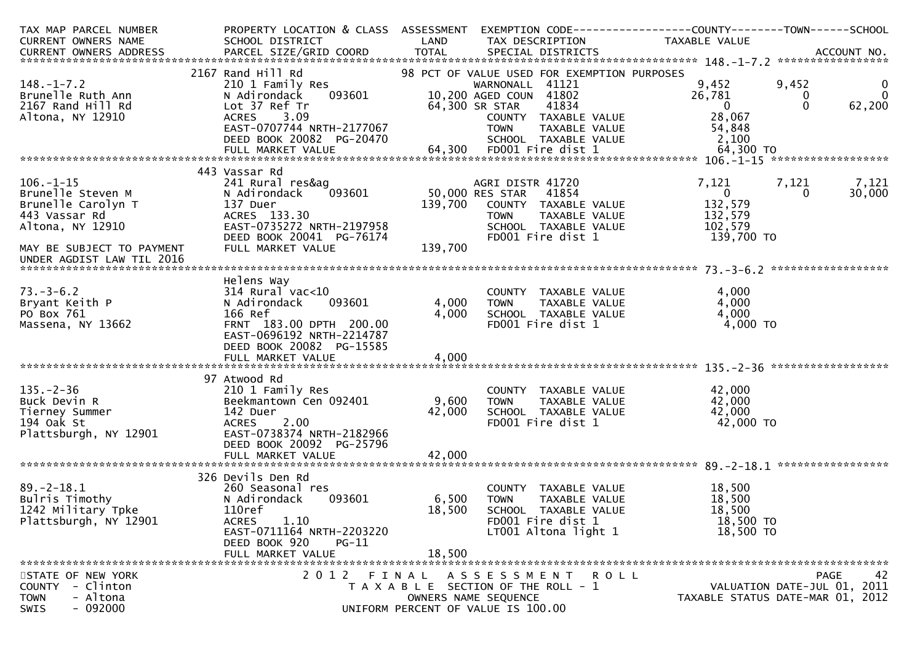| TAX MAP PARCEL NUMBER<br>CURRENT OWNERS NAME                                                                                 | PROPERTY LOCATION & CLASS ASSESSMENT<br>SCHOOL DISTRICT                                                                                                                           | LAND                      | TAX DESCRIPTION                                                                                                                                   | EXEMPTION CODE------------------COUNTY--------TOWN------SCHOOL<br>TAXABLE VALUE |                                                                                |                         |
|------------------------------------------------------------------------------------------------------------------------------|-----------------------------------------------------------------------------------------------------------------------------------------------------------------------------------|---------------------------|---------------------------------------------------------------------------------------------------------------------------------------------------|---------------------------------------------------------------------------------|--------------------------------------------------------------------------------|-------------------------|
|                                                                                                                              |                                                                                                                                                                                   |                           |                                                                                                                                                   |                                                                                 |                                                                                |                         |
|                                                                                                                              |                                                                                                                                                                                   |                           |                                                                                                                                                   |                                                                                 |                                                                                |                         |
| $148. - 1 - 7.2$<br>Brunelle Ruth Ann<br>2167 Rand Hill Rd                                                                   | 2167 Rand Hill Rd<br>210 1 Family Res<br>N Adirondack<br>093601<br>Lot 37 Ref Tr                                                                                                  |                           | 98 PCT OF VALUE USED FOR EXEMPTION PURPOSES<br>WARNONALL 41121<br>10,200 AGED COUN 41802<br>64,300 SR STAR<br>41834                               | 9,452<br>26,781<br>$\overline{0}$                                               | 9,452<br>$\mathbf{0}$<br>$\Omega$<br>62,200                                    | $\bf{0}$<br>$\mathbf 0$ |
| Altona, NY 12910                                                                                                             | 3.09<br><b>ACRES</b><br>EAST-0707744 NRTH-2177067<br>DEED BOOK 20082 PG-20470<br>FULL MARKET VALUE                                                                                |                           | COUNTY TAXABLE VALUE<br><b>TOWN</b><br>TAXABLE VALUE<br>SCHOOL TAXABLE VALUE<br>64,300 FD001 Fire dist 1                                          | 28,067<br>54,848<br>2,100<br>64,300 TO                                          |                                                                                |                         |
|                                                                                                                              |                                                                                                                                                                                   |                           |                                                                                                                                                   |                                                                                 |                                                                                |                         |
| $106. - 1 - 15$<br>Brunelle Steven M<br>Brunelle Carolyn T<br>443 Vassar Rd<br>Altona, NY 12910<br>MAY BE SUBJECT TO PAYMENT | 443 Vassar Rd<br>241 Rural res&ag<br>093601<br>N Adirondack<br>137 Duer<br>ACRES 133.30<br>EAST-0735272 NRTH-2197958<br>DEED BOOK 20041 PG-76174<br>FULL MARKET VALUE             | 139,700<br>139,700        | AGRI DISTR 41720<br>50,000 RES STAR<br>41854<br>COUNTY TAXABLE VALUE<br><b>TOWN</b><br>TAXABLE VALUE<br>SCHOOL TAXABLE VALUE<br>FD001 Fire dist 1 | 7,121<br>$\overline{0}$<br>132,579<br>132,579<br>102,579<br>139,700 TO          | 7,121<br>7,121<br>30,000<br>$\Omega$                                           |                         |
| UNDER AGDIST LAW TIL 2016                                                                                                    |                                                                                                                                                                                   |                           |                                                                                                                                                   |                                                                                 |                                                                                |                         |
|                                                                                                                              |                                                                                                                                                                                   |                           |                                                                                                                                                   |                                                                                 |                                                                                |                         |
| $73. - 3 - 6.2$<br>Bryant Keith P<br>PO Box 761<br>Massena, NY 13662                                                         | Helens Way<br>$314$ Rural vac< $10$<br>093601<br>N Adirondack<br>166 Ref<br>FRNT 183.00 DPTH 200.00<br>EAST-0696192 NRTH-2214787<br>DEED BOOK 20082 PG-15585<br>FULL MARKET VALUE | 4,000<br>4,000<br>4,000   | COUNTY TAXABLE VALUE<br><b>TOWN</b><br>TAXABLE VALUE<br>SCHOOL TAXABLE VALUE<br>FD001 Fire dist 1                                                 | 4,000<br>4,000<br>4,000<br>4,000 TO                                             |                                                                                |                         |
|                                                                                                                              |                                                                                                                                                                                   |                           |                                                                                                                                                   |                                                                                 |                                                                                |                         |
| $135. - 2 - 36$<br>Buck Devin R<br>Tierney Summer<br>194 Oak St<br>Plattsburgh, NY 12901                                     | 97 Atwood Rd<br>210 1 Family Res<br>Beekmantown Cen 092401<br>142 Duer<br>2.00<br><b>ACRES</b><br>EAST-0738374 NRTH-2182966<br>DEED BOOK 20092 PG-25796<br>FULL MARKET VALUE      | 9,600<br>42,000<br>42,000 | COUNTY TAXABLE VALUE<br><b>TOWN</b><br>TAXABLE VALUE<br>SCHOOL TAXABLE VALUE<br>FD001 Fire dist 1                                                 | 42,000<br>42,000<br>42,000<br>42,000 TO                                         |                                                                                |                         |
|                                                                                                                              | 326 Devils Den Rd                                                                                                                                                                 |                           |                                                                                                                                                   |                                                                                 |                                                                                |                         |
| $89. - 2 - 18.1$<br>Bulris Timothy<br>1242 Military Tpke<br>Plattsburgh, NY 12901                                            | 260 Seasonal res<br>093601<br>N Adirondack<br>110ref<br>ACRES 1.10<br>EAST-0711164 NRTH-2203220<br>DEED BOOK 920<br>PG-11<br>FULL MARKET VALUE                                    | 6,500<br>18,500<br>18,500 | COUNTY TAXABLE VALUE<br><b>TOWN</b><br>TAXABLE VALUE<br>SCHOOL TAXABLE VALUE<br>FD001 Fire dist 1<br>LT001 Altona light 1                         | 18,500<br>18,500<br>18,500<br>18,500 TO<br>18,500 TO                            |                                                                                |                         |
|                                                                                                                              |                                                                                                                                                                                   |                           |                                                                                                                                                   |                                                                                 |                                                                                |                         |
| STATE OF NEW YORK<br><b>COUNTY</b><br>- Clinton<br>- Altona<br><b>TOWN</b><br>$-092000$<br><b>SWIS</b>                       |                                                                                                                                                                                   |                           | 2012 FINAL ASSESSMENT ROLL<br>T A X A B L E SECTION OF THE ROLL - 1<br>OWNERS NAME SEQUENCE<br>UNIFORM PERCENT OF VALUE IS 100.00                 |                                                                                 | <b>PAGE</b><br>VALUATION DATE-JUL 01, 2011<br>TAXABLE STATUS DATE-MAR 01, 2012 | 42                      |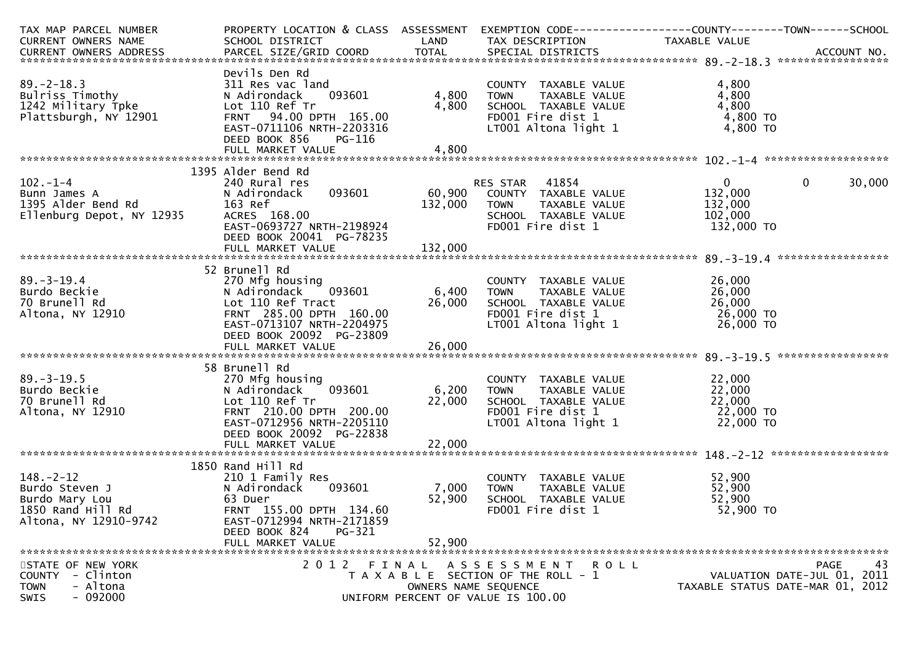| SCHOOL DISTRICT<br><b>Example 12 DE LAND</b><br>TAX DESCRIPTION<br>TAXABLE VALUE<br>Devils Den Rd<br>4,800<br>311 Res vac land<br>COUNTY TAXABLE VALUE<br>TOWN     TAXABLE VALUE<br>SCHOOL   TAXABLE VALUE<br>4,800<br>4,800<br>093601<br>N Adirondack<br>4,800<br>4,800<br>Lot 110 Ref Tr<br>FRNT 94.00 DPTH 165.00<br>FD001 Fire dist 1<br>4,800 TO<br>EAST-0711106 NRTH-2203316<br>LT001 Altona light 1<br>4,800 TO<br>DEED BOOK 856<br>PG-116<br>1395 Alder Bend Rd<br>$\mathbf{0}$<br>$\mathbf 0$<br>30,000<br>240 Rural res<br>RES STAR 41854<br>60,900 COUNTY TAXABLE VALUE<br>093601<br>132,000<br>N Adirondack<br>132,000<br>132,000<br>163 Ref<br><b>TOWN</b><br>TAXABLE VALUE<br>ACRES 168.00<br>SCHOOL TAXABLE VALUE<br>102,000<br>EAST-0693727 NRTH-2198924<br>FD001 Fire dist 1<br>132,000 TO<br>DEED BOOK 20041 PG-78235<br>52 Brunell Rd<br>270 Mfg housing<br>26,000<br>COUNTY TAXABLE VALUE<br>TOWN TAXABLE VALUE<br>SCHOOL TAXABLE VALUE<br>FDOO1 Fire dist 1<br>6,400<br>26,000<br>093601<br><b>TOWN</b><br>26,000<br>26,000<br>FRNT 285.00 DPTH 160.00<br>26,000 TO<br>FD001 Fire dist 1<br>EAST-0713107 NRTH-2204975<br>LT001 Altona light 1<br>26,000 TO<br>DEED BOOK 20092 PG-23809<br>58 Brunell Rd<br>270 Mfg housing<br>22,000<br>COUNTY TAXABLE VALUE<br>093601 6,200<br>22,000<br>N Adirondack<br><b>TOWN</b><br>TAXABLE VALUE<br>70 Brunell Rd<br>Lot 110 Ref Tr<br>22,000<br>22,000<br>22,000 то<br>SCHOOL TAXABLE VALUE<br>FRNT 210.00 DPTH 200.00<br>FD001 Fire dist 1<br>Altona, NY 12910<br>LT001 Altona light $1$ 22,000 TO<br>EAST-0712956 NRTH-2205110<br>DEED BOOK 20092 PG-22838<br>1850 Rand Hill Rd<br>$148. - 2 - 12$<br>52,900<br>210 1 Family Res<br>COUNTY TAXABLE VALUE<br>52,900<br>093601<br>7,000<br>Burdo Steven J<br>N Adirondack<br><b>TOWN</b><br>TAXABLE VALUE<br>52,900<br>52,900<br>Burdo Mary Lou<br>63 Duer<br>SCHOOL TAXABLE VALUE<br>1850 Rand Hill Rd<br>FRNT 155.00 DPTH 134.60<br>52,900 TO<br>FD001 Fire dist 1<br>Altona, NY 12910-9742<br>EAST-0712994 NRTH-2171859<br>PG-321<br>DEED BOOK 824<br>52,900<br>FULL MARKET VALUE | CURRENT OWNERS NAME<br>$89. - 2 - 18.3$<br>Bulriss Timothy<br>$1242$ Military Tpke<br>Plattsburgh, NY 12901<br>$102. - 1 - 4$<br>Bunn James A<br>1395 Alder Bend Rd<br>Ellenburg Depot, NY 12935<br>$89. - 3 - 19.4$<br>Burdo Beckie<br>70 Brunell Rd<br>20 Brunell Rd<br>20 Brunell Rd<br>20 Lot 110 Ref Tract<br>285.00 DPTH<br>$89. - 3 - 19.5$<br>Burdo Beckie |
|--------------------------------------------------------------------------------------------------------------------------------------------------------------------------------------------------------------------------------------------------------------------------------------------------------------------------------------------------------------------------------------------------------------------------------------------------------------------------------------------------------------------------------------------------------------------------------------------------------------------------------------------------------------------------------------------------------------------------------------------------------------------------------------------------------------------------------------------------------------------------------------------------------------------------------------------------------------------------------------------------------------------------------------------------------------------------------------------------------------------------------------------------------------------------------------------------------------------------------------------------------------------------------------------------------------------------------------------------------------------------------------------------------------------------------------------------------------------------------------------------------------------------------------------------------------------------------------------------------------------------------------------------------------------------------------------------------------------------------------------------------------------------------------------------------------------------------------------------------------------------------------------------------------------------------------------------------------------------------------------------------------------------------------------------------------------------------------------------|--------------------------------------------------------------------------------------------------------------------------------------------------------------------------------------------------------------------------------------------------------------------------------------------------------------------------------------------------------------------|
|                                                                                                                                                                                                                                                                                                                                                                                                                                                                                                                                                                                                                                                                                                                                                                                                                                                                                                                                                                                                                                                                                                                                                                                                                                                                                                                                                                                                                                                                                                                                                                                                                                                                                                                                                                                                                                                                                                                                                                                                                                                                                                  |                                                                                                                                                                                                                                                                                                                                                                    |
|                                                                                                                                                                                                                                                                                                                                                                                                                                                                                                                                                                                                                                                                                                                                                                                                                                                                                                                                                                                                                                                                                                                                                                                                                                                                                                                                                                                                                                                                                                                                                                                                                                                                                                                                                                                                                                                                                                                                                                                                                                                                                                  |                                                                                                                                                                                                                                                                                                                                                                    |
|                                                                                                                                                                                                                                                                                                                                                                                                                                                                                                                                                                                                                                                                                                                                                                                                                                                                                                                                                                                                                                                                                                                                                                                                                                                                                                                                                                                                                                                                                                                                                                                                                                                                                                                                                                                                                                                                                                                                                                                                                                                                                                  |                                                                                                                                                                                                                                                                                                                                                                    |
|                                                                                                                                                                                                                                                                                                                                                                                                                                                                                                                                                                                                                                                                                                                                                                                                                                                                                                                                                                                                                                                                                                                                                                                                                                                                                                                                                                                                                                                                                                                                                                                                                                                                                                                                                                                                                                                                                                                                                                                                                                                                                                  |                                                                                                                                                                                                                                                                                                                                                                    |
|                                                                                                                                                                                                                                                                                                                                                                                                                                                                                                                                                                                                                                                                                                                                                                                                                                                                                                                                                                                                                                                                                                                                                                                                                                                                                                                                                                                                                                                                                                                                                                                                                                                                                                                                                                                                                                                                                                                                                                                                                                                                                                  |                                                                                                                                                                                                                                                                                                                                                                    |
|                                                                                                                                                                                                                                                                                                                                                                                                                                                                                                                                                                                                                                                                                                                                                                                                                                                                                                                                                                                                                                                                                                                                                                                                                                                                                                                                                                                                                                                                                                                                                                                                                                                                                                                                                                                                                                                                                                                                                                                                                                                                                                  |                                                                                                                                                                                                                                                                                                                                                                    |
|                                                                                                                                                                                                                                                                                                                                                                                                                                                                                                                                                                                                                                                                                                                                                                                                                                                                                                                                                                                                                                                                                                                                                                                                                                                                                                                                                                                                                                                                                                                                                                                                                                                                                                                                                                                                                                                                                                                                                                                                                                                                                                  |                                                                                                                                                                                                                                                                                                                                                                    |
|                                                                                                                                                                                                                                                                                                                                                                                                                                                                                                                                                                                                                                                                                                                                                                                                                                                                                                                                                                                                                                                                                                                                                                                                                                                                                                                                                                                                                                                                                                                                                                                                                                                                                                                                                                                                                                                                                                                                                                                                                                                                                                  |                                                                                                                                                                                                                                                                                                                                                                    |
|                                                                                                                                                                                                                                                                                                                                                                                                                                                                                                                                                                                                                                                                                                                                                                                                                                                                                                                                                                                                                                                                                                                                                                                                                                                                                                                                                                                                                                                                                                                                                                                                                                                                                                                                                                                                                                                                                                                                                                                                                                                                                                  |                                                                                                                                                                                                                                                                                                                                                                    |
|                                                                                                                                                                                                                                                                                                                                                                                                                                                                                                                                                                                                                                                                                                                                                                                                                                                                                                                                                                                                                                                                                                                                                                                                                                                                                                                                                                                                                                                                                                                                                                                                                                                                                                                                                                                                                                                                                                                                                                                                                                                                                                  |                                                                                                                                                                                                                                                                                                                                                                    |
|                                                                                                                                                                                                                                                                                                                                                                                                                                                                                                                                                                                                                                                                                                                                                                                                                                                                                                                                                                                                                                                                                                                                                                                                                                                                                                                                                                                                                                                                                                                                                                                                                                                                                                                                                                                                                                                                                                                                                                                                                                                                                                  |                                                                                                                                                                                                                                                                                                                                                                    |
|                                                                                                                                                                                                                                                                                                                                                                                                                                                                                                                                                                                                                                                                                                                                                                                                                                                                                                                                                                                                                                                                                                                                                                                                                                                                                                                                                                                                                                                                                                                                                                                                                                                                                                                                                                                                                                                                                                                                                                                                                                                                                                  |                                                                                                                                                                                                                                                                                                                                                                    |
|                                                                                                                                                                                                                                                                                                                                                                                                                                                                                                                                                                                                                                                                                                                                                                                                                                                                                                                                                                                                                                                                                                                                                                                                                                                                                                                                                                                                                                                                                                                                                                                                                                                                                                                                                                                                                                                                                                                                                                                                                                                                                                  |                                                                                                                                                                                                                                                                                                                                                                    |
|                                                                                                                                                                                                                                                                                                                                                                                                                                                                                                                                                                                                                                                                                                                                                                                                                                                                                                                                                                                                                                                                                                                                                                                                                                                                                                                                                                                                                                                                                                                                                                                                                                                                                                                                                                                                                                                                                                                                                                                                                                                                                                  |                                                                                                                                                                                                                                                                                                                                                                    |
|                                                                                                                                                                                                                                                                                                                                                                                                                                                                                                                                                                                                                                                                                                                                                                                                                                                                                                                                                                                                                                                                                                                                                                                                                                                                                                                                                                                                                                                                                                                                                                                                                                                                                                                                                                                                                                                                                                                                                                                                                                                                                                  |                                                                                                                                                                                                                                                                                                                                                                    |
|                                                                                                                                                                                                                                                                                                                                                                                                                                                                                                                                                                                                                                                                                                                                                                                                                                                                                                                                                                                                                                                                                                                                                                                                                                                                                                                                                                                                                                                                                                                                                                                                                                                                                                                                                                                                                                                                                                                                                                                                                                                                                                  |                                                                                                                                                                                                                                                                                                                                                                    |
|                                                                                                                                                                                                                                                                                                                                                                                                                                                                                                                                                                                                                                                                                                                                                                                                                                                                                                                                                                                                                                                                                                                                                                                                                                                                                                                                                                                                                                                                                                                                                                                                                                                                                                                                                                                                                                                                                                                                                                                                                                                                                                  |                                                                                                                                                                                                                                                                                                                                                                    |
|                                                                                                                                                                                                                                                                                                                                                                                                                                                                                                                                                                                                                                                                                                                                                                                                                                                                                                                                                                                                                                                                                                                                                                                                                                                                                                                                                                                                                                                                                                                                                                                                                                                                                                                                                                                                                                                                                                                                                                                                                                                                                                  |                                                                                                                                                                                                                                                                                                                                                                    |
|                                                                                                                                                                                                                                                                                                                                                                                                                                                                                                                                                                                                                                                                                                                                                                                                                                                                                                                                                                                                                                                                                                                                                                                                                                                                                                                                                                                                                                                                                                                                                                                                                                                                                                                                                                                                                                                                                                                                                                                                                                                                                                  |                                                                                                                                                                                                                                                                                                                                                                    |
|                                                                                                                                                                                                                                                                                                                                                                                                                                                                                                                                                                                                                                                                                                                                                                                                                                                                                                                                                                                                                                                                                                                                                                                                                                                                                                                                                                                                                                                                                                                                                                                                                                                                                                                                                                                                                                                                                                                                                                                                                                                                                                  |                                                                                                                                                                                                                                                                                                                                                                    |
|                                                                                                                                                                                                                                                                                                                                                                                                                                                                                                                                                                                                                                                                                                                                                                                                                                                                                                                                                                                                                                                                                                                                                                                                                                                                                                                                                                                                                                                                                                                                                                                                                                                                                                                                                                                                                                                                                                                                                                                                                                                                                                  |                                                                                                                                                                                                                                                                                                                                                                    |
|                                                                                                                                                                                                                                                                                                                                                                                                                                                                                                                                                                                                                                                                                                                                                                                                                                                                                                                                                                                                                                                                                                                                                                                                                                                                                                                                                                                                                                                                                                                                                                                                                                                                                                                                                                                                                                                                                                                                                                                                                                                                                                  |                                                                                                                                                                                                                                                                                                                                                                    |
|                                                                                                                                                                                                                                                                                                                                                                                                                                                                                                                                                                                                                                                                                                                                                                                                                                                                                                                                                                                                                                                                                                                                                                                                                                                                                                                                                                                                                                                                                                                                                                                                                                                                                                                                                                                                                                                                                                                                                                                                                                                                                                  |                                                                                                                                                                                                                                                                                                                                                                    |
|                                                                                                                                                                                                                                                                                                                                                                                                                                                                                                                                                                                                                                                                                                                                                                                                                                                                                                                                                                                                                                                                                                                                                                                                                                                                                                                                                                                                                                                                                                                                                                                                                                                                                                                                                                                                                                                                                                                                                                                                                                                                                                  |                                                                                                                                                                                                                                                                                                                                                                    |
|                                                                                                                                                                                                                                                                                                                                                                                                                                                                                                                                                                                                                                                                                                                                                                                                                                                                                                                                                                                                                                                                                                                                                                                                                                                                                                                                                                                                                                                                                                                                                                                                                                                                                                                                                                                                                                                                                                                                                                                                                                                                                                  |                                                                                                                                                                                                                                                                                                                                                                    |
|                                                                                                                                                                                                                                                                                                                                                                                                                                                                                                                                                                                                                                                                                                                                                                                                                                                                                                                                                                                                                                                                                                                                                                                                                                                                                                                                                                                                                                                                                                                                                                                                                                                                                                                                                                                                                                                                                                                                                                                                                                                                                                  |                                                                                                                                                                                                                                                                                                                                                                    |
|                                                                                                                                                                                                                                                                                                                                                                                                                                                                                                                                                                                                                                                                                                                                                                                                                                                                                                                                                                                                                                                                                                                                                                                                                                                                                                                                                                                                                                                                                                                                                                                                                                                                                                                                                                                                                                                                                                                                                                                                                                                                                                  |                                                                                                                                                                                                                                                                                                                                                                    |
|                                                                                                                                                                                                                                                                                                                                                                                                                                                                                                                                                                                                                                                                                                                                                                                                                                                                                                                                                                                                                                                                                                                                                                                                                                                                                                                                                                                                                                                                                                                                                                                                                                                                                                                                                                                                                                                                                                                                                                                                                                                                                                  |                                                                                                                                                                                                                                                                                                                                                                    |
|                                                                                                                                                                                                                                                                                                                                                                                                                                                                                                                                                                                                                                                                                                                                                                                                                                                                                                                                                                                                                                                                                                                                                                                                                                                                                                                                                                                                                                                                                                                                                                                                                                                                                                                                                                                                                                                                                                                                                                                                                                                                                                  |                                                                                                                                                                                                                                                                                                                                                                    |
|                                                                                                                                                                                                                                                                                                                                                                                                                                                                                                                                                                                                                                                                                                                                                                                                                                                                                                                                                                                                                                                                                                                                                                                                                                                                                                                                                                                                                                                                                                                                                                                                                                                                                                                                                                                                                                                                                                                                                                                                                                                                                                  |                                                                                                                                                                                                                                                                                                                                                                    |
|                                                                                                                                                                                                                                                                                                                                                                                                                                                                                                                                                                                                                                                                                                                                                                                                                                                                                                                                                                                                                                                                                                                                                                                                                                                                                                                                                                                                                                                                                                                                                                                                                                                                                                                                                                                                                                                                                                                                                                                                                                                                                                  |                                                                                                                                                                                                                                                                                                                                                                    |
|                                                                                                                                                                                                                                                                                                                                                                                                                                                                                                                                                                                                                                                                                                                                                                                                                                                                                                                                                                                                                                                                                                                                                                                                                                                                                                                                                                                                                                                                                                                                                                                                                                                                                                                                                                                                                                                                                                                                                                                                                                                                                                  |                                                                                                                                                                                                                                                                                                                                                                    |
|                                                                                                                                                                                                                                                                                                                                                                                                                                                                                                                                                                                                                                                                                                                                                                                                                                                                                                                                                                                                                                                                                                                                                                                                                                                                                                                                                                                                                                                                                                                                                                                                                                                                                                                                                                                                                                                                                                                                                                                                                                                                                                  |                                                                                                                                                                                                                                                                                                                                                                    |
|                                                                                                                                                                                                                                                                                                                                                                                                                                                                                                                                                                                                                                                                                                                                                                                                                                                                                                                                                                                                                                                                                                                                                                                                                                                                                                                                                                                                                                                                                                                                                                                                                                                                                                                                                                                                                                                                                                                                                                                                                                                                                                  |                                                                                                                                                                                                                                                                                                                                                                    |
|                                                                                                                                                                                                                                                                                                                                                                                                                                                                                                                                                                                                                                                                                                                                                                                                                                                                                                                                                                                                                                                                                                                                                                                                                                                                                                                                                                                                                                                                                                                                                                                                                                                                                                                                                                                                                                                                                                                                                                                                                                                                                                  |                                                                                                                                                                                                                                                                                                                                                                    |
|                                                                                                                                                                                                                                                                                                                                                                                                                                                                                                                                                                                                                                                                                                                                                                                                                                                                                                                                                                                                                                                                                                                                                                                                                                                                                                                                                                                                                                                                                                                                                                                                                                                                                                                                                                                                                                                                                                                                                                                                                                                                                                  |                                                                                                                                                                                                                                                                                                                                                                    |
|                                                                                                                                                                                                                                                                                                                                                                                                                                                                                                                                                                                                                                                                                                                                                                                                                                                                                                                                                                                                                                                                                                                                                                                                                                                                                                                                                                                                                                                                                                                                                                                                                                                                                                                                                                                                                                                                                                                                                                                                                                                                                                  |                                                                                                                                                                                                                                                                                                                                                                    |
|                                                                                                                                                                                                                                                                                                                                                                                                                                                                                                                                                                                                                                                                                                                                                                                                                                                                                                                                                                                                                                                                                                                                                                                                                                                                                                                                                                                                                                                                                                                                                                                                                                                                                                                                                                                                                                                                                                                                                                                                                                                                                                  |                                                                                                                                                                                                                                                                                                                                                                    |
|                                                                                                                                                                                                                                                                                                                                                                                                                                                                                                                                                                                                                                                                                                                                                                                                                                                                                                                                                                                                                                                                                                                                                                                                                                                                                                                                                                                                                                                                                                                                                                                                                                                                                                                                                                                                                                                                                                                                                                                                                                                                                                  |                                                                                                                                                                                                                                                                                                                                                                    |
|                                                                                                                                                                                                                                                                                                                                                                                                                                                                                                                                                                                                                                                                                                                                                                                                                                                                                                                                                                                                                                                                                                                                                                                                                                                                                                                                                                                                                                                                                                                                                                                                                                                                                                                                                                                                                                                                                                                                                                                                                                                                                                  |                                                                                                                                                                                                                                                                                                                                                                    |
|                                                                                                                                                                                                                                                                                                                                                                                                                                                                                                                                                                                                                                                                                                                                                                                                                                                                                                                                                                                                                                                                                                                                                                                                                                                                                                                                                                                                                                                                                                                                                                                                                                                                                                                                                                                                                                                                                                                                                                                                                                                                                                  |                                                                                                                                                                                                                                                                                                                                                                    |
|                                                                                                                                                                                                                                                                                                                                                                                                                                                                                                                                                                                                                                                                                                                                                                                                                                                                                                                                                                                                                                                                                                                                                                                                                                                                                                                                                                                                                                                                                                                                                                                                                                                                                                                                                                                                                                                                                                                                                                                                                                                                                                  |                                                                                                                                                                                                                                                                                                                                                                    |
|                                                                                                                                                                                                                                                                                                                                                                                                                                                                                                                                                                                                                                                                                                                                                                                                                                                                                                                                                                                                                                                                                                                                                                                                                                                                                                                                                                                                                                                                                                                                                                                                                                                                                                                                                                                                                                                                                                                                                                                                                                                                                                  |                                                                                                                                                                                                                                                                                                                                                                    |
|                                                                                                                                                                                                                                                                                                                                                                                                                                                                                                                                                                                                                                                                                                                                                                                                                                                                                                                                                                                                                                                                                                                                                                                                                                                                                                                                                                                                                                                                                                                                                                                                                                                                                                                                                                                                                                                                                                                                                                                                                                                                                                  |                                                                                                                                                                                                                                                                                                                                                                    |
|                                                                                                                                                                                                                                                                                                                                                                                                                                                                                                                                                                                                                                                                                                                                                                                                                                                                                                                                                                                                                                                                                                                                                                                                                                                                                                                                                                                                                                                                                                                                                                                                                                                                                                                                                                                                                                                                                                                                                                                                                                                                                                  |                                                                                                                                                                                                                                                                                                                                                                    |
|                                                                                                                                                                                                                                                                                                                                                                                                                                                                                                                                                                                                                                                                                                                                                                                                                                                                                                                                                                                                                                                                                                                                                                                                                                                                                                                                                                                                                                                                                                                                                                                                                                                                                                                                                                                                                                                                                                                                                                                                                                                                                                  |                                                                                                                                                                                                                                                                                                                                                                    |
|                                                                                                                                                                                                                                                                                                                                                                                                                                                                                                                                                                                                                                                                                                                                                                                                                                                                                                                                                                                                                                                                                                                                                                                                                                                                                                                                                                                                                                                                                                                                                                                                                                                                                                                                                                                                                                                                                                                                                                                                                                                                                                  |                                                                                                                                                                                                                                                                                                                                                                    |
|                                                                                                                                                                                                                                                                                                                                                                                                                                                                                                                                                                                                                                                                                                                                                                                                                                                                                                                                                                                                                                                                                                                                                                                                                                                                                                                                                                                                                                                                                                                                                                                                                                                                                                                                                                                                                                                                                                                                                                                                                                                                                                  |                                                                                                                                                                                                                                                                                                                                                                    |
|                                                                                                                                                                                                                                                                                                                                                                                                                                                                                                                                                                                                                                                                                                                                                                                                                                                                                                                                                                                                                                                                                                                                                                                                                                                                                                                                                                                                                                                                                                                                                                                                                                                                                                                                                                                                                                                                                                                                                                                                                                                                                                  |                                                                                                                                                                                                                                                                                                                                                                    |
| 43<br>2012 FINAL ASSESSMENT ROLL<br>PAGE<br>STATE OF NEW YORK                                                                                                                                                                                                                                                                                                                                                                                                                                                                                                                                                                                                                                                                                                                                                                                                                                                                                                                                                                                                                                                                                                                                                                                                                                                                                                                                                                                                                                                                                                                                                                                                                                                                                                                                                                                                                                                                                                                                                                                                                                    |                                                                                                                                                                                                                                                                                                                                                                    |
| VALUATION DATE-JUL 01, 2011<br>T A X A B L E SECTION OF THE ROLL - 1                                                                                                                                                                                                                                                                                                                                                                                                                                                                                                                                                                                                                                                                                                                                                                                                                                                                                                                                                                                                                                                                                                                                                                                                                                                                                                                                                                                                                                                                                                                                                                                                                                                                                                                                                                                                                                                                                                                                                                                                                             | COUNTY - Clinton                                                                                                                                                                                                                                                                                                                                                   |
|                                                                                                                                                                                                                                                                                                                                                                                                                                                                                                                                                                                                                                                                                                                                                                                                                                                                                                                                                                                                                                                                                                                                                                                                                                                                                                                                                                                                                                                                                                                                                                                                                                                                                                                                                                                                                                                                                                                                                                                                                                                                                                  | <b>TOWN</b><br>- Altona<br>OWNERS NAME SEQUENCE<br>TAXABLE STATUS DATE-MAR 01, 2012                                                                                                                                                                                                                                                                                |
|                                                                                                                                                                                                                                                                                                                                                                                                                                                                                                                                                                                                                                                                                                                                                                                                                                                                                                                                                                                                                                                                                                                                                                                                                                                                                                                                                                                                                                                                                                                                                                                                                                                                                                                                                                                                                                                                                                                                                                                                                                                                                                  |                                                                                                                                                                                                                                                                                                                                                                    |
|                                                                                                                                                                                                                                                                                                                                                                                                                                                                                                                                                                                                                                                                                                                                                                                                                                                                                                                                                                                                                                                                                                                                                                                                                                                                                                                                                                                                                                                                                                                                                                                                                                                                                                                                                                                                                                                                                                                                                                                                                                                                                                  | $-092000$<br><b>SWIS</b><br>UNIFORM PERCENT OF VALUE IS 100.00                                                                                                                                                                                                                                                                                                     |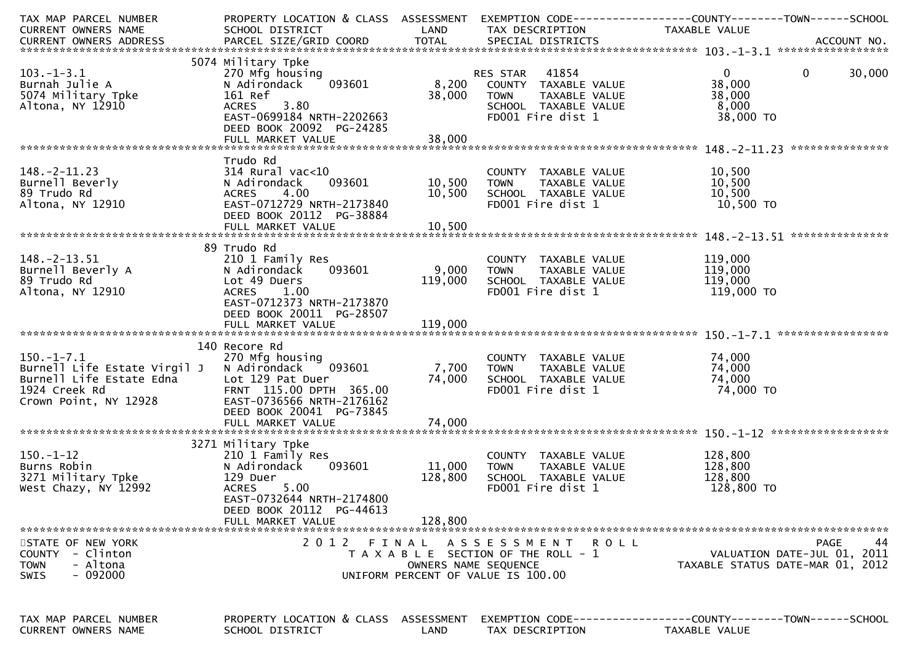| TAX MAP PARCEL NUMBER                                    | PROPERTY LOCATION & CLASS ASSESSMENT              |                      |                                                      | EXEMPTION CODE------------------COUNTY--------TOWN------SCHOOL |
|----------------------------------------------------------|---------------------------------------------------|----------------------|------------------------------------------------------|----------------------------------------------------------------|
| CURRENT OWNERS NAME                                      | SCHOOL DISTRICT                                   | LAND                 | TAX DESCRIPTION                                      | TAXABLE VALUE                                                  |
|                                                          |                                                   |                      |                                                      |                                                                |
|                                                          | 5074 Military Tpke                                |                      |                                                      |                                                                |
| $103.-1-3.1$                                             | 270 Mfg housing                                   |                      | RES STAR 41854                                       | 30,000<br>$\overline{0}$<br>$\mathbf 0$                        |
| Burnah Julie A                                           | 093601<br>N Adirondack                            |                      | 8,200 COUNTY TAXABLE VALUE                           | 38,000                                                         |
| 5074 Military Tpke                                       | 161 Ref                                           | 38,000               | <b>TOWN</b><br>TAXABLE VALUE                         | 38,000                                                         |
| Altona, NY 12910                                         | 3.80<br><b>ACRES</b>                              |                      | SCHOOL TAXABLE VALUE                                 | 8,000                                                          |
|                                                          | EAST-0699184 NRTH-2202663                         |                      | FD001 Fire dist 1                                    | 38,000 TO                                                      |
|                                                          | DEED BOOK 20092 PG-24285                          |                      |                                                      |                                                                |
|                                                          |                                                   |                      |                                                      |                                                                |
|                                                          | Trudo Rd                                          |                      |                                                      |                                                                |
| $148. - 2 - 11.23$                                       | 314 Rural vac<10                                  |                      | COUNTY TAXABLE VALUE                                 | 10,500                                                         |
| Burnell Beverly                                          | 093601<br>N Adirondack                            | 10,500               | <b>TOWN</b><br>TAXABLE VALUE                         | 10,500                                                         |
| 89 Trudo Rd                                              | 4.00<br><b>ACRES</b>                              | 10,500               | SCHOOL TAXABLE VALUE                                 | 10,500                                                         |
| Altona, NY 12910                                         | EAST-0712729 NRTH-2173840                         |                      | FD001 Fire dist 1                                    | 10,500 TO                                                      |
|                                                          | DEED BOOK 20112 PG-38884                          |                      |                                                      |                                                                |
|                                                          | FULL MARKET VALUE                                 | 10,500               |                                                      |                                                                |
|                                                          |                                                   |                      |                                                      |                                                                |
|                                                          | 89 Trudo Rd                                       |                      |                                                      |                                                                |
| $148. -2 - 13.51$                                        | 210 1 Family Res                                  |                      | COUNTY TAXABLE VALUE                                 | 119,000                                                        |
| Burnell Beverly A<br>89 Trudo Rd                         | N Adirondack<br>093601<br>Lot 49 Duers            | 9,000<br>119,000     | TAXABLE VALUE<br><b>TOWN</b><br>SCHOOL TAXABLE VALUE | 119,000<br>119,000                                             |
| Altona, NY 12910                                         | <b>ACRES</b><br>1.00                              |                      | FD001 Fire dist 1                                    | 119,000 TO                                                     |
|                                                          | EAST-0712373 NRTH-2173870                         |                      |                                                      |                                                                |
|                                                          | DEED BOOK 20011 PG-28507                          |                      |                                                      |                                                                |
|                                                          |                                                   |                      |                                                      |                                                                |
|                                                          |                                                   |                      |                                                      |                                                                |
|                                                          | 140 Recore Rd                                     |                      |                                                      |                                                                |
| $150.-1-7.1$                                             | 270 Mfg housing                                   |                      | COUNTY TAXABLE VALUE                                 | 74,000                                                         |
| Burnell Life Estate Virgil J<br>Burnell Life Estate Edna | 093601<br>N Adirondack                            | 7,700                | TOWN TAXABLE VALUE                                   | 74,000                                                         |
| 1924 Creek Rd                                            | Lot 129 Pat Duer<br>FRNT 115.00 DPTH 365.00       | 74,000               | SCHOOL TAXABLE VALUE<br>FD001 Fire dist 1            | 74,000<br>74,000 TO                                            |
| Crown Point, NY 12928                                    | EAST-0736566 NRTH-2176162                         |                      |                                                      |                                                                |
|                                                          | DEED BOOK 20041 PG-73845                          |                      |                                                      |                                                                |
|                                                          | FULL MARKET VALUE                                 | 74,000               |                                                      |                                                                |
|                                                          |                                                   |                      |                                                      |                                                                |
|                                                          | 3271 Military Tpke                                |                      |                                                      |                                                                |
| $150.-1-12$                                              | 210 1 Family Res                                  |                      | COUNTY TAXABLE VALUE                                 | 128,800                                                        |
| Burns Robin                                              | N Adirondack<br>093601                            | 11,000               | TAXABLE VALUE<br><b>TOWN</b>                         | 128,800                                                        |
| 3271 Military Tpke                                       | 129 Duer                                          | 128,800              | SCHOOL TAXABLE VALUE                                 | 128,800                                                        |
| West Chazy, NY 12992                                     | <b>ACRES</b><br>5.00<br>EAST-0732644 NRTH-2174800 |                      | FD001 Fire dist 1                                    | 128,800 TO                                                     |
|                                                          | DEED BOOK 20112 PG-44613                          |                      |                                                      |                                                                |
|                                                          | FULL MARKET VALUE                                 | 128,800              |                                                      |                                                                |
|                                                          |                                                   |                      |                                                      |                                                                |
| STATE OF NEW YORK                                        | 2 0 1 2                                           | FINAL                | A S S E S S M E N T<br>R O L L                       | PAGE<br>44                                                     |
| COUNTY - Clinton                                         |                                                   |                      | T A X A B L E SECTION OF THE ROLL - 1                | VALUATION DATE-JUL 01, 2011                                    |
| - Altona<br><b>TOWN</b>                                  |                                                   | OWNERS NAME SEQUENCE |                                                      | TAXABLE STATUS DATE-MAR 01, 2012                               |
| - 092000<br><b>SWIS</b>                                  |                                                   |                      | UNIFORM PERCENT OF VALUE IS 100.00                   |                                                                |
|                                                          |                                                   |                      |                                                      |                                                                |
|                                                          |                                                   |                      |                                                      |                                                                |
| TAX MAP PARCEL NUMBER                                    | PROPERTY LOCATION & CLASS ASSESSMENT              |                      |                                                      | EXEMPTION CODE-----------------COUNTY--------TOWN------SCHOOL  |
| CURRENT OWNERS NAME                                      | SCHOOL DISTRICT                                   | LAND                 | TAX DESCRIPTION                                      | TAXABLE VALUE                                                  |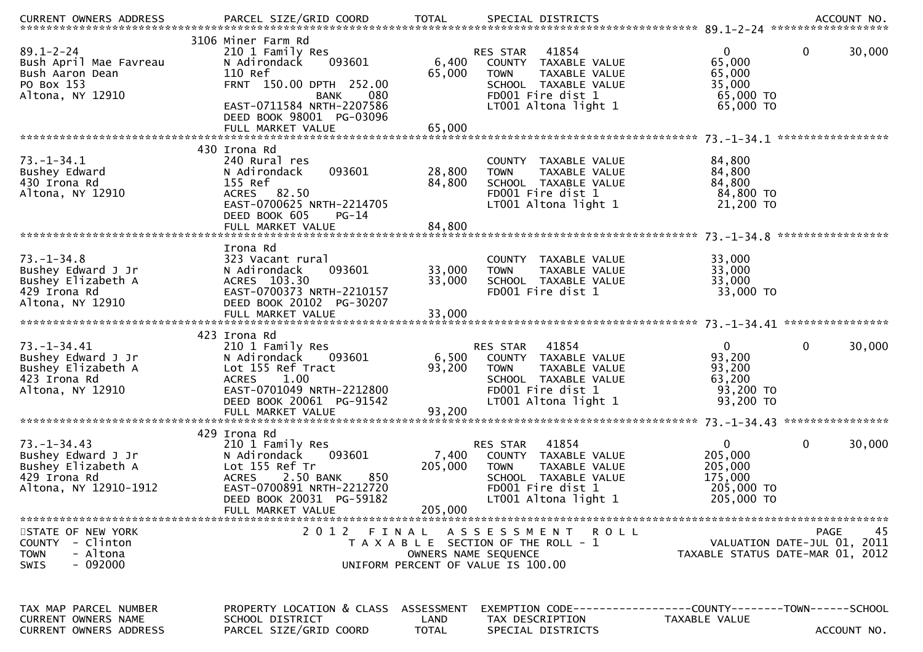| .CURRENT OWNERS ADDRESS PARCEL SIZE/GRID COORD TOTAL SPECIAL DISTRICTS ACCOUNT NO ACCOUNT NO ACCOUNT NO AND ARCEL SIZE/GRID COORD TOTAL SPECIAL DISTRICTS |                                                                                                                                                                                |                                    |                                                                                                                                                |                                                                           |                                                                               |
|-----------------------------------------------------------------------------------------------------------------------------------------------------------|--------------------------------------------------------------------------------------------------------------------------------------------------------------------------------|------------------------------------|------------------------------------------------------------------------------------------------------------------------------------------------|---------------------------------------------------------------------------|-------------------------------------------------------------------------------|
| $89.1 - 2 - 24$<br>Bush April Mae Favreau<br>Bush Aaron Dean<br>PO Box 153<br>Altona, NY 12910                                                            | 3106 Miner Farm Rd<br>210 1 Family Res<br>093601<br>N Adirondack<br>110 Ref<br>FRNT 150.00 DPTH 252.00<br>080<br>BANK<br>EAST-0711584 NRTH-2207586<br>DEED BOOK 98001 PG-03096 | 6,400<br>65,000                    | 41854<br>RES STAR<br>COUNTY TAXABLE VALUE<br>TAXABLE VALUE<br><b>TOWN</b><br>SCHOOL TAXABLE VALUE<br>FD001 Fire dist 1<br>LT001 Altona light 1 | $\Omega$<br>65,000<br>65,000<br>35,000<br>65,000 TO<br>65,000 TO          | 0<br>30,000                                                                   |
|                                                                                                                                                           | FULL MARKET VALUE                                                                                                                                                              | 65,000                             |                                                                                                                                                |                                                                           |                                                                               |
| $73. - 1 - 34.1$<br>Bushey Edward<br>430 Irona Rd<br>Altona, NY 12910                                                                                     | 430 Irona Rd<br>240 Rural res<br>093601<br>N Adirondack<br>155 Ref<br>ACRES 82.50<br>EAST-0700625 NRTH-2214705<br>DEED BOOK 605<br>$PG-14$<br>FULL MARKET VALUE                | 28,800<br>84,800<br>84,800         | COUNTY TAXABLE VALUE<br><b>TOWN</b><br>TAXABLE VALUE<br>SCHOOL TAXABLE VALUE<br>FD001 Fire dist 1<br>LT001 Altona light 1                      | 84,800<br>84,800<br>84,800<br>84,800 TO<br>21,200 TO                      |                                                                               |
|                                                                                                                                                           |                                                                                                                                                                                |                                    |                                                                                                                                                |                                                                           | *****************                                                             |
| $73. - 1 - 34.8$<br>Bushey Edward J Jr<br>Bushey Elizabeth A<br>429 Irona Rd<br>Altona, NY 12910                                                          | Irona Rd<br>323 Vacant rural<br>093601<br>N Adirondack<br>ACRES 103.30<br>EAST-0700373 NRTH-2210157<br>DEED BOOK 20102 PG-30207                                                | 33,000<br>33,000                   | COUNTY TAXABLE VALUE<br><b>TOWN</b><br>TAXABLE VALUE<br>SCHOOL TAXABLE VALUE<br>FD001 Fire dist 1                                              | 33,000<br>33,000<br>33,000<br>33,000 TO                                   |                                                                               |
|                                                                                                                                                           |                                                                                                                                                                                |                                    |                                                                                                                                                |                                                                           |                                                                               |
| $73. - 1 - 34.41$<br>Bushey Edward J Jr<br>Bushey Elizabeth A<br>423 Irona Rd<br>Altona, NY 12910                                                         | 423 Irona Rd<br>210 1 Family Res<br>N Adirondack<br>093601<br>Lot 155 Ref Tract<br>1.00<br><b>ACRES</b><br>EAST-0701049 NRTH-2212800<br>DEED BOOK 20061 PG-91542               | 6,500<br>93,200                    | 41854<br>RES STAR<br>COUNTY TAXABLE VALUE<br><b>TOWN</b><br>TAXABLE VALUE<br>SCHOOL TAXABLE VALUE<br>FD001 Fire dist 1<br>LT001 Altona light 1 | $\Omega$<br>93,200<br>93,200<br>63,200<br>93,200 TO<br>93,200 TO          | 0<br>30,000                                                                   |
|                                                                                                                                                           | 429 Irona Rd                                                                                                                                                                   |                                    |                                                                                                                                                |                                                                           |                                                                               |
| $73. - 1 - 34.43$<br>Bushey Edward J Jr<br>Bushey Elizabeth A<br>429 Irona Rd<br>Altona, NY 12910-1912                                                    | 210 1 Family Res<br>093601<br>N Adirondack<br>Lot 155 Ref Tr<br>2.50 BANK<br>850<br><b>ACRES</b><br>EAST-0700891 NRTH-2212720<br>DEED BOOK 20031 PG-59182                      | 7,400<br>205,000                   | 41854<br>RES STAR<br>COUNTY TAXABLE VALUE<br><b>TOWN</b><br>TAXABLE VALUE<br>SCHOOL TAXABLE VALUE<br>FD001 Fire dist 1<br>LT001 Altona light 1 | $\mathbf{0}$<br>205,000<br>205,000<br>175,000<br>205,000 TO<br>205,000 TO | 0<br>30,000                                                                   |
|                                                                                                                                                           | FULL MARKET VALUE                                                                                                                                                              | 205,000                            |                                                                                                                                                |                                                                           |                                                                               |
| STATE OF NEW YORK<br>COUNTY - Clinton<br>- Altona<br><b>TOWN</b><br>$-092000$<br><b>SWIS</b>                                                              | 2 0 1 2                                                                                                                                                                        | FINAL                              | A S S E S S M E N T<br>T A X A B L E SECTION OF THE ROLL - 1<br>OWNERS NAME SEQUENCE<br>UNIFORM PERCENT OF VALUE IS 100.00                     | R O L L                                                                   | 45<br>PAGE<br>VALUATION DATE-JUL 01, 2011<br>TAXABLE STATUS DATE-MAR 01, 2012 |
| TAX MAP PARCEL NUMBER<br>CURRENT OWNERS NAME<br><b>CURRENT OWNERS ADDRESS</b>                                                                             | PROPERTY LOCATION & CLASS<br>SCHOOL DISTRICT<br>PARCEL SIZE/GRID COORD                                                                                                         | ASSESSMENT<br>LAND<br><b>TOTAL</b> | TAX DESCRIPTION<br>SPECIAL DISTRICTS                                                                                                           | TAXABLE VALUE                                                             | ACCOUNT NO.                                                                   |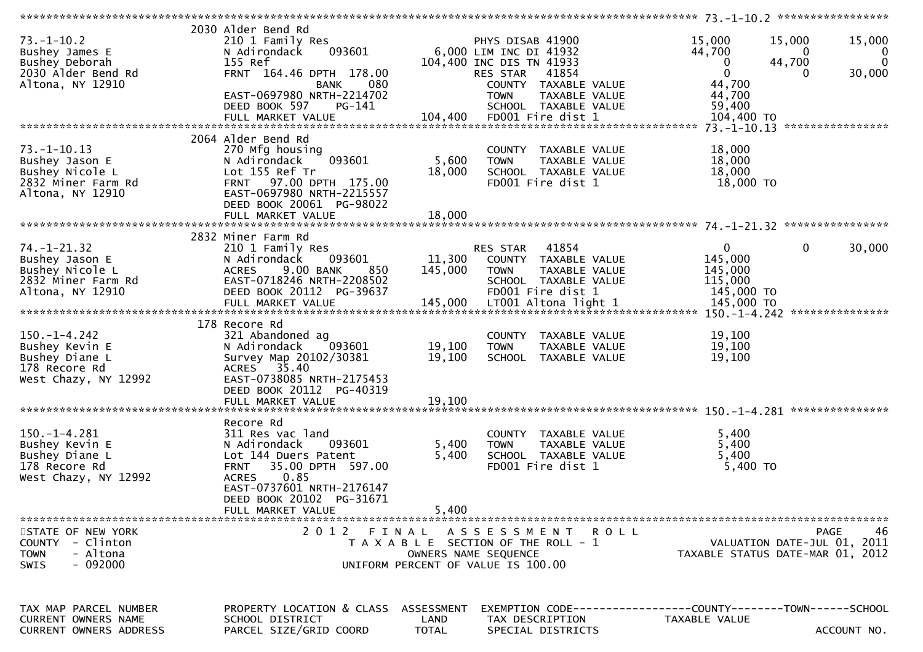| $73. - 1 - 10.2$<br>Bushey James E | 2030 Alder Bend Rd<br>210 1 Family Res<br>093601<br>N Adirondack |              | PHYS DISAB 41900<br>6,000 LIM INC DI 41932                   | 15,000<br>44,700 | 15,000<br>15,000<br>$\Omega$<br>0 |
|------------------------------------|------------------------------------------------------------------|--------------|--------------------------------------------------------------|------------------|-----------------------------------|
| Bushey Deborah                     | 155 Ref                                                          |              | 104,400 INC DIS TN 41933                                     | 0                | $\mathbf{0}$<br>44,700            |
| 2030 Alder Bend Rd                 | FRNT 164.46 DPTH 178.00                                          |              | RES STAR                                                     | $\mathbf 0$      | 0                                 |
|                                    |                                                                  |              | 41854                                                        |                  | 30,000                            |
| Altona, NY 12910                   | 080<br>BANK                                                      |              | COUNTY TAXABLE VALUE                                         | 44,700           |                                   |
|                                    | EAST-0697980 NRTH-2214702                                        |              | <b>TOWN</b><br>TAXABLE VALUE                                 | 44,700           |                                   |
|                                    | DEED BOOK 597<br>PG-141                                          |              | SCHOOL TAXABLE VALUE                                         | 59,400           |                                   |
|                                    | FULL MARKET VALUE                                                | 104,400      | FD001 Fire dist 1                                            | 104,400 TO       |                                   |
|                                    |                                                                  |              |                                                              |                  |                                   |
|                                    | 2064 Alder Bend Rd                                               |              |                                                              |                  |                                   |
| $73. - 1 - 10.13$                  | 270 Mfg housing                                                  |              | COUNTY TAXABLE VALUE                                         | 18,000           |                                   |
| Bushey Jason E                     | 093601<br>N Adirondack                                           | 5,600        | <b>TOWN</b><br>TAXABLE VALUE                                 | 18,000           |                                   |
| Bushey Nicole L                    | Lot 155 Ref Tr                                                   | 18,000       | SCHOOL TAXABLE VALUE                                         | 18,000           |                                   |
| 2832 Miner Farm Rd                 | 97.00 DPTH 175.00<br><b>FRNT</b>                                 |              | FD001 Fire dist 1                                            | 18,000 TO        |                                   |
| Altona, NY 12910                   | EAST-0697980 NRTH-2215557                                        |              |                                                              |                  |                                   |
|                                    |                                                                  |              |                                                              |                  |                                   |
|                                    | DEED BOOK 20061 PG-98022                                         |              |                                                              |                  |                                   |
|                                    | FULL MARKET VALUE                                                | 18,000       |                                                              |                  |                                   |
|                                    |                                                                  |              |                                                              |                  |                                   |
|                                    | 2832 Miner Farm Rd                                               |              |                                                              |                  |                                   |
| 74. -1 -21.32                      | 210 1 Family Res                                                 |              | 41854<br>RES STAR                                            | $\mathbf 0$      | 0<br>30,000                       |
| Bushey Jason E                     | 093601<br>N Adirondack                                           | 11,300       | COUNTY TAXABLE VALUE                                         | 145,000          |                                   |
| Bushey Nicole L                    | 9.00 BANK<br><b>ACRES</b><br>850                                 | 145,000      | <b>TOWN</b><br>TAXABLE VALUE                                 | 145,000          |                                   |
| 2832 Miner Farm Rd                 | EAST-0718246 NRTH-2208502                                        |              | SCHOOL TAXABLE VALUE                                         | 115,000          |                                   |
| Altona, NY 12910                   | DEED BOOK 20112 PG-39637                                         |              | FD001 Fire dist 1                                            | 145,000 TO       |                                   |
|                                    | FULL MARKET VALUE                                                | 145,000      | LT001 Altona light 1                                         | 145,000 TO       |                                   |
|                                    |                                                                  |              |                                                              |                  |                                   |
|                                    | 178 Recore Rd                                                    |              |                                                              |                  |                                   |
| $150. - 1 - 4.242$                 |                                                                  |              |                                                              | 19,100           |                                   |
|                                    | 321 Abandoned ag                                                 |              | COUNTY TAXABLE VALUE                                         |                  |                                   |
| Bushey Kevin E                     | N Adirondack<br>093601                                           | 19,100       | <b>TOWN</b><br>TAXABLE VALUE                                 | 19,100           |                                   |
| Bushey Diane L                     | Survey Map 20102/30381                                           | 19,100       | SCHOOL TAXABLE VALUE                                         | 19,100           |                                   |
| 178 Recore Rd                      | ACRES 35.40                                                      |              |                                                              |                  |                                   |
| West Chazy, NY 12992               | EAST-0738085 NRTH-2175453                                        |              |                                                              |                  |                                   |
|                                    | DEED BOOK 20112 PG-40319                                         |              |                                                              |                  |                                   |
|                                    | FULL MARKET VALUE                                                | 19,100       |                                                              |                  |                                   |
|                                    |                                                                  |              |                                                              |                  |                                   |
|                                    | Recore Rd                                                        |              |                                                              |                  |                                   |
| $150.-1-4.281$                     | 311 Res vac land                                                 |              | COUNTY TAXABLE VALUE                                         | 5,400            |                                   |
| Bushey Kevin E                     | N Adirondack<br>093601                                           | 5,400        | <b>TOWN</b><br>TAXABLE VALUE                                 | 5,400            |                                   |
| Bushey Diane L                     | Lot 144 Duers Patent                                             | 5,400        | SCHOOL TAXABLE VALUE                                         | 5,400            |                                   |
| 178 Recore Rd                      | <b>FRNT</b><br>35.00 DPTH 597.00                                 |              | FD001 Fire dist 1                                            | 5,400 TO         |                                   |
| West Chazy, NY 12992               | 0.85<br><b>ACRES</b>                                             |              |                                                              |                  |                                   |
|                                    | EAST-0737601 NRTH-2176147                                        |              |                                                              |                  |                                   |
|                                    | DEED BOOK 20102 PG-31671                                         |              |                                                              |                  |                                   |
|                                    |                                                                  | 5,400        |                                                              |                  |                                   |
|                                    | FULL MARKET VALUE                                                |              |                                                              |                  |                                   |
|                                    |                                                                  |              |                                                              |                  |                                   |
| STATE OF NEW YORK                  |                                                                  |              | 2012 FINAL ASSESSMENT ROLL                                   |                  | 46<br>PAGE                        |
| COUNTY - Clinton                   |                                                                  |              | T A X A B L E SECTION OF THE ROLL - 1                        |                  | VALUATION DATE-JUL 01, 2011       |
| <b>TOWN</b><br>- Altona            |                                                                  |              | OWNERS NAME SEQUENCE                                         |                  | TAXABLE STATUS DATE-MAR 01, 2012  |
| SWIS<br>$-092000$                  |                                                                  |              | UNIFORM PERCENT OF VALUE IS 100.00                           |                  |                                   |
|                                    |                                                                  |              |                                                              |                  |                                   |
|                                    |                                                                  |              |                                                              |                  |                                   |
|                                    |                                                                  |              |                                                              |                  |                                   |
| TAX MAP PARCEL NUMBER              | PROPERTY LOCATION & CLASS ASSESSMENT                             |              | EXEMPTION CODE-----------------COUNTY-------TOWN------SCHOOL |                  |                                   |
| <b>CURRENT OWNERS NAME</b>         | SCHOOL DISTRICT                                                  | LAND         | TAX DESCRIPTION                                              | TAXABLE VALUE    |                                   |
| <b>CURRENT OWNERS ADDRESS</b>      | PARCEL SIZE/GRID COORD                                           | <b>TOTAL</b> | SPECIAL DISTRICTS                                            |                  | ACCOUNT NO.                       |
|                                    |                                                                  |              |                                                              |                  |                                   |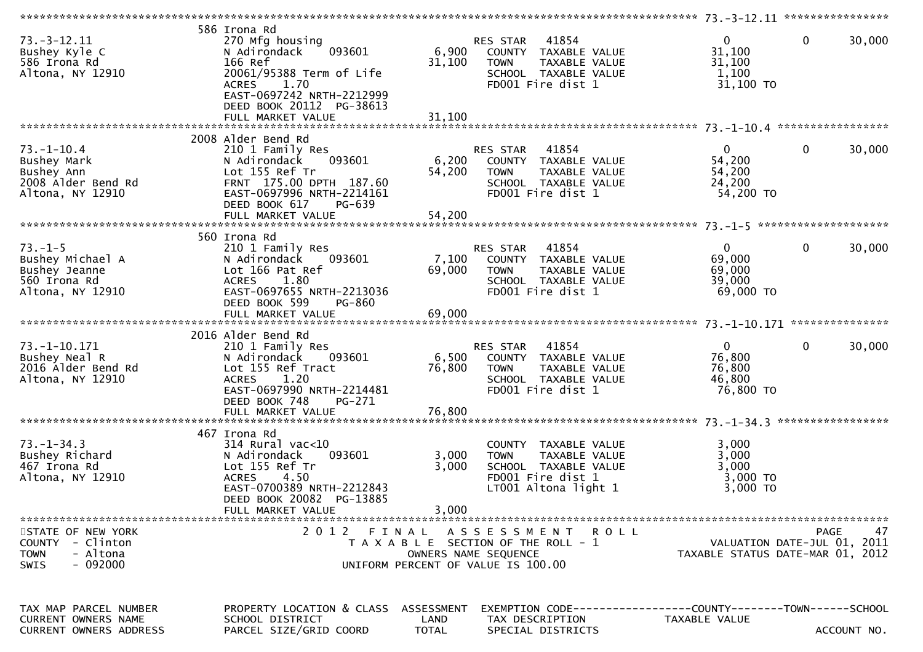| $73. - 3 - 12.11$<br>Bushey Kyle C<br>586 Irona Rd<br>Altona, NY 12910                  | 586 Irona Rd<br>270 Mfg housing<br>093601<br>N Adirondack<br>166 Ref<br>20061/95388 Term of Life<br>1.70<br><b>ACRES</b><br>EAST-0697242 NRTH-2212999<br>DEED BOOK 20112 PG-38613<br>FULL MARKET VALUE | 6,900<br>31,100<br>31,100 | 41854<br>RES STAR<br>COUNTY TAXABLE VALUE<br>TAXABLE VALUE<br><b>TOWN</b><br>SCHOOL TAXABLE VALUE<br>FD001 Fire dist 1    | 0<br>$\mathbf{0}$<br>31,100<br>31,100<br>1,100<br>31,100 TO             | 30,000      |
|-----------------------------------------------------------------------------------------|--------------------------------------------------------------------------------------------------------------------------------------------------------------------------------------------------------|---------------------------|---------------------------------------------------------------------------------------------------------------------------|-------------------------------------------------------------------------|-------------|
|                                                                                         |                                                                                                                                                                                                        |                           |                                                                                                                           |                                                                         |             |
| $73. - 1 - 10.4$<br>Bushey Mark<br>Bushey Ann<br>2008 Alder Bend Rd<br>Altona, NY 12910 | 2008 Alder Bend Rd<br>210 1 Family Res<br>N Adirondack<br>093601<br>Lot 155 Ref Tr<br>FRNT 175.00 DPTH 187.60<br>EAST-0697996 NRTH-2214161<br>DEED BOOK 617<br>PG-639                                  | 6,200<br>54,200           | 41854<br>RES STAR<br>COUNTY TAXABLE VALUE<br>TAXABLE VALUE<br><b>TOWN</b><br>SCHOOL TAXABLE VALUE<br>FD001 Fire dist 1    | $\mathbf{0}$<br>0<br>54,200<br>54,200<br>24,200<br>54,200 TO            | 30,000      |
|                                                                                         |                                                                                                                                                                                                        |                           |                                                                                                                           |                                                                         |             |
| $73. - 1 - 5$<br>Bushey Michael A<br>Bushey Jeanne<br>560 Irona Rd<br>Altona, NY 12910  | 560 Irona Rd<br>210 1 Family Res<br>N Adirondack<br>093601<br>Lot 166 Pat Ref<br><b>ACRES</b><br>1.80<br>EAST-0697655 NRTH-2213036<br>DEED BOOK 599<br>PG-860                                          | 7,100<br>69,000           | 41854<br>RES STAR<br>COUNTY TAXABLE VALUE<br>TAXABLE VALUE<br><b>TOWN</b><br>SCHOOL TAXABLE VALUE<br>FD001 Fire dist 1    | $\mathbf{0}$<br>$\mathbf{0}$<br>69,000<br>69,000<br>39,000<br>69,000 TO | 30,000      |
|                                                                                         |                                                                                                                                                                                                        |                           |                                                                                                                           |                                                                         |             |
| $73. - 1 - 10.171$<br>Bushey Neal R<br>2016 Alder Bend Rd<br>Altona, NY 12910           | 2016 Alder Bend Rd<br>210 1 Family Res<br>N Adirondack<br>093601<br>Lot 155 Ref Tract<br><b>ACRES</b><br>1.20<br>EAST-0697990 NRTH-2214481<br>DEED BOOK 748<br>PG-271                                  | 6,500<br>76,800           | 41854<br>RES STAR<br>COUNTY TAXABLE VALUE<br>TAXABLE VALUE<br><b>TOWN</b><br>SCHOOL TAXABLE VALUE<br>FD001 Fire dist 1    | $\mathbf{0}$<br>0<br>76,800<br>76,800<br>46,800<br>76,800 TO            | 30,000      |
|                                                                                         | 467 Irona Rd                                                                                                                                                                                           |                           |                                                                                                                           |                                                                         |             |
| $73. - 1 - 34.3$<br>Bushey Richard<br>467 Irona Rd<br>Altona, NY 12910                  | $314$ Rural vac<10<br>N Adirondack<br>093601<br>Lot 155 Ref Tr<br>4.50<br><b>ACRES</b><br>EAST-0700389 NRTH-2212843<br>DEED BOOK 20082 PG-13885                                                        | 3,000<br>3,000            | COUNTY TAXABLE VALUE<br><b>TOWN</b><br>TAXABLE VALUE<br>SCHOOL TAXABLE VALUE<br>FD001 Fire dist 1<br>LT001 Altona light 1 | 3,000<br>3,000<br>3,000<br>$3,000$ TO<br>3,000 TO                       |             |
|                                                                                         |                                                                                                                                                                                                        | 3,000                     |                                                                                                                           |                                                                         |             |
| STATE OF NEW YORK<br>COUNTY - Clinton<br>- Altona<br><b>TOWN</b><br>$-092000$<br>SWIS   | FULL MARKET VALUE                                                                                                                                                                                      | OWNERS NAME SEQUENCE      | 2012 FINAL ASSESSMENT ROLL<br>T A X A B L E SECTION OF THE ROLL - 1<br>UNIFORM PERCENT OF VALUE IS 100.00                 | VALUATION DATE-JUL 01, 2011<br>TAXABLE STATUS DATE-MAR 01, 2012         | 47<br>PAGE  |
| TAX MAP PARCEL NUMBER<br><b>CURRENT OWNERS NAME</b><br>CURRENT OWNERS ADDRESS           | PROPERTY LOCATION & CLASS ASSESSMENT<br>SCHOOL DISTRICT<br>PARCEL SIZE/GRID COORD                                                                                                                      | LAND<br>TOTAL             | EXEMPTION        CODE-----------------COUNTY-------TOWN------SCHOOL<br>TAX DESCRIPTION<br>SPECIAL DISTRICTS               | <b>TAXABLE VALUE</b>                                                    | ACCOUNT NO. |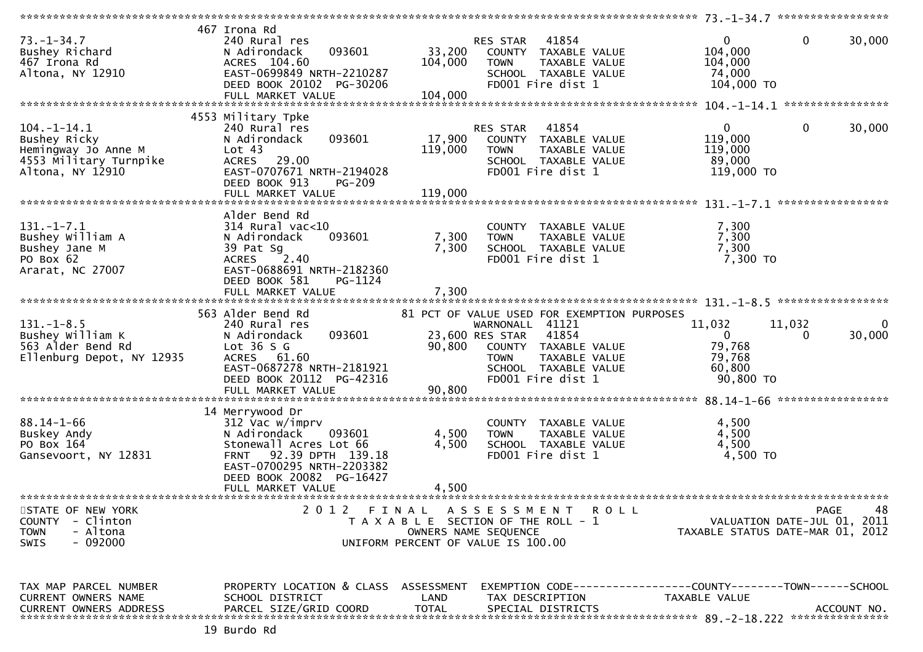|                               |                                          |              |                                                      | 73. -1-34. 7 ******************                              |                   |
|-------------------------------|------------------------------------------|--------------|------------------------------------------------------|--------------------------------------------------------------|-------------------|
|                               | 467 Irona Rd                             |              |                                                      |                                                              |                   |
| $73. - 1 - 34.7$              | 240 Rural res                            |              | 41854<br>RES STAR                                    | 0<br>$\mathbf 0$                                             | 30,000            |
| Bushey Richard                | 093601<br>N Adirondack                   | 33,200       | COUNTY TAXABLE VALUE                                 | 104,000                                                      |                   |
| 467 Irona Rd                  | ACRES 104.60                             | 104,000      | <b>TOWN</b><br>TAXABLE VALUE                         | 104,000                                                      |                   |
| Altona, NY 12910              | EAST-0699849 NRTH-2210287                |              | SCHOOL TAXABLE VALUE                                 | 74,000                                                       |                   |
|                               | DEED BOOK 20102 PG-30206                 |              | FD001 Fire dist 1                                    | 104,000 TO                                                   |                   |
|                               | FULL MARKET VALUE                        | 104,000      |                                                      |                                                              |                   |
|                               |                                          |              |                                                      |                                                              |                   |
|                               | 4553 Military Tpke                       |              |                                                      |                                                              |                   |
| $104. -1 - 14.1$              | 240 Rural res                            |              | RES STAR<br>41854                                    | $\mathbf 0$<br>$\mathbf{0}$                                  | 30,000            |
| Bushey Ricky                  | 093601<br>N Adirondack                   | 17,900       | COUNTY TAXABLE VALUE                                 | 119,000                                                      |                   |
| Hemingway Jo Anne M           | Lot 43                                   | 119,000      | TAXABLE VALUE<br><b>TOWN</b>                         | 119,000                                                      |                   |
| 4553 Military Turnpike        | <b>ACRES</b><br>29.00                    |              | SCHOOL TAXABLE VALUE                                 | 89,000                                                       |                   |
| Altona, NY 12910              | EAST-0707671 NRTH-2194028                |              | FD001 Fire dist 1                                    | 119,000 TO                                                   |                   |
|                               | DEED BOOK 913<br>PG-209                  |              |                                                      |                                                              |                   |
|                               |                                          |              |                                                      |                                                              |                   |
|                               |                                          |              |                                                      |                                                              | ***************** |
|                               | Alder Bend Rd                            |              |                                                      |                                                              |                   |
| $131. - 1 - 7.1$              | $314$ Rural vac<10                       |              | COUNTY TAXABLE VALUE                                 | 7,300                                                        |                   |
| Bushey William A              | 093601<br>N Adirondack                   | 7,300        | TAXABLE VALUE<br><b>TOWN</b>                         | 7,300                                                        |                   |
| Bushey Jane M                 | 39 Pat Sg                                | 7,300        | SCHOOL TAXABLE VALUE                                 | 7,300                                                        |                   |
| PO Box 62                     | <b>ACRES</b><br>2.40                     |              | FD001 Fire dist 1                                    | 7,300 TO                                                     |                   |
| Ararat, NC 27007              | EAST-0688691 NRTH-2182360                |              |                                                      |                                                              |                   |
|                               | DEED BOOK 581<br>PG-1124                 |              |                                                      |                                                              |                   |
|                               | FULL MARKET VALUE                        | 7,300        |                                                      |                                                              |                   |
|                               |                                          |              |                                                      |                                                              |                   |
|                               | 563 Alder Bend Rd                        |              | 81 PCT OF VALUE USED FOR EXEMPTION PURPOSES          |                                                              |                   |
| $131. - 1 - 8.5$              | 240 Rural res                            |              | WARNONALL 41121                                      | 11,032<br>11,032                                             | 0                 |
| Bushey William K              | 093601<br>N Adirondack                   |              | 41854<br>23,600 RES STAR                             | $\overline{0}$<br>0                                          | 30,000            |
| 563 Alder Bend Rd             | Lot $36S$                                | 90,800       | COUNTY TAXABLE VALUE                                 | 79,768                                                       |                   |
|                               |                                          |              |                                                      |                                                              |                   |
| Ellenburg Depot, NY 12935     | ACRES 61.60<br>EAST-0687278 NRTH-2181921 |              | <b>TOWN</b><br>TAXABLE VALUE<br>SCHOOL TAXABLE VALUE | 79,768<br>60,800                                             |                   |
|                               |                                          |              |                                                      |                                                              |                   |
|                               |                                          |              |                                                      |                                                              |                   |
|                               | DEED BOOK 20112 PG-42316                 |              | FD001 Fire dist 1                                    | 90,800 TO                                                    |                   |
|                               |                                          |              |                                                      |                                                              |                   |
|                               |                                          |              |                                                      |                                                              | ***************** |
|                               | 14 Merrywood Dr                          |              |                                                      |                                                              |                   |
| $88.14 - 1 - 66$              | 312 Vac w/imprv                          |              | COUNTY TAXABLE VALUE                                 | 4,500                                                        |                   |
| Buskey Andy                   | N Adirondack<br>093601                   | 4,500        | <b>TOWN</b><br>TAXABLE VALUE                         | 4,500                                                        |                   |
| PO Box 164                    | Stonewall Acres Lot 66                   | 4,500        | SCHOOL TAXABLE VALUE                                 | 4,500                                                        |                   |
| Gansevoort, NY 12831          | 92.39 DPTH 139.18<br><b>FRNT</b>         |              | FD001 Fire dist 1                                    | 4,500 TO                                                     |                   |
|                               | EAST-0700295 NRTH-2203382                |              |                                                      |                                                              |                   |
|                               | DEED BOOK 20082 PG-16427                 |              |                                                      |                                                              |                   |
|                               | FULL MARKET VALUE                        | 4,500        |                                                      |                                                              |                   |
|                               |                                          |              |                                                      |                                                              |                   |
| STATE OF NEW YORK             |                                          |              | 2012 FINAL ASSESSMENT<br><b>ROLL</b>                 |                                                              | PAGE<br>-48       |
| COUNTY - Clinton              |                                          |              | T A X A B L E SECTION OF THE ROLL - 1                | VALUATION DATE-JUL 01, 2011                                  |                   |
| <b>TOWN</b><br>- Altona       |                                          |              | OWNERS NAME SEQUENCE                                 | TAXABLE STATUS DATE-MAR 01, 2012                             |                   |
| - 092000<br>SWIS              |                                          |              | UNIFORM PERCENT OF VALUE IS 100.00                   |                                                              |                   |
|                               |                                          |              |                                                      |                                                              |                   |
| TAX MAP PARCEL NUMBER         | PROPERTY LOCATION & CLASS ASSESSMENT     |              |                                                      | EXEMPTION CODE-----------------COUNTY-------TOWN------SCHOOL |                   |
| CURRENT OWNERS NAME           | SCHOOL DISTRICT                          | LAND         | TAX DESCRIPTION                                      | TAXABLE VALUE                                                |                   |
| <b>CURRENT OWNERS ADDRESS</b> | PARCEL SIZE/GRID COORD                   | <b>TOTAL</b> | SPECIAL DISTRICTS                                    |                                                              | ACCOUNT NO.       |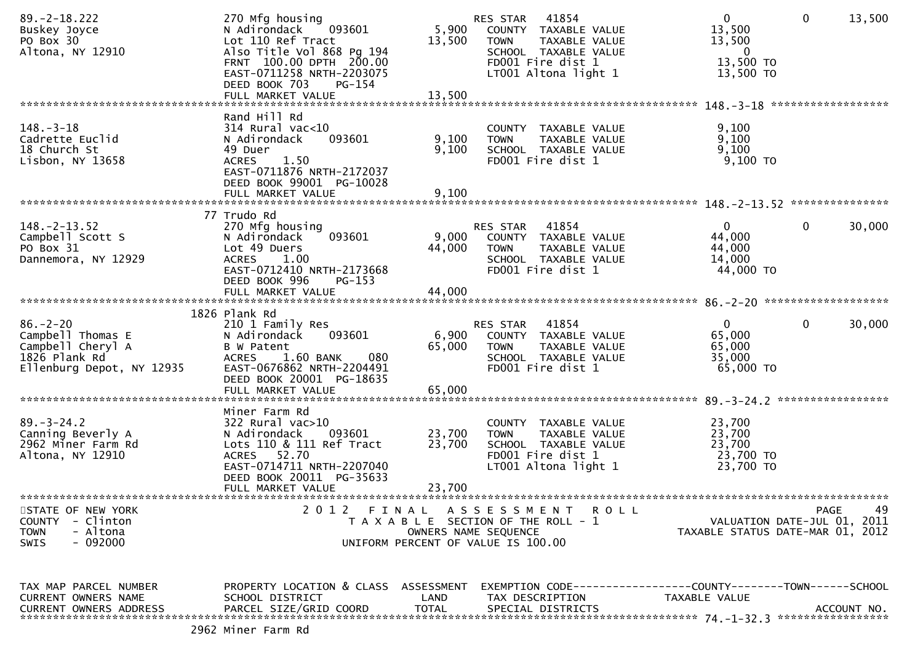| Cadrette Euclid<br>18 Church St<br>Lisbon, NY 13658 | 093601<br>N Adirondack<br>49 Duer<br>1.50<br><b>ACRES</b> | 9,100<br>9,100   | <b>TOWN</b><br>TAXABLE VALUE<br>SCHOOL TAXABLE VALUE<br>FD001 Fire dist 1 | 9,100<br>9,100<br>$9,100$ TO     |              |             |
|-----------------------------------------------------|-----------------------------------------------------------|------------------|---------------------------------------------------------------------------|----------------------------------|--------------|-------------|
|                                                     | EAST-0711876 NRTH-2172037<br>DEED BOOK 99001 PG-10028     |                  |                                                                           |                                  |              |             |
|                                                     |                                                           |                  |                                                                           |                                  |              |             |
| $148. - 2 - 13.52$                                  | 77 Trudo Rd<br>270 Mfg housing                            |                  | 41854<br>RES STAR                                                         | 0                                | $\mathbf{0}$ | 30,000      |
| Campbell Scott S<br>PO Box 31                       | 093601<br>N Adirondack                                    | 9,000            | COUNTY TAXABLE VALUE                                                      | 44,000                           |              |             |
| Dannemora, NY 12929                                 | Lot 49 Duers<br><b>ACRES</b><br>1.00                      | 44,000           | TAXABLE VALUE<br><b>TOWN</b><br>SCHOOL TAXABLE VALUE                      | 44,000<br>14,000                 |              |             |
|                                                     | EAST-0712410 NRTH-2173668<br>DEED BOOK 996<br>$PG-153$    |                  | FD001 Fire dist 1                                                         | 44,000 TO                        |              |             |
|                                                     |                                                           |                  |                                                                           |                                  |              |             |
|                                                     | 1826 Plank Rd                                             |                  |                                                                           |                                  |              |             |
| $86. - 2 - 20$                                      | 210 1 Family Res                                          |                  | RES STAR 41854                                                            | $\mathbf{0}$                     | $\mathbf 0$  | 30,000      |
| Campbell Thomas E<br>Campbell Cheryl A              | 093601<br>N Adirondack<br>B W Patent                      | 6,900<br>65,000  | COUNTY TAXABLE VALUE<br><b>TOWN</b><br>TAXABLE VALUE                      | 65,000<br>65,000                 |              |             |
| 1826 Plank Rd                                       | 1.60 BANK<br>080<br><b>ACRES</b>                          |                  | SCHOOL TAXABLE VALUE                                                      | 35,000                           |              |             |
| Ellenburg Depot, NY 12935                           | EAST-0676862 NRTH-2204491<br>DEED BOOK 20001 PG-18635     |                  | FD001 Fire dist 1                                                         | $65,000$ TO                      |              |             |
|                                                     |                                                           |                  |                                                                           |                                  |              |             |
|                                                     | Miner Farm Rd                                             |                  |                                                                           |                                  |              |             |
| $89. - 3 - 24.2$                                    | $322$ Rural vac $>10$                                     |                  | COUNTY TAXABLE VALUE                                                      | 23,700                           |              |             |
| Canning Beverly A<br>2962 Miner Farm Rd             | 093601<br>N Adirondack<br>Lots 110 & 111 Ref Tract        | 23,700<br>23,700 | <b>TOWN</b><br>TAXABLE VALUE<br>SCHOOL TAXABLE VALUE                      | 23,700<br>23,700                 |              |             |
| Altona, NY 12910                                    | ACRES 52.70                                               |                  | FD001 Fire dist 1                                                         | 23,700 TO                        |              |             |
|                                                     | EAST-0714711 NRTH-2207040<br>DEED BOOK 20011 PG-35633     |                  | LT001 Altona light 1                                                      | 23,700 TO                        |              |             |
|                                                     | FULL MARKET VALUE                                         | 23,700           |                                                                           |                                  |              |             |
| STATE OF NEW YORK                                   |                                                           |                  | 2012 FINAL ASSESSMENT ROLL                                                |                                  | PAGE         | 49          |
| COUNTY - Clinton                                    |                                                           |                  | T A X A B L E SECTION OF THE ROLL - 1                                     | VALUATION DATE-JUL 01, 2011      |              |             |
| <b>TOWN</b><br>- Altona<br>- 092000<br><b>SWIS</b>  |                                                           |                  | OWNERS NAME SEQUENCE<br>UNIFORM PERCENT OF VALUE IS 100.00                | TAXABLE STATUS DATE-MAR 01, 2012 |              |             |
|                                                     |                                                           |                  |                                                                           |                                  |              |             |
| TAX MAP PARCEL NUMBER                               | PROPERTY LOCATION & CLASS ASSESSMENT                      |                  | EXEMPTION CODE-----------------COUNTY-------TOWN------SCHOOL              |                                  |              |             |
| CURRENT OWNERS NAME                                 | SCHOOL DISTRICT                                           | LAND             | TAX DESCRIPTION                                                           | TAXABLE VALUE                    |              |             |
| <b>CURRENT OWNERS ADDRESS</b>                       | PARCEL SIZE/GRID COORD                                    | TOTAL            | SPECIAL DISTRICTS                                                         |                                  |              | ACCOUNT NO. |
| 2002.1                                              |                                                           |                  |                                                                           |                                  |              |             |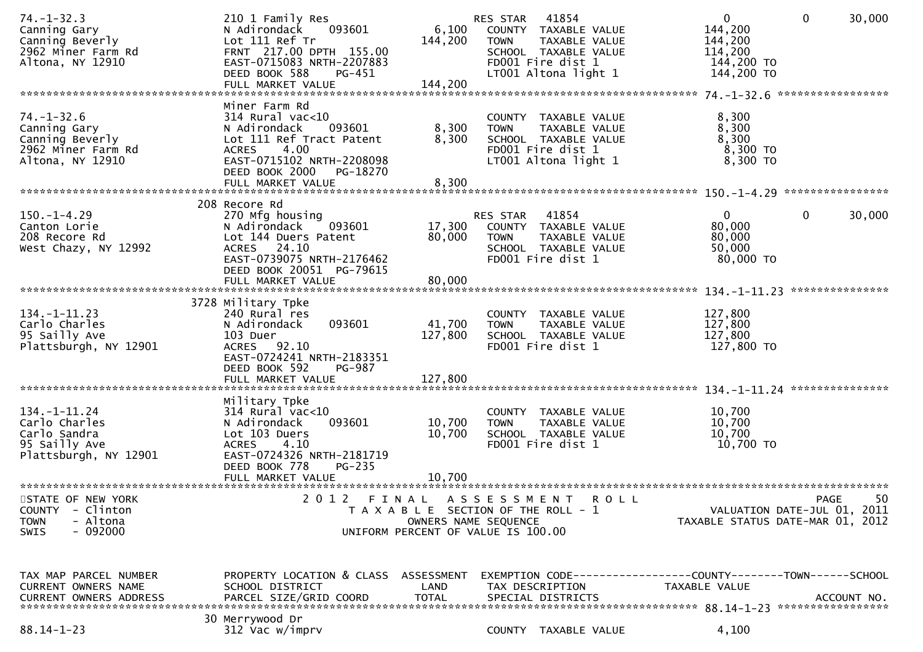| $74. - 1 - 32.3$<br>Canning Gary<br>Canning Beverly<br>2962 Miner Farm Rd<br>Altona, NY 12910          | 210 1 Family Res<br>093601<br>N Adirondack<br>Lot 111 Ref Tr<br>FRNT 217.00 DPTH 155.00<br>EAST-0715083 NRTH-2207883<br>DEED BOOK 588<br>PG-451<br>FULL MARKET VALUE         | 6,100<br>144,200<br>144,200  | 41854<br>RES STAR<br>COUNTY TAXABLE VALUE<br>TAXABLE VALUE<br><b>TOWN</b><br>SCHOOL TAXABLE VALUE<br>FD001 Fire dist 1<br>LT001 Altona light 1 | 0<br>144,200<br>144,200<br>114,200<br>144,200 TO<br>144,200 TO | 30,000<br>$\mathbf{0}$                           |
|--------------------------------------------------------------------------------------------------------|------------------------------------------------------------------------------------------------------------------------------------------------------------------------------|------------------------------|------------------------------------------------------------------------------------------------------------------------------------------------|----------------------------------------------------------------|--------------------------------------------------|
| $74. - 1 - 32.6$<br>Canning Gary<br>Canning Beverly<br>2962 Miner Farm Rd<br>Altona, NY 12910          | Miner Farm Rd<br>$314$ Rural vac< $10$<br>N Adirondack<br>093601<br>Lot 111 Ref Tract Patent<br><b>ACRES</b><br>4.00<br>EAST-0715102 NRTH-2208098<br>DEED BOOK 2000 PG-18270 | 8,300<br>8,300               | COUNTY TAXABLE VALUE<br><b>TOWN</b><br>TAXABLE VALUE<br>SCHOOL TAXABLE VALUE<br>FD001 Fire dist 1<br>LT001 Altona light 1                      | 8,300<br>8,300<br>8,300<br>$8,300$ TO<br>8,300 TO              |                                                  |
|                                                                                                        | FULL MARKET VALUE                                                                                                                                                            | 8,300                        |                                                                                                                                                |                                                                |                                                  |
| $150.-1-4.29$<br>Canton Lorie<br>208 Recore Rd<br>West Chazy, NY 12992                                 | 208 Recore Rd<br>270 Mfg housing<br>093601<br>N Adirondack<br>Lot 144 Duers Patent<br>ACRES 24.10<br>EAST-0739075 NRTH-2176462<br>DEED BOOK 20051 PG-79615                   | 17,300<br>80,000             | RES STAR<br>41854<br>COUNTY TAXABLE VALUE<br><b>TOWN</b><br>TAXABLE VALUE<br>SCHOOL TAXABLE VALUE<br>FD001 Fire dist 1                         | $\mathbf{0}$<br>80,000<br>80,000<br>50,000<br>80,000 TO        | 0<br>30,000                                      |
|                                                                                                        | FULL MARKET VALUE                                                                                                                                                            | 80,000                       |                                                                                                                                                |                                                                | ***************                                  |
| $134. - 1 - 11.23$<br>Carlo Charles<br>95 Sailly Ave<br>Plattsburgh, NY 12901                          | 3728 Military Tpke<br>240 Rural res<br>093601<br>N Adirondack<br>103 Duer<br>ACRES 92.10<br>EAST-0724241 NRTH-2183351<br>DEED BOOK 592<br><b>PG-987</b><br>FULL MARKET VALUE | 41,700<br>127,800<br>127,800 | COUNTY TAXABLE VALUE<br><b>TOWN</b><br>TAXABLE VALUE<br>SCHOOL TAXABLE VALUE<br>FD001 Fire dist 1                                              | 127,800<br>127,800<br>127,800<br>127,800 TO                    |                                                  |
|                                                                                                        |                                                                                                                                                                              |                              |                                                                                                                                                |                                                                |                                                  |
| $134. - 1 - 11.24$<br>Carlo Charles<br>Carlo Sandra<br>95 Sailly Ave<br>Plattsburgh, NY 12901          | Military Tpke<br>$314$ Rural vac<10<br>093601<br>N Adirondack<br>Lot 103 Duers<br>4.10<br><b>ACRES</b><br>EAST-0724326 NRTH-2181719<br>DEED BOOK 778<br><b>PG-235</b>        | 10,700<br>10,700             | COUNTY TAXABLE VALUE<br><b>TOWN</b><br>TAXABLE VALUE<br>SCHOOL TAXABLE VALUE<br>FD001 Fire dist 1                                              | 10,700<br>10,700<br>10,700<br>10,700 TO                        |                                                  |
|                                                                                                        | FULL MARKET VALUE                                                                                                                                                            | 10,700                       |                                                                                                                                                |                                                                |                                                  |
| STATE OF NEW YORK<br><b>COUNTY</b><br>- Clinton<br>- Altona<br><b>TOWN</b><br>$-092000$<br><b>SWIS</b> | 2 0 1 2                                                                                                                                                                      | FINAL                        | A S S E S S M E N T<br>ROLL<br>T A X A B L E SECTION OF THE ROLL - 1<br>OWNERS NAME SEQUENCE<br>UNIFORM PERCENT OF VALUE IS 100.00             | TAXABLE STATUS DATE-MAR 01, 2012                               | 50<br><b>PAGE</b><br>VALUATION DATE-JUL 01, 2011 |
| TAX MAP PARCEL NUMBER<br>CURRENT OWNERS NAME<br><b>CURRENT OWNERS ADDRESS</b>                          | PROPERTY LOCATION & CLASS ASSESSMENT<br>SCHOOL DISTRICT<br>PARCEL SIZE/GRID COORD                                                                                            | LAND<br><b>TOTAL</b>         | EXEMPTION CODE------------------COUNTY--------TOWN------SCHOOL<br>TAX DESCRIPTION<br>SPECIAL DISTRICTS                                         | TAXABLE VALUE                                                  | ACCOUNT NO.                                      |
| $88.14 - 1 - 23$                                                                                       | 30 Merrywood Dr<br>312 Vac w/imprv                                                                                                                                           |                              | COUNTY TAXABLE VALUE                                                                                                                           | 4,100                                                          |                                                  |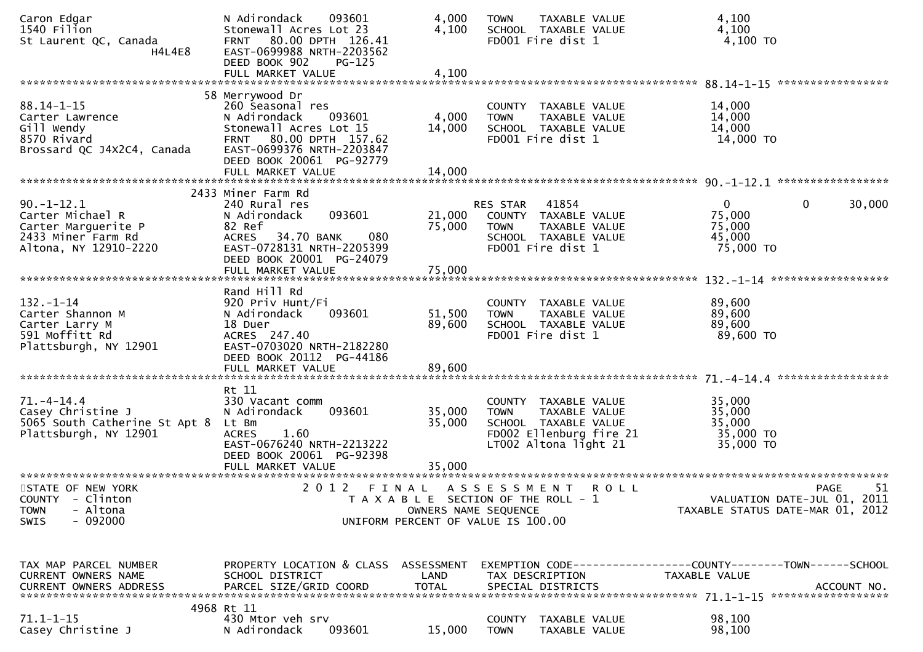| Caron Edgar<br>1540 Filion<br>St Laurent QC, Canada<br>H4L4E8                                             | N Adirondack<br>093601<br>Stonewall Acres Lot 23<br>80.00 DPTH 126.41<br><b>FRNT</b><br>EAST-0699988 NRTH-2203562<br>DEED BOOK 902<br>$PG-125$<br>FULL MARKET VALUE                                       | 4,000<br>4,100<br>4,100    | <b>TOWN</b><br>SCHOOL TAXABLE VALUE<br>FD001 Fire dist 1                                                                   | TAXABLE VALUE | 4,100<br>4,100<br>4,100 TO                                                    |                   |
|-----------------------------------------------------------------------------------------------------------|-----------------------------------------------------------------------------------------------------------------------------------------------------------------------------------------------------------|----------------------------|----------------------------------------------------------------------------------------------------------------------------|---------------|-------------------------------------------------------------------------------|-------------------|
|                                                                                                           |                                                                                                                                                                                                           |                            |                                                                                                                            |               |                                                                               |                   |
| $88.14 - 1 - 15$<br>Carter Lawrence<br>Gill Wendy<br>8570 Rivard<br>Brossard QC J4X2C4, Canada            | 58 Merrywood Dr<br>260 Seasonal res<br>N Adirondack<br>093601<br>Stonewall Acres Lot 15<br>80.00 DPTH 157.62<br><b>FRNT</b><br>EAST-0699376 NRTH-2203847<br>DEED BOOK 20061 PG-92779<br>FULL MARKET VALUE | 4,000<br>14,000<br>14,000  | COUNTY TAXABLE VALUE<br><b>TOWN</b><br>SCHOOL TAXABLE VALUE<br>FD001 Fire dist 1                                           | TAXABLE VALUE | 14,000<br>14,000<br>14,000<br>14,000 TO                                       |                   |
|                                                                                                           |                                                                                                                                                                                                           |                            |                                                                                                                            |               |                                                                               |                   |
| $90. -1 - 12.1$<br>Carter Michael R<br>Carter Marguerite P<br>2433 Miner Farm Rd<br>Altona, NY 12910-2220 | 2433 Miner Farm Rd<br>240 Rural res<br>093601<br>N Adirondack<br>82 Ref<br>34.70 BANK<br>080<br><b>ACRES</b><br>EAST-0728131 NRTH-2205399<br>DEED BOOK 20001 PG-24079                                     | 21,000<br>75,000           | 41854<br>RES STAR<br>COUNTY TAXABLE VALUE<br><b>TOWN</b><br>SCHOOL TAXABLE VALUE<br>FD001 Fire dist 1                      | TAXABLE VALUE | $\mathbf{0}$<br>$\mathbf{0}$<br>75,000<br>75,000<br>45,000<br>75,000 TO       | 30,000            |
|                                                                                                           |                                                                                                                                                                                                           |                            |                                                                                                                            |               |                                                                               |                   |
| $132. - 1 - 14$<br>Carter Shannon M<br>Carter Larry M<br>591 Moffitt Rd<br>Plattsburgh, NY 12901          | Rand Hill Rd<br>920 Priv Hunt/Fi<br>093601<br>N Adirondack<br>18 Duer<br>ACRES 247.40<br>EAST-0703020 NRTH-2182280<br>DEED BOOK 20112 PG-44186<br>FULL MARKET VALUE                                       | 51,500<br>89,600<br>89,600 | COUNTY TAXABLE VALUE<br><b>TOWN</b><br>SCHOOL TAXABLE VALUE<br>FD001 Fire dist 1                                           | TAXABLE VALUE | 89,600<br>89,600<br>89,600<br>89,600 TO                                       |                   |
|                                                                                                           |                                                                                                                                                                                                           |                            |                                                                                                                            |               |                                                                               |                   |
| $71. - 4 - 14.4$<br>Casey Christine J<br>5065 South Catherine St Apt 8<br>Plattsburgh, NY 12901           | Rt 11<br>330 Vacant comm<br>093601<br>N Adirondack<br>Lt Bm<br>1.60<br><b>ACRES</b><br>EAST-0676240 NRTH-2213222<br>DEED BOOK 20061 PG-92398                                                              | 35,000<br>35,000           | COUNTY TAXABLE VALUE<br><b>TOWN</b><br>SCHOOL TAXABLE VALUE<br>FD002 Ellenburg fire 21<br>LT002 Altona light 21            | TAXABLE VALUE | 35,000<br>35,000<br>35,000<br>35,000 TO<br>35,000 TO                          |                   |
|                                                                                                           |                                                                                                                                                                                                           |                            |                                                                                                                            |               |                                                                               |                   |
| STATE OF NEW YORK<br>COUNTY - Clinton<br>- Altona<br><b>TOWN</b><br>$-092000$<br>SWIS                     | 2 0 1 2                                                                                                                                                                                                   | FINAL                      | A S S E S S M E N T<br>T A X A B L E SECTION OF THE ROLL - 1<br>OWNERS NAME SEQUENCE<br>UNIFORM PERCENT OF VALUE IS 100.00 | <b>ROLL</b>   | VALUATION DATE-JUL 01, 2011<br>TAXABLE STATUS DATE-MAR 01, 2012               | 51<br><b>PAGE</b> |
|                                                                                                           |                                                                                                                                                                                                           |                            |                                                                                                                            |               |                                                                               |                   |
| TAX MAP PARCEL NUMBER<br>CURRENT OWNERS NAME<br><b>CURRENT OWNERS ADDRESS</b>                             | PROPERTY LOCATION & CLASS ASSESSMENT<br>SCHOOL DISTRICT<br>PARCEL SIZE/GRID COORD                                                                                                                         | LAND<br><b>TOTAL</b>       | TAX DESCRIPTION<br>SPECIAL DISTRICTS                                                                                       |               | EXEMPTION CODE-----------------COUNTY-------TOWN------SCHOOL<br>TAXABLE VALUE | ACCOUNT NO.       |
| $71.1 - 1 - 15$<br>Casey Christine J                                                                      | 4968 Rt 11<br>430 Mtor veh srv<br>N Adirondack<br>093601                                                                                                                                                  | 15,000                     | <b>COUNTY</b><br><b>TOWN</b>                                                                                               | TAXABLE VALUE | 98,100<br>98,100                                                              |                   |
|                                                                                                           |                                                                                                                                                                                                           |                            |                                                                                                                            | TAXABLE VALUE |                                                                               |                   |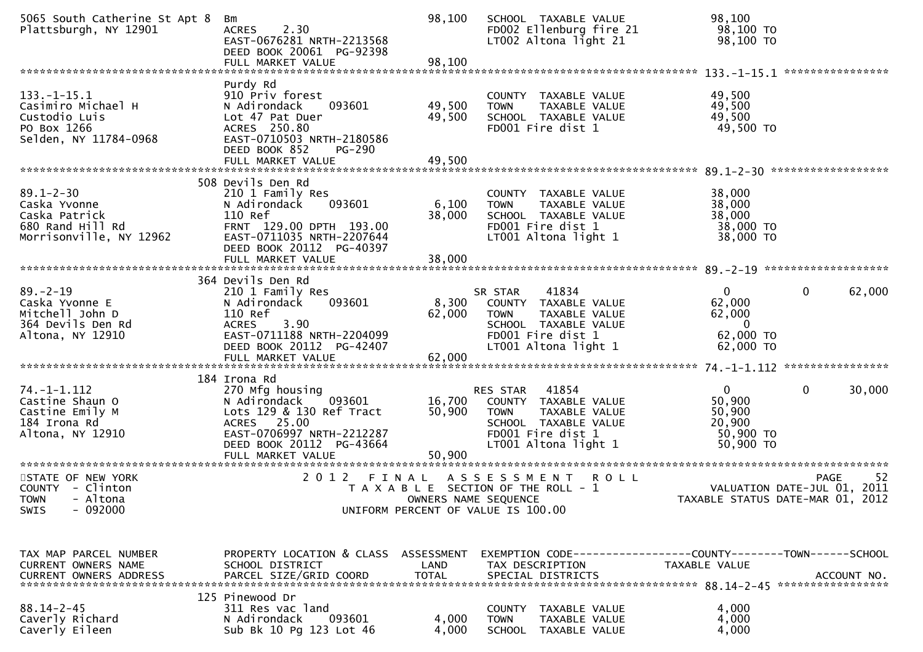| 5065 South Catherine St Apt 8<br>Plattsburgh, NY 12901 | Bm<br>2.30<br><b>ACRES</b><br>EAST-0676281 NRTH-2213568<br>DEED BOOK 20061 PG-92398 | 98,100       | SCHOOL TAXABLE VALUE<br>FD002 Ellenburg fire 21<br>LT002 Altona light 21 | 98,100<br>98,100 TO<br>98,100 TO |                        |
|--------------------------------------------------------|-------------------------------------------------------------------------------------|--------------|--------------------------------------------------------------------------|----------------------------------|------------------------|
|                                                        | FULL MARKET VALUE                                                                   | 98,100       |                                                                          |                                  | ****************       |
|                                                        | Purdy Rd                                                                            |              |                                                                          |                                  |                        |
| $133. - 1 - 15.1$                                      | 910 Priv forest                                                                     |              | COUNTY TAXABLE VALUE                                                     | 49,500                           |                        |
| Casimiro Michael H                                     | N Adirondack<br>093601                                                              | 49,500       | <b>TOWN</b><br>TAXABLE VALUE                                             | 49,500                           |                        |
| Custodio Luis                                          | Lot 47 Pat Duer                                                                     | 49,500       | SCHOOL TAXABLE VALUE                                                     | 49,500                           |                        |
| PO Box 1266                                            | ACRES 250.80                                                                        |              | FD001 Fire dist 1                                                        | 49,500 TO                        |                        |
| Selden, NY 11784-0968                                  | EAST-0710503 NRTH-2180586                                                           |              |                                                                          |                                  |                        |
|                                                        | DEED BOOK 852<br><b>PG-290</b>                                                      |              |                                                                          |                                  |                        |
|                                                        |                                                                                     |              |                                                                          |                                  |                        |
|                                                        | 508 Devils Den Rd                                                                   |              |                                                                          |                                  |                        |
| $89.1 - 2 - 30$                                        | 210 1 Family Res                                                                    |              | COUNTY TAXABLE VALUE                                                     | 38,000                           |                        |
| Caska Yvonne                                           | 093601<br>N Adirondack                                                              | 6,100        | TAXABLE VALUE<br><b>TOWN</b>                                             | 38,000                           |                        |
| Caska Patrick                                          | 110 Ref                                                                             | 38,000       | SCHOOL TAXABLE VALUE                                                     | 38,000                           |                        |
| 680 Rand Hill Rd                                       | FRNT 129.00 DPTH 193.00                                                             |              | FD001 Fire dist 1                                                        | 38,000 TO                        |                        |
| Morrisonville, NY 12962                                | EAST-0711035 NRTH-2207644                                                           |              | LT001 Altona light 1                                                     | 38,000 TO                        |                        |
|                                                        | DEED BOOK 20112 PG-40397                                                            |              |                                                                          |                                  |                        |
|                                                        |                                                                                     |              |                                                                          |                                  |                        |
|                                                        | 364 Devils Den Rd                                                                   |              |                                                                          |                                  |                        |
| $89. - 2 - 19$                                         | 210 1 Family Res                                                                    |              | 41834<br>SR STAR                                                         | $\mathbf{0}$                     | $\mathbf{0}$<br>62,000 |
| Caska Yvonne E                                         | 093601<br>N Adirondack                                                              | 8,300        | COUNTY TAXABLE VALUE                                                     | 62,000                           |                        |
| Mitchell John D                                        | 110 Ref                                                                             | 62,000       | TAXABLE VALUE<br><b>TOWN</b>                                             | 62,000                           |                        |
| 364 Devils Den Rd                                      | 3.90<br><b>ACRES</b>                                                                |              | SCHOOL TAXABLE VALUE                                                     | $\Omega$                         |                        |
| Altona, NY 12910                                       | EAST-0711188 NRTH-2204099                                                           |              | FD001 Fire dist 1                                                        | 62,000 TO                        |                        |
|                                                        | DEED BOOK 20112 PG-42407                                                            |              | LT001 Altona light 1                                                     | 62,000 TO                        |                        |
|                                                        | FULL MARKET VALUE                                                                   | 62,000       |                                                                          |                                  |                        |
|                                                        | 184 Irona Rd                                                                        |              |                                                                          |                                  |                        |
| $74. - 1 - 1.112$                                      | 270 Mfg housing                                                                     |              | 41854<br><b>RES STAR</b>                                                 | $\overline{0}$                   | $\mathbf{0}$<br>30,000 |
| Castine Shaun O                                        | 093601<br>N Adirondack                                                              | 16,700       | COUNTY TAXABLE VALUE                                                     | 50,900                           |                        |
| Castine Emily M                                        | Lots 129 & 130 Ref Tract                                                            | 50,900       | <b>TOWN</b><br>TAXABLE VALUE                                             | 50,900                           |                        |
| 184 Irona Rd                                           | ACRES 25.00                                                                         |              | SCHOOL TAXABLE VALUE                                                     | 20,900                           |                        |
| Altona, NY 12910                                       | EAST-0706997 NRTH-2212287<br>DEED BOOK 20112 PG-43664                               |              | FD001 Fire dist 1<br>LT001 Altona light 1                                | 50,900 TO<br>50,900 TO           |                        |
|                                                        |                                                                                     | 50,900       |                                                                          |                                  |                        |
|                                                        |                                                                                     |              |                                                                          |                                  |                        |
| STATE OF NEW YORK                                      | 2 0 1 2                                                                             |              | FINAL ASSESSMENT<br>R O L L                                              |                                  | 52<br>PAGE             |
| COUNTY - Clinton                                       |                                                                                     |              | T A X A B L E SECTION OF THE ROLL - 1                                    | VALUATION DATE-JUL 01, 2011      |                        |
| - Altona<br><b>TOWN</b>                                |                                                                                     |              | OWNERS NAME SEQUENCE                                                     | TAXABLE STATUS DATE-MAR 01, 2012 |                        |
| $-092000$<br><b>SWIS</b>                               |                                                                                     |              | UNIFORM PERCENT OF VALUE IS 100.00                                       |                                  |                        |
|                                                        |                                                                                     |              |                                                                          |                                  |                        |
|                                                        |                                                                                     |              |                                                                          |                                  |                        |
| TAX MAP PARCEL NUMBER                                  | PROPERTY LOCATION & CLASS ASSESSMENT                                                |              | EXEMPTION CODE-----------------COUNTY-------TOWN------SCHOOL             |                                  |                        |
| CURRENT OWNERS NAME                                    | SCHOOL DISTRICT                                                                     | LAND         | TAX DESCRIPTION                                                          | TAXABLE VALUE                    |                        |
| CURRENT OWNERS ADDRESS                                 | PARCEL SIZE/GRID COORD                                                              | <b>TOTAL</b> | SPECIAL DISTRICTS                                                        |                                  | ACCOUNT NO.            |
|                                                        |                                                                                     |              |                                                                          |                                  |                        |
| $88.14 - 2 - 45$                                       | 125 Pinewood Dr                                                                     |              |                                                                          |                                  |                        |
| Caverly Richard                                        | 311 Res vac land<br>093601<br>N Adirondack                                          | 4,000        | COUNTY<br>TAXABLE VALUE<br><b>TOWN</b><br>TAXABLE VALUE                  | 4,000<br>4,000                   |                        |
| Caverly Eileen                                         | Sub Bk 10 Pg 123 Lot 46                                                             | 4,000        | <b>SCHOOL</b><br>TAXABLE VALUE                                           | 4,000                            |                        |
|                                                        |                                                                                     |              |                                                                          |                                  |                        |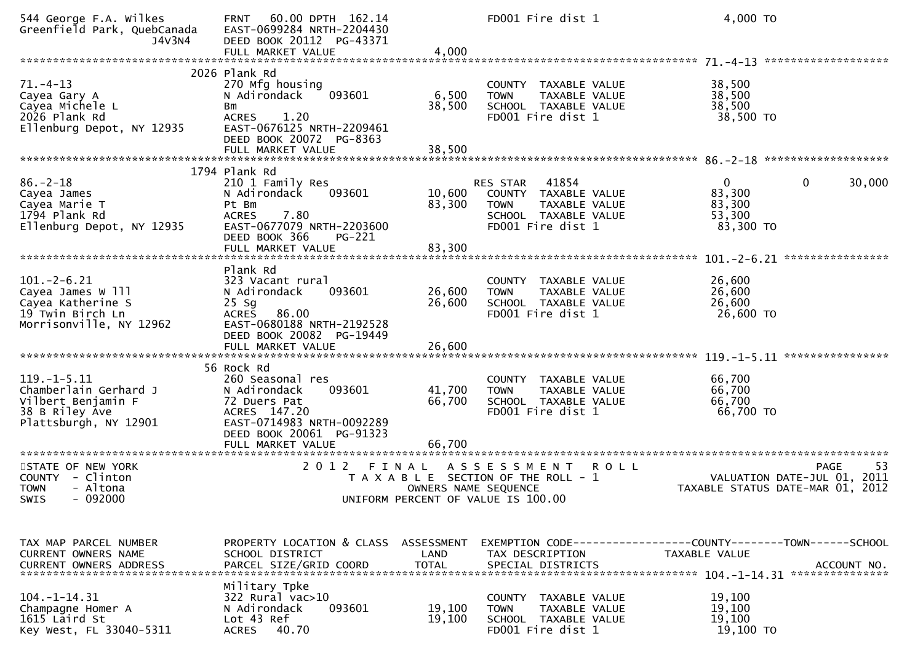| 544 George F.A. Wilkes<br>Greenfield Park, QuebCanada<br>J4V3N4                                             | 60.00 DPTH 162.14<br><b>FRNT</b><br>EAST-0699284 NRTH-2204430<br>DEED BOOK 20112 PG-43371<br>FULL MARKET VALUE                                                               | 4,000                      | FD001 Fire dist 1                                                                                                                         | 4,000 TO                                                  |                                                                                      |
|-------------------------------------------------------------------------------------------------------------|------------------------------------------------------------------------------------------------------------------------------------------------------------------------------|----------------------------|-------------------------------------------------------------------------------------------------------------------------------------------|-----------------------------------------------------------|--------------------------------------------------------------------------------------|
| $71. - 4 - 13$<br>Cayea Gary A<br>Cayea Michele L<br>2026 Plank Rd<br>Ellenburg Depot, NY 12935             | 2026 Plank Rd<br>270 Mfg housing<br>093601<br>N Adirondack<br><b>Bm</b><br>1.20<br><b>ACRES</b><br>EAST-0676125 NRTH-2209461<br>DEED BOOK 20072 PG-8363<br>FULL MARKET VALUE | 6,500<br>38,500<br>38,500  | COUNTY TAXABLE VALUE<br>TAXABLE VALUE<br><b>TOWN</b><br>SCHOOL TAXABLE VALUE<br>FD001 Fire dist 1                                         | 38,500<br>38,500<br>38,500<br>38,500 TO                   |                                                                                      |
| $86. - 2 - 18$<br>Cayea James<br>Cayea Marie T<br>1794 Plank Rd<br>Ellenburg Depot, NY 12935                | 1794 Plank Rd<br>210 1 Family Res<br>093601<br>N Adirondack<br>Pt Bm<br>7.80<br><b>ACRES</b><br>EAST-0677079 NRTH-2203600<br>DEED BOOK 366<br>PG-221<br>FULL MARKET VALUE    | 10,600<br>83,300<br>83,300 | 41854<br><b>RES STAR</b><br>COUNTY TAXABLE VALUE<br>TAXABLE VALUE<br><b>TOWN</b><br>SCHOOL TAXABLE VALUE<br>FD001 Fire dist 1             | $\overline{0}$<br>83,300<br>83,300<br>53,300<br>83,300 TO | 0<br>30,000                                                                          |
| $101 - 2 - 6.21$<br>Cayea James W 111<br>Cayea Katherine S<br>19 Twin Birch Ln<br>Morrisonville, NY 12962   | Plank Rd<br>323 Vacant rural<br>N Adirondack<br>093601<br>$25$ Sg<br>86.00<br><b>ACRES</b><br>EAST-0680188 NRTH-2192528<br>DEED BOOK 20082 PG-19449<br>FULL MARKET VALUE     | 26,600<br>26,600<br>26,600 | TAXABLE VALUE<br><b>COUNTY</b><br>TAXABLE VALUE<br><b>TOWN</b><br>SCHOOL TAXABLE VALUE<br>FD001 Fire dist 1                               | 26,600<br>26,600<br>26,600<br>26,600 TO                   | ****************                                                                     |
| $119. - 1 - 5.11$<br>Chamberlain Gerhard J<br>Vilbert Benjamin F<br>38 B Riley Ave<br>Plattsburgh, NY 12901 | 56 Rock Rd<br>260 Seasonal res<br>093601<br>N Adirondack<br>72 Duers Pat<br>ACRES 147.20<br>EAST-0714983 NRTH-0092289<br>DEED BOOK 20061 PG-91323<br>FULL MARKET VALUE       | 41,700<br>66,700<br>66.700 | COUNTY<br>TAXABLE VALUE<br><b>TOWN</b><br>TAXABLE VALUE<br>SCHOOL TAXABLE VALUE<br>FD001 Fire dist 1                                      | 66,700<br>66,700<br>66,700<br>66,700 TO                   |                                                                                      |
| STATE OF NEW YORK<br>COUNTY - Clinton<br>- Altona<br><b>TOWN</b><br>SWIS<br>$-092000$                       | 2 0 1 2                                                                                                                                                                      | FINAL                      | A S S E S S M E N T<br><b>ROLL</b><br>T A X A B L E SECTION OF THE ROLL - 1<br>OWNERS NAME SEQUENCE<br>UNIFORM PERCENT OF VALUE IS 100.00 |                                                           | <b>PAGE</b><br>53<br>VALUATION DATE-JUL 01, 2011<br>TAXABLE STATUS DATE-MAR 01, 2012 |
| TAX MAP PARCEL NUMBER<br><b>CURRENT OWNERS NAME</b>                                                         | PROPERTY LOCATION & CLASS ASSESSMENT<br>SCHOOL DISTRICT                                                                                                                      | LAND                       | EXEMPTION        CODE-----------------COUNTY-------TOWN------SCHOOL<br>TAX DESCRIPTION                                                    | TAXABLE VALUE                                             |                                                                                      |
| $104. -1 - 14.31$<br>Champagne Homer A<br>1615 Laird St<br>Key West, FL 33040-5311                          | Military Tpke<br>322 Rural vac>10<br>093601<br>N Adirondack<br>Lot 43 Ref<br>40.70<br><b>ACRES</b>                                                                           | 19,100<br>19,100           | COUNTY TAXABLE VALUE<br>TAXABLE VALUE<br><b>TOWN</b><br>SCHOOL TAXABLE VALUE<br>FD001 Fire dist 1                                         | 19,100<br>19,100<br>19,100<br>19,100 TO                   |                                                                                      |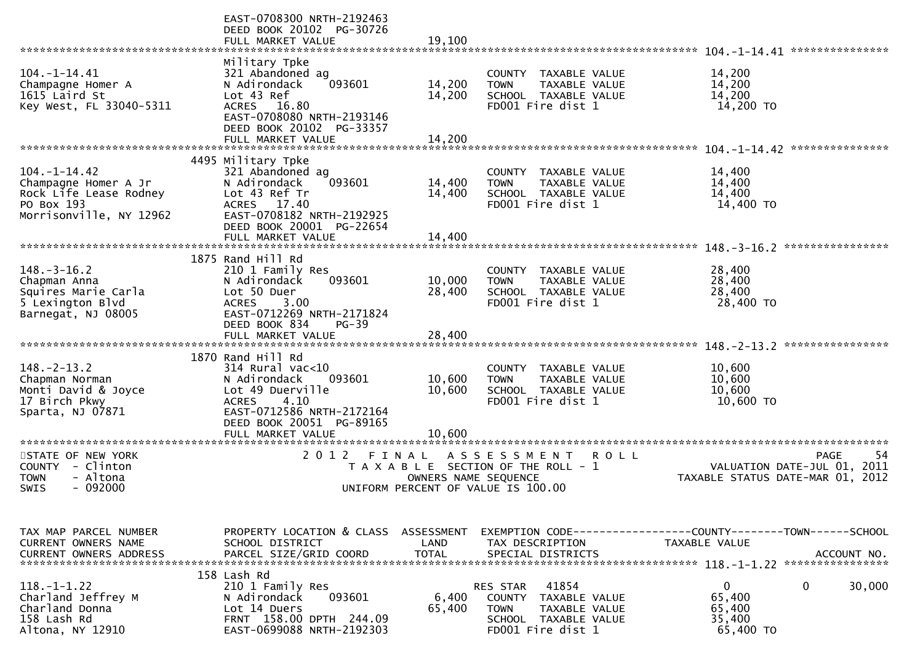|                                                                                                               | EAST-0708300 NRTH-2192463<br>DEED BOOK 20102 PG-30726<br>FULL MARKET VALUE                                                                                                                     | 19,100                     |                                                                                                                                  |                                                                                              |
|---------------------------------------------------------------------------------------------------------------|------------------------------------------------------------------------------------------------------------------------------------------------------------------------------------------------|----------------------------|----------------------------------------------------------------------------------------------------------------------------------|----------------------------------------------------------------------------------------------|
| $104. - 1 - 14.41$<br>Champagne Homer A<br>1615 Laird St<br>Key West, FL 33040-5311                           | Military Tpke<br>321 Abandoned ag<br>093601<br>N Adirondack<br>Lot 43 Ref<br>ACRES 16.80<br>EAST-0708080 NRTH-2193146<br>DEED BOOK 20102 PG-33357<br>FULL MARKET VALUE                         | 14,200<br>14,200<br>14,200 | TAXABLE VALUE<br>COUNTY<br>TAXABLE VALUE<br><b>TOWN</b><br>SCHOOL TAXABLE VALUE<br>FD001 Fire dist 1                             | 14,200<br>14,200<br>14,200<br>14,200 TO<br>***************                                   |
| $104. - 1 - 14.42$<br>Champagne Homer A Jr<br>Rock Life Lease Rodney<br>PO Box 193<br>Morrisonville, NY 12962 | 4495 Military Tpke<br>321 Abandoned ag<br>093601<br>N Adirondack<br>Lot 43 Ref Tr<br>ACRES 17.40<br>EAST-0708182 NRTH-2192925<br>DEED BOOK 20001 PG-22654<br>FULL MARKET VALUE                 | 14,400<br>14,400<br>14,400 | TAXABLE VALUE<br>COUNTY<br>TAXABLE VALUE<br><b>TOWN</b><br>SCHOOL TAXABLE VALUE<br>FD001 Fire dist 1                             | 14,400<br>14,400<br>14,400<br>14,400 TO<br>****************                                  |
| $148. - 3 - 16.2$<br>Chapman Anna<br>Squires Marie Carla<br>5 Lexington Blvd<br>Barnegat, NJ 08005            | 1875 Rand Hill Rd<br>210 1 Family Res<br>N Adirondack<br>093601<br>Lot 50 Duer<br>3.00<br><b>ACRES</b><br>EAST-0712269 NRTH-2171824<br>DEED BOOK 834<br>$PG-39$<br>FULL MARKET VALUE           | 10,000<br>28,400<br>28,400 | TAXABLE VALUE<br>COUNTY<br>TAXABLE VALUE<br><b>TOWN</b><br>SCHOOL TAXABLE VALUE<br>FD001 Fire dist 1                             | 28,400<br>28,400<br>28,400<br>28,400 TO                                                      |
| $148. - 2 - 13.2$<br>Chapman Norman<br>Monti David & Joyce<br>17 Birch Pkwy<br>Sparta, NJ 07871               | 1870 Rand Hill Rd<br>$314$ Rural vac< $10$<br>N Adirondack<br>093601<br>Lot 49 Duerville<br><b>ACRES</b><br>4.10<br>EAST-0712586 NRTH-2172164<br>DEED BOOK 20051 PG-89165<br>FULL MARKET VALUE | 10,600<br>10,600<br>10,600 | COUNTY TAXABLE VALUE<br>TAXABLE VALUE<br><b>TOWN</b><br>SCHOOL TAXABLE VALUE<br>FD001 Fire dist 1                                | 10,600<br>10,600<br>10,600<br>10,600 TO                                                      |
| STATE OF NEW YORK<br>COUNTY - Clinton<br>- Altona<br><b>TOWN</b><br>$-092000$<br>SWIS                         | 2 0 1 2<br>FINAL                                                                                                                                                                               | OWNERS NAME SEQUENCE       | A S S E S S M E N T<br>ROLL<br>T A X A B L E SECTION OF THE ROLL - 1<br>UNIFORM PERCENT OF VALUE IS 100.00                       | -54<br><b>PAGE</b><br>VALUATION DATE-JUL 01,<br>2011<br>TAXABLE STATUS DATE-MAR 01, 2012     |
| TAX MAP PARCEL NUMBER<br>CURRENT OWNERS NAME<br><b>CURRENT OWNERS ADDRESS</b>                                 | PROPERTY LOCATION & CLASS ASSESSMENT<br>SCHOOL DISTRICT<br>PARCEL SIZE/GRID COORD                                                                                                              | LAND<br><b>TOTAL</b>       | TAX DESCRIPTION<br>SPECIAL DISTRICTS                                                                                             | EXEMPTION CODE-----------------COUNTY-------TOWN------SCHOOL<br>TAXABLE VALUE<br>ACCOUNT NO. |
| $118. - 1 - 1.22$<br>Charland Jeffrey M<br>Charland Donna<br>158 Lash Rd<br>Altona, NY 12910                  | 158 Lash Rd<br>210 1 Family Res<br>093601<br>N Adirondack<br>Lot 14 Duers<br>FRNT 158.00 DPTH 244.09<br>EAST-0699088 NRTH-2192303                                                              | 6,400<br>65,400            | 41854<br><b>RES STAR</b><br>COUNTY<br>TAXABLE VALUE<br><b>TOWN</b><br>TAXABLE VALUE<br>SCHOOL TAXABLE VALUE<br>FD001 Fire dist 1 | $\mathbf 0$<br>30,000<br>0<br>65,400<br>65,400<br>35,400<br>65,400 TO                        |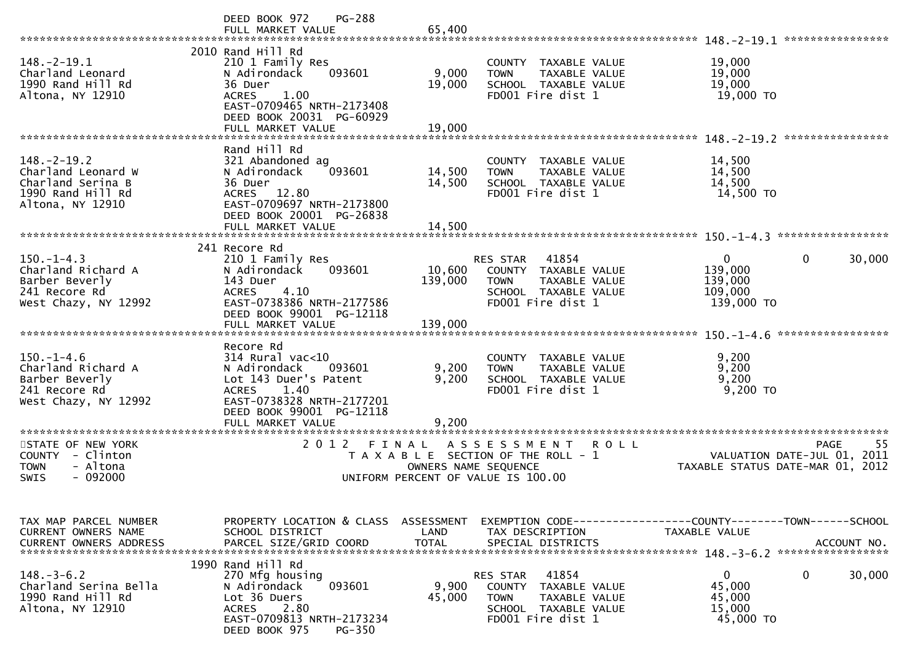|                                                                                                       | PG-288<br>DEED BOOK 972<br>FULL MARKET VALUE                                                                                                                                             | 65,400                                                                                              |                                          |                                                                                             |                                                                              | 148. - 2 - 19. 1 *****************               |
|-------------------------------------------------------------------------------------------------------|------------------------------------------------------------------------------------------------------------------------------------------------------------------------------------------|-----------------------------------------------------------------------------------------------------|------------------------------------------|---------------------------------------------------------------------------------------------|------------------------------------------------------------------------------|--------------------------------------------------|
| $148. - 2 - 19.1$<br>Charland Leonard<br>1990 Rand Hill Rd<br>Altona, NY 12910                        | 2010 Rand Hill Rd<br>210 1 Family Res<br>093601<br>N Adirondack<br>36 Duer<br>1.00<br><b>ACRES</b><br>EAST-0709465 NRTH-2173408<br>DEED BOOK 20031 PG-60929<br>FULL MARKET VALUE         | 9,000<br>19,000<br>19,000                                                                           | <b>TOWN</b>                              | COUNTY TAXABLE VALUE<br><b>TAXABLE VALUE</b><br>SCHOOL TAXABLE VALUE<br>FD001 Fire dist 1   | 19,000<br>19,000<br>19,000<br>19,000 TO                                      |                                                  |
|                                                                                                       |                                                                                                                                                                                          |                                                                                                     |                                          |                                                                                             |                                                                              | ****************                                 |
| $148. - 2 - 19.2$<br>Charland Leonard W<br>Charland Serina B<br>1990 Rand Hill Rd<br>Altona, NY 12910 | Rand Hill Rd<br>321 Abandoned ag<br>093601<br>N Adirondack<br>36 Duer<br>12.80<br><b>ACRES</b><br>EAST-0709697 NRTH-2173800<br>DEED BOOK 20001 PG-26838                                  | 14,500<br>14,500                                                                                    | <b>TOWN</b>                              | COUNTY TAXABLE VALUE<br>TAXABLE VALUE<br>SCHOOL TAXABLE VALUE<br>FD001 Fire dist 1          | 14,500<br>14,500<br>14,500<br>14,500 TO                                      |                                                  |
|                                                                                                       | FULL MARKET VALUE                                                                                                                                                                        | 14,500                                                                                              |                                          |                                                                                             |                                                                              |                                                  |
| $150. - 1 - 4.3$<br>Charland Richard A<br>Barber Beverly<br>241 Recore Rd<br>West Chazy, NY 12992     | 241 Recore Rd<br>210 1 Family Res<br>093601<br>N Adirondack<br>143 Duer<br>4.10<br><b>ACRES</b><br>EAST-0738386 NRTH-2177586<br>DEED BOOK 99001 PG-12118                                 | 10,600<br>139,000                                                                                   | <b>RES STAR</b><br><b>TOWN</b>           | 41854<br>COUNTY TAXABLE VALUE<br>TAXABLE VALUE<br>SCHOOL TAXABLE VALUE<br>FD001 Fire dist 1 | $\mathbf 0$<br>139,000<br>139,000<br>109,000<br>139,000 TO                   | 0<br>30,000                                      |
|                                                                                                       | FULL MARKET VALUE                                                                                                                                                                        | 139,000                                                                                             |                                          |                                                                                             |                                                                              | *****************                                |
| $150.-1-4.6$<br>Charland Richard A<br>Barber Beverly<br>241 Recore Rd<br>West Chazy, NY 12992         | Recore Rd<br>$314$ Rural vac<10<br>N Adirondack<br>093601<br>Lot 143 Duer's Patent<br>1.40<br><b>ACRES</b><br>EAST-0738328 NRTH-2177201<br>DEED BOOK 99001 PG-12118<br>FULL MARKET VALUE | 9,200<br>9,200<br>9,200                                                                             | <b>TOWN</b>                              | COUNTY TAXABLE VALUE<br>TAXABLE VALUE<br>SCHOOL TAXABLE VALUE<br>FD001 Fire dist 1          | 9,200<br>9,200<br>9,200<br>9,200 TO                                          |                                                  |
| ********************                                                                                  | *********************                                                                                                                                                                    |                                                                                                     |                                          |                                                                                             |                                                                              |                                                  |
| STATE OF NEW YORK<br>- Clinton<br><b>COUNTY</b><br>- Altona<br><b>TOWN</b><br>$-092000$<br>SWIS       | 2 0 1 2<br>FINAL                                                                                                                                                                         | T A X A B L E SECTION OF THE ROLL - 1<br>OWNERS NAME SEQUENCE<br>UNIFORM PERCENT OF VALUE IS 100.00 | A S S E S S M E N T                      | <b>ROLL</b>                                                                                 | TAXABLE STATUS DATE-MAR 01, 2012                                             | 55<br><b>PAGE</b><br>VALUATION DATE-JUL 01, 2011 |
| TAX MAP PARCEL NUMBER<br>CURRENT OWNERS NAME<br><b>CURRENT OWNERS ADDRESS</b>                         | PROPERTY LOCATION & CLASS<br>SCHOOL DISTRICT<br>PARCEL SIZE/GRID COORD                                                                                                                   | ASSESSMENT<br>LAND<br><b>TOTAL</b>                                                                  | TAX DESCRIPTION                          | SPECIAL DISTRICTS                                                                           | EXEMPTION CODE-----------------COUNTY-------TOWN-----SCHOOL<br>TAXABLE VALUE | ACCOUNT NO.                                      |
| $148.-3-6.2$<br>Charland Serina Bella<br>1990 Rand Hill Rd<br>Altona, NY 12910                        | 1990 Rand Hill Rd<br>270 Mfg housing<br>093601<br>N Adirondack<br>Lot 36 Duers<br>2.80<br><b>ACRES</b><br>EAST-0709813 NRTH-2173234<br>DEED BOOK 975<br><b>PG-350</b>                    | 9,900<br>45,000                                                                                     | RES STAR<br><b>COUNTY</b><br><b>TOWN</b> | 41854<br>TAXABLE VALUE<br>TAXABLE VALUE<br>SCHOOL TAXABLE VALUE<br>FD001 Fire dist 1        | 0<br>45,000<br>45,000<br>15,000<br>45,000 TO                                 | 0<br>30,000                                      |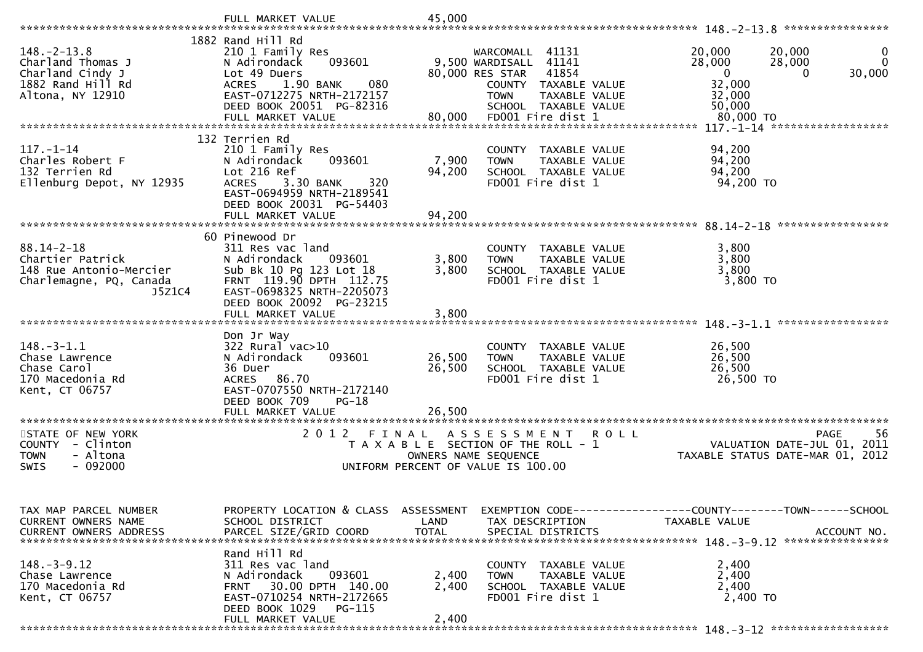|                                              | FULL MARKET VALUE                                             | 45,000         |                                                            |         |                                                              | ****************            |
|----------------------------------------------|---------------------------------------------------------------|----------------|------------------------------------------------------------|---------|--------------------------------------------------------------|-----------------------------|
|                                              | 1882 Rand Hill Rd                                             |                |                                                            |         |                                                              |                             |
| $148. - 2 - 13.8$<br>Charland Thomas J       | 210 1 Family Res<br>093601<br>N Adirondack                    |                | WARCOMALL 41131<br>9,500 WARDISALL<br>41141                |         | 20,000<br>20,000<br>28,000<br>28,000<br>0                    | 0<br>$\mathbf{0}$<br>30,000 |
| Charland Cindy J<br>1882 Rand Hill Rd        | Lot 49 Duers<br>1.90 BANK<br>080<br><b>ACRES</b>              |                | 80,000 RES STAR<br>41854<br>COUNTY TAXABLE VALUE           |         | $\mathbf{0}$<br>32,000                                       |                             |
| Altona, NY 12910                             | EAST-0712275 NRTH-2172157                                     |                | TAXABLE VALUE<br><b>TOWN</b>                               |         | 32,000                                                       |                             |
|                                              | DEED BOOK 20051 PG-82316<br>FULL MARKET VALUE                 | 80,000         | SCHOOL TAXABLE VALUE<br>FD001 Fire dist 1                  |         | 50,000<br>80,000 TO                                          |                             |
|                                              |                                                               |                |                                                            |         | $117. - 1 - 14$                                              | ******************          |
|                                              | 132 Terrien Rd                                                |                |                                                            |         |                                                              |                             |
| $117. - 1 - 14$<br>Charles Robert F          | 210 1 Family Res<br>N Adirondack<br>093601                    | 7,900          | COUNTY TAXABLE VALUE<br>TAXABLE VALUE<br><b>TOWN</b>       |         | 94,200<br>94,200                                             |                             |
| 132 Terrien Rd                               | Lot 216 Ref                                                   | 94,200         | SCHOOL TAXABLE VALUE                                       |         | 94,200                                                       |                             |
| Ellenburg Depot, NY 12935                    | 3.30 BANK<br>320<br><b>ACRES</b><br>EAST-0694959 NRTH-2189541 |                | FD001 Fire dist 1                                          |         | 94,200 TO                                                    |                             |
|                                              | DEED BOOK 20031 PG-54403                                      |                |                                                            |         |                                                              |                             |
|                                              | FULL MARKET VALUE                                             | 94,200         |                                                            |         |                                                              |                             |
|                                              | 60 Pinewood Dr                                                |                |                                                            |         |                                                              | *****************           |
| $88.14 - 2 - 18$                             | 311 Res vac land                                              |                | COUNTY TAXABLE VALUE                                       |         | 3,800                                                        |                             |
| Chartier Patrick<br>148 Rue Antonio-Mercier  | N Adirondack<br>093601<br>Sub Bk 10 Pg 123 Lot 18             | 3,800<br>3,800 | TAXABLE VALUE<br><b>TOWN</b><br>SCHOOL TAXABLE VALUE       |         | 3,800<br>3,800                                               |                             |
| Charlemagne, PQ, Canada                      | FRNT 119.90 DPTH 112.75                                       |                | FD001 Fire dist 1                                          |         | 3,800 TO                                                     |                             |
| J5Z1C4                                       | EAST-0698325 NRTH-2205073                                     |                |                                                            |         |                                                              |                             |
|                                              | DEED BOOK 20092 PG-23215<br>FULL MARKET VALUE                 | 3,800          |                                                            |         |                                                              |                             |
|                                              |                                                               |                |                                                            |         |                                                              |                             |
| $148.-3-1.1$                                 | Don Jr Way<br>$322$ Rural vac $>10$                           |                | COUNTY TAXABLE VALUE                                       |         | 26,500                                                       |                             |
| Chase Lawrence                               | 093601<br>N Adirondack                                        | 26,500         | TAXABLE VALUE<br><b>TOWN</b>                               |         | 26,500                                                       |                             |
| Chase Carol                                  | 36 Duer                                                       | 26,500         | SCHOOL TAXABLE VALUE                                       |         | 26,500                                                       |                             |
| 170 Macedonia Rd<br>Kent, CT 06757           | 86.70<br><b>ACRES</b><br>EAST-0707550 NRTH-2172140            |                | FD001 Fire dist 1                                          |         | 26,500 TO                                                    |                             |
|                                              | DEED BOOK 709<br>$PG-18$                                      |                |                                                            |         |                                                              |                             |
|                                              | FULL MARKET VALUE<br>*********************                    | 26,500         |                                                            |         |                                                              |                             |
| STATE OF NEW YORK                            | 2 0 1 2<br>FINAL                                              |                | A S S E S S M E N T                                        | R O L L |                                                              | 56<br><b>PAGE</b>           |
| <b>COUNTY</b><br>- Clinton                   |                                                               |                | T A X A B L E SECTION OF THE ROLL - 1                      |         | VALUATION DATE-JUL 01, 2011                                  |                             |
| - Altona<br>TOWN<br>$-092000$<br><b>SWIS</b> |                                                               |                | OWNERS NAME SEQUENCE<br>UNIFORM PERCENT OF VALUE IS 100.00 |         | TAXABLE STATUS DATE-MAR 01, 2012                             |                             |
|                                              |                                                               |                |                                                            |         |                                                              |                             |
|                                              |                                                               |                |                                                            |         |                                                              |                             |
| TAX MAP PARCEL NUMBER                        | PROPERTY LOCATION & CLASS ASSESSMENT                          |                |                                                            |         | EXEMPTION CODE-----------------COUNTY--------TOWN-----SCHOOL |                             |
| CURRENT OWNERS NAME                          | SCHOOL DISTRICT                                               | LAND           | TAX DESCRIPTION                                            |         | TAXABLE VALUE                                                |                             |
| <b>CURRENT OWNERS ADDRESS</b>                | PARCEL SIZE/GRID COORD                                        | <b>TOTAL</b>   | SPECIAL DISTRICTS                                          |         |                                                              | ACCOUNT NO.                 |
|                                              | Rand Hill Rd                                                  |                |                                                            |         |                                                              |                             |
| $148. - 3 - 9.12$<br>Chase Lawrence          | 311 Res vac land<br>093601<br>N Adirondack                    | 2,400          | COUNTY TAXABLE VALUE<br><b>TAXABLE VALUE</b><br>TOWN       |         | 2,400<br>2,400                                               |                             |
| 170 Macedonia Rd                             | 30.00 DPTH 140.00<br><b>FRNT</b>                              | 2,400          | SCHOOL TAXABLE VALUE                                       |         | 2,400                                                        |                             |
| Kent, CT 06757                               | EAST-0710254 NRTH-2172665                                     |                | FD001 Fire dist 1                                          |         | 2,400 TO                                                     |                             |
|                                              | DEED BOOK 1029 PG-115<br>FULL MARKET VALUE                    | 2,400          |                                                            |         |                                                              |                             |
|                                              |                                                               |                |                                                            |         |                                                              |                             |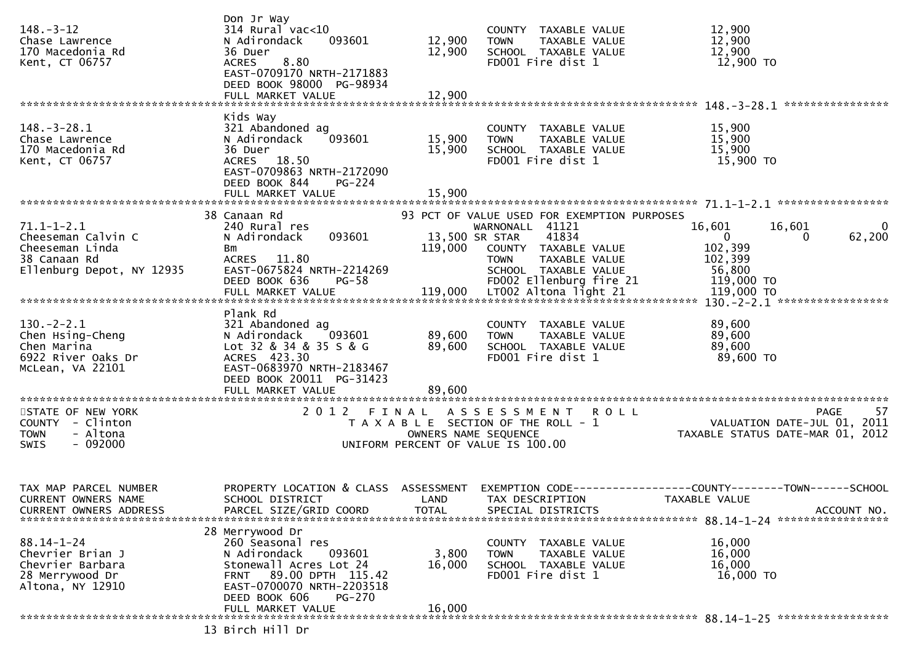| $148. - 3 - 12$<br>Chase Lawrence<br>170 Macedonia Rd<br>Kent, CT 06757                                | Don Jr Way<br>$314$ Rural vac<10<br>N Adirondack<br>093601<br>36 Duer<br><b>ACRES</b><br>8.80<br>EAST-0709170 NRTH-2171883<br>DEED BOOK 98000 PG-98934<br>FULL MARKET VALUE | 12,900<br>12,900<br>12,900  | COUNTY TAXABLE VALUE<br>TAXABLE VALUE<br><b>TOWN</b><br>SCHOOL TAXABLE VALUE<br>FD001 Fire dist 1                                                                                                    | 12,900<br>12,900<br>12,900<br>12,900 TO                                                                   |
|--------------------------------------------------------------------------------------------------------|-----------------------------------------------------------------------------------------------------------------------------------------------------------------------------|-----------------------------|------------------------------------------------------------------------------------------------------------------------------------------------------------------------------------------------------|-----------------------------------------------------------------------------------------------------------|
|                                                                                                        |                                                                                                                                                                             |                             |                                                                                                                                                                                                      |                                                                                                           |
| $148. - 3 - 28.1$<br>Chase Lawrence<br>170 Macedonia Rd<br>Kent, CT 06757                              | Kids Way<br>321 Abandoned ag<br>N Adirondack<br>093601<br>36 Duer<br>ACRES 18.50<br>EAST-0709863 NRTH-2172090<br>DEED BOOK 844<br>$PG-224$<br>FULL MARKET VALUE             | 15,900<br>15,900<br>15,900  | COUNTY TAXABLE VALUE<br>TAXABLE VALUE<br><b>TOWN</b><br>SCHOOL TAXABLE VALUE<br>FD001 Fire dist 1                                                                                                    | 15,900<br>15,900<br>15,900<br>15,900 TO                                                                   |
|                                                                                                        |                                                                                                                                                                             |                             |                                                                                                                                                                                                      |                                                                                                           |
| $71.1 - 1 - 2.1$<br>Cheeseman Calvin C<br>Cheeseman Linda<br>38 Canaan Rd<br>Ellenburg Depot, NY 12935 | 38 Canaan Rd<br>240 Rural res<br>093601<br>N Adirondack<br>Bm<br>ACRES 11.80<br>EAST-0675824 NRTH-2214269<br>DEED BOOK 636<br>$PG-58$                                       | 119,000                     | 93 PCT OF VALUE USED FOR EXEMPTION PURPOSES<br>WARNONALL 41121<br>41834<br>13,500 SR STAR<br>COUNTY TAXABLE VALUE<br>TAXABLE VALUE<br><b>TOWN</b><br>SCHOOL TAXABLE VALUE<br>FD002 Ellenburg fire 21 | 16,601<br>16,601<br>$\bf{0}$<br>62,200<br>$\mathbf{0}$<br>0<br>102,399<br>102,399<br>56,800<br>119,000 TO |
|                                                                                                        | Plank Rd                                                                                                                                                                    |                             |                                                                                                                                                                                                      |                                                                                                           |
| $130 - 2 - 2.1$<br>Chen Hsing-Cheng<br>Chen Marina<br>6922 River Oaks Dr<br>McLean, VA 22101           | 321 Abandoned ag<br>N Adirondack<br>093601<br>Lot 32 & 34 & 35 S & G<br>ACRES 423.30<br>EAST-0683970 NRTH-2183467<br>DEED BOOK 20011 PG-31423                               | 89,600<br>89,600            | COUNTY TAXABLE VALUE<br><b>TOWN</b><br>TAXABLE VALUE<br>SCHOOL TAXABLE VALUE<br>FD001 Fire dist 1                                                                                                    | 89,600<br>89,600<br>89,600<br>89,600 TO                                                                   |
|                                                                                                        |                                                                                                                                                                             |                             |                                                                                                                                                                                                      |                                                                                                           |
| STATE OF NEW YORK<br>COUNTY - Clinton<br><b>TOWN</b><br>- Altona<br>- 092000<br>SWIS                   | 2012<br>FINAL                                                                                                                                                               |                             | ASSESSMENT ROLL<br>T A X A B L E SECTION OF THE ROLL - 1<br>OWNERS NAME SEQUENCE<br>UNIFORM PERCENT OF VALUE IS 100.00                                                                               | 57<br><b>PAGE</b><br>VALUATION DATE-JUL 01, 2011<br>TAXABLE STATUS DATE-MAR 01, 2012                      |
| TAX MAP PARCEL NUMBER<br><b>CURRENT OWNERS NAME</b><br>CURRENT OWNERS ADDRESS                          | PROPERTY LOCATION & CLASS<br>SCHOOL DISTRICT<br>PARCEL SIZE/GRID COORD                                                                                                      | ASSESSMENT<br>LAND<br>TOTAL | EXEMPTION CODE--<br>TAX DESCRIPTION<br>SPECIAL DISTRICTS                                                                                                                                             | -----COUNTY--------TOWN------SCHOOL<br>TAXABLE VALUE<br>ACCOUNT NO.                                       |
|                                                                                                        | 28 Merrywood Dr                                                                                                                                                             |                             |                                                                                                                                                                                                      |                                                                                                           |
| $88.14 - 1 - 24$<br>Chevrier Brian J<br>Chevrier Barbara<br>28 Merrywood Dr<br>Altona, NY 12910        | 260 Seasonal res<br>N Adirondack<br>093601<br>Stonewall Acres Lot 24<br>89.00 DPTH 115.42<br>FRNT<br>EAST-0700070 NRTH-2203518<br>DEED BOOK 606<br>PG-270                   | 3,800<br>16,000             | COUNTY TAXABLE VALUE<br><b>TOWN</b><br>TAXABLE VALUE<br>SCHOOL TAXABLE VALUE<br>FD001 Fire dist 1                                                                                                    | 16,000<br>16,000<br>16,000<br>16,000 TO                                                                   |
|                                                                                                        | FULL MARKET VALUE                                                                                                                                                           | 16,000                      |                                                                                                                                                                                                      |                                                                                                           |
|                                                                                                        | 13 Birch Hill Dr                                                                                                                                                            |                             |                                                                                                                                                                                                      |                                                                                                           |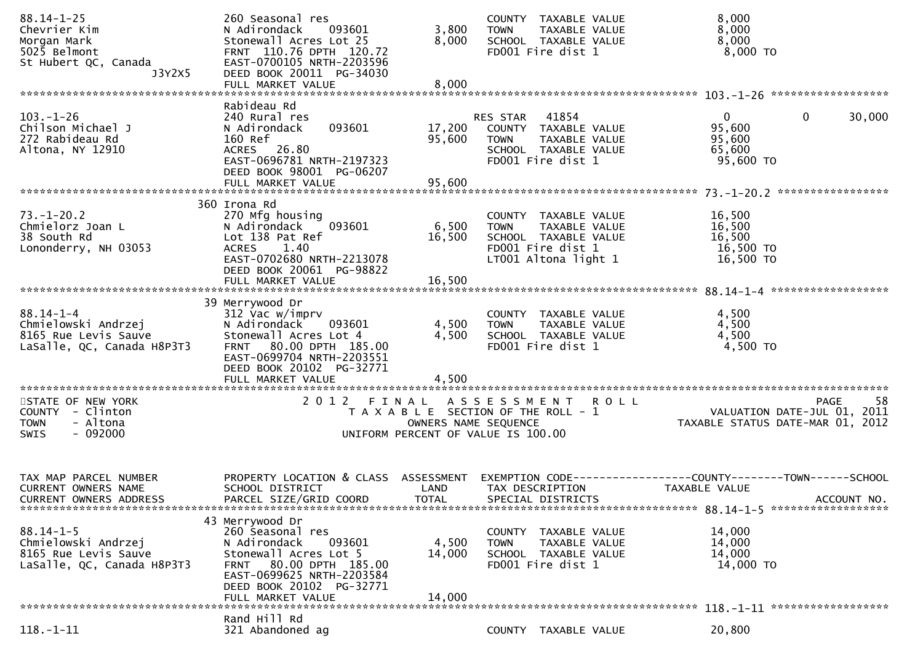| $88.14 - 1 - 25$<br>Chevrier Kim<br>Morgan Mark<br>5025 Belmont<br>St Hubert QC, Canada<br>J3Y2X5 | 260 Seasonal res<br>N Adirondack<br>093601<br>Stonewall Acres Lot 25<br>FRNT 110.76 DPTH 120.72<br>EAST-0700105 NRTH-2203596<br>DEED BOOK 20011 PG-34030                 | 3,800<br>8,000             | COUNTY TAXABLE VALUE<br>TAXABLE VALUE<br><b>TOWN</b><br>SCHOOL TAXABLE VALUE<br>FD001 Fire dist 1                         | 8,000<br>8,000<br>8,000<br>$8,000$ TO                                                          |
|---------------------------------------------------------------------------------------------------|--------------------------------------------------------------------------------------------------------------------------------------------------------------------------|----------------------------|---------------------------------------------------------------------------------------------------------------------------|------------------------------------------------------------------------------------------------|
|                                                                                                   | FULL MARKET VALUE                                                                                                                                                        | 8,000                      |                                                                                                                           |                                                                                                |
| $103. - 1 - 26$<br>Chilson Michael J<br>272 Rabideau Rd<br>Altona, NY 12910                       | Rabideau Rd<br>240 Rural res<br>093601<br>N Adirondack<br>160 Ref<br>ACRES 26.80<br>EAST-0696781 NRTH-2197323<br>DEED BOOK 98001 PG-06207<br>FULL MARKET VALUE           | 17,200<br>95,600<br>95,600 | RES STAR<br>41854<br>COUNTY TAXABLE VALUE<br><b>TOWN</b><br>TAXABLE VALUE<br>SCHOOL TAXABLE VALUE<br>FD001 Fire dist 1    | $\mathbf{0}$<br>30,000<br>0<br>95,600<br>95,600<br>65,600<br>95,600 TO                         |
|                                                                                                   | 360 Irona Rd                                                                                                                                                             |                            |                                                                                                                           |                                                                                                |
| $73. - 1 - 20.2$<br>Chmielorz Joan L<br>38 South Rd<br>Lononderry, NH 03053                       | 270 Mfg housing<br>093601<br>N Adirondack<br>Lot 138 Pat Ref<br>ACRES 1.40<br>EAST-0702680 NRTH-2213078<br>DEED BOOK 20061 PG-98822                                      | 6,500<br>16,500            | COUNTY TAXABLE VALUE<br>TAXABLE VALUE<br><b>TOWN</b><br>SCHOOL TAXABLE VALUE<br>FD001 Fire dist 1<br>LT001 Altona light 1 | 16,500<br>16,500<br>16,500<br>16,500 TO<br>16,500 TO                                           |
|                                                                                                   | FULL MARKET VALUE                                                                                                                                                        | 16,500                     |                                                                                                                           |                                                                                                |
| $88.14 - 1 - 4$<br>Chmielowski Andrzej<br>8165 Rue Levis Sauve<br>LaSalle, QC, Canada H8P3T3      | 39 Merrywood Dr<br>312 Vac w/imprv<br>N Adirondack<br>093601<br>Stonewall Acres Lot 4<br>FRNT 80.00 DPTH 185.00<br>EAST-0699704 NRTH-2203551<br>DEED BOOK 20102 PG-32771 | 4,500<br>4,500             | COUNTY TAXABLE VALUE<br>TAXABLE VALUE<br><b>TOWN</b><br>SCHOOL TAXABLE VALUE<br>FD001 Fire dist 1                         | 4,500<br>4,500<br>4,500<br>4,500 TO                                                            |
|                                                                                                   | FULL MARKET VALUE                                                                                                                                                        | 4,500                      |                                                                                                                           |                                                                                                |
| STATE OF NEW YORK<br>COUNTY - Clinton<br>- Altona<br><b>TOWN</b><br>$-092000$<br><b>SWIS</b>      | 2012 FINAL                                                                                                                                                               | OWNERS NAME SEQUENCE       | A S S E S S M E N T<br><b>ROLL</b><br>T A X A B L E SECTION OF THE ROLL - 1<br>UNIFORM PERCENT OF VALUE IS 100.00         | 58<br>PAGE<br>VALUATION DATE-JUL 01, 2011<br>TAXABLE STATUS DATE-MAR 01, 2012                  |
| TAX MAP PARCEL NUMBER<br>CURRENT OWNERS NAME<br>CURRENT OWNERS ADDRESS                            | PROPERTY LOCATION & CLASS ASSESSMENT<br>SCHOOL DISTRICT<br>PARCEL SIZE/GRID COORD                                                                                        | LAND<br><b>TOTAL</b>       | TAX DESCRIPTION<br>SPECIAL DISTRICTS                                                                                      | EXEMPTION CODE------------------COUNTY--------TOWN------SCHOOL<br>TAXABLE VALUE<br>ACCOUNT NO. |
| $88.14 - 1 - 5$                                                                                   | 43 Merrywood Dr<br>260 Seasonal res                                                                                                                                      |                            | COUNTY TAXABLE VALUE                                                                                                      | 14,000                                                                                         |
| Chmielowski Andrzej<br>8165 Rue Levis Sauve<br>LaSalle, QC, Canada H8P3T3                         | 093601<br>N Adirondack<br>Stonewall Acres Lot 5<br>FRNT 80.00 DPTH 185.00<br>EAST-0699625 NRTH-2203584<br>DEED BOOK 20102 PG-32771<br>FULL MARKET VALUE                  | 4,500<br>14,000<br>14,000  | TAXABLE VALUE<br><b>TOWN</b><br>SCHOOL TAXABLE VALUE<br>FD001 Fire dist 1                                                 | 14,000<br>14,000<br>14,000 TO                                                                  |
|                                                                                                   |                                                                                                                                                                          |                            |                                                                                                                           |                                                                                                |
| $118. - 1 - 11$                                                                                   | Rand Hill Rd<br>321 Abandoned ag                                                                                                                                         |                            | COUNTY TAXABLE VALUE                                                                                                      | 20,800                                                                                         |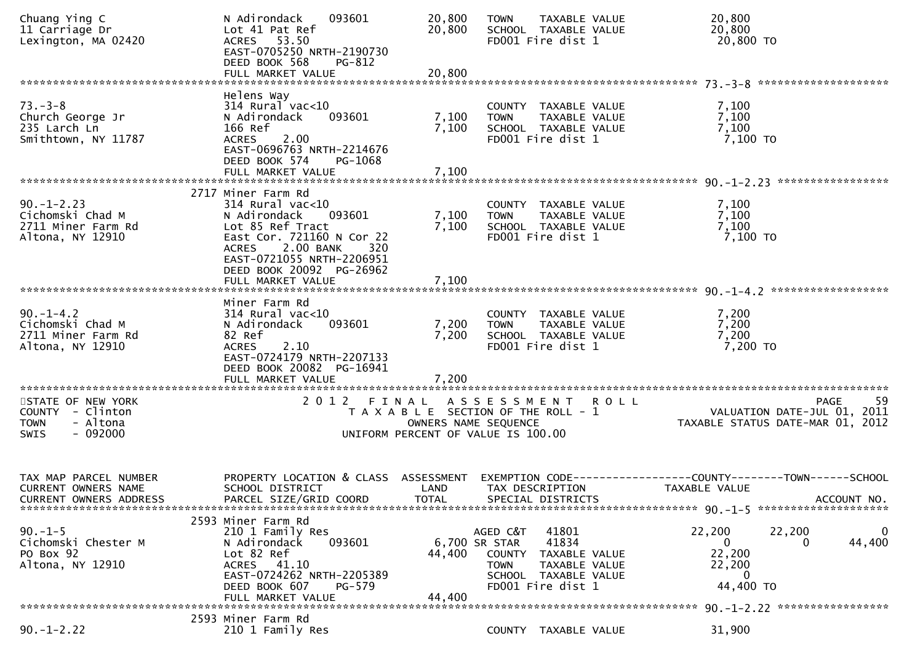| Chuang Ying C<br>11 Carriage Dr<br>Lexington, MA 02420                                       | N Adirondack<br>093601<br>Lot 41 Pat Ref<br>ACRES 53.50<br>EAST-0705250 NRTH-2190730<br>DEED BOOK 568<br>PG-812                                                                                        | 20,800<br>20,800                  | TAXABLE VALUE<br><b>TOWN</b><br>SCHOOL TAXABLE VALUE<br>FD001 Fire dist 1                                                    | 20,800<br>20,800                       | 20,800 TO                                                                           |
|----------------------------------------------------------------------------------------------|--------------------------------------------------------------------------------------------------------------------------------------------------------------------------------------------------------|-----------------------------------|------------------------------------------------------------------------------------------------------------------------------|----------------------------------------|-------------------------------------------------------------------------------------|
|                                                                                              |                                                                                                                                                                                                        |                                   |                                                                                                                              |                                        |                                                                                     |
| $73. - 3 - 8$<br>Church George Jr<br>235 Larch Ln<br>Smithtown, NY 11787                     | Helens Way<br>314 Rural vac<10<br>093601<br>N Adirondack<br>166 Ref<br>2.00<br><b>ACRES</b><br>EAST-0696763 NRTH-2214676<br>DEED BOOK 574<br>PG-1068                                                   | 7,100<br>7,100                    | COUNTY TAXABLE VALUE<br><b>TOWN</b><br>TAXABLE VALUE<br>SCHOOL TAXABLE VALUE<br>FD001 Fire dist 1                            |                                        | 7,100<br>7,100<br>7,100<br>7,100 TO                                                 |
|                                                                                              | FULL MARKET VALUE                                                                                                                                                                                      | 7,100                             |                                                                                                                              |                                        |                                                                                     |
| $90. -1 - 2.23$<br>Cichomski Chad M<br>2711 Miner Farm Rd<br>Altona, NY 12910                | 2717 Miner Farm Rd<br>$314$ Rural vac<10<br>N Adirondack<br>093601<br>Lot 85 Ref Tract<br>East Cor. 721160 N Cor 22<br>ACRES 2.00 BANK<br>320<br>EAST-0721055 NRTH-2206951<br>DEED BOOK 20092 PG-26962 | 7,100<br>7,100                    | COUNTY TAXABLE VALUE<br>TAXABLE VALUE<br><b>TOWN</b><br>SCHOOL TAXABLE VALUE<br>FD001 Fire dist 1                            |                                        | 7,100<br>7,100<br>7,100<br>7,100 TO                                                 |
|                                                                                              |                                                                                                                                                                                                        |                                   |                                                                                                                              |                                        |                                                                                     |
| $90. -1 - 4.2$<br>Cichomski Chad M<br>2711 Miner Farm Rd<br>Altona, NY 12910                 | Miner Farm Rd<br>$314$ Rural vac<10<br>093601<br>N Adirondack<br>82 Ref<br>2.10<br><b>ACRES</b><br>EAST-0724179 NRTH-2207133<br>DEED BOOK 20082 PG-16941<br>FULL MARKET VALUE                          | 7,200<br>7,200<br>7,200           | COUNTY TAXABLE VALUE<br>TAXABLE VALUE<br><b>TOWN</b><br>SCHOOL TAXABLE VALUE<br>FD001 Fire dist 1                            |                                        | 7,200<br>7,200<br>7,200<br>7,200 TO                                                 |
| STATE OF NEW YORK<br>COUNTY - Clinton<br><b>TOWN</b><br>- Altona<br>$-092000$<br><b>SWIS</b> | 2012 FINAL                                                                                                                                                                                             | OWNERS NAME SEQUENCE              | A S S E S S M E N T R O L L<br>T A X A B L E SECTION OF THE ROLL - 1<br>UNIFORM PERCENT OF VALUE IS 100.00                   |                                        | -59<br>PAGE<br>VALUATION DATE-JUL $01$ , $2011$<br>TAXABLE STATUS DATE-MAR 01, 2012 |
| TAX MAP PARCEL NUMBER<br><b>CURRENT OWNERS NAME</b><br>CURRENT OWNERS ADDRESS                | PROPERTY LOCATION & CLASS ASSESSMENT<br>SCHOOL DISTRICT<br>PARCEL SIZE/GRID COORD                                                                                                                      | LAND<br><b>TOTAL</b>              | TAX DESCRIPTION<br>SPECIAL DISTRICTS                                                                                         | <b>TAXABLE VALUE</b>                   | EXEMPTION CODE-----------------COUNTY-------TOWN------SCHOOL<br>ACCOUNT NO.         |
| $90. -1 - 5$<br>Cichomski Chester M<br>PO Box 92<br>Altona, NY 12910                         | 2593 Miner Farm Rd<br>210 1 Family Res<br>093601<br>N Adirondack<br>Lot 82 Ref<br>ACRES 41.10<br>EAST-0724262 NRTH-2205389<br>DEED BOOK 607<br>PG-579<br>FULL MARKET VALUE                             | 6,700 SR STAR<br>44,400<br>44,400 | AGED C&T 41801<br>41834<br>COUNTY TAXABLE VALUE<br>TAXABLE VALUE<br><b>TOWN</b><br>SCHOOL TAXABLE VALUE<br>FD001 Fire dist 1 | 22,200<br>$\Omega$<br>22,200<br>22,200 | 22,200<br>0<br>44,400<br>0<br>44,400 TO                                             |
|                                                                                              | 2593 Miner Farm Rd                                                                                                                                                                                     |                                   |                                                                                                                              |                                        |                                                                                     |
| $90. -1 - 2.22$                                                                              | 210 1 Family Res                                                                                                                                                                                       |                                   | COUNTY TAXABLE VALUE                                                                                                         | 31,900                                 |                                                                                     |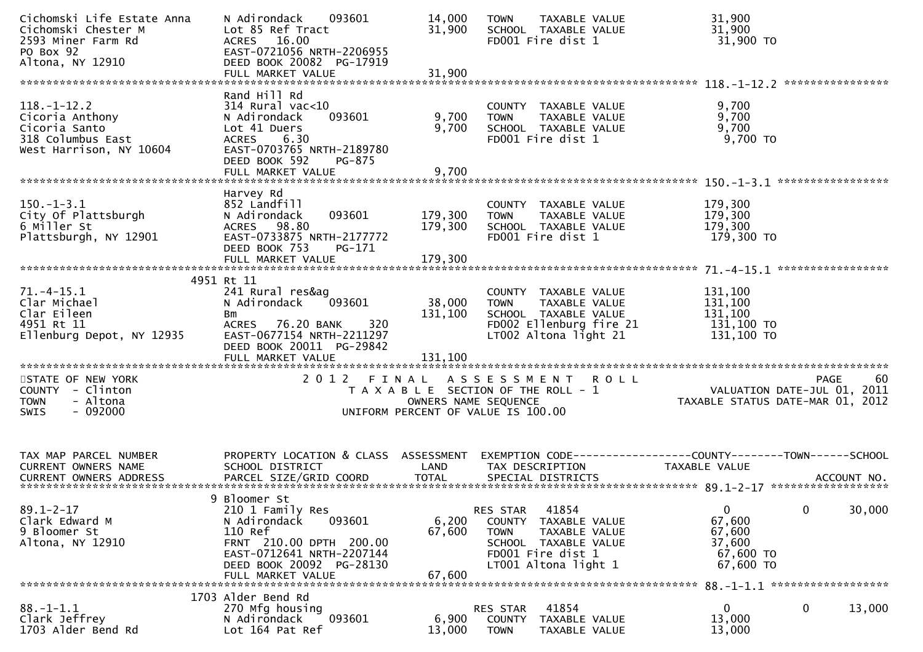| Cichomski Life Estate Anna<br>Cichomski Chester M<br>2593 Miner Farm Rd<br>PO Box 92<br>Altona, NY 12910                    | 093601<br>N Adirondack<br>Lot 85 Ref Tract<br>ACRES 16.00<br>EAST-0721056 NRTH-2206955<br>DEED BOOK 20082 PG-17919<br>FULL MARKET VALUE                                           | 14,000<br>31,900<br>31,900   | TAXABLE VALUE<br><b>TOWN</b><br>SCHOOL TAXABLE VALUE<br>FD001 Fire dist 1                                                                      | 31,900<br>31,900<br>31,900 TO                                                          |
|-----------------------------------------------------------------------------------------------------------------------------|-----------------------------------------------------------------------------------------------------------------------------------------------------------------------------------|------------------------------|------------------------------------------------------------------------------------------------------------------------------------------------|----------------------------------------------------------------------------------------|
| $118. - 1 - 12.2$<br>Cicoria Anthony<br>Cicoria Santo<br>318 Columbus East<br>West Harrison, NY 10604                       | Rand Hill Rd<br>$314$ Rural vac<10<br>093601<br>N Adirondack<br>Lot 41 Duers<br><b>ACRES</b><br>6.30<br>EAST-0703765 NRTH-2189780<br>DEED BOOK 592<br>PG-875<br>FULL MARKET VALUE | 9,700<br>9,700<br>9,700      | COUNTY TAXABLE VALUE<br><b>TOWN</b><br>TAXABLE VALUE<br>SCHOOL TAXABLE VALUE<br>FD001 Fire dist 1                                              | 9,700<br>9,700<br>9,700<br>9,700 TO                                                    |
|                                                                                                                             |                                                                                                                                                                                   |                              |                                                                                                                                                |                                                                                        |
| $150.-1-3.1$<br>City Of Plattsburgh<br>6 Miller St<br>Plattsburgh, NY 12901                                                 | Harvey Rd<br>852 Landfill<br>N Adirondack<br>093601<br>ACRES 98.80<br>EAST-0733875 NRTH-2177772<br>DEED BOOK 753<br>PG-171                                                        | 179,300<br>179,300           | COUNTY TAXABLE VALUE<br>TAXABLE VALUE<br><b>TOWN</b><br>SCHOOL TAXABLE VALUE<br>FD001 Fire dist 1                                              | 179,300<br>179,300<br>179,300<br>179,300 TO                                            |
|                                                                                                                             | 4951 Rt 11                                                                                                                                                                        |                              |                                                                                                                                                |                                                                                        |
| $71. -4 - 15.1$<br>Clar Michael<br>Clar Eileen<br>4951 Rt 11<br>Ellenburg Depot, NY 12935<br>****************************** | 241 Rural res&ag<br>093601<br>N Adirondack<br>Bm<br>320<br>ACRES 76.20 BANK<br>EAST-0677154 NRTH-2211297<br>DEED BOOK 20011 PG-29842<br>FULL MARKET VALUE                         | 38,000<br>131,100<br>131,100 | COUNTY TAXABLE VALUE<br>TAXABLE VALUE<br><b>TOWN</b><br>SCHOOL TAXABLE VALUE<br>FD002 Ellenburg fire 21<br>LT002 Altona light 21               | 131,100<br>131,100<br>131,100<br>131,100 TO<br>131,100 TO                              |
| STATE OF NEW YORK<br>COUNTY - Clinton<br><b>TOWN</b><br>- Altona<br>$-092000$<br><b>SWIS</b>                                | 2012 FINAL                                                                                                                                                                        | OWNERS NAME SEQUENCE         | ASSESSMENT ROLL<br>T A X A B L E SECTION OF THE ROLL - 1<br>UNIFORM PERCENT OF VALUE IS 100.00                                                 | -60<br>PAGE<br>VALUATION DATE-JUL 01, 2011<br>TAXABLE STATUS DATE-MAR 01, 2012         |
| TAX MAP PARCEL NUMBER<br>CURRENT OWNERS NAME                                                                                | PROPERTY LOCATION & CLASS ASSESSMENT<br>SCHOOL DISTRICT                                                                                                                           | LAND                         | TAX DESCRIPTION                                                                                                                                | EXEMPTION CODE------------------COUNTY--------TOWN------SCHOOL<br><b>TAXABLE VALUE</b> |
| $89.1 - 2 - 17$<br>Clark Edward M<br>9 Bloomer St<br>Altona, NY 12910                                                       | 9 Bloomer St<br>210 1 Family Res<br>093601<br>N Adirondack<br>110 Ref<br>FRNT 210.00 DPTH 200.00<br>EAST-0712641 NRTH-2207144<br>DEED BOOK 20092 PG-28130<br>FULL MARKET VALUE    | 6,200<br>67,600<br>67,600    | 41854<br>RES STAR<br>COUNTY TAXABLE VALUE<br><b>TOWN</b><br>TAXABLE VALUE<br>SCHOOL TAXABLE VALUE<br>FD001 Fire dist 1<br>LT001 Altona light 1 | $\mathbf 0$<br>0<br>30,000<br>67,600<br>67,600<br>37,600<br>67,600 TO<br>67,600 TO     |
|                                                                                                                             | 1703 Alder Bend Rd                                                                                                                                                                |                              |                                                                                                                                                |                                                                                        |
| $88. - 1 - 1.1$<br>Clark Jeffrey<br>1703 Alder Bend Rd                                                                      | 270 Mfg housing<br>093601<br>N Adirondack<br>Lot 164 Pat Ref                                                                                                                      | 6,900<br>13,000              | 41854<br>RES STAR<br>COUNTY<br>TAXABLE VALUE<br><b>TOWN</b><br>TAXABLE VALUE                                                                   | $\bf{0}$<br>0<br>13,000<br>13,000<br>13,000                                            |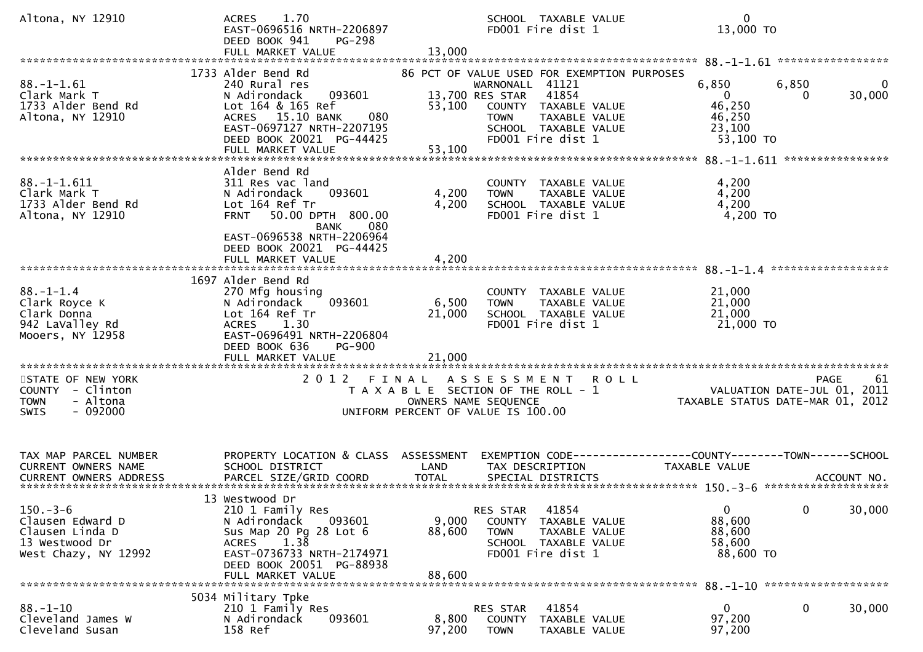| Altona, NY 12910                                                                                                       | 1.70<br><b>ACRES</b><br>EAST-0696516 NRTH-2206897<br>DEED BOOK 941<br><b>PG-298</b><br>FULL MARKET VALUE                                                                                                              | 13,000                    | SCHOOL TAXABLE VALUE<br>FD001 Fire dist 1                                                                                                                                                       | $\mathbf{0}$<br>13,000 TO                                                       |                                                                                         |
|------------------------------------------------------------------------------------------------------------------------|-----------------------------------------------------------------------------------------------------------------------------------------------------------------------------------------------------------------------|---------------------------|-------------------------------------------------------------------------------------------------------------------------------------------------------------------------------------------------|---------------------------------------------------------------------------------|-----------------------------------------------------------------------------------------|
| $88. - 1 - 1.61$<br>Clark Mark T<br>1733 Alder Bend Rd<br>Altona, NY 12910                                             | 1733 Alder Bend Rd<br>240 Rural res<br>093601<br>N Adirondack<br>Lot 164 & 165 Ref<br>ACRES 15.10 BANK<br>080<br>EAST-0697127 NRTH-2207195<br>DEED BOOK 20021 PG-44425<br>FULL MARKET VALUE                           | 53,100<br>53,100          | 86 PCT OF VALUE USED FOR EXEMPTION PURPOSES<br>WARNONALL 41121<br>13,700 RES STAR<br>41854<br>COUNTY TAXABLE VALUE<br>TAXABLE VALUE<br><b>TOWN</b><br>SCHOOL TAXABLE VALUE<br>FD001 Fire dist 1 | 6,850<br>$\overline{0}$<br>46,250<br>46,250<br>23,100<br>53,100 TO              | 88. -1-1.61 ******************<br>6,850<br>$\Omega$<br>30,000<br>0                      |
| $88. - 1 - 1.611$<br>Clark Mark T<br>1733 Alder Bend Rd<br>Altona, NY 12910                                            | Alder Bend Rd<br>311 Res vac land<br>N Adirondack<br>093601<br>Lot 164 Ref Tr<br>50.00 DPTH 800.00<br><b>FRNT</b><br><b>BANK</b><br>080<br>EAST-0696538 NRTH-2206964<br>DEED BOOK 20021 PG-44425<br>FULL MARKET VALUE | 4,200<br>4,200<br>4,200   | COUNTY TAXABLE VALUE<br>TAXABLE VALUE<br><b>TOWN</b><br>SCHOOL TAXABLE VALUE<br>FD001 Fire dist 1                                                                                               | 4,200<br>4,200<br>4,200                                                         | 4,200 TO                                                                                |
| $88. - 1 - 1.4$<br>Clark Royce K<br>Clark Donna<br>942 LaValley Rd<br>Mooers, NY 12958                                 | 1697 Alder Bend Rd<br>270 Mfg housing<br>093601<br>N Adirondack<br>Lot 164 Ref Tr<br><b>ACRES</b><br>1.30<br>EAST-0696491 NRTH-2206804<br>DEED BOOK 636<br><b>PG-900</b>                                              | 6,500<br>21,000           | COUNTY TAXABLE VALUE<br>TAXABLE VALUE<br><b>TOWN</b><br>SCHOOL TAXABLE VALUE<br>FD001 Fire dist 1                                                                                               | 21,000<br>21,000<br>21,000<br>$21,000$ TO                                       |                                                                                         |
| ***********************<br>STATE OF NEW YORK<br>COUNTY - Clinton<br><b>TOWN</b><br>- Altona<br><b>SWIS</b><br>- 092000 | 2012 FINAL                                                                                                                                                                                                            |                           | A S S E S S M E N T<br>T A X A B L E SECTION OF THE ROLL - 1<br>OWNERS NAME SEQUENCE<br>UNIFORM PERCENT OF VALUE IS 100.00                                                                      | R O L L                                                                         | <b>PAGE</b><br>61<br>VALUATION DATE-JUL 01,<br>2011<br>TAXABLE STATUS DATE-MAR 01, 2012 |
| TAX MAP PARCEL NUMBER<br>CURRENT OWNERS NAME                                                                           | PROPERTY LOCATION & CLASS ASSESSMENT<br>SCHOOL DISTRICT                                                                                                                                                               | LAND                      | TAX DESCRIPTION                                                                                                                                                                                 | EXEMPTION CODE------------------COUNTY--------TOWN------SCHOOL<br>TAXABLE VALUE |                                                                                         |
| $150. - 3 - 6$<br>Clausen Edward D<br>Clausen Linda D<br>13 Westwood Dr<br>West Chazy, NY 12992                        | 13 Westwood Dr<br>210 1 Family Res<br>N Adirondack<br>093601<br>Sus Map 20 Pg 28 Lot 6<br>ACRES 1.38<br>EAST-0736733 NRTH-2174971<br>DEED BOOK 20051 PG-88938<br>FULL MARKET VALUE                                    | 9,000<br>88,600<br>88,600 | 41854<br>RES STAR<br>COUNTY TAXABLE VALUE<br>TAXABLE VALUE<br><b>TOWN</b><br>SCHOOL TAXABLE VALUE<br>FD001 Fire dist 1                                                                          | $\mathbf 0$<br>88,600<br>88,600<br>58,600<br>88,600 TO                          | $\mathbf{0}$<br>30,000                                                                  |
| $88. - 1 - 10$<br>Cleveland James W<br>Cleveland Susan                                                                 | 5034 Military Tpke<br>210 1 Family Res<br>093601<br>N Adirondack<br>158 Ref                                                                                                                                           | 8,800<br>97,200           | 41854<br>RES STAR<br>COUNTY<br>TAXABLE VALUE<br><b>TOWN</b><br>TAXABLE VALUE                                                                                                                    | 0<br>97,200<br>97,200                                                           | 0<br>30,000                                                                             |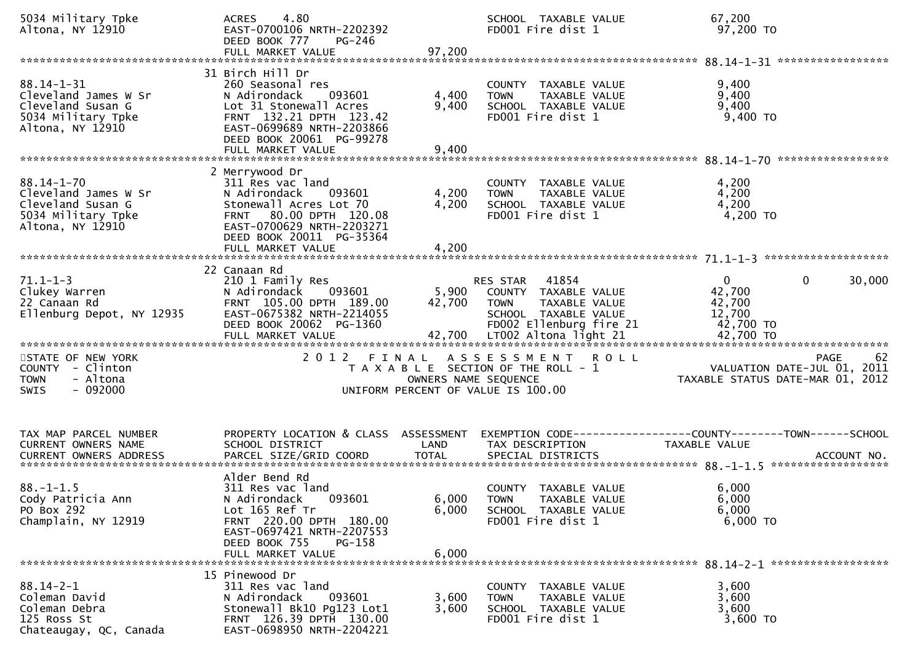| 5034 Military Tpke<br>Altona, NY 12910                                                                  | 4.80<br><b>ACRES</b><br>EAST-0700106 NRTH-2202392<br>DEED BOOK 777<br>PG-246<br>FULL MARKET VALUE                                                                                                 | 97,200                  | SCHOOL TAXABLE VALUE<br>FD001 Fire dist 1                                                                                                                    | 67,200<br>97,200 TO                                                           |                                                                                |
|---------------------------------------------------------------------------------------------------------|---------------------------------------------------------------------------------------------------------------------------------------------------------------------------------------------------|-------------------------|--------------------------------------------------------------------------------------------------------------------------------------------------------------|-------------------------------------------------------------------------------|--------------------------------------------------------------------------------|
| $88.14 - 1 - 31$<br>Cleveland James W Sr<br>Cleveland Susan G<br>5034 Military Tpke<br>Altona, NY 12910 | 31 Birch Hill Dr<br>260 Seasonal res<br>N Adirondack<br>093601<br>Lot 31 Stonewall Acres<br>FRNT 132.21 DPTH 123.42<br>EAST-0699689 NRTH-2203866<br>DEED BOOK 20061 PG-99278<br>FULL MARKET VALUE | 4,400<br>9,400<br>9,400 | COUNTY TAXABLE VALUE<br>TAXABLE VALUE<br><b>TOWN</b><br>SCHOOL TAXABLE VALUE<br>FD001 Fire dist 1                                                            | 9,400<br>9,400<br>9,400<br>$9,400$ TO                                         |                                                                                |
| $88.14 - 1 - 70$<br>Cleveland James W Sr<br>Cleveland Susan G<br>5034 Military Tpke<br>Altona, NY 12910 | 2 Merrywood Dr<br>311 Res vac land<br>N Adirondack<br>093601<br>Stonewall Acres Lot 70<br>FRNT 80.00 DPTH 120.08<br>EAST-0700629 NRTH-2203271<br>DEED BOOK 20011 PG-35364<br>FULL MARKET VALUE    | 4,200<br>4,200<br>4,200 | COUNTY TAXABLE VALUE<br>TAXABLE VALUE<br><b>TOWN</b><br>SCHOOL TAXABLE VALUE<br>FD001 Fire dist 1                                                            | 4,200<br>4,200<br>4,200<br>4,200 TO                                           |                                                                                |
| $71.1 - 1 - 3$<br>Clukey Warren<br>22 Canaan Rd<br>Ellenburg Depot, NY 12935                            | 22 Canaan Rd<br>210 1 Family Res<br>N Adirondack<br>093601<br>FRNT 105.00 DPTH 189.00<br>EAST-0675382 NRTH-2214055<br>DEED BOOK 20062 PG-1360<br>FULL MARKET VALUE                                | 5,900<br>42,700         | 41854<br>RES STAR<br>COUNTY TAXABLE VALUE<br><b>TOWN</b><br>TAXABLE VALUE<br>SCHOOL TAXABLE VALUE<br>FD002 Ellenburg fire 21<br>42,700 LT002 Altona light 21 | $\mathbf{0}$<br>42,700<br>42,700<br>12,700<br>42,700 TO<br>42,700 TO          | 30,000<br>$\mathbf{0}$                                                         |
| STATE OF NEW YORK<br>COUNTY - Clinton<br>- Altona<br><b>TOWN</b><br>$-092000$<br><b>SWIS</b>            |                                                                                                                                                                                                   | OWNERS NAME SEQUENCE    | 2012 FINAL ASSESSMENT<br>T A X A B L E SECTION OF THE ROLL - 1<br>UNIFORM PERCENT OF VALUE IS 100.00                                                         | <b>ROLL</b>                                                                   | -62<br>PAGE<br>VALUATION DATE-JUL 01, 2011<br>TAXABLE STATUS DATE-MAR 01, 2012 |
| TAX MAP PARCEL NUMBER<br>CURRENT OWNERS NAME                                                            | PROPERTY LOCATION & CLASS ASSESSMENT<br>SCHOOL DISTRICT                                                                                                                                           | LAND                    | TAX DESCRIPTION                                                                                                                                              | EXEMPTION CODE-----------------COUNTY-------TOWN------SCHOOL<br>TAXABLE VALUE |                                                                                |
| $88. - 1 - 1.5$<br>Cody Patricia Ann<br>PO Box 292<br>Champlain, NY 12919                               | Alder Bend Rd<br>311 Res vac land<br>093601<br>N Adirondack<br>Lot 165 Ref Tr<br>FRNT 220.00 DPTH 180.00<br>EAST-0697421 NRTH-2207553<br>DEED BOOK 755<br>PG-158<br>FULL MARKET VALUE             | 6,000<br>6,000<br>6,000 | COUNTY TAXABLE VALUE<br><b>TOWN</b><br>TAXABLE VALUE<br>SCHOOL TAXABLE VALUE<br>FD001 Fire dist 1                                                            | 6,000<br>6,000<br>6,000<br>$6,000$ TO                                         |                                                                                |
| $88.14 - 2 - 1$<br>Coleman David<br>Coleman Debra<br>125 Ross St<br>Chateaugay, QC, Canada              | 15 Pinewood Dr<br>311 Res vac land<br>093601<br>N Adirondack<br>Stonewall Bk10 Pg123 Lot1<br>FRNT 126.39 DPTH 130.00<br>EAST-0698950 NRTH-2204221                                                 | 3,600<br>3.600          | COUNTY TAXABLE VALUE<br>TAXABLE VALUE<br>TOWN<br>SCHOOL TAXABLE VALUE<br>FD001 Fire dist 1                                                                   | 3,600<br>3,600<br>3,600<br>3,600 TO                                           |                                                                                |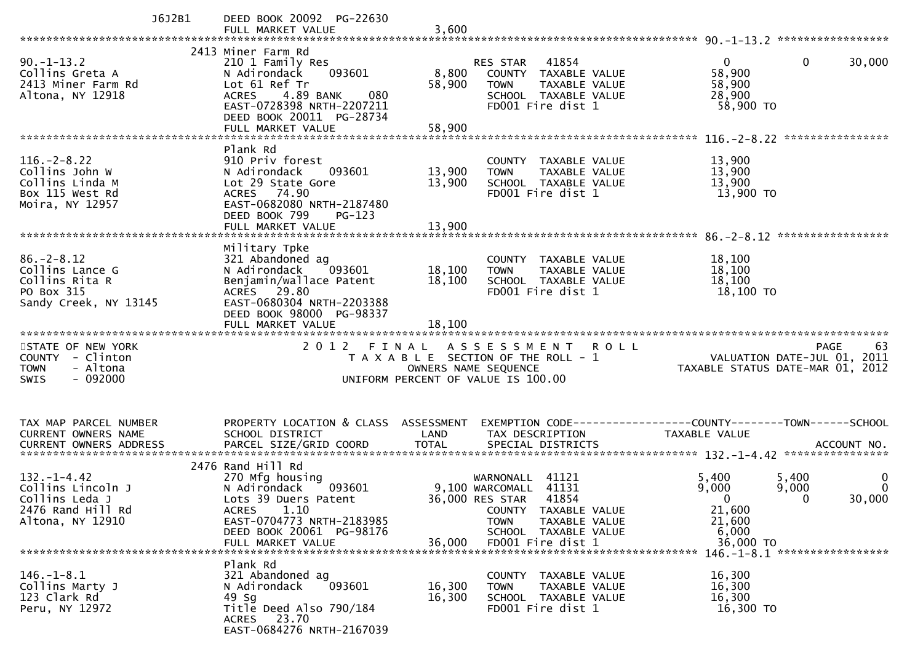| J6J2B1                                                                                            | DEED BOOK 20092 PG-22630<br>FULL MARKET VALUE                                                                                                                                                | 3,600                                                      |                                                                                                                                                        |                                                                                                                                   |
|---------------------------------------------------------------------------------------------------|----------------------------------------------------------------------------------------------------------------------------------------------------------------------------------------------|------------------------------------------------------------|--------------------------------------------------------------------------------------------------------------------------------------------------------|-----------------------------------------------------------------------------------------------------------------------------------|
|                                                                                                   |                                                                                                                                                                                              |                                                            |                                                                                                                                                        |                                                                                                                                   |
| $90. -1 - 13.2$<br>Collins Greta A<br>2413 Miner Farm Rd<br>Altona, NY 12918                      | 2413 Miner Farm Rd<br>210 1 Family Res<br>N Adirondack<br>093601<br>Lot 61 Ref Tr<br>4.89 BANK<br>080<br><b>ACRES</b><br>EAST-0728398 NRTH-2207211<br>DEED BOOK 20011 PG-28734               | 8,800<br>58,900                                            | 41854<br>RES STAR<br>COUNTY TAXABLE VALUE<br>TAXABLE VALUE<br><b>TOWN</b><br>SCHOOL TAXABLE VALUE<br>FD001 Fire dist 1                                 | $\Omega$<br>0<br>30,000<br>58,900<br>58,900<br>28,900<br>58,900 TO                                                                |
|                                                                                                   |                                                                                                                                                                                              |                                                            |                                                                                                                                                        |                                                                                                                                   |
| $116. - 2 - 8.22$<br>Collins John W<br>Collins Linda M<br>Box 115 West Rd<br>Moira, NY 12957      | Plank Rd<br>910 Priv forest<br>N Adirondack<br>093601<br>Lot 29 State Gore<br>ACRES 74.90<br>EAST-0682080 NRTH-2187480<br>DEED BOOK 799<br>PG-123                                            | 13,900<br>13,900                                           | COUNTY TAXABLE VALUE<br>TAXABLE VALUE<br><b>TOWN</b><br>SCHOOL TAXABLE VALUE<br>FD001 Fire dist 1                                                      | 13,900<br>13,900<br>13,900<br>13,900 TO                                                                                           |
|                                                                                                   | FULL MARKET VALUE                                                                                                                                                                            | 13,900                                                     |                                                                                                                                                        |                                                                                                                                   |
|                                                                                                   |                                                                                                                                                                                              |                                                            |                                                                                                                                                        |                                                                                                                                   |
| $86. - 2 - 8.12$<br>Collins Lance G<br>Collins Rita R<br>PO Box 315<br>Sandy Creek, NY 13145      | Military Tpke<br>321 Abandoned ag<br>093601<br>N Adirondack<br>Benjamin/wallace Patent<br>ACRES 29.80<br>EAST-0680304 NRTH-2203388<br>DEED BOOK 98000 PG-98337<br>FULL MARKET VALUE          | 18,100<br>18,100<br>18,100                                 | COUNTY TAXABLE VALUE<br>TAXABLE VALUE<br><b>TOWN</b><br>SCHOOL TAXABLE VALUE<br>FD001 Fire dist 1                                                      | 18,100<br>18,100<br>18,100<br>18,100 TO                                                                                           |
|                                                                                                   |                                                                                                                                                                                              |                                                            |                                                                                                                                                        |                                                                                                                                   |
| STATE OF NEW YORK<br>COUNTY - Clinton<br>- Altona<br><b>TOWN</b><br>$-092000$<br><b>SWIS</b>      | 2012 FINAL                                                                                                                                                                                   | OWNERS NAME SEQUENCE<br>UNIFORM PERCENT OF VALUE IS 100.00 | A S S E S S M E N T<br><b>ROLL</b><br>T A X A B L E SECTION OF THE ROLL - 1                                                                            | 63<br><b>PAGE</b><br>VALUATION DATE-JUL 01,<br>2011<br>TAXABLE STATUS DATE-MAR 01, 2012                                           |
| TAX MAP PARCEL NUMBER                                                                             | PROPERTY LOCATION & CLASS ASSESSMENT                                                                                                                                                         |                                                            |                                                                                                                                                        |                                                                                                                                   |
| CURRENT OWNERS NAME                                                                               | SCHOOL DISTRICT                                                                                                                                                                              | LAND                                                       | TAX DESCRIPTION                                                                                                                                        | TAXABLE VALUE                                                                                                                     |
|                                                                                                   |                                                                                                                                                                                              |                                                            |                                                                                                                                                        |                                                                                                                                   |
| $132. - 1 - 4.42$<br>Collins Lincoln J<br>Collins Leda J<br>2476 Rand Hill Rd<br>Altona, NY 12910 | 2476 Rand Hill Rd<br>270 Mfg housing<br>N Adirondack<br>093601<br>Lots 39 Duers Patent<br>1.10<br><b>ACRES</b><br>EAST-0704773 NRTH-2183985<br>DEED BOOK 20061 PG-98176<br>FULL MARKET VALUE | 36,000 RES STAR<br>36,000                                  | WARNONALL 41121<br>9,100 WARCOMALL 41131<br>41854<br>COUNTY TAXABLE VALUE<br><b>TOWN</b><br>TAXABLE VALUE<br>SCHOOL TAXABLE VALUE<br>FD001 Fire dist 1 | 5,400<br>5,400<br>$\bf{0}$<br>9,000<br>9,000<br>$\mathbf{0}$<br>30,000<br>$\Omega$<br>0<br>21,600<br>21,600<br>6,000<br>36,000 TO |
|                                                                                                   |                                                                                                                                                                                              |                                                            |                                                                                                                                                        | 146. -1-8.1 *******************                                                                                                   |
| $146. - 1 - 8.1$<br>Collins Marty J<br>123 Clark Rd<br>Peru, NY 12972                             | Plank Rd<br>321 Abandoned ag<br>N Adirondack<br>093601<br>49 Sg<br>Title Deed Also 790/184<br>ACRES 23.70<br>EAST-0684276 NRTH-2167039                                                       | 16,300<br>16,300                                           | COUNTY TAXABLE VALUE<br>TAXABLE VALUE<br><b>TOWN</b><br>SCHOOL TAXABLE VALUE<br>FD001 Fire dist 1                                                      | 16,300<br>16,300<br>16,300<br>16,300 TO                                                                                           |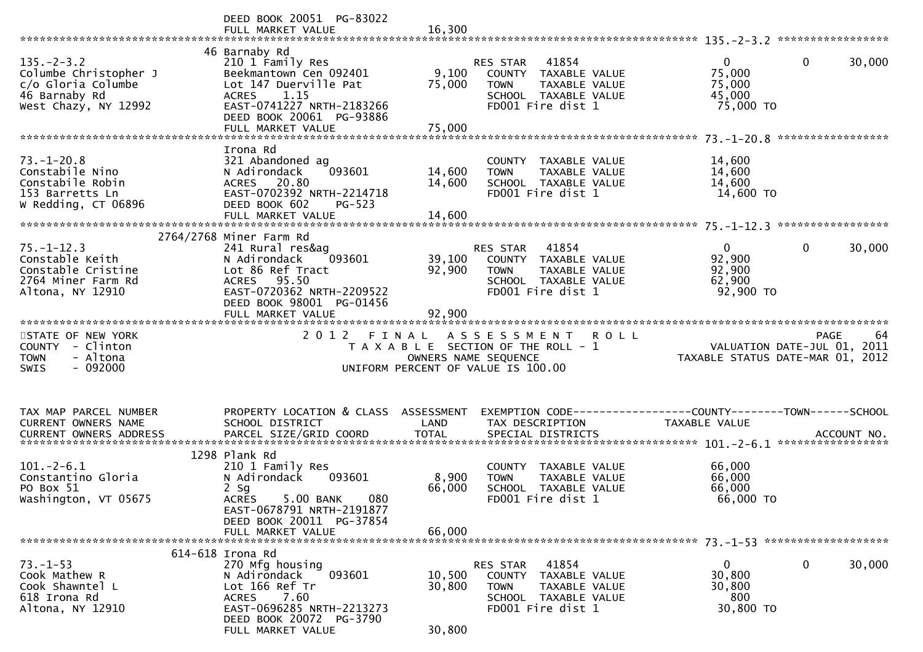|                                                                                                          | DEED BOOK 20051 PG-83022<br>FULL MARKET VALUE                                                                                                                                              | 16,300                             |                                                                                                                                  | *****************                                                                    |
|----------------------------------------------------------------------------------------------------------|--------------------------------------------------------------------------------------------------------------------------------------------------------------------------------------------|------------------------------------|----------------------------------------------------------------------------------------------------------------------------------|--------------------------------------------------------------------------------------|
| $135. - 2 - 3.2$<br>Columbe Christopher J<br>c/o Gloria Columbe<br>46 Barnaby Rd<br>West Chazy, NY 12992 | 46 Barnaby Rd<br>210 1 Family Res<br>Beekmantown Cen 092401<br>Lot 147 Duerville Pat<br>1.15<br><b>ACRES</b><br>EAST-0741227 NRTH-2183266<br>DEED BOOK 20061 PG-93886<br>FULL MARKET VALUE | 9,100<br>75,000<br>75,000          | 41854<br><b>RES STAR</b><br>TAXABLE VALUE<br>COUNTY<br><b>TOWN</b><br>TAXABLE VALUE<br>SCHOOL TAXABLE VALUE<br>FD001 Fire dist 1 | $\overline{0}$<br>$\mathbf{0}$<br>30,000<br>75,000<br>75,000<br>45,000<br>75,000 TO  |
| $73. - 1 - 20.8$                                                                                         | Irona Rd<br>321 Abandoned ag                                                                                                                                                               |                                    | COUNTY TAXABLE VALUE                                                                                                             | *****************<br>14,600                                                          |
| Constabile Nino<br>Constabile Robin<br>153 Barretts Ln<br>W Redding, CT 06896                            | 093601<br>N Adirondack<br>20.80<br><b>ACRES</b><br>EAST-0702392 NRTH-2214718<br>DEED BOOK 602<br>PG-523                                                                                    | 14,600<br>14,600                   | TAXABLE VALUE<br><b>TOWN</b><br>SCHOOL TAXABLE VALUE<br>FD001 Fire dist 1                                                        | 14,600<br>14,600<br>14,600 TO                                                        |
|                                                                                                          |                                                                                                                                                                                            |                                    |                                                                                                                                  |                                                                                      |
| $75. - 1 - 12.3$<br>Constable Keith<br>Constable Cristine<br>2764 Miner Farm Rd<br>Altona, NY 12910      | 2764/2768 Miner Farm Rd<br>241 Rural res&ag<br>N Adirondack<br>093601<br>Lot 86 Ref Tract<br>ACRES 95.50<br>EAST-0720362 NRTH-2209522<br>DEED BOOK 98001 PG-01456                          | 39,100<br>92,900                   | 41854<br><b>RES STAR</b><br>COUNTY TAXABLE VALUE<br><b>TOWN</b><br>TAXABLE VALUE<br>SCHOOL TAXABLE VALUE<br>FD001 Fire dist 1    | $\mathbf{0}$<br>$\mathbf 0$<br>30,000<br>92,900<br>92,900<br>62,900<br>92,900 TO     |
|                                                                                                          | FULL MARKET VALUE                                                                                                                                                                          | 92,900                             |                                                                                                                                  |                                                                                      |
|                                                                                                          |                                                                                                                                                                                            |                                    |                                                                                                                                  |                                                                                      |
| STATE OF NEW YORK<br>COUNTY - Clinton<br>- Altona<br><b>TOWN</b><br>$-092000$<br><b>SWIS</b>             | 2 0 1 2<br>FINAL                                                                                                                                                                           | OWNERS NAME SEQUENCE               | ASSESSMENT<br><b>ROLL</b><br>T A X A B L E SECTION OF THE ROLL - 1<br>UNIFORM PERCENT OF VALUE IS 100.00                         | <b>PAGE</b><br>64<br>VALUATION DATE-JUL 01, 2011<br>TAXABLE STATUS DATE-MAR 01, 2012 |
| TAX MAP PARCEL NUMBER<br>CURRENT OWNERS NAME<br><b>CURRENT OWNERS ADDRESS</b>                            | PROPERTY LOCATION & CLASS<br>SCHOOL DISTRICT<br>PARCEL SIZE/GRID COORD                                                                                                                     | ASSESSMENT<br>LAND<br><b>TOTAL</b> | TAX DESCRIPTION<br>SPECIAL DISTRICTS                                                                                             | TAXABLE VALUE<br>ACCOUNT NO.<br>*****************                                    |
|                                                                                                          | 1298 Plank Rd                                                                                                                                                                              |                                    |                                                                                                                                  |                                                                                      |
| $101. -2 - 6.1$<br>Constantino Gloria<br>PO Box 51<br>Washington, VT 05675                               | 210 1 Family Res<br>N Adirondack<br>093601<br>$2$ Sg<br>080<br>5.00 BANK<br><b>ACRES</b><br>EAST-0678791 NRTH-2191877                                                                      | 8,900<br>66,000                    | COUNTY TAXABLE VALUE<br>TAXABLE VALUE<br><b>TOWN</b><br>SCHOOL TAXABLE VALUE<br>FD001 Fire dist 1                                | 66,000<br>66,000<br>66,000<br>66,000 TO                                              |
|                                                                                                          | DEED BOOK 20011 PG-37854<br>FULL MARKET VALUE                                                                                                                                              | 66,000                             |                                                                                                                                  |                                                                                      |
|                                                                                                          | 614-618 Irona Rd                                                                                                                                                                           |                                    |                                                                                                                                  |                                                                                      |
| $73. - 1 - 53$<br>Cook Mathew R<br>Cook Shawntel L<br>618 Irona Rd<br>Altona, NY 12910                   | 270 Mfg housing<br>093601<br>N Adirondack<br>Lot 166 Ref Tr<br>7.60<br><b>ACRES</b><br>EAST-0696285 NRTH-2213273<br>DEED BOOK 20072 PG-3790<br>FULL MARKET VALUE                           | 10,500<br>30,800<br>30,800         | RES STAR<br>41854<br>COUNTY TAXABLE VALUE<br><b>TOWN</b><br>TAXABLE VALUE<br>SCHOOL TAXABLE VALUE<br>FD001 Fire dist 1           | $\mathbf 0$<br>30,000<br>$\mathbf{0}$<br>30,800<br>30,800<br>800<br>30,800 TO        |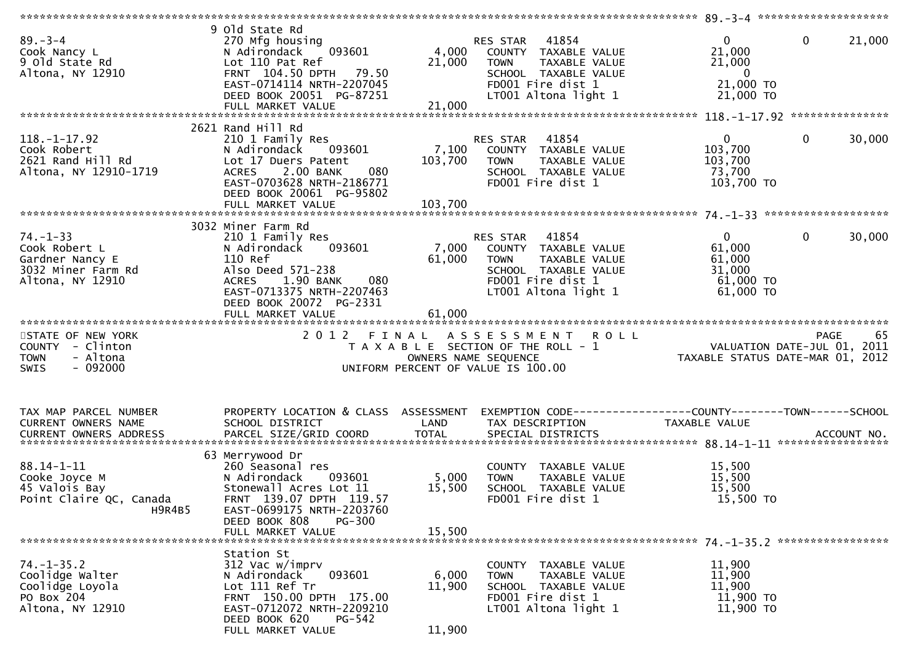| $89 - 3 - 4$<br>Cook Nancy L<br>9 Old State Rd<br>Altona, NY 12910                           | 9 old State Rd<br>270 Mfg housing<br>093601<br>N Adirondack<br>Lot 110 Pat Ref<br>FRNT 104.50 DPTH 79.50<br>EAST-0714114 NRTH-2207045<br>DEED BOOK 20051 PG-87251                        | 4,000<br>21,000           | 41854<br>RES STAR<br>COUNTY TAXABLE VALUE<br><b>TAXABLE VALUE</b><br>TOWN<br>SCHOOL TAXABLE VALUE<br>FD001 Fire dist 1<br>LT001 Altona light 1 | $\mathbf{0}$<br>21,000<br>21,000<br>$\overline{\phantom{0}}$<br>21,000 TO<br>21,000 TO | 0<br>21,000           |
|----------------------------------------------------------------------------------------------|------------------------------------------------------------------------------------------------------------------------------------------------------------------------------------------|---------------------------|------------------------------------------------------------------------------------------------------------------------------------------------|----------------------------------------------------------------------------------------|-----------------------|
|                                                                                              | 2621 Rand Hill Rd                                                                                                                                                                        |                           |                                                                                                                                                |                                                                                        |                       |
| $118. - 1 - 17.92$<br>Cook Robert<br>2621 Rand Hill Rd<br>Altona, NY 12910-1719              | 210 1 Family Res<br>093601<br>N Adirondack<br>Lot 17 Duers Patent<br>2.00 BANK<br>080<br><b>ACRES</b><br>EAST-0703628 NRTH-2186771<br>DEED BOOK 20061 PG-95802                           | 7,100<br>103,700          | 41854<br>RES STAR<br>COUNTY TAXABLE VALUE<br><b>TOWN</b><br>TAXABLE VALUE<br>SCHOOL TAXABLE VALUE<br>FD001 Fire dist 1                         | $\mathbf{0}$<br>103,700<br>103,700<br>73,700<br>103,700 TO                             | $\mathbf 0$<br>30,000 |
|                                                                                              | 3032 Miner Farm Rd                                                                                                                                                                       |                           |                                                                                                                                                |                                                                                        |                       |
| $74. - 1 - 33$<br>Cook Robert L<br>Gardner Nancy E<br>3032 Miner Farm Rd<br>Altona, NY 12910 | 210 1 Family Res<br>093601<br>N Adirondack<br>110 Ref<br>Also Deed 571-238<br>ACRES 1.90 BANK<br>080<br>EAST-0713375 NRTH-2207463<br>DEED BOOK 20072 PG-2331<br>FULL MARKET VALUE        | 7,000<br>61,000<br>61,000 | RES STAR<br>41854<br>COUNTY TAXABLE VALUE<br>TAXABLE VALUE<br><b>TOWN</b><br>SCHOOL TAXABLE VALUE<br>FD001 Fire dist 1<br>LT001 Altona light 1 | $\mathbf{0}$<br>61,000<br>61,000<br>31,000<br>61,000 TO<br>61,000 TO                   | $\mathbf 0$<br>30,000 |
|                                                                                              |                                                                                                                                                                                          |                           |                                                                                                                                                |                                                                                        |                       |
| STATE OF NEW YORK<br>COUNTY - Clinton<br><b>TOWN</b><br>- Altona<br>$-092000$<br>SWIS        | 2012 FINAL                                                                                                                                                                               |                           | <b>ROLL</b><br>A S S E S S M E N T<br>T A X A B L E SECTION OF THE ROLL - 1<br>OWNERS NAME SEQUENCE<br>UNIFORM PERCENT OF VALUE IS 100.00      | VALUATION DATE-JUL 01, 2011<br>TAXABLE STATUS DATE-MAR 01, 2012                        | 65<br><b>PAGE</b>     |
| TAX MAP PARCEL NUMBER<br>CURRENT OWNERS NAME                                                 | PROPERTY LOCATION & CLASS ASSESSMENT<br>SCHOOL DISTRICT                                                                                                                                  | LAND                      | TAX DESCRIPTION                                                                                                                                | TAXABLE VALUE                                                                          |                       |
|                                                                                              | 63 Merrywood Dr                                                                                                                                                                          |                           |                                                                                                                                                |                                                                                        |                       |
| $88.14 - 1 - 11$<br>Cooke Joyce M<br>45 Valois Bay<br>Point Claire QC, Canada<br>H9R4B5      | 260 Seasonal res<br>N Adirondack<br>093601<br>Stonewall Acres Lot 11<br>FRNT 139.07 DPTH 119.57<br>EAST-0699175 NRTH-2203760<br>DEED BOOK 808<br>$PG-300$                                | 5,000<br>15,500           | COUNTY TAXABLE VALUE<br>TAXABLE VALUE<br>TOWN<br>SCHOOL TAXABLE VALUE<br>FD001 Fire dist 1                                                     | 15,500<br>15,500<br>15,500<br>15,500 TO                                                |                       |
|                                                                                              | FULL MARKET VALUE                                                                                                                                                                        | 15,500                    |                                                                                                                                                |                                                                                        |                       |
|                                                                                              |                                                                                                                                                                                          |                           |                                                                                                                                                |                                                                                        |                       |
| $74. - 1 - 35.2$<br>Coolidge Walter<br>Coolidge Loyola<br>PO Box 204<br>Altona, NY 12910     | Station St<br>312 Vac w/imprv<br>093601<br>N Adirondack<br>Lot 111 Ref Tr<br>FRNT 150.00 DPTH 175.00<br>EAST-0712072 NRTH-2209210<br>DEED BOOK 620<br><b>PG-542</b><br>FULL MARKET VALUE | 6,000<br>11,900<br>11,900 | COUNTY TAXABLE VALUE<br>TAXABLE VALUE<br><b>TOWN</b><br>SCHOOL TAXABLE VALUE<br>FD001 Fire dist 1<br>LT001 Altona light 1                      | 11,900<br>11,900<br>11,900<br>11,900 TO<br>11,900 TO                                   |                       |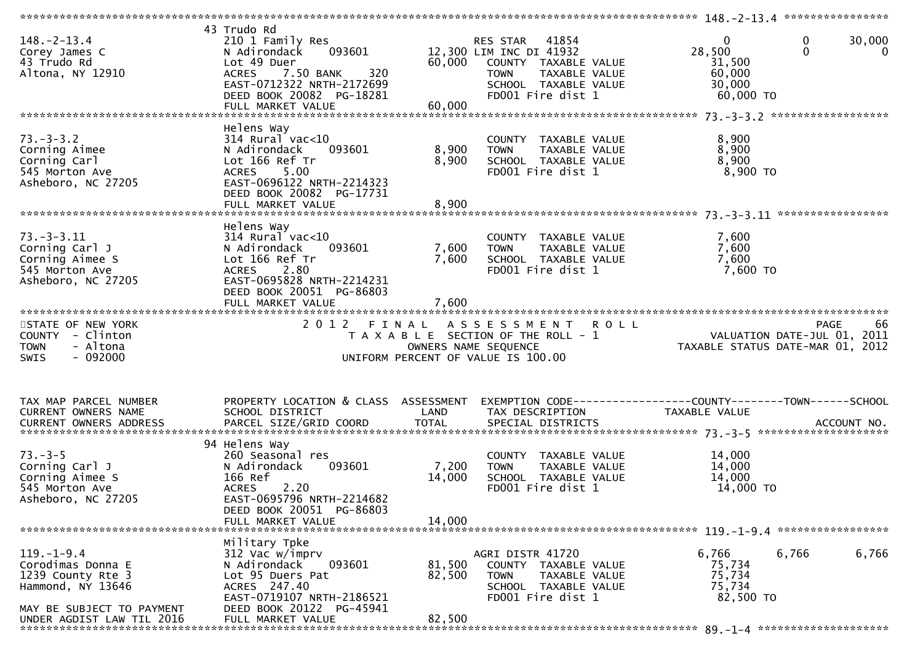| $148. - 2 - 13.4$<br>Corey James C<br>43 Trudo Rd<br>Altona, NY 12910                                        | 43 Trudo Rd<br>210 1 Family Res<br>093601<br>N Adirondack<br>Lot 49 Duer<br>320<br><b>ACRES</b><br>7.50 BANK<br>EAST-0712322 NRTH-2172699<br>DEED BOOK 20082 PG-18281              | 60,000                    | RES STAR<br>41854<br>12,300 LIM INC DI 41932<br>COUNTY TAXABLE VALUE<br>TAXABLE VALUE<br><b>TOWN</b><br>SCHOOL TAXABLE VALUE<br>FD001 Fire dist 1 | $\mathbf{0}$<br>28,500<br>31,500<br>60,000<br>30,000<br>60,000 TO             | 0<br>30,000<br>$\Omega$<br>$\Omega$                                                  |
|--------------------------------------------------------------------------------------------------------------|------------------------------------------------------------------------------------------------------------------------------------------------------------------------------------|---------------------------|---------------------------------------------------------------------------------------------------------------------------------------------------|-------------------------------------------------------------------------------|--------------------------------------------------------------------------------------|
| $73. - 3 - 3.2$<br>Corning Aimee<br>Corning Carl<br>545 Morton Ave<br>Asheboro, NC 27205                     | Helens Way<br>$314$ Rural vac<10<br>093601<br>N Adirondack<br>Lot 166 Ref Tr<br>5.00<br><b>ACRES</b><br>EAST-0696122 NRTH-2214323<br>DEED BOOK 20082 PG-17731                      | 8,900<br>8,900            | COUNTY TAXABLE VALUE<br>TAXABLE VALUE<br><b>TOWN</b><br>SCHOOL TAXABLE VALUE<br>FD001 Fire dist 1                                                 | 8,900<br>8,900<br>8,900<br>$8,900$ TO                                         |                                                                                      |
| $73. - 3 - 3.11$<br>Corning Carl J<br>Corning Aimee S<br>545 Morton Ave<br>Asheboro, NC 27205                | Helens Way<br>$314$ Rural vac<10<br>N Adirondack<br>093601<br>Lot 166 Ref Tr<br>2.80<br><b>ACRES</b><br>EAST-0695828 NRTH-2214231<br>DEED BOOK 20051 PG-86803<br>FULL MARKET VALUE | 7,600<br>7,600<br>7,600   | COUNTY TAXABLE VALUE<br><b>TOWN</b><br>TAXABLE VALUE<br>SCHOOL TAXABLE VALUE<br>FD001 Fire dist 1                                                 | 7,600<br>7,600<br>7,600<br>7,600 TO                                           |                                                                                      |
| STATE OF NEW YORK<br>COUNTY - Clinton<br><b>TOWN</b><br>- Altona<br>$-092000$<br><b>SWIS</b>                 | 2 0 1 2<br>FINAL                                                                                                                                                                   | OWNERS NAME SEQUENCE      | A S S E S S M E N T<br><b>ROLL</b><br>T A X A B L E SECTION OF THE ROLL - 1<br>UNIFORM PERCENT OF VALUE IS 100.00                                 |                                                                               | 66<br><b>PAGE</b><br>VALUATION DATE-JUL 01, 2011<br>TAXABLE STATUS DATE-MAR 01, 2012 |
| TAX MAP PARCEL NUMBER<br>CURRENT OWNERS NAME<br>CURRENT OWNERS ADDRESS                                       | PROPERTY LOCATION & CLASS ASSESSMENT<br>SCHOOL DISTRICT<br>PARCEL SIZE/GRID COORD                                                                                                  | LAND<br><b>TOTAL</b>      | TAX DESCRIPTION<br>SPECIAL DISTRICTS                                                                                                              | EXEMPTION CODE-----------------COUNTY-------TOWN------SCHOOL<br>TAXABLE VALUE | ACCOUNT NO.                                                                          |
| $73. - 3 - 5$<br>Corning Carl J<br>Corning Aimee S<br>545 Morton Ave<br>Asheboro, NC 27205                   | 94 Helens Way<br>260 Seasonal res<br>N Adirondack<br>093601<br>166 Ref<br>2.20<br><b>ACRES</b><br>EAST-0695796 NRTH-2214682<br>DEED BOOK 20051 PG-86803                            | 7,200<br>14,000<br>14,000 | COUNTY TAXABLE VALUE<br>TAXABLE VALUE<br><b>TOWN</b><br>SCHOOL TAXABLE VALUE<br>FD001 Fire dist 1                                                 | 14,000<br>14,000<br>14,000<br>14,000 TO                                       |                                                                                      |
|                                                                                                              | FULL MARKET VALUE                                                                                                                                                                  |                           |                                                                                                                                                   |                                                                               |                                                                                      |
| $119. - 1 - 9.4$<br>Corodimas Donna E<br>1239 County Rte 3<br>Hammond, NY 13646<br>MAY BE SUBJECT TO PAYMENT | Military Tpke<br>312 Vac w/imprv<br>N Adirondack<br>093601<br>Lot 95 Duers Pat<br>ACRES 247.40<br>EAST-0719107 NRTH-2186521<br>DEED BOOK 20122 PG-45941                            | 81,500<br>82,500          | AGRI DISTR 41720<br>COUNTY TAXABLE VALUE<br>TAXABLE VALUE<br>TOWN<br>SCHOOL TAXABLE VALUE<br>FD001 Fire dist 1                                    | 6,766<br>75,734<br>75,734<br>75,734<br>82,500 TO                              | 6,766<br>6,766                                                                       |
| UNDER AGDIST LAW TIL 2016                                                                                    | FULL MARKET VALUE                                                                                                                                                                  | 82,500                    |                                                                                                                                                   |                                                                               |                                                                                      |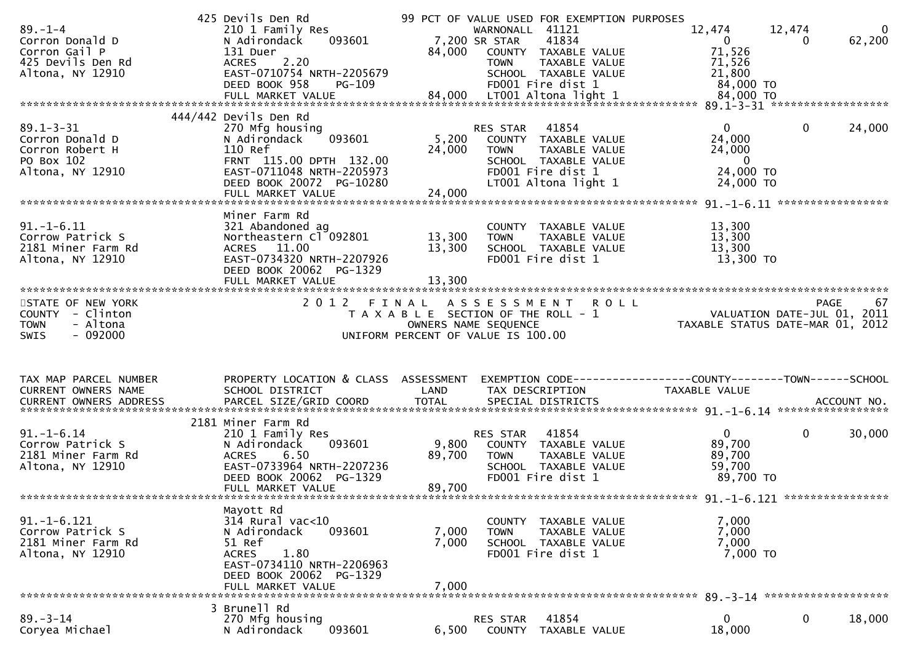| $89. - 1 - 4$<br>Corron Donald D<br>Corron Gail P<br>425 Devils Den Rd<br>Altona, NY 12910<br>$89.1 - 3 - 31$<br>Corron Donald D<br>Corron Robert H<br>PO Box 102<br>Altona, NY 12910 | 425 Devils Den Rd<br>210 1 Family Res<br>093601<br>N Adirondack<br>131 Duer<br><b>ACRES</b><br>2.20<br>EAST-0710754 NRTH-2205679<br>DEED BOOK 958<br><b>PG-109</b><br>444/442 Devils Den Rd<br>270 Mfg housing<br>093601<br>N Adirondack<br>110 Ref<br>FRNT 115.00 DPTH 132.00<br>EAST-0711048 NRTH-2205973<br>DEED BOOK 20072 PG-10280<br>FULL MARKET VALUE | 5,200<br>24,000<br>24,000  | 99 PCT OF VALUE USED FOR EXEMPTION PURPOSES<br>WARNONALL 41121<br>7,200 SR STAR<br>41834<br>84,000 COUNTY TAXABLE VALUE<br>TAXABLE VALUE<br><b>TOWN</b><br>SCHOOL TAXABLE VALUE<br>FD001 Fire dist 1<br>41854<br>RES STAR<br>COUNTY TAXABLE VALUE<br><b>TOWN</b><br>TAXABLE VALUE<br>SCHOOL TAXABLE VALUE<br>FD001 Fire dist 1<br>LT001 Altona light 1 | 12,474<br>12,474<br>0<br>$\Omega$<br>71,526<br>71,526<br>21,800<br>84,000 TO<br>$\Omega$<br>$\Omega$<br>24,000<br>24,000<br>$\overline{0}$<br>24,000 TO<br>24,000 TO | $\Omega$<br>62,200<br>24,000 |
|---------------------------------------------------------------------------------------------------------------------------------------------------------------------------------------|--------------------------------------------------------------------------------------------------------------------------------------------------------------------------------------------------------------------------------------------------------------------------------------------------------------------------------------------------------------|----------------------------|--------------------------------------------------------------------------------------------------------------------------------------------------------------------------------------------------------------------------------------------------------------------------------------------------------------------------------------------------------|----------------------------------------------------------------------------------------------------------------------------------------------------------------------|------------------------------|
| $91.-1-6.11$<br>Corrow Patrick S<br>2181 Miner Farm Rd<br>Altona, NY 12910                                                                                                            | Miner Farm Rd<br>321 Abandoned ag<br>Northeastern Cl 092801<br>ACRES 11.00<br>EAST-0734320 NRTH-2207926<br>DEED BOOK 20062 PG-1329<br>FULL MARKET VALUE                                                                                                                                                                                                      | 13,300<br>13,300<br>13,300 | COUNTY TAXABLE VALUE<br><b>TOWN</b><br>TAXABLE VALUE<br>SCHOOL TAXABLE VALUE<br>FD001 Fire dist 1                                                                                                                                                                                                                                                      | 13,300<br>13,300<br>13,300<br>13,300 TO                                                                                                                              |                              |
| STATE OF NEW YORK<br>COUNTY - Clinton<br>- Altona<br><b>TOWN</b><br>$-092000$<br><b>SWIS</b>                                                                                          |                                                                                                                                                                                                                                                                                                                                                              |                            | 2012 FINAL ASSESSMENT ROLL<br>T A X A B L E SECTION OF THE ROLL - 1<br>OWNERS NAME SEQUENCE<br>UNIFORM PERCENT OF VALUE IS 100.00                                                                                                                                                                                                                      | PAGE<br>VALUATION DATE-JUL 01, 2011<br>TAXABLE STATUS DATE-MAR 01, 2012                                                                                              | 67                           |
| TAX MAP PARCEL NUMBER<br>CURRENT OWNERS NAME                                                                                                                                          | PROPERTY LOCATION & CLASS ASSESSMENT<br>SCHOOL DISTRICT                                                                                                                                                                                                                                                                                                      | LAND                       | TAX DESCRIPTION                                                                                                                                                                                                                                                                                                                                        | EXEMPTION CODE------------------COUNTY--------TOWN------SCHOOL<br>TAXABLE VALUE                                                                                      |                              |
|                                                                                                                                                                                       |                                                                                                                                                                                                                                                                                                                                                              |                            |                                                                                                                                                                                                                                                                                                                                                        |                                                                                                                                                                      |                              |
| $91. - 1 - 6.14$<br>Corrow Patrick S<br>2181 Miner Farm Rd<br>Altona, NY 12910                                                                                                        | 2181 Miner Farm Rd<br>210 1 Family Res<br>093601<br>N Adirondack<br><b>ACRES</b><br>6.50<br>EAST-0733964 NRTH-2207236<br>DEED BOOK 20062 PG-1329<br>FULL MARKET VALUE                                                                                                                                                                                        | 9,800<br>89,700<br>89,700  | 41854<br>RES STAR<br>COUNTY TAXABLE VALUE<br><b>TOWN</b><br>TAXABLE VALUE<br>SCHOOL TAXABLE VALUE<br>FD001 Fire dist 1                                                                                                                                                                                                                                 | $\mathbf 0$<br>$\mathbf{0}$<br>89,700<br>89,700<br>59,700<br>89,700 TO                                                                                               | 30,000                       |
| $91. - 1 - 6.121$<br>Corrow Patrick S<br>2181 Miner Farm Rd<br>Altona, NY 12910                                                                                                       | Mayott Rd<br>$314$ Rural vac<10<br>093601<br>N Adirondack<br>51 Ref<br>1.80<br><b>ACRES</b><br>EAST-0734110 NRTH-2206963<br>DEED BOOK 20062 PG-1329<br>FULL MARKET VALUE                                                                                                                                                                                     | 7,000<br>7,000<br>7,000    | COUNTY TAXABLE VALUE<br>TAXABLE VALUE<br><b>TOWN</b><br>SCHOOL TAXABLE VALUE<br>FD001 Fire dist 1                                                                                                                                                                                                                                                      | 7,000<br>7,000<br>7,000<br>7,000 TO                                                                                                                                  |                              |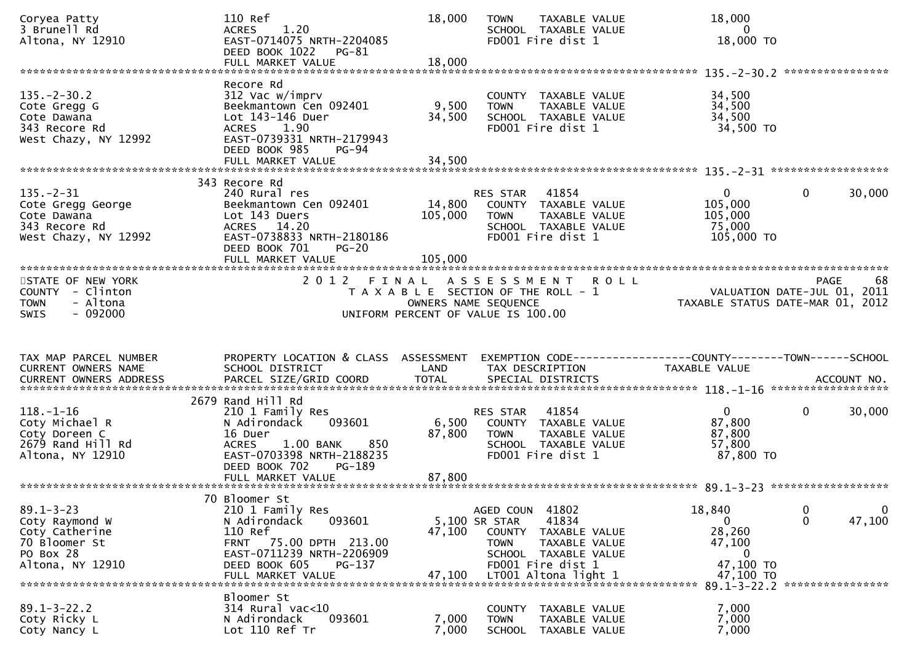| Coryea Patty<br>3 Brunell Rd<br>Altona, NY 12910                                                      | 110 Ref<br>1.20<br><b>ACRES</b><br>EAST-0714075 NRTH-2204085<br>DEED BOOK 1022<br>PG-81<br>FULL MARKET VALUE                                                                  | 18,000<br>18,000                                                                                             | <b>TOWN</b>                                                      | TAXABLE VALUE<br>SCHOOL TAXABLE VALUE<br>FD001 Fire dist 1                                                   |             | 18,000<br>$\mathbf{0}$<br>18,000 TO                                                  |                             |                          |
|-------------------------------------------------------------------------------------------------------|-------------------------------------------------------------------------------------------------------------------------------------------------------------------------------|--------------------------------------------------------------------------------------------------------------|------------------------------------------------------------------|--------------------------------------------------------------------------------------------------------------|-------------|--------------------------------------------------------------------------------------|-----------------------------|--------------------------|
|                                                                                                       |                                                                                                                                                                               |                                                                                                              |                                                                  |                                                                                                              |             |                                                                                      |                             |                          |
| $135. - 2 - 30.2$<br>Cote Gregg G<br>Cote Dawana<br>343 Recore Rd<br>West Chazy, NY 12992             | Recore Rd<br>312 Vac w/imprv<br>Beekmantown Cen 092401<br>Lot 143-146 Duer<br>ACRES 1.90<br>EAST-0739331 NRTH-2179943<br>DEED BOOK 985<br><b>PG-94</b><br>FULL MARKET VALUE   | 9,500<br>34,500<br>34,500                                                                                    | <b>TOWN</b>                                                      | COUNTY TAXABLE VALUE<br>TAXABLE VALUE<br>SCHOOL TAXABLE VALUE<br>FD001 Fire dist 1                           |             | 34,500<br>34,500<br>34,500<br>34,500 TO                                              |                             |                          |
|                                                                                                       |                                                                                                                                                                               |                                                                                                              |                                                                  |                                                                                                              |             |                                                                                      |                             |                          |
| $135. - 2 - 31$<br>Cote Gregg George<br>Cote Dawana<br>343 Recore Rd<br>West Chazy, NY 12992          | 343 Recore Rd<br>240 Rural res<br>Beekmantown Cen 092401<br>Lot 143 Duers<br>ACRES 14.20<br>EAST-0738833 NRTH-2180186<br>DEED BOOK 701<br>$PG-20$<br>FULL MARKET VALUE        | 14,800<br>105,000<br>105,000                                                                                 | RES STAR<br><b>TOWN</b>                                          | 41854<br>COUNTY TAXABLE VALUE<br>TAXABLE VALUE<br>SCHOOL TAXABLE VALUE<br>FD001 Fire dist 1                  |             | $\mathbf{0}$<br>105,000<br>105,000<br>75,000<br>105,000 TO                           | 0                           | 30,000                   |
|                                                                                                       |                                                                                                                                                                               |                                                                                                              |                                                                  |                                                                                                              |             |                                                                                      |                             |                          |
| STATE OF NEW YORK<br>COUNTY - Clinton<br>- Altona<br><b>TOWN</b><br>$-092000$<br><b>SWIS</b>          | 2012                                                                                                                                                                          | FINAL<br>T A X A B L E SECTION OF THE ROLL - 1<br>OWNERS NAME SEQUENCE<br>UNIFORM PERCENT OF VALUE IS 100.00 | A S S E S S M E N T                                              |                                                                                                              | <b>ROLL</b> | VALUATION DATE-JUL 01, 2011<br>TAXABLE STATUS DATE-MAR 01, 2012                      |                             | 68<br>PAGE               |
|                                                                                                       |                                                                                                                                                                               |                                                                                                              |                                                                  |                                                                                                              |             |                                                                                      |                             |                          |
| TAX MAP PARCEL NUMBER<br>CURRENT OWNERS NAME<br><b>CURRENT OWNERS ADDRESS</b>                         | PROPERTY LOCATION & CLASS ASSESSMENT<br>SCHOOL DISTRICT<br>PARCEL SIZE/GRID COORD                                                                                             | LAND<br><b>TOTAL</b>                                                                                         |                                                                  | TAX DESCRIPTION<br>SPECIAL DISTRICTS                                                                         |             | EXEMPTION CODE-----------------COUNTY-------TOWN------SCHOOL<br><b>TAXABLE VALUE</b> |                             | ACCOUNT NO.              |
|                                                                                                       |                                                                                                                                                                               |                                                                                                              |                                                                  |                                                                                                              |             |                                                                                      |                             |                          |
| $118. - 1 - 16$<br>Coty Michael R<br>Coty Doreen C<br>2679 Rand Hill Rd<br>Altona, NY 12910           | 2679 Rand Hill Rd<br>210 1 Family Res<br>093601<br>N Adirondack<br>16 Duer<br>1.00 BANK<br>850<br><b>ACRES</b><br>EAST-0703398 NRTH-2188235<br>DEED BOOK 702<br>PG-189        | 6,500<br>87,800                                                                                              | RES STAR<br><b>TOWN</b>                                          | 41854<br>COUNTY TAXABLE VALUE<br>TAXABLE VALUE<br>SCHOOL TAXABLE VALUE<br>FD001 Fire dist 1                  |             | $\Omega$<br>87,800<br>87,800<br>57,800<br>87,800 TO                                  | $\mathbf 0$                 | 30,000                   |
|                                                                                                       | FULL MARKET VALUE                                                                                                                                                             | 87,800                                                                                                       |                                                                  |                                                                                                              |             |                                                                                      |                             |                          |
|                                                                                                       |                                                                                                                                                                               |                                                                                                              |                                                                  |                                                                                                              |             |                                                                                      |                             |                          |
| $89.1 - 3 - 23$<br>Coty Raymond W<br>Coty Catherine<br>70 Bloomer St<br>PO Box 28<br>Altona, NY 12910 | 70 Bloomer St<br>210 1 Family Res<br>N Adirondack<br>093601<br>110 Ref<br>FRNT 75.00 DPTH 213.00<br>EAST-0711239 NRTH-2206909<br>DEED BOOK 605<br>PG-137<br>FULL MARKET VALUE | 47,100<br>47,100                                                                                             | AGED COUN 41802<br>5,100 SR STAR<br><b>COUNTY</b><br><b>TOWN</b> | 41834<br>TAXABLE VALUE<br>TAXABLE VALUE<br>SCHOOL TAXABLE VALUE<br>FD001 Fire dist 1<br>LT001 Altona light 1 |             | 18,840<br>$\mathbf 0$<br>28,260<br>47,100<br>0<br>47,100 TO<br>47,100 TO             | $\mathbf 0$<br>$\mathbf{0}$ | $\overline{0}$<br>47,100 |
|                                                                                                       | Bloomer St                                                                                                                                                                    |                                                                                                              |                                                                  |                                                                                                              |             | $89.1 - 3 - 22.2$                                                                    |                             | ****************         |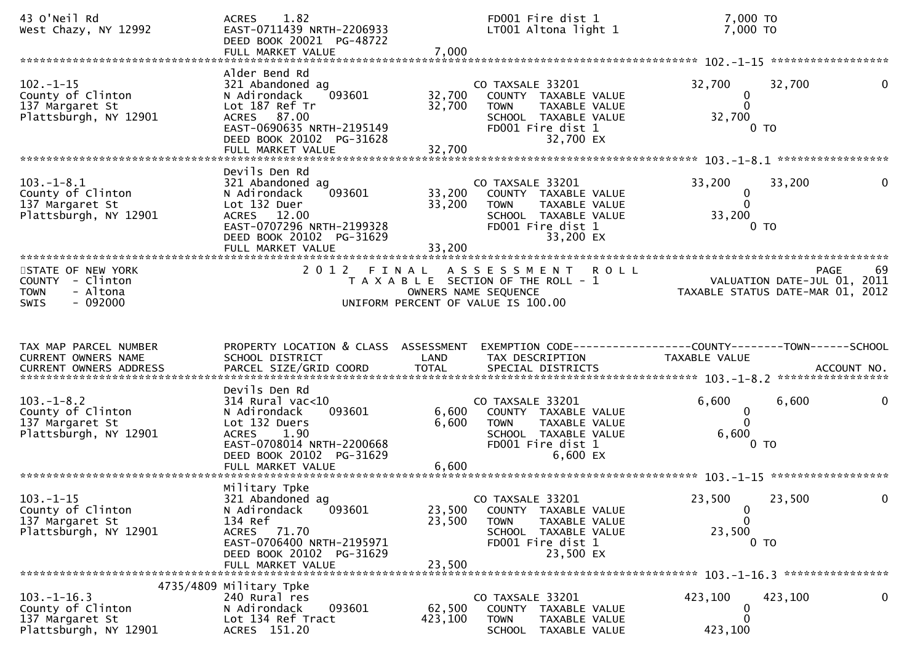| 43 O'Neil Rd<br>West Chazy, NY 12992                                             | 1.82<br><b>ACRES</b><br>EAST-0711439 NRTH-2206933<br>DEED BOOK 20021 PG-48722<br>FULL MARKET VALUE                                                                         | 7,000                      | FD001 Fire dist 1<br>LT001 Altona light 1                                                                                             | 7,000 TO<br>7,000 TO                                                                           |    |
|----------------------------------------------------------------------------------|----------------------------------------------------------------------------------------------------------------------------------------------------------------------------|----------------------------|---------------------------------------------------------------------------------------------------------------------------------------|------------------------------------------------------------------------------------------------|----|
|                                                                                  |                                                                                                                                                                            |                            |                                                                                                                                       |                                                                                                |    |
| $102. - 1 - 15$<br>County of Clinton<br>137 Margaret St<br>Plattsburgh, NY 12901 | Alder Bend Rd<br>321 Abandoned ag<br>N Adirondack<br>093601<br>Lot 187 Ref Tr<br>ACRES 87.00<br>EAST-0690635 NRTH-2195149<br>DEED BOOK 20102 PG-31628<br>FULL MARKET VALUE | 32,700<br>32,700<br>32,700 | CO TAXSALE 33201<br>COUNTY TAXABLE VALUE<br>TAXABLE VALUE<br><b>TOWN</b><br>SCHOOL TAXABLE VALUE<br>FD001 Fire dist 1<br>32,700 EX    | 32,700<br>32,700<br>0<br>$\Omega$<br>32,700<br>$0$ TO                                          |    |
|                                                                                  |                                                                                                                                                                            |                            |                                                                                                                                       |                                                                                                |    |
| $103.-1-8.1$<br>County of Clinton<br>137 Margaret St<br>Plattsburgh, NY 12901    | Devils Den Rd<br>321 Abandoned ag<br>093601<br>N Adirondack<br>Lot 132 Duer<br>ACRES 12.00<br>EAST-0707296 NRTH-2199328<br>DEED BOOK 20102 PG-31629<br>FULL MARKET VALUE   | 33,200<br>33,200<br>33,200 | CO TAXSALE 33201<br>COUNTY TAXABLE VALUE<br>TAXABLE VALUE<br><b>TOWN</b><br>SCHOOL TAXABLE VALUE<br>FD001 Fire dist 1<br>33,200 EX    | 33,200<br>33,200<br>0<br>$\mathbf{0}$<br>33,200<br>0 TO                                        |    |
| STATE OF NEW YORK                                                                | 2 0 1 2                                                                                                                                                                    | FINAL                      | A S S E S S M E N T<br><b>ROLL</b>                                                                                                    | <b>PAGE</b>                                                                                    | 69 |
| COUNTY - Clinton<br>- Altona<br><b>TOWN</b><br>$-092000$<br><b>SWIS</b>          |                                                                                                                                                                            |                            | T A X A B L E SECTION OF THE ROLL - 1<br>OWNERS NAME SEQUENCE<br>UNIFORM PERCENT OF VALUE IS 100.00                                   | VALUATION DATE-JUL 01, 2011<br>TAXABLE STATUS DATE-MAR 01, 2012                                |    |
|                                                                                  |                                                                                                                                                                            |                            |                                                                                                                                       |                                                                                                |    |
| TAX MAP PARCEL NUMBER<br>CURRENT OWNERS NAME<br><b>CURRENT OWNERS ADDRESS</b>    | PROPERTY LOCATION & CLASS ASSESSMENT<br>SCHOOL DISTRICT<br>PARCEL SIZE/GRID COORD                                                                                          | LAND<br><b>TOTAL</b>       | TAX DESCRIPTION<br>SPECIAL DISTRICTS                                                                                                  | EXEMPTION CODE------------------COUNTY--------TOWN------SCHOOL<br>TAXABLE VALUE<br>ACCOUNT NO. |    |
| $103. -1 - 8.2$<br>County of Clinton<br>137 Margaret St<br>Plattsburgh, NY 12901 | Devils Den Rd<br>$314$ Rural vac<10<br>093601<br>N Adirondack<br>Lot 132 Duers<br><b>ACRES</b><br>1.90<br>EAST-0708014 NRTH-2200668<br>DEED BOOK 20102 PG-31629            | 6,600<br>6,600             | CO TAXSALE 33201<br>COUNTY TAXABLE VALUE<br>TAXABLE VALUE<br>TOWN<br>SCHOOL TAXABLE VALUE<br>FD001 Fire dist 1<br>6,600 EX            | 6,600<br>6,600<br>0<br>$\mathbf{0}$<br>6,600<br>0 <sub>T</sub>                                 |    |
| $103. - 1 - 15$<br>County of Clinton<br>137 Margaret St<br>Plattsburgh, NY 12901 | Military Tpke<br>321 Abandoned ag<br>093601<br>N Adirondack<br>134 Ref<br>ACRES 71.70<br>EAST-0706400 NRTH-2195971<br>DEED BOOK 20102 PG-31629<br>FULL MARKET VALUE        | 23,500<br>23,500<br>23,500 | CO TAXSALE 33201<br>TAXABLE VALUE<br>COUNTY<br><b>TOWN</b><br>TAXABLE VALUE<br>SCHOOL TAXABLE VALUE<br>FD001 Fire dist 1<br>23,500 EX | 23,500<br>23,500<br>$\bf{0}$<br>0<br>23,500<br>0 <sub>T</sub>                                  |    |
|                                                                                  | 4735/4809 Military Tpke                                                                                                                                                    |                            |                                                                                                                                       |                                                                                                |    |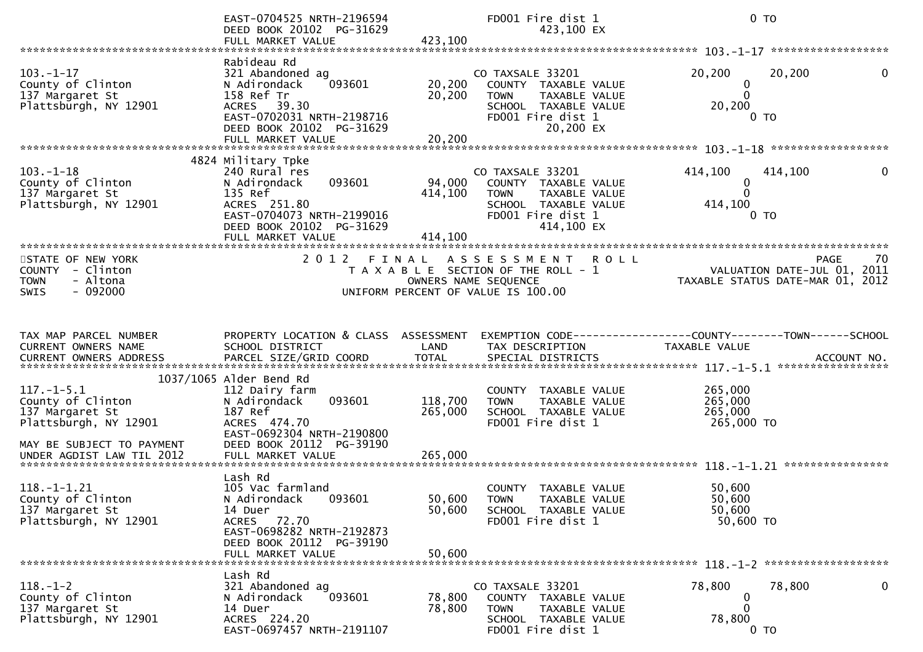|                                                                                                                | EAST-0704525 NRTH-2196594<br>DEED BOOK 20102 PG-31629<br>FULL MARKET VALUE                                                                                              | 423,100                      | FD001 Fire dist 1<br>423,100 EX                                                                                                     |                                                                                 | $0$ TO                                                                        |
|----------------------------------------------------------------------------------------------------------------|-------------------------------------------------------------------------------------------------------------------------------------------------------------------------|------------------------------|-------------------------------------------------------------------------------------------------------------------------------------|---------------------------------------------------------------------------------|-------------------------------------------------------------------------------|
|                                                                                                                |                                                                                                                                                                         |                              |                                                                                                                                     |                                                                                 |                                                                               |
| $103. - 1 - 17$<br>County of Clinton<br>137 Margaret St<br>Plattsburgh, NY 12901                               | Rabideau Rd<br>321 Abandoned ag<br>093601<br>N Adirondack<br>158 Ref Tr<br>ACRES 39.30<br>EAST-0702031 NRTH-2198716<br>DEED BOOK 20102 PG-31629<br>FULL MARKET VALUE    | 20,200<br>20, 200<br>20,200  | CO TAXSALE 33201<br>COUNTY TAXABLE VALUE<br><b>TOWN</b><br>TAXABLE VALUE<br>SCHOOL TAXABLE VALUE<br>FD001 Fire dist 1<br>20,200 EX  | 20,200<br>$\bf{0}$<br>$\mathbf{0}$<br>20,200                                    | 20,200<br>$\mathbf{0}$<br>0 <sub>T</sub>                                      |
|                                                                                                                |                                                                                                                                                                         |                              |                                                                                                                                     |                                                                                 |                                                                               |
| $103. - 1 - 18$<br>County of Clinton<br>137 Margaret St<br>Plattsburgh, NY 12901                               | 4824 Military Tpke<br>240 Rural res<br>093601<br>N Adirondack<br>135 Ref<br>ACRES 251.80<br>EAST-0704073 NRTH-2199016<br>DEED BOOK 20102 PG-31629<br>FULL MARKET VALUE  | 94,000<br>414,100<br>414,100 | CO TAXSALE 33201<br>COUNTY TAXABLE VALUE<br><b>TOWN</b><br>TAXABLE VALUE<br>SCHOOL TAXABLE VALUE<br>FD001 Fire dist 1<br>414,100 EX | 414,100<br>0<br>$\Omega$<br>414,100                                             | 414,100<br>0<br>0 TO                                                          |
| **********************                                                                                         |                                                                                                                                                                         |                              |                                                                                                                                     |                                                                                 |                                                                               |
| STATE OF NEW YORK<br>COUNTY - Clinton<br>- Altona<br><b>TOWN</b><br>$-092000$<br><b>SWIS</b>                   | 2012 FINAL                                                                                                                                                              |                              | A S S E S S M E N T<br>T A X A B L E SECTION OF THE ROLL - 1<br>OWNERS NAME SEQUENCE<br>UNIFORM PERCENT OF VALUE IS 100.00          | <b>ROLL</b>                                                                     | 70<br>PAGE<br>VALUATION DATE-JUL 01, 2011<br>TAXABLE STATUS DATE-MAR 01, 2012 |
|                                                                                                                |                                                                                                                                                                         |                              |                                                                                                                                     |                                                                                 |                                                                               |
| TAX MAP PARCEL NUMBER<br>CURRENT OWNERS NAME<br>CURRENT OWNERS ADDRESS                                         | PROPERTY LOCATION & CLASS ASSESSMENT<br>SCHOOL DISTRICT                                                                                                                 | LAND                         | TAX DESCRIPTION                                                                                                                     | EXEMPTION CODE------------------COUNTY--------TOWN------SCHOOL<br>TAXABLE VALUE |                                                                               |
|                                                                                                                | 1037/1065 Alder Bend Rd                                                                                                                                                 |                              |                                                                                                                                     |                                                                                 |                                                                               |
| $117. - 1 - 5.1$<br>County of Clinton<br>137 Margaret St<br>Plattsburgh, NY 12901<br>MAY BE SUBJECT TO PAYMENT | 112 Dairy farm<br>093601<br>N Adirondack<br>187 Ref<br>ACRES 474.70<br>EAST-0692304 NRTH-2190800<br>DEED BOOK 20112 PG-39190                                            | 118,700<br>265,000           | COUNTY TAXABLE VALUE<br><b>TOWN</b><br>TAXABLE VALUE<br>SCHOOL TAXABLE VALUE<br>FD001 Fire dist 1                                   | 265,000<br>265,000<br>265,000<br>265,000 TO                                     |                                                                               |
| UNDER AGDIST LAW TIL 2012                                                                                      | FULL MARKET VALUE                                                                                                                                                       | 265,000                      |                                                                                                                                     |                                                                                 |                                                                               |
| $118.-1-1.21$<br>County of Clinton<br>137 Margaret St<br>Plattsburgh, NY 12901                                 | Lash Rd<br>105 Vac farmland<br>N Adirondack<br>093601<br>14 Duer<br>72.70<br><b>ACRES</b><br>EAST-0698282 NRTH-2192873<br>DEED BOOK 20112 PG-39190<br>FULL MARKET VALUE | 50,600<br>50,600<br>50,600   | COUNTY TAXABLE VALUE<br><b>TOWN</b><br>TAXABLE VALUE<br>SCHOOL TAXABLE VALUE<br>FD001 Fire dist 1                                   | 50,600<br>50,600<br>50,600<br>50,600 TO                                         |                                                                               |
|                                                                                                                | Lash Rd                                                                                                                                                                 |                              |                                                                                                                                     |                                                                                 |                                                                               |
| $118. - 1 - 2$<br>County of Clinton<br>137 Margaret St<br>Plattsburgh, NY 12901                                | 321 Abandoned ag<br>093601<br>N Adirondack<br>14 Duer<br>ACRES 224.20<br>EAST-0697457 NRTH-2191107                                                                      | 78,800<br>78,800             | CO TAXSALE 33201<br>COUNTY TAXABLE VALUE<br><b>TOWN</b><br>TAXABLE VALUE<br>SCHOOL TAXABLE VALUE<br>FD001 Fire dist 1               | 78,800<br>$\Omega$<br>78,800                                                    | 78,800<br>0<br>$0$ TO                                                         |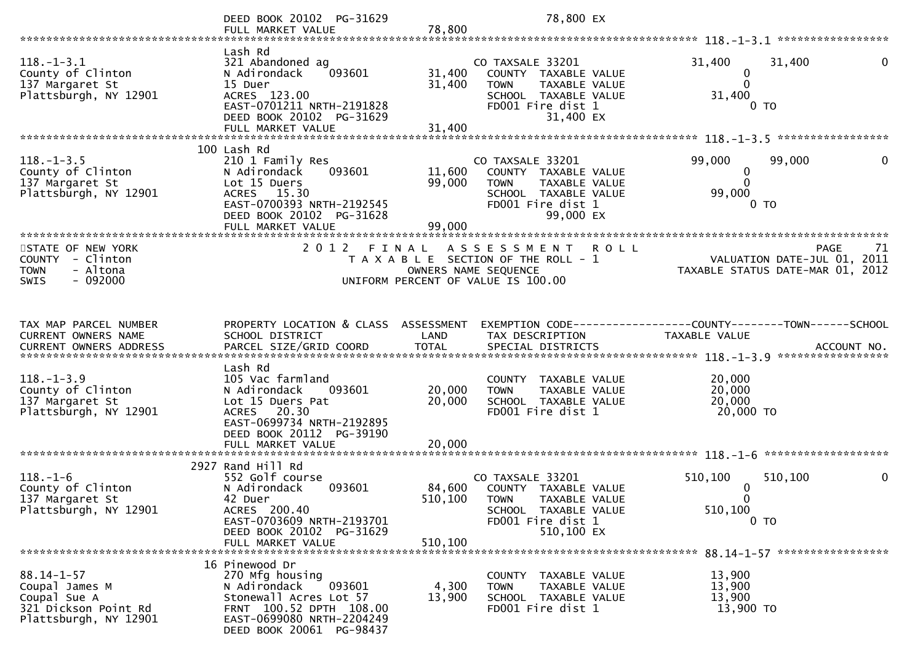|                                                                                   | DEED BOOK 20102 PG-31629                                                                                                                                    |                            | 78,800 EX                                                                                                             |                                                                                                     |    |
|-----------------------------------------------------------------------------------|-------------------------------------------------------------------------------------------------------------------------------------------------------------|----------------------------|-----------------------------------------------------------------------------------------------------------------------|-----------------------------------------------------------------------------------------------------|----|
|                                                                                   | FULL MARKET VALUE                                                                                                                                           | 78,800                     |                                                                                                                       |                                                                                                     |    |
|                                                                                   |                                                                                                                                                             |                            |                                                                                                                       |                                                                                                     |    |
| $118.-1-3.1$<br>County of Clinton<br>137 Margaret St                              | Lash Rd<br>321 Abandoned ag<br>093601<br>N Adirondack<br>15 Duer                                                                                            | 31,400<br>31,400           | CO TAXSALE 33201<br>COUNTY TAXABLE VALUE<br><b>TOWN</b><br>TAXABLE VALUE                                              | 31,400<br>31,400<br>$\mathbf 0$<br>$\Omega$                                                         | 0  |
| Plattsburgh, NY 12901                                                             | ACRES 123.00<br>EAST-0701211 NRTH-2191828<br>DEED BOOK 20102 PG-31629                                                                                       |                            | SCHOOL TAXABLE VALUE<br>FD001 Fire dist 1<br>31,400 EX                                                                | 31,400<br>0 <sub>T</sub>                                                                            |    |
|                                                                                   | FULL MARKET VALUE                                                                                                                                           | 31,400                     |                                                                                                                       |                                                                                                     |    |
|                                                                                   |                                                                                                                                                             |                            |                                                                                                                       |                                                                                                     |    |
| $118. - 1 - 3.5$<br>County of Clinton<br>137 Margaret St<br>Plattsburgh, NY 12901 | 100 Lash Rd<br>210 1 Family Res<br>093601<br>N Adirondack<br>Lot 15 Duers<br>ACRES 15.30<br>EAST-0700393 NRTH-2192545                                       | 11,600<br>99,000           | CO TAXSALE 33201<br>COUNTY TAXABLE VALUE<br>TAXABLE VALUE<br><b>TOWN</b><br>SCHOOL TAXABLE VALUE<br>FD001 Fire dist 1 | 99,000<br>99,000<br>$\mathbf 0$<br>$\Omega$<br>99,000<br>0 <sub>TO</sub>                            | 0  |
|                                                                                   | DEED BOOK 20102 PG-31628                                                                                                                                    |                            | 99,000 EX                                                                                                             |                                                                                                     |    |
| *************************                                                         | FULL MARKET VALUE                                                                                                                                           | 99,000                     |                                                                                                                       |                                                                                                     |    |
| STATE OF NEW YORK<br>COUNTY - Clinton<br>- Altona<br><b>TOWN</b>                  | 2 0 1 2<br>FINAL                                                                                                                                            |                            | A S S E S S M E N T<br><b>ROLL</b><br>T A X A B L E SECTION OF THE ROLL - 1<br>OWNERS NAME SEQUENCE                   | <b>PAGE</b><br>VALUATION DATE-JUL 01, 2011<br>TAXABLE STATUS DATE-MAR 01, 2012                      | 71 |
| $-092000$<br><b>SWIS</b>                                                          |                                                                                                                                                             |                            | UNIFORM PERCENT OF VALUE IS 100.00                                                                                    |                                                                                                     |    |
| TAX MAP PARCEL NUMBER<br>CURRENT OWNERS NAME<br><b>CURRENT OWNERS ADDRESS</b>     | PROPERTY LOCATION & CLASS ASSESSMENT<br>SCHOOL DISTRICT<br>PARCEL SIZE/GRID COORD                                                                           | LAND<br><b>TOTAL</b>       | TAX DESCRIPTION<br>SPECIAL DISTRICTS                                                                                  | EXEMPTION        CODE-----------------COUNTY-------TOWN------SCHOOL<br>TAXABLE VALUE<br>ACCOUNT NO. |    |
|                                                                                   | Lash Rd                                                                                                                                                     |                            |                                                                                                                       |                                                                                                     |    |
| $118. - 1 - 3.9$<br>County of Clinton<br>137 Margaret St<br>Plattsburgh, NY 12901 | 105 Vac farmland<br>N Adirondack<br>093601<br>Lot 15 Duers Pat<br>ACRES 20.30<br>EAST-0699734 NRTH-2192895<br>DEED BOOK 20112 PG-39190<br>FULL MARKET VALUE | 20,000<br>20,000<br>20,000 | COUNTY TAXABLE VALUE<br>TAXABLE VALUE<br><b>TOWN</b><br>SCHOOL TAXABLE VALUE<br>FD001 Fire dist 1                     | 20,000<br>20,000<br>20,000<br>20,000 TO                                                             |    |
|                                                                                   |                                                                                                                                                             |                            |                                                                                                                       |                                                                                                     |    |
| $118. - 1 - 6$<br>County of Clinton<br>137 Margaret St                            | 2927 Rand Hill Rd<br>552 Golf course<br>093601<br>N Adirondack<br>42 Duer                                                                                   | 84,600<br>510,100          | CO TAXSALE 33201<br>COUNTY TAXABLE VALUE<br><b>TOWN</b><br>TAXABLE VALUE                                              | 510,100<br>510,100<br>0<br>0                                                                        | 0  |
| Plattsburgh, NY 12901                                                             | ACRES 200.40<br>EAST-0703609 NRTH-2193701<br>DEED BOOK 20102 PG-31629<br>FULL MARKET VALUE                                                                  | 510,100                    | SCHOOL TAXABLE VALUE<br>FD001 Fire dist 1<br>510,100 EX                                                               | 510,100<br>$0$ TO                                                                                   |    |
|                                                                                   | 16 Pinewood Dr                                                                                                                                              |                            |                                                                                                                       |                                                                                                     |    |
| $88.14 - 1 - 57$<br>Coupal James M<br>Coupal Sue A<br>321 Dickson Point Rd        | 270 Mfg housing<br>093601<br>N Adirondack<br>Stonewall Acres Lot 57<br>FRNT 100.52 DPTH 108.00                                                              | 4,300<br>13,900            | COUNTY TAXABLE VALUE<br>TAXABLE VALUE<br><b>TOWN</b><br>SCHOOL TAXABLE VALUE<br>FD001 Fire dist 1                     | 13,900<br>13,900<br>13,900<br>13,900 TO                                                             |    |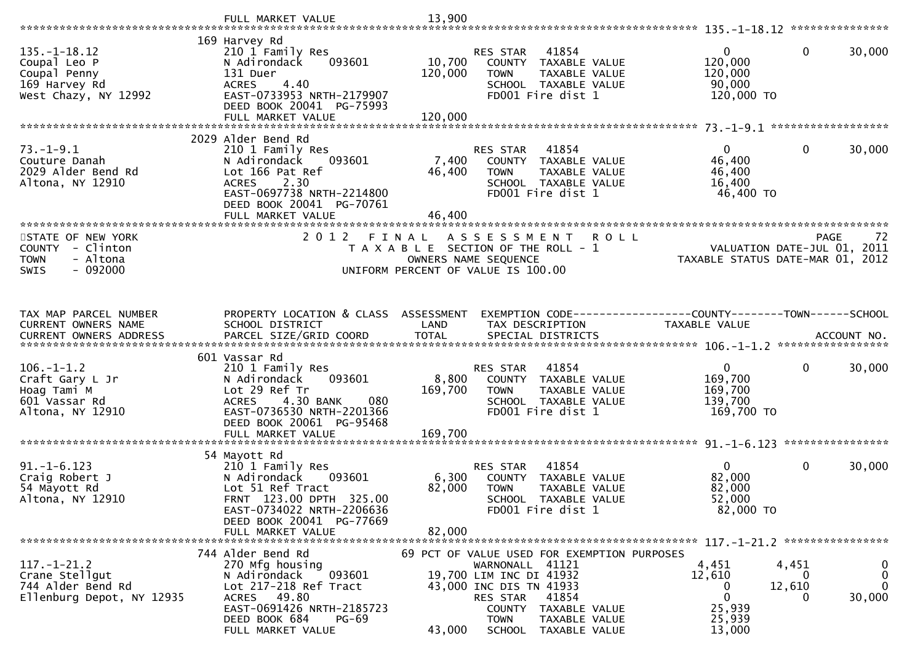|                                                                                              | FULL MARKET VALUE                                                                                                                                                                    | 13,900            |                                                                                                                                                                                                                                 |                                                                                                                          |
|----------------------------------------------------------------------------------------------|--------------------------------------------------------------------------------------------------------------------------------------------------------------------------------------|-------------------|---------------------------------------------------------------------------------------------------------------------------------------------------------------------------------------------------------------------------------|--------------------------------------------------------------------------------------------------------------------------|
|                                                                                              |                                                                                                                                                                                      |                   |                                                                                                                                                                                                                                 |                                                                                                                          |
| $135. - 1 - 18.12$<br>Coupal Leo P<br>Coupal Penny<br>169 Harvey Rd<br>West Chazy, NY 12992  | 169 Harvey Rd<br>210 1 Family Res<br>N Adirondack<br>093601<br>131 Duer<br>4.40<br><b>ACRES</b><br>EAST-0733953 NRTH-2179907<br>DEED BOOK 20041 PG-75993                             | 10,700<br>120,000 | 41854<br><b>RES STAR</b><br>COUNTY<br>TAXABLE VALUE<br><b>TOWN</b><br>TAXABLE VALUE<br>SCHOOL TAXABLE VALUE<br>FD001 Fire dist 1                                                                                                | $\mathbf{0}$<br>$\mathbf 0$<br>30,000<br>120,000<br>120,000<br>90,000<br>120,000 TO                                      |
|                                                                                              | FULL MARKET VALUE                                                                                                                                                                    | 120,000           |                                                                                                                                                                                                                                 |                                                                                                                          |
|                                                                                              |                                                                                                                                                                                      |                   |                                                                                                                                                                                                                                 |                                                                                                                          |
| 73. – 1–9.1<br>Couture Danah<br>2029 Alder Bend Rd<br>Altona, NY 12910                       | 2029 Alder Bend Rd<br>210 1 Family Res<br>N Adirondack<br>093601<br>Lot 166 Pat Ref<br>2.30<br><b>ACRES</b><br>EAST-0697738 NRTH-2214800<br>DEED BOOK 20041 PG-70761                 | 7,400<br>46,400   | RES STAR<br>41854<br>COUNTY TAXABLE VALUE<br>TAXABLE VALUE<br><b>TOWN</b><br>SCHOOL TAXABLE VALUE<br>FD001 Fire dist 1                                                                                                          | $\mathbf{0}$<br>30,000<br>$\overline{0}$<br>46,400<br>46,400<br>16,400<br>46,400 TO                                      |
|                                                                                              | FULL MARKET VALUE                                                                                                                                                                    | 46,400            |                                                                                                                                                                                                                                 |                                                                                                                          |
| STATE OF NEW YORK<br>COUNTY - Clinton<br><b>TOWN</b><br>- Altona<br>$-092000$<br><b>SWIS</b> | 2012 FINAL                                                                                                                                                                           |                   | A S S E S S M E N T<br><b>ROLL</b><br>T A X A B L E SECTION OF THE ROLL - 1<br>OWNERS NAME SEQUENCE<br>UNIFORM PERCENT OF VALUE IS 100.00                                                                                       | 72<br><b>PAGE</b><br>VALUATION DATE-JUL 01, 2011<br>TAXABLE STATUS DATE-MAR 01, 2012                                     |
| TAX MAP PARCEL NUMBER<br>CURRENT OWNERS NAME                                                 | PROPERTY LOCATION & CLASS ASSESSMENT<br>SCHOOL DISTRICT                                                                                                                              | LAND              | TAX DESCRIPTION                                                                                                                                                                                                                 | EXEMPTION CODE-----------------COUNTY-------TOWN------SCHOOL<br>TAXABLE VALUE                                            |
| $106. - 1 - 1.2$                                                                             | 601 Vassar Rd<br>210 1 Family Res                                                                                                                                                    |                   | RES STAR<br>41854                                                                                                                                                                                                               | $\mathbf 0$<br>$\mathbf{0}$<br>30,000                                                                                    |
| Craft Gary L Jr<br>Hoag Tami M<br>601 Vassar Rd<br>Altona, NY 12910                          | N Adirondack<br>093601<br>Lot 29 Ref Tr<br>4.30 BANK<br>080<br><b>ACRES</b><br>EAST-0736530 NRTH-2201366<br>DEED BOOK 20061 PG-95468                                                 | 8,800<br>169,700  | COUNTY TAXABLE VALUE<br>TAXABLE VALUE<br><b>TOWN</b><br>SCHOOL TAXABLE VALUE<br>FD001 Fire dist 1                                                                                                                               | 169,700<br>169,700<br>139,700<br>169,700 TO                                                                              |
|                                                                                              | FULL MARKET VALUE                                                                                                                                                                    | 169,700           |                                                                                                                                                                                                                                 | ****************                                                                                                         |
|                                                                                              | 54 Mayott Rd                                                                                                                                                                         |                   |                                                                                                                                                                                                                                 |                                                                                                                          |
| $91. - 1 - 6.123$<br>Craig Robert J<br>54 Mayott Rd<br>Altona, NY 12910                      | 210 1 Family Res<br>N Adirondack<br>093601<br>Lot 51 Ref Tract<br>FRNT 123.00 DPTH 325.00<br>EAST-0734022 NRTH-2206636<br>DEED BOOK 20041 PG-77669                                   | 6,300<br>82,000   | 41854<br>RES STAR<br>COUNTY TAXABLE VALUE<br><b>TOWN</b><br>TAXABLE VALUE<br>SCHOOL TAXABLE VALUE<br>FD001 Fire dist 1                                                                                                          | $\mathbf{0}$<br>$\mathbf 0$<br>30,000<br>82,000<br>82,000<br>52,000<br>82,000 TO                                         |
|                                                                                              | FULL MARKET VALUE                                                                                                                                                                    | 82,000            |                                                                                                                                                                                                                                 |                                                                                                                          |
|                                                                                              |                                                                                                                                                                                      |                   |                                                                                                                                                                                                                                 |                                                                                                                          |
| $117. - 1 - 21.2$<br>Crane Stellgut<br>744 Alder Bend Rd<br>Ellenburg Depot, NY 12935        | 744 Alder Bend Rd<br>270 Mfg housing<br>N Adirondack<br>093601<br>Lot 217-218 Ref Tract<br>ACRES 49.80<br>EAST-0691426 NRTH-2185723<br>DEED BOOK 684<br>$PG-69$<br>FULL MARKET VALUE | 43,000            | 69 PCT OF VALUE USED FOR EXEMPTION PURPOSES<br>WARNONALL 41121<br>19,700 LIM INC DI 41932<br>43,000 INC DIS TN 41933<br>41854<br>RES STAR<br>COUNTY<br>TAXABLE VALUE<br><b>TOWN</b><br>TAXABLE VALUE<br>SCHOOL<br>TAXABLE VALUE | 0<br>4,451<br>4,451<br>0<br>12,610<br>0<br>$\mathbf{0}$<br>12,610<br>0<br>0<br>30,000<br>0<br>25,939<br>25,939<br>13,000 |
|                                                                                              |                                                                                                                                                                                      |                   |                                                                                                                                                                                                                                 |                                                                                                                          |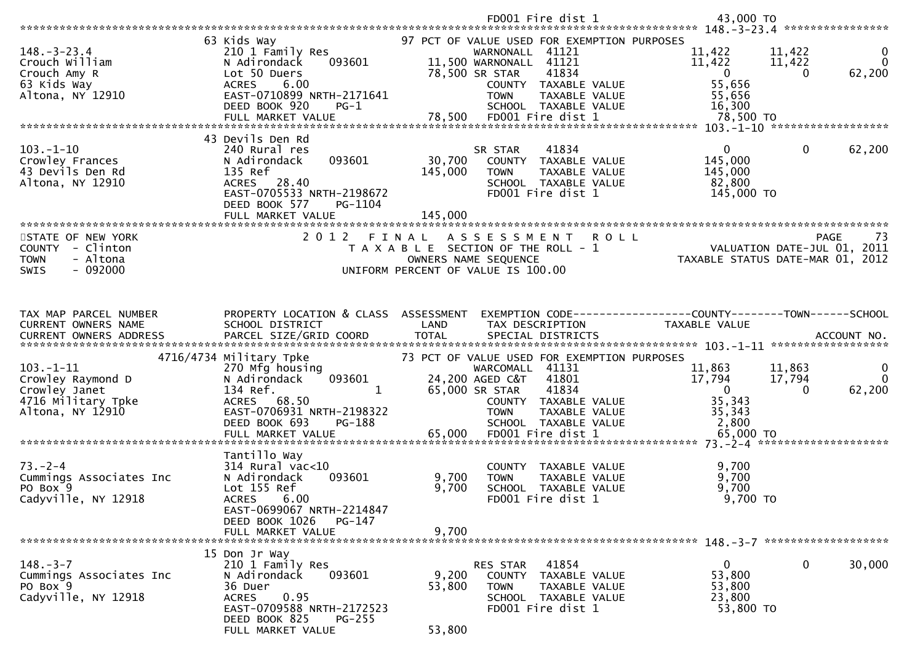|                                                                                                |                                                                                                                                                                                | FD001 Fire dist 1                                                                                                                                                                                                                  | 43,000 TO<br>****************                                                                                                                       |
|------------------------------------------------------------------------------------------------|--------------------------------------------------------------------------------------------------------------------------------------------------------------------------------|------------------------------------------------------------------------------------------------------------------------------------------------------------------------------------------------------------------------------------|-----------------------------------------------------------------------------------------------------------------------------------------------------|
| $148. - 3 - 23.4$<br>Crouch William<br>Crouch Amy R<br>63 Kids Way<br>Altona, NY 12910         | 63 Kids Way<br>210 1 Family Res<br>093601<br>N Adirondack<br>Lot 50 Duers<br>6.00<br><b>ACRES</b><br>EAST-0710899 NRTH-2171641<br>DEED BOOK 920<br>$PG-1$<br>FULL MARKET VALUE | 97 PCT OF VALUE USED FOR EXEMPTION PURPOSES<br>WARNONALL 41121<br>11,500 WARNONALL 41121<br>78,500 SR STAR<br>41834<br>COUNTY TAXABLE VALUE<br><b>TOWN</b><br>TAXABLE VALUE<br>SCHOOL TAXABLE VALUE<br>78,500<br>FD001 Fire dist 1 | 11,422<br>11,422<br>$\bf{0}$<br>11,422<br>$\Omega$<br>11,422<br>62,200<br>$\mathbf{0}$<br>$\overline{0}$<br>55,656<br>55,656<br>16,300<br>78,500 TO |
|                                                                                                | 43 Devils Den Rd                                                                                                                                                               |                                                                                                                                                                                                                                    |                                                                                                                                                     |
| $103. - 1 - 10$<br>Crowley Frances<br>43 Devils Den Rd<br>Altona, NY 12910                     | 240 Rural res<br>093601<br>N Adirondack<br>135 Ref<br>ACRES 28.40<br>EAST-0705533 NRTH-2198672<br>DEED BOOK 577<br>PG-1104                                                     | 41834<br>SR STAR<br>30,700<br>COUNTY TAXABLE VALUE<br>145,000<br><b>TOWN</b><br>TAXABLE VALUE<br>SCHOOL TAXABLE VALUE<br>FD001 Fire dist 1                                                                                         | $\Omega$<br>$\mathbf{0}$<br>62,200<br>145,000<br>145,000<br>82,800<br>145,000 TO                                                                    |
|                                                                                                | FULL MARKET VALUE                                                                                                                                                              | 145,000                                                                                                                                                                                                                            |                                                                                                                                                     |
| STATE OF NEW YORK<br>COUNTY - Clinton<br><b>TOWN</b><br>- Altona<br>$-092000$<br><b>SWIS</b>   | 2012 FINAL                                                                                                                                                                     | A S S E S S M E N T<br>T A X A B L E SECTION OF THE ROLL - 1<br>OWNERS NAME SEQUENCE<br>UNIFORM PERCENT OF VALUE IS 100.00                                                                                                         | <b>ROLL</b><br>PAGE<br>73<br>VALUATION DATE-JUL 01, 2011<br>TAXABLE STATUS DATE-MAR 01, 2012                                                        |
| TAX MAP PARCEL NUMBER<br><b>CURRENT OWNERS NAME</b>                                            | PROPERTY LOCATION & CLASS ASSESSMENT<br>SCHOOL DISTRICT                                                                                                                        | LAND<br>TAX DESCRIPTION                                                                                                                                                                                                            | EXEMPTION CODE------------------COUNTY--------TOWN------SCHOOL<br>TAXABLE VALUE                                                                     |
|                                                                                                | 4716/4734 Military Tpke                                                                                                                                                        | 73 PCT OF VALUE USED FOR EXEMPTION PURPOSES                                                                                                                                                                                        |                                                                                                                                                     |
| $103. -1 - 11$<br>Crowley Raymond D<br>Crowley Janet<br>4716 Military Tpke<br>Altona, NY 12910 | 270 Mfg housing<br>093601<br>N Adirondack<br>134 Ref.<br>ACRES 68.50<br>EAST-0706931 NRTH-2198322<br>DEED BOOK 693<br>PG-188<br>FULL MARKET VALUE                              | WARCOMALL 41131<br>24,200 AGED C&T<br>41801<br>65,000 SR STAR<br>41834<br>COUNTY TAXABLE VALUE<br>TAXABLE VALUE<br><b>TOWN</b><br>SCHOOL TAXABLE VALUE<br>65,000<br>FD001 Fire dist 1                                              | 11,863<br>11,863<br>$\bf{0}$<br>17,794<br>$\Omega$<br>17,794<br>62,200<br>$\Omega$<br>$\Omega$<br>35,343<br>35,343<br>2,800<br>65,000 TO            |
|                                                                                                | Tantillo Way                                                                                                                                                                   |                                                                                                                                                                                                                                    |                                                                                                                                                     |
| $73. - 2 - 4$<br>Cummings Associates Inc<br>PO Box 9<br>Cadyville, NY 12918                    | $314$ Rural vac<10<br>N Adirondack<br>093601<br>Lot 155 Ref<br><b>ACRES</b><br>6.00<br>EAST-0699067 NRTH-2214847                                                               | COUNTY TAXABLE VALUE<br>9,700<br><b>TOWN</b><br><b>TAXABLE VALUE</b><br>9,700<br>SCHOOL TAXABLE VALUE<br>FD001 Fire dist 1                                                                                                         | 9,700<br>9,700<br>9,700<br>9,700 TO                                                                                                                 |
|                                                                                                | DEED BOOK 1026<br>PG-147<br>FULL MARKET VALUE                                                                                                                                  | 9,700                                                                                                                                                                                                                              |                                                                                                                                                     |
|                                                                                                |                                                                                                                                                                                |                                                                                                                                                                                                                                    |                                                                                                                                                     |
| $148. - 3 - 7$<br>Cummings Associates Inc<br>PO Box 9<br>Cadyville, NY 12918                   | 15 Don Jr Way<br>210 1 Family Res<br>093601<br>N Adirondack<br>36 Duer<br>0.95<br><b>ACRES</b><br>EAST-0709588 NRTH-2172523<br>DEED BOOK 825<br>$PG-255$<br>FULL MARKET VALUE  | 41854<br>RES STAR<br>9,200<br>COUNTY TAXABLE VALUE<br>53,800<br><b>TOWN</b><br>TAXABLE VALUE<br>SCHOOL TAXABLE VALUE<br>FD001 Fire dist 1<br>53,800                                                                                | 0<br>0<br>30,000<br>53,800<br>53,800<br>23,800<br>53,800 TO                                                                                         |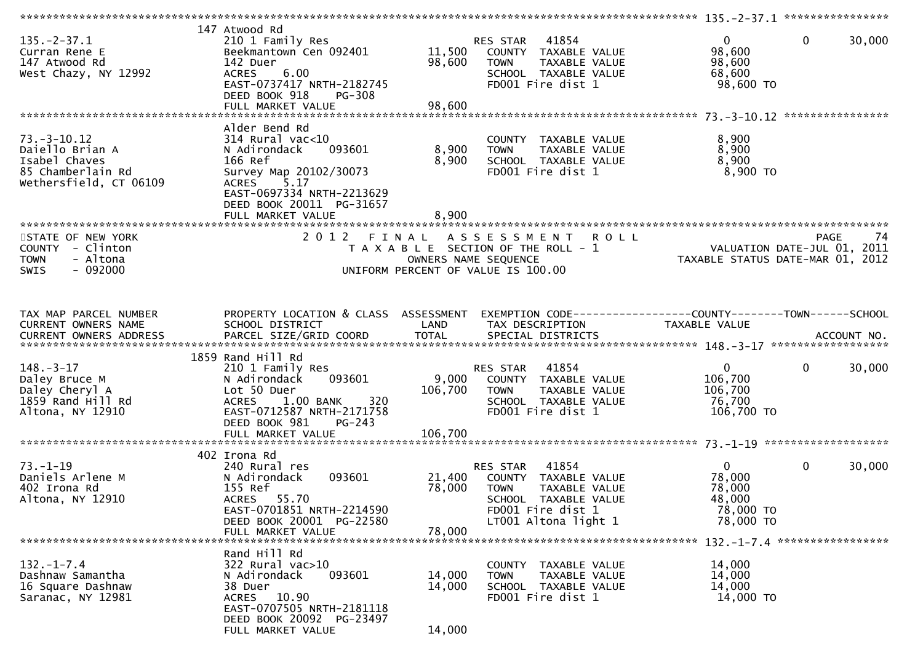|                         | 147 Atwood Rd                        |         |                                                              |                                  |                        |
|-------------------------|--------------------------------------|---------|--------------------------------------------------------------|----------------------------------|------------------------|
| $135. - 2 - 37.1$       | 210 1 Family Res                     |         | 41854<br>RES STAR                                            | $\overline{0}$                   | $\mathbf{0}$<br>30,000 |
| Curran Rene E           | Beekmantown Cen 092401               | 11,500  | COUNTY TAXABLE VALUE                                         | 98,600                           |                        |
| 147 Atwood Rd           | 142 Duer                             | 98,600  | TAXABLE VALUE<br><b>TOWN</b>                                 | 98,600                           |                        |
|                         |                                      |         |                                                              |                                  |                        |
| West Chazy, NY 12992    | 6.00<br><b>ACRES</b>                 |         | SCHOOL TAXABLE VALUE                                         | 68,600                           |                        |
|                         | EAST-0737417 NRTH-2182745            |         | FD001 Fire dist 1                                            | 98,600 TO                        |                        |
|                         | DEED BOOK 918<br>PG-308              |         |                                                              |                                  |                        |
|                         | FULL MARKET VALUE                    | 98,600  |                                                              |                                  |                        |
|                         |                                      |         |                                                              |                                  |                        |
|                         | Alder Bend Rd                        |         |                                                              |                                  |                        |
| $73. - 3 - 10.12$       | $314$ Rural vac<10                   |         | COUNTY TAXABLE VALUE                                         | 8,900                            |                        |
| Daiello Brian A         | 093601<br>N Adirondack               | 8,900   | TAXABLE VALUE<br><b>TOWN</b>                                 | 8,900                            |                        |
| Isabel Chaves           | 166 Ref                              | 8,900   | SCHOOL TAXABLE VALUE                                         | 8,900                            |                        |
| 85 Chamberlain Rd       |                                      |         | FD001 Fire dist 1                                            | 8,900 TO                         |                        |
|                         | Survey Map 20102/30073               |         |                                                              |                                  |                        |
| Wethersfield, CT 06109  | 5.17<br><b>ACRES</b>                 |         |                                                              |                                  |                        |
|                         | EAST-0697334 NRTH-2213629            |         |                                                              |                                  |                        |
|                         | DEED BOOK 20011 PG-31657             |         |                                                              |                                  |                        |
|                         | FULL MARKET VALUE                    | 8,900   |                                                              |                                  |                        |
|                         |                                      |         |                                                              |                                  |                        |
| STATE OF NEW YORK       | 2012 FINAL                           |         | A S S E S S M E N T R O L L                                  |                                  | <b>PAGE</b><br>74      |
| COUNTY - Clinton        |                                      |         | T A X A B L E SECTION OF THE ROLL - 1                        | VALUATION DATE-JUL 01,           | 2011                   |
| - Altona<br><b>TOWN</b> |                                      |         | OWNERS NAME SEQUENCE                                         | TAXABLE STATUS DATE-MAR 01, 2012 |                        |
| SWIS<br>- 092000        |                                      |         | UNIFORM PERCENT OF VALUE IS 100.00                           |                                  |                        |
|                         |                                      |         |                                                              |                                  |                        |
|                         |                                      |         |                                                              |                                  |                        |
|                         |                                      |         |                                                              |                                  |                        |
|                         |                                      |         |                                                              |                                  |                        |
| TAX MAP PARCEL NUMBER   | PROPERTY LOCATION & CLASS ASSESSMENT |         | EXEMPTION CODE-----------------COUNTY-------TOWN------SCHOOL |                                  |                        |
| CURRENT OWNERS NAME     | SCHOOL DISTRICT                      | LAND    | TAX DESCRIPTION                                              | TAXABLE VALUE                    |                        |
|                         |                                      |         |                                                              |                                  |                        |
|                         |                                      |         |                                                              |                                  |                        |
|                         | 1859 Rand Hill Rd                    |         |                                                              |                                  |                        |
| $148. - 3 - 17$         | 210 1 Family Res                     |         | 41854<br><b>RES STAR</b>                                     | $\mathbf{0}$                     | $\mathbf{0}$<br>30,000 |
| Daley Bruce M           | N Adirondack<br>093601               | 9,000   | COUNTY TAXABLE VALUE                                         | 106,700                          |                        |
| Daley Cheryl A          | Lot 50 Duer                          | 106,700 | TAXABLE VALUE<br><b>TOWN</b>                                 | 106,700                          |                        |
| 1859 Rand Hill Rd       | 320<br>1.00 BANK<br><b>ACRES</b>     |         | SCHOOL TAXABLE VALUE                                         | 76,700                           |                        |
|                         |                                      |         |                                                              |                                  |                        |
| Altona, NY 12910        | EAST-0712587 NRTH-2171758            |         | FD001 Fire dist 1                                            | 106,700 TO                       |                        |
|                         | DEED BOOK 981<br>$PG-243$            |         |                                                              |                                  |                        |
|                         | FULL MARKET VALUE                    | 106,700 |                                                              |                                  |                        |
|                         |                                      |         |                                                              |                                  |                        |
|                         | 402 Irona Rd                         |         |                                                              |                                  |                        |
| $73. - 1 - 19$          | 240 Rural res                        |         | 41854<br>RES STAR                                            | $\overline{0}$                   | $\mathbf{0}$<br>30,000 |
| Daniels Arlene M        | 093601<br>N Adirondack               | 21,400  | COUNTY TAXABLE VALUE                                         | 78,000                           |                        |
| 402 Irona Rd            | 155 Ref                              | 78,000  | <b>TOWN</b><br>TAXABLE VALUE                                 | 78,000                           |                        |
| Altona, NY 12910        | 55.70<br><b>ACRES</b>                |         | SCHOOL TAXABLE VALUE                                         | 48,000                           |                        |
|                         | EAST-0701851 NRTH-2214590            |         | FD001 Fire dist 1                                            | 78,000 TO                        |                        |
|                         | DEED BOOK 20001 PG-22580             |         | LT001 Altona light 1                                         | 78,000 TO                        |                        |
|                         |                                      | 78,000  |                                                              |                                  |                        |
|                         | FULL MARKET VALUE                    |         |                                                              |                                  |                        |
|                         |                                      |         |                                                              |                                  |                        |
|                         | Rand Hill Rd                         |         |                                                              |                                  |                        |
| $132. - 1 - 7.4$        | 322 Rural vac>10                     |         | COUNTY TAXABLE VALUE                                         | 14,000                           |                        |
| Dashnaw Samantha        | 093601<br>N Adirondack               | 14,000  | TAXABLE VALUE<br><b>TOWN</b>                                 | 14,000                           |                        |
| 16 Square Dashnaw       | 38 Duer                              | 14,000  | SCHOOL TAXABLE VALUE                                         | 14,000                           |                        |
| Saranac, NY 12981       | ACRES 10.90                          |         | FD001 Fire dist 1                                            | 14,000 TO                        |                        |
|                         | EAST-0707505 NRTH-2181118            |         |                                                              |                                  |                        |
|                         | DEED BOOK 20092 PG-23497             |         |                                                              |                                  |                        |
|                         | FULL MARKET VALUE                    | 14,000  |                                                              |                                  |                        |
|                         |                                      |         |                                                              |                                  |                        |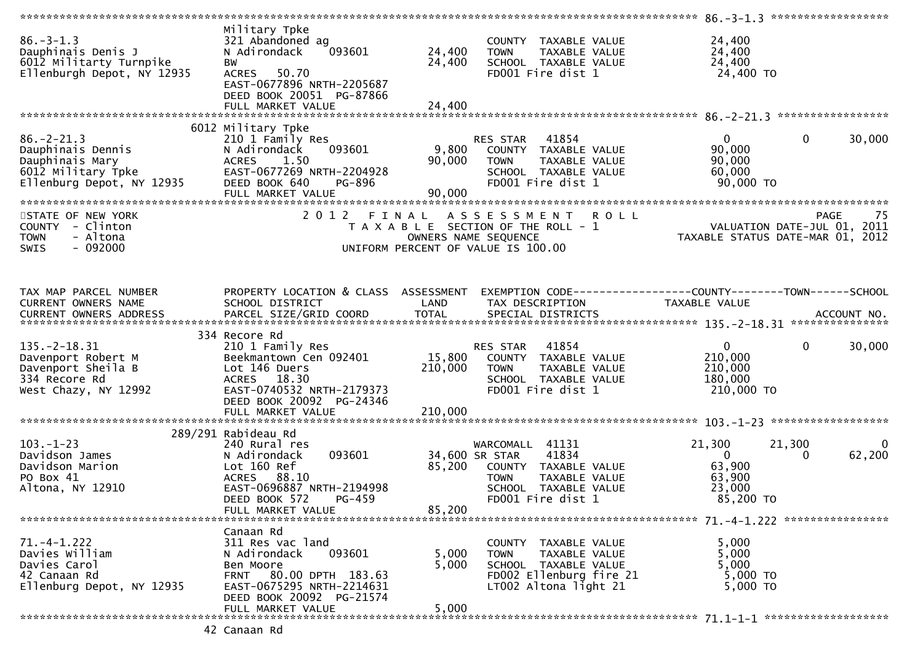|                                                                                                             |                                                                                                                                                                           |                           |                                                                                                                                                 | *************** 86.-3-1.3 *******************                       |                                                                                |
|-------------------------------------------------------------------------------------------------------------|---------------------------------------------------------------------------------------------------------------------------------------------------------------------------|---------------------------|-------------------------------------------------------------------------------------------------------------------------------------------------|---------------------------------------------------------------------|--------------------------------------------------------------------------------|
| $86. - 3 - 1.3$<br>Dauphinais Denis J<br>6012 Militarty Turnpike<br>Ellenburgh Depot, NY 12935              | Military Tpke<br>321 Abandoned ag<br>093601<br>N Adirondack<br>BW<br>ACRES 50.70                                                                                          | 24,400<br>24,400          | COUNTY TAXABLE VALUE<br>TAXABLE VALUE<br><b>TOWN</b><br>SCHOOL TAXABLE VALUE<br>FD001 Fire dist 1                                               | 24,400<br>24,400<br>24,400<br>24,400 TO                             |                                                                                |
|                                                                                                             | EAST-0677896 NRTH-2205687<br>DEED BOOK 20051 PG-87866<br>FULL MARKET VALUE                                                                                                | 24,400                    |                                                                                                                                                 |                                                                     |                                                                                |
|                                                                                                             | 6012 Military Tpke                                                                                                                                                        |                           |                                                                                                                                                 |                                                                     |                                                                                |
| $86. - 2 - 21.3$<br>Dauphinais Dennis<br>Dauphinais Mary<br>6012 Military Tpke<br>Ellenburg Depot, NY 12935 | 210 1 Family Res<br>N Adirondack<br>093601<br>ACRES<br>1.50<br>EAST-0677269 NRTH-2204928<br>DEED BOOK 640<br>PG-896<br>FULL MARKET VALUE                                  | 9,800<br>90,000<br>90,000 | 41854<br>RES STAR<br>COUNTY TAXABLE VALUE<br><b>TOWN</b><br>TAXABLE VALUE<br>SCHOOL TAXABLE VALUE<br>FD001 Fire dist 1                          | $\overline{0}$<br>90,000<br>90,000<br>60,000<br>90,000 TO           | $\mathbf 0$<br>30,000                                                          |
|                                                                                                             |                                                                                                                                                                           |                           |                                                                                                                                                 |                                                                     |                                                                                |
| STATE OF NEW YORK<br>COUNTY - Clinton<br>- Altona<br><b>TOWN</b><br>$-092000$<br>SWIS                       |                                                                                                                                                                           |                           | 2012 FINAL ASSESSMENT<br><b>ROLL</b><br>T A X A B L E SECTION OF THE ROLL - 1<br>OWNERS NAME SEQUENCE<br>UNIFORM PERCENT OF VALUE IS 100.00     |                                                                     | -75<br>PAGE<br>VALUATION DATE-JUL 01, 2011<br>TAXABLE STATUS DATE-MAR 01, 2012 |
| TAX MAP PARCEL NUMBER<br>CURRENT OWNERS NAME                                                                | PROPERTY LOCATION & CLASS ASSESSMENT<br>SCHOOL DISTRICT                                                                                                                   | LAND                      | EXEMPTION CODE-----------------COUNTY-------TOWN------SCHOOL<br>TAX DESCRIPTION                                                                 | TAXABLE VALUE                                                       |                                                                                |
|                                                                                                             | 334 Recore Rd                                                                                                                                                             |                           |                                                                                                                                                 |                                                                     |                                                                                |
| $135. -2 - 18.31$<br>Davenport Robert M<br>Davenport Sheila B<br>334 Recore Rd<br>West Chazy, NY 12992      | 210 1 Family Res<br>Beekmantown Cen 092401<br>Lot 146 Duers<br>ACRES 18.30<br>EAST-0740532 NRTH-2179373<br>DEED BOOK 20092 PG-24346                                       | 15,800<br>210,000         | 41854<br>RES STAR<br>COUNTY TAXABLE VALUE<br><b>TOWN</b><br>TAXABLE VALUE<br>SCHOOL TAXABLE VALUE<br>FD001 Fire dist 1                          | $\overline{0}$<br>210,000<br>210,000<br>180,000<br>210,000 TO       | $\mathbf{0}$<br>30,000                                                         |
|                                                                                                             | FULL MARKET VALUE                                                                                                                                                         | 210,000                   |                                                                                                                                                 |                                                                     |                                                                                |
|                                                                                                             |                                                                                                                                                                           |                           |                                                                                                                                                 |                                                                     |                                                                                |
| $103. - 1 - 23$<br>Davidson James<br>Davidson Marion<br>PO Box 41<br>Altona, NY 12910                       | 289/291 Rabideau Rd<br>240 Rural res<br>093601<br>N Adirondack<br>Lot 160 Ref<br>ACRES 88.10<br>EAST-0696887 NRTH-2194998<br>DEED BOOK 572<br>PG-459<br>FULL MARKET VALUE | 85,200<br>85,200          | WARCOMALL 41131<br>34,600 SR STAR<br>41834<br>COUNTY TAXABLE VALUE<br>TAXABLE VALUE<br><b>TOWN</b><br>SCHOOL TAXABLE VALUE<br>FD001 Fire dist 1 | 21,300<br>$\overline{0}$<br>63,900<br>63,900<br>23,000<br>85,200 TO | 21,300<br>$\Omega$<br>62,200<br>0                                              |
|                                                                                                             |                                                                                                                                                                           |                           |                                                                                                                                                 |                                                                     |                                                                                |
| $71. -4 - 1.222$<br>Davies William<br>Davies Carol<br>42 Canaan Rd<br>Ellenburg Depot, NY 12935             | Canaan Rd<br>311 Res vac land<br>093601<br>N Adirondack<br>Ben Moore<br>FRNT 80.00 DPTH 183.63<br>EAST-0675295 NRTH-2214631<br>DEED BOOK 20092 PG-21574                   | 5,000<br>5,000            | COUNTY TAXABLE VALUE<br>TAXABLE VALUE<br><b>TOWN</b><br>SCHOOL TAXABLE VALUE<br>FD002 Ellenburg fire 21<br>LT002 Altona light 21                | 5,000<br>5,000<br>5,000<br>5,000 TO<br>5,000 TO                     |                                                                                |
|                                                                                                             | FULL MARKET VALUE                                                                                                                                                         | 5,000                     |                                                                                                                                                 |                                                                     |                                                                                |
|                                                                                                             |                                                                                                                                                                           |                           |                                                                                                                                                 |                                                                     |                                                                                |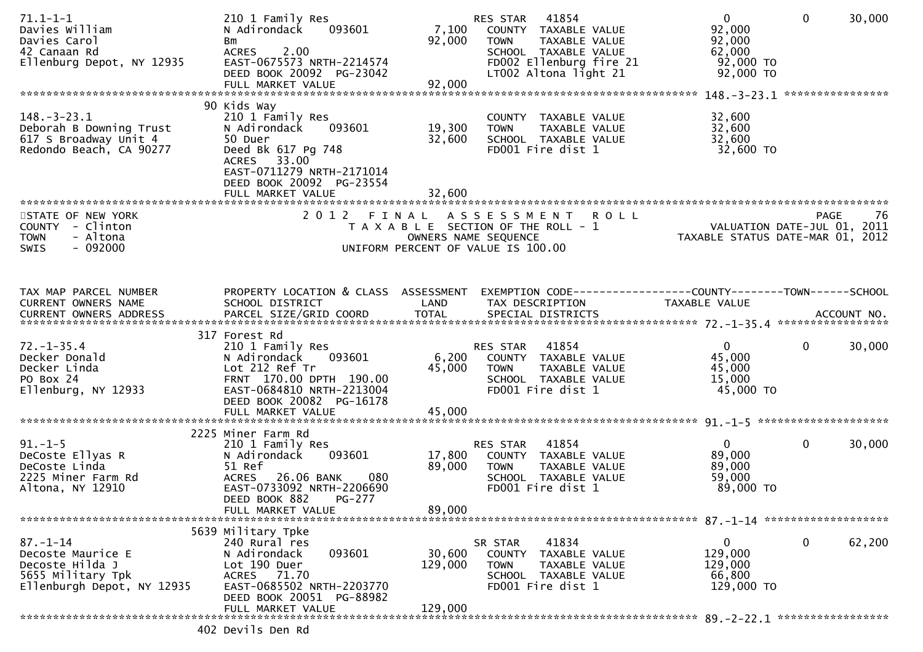| $71.1 - 1 - 1$<br>Davies William<br>Davies Carol<br>42 Canaan Rd<br>Ellenburg Depot, NY 12935             | 210 1 Family Res<br>093601<br>N Adirondack<br>Bm<br><b>ACRES</b><br>2.00<br>EAST-0675573 NRTH-2214574<br>DEED BOOK 20092 PG-23042<br>FULL MARKET VALUE                                              | 7,100<br>92,000<br>92,000  | 41854<br>RES STAR<br>COUNTY TAXABLE VALUE<br><b>TOWN</b><br>TAXABLE VALUE<br>SCHOOL TAXABLE VALUE<br>FD002 Ellenburg fire 21<br>LT002 Altona light 21 | $\mathbf{0}$<br>92,000<br>92,000<br>62,000<br>92,000 TO<br>92,000 TO | $\mathbf{0}$ | 30,000 |
|-----------------------------------------------------------------------------------------------------------|-----------------------------------------------------------------------------------------------------------------------------------------------------------------------------------------------------|----------------------------|-------------------------------------------------------------------------------------------------------------------------------------------------------|----------------------------------------------------------------------|--------------|--------|
| $148. - 3 - 23.1$<br>Deborah B Downing Trust<br>617 S Broadway Unit 4<br>Redondo Beach, CA 90277          | 90 Kids Way<br>210 1 Family Res<br>N Adirondack<br>093601<br>50 Duer<br>Deed Bk 617 Pg 748<br>ACRES 33.00<br>EAST-0711279 NRTH-2171014<br>DEED BOOK 20092 PG-23554<br>FULL MARKET VALUE             | 19,300<br>32,600<br>32,600 | COUNTY TAXABLE VALUE<br>TAXABLE VALUE<br><b>TOWN</b><br>SCHOOL TAXABLE VALUE<br>FD001 Fire dist 1                                                     | 32,600<br>32,600<br>32,600<br>32,600 TO                              |              |        |
| STATE OF NEW YORK<br>COUNTY - Clinton<br>- Altona<br><b>TOWN</b><br>$-092000$<br><b>SWIS</b>              |                                                                                                                                                                                                     |                            | 2012 FINAL ASSESSMENT ROLL<br>T A X A B L E SECTION OF THE ROLL - 1<br>OWNERS NAME SEQUENCE<br>UNIFORM PERCENT OF VALUE IS 100.00                     | VALUATION DATE-JUL 01, 2011<br>TAXABLE STATUS DATE-MAR 01, 2012      | PAGE         | -76    |
| TAX MAP PARCEL NUMBER<br><b>CURRENT OWNERS NAME</b>                                                       | PROPERTY LOCATION & CLASS ASSESSMENT<br>SCHOOL DISTRICT                                                                                                                                             | LAND                       | EXEMPTION CODE------------------COUNTY--------TOWN------SCHOOL<br>TAX DESCRIPTION                                                                     | <b>TAXABLE VALUE</b>                                                 |              |        |
| $72. - 1 - 35.4$<br>Decker Donald<br>Decker Linda<br>PO Box 24<br>Ellenburg, NY 12933                     | 317 Forest Rd<br>210 1 Family Res<br>093601<br>N Adirondack<br>Lot 212 Ref Tr<br>FRNT 170.00 DPTH 190.00<br>EAST-0684810 NRTH-2213004<br>DEED BOOK 20082 PG-16178<br>FULL MARKET VALUE              | 6,200<br>45,000<br>45,000  | 41854<br>RES STAR<br>COUNTY TAXABLE VALUE<br>TAXABLE VALUE<br><b>TOWN</b><br>SCHOOL TAXABLE VALUE<br>FD001 Fire dist 1                                | $\Omega$<br>45,000<br>45,000<br>15,000<br>45,000 TO                  | $\mathbf{0}$ | 30,000 |
| $91. - 1 - 5$<br>DeCoste Ellyas R<br>DeCoste Linda<br>2225 Miner Farm Rd<br>Altona, NY 12910              | 2225 Miner Farm Rd<br>210 1 Family Res<br>N Adirondack<br>093601<br>51 Ref<br><b>ACRES</b><br>26.06 BANK<br>080<br>EAST-0733092 NRTH-2206690<br>DEED BOOK 882<br><b>PG-277</b><br>FULL MARKET VALUE | 17,800<br>89,000<br>89,000 | 41854<br>RES STAR<br>COUNTY TAXABLE VALUE<br>TAXABLE VALUE<br><b>TOWN</b><br>SCHOOL TAXABLE VALUE<br>FD001 Fire dist 1                                | $\mathbf{0}$<br>89,000<br>89,000<br>59,000<br>89,000 TO              | $\mathbf{0}$ | 30,000 |
| $87. - 1 - 14$<br>Decoste Maurice E<br>Decoste Hilda J<br>5655 Military Tpk<br>Ellenburgh Depot, NY 12935 | 5639 Military Tpke<br>240 Rural res<br>N Adirondack<br>093601<br>Lot 190 Duer<br>ACRES 71.70<br>EAST-0685502 NRTH-2203770<br>DEED BOOK 20051 PG-88982                                               | 30,600<br>129,000          | 41834<br>SR STAR<br>COUNTY TAXABLE VALUE<br>TAXABLE VALUE<br><b>TOWN</b><br>SCHOOL TAXABLE VALUE<br>FD001 Fire dist 1                                 | $\mathbf{0}$<br>129,000<br>129,000<br>66,800<br>129,000 TO           | $\mathbf 0$  | 62,200 |
|                                                                                                           | FULL MARKET VALUE<br>402 Devils Den Rd                                                                                                                                                              | 129,000                    |                                                                                                                                                       |                                                                      |              |        |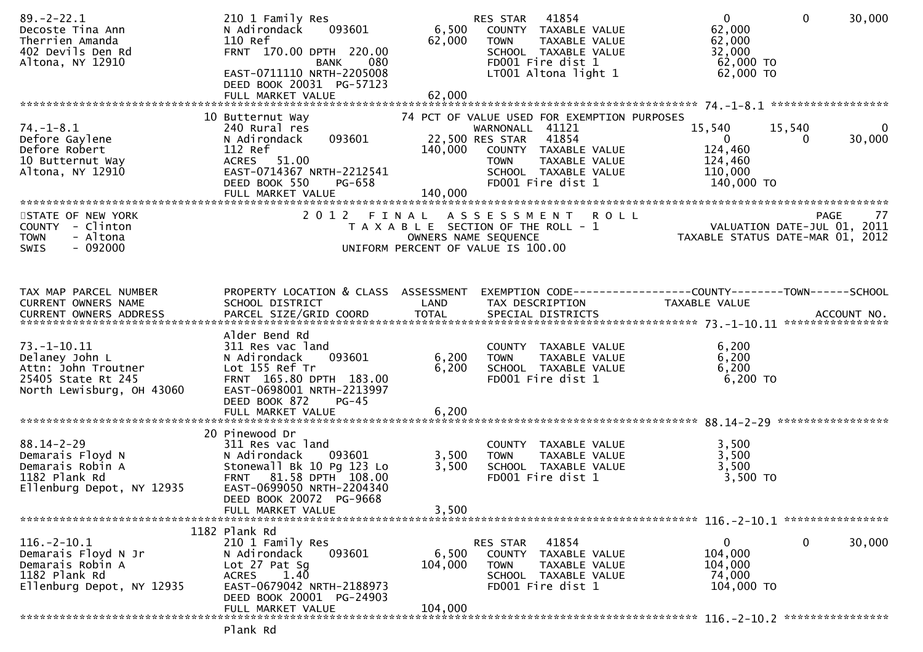| 74 PCT OF VALUE USED FOR EXEMPTION PURPOSES<br>10 Butternut Way<br>15,540<br>240 Rural res<br>WARNONALL 41121<br>15,540<br>$\Omega$<br>093601<br>22,500 RES STAR<br>41854<br>$\mathbf{0}$<br>30,000<br>N Adirondack<br>0<br>112 Ref<br>124,460<br>140,000<br>COUNTY TAXABLE VALUE<br>ACRES 51.00<br>TAXABLE VALUE<br>124,460<br><b>TOWN</b><br>EAST-0714367 NRTH-2212541<br>110,000<br>SCHOOL TAXABLE VALUE<br>DEED BOOK 550<br>PG-658<br>FD001 Fire dist 1<br>140,000 TO<br>140,000<br>FULL MARKET VALUE<br>STATE OF NEW YORK<br>2012 FINAL ASSESSMENT ROLL<br>PAGE 77<br>VALUATION DATE-JUL 01, 2011<br>TAXARLE STATUS DATE WILL 01, 2011<br>T A X A B L E SECTION OF THE ROLL - 1<br>- Altona<br>OWNERS NAME SEQUENCE<br>TAXABLE STATUS DATE-MAR 01, 2012<br>$-092000$<br>UNIFORM PERCENT OF VALUE IS 100.00<br>PROPERTY LOCATION & CLASS ASSESSMENT<br>EXEMPTION CODE-----------------COUNTY-------TOWN------SCHOOL<br>SCHOOL DISTRICT<br>LAND<br>TAX DESCRIPTION<br>TAXABLE VALUE<br>Alder Bend Rd<br>311 Res vac land<br>6,200<br>COUNTY TAXABLE VALUE<br>093601<br>6,200<br>6,200<br>N Adirondack<br>TAXABLE VALUE<br><b>TOWN</b><br>Lot 155 Ref Tr<br>6,200<br>6,200<br>SCHOOL TAXABLE VALUE<br>FD001 Fire dist 1<br>6,200 TO<br>FRNT 165.80 DPTH 183.00<br>EAST-0698001 NRTH-2213997<br>DEED BOOK 872<br>$PG-45$<br>FULL MARKET VALUE<br>6,200<br>20 Pinewood Dr<br>3,500<br>311 Res vac land<br>COUNTY TAXABLE VALUE<br>3,500<br>N Adirondack<br>093601<br>3,500<br>TAXABLE VALUE<br><b>TOWN</b><br>Stonewall Bk 10 Pg 123 Lo<br>3,500<br>3,500<br>SCHOOL TAXABLE VALUE<br>3,500 TO<br>FRNT 81.58 DPTH 108.00<br>FD001 Fire dist 1<br>EAST-0699050 NRTH-2204340<br>DEED BOOK 20072 PG-9668<br>3,500<br>FULL MARKET VALUE<br>1182 Plank Rd | $89. - 2 - 22.1$<br>Decoste Tina Ann<br>Therrien Amanda<br>402 Devils Den Rd<br>Altona, NY 12910          | 210 1 Family Res<br>093601<br>N Adirondack<br>110 Ref<br>FRNT 170.00 DPTH 220.00<br><b>BANK</b><br>080<br>EAST-0711110 NRTH-2205008<br>DEED BOOK 20031 PG-57123<br>FULL MARKET VALUE | 6,500<br>62,000<br>62,000 | 41854<br>RES STAR<br>COUNTY TAXABLE VALUE<br><b>TOWN</b><br>TAXABLE VALUE<br>SCHOOL TAXABLE VALUE<br>FD001 Fire dist 1<br>LT001 Altona light 1 | $\overline{0}$<br>62,000<br>62,000<br>32,000<br>62,000 TO<br>62,000 TO | $\mathbf{0}$<br>30,000 |
|-----------------------------------------------------------------------------------------------------------------------------------------------------------------------------------------------------------------------------------------------------------------------------------------------------------------------------------------------------------------------------------------------------------------------------------------------------------------------------------------------------------------------------------------------------------------------------------------------------------------------------------------------------------------------------------------------------------------------------------------------------------------------------------------------------------------------------------------------------------------------------------------------------------------------------------------------------------------------------------------------------------------------------------------------------------------------------------------------------------------------------------------------------------------------------------------------------------------------------------------------------------------------------------------------------------------------------------------------------------------------------------------------------------------------------------------------------------------------------------------------------------------------------------------------------------------------------------------------------------------------------------------------------------------------------------------------------------------------------------------------------|-----------------------------------------------------------------------------------------------------------|--------------------------------------------------------------------------------------------------------------------------------------------------------------------------------------|---------------------------|------------------------------------------------------------------------------------------------------------------------------------------------|------------------------------------------------------------------------|------------------------|
|                                                                                                                                                                                                                                                                                                                                                                                                                                                                                                                                                                                                                                                                                                                                                                                                                                                                                                                                                                                                                                                                                                                                                                                                                                                                                                                                                                                                                                                                                                                                                                                                                                                                                                                                                     |                                                                                                           |                                                                                                                                                                                      |                           |                                                                                                                                                |                                                                        |                        |
|                                                                                                                                                                                                                                                                                                                                                                                                                                                                                                                                                                                                                                                                                                                                                                                                                                                                                                                                                                                                                                                                                                                                                                                                                                                                                                                                                                                                                                                                                                                                                                                                                                                                                                                                                     | $74. - 1 - 8.1$<br>Defore Gaylene<br>Defore Robert<br>10 Butternut Way<br>Altona, NY 12910                |                                                                                                                                                                                      |                           |                                                                                                                                                |                                                                        |                        |
|                                                                                                                                                                                                                                                                                                                                                                                                                                                                                                                                                                                                                                                                                                                                                                                                                                                                                                                                                                                                                                                                                                                                                                                                                                                                                                                                                                                                                                                                                                                                                                                                                                                                                                                                                     |                                                                                                           |                                                                                                                                                                                      |                           |                                                                                                                                                |                                                                        |                        |
|                                                                                                                                                                                                                                                                                                                                                                                                                                                                                                                                                                                                                                                                                                                                                                                                                                                                                                                                                                                                                                                                                                                                                                                                                                                                                                                                                                                                                                                                                                                                                                                                                                                                                                                                                     | COUNTY - Clinton<br><b>TOWN</b><br>SWIS                                                                   |                                                                                                                                                                                      |                           |                                                                                                                                                |                                                                        |                        |
|                                                                                                                                                                                                                                                                                                                                                                                                                                                                                                                                                                                                                                                                                                                                                                                                                                                                                                                                                                                                                                                                                                                                                                                                                                                                                                                                                                                                                                                                                                                                                                                                                                                                                                                                                     | TAX MAP PARCEL NUMBER<br>CURRENT OWNERS NAME                                                              |                                                                                                                                                                                      |                           |                                                                                                                                                |                                                                        |                        |
|                                                                                                                                                                                                                                                                                                                                                                                                                                                                                                                                                                                                                                                                                                                                                                                                                                                                                                                                                                                                                                                                                                                                                                                                                                                                                                                                                                                                                                                                                                                                                                                                                                                                                                                                                     | 73. –1–10.11<br>Delaney John L<br>Attn: John Troutner<br>25405 State Rt 245<br>North Lewisburg, OH 43060  |                                                                                                                                                                                      |                           |                                                                                                                                                |                                                                        |                        |
|                                                                                                                                                                                                                                                                                                                                                                                                                                                                                                                                                                                                                                                                                                                                                                                                                                                                                                                                                                                                                                                                                                                                                                                                                                                                                                                                                                                                                                                                                                                                                                                                                                                                                                                                                     |                                                                                                           |                                                                                                                                                                                      |                           |                                                                                                                                                |                                                                        |                        |
|                                                                                                                                                                                                                                                                                                                                                                                                                                                                                                                                                                                                                                                                                                                                                                                                                                                                                                                                                                                                                                                                                                                                                                                                                                                                                                                                                                                                                                                                                                                                                                                                                                                                                                                                                     | $88.14 - 2 - 29$<br>Demarais Floyd N<br>Demarais Robin A<br>1182 Plank Rd<br>Ellenburg Depot, NY 12935    |                                                                                                                                                                                      |                           |                                                                                                                                                |                                                                        |                        |
|                                                                                                                                                                                                                                                                                                                                                                                                                                                                                                                                                                                                                                                                                                                                                                                                                                                                                                                                                                                                                                                                                                                                                                                                                                                                                                                                                                                                                                                                                                                                                                                                                                                                                                                                                     |                                                                                                           |                                                                                                                                                                                      |                           |                                                                                                                                                |                                                                        |                        |
| 41854<br>$\mathbf{0}$<br>30,000<br>210 1 Family Res<br>RES STAR<br>$\mathbf{0}$<br>093601<br>6,500<br>104,000<br>N Adirondack<br>COUNTY TAXABLE VALUE<br>Lot 27 Pat Sq<br>104,000<br>104,000<br><b>TOWN</b><br>TAXABLE VALUE<br>1.40<br>74,000<br>SCHOOL TAXABLE VALUE<br><b>ACRES</b><br>EAST-0679042 NRTH-2188973<br>FD001 Fire dist 1<br>104,000 TO<br>DEED BOOK 20001 PG-24903                                                                                                                                                                                                                                                                                                                                                                                                                                                                                                                                                                                                                                                                                                                                                                                                                                                                                                                                                                                                                                                                                                                                                                                                                                                                                                                                                                  | 116. - 2 - 10. 1<br>Demarais Floyd N Jr<br>Demarais Robin A<br>1182 Plank Rd<br>Ellenburg Depot, NY 12935 |                                                                                                                                                                                      |                           |                                                                                                                                                |                                                                        |                        |
| 104,000<br>FULL MARKET VALUE                                                                                                                                                                                                                                                                                                                                                                                                                                                                                                                                                                                                                                                                                                                                                                                                                                                                                                                                                                                                                                                                                                                                                                                                                                                                                                                                                                                                                                                                                                                                                                                                                                                                                                                        |                                                                                                           |                                                                                                                                                                                      |                           |                                                                                                                                                |                                                                        |                        |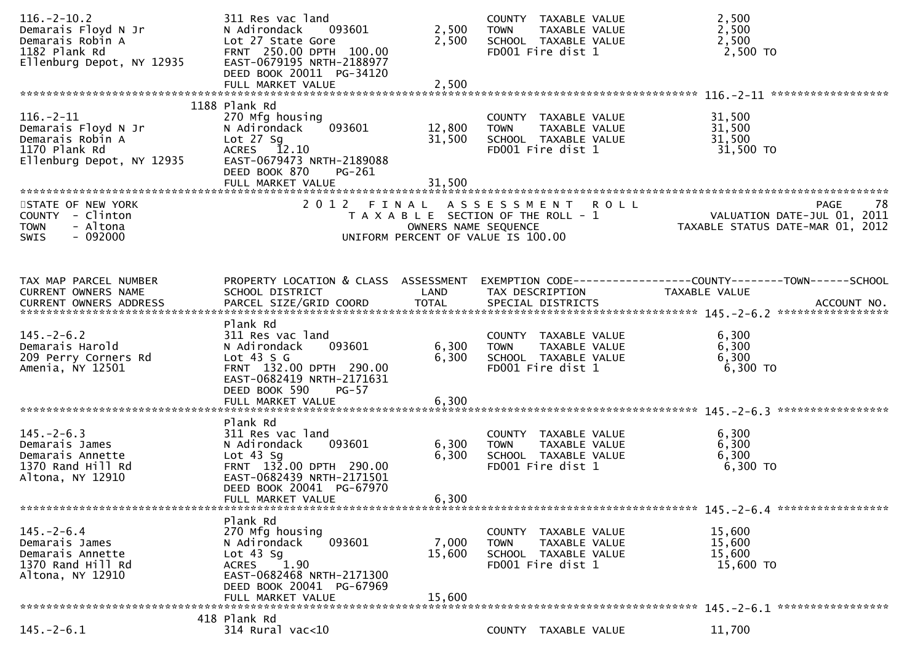| $116. - 2 - 10.2$<br>Demarais Floyd N Jr<br>Demarais Robin A<br>1182 Plank Rd<br>Ellenburg Depot, NY 12935 | 311 Res vac land<br>093601<br>N Adirondack<br>Lot 27 State Gore<br>FRNT 250.00 DPTH 100.00<br>EAST-0679195 NRTH-2188977<br>DEED BOOK 20011 PG-34120                            | 2,500<br>2,500             | COUNTY TAXABLE VALUE<br>TAXABLE VALUE<br><b>TOWN</b><br>SCHOOL TAXABLE VALUE<br>FD001 Fire dist 1         | 2,500<br>2,500<br>2,500<br>2,500 TO                                                                               |
|------------------------------------------------------------------------------------------------------------|--------------------------------------------------------------------------------------------------------------------------------------------------------------------------------|----------------------------|-----------------------------------------------------------------------------------------------------------|-------------------------------------------------------------------------------------------------------------------|
|                                                                                                            | FULL MARKET VALUE                                                                                                                                                              | 2,500                      |                                                                                                           |                                                                                                                   |
| $116. - 2 - 11$<br>Demarais Floyd N Jr<br>Demarais Robin A<br>1170 Plank Rd<br>Ellenburg Depot, NY 12935   | 1188 Plank Rd<br>270 Mfg housing<br>093601<br>N Adirondack<br>Lot $27$ Sg<br>ACRES 12.10<br>EAST-0679473 NRTH-2189088<br>DEED BOOK 870<br>PG-261<br>FULL MARKET VALUE          | 12,800<br>31,500<br>31,500 | COUNTY TAXABLE VALUE<br><b>TOWN</b><br>TAXABLE VALUE<br>SCHOOL TAXABLE VALUE<br>FD001 Fire dist 1         | 31,500<br>31,500<br>31,500<br>31,500 TO                                                                           |
| STATE OF NEW YORK<br>COUNTY - Clinton<br><b>TOWN</b><br>- Altona<br>$-092000$<br><b>SWIS</b>               |                                                                                                                                                                                | OWNERS NAME SEQUENCE       | 2012 FINAL ASSESSMENT ROLL<br>T A X A B L E SECTION OF THE ROLL - 1<br>UNIFORM PERCENT OF VALUE IS 100.00 | -78<br>PAGE<br>VALUATION DATE-JUL $01$ , $2011$<br>TAXABLE STATUS DATE-MAR 01, 2012                               |
| TAX MAP PARCEL NUMBER<br>CURRENT OWNERS NAME<br>CURRENT OWNERS ADDRESS                                     | SCHOOL DISTRICT                                                                                                                                                                | LAND                       | TAX DESCRIPTION                                                                                           | PROPERTY LOCATION & CLASS ASSESSMENT EXEMPTION CODE----------------COUNTY-------TOWN------SCHOOL<br>TAXABLE VALUE |
| $145. - 2 - 6.2$<br>Demarais Harold<br>209 Perry Corners Rd<br>Amenia, NY 12501                            | Plank Rd<br>311 Res vac land<br>093601<br>N Adirondack<br>Lot $43 S G$<br>FRNT 132.00 DPTH 290.00<br>EAST-0682419 NRTH-2171631<br>DEED BOOK 590<br>$PG-57$                     | 6,300<br>6,300             | COUNTY TAXABLE VALUE<br>TAXABLE VALUE<br><b>TOWN</b><br>SCHOOL TAXABLE VALUE<br>FD001 Fire dist 1         | 6,300<br>6,300<br>6,300<br>6,300 TO                                                                               |
|                                                                                                            |                                                                                                                                                                                |                            |                                                                                                           |                                                                                                                   |
| $145. - 2 - 6.3$<br>Demarais James<br>Demarais Annette<br>1370 Rand Hill Rd<br>Altona, NY 12910            | Plank Rd<br>311 Res vac land<br>093601<br>N Adirondack<br>Lot $43$ Sg<br>FRNT 132.00 DPTH 290.00<br>EAST-0682439 NRTH-2171501<br>DEED BOOK 20041 PG-67970<br>FULL MARKET VALUE | 6,300<br>6,300<br>6,300    | COUNTY TAXABLE VALUE<br><b>TOWN</b><br>TAXABLE VALUE<br>SCHOOL TAXABLE VALUE<br>FD001 Fire dist 1         | 6,300<br>6,300<br>6,300<br>6,300 TO                                                                               |
|                                                                                                            | Plank Rd                                                                                                                                                                       |                            |                                                                                                           |                                                                                                                   |
| $145. - 2 - 6.4$<br>Demarais James<br>Demarais Annette<br>1370 Rand Hill Rd<br>Altona, NY 12910            | 270 Mfg housing<br>093601<br>N Adirondack<br>Lot $43$ Sg<br>ACRES 1.90<br>EAST-0682468 NRTH-2171300<br>DEED BOOK 20041 PG-67969<br>FULL MARKET VALUE                           | 7,000<br>15,600<br>15,600  | COUNTY TAXABLE VALUE<br><b>TOWN</b><br>TAXABLE VALUE<br>SCHOOL TAXABLE VALUE<br>FD001 Fire dist 1         | 15,600<br>15,600<br>15,600<br>15,600 TO                                                                           |
|                                                                                                            | 418 Plank Rd                                                                                                                                                                   |                            |                                                                                                           |                                                                                                                   |
| $145. -2 - 6.1$                                                                                            | $314$ Rural vac<10                                                                                                                                                             |                            | COUNTY TAXABLE VALUE                                                                                      | 11,700                                                                                                            |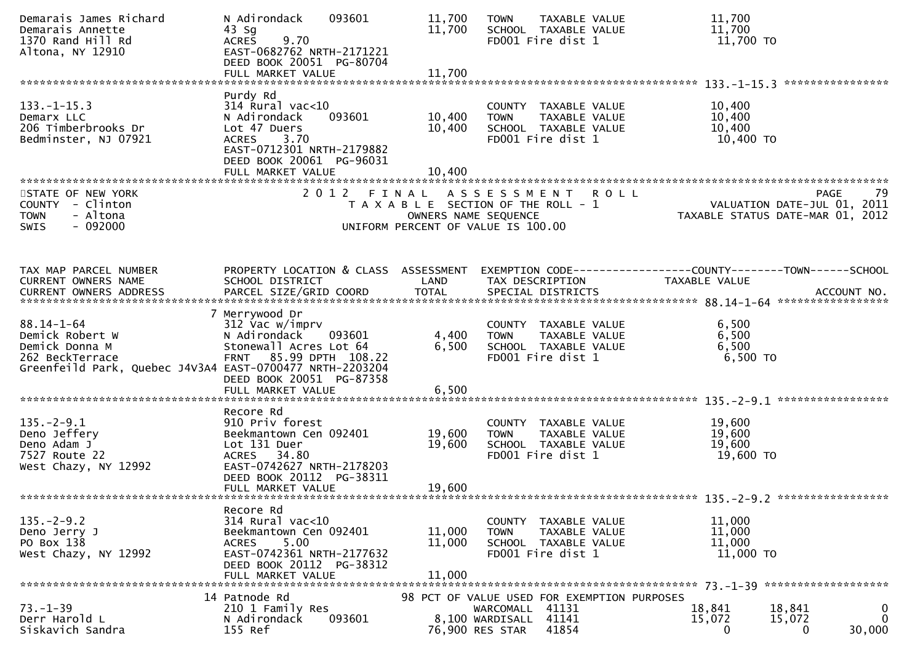| Demarais James Richard<br>Demarais Annette<br>1370 Rand Hill Rd<br>Altona, NY 12910                                                  | N Adirondack<br>093601<br>$43$ Sg<br>9.70<br><b>ACRES</b><br>EAST-0682762 NRTH-2171221<br>DEED BOOK 20051 PG-80704<br>FULL MARKET VALUE                                        | 11,700<br>11,700<br>11,700                                                                                   | <b>TOWN</b>                                                 | TAXABLE VALUE<br>SCHOOL TAXABLE VALUE<br>FD001 Fire dist 1                         | 11,700<br>11,700<br>11,700 TO                                                                                 |                                           |
|--------------------------------------------------------------------------------------------------------------------------------------|--------------------------------------------------------------------------------------------------------------------------------------------------------------------------------|--------------------------------------------------------------------------------------------------------------|-------------------------------------------------------------|------------------------------------------------------------------------------------|---------------------------------------------------------------------------------------------------------------|-------------------------------------------|
|                                                                                                                                      |                                                                                                                                                                                |                                                                                                              |                                                             |                                                                                    |                                                                                                               | ****************                          |
| $133. - 1 - 15.3$<br>Demarx LLC<br>206 Timberbrooks Dr<br>Bedminster, NJ 07921                                                       | Purdy Rd<br>$314$ Rural vac<10<br>N Adirondack<br>093601<br>Lot 47 Duers<br>3.70<br><b>ACRES</b><br>EAST-0712301 NRTH-2179882<br>DEED BOOK 20061 PG-96031<br>FULL MARKET VALUE | 10,400<br>10,400<br>10.400                                                                                   | <b>TOWN</b>                                                 | COUNTY TAXABLE VALUE<br>TAXABLE VALUE<br>SCHOOL TAXABLE VALUE<br>FD001 Fire dist 1 | 10,400<br>10,400<br>10,400<br>10,400 TO                                                                       |                                           |
|                                                                                                                                      |                                                                                                                                                                                |                                                                                                              |                                                             |                                                                                    |                                                                                                               |                                           |
| STATE OF NEW YORK<br>COUNTY - Clinton<br>- Altona<br><b>TOWN</b><br>$-092000$<br><b>SWIS</b>                                         | 2 0 1 2                                                                                                                                                                        | FINAL<br>T A X A B L E SECTION OF THE ROLL - 1<br>OWNERS NAME SEQUENCE<br>UNIFORM PERCENT OF VALUE IS 100.00 | A S S E S S M E N T                                         | <b>ROLL</b>                                                                        | 79 - YAGE<br>VALUATION DATE-JUL 01, 2011<br>TAXARLE STATUS DATE WILL 2011<br>TAXABLE STATUS DATE-MAR 01, 2012 | PAGE<br>79                                |
| TAX MAP PARCEL NUMBER                                                                                                                | PROPERTY LOCATION & CLASS ASSESSMENT                                                                                                                                           |                                                                                                              |                                                             |                                                                                    | EXEMPTION CODE-----------------COUNTY-------TOWN------SCHOOL                                                  |                                           |
| CURRENT OWNERS NAME                                                                                                                  | SCHOOL DISTRICT                                                                                                                                                                | LAND                                                                                                         | TAX DESCRIPTION                                             |                                                                                    | TAXABLE VALUE                                                                                                 |                                           |
|                                                                                                                                      |                                                                                                                                                                                |                                                                                                              |                                                             |                                                                                    |                                                                                                               |                                           |
|                                                                                                                                      |                                                                                                                                                                                |                                                                                                              |                                                             |                                                                                    |                                                                                                               |                                           |
| $88.14 - 1 - 64$<br>Demick Robert W<br>Demick Donna M<br>262 BeckTerrace<br>Greenfeild Park, Quebec J4V3A4 EAST-0700477 NRTH-2203204 | 7 Merrywood Dr<br>312 Vac w/imprv<br>N Adirondack<br>093601<br>Stonewall Acres Lot 64<br>FRNT 85.99 DPTH 108.22<br>DEED BOOK 20051 PG-87358<br>FULL MARKET VALUE               | 4,400<br>6,500<br>6,500                                                                                      | <b>TOWN</b>                                                 | COUNTY TAXABLE VALUE<br>TAXABLE VALUE<br>SCHOOL TAXABLE VALUE<br>FD001 Fire dist 1 | 6,500<br>6,500<br>6,500<br>6,500 TO                                                                           |                                           |
|                                                                                                                                      | Recore Rd                                                                                                                                                                      |                                                                                                              |                                                             |                                                                                    |                                                                                                               |                                           |
| $135. - 2 - 9.1$<br>Deno Jeffery<br>Deno Adam J<br>7527 Route 22<br>West Chazy, NY 12992                                             | 910 Priv forest<br>Beekmantown Cen 092401<br>Lot 131 Duer<br><b>ACRES</b><br>34.80<br>EAST-0742627 NRTH-2178203<br>DEED BOOK 20112 PG-38311<br>FULL MARKET VALUE               | 19,600<br>19,600<br>19,600                                                                                   | <b>TOWN</b>                                                 | COUNTY TAXABLE VALUE<br>TAXABLE VALUE<br>SCHOOL TAXABLE VALUE<br>FD001 Fire dist 1 | 19,600<br>19,600<br>19,600<br>19,600 TO                                                                       |                                           |
|                                                                                                                                      |                                                                                                                                                                                |                                                                                                              |                                                             |                                                                                    |                                                                                                               |                                           |
| $135. -2 - 9.2$<br>Deno Jerry J<br>PO Box 138<br>West Chazy, NY 12992                                                                | Recore Rd<br>$314$ Rural vac< $10$<br>Beekmantown Cen 092401<br>5.00<br><b>ACRES</b><br>EAST-0742361 NRTH-2177632<br>DEED BOOK 20112 PG-38312<br>FULL MARKET VALUE             | 11,000<br>11,000<br>11,000                                                                                   | <b>TOWN</b>                                                 | COUNTY TAXABLE VALUE<br>TAXABLE VALUE<br>SCHOOL TAXABLE VALUE<br>FD001 Fire dist 1 | 11,000<br>11,000<br>11,000<br>11,000 TO                                                                       |                                           |
|                                                                                                                                      |                                                                                                                                                                                |                                                                                                              |                                                             |                                                                                    |                                                                                                               |                                           |
| $73. - 1 - 39$<br>Derr Harold L<br>Siskavich Sandra                                                                                  | 14 Patnode Rd<br>210 1 Family Res<br>093601<br>N Adirondack<br>155 Ref                                                                                                         |                                                                                                              | WARCOMALL 41131<br>8,100 WARDISALL 41141<br>76,900 RES STAR | 98 PCT OF VALUE USED FOR EXEMPTION PURPOSES<br>41854                               | 18,841<br>15,072<br>0                                                                                         | 18,841<br>0<br>0<br>15,072<br>30,000<br>0 |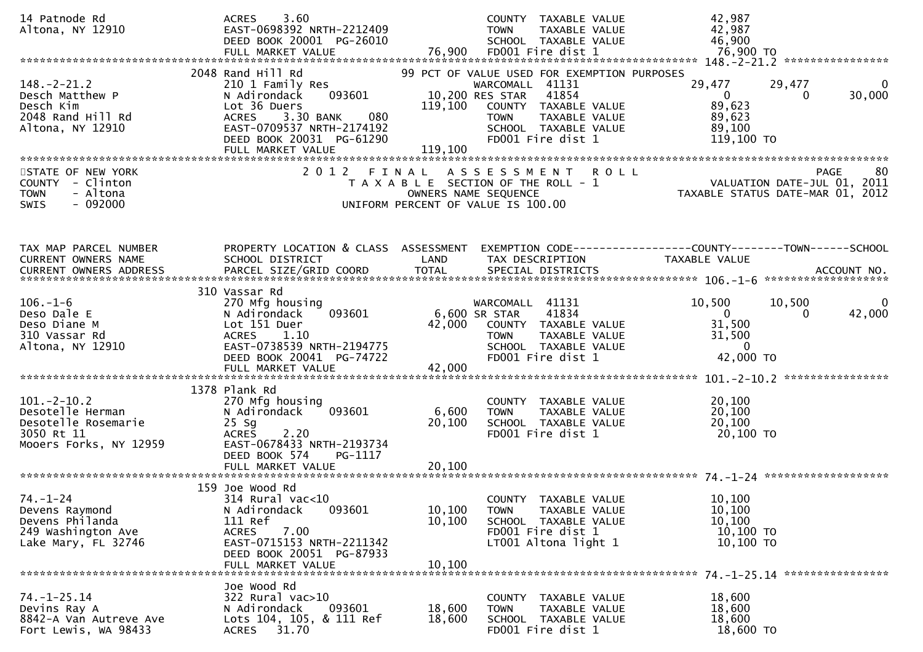| 14 Patnode Rd<br>Altona, NY 12910                                                                   | 3.60<br><b>ACRES</b><br>EAST-0698392 NRTH-2212409<br>DEED BOOK 20001 PG-26010<br>FULL MARKET VALUE                                                                                                | 76,900                     | COUNTY TAXABLE VALUE<br><b>TAXABLE VALUE</b><br><b>TOWN</b><br>SCHOOL TAXABLE VALUE<br>FD001 Fire dist 1                                                                                        | 42,987<br>42,987<br>46,900<br>76,900 TO                                                                 |
|-----------------------------------------------------------------------------------------------------|---------------------------------------------------------------------------------------------------------------------------------------------------------------------------------------------------|----------------------------|-------------------------------------------------------------------------------------------------------------------------------------------------------------------------------------------------|---------------------------------------------------------------------------------------------------------|
| $148. - 2 - 21.2$<br>Desch Matthew P<br>Desch Kim<br>2048 Rand Hill Rd<br>Altona, NY 12910          | 2048 Rand Hill Rd<br>210 1 Family Res<br>093601<br>N Adirondack<br>Lot 36 Duers<br>3.30 BANK<br>080<br><b>ACRES</b><br>EAST-0709537 NRTH-2174192<br>DEED BOOK 20031 PG-61290<br>FULL MARKET VALUE | 119,100<br>119,100         | 99 PCT OF VALUE USED FOR EXEMPTION PURPOSES<br>WARCOMALL 41131<br>10,200 RES STAR<br>41854<br>COUNTY TAXABLE VALUE<br><b>TOWN</b><br>TAXABLE VALUE<br>SCHOOL TAXABLE VALUE<br>FD001 Fire dist 1 | 29,477<br>29,477<br>$\bf{0}$<br>30,000<br>$\mathbf{0}$<br>0<br>89,623<br>89,623<br>89,100<br>119,100 TO |
| STATE OF NEW YORK<br>COUNTY - Clinton<br><b>TOWN</b><br>- Altona<br><b>SWIS</b><br>$-092000$        | 2012 FINAL                                                                                                                                                                                        |                            | A S S E S S M E N T<br><b>ROLL</b><br>T A X A B L E SECTION OF THE ROLL - 1<br>OWNERS NAME SEQUENCE<br>UNIFORM PERCENT OF VALUE IS 100.00                                                       | 80<br><b>PAGE</b><br>VALUATION DATE-JUL 01, 2011<br>TAXABLE STATUS DATE-MAR 01, 2012                    |
| TAX MAP PARCEL NUMBER<br>CURRENT OWNERS NAME<br><b>CURRENT OWNERS ADDRESS</b>                       | PROPERTY LOCATION & CLASS ASSESSMENT<br>SCHOOL DISTRICT                                                                                                                                           | LAND                       | TAX DESCRIPTION                                                                                                                                                                                 | EXEMPTION CODE------------------COUNTY--------TOWN------SCHOOL<br>TAXABLE VALUE                         |
| $106. - 1 - 6$<br>Deso Dale E<br>Deso Diane M<br>310 Vassar Rd<br>Altona, NY 12910                  | 310 Vassar Rd<br>270 Mfg housing<br>093601<br>N Adirondack<br>Lot 151 Duer<br>1.10<br><b>ACRES</b><br>EAST-0738539 NRTH-2194775<br>DEED BOOK 20041 PG-74722<br>FULL MARKET VALUE                  | 42,000<br>42,000           | WARCOMALL 41131<br>41834<br>6,600 SR STAR<br>COUNTY TAXABLE VALUE<br>TAXABLE VALUE<br><b>TOWN</b><br>SCHOOL TAXABLE VALUE<br>FD001 Fire dist 1                                                  | 10,500<br>10,500<br>42,000<br>$\mathbf{0}$<br>$\mathbf{0}$<br>31,500<br>31,500<br>$\Omega$<br>42,000 TO |
| $101. -2 - 10.2$<br>Desotelle Herman<br>Desotelle Rosemarie<br>3050 Rt 11<br>Mooers Forks, NY 12959 | 1378 Plank Rd<br>270 Mfg housing<br>093601<br>N Adirondack<br>$25$ Sg<br><b>ACRES</b><br>2.20<br>EAST-0678433 NRTH-2193734<br>DEED BOOK 574<br>PG-1117                                            | 6,600<br>20,100            | COUNTY TAXABLE VALUE<br>TAXABLE VALUE<br><b>TOWN</b><br>SCHOOL TAXABLE VALUE<br>FD001 Fire dist 1                                                                                               | 20,100<br>20,100<br>20,100<br>20,100 TO                                                                 |
| $74. - 1 - 24$<br>Devens Raymond<br>Devens Philanda<br>249 Washington Ave<br>Lake Mary, FL 32746    | 159 Joe Wood Rd<br>314 Rural vac<10<br>N Adirondack<br>093601<br>111 Ref<br>7.00<br><b>ACRES</b><br>EAST-0715153 NRTH-2211342<br>DEED BOOK 20051 PG-87933<br>FULL MARKET VALUE                    | 10,100<br>10,100<br>10,100 | COUNTY TAXABLE VALUE<br>TAXABLE VALUE<br><b>TOWN</b><br>SCHOOL TAXABLE VALUE<br>FD001 Fire dist 1<br>$LT001$ Altona light 1                                                                     | 10,100<br>10,100<br>10,100<br>10,100 TO<br>10,100 TO                                                    |
| $74. - 1 - 25.14$<br>Devins Ray A<br>8842-A Van Autreve Ave<br>Fort Lewis, WA 98433                 | Joe Wood Rd<br>322 Rural vac>10<br>N Adirondack<br>093601<br>Lots 104, 105, & 111 Ref<br>ACRES<br>31.70                                                                                           | 18,600<br>18,600           | COUNTY TAXABLE VALUE<br>TAXABLE VALUE<br>TOWN<br>SCHOOL TAXABLE VALUE<br>FD001 Fire dist 1                                                                                                      | 18,600<br>18,600<br>18,600<br>18,600 TO                                                                 |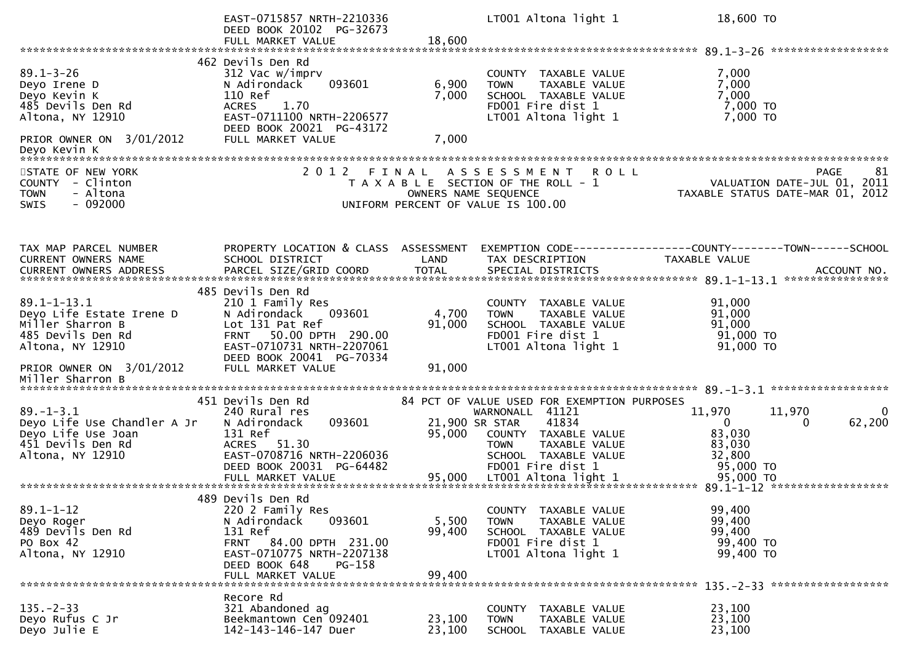|                                                                                                                                                            | EAST-0715857 NRTH-2210336<br>DEED BOOK 20102 PG-32673                                                                                                                                                |                           | LT001 Altona light 1                                                                                                                                                                           | 18,600 TO                                                                                       |
|------------------------------------------------------------------------------------------------------------------------------------------------------------|------------------------------------------------------------------------------------------------------------------------------------------------------------------------------------------------------|---------------------------|------------------------------------------------------------------------------------------------------------------------------------------------------------------------------------------------|-------------------------------------------------------------------------------------------------|
|                                                                                                                                                            | FULL MARKET VALUE                                                                                                                                                                                    | 18,600                    |                                                                                                                                                                                                |                                                                                                 |
| $89.1 - 3 - 26$<br>Deyo Irene D<br>Deyo Kevin K<br>485 Devils Den Rd<br>Altona, NY 12910                                                                   | 462 Devils Den Rd<br>312 Vac w/imprv<br>093601<br>N Adirondack<br>110 Ref<br>1.70<br><b>ACRES</b><br>EAST-0711100 NRTH-2206577<br>DEED BOOK 20021 PG-43172                                           | 6,900<br>7,000            | COUNTY TAXABLE VALUE<br>TAXABLE VALUE<br><b>TOWN</b><br>SCHOOL TAXABLE VALUE<br>FD001 Fire dist 1<br>LT001 Altona light 1                                                                      | 7,000<br>7,000<br>7,000<br>7,000 TO<br>7,000 TO                                                 |
| PRIOR OWNER ON 3/01/2012<br>Deyo Kevin K<br>******************                                                                                             | FULL MARKET VALUE                                                                                                                                                                                    | 7,000                     |                                                                                                                                                                                                |                                                                                                 |
| STATE OF NEW YORK<br>COUNTY - Clinton<br>- Altona<br><b>TOWN</b><br>$-092000$<br><b>SWIS</b>                                                               | 2 0 1 2<br>FINAL                                                                                                                                                                                     |                           | A S S E S S M E N T<br><b>ROLL</b><br>T A X A B L E SECTION OF THE ROLL - 1<br>OWNERS NAME SEQUENCE<br>UNIFORM PERCENT OF VALUE IS 100.00                                                      | 81<br><b>PAGE</b><br>VALUATION DATE-JUL 01, 2011<br>TAXABLE STATUS DATE-MAR 01, 2012            |
| TAX MAP PARCEL NUMBER<br>CURRENT OWNERS NAME<br>CURRENT OWNERS ADDRESS                                                                                     | PROPERTY LOCATION & CLASS ASSESSMENT<br>SCHOOL DISTRICT                                                                                                                                              | LAND                      | TAX DESCRIPTION                                                                                                                                                                                | EXEMPTION CODE-----------------COUNTY-------TOWN------SCHOOL<br>TAXABLE VALUE                   |
| $89.1 - 1 - 13.1$<br>Deyo Life Estate Irene D<br>Miller Sharron B<br>485 Devils Den Rd<br>Altona, NY 12910<br>PRIOR OWNER ON 3/01/2012<br>Miller Sharron B | 485 Devils Den Rd<br>210 1 Family Res<br>093601<br>N Adirondack<br>Lot 131 Pat Ref<br>50.00 DPTH 290.00<br><b>FRNT</b><br>EAST-0710731 NRTH-2207061<br>DEED BOOK 20041 PG-70334<br>FULL MARKET VALUE | 4,700<br>91,000<br>91,000 | COUNTY TAXABLE VALUE<br>TAXABLE VALUE<br><b>TOWN</b><br>SCHOOL TAXABLE VALUE<br>FD001 Fire dist 1<br>LT001 Altona light 1                                                                      | 91,000<br>91,000<br>91,000<br>91,000 TO<br>91,000 TO                                            |
|                                                                                                                                                            |                                                                                                                                                                                                      |                           |                                                                                                                                                                                                |                                                                                                 |
| $89. - 1 - 3.1$<br>Deyo Life Use Chandler A Jr<br>Deyo Life Use Joan<br>451 Devils Den Rd<br>Altona, NY 12910                                              | 451 Devils Den Rd<br>240 Rural res<br>093601<br>N Adirondack<br>131 Ref<br>ACRES 51.30<br>EAST-0708716 NRTH-2206036<br>DEED BOOK 20031 PG-64482                                                      | 95,000                    | 84 PCT OF VALUE USED FOR EXEMPTION PURPOSES<br>WARNONALL 41121<br>41834<br>21,900 SR STAR<br>COUNTY TAXABLE VALUE<br>TAXABLE VALUE<br><b>TOWN</b><br>SCHOOL TAXABLE VALUE<br>FD001 Fire dist 1 | 11,970<br>11,970<br>0<br>62,200<br>$\mathbf{0}$<br>0<br>83,030<br>83,030<br>32,800<br>95,000 TO |
|                                                                                                                                                            |                                                                                                                                                                                                      |                           |                                                                                                                                                                                                |                                                                                                 |
| $89.1 - 1 - 12$<br>Deyo Roger<br>489 Devils Den Rd<br>PO Box 42<br>Altona, NY 12910                                                                        | 489 Devils Den Rd<br>220 2 Family Res<br>093601<br>N Adirondack<br>131 Ref<br>FRNT 84.00 DPTH 231.00<br>EAST-0710775 NRTH-2207138<br>DEED BOOK 648<br>PG-158<br>FULL MARKET VALUE                    | 5,500<br>99,400<br>99,400 | COUNTY TAXABLE VALUE<br>TAXABLE VALUE<br><b>TOWN</b><br>SCHOOL TAXABLE VALUE<br>FD001 Fire dist 1<br>LT001 Altona light 1                                                                      | 99,400<br>99,400<br>99,400<br>99,400 TO<br>99,400 TO                                            |
|                                                                                                                                                            | Recore Rd                                                                                                                                                                                            |                           |                                                                                                                                                                                                |                                                                                                 |
| $135. - 2 - 33$<br>Deyo Rufus C Jr<br>Deyo Julie E                                                                                                         | 321 Abandoned ag<br>Beekmantown Cen 092401<br>142-143-146-147 Duer                                                                                                                                   | 23,100<br>23,100          | COUNTY TAXABLE VALUE<br>TAXABLE VALUE<br><b>TOWN</b><br><b>SCHOOL</b><br>TAXABLE VALUE                                                                                                         | 23,100<br>23,100<br>23,100                                                                      |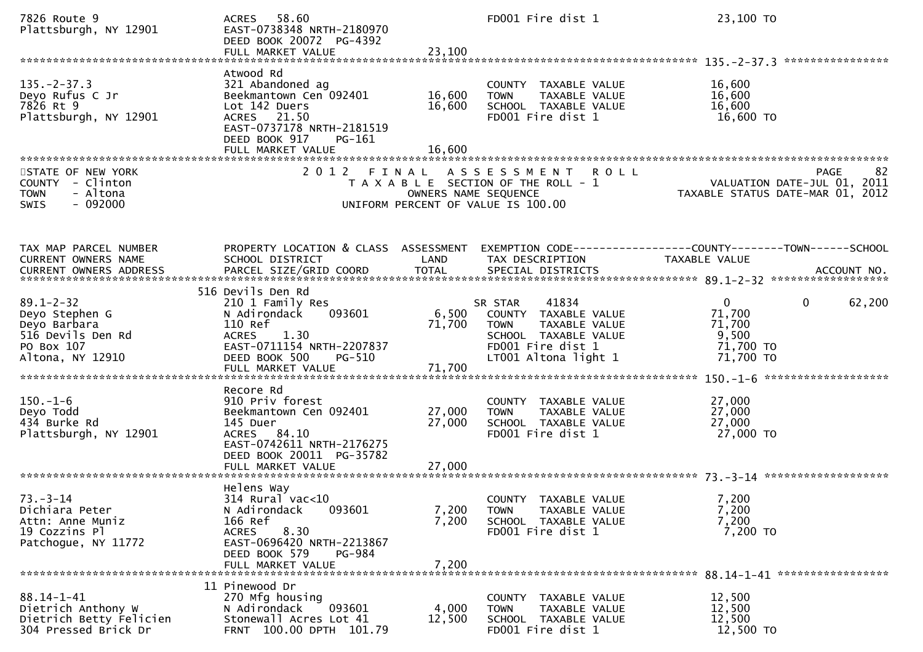| 7826 Route 9<br>Plattsburgh, NY 12901                                                                    | 58.60<br>ACRES<br>EAST-0738348 NRTH-2180970<br>DEED BOOK 20072 PG-4392<br>FULL MARKET VALUE                                                                                     | 23,100                     | FD001 Fire dist 1                                                                                                                                   | 23,100 TO                                                                                     |
|----------------------------------------------------------------------------------------------------------|---------------------------------------------------------------------------------------------------------------------------------------------------------------------------------|----------------------------|-----------------------------------------------------------------------------------------------------------------------------------------------------|-----------------------------------------------------------------------------------------------|
| $135. -2 - 37.3$<br>Deyo Rufus C Jr<br>7826 Rt 9<br>Plattsburgh, NY 12901                                | Atwood Rd<br>321 Abandoned ag<br>Beekmantown Cen 092401<br>Lot 142 Duers<br>ACRES 21.50<br>EAST-0737178 NRTH-2181519<br>DEED BOOK 917<br>PG-161<br>FULL MARKET VALUE            | 16,600<br>16,600<br>16,600 | COUNTY TAXABLE VALUE<br>TAXABLE VALUE<br><b>TOWN</b><br>SCHOOL TAXABLE VALUE<br>FD001 Fire dist 1                                                   | 16,600<br>16,600<br>16,600<br>16,600 TO                                                       |
| STATE OF NEW YORK<br>COUNTY - Clinton<br>- Altona<br><b>TOWN</b><br>$-092000$<br><b>SWIS</b>             |                                                                                                                                                                                 | OWNERS NAME SEQUENCE       | 2012 FINAL ASSESSMENT ROLL<br>T A X A B L E SECTION OF THE ROLL - 1<br>UNIFORM PERCENT OF VALUE IS 100.00                                           | <b>PAGE</b><br>82<br>VALUATION DATE-JUL 01, 2011<br>TAXABLE STATUS DATE-MAR 01, 2012          |
| TAX MAP PARCEL NUMBER<br>CURRENT OWNERS NAME                                                             | PROPERTY LOCATION & CLASS ASSESSMENT<br>SCHOOL DISTRICT                                                                                                                         | LAND                       | TAX DESCRIPTION                                                                                                                                     | EXEMPTION CODE------------------COUNTY--------TOWN------SCHOOL<br>TAXABLE VALUE               |
| $89.1 - 2 - 32$<br>Deyo Stephen G<br>Deyo Barbara<br>516 Devils Den Rd<br>PO Box 107<br>Altona, NY 12910 | 516 Devils Den Rd<br>210 1 Family Res<br>093601<br>N Adirondack<br>110 Ref<br>1.30<br><b>ACRES</b><br>EAST-0711154 NRTH-2207837<br>DEED BOOK 500<br>PG-510<br>FULL MARKET VALUE | 71,700<br>71,700           | 41834<br>SR STAR<br>6,500 COUNTY TAXABLE VALUE<br><b>TOWN</b><br>TAXABLE VALUE<br>SCHOOL TAXABLE VALUE<br>FD001 Fire dist 1<br>LT001 Altona light 1 | 62,200<br>$\mathbf{0}$<br>$\mathbf{0}$<br>71,700<br>71,700<br>9,500<br>71,700 TO<br>71,700 TO |
| $150. - 1 - 6$<br>Deyo Todd<br>434 Burke Rd<br>Plattsburgh, NY 12901                                     | Recore Rd<br>910 Priv forest<br>Beekmantown Cen 092401<br>145 Duer<br>ACRES 84.10<br>EAST-0742611 NRTH-2176275<br>DEED BOOK 20011 PG-35782<br>FULL MARKET VALUE                 | 27,000<br>27,000<br>27,000 | COUNTY TAXABLE VALUE<br>TAXABLE VALUE<br><b>TOWN</b><br>SCHOOL TAXABLE VALUE<br>FD001 Fire dist 1                                                   | 27,000<br>27,000<br>27,000<br>27,000 TO                                                       |
| $73. - 3 - 14$<br>Dichiara Peter<br>Attn: Anne Muniz<br>19 Cozzins Pl<br>Patchogue, NY 11772             | Helens Way<br>314 Rural vac<10<br>N Adirondack<br>093601<br>166 Ref<br>8.30<br>ACRES<br>EAST-0696420 NRTH-2213867<br>DEED BOOK 579<br><b>PG-984</b><br>FULL MARKET VALUE        | 7,200<br>7,200<br>7,200    | COUNTY TAXABLE VALUE<br><b>TOWN</b><br>TAXABLE VALUE<br>SCHOOL TAXABLE VALUE<br>FD001 Fire dist 1                                                   | 7,200<br>7,200<br>7,200<br>7,200 TO                                                           |
| $88.14 - 1 - 41$<br>Dietrich Anthony W<br>Dietrich Betty Felicien<br>304 Pressed Brick Dr                | 11 Pinewood Dr<br>270 Mfg housing<br>N Adirondack<br>093601<br>Stonewall Acres Lot 41<br>FRNT 100.00 DPTH 101.79                                                                | 4,000<br>12,500            | COUNTY TAXABLE VALUE<br>TAXABLE VALUE<br><b>TOWN</b><br>SCHOOL TAXABLE VALUE<br>FD001 Fire dist 1                                                   | 12,500<br>12,500<br>12,500<br>12,500 TO                                                       |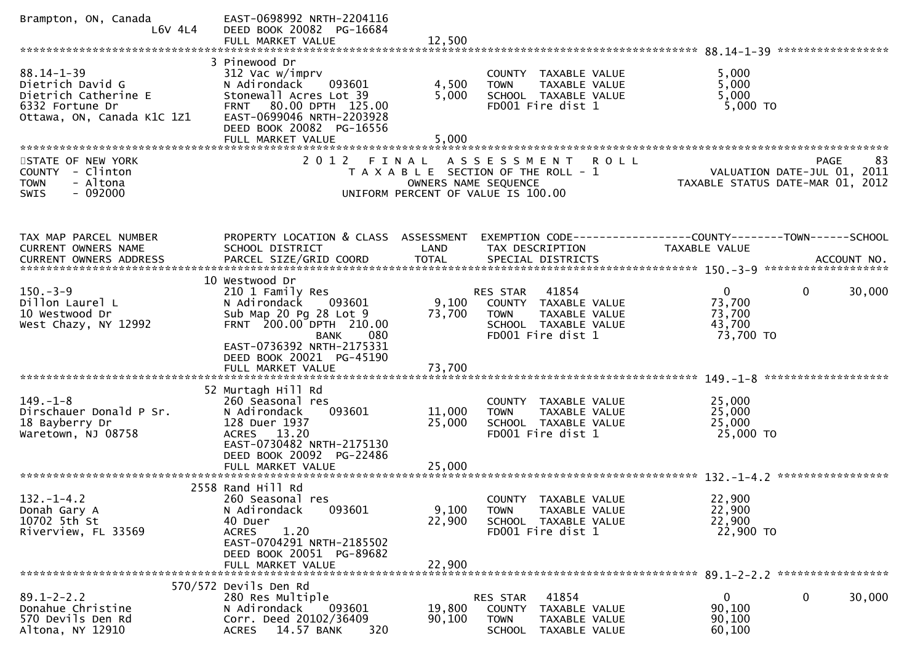| Brampton, ON, Canada<br>$L6V$ 4L4                                                                             | EAST-0698992 NRTH-2204116<br>DEED BOOK 20082 PG-16684<br>FULL MARKET VALUE                                                                                                                                            | 12,500                     |                                                                                                                        |                                                                 |             |
|---------------------------------------------------------------------------------------------------------------|-----------------------------------------------------------------------------------------------------------------------------------------------------------------------------------------------------------------------|----------------------------|------------------------------------------------------------------------------------------------------------------------|-----------------------------------------------------------------|-------------|
|                                                                                                               |                                                                                                                                                                                                                       |                            |                                                                                                                        |                                                                 |             |
| $88.14 - 1 - 39$<br>Dietrich David G<br>Dietrich Catherine E<br>6332 Fortune Dr<br>Ottawa, ON, Canada K1C 1Z1 | 3 Pinewood Dr<br>312 Vac w/imprv<br>N Adirondack<br>093601<br>Stonewall Acres Lot 39<br>FRNT 80.00 DPTH 125.00<br>EAST-0699046 NRTH-2203928<br>DEED BOOK 20082 PG-16556<br>FULL MARKET VALUE                          | 4,500<br>5,000<br>5,000    | COUNTY TAXABLE VALUE<br>TAXABLE VALUE<br><b>TOWN</b><br>SCHOOL TAXABLE VALUE<br>FD001 Fire dist 1                      | 5,000<br>5,000<br>5,000<br>5,000 TO                             |             |
| STATE OF NEW YORK<br><b>COUNTY</b><br>- Clinton<br>- Altona<br><b>TOWN</b><br>$-092000$<br><b>SWIS</b>        | 2012 FINAL                                                                                                                                                                                                            | OWNERS NAME SEQUENCE       | A S S E S S M E N T<br>R O L L<br>T A X A B L E SECTION OF THE ROLL - 1<br>UNIFORM PERCENT OF VALUE IS 100.00          | VALUATION DATE-JUL 01, 2011<br>TAXABLE STATUS DATE-MAR 01, 2012 | 83<br>PAGE  |
| TAX MAP PARCEL NUMBER<br>CURRENT OWNERS NAME                                                                  | PROPERTY LOCATION & CLASS ASSESSMENT<br>SCHOOL DISTRICT                                                                                                                                                               | LAND                       | TAX DESCRIPTION                                                                                                        | <b>TAXABLE VALUE</b>                                            |             |
| $150. - 3 - 9$<br>Dillon Laurel L<br>10 Westwood Dr<br>West Chazy, NY 12992                                   | 10 Westwood Dr<br>210 1 Family Res<br>N Adirondack<br>093601<br>Sub Map 20 Pg 28 Lot 9<br>FRNT 200.00 DPTH 210.00<br><b>BANK</b><br>080<br>EAST-0736392 NRTH-2175331<br>DEED BOOK 20021 PG-45190<br>FULL MARKET VALUE | 9,100<br>73,700<br>73,700  | 41854<br>RES STAR<br>COUNTY TAXABLE VALUE<br><b>TOWN</b><br>TAXABLE VALUE<br>SCHOOL TAXABLE VALUE<br>FD001 Fire dist 1 | $\Omega$<br>73,700<br>73,700<br>43,700<br>73,700 TO             | 0<br>30,000 |
| $149. - 1 - 8$<br>Dirschauer Donald P Sr.<br>18 Bayberry Dr<br>Waretown, NJ 08758                             | 52 Murtagh Hill Rd<br>260 Seasonal res<br>N Adirondack<br>093601<br>128 Duer 1937<br>ACRES 13.20<br>EAST-0730482 NRTH-2175130<br>DEED BOOK 20092 PG-22486<br>FULL MARKET VALUE                                        | 11,000<br>25,000<br>25,000 | COUNTY TAXABLE VALUE<br>TAXABLE VALUE<br><b>TOWN</b><br>SCHOOL TAXABLE VALUE<br>FD001 Fire dist 1                      | 25,000<br>25,000<br>25,000<br>25,000 TO                         |             |
| $132. - 1 - 4.2$<br>Donah Gary A<br>10702 5th St<br>Riverview, FL 33569                                       | 2558 Rand Hill Rd<br>260 Seasonal res<br>N Adirondack<br>093601<br>40 Duer<br>1.20<br><b>ACRES</b><br>EAST-0704291 NRTH-2185502<br>DEED BOOK 20051 PG-89682<br>FULL MARKET VALUE                                      | 9,100<br>22,900<br>22,900  | COUNTY TAXABLE VALUE<br><b>TOWN</b><br><b>TAXABLE VALUE</b><br>SCHOOL TAXABLE VALUE<br>FD001 Fire dist 1               | 22,900<br>22,900<br>22,900<br>22,900 TO                         |             |
| $89.1 - 2 - 2.2$<br>Donahue Christine<br>570 Devils Den Rd<br>Altona, NY 12910                                | 570/572 Devils Den Rd<br>280 Res Multiple<br>N Adirondack<br>093601<br>Corr. Deed 20102/36409<br>14.57 BANK<br>320<br><b>ACRES</b>                                                                                    | 19,800<br>90,100           | 41854<br>RES STAR<br>COUNTY TAXABLE VALUE<br><b>TOWN</b><br>TAXABLE VALUE<br><b>SCHOOL</b><br>TAXABLE VALUE            | $\bf{0}$<br>90,100<br>90,100<br>60,100                          | 0<br>30,000 |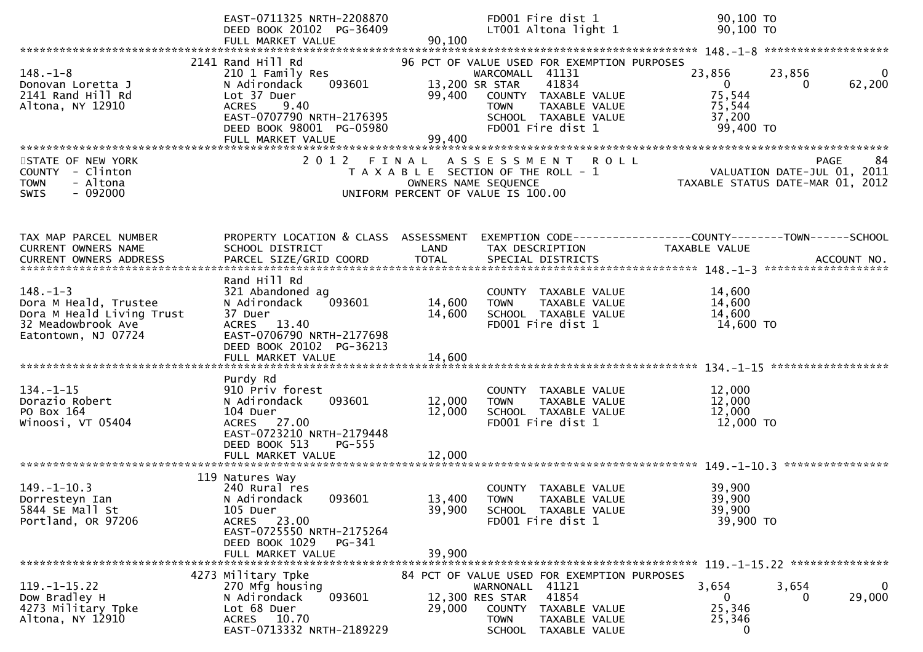|                                                                                                                   | EAST-0711325 NRTH-2208870<br>DEED BOOK 20102 PG-36409<br>FULL MARKET VALUE                                                                                                           | 90,100                             | FD001 Fire dist 1<br>LT001 Altona light 1                                                                                                                                    | 90,100 TO<br>90,100 ТО                                                               |                                                                                      |
|-------------------------------------------------------------------------------------------------------------------|--------------------------------------------------------------------------------------------------------------------------------------------------------------------------------------|------------------------------------|------------------------------------------------------------------------------------------------------------------------------------------------------------------------------|--------------------------------------------------------------------------------------|--------------------------------------------------------------------------------------|
|                                                                                                                   |                                                                                                                                                                                      |                                    |                                                                                                                                                                              |                                                                                      |                                                                                      |
| $148. - 1 - 8$<br>Donovan Loretta J<br>2141 Rand Hill Rd<br>Altona, NY 12910                                      | 2141 Rand Hill Rd<br>210 1 Family Res<br>N Adirondack<br>093601<br>Lot 37 Duer<br>9.40<br><b>ACRES</b><br>EAST-0707790 NRTH-2176395<br>DEED BOOK 98001 PG-05980<br>FULL MARKET VALUE | 13,200 SR STAR<br>99,400<br>99,400 | 96 PCT OF VALUE USED FOR EXEMPTION PURPOSES<br>WARCOMALL 41131<br>41834<br>COUNTY TAXABLE VALUE<br>TAXABLE VALUE<br><b>TOWN</b><br>SCHOOL TAXABLE VALUE<br>FD001 Fire dist 1 | 23,856<br>$\Omega$<br>75,544<br>75,544<br>37,200<br>99,400 TO                        | 23,856<br>0<br>62,200<br>0                                                           |
|                                                                                                                   |                                                                                                                                                                                      |                                    |                                                                                                                                                                              |                                                                                      |                                                                                      |
| STATE OF NEW YORK<br>COUNTY - Clinton<br>- Altona<br><b>TOWN</b><br>$-092000$<br><b>SWIS</b>                      |                                                                                                                                                                                      | OWNERS NAME SEQUENCE               | 2012 FINAL ASSESSMENT ROLL<br>T A X A B L E SECTION OF THE ROLL - 1<br>UNIFORM PERCENT OF VALUE IS 100.00                                                                    |                                                                                      | 84<br><b>PAGE</b><br>VALUATION DATE-JUL 01, 2011<br>TAXABLE STATUS DATE-MAR 01, 2012 |
| TAX MAP PARCEL NUMBER<br>CURRENT OWNERS NAME                                                                      | PROPERTY LOCATION & CLASS ASSESSMENT<br>SCHOOL DISTRICT                                                                                                                              | LAND                               | TAX DESCRIPTION                                                                                                                                                              | EXEMPTION CODE-----------------COUNTY-------TOWN------SCHOOL<br><b>TAXABLE VALUE</b> |                                                                                      |
| $148. - 1 - 3$<br>Dora M Heald, Trustee<br>Dora M Heald Living Trust<br>32 Meadowbrook Ave<br>Eatontown, NJ 07724 | Rand Hill Rd<br>321 Abandoned ag<br>093601<br>N Adirondack<br>37 Duer<br>ACRES 13.40<br>EAST-0706790 NRTH-2177698<br>DEED BOOK 20102 PG-36213<br>FULL MARKET VALUE                   | 14,600<br>14,600<br>14,600         | COUNTY TAXABLE VALUE<br>TAXABLE VALUE<br><b>TOWN</b><br>SCHOOL TAXABLE VALUE<br>FD001 Fire dist 1                                                                            | 14,600<br>14,600<br>14,600<br>14,600 TO                                              | ******************                                                                   |
|                                                                                                                   | Purdy Rd                                                                                                                                                                             |                                    |                                                                                                                                                                              |                                                                                      |                                                                                      |
| $134. - 1 - 15$<br>Dorazio Robert<br>PO Box 164<br>Winoosi, VT 05404                                              | 910 Priv forest<br>093601<br>N Adirondack<br>104 Duer<br>ACRES 27.00<br>EAST-0723210 NRTH-2179448<br>DEED BOOK 513<br>PG-555                                                         | 12,000<br>12,000                   | COUNTY TAXABLE VALUE<br>TAXABLE VALUE<br><b>TOWN</b><br>SCHOOL TAXABLE VALUE<br>FD001 Fire dist 1                                                                            | 12,000<br>12,000<br>12,000<br>12,000 TO                                              |                                                                                      |
|                                                                                                                   | FULL MARKET VALUE                                                                                                                                                                    | 12,000                             |                                                                                                                                                                              |                                                                                      |                                                                                      |
| $149. - 1 - 10.3$<br>Dorresteyn Ian<br>5844 SE Mall St<br>Portland, OR 97206                                      | 119 Natures Way<br>240 Rural res<br>093601<br>N Adirondack<br>105 Duer<br>ACRES 23.00<br>EAST-0725550 NRTH-2175264<br>DEED BOOK 1029<br>PG-341                                       | 13,400<br>39,900                   | COUNTY TAXABLE VALUE<br><b>TOWN</b><br>TAXABLE VALUE<br>SCHOOL TAXABLE VALUE<br>FD001 Fire dist 1                                                                            | 39,900<br>39,900<br>39,900<br>39,900 TO                                              | ****************                                                                     |
|                                                                                                                   | FULL MARKET VALUE                                                                                                                                                                    | 39,900                             |                                                                                                                                                                              |                                                                                      |                                                                                      |
| $119. - 1 - 15.22$<br>Dow Bradley H<br>4273 Military Tpke<br>Altona, NY 12910                                     | 4273 Military Tpke<br>270 Mfg housing<br>093601<br>N Adirondack<br>Lot 68 Duer<br>ACRES 10.70<br>EAST-0713332 NRTH-2189229                                                           | 12,300 RES STAR<br>29,000          | 84 PCT OF VALUE USED FOR EXEMPTION PURPOSES<br>WARNONALL 41121<br>41854<br>COUNTY<br>TAXABLE VALUE<br><b>TOWN</b><br>TAXABLE VALUE<br><b>SCHOOL</b><br>TAXABLE VALUE         | 3,654<br>0<br>25,346<br>25,346<br>0                                                  | 3,654<br>0<br>29,000<br>0                                                            |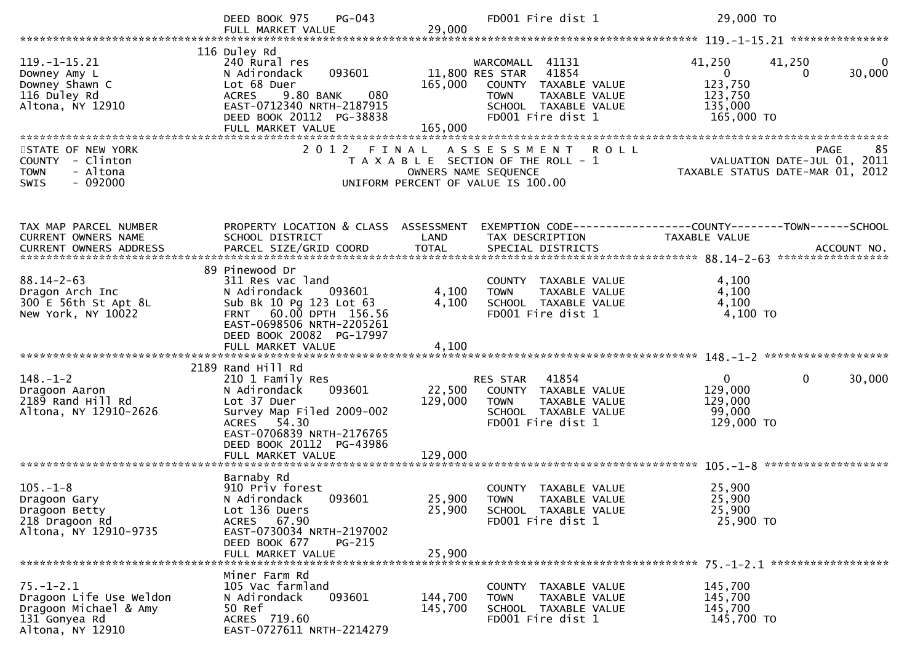|                                                                                                          | PG-043<br>DEED BOOK 975<br>FULL MARKET VALUE                                                                                                                                                             | 29,000                       | FD001 Fire dist 1                                                                                                                                | 29,000 TO                                                             |                                                |
|----------------------------------------------------------------------------------------------------------|----------------------------------------------------------------------------------------------------------------------------------------------------------------------------------------------------------|------------------------------|--------------------------------------------------------------------------------------------------------------------------------------------------|-----------------------------------------------------------------------|------------------------------------------------|
|                                                                                                          |                                                                                                                                                                                                          |                              |                                                                                                                                                  |                                                                       |                                                |
| $119. - 1 - 15.21$<br>Downey Amy L<br>Downey Shawn C<br>116 Duley Rd<br>Altona, NY 12910                 | 116 Duley Rd<br>240 Rural res<br>093601<br>N Adirondack<br>Lot 68 Duer<br>080<br>9.80 BANK<br><b>ACRES</b><br>EAST-0712340 NRTH-2187915<br>DEED BOOK 20112 PG-38838<br>FULL MARKET VALUE                 | 165,000<br>165,000           | WARCOMALL 41131<br>11,800 RES STAR<br>41854<br>COUNTY TAXABLE VALUE<br>TAXABLE VALUE<br><b>TOWN</b><br>SCHOOL TAXABLE VALUE<br>FD001 Fire dist 1 | 41,250<br>$\mathbf{0}$<br>123,750<br>123,750<br>135,000<br>165,000 TO | 41,250<br>30,000<br>$\Omega$                   |
| STATE OF NEW YORK<br>COUNTY - Clinton<br><b>TOWN</b><br>- Altona<br>$-092000$<br>SWIS                    |                                                                                                                                                                                                          | OWNERS NAME SEQUENCE         | 2012 FINAL ASSESSMENT ROLL<br>T A X A B L E SECTION OF THE ROLL - 1<br>UNIFORM PERCENT OF VALUE IS 100.00                                        | VALUATION DATE-JUL 01, 2011                                           | 85<br>PAGE<br>TAXABLE STATUS DATE-MAR 01, 2012 |
| TAX MAP PARCEL NUMBER<br>CURRENT OWNERS NAME                                                             | PROPERTY LOCATION & CLASS ASSESSMENT EXEMPTION CODE----------------COUNTY-------TOWN------SCHOOL<br>SCHOOL DISTRICT                                                                                      | LAND                         | TAX DESCRIPTION                                                                                                                                  | TAXABLE VALUE                                                         |                                                |
| $88.14 - 2 - 63$<br>Dragon Arch Inc<br>300 E 56th St Apt 8L<br>New York, NY 10022                        | 89 Pinewood Dr<br>311 Res vac land<br>N Adirondack<br>093601<br>Sub Bk 10 Pg 123 Lot 63<br>FRNT 60.00 DPTH 156.56<br>EAST-0698506 NRTH-2205261<br>DEED BOOK 20082 PG-17997                               | 4,100<br>4,100               | COUNTY TAXABLE VALUE<br>TAXABLE VALUE<br><b>TOWN</b><br>SCHOOL TAXABLE VALUE<br>FD001 Fire dist 1                                                | 4,100<br>4,100<br>4,100<br>4,100 TO                                   |                                                |
| $148. - 1 - 2$<br>Dragoon Aaron<br>$2189$ Rand Hill Rd<br>Altona, NY 12910-2626                          | 2189 Rand Hill Rd<br>210 1 Family Res<br>N Adirondack<br>093601<br>Lot 37 Duer<br>Survey Map Filed 2009-002<br>ACRES 54.30<br>EAST-0706839 NRTH-2176765<br>DEED BOOK 20112 PG-43986<br>FULL MARKET VALUE | 22,500<br>129,000<br>129,000 | RES STAR 41854<br>COUNTY TAXABLE VALUE<br>TAXABLE VALUE<br><b>TOWN</b><br>SCHOOL TAXABLE VALUE<br>FD001 Fire dist 1                              | $\mathbf 0$<br>129,000<br>129,000<br>99,000<br>129,000 TO             | $\mathbf{0}$<br>30,000                         |
| $105. - 1 - 8$<br>Dragoon Gary<br>Dragoon Betty<br>218 Dragoon Rd<br>Altona, NY 12910-9735               | Barnaby Rd<br>910 Priv forest<br>093601<br>N Adirondack<br>Lot 136 Duers<br>67.90<br>ACRES<br>EAST-0730034 NRTH-2197002<br>DEED BOOK 677<br>$PG-215$<br>FULL MARKET VALUE                                | 25,900<br>25,900<br>25,900   | COUNTY TAXABLE VALUE<br><b>TOWN</b><br>TAXABLE VALUE<br>SCHOOL TAXABLE VALUE<br>FD001 Fire dist 1                                                | 25,900<br>25,900<br>25,900<br>25,900 TO                               |                                                |
| $75. - 1 - 2.1$<br>Dragoon Life Use Weldon<br>Dragoon Michael & Amy<br>131 Gonyea Rd<br>Altona, NY 12910 | Miner Farm Rd<br>105 Vac farmland<br>093601<br>N Adirondack<br>50 Ref<br>ACRES 719.60<br>EAST-0727611 NRTH-2214279                                                                                       | 144,700<br>145,700           | COUNTY TAXABLE VALUE<br><b>TOWN</b><br>TAXABLE VALUE<br>SCHOOL TAXABLE VALUE<br>FD001 Fire dist 1                                                | 145,700<br>145,700<br>145,700<br>145,700 TO                           |                                                |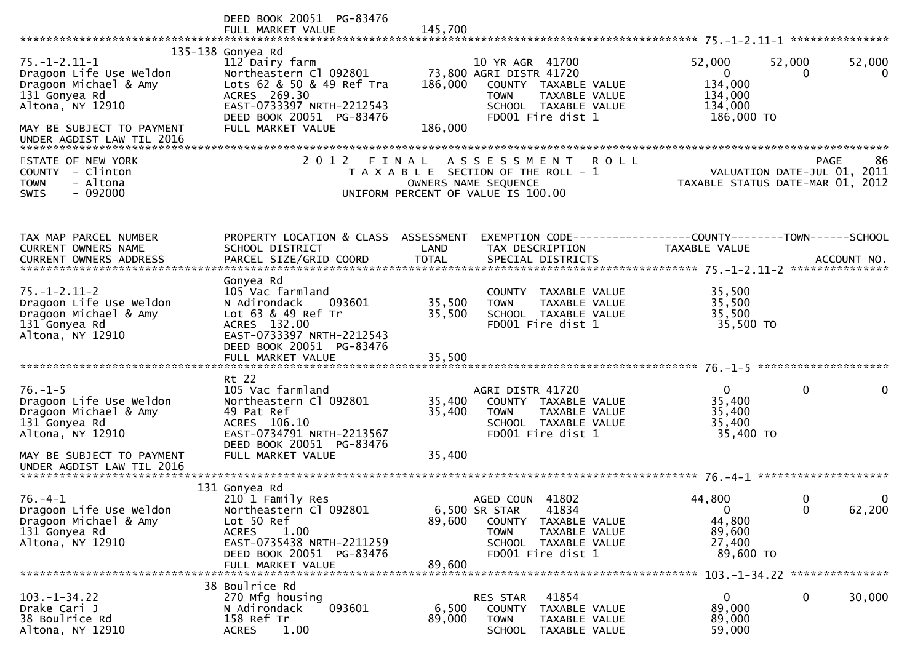|                                                        | DEED BOOK 20051 PG-83476<br>FULL MARKET VALUE | 145,700 |                                       |                |                                  |
|--------------------------------------------------------|-----------------------------------------------|---------|---------------------------------------|----------------|----------------------------------|
|                                                        | 135-138 Gonyea Rd                             |         |                                       |                |                                  |
| $75. - 1 - 2.11 - 1$                                   | 112 Dairy farm                                |         | 10 YR AGR 41700                       | 52,000         | 52,000<br>52,000                 |
| Dragoon Life Use Weldon                                | Northeastern Cl 092801                        |         | 73,800 AGRI DISTR 41720               | $\overline{0}$ | $\Omega$<br>$\Omega$             |
|                                                        |                                               |         |                                       |                |                                  |
| Dragoon Michael & Amy                                  | Lots 62 & 50 & 49 Ref Tra<br>ACRES 269.30     | 186,000 | COUNTY TAXABLE VALUE                  | 134,000        |                                  |
| 131 Gonyea Rd                                          |                                               |         | <b>TOWN</b><br>TAXABLE VALUE          | 134,000        |                                  |
| Altona, NY 12910                                       | EAST-0733397 NRTH-2212543                     |         | SCHOOL TAXABLE VALUE                  | 134,000        |                                  |
|                                                        | DEED BOOK 20051 PG-83476                      |         | FD001 Fire dist 1                     | 186,000 TO     |                                  |
| MAY BE SUBJECT TO PAYMENT<br>UNDER AGDIST LAW TIL 2016 | FULL MARKET VALUE                             | 186,000 |                                       |                |                                  |
|                                                        |                                               |         |                                       |                |                                  |
| STATE OF NEW YORK                                      | 2012                                          | FINAL   | A S S E S S M E N T                   | <b>ROLL</b>    | PAGE<br>86                       |
| COUNTY - Clinton                                       |                                               |         | T A X A B L E SECTION OF THE ROLL - 1 |                | VALUATION DATE-JUL 01, 2011      |
| - Altona<br><b>TOWN</b>                                |                                               |         | OWNERS NAME SEQUENCE                  |                | TAXABLE STATUS DATE-MAR 01, 2012 |
| $-092000$<br><b>SWIS</b>                               |                                               |         | UNIFORM PERCENT OF VALUE IS 100.00    |                |                                  |
|                                                        |                                               |         |                                       |                |                                  |
|                                                        |                                               |         |                                       |                |                                  |
|                                                        |                                               |         |                                       |                |                                  |
| TAX MAP PARCEL NUMBER                                  | PROPERTY LOCATION & CLASS ASSESSMENT          |         |                                       |                |                                  |
| <b>CURRENT OWNERS NAME</b>                             | SCHOOL DISTRICT                               | LAND    | TAX DESCRIPTION                       | TAXABLE VALUE  |                                  |
|                                                        |                                               |         |                                       |                |                                  |
|                                                        |                                               |         |                                       |                |                                  |
|                                                        | Gonyea Rd                                     |         |                                       |                |                                  |
| $75. - 1 - 2.11 - 2$                                   | 105 Vac farmland                              |         | COUNTY TAXABLE VALUE                  | 35,500         |                                  |
| Dragoon Life Use Weldon                                | N Adirondack<br>093601                        | 35,500  | <b>TOWN</b><br>TAXABLE VALUE          | 35,500         |                                  |
| Dragoon Michael & Amy                                  | Lot 63 & 49 Ref Tr                            | 35,500  | SCHOOL TAXABLE VALUE                  | 35,500         |                                  |
| 131 Gonyea Rd                                          | ACRES 132.00                                  |         | FD001 Fire dist 1                     | 35,500 TO      |                                  |
| Altona, NY 12910                                       | EAST-0733397 NRTH-2212543                     |         |                                       |                |                                  |
|                                                        | DEED BOOK 20051 PG-83476                      |         |                                       |                |                                  |
|                                                        | FULL MARKET VALUE                             | 35,500  |                                       |                |                                  |
|                                                        |                                               |         |                                       |                |                                  |
|                                                        | Rt 22                                         |         |                                       |                |                                  |
| $76. - 1 - 5$                                          | 105 Vac farmland                              |         | AGRI DISTR 41720                      | 0              | 0<br>0                           |
| Dragoon Life Use Weldon                                | Northeastern Cl 092801                        | 35,400  | COUNTY TAXABLE VALUE                  | 35,400         |                                  |
| Dragoon Michael & Amy                                  | 49 Pat Ref                                    | 35,400  | TAXABLE VALUE<br><b>TOWN</b>          | 35,400         |                                  |
| 131 Gonyea Rd                                          | ACRES 106.10                                  |         | SCHOOL TAXABLE VALUE                  | 35,400         |                                  |
| Altona, NY 12910                                       | EAST-0734791 NRTH-2213567                     |         | FD001 Fire dist 1                     | 35,400 TO      |                                  |
|                                                        | DEED BOOK 20051 PG-83476                      |         |                                       |                |                                  |
| MAY BE SUBJECT TO PAYMENT                              | FULL MARKET VALUE                             | 35,400  |                                       |                |                                  |
| UNDER AGDIST LAW TIL 2016                              |                                               |         |                                       |                |                                  |
|                                                        |                                               |         |                                       |                |                                  |
|                                                        | 131 Gonyea Rd                                 |         |                                       |                |                                  |
| $76. - 4 - 1$                                          | 210 1 Family Res                              |         | AGED COUN 41802                       | 44,800         | $\mathbf{0}$<br>0                |
| Dragoon Life Use Weldon                                | Northeastern Cl 092801                        |         | 6,500 SR STAR<br>41834                | $\mathbf{0}$   | 62,200<br>$\mathbf{0}$           |
| Dragoon Michael & Amy                                  | Lot 50 Ref                                    | 89,600  | COUNTY<br>TAXABLE VALUE               | 44,800         |                                  |
| 131 Gonyea Rd                                          | <b>ACRES</b><br>1.00                          |         | <b>TOWN</b><br>TAXABLE VALUE          | 89,600         |                                  |
| Altona, NY 12910                                       | EAST-0735438 NRTH-2211259                     |         | SCHOOL TAXABLE VALUE                  | 27,400         |                                  |
|                                                        | DEED BOOK 20051 PG-83476                      |         | FD001 Fire dist 1                     | 89,600 TO      |                                  |
|                                                        | FULL MARKET VALUE                             | 89,600  |                                       |                |                                  |
|                                                        | 38 Boulrice Rd                                |         |                                       |                |                                  |
| $103. - 1 - 34.22$                                     | 270 Mfg housing                               |         | 41854<br>RES STAR                     | $\bf{0}$       | 0<br>30,000                      |
| Drake Cari J                                           | 093601<br>N Adirondack                        | 6,500   | <b>COUNTY</b><br>TAXABLE VALUE        | 89,000         |                                  |
| 38 Boulrice Rd                                         | 158 Ref Tr                                    | 89,000  | <b>TOWN</b><br>TAXABLE VALUE          | 89,000         |                                  |
|                                                        |                                               |         |                                       |                |                                  |
| Altona, NY 12910                                       | <b>ACRES</b><br>1.00                          |         | <b>SCHOOL</b><br>TAXABLE VALUE        | 59,000         |                                  |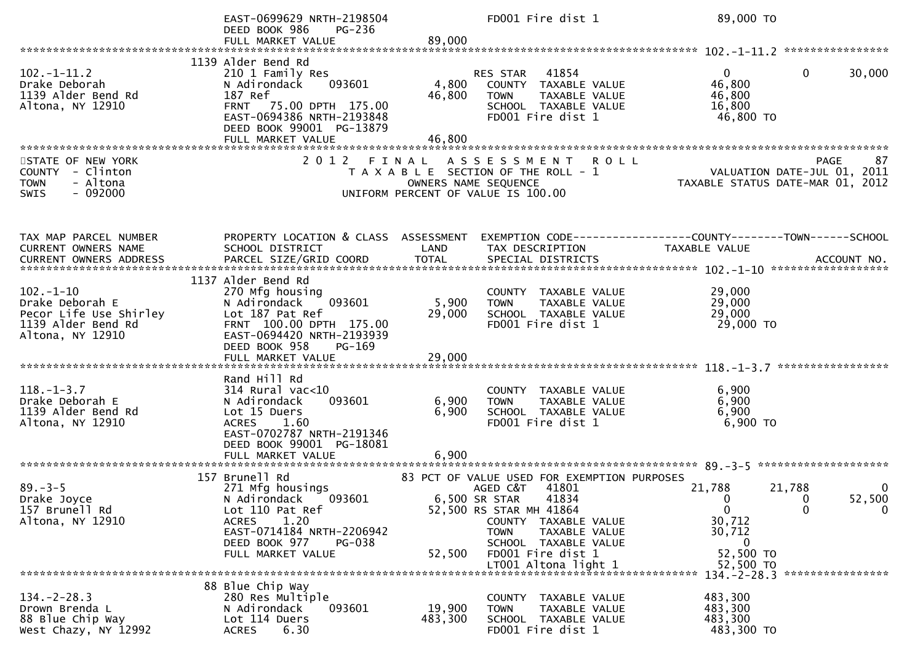|                                                                                                       | EAST-0699629 NRTH-2198504<br>DEED BOOK 986<br>$PG-236$                                                                                                                                      |                         | FD001 Fire dist 1                                                                                                                                                                                                          | 89,000 TO                                                                                                        |                  |
|-------------------------------------------------------------------------------------------------------|---------------------------------------------------------------------------------------------------------------------------------------------------------------------------------------------|-------------------------|----------------------------------------------------------------------------------------------------------------------------------------------------------------------------------------------------------------------------|------------------------------------------------------------------------------------------------------------------|------------------|
|                                                                                                       | FULL MARKET VALUE                                                                                                                                                                           | 89,000                  |                                                                                                                                                                                                                            |                                                                                                                  |                  |
|                                                                                                       |                                                                                                                                                                                             |                         |                                                                                                                                                                                                                            |                                                                                                                  |                  |
| $102 - 1 - 11.2$<br>Drake Deborah<br>1139 Alder Bend Rd<br>Altona, NY 12910                           | 1139 Alder Bend Rd<br>210 1 Family Res<br>093601<br>N Adirondack<br>187 Ref<br>FRNT 75.00 DPTH 175.00<br>EAST-0694386 NRTH-2193848<br>DEED BOOK 99001 PG-13879                              | 4,800<br>46,800         | 41854<br>RES STAR<br>COUNTY TAXABLE VALUE<br><b>TOWN</b><br>TAXABLE VALUE<br>SCHOOL TAXABLE VALUE<br>FD001 Fire dist 1                                                                                                     | $\Omega$<br>$\Omega$<br>46,800<br>46,800<br>16,800<br>46,800 TO                                                  | 30,000           |
|                                                                                                       |                                                                                                                                                                                             |                         |                                                                                                                                                                                                                            |                                                                                                                  |                  |
| STATE OF NEW YORK<br>COUNTY - Clinton<br>- Altona<br><b>TOWN</b><br>$-092000$<br>SWIS                 |                                                                                                                                                                                             |                         | 2012 FINAL ASSESSMENT<br><b>ROLL</b><br>T A X A B L E SECTION OF THE ROLL - 1<br>OWNERS NAME SEQUENCE<br>UNIFORM PERCENT OF VALUE IS 100.00                                                                                | TAXABLE STATUS DATE-MAR 01, 2012                                                                                 | 87               |
| TAX MAP PARCEL NUMBER<br>CURRENT OWNERS NAME                                                          | PROPERTY LOCATION & CLASS ASSESSMENT<br>SCHOOL DISTRICT                                                                                                                                     | LAND                    | TAX DESCRIPTION                                                                                                                                                                                                            | <b>TAXABLE VALUE</b>                                                                                             |                  |
| $102 - 1 - 10$<br>Drake Deborah E<br>Pecor Life Use Shirley<br>1139 Alder Bend Rd<br>Altona, NY 12910 | 1137 Alder Bend Rd<br>270 Mfg housing<br>093601<br>N Adirondack<br>Lot 187 Pat Ref<br>FRNT 100.00 DPTH 175.00<br>EAST-0694420 NRTH-2193939<br>DEED BOOK 958<br>PG-169                       | 5,900<br>29,000         | COUNTY TAXABLE VALUE<br><b>TOWN</b><br>TAXABLE VALUE<br>SCHOOL TAXABLE VALUE<br>FD001 Fire dist 1                                                                                                                          | 29,000<br>29,000<br>29,000<br>29,000 TO                                                                          |                  |
| $118. - 1 - 3.7$<br>Drake Deborah E<br>1139 Alder Bend Rd<br>Altona, NY 12910                         | Rand Hill Rd<br>$314$ Rural vac<10<br>093601<br>N Adirondack<br>Lot 15 Duers<br><b>ACRES</b><br>1.60<br>EAST-0702787 NRTH-2191346<br>DEED BOOK 99001 PG-18081<br>FULL MARKET VALUE          | 6,900<br>6,900<br>6,900 | COUNTY<br>TAXABLE VALUE<br><b>TOWN</b><br>TAXABLE VALUE<br>SCHOOL TAXABLE VALUE<br>FD001 Fire dist 1                                                                                                                       | 6,900<br>6,900<br>6,900<br>$6,900$ TO                                                                            |                  |
| $89. - 3 - 5$<br>Drake Joyce<br>157 Brunell Rd<br>Altona, NY 12910                                    | 157 Brunell Rd<br>271 Mfg housings<br>N Adirondack<br>093601<br>Lot 110 Pat Ref<br>1.20<br><b>ACRES</b><br>EAST-0714184 NRTH-2206942<br>DEED BOOK 977<br><b>PG-038</b><br>FULL MARKET VALUE | 52,500                  | 83 PCT OF VALUE USED FOR EXEMPTION PURPOSES<br>41801<br>AGED C&T<br>6,500 SR STAR<br>41834<br>52,500 RS STAR MH 41864<br>COUNTY TAXABLE VALUE<br><b>TOWN</b><br>TAXABLE VALUE<br>SCHOOL TAXABLE VALUE<br>FD001 Fire dist 1 | 21,788<br>21,788<br>$\Omega$<br>0<br>$\mathbf{0}$<br>0<br>30,712<br>30,712<br>$\bf{0}$<br>52,500 TO<br>52,500 TO | 0<br>52,500<br>0 |
| $134 - 2 - 28.3$<br>Drown Brenda L<br>88 Blue Chip Way<br>West Chazy, NY 12992                        | 88 Blue Chip Way<br>280 Res Multiple<br>N Adirondack<br>093601<br>Lot 114 Duers<br>6.30<br><b>ACRES</b>                                                                                     | 19,900<br>483,300       | COUNTY TAXABLE VALUE<br>TAXABLE VALUE<br><b>TOWN</b><br>SCHOOL TAXABLE VALUE<br>FD001 Fire dist 1                                                                                                                          | 134. - 2 - 28. 3 *****************<br>483,300<br>483,300<br>483,300<br>483,300 TO                                |                  |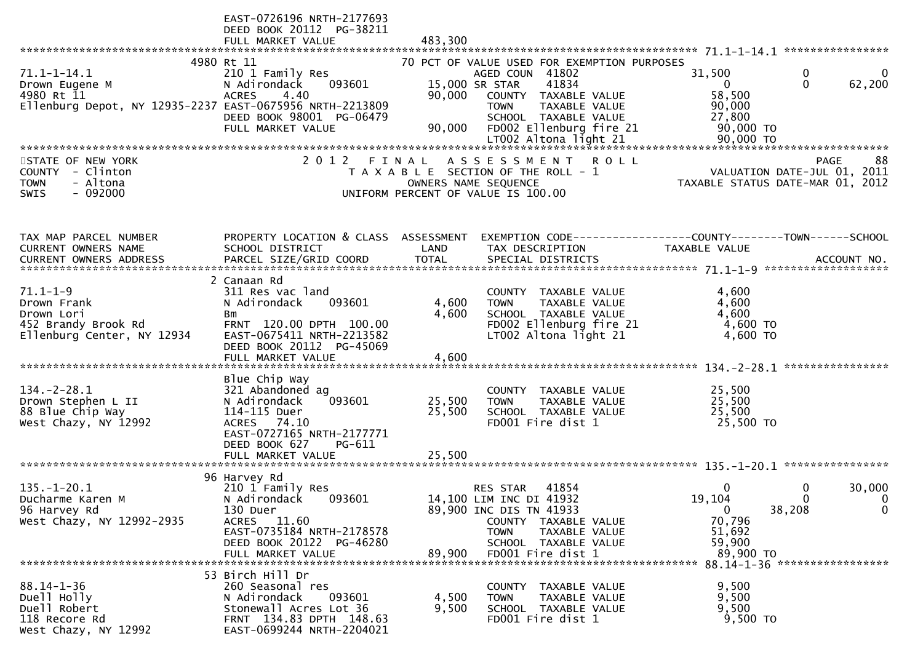|                                                                                                               | EAST-0726196 NRTH-2177693<br>DEED BOOK 20112 PG-38211                                                                                                                             |                            |                                                                                                                                                                                     |                                                             |                                                                                      |
|---------------------------------------------------------------------------------------------------------------|-----------------------------------------------------------------------------------------------------------------------------------------------------------------------------------|----------------------------|-------------------------------------------------------------------------------------------------------------------------------------------------------------------------------------|-------------------------------------------------------------|--------------------------------------------------------------------------------------|
|                                                                                                               | FULL MARKET VALUE                                                                                                                                                                 | 483,300                    |                                                                                                                                                                                     |                                                             |                                                                                      |
| $71.1 - 1 - 14.1$<br>Drown Eugene M<br>4980 Rt 11<br>Ellenburg Depot, NY 12935-2237 EAST-0675956 NRTH-2213809 | 4980 Rt 11<br>210 1 Family Res<br>N Adirondack<br>093601<br>4.40<br><b>ACRES</b>                                                                                                  | 90,000                     | 70 PCT OF VALUE USED FOR EXEMPTION PURPOSES<br>AGED COUN 41802<br>41834<br>15,000 SR STAR<br>COUNTY TAXABLE VALUE<br>TAXABLE VALUE<br><b>TOWN</b>                                   | 31,500<br>$\mathbf{0}$<br>58,500<br>90,000                  | 0<br>$\mathbf{0}$<br>$\mathbf{0}$<br>62,200                                          |
|                                                                                                               | DEED BOOK 98001 PG-06479<br>FULL MARKET VALUE                                                                                                                                     | 90,000                     | SCHOOL TAXABLE VALUE                                                                                                                                                                | 27,800                                                      |                                                                                      |
| STATE OF NEW YORK<br>- Clinton<br><b>COUNTY</b><br>- Altona<br><b>TOWN</b><br><b>SWIS</b><br>- 092000         | 2 0 1 2<br>FINAL                                                                                                                                                                  |                            | ASSESSMENT<br><b>ROLL</b><br>T A X A B L E SECTION OF THE ROLL - 1<br>OWNERS NAME SEQUENCE<br>UNIFORM PERCENT OF VALUE IS 100.00                                                    |                                                             | <b>PAGE</b><br>88<br>VALUATION DATE-JUL 01, 2011<br>TAXABLE STATUS DATE-MAR 01, 2012 |
| TAX MAP PARCEL NUMBER<br>CURRENT OWNERS NAME                                                                  | PROPERTY LOCATION & CLASS ASSESSMENT<br>SCHOOL DISTRICT                                                                                                                           | LAND                       | EXEMPTION CODE-----------------COUNTY-------TOWN------SCHOOL<br>TAX DESCRIPTION                                                                                                     | TAXABLE VALUE                                               |                                                                                      |
| $71.1 - 1 - 9$<br>Drown Frank<br>Drown Lori<br>452 Brandy Brook Rd<br>Ellenburg Center, NY 12934              | 2 Canaan Rd<br>311 Res vac land<br>N Adirondack<br>093601<br>Bm<br>FRNT 120.00 DPTH 100.00<br>EAST-0675411 NRTH-2213582<br>DEED BOOK 20112 PG-45069<br>FULL MARKET VALUE          | 4,600<br>4,600<br>4,600    | COUNTY TAXABLE VALUE<br>TAXABLE VALUE<br><b>TOWN</b><br>SCHOOL TAXABLE VALUE<br>FD002 Ellenburg fire 21<br>LT002 Altona light 21                                                    | 4,600<br>4,600<br>4,600<br>4,600 TO<br>4,600 TO             |                                                                                      |
| $134. - 2 - 28.1$<br>Drown Stephen L II<br>88 Blue Chip Way<br>West Chazy, NY 12992                           | Blue Chip Way<br>321 Abandoned ag<br>N Adirondack<br>093601<br>114-115 Duer<br><b>ACRES</b><br>74.10<br>EAST-0727165 NRTH-2177771<br>DEED BOOK 627<br>PG-611<br>FULL MARKET VALUE | 25,500<br>25,500<br>25,500 | <b>COUNTY</b><br>TAXABLE VALUE<br>TAXABLE VALUE<br><b>TOWN</b><br>SCHOOL TAXABLE VALUE<br>FD001 Fire dist 1                                                                         | 25,500<br>25,500<br>25,500<br>25,500 TO                     |                                                                                      |
| $135. - 1 - 20.1$<br>Ducharme Karen M<br>96 Harvey Rd<br>West Chazy, NY 12992-2935                            | 96 Harvey Rd<br>210 1 Family Res<br>093601<br>N Adirondack<br>130 Duer<br>ACRES 11.60<br>EAST-0735184 NRTH-2178578<br>DEED BOOK 20122 PG-46280<br>FULL MARKET VALUE               | 89,900                     | 41854<br><b>RES STAR</b><br>14,100 LIM INC DI 41932<br>89,900 INC DIS TN 41933<br>COUNTY TAXABLE VALUE<br><b>TOWN</b><br>TAXABLE VALUE<br>SCHOOL TAXABLE VALUE<br>FD001 Fire dist 1 | 0<br>19,104<br>0<br>70,796<br>51,692<br>59,900<br>89,900 TO | 30,000<br>0<br>$\Omega$<br>$\mathbf 0$<br>38,208<br>$\mathbf 0$                      |
| $88.14 - 1 - 36$<br>Duell Holly<br>Duell Robert<br>118 Recore Rd<br>West Chazy, NY 12992                      | 53 Birch Hill Dr<br>260 Seasonal res<br>093601<br>N Adirondack<br>Stonewall Acres Lot 36<br>FRNT 134.83 DPTH 148.63<br>EAST-0699244 NRTH-2204021                                  | 4,500<br>9,500             | COUNTY TAXABLE VALUE<br>TAXABLE VALUE<br>TOWN<br>SCHOOL TAXABLE VALUE<br>FD001 Fire dist 1                                                                                          | 9,500<br>9,500<br>9,500<br>9,500 TO                         |                                                                                      |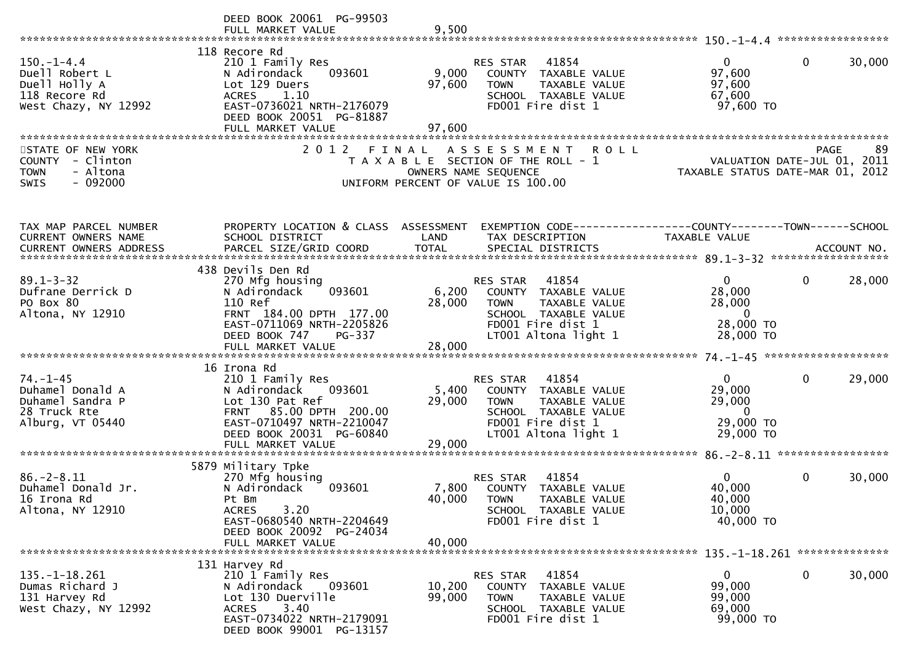|                                                                                              | DEED BOOK 20061 PG-99503<br>FULL MARKET VALUE                                                                                                                                        | 9,500                         |                                                                                                                                                       |                                                                              |                        |
|----------------------------------------------------------------------------------------------|--------------------------------------------------------------------------------------------------------------------------------------------------------------------------------------|-------------------------------|-------------------------------------------------------------------------------------------------------------------------------------------------------|------------------------------------------------------------------------------|------------------------|
| $150. - 1 - 4.4$<br>Duell Robert L<br>Duell Holly A<br>118 Recore Rd<br>West Chazy, NY 12992 | 118 Recore Rd<br>210 1 Family Res<br>093601<br>N Adirondack<br>Lot 129 Duers<br>ACRES 1.10<br>EAST-0736021 NRTH-2176079<br>DEED BOOK 20051 PG-81887<br>FULL MARKET VALUE             | 9,000<br>97,600<br>97,600     | RES STAR<br>41854<br>COUNTY TAXABLE VALUE<br><b>TOWN</b><br>TAXABLE VALUE<br>SCHOOL TAXABLE VALUE<br>FD001 Fire dist 1                                | $\overline{0}$<br>97,600<br>97,600<br>67,600<br>97,600 TO                    | $\mathbf{0}$<br>30,000 |
| STATE OF NEW YORK<br>COUNTY - Clinton<br><b>TOWN</b><br>- Altona<br>$-092000$<br><b>SWIS</b> | 2 0 1 2                                                                                                                                                                              | FINAL<br>OWNERS NAME SEQUENCE | <b>ROLL</b><br>A S S E S S M E N T<br>T A X A B L E SECTION OF THE ROLL - 1<br>UNIFORM PERCENT OF VALUE IS 100.00                                     | VALUATION DATE-JUL 01, 2011<br>TAXABLE STATUS DATE-MAR 01, 2012              | 89<br>PAGE             |
| TAX MAP PARCEL NUMBER<br>CURRENT OWNERS NAME                                                 | PROPERTY LOCATION & CLASS ASSESSMENT<br>SCHOOL DISTRICT                                                                                                                              | LAND                          | EXEMPTION CODE-----------------COUNTY-------TOWN------SCHOOL<br>TAX DESCRIPTION                                                                       | <b>TAXABLE VALUE</b>                                                         |                        |
| $89.1 - 3 - 32$<br>Dufrane Derrick D<br>PO Box 80<br>Altona, NY 12910                        | 438 Devils Den Rd<br>270 Mfg housing<br>093601<br>N Adirondack<br>110 Ref<br>FRNT 184.00 DPTH 177.00<br>EAST-0711069 NRTH-2205826<br>DEED BOOK 747<br>PG-337<br>FULL MARKET VALUE    | 6,200<br>28,000<br>28,000     | 41854<br>RES STAR<br>COUNTY TAXABLE VALUE<br><b>TOWN</b><br><b>TAXABLE VALUE</b><br>SCHOOL TAXABLE VALUE<br>FD001 Fire dist 1<br>LT001 Altona light 1 | $\overline{0}$<br>28,000<br>28,000<br>$\mathbf{0}$<br>28,000 TO<br>28,000 TO | 28,000<br>$\mathbf 0$  |
| $74. - 1 - 45$<br>Duhamel Donald A<br>Duhamel Sandra P<br>28 Truck Rte<br>Alburg, VT 05440   | 16 Irona Rd<br>210 1 Family Res<br>N Adirondack<br>093601<br>Lot 130 Pat Ref<br>FRNT 85.00 DPTH 200.00<br>EAST-0710497 NRTH-2210047<br>DEED BOOK 20031 PG-60840<br>FULL MARKET VALUE | 5,400<br>29,000<br>29,000     | RES STAR<br>41854<br>COUNTY TAXABLE VALUE<br><b>TOWN</b><br>TAXABLE VALUE<br>SCHOOL TAXABLE VALUE<br>FD001 Fire dist 1<br>LT001 Altona light 1        | $\mathbf{0}$<br>29,000<br>29,000<br>$\mathbf{0}$<br>29,000 TO<br>29,000 TO   | $\mathbf{0}$<br>29,000 |
| $86. - 2 - 8.11$<br>Duhamel Donald Jr.<br>16 Irona Rd<br>Altona, NY 12910                    | 5879 Military Tpke<br>270 Mfg housing<br>N Adirondack<br>093601<br>Pt Bm<br>3.20<br><b>ACRES</b><br>EAST-0680540 NRTH-2204649<br>DEED BOOK 20092 PG-24034<br>FULL MARKET VALUE       | 7,800<br>40,000<br>40,000     | 41854<br>RES STAR<br>COUNTY<br>TAXABLE VALUE<br><b>TOWN</b><br>TAXABLE VALUE<br>SCHOOL TAXABLE VALUE<br>FD001 Fire dist 1                             | $\Omega$<br>40,000<br>40,000<br>10,000<br>40,000 TO                          | $\mathbf{0}$<br>30,000 |
| $135. - 1 - 18.261$<br>Dumas Richard J<br>131 Harvey Rd<br>West Chazy, NY 12992              | 131 Harvey Rd<br>210 1 Family Res<br>N Adirondack<br>093601<br>Lot 130 Duerville<br>3.40<br><b>ACRES</b><br>EAST-0734022 NRTH-2179091<br>DEED BOOK 99001 PG-13157                    | 10,200<br>99,000              | 41854<br>RES STAR<br>COUNTY<br>TAXABLE VALUE<br><b>TOWN</b><br>TAXABLE VALUE<br>SCHOOL TAXABLE VALUE<br>FD001 Fire dist 1                             | $\mathbf{0}$<br>99,000<br>99,000<br>69,000<br>99,000 TO                      | $\mathbf{0}$<br>30,000 |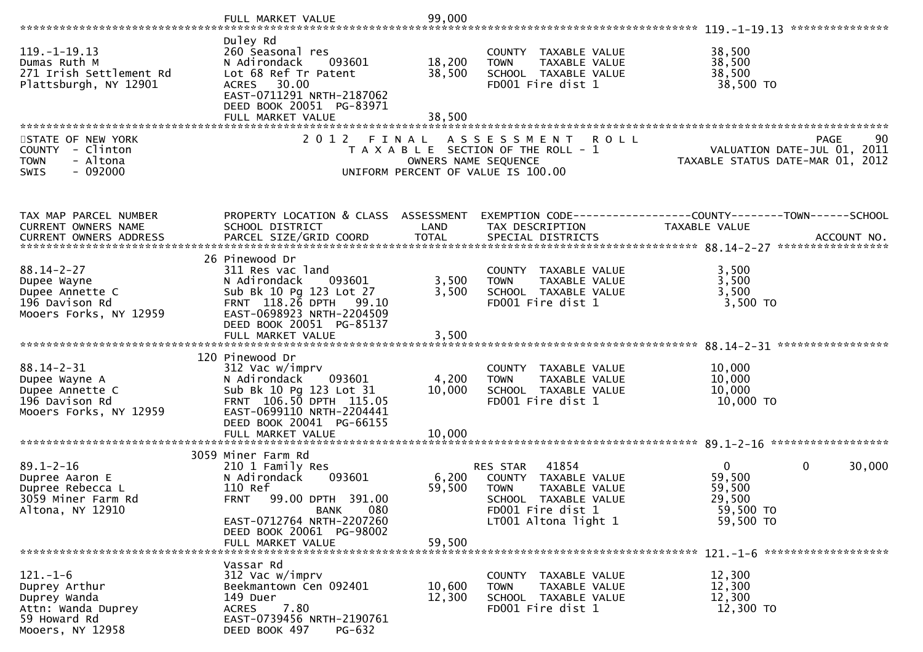|                                                                                        | FULL MARKET VALUE                                                                                                                             | 99,000               |                                                                                                   |                                                                               |
|----------------------------------------------------------------------------------------|-----------------------------------------------------------------------------------------------------------------------------------------------|----------------------|---------------------------------------------------------------------------------------------------|-------------------------------------------------------------------------------|
|                                                                                        | Duley Rd                                                                                                                                      |                      |                                                                                                   |                                                                               |
| $119. - 1 - 19.13$<br>Dumas Ruth M<br>271 Irish Settlement Rd<br>Plattsburgh, NY 12901 | 260 Seasonal res<br>N Adirondack<br>093601<br>Lot 68 Ref Tr Patent<br>30.00<br>ACRES<br>EAST-0711291 NRTH-2187062<br>DEED BOOK 20051 PG-83971 | 18,200<br>38,500     | COUNTY TAXABLE VALUE<br><b>TOWN</b><br>TAXABLE VALUE<br>SCHOOL TAXABLE VALUE<br>FD001 Fire dist 1 | 38,500<br>38,500<br>38,500<br>38,500 TO                                       |
|                                                                                        | FULL MARKET VALUE                                                                                                                             | 38.500               |                                                                                                   |                                                                               |
|                                                                                        | 2 0 1 2                                                                                                                                       |                      |                                                                                                   |                                                                               |
| STATE OF NEW YORK<br>COUNTY - Clinton                                                  | FINAL                                                                                                                                         |                      | ASSESSMENT ROLL<br>T A X A B L E SECTION OF THE ROLL - 1                                          | 90<br>PAGE<br>VALUATION DATE-JUL 01, 2011                                     |
| - Altona<br><b>TOWN</b>                                                                |                                                                                                                                               | OWNERS NAME SEQUENCE |                                                                                                   | TAXABLE STATUS DATE-MAR 01, 2012                                              |
| $-092000$<br><b>SWIS</b>                                                               |                                                                                                                                               |                      | UNIFORM PERCENT OF VALUE IS 100.00                                                                |                                                                               |
|                                                                                        |                                                                                                                                               |                      |                                                                                                   |                                                                               |
| TAX MAP PARCEL NUMBER                                                                  | PROPERTY LOCATION & CLASS ASSESSMENT                                                                                                          |                      |                                                                                                   |                                                                               |
| CURRENT OWNERS NAME                                                                    | SCHOOL DISTRICT                                                                                                                               | LAND                 | TAX DESCRIPTION                                                                                   | EXEMPTION CODE-----------------COUNTY-------TOWN------SCHOOL<br>TAXABLE VALUE |
|                                                                                        |                                                                                                                                               |                      |                                                                                                   |                                                                               |
|                                                                                        | 26 Pinewood Dr                                                                                                                                |                      |                                                                                                   |                                                                               |
| $88.14 - 2 - 27$                                                                       | 311 Res vac land                                                                                                                              |                      | COUNTY TAXABLE VALUE                                                                              | 3,500                                                                         |
| Dupee Wayne                                                                            | N Adirondack<br>093601                                                                                                                        | 3,500                | <b>TOWN</b><br>TAXABLE VALUE                                                                      | 3,500                                                                         |
| Dupee Annette C<br>196 Davison Rd                                                      | Sub Bk 10 Pg 123 Lot 27<br>FRNT 118.26 DPTH 99.10                                                                                             | 3,500                | SCHOOL TAXABLE VALUE<br>FD001 Fire dist 1                                                         | 3,500<br>$3,500$ TO                                                           |
| Mooers Forks, NY 12959                                                                 | EAST-0698923 NRTH-2204509                                                                                                                     |                      |                                                                                                   |                                                                               |
|                                                                                        | DEED BOOK 20051 PG-85137                                                                                                                      |                      |                                                                                                   |                                                                               |
|                                                                                        |                                                                                                                                               |                      |                                                                                                   |                                                                               |
|                                                                                        | 120 Pinewood Dr                                                                                                                               |                      |                                                                                                   |                                                                               |
| $88.14 - 2 - 31$<br>Dupee Wayne A                                                      | 312 Vac w/imprv<br>N Adirondack<br>093601                                                                                                     | 4,200                | COUNTY TAXABLE VALUE<br><b>TOWN</b><br>TAXABLE VALUE                                              | 10,000<br>10,000                                                              |
| Dupee Annette C                                                                        | Sub Bk 10 Pg 123 Lot 31                                                                                                                       | 10,000               | SCHOOL TAXABLE VALUE                                                                              | 10,000                                                                        |
| 196 Davison Rd                                                                         | FRNT 106.50 DPTH 115.05<br>EAST-0699110 NRTH-2204441                                                                                          |                      | FD001 Fire dist 1                                                                                 | 10,000 TO                                                                     |
| Mooers Forks, NY 12959                                                                 | DEED BOOK 20041 PG-66155                                                                                                                      |                      |                                                                                                   |                                                                               |
|                                                                                        | FULL MARKET VALUE                                                                                                                             | 10,000               |                                                                                                   |                                                                               |
|                                                                                        | 3059 Miner Farm Rd                                                                                                                            |                      |                                                                                                   |                                                                               |
| $89.1 - 2 - 16$                                                                        | 210 1 Family Res                                                                                                                              |                      | 41854<br><b>RES STAR</b>                                                                          | 0<br>0<br>30,000                                                              |
| Dupree Aaron E                                                                         | 093601<br>N Adirondack<br>110 Ref                                                                                                             | 6,200                | COUNTY TAXABLE VALUE                                                                              | 59,500                                                                        |
| Dupree Rebecca L<br>3059 Miner Farm Rd                                                 | FRNT 99.00 DPTH 391.00                                                                                                                        | 59,500               | <b>TOWN</b><br>TAXABLE VALUE<br><b>SCHOOL</b><br>TAXABLE VALUE                                    | 59,500<br>29,500                                                              |
| Altona, NY 12910                                                                       | 080<br><b>BANK</b>                                                                                                                            |                      | FD001 Fire dist 1                                                                                 | 59,500 TO                                                                     |
|                                                                                        | EAST-0712764 NRTH-2207260<br>DEED BOOK 20061 PG-98002                                                                                         |                      | LT001 Altona light 1                                                                              | 59,500 TO                                                                     |
|                                                                                        | FULL MARKET VALUE                                                                                                                             | 59,500               |                                                                                                   |                                                                               |
|                                                                                        |                                                                                                                                               |                      |                                                                                                   | $121. - 1 - 6$ *********************                                          |
| $121 - 1 - 6$                                                                          | Vassar Rd<br>312 Vac w/imprv                                                                                                                  |                      | COUNTY TAXABLE VALUE                                                                              | 12,300                                                                        |
| Duprey Arthur                                                                          | Beekmantown Cen 092401                                                                                                                        | 10,600               | TAXABLE VALUE<br><b>TOWN</b>                                                                      | 12,300                                                                        |
| Duprey Wanda                                                                           | 149 Duer                                                                                                                                      | 12,300               | SCHOOL TAXABLE VALUE                                                                              | 12,300                                                                        |
| Attn: Wanda Duprey<br>59 Howard Rd                                                     | <b>ACRES</b><br>7.80<br>EAST-0739456 NRTH-2190761                                                                                             |                      | FD001 Fire dist 1                                                                                 | 12,300 TO                                                                     |
| Mooers, NY 12958                                                                       | DEED BOOK 497<br><b>PG-632</b>                                                                                                                |                      |                                                                                                   |                                                                               |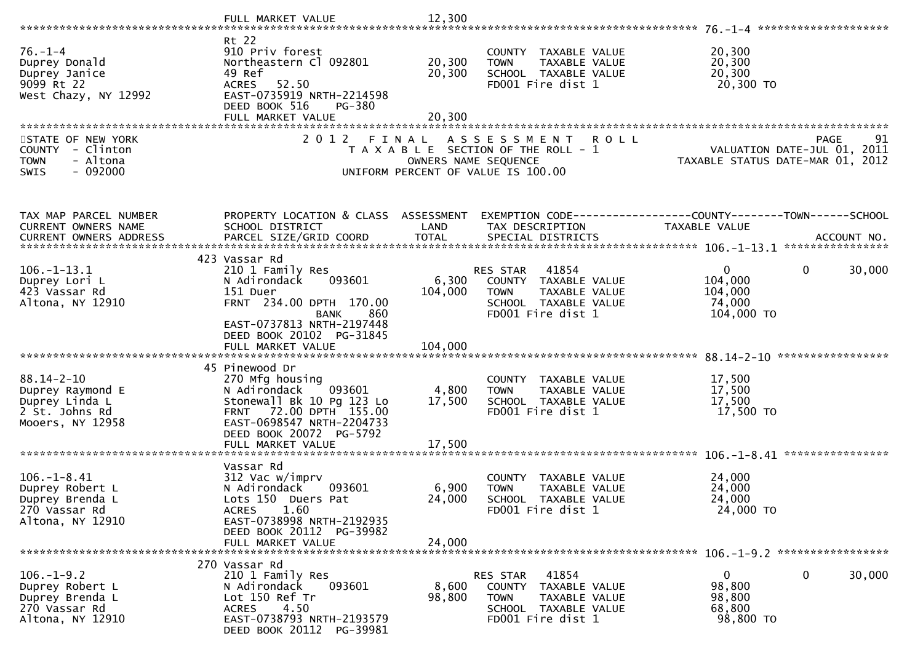|                                                                                              | FULL MARKET VALUE                                                                                                                                                                     | 12,300                    |                                                                                                                        |                                                                                                                      |
|----------------------------------------------------------------------------------------------|---------------------------------------------------------------------------------------------------------------------------------------------------------------------------------------|---------------------------|------------------------------------------------------------------------------------------------------------------------|----------------------------------------------------------------------------------------------------------------------|
|                                                                                              |                                                                                                                                                                                       |                           |                                                                                                                        |                                                                                                                      |
| $76. - 1 - 4$<br>Duprey Donald<br>Duprey Janice<br>9099 Rt 22<br>West Chazy, NY 12992        | Rt 22<br>910 Priv forest<br>Northeastern Cl 092801<br>49 Ref<br>ACRES 52.50<br>EAST-0735919 NRTH-2214598<br>DEED BOOK 516<br>PG-380                                                   | 20,300<br>20,300          | COUNTY TAXABLE VALUE<br><b>TOWN</b><br>TAXABLE VALUE<br>SCHOOL TAXABLE VALUE<br>FD001 Fire dist 1                      | 20,300<br>20,300<br>20,300<br>20,300 TO                                                                              |
|                                                                                              | FULL MARKET VALUE                                                                                                                                                                     | 20,300                    |                                                                                                                        |                                                                                                                      |
|                                                                                              |                                                                                                                                                                                       |                           |                                                                                                                        |                                                                                                                      |
| STATE OF NEW YORK<br>COUNTY - Clinton<br>- Altona<br><b>TOWN</b><br>$-092000$<br><b>SWIS</b> | 2 0 1 2<br>FINAL                                                                                                                                                                      | OWNERS NAME SEQUENCE      | A S S E S S M E N T<br><b>ROLL</b><br>T A X A B L E SECTION OF THE ROLL - 1<br>UNIFORM PERCENT OF VALUE IS 100.00      | 91<br>PAGE 91<br>VALUATION DATE-JUL 01, 2011<br>TAXARLE STATUS DATE VIE 21, 2011<br>TAXABLE STATUS DATE-MAR 01, 2012 |
|                                                                                              |                                                                                                                                                                                       |                           |                                                                                                                        |                                                                                                                      |
| TAX MAP PARCEL NUMBER<br>CURRENT OWNERS NAME<br>CURRENT OWNERS ADDRESS                       | PROPERTY LOCATION & CLASS ASSESSMENT<br>SCHOOL DISTRICT                                                                                                                               | LAND                      | TAX DESCRIPTION                                                                                                        | EXEMPTION CODE------------------COUNTY--------TOWN------SCHOOL<br>TAXABLE VALUE                                      |
|                                                                                              |                                                                                                                                                                                       |                           |                                                                                                                        |                                                                                                                      |
| $106. - 1 - 13.1$<br>Duprey Lori L<br>423 Vassar Rd<br>Altona, NY 12910                      | 423 Vassar Rd<br>210 1 Family Res<br>093601<br>N Adirondack<br>151 Duer<br>FRNT 234.00 DPTH 170.00<br>860<br><b>BANK</b>                                                              | 6,300<br>104,000          | 41854<br>RES STAR<br>COUNTY TAXABLE VALUE<br><b>TOWN</b><br>TAXABLE VALUE<br>SCHOOL TAXABLE VALUE<br>FD001 Fire dist 1 | 0<br>$\Omega$<br>30,000<br>104,000<br>104,000<br>74,000<br>104,000 TO                                                |
|                                                                                              | EAST-0737813 NRTH-2197448<br>DEED BOOK 20102 PG-31845                                                                                                                                 |                           |                                                                                                                        |                                                                                                                      |
|                                                                                              | 45 Pinewood Dr                                                                                                                                                                        |                           |                                                                                                                        |                                                                                                                      |
| $88.14 - 2 - 10$<br>Duprey Raymond E<br>Duprey Linda L<br>2 St. Johns Rd<br>Mooers, NY 12958 | 270 Mfg housing<br>N Adirondack 093601<br>Stonewall Bk 10 Pg 123 Lo<br>FRNT 72.00 DPTH 155.00<br>EAST-0698547 NRTH-2204733<br>DEED BOOK 20072 PG-5792                                 | 4,800<br>17,500           | COUNTY TAXABLE VALUE<br>TAXABLE VALUE<br><b>TOWN</b><br>SCHOOL TAXABLE VALUE<br>FD001 Fire dist 1                      | 17,500<br>17,500<br>17,500<br>17,500 TO                                                                              |
|                                                                                              | FULL MARKET VALUE                                                                                                                                                                     | 17,500                    |                                                                                                                        |                                                                                                                      |
| $106. - 1 - 8.41$<br>Duprey Robert L<br>Duprey Brenda L<br>270 Vassar Rd<br>Altona, NY 12910 | Vassar Rd<br>312 Vac w/imprv<br>N Adirondack<br>093601<br>Lots 150 Duers Pat<br>1.60<br><b>ACRES</b><br>EAST-0738998 NRTH-2192935<br>DEED BOOK 20112<br>PG-39982<br>FULL MARKET VALUE | 6,900<br>24,000<br>24,000 | COUNTY TAXABLE VALUE<br><b>TOWN</b><br>TAXABLE VALUE<br>SCHOOL TAXABLE VALUE<br>FD001 Fire dist 1                      | 24,000<br>24,000<br>24,000<br>24,000 TO                                                                              |
|                                                                                              |                                                                                                                                                                                       |                           |                                                                                                                        |                                                                                                                      |
| $106. - 1 - 9.2$<br>Duprey Robert L<br>Duprey Brenda L<br>270 Vassar Rd<br>Altona, NY 12910  | 270 Vassar Rd<br>210 1 Family Res<br>093601<br>N Adirondack<br>Lot 150 Ref Tr<br>4.50<br>ACRES<br>EAST-0738793 NRTH-2193579<br>DEED BOOK 20112 PG-39981                               | 8,600<br>98,800           | 41854<br>RES STAR<br>COUNTY TAXABLE VALUE<br>TAXABLE VALUE<br><b>TOWN</b><br>SCHOOL TAXABLE VALUE<br>FD001 Fire dist 1 | $\mathbf 0$<br>$\mathbf{0}$<br>30,000<br>98,800<br>98,800<br>68,800<br>98,800 TO                                     |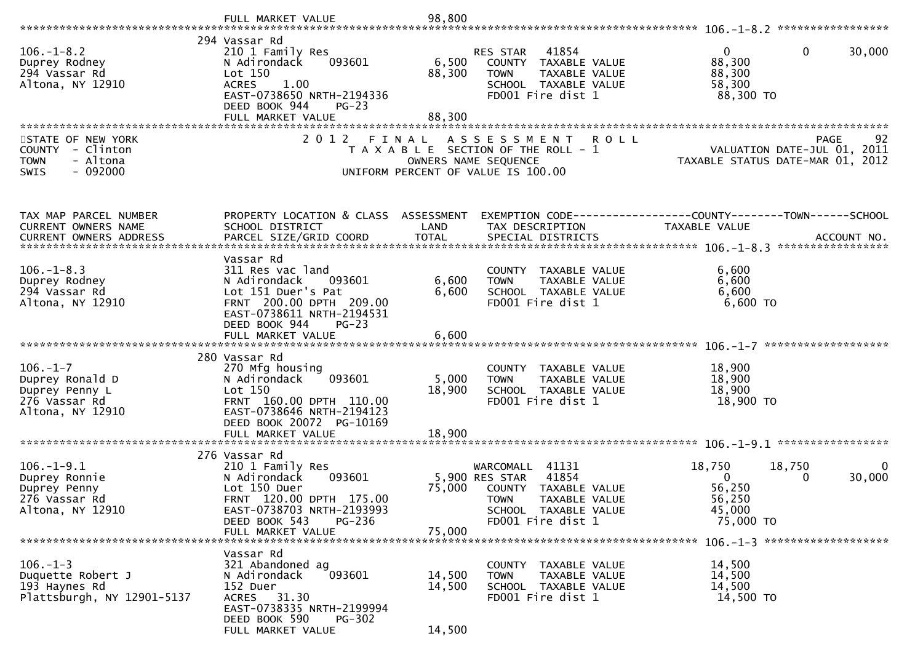|                                                                                              | FULL MARKET VALUE                                                                                                                                                                   | 98,800                     |                                                                                                                                                    |                                                                                                        |
|----------------------------------------------------------------------------------------------|-------------------------------------------------------------------------------------------------------------------------------------------------------------------------------------|----------------------------|----------------------------------------------------------------------------------------------------------------------------------------------------|--------------------------------------------------------------------------------------------------------|
| $106. - 1 - 8.2$<br>Duprey Rodney<br>294 Vassar Rd<br>Altona, NY 12910                       | 294 Vassar Rd<br>210 1 Family Res<br>N Adirondack<br>093601<br>Lot 150<br><b>ACRES</b><br>1.00<br>EAST-0738650 NRTH-2194336<br>DEED BOOK 944<br>$PG-23$<br>FULL MARKET VALUE        | 6,500<br>88,300<br>88,300  | RES STAR<br>41854<br>COUNTY TAXABLE VALUE<br><b>TOWN</b><br>TAXABLE VALUE<br>SCHOOL TAXABLE VALUE<br>FD001 Fire dist 1                             | $\mathbf{0}$<br>30,000<br>0<br>88,300<br>88,300<br>58,300<br>88,300 TO                                 |
| STATE OF NEW YORK<br>COUNTY - Clinton<br>- Altona<br><b>TOWN</b><br>$-092000$<br><b>SWIS</b> | 2 0 1 2                                                                                                                                                                             | FINAL                      | A S S E S S M E N T<br><b>ROLL</b><br>T A X A B L E SECTION OF THE ROLL - 1<br>OWNERS NAME SEQUENCE<br>UNIFORM PERCENT OF VALUE IS 100.00          | PAGE 92<br>VALUATION DATE-JUL 01, 2011<br>TAXARLE STATUS DATE 1115<br>TAXABLE STATUS DATE-MAR 01, 2012 |
| TAX MAP PARCEL NUMBER<br>CURRENT OWNERS NAME<br><b>CURRENT OWNERS ADDRESS</b>                | PROPERTY LOCATION & CLASS ASSESSMENT<br>SCHOOL DISTRICT<br>PARCEL SIZE/GRID COORD                                                                                                   | LAND<br><b>TOTAL</b>       | TAX DESCRIPTION<br>SPECIAL DISTRICTS                                                                                                               | TAXABLE VALUE<br>ACCOUNT NO.                                                                           |
| $106. - 1 - 8.3$<br>Duprey Rodney<br>294 Vassar Rd<br>Altona, NY 12910                       | Vassar Rd<br>311 Res vac land<br>N Adirondack<br>093601<br>Lot 151 Duer's Pat<br>FRNT 200.00 DPTH 209.00<br>EAST-0738611 NRTH-2194531<br>DEED BOOK 944<br>$PG-23$                   | 6,600<br>6,600             | COUNTY TAXABLE VALUE<br>TAXABLE VALUE<br><b>TOWN</b><br>SCHOOL TAXABLE VALUE<br>FD001 Fire dist 1                                                  | 6,600<br>6,600<br>6,600<br>6,600 TO                                                                    |
| $106. - 1 - 7$<br>Duprey Ronald D<br>Duprey Penny L<br>276 Vassar Rd<br>Altona, NY 12910     | 280 Vassar Rd<br>270 Mfg housing<br>093601<br>N Adirondack<br>Lot 150<br>FRNT 160.00 DPTH 110.00<br>EAST-0738646 NRTH-2194123<br>DEED BOOK 20072 PG-10169<br>FULL MARKET VALUE      | 5,000<br>18,900<br>18,900  | COUNTY TAXABLE VALUE<br><b>TOWN</b><br>TAXABLE VALUE<br>SCHOOL TAXABLE VALUE<br>FD001 Fire dist 1                                                  | 18,900<br>18,900<br>18,900<br>18,900 TO                                                                |
| $106. - 1 - 9.1$<br>Duprey Ronnie<br>Duprey Penny<br>276 Vassar Rd<br>Altona, NY 12910       | 276 Vassar Rd<br>210 1 Family Res<br>N Adirondack<br>093601<br>Lot 150 Duer<br>FRNT 120.00 DPTH 175.00<br>EAST-0738703 NRTH-2193993<br>DEED BOOK 543<br>PG-236<br>FULL MARKET VALUE | 75,000<br>75,000           | WARCOMALL<br>41131<br>41854<br>5,900 RES STAR<br>COUNTY TAXABLE VALUE<br><b>TOWN</b><br>TAXABLE VALUE<br>SCHOOL TAXABLE VALUE<br>FD001 Fire dist 1 | 18,750<br>18,750<br>$\mathbf{0}$<br>30,000<br>0<br>56,250<br>56.250<br>45,000<br>75,000 TO             |
| $106. - 1 - 3$<br>Duquette Robert J<br>193 Haynes Rd<br>Plattsburgh, NY 12901-5137           | Vassar Rd<br>321 Abandoned ag<br>093601<br>N Adirondack<br>152 Duer<br>ACRES 31.30<br>EAST-0738335 NRTH-2199994<br>DEED BOOK 590<br><b>PG-302</b><br>FULL MARKET VALUE              | 14,500<br>14,500<br>14,500 | COUNTY TAXABLE VALUE<br>TAXABLE VALUE<br><b>TOWN</b><br>SCHOOL TAXABLE VALUE<br>FD001 Fire dist 1                                                  | 14,500<br>14,500<br>14,500<br>14,500 TO                                                                |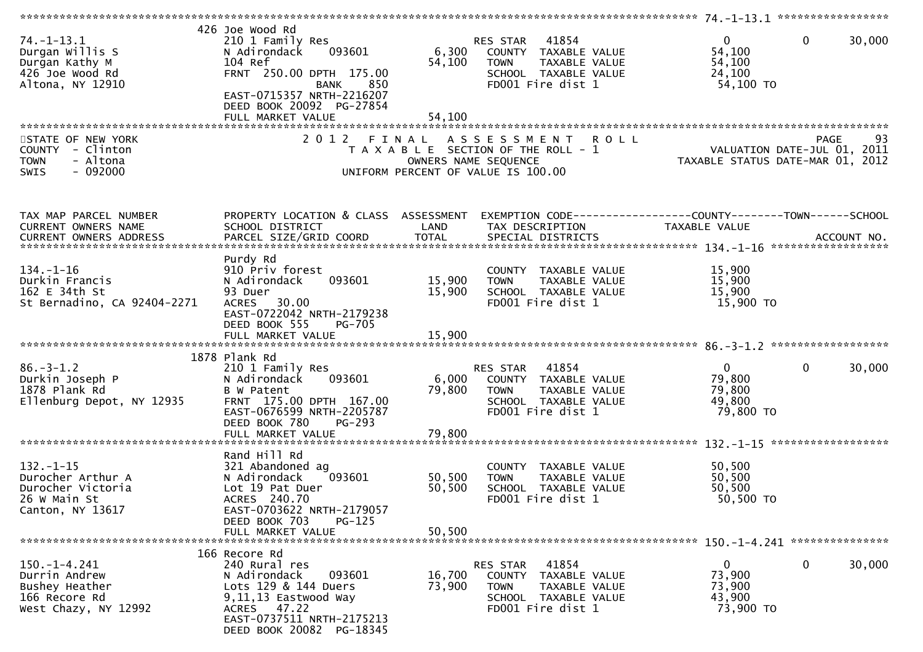| $74. - 1 - 13.1$<br>Durgan Willis S<br>Durgan Kathy M<br>426 Joe Wood Rd<br>Altona, NY 12910           | 426 Joe Wood Rd<br>210 1 Family Res<br>N Adirondack<br>093601<br>104 Ref<br>FRNT 250.00 DPTH 175.00<br>850<br>BANK<br>EAST-0715357 NRTH-2216207<br>DEED BOOK 20092 PG-27854 | 6,300<br>54,100      | 41854<br>RES STAR<br>COUNTY TAXABLE VALUE<br>TAXABLE VALUE<br><b>TOWN</b><br>SCHOOL TAXABLE VALUE<br>FD001 Fire dist 1 | $\mathbf{0}$<br>$\mathbf 0$<br>54,100<br>54,100<br>24,100<br>54,100 TO    | 30,000     |
|--------------------------------------------------------------------------------------------------------|-----------------------------------------------------------------------------------------------------------------------------------------------------------------------------|----------------------|------------------------------------------------------------------------------------------------------------------------|---------------------------------------------------------------------------|------------|
|                                                                                                        | FULL MARKET VALUE                                                                                                                                                           | 54,100               |                                                                                                                        |                                                                           |            |
|                                                                                                        |                                                                                                                                                                             |                      |                                                                                                                        |                                                                           |            |
| STATE OF NEW YORK<br><b>COUNTY</b><br>- Clinton<br><b>TOWN</b><br>- Altona<br>$-092000$<br><b>SWIS</b> | 2012 FINAL                                                                                                                                                                  | OWNERS NAME SEQUENCE | A S S E S S M E N T<br><b>ROLL</b><br>T A X A B L E SECTION OF THE ROLL - 1<br>UNIFORM PERCENT OF VALUE IS 100.00      | <b>PAGE</b><br>VALUATION DATE-JUL 01, 2011<br>TAXABLE STATUS DATE-MAR 01, | 93<br>2012 |
|                                                                                                        |                                                                                                                                                                             |                      |                                                                                                                        |                                                                           |            |
| TAX MAP PARCEL NUMBER                                                                                  | PROPERTY LOCATION & CLASS ASSESSMENT                                                                                                                                        |                      |                                                                                                                        | EXEMPTION CODE-----------------COUNTY-------TOWN------SCHOOL              |            |
| <b>CURRENT OWNERS NAME</b>                                                                             | SCHOOL DISTRICT                                                                                                                                                             | LAND                 | TAX DESCRIPTION                                                                                                        | TAXABLE VALUE                                                             |            |
|                                                                                                        |                                                                                                                                                                             |                      |                                                                                                                        |                                                                           |            |
|                                                                                                        | Purdy Rd                                                                                                                                                                    |                      |                                                                                                                        |                                                                           |            |
| $134. - 1 - 16$<br>Durkin Francis                                                                      | 910 Priv forest<br>093601<br>N Adirondack                                                                                                                                   | 15,900               | COUNTY TAXABLE VALUE<br>TAXABLE VALUE<br><b>TOWN</b>                                                                   | 15,900<br>15,900                                                          |            |
| 162 E 34th St                                                                                          | 93 Duer                                                                                                                                                                     | 15,900               | SCHOOL TAXABLE VALUE                                                                                                   | 15,900                                                                    |            |
| St Bernadino, CA 92404-2271                                                                            | ACRES 30.00                                                                                                                                                                 |                      | FD001 Fire dist 1                                                                                                      | 15,900 TO                                                                 |            |
|                                                                                                        | EAST-0722042 NRTH-2179238<br>DEED BOOK 555<br><b>PG-705</b>                                                                                                                 |                      |                                                                                                                        |                                                                           |            |
|                                                                                                        |                                                                                                                                                                             |                      |                                                                                                                        |                                                                           |            |
|                                                                                                        |                                                                                                                                                                             |                      |                                                                                                                        |                                                                           |            |
| $86. - 3 - 1.2$                                                                                        | 1878 Plank Rd<br>210 1 Family Res                                                                                                                                           |                      | RES STAR<br>41854                                                                                                      | $\mathbf{0}$<br>$\mathbf{0}$                                              | 30,000     |
| Durkin Joseph P                                                                                        | 093601<br>N Adirondack                                                                                                                                                      | 6,000                | COUNTY TAXABLE VALUE                                                                                                   | 79,800                                                                    |            |
| 1878 Plank Rd                                                                                          | B W Patent                                                                                                                                                                  | 79,800               | <b>TOWN</b><br>TAXABLE VALUE                                                                                           | 79,800                                                                    |            |
| Ellenburg Depot, NY 12935                                                                              | FRNT 175.00 DPTH 167.00<br>EAST-0676599 NRTH-2205787                                                                                                                        |                      | SCHOOL TAXABLE VALUE<br>FD001 Fire dist 1                                                                              | 49,800<br>79,800 TO                                                       |            |
|                                                                                                        | DEED BOOK 780<br>PG-293                                                                                                                                                     |                      |                                                                                                                        |                                                                           |            |
|                                                                                                        | FULL MARKET VALUE                                                                                                                                                           | 79,800               |                                                                                                                        |                                                                           |            |
|                                                                                                        | Rand Hill Rd                                                                                                                                                                |                      |                                                                                                                        |                                                                           |            |
| $132. - 1 - 15$                                                                                        | 321 Abandoned ag                                                                                                                                                            |                      | COUNTY TAXABLE VALUE                                                                                                   | 50,500                                                                    |            |
| Durocher Arthur A                                                                                      | N Adirondack<br>093601                                                                                                                                                      | 50,500               | <b>TOWN</b><br>TAXABLE VALUE                                                                                           | 50,500                                                                    |            |
| Durocher Victoria<br>26 W Main St                                                                      | Lot 19 Pat Duer<br>ACRES 240.70                                                                                                                                             | 50,500               | SCHOOL TAXABLE VALUE<br>FD001 Fire dist 1                                                                              | 50,500<br>50,500 TO                                                       |            |
| Canton, NY 13617                                                                                       | EAST-0703622 NRTH-2179057                                                                                                                                                   |                      |                                                                                                                        |                                                                           |            |
|                                                                                                        | DEED BOOK 703<br>$PG-125$                                                                                                                                                   |                      |                                                                                                                        |                                                                           |            |
|                                                                                                        | FULL MARKET VALUE                                                                                                                                                           | 50,500               |                                                                                                                        |                                                                           |            |
|                                                                                                        | 166 Recore Rd                                                                                                                                                               |                      |                                                                                                                        |                                                                           |            |
| $150.-1-4.241$                                                                                         | 240 Rural res                                                                                                                                                               |                      | 41854<br>RES STAR                                                                                                      | 0<br>0                                                                    | 30,000     |
| Durrin Andrew<br>Bushey Heather                                                                        | N Adirondack<br>093601<br>Lots 129 & 144 Duers                                                                                                                              | 16,700<br>73,900     | COUNTY<br>TAXABLE VALUE<br><b>TOWN</b><br>TAXABLE VALUE                                                                | 73,900<br>73,900                                                          |            |
| 166 Recore Rd                                                                                          | 9,11,13 Eastwood Way                                                                                                                                                        |                      | SCHOOL TAXABLE VALUE                                                                                                   | 43,900                                                                    |            |
| West Chazy, NY 12992                                                                                   | ACRES 47.22<br>EAST-0737511 NRTH-2175213                                                                                                                                    |                      | FD001 Fire dist 1                                                                                                      | 73,900 TO                                                                 |            |
|                                                                                                        | DEED BOOK 20082 PG-18345                                                                                                                                                    |                      |                                                                                                                        |                                                                           |            |
|                                                                                                        |                                                                                                                                                                             |                      |                                                                                                                        |                                                                           |            |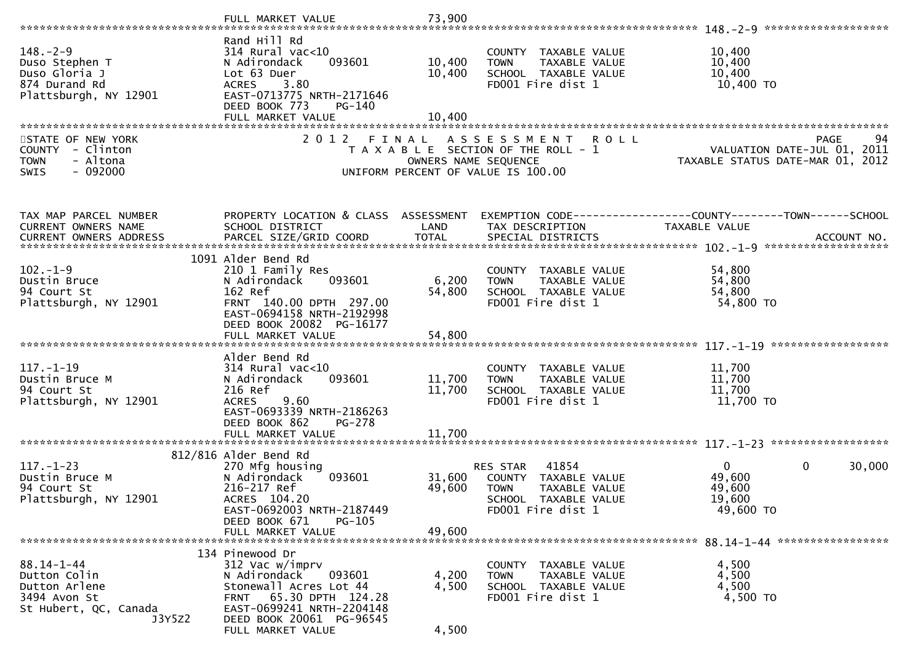|                                                                                                      | FULL MARKET VALUE                                                                                                                                                                                        | 73,900                        |                                                                                                                               |                                                                                      |
|------------------------------------------------------------------------------------------------------|----------------------------------------------------------------------------------------------------------------------------------------------------------------------------------------------------------|-------------------------------|-------------------------------------------------------------------------------------------------------------------------------|--------------------------------------------------------------------------------------|
| $148. - 2 - 9$<br>Duso Stephen T<br>Duso Gloria J<br>874 Durand Rd<br>Plattsburgh, NY 12901          | Rand Hill Rd<br>$314$ Rural vac<10<br>093601<br>N Adirondack<br>Lot 63 Duer<br><b>ACRES</b><br>3.80<br>EAST-0713775 NRTH-2171646<br>DEED BOOK 773<br>PG-140<br>FULL MARKET VALUE                         | 10,400<br>10,400<br>10,400    | COUNTY TAXABLE VALUE<br><b>TOWN</b><br>TAXABLE VALUE<br>SCHOOL TAXABLE VALUE<br>FD001 Fire dist 1                             | 10,400<br>10,400<br>10,400<br>10,400 TO                                              |
| STATE OF NEW YORK<br>COUNTY - Clinton<br>- Altona<br><b>TOWN</b><br>$-092000$<br><b>SWIS</b>         | 2 0 1 2                                                                                                                                                                                                  | FINAL<br>OWNERS NAME SEQUENCE | A S S E S S M E N T<br><b>ROLL</b><br>T A X A B L E SECTION OF THE ROLL - 1<br>UNIFORM PERCENT OF VALUE IS 100.00             | <b>PAGE</b><br>94<br>VALUATION DATE-JUL 01, 2011<br>TAXABLE STATUS DATE-MAR 01, 2012 |
| TAX MAP PARCEL NUMBER<br>CURRENT OWNERS NAME                                                         | PROPERTY LOCATION & CLASS ASSESSMENT<br>SCHOOL DISTRICT                                                                                                                                                  | LAND                          | TAX DESCRIPTION                                                                                                               | EXEMPTION CODE------------------COUNTY--------TOWN------SCHOOL<br>TAXABLE VALUE      |
| $102. -1 - 9$<br>Dustin Bruce<br>94 Court St<br>Plattsburgh, NY 12901                                | 1091 Alder Bend Rd<br>210 1 Family Res<br>093601<br>N Adirondack<br>162 Ref<br>FRNT 140.00 DPTH 297.00<br>EAST-0694158 NRTH-2192998<br>DEED BOOK 20082 PG-16177                                          | 6,200<br>54,800               | COUNTY TAXABLE VALUE<br>TAXABLE VALUE<br><b>TOWN</b><br>SCHOOL TAXABLE VALUE<br>FD001 Fire dist 1                             | 54,800<br>54,800<br>54,800<br>54,800 TO                                              |
| $117. - 1 - 19$<br>Dustin Bruce M<br>94 Court St<br>Plattsburgh, NY 12901                            | Alder Bend Rd<br>$314$ Rural vac<10<br>093601<br>N Adirondack<br>216 Ref<br>9.60<br><b>ACRES</b><br>EAST-0693339 NRTH-2186263<br>DEED BOOK 862<br>PG-278<br>FULL MARKET VALUE                            | 11,700<br>11,700<br>11,700    | COUNTY TAXABLE VALUE<br>TAXABLE VALUE<br><b>TOWN</b><br>SCHOOL TAXABLE VALUE<br>FD001 Fire dist 1                             | 11,700<br>11,700<br>11,700<br>11,700 TO                                              |
| $117. - 1 - 23$<br>Dustin Bruce M<br>94 Court St<br>Plattsburgh, NY 12901                            | 812/816 Alder Bend Rd<br>270 Mfg housing<br>093601<br>N Adirondack<br>216-217 Ref<br>ACRES 104.20<br>EAST-0692003 NRTH-2187449<br>DEED BOOK 671<br>$PG-105$<br>FULL MARKET VALUE                         | 31,600<br>49,600<br>49,600    | 41854<br><b>RES STAR</b><br>COUNTY TAXABLE VALUE<br><b>TOWN</b><br>TAXABLE VALUE<br>SCHOOL TAXABLE VALUE<br>FD001 Fire dist 1 | $\mathbf 0$<br>30,000<br>$\mathbf{0}$<br>49,600<br>49,600<br>19,600<br>49,600 TO     |
| $88.14 - 1 - 44$<br>Dutton Colin<br>Dutton Arlene<br>3494 Avon St<br>St Hubert, QC, Canada<br>J3Y5Z2 | 134 Pinewood Dr<br>312 Vac w/imprv<br>N Adirondack<br>093601<br>Stonewall Acres Lot 44<br>65.30 DPTH 124.28<br><b>FRNT</b><br>EAST-0699241 NRTH-2204148<br>DEED BOOK 20061 PG-96545<br>FULL MARKET VALUE | 4,200<br>4,500<br>4,500       | COUNTY TAXABLE VALUE<br>TAXABLE VALUE<br><b>TOWN</b><br>SCHOOL TAXABLE VALUE<br>FD001 Fire dist 1                             | 4,500<br>4,500<br>4,500<br>4,500 TO                                                  |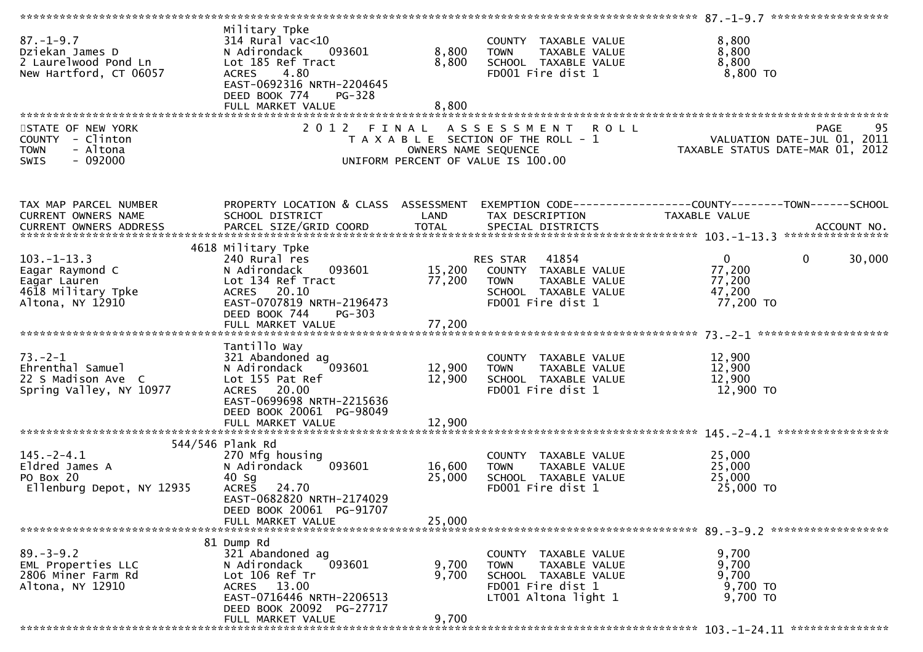| 87.-1-9.7<br>Dziekan James D<br>2 Laurelwood Pond Ln<br>New Hartford, CT 06057                | Military Tpke<br>314 Rural vac<10<br>N Adirondack<br>093601<br>Lot 185 Ref Tract<br>ACRES 4.80<br>EAST-0692316 NRTH-2204645<br>DEED BOOK 774<br>PG-328<br>FULL MARKET VALUE | 8,800<br>8,800<br>8,800    | --- AAABLE VALUE<br>TOWN - TAXABLE VALUE<br>SCHOOL TAXABLE VALUE<br>FDOO1 Fire dist 1                                                                 | 8,800<br>8,800<br>8,800<br>8,800 TO                                                                               |
|-----------------------------------------------------------------------------------------------|-----------------------------------------------------------------------------------------------------------------------------------------------------------------------------|----------------------------|-------------------------------------------------------------------------------------------------------------------------------------------------------|-------------------------------------------------------------------------------------------------------------------|
|                                                                                               |                                                                                                                                                                             |                            |                                                                                                                                                       |                                                                                                                   |
| STATE OF NEW YORK<br>COUNTY - Clinton<br>- Altona<br><b>TOWN</b><br>$-092000$<br><b>SWIS</b>  |                                                                                                                                                                             |                            | 2012 FINAL ASSESSMENT<br><b>ROLL</b><br>T A X A B L E SECTION OF THE ROLL - 1<br>OWNERS NAME SEQUENCE<br>UNIFORM PERCENT OF VALUE IS 100.00           | PAGE 95<br>ROLL - 1 VALUATION DATE-JUL 01, 2011<br>TAXABLE STATUS DATE-MAR 01, 2012                               |
| TAX MAP PARCEL NUMBER<br>CURRENT OWNERS NAME                                                  | SCHOOL DISTRICT                                                                                                                                                             | LAND                       | TAX DESCRIPTION                                                                                                                                       | PROPERTY LOCATION & CLASS ASSESSMENT EXEMPTION CODE----------------COUNTY-------TOWN------SCHOOL<br>TAXABLE VALUE |
|                                                                                               |                                                                                                                                                                             |                            |                                                                                                                                                       |                                                                                                                   |
| $103 - 1 - 13.3$<br>Eagar Raymond C<br>Eagar Lauren<br>4618 Military Tpke<br>Altona, NY 12910 | 4618 Military Tpke<br>240 Rural res<br>093601<br>N Adirondack<br>Lot 134 Ref Tract<br>ACRES 20.10<br>EAST-0707819 NRTH-2196473<br>DEED BOOK 744<br>PG-303                   | 77,200                     | RES STAR 41854<br>RES STAR     41854<br>15,200    COUNTY   TAXABLE VALUE<br>TAXABLE VALUE<br><b>TOWN</b><br>SCHOOL TAXABLE VALUE<br>FD001 Fire dist 1 | $\overline{0}$<br>$\mathbf 0$<br>30,000<br>77,200<br>77,200<br>47,200<br>77,200 TO                                |
| $73. - 2 - 1$<br>Ehrenthal Samuel<br>22 S Madison Ave C<br>Spring Valley, NY 10977            | Tantillo Way<br>321 Abandoned ag<br>093601<br>N Adirondack<br>Lot 155 Pat Ref<br>ACRES 20.00<br>EAST-0699698 NRTH-2215636<br>DEED BOOK 20061 PG-98049<br>FULL MARKET VALUE  | 12,900<br>12,900<br>12,900 | COUNTY TAXABLE VALUE<br>TAXABLE VALUE<br><b>TOWN</b><br>SCHOOL TAXABLE VALUE<br>FD001 Fire dist 1                                                     | 12,900<br>12,900<br>12,900<br>12,900 TO                                                                           |
|                                                                                               |                                                                                                                                                                             |                            |                                                                                                                                                       |                                                                                                                   |
| $145. -2 - 4.1$<br>Eldred James A<br>PO Box 20<br>Ellenburg Depot, NY 12935                   | 544/546 Plank Rd<br>270 Mfg housing<br>093601<br>N Adirondack<br>$40$ Sq<br>ACRES 24.70<br>EAST-0682820 NRTH-2174029<br>DEED BOOK 20061 PG-91707                            | 16,600<br>25,000           | COUNTY TAXABLE VALUE<br>TAXABLE VALUE<br><b>TOWN</b><br>SCHOOL TAXABLE VALUE<br>FD001 Fire dist 1                                                     | 25,000<br>25,000<br>25,000<br>25,000 TO                                                                           |
|                                                                                               | FULL MARKET VALUE                                                                                                                                                           | 25,000                     |                                                                                                                                                       |                                                                                                                   |
| $89. - 3 - 9.2$<br>EML Properties LLC<br>2806 Miner Farm Rd<br>Altona, NY 12910               | 81 Dump Rd<br>321 Abandoned ag<br>093601<br>N Adirondack<br>Lot 106 Ref Tr<br>ACRES 13.00<br>EAST-0716446 NRTH-2206513<br>DEED BOOK 20092 PG-27717<br>FULL MARKET VALUE     | 9,700<br>9,700<br>9,700    | COUNTY TAXABLE VALUE<br><b>TOWN</b><br>TAXABLE VALUE<br>SCHOOL TAXABLE VALUE<br>FD001 Fire dist 1<br>LT001 Altona light 1                             | 9,700<br>9,700<br>9,700<br>9,700 TO<br>9,700 TO                                                                   |
|                                                                                               |                                                                                                                                                                             |                            |                                                                                                                                                       |                                                                                                                   |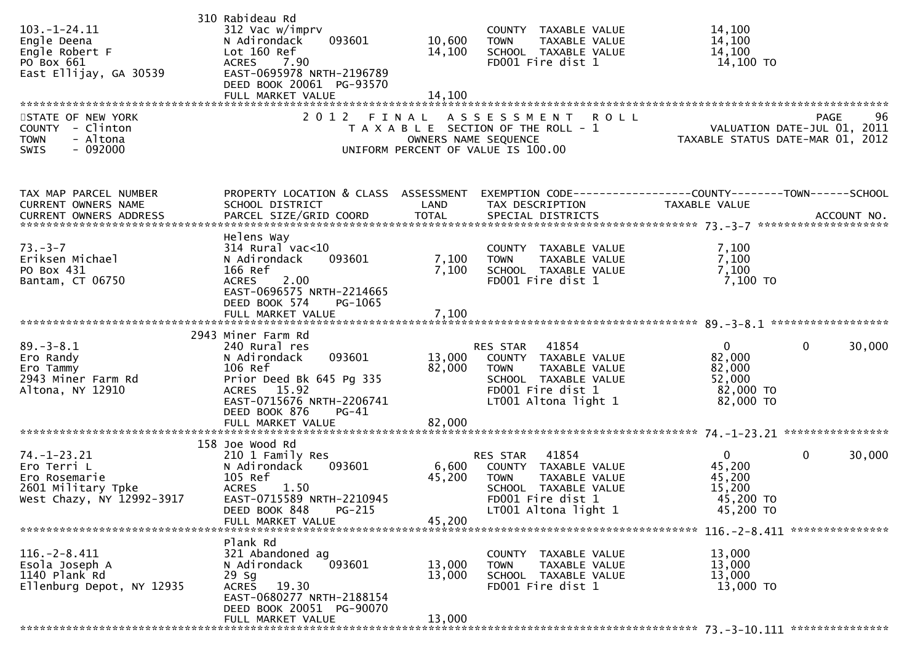|                           | 310 Rabideau Rd                               |                      |                                       |                                                                 |        |
|---------------------------|-----------------------------------------------|----------------------|---------------------------------------|-----------------------------------------------------------------|--------|
| $103.-1-24.11$            | 312 Vac w/imprv                               |                      | COUNTY TAXABLE VALUE                  | 14,100                                                          |        |
| Engle Deena               | 093601<br>N Adirondack                        | 10,600               | <b>TOWN</b><br>TAXABLE VALUE          | 14,100                                                          |        |
| Engle Robert F            | Lot 160 Ref                                   | 14,100               | SCHOOL TAXABLE VALUE                  | 14,100                                                          |        |
| PO Box 661                | 7.90<br>ACRES                                 |                      | FD001 Fire dist 1                     | 14,100 TO                                                       |        |
| East Ellijay, GA 30539    | EAST-0695978 NRTH-2196789                     |                      |                                       |                                                                 |        |
|                           | DEED BOOK 20061 PG-93570                      |                      |                                       |                                                                 |        |
|                           |                                               |                      |                                       |                                                                 |        |
|                           | FULL MARKET VALUE                             | 14,100               |                                       |                                                                 |        |
|                           |                                               |                      |                                       |                                                                 |        |
| STATE OF NEW YORK         | 2 0 1 2                                       | FINAL                | <b>ROLL</b><br>A S S E S S M E N T    | PAGE                                                            | 96     |
| COUNTY - Clinton          |                                               |                      | T A X A B L E SECTION OF THE ROLL - 1 |                                                                 |        |
| - Altona<br><b>TOWN</b>   |                                               | OWNERS NAME SEQUENCE |                                       | VALUATION DATE-JUL 01, 2011<br>TAXABLE STATUS DATE-MAR 01, 2012 |        |
| $-092000$<br>SWIS         |                                               |                      | UNIFORM PERCENT OF VALUE IS 100.00    |                                                                 |        |
|                           |                                               |                      |                                       |                                                                 |        |
|                           |                                               |                      |                                       |                                                                 |        |
| TAX MAP PARCEL NUMBER     | PROPERTY LOCATION & CLASS ASSESSMENT          |                      |                                       | EXEMPTION CODE-----------------COUNTY-------TOWN------SCHOOL    |        |
| CURRENT OWNERS NAME       | SCHOOL DISTRICT                               | LAND                 | TAX DESCRIPTION                       | TAXABLE VALUE                                                   |        |
|                           |                                               |                      |                                       |                                                                 |        |
|                           |                                               |                      |                                       |                                                                 |        |
|                           | Helens Way                                    |                      |                                       |                                                                 |        |
| $73. - 3 - 7$             | $314$ Rural vac<10                            |                      | COUNTY TAXABLE VALUE                  | 7,100                                                           |        |
| Eriksen Michael           | N Adirondack<br>093601                        | 7,100                | TAXABLE VALUE<br><b>TOWN</b>          | 7,100                                                           |        |
|                           |                                               |                      |                                       |                                                                 |        |
| PO Box 431                | 166 Ref                                       | 7,100                | SCHOOL TAXABLE VALUE                  | 7,100                                                           |        |
| Bantam, CT 06750          | <b>ACRES</b><br>2.00                          |                      | FD001 Fire dist 1                     | 7,100 TO                                                        |        |
|                           | EAST-0696575 NRTH-2214665                     |                      |                                       |                                                                 |        |
|                           | DEED BOOK 574<br>PG-1065                      |                      |                                       |                                                                 |        |
|                           | FULL MARKET VALUE                             | 7,100                |                                       |                                                                 |        |
|                           |                                               |                      |                                       |                                                                 |        |
|                           | 2943 Miner Farm Rd                            |                      |                                       |                                                                 |        |
| $89. - 3 - 8.1$           | 240 Rural res                                 |                      | 41854<br>RES STAR                     | $\mathbf{0}$<br>0                                               | 30,000 |
| Ero Randy                 | 093601<br>N Adirondack                        | 13,000               | COUNTY TAXABLE VALUE                  | 82,000                                                          |        |
| Ero Tammy                 | 106 Ref                                       | 82,000               | TAXABLE VALUE<br><b>TOWN</b>          | 82,000                                                          |        |
| 2943 Miner Farm Rd        | Prior Deed Bk 645 Pg 335                      |                      | SCHOOL TAXABLE VALUE                  | 52,000                                                          |        |
|                           |                                               |                      | FD001 Fire dist 1                     |                                                                 |        |
| Altona, NY 12910          | ACRES 15.92                                   |                      |                                       | 82,000 TO                                                       |        |
|                           | EAST-0715676 NRTH-2206741                     |                      | LT001 Altona light 1                  | 82,000 TO                                                       |        |
|                           | DEED BOOK 876<br>$PG-41$                      |                      |                                       |                                                                 |        |
|                           | FULL MARKET VALUE                             | 82,000               |                                       |                                                                 |        |
|                           |                                               |                      |                                       |                                                                 |        |
|                           | 158 Joe Wood Rd                               |                      |                                       |                                                                 |        |
| $74. - 1 - 23.21$         | 210 1 Family Res                              |                      | RES STAR<br>41854                     | $\overline{0}$<br>0                                             | 30,000 |
| Ero Terri L               | N Adirondack<br>093601                        | 6,600                | COUNTY TAXABLE VALUE                  | 45,200                                                          |        |
| Ero Rosemarie             | 105 Ref                                       | 45,200               | <b>TOWN</b><br>TAXABLE VALUE          | 45,200                                                          |        |
| 2601 Military Tpke        | <b>ACRES</b><br>1.50                          |                      | SCHOOL TAXABLE VALUE                  | 15,200                                                          |        |
| West Chazy, NY 12992-3917 | EAST-0715589 NRTH-2210945                     |                      | FD001 Fire dist 1                     | 45,200 TO                                                       |        |
|                           | DEED BOOK 848<br>PG-215                       |                      | LT001 Altona light 1                  | 45,200 TO                                                       |        |
|                           | FULL MARKET VALUE                             | 45,200               |                                       |                                                                 |        |
|                           |                                               |                      |                                       |                                                                 |        |
|                           |                                               |                      |                                       |                                                                 |        |
|                           | Plank Rd                                      |                      |                                       |                                                                 |        |
| $116. - 2 - 8.411$        | 321 Abandoned ag                              |                      | COUNTY TAXABLE VALUE                  | 13,000                                                          |        |
| Esola Joseph A            | N Adirondack<br>093601                        | 13,000               | TAXABLE VALUE<br><b>TOWN</b>          | 13,000                                                          |        |
| 1140 Plank Rd             | 29 Sg                                         | 13,000               | SCHOOL TAXABLE VALUE                  | 13,000                                                          |        |
| Ellenburg Depot, NY 12935 | ACRES 19.30                                   |                      | FD001 Fire dist 1                     | 13,000 TO                                                       |        |
|                           |                                               |                      |                                       |                                                                 |        |
|                           |                                               |                      |                                       |                                                                 |        |
|                           | EAST-0680277 NRTH-2188154                     |                      |                                       |                                                                 |        |
|                           | DEED BOOK 20051 PG-90070<br>FULL MARKET VALUE | 13,000               |                                       |                                                                 |        |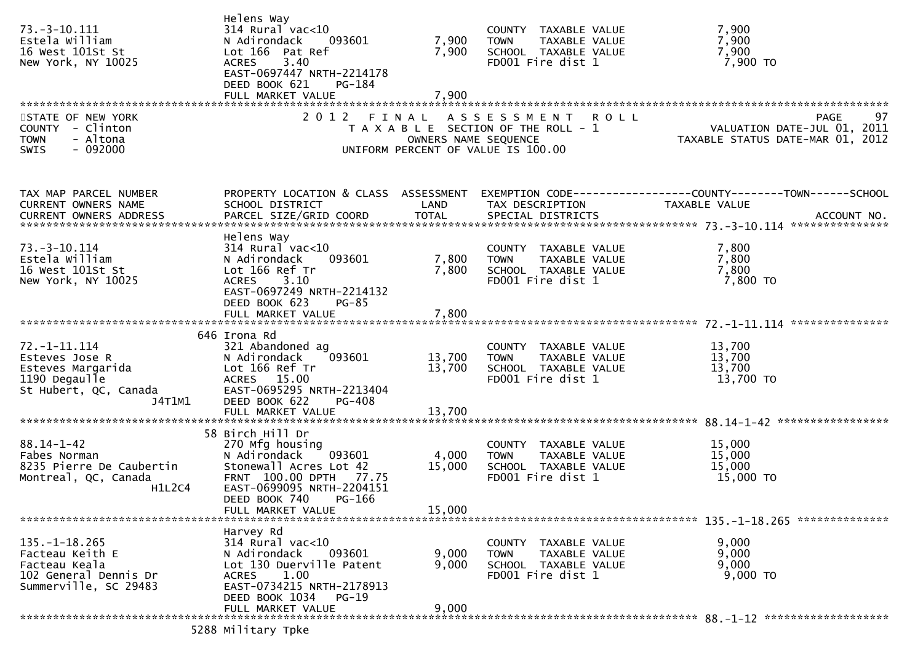| $73. - 3 - 10.111$<br>Estela William<br>16 West 101St St<br>New York, NY 10025                                | Helens Way<br>$314$ Rural vac<10<br>N Adirondack<br>093601<br>Lot 166 Pat Ref<br>3.40<br><b>ACRES</b><br>EAST-0697447 NRTH-2214178<br>DEED BOOK 621<br>PG-184<br>FULL MARKET VALUE          | 7,900<br>7,900<br>7,900   | COUNTY TAXABLE VALUE<br><b>TOWN</b><br>TAXABLE VALUE<br>SCHOOL TAXABLE VALUE<br>FD001 Fire dist 1         | 7,900<br>7,900<br>7,900<br>7,900 TO                                                    |
|---------------------------------------------------------------------------------------------------------------|---------------------------------------------------------------------------------------------------------------------------------------------------------------------------------------------|---------------------------|-----------------------------------------------------------------------------------------------------------|----------------------------------------------------------------------------------------|
| STATE OF NEW YORK<br>$COUNTY - Clinton$<br>- Altona<br><b>TOWN</b><br><b>SWIS</b><br>- 092000                 |                                                                                                                                                                                             | OWNERS NAME SEQUENCE      | 2012 FINAL ASSESSMENT ROLL<br>T A X A B L E SECTION OF THE ROLL - 1<br>UNIFORM PERCENT OF VALUE IS 100.00 | 97<br><b>PAGE</b><br>VALUATION DATE-JUL 01, 2011<br>TAXABLE STATUS DATE-MAR 01, 2012   |
| TAX MAP PARCEL NUMBER<br>CURRENT OWNERS NAME<br><b>CURRENT OWNERS ADDRESS</b>                                 | PROPERTY LOCATION & CLASS ASSESSMENT<br>SCHOOL DISTRICT                                                                                                                                     | LAND                      | TAX DESCRIPTION                                                                                           | EXEMPTION CODE------------------COUNTY--------TOWN------SCHOOL<br><b>TAXABLE VALUE</b> |
| $73. - 3 - 10.114$<br>Estela William<br>16 West 101St St<br>New York, NY 10025                                | Helens Way<br>$314$ Rural vac<10<br>093601<br>N Adirondack<br>Lot 166 Ref Tr<br>3.10<br><b>ACRES</b><br>EAST-0697249 NRTH-2214132<br>DEED BOOK 623<br>$PG-85$                               | 7,800<br>7,800            | COUNTY TAXABLE VALUE<br><b>TOWN</b><br>TAXABLE VALUE<br>SCHOOL TAXABLE VALUE<br>FD001 Fire dist 1         | 7,800<br>7,800<br>7,800<br>7,800 TO                                                    |
|                                                                                                               |                                                                                                                                                                                             |                           |                                                                                                           |                                                                                        |
| $72. - 1 - 11.114$<br>Esteves Jose R<br>Esteves Margarida<br>1190 Degaulle<br>St Hubert, QC, Canada<br>J4T1M1 | 646 Irona Rd<br>321 Abandoned ag<br>093601<br>N Adirondack<br>Lot 166 Ref Tr<br>ACRES 15.00<br>EAST-0695295 NRTH-2213404<br>DEED BOOK 622<br>PG-408                                         | 13,700<br>13,700          | COUNTY TAXABLE VALUE<br><b>TOWN</b><br>TAXABLE VALUE<br>SCHOOL TAXABLE VALUE<br>FD001 Fire dist 1         | 13,700<br>13,700<br>13,700<br>13,700 TO                                                |
|                                                                                                               |                                                                                                                                                                                             |                           |                                                                                                           |                                                                                        |
| $88.14 - 1 - 42$<br>Fabes Norman<br>8235 Pierre De Caubertin<br>Montreal, QC, Canada<br>H1L2C4                | 58 Birch Hill Dr<br>270 Mfg housing<br>093601<br>N Adirondack<br>Stonewall Acres Lot 42<br>FRNT 100.00 DPTH 77.75<br>EAST-0699095 NRTH-2204151<br>DEED BOOK 740 PG-166<br>FULL MARKET VALUE | 4,000<br>15,000<br>15,000 | COUNTY TAXABLE VALUE<br>TAXABLE VALUE<br><b>TOWN</b><br>SCHOOL TAXABLE VALUE<br>FD001 Fire dist 1         | 15,000<br>15,000<br>15,000<br>15,000 TO                                                |
|                                                                                                               | Harvey Rd                                                                                                                                                                                   |                           |                                                                                                           |                                                                                        |
| $135. - 1 - 18.265$<br>Facteau Keith E<br>Facteau Keala<br>102 General Dennis Dr<br>Summerville, SC 29483     | 314 Rural vac<10<br>093601<br>N Adirondack<br>Lot 130 Duerville Patent<br>1.00<br><b>ACRES</b><br>EAST-0734215 NRTH-2178913<br>DEED BOOK 1034<br>PG-19                                      | 9,000<br>9,000            | COUNTY TAXABLE VALUE<br><b>TOWN</b><br>TAXABLE VALUE<br>SCHOOL TAXABLE VALUE<br>FD001 Fire dist 1         | 9,000<br>9,000<br>9,000<br>9,000 TO                                                    |
|                                                                                                               | FULL MARKET VALUE                                                                                                                                                                           | 9,000                     |                                                                                                           |                                                                                        |
|                                                                                                               | 5288 Military Tpke                                                                                                                                                                          |                           |                                                                                                           |                                                                                        |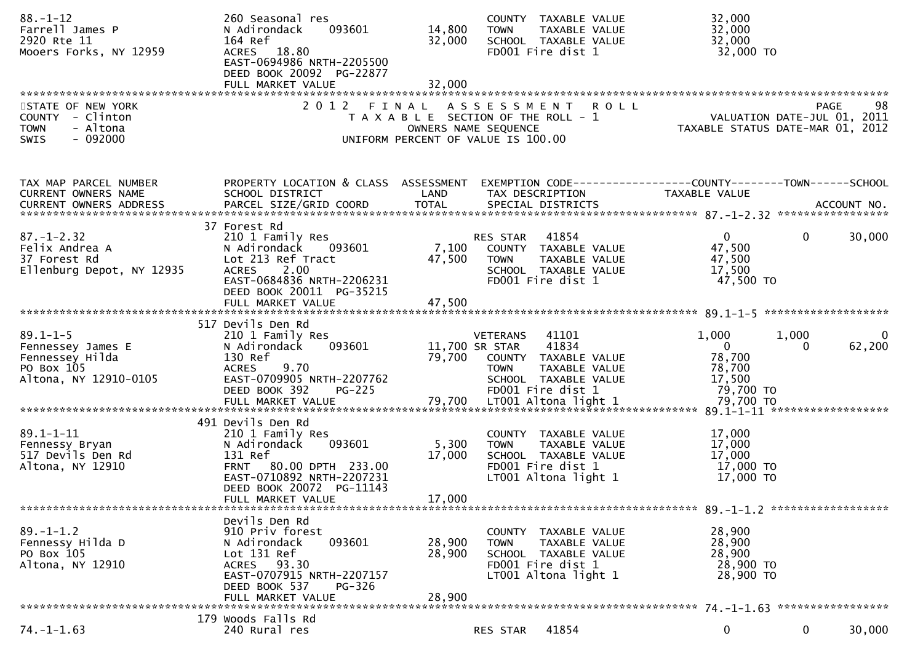| $88 - 1 - 12$<br>Farrell James P<br>2920 Rte 11<br>Mooers Forks, NY 12959                     | 260 Seasonal res<br>093601<br>N Adirondack<br>164 Ref<br>ACRES 18.80<br>EAST-0694986 NRTH-2205500<br>DEED BOOK 20092 PG-22877                                                         | 14,800<br>32,000           | COUNTY TAXABLE VALUE<br><b>TOWN</b><br>TAXABLE VALUE<br>SCHOOL TAXABLE VALUE<br>FD001 Fire dist 1                                                         | 32,000<br>32,000<br>32,000<br>32,000 TO                                                                                                                                                                                |
|-----------------------------------------------------------------------------------------------|---------------------------------------------------------------------------------------------------------------------------------------------------------------------------------------|----------------------------|-----------------------------------------------------------------------------------------------------------------------------------------------------------|------------------------------------------------------------------------------------------------------------------------------------------------------------------------------------------------------------------------|
| STATE OF NEW YORK<br>COUNTY - Clinton<br>- Altona<br><b>TOWN</b><br><b>SWIS</b><br>$-092000$  |                                                                                                                                                                                       |                            | 2012 FINAL ASSESSMENT ROLL<br>T A X A B L E SECTION OF THE ROLL - 1<br>OWNERS NAME SEOUENCE<br>OWNERS NAME SEQUENCE<br>UNIFORM PERCENT OF VALUE IS 100.00 | 98<br><b>PAGE</b><br>VALUATION DATE-JUL 01, 2011<br>TAXABLE STATUS DATE-MAR 01, 2012                                                                                                                                   |
| TAX MAP PARCEL NUMBER<br>CURRENT OWNERS NAME<br>CURRENT OWNERS ADDRESS                        | SCHOOL DISTRICT                                                                                                                                                                       | LAND                       | TAX DESCRIPTION                                                                                                                                           | PROPERTY LOCATION & CLASS ASSESSMENT EXEMPTION CODE----------------COUNTY-------TOWN------SCHOOL<br>TAXABLE VALUE<br>CURRENT OWNERS ADDRESS FARCEL SIZE/GRID COORD TOTAL SPECIAL DISTRICTS FOR THE SPECIAL ACCOUNT NO. |
| $87. - 1 - 2.32$<br>Felix Andrea A<br>37 Forest Rd<br>Ellenburg Depot, NY 12935               | 37 Forest Rd<br>210 1 Family Res<br>N Adirondack    093601<br>Lot 213 Ref Tract<br>2.00<br><b>ACRES</b><br>EAST-0684836 NRTH-2206231<br>DEED BOOK 20011 PG-35215<br>FULL MARKET VALUE | 47,500<br>47,500           | <b>RES STAR 41854</b><br>7,100 COUNTY TAXABLE VALUE<br>TAXABLE VALUE<br><b>TOWN</b><br>SCHOOL TAXABLE VALUE<br>FD001 Fire dist 1                          | $\overline{0}$<br>$\overline{0}$<br>30,000<br>47,500<br>47,500<br>17,500<br>47,500 TO                                                                                                                                  |
| $89.1 - 1 - 5$<br>Fennessey James E<br>Fennessey Hilda<br>PO Box 105<br>Altona, NY 12910-0105 | 517 Devils Den Rd<br>210 1 Family Res<br>093601<br>N Adirondack<br>130 Ref<br>ACRES 9.70<br>EAST-0709905 NRTH-2207762<br><b>PG-225</b><br>DEED BOOK 392                               | 79,700                     | VETERANS 41101<br>11,700 SR STAR 41834<br>COUNTY TAXABLE VALUE<br><b>TOWN</b><br>TAXABLE VALUE<br>SCHOOL TAXABLE VALUE<br>FD001 Fire dist 1               | 1,000<br>1,000<br>62,200<br>$\overline{0}$<br>0<br>78,700<br>78,700<br>17,500<br>79,700 TO                                                                                                                             |
| $89.1 - 1 - 11$<br>Fennessy Bryan<br>517 Devils Den Rd<br>Altona, NY 12910                    | 491 Devils Den Rd<br>210 1 Family Res<br>093601<br>N Adirondack<br>131 Ref<br>FRNT 80.00 DPTH 233.00<br>EAST-0710892 NRTH-2207231<br>DEED BOOK 20072 PG-11143<br>FULL MARKET VALUE    | 5,300<br>17,000<br>17,000  | COUNTY TAXABLE VALUE<br><b>TOWN</b><br>TAXABLE VALUE<br>SCHOOL TAXABLE VALUE<br>FD001 Fire dist 1<br>LT001 Altona light 1                                 | 17,000<br>17,000<br>17,000<br>17,000 TO<br>17,000 TO                                                                                                                                                                   |
| $89. - 1 - 1.2$<br>Fennessy Hilda D<br>PO Box 105<br>Altona, NY 12910                         | Devils Den Rd<br>910 Priv forest<br>093601<br>N Adirondack<br>Lot 131 Ref<br>ACRES 93.30<br>EAST-0707915 NRTH-2207157<br>DEED BOOK 537<br>PG-326<br>FULL MARKET VALUE                 | 28,900<br>28,900<br>28,900 | COUNTY TAXABLE VALUE<br><b>TOWN</b><br>TAXABLE VALUE<br>SCHOOL TAXABLE VALUE<br>FD001 Fire dist 1<br>LT001 Altona light 1                                 | 28,900<br>28,900<br>28,900<br>28,900 TO<br>28,900 TO                                                                                                                                                                   |
| $74. - 1 - 1.63$                                                                              | 179 Woods Falls Rd<br>240 Rural res                                                                                                                                                   |                            | 41854<br>RES STAR                                                                                                                                         | $\mathbf 0$<br>$\mathbf{0}$<br>30,000                                                                                                                                                                                  |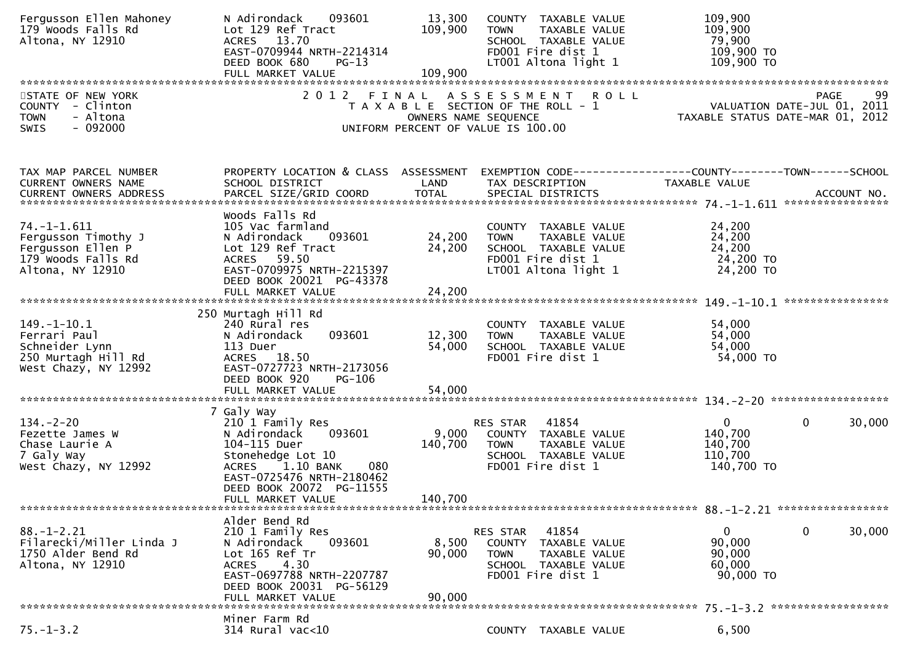| Fergusson Ellen Mahoney<br>179 Woods Falls Rd<br>Altona, NY 12910                                      | N Adirondack<br>093601<br>Lot 129 Ref Tract<br>ACRES 13.70<br>EAST-0709944 NRTH-2214314<br>DEED BOOK 680<br>$PG-13$                                                                               | 13,300<br>109,900           | COUNTY TAXABLE VALUE<br>TAXABLE VALUE<br><b>TOWN</b><br>SCHOOL TAXABLE VALUE<br>FD001 Fire dist 1<br>LT001 Altona light 1         | 109,900<br>109,900<br>79,900<br>109,900 TO<br>109,900 TO                                                                       |
|--------------------------------------------------------------------------------------------------------|---------------------------------------------------------------------------------------------------------------------------------------------------------------------------------------------------|-----------------------------|-----------------------------------------------------------------------------------------------------------------------------------|--------------------------------------------------------------------------------------------------------------------------------|
| STATE OF NEW YORK<br>COUNTY - Clinton<br>- Altona<br><b>TOWN</b><br>$-092000$<br><b>SWIS</b>           |                                                                                                                                                                                                   |                             | 2012 FINAL ASSESSMENT ROLL<br>T A X A B L E SECTION OF THE ROLL - 1<br>OWNERS NAME SEQUENCE<br>UNIFORM PERCENT OF VALUE IS 100.00 | 99<br>PAGE<br>99 PAGE<br>VALUATION DATE-JUL 01, 2011<br>TAXARLE STATUS DATE ::: - 21, 2011<br>TAXABLE STATUS DATE-MAR 01, 2012 |
| TAX MAP PARCEL NUMBER<br>CURRENT OWNERS NAME                                                           | PROPERTY LOCATION & CLASS ASSESSMENT<br>SCHOOL DISTRICT                                                                                                                                           | LAND                        | TAX DESCRIPTION                                                                                                                   | EXEMPTION CODE------------------COUNTY--------TOWN------SCHOOL<br>TAXABLE VALUE                                                |
| $74. -1 - 1.611$<br>Fergusson Timothy J<br>Fergusson Ellen P<br>179 Woods Falls Rd<br>Altona, NY 12910 | Woods Falls Rd<br>105 Vac farmland<br>093601<br>N Adirondack<br>Lot 129 Ref Tract<br>ACRES 59.50<br>EAST-0709975 NRTH-2215397<br>DEED BOOK 20021 PG-43378<br>FULL MARKET VALUE                    | 24,200<br>24,200<br>24,200  | COUNTY TAXABLE VALUE<br><b>TOWN</b><br>TAXABLE VALUE<br>SCHOOL TAXABLE VALUE<br>FD001 Fire dist 1<br>LT001 Altona light 1         | 24,200<br>24,200<br>24,200<br>24,200 TO<br>24,200 TO                                                                           |
| $149. - 1 - 10.1$                                                                                      | 250 Murtagh Hill Rd<br>240 Rural res                                                                                                                                                              |                             | COUNTY TAXABLE VALUE                                                                                                              | 54,000                                                                                                                         |
| Ferrari Paul<br>Schneider Lynn<br>250 Murtagh Hill Rd<br>West Chazy, NY 12992                          | 093601<br>N Adirondack<br>113 Duer<br>ACRES 18.50<br>EAST-0727723 NRTH-2173056<br>DEED BOOK 920<br><b>PG-106</b>                                                                                  | 12,300<br>54,000            | <b>TOWN</b><br>TAXABLE VALUE<br>SCHOOL TAXABLE VALUE<br>FD001 Fire dist 1                                                         | 54,000<br>54,000<br>54,000 TO                                                                                                  |
|                                                                                                        | 7 Galy Way                                                                                                                                                                                        |                             |                                                                                                                                   |                                                                                                                                |
| $134. - 2 - 20$<br>Fezette James W<br>Chase Laurie A<br>7 Galy Way<br>West Chazy, NY 12992             | 210 1 Family Res<br>N Adirondack<br>093601<br>104-115 Duer<br>Stonehedge Lot 10<br>1.10 BANK<br><b>ACRES</b><br>080<br>EAST-0725476 NRTH-2180462<br>DEED BOOK 20072 PG-11555<br>FULL MARKET VALUE | 9,000<br>140,700<br>140,700 | 41854<br>RES STAR<br>COUNTY TAXABLE VALUE<br>TAXABLE VALUE<br><b>TOWN</b><br>SCHOOL TAXABLE VALUE<br>FD001 Fire dist 1            | $\mathbf{0}$<br>$\mathbf{0}$<br>30,000<br>140,700<br>140,700<br>110,700<br>140,700 TO                                          |
|                                                                                                        | Alder Bend Rd                                                                                                                                                                                     |                             |                                                                                                                                   |                                                                                                                                |
| $88. - 1 - 2.21$<br>Filarecki/Miller Linda J<br>1750 Alder Bend Rd<br>Altona, NY 12910                 | 210 1 Family Res<br>N Adirondack<br>093601<br>Lot 165 Ref Tr<br>4.30<br><b>ACRES</b><br>EAST-0697788 NRTH-2207787<br>DEED BOOK 20031 PG-56129<br>FULL MARKET VALUE                                | 8,500<br>90,000<br>90,000   | 41854<br>RES STAR<br>COUNTY TAXABLE VALUE<br>TAXABLE VALUE<br><b>TOWN</b><br>SCHOOL TAXABLE VALUE<br>FD001 Fire dist 1            | 0<br>30,000<br>$\mathbf{0}$<br>90,000<br>90,000<br>60,000<br>90,000 TO                                                         |
|                                                                                                        | Miner Farm Rd                                                                                                                                                                                     |                             |                                                                                                                                   |                                                                                                                                |
| $75. - 1 - 3.2$                                                                                        | 314 Rural vac<10                                                                                                                                                                                  |                             | COUNTY TAXABLE VALUE                                                                                                              | 6,500                                                                                                                          |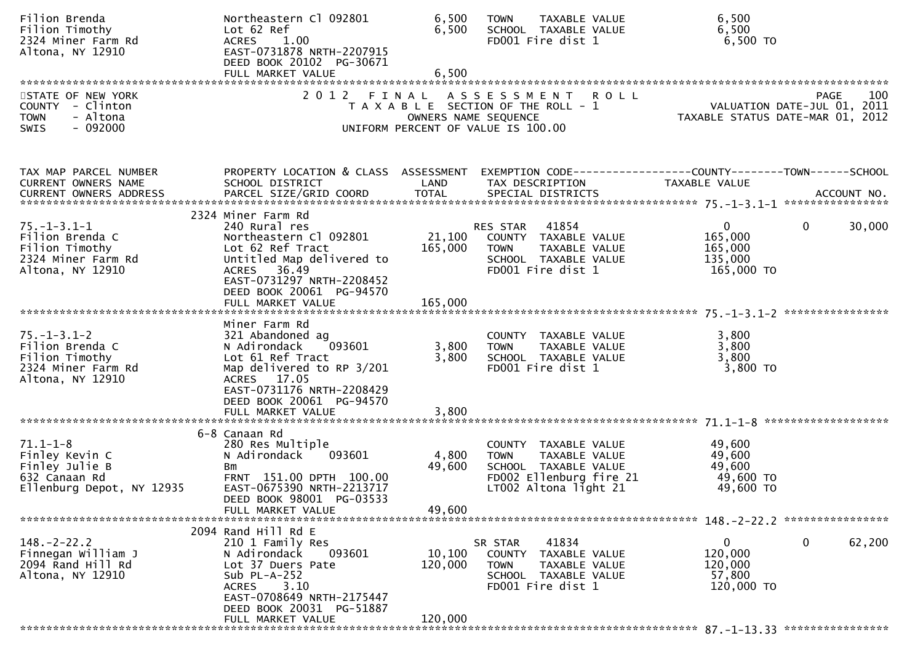| Filion Brenda<br>Filion Timothy<br>2324 Miner Farm Rd<br>Altona, NY 12910                          | Northeastern Cl 092801<br>Lot 62 Ref<br>1.00<br><b>ACRES</b><br>EAST-0731878 NRTH-2207915<br>DEED BOOK 20102 PG-30671<br>FULL MARKET VALUE                                                                  | 6,500<br>6,500<br>6,500      | TAXABLE VALUE<br><b>TOWN</b><br>SCHOOL TAXABLE VALUE<br>FD001 Fire dist 1                                                         | 6,500<br>6,500<br>6,500 TO                                                                               |
|----------------------------------------------------------------------------------------------------|-------------------------------------------------------------------------------------------------------------------------------------------------------------------------------------------------------------|------------------------------|-----------------------------------------------------------------------------------------------------------------------------------|----------------------------------------------------------------------------------------------------------|
| STATE OF NEW YORK<br>COUNTY - Clinton<br>- Altona<br><b>TOWN</b><br>$-092000$<br>SWIS              |                                                                                                                                                                                                             |                              | 2012 FINAL ASSESSMENT ROLL<br>T A X A B L E SECTION OF THE ROLL - 1<br>OWNERS NAME SEQUENCE<br>UNIFORM PERCENT OF VALUE IS 100.00 | PAGE 100<br>VALUATION DATE-JUL 01, 2011<br>TAXARLE STATUS DATE  2011<br>TAXABLE STATUS DATE-MAR 01, 2012 |
| TAX MAP PARCEL NUMBER<br>CURRENT OWNERS NAME                                                       | PROPERTY LOCATION & CLASS ASSESSMENT<br>SCHOOL DISTRICT                                                                                                                                                     | LAND                         | TAX DESCRIPTION                                                                                                                   | EXEMPTION CODE-----------------COUNTY-------TOWN------SCHOOL<br>TAXABLE VALUE                            |
| $75. - 1 - 3.1 - 1$<br>Filion Brenda C<br>Filion Timothy<br>2324 Miner Farm Rd<br>Altona, NY 12910 | 2324 Miner Farm Rd<br>240 Rural res<br>Northeastern Cl 092801<br>Lot 62 Ref Tract<br>Untitled Map delivered to<br>ACRES 36.49<br>EAST-0731297 NRTH-2208452<br>DEED BOOK 20061 PG-94570<br>FULL MARKET VALUE | 21,100<br>165,000<br>165,000 | RES STAR 41854<br>COUNTY TAXABLE VALUE<br><b>TOWN</b><br>TAXABLE VALUE<br>SCHOOL TAXABLE VALUE<br>FD001 Fire dist 1               | $\overline{0}$<br>30,000<br>$\mathbf{0}$<br>165,000<br>165,000<br>135,000<br>165,000 TO                  |
| $75. - 1 - 3.1 - 2$<br>Filion Brenda C<br>Filion Timothy<br>2324 Miner Farm Rd<br>Altona, NY 12910 | Miner Farm Rd<br>321 Abandoned ag<br>N Adirondack<br>093601<br>Lot 61 Ref Tract<br>Map delivered to RP 3/201<br>ACRES 17.05<br>EAST-0731176 NRTH-2208429<br>DEED BOOK 20061 PG-94570                        | 3,800<br>3,800               | COUNTY TAXABLE VALUE<br>TAXABLE VALUE<br><b>TOWN</b><br>SCHOOL TAXABLE VALUE<br>FD001 Fire dist 1                                 | 3,800<br>3,800<br>3,800<br>3,800 TO                                                                      |
| $71.1 - 1 - 8$<br>Finley Kevin C<br>Finley Julie B<br>632 Canaan Rd<br>Ellenburg Depot, NY 12935   | 6-8 Canaan Rd<br>280 Res Multiple<br>093601<br>N Adirondack<br>Bm<br>FRNT 151.00 DPTH 100.00<br>EAST-0675390 NRTH-2213717<br>DEED BOOK 98001 PG-03533<br>FULL MARKET VALUE                                  | 4,800<br>49,600<br>49,600    | COUNTY TAXABLE VALUE<br><b>TOWN</b><br>TAXABLE VALUE<br>SCHOOL TAXABLE VALUE<br>FD002 Ellenburg fire 21<br>LT002 Altona light 21  | 49,600<br>49,600<br>49,600<br>49,600 TO<br>49,600 TO                                                     |
| $148. - 2 - 22.2$<br>Finnegan William J<br>2094 Rand Hill Rd<br>Altona, NY 12910                   | 2094 Rand Hill Rd E<br>210 1 Family Res<br>093601<br>N Adirondack<br>Lot 37 Duers Pate<br>Sub $PL-A-252$<br>3.10<br><b>ACRES</b><br>EAST-0708649 NRTH-2175447<br>DEED BOOK 20031 PG-51887                   | 10,100<br>120,000            | 41834<br>SR STAR<br>COUNTY<br>TAXABLE VALUE<br><b>TOWN</b><br>TAXABLE VALUE<br>SCHOOL TAXABLE VALUE<br>FD001 Fire dist 1          | 0<br>$\mathbf 0$<br>62,200<br>120,000<br>120,000<br>57,800<br>120,000 TO                                 |
|                                                                                                    | FULL MARKET VALUE                                                                                                                                                                                           | 120,000                      |                                                                                                                                   |                                                                                                          |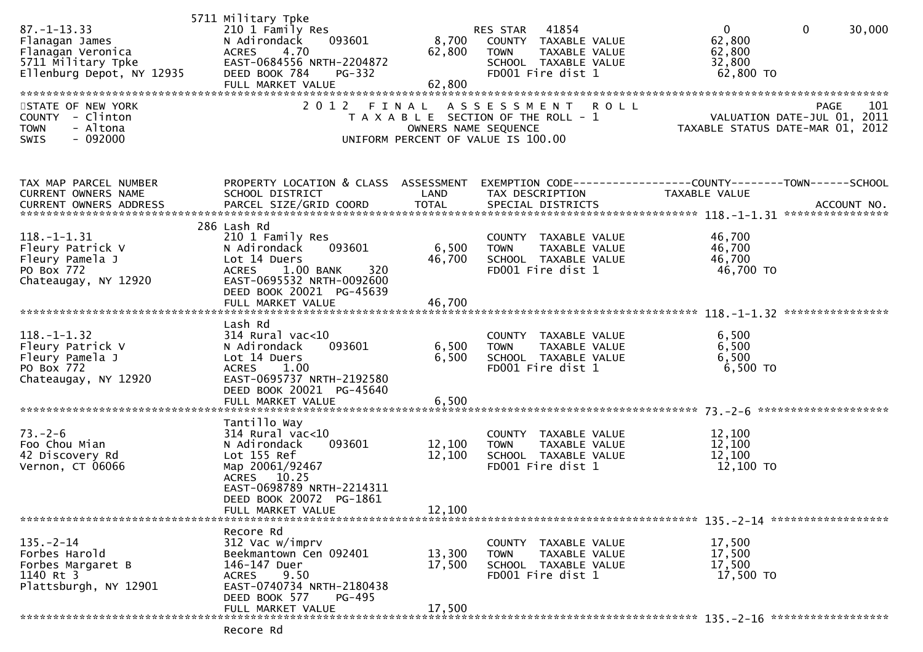|                           | 5711 Military Tpke                   |                      |                                       |                                                                                                                                                                                                                                |        |
|---------------------------|--------------------------------------|----------------------|---------------------------------------|--------------------------------------------------------------------------------------------------------------------------------------------------------------------------------------------------------------------------------|--------|
| $87. - 1 - 13.33$         | 210 1 Family Res                     |                      | 41854<br>RES STAR                     | $\mathbf{0}$<br>$\mathbf{0}$                                                                                                                                                                                                   | 30,000 |
| Flanagan James            | N Adirondack<br>093601               | 8,700                | COUNTY TAXABLE VALUE                  | 62,800                                                                                                                                                                                                                         |        |
| Flanagan Veronica         | 4.70<br>ACRES                        | 62,800               | TAXABLE VALUE<br><b>TOWN</b>          | 62,800                                                                                                                                                                                                                         |        |
| 5711 Military Tpke        | EAST-0684556 NRTH-2204872            |                      | SCHOOL TAXABLE VALUE                  | 32,800                                                                                                                                                                                                                         |        |
| Ellenburg Depot, NY 12935 | DEED BOOK 784<br>PG-332              |                      | FD001 Fire dist 1                     | 62,800 TO                                                                                                                                                                                                                      |        |
|                           | FULL MARKET VALUE                    | 62,800               |                                       |                                                                                                                                                                                                                                |        |
|                           |                                      |                      |                                       |                                                                                                                                                                                                                                |        |
| STATE OF NEW YORK         | 2012 FINAL                           |                      | ASSESSMENT ROLL                       | <b>PAGE</b>                                                                                                                                                                                                                    | 101    |
| COUNTY - Clinton          |                                      |                      | T A X A B L E SECTION OF THE ROLL - 1 |                                                                                                                                                                                                                                |        |
| - Altona<br><b>TOWN</b>   |                                      | OWNERS NAME SEQUENCE |                                       | VALUATION DATE-JUL 01, 2011<br>TAXABLE STATUS DATE-MAR 01, 2012                                                                                                                                                                |        |
| $-092000$                 |                                      |                      |                                       |                                                                                                                                                                                                                                |        |
| SWIS                      |                                      |                      | UNIFORM PERCENT OF VALUE IS 100.00    |                                                                                                                                                                                                                                |        |
|                           |                                      |                      |                                       |                                                                                                                                                                                                                                |        |
|                           |                                      |                      |                                       |                                                                                                                                                                                                                                |        |
|                           |                                      |                      |                                       |                                                                                                                                                                                                                                |        |
| TAX MAP PARCEL NUMBER     | PROPERTY LOCATION & CLASS ASSESSMENT |                      |                                       | EXEMPTION CODE-----------------COUNTY--------TOWN-----SCHOOL                                                                                                                                                                   |        |
| CURRENT OWNERS NAME       | SCHOOL DISTRICT                      | LAND                 | TAX DESCRIPTION                       | TAXABLE VALUE                                                                                                                                                                                                                  |        |
| CURRENT OWNERS ADDRESS    |                                      |                      |                                       | .4CCOUNT NO . PARCEL SIZE/GRID COORD TOTAL SPECIAL DISTRICTS AND MERS ADDRESS . ACCOUNT NO . AND MAXING TOTAL SPECIAL DISTRICTS . AND MAXING THE MAXING ON THE RESERVE TO A SAME TOTAL TOTAL THE SPECIAL DISTRICTS . AND MAXIN |        |
|                           |                                      |                      |                                       |                                                                                                                                                                                                                                |        |
|                           | 286 Lash Rd                          |                      |                                       |                                                                                                                                                                                                                                |        |
| $118. - 1 - 1.31$         | 210 1 Family Res                     |                      | COUNTY TAXABLE VALUE                  | 46,700                                                                                                                                                                                                                         |        |
| Fleury Patrick V          | 093601<br>N Adirondack               | 6,500                | TAXABLE VALUE<br><b>TOWN</b>          | 46,700                                                                                                                                                                                                                         |        |
| Fleury Pamela J           | Lot 14 Duers                         | 46,700               | SCHOOL TAXABLE VALUE                  | 46,700                                                                                                                                                                                                                         |        |
| PO Box 772                | 1.00 BANK<br>320<br><b>ACRES</b>     |                      | FD001 Fire dist 1                     | 46,700 TO                                                                                                                                                                                                                      |        |
| Chateaugay, NY 12920      | EAST-0695532 NRTH-0092600            |                      |                                       |                                                                                                                                                                                                                                |        |
|                           | DEED BOOK 20021 PG-45639             |                      |                                       |                                                                                                                                                                                                                                |        |
|                           | FULL MARKET VALUE                    | 46,700               |                                       |                                                                                                                                                                                                                                |        |
|                           |                                      |                      |                                       |                                                                                                                                                                                                                                |        |
|                           | Lash Rd                              |                      |                                       |                                                                                                                                                                                                                                |        |
| $118. - 1 - 1.32$         |                                      |                      |                                       | 6,500                                                                                                                                                                                                                          |        |
|                           | $314$ Rural vac< $10$                |                      | COUNTY TAXABLE VALUE                  |                                                                                                                                                                                                                                |        |
| Fleury Patrick V          | 093601<br>N Adirondack               | 6,500                | TAXABLE VALUE<br><b>TOWN</b>          | 6,500                                                                                                                                                                                                                          |        |
| Fleury Pamela J           | Lot 14 Duers                         | 6,500                | SCHOOL TAXABLE VALUE                  | 6,500                                                                                                                                                                                                                          |        |
| PO Box 772                | ACRES 1.00                           |                      | FD001 Fire dist 1                     | $6,500$ TO                                                                                                                                                                                                                     |        |
| Chateaugay, NY 12920      | EAST-0695737 NRTH-2192580            |                      |                                       |                                                                                                                                                                                                                                |        |
|                           | DEED BOOK 20021 PG-45640             |                      |                                       |                                                                                                                                                                                                                                |        |
|                           | FULL MARKET VALUE                    | 6,500                |                                       |                                                                                                                                                                                                                                |        |
|                           |                                      |                      |                                       |                                                                                                                                                                                                                                |        |
|                           | Tantillo Way                         |                      |                                       |                                                                                                                                                                                                                                |        |
| $73. - 2 - 6$             | $314$ Rural vac< $10$                |                      | COUNTY TAXABLE VALUE                  | 12,100                                                                                                                                                                                                                         |        |
| Foo Chou Mian             | 093601<br>N Adirondack               | 12,100               | TAXABLE VALUE<br><b>TOWN</b>          | 12,100                                                                                                                                                                                                                         |        |
| 42 Discovery Rd           | Lot 155 Ref                          | 12,100               | SCHOOL TAXABLE VALUE                  | 12,100                                                                                                                                                                                                                         |        |
| Vernon, CT 06066          | Map 20061/92467                      |                      | FD001 Fire dist 1                     | 12,100 TO                                                                                                                                                                                                                      |        |
|                           | ACRES 10.25                          |                      |                                       |                                                                                                                                                                                                                                |        |
|                           | EAST-0698789 NRTH-2214311            |                      |                                       |                                                                                                                                                                                                                                |        |
|                           | DEED BOOK 20072 PG-1861              |                      |                                       |                                                                                                                                                                                                                                |        |
|                           | FULL MARKET VALUE                    | 12,100               |                                       |                                                                                                                                                                                                                                |        |
|                           |                                      |                      |                                       |                                                                                                                                                                                                                                |        |
|                           | Recore Rd                            |                      |                                       |                                                                                                                                                                                                                                |        |
| $135. - 2 - 14$           |                                      |                      |                                       |                                                                                                                                                                                                                                |        |
|                           | 312 Vac w/imprv                      |                      | COUNTY TAXABLE VALUE                  | 17,500                                                                                                                                                                                                                         |        |
| Forbes Harold             | Beekmantown Cen 092401               | 13,300               | <b>TOWN</b><br>TAXABLE VALUE          | 17,500                                                                                                                                                                                                                         |        |
| Forbes Margaret B         | 146-147 Duer                         | 17,500               | SCHOOL TAXABLE VALUE                  | 17,500                                                                                                                                                                                                                         |        |
| 1140 Rt 3                 | <b>ACRES</b><br>9.50                 |                      | FD001 Fire dist 1                     | 17,500 TO                                                                                                                                                                                                                      |        |
| Plattsburgh, NY 12901     | EAST-0740734 NRTH-2180438            |                      |                                       |                                                                                                                                                                                                                                |        |
|                           | DEED BOOK 577<br>PG-495              |                      |                                       |                                                                                                                                                                                                                                |        |
|                           | FULL MARKET VALUE                    | 17,500               |                                       |                                                                                                                                                                                                                                |        |
|                           |                                      |                      |                                       |                                                                                                                                                                                                                                |        |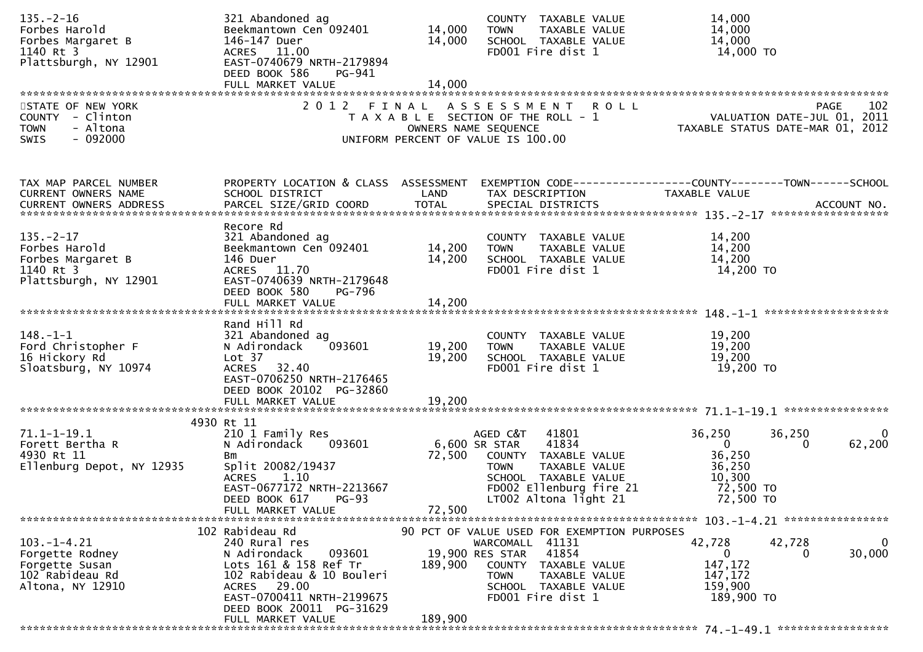| $135. - 2 - 16$<br>Forbes Harold<br>Forbes Margaret B<br>1140 Rt 3<br>Plattsburgh, NY 12901  | 321 Abandoned ag<br>Beekmantown Cen 092401<br>146-147 Duer<br>ACRES 11.00<br>EAST-0740679 NRTH-2179894<br>DEED BOOK 586<br>PG-941                                                        | 14,000<br>14,000 | COUNTY TAXABLE VALUE<br>TAXABLE VALUE<br><b>TOWN</b><br>SCHOOL TAXABLE VALUE<br>FD001 Fire dist 1                                                                                               | 14,000<br>14,000<br>14,000<br>14,000 TO                                                                                                                                                                                                    |
|----------------------------------------------------------------------------------------------|------------------------------------------------------------------------------------------------------------------------------------------------------------------------------------------|------------------|-------------------------------------------------------------------------------------------------------------------------------------------------------------------------------------------------|--------------------------------------------------------------------------------------------------------------------------------------------------------------------------------------------------------------------------------------------|
|                                                                                              |                                                                                                                                                                                          |                  |                                                                                                                                                                                                 |                                                                                                                                                                                                                                            |
| STATE OF NEW YORK<br>COUNTY - Clinton<br>- Altona<br><b>TOWN</b><br>$-092000$<br><b>SWIS</b> |                                                                                                                                                                                          |                  | 2012 FINAL ASSESSMENT ROLL<br>T A X A B L E SECTION OF THE ROLL - 1<br>OWNERS NAME SEQUENCE<br>UNIFORM PERCENT OF VALUE IS 100.00                                                               | 102<br>PAGE<br>VALUATION DATE-JUL 01, 2011<br>TAXABLE STATUS DATE-MAR 01, 2012                                                                                                                                                             |
| TAX MAP PARCEL NUMBER<br>CURRENT OWNERS NAME                                                 | PROPERTY LOCATION & CLASS ASSESSMENT<br>SCHOOL DISTRICT                                                                                                                                  | LAND             | TAX DESCRIPTION                                                                                                                                                                                 | EXEMPTION CODE-----------------COUNTY-------TOWN------SCHOOL<br>TAXABLE VALUE<br>.CURRENT OWNERS ADDRESS PARCEL SIZE/GRID COORD TOTAL SPECIAL DISTRICTS ACCOUNT NO ACCOUNT NO ACCOUNT NO AND ARCEL SIZE/GRID COORD TOTAL SPECIAL DISTRICTS |
| $135. - 2 - 17$<br>Forbes Harold<br>Forbes Margaret B<br>1140 Rt 3<br>Plattsburgh, NY 12901  | Recore Rd<br>321 Abandoned ag<br>Beekmantown Cen 092401<br>146 Duer<br>ACRES 11.70<br>EAST-0740639 NRTH-2179648<br>DEED BOOK 580<br>PG-796                                               | 14,200<br>14,200 | COUNTY TAXABLE VALUE<br>TAXABLE VALUE<br><b>TOWN</b><br>SCHOOL TAXABLE VALUE<br>FD001 Fire dist 1                                                                                               | 14,200<br>14,200<br>14,200<br>14,200 TO                                                                                                                                                                                                    |
|                                                                                              | FULL MARKET VALUE                                                                                                                                                                        | 14,200           |                                                                                                                                                                                                 |                                                                                                                                                                                                                                            |
| $148. - 1 - 1$<br>Ford Christopher F<br>16 Hickory Rd<br>Sloatsburg, NY 10974                | Rand Hill Rd<br>321 Abandoned ag<br>093601<br>N Adirondack<br>Lot 37<br>ACRES 32.40<br>EAST-0706250 NRTH-2176465                                                                         | 19,200<br>19,200 | COUNTY TAXABLE VALUE<br>TAXABLE VALUE<br><b>TOWN</b><br>SCHOOL TAXABLE VALUE<br>FD001 Fire dist 1                                                                                               | 19,200<br>19,200<br>19,200<br>19,200 TO                                                                                                                                                                                                    |
|                                                                                              | DEED BOOK 20102 PG-32860                                                                                                                                                                 |                  |                                                                                                                                                                                                 |                                                                                                                                                                                                                                            |
|                                                                                              | 4930 Rt 11                                                                                                                                                                               |                  |                                                                                                                                                                                                 |                                                                                                                                                                                                                                            |
| $71.1 - 1 - 19.1$<br>Forett Bertha R<br>4930 Rt 11<br>Ellenburg Depot, NY 12935              | 210 1 Family Res<br>N Adirondack<br>093601<br>Bm<br>Split 20082/19437<br>ACRES 1.10<br>EAST-0677172 NRTH-2213667<br>$PG-93$<br>DEED BOOK 617                                             | 72,500           | AGED C&T<br>41801<br>6,600 SR STAR<br>41834<br>COUNTY TAXABLE VALUE<br>TAXABLE VALUE<br><b>TOWN</b><br>SCHOOL TAXABLE VALUE<br>FD002 Ellenburg fire 21<br>LT002 Altona light 21                 | 36,250<br>36,250<br>$\Omega$<br>$\overline{0}$<br>62,200<br>0<br>36,250<br>36,250<br>10,300<br>72,500 TO<br>72,500 TO                                                                                                                      |
|                                                                                              | FULL MARKET VALUE                                                                                                                                                                        | 72,500           |                                                                                                                                                                                                 |                                                                                                                                                                                                                                            |
| 103. – 1–4.21<br>Forgette Rodney<br>Forgette Susan<br>102 Rabideau Rd<br>Altona, NY 12910    | 102 Rabideau Rd<br>240 Rural res<br>093601<br>N Adirondack<br>Lots 161 & 158 Ref Tr<br>102 Rabideau & 10 Bouleri<br>ACRES 29.00<br>EAST-0700411 NRTH-2199675<br>DEED BOOK 20011 PG-31629 | 189,900          | 90 PCT OF VALUE USED FOR EXEMPTION PURPOSES<br>WARCOMALL 41131<br>41854<br>19,900 RES STAR<br>COUNTY TAXABLE VALUE<br><b>TOWN</b><br>TAXABLE VALUE<br>SCHOOL TAXABLE VALUE<br>FD001 Fire dist 1 | 42,728<br>42,728<br>30,000<br>0<br>147,172<br>147, 172<br>159,900<br>189,900 TO                                                                                                                                                            |
|                                                                                              | FULL MARKET VALUE                                                                                                                                                                        | 189,900          |                                                                                                                                                                                                 |                                                                                                                                                                                                                                            |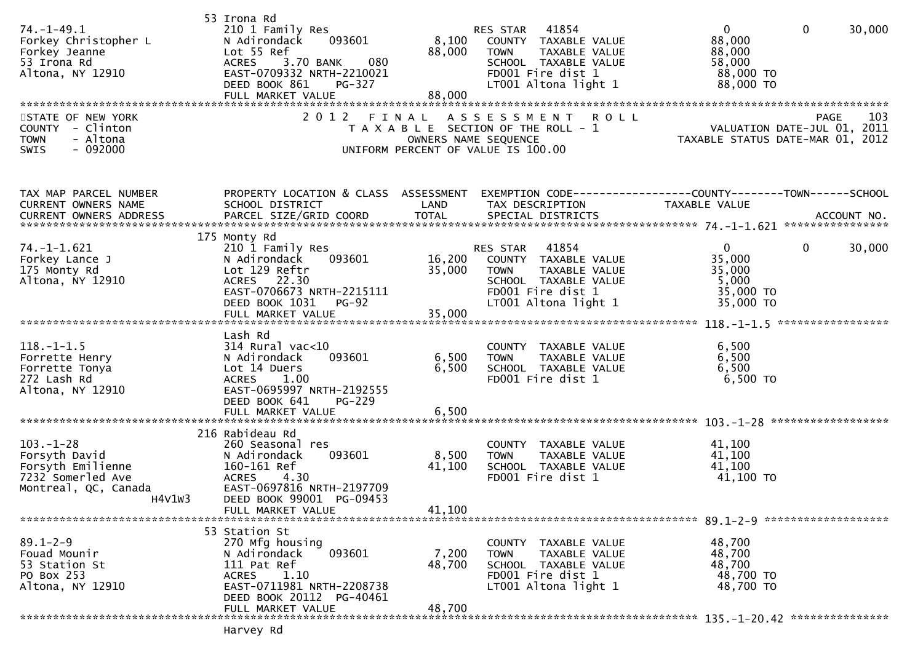| $74. - 1 - 49.1$<br>Forkey Christopher L<br>Forkey Jeanne<br>53 Irona Rd<br>Altona, NY 12910                 | 53 Irona Rd<br>210 1 Family Res<br>N Adirondack<br>093601<br>Lot 55 Ref<br>3.70 BANK<br>080<br><b>ACRES</b><br>EAST-0709332 NRTH-2210021<br>DEED BOOK 861<br>PG-327<br>FULL MARKET VALUE | 8,100<br>88,000<br>88,000 | 41854<br>RES STAR<br>COUNTY TAXABLE VALUE<br>TAXABLE VALUE<br><b>TOWN</b><br>SCHOOL TAXABLE VALUE<br>FD001 Fire dist 1<br>LT001 Altona light 1 | $\mathbf{0}$<br>$\mathbf{0}$<br>30,000<br>88,000<br>88,000<br>58,000<br>88,000 TO<br>88,000 TO |
|--------------------------------------------------------------------------------------------------------------|------------------------------------------------------------------------------------------------------------------------------------------------------------------------------------------|---------------------------|------------------------------------------------------------------------------------------------------------------------------------------------|------------------------------------------------------------------------------------------------|
| STATE OF NEW YORK<br>COUNTY - Clinton<br>- Altona<br><b>TOWN</b><br>$-092000$<br>SWIS                        | 2 0 1 2                                                                                                                                                                                  | FINAL                     | A S S E S S M E N T<br><b>ROLL</b><br>T A X A B L E SECTION OF THE ROLL - 1<br>OWNERS NAME SEQUENCE<br>UNIFORM PERCENT OF VALUE IS 100.00      | 103<br><b>PAGE</b><br>VALUATION DATE-JUL 01, 2011<br>TAXABLE STATUS DATE-MAR 01, 2012          |
| TAX MAP PARCEL NUMBER<br>CURRENT OWNERS NAME<br><b>CURRENT OWNERS ADDRESS</b>                                | PROPERTY LOCATION & CLASS ASSESSMENT<br>SCHOOL DISTRICT                                                                                                                                  | LAND                      | TAX DESCRIPTION                                                                                                                                | EXEMPTION CODE-----------------COUNTY-------TOWN------SCHOOL<br>TAXABLE VALUE                  |
| $74. - 1 - 1.621$<br>Forkey Lance J<br>175 Monty Rd<br>Altona, NY 12910                                      | 175 Monty Rd<br>210 1 Family Res<br>N Adirondack<br>093601<br>Lot 129 Reftr<br>ACRES 22.30<br>EAST-0706673 NRTH-2215111<br>DEED BOOK 1031<br><b>PG-92</b>                                | 16,200<br>35,000          | 41854<br>RES STAR<br>COUNTY TAXABLE VALUE<br>TAXABLE VALUE<br><b>TOWN</b><br>SCHOOL TAXABLE VALUE<br>FD001 Fire dist 1<br>LT001 Altona light 1 | $\mathbf{0}$<br>$\mathbf{0}$<br>30,000<br>35,000<br>35,000<br>5,000<br>35,000 TO<br>35,000 TO  |
|                                                                                                              | Lash Rd                                                                                                                                                                                  |                           |                                                                                                                                                |                                                                                                |
| $118.-1-1.5$<br>Forrette Henry<br>Forrette Tonya<br>272 Lash Rd<br>Altona, NY 12910                          | $314$ Rural vac<10<br>093601<br>N Adirondack<br>Lot 14 Duers<br><b>ACRES</b><br>1.00<br>EAST-0695997 NRTH-2192555<br>DEED BOOK 641<br><b>PG-229</b>                                      | 6,500<br>6,500            | COUNTY TAXABLE VALUE<br><b>TOWN</b><br>TAXABLE VALUE<br>SCHOOL TAXABLE VALUE<br>FD001 Fire dist 1                                              | 6,500<br>6,500<br>6,500<br>6,500 TO                                                            |
|                                                                                                              | FULL MARKET VALUE                                                                                                                                                                        | 6,500                     |                                                                                                                                                |                                                                                                |
| $103. - 1 - 28$<br>Forsyth David<br>Forsyth Emilienne<br>7232 Somerled Ave<br>Montreal, QC, Canada<br>H4V1W3 | 216 Rabideau Rd<br>260 Seasonal res<br>093601<br>N Adirondack<br>160-161 Ref<br><b>ACRES</b><br>4.30<br>EAST-0697816 NRTH-2197709<br>DEED BOOK 99001 PG-09453<br>FULL MARKET VALUE       | 8,500<br>41,100<br>41,100 | COUNTY TAXABLE VALUE<br>TAXABLE VALUE<br><b>TOWN</b><br>SCHOOL TAXABLE VALUE<br>FD001 Fire dist 1                                              | 41,100<br>41,100<br>41,100<br>41,100 TO                                                        |
|                                                                                                              | 53 Station St                                                                                                                                                                            |                           |                                                                                                                                                |                                                                                                |
| $89.1 - 2 - 9$<br>Fouad Mounir<br>53 Station St<br>PO Box 253<br>Altona, NY 12910                            | 270 Mfg housing<br>093601<br>N Adirondack<br>111 Pat Ref<br>ACRES<br>1.10<br>EAST-0711981 NRTH-2208738<br>DEED BOOK 20112 PG-40461                                                       | 7,200<br>48,700           | COUNTY TAXABLE VALUE<br><b>TOWN</b><br>TAXABLE VALUE<br>SCHOOL TAXABLE VALUE<br>FD001 Fire dist 1<br>LT001 Altona light 1                      | 48,700<br>48,700<br>48,700<br>48,700 TO<br>48,700 TO                                           |
|                                                                                                              | FULL MARKET VALUE                                                                                                                                                                        | 48,700                    |                                                                                                                                                |                                                                                                |

Harvey Rd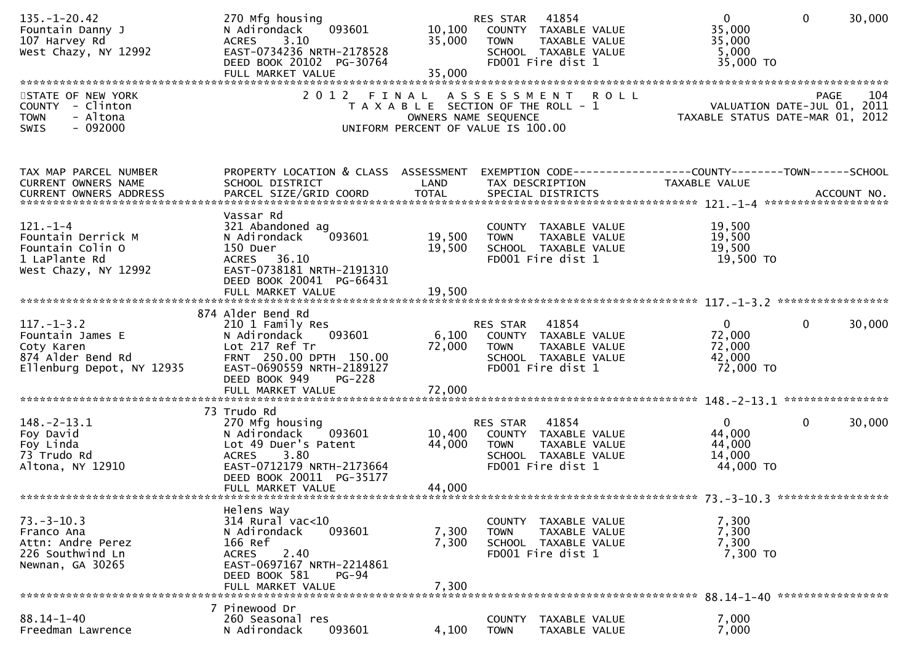| $135. - 1 - 20.42$<br>Fountain Danny J<br>107 Harvey Rd<br>West Chazy, NY 12992             | 270 Mfg housing<br>093601<br>N Adirondack<br>3.10<br><b>ACRES</b><br>EAST-0734236 NRTH-2178528<br>DEED BOOK 20102 PG-30764<br>FULL MARKET VALUE | 10,100<br>35,000<br>35,000 | RES STAR<br>41854<br>COUNTY TAXABLE VALUE<br>TAXABLE VALUE<br><b>TOWN</b><br>SCHOOL TAXABLE VALUE<br>FD001 Fire dist 1 | $\overline{0}$<br>35,000<br>35,000<br>5,000<br>35,000 TO                    | $\mathbf 0$<br>30,000  |
|---------------------------------------------------------------------------------------------|-------------------------------------------------------------------------------------------------------------------------------------------------|----------------------------|------------------------------------------------------------------------------------------------------------------------|-----------------------------------------------------------------------------|------------------------|
|                                                                                             |                                                                                                                                                 |                            |                                                                                                                        |                                                                             |                        |
| STATE OF NEW YORK<br>COUNTY - Clinton<br><b>TOWN</b><br>- Altona<br>- 092000<br><b>SWIS</b> |                                                                                                                                                 | OWNERS NAME SEQUENCE       | 2012 FINAL ASSESSMENT ROLL<br>T A X A B L E SECTION OF THE ROLL - 1<br>UNIFORM PERCENT OF VALUE IS 100.00              | PAGE 104<br>VALUATION DATE-JUL 01, 2011<br>TAXABLE STATUS DATE-MAR 01, 2012 | 104<br><b>PAGE</b>     |
| TAX MAP PARCEL NUMBER                                                                       | PROPERTY LOCATION & CLASS ASSESSMENT                                                                                                            |                            | EXEMPTION CODE------------------COUNTY--------TOWN------SCHOOL                                                         |                                                                             |                        |
| CURRENT OWNERS NAME                                                                         | SCHOOL DISTRICT                                                                                                                                 | LAND                       | TAX DESCRIPTION                                                                                                        | TAXABLE VALUE                                                               |                        |
|                                                                                             | Vassar Rd                                                                                                                                       |                            |                                                                                                                        |                                                                             |                        |
| $121. - 1 - 4$                                                                              | 321 Abandoned ag                                                                                                                                |                            | COUNTY TAXABLE VALUE                                                                                                   | 19,500                                                                      |                        |
| Fountain Derrick M                                                                          | 093601<br>N Adirondack                                                                                                                          | 19,500                     | <b>TOWN</b><br>TAXABLE VALUE                                                                                           | 19,500                                                                      |                        |
| Fountain Colin O                                                                            | 150 Duer                                                                                                                                        | 19,500                     | SCHOOL TAXABLE VALUE                                                                                                   | 19,500                                                                      |                        |
| 1 LaPlante Rd                                                                               | ACRES 36.10<br>EAST-0738181 NRTH-2191310                                                                                                        |                            | FD001 Fire dist 1                                                                                                      | 19,500 TO                                                                   |                        |
| West Chazy, NY 12992                                                                        | DEED BOOK 20041 PG-66431                                                                                                                        |                            |                                                                                                                        |                                                                             |                        |
|                                                                                             | FULL MARKET VALUE                                                                                                                               | 19,500                     |                                                                                                                        |                                                                             |                        |
|                                                                                             |                                                                                                                                                 |                            |                                                                                                                        |                                                                             |                        |
|                                                                                             | 874 Alder Bend Rd                                                                                                                               |                            |                                                                                                                        |                                                                             |                        |
| $117. - 1 - 3.2$                                                                            | 210 1 Family Res                                                                                                                                |                            | 41854<br>RES STAR                                                                                                      | $\mathbf{0}$                                                                | 30,000<br>$\mathbf{0}$ |
| Fountain James E<br>Coty Karen                                                              | 093601<br>N Adirondack<br>Lot 217 Ref Tr                                                                                                        | 6,100<br>72,000            | COUNTY TAXABLE VALUE<br><b>TOWN</b><br>TAXABLE VALUE                                                                   | 72,000<br>72,000                                                            |                        |
| 874 Alder Bend Rd                                                                           | FRNT 250.00 DPTH 150.00                                                                                                                         |                            | SCHOOL TAXABLE VALUE                                                                                                   | 42,000                                                                      |                        |
| Ellenburg Depot, NY 12935                                                                   | EAST-0690559 NRTH-2189127                                                                                                                       |                            | FD001 Fire dist 1                                                                                                      | 72,000 TO                                                                   |                        |
|                                                                                             | DEED BOOK 949<br>$PG-228$                                                                                                                       |                            |                                                                                                                        |                                                                             |                        |
|                                                                                             |                                                                                                                                                 |                            |                                                                                                                        |                                                                             |                        |
|                                                                                             |                                                                                                                                                 |                            |                                                                                                                        |                                                                             |                        |
| $148. - 2 - 13.1$                                                                           | 73 Trudo Rd<br>270 Mfg housing                                                                                                                  |                            | 41854<br>RES STAR                                                                                                      | $\mathbf{0}$                                                                | $\mathbf{0}$<br>30,000 |
| Foy David                                                                                   | 093601<br>N Adirondack                                                                                                                          | 10,400                     | COUNTY TAXABLE VALUE                                                                                                   | 44,000                                                                      |                        |
| Foy Linda                                                                                   | Lot 49 Duer's Patent                                                                                                                            | 44,000                     | TAXABLE VALUE<br><b>TOWN</b>                                                                                           | 44,000                                                                      |                        |
| 73 Trudo Rd                                                                                 | <b>ACRES</b><br>3.80                                                                                                                            |                            | SCHOOL TAXABLE VALUE                                                                                                   | 14,000                                                                      |                        |
| Altona, NY 12910                                                                            | EAST-0712179 NRTH-2173664                                                                                                                       |                            | FD001 Fire dist 1                                                                                                      | 44,000 TO                                                                   |                        |
|                                                                                             | DEED BOOK 20011 PG-35177                                                                                                                        |                            |                                                                                                                        |                                                                             |                        |
|                                                                                             | FULL MARKET VALUE                                                                                                                               | 44,000                     |                                                                                                                        |                                                                             |                        |
|                                                                                             | Helens Way                                                                                                                                      |                            |                                                                                                                        |                                                                             |                        |
| $73. - 3 - 10.3$                                                                            | 314 Rural vac<10                                                                                                                                |                            | COUNTY TAXABLE VALUE                                                                                                   | 7,300                                                                       |                        |
| Franco Ana                                                                                  | 093601<br>N Adirondack                                                                                                                          | 7,300                      | TAXABLE VALUE<br><b>TOWN</b>                                                                                           | 7,300                                                                       |                        |
| Attn: Andre Perez                                                                           | 166 Ref                                                                                                                                         | 7,300                      | SCHOOL TAXABLE VALUE                                                                                                   | 7,300                                                                       |                        |
| 226 Southwind Ln                                                                            | 2.40<br><b>ACRES</b>                                                                                                                            |                            | FD001 Fire dist 1                                                                                                      | 7,300 TO                                                                    |                        |
| Newnan, GA 30265                                                                            | EAST-0697167 NRTH-2214861<br>DEED BOOK 581<br><b>PG-94</b>                                                                                      |                            |                                                                                                                        |                                                                             |                        |
|                                                                                             | FULL MARKET VALUE                                                                                                                               | 7,300                      |                                                                                                                        |                                                                             |                        |
|                                                                                             |                                                                                                                                                 |                            |                                                                                                                        |                                                                             |                        |
|                                                                                             | 7 Pinewood Dr                                                                                                                                   |                            |                                                                                                                        |                                                                             |                        |
| $88.14 - 1 - 40$                                                                            | 260 Seasonal res                                                                                                                                |                            | TAXABLE VALUE<br><b>COUNTY</b>                                                                                         | 7,000                                                                       |                        |
| Freedman Lawrence                                                                           | N Adirondack<br>093601                                                                                                                          | 4,100                      | <b>TOWN</b><br>TAXABLE VALUE                                                                                           | 7,000                                                                       |                        |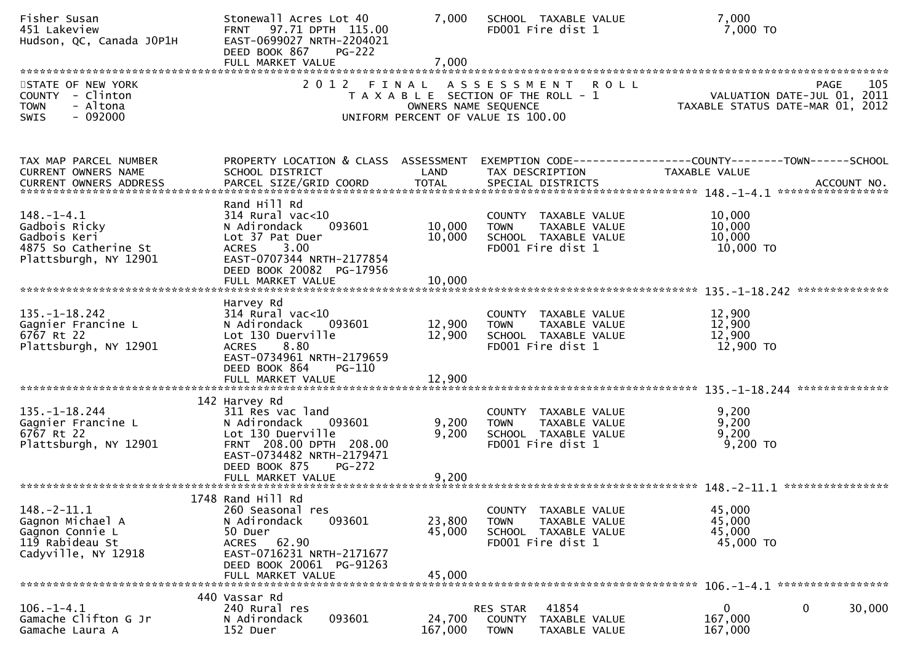| Fisher Susan<br>451 Lakeview<br>Hudson, QC, Canada JOP1H                                           | Stonewall Acres Lot 40<br>FRNT 97.71 DPTH 115.00<br>EAST-0699027 NRTH-2204021<br>DEED BOOK 867<br>$PG-222$<br>FULL MARKET VALUE                                                       | 7,000<br>7,000             | SCHOOL TAXABLE VALUE<br>FD001 Fire dist 1                                                                  | 7,000<br>7,000 TO                                                                     |
|----------------------------------------------------------------------------------------------------|---------------------------------------------------------------------------------------------------------------------------------------------------------------------------------------|----------------------------|------------------------------------------------------------------------------------------------------------|---------------------------------------------------------------------------------------|
| STATE OF NEW YORK<br>COUNTY - Clinton<br>- Altona<br><b>TOWN</b><br>$-092000$<br><b>SWIS</b>       | 2012 FINAL                                                                                                                                                                            | OWNERS NAME SEQUENCE       | A S S E S S M E N T R O L L<br>T A X A B L E SECTION OF THE ROLL - 1<br>UNIFORM PERCENT OF VALUE IS 100.00 | 105<br>PAGE<br>VALUATION DATE-JUL 01, 2011<br>TAXABLE STATUS DATE-MAR 01, 2012        |
| TAX MAP PARCEL NUMBER<br>CURRENT OWNERS NAME                                                       | PROPERTY LOCATION & CLASS ASSESSMENT<br>SCHOOL DISTRICT                                                                                                                               | LAND                       | TAX DESCRIPTION                                                                                            | EXEMPTION        CODE------------------COUNTY-------TOWN------SCHOOL<br>TAXABLE VALUE |
| $148. - 1 - 4.1$<br>Gadbois Ricky<br>Gadbois Keri<br>4875 So Catherine St<br>Plattsburgh, NY 12901 | Rand Hill Rd<br>$314$ Rural vac<10<br>N Adirondack<br>093601<br>Lot 37 Pat Duer<br>3.00<br><b>ACRES</b><br>EAST-0707344 NRTH-2177854<br>DEED BOOK 20082 PG-17956<br>FULL MARKET VALUE | 10,000<br>10,000<br>10,000 | COUNTY TAXABLE VALUE<br>TAXABLE VALUE<br><b>TOWN</b><br>SCHOOL TAXABLE VALUE<br>FD001 Fire dist 1          | 10,000<br>10,000<br>10,000<br>10,000 TO                                               |
| $135. - 1 - 18.242$<br>Gagnier Francine L<br>6767 Rt 22<br>Plattsburgh, NY 12901                   | Harvey Rd<br>$314$ Rural vac<10<br>N Adirondack<br>093601<br>Lot 130 Duerville<br>8.80<br><b>ACRES</b><br>EAST-0734961 NRTH-2179659<br>DEED BOOK 864<br>PG-110<br>FULL MARKET VALUE   | 12,900<br>12,900<br>12,900 | COUNTY TAXABLE VALUE<br>TAXABLE VALUE<br><b>TOWN</b><br>SCHOOL TAXABLE VALUE<br>FD001 Fire dist 1          | 12,900<br>12,900<br>12,900<br>12,900 TO                                               |
| $135. - 1 - 18.244$<br>Gagnier Francine L<br>6767 Rt 22<br>Plattsburgh, NY 12901                   | 142 Harvey Rd<br>311 Res vac land<br>N Adirondack<br>093601<br>Lot 130 Duerville<br>FRNT 208.00 DPTH 208.00<br>EAST-0734482 NRTH-2179471<br>DEED BOOK 875<br><b>PG-272</b>            | 9,200<br>9,200             | COUNTY TAXABLE VALUE<br>TAXABLE VALUE<br><b>TOWN</b><br>SCHOOL TAXABLE VALUE<br>FD001 Fire dist 1          | 9,200<br>9,200<br>9,200<br>$9,200$ TO                                                 |
| $148. - 2 - 11.1$<br>Gagnon Michael A<br>Gagnon Connie L<br>119 Rabideau St<br>Cadyville, NY 12918 | 1748 Rand Hill Rd<br>260 Seasonal res<br>093601<br>N Adirondack<br>50 Duer<br>ACRES 62.90<br>EAST-0716231 NRTH-2171677<br>DEED BOOK 20061 PG-91263<br>FULL MARKET VALUE               | 23,800<br>45,000<br>45,000 | COUNTY TAXABLE VALUE<br>TAXABLE VALUE<br><b>TOWN</b><br>SCHOOL TAXABLE VALUE<br>FD001 Fire dist 1          | 45,000<br>45,000<br>45,000<br>45,000 TO                                               |
| $106. - 1 - 4.1$<br>Gamache Clifton G Jr<br>Gamache Laura A                                        | 440 Vassar Rd<br>240 Rural res<br>093601<br>N Adirondack<br>152 Duer                                                                                                                  | 24,700<br>167,000          | 41854<br>RES STAR<br><b>COUNTY</b><br>TAXABLE VALUE<br><b>TOWN</b><br>TAXABLE VALUE                        | 0<br>30,000<br>0<br>167,000<br>167,000                                                |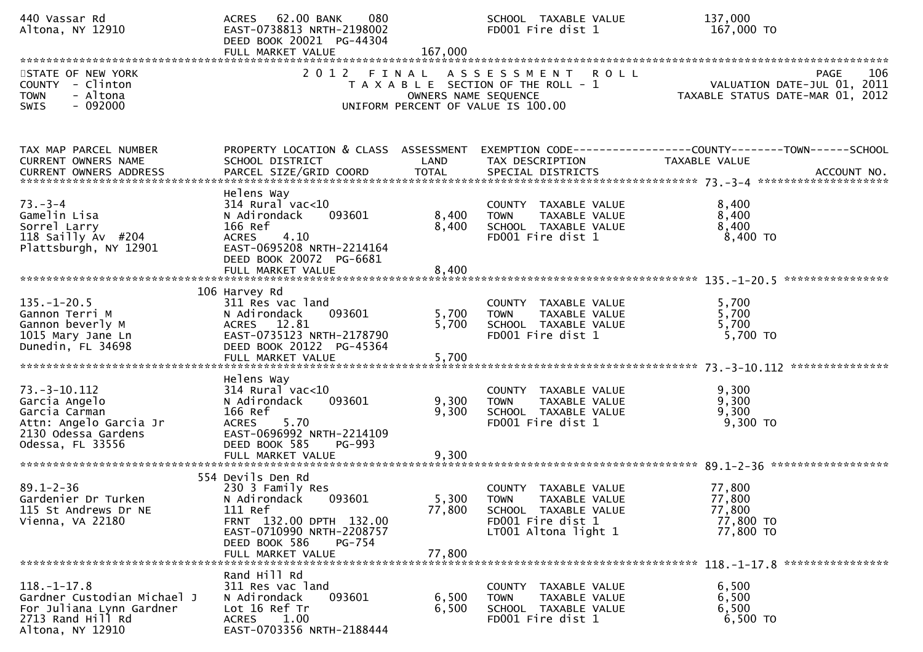| 440 Vassar Rd<br>Altona, NY 12910                                                                                         | ACRES 62.00 BANK<br>080<br>EAST-0738813 NRTH-2198002<br>DEED BOOK 20021 PG-44304<br>FULL MARKET VALUE                                                                              | 167,000                       | SCHOOL TAXABLE VALUE<br>FD001 Fire dist 1                                                                                 | 137,000<br>167,000 TO                                                                                                |
|---------------------------------------------------------------------------------------------------------------------------|------------------------------------------------------------------------------------------------------------------------------------------------------------------------------------|-------------------------------|---------------------------------------------------------------------------------------------------------------------------|----------------------------------------------------------------------------------------------------------------------|
| STATE OF NEW YORK<br>COUNTY - Clinton<br>- Altona<br>TOWN<br>$-092000$<br><b>SWIS</b>                                     | 2 0 1 2                                                                                                                                                                            | FINAL<br>OWNERS NAME SEQUENCE | <b>ROLL</b><br>A S S E S S M E N T<br>T A X A B L E SECTION OF THE ROLL - 1<br>UNIFORM PERCENT OF VALUE IS 100.00         | 106<br><b>PAGE</b><br>VALUATION DATE-JUL 01, 2011<br>VALUATIUN DATE SUL 01, 2012<br>TAXABLE STATUS DATE-MAR 01, 2012 |
| TAX MAP PARCEL NUMBER<br>CURRENT OWNERS NAME                                                                              | PROPERTY LOCATION & CLASS ASSESSMENT<br>SCHOOL DISTRICT                                                                                                                            | LAND                          | TAX DESCRIPTION                                                                                                           | EXEMPTION CODE------------------COUNTY--------TOWN------SCHOOL<br>TAXABLE VALUE                                      |
| $73. - 3 - 4$<br>Gamelin Lisa<br>Sorrel Larry<br>118 Sailly Av #204<br>Plattsburgh, NY 12901                              | Helens Way<br>$314$ Rural vac<10<br>093601<br>N Adirondack<br>166 Ref<br>4.10<br><b>ACRES</b><br>EAST-0695208 NRTH-2214164<br>DEED BOOK 20072 PG-6681<br>FULL MARKET VALUE         | 8,400<br>8,400<br>8,400       | COUNTY TAXABLE VALUE<br>TAXABLE VALUE<br><b>TOWN</b><br>SCHOOL TAXABLE VALUE<br>FD001 Fire dist 1                         | 8,400<br>8,400<br>8,400<br>8,400 TO                                                                                  |
| $135. - 1 - 20.5$<br>Gannon Terri M<br>Gannon beverly M<br>1015 Mary Jane Ln<br>Dunedin, FL 34698                         | 106 Harvey Rd<br>311 Res vac land<br>093601<br>N Adirondack<br>ACRES 12.81<br>EAST-0735123 NRTH-2178790<br>DEED BOOK 20122 PG-45364                                                | 5,700<br>5,700                | COUNTY TAXABLE VALUE<br><b>TOWN</b><br>TAXABLE VALUE<br>SCHOOL TAXABLE VALUE<br>FD001 Fire dist 1                         | 5,700<br>5,700<br>5,700<br>5,700 TO                                                                                  |
| $73. - 3 - 10.112$<br>Garcia Angelo<br>Garcia Carman<br>Attn: Angelo Garcia Jr<br>2130 Odessa Gardens<br>Odessa, FL 33556 | Helens Way<br>$314$ Rural vac< $10$<br>093601<br>N Adirondack<br>166 Ref<br>5.70<br><b>ACRES</b><br>EAST-0696992 NRTH-2214109<br>DEED BOOK 585<br>PG-993<br>FULL MARKET VALUE      | 9,300<br>9,300<br>9,300       | COUNTY TAXABLE VALUE<br>TAXABLE VALUE<br><b>TOWN</b><br>SCHOOL TAXABLE VALUE<br>FD001 Fire dist 1                         | 9,300<br>9,300<br>9,300<br>$9,300$ TO                                                                                |
| $89.1 - 2 - 36$<br>Gardenier Dr Turken<br>115 St Andrews Dr NE<br>Vienna, VA 22180                                        | 554 Devils Den Rd<br>230 3 Family Res<br>N Adirondack<br>093601<br>111 Ref<br>FRNT 132.00 DPTH 132.00<br>EAST-0710990 NRTH-2208757<br>DEED BOOK 586<br>PG-754<br>FULL MARKET VALUE | 5,300<br>77,800<br>77,800     | COUNTY TAXABLE VALUE<br><b>TOWN</b><br>TAXABLE VALUE<br>SCHOOL TAXABLE VALUE<br>FD001 Fire dist 1<br>LT001 Altona light 1 | 77,800<br>77,800<br>77,800<br>77,800 TO<br>77,800 TO                                                                 |
| $118.-1-17.8$<br>Gardner Custodian Michael J<br>For Juliana Lynn Gardner<br>2713 Rand Hill Rd<br>Altona, NY 12910         | Rand Hill Rd<br>311 Res vac land<br>093601<br>N Adirondack<br>Lot 16 Ref Tr<br>1.00<br><b>ACRES</b><br>EAST-0703356 NRTH-2188444                                                   | 6,500<br>6,500                | COUNTY TAXABLE VALUE<br><b>TOWN</b><br>TAXABLE VALUE<br>SCHOOL TAXABLE VALUE<br>FD001 Fire dist 1                         | 6,500<br>6,500<br>6,500<br>6,500 TO                                                                                  |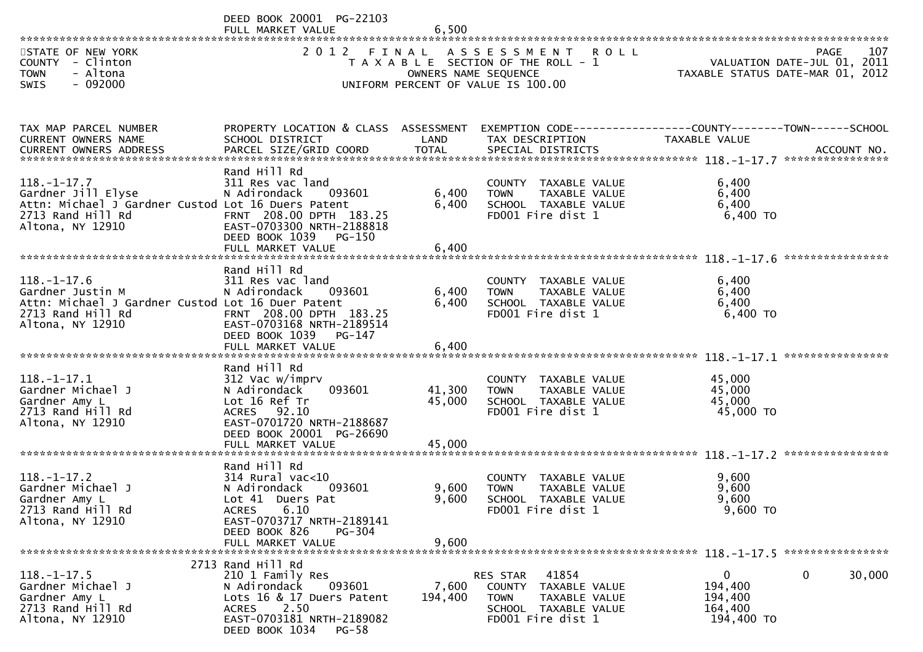DEED BOOK 20001 PG-22103<br>FULL MARKET VALUE FULL MARKET VALUE 6,500 \*\*\*\*\*\*\*\*\*\*\*\*\*\*\*\*\*\*\*\*\*\*\*\*\*\*\*\*\*\*\*\*\*\*\*\*\*\*\*\*\*\*\*\*\*\*\*\*\*\*\*\*\*\*\*\*\*\*\*\*\*\*\*\*\*\*\*\*\*\*\*\*\*\*\*\*\*\*\*\*\*\*\*\*\*\*\*\*\*\*\*\*\*\*\*\*\*\*\*\*\*\*\*\*\*\*\*\*\*\*\*\*\*\*\*\*\*\*\*\*\*\*\*\*\*\*\*\*\*\*\*\*107 STATE OF NEW YORK 2 O 1 2 F I N A L A S S E S S M E N T R O L L PAGE<br>COUNTY – Clinton T A X A B L E SECTION OF THE ROLL - 1 VALUATION DATE-JUL 0 VALUATION DATE-JUL 01, 2011 COUNTY - Clinton T A X A B L E SECTION OF THE ROLL - 1 VALUATION DATE-JUL 01, 2011 TOWN - Altona OWNERS NAME SEQUENCE TAXABLE STATUS DATE-MAR 01, 2012SWIS - 092000 CONTROLLED TO UNIFORM PERCENT OF VALUE IS 100.00 TAX MAP PARCEL NUMBER PROPERTY LOCATION & CLASS ASSESSMENT EXEMPTION CODE------------------COUNTY--------TOWN------SCHOOLCURRENT OWNERS NAME SCHOOL DISTRICT LAND TAX DESCRIPTION TAXABLE VALUE<br>CURRENT OWNERS ARRRESS RARGEL STZE(CRIR)COORR TOTAL SRECIAL RISTRICTS CURRENT OWNERS ADDRESS PARCEL SIZE/GRID COORD TOTAL SPECIAL DISTRICTS ACCOUNT NO. \*\*\*\*\*\*\*\*\*\*\*\*\*\*\*\*\*\*\*\*\*\*\*\*\*\*\*\*\*\*\*\*\*\*\*\*\*\*\*\*\*\*\*\*\*\*\*\*\*\*\*\*\*\*\*\*\*\*\*\*\*\*\*\*\*\*\*\*\*\*\*\*\*\*\*\*\*\*\*\*\*\*\*\*\*\*\*\*\*\*\*\*\*\*\*\*\*\*\*\*\*\*\* 118.-1-17.7 \*\*\*\*\*\*\*\*\*\*\*\*\*\*\*\* Rand Hill Rd311 Res vac land 118.-1-17.7 311 Res vac land COUNTY TAXABLE VALUE 6,400 $6.400$ Gardner Jill Elyse N Adirondack 093601 6,400 TOWN TAXABLE VALUE 6,4006.400 Attn: Michael J Gardner Custod Lot 16 Duers Patent 6,400 SCHOOL TAXABLE VALUE 6,400<br>2712 Band Uill Bd 6.400 TO 2713 Rand Hill Rd FRNT 208.00 DPTH 183.25 FD001 Fire dist 1 6,400 TOEAST-0703300 NRTH-2188818 DEED BOOK 1039 PG-150<br>FULL MARKET VALUE FULL MARKET VALUE 6,400 \*\*\*\*\*\*\*\*\*\*\*\*\*\*\*\*\*\*\*\*\*\*\*\*\*\*\*\*\*\*\*\*\*\*\*\*\*\*\*\*\*\*\*\*\*\*\*\*\*\*\*\*\*\*\*\*\*\*\*\*\*\*\*\*\*\*\*\*\*\*\*\*\*\*\*\*\*\*\*\*\*\*\*\*\*\*\*\*\*\*\*\*\*\*\*\*\*\*\*\*\*\*\* 118.-1-17.6 \*\*\*\*\*\*\*\*\*\*\*\*\*\*\*\* Rand Hill Rd311 Res vac land 118.-1-17.6 311 Res vac land COUNTY TAXABLE VALUE 6,4006.400 Gardner Justin M N Adirondack 093601 6,400 TOWN TAXABLE VALUE 6,400<br>Attr: Michael J Cardner Custed Let 16 Duar Patent 6,400 SCUOOL TAXABLE VALUE 6,400 6.400 Attn: Michael J Gardner Custod Lot 16 Duer Patent 6,400 SCHOOL TAXABLE VALUE 6,400<br>2712 Band Uill Pd 6.400 TO 2713 Rand Hill Rd FRNT 208.00 DPTH 183.25 FD001 Fire dist 1 6,400 TOEAST-0703168 NRTH-2189514 DEED BOOK 1039 PG-147<br>FULL MARKET VALUE FULL MARKET VALUE 6,400 \*\*\*\*\*\*\*\*\*\*\*\*\*\*\*\*\*\*\*\*\*\*\*\*\*\*\*\*\*\*\*\*\*\*\*\*\*\*\*\*\*\*\*\*\*\*\*\*\*\*\*\*\*\*\*\*\*\*\*\*\*\*\*\*\*\*\*\*\*\*\*\*\*\*\*\*\*\*\*\*\*\*\*\*\*\*\*\*\*\*\*\*\*\*\*\*\*\*\*\*\*\*\* 118.-1-17.1 \*\*\*\*\*\*\*\*\*\*\*\*\*\*\*\* Rand Hill Rd312 Vac w/imprv 118.-1-17.1 312 Vac w/imprv COUNTY TAXABLE VALUE 45,00045,000 Gardner Michael J N Adirondack 093601 41,300 TOWN TAXABLE VALUE 45,00045,000 Gardner Amy L Lot 16 Ref Tr 45,000 SCHOOL TAXABLE VALUE 45,00045,000 TO 2713 Rand Hill Rd ACRES 92.10 FD001 Fire dist 1 45,000 TOAltona, NY 12910 EAST-0701720 NRTH-2188687DEED BOOK 20001 PG-26690<br>EULL MARKET VALUE FULL MARKET VALUE 45,000 \*\*\*\*\*\*\*\*\*\*\*\*\*\*\*\*\*\*\*\*\*\*\*\*\*\*\*\*\*\*\*\*\*\*\*\*\*\*\*\*\*\*\*\*\*\*\*\*\*\*\*\*\*\*\*\*\*\*\*\*\*\*\*\*\*\*\*\*\*\*\*\*\*\*\*\*\*\*\*\*\*\*\*\*\*\*\*\*\*\*\*\*\*\*\*\*\*\*\*\*\*\*\* 118.-1-17.2 \*\*\*\*\*\*\*\*\*\*\*\*\*\*\*\* Rand Hill Rd $314$  Rural vac<10 118.-1-17.2 314 Rural vac<10 COUNTY TAXABLE VALUE 9,6009.600 Gardner Michael J N Adirondack 093601 9,600 TOWN TAXABLE VALUE 9,6009.600 Gardner Amy Land in the Lot 41 Duers Pat Card (19,600 SCHOOL TAXABLE VALUE 9,600 SCHOOL TAXABLE VALUE 9,600 SCHOOL TAXABLE VALUE 9.600 TO 2713 Rand Hill Rd ACRES 6.10 FD001 Fire dist 1 9,600 TOAltona, NY 12910 EAST-0703717 NRTH-2189141DEED BOOK 826<br>FULL MARKET VALUE FULL MARKET VALUE 9,600 \*\*\*\*\*\*\*\*\*\*\*\*\*\*\*\*\*\*\*\*\*\*\*\*\*\*\*\*\*\*\*\*\*\*\*\*\*\*\*\*\*\*\*\*\*\*\*\*\*\*\*\*\*\*\*\*\*\*\*\*\*\*\*\*\*\*\*\*\*\*\*\*\*\*\*\*\*\*\*\*\*\*\*\*\*\*\*\*\*\*\*\*\*\*\*\*\*\*\*\*\*\*\* 118.-1-17.5 \*\*\*\*\*\*\*\*\*\*\*\*\*\*\*\* 2713 Rand Hill Rd210 1 Family Res 118.-1-17.5 210 1 Family Res RES STAR <sup>41854</sup> <sup>0</sup> 0 30,000Gardner Michael J N Adirondack 093601 7,600 COUNTY TAXABLE VALUE 194,400194,400 Gardner Amy L Lots 16 & 17 Duers Patent 194,400 TOWN TAXABLE VALUE 194,400164,400 2713 Rand Hill Rd ACRES 2.50 SCHOOL TAXABLE VALUE 164,400194,400 TO EAST-0703181 NRTH-2189082

DEED BOOK 1034 PG-58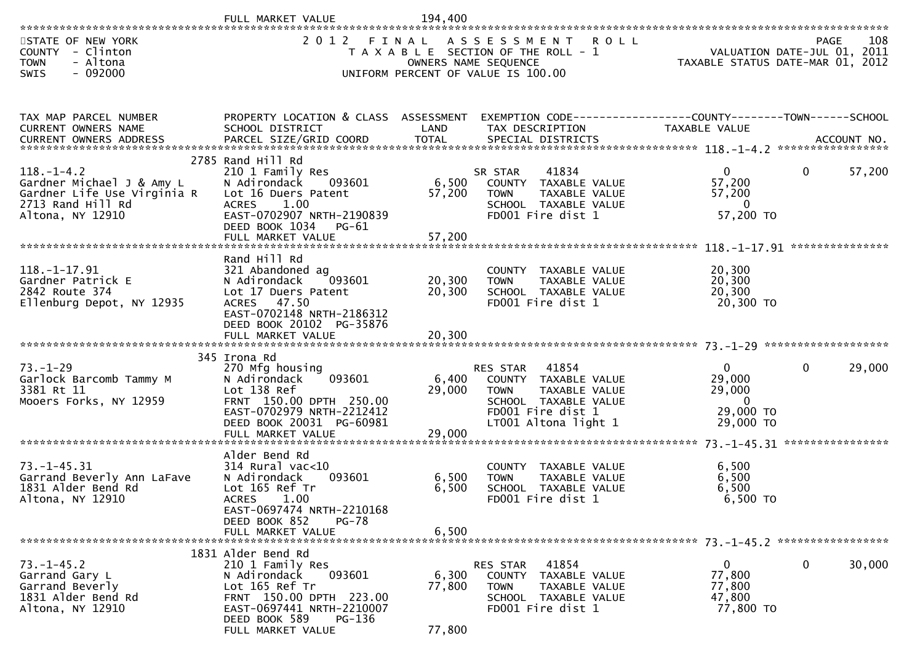|                                                                                                                       | FULL MARKET VALUE                                                                                                                                                                          | 194,400                   |                                                                                                                                                |                                                                          |                        |
|-----------------------------------------------------------------------------------------------------------------------|--------------------------------------------------------------------------------------------------------------------------------------------------------------------------------------------|---------------------------|------------------------------------------------------------------------------------------------------------------------------------------------|--------------------------------------------------------------------------|------------------------|
| STATE OF NEW YORK<br>COUNTY - Clinton<br>- Altona<br><b>TOWN</b><br>- 092000<br>SWIS                                  | 2012 FINAL                                                                                                                                                                                 | OWNERS NAME SEQUENCE      | ASSESSMENT ROLL<br>T A X A B L E SECTION OF THE ROLL - 1<br>UNIFORM PERCENT OF VALUE IS 100.00                                                 | VALUATION DATE-JUL 01, 2011<br>TAXABLE STATUS DATE-MAR 01, 2012          | 108<br>PAGE            |
| TAX MAP PARCEL NUMBER<br>CURRENT OWNERS NAME                                                                          | PROPERTY LOCATION & CLASS ASSESSMENT EXEMPTION CODE----------------COUNTY-------TOWN------SCHOOL<br>SCHOOL DISTRICT                                                                        | LAND                      | TAX DESCRIPTION                                                                                                                                | TAXABLE VALUE                                                            |                        |
| $118. - 1 - 4.2$<br>Gardner Michael J & Amy L<br>Gardner Life Use Virginia R<br>2713 Rand Hill Rd<br>Altona, NY 12910 | 2785 Rand Hill Rd<br>210 1 Family Res<br>N Adirondack<br>093601<br>Lot 16 Duers Patent<br>1.00<br><b>ACRES</b><br>EAST-0702907 NRTH-2190839<br>DEED BOOK 1034<br>PG-61                     | 6,500<br>57,200           | 41834<br>SR STAR<br>COUNTY TAXABLE VALUE<br><b>TOWN</b><br>TAXABLE VALUE<br>SCHOOL TAXABLE VALUE<br>FD001 Fire dist 1                          | $\overline{0}$<br>57,200<br>57,200<br>$\mathbf{0}$<br>57,200 TO          | $\mathbf{0}$<br>57,200 |
| $118. - 1 - 17.91$<br>Gardner Patrick E<br>2842 Route 374<br>Ellenburg Depot, NY 12935                                | Rand Hill Rd<br>321 Abandoned ag<br>N Adirondack<br>093601<br>Lot 17 Duers Patent<br>ACRES 47.50<br>EAST-0702148 NRTH-2186312<br>DEED BOOK 20102 PG-35876                                  | 20,300<br>20,300          | COUNTY TAXABLE VALUE<br><b>TOWN</b><br>TAXABLE VALUE<br>SCHOOL TAXABLE VALUE<br>FD001 Fire dist 1                                              | 20,300<br>20,300<br>20,300<br>20,300 TO                                  |                        |
| $73. - 1 - 29$<br>Garlock Barcomb Tammy M<br>3381 Rt 11<br>Mooers Forks, NY 12959                                     | 345 Irona Rd<br>270 Mfg housing<br>093601<br>N Adirondack<br>Lot 138 Ref<br>FRNT 150.00 DPTH 250.00<br>EAST-0702979 NRTH-2212412<br>DEED BOOK 20031 PG-60981<br>FULL MARKET VALUE          | 6,400<br>29,000<br>29,000 | RES STAR<br>41854<br>COUNTY TAXABLE VALUE<br>TAXABLE VALUE<br><b>TOWN</b><br>SCHOOL TAXABLE VALUE<br>FD001 Fire dist 1<br>LT001 Altona light 1 | $\overline{0}$<br>29,000<br>29,000<br>$\Omega$<br>29,000 TO<br>29,000 TO | 29,000<br>$\mathbf{0}$ |
| $73. - 1 - 45.31$<br>Garrand Beverly Ann LaFave<br>1831 Alder Bend Rd<br>Altona, NY 12910                             | Alder Bend Rd<br>314 Rural vac<10<br>093601<br>N Adirondack<br>Lot 165 Ref Tr<br><b>ACRES</b><br>1.00<br>EAST-0697474 NRTH-2210168<br>DEED BOOK 852<br><b>PG-78</b><br>FULL MARKET VALUE   | 6,500<br>6,500<br>6,500   | COUNTY TAXABLE VALUE<br>TAXABLE VALUE<br><b>TOWN</b><br>SCHOOL TAXABLE VALUE<br>FD001 Fire dist 1                                              | 6,500<br>6,500<br>6,500<br>6,500 TO                                      |                        |
| $73. - 1 - 45.2$<br>Garrand Gary L<br>Garrand Beverly<br>1831 Alder Bend Rd<br>Altona, NY 12910                       | 1831 Alder Bend Rd<br>210 1 Family Res<br>093601<br>N Adirondack<br>Lot 165 Ref Tr<br>FRNT 150.00 DPTH 223.00<br>EAST-0697441 NRTH-2210007<br>DEED BOOK 589<br>PG-136<br>FULL MARKET VALUE | 6,300<br>77,800<br>77,800 | 41854<br>RES STAR<br>TAXABLE VALUE<br>COUNTY<br><b>TOWN</b><br>TAXABLE VALUE<br>SCHOOL TAXABLE VALUE<br>FD001 Fire dist 1                      | $\mathbf{0}$<br>77,800<br>77,800<br>47,800<br>77,800 TO                  | 30,000<br>0            |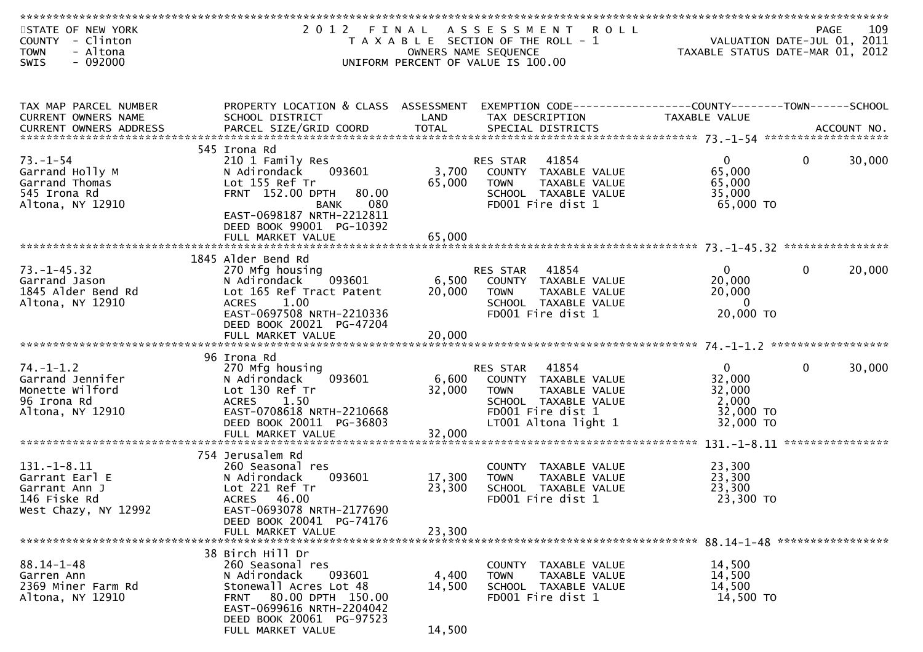| STATE OF NEW YORK        | 2 0 1 2                                          | FINAL  | A S S E S S M E N T                                            | <b>ROLL</b> |                                  | <b>PAGE</b>  | 109              |
|--------------------------|--------------------------------------------------|--------|----------------------------------------------------------------|-------------|----------------------------------|--------------|------------------|
| COUNTY - Clinton         |                                                  |        | T A X A B L E SECTION OF THE ROLL - 1                          |             | VALUATION DATE-JUL 01, 2011      |              |                  |
| - Altona<br><b>TOWN</b>  |                                                  |        | OWNERS NAME SEQUENCE                                           |             | TAXABLE STATUS DATE-MAR 01, 2012 |              |                  |
| $-092000$<br><b>SWIS</b> |                                                  |        | UNIFORM PERCENT OF VALUE IS 100.00                             |             |                                  |              |                  |
|                          |                                                  |        |                                                                |             |                                  |              |                  |
|                          |                                                  |        |                                                                |             |                                  |              |                  |
|                          |                                                  |        |                                                                |             |                                  |              |                  |
| TAX MAP PARCEL NUMBER    | PROPERTY LOCATION & CLASS ASSESSMENT             |        | EXEMPTION CODE------------------COUNTY--------TOWN------SCHOOL |             |                                  |              |                  |
| CURRENT OWNERS NAME      | SCHOOL DISTRICT                                  | LAND   | TAX DESCRIPTION                                                |             | TAXABLE VALUE                    |              |                  |
|                          |                                                  |        |                                                                |             |                                  |              |                  |
|                          |                                                  |        |                                                                |             |                                  |              |                  |
|                          | 545 Irona Rd                                     |        |                                                                |             |                                  |              |                  |
| $73. - 1 - 54$           | 210 1 Family Res                                 |        | 41854<br>RES STAR                                              |             | $\mathbf{0}$                     | $\mathbf{0}$ | 30,000           |
| Garrand Holly M          | 093601<br>N Adirondack                           | 3,700  | COUNTY TAXABLE VALUE                                           |             | 65,000                           |              |                  |
| Garrand Thomas           | Lot 155 Ref Tr                                   | 65,000 | TAXABLE VALUE<br><b>TOWN</b>                                   |             | 65,000                           |              |                  |
| 545 Irona Rd             | FRNT 152.00 DPTH<br>80.00                        |        | SCHOOL TAXABLE VALUE                                           |             | 35,000                           |              |                  |
| Altona, NY 12910         | 080<br><b>BANK</b>                               |        | FD001 Fire dist 1                                              |             | 65,000 TO                        |              |                  |
|                          | EAST-0698187 NRTH-2212811                        |        |                                                                |             |                                  |              |                  |
|                          | DEED BOOK 99001 PG-10392                         |        |                                                                |             |                                  |              |                  |
|                          | FULL MARKET VALUE                                | 65,000 |                                                                |             |                                  |              |                  |
|                          |                                                  |        |                                                                |             |                                  |              |                  |
|                          | 1845 Alder Bend Rd                               |        |                                                                |             |                                  |              |                  |
| $73. - 1 - 45.32$        | 270 Mfg housing                                  |        | 41854<br>RES STAR                                              |             | $\overline{0}$                   | $\mathbf{0}$ | 20,000           |
| Garrand Jason            | N Adirondack<br>093601                           | 6,500  | COUNTY TAXABLE VALUE                                           |             | 20,000                           |              |                  |
| 1845 Alder Bend Rd       | Lot 165 Ref Tract Patent                         | 20,000 | <b>TOWN</b><br>TAXABLE VALUE                                   |             | 20,000                           |              |                  |
| Altona, NY 12910         | 1.00<br><b>ACRES</b>                             |        | SCHOOL TAXABLE VALUE                                           |             | $\overline{0}$                   |              |                  |
|                          | EAST-0697508 NRTH-2210336                        |        | FD001 Fire dist 1                                              |             | 20,000 TO                        |              |                  |
|                          | DEED BOOK 20021 PG-47204                         |        |                                                                |             |                                  |              |                  |
|                          |                                                  |        |                                                                |             |                                  |              |                  |
|                          |                                                  |        |                                                                |             |                                  |              |                  |
|                          | 96 Irona Rd                                      |        |                                                                |             |                                  |              |                  |
| $74. - 1 - 1.2$          | 270 Mfg housing                                  |        | 41854<br>RES STAR                                              |             | $\mathbf{0}$                     | 0            | 30,000           |
| Garrand Jennifer         | 093601<br>N Adirondack                           | 6,600  | COUNTY TAXABLE VALUE                                           |             | 32,000                           |              |                  |
| Monette Wilford          | Lot 130 Ref Tr                                   | 32,000 | TAXABLE VALUE<br><b>TOWN</b>                                   |             | 32,000                           |              |                  |
| 96 Irona Rd              | <b>ACRES</b><br>1.50                             |        | SCHOOL TAXABLE VALUE                                           |             | 2,000                            |              |                  |
| Altona, NY 12910         | EAST-0708618 NRTH-2210668                        |        | FD001 Fire dist 1                                              |             | 32,000 TO                        |              |                  |
|                          | DEED BOOK 20011 PG-36803                         |        | LT001 Altona light 1                                           |             | 32,000 TO                        |              |                  |
|                          | FULL MARKET VALUE                                | 32,000 |                                                                |             |                                  |              |                  |
|                          |                                                  |        |                                                                |             |                                  |              | **************** |
|                          | 754 Jerusalem Rd                                 |        |                                                                |             |                                  |              |                  |
| $131.-1-8.11$            | 260 Seasonal res                                 |        | COUNTY<br>TAXABLE VALUE                                        |             | 23,300                           |              |                  |
| Garrant Earl E           | N Adirondack<br>093601                           | 17,300 | TAXABLE VALUE<br><b>TOWN</b>                                   |             | 23,300                           |              |                  |
| Garrant Ann J            | Lot 221 Ref Tr                                   | 23,300 | SCHOOL TAXABLE VALUE                                           |             | 23,300                           |              |                  |
| 146 Fiske Rd             | ACRES 46.00                                      |        | FD001 Fire dist 1                                              |             | 23,300 TO                        |              |                  |
| West Chazy, NY 12992     | EAST-0693078 NRTH-2177690                        |        |                                                                |             |                                  |              |                  |
|                          | DEED BOOK 20041 PG-74176                         |        |                                                                |             |                                  |              |                  |
|                          | FULL MARKET VALUE                                | 23,300 |                                                                |             |                                  |              |                  |
|                          |                                                  |        |                                                                |             |                                  |              |                  |
|                          | 38 Birch Hill Dr                                 |        |                                                                |             |                                  |              |                  |
| $88.14 - 1 - 48$         | 260 Seasonal res                                 |        | COUNTY TAXABLE VALUE                                           |             | 14,500                           |              |                  |
| Garren Ann               | 093601<br>N Adirondack                           | 4,400  | <b>TOWN</b><br><b>TAXABLE VALUE</b>                            |             | 14,500                           |              |                  |
| 2369 Miner Farm Rd       |                                                  |        |                                                                |             | 14,500                           |              |                  |
| Altona, NY 12910         | Stonewall Acres Lot 48<br>FRNT 80.00 DPTH 150.00 | 14,500 | SCHOOL TAXABLE VALUE<br>FD001 Fire dist 1                      |             | 14,500 TO                        |              |                  |
|                          | EAST-0699616 NRTH-2204042                        |        |                                                                |             |                                  |              |                  |
|                          | DEED BOOK 20061 PG-97523                         |        |                                                                |             |                                  |              |                  |
|                          |                                                  |        |                                                                |             |                                  |              |                  |
|                          | FULL MARKET VALUE                                | 14,500 |                                                                |             |                                  |              |                  |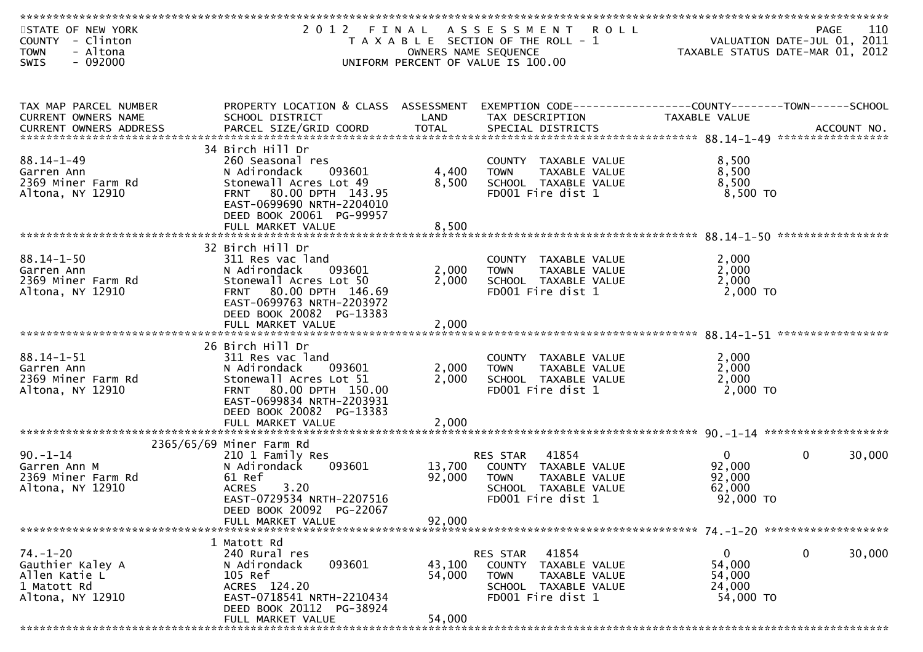|                                                                                        | ************************                                                                                                                                                                                                                                                                  |                            |                                                                                                                                   |                                                           |                                            |
|----------------------------------------------------------------------------------------|-------------------------------------------------------------------------------------------------------------------------------------------------------------------------------------------------------------------------------------------------------------------------------------------|----------------------------|-----------------------------------------------------------------------------------------------------------------------------------|-----------------------------------------------------------|--------------------------------------------|
| STATE OF NEW YORK<br>COUNTY - Clinton<br>- Altona<br><b>TOWN</b><br>SWIS<br>$-092000$  |                                                                                                                                                                                                                                                                                           |                            | 2012 FINAL ASSESSMENT ROLL<br>T A X A B L E SECTION OF THE ROLL - 1<br>OWNERS NAME SEQUENCE<br>UNIFORM PERCENT OF VALUE IS 100.00 | TAXABLE STATUS DATE-MAR 01, 2012                          | 110<br>PAGE<br>VALUATION DATE-JUL 01, 2011 |
| TAX MAP PARCEL NUMBER<br>CURRENT OWNERS NAME                                           | PROPERTY LOCATION & CLASS ASSESSMENT<br>SCHOOL DISTRICT<br>.00000 CURRENT OWNERS ADDRESS PARCEL SIZE/GRID COORD TOTAL SPECIAL DISTRICTS ACCOUNT NO ACCOUNT NO ACCOUNT NO بالمحتججة بالمحتججة بالمحتججة بالمحتججة بالمحتججة بالمحتججة بالمحتججة بالمحتججة بالمحتججة بالمحتججة بالمحتججة با | LAND                       | EXEMPTION CODE-----------------COUNTY--------TOWN------SCHOOL<br>TAX DESCRIPTION                                                  | <b>TAXABLE VALUE</b>                                      |                                            |
| $88.14 - 1 - 49$<br>Garren Ann<br>2369 Miner Farm Rd<br>Altona, NY 12910               | 34 Birch Hill Dr<br>260 Seasonal res<br>N Adirondack<br>093601<br>Stonewall Acres Lot 49<br>FRNT 80.00 DPTH 143.95<br>EAST-0699690 NRTH-2204010<br>DEED BOOK 20061 PG-99957<br>FULL MARKET VALUE                                                                                          | 4,400<br>8,500<br>8,500    | COUNTY TAXABLE VALUE<br>TAXABLE VALUE<br><b>TOWN</b><br>SCHOOL TAXABLE VALUE<br>FD001 Fire dist 1                                 | 8,500<br>8,500<br>8,500<br>8,500 TO                       |                                            |
| $88.14 - 1 - 50$<br>Garren Ann<br>2369 Miner Farm Rd<br>Altona, NY 12910               | 32 Birch Hill Dr<br>311 Res vac land<br>N Adirondack<br>093601<br>Stonewall Acres Lot 50<br>FRNT 80.00 DPTH 146.69<br>EAST-0699763 NRTH-2203972<br>DEED BOOK 20082 PG-13383<br>FULL MARKET VALUE                                                                                          | 2,000<br>2,000<br>2,000    | COUNTY TAXABLE VALUE<br>TAXABLE VALUE<br><b>TOWN</b><br>SCHOOL TAXABLE VALUE<br>FD001 Fire dist 1                                 | 2,000<br>2,000<br>2,000<br>2,000 TO                       |                                            |
| $88.14 - 1 - 51$<br>Garren Ann<br>2369 Miner Farm Rd<br>Altona, NY 12910               | 26 Birch Hill Dr<br>311 Res vac land<br>N Adirondack<br>093601<br>Stonewall Acres Lot 51<br>FRNT 80.00 DPTH 150.00<br>EAST-0699834 NRTH-2203931<br>DEED BOOK 20082 PG-13383<br>FULL MARKET VALUE                                                                                          | 2,000<br>2,000<br>2,000    | COUNTY TAXABLE VALUE<br><b>TOWN</b><br>TAXABLE VALUE<br>SCHOOL TAXABLE VALUE<br>FD001 Fire dist 1                                 | 2,000<br>2,000<br>2,000<br>2,000 TO                       |                                            |
| $90. -1 - 14$<br>Garren Ann M<br>2369 Miner Farm Rd<br>Altona, NY 12910                | 2365/65/69 Miner Farm Rd<br>210 1 Family Res<br>N Adirondack<br>093601<br>61 Ref<br>3.20<br><b>ACRES</b><br>EAST-0729534 NRTH-2207516<br>DEED BOOK 20092 PG-22067<br>FULL MARKET VALUE                                                                                                    | 13,700<br>92,000<br>92.000 | 41854<br>RES STAR<br>COUNTY TAXABLE VALUE<br>TAXABLE VALUE<br><b>TOWN</b><br>SCHOOL TAXABLE VALUE<br>FD001 Fire dist 1            | $\overline{0}$<br>92,000<br>92,000<br>62,000<br>92,000 TO | $\mathbf{0}$<br>30,000                     |
| $74. - 1 - 20$<br>Gauthier Kaley A<br>Allen Katie L<br>1 Matott Rd<br>Altona, NY 12910 | 1 Matott Rd<br>240 Rural res<br>N Adirondack<br>093601<br>105 Ref<br>ACRES 124.20<br>EAST-0718541 NRTH-2210434<br>DEED BOOK 20112 PG-38924<br>FULL MARKET VALUE                                                                                                                           | 43,100<br>54,000<br>54,000 | 41854<br>RES STAR<br>COUNTY TAXABLE VALUE<br><b>TOWN</b><br>TAXABLE VALUE<br>SCHOOL TAXABLE VALUE<br>FD001 Fire dist 1            | 0<br>54,000<br>54,000<br>24,000<br>54,000 TO              | 0<br>30,000                                |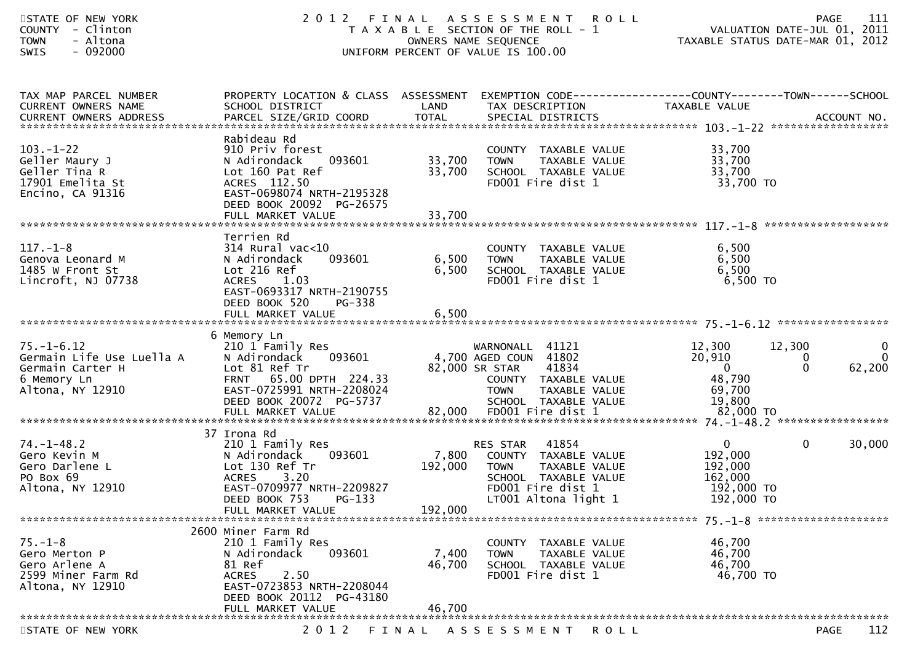| STATE OF NEW YORK<br>- Clinton<br><b>COUNTY</b><br>- Altona<br><b>TOWN</b><br>$-092000$<br><b>SWIS</b> | 2 0 1 2                                                                                                                                                        | OWNERS NAME SEQUENCE        | FINAL ASSESSMENT ROLL<br>T A X A B L E SECTION OF THE ROLL - 1<br>UNIFORM PERCENT OF VALUE IS 100.00                                                | VALUATION DATE-JUL 01, 2011<br>TAXABLE STATUS DATE-MAR 01, 2012             | 111<br><b>PAGE</b>                                       |
|--------------------------------------------------------------------------------------------------------|----------------------------------------------------------------------------------------------------------------------------------------------------------------|-----------------------------|-----------------------------------------------------------------------------------------------------------------------------------------------------|-----------------------------------------------------------------------------|----------------------------------------------------------|
| TAX MAP PARCEL NUMBER<br>CURRENT OWNERS NAME<br>CURRENT OWNERS ADDRESS                                 | PROPERTY LOCATION & CLASS ASSESSMENT<br>SCHOOL DISTRICT                                                                                                        | LAND                        | EXEMPTION CODE------------------COUNTY--------TOWN------SCHOOL<br>TAX DESCRIPTION                                                                   | TAXABLE VALUE                                                               |                                                          |
| $103. - 1 - 22$<br>Geller Maury J<br>Geller Tina R<br>17901 Emelita St<br>Encino, CA 91316             | Rabideau Rd<br>910 Priv forest<br>N Adirondack<br>093601<br>Lot 160 Pat Ref<br>ACRES 112.50<br>EAST-0698074 NRTH-2195328<br>DEED BOOK 20092 PG-26575           | 33,700<br>33,700            | COUNTY TAXABLE VALUE<br><b>TOWN</b><br>TAXABLE VALUE<br>SCHOOL TAXABLE VALUE<br>FD001 Fire dist 1                                                   | 33,700<br>33,700<br>33,700<br>33,700 TO                                     |                                                          |
|                                                                                                        |                                                                                                                                                                |                             |                                                                                                                                                     |                                                                             |                                                          |
| $117. - 1 - 8$<br>Genova Leonard M<br>1485 W Front St<br>Lincroft, NJ 07738                            | Terrien Rd<br>$314$ Rural vac<10<br>093601<br>N Adirondack<br>Lot 216 Ref<br><b>ACRES</b><br>1.03<br>EAST-0693317 NRTH-2190755<br>DEED BOOK 520<br>$PG-338$    | 6,500<br>6,500              | COUNTY TAXABLE VALUE<br>TAXABLE VALUE<br><b>TOWN</b><br>SCHOOL TAXABLE VALUE<br>FD001 Fire dist 1                                                   | 6,500<br>6,500<br>6,500<br>6,500 TO                                         |                                                          |
|                                                                                                        | 6 Memory Ln                                                                                                                                                    |                             |                                                                                                                                                     |                                                                             |                                                          |
| $75. - 1 - 6.12$<br>Germain Life Use Luella A<br>Germain Carter H<br>6 Memory Ln<br>Altona, NY 12910   | 210 1 Family Res<br>093601<br>N Adirondack<br>Lot 81 Ref Tr<br>FRNT 65.00 DPTH 224.33<br>EAST-0725991 NRTH-2208024<br>DEED BOOK 20072 PG-5737                  |                             | WARNONALL 41121<br>4,700 AGED COUN 41802<br>41834<br>82,000 SR STAR<br>COUNTY TAXABLE VALUE<br><b>TOWN</b><br>TAXABLE VALUE<br>SCHOOL TAXABLE VALUE | 12,300<br>12,300<br>20,910<br>$\overline{0}$<br>48,790<br>69,700<br>19,800  | $\mathbf 0$<br>$\overline{0}$<br>0<br>$\Omega$<br>62,200 |
|                                                                                                        | 37 Irona Rd                                                                                                                                                    |                             |                                                                                                                                                     |                                                                             |                                                          |
| $74. - 1 - 48.2$<br>Gero Kevin M<br>Gero Darlene L<br>PO Box 69<br>Altona, NY 12910                    | 210 1 Family Res<br>093601<br>N Adirondack<br>Lot 130 Ref Tr<br><b>ACRES</b><br>3.20<br>EAST-0709977 NRTH-2209827<br>DEED BOOK 753 PG-133<br>FULL MARKET VALUE | 7,800<br>192,000<br>192,000 | RES STAR<br>41854<br>COUNTY TAXABLE VALUE<br>TAXABLE VALUE<br><b>TOWN</b><br>SCHOOL TAXABLE VALUE<br>FD001 Fire dist 1<br>LT001 Altona light 1      | $\overline{0}$<br>192,000<br>192,000<br>162,000<br>192,000 TO<br>192,000 TO | 0<br>30,000                                              |
|                                                                                                        |                                                                                                                                                                |                             |                                                                                                                                                     |                                                                             |                                                          |
| $75. - 1 - 8$<br>Gero Merton P<br>Gero Arlene A<br>2599 Miner Farm Rd<br>Altona, NY 12910              | 2600 Miner Farm Rd<br>210 1 Family Res<br>093601<br>N Adirondack<br>81 Ref<br><b>ACRES</b><br>2.50<br>EAST-0723853 NRTH-2208044<br>DEED BOOK 20112 PG-43180    | 7,400<br>46,700             | COUNTY TAXABLE VALUE<br><b>TOWN</b><br>TAXABLE VALUE<br>SCHOOL TAXABLE VALUE<br>FD001 Fire dist 1                                                   | 46,700<br>46,700<br>46,700<br>46,700 TO                                     |                                                          |
|                                                                                                        | FULL MARKET VALUE                                                                                                                                              | 46,700                      |                                                                                                                                                     |                                                                             |                                                          |
| STATE OF NEW YORK                                                                                      | 2 0 1 2                                                                                                                                                        | FINAL                       | ASSESSMENT ROLL                                                                                                                                     |                                                                             | 112<br>PAGE                                              |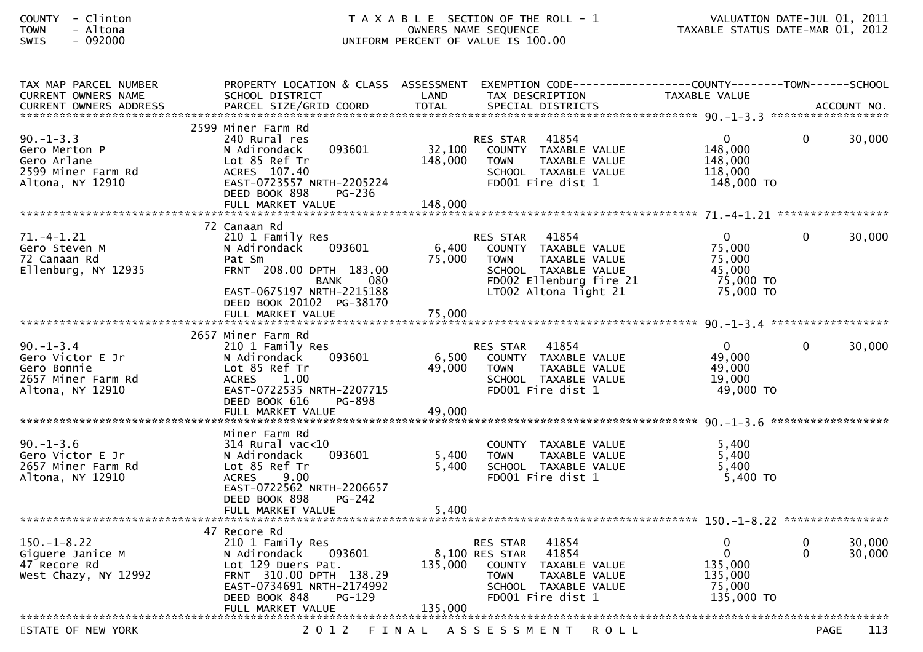## COUNTY - Clinton T A X A B L E SECTION OF THE ROLL - 1 VALUATION DATE-JUL 01, 2011TOWN - Altona OWNERS NAME SEQUENCE TAXABLE STATUS DATE-MAR 01, 2012SWIS - 092000 UNIFORM PERCENT OF VALUE IS 100.00

| TAX MAP PARCEL NUMBER<br>CURRENT OWNERS NAME                                                | PROPERTY LOCATION & CLASS ASSESSMENT EXEMPTION CODE----------------COUNTY--------TOWN------SCHOOL<br>SCHOOL DISTRICT                                                                     | LAND                         | TAX DESCRIPTION                                                                                                                                              | TAXABLE VALUE                                                            |               |                  |
|---------------------------------------------------------------------------------------------|------------------------------------------------------------------------------------------------------------------------------------------------------------------------------------------|------------------------------|--------------------------------------------------------------------------------------------------------------------------------------------------------------|--------------------------------------------------------------------------|---------------|------------------|
| <b>CURRENT OWNERS ADDRESS</b>                                                               | PARCEL SIZE/GRID COORD                                                                                                                                                                   | <b>TOTAL</b>                 | SPECIAL DISTRICTS                                                                                                                                            |                                                                          |               | ACCOUNT NO.      |
|                                                                                             |                                                                                                                                                                                          |                              |                                                                                                                                                              |                                                                          |               |                  |
| $90. -1 - 3.3$<br>Gero Merton P<br>Gero Arlane<br>2599 Miner Farm Rd<br>Altona, NY 12910    | 2599 Miner Farm Rd<br>240 Rural res<br>093601<br>N Adirondack<br>Lot 85 Ref Tr<br>ACRES 107.40<br>EAST-0723557 NRTH-2205224<br>DEED BOOK 898<br><b>PG-236</b>                            | 32,100<br>148,000<br>148,000 | 41854<br>RES STAR<br>COUNTY TAXABLE VALUE<br><b>TOWN</b><br><b>TAXABLE VALUE</b><br>SCHOOL TAXABLE VALUE<br>FD001 Fire dist 1                                | $\mathbf 0$<br>148,000<br>148,000<br>118,000<br>148,000 TO               | $\Omega$      | 30,000           |
|                                                                                             | FULL MARKET VALUE                                                                                                                                                                        |                              |                                                                                                                                                              |                                                                          |               |                  |
|                                                                                             | 72 Canaan Rd                                                                                                                                                                             |                              |                                                                                                                                                              |                                                                          |               |                  |
| $71. -4 - 1.21$<br>Gero Steven M<br>72 Canaan Rd<br>Ellenburg, NY 12935                     | 210 1 Family Res<br>N Adirondack<br>093601<br>Pat Sm<br>FRNT 208.00 DPTH 183.00<br><b>BANK</b><br>080<br>EAST-0675197 NRTH-2215188<br>DEED BOOK 20102 PG-38170                           | 6,400<br>75,000              | <b>RES STAR</b><br>41854<br>COUNTY TAXABLE VALUE<br>TAXABLE VALUE<br><b>TOWN</b><br>SCHOOL TAXABLE VALUE<br>FD002 Ellenburg fire 21<br>LT002 Altona light 21 | $\mathbf{0}$<br>75,000<br>75,000<br>45,000<br>75,000 TO<br>75,000 TO     | 0             | 30,000           |
|                                                                                             |                                                                                                                                                                                          |                              |                                                                                                                                                              |                                                                          |               |                  |
|                                                                                             |                                                                                                                                                                                          |                              |                                                                                                                                                              |                                                                          |               |                  |
| $90. -1 - 3.4$<br>Gero Victor E Jr<br>Gero Bonnie<br>2657 Miner Farm Rd<br>Altona, NY 12910 | 2657 Miner Farm Rd<br>210 1 Family Res<br>093601<br>N Adirondack<br>Lot 85 Ref Tr<br><b>ACRES</b><br>1.00<br>EAST-0722535 NRTH-2207715<br>DEED BOOK 616<br>PG-898<br>FULL MARKET VALUE   | 6,500<br>49,000<br>49,000    | RES STAR<br>41854<br>COUNTY TAXABLE VALUE<br>TAXABLE VALUE<br><b>TOWN</b><br>SCHOOL TAXABLE VALUE<br>FD001 Fire dist 1                                       | $\mathbf{0}$<br>49,000<br>49,000<br>19,000<br>49,000 TO                  | $\mathbf{0}$  | 30,000           |
|                                                                                             |                                                                                                                                                                                          |                              |                                                                                                                                                              |                                                                          |               |                  |
| $90. -1 - 3.6$<br>Gero Victor E Jr<br>2657 Miner Farm Rd<br>Altona, NY 12910                | Miner Farm Rd<br>$314$ Rural vac< $10$<br>093601<br>N Adirondack<br>Lot 85 Ref Tr<br>9.00<br><b>ACRES</b><br>EAST-0722562 NRTH-2206657<br>DEED BOOK 898<br>$PG-242$                      | 5,400<br>5,400               | COUNTY TAXABLE VALUE<br>TAXABLE VALUE<br><b>TOWN</b><br>SCHOOL TAXABLE VALUE<br>FD001 Fire dist 1                                                            | 5,400<br>5,400<br>5,400<br>$5,400$ TO                                    |               |                  |
|                                                                                             |                                                                                                                                                                                          |                              |                                                                                                                                                              |                                                                          |               |                  |
| $150. - 1 - 8.22$<br>Giguere Janice M<br>47 Recore Rd<br>West Chazy, NY 12992               | 47 Recore Rd<br>210 1 Family Res<br>N Adirondack<br>093601<br>Lot 129 Duers Pat.<br>FRNT 310.00 DPTH 138.29<br>EAST-0734691 NRTH-2174992<br>PG-129<br>DEED BOOK 848<br>FULL MARKET VALUE | 135,000<br>135,000           | 41854<br><b>RES STAR</b><br>8,100 RES STAR<br>41854<br>COUNTY TAXABLE VALUE<br><b>TOWN</b><br>TAXABLE VALUE<br>SCHOOL TAXABLE VALUE<br>FD001 Fire dist 1     | $\mathbf 0$<br>$\mathbf 0$<br>135,000<br>135.000<br>75,000<br>135,000 TO | 0<br>$\Omega$ | 30,000<br>30,000 |
|                                                                                             |                                                                                                                                                                                          |                              |                                                                                                                                                              |                                                                          |               |                  |
| STATE OF NEW YORK                                                                           | 2 0 1 2                                                                                                                                                                                  | F I N A L                    | A S S E S S M E N T<br><b>ROLL</b>                                                                                                                           |                                                                          | <b>PAGE</b>   | 113              |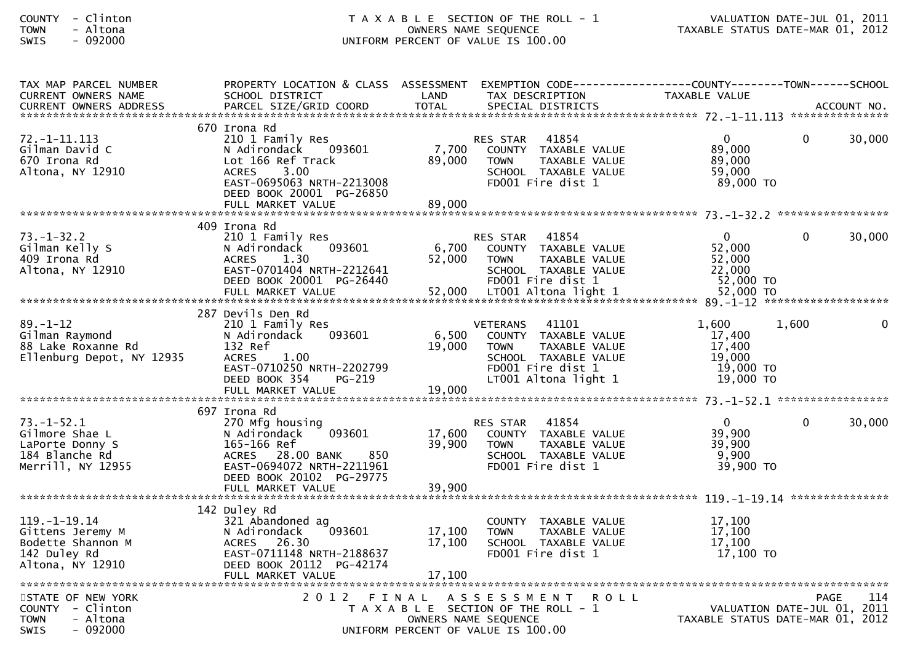## COUNTY - Clinton T A X A B L E SECTION OF THE ROLL - 1 VALUATION DATE-JUL 01, 2011TOWN - Altona OWNERS NAME SEQUENCE TAXABLE STATUS DATE-MAR 01, 2012SWIS - 092000 UNIFORM PERCENT OF VALUE IS 100.00

| TAX MAP PARCEL NUMBER<br><b>CURRENT OWNERS NAME</b>                                             | PROPERTY LOCATION & CLASS ASSESSMENT EXEMPTION CODE----------------COUNTY--------TOWN------SCHOOL<br>SCHOOL DISTRICT                                                                  | LAND                       | TAX DESCRIPTION                                                                                                                                       | TAXABLE VALUE                                                   |                                                                                |          |
|-------------------------------------------------------------------------------------------------|---------------------------------------------------------------------------------------------------------------------------------------------------------------------------------------|----------------------------|-------------------------------------------------------------------------------------------------------------------------------------------------------|-----------------------------------------------------------------|--------------------------------------------------------------------------------|----------|
|                                                                                                 |                                                                                                                                                                                       |                            |                                                                                                                                                       |                                                                 |                                                                                |          |
|                                                                                                 |                                                                                                                                                                                       |                            |                                                                                                                                                       |                                                                 |                                                                                |          |
| $72. - 1 - 11.113$<br>Gilman David C<br>670 Irona Rd<br>Altona, NY 12910                        | 670 Irona Rd<br>210 1 Family Res<br>N Adirondack<br>093601<br>Lot 166 Ref Track<br>3.00<br><b>ACRES</b><br>EAST-0695063 NRTH-2213008<br>DEED BOOK 20001 PG-26850<br>FULL MARKET VALUE | 7,700<br>89,000<br>89,000  | 41854<br>RES STAR<br>COUNTY TAXABLE VALUE<br><b>TOWN</b><br>TAXABLE VALUE<br>SCHOOL TAXABLE VALUE<br>FD001 Fire dist 1                                | $\overline{0}$<br>89,000<br>89,000<br>59,000<br>89,000 TO       | $\Omega$<br>30,000                                                             |          |
|                                                                                                 | 409 Irona Rd                                                                                                                                                                          |                            |                                                                                                                                                       |                                                                 |                                                                                |          |
| $73. - 1 - 32.2$<br>Gilman Kelly S<br>409 Irona Rd<br>Altona, NY 12910                          | 210 1 Family Res<br>093601<br>N Adirondack<br>1.30<br><b>ACRES</b><br>EAST-0701404 NRTH-2212641<br>DEED BOOK 20001 PG-26440                                                           | 6,700<br>52,000            | 41854<br>RES STAR<br>COUNTY TAXABLE VALUE<br>TAXABLE VALUE<br><b>TOWN</b><br>SCHOOL TAXABLE VALUE<br>FD001 Fire dist 1                                | $\mathbf 0$<br>52,000<br>52,000<br>22,000<br>52,000 TO          | 30,000<br>$\mathbf{0}$                                                         |          |
|                                                                                                 |                                                                                                                                                                                       |                            |                                                                                                                                                       |                                                                 |                                                                                |          |
| $89. - 1 - 12$<br>Gilman Raymond<br>88 Lake Roxanne Rd<br>Ellenburg Depot, NY 12935             | 287 Devils Den Rd<br>210 1 Family Res<br>093601<br>N Adirondack<br>132 Ref<br><b>ACRES</b><br>1.00<br>EAST-0710250 NRTH-2202799<br>DEED BOOK 354<br>PG-219                            | 6,500<br>19,000            | <b>VETERANS</b><br>41101<br>COUNTY TAXABLE VALUE<br>TAXABLE VALUE<br><b>TOWN</b><br>SCHOOL TAXABLE VALUE<br>FD001 Fire dist 1<br>LT001 Altona light 1 | 1,600<br>17,400<br>17,400<br>19,000<br>19,000 TO<br>$19,000$ TO | 1,600                                                                          | $\Omega$ |
|                                                                                                 |                                                                                                                                                                                       |                            |                                                                                                                                                       |                                                                 |                                                                                |          |
| $73. - 1 - 52.1$<br>Gilmore Shae L<br>LaPorte Donny S<br>184 Blanche Rd<br>Merrill, NY 12955    | 697 Irona Rd<br>270 Mfg housing<br>093601<br>N Adirondack<br>165-166 Ref<br>ACRES 28.00 BANK<br>850<br>EAST-0694072 NRTH-2211961<br>DEED BOOK 20102 PG-29775<br>FULL MARKET VALUE     | 17,600<br>39,900<br>39,900 | 41854<br>RES STAR<br>COUNTY TAXABLE VALUE<br><b>TOWN</b><br>TAXABLE VALUE<br>SCHOOL TAXABLE VALUE<br>FD001 Fire dist 1                                | $\mathbf{0}$<br>39,900<br>39,900<br>9,900<br>39,900 TO          | $\mathbf{0}$<br>30,000                                                         |          |
|                                                                                                 |                                                                                                                                                                                       |                            |                                                                                                                                                       |                                                                 |                                                                                |          |
| $119. - 1 - 19.14$<br>Gittens Jeremy M<br>Bodette Shannon M<br>142 Duley Rd<br>Altona, NY 12910 | 142 Duley Rd<br>321 Abandoned ag<br>093601<br>N Adirondack<br>ACRES 26.30<br>EAST-0711148 NRTH-2188637<br>DEED BOOK 20112 PG-42174<br>FULL MARKET VALUE                               | 17,100<br>17,100<br>17,100 | COUNTY TAXABLE VALUE<br>TAXABLE VALUE<br><b>TOWN</b><br>SCHOOL TAXABLE VALUE<br>FD001 Fire dist 1                                                     | 17,100<br>17,100<br>17,100<br>$17,100$ TO                       |                                                                                |          |
|                                                                                                 |                                                                                                                                                                                       |                            |                                                                                                                                                       |                                                                 |                                                                                |          |
| STATE OF NEW YORK<br>COUNTY - Clinton<br>- Altona<br><b>TOWN</b><br><b>SWIS</b><br>- 092000     | 2 0 1 2<br>FINAL                                                                                                                                                                      | OWNERS NAME SEQUENCE       | ASSESSMENT<br>R O L L<br>T A X A B L E SECTION OF THE ROLL - 1<br>UNIFORM PERCENT OF VALUE IS 100.00                                                  |                                                                 | <b>PAGE</b><br>VALUATION DATE-JUL 01, 2011<br>TAXABLE STATUS DATE-MAR 01, 2012 | 114      |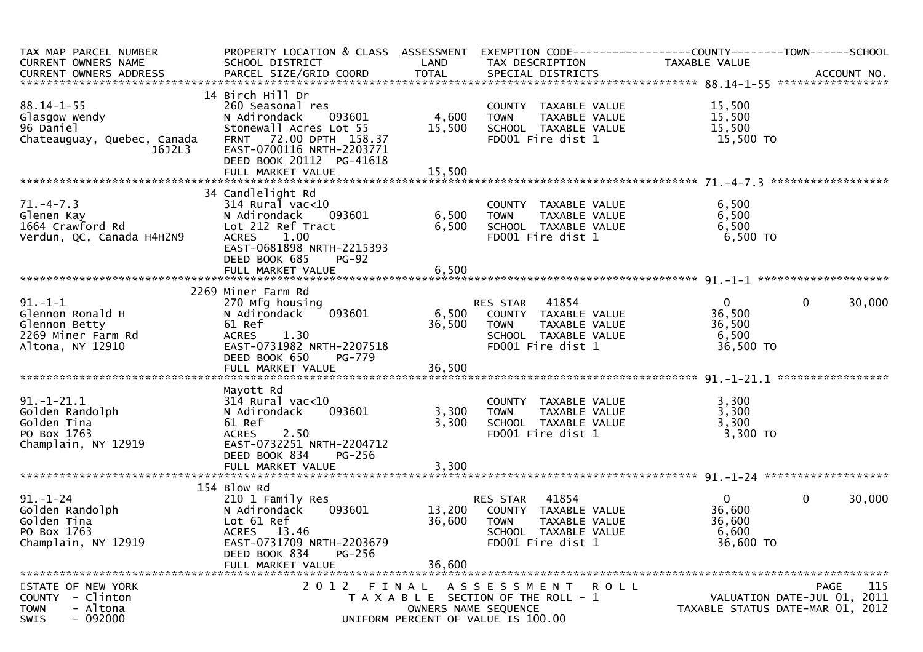| TAX MAP PARCEL NUMBER                 | PROPERTY LOCATION & CLASS ASSESSMENT              |        |                                                                     |                |                                            |
|---------------------------------------|---------------------------------------------------|--------|---------------------------------------------------------------------|----------------|--------------------------------------------|
| CURRENT OWNERS NAME                   | SCHOOL DISTRICT                                   | LAND   | TAX DESCRIPTION                                                     | TAXABLE VALUE  |                                            |
|                                       |                                                   |        |                                                                     |                |                                            |
|                                       |                                                   |        |                                                                     |                |                                            |
| $88.14 - 1 - 55$                      | 14 Birch Hill Dr<br>260 Seasonal res              |        |                                                                     | 15,500         |                                            |
| Glasgow Wendy                         | 093601<br>N Adirondack                            | 4,600  | COUNTY TAXABLE VALUE<br>TAXABLE VALUE<br><b>TOWN</b>                | 15,500         |                                            |
| 96 Daniel                             | Stonewall Acres Lot 55                            | 15,500 | SCHOOL TAXABLE VALUE                                                | 15,500         |                                            |
| Chateauguay, Quebec, Canada           | FRNT 72.00 DPTH 158.37                            |        | FD001 Fire dist 1                                                   | 15,500 TO      |                                            |
| J6J2L3                                | EAST-0700116 NRTH-2203771                         |        |                                                                     |                |                                            |
|                                       | DEED BOOK 20112 PG-41618                          |        |                                                                     |                |                                            |
|                                       |                                                   |        |                                                                     |                |                                            |
|                                       |                                                   |        |                                                                     |                |                                            |
|                                       | 34 Candlelight Rd                                 |        |                                                                     |                |                                            |
| $71. - 4 - 7.3$                       | $314$ Rural vac<10                                |        | COUNTY TAXABLE VALUE                                                | 6,500          |                                            |
| Glenen Kay                            | 093601<br>N Adirondack                            | 6,500  | TAXABLE VALUE<br><b>TOWN</b>                                        | 6,500          |                                            |
| 1664 Crawford Rd                      | Lot 212 Ref Tract                                 | 6,500  | SCHOOL TAXABLE VALUE                                                | 6,500          |                                            |
| Verdun, QC, Canada H4H2N9             | <b>ACRES</b><br>1.00                              |        | FD001 Fire dist 1                                                   | 6,500 TO       |                                            |
|                                       | EAST-0681898 NRTH-2215393                         |        |                                                                     |                |                                            |
|                                       | DEED BOOK 685<br>$PG-92$                          |        |                                                                     |                |                                            |
|                                       | FULL MARKET VALUE                                 | 6,500  |                                                                     |                |                                            |
|                                       | 2269 Miner Farm Rd                                |        |                                                                     |                |                                            |
| $91.-1-1$                             | 270 Mfg housing                                   |        | RES STAR 41854                                                      | $\overline{0}$ | $\mathbf 0$<br>30,000                      |
| Glennon Ronald H                      | 093601<br>N Adirondack                            | 6,500  | COUNTY TAXABLE VALUE                                                | 36,500         |                                            |
| Glennon Betty                         | 61 Ref                                            | 36,500 | TAXABLE VALUE<br><b>TOWN</b>                                        | 36,500         |                                            |
| 2269 Miner Farm Rd                    | <b>ACRES</b><br>1.30                              |        | SCHOOL TAXABLE VALUE                                                | 6,500          |                                            |
| Altona, NY 12910                      | EAST-0731982 NRTH-2207518                         |        | FD001 Fire dist 1                                                   | 36,500 TO      |                                            |
|                                       | DEED BOOK 650<br>PG-779                           |        |                                                                     |                |                                            |
|                                       |                                                   |        |                                                                     |                |                                            |
|                                       |                                                   |        |                                                                     |                |                                            |
|                                       | Mayott Rd                                         |        |                                                                     |                |                                            |
| $91.-1-21.1$                          | $314$ Rural vac< $10$                             |        | COUNTY TAXABLE VALUE                                                | 3,300          |                                            |
| Golden Randolph                       | 093601<br>N Adirondack                            | 3,300  | <b>TOWN</b><br>TAXABLE VALUE                                        | 3,300          |                                            |
| Golden Tina                           | 61 Ref                                            | 3,300  | SCHOOL TAXABLE VALUE                                                | 3,300          |                                            |
| PO Box 1763<br>Champlain, NY 12919    | <b>ACRES</b><br>2.50<br>EAST-0732251 NRTH-2204712 |        | FD001 Fire dist 1                                                   | 3,300 TO       |                                            |
|                                       | DEED BOOK 834<br>$PG-256$                         |        |                                                                     |                |                                            |
|                                       | FULL MARKET VALUE                                 | 3,300  |                                                                     |                |                                            |
|                                       |                                                   |        |                                                                     |                |                                            |
|                                       | 154 Blow Rd                                       |        |                                                                     |                |                                            |
| $91. - 1 - 24$                        | 210 1 Family Res                                  |        | 41854<br>RES STAR                                                   | $\overline{0}$ | $\mathbf 0$<br>30,000                      |
| Golden Randolph                       | N Adirondack<br>093601                            | 13,200 | COUNTY TAXABLE VALUE                                                | 36,600         |                                            |
| Golden Tina                           | Lot 61 Ref                                        | 36,600 | <b>TOWN</b><br>TAXABLE VALUE                                        | 36,600         |                                            |
| PO Box 1763                           | <b>ACRES</b><br>13.46                             |        | SCHOOL TAXABLE VALUE                                                | 6,600          |                                            |
| Champlain, NY 12919                   | EAST-0731709 NRTH-2203679                         |        | FD001 Fire dist 1                                                   | 36,600 TO      |                                            |
|                                       | DEED BOOK 834<br><b>PG-256</b>                    |        |                                                                     |                |                                            |
|                                       | FULL MARKET VALUE                                 | 36,600 |                                                                     |                |                                            |
|                                       |                                                   |        |                                                                     |                |                                            |
| STATE OF NEW YORK<br>COUNTY - Clinton |                                                   |        | 2012 FINAL ASSESSMENT ROLL<br>T A X A B L E SECTION OF THE ROLL - 1 |                | 115<br>PAGE<br>VALUATION DATE-JUL 01, 2011 |
| - Altona<br><b>TOWN</b>               |                                                   |        | OWNERS NAME SEQUENCE                                                |                | TAXABLE STATUS DATE-MAR 01, 2012           |
| $-092000$<br>SWIS                     |                                                   |        | UNIFORM PERCENT OF VALUE IS 100.00                                  |                |                                            |
|                                       |                                                   |        |                                                                     |                |                                            |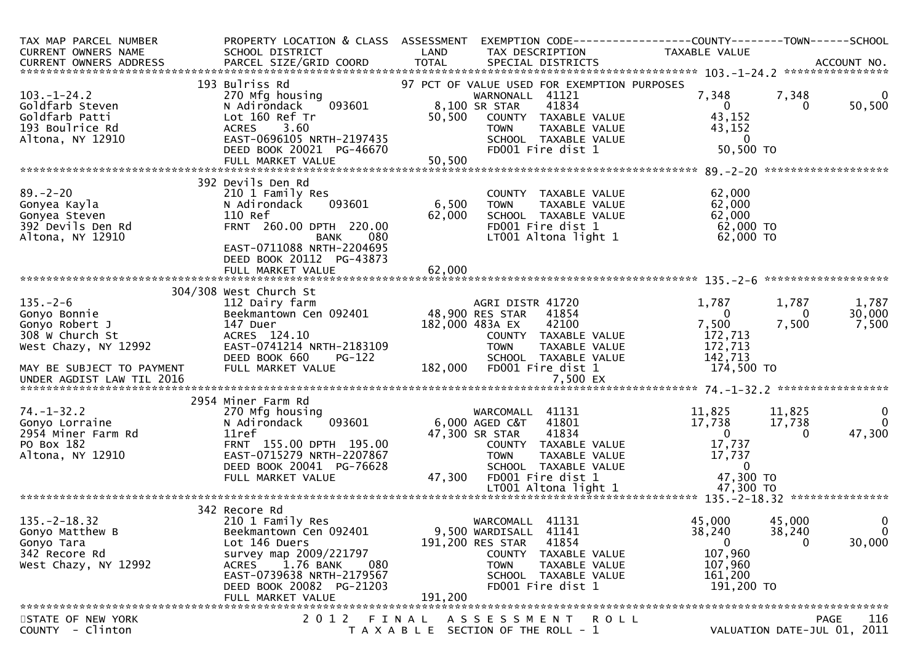| TAX MAP PARCEL NUMBER<br>CURRENT OWNERS NAME                                                                                                                                                                                                        | PROPERTY LOCATION & CLASS ASSESSMENT<br>SCHOOL DISTRICT                                                                                                                                                                                                                                                                                                          | LAND                      | EXEMPTION        CODE------------------COUNTY-------TOWN------SCHOOL<br>TAX DESCRIPTION                                                                                                                                                                                                                                                                      | TAXABLE VALUE                                                                                                                                                      |                                                     |                                                                     |
|-----------------------------------------------------------------------------------------------------------------------------------------------------------------------------------------------------------------------------------------------------|------------------------------------------------------------------------------------------------------------------------------------------------------------------------------------------------------------------------------------------------------------------------------------------------------------------------------------------------------------------|---------------------------|--------------------------------------------------------------------------------------------------------------------------------------------------------------------------------------------------------------------------------------------------------------------------------------------------------------------------------------------------------------|--------------------------------------------------------------------------------------------------------------------------------------------------------------------|-----------------------------------------------------|---------------------------------------------------------------------|
|                                                                                                                                                                                                                                                     |                                                                                                                                                                                                                                                                                                                                                                  |                           |                                                                                                                                                                                                                                                                                                                                                              |                                                                                                                                                                    |                                                     |                                                                     |
| $103. - 1 - 24.2$<br>Goldfarb Steven<br>Goldfarb Patti<br>193 Boulrice Rd<br>Altona, NY 12910                                                                                                                                                       | 193 Bulriss Rd<br>270 Mfg housing<br>093601<br>N Adirondack<br>Lot 160 Ref Tr<br>ACRES 3.60<br>EAST-0696105 NRTH-2197435<br>DEED BOOK 20021 PG-46670                                                                                                                                                                                                             | 50,500                    | 97 PCT OF VALUE USED FOR EXEMPTION PURPOSES<br>WARNONALL 41121<br>8,100 SR STAR<br>41834<br>COUNTY TAXABLE VALUE<br>TAXABLE VALUE<br><b>TOWN</b><br>SCHOOL TAXABLE VALUE<br>FD001 Fire dist 1                                                                                                                                                                | 7,348<br>$\overline{0}$<br>43,152<br>43,152<br>$\overline{0}$<br>50,500 TO                                                                                         | 7,348<br>$\Omega$                                   | $\Omega$<br>50,500                                                  |
|                                                                                                                                                                                                                                                     |                                                                                                                                                                                                                                                                                                                                                                  |                           |                                                                                                                                                                                                                                                                                                                                                              |                                                                                                                                                                    |                                                     |                                                                     |
| $89. - 2 - 20$<br>Gonyea Kayla<br>Gonyea Steven<br>392 Devils Den Rd<br>Altona, NY 12910                                                                                                                                                            | 392 Devils Den Rd<br>210 1 Family Res<br>N Adirondack<br>093601<br>110 Ref<br>FRNT 260.00 DPTH 220.00<br>080<br><b>BANK</b><br>EAST-0711088 NRTH-2204695<br>DEED BOOK 20112 PG-43873<br>FULL MARKET VALUE                                                                                                                                                        | 6,500<br>62,000<br>62,000 | COUNTY TAXABLE VALUE<br>TAXABLE VALUE<br><b>TOWN</b><br>SCHOOL TAXABLE VALUE<br>FD001 Fire dist 1<br>LT001 Altona light 1                                                                                                                                                                                                                                    | 62,000<br>62,000<br>62,000<br>62,000 TO<br>62,000 TO                                                                                                               |                                                     |                                                                     |
|                                                                                                                                                                                                                                                     |                                                                                                                                                                                                                                                                                                                                                                  |                           |                                                                                                                                                                                                                                                                                                                                                              |                                                                                                                                                                    |                                                     |                                                                     |
| $135. - 2 - 6$<br>Gonyo Bonnie<br>Gonyo Robert J<br>308 W Church St<br>West Chazy, NY 12992<br>MAY BE SUBJECT TO PAYMENT<br>UNDER AGDIST LAW TIL 2016<br>$74. - 1 - 32.2$<br>Gonyo Lorraine<br>2954 Miner Farm Rd<br>PO Box 182<br>Altona, NY 12910 | 304/308 West Church St<br>112 Dairy farm<br>Beekmantown Cen 092401<br>147 Duer<br>ACRES 124.10<br>EAST-0741214 NRTH-2183109<br>DEED BOOK 660<br>PG-122<br>FULL MARKET VALUE<br>2954 Miner Farm Rd<br>270 Mfg housing<br>093601<br>N Adirondack<br>11ref<br>FRNT 155.00 DPTH 195.00<br>EAST-0715279 NRTH-2207867<br>DEED BOOK 20041 PG-76628<br>FULL MARKET VALUE | 48,900 RES STAR<br>47,300 | AGRI DISTR 41720<br>41854<br>182,000 483A EX<br>42100<br>COUNTY TAXABLE VALUE<br><b>TOWN</b><br>TAXABLE VALUE<br>SCHOOL TAXABLE VALUE<br>182,000 FD001 Fire dist 1<br>7,500 EX<br>WARCOMALL 41131<br>41801<br>6,000 AGED C&T<br>47,300 SR STAR<br>41834<br>COUNTY TAXABLE VALUE<br><b>TOWN</b><br>TAXABLE VALUE<br>SCHOOL TAXABLE VALUE<br>FD001 Fire dist 1 | 1,787<br>$\Omega$<br>7,500<br>172,713<br>172,713<br>142,713<br>174,500 TO<br>11,825<br>17,738<br>$\overline{0}$<br>17,737<br>17,737<br>$\overline{0}$<br>47,300 TO | 1,787<br>0<br>7,500<br>11,825<br>17,738<br>$\Omega$ | 1,787<br>30,000<br>7,500<br>$\mathbf 0$<br>$\overline{0}$<br>47,300 |
|                                                                                                                                                                                                                                                     |                                                                                                                                                                                                                                                                                                                                                                  |                           |                                                                                                                                                                                                                                                                                                                                                              |                                                                                                                                                                    |                                                     |                                                                     |
| $135. -2 - 18.32$<br>Gonyo Matthew B<br>Gonyo Tara<br>342 Recore Rd<br>West Chazy, NY 12992                                                                                                                                                         | 342 Recore Rd<br>210 1 Family Res<br>Beekmantown Cen 092401<br>Lot 146 Duers<br>survey map 2009/221797<br>1.76 BANK<br>080<br><b>ACRES</b><br>EAST-0739638 NRTH-2179567<br>DEED BOOK 20082 PG-21203<br>FULL MARKET VALUE                                                                                                                                         | 191.200                   | WARCOMALL 41131<br>9,500 WARDISALL 41141<br>191,200 RES STAR<br>41854<br>COUNTY TAXABLE VALUE<br>TAXABLE VALUE<br><b>TOWN</b><br>SCHOOL TAXABLE VALUE<br>FD001 Fire dist 1                                                                                                                                                                                   | 45,000<br>38,240<br>0<br>107,960<br>107,960<br>161,200<br>191,200 TO                                                                                               | 45,000<br>38,240<br>0                               | 0<br>$\overline{0}$<br>30,000                                       |
| STATE OF NEW YORK                                                                                                                                                                                                                                   | 2 0 1 2                                                                                                                                                                                                                                                                                                                                                          | FINAL                     | A S S E S S M E N T<br>ROLL                                                                                                                                                                                                                                                                                                                                  |                                                                                                                                                                    |                                                     | <b>PAGE</b><br>116                                                  |
| COUNTY - Clinton                                                                                                                                                                                                                                    |                                                                                                                                                                                                                                                                                                                                                                  |                           | T A X A B L E SECTION OF THE ROLL - 1                                                                                                                                                                                                                                                                                                                        |                                                                                                                                                                    |                                                     | VALUATION DATE-JUL 01, 2011                                         |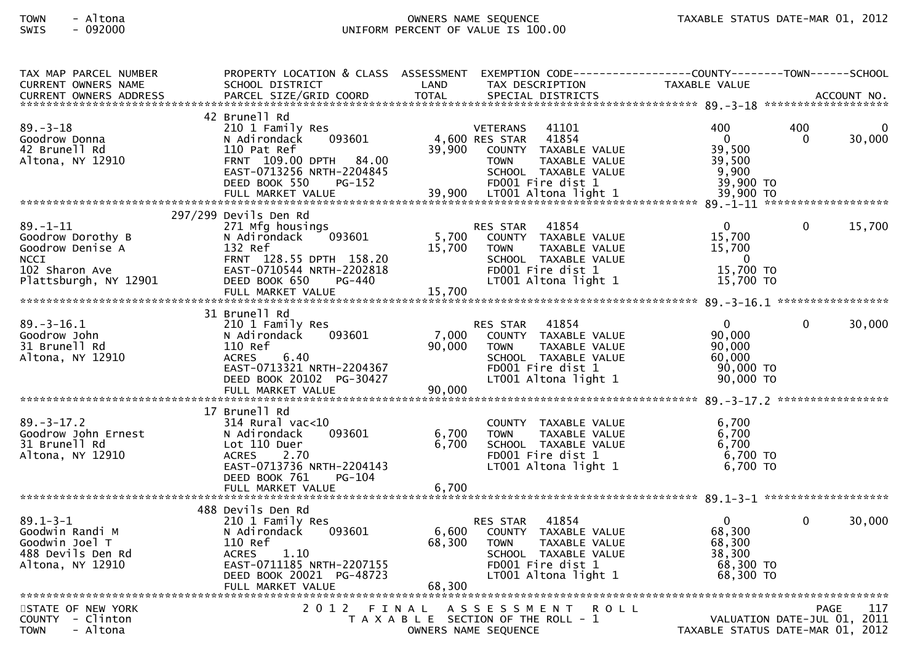## TOWN - Altona OWNERS NAME SEQUENCE TAXABLE STATUS DATE-MAR 01, 2012SWIS - 092000 UNIFORM PERCENT OF VALUE IS 100.00

| TAX MAP PARCEL NUMBER             | PROPERTY LOCATION & CLASS ASSESSMENT EXEMPTION CODE----------------COUNTY-------TOWN------SCHOOL |        |                                           |                      |                                  |                 |                    |
|-----------------------------------|--------------------------------------------------------------------------------------------------|--------|-------------------------------------------|----------------------|----------------------------------|-----------------|--------------------|
| <b>CURRENT OWNERS NAME</b>        | SCHOOL DISTRICT                                                                                  | LAND   | TAX DESCRIPTION                           |                      | <b>TAXABLE VALUE</b>             |                 |                    |
|                                   |                                                                                                  |        |                                           |                      |                                  |                 |                    |
|                                   | 42 Brunell Rd                                                                                    |        |                                           |                      |                                  |                 |                    |
| $89. - 3 - 18$<br>Goodrow Donna   | 210 1 Family Res<br>093601                                                                       |        | <b>VETERANS</b><br>4,600 RES STAR         | 41101<br>41854       | 400<br>$\Omega$                  | 400<br>$\Omega$ | $\Omega$<br>30,000 |
| 42 Brunell Rd                     | N Adirondack<br>110 Pat Ref                                                                      | 39,900 | COUNTY TAXABLE VALUE                      |                      | 39,500                           |                 |                    |
| Altona, NY 12910                  | FRNT 109.00 DPTH 84.00                                                                           |        | <b>TOWN</b>                               | TAXABLE VALUE        | 39,500                           |                 |                    |
|                                   | EAST-0713256 NRTH-2204845                                                                        |        | SCHOOL TAXABLE VALUE                      |                      | 9,900                            |                 |                    |
|                                   | DEED BOOK 550<br><b>PG-152</b>                                                                   |        | FD001 Fire dist 1                         |                      | 39,900 TO                        |                 |                    |
|                                   |                                                                                                  |        |                                           |                      |                                  |                 |                    |
|                                   | 297/299 Devils Den Rd                                                                            |        |                                           |                      |                                  |                 |                    |
| $89. - 1 - 11$                    | 271 Mfg housings                                                                                 |        | RES STAR                                  | 41854                | $\Omega$                         | $\Omega$        | 15,700             |
| Goodrow Dorothy B                 | 093601<br>N Adirondack                                                                           | 5,700  | COUNTY TAXABLE VALUE                      |                      | 15,700                           |                 |                    |
| Goodrow Denise A                  | 132 Ref                                                                                          | 15,700 | <b>TOWN</b>                               | TAXABLE VALUE        | 15,700                           |                 |                    |
| <b>NCCI</b><br>102 Sharon Ave     | FRNT 128.55 DPTH 158.20<br>EAST-0710544 NRTH-2202818                                             |        | SCHOOL TAXABLE VALUE<br>FD001 Fire dist 1 |                      | $\mathbf{0}$<br>15,700 TO        |                 |                    |
| Plattsburgh, NY 12901             | DEED BOOK 650<br>PG-440                                                                          |        | LT001 Altona light 1                      |                      | 15,700 TO                        |                 |                    |
|                                   |                                                                                                  |        |                                           |                      |                                  |                 |                    |
|                                   |                                                                                                  |        |                                           |                      |                                  |                 |                    |
|                                   | 31 Brunell Rd                                                                                    |        |                                           |                      |                                  |                 |                    |
| 89. – 3–16.1<br>Goodrow John      | 210 1 Family Res<br>093601<br>N Adirondack                                                       | 7,000  | <b>RES STAR</b><br>COUNTY TAXABLE VALUE   | 41854                | $\Omega$<br>90,000               | $\Omega$        | 30,000             |
| 31 Brunell Rd                     | 110 Ref                                                                                          | 90,000 | <b>TOWN</b>                               | TAXABLE VALUE        | 90,000                           |                 |                    |
| Altona, NY 12910                  | 6.40<br><b>ACRES</b>                                                                             |        | SCHOOL TAXABLE VALUE                      |                      | 60,000                           |                 |                    |
|                                   | EAST-0713321 NRTH-2204367                                                                        |        | FD001 Fire dist 1                         |                      | 90.000 TO                        |                 |                    |
|                                   | DEED BOOK 20102 PG-30427                                                                         |        | LT001 Altona light 1                      |                      | 90,000 TO                        |                 |                    |
|                                   | FULL MARKET VALUE                                                                                | 90,000 |                                           |                      |                                  |                 |                    |
|                                   | 17 Brunell Rd                                                                                    |        |                                           |                      |                                  |                 |                    |
| $89. - 3 - 17.2$                  | $314$ Rural vac< $10$                                                                            |        |                                           | COUNTY TAXABLE VALUE | 6,700                            |                 |                    |
| Goodrow John Ernest               | 093601<br>N Adirondack                                                                           | 6,700  | <b>TOWN</b>                               | TAXABLE VALUE        | 6,700                            |                 |                    |
| 31 Brunell Rd                     | Lot 110 Duer                                                                                     | 6,700  | SCHOOL TAXABLE VALUE                      |                      | 6,700                            |                 |                    |
| Altona, NY 12910                  | <b>ACRES</b><br>2.70<br>EAST-0713736 NRTH-2204143                                                |        | FD001 Fire dist 1<br>LT001 Altona light 1 |                      | 6,700 TO<br>6,700 TO             |                 |                    |
|                                   | DEED BOOK 761<br>PG-104                                                                          |        |                                           |                      |                                  |                 |                    |
|                                   |                                                                                                  |        |                                           |                      |                                  |                 |                    |
|                                   |                                                                                                  |        |                                           |                      |                                  |                 |                    |
|                                   | 488 Devils Den Rd                                                                                |        |                                           |                      | $\overline{0}$                   | $\Omega$        |                    |
| $89.1 - 3 - 1$<br>Goodwin Randi M | 210 1 Family Res<br>093601<br>N Adirondack                                                       | 6,600  | RES STAR<br>COUNTY TAXABLE VALUE          | 41854                | 68,300                           |                 | 30,000             |
| Goodwin Joel T                    | 110 Ref                                                                                          | 68,300 | <b>TOWN</b>                               | TAXABLE VALUE        | 68,300                           |                 |                    |
| 488 Devils Den Rd                 | 1.10<br><b>ACRES</b>                                                                             |        | SCHOOL TAXABLE VALUE                      |                      | 38,300                           |                 |                    |
| Altona, NY 12910                  | EAST-0711185 NRTH-2207155                                                                        |        | FD001 Fire dist 1                         |                      | 68,300 TO                        |                 |                    |
|                                   | DEED BOOK 20021 PG-48723                                                                         |        | LT001 Altona light 1                      |                      | 68,300 TO                        |                 |                    |
|                                   | FULL MARKET VALUE                                                                                | 68,300 |                                           |                      |                                  |                 |                    |
| STATE OF NEW YORK                 | 2012 FINAL ASSESSMENT                                                                            |        |                                           | <b>ROLL</b>          |                                  |                 | 117<br><b>PAGE</b> |
| COUNTY - Clinton                  |                                                                                                  |        | T A X A B L E SECTION OF THE ROLL - 1     |                      | VALUATION DATE-JUL 01, 2011      |                 |                    |
| <b>TOWN</b><br>- Altona           |                                                                                                  |        | OWNERS NAME SEQUENCE                      |                      | TAXABLE STATUS DATE-MAR 01, 2012 |                 |                    |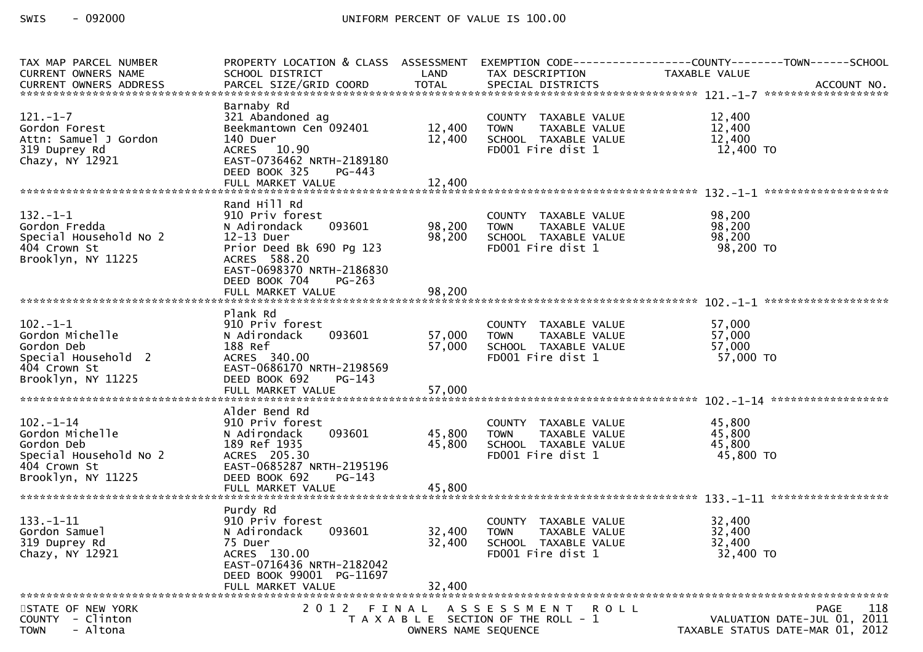| TAX MAP PARCEL NUMBER                  | PROPERTY LOCATION & CLASS ASSESSMENT          |                      |                                           | EXEMPTION CODE-----------------COUNTY-------TOWN------SCHOOL |
|----------------------------------------|-----------------------------------------------|----------------------|-------------------------------------------|--------------------------------------------------------------|
| CURRENT OWNERS NAME                    | SCHOOL DISTRICT                               | LAND                 | TAX DESCRIPTION                           | TAXABLE VALUE                                                |
|                                        |                                               |                      |                                           |                                                              |
|                                        | Barnaby Rd                                    |                      |                                           |                                                              |
| $121. - 1 - 7$                         | 321 Abandoned ag                              |                      | COUNTY TAXABLE VALUE                      | 12,400                                                       |
| Gordon Forest                          | Beekmantown Cen 092401                        | 12,400               | <b>TOWN</b><br>TAXABLE VALUE              | 12,400                                                       |
| Attn: Samuel J Gordon                  | 140 Duer                                      | 12,400               | SCHOOL TAXABLE VALUE                      | 12,400                                                       |
| 319 Duprey Rd                          | ACRES 10.90                                   |                      | FD001 Fire dist 1                         | 12,400 TO                                                    |
| Chazy, NY 12921                        | EAST-0736462 NRTH-2189180                     |                      |                                           |                                                              |
|                                        | DEED BOOK 325<br>PG-443                       |                      |                                           |                                                              |
|                                        |                                               |                      |                                           |                                                              |
|                                        |                                               |                      |                                           |                                                              |
|                                        | Rand Hill Rd                                  |                      |                                           |                                                              |
| $132. - 1 - 1$                         | 910 Priv forest                               |                      | COUNTY TAXABLE VALUE                      | 98,200                                                       |
| Gordon Fredda                          | 093601<br>N Adirondack                        | 98,200               | <b>TOWN</b><br>TAXABLE VALUE              | 98,200                                                       |
| Special Household No 2<br>404 Crown St | 12-13 Duer                                    | 98,200               | SCHOOL TAXABLE VALUE<br>FD001 Fire dist 1 | 98,200<br>98,200 TO                                          |
| Brooklyn, NY 11225                     | Prior Deed Bk 690 Pg 123<br>ACRES 588.20      |                      |                                           |                                                              |
|                                        | EAST-0698370 NRTH-2186830                     |                      |                                           |                                                              |
|                                        | DEED BOOK 704<br>$PG-263$                     |                      |                                           |                                                              |
|                                        |                                               |                      |                                           |                                                              |
|                                        |                                               |                      |                                           |                                                              |
|                                        | Plank Rd                                      |                      |                                           |                                                              |
| $102 - 1 - 1$                          | 910 Priv forest                               |                      | COUNTY TAXABLE VALUE                      | 57,000                                                       |
| Gordon Michelle                        | 093601<br>N Adirondack                        | 57,000               | TAXABLE VALUE<br><b>TOWN</b>              | 57,000                                                       |
| Gordon Deb                             | 188 Ref                                       | 57,000               | SCHOOL TAXABLE VALUE                      | 57,000                                                       |
| Special Household 2                    | ACRES 340.00                                  |                      | FD001 Fire dist 1                         | 57,000 TO                                                    |
| 404 Crown St                           | EAST-0686170 NRTH-2198569                     |                      |                                           |                                                              |
| Brooklyn, NY 11225                     | DEED BOOK 692<br>$PG-143$                     |                      |                                           |                                                              |
|                                        | FULL MARKET VALUE                             | 57,000               |                                           |                                                              |
|                                        |                                               |                      |                                           |                                                              |
| $102 - 1 - 14$                         | Alder Bend Rd<br>910 Priv forest              |                      | COUNTY TAXABLE VALUE                      | 45,800                                                       |
| Gordon Michelle                        | 093601<br>N Adirondack                        | 45,800               | TAXABLE VALUE<br><b>TOWN</b>              | 45,800                                                       |
| Gordon Deb                             | 189 Ref 1935                                  | 45,800               | SCHOOL TAXABLE VALUE                      | 45,800                                                       |
| Special Household No 2                 | ACRES 205.30                                  |                      | FD001 Fire dist 1                         | 45,800 TO                                                    |
| 404 Crown St                           | EAST-0685287 NRTH-2195196                     |                      |                                           |                                                              |
| Brooklyn, NY 11225                     | DEED BOOK 692<br>$PG-143$                     |                      |                                           |                                                              |
|                                        |                                               |                      |                                           |                                                              |
|                                        |                                               |                      |                                           |                                                              |
|                                        | Purdy Rd                                      |                      |                                           |                                                              |
| $133. - 1 - 11$                        | 910 Priv forest                               |                      | COUNTY TAXABLE VALUE                      | 32,400                                                       |
| Gordon Samuel                          | 093601<br>N Adirondack                        | 32,400               | <b>TOWN</b><br>TAXABLE VALUE              | 32,400                                                       |
| 319 Duprey Rd                          | 75 Duer                                       | 32,400               | SCHOOL TAXABLE VALUE                      | 32,400                                                       |
| Chazy, NY 12921                        | ACRES 130.00                                  |                      | FD001 Fire dist 1                         | 32,400 TO                                                    |
|                                        | EAST-0716436 NRTH-2182042                     |                      |                                           |                                                              |
|                                        | DEED BOOK 99001 PG-11697<br>FULL MARKET VALUE | 32,400               |                                           |                                                              |
|                                        |                                               |                      |                                           |                                                              |
| STATE OF NEW YORK                      |                                               |                      | 2012 FINAL ASSESSMENT ROLL                | 118<br><b>PAGE</b>                                           |
| <b>COUNTY</b><br>- Clinton             |                                               |                      | T A X A B L E SECTION OF THE ROLL - 1     | VALUATION DATE-JUL 01, 2011                                  |
| - Altona<br><b>TOWN</b>                |                                               | OWNERS NAME SEQUENCE |                                           | TAXABLE STATUS DATE-MAR 01, 2012                             |
|                                        |                                               |                      |                                           |                                                              |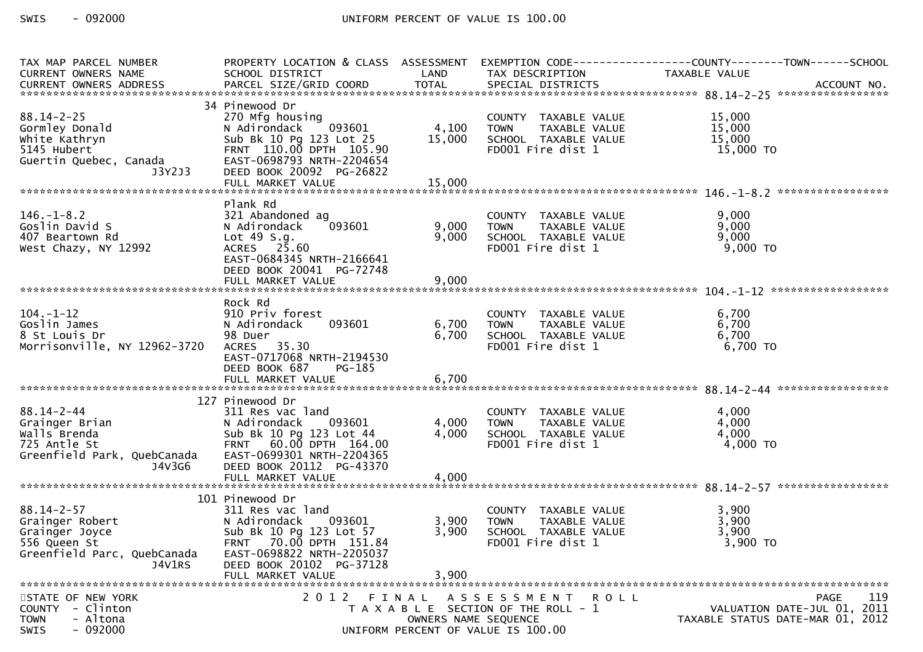| TAX MAP PARCEL NUMBER<br>CURRENT OWNERS NAME                                                                         | SCHOOL DISTRICT<br><b>Example 18 The LAND</b>                                                                                                                                                 |                      | TAX DESCRIPTION                                                                                                                   | PROPERTY LOCATION & CLASS ASSESSMENT EXEMPTION CODE----------------COUNTY-------TOWN------SCHOOL<br>TAXABLE VALUE |
|----------------------------------------------------------------------------------------------------------------------|-----------------------------------------------------------------------------------------------------------------------------------------------------------------------------------------------|----------------------|-----------------------------------------------------------------------------------------------------------------------------------|-------------------------------------------------------------------------------------------------------------------|
|                                                                                                                      |                                                                                                                                                                                               |                      |                                                                                                                                   |                                                                                                                   |
| $88.14 - 2 - 25$<br>Gormley Donald<br>White Kathryn<br>5145 Hubert<br>سير السواد<br>Guertin Quebec, Canada<br>J3Y2J3 | 34 Pinewood Dr<br>270 Mfg housing<br>N Adirondack 093601<br>Sub Bk 10 Pg 123 Lot 25<br>FRNT 110.00 DPTH 105.90<br>EAST-0698793 NRTH-2204654<br>DEED BOOK 20092 PG-26822                       | 4,100 TOWN<br>15,000 | COUNTY TAXABLE VALUE<br>TAXABLE VALUE<br>SCHOOL TAXABLE VALUE<br>FD001 Fire dist 1                                                | 15,000<br>15,000<br>15,000<br>15,000 TO                                                                           |
|                                                                                                                      |                                                                                                                                                                                               |                      |                                                                                                                                   |                                                                                                                   |
| $146. - 1 - 8.2$<br>Goslin David S<br>407 Beartown Rd<br>West Chazy, NY 12992                                        | Plank Rd<br>321 Abandoned ag<br>093601<br>N Adirondack<br>Lot 49 S.g.<br>ACRES 25.60<br>EAST-0684345 NRTH-2166641<br>DEED BOOK 20041 PG-72748                                                 | 9,000                | COUNTY TAXABLE VALUE<br>COUNTY TAXABLE VALUE<br>TOWN   TAXABLE VALUE<br>SCHOOL  TAXABLE VALUE<br>FDOO1 Fire dist 1<br>9,000 TOWN  | 9,000<br>9,000<br>9,000<br>9,000 TO                                                                               |
|                                                                                                                      | FULL MARKET VALUE                                                                                                                                                                             | 9,000                |                                                                                                                                   |                                                                                                                   |
| $104. - 1 - 12$<br>Goslin James<br>8 St Louis Dr<br>Morrisonville, NY 12962-3720                                     | Rock Rd<br>910 Priv forest<br>093601<br>N Adirondack<br>98 Duer<br>ACRES 35.30<br>EAST-0717068 NRTH-2194530<br>DEED BOOK 687<br>PG-185                                                        | 6,700                | COUNTY TAXABLE VALUE<br>TAXABLE VALUE<br>6,700 TOWN<br>SCHOOL TAXABLE VALUE<br>FD001 Fire dist 1                                  | 6,700<br>6,700<br>6,700<br>6,700 TO                                                                               |
|                                                                                                                      |                                                                                                                                                                                               |                      |                                                                                                                                   |                                                                                                                   |
| $88.14 - 2 - 44$<br>Grainger Brian<br>Walls Brenda<br>725 Antle St<br>Greenfield Park, QuebCanada<br>J4V3G6          | 127 Pinewood Dr<br>311 Res vac land<br>N Adirondack 093601<br>Sub Bk 10 Pg 123 Lot 44<br>FRNT 60.00 DPTH 164.00<br>EAST-0699301 NRTH-2204365<br>DEED BOOK 20112 PG-43370<br>FULL MARKET VALUE | 4,000<br>4,000       | COUNTE TAXABLE VALUE<br>4,000 TOWN TAXABLE VALUE<br>4,000 SCHOOL TAXABLE WALLE<br>SCHOOL TAXABLE VALUE<br>FD001 Fire dist 1       | 4,000<br>4,000<br>4,000<br>4,000 TO                                                                               |
|                                                                                                                      | 101 Pinewood Dr                                                                                                                                                                               |                      |                                                                                                                                   |                                                                                                                   |
| $88.14 - 2 - 57$<br>Grainger Robert<br>Grainger Joyce<br>556 Queen St<br>Greenfield Parc, QuebCanada<br>J4V1RS       | 311 Res vac land<br>093601<br>N Adirondack<br>Sub Bk 10 Pg 123 Lot 57<br>FRNT 70.00 DPTH 151.84<br>EAST-0698822 NRTH-2205037<br>DEED BOOK 20102 PG-37128<br>FULL MARKET VALUE                 | 3,900<br>3,900       | COUNTY TAXABLE VALUE<br>3,900 TOWN<br>TAXABLE VALUE<br>SCHOOL TAXABLE VALUE<br>FD001 Fire dist 1                                  | 3,900<br>3,900<br>3,900<br>3,900 TO                                                                               |
|                                                                                                                      |                                                                                                                                                                                               |                      |                                                                                                                                   |                                                                                                                   |
| STATE OF NEW YORK<br>COUNTY - Clinton<br><b>TOWN</b><br>- Altona<br>$-092000$<br>SWIS                                |                                                                                                                                                                                               |                      | 2012 FINAL ASSESSMENT ROLL<br>T A X A B L E SECTION OF THE ROLL - 1<br>OWNERS NAME SEQUENCE<br>UNIFORM PERCENT OF VALUE IS 100.00 | 119<br><b>PAGE</b><br>VALUATION DATE-JUL 01, 2011<br>TAXABLE STATUS DATE-MAR 01, 2012                             |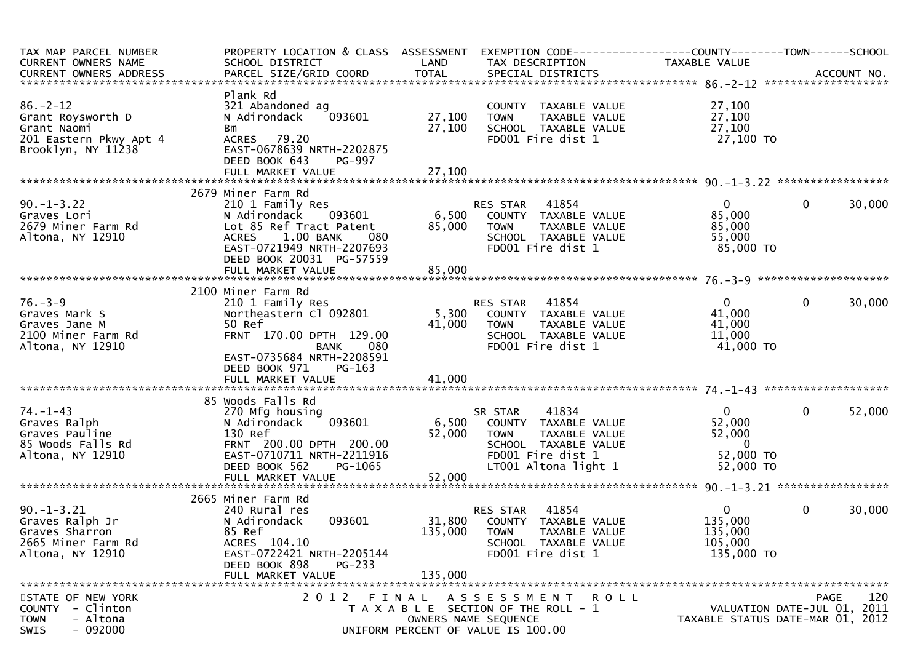| TAX MAP PARCEL NUMBER<br>CURRENT OWNERS NAME                                                       | PROPERTY LOCATION & CLASS ASSESSMENT EXEMPTION CODE----------------COUNTY-------TOWN------SCHOOL<br>SCHOOL DISTRICT                                                    | LAND                      | TAX DESCRIPTION                                                                                                                               | TAXABLE VALUE                                                                  |                                                                 |
|----------------------------------------------------------------------------------------------------|------------------------------------------------------------------------------------------------------------------------------------------------------------------------|---------------------------|-----------------------------------------------------------------------------------------------------------------------------------------------|--------------------------------------------------------------------------------|-----------------------------------------------------------------|
|                                                                                                    |                                                                                                                                                                        |                           |                                                                                                                                               |                                                                                |                                                                 |
| $86. - 2 - 12$<br>Grant Roysworth D<br>Grant Naomi<br>201 Eastern Pkwy Apt 4<br>Brooklyn, NY 11238 | Plank Rd<br>321 Abandoned ag<br>093601<br>N Adirondack<br>Bm<br>ACRES 79.20<br>EAST-0678639 NRTH-2202875<br>DEED BOOK 643<br><b>PG-997</b>                             | 27,100<br>27,100          | COUNTY TAXABLE VALUE<br>TAXABLE VALUE<br><b>TOWN</b><br>SCHOOL TAXABLE VALUE<br>FD001 Fire dist 1                                             | 27,100<br>27,100<br>27,100<br>27,100 TO                                        |                                                                 |
|                                                                                                    |                                                                                                                                                                        |                           |                                                                                                                                               |                                                                                |                                                                 |
|                                                                                                    | 2679 Miner Farm Rd                                                                                                                                                     |                           |                                                                                                                                               |                                                                                |                                                                 |
| $90. -1 - 3.22$<br>Graves Lori<br>2679 Miner Farm Rd<br>Altona, NY 12910                           | 210 1 Family Res<br>N Adirondack 093601<br>Lot 85 Ref Tract Patent<br>1.00 BANK<br><b>ACRES</b><br>- 080<br>EAST-0721949 NRTH-2207693<br>DEED BOOK 20031 PG-57559      | 85,000                    | RES STAR 41854<br>TAXABLE VALUE<br><b>TOWN</b><br>SCHOOL TAXABLE VALUE<br>FD001 Fire dist 1                                                   | $\mathbf{0}$<br>85,000<br>85,000<br>55,000<br>85,000 TO                        | $\mathbf{0}$<br>30,000                                          |
|                                                                                                    |                                                                                                                                                                        |                           |                                                                                                                                               |                                                                                |                                                                 |
|                                                                                                    |                                                                                                                                                                        |                           |                                                                                                                                               |                                                                                |                                                                 |
| $76. - 3 - 9$<br>Graves Mark S<br>Graves Jane M<br>2100 Miner Farm Rd<br>Altona, NY 12910          | 2100 Miner Farm Rd<br>210 1 Family Res<br>Northeastern Cl 092801<br>50 Ref<br>FRNT 170.00 DPTH 129.00<br>080<br>BANK                                                   | 41,000                    | RES STAR 41854<br>5,300 COUNTY TAXABLE VALUE<br><b>TOWN</b><br>TAXABLE VALUE<br>SCHOOL TAXABLE VALUE<br>FD001 Fire dist 1                     | $\mathbf{0}$<br>41,000<br>41,000<br>11,000<br>41,000 TO                        | $\mathbf 0$<br>30,000                                           |
|                                                                                                    | EAST-0735684 NRTH-2208591<br>DEED BOOK 971<br>PG-163                                                                                                                   |                           |                                                                                                                                               |                                                                                |                                                                 |
|                                                                                                    | 85 Woods Falls Rd                                                                                                                                                      |                           |                                                                                                                                               |                                                                                |                                                                 |
| $74. - 1 - 43$<br>Graves Ralph<br>Graves Pauline<br>85 Woods Falls Rd<br>Altona, NY 12910          | 270 Mfg housing<br>093601<br>N Adirondack<br>130 Ref<br>FRNT 200.00 DPTH 200.00<br>EAST-0710711 NRTH-2211916<br>DEED BOOK 562<br>PG-1065<br>FULL MARKET VALUE          | 6,500<br>52,000<br>52,000 | 41834<br>SR STAR<br>COUNTY TAXABLE VALUE<br><b>TOWN</b><br>TAXABLE VALUE<br>SCHOOL TAXABLE VALUE<br>FD001 Fire dist 1<br>LT001 Altona light 1 | $\overline{0}$<br>52,000<br>52,000<br>$\overline{0}$<br>52,000 TO<br>52,000 TO | 52,000<br>$\mathbf{0}$                                          |
|                                                                                                    |                                                                                                                                                                        |                           |                                                                                                                                               |                                                                                |                                                                 |
| $90. -1 - 3.21$<br>Graves Ralph Jr<br>Graves Sharron<br>2665 Miner Farm Rd<br>Altona, NY 12910     | 2665 Miner Farm Rd<br>240 Rural res<br>093601<br>N Adirondack<br>85 Ref<br>ACRES 104.10<br>EAST-0722421 NRTH-2205144<br>DEED BOOK 898<br>$PG-233$<br>FULL MARKET VALUE | 135,000<br>135,000        | <b>RES STAR 41854</b><br>31,800 COUNTY TAXABLE VALUE<br><b>TOWN</b><br>TAXABLE VALUE<br>SCHOOL TAXABLE VALUE<br>FD001 Fire dist 1             | $\overline{0}$<br>135,000<br>135,000<br>105,000<br>135,000 TO                  | $\mathbf{0}$<br>30,000                                          |
| STATE OF NEW YORK                                                                                  | 2012 FINAL                                                                                                                                                             |                           | A S S E S S M E N T R O L L                                                                                                                   |                                                                                | 120<br><b>PAGE</b>                                              |
| COUNTY<br>- Clinton<br>- Altona<br><b>TOWN</b><br>$-092000$<br>SWIS                                |                                                                                                                                                                        |                           | T A X A B L E SECTION OF THE ROLL - 1<br>OWNERS NAME SEQUENCE<br>UNIFORM PERCENT OF VALUE IS 100.00                                           |                                                                                | VALUATION DATE-JUL 01, 2011<br>TAXABLE STATUS DATE-MAR 01, 2012 |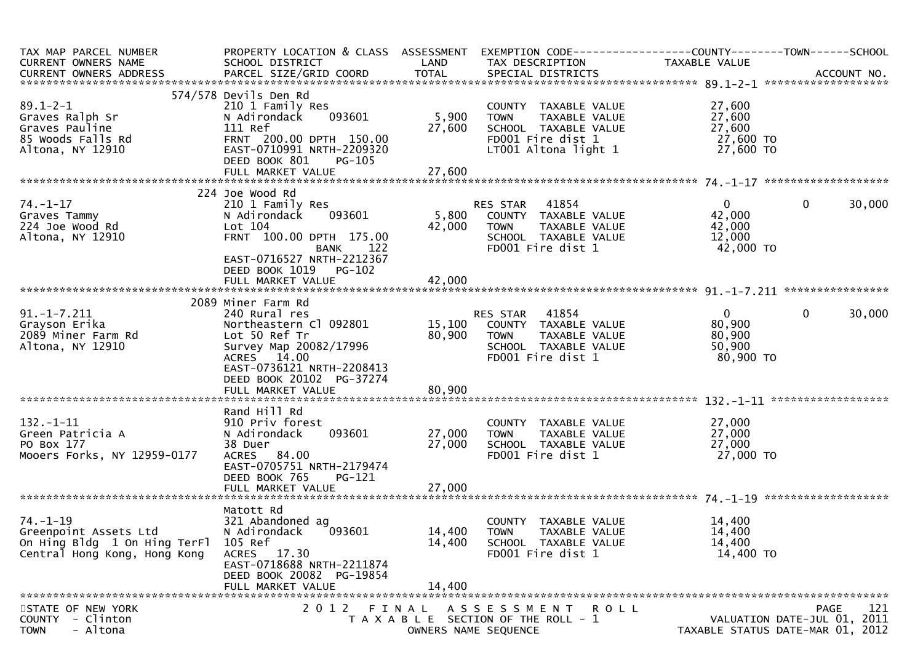| TAX MAP PARCEL NUMBER<br>CURRENT OWNERS NAME                                                            | PROPERTY LOCATION & CLASS ASSESSMENT EXEMPTION CODE----------------COUNTY-------TOWN------SCHOOL<br>SCHOOL DISTRICT                                                      | LAND                       | TAX DESCRIPTION                                                                                                              | TAXABLE VALUE                                             |                                                                 |
|---------------------------------------------------------------------------------------------------------|--------------------------------------------------------------------------------------------------------------------------------------------------------------------------|----------------------------|------------------------------------------------------------------------------------------------------------------------------|-----------------------------------------------------------|-----------------------------------------------------------------|
|                                                                                                         |                                                                                                                                                                          |                            |                                                                                                                              |                                                           |                                                                 |
| $89.1 - 2 - 1$<br>Graves Ralph Sr<br>Graves Pauline<br>85 Woods Falls Rd<br>Altona, NY 12910            | 574/578 Devils Den Rd<br>210 1 Family Res<br>093601<br>N Adirondack<br>111 Ref<br>FRNT 200.00 DPTH 150.00<br>EAST-0710991 NRTH-2209320<br>DEED BOOK 801<br><b>PG-105</b> | 5,900<br>27,600            | COUNTY TAXABLE VALUE<br><b>TOWN</b><br>TAXABLE VALUE<br>SCHOOL TAXABLE VALUE<br>FD001 Fire dist 1<br>LT001 Altona light 1    | 27,600<br>27,600<br>27,600<br>27,600 TO<br>27,600 TO      |                                                                 |
|                                                                                                         |                                                                                                                                                                          |                            |                                                                                                                              |                                                           |                                                                 |
| $74. - 1 - 17$<br>Graves Tammy<br>224 Joe Wood Rd<br>Altona, NY 12910                                   | 224 Joe Wood Rd<br>210 1 Family Res<br>093601<br>N Adirondack<br>Lot 104<br>FRNT 100.00 DPTH 175.00<br>BANK 122<br>EAST-0716527 NRTH-2212367<br>DEED BOOK 1019<br>PG-102 | 42,000                     | RES STAR<br>41854<br>5,800 COUNTY TAXABLE VALUE<br>TAXABLE VALUE<br><b>TOWN</b><br>SCHOOL TAXABLE VALUE<br>FD001 Fire dist 1 | $\mathbf{0}$<br>42,000<br>42,000<br>12,000<br>42,000 TO   | 30,000<br>0                                                     |
|                                                                                                         | FULL MARKET VALUE                                                                                                                                                        | 42,000                     |                                                                                                                              |                                                           |                                                                 |
|                                                                                                         |                                                                                                                                                                          |                            |                                                                                                                              |                                                           |                                                                 |
|                                                                                                         | 2089 Miner Farm Rd                                                                                                                                                       |                            |                                                                                                                              |                                                           |                                                                 |
| $91. -1 - 7.211$<br>Grayson Erika<br>2089 Miner Farm Rd<br>Altona, NY 12910                             | 240 Rural res<br>Northeastern Cl 092801<br>Lot 50 Ref Tr<br>Survey Map 20082/17996<br>ACRES 14.00<br>EAST-0736121 NRTH-2208413<br>DEED BOOK 20102 PG-37274               | 80,900                     | RES STAR 41854<br>15,100 COUNTY TAXABLE VALUE<br><b>TOWN</b><br>TAXABLE VALUE<br>SCHOOL TAXABLE VALUE<br>FD001 Fire dist 1   | $\overline{0}$<br>80,900<br>80,900<br>50,900<br>80,900 TO | $\mathbf{0}$<br>30,000                                          |
|                                                                                                         | FULL MARKET VALUE                                                                                                                                                        | 80,900                     |                                                                                                                              |                                                           |                                                                 |
| $132. - 1 - 11$<br>Green Patricia A<br>PO Box 177<br>Mooers Forks, NY 12959-0177                        | Rand Hill Rd<br>910 Priv forest<br>N Adirondack<br>093601<br>38 Duer<br>ACRES 84.00<br>EAST-0705751 NRTH-2179474<br>DEED BOOK 765<br>$PG-121$                            | 27,000<br>27,000           | COUNTY TAXABLE VALUE<br>TAXABLE VALUE<br><b>TOWN</b><br>SCHOOL TAXABLE VALUE<br>FD001 Fire dist 1                            | 27,000<br>27,000<br>27,000<br>27,000 TO                   |                                                                 |
|                                                                                                         |                                                                                                                                                                          |                            |                                                                                                                              |                                                           |                                                                 |
| $74. - 1 - 19$<br>Greenpoint Assets Ltd<br>On Hing Bldg 1 On Hing TerFl<br>Central Hong Kong, Hong Kong | Matott Rd<br>321 Abandoned ag<br>N Adirondack<br>093601<br>105 Ref<br>ACRES 17.30<br>EAST-0718688 NRTH-2211874<br>DEED BOOK 20082 PG-19854<br>FULL MARKET VALUE          | 14,400<br>14,400<br>14,400 | COUNTY TAXABLE VALUE<br><b>TOWN</b><br>TAXABLE VALUE<br>SCHOOL TAXABLE VALUE<br>FD001 Fire dist 1                            | 14,400<br>14,400<br>14,400<br>14,400 TO                   |                                                                 |
| STATE OF NEW YORK                                                                                       | 2 0 1 2                                                                                                                                                                  |                            | FINAL ASSESSMENT<br><b>ROLL</b>                                                                                              |                                                           | 121<br><b>PAGE</b>                                              |
| - Clinton<br><b>COUNTY</b><br>- Altona<br><b>TOWN</b>                                                   |                                                                                                                                                                          |                            | T A X A B L E SECTION OF THE ROLL - 1<br>OWNERS NAME SEQUENCE                                                                |                                                           | VALUATION DATE-JUL 01, 2011<br>TAXABLE STATUS DATE-MAR 01, 2012 |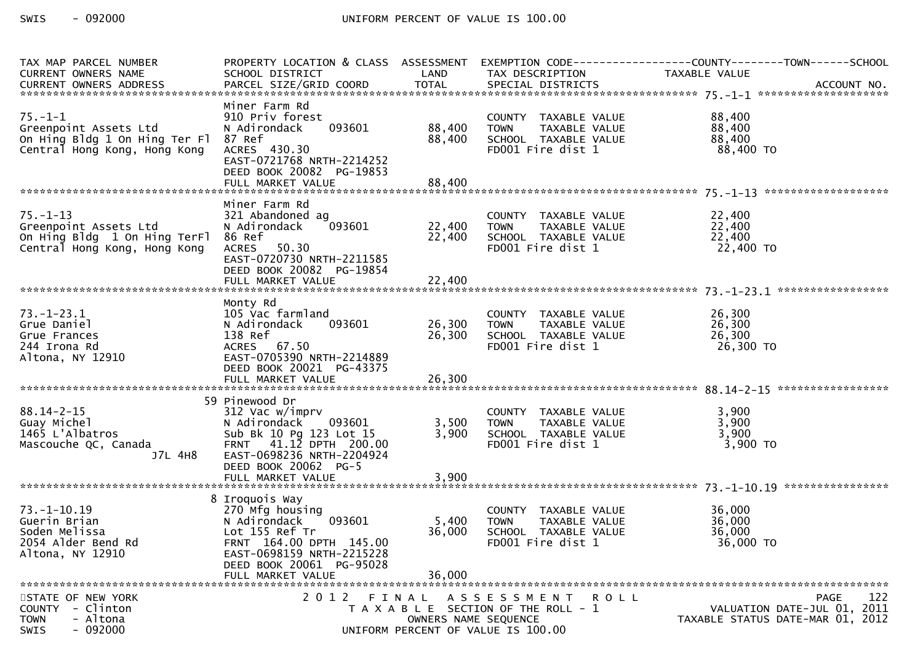| TAX MAP PARCEL NUMBER<br>CURRENT OWNERS NAME                                                                   | PROPERTY LOCATION & CLASS ASSESSMENT EXEMPTION CODE----------------COUNTY-------TOWN------SCHOOL<br>SCHOOL DISTRICT                                                                    | LAND                      | TAX DESCRIPTION                                                                                                                   | TAXABLE VALUE                           |                                                                                       |
|----------------------------------------------------------------------------------------------------------------|----------------------------------------------------------------------------------------------------------------------------------------------------------------------------------------|---------------------------|-----------------------------------------------------------------------------------------------------------------------------------|-----------------------------------------|---------------------------------------------------------------------------------------|
| $75. - 1 - 1$<br>Greenpoint Assets Ltd<br>On Hing Bldg 1 On Hing Ter Fl 87 Ref<br>Central Hong Kong, Hong Kong | Miner Farm Rd<br>910 Priv forest<br>093601<br>N Adirondack<br>ACRES 430.30<br>EAST-0721768 NRTH-2214252<br>DEED BOOK 20082 PG-19853                                                    | 88,400<br>88,400          | COUNTY TAXABLE VALUE<br>TAXABLE VALUE<br>TOWN<br>SCHOOL TAXABLE VALUE<br>FD001 Fire dist 1                                        | 88,400<br>88,400<br>88,400<br>88,400 TO |                                                                                       |
|                                                                                                                | Miner Farm Rd                                                                                                                                                                          |                           |                                                                                                                                   |                                         |                                                                                       |
| $75. - 1 - 13$<br>Greenpoint Assets Ltd<br>On Hing Bldg 1 On Hing TerFl<br>Central Hong Kong, Hong Kong        | 321 Abandoned ag<br>093601<br>N Adirondack<br>86 Ref<br><b>ACRES</b><br>50.30<br>EAST-0720730 NRTH-2211585<br>DEED BOOK 20082 PG-19854                                                 | 22,400 TOWN<br>22,400     | COUNTY TAXABLE VALUE<br>COUNTY TAXABLE VALUE<br>TOWN TAXABLE VALUE<br>SCHOOL TAXABLE VALUE<br>FDOO1 Fire dist 1                   | 22,400<br>22,400<br>22,400<br>22,400 TO |                                                                                       |
|                                                                                                                | FULL MARKET VALUE                                                                                                                                                                      | 22,400                    |                                                                                                                                   |                                         |                                                                                       |
| $73. - 1 - 23.1$<br>Grue Daniel<br>Grue Frances<br>244 Irona Rd<br>Altona, NY 12910                            | Monty Rd<br>105 Vac farmland<br>093601<br>N Adirondack<br>138 Ref<br>ACRES 67.50<br>EAST-0705390 NRTH-2214889<br>DEED BOOK 20021 PG-43375                                              | 26,300 TOWN<br>26,300     | COUNTY TAXABLE VALUE<br>TAXABLE VALUE<br>SCHOOL TAXABLE VALUE<br>FD001 Fire dist 1                                                | 26,300<br>26,300<br>26,300<br>26,300 TO |                                                                                       |
|                                                                                                                | 59 Pinewood Dr                                                                                                                                                                         |                           |                                                                                                                                   |                                         |                                                                                       |
| $88.14 - 2 - 15$<br>Guay Michel<br>1465 L'Albatros<br>Mascouche QC, Canada<br>J7L 4H8                          | 312 Vac w/imprv<br>N Adirondack 093601<br>Sub Bk 10 Pg 123 Lot 15<br>FRNT 41.12 DPTH 200.00<br>EAST-0698236 NRTH-2204924<br>DEED BOOK 20062 PG-5<br>FULL MARKET VALUE                  | 3,500<br>3,900<br>3,900   | COUNTY TAXABLE VALUE<br>WALUE VALUE<br>TAXABLE VALUE<br>TAXABLE VALUE<br><b>TOWN</b><br>SCHOOL TAXABLE VALUE<br>FD001 Fire dist 1 | 3,900<br>3,900<br>3,900<br>$3,900$ TO   |                                                                                       |
|                                                                                                                |                                                                                                                                                                                        |                           |                                                                                                                                   |                                         |                                                                                       |
| $73. - 1 - 10.19$<br>Guerin Brian<br>Soden Melissa<br>2054 Alder Bend Rd<br>Altona, NY 12910                   | 8 Iroquois Way<br>270 Mfg housing<br>093601<br>N Adirondack<br>Lot 155 Ref Tr<br>FRNT 164.00 DPTH 145.00<br>EAST-0698159 NRTH-2215228<br>DEED BOOK 20061 PG-95028<br>FULL MARKET VALUE | 5,400<br>36,000<br>36,000 | COUNTY TAXABLE VALUE<br>TAXABLE VALUE<br>TOWN<br>SCHOOL TAXABLE VALUE<br>FD001 Fire dist 1                                        | 36,000<br>36,000<br>36,000<br>36,000 TO |                                                                                       |
| STATE OF NEW YORK<br>COUNTY - Clinton<br><b>TOWN</b><br>- Altona<br>$-092000$<br>SWIS                          |                                                                                                                                                                                        |                           | 2012 FINAL ASSESSMENT ROLL<br>T A X A B L E SECTION OF THE ROLL - 1<br>OWNERS NAME SEQUENCE<br>UNIFORM PERCENT OF VALUE IS 100.00 |                                         | 122<br><b>PAGE</b><br>VALUATION DATE-JUL 01, 2011<br>TAXABLE STATUS DATE-MAR 01, 2012 |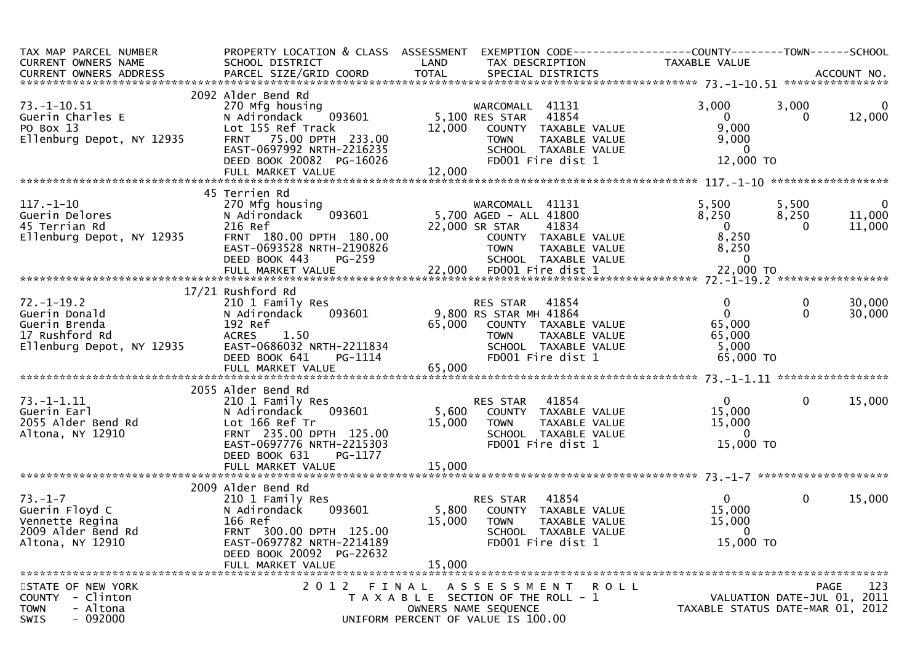| TAX MAP PARCEL NUMBER<br>CURRENT OWNERS NAME                                                                                                | PROPERTY LOCATION & CLASS ASSESSMENT<br>SCHOOL DISTRICT                                                                                                                              | LAND                      | EXEMPTION CODE------------------COUNTY--------TOWN------SCHOOL<br>TAX DESCRIPTION                                                                                                           | TAXABLE VALUE                                                                  |                         |                                                   |
|---------------------------------------------------------------------------------------------------------------------------------------------|--------------------------------------------------------------------------------------------------------------------------------------------------------------------------------------|---------------------------|---------------------------------------------------------------------------------------------------------------------------------------------------------------------------------------------|--------------------------------------------------------------------------------|-------------------------|---------------------------------------------------|
| $73. - 1 - 10.51$<br>Guerin Charles E<br>PO Box 13<br>Ellenburg Depot, NY 12935                                                             | 2092 Alder Bend Rd<br>270 Mfg housing<br>N Adirondack 093601<br>Lot 155 Ref Track<br>FRNT 75.00 DPTH 233.00<br>EAST-0697992 NRTH-2216235                                             | 12,000                    | WARCOMALL 41131<br>5,100 RES STAR<br>41854<br>COUNTY TAXABLE VALUE<br><b>TOWN</b><br>TAXABLE VALUE<br>SCHOOL TAXABLE VALUE                                                                  | 3,000<br>$\overline{0}$<br>9,000<br>9,000<br>$\Omega$                          | 3,000<br>0              | 0<br>12,000                                       |
|                                                                                                                                             | DEED BOOK 20082 PG-16026                                                                                                                                                             | 12,000                    | FD001 Fire dist 1                                                                                                                                                                           | 12,000 TO                                                                      |                         |                                                   |
| $117. - 1 - 10$<br>Guerin Delores<br>45 Terrian Rd<br>Ellenburg Depot, NY 12935                                                             | 45 Terrien Rd<br>270 Mfg housing<br>N Adirondack<br>216 Ref<br>FRNT 180.00 DPTH 180.00<br>EAST-0693528 NRTH-2190826<br>DEED BOOK 443<br><b>PG-259</b>                                |                           | WARCOMALL 41131<br>WARCOMALL 41131<br>093601 - 5,700 AGED - ALL 41800<br>22,000 SR STAR<br>41834<br>COUNTY TAXABLE VALUE<br>TOWN TAXABLE VALUE<br>SCHOOL TAXABLE VALUE<br>FDOO1 Fire dist 1 | 5,500<br>8,250<br>$\overline{0}$<br>8,250<br>8,250<br>$\overline{\phantom{0}}$ | 5,500<br>8,250<br>0     | $\overline{\phantom{0}}$<br>11,000<br>11,000      |
| $1d$<br>and<br>d Rd<br>menot. NY 12935<br>$72. - 1 - 19.2$<br>Guerin Donald<br>Guerin Brenda<br>17 Rushford Rd<br>Ellenburg Depot, NY 12935 | 17/21 Rushford Rd<br>210 1 Family Res<br>093601<br>N Adirondack<br>192 Ref<br>ACRES 1.50<br>EAST-0686032 NRTH-2211834<br>PG-1114<br>DEED BOOK 641                                    |                           | RES STAR 41854<br>9,800 RS STAR MH 41864<br>65,000 COUNTY TAXABLE VALUE<br><b>TOWN</b><br>TAXABLE VALUE<br>SCHOOL TAXABLE VALUE<br>FD001 Fire dist 1                                        | $\mathbf 0$<br>$\mathbf{0}$<br>65,000<br>65,000<br>5,000<br>65,000 TO          | $\mathbf 0$<br>$\Omega$ | 30,000<br>30,000                                  |
| $73. - 1 - 1.11$<br>Guerin Earl<br>2055 Alder Bend Rd<br>Altona, NY 12910                                                                   | 2055 Alder Bend Rd<br>210 1 Family Res<br>093601<br>N Adirondack<br>Lot 166 Ref Tr<br>FRNT 235.00 DPTH 125.00<br>EAST-0697776 NRTH-2215303<br>DEED BOOK 631<br>PG-1177               | 15,000                    | RES STAR 41854<br>5,600 COUNTY TAXABLE VALUE<br><b>TOWN</b><br>TAXABLE VALUE<br>SCHOOL TAXABLE VALUE<br>FD001 Fire dist 1                                                                   | $0 \qquad \qquad$<br>15,000<br>15,000<br>$\overline{0}$<br>15,000 TO           | $\mathbf 0$             | 15,000                                            |
| $73. - 1 - 7$<br>Guerin Floyd C<br>Vennette Regina<br>2009 Alder Bend Rd<br>Altona, NY 12910                                                | 2009 Alder Bend Rd<br>210 1 Family Res<br>N Adirondack<br>093601<br>166 Ref<br>FRNT 300.00 DPTH 125.00<br>EAST-0697782 NRTH-2214189<br>DEED BOOK 20092 PG-22632<br>FULL MARKET VALUE | 5,800<br>15,000<br>15,000 | 41854<br>RES STAR<br>COUNTY TAXABLE VALUE<br><b>TOWN</b><br>TAXABLE VALUE<br>SCHOOL TAXABLE VALUE<br>FD001 Fire dist 1                                                                      | $\mathbf{0}$<br>15,000<br>15,000<br>$\mathbf{0}$<br>15,000 TO                  | $\mathbf 0$             | 15,000                                            |
| STATE OF NEW YORK<br>COUNTY - Clinton<br><b>TOWN</b><br>- Altona<br>$-092000$<br>SWIS                                                       |                                                                                                                                                                                      |                           | 2012 FINAL ASSESSMENT ROLL<br>T A X A B L E SECTION OF THE ROLL - 1<br>OWNERS NAME SEQUENCE<br>UNIFORM PERCENT OF VALUE IS 100.00                                                           | TAXABLE STATUS DATE-MAR 01, 2012                                               |                         | 123<br><b>PAGE</b><br>VALUATION DATE-JUL 01, 2011 |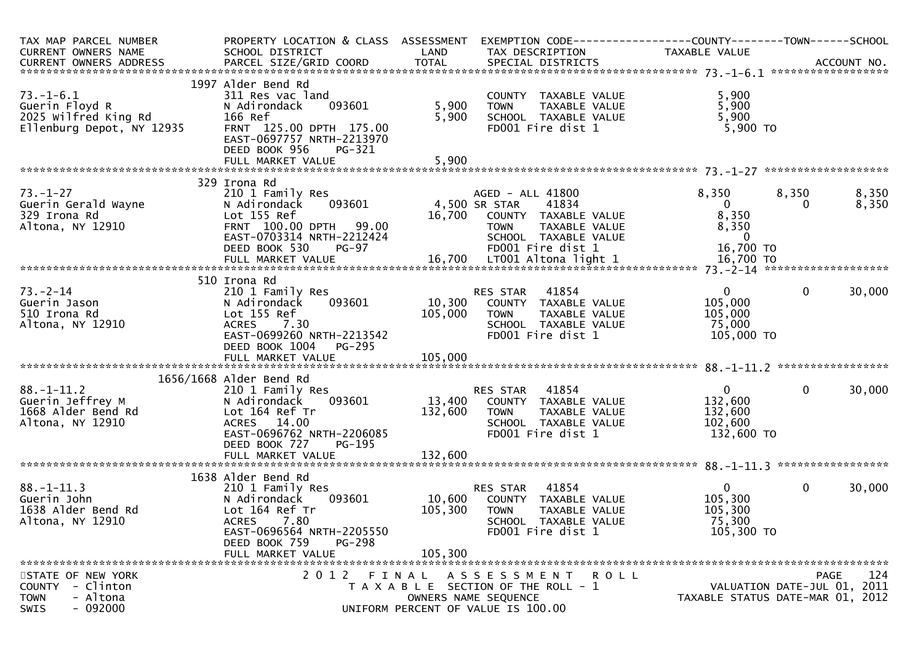| TAX MAP PARCEL NUMBER                  | PROPERTY LOCATION & CLASS ASSESSMENT              |               | EXEMPTION CODE------------------COUNTY--------TOWN------SCHOOL | TAXABLE VALUE           |                                  |
|----------------------------------------|---------------------------------------------------|---------------|----------------------------------------------------------------|-------------------------|----------------------------------|
| CURRENT OWNERS NAME                    | SCHOOL DISTRICT                                   | LAND          | TAX DESCRIPTION                                                |                         |                                  |
|                                        |                                                   |               |                                                                |                         |                                  |
|                                        | 1997 Alder Bend Rd                                |               |                                                                |                         |                                  |
| $73. - 1 - 6.1$                        | 311 Res vac land                                  |               | COUNTY TAXABLE VALUE                                           | 5,900                   |                                  |
| Guerin Floyd R                         | 093601<br>N Adirondack                            | 5,900         | TAXABLE VALUE<br><b>TOWN</b>                                   | 5,900                   |                                  |
| 2025 Wilfred King Rd                   | 166 Ref                                           | 5,900         | SCHOOL TAXABLE VALUE                                           | 5,900                   |                                  |
| Ellenburg Depot, NY 12935              | FRNT 125.00 DPTH 175.00                           |               | FD001 Fire dist 1                                              | $5,900$ TO              |                                  |
|                                        | EAST-0697757 NRTH-2213970                         |               |                                                                |                         |                                  |
|                                        | DEED BOOK 956<br>PG-321                           |               |                                                                |                         |                                  |
|                                        |                                                   |               |                                                                |                         |                                  |
|                                        | 329 Irona Rd                                      |               |                                                                |                         |                                  |
| $73. - 1 - 27$                         | 210 1 Family Res                                  |               | AGED - ALL 41800                                               | 8,350                   | 8,350<br>8,350                   |
| Guerin Gerald Wayne                    | 093601<br>N Adirondack                            | 4,500 SR STAR | 41834                                                          | $\mathbf{0}$            | 8,350<br>$\Omega$                |
| 329 Irona Rd                           | Lot 155 Ref                                       | 16,700        | COUNTY TAXABLE VALUE                                           | 8,350                   |                                  |
| Altona, NY 12910                       | FRNT 100.00 DPTH 99.00                            |               | <b>TOWN</b><br>TAXABLE VALUE                                   | 8,350                   |                                  |
|                                        | EAST-0703314 NRTH-2212424                         |               | SCHOOL TAXABLE VALUE                                           | $\overline{\mathbf{0}}$ |                                  |
|                                        | DEED BOOK 530<br><b>PG-97</b>                     |               | FD001 Fire dist 1                                              | 16,700 TO               |                                  |
|                                        |                                                   |               |                                                                |                         |                                  |
|                                        |                                                   |               |                                                                |                         |                                  |
| $73 - 2 - 14$                          | 510 Irona Rd                                      |               | 41854                                                          | $\overline{0}$          | $\mathbf{0}$<br>30,000           |
| Guerin Jason                           | 210 1 Family Res<br>093601<br>N Adirondack        |               | RES STAR<br>10,300 COUNTY TAXABLE VALUE                        | 105,000                 |                                  |
| 510 Irona Rd                           | Lot 155 Ref                                       | 105,000       | TAXABLE VALUE<br><b>TOWN</b>                                   | 105,000                 |                                  |
| Altona, NY 12910                       | 7.30<br><b>ACRES</b>                              |               | SCHOOL TAXABLE VALUE                                           | 75,000                  |                                  |
|                                        | EAST-0699260 NRTH-2213542                         |               | FD001 Fire dist 1                                              | 105,000 TO              |                                  |
|                                        | DEED BOOK 1004<br>PG-295                          |               |                                                                |                         |                                  |
|                                        |                                                   |               |                                                                |                         |                                  |
|                                        |                                                   |               |                                                                |                         |                                  |
|                                        | 1656/1668 Alder Bend Rd                           |               |                                                                |                         |                                  |
| $88. - 1 - 11.2$                       | 210 1 Family Res                                  |               | 41854<br>RES STAR                                              | $\overline{0}$          | $\mathbf{0}$<br>30,000           |
| Guerin Jeffrey M                       | 093601<br>N Adirondack                            | 13,400        | COUNTY TAXABLE VALUE                                           | 132,600                 |                                  |
| 1668 Alder Bend Rd<br>Altona, NY 12910 | Lot 164 Ref Tr<br>ACRES 14.00                     | 132,600       | TAXABLE VALUE<br><b>TOWN</b><br>SCHOOL TAXABLE VALUE           | 132,600<br>102,600      |                                  |
|                                        | EAST-0696762 NRTH-2206085                         |               | FD001 Fire dist 1                                              | 132,600 TO              |                                  |
|                                        | DEED BOOK 727<br>PG-195                           |               |                                                                |                         |                                  |
|                                        | FULL MARKET VALUE                                 | 132,600       |                                                                |                         |                                  |
|                                        |                                                   |               |                                                                |                         |                                  |
|                                        | 1638 Alder Bend Rd                                |               |                                                                |                         |                                  |
| $88. - 1 - 11.3$                       | 210 1 Family Res                                  |               | RES STAR 41854                                                 | $\overline{0}$          | $\mathbf{0}$<br>30,000           |
| Guerin John                            | N Adirondack<br>093601                            | 10,600        | COUNTY TAXABLE VALUE                                           | 105,300                 |                                  |
| 1638 Alder Bend Rd                     | Lot 164 Ref Tr                                    | 105,300       | <b>TOWN</b><br>TAXABLE VALUE                                   | 105,300                 |                                  |
| Altona, NY 12910                       | <b>ACRES</b><br>7.80<br>EAST-0696564 NRTH-2205550 |               | SCHOOL TAXABLE VALUE<br>FD001 Fire dist 1                      | 75,300                  |                                  |
|                                        | DEED BOOK 759<br><b>PG-298</b>                    |               |                                                                | 105,300 TO              |                                  |
|                                        | FULL MARKET VALUE                                 | 105,300       |                                                                |                         |                                  |
|                                        |                                                   |               |                                                                |                         |                                  |
| STATE OF NEW YORK                      |                                                   |               | 2012 FINAL ASSESSMENT ROLL                                     |                         | 124<br><b>PAGE</b>               |
| COUNTY - Clinton                       |                                                   |               | T A X A B L E SECTION OF THE ROLL - 1                          |                         | VALUATION DATE-JUL 01, 2011      |
| <b>TOWN</b><br>- Altona                |                                                   |               | OWNERS NAME SEQUENCE                                           |                         | TAXABLE STATUS DATE-MAR 01, 2012 |
| $-092000$<br>SWIS                      |                                                   |               | UNIFORM PERCENT OF VALUE IS 100.00                             |                         |                                  |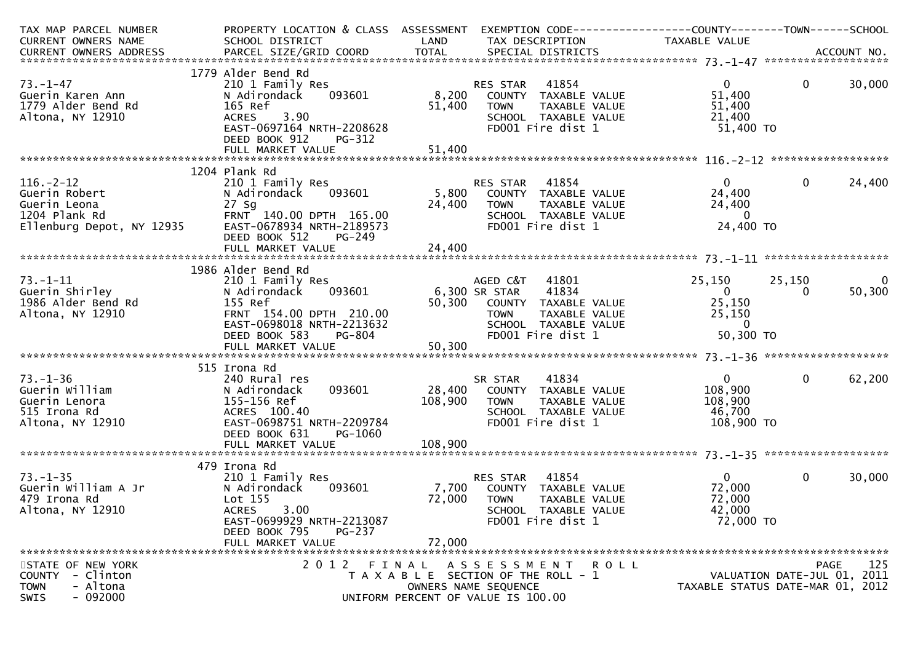| TAX MAP PARCEL NUMBER                               | PROPERTY LOCATION & CLASS ASSESSMENT |         | EXEMPTION CODE------------------COUNTY--------TOWN------SCHOOL |                                  |                             |                |
|-----------------------------------------------------|--------------------------------------|---------|----------------------------------------------------------------|----------------------------------|-----------------------------|----------------|
| CURRENT OWNERS NAME                                 | SCHOOL DISTRICT                      | LAND    | TAX DESCRIPTION                                                | TAXABLE VALUE                    |                             |                |
|                                                     |                                      |         |                                                                |                                  |                             |                |
|                                                     |                                      |         |                                                                |                                  |                             |                |
|                                                     | 1779 Alder Bend Rd                   |         |                                                                |                                  |                             |                |
| $73. - 1 - 47$                                      | 210 1 Family Res                     |         | 41854<br>RES STAR                                              | $\mathbf{0}$                     | $\mathbf 0$                 | 30,000         |
| Guerin Karen Ann                                    | 093601<br>N Adirondack               |         | 8,200 COUNTY TAXABLE VALUE                                     | 51,400                           |                             |                |
| 1779 Alder Bend Rd                                  | 165 Ref                              | 51,400  | TAXABLE VALUE<br><b>TOWN</b>                                   | 51,400                           |                             |                |
| Altona, NY 12910                                    | 3.90<br><b>ACRES</b>                 |         | SCHOOL TAXABLE VALUE                                           | 21,400                           |                             |                |
|                                                     | EAST-0697164 NRTH-2208628            |         | FD001 Fire dist 1                                              | 51,400 TO                        |                             |                |
|                                                     | DEED BOOK 912<br>PG-312              |         |                                                                |                                  |                             |                |
|                                                     |                                      |         |                                                                |                                  |                             |                |
|                                                     |                                      |         |                                                                |                                  |                             |                |
|                                                     | 1204 Plank Rd                        |         |                                                                |                                  |                             |                |
| $116. - 2 - 12$                                     | 210 1 Family Res                     |         | 41854<br>RES STAR                                              | $\overline{0}$                   | $\mathbf 0$                 | 24,400         |
| Guerin Robert                                       | 093601<br>N Adirondack               | 5,800   | COUNTY TAXABLE VALUE                                           | 24,400                           |                             |                |
| Guerin Leona                                        | 27 Sg                                | 24,400  | TAXABLE VALUE<br><b>TOWN</b>                                   | 24,400                           |                             |                |
| 1204 Plank Rd                                       | FRNT 140.00 DPTH 165.00              |         | SCHOOL TAXABLE VALUE                                           | $\overline{0}$                   |                             |                |
| Ellenburg Depot, NY 12935 EAST-0678934 NRTH-2189573 |                                      |         | FD001 Fire dist 1                                              | 24,400 TO                        |                             |                |
|                                                     | DEED BOOK 512<br>PG-249              |         |                                                                |                                  |                             |                |
|                                                     | FULL MARKET VALUE                    | 24,400  |                                                                |                                  |                             |                |
|                                                     |                                      |         |                                                                |                                  |                             |                |
|                                                     | 1986 Alder Bend Rd                   |         |                                                                |                                  |                             |                |
| $73. - 1 - 11$                                      | 210 1 Family Res                     |         | 41801<br>AGED C&T                                              | 25,150                           | 25,150                      | $\overline{0}$ |
| Guerin Shirley                                      | 093601<br>N Adirondack               |         | 6,300 SR STAR<br>41834                                         | $\overline{0}$                   | 0                           | 50,300         |
| 1986 Alder Bend Rd                                  | 155 Ref                              |         | 50,300 COUNTY TAXABLE VALUE                                    | 25,150                           |                             |                |
| Altona, NY 12910                                    | FRNT 154.00 DPTH 210.00              |         | <b>TOWN</b><br>TAXABLE VALUE                                   | 25,150                           |                             |                |
|                                                     | EAST-0698018 NRTH-2213632            |         | SCHOOL TAXABLE VALUE                                           | $\Omega$                         |                             |                |
|                                                     | <b>PG-804</b><br>DEED BOOK 583       |         | FD001 Fire dist 1                                              | 50,300 TO                        |                             |                |
|                                                     |                                      |         |                                                                |                                  |                             |                |
|                                                     |                                      |         |                                                                |                                  |                             |                |
|                                                     | 515 Irona Rd                         |         |                                                                |                                  |                             |                |
| $73. - 1 - 36$                                      | 240 Rural res                        |         | 41834<br>SR STAR                                               | $\overline{0}$                   | $\mathbf{0}$                | 62,200         |
| Guerin William                                      | 093601<br>N Adirondack               | 28,400  | COUNTY TAXABLE VALUE                                           | 108,900                          |                             |                |
| Guerin Lenora                                       | 155-156 Ref                          | 108,900 | <b>TOWN</b><br>TAXABLE VALUE                                   | 108,900                          |                             |                |
| 515 Irona Rd                                        | ACRES 100.40                         |         | SCHOOL TAXABLE VALUE                                           | 46,700                           |                             |                |
| Altona, NY 12910                                    | EAST-0698751 NRTH-2209784            |         | FD001 Fire dist 1                                              | 108,900 TO                       |                             |                |
|                                                     | DEED BOOK 631<br>PG-1060             |         |                                                                |                                  |                             |                |
|                                                     | FULL MARKET VALUE                    | 108,900 |                                                                |                                  |                             |                |
|                                                     |                                      |         |                                                                |                                  |                             |                |
|                                                     | 479 Irona Rd                         |         |                                                                |                                  |                             |                |
| $73. - 1 - 35$                                      | 210 1 Family Res                     |         | 41854<br>RES STAR                                              | $\overline{0}$                   | $\mathbf{0}$                | 30,000         |
| Guerin William A Jr                                 | N Adirondack<br>093601               | 7,700   | COUNTY TAXABLE VALUE                                           | 72,000                           |                             |                |
| 479 Irona Rd                                        | Lot 155                              | 72,000  | <b>TOWN</b><br>TAXABLE VALUE                                   | 72,000                           |                             |                |
| Altona, NY 12910                                    | 3.00<br><b>ACRES</b>                 |         | SCHOOL TAXABLE VALUE                                           | 42,000                           |                             |                |
|                                                     | EAST-0699929 NRTH-2213087            |         | FD001 Fire dist 1                                              | 72,000 TO                        |                             |                |
|                                                     | DEED BOOK 795<br><b>PG-237</b>       |         |                                                                |                                  |                             |                |
|                                                     | FULL MARKET VALUE                    | 72,000  |                                                                |                                  |                             |                |
|                                                     |                                      |         |                                                                |                                  |                             |                |
| STATE OF NEW YORK                                   |                                      |         | 2012 FINAL ASSESSMENT ROLL                                     |                                  | PAGE                        | 125            |
| - Clinton<br>COUNTY                                 |                                      |         | T A X A B L E SECTION OF THE ROLL - 1                          |                                  | VALUATION DATE-JUL 01, 2011 |                |
| <b>TOWN</b><br>- Altona                             |                                      |         | OWNERS NAME SEQUENCE                                           | TAXABLE STATUS DATE-MAR 01, 2012 |                             |                |
| $-092000$<br>SWIS                                   |                                      |         | UNIFORM PERCENT OF VALUE IS 100.00                             |                                  |                             |                |
|                                                     |                                      |         |                                                                |                                  |                             |                |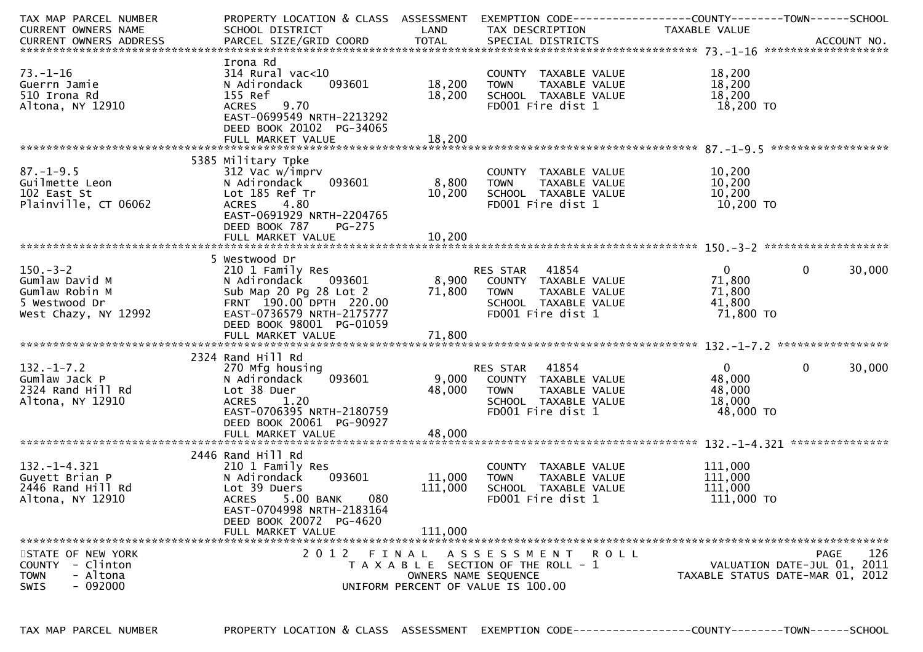| TAX MAP PARCEL NUMBER<br>CURRENT OWNERS NAME                                                 | PROPERTY LOCATION & CLASS ASSESSMENT<br>SCHOOL DISTRICT                                                                                                                     | LAND                      | EXEMPTION CODE-----------------COUNTY-------TOWN------SCHOOL<br>TAX DESCRIPTION                                        | TAXABLE VALUE                                             |                                                                                |
|----------------------------------------------------------------------------------------------|-----------------------------------------------------------------------------------------------------------------------------------------------------------------------------|---------------------------|------------------------------------------------------------------------------------------------------------------------|-----------------------------------------------------------|--------------------------------------------------------------------------------|
| $73. - 1 - 16$<br>Guerrn Jamie<br>510 Irona Rd<br>Altona, NY 12910                           | Irona Rd<br>$314$ Rural vac< $10$<br>N Adirondack<br>093601<br>155 Ref<br>9.70<br><b>ACRES</b><br>EAST-0699549 NRTH-2213292<br>DEED BOOK 20102 PG-34065                     | 18,200<br>18,200          | COUNTY TAXABLE VALUE<br>TAXABLE VALUE<br><b>TOWN</b><br>SCHOOL TAXABLE VALUE<br>FD001 Fire dist 1                      | 18,200<br>18,200<br>18,200<br>18,200 TO                   |                                                                                |
|                                                                                              |                                                                                                                                                                             |                           |                                                                                                                        |                                                           | ******************                                                             |
| $87. - 1 - 9.5$<br>Guilmette Leon<br>102 East St<br>Plainville, CT 06062                     | 5385 Military Tpke<br>312 Vac w/imprv<br>093601<br>N Adirondack<br>Lot 185 Ref Tr<br>4.80<br><b>ACRES</b><br>EAST-0691929 NRTH-2204765<br>DEED BOOK 787<br><b>PG-275</b>    | 8,800<br>10,200           | COUNTY TAXABLE VALUE<br>TAXABLE VALUE<br><b>TOWN</b><br>SCHOOL TAXABLE VALUE<br>FD001 Fire dist 1                      | 10,200<br>10,200<br>10,200<br>10,200 TO                   |                                                                                |
|                                                                                              |                                                                                                                                                                             |                           |                                                                                                                        |                                                           |                                                                                |
| $150 - 3 - 2$<br>Gumlaw David M<br>Gumlaw Robin M<br>5 Westwood Dr<br>West Chazy, NY 12992   | 5 Westwood Dr<br>210 1 Family Res<br>093601<br>N Adirondack<br>Sub Map 20 Pg 28 Lot 2<br>FRNT 190.00 DPTH 220.00<br>EAST-0736579 NRTH-2175777<br>DEED BOOK 98001 PG-01059   | 8,900<br>71,800           | RES STAR 41854<br>COUNTY TAXABLE VALUE<br><b>TOWN</b><br>TAXABLE VALUE<br>SCHOOL TAXABLE VALUE<br>FD001 Fire dist 1    | $\overline{0}$<br>71,800<br>71,800<br>41,800<br>71,800 TO | 30,000<br>$\Omega$                                                             |
|                                                                                              |                                                                                                                                                                             |                           |                                                                                                                        |                                                           |                                                                                |
| $132. - 1 - 7.2$<br>Gumlaw Jack P<br>2324 Rand Hill Rd<br>Altona, NY 12910                   | 2324 Rand Hill Rd<br>270 Mfg housing<br>093601<br>N Adirondack<br>Lot 38 Duer<br>ACRES 1.20<br>EAST-0706395 NRTH-2180759<br>DEED BOOK 20061 PG-90927<br>FULL MARKET VALUE   | 9,000<br>48,000<br>48,000 | RES STAR<br>41854<br>COUNTY TAXABLE VALUE<br><b>TOWN</b><br>TAXABLE VALUE<br>SCHOOL TAXABLE VALUE<br>FD001 Fire dist 1 | $\overline{0}$<br>48,000<br>48,000<br>18,000<br>48,000 TO | 30,000<br>$\mathbf{0}$                                                         |
|                                                                                              |                                                                                                                                                                             |                           |                                                                                                                        |                                                           |                                                                                |
| $132. - 1 - 4.321$<br>Guyett Brian P<br>2446 Rand Hill Rd<br>Altona, NY 12910                | 2446 Rand Hill Rd<br>210 1 Family Res<br>N Adirondack<br>093601<br>Lot 39 Duers<br><b>ACRES</b><br>080<br>5.00 BANK<br>EAST-0704998 NRTH-2183164<br>DEED BOOK 20072 PG-4620 | 11,000<br>111,000         | COUNTY TAXABLE VALUE<br>TAXABLE VALUE<br><b>TOWN</b><br>SCHOOL TAXABLE VALUE<br>FD001 Fire dist 1                      | 111,000<br>111,000<br>111,000<br>111,000 TO               |                                                                                |
|                                                                                              | FULL MARKET VALUE                                                                                                                                                           | 111,000                   |                                                                                                                        |                                                           |                                                                                |
| STATE OF NEW YORK<br>COUNTY - Clinton<br>- Altona<br><b>TOWN</b><br>$-092000$<br><b>SWIS</b> |                                                                                                                                                                             | OWNERS NAME SEQUENCE      | 2012 FINAL ASSESSMENT ROLL<br>T A X A B L E SECTION OF THE ROLL - 1<br>UNIFORM PERCENT OF VALUE IS 100.00              |                                                           | 126<br>PAGE<br>VALUATION DATE-JUL 01, 2011<br>TAXABLE STATUS DATE-MAR 01, 2012 |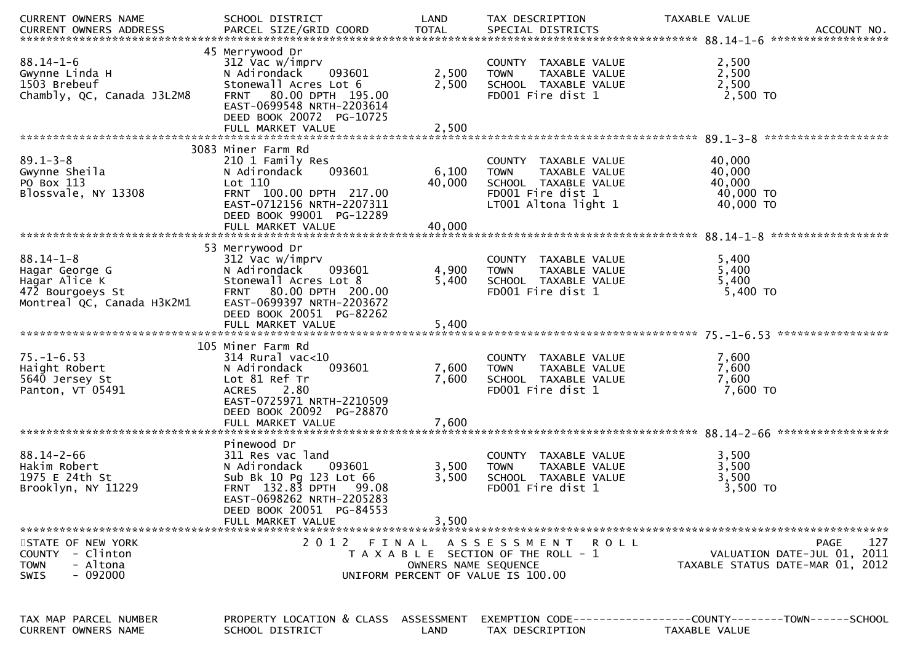| CURRENT OWNERS NAME                            | SCHOOL DISTRICT                                        | LAND                 | TAX DESCRIPTION                                      | TAXABLE VALUE                                                |
|------------------------------------------------|--------------------------------------------------------|----------------------|------------------------------------------------------|--------------------------------------------------------------|
|                                                |                                                        |                      |                                                      |                                                              |
|                                                | 45 Merrywood Dr                                        |                      |                                                      |                                                              |
| $88.14 - 1 - 6$                                | 312 Vac w/imprv                                        |                      | COUNTY TAXABLE VALUE                                 | 2,500                                                        |
| Gwynne Linda H<br>1503 Brebeuf                 | N Adirondack<br>093601<br>Stonewall Acres Lot 6        | 2,500<br>2,500       | TAXABLE VALUE<br><b>TOWN</b><br>SCHOOL TAXABLE VALUE | 2,500<br>2,500                                               |
| Chambly, QC, Canada J3L2M8                     | FRNT 80.00 DPTH 195.00                                 |                      | FD001 Fire dist 1                                    | $2,500$ TO                                                   |
|                                                | EAST-0699548 NRTH-2203614                              |                      |                                                      |                                                              |
|                                                | DEED BOOK 20072 PG-10725                               |                      |                                                      |                                                              |
|                                                | FULL MARKET VALUE                                      | 2,500                |                                                      |                                                              |
|                                                | 3083 Miner Farm Rd                                     |                      |                                                      |                                                              |
| $89.1 - 3 - 8$                                 | 210 1 Family Res                                       |                      | COUNTY TAXABLE VALUE                                 | 40,000                                                       |
| Gwynne Sheila                                  | N Adirondack<br>093601                                 | 6,100                | <b>TOWN</b><br>TAXABLE VALUE                         | 40,000                                                       |
| PO Box 113                                     | Lot 110                                                | 40,000               | SCHOOL TAXABLE VALUE                                 | 40,000                                                       |
| Blossvale, NY 13308                            | FRNT 100.00 DPTH 217.00                                |                      | FD001 Fire dist 1                                    | 40,000 TO                                                    |
|                                                | EAST-0712156 NRTH-2207311                              |                      | LT001 Altona light 1                                 | 40,000 TO                                                    |
|                                                | DEED BOOK 99001 PG-12289<br>FULL MARKET VALUE          | 40,000               |                                                      |                                                              |
|                                                |                                                        |                      |                                                      |                                                              |
|                                                | 53 Merrywood Dr                                        |                      |                                                      |                                                              |
| $88.14 - 1 - 8$                                | 312 Vac w/imprv                                        |                      | COUNTY TAXABLE VALUE                                 | 5,400                                                        |
| Hagar George G                                 | N Adirondack<br>093601                                 | 4,900                | <b>TOWN</b><br>TAXABLE VALUE                         | 5,400                                                        |
| Hagar Alice K                                  | Stonewall Acres Lot 8<br>FRNT 80.00 DPTH 200.00        | 5,400                | SCHOOL TAXABLE VALUE<br>FD001 Fire dist 1            | 5,400<br>5,400 TO                                            |
| 472 Bourgoeys St<br>Montreal QC, Canada H3K2M1 | EAST-0699397 NRTH-2203672                              |                      |                                                      |                                                              |
|                                                | DEED BOOK 20051 PG-82262                               |                      |                                                      |                                                              |
|                                                |                                                        |                      |                                                      |                                                              |
|                                                |                                                        |                      |                                                      |                                                              |
| $75. - 1 - 6.53$                               | 105 Miner Farm Rd<br>$314$ Rural vac<10                |                      | COUNTY TAXABLE VALUE                                 | 7,600                                                        |
| Haight Robert                                  | 093601<br>N Adirondack                                 | 7,600                | TAXABLE VALUE<br><b>TOWN</b>                         | 7,600                                                        |
| 5640 Jersey St                                 | Lot 81 Ref Tr                                          | 7,600                | SCHOOL TAXABLE VALUE                                 | 7,600                                                        |
| Panton, VT 05491                               | 2.80<br><b>ACRES</b>                                   |                      | FD001 Fire dist 1                                    | 7,600 TO                                                     |
|                                                | EAST-0725971 NRTH-2210509                              |                      |                                                      |                                                              |
|                                                | DEED BOOK 20092 PG-28870                               |                      |                                                      |                                                              |
|                                                | FULL MARKET VALUE                                      | 7,600                |                                                      |                                                              |
|                                                | Pinewood Dr                                            |                      |                                                      |                                                              |
| $88.14 - 2 - 66$                               | 311 Res vac land                                       |                      | COUNTY TAXABLE VALUE                                 | 3,500                                                        |
| Hakim Robert                                   | 093601<br>N Adirondack                                 | 3,500                | TAXABLE VALUE<br><b>TOWN</b>                         | 3,500                                                        |
| 1975 E 24th St                                 | Sub Bk 10 Pg 123 Lot 66                                | 3,500                | SCHOOL TAXABLE VALUE                                 | 3,500                                                        |
| Brooklyn, NY 11229                             | FRNT 132.83 DPTH<br>99.08<br>EAST-0698262 NRTH-2205283 |                      | FD001 Fire dist 1                                    | 3,500 TO                                                     |
|                                                | DEED BOOK 20051 PG-84553                               |                      |                                                      |                                                              |
|                                                | FULL MARKET VALUE                                      | 3,500                |                                                      |                                                              |
|                                                |                                                        |                      |                                                      |                                                              |
| STATE OF NEW YORK                              | 2 0 1 2                                                | FINAL                | A S S E S S M E N T R O L L                          | 127<br>PAGE                                                  |
| COUNTY - Clinton                               |                                                        |                      | T A X A B L E SECTION OF THE ROLL - 1                | VALUATION DATE-JUL 01, 2011                                  |
| - Altona<br><b>TOWN</b><br>- 092000<br>SWIS    |                                                        | OWNERS NAME SEQUENCE | UNIFORM PERCENT OF VALUE IS 100.00                   | TAXABLE STATUS DATE-MAR 01, 2012                             |
|                                                |                                                        |                      |                                                      |                                                              |
|                                                |                                                        |                      |                                                      |                                                              |
| TAX MAP PARCEL NUMBER                          | PROPERTY LOCATION & CLASS ASSESSMENT                   |                      |                                                      | EXEMPTION CODE-----------------COUNTY-------TOWN------SCHOOL |
| CURRENT OWNERS NAME                            | SCHOOL DISTRICT                                        | LAND                 | TAX DESCRIPTION                                      | TAXABLE VALUE                                                |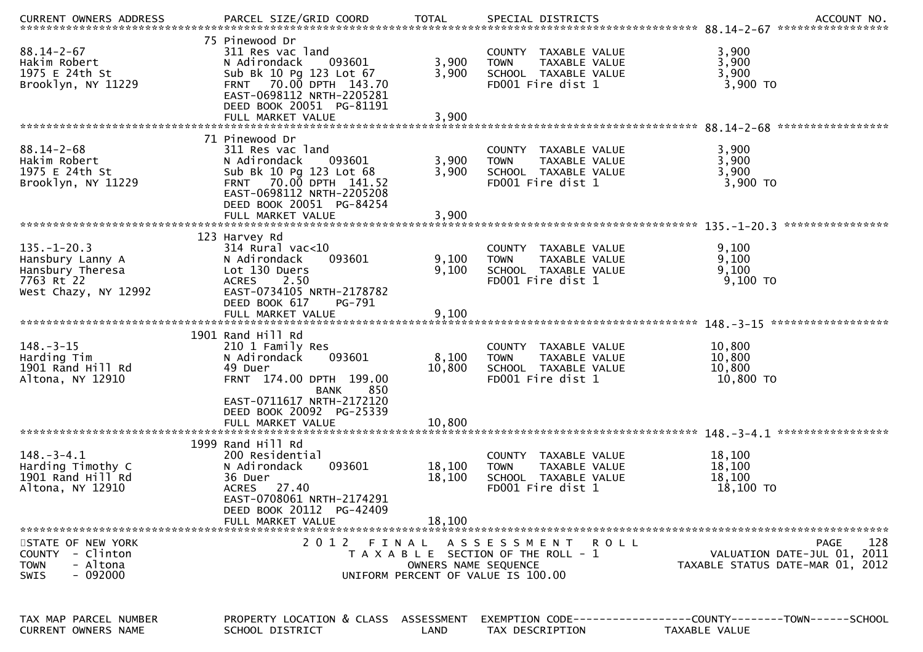|                                                                                                 |                                                                                                                                                                                                 |                               |                                                                                                               | .CURRENT OWNERS ADDRESS PARCEL SIZE/GRID COORD TOTAL SPECIAL DISTRICTS ACCOUNT NO ACCOUNT NO ACCOUNT NO AND ARCEL SIZE/GRID COORD TOTAL SPECIAL DISTRICTS |
|-------------------------------------------------------------------------------------------------|-------------------------------------------------------------------------------------------------------------------------------------------------------------------------------------------------|-------------------------------|---------------------------------------------------------------------------------------------------------------|-----------------------------------------------------------------------------------------------------------------------------------------------------------|
| $88.14 - 2 - 67$<br>Hakim Robert<br>1975 E 24th St<br>Brooklyn, NY 11229                        | 75 Pinewood Dr<br>311 Res vac land<br>093601<br>N Adirondack<br>Sub Bk 10 Pg 123 Lot 67<br>FRNT 70.00 DPTH 143.70<br>EAST-0698112 NRTH-2205281<br>DEED BOOK 20051 PG-81191<br>FULL MARKET VALUE | 3,900<br>3,900<br>3,900       | COUNTY TAXABLE VALUE<br><b>TOWN</b><br>TAXABLE VALUE<br>SCHOOL TAXABLE VALUE<br>FD001 Fire dist 1             | 3,900<br>3,900<br>3,900<br>3,900 TO                                                                                                                       |
|                                                                                                 | 71 Pinewood Dr                                                                                                                                                                                  |                               |                                                                                                               |                                                                                                                                                           |
| $88.14 - 2 - 68$<br>Hakim Robert<br>1975 E 24th St<br>Brooklyn, NY 11229                        | 311 Res vac land<br>093601<br>N Adirondack<br>Sub Bk 10 Pg 123 Lot 68<br>FRNT 70.00 DPTH 141.52<br>EAST-0698112 NRTH-2205208<br>DEED BOOK 20051 PG-84254                                        | 3,900<br>3,900                | COUNTY TAXABLE VALUE<br><b>TOWN</b><br>TAXABLE VALUE<br>SCHOOL TAXABLE VALUE<br>FD001 Fire dist 1             | 3,900<br>3,900<br>3,900<br>3,900 TO                                                                                                                       |
|                                                                                                 |                                                                                                                                                                                                 |                               |                                                                                                               | ****************                                                                                                                                          |
| $135. - 1 - 20.3$<br>Hansbury Lanny A<br>Hansbury Theresa<br>7763 Rt 22<br>West Chazy, NY 12992 | 123 Harvey Rd<br>$314$ Rural vac<10<br>N Adirondack<br>093601<br>Lot 130 Duers<br><b>ACRES</b><br>2.50<br>EAST-0734105 NRTH-2178782<br>DEED BOOK 617<br>PG-791                                  | 9,100<br>9,100                | COUNTY TAXABLE VALUE<br>TAXABLE VALUE<br><b>TOWN</b><br>SCHOOL TAXABLE VALUE<br>FD001 Fire dist 1             | 9,100<br>9,100<br>9,100<br>9,100 TO                                                                                                                       |
|                                                                                                 |                                                                                                                                                                                                 |                               |                                                                                                               |                                                                                                                                                           |
| $148. - 3 - 15$<br>Harding Tim<br>1901 Rand Hill Rd<br>Altona, NY 12910                         | 1901 Rand Hill Rd<br>210 1 Family Res<br>N Adirondack<br>093601<br>49 Duer<br>FRNT 174.00 DPTH 199.00<br>850<br>BANK                                                                            | 8,100<br>10,800               | COUNTY TAXABLE VALUE<br>TAXABLE VALUE<br><b>TOWN</b><br>SCHOOL TAXABLE VALUE<br>FD001 Fire dist 1             | 10,800<br>10,800<br>10,800<br>10,800 TO                                                                                                                   |
|                                                                                                 | EAST-0711617 NRTH-2172120<br>DEED BOOK 20092 PG-25339<br>FULL MARKET VALUE                                                                                                                      | 10,800                        |                                                                                                               |                                                                                                                                                           |
| $148. - 3 - 4.1$<br>Harding Timothy C<br>1901 Rand Hill Rd<br>Altona, NY 12910                  | 1999 Rand Hill Rd<br>200 Residential<br>N Adirondack<br>093601<br>36 Duer<br>ACRES 27.40<br>EAST-0708061 NRTH-2174291<br>DEED BOOK 20112 PG-42409<br>FULL MARKET VALUE                          | 18,100<br>18,100<br>18,100    | COUNTY TAXABLE VALUE<br>TAXABLE VALUE<br><b>TOWN</b><br>SCHOOL TAXABLE VALUE<br>FD001 Fire dist 1             | 18,100<br>18,100<br>18,100<br>18,100 TO                                                                                                                   |
|                                                                                                 |                                                                                                                                                                                                 |                               |                                                                                                               |                                                                                                                                                           |
| STATE OF NEW YORK<br><b>COUNTY</b><br>- Clinton<br>- Altona<br><b>TOWN</b><br>$-092000$<br>SWIS | 2012                                                                                                                                                                                            | FINAL<br>OWNERS NAME SEQUENCE | A S S E S S M E N T<br>R O L L<br>T A X A B L E SECTION OF THE ROLL - 1<br>UNIFORM PERCENT OF VALUE IS 100.00 | 128<br>PAGE<br>VALUATION DATE-JUL 01, 2011<br>TAXABLE STATUS DATE-MAR 01, 2012                                                                            |
| TAX MAP PARCEL NUMBER<br>CURRENT OWNERS NAME                                                    | PROPERTY LOCATION & CLASS ASSESSMENT<br>SCHOOL DISTRICT                                                                                                                                         | LAND                          | TAX DESCRIPTION                                                                                               | TAXABLE VALUE                                                                                                                                             |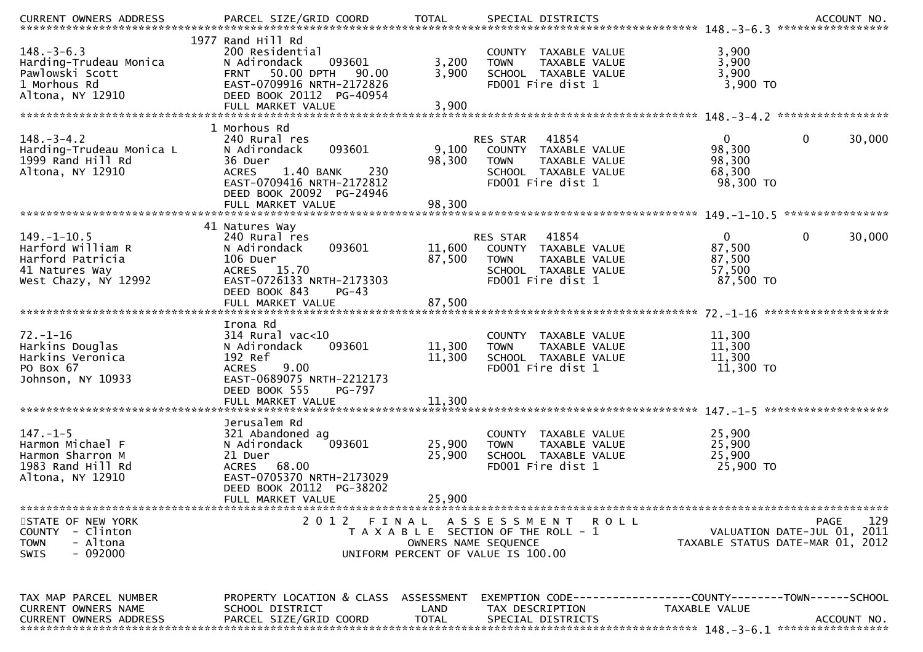| $148. - 3 - 6.3$<br>Harding-Trudeau Monica<br>Pawlowski Scott<br>1 Morhous Rd<br>Altona, NY 12910    | 1977 Rand Hill Rd<br>200 Residential<br>093601<br>N Adirondack<br>50.00 DPTH<br>90.00<br><b>FRNT</b><br>EAST-0709916 NRTH-2172826<br>DEED BOOK 20112 PG-40954 | 3,200<br>3,900       | COUNTY TAXABLE VALUE<br><b>TOWN</b><br>TAXABLE VALUE<br>SCHOOL TAXABLE VALUE<br>FD001 Fire dist 1                      | 3,900<br>3,900<br>3,900<br>3,900 TO                                                                 |        |
|------------------------------------------------------------------------------------------------------|---------------------------------------------------------------------------------------------------------------------------------------------------------------|----------------------|------------------------------------------------------------------------------------------------------------------------|-----------------------------------------------------------------------------------------------------|--------|
|                                                                                                      | 1 Morhous Rd                                                                                                                                                  |                      |                                                                                                                        |                                                                                                     |        |
| $148. - 3 - 4.2$<br>Harding-Trudeau Monica L<br>1999 Rand Hill Rd<br>Altona, NY 12910                | 240 Rural res<br>093601<br>N Adirondack<br>36 Duer<br>1.40 BANK<br>230<br><b>ACRES</b><br>EAST-0709416 NRTH-2172812<br>DEED BOOK 20092 PG-24946               | 9,100<br>98,300      | 41854<br>RES STAR<br>COUNTY TAXABLE VALUE<br>TAXABLE VALUE<br><b>TOWN</b><br>SCHOOL TAXABLE VALUE<br>FD001 Fire dist 1 | $\mathbf 0$<br>$\Omega$<br>98,300<br>98,300<br>68,300<br>98,300 TO                                  | 30,000 |
|                                                                                                      |                                                                                                                                                               |                      |                                                                                                                        |                                                                                                     |        |
| $149. - 1 - 10.5$<br>Harford William R<br>Harford Patricia<br>41 Natures Way<br>West Chazy, NY 12992 | 41 Natures Way<br>240 Rural res<br>093601<br>N Adirondack<br>106 Duer<br>ACRES 15.70<br>EAST-0726133 NRTH-2173303<br>DEED BOOK 843<br>$PG-43$                 | 11,600<br>87,500     | 41854<br>RES STAR<br>COUNTY TAXABLE VALUE<br>TAXABLE VALUE<br><b>TOWN</b><br>SCHOOL TAXABLE VALUE<br>FD001 Fire dist 1 | 0<br>$\mathbf{0}$<br>87,500<br>87,500<br>57,500<br>87,500 TO                                        | 30,000 |
|                                                                                                      |                                                                                                                                                               |                      |                                                                                                                        |                                                                                                     |        |
| $72. - 1 - 16$<br>Harkins Douglas<br>Harkins Veronica<br>PO Box 67<br>Johnson, NY 10933              | Irona Rd<br>$314$ Rural vac<10<br>093601<br>N Adirondack<br>192 Ref<br>9.00<br><b>ACRES</b><br>EAST-0689075 NRTH-2212173<br>DEED BOOK 555<br>PG-797           | 11,300<br>11,300     | COUNTY TAXABLE VALUE<br>TAXABLE VALUE<br><b>TOWN</b><br>SCHOOL TAXABLE VALUE<br>FD001 Fire dist 1                      | 11,300<br>11,300<br>11,300<br>11,300 TO                                                             |        |
|                                                                                                      |                                                                                                                                                               |                      |                                                                                                                        |                                                                                                     |        |
| $147. - 1 - 5$<br>Harmon Michael F<br>Harmon Sharron M<br>1983 Rand Hill Rd<br>Altona, NY 12910      | Jerusalem Rd<br>321 Abandoned ag<br>093601<br>N Adirondack<br>21 Duer<br>ACRES 68.00<br>EAST-0705370 NRTH-2173029<br>DEED BOOK 20112 PG-38202                 | 25,900<br>25,900     | COUNTY TAXABLE VALUE<br>TAXABLE VALUE<br><b>TOWN</b><br>SCHOOL TAXABLE VALUE<br>FD001 Fire dist 1                      | 25,900<br>25,900<br>25,900<br>25,900 TO                                                             |        |
|                                                                                                      | FULL MARKET VALUE                                                                                                                                             | 25,900               |                                                                                                                        |                                                                                                     |        |
| STATE OF NEW YORK<br>COUNTY - Clinton<br>- Altona<br><b>TOWN</b><br>- 092000<br>SWIS                 | 2012<br>FINAL                                                                                                                                                 | OWNERS NAME SEQUENCE | A S S E S S M E N T<br>R O L L<br>T A X A B L E SECTION OF THE ROLL - 1<br>UNIFORM PERCENT OF VALUE IS 100.00          | PAGE<br>VALUATION DATE-JUL 01, 2011<br>TAXABLE STATUS DATE-MAR 01, 2012                             | 129    |
| TAX MAP PARCEL NUMBER<br>CURRENT OWNERS NAME<br>CURRENT OWNERS ADDRESS                               | PROPERTY LOCATION & CLASS ASSESSMENT<br>SCHOOL DISTRICT<br>PARCEL SIZE/GRID COORD                                                                             | LAND<br><b>TOTAL</b> | TAX DESCRIPTION<br>SPECIAL DISTRICTS                                                                                   | EXEMPTION        CODE-----------------COUNTY-------TOWN------SCHOOL<br>TAXABLE VALUE<br>ACCOUNT NO. |        |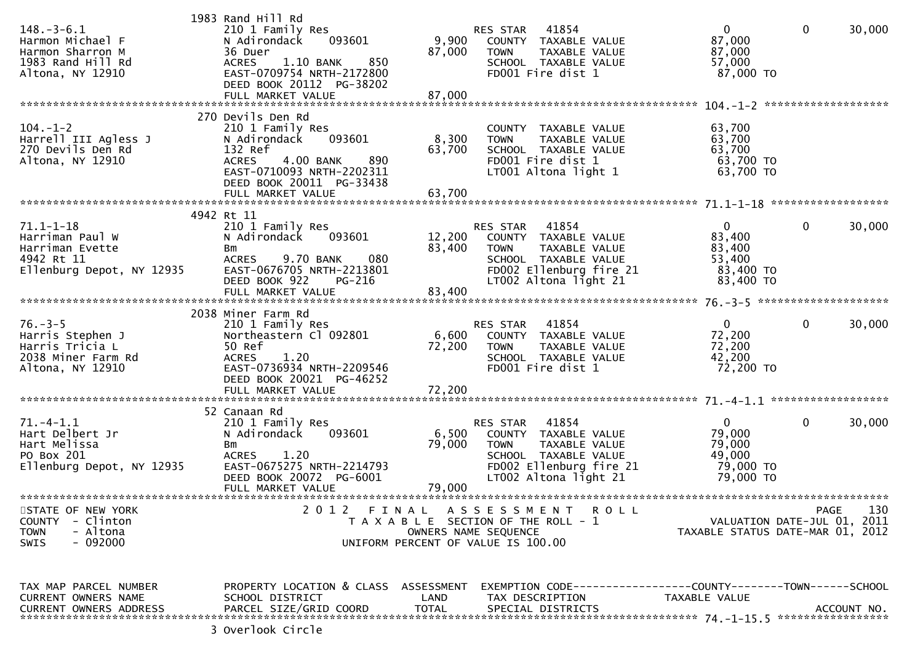| $148. - 3 - 6.1$<br>Harmon Michael F<br>Harmon Sharron M<br>1983 Rand Hill Rd<br>Altona, NY 12910 | 1983 Rand Hill Rd<br>210 1 Family Res<br>N Adirondack<br>093601<br>36 Duer<br>1.10 BANK<br>850<br><b>ACRES</b><br>EAST-0709754 NRTH-2172800<br>DEED BOOK 20112 PG-38202                      | 9,900<br>87,000                                                             | RES STAR<br><b>TOWN</b>                     | 41854<br>COUNTY TAXABLE VALUE<br>TAXABLE VALUE<br>SCHOOL TAXABLE VALUE<br>FD001 Fire dist 1                                       | $\overline{0}$<br>87,000<br>87,000<br>57,000<br>87,000 TO              | $\overline{0}$                                                  | 30,000             |
|---------------------------------------------------------------------------------------------------|----------------------------------------------------------------------------------------------------------------------------------------------------------------------------------------------|-----------------------------------------------------------------------------|---------------------------------------------|-----------------------------------------------------------------------------------------------------------------------------------|------------------------------------------------------------------------|-----------------------------------------------------------------|--------------------|
| $104. - 1 - 2$<br>Harrell III Agless J<br>270 Devils Den Rd<br>Altona, NY 12910                   | 270 Devils Den Rd<br>210 1 Family Res<br>093601<br>N Adirondack<br>132 Ref<br>890<br><b>ACRES</b><br>4.00 BANK<br>EAST-0710093 NRTH-2202311<br>DEED BOOK 20011 PG-33438<br>FULL MARKET VALUE | 8,300<br>63,700<br>63,700                                                   | <b>TOWN</b>                                 | COUNTY TAXABLE VALUE<br>TAXABLE VALUE<br>SCHOOL TAXABLE VALUE<br>FD001 Fire dist 1<br>LT001 Altona light 1                        | 63,700<br>63,700<br>63,700<br>63,700 TO<br>63,700 TO                   |                                                                 |                    |
| $71.1 - 1 - 18$<br>Harriman Paul W<br>Harriman Evette<br>4942 Rt 11<br>Ellenburg Depot, NY 12935  | 4942 Rt 11<br>210 1 Family Res<br>N Adirondack<br>093601<br>Bm<br>9.70 BANK<br>080<br><b>ACRES</b><br>EAST-0676705 NRTH-2213801<br>DEED BOOK 922<br>PG-216                                   | 83,400                                                                      | RES STAR<br><b>TOWN</b>                     | 41854<br>12,200 COUNTY TAXABLE VALUE<br>TAXABLE VALUE<br>SCHOOL TAXABLE VALUE<br>FD002 Ellenburg fire 21<br>LT002 Altona light 21 | $\overline{0}$<br>83,400<br>83,400<br>53,400<br>83,400 TO<br>83,400 TO | $\mathbf 0$                                                     | 30,000             |
| $76. - 3 - 5$<br>Harris Stephen J<br>Harris Tricia L<br>2038 Miner Farm Rd<br>Altona, NY 12910    | 2038 Miner Farm Rd<br>210 1 Family Res<br>Northeastern Cl 092801<br>50 Ref<br><b>ACRES</b><br>1.20<br>EAST-0736934 NRTH-2209546<br>DEED BOOK 20021 PG-46252                                  | 72,200                                                                      | <b>RES STAR 41854</b><br><b>TOWN</b>        | 6,600 COUNTY TAXABLE VALUE<br>TAXABLE VALUE<br>SCHOOL TAXABLE VALUE<br>FD001 Fire dist 1                                          | $\overline{0}$<br>72,200<br>72,200<br>42,200<br>72,200 TO              | $\mathbf 0$                                                     | 30,000             |
| $71.-4-1.1$<br>Hart Delbert Jr<br>Hart Melissa<br>PO Box 201<br>Ellenburg Depot, NY 12935         | 52 Canaan Rd<br>210 1 Family Res<br>N Adirondack<br>093601<br>Bm<br><b>ACRES</b><br>1.20<br>EAST-0675275 NRTH-2214793<br>DEED BOOK 20072 PG-6001<br>FULL MARKET VALUE                        | 6,500<br>79,000<br>79,000                                                   | RES STAR 41854<br><b>TOWN</b>               | COUNTY TAXABLE VALUE<br>TAXABLE VALUE<br>SCHOOL TAXABLE VALUE<br>FD002 Ellenburg fire 21<br>LT002 Altona light 21                 | $\overline{0}$<br>79,000<br>79,000<br>49,000<br>79,000 TO<br>79,000 TO | $\mathbf 0$                                                     | 30,000             |
| STATE OF NEW YORK<br><b>COUNTY</b><br>- Clinton<br>- Altona<br><b>TOWN</b><br>- 092000<br>SWIS    | 2 0 1 2<br>FINAL                                                                                                                                                                             | T A X A B L E SECTION OF THE ROLL - 1<br>UNIFORM PERCENT OF VALUE IS 100.00 | A S S E S S M E N T<br>OWNERS NAME SEQUENCE | R O L L                                                                                                                           |                                                                        | VALUATION DATE-JUL 01, 2011<br>TAXABLE STATUS DATE-MAR 01, 2012 | 130<br><b>PAGE</b> |
| TAX MAP PARCEL NUMBER<br>CURRENT OWNERS NAME<br>CURRENT OWNERS ADDRESS                            | PROPERTY LOCATION & CLASS ASSESSMENT<br>SCHOOL DISTRICT<br>PARCEL SIZE/GRID COORD                                                                                                            | LAND<br><b>TOTAL</b>                                                        |                                             | EXEMPTION        CODE-----------------COUNTY-------TOWN------SCHOOL<br>TAX DESCRIPTION<br>SPECIAL DISTRICTS                       | TAXABLE VALUE                                                          |                                                                 | ACCOUNT NO.        |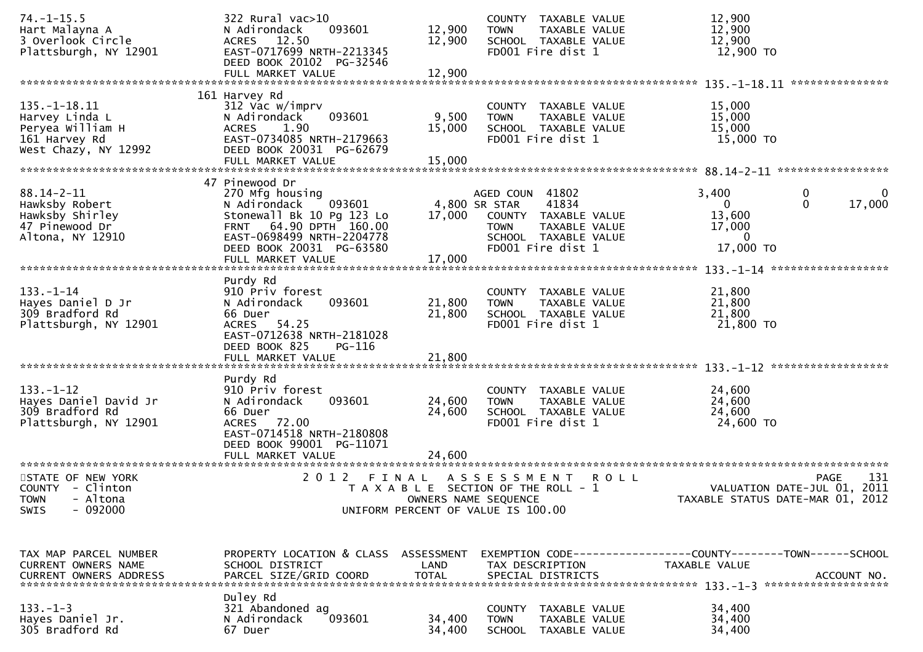| $74. - 1 - 15.5$<br>Hart Malayna A<br>3 Overlook Circle<br>Plattsburgh, NY 12901                  | 322 Rural vac>10<br>093601<br>N Adirondack<br>ACRES 12.50<br>EAST-0717699 NRTH-2213345<br>DEED BOOK 20102 PG-32546                                                                               | 12,900<br>12,900                  | COUNTY TAXABLE VALUE<br>TAXABLE VALUE<br><b>TOWN</b><br>SCHOOL TAXABLE VALUE<br>FD001 Fire dist 1                             | 12,900<br>12,900<br>12,900<br>12,900 TO                                                                |
|---------------------------------------------------------------------------------------------------|--------------------------------------------------------------------------------------------------------------------------------------------------------------------------------------------------|-----------------------------------|-------------------------------------------------------------------------------------------------------------------------------|--------------------------------------------------------------------------------------------------------|
|                                                                                                   | FULL MARKET VALUE                                                                                                                                                                                | 12,900                            |                                                                                                                               | ***************                                                                                        |
|                                                                                                   | 161 Harvey Rd                                                                                                                                                                                    |                                   |                                                                                                                               |                                                                                                        |
| $135. - 1 - 18.11$<br>Harvey Linda L<br>Peryea William H<br>161 Harvey Rd<br>West Chazy, NY 12992 | 312 Vac w/imprv<br>N Adirondack<br>093601<br><b>ACRES</b><br>1.90<br>EAST-0734085 NRTH-2179663<br>DEED BOOK 20031 PG-62679<br>FULL MARKET VALUE                                                  | 9,500<br>15,000<br>15,000         | COUNTY TAXABLE VALUE<br><b>TOWN</b><br>TAXABLE VALUE<br>SCHOOL TAXABLE VALUE<br>FD001 Fire dist 1                             | 15,000<br>15,000<br>15,000<br>15,000 TO                                                                |
|                                                                                                   |                                                                                                                                                                                                  |                                   |                                                                                                                               |                                                                                                        |
| $88.14 - 2 - 11$<br>Hawksby Robert<br>Hawksby Shirley<br>47 Pinewood Dr<br>Altona, NY 12910       | 47 Pinewood Dr<br>270 Mfg housing<br>093601<br>N Adirondack<br>Stonewall Bk 10 Pg 123 Lo<br>FRNT 64.90 DPTH 160.00<br>EAST-0698499 NRTH-2204778<br>DEED BOOK 20031 PG-63580<br>FULL MARKET VALUE | 4,800 SR STAR<br>17,000<br>17,000 | AGED COUN 41802<br>41834<br>COUNTY TAXABLE VALUE<br>TAXABLE VALUE<br><b>TOWN</b><br>SCHOOL TAXABLE VALUE<br>FD001 Fire dist 1 | 3,400<br>0<br>0<br>$\Omega$<br>17,000<br>$\mathbf{0}$<br>13,600<br>17,000<br>$\mathbf{0}$<br>17,000 TO |
|                                                                                                   |                                                                                                                                                                                                  |                                   |                                                                                                                               |                                                                                                        |
| $133. - 1 - 14$<br>Hayes Daniel D Jr<br>309 Bradford Rd<br>Plattsburgh, NY 12901                  | Purdy Rd<br>910 Priv forest<br>093601<br>N Adirondack<br>66 Duer<br>54.25<br><b>ACRES</b><br>EAST-0712638 NRTH-2181028<br>DEED BOOK 825<br>PG-116<br>FULL MARKET VALUE                           | 21,800<br>21,800<br>21,800        | COUNTY TAXABLE VALUE<br><b>TOWN</b><br>TAXABLE VALUE<br>SCHOOL TAXABLE VALUE<br>FD001 Fire dist 1                             | 21,800<br>21,800<br>21,800<br>21,800 TO                                                                |
|                                                                                                   |                                                                                                                                                                                                  |                                   |                                                                                                                               |                                                                                                        |
| $133. - 1 - 12$<br>Hayes Daniel David Jr<br>309 Bradford Rd<br>Plattsburgh, NY 12901              | Purdy Rd<br>910 Priv forest<br>N Adirondack<br>093601<br>66 Duer<br>ACRES 72.00<br>EAST-0714518 NRTH-2180808<br>DEED BOOK 99001 PG-11071<br>FULL MARKET VALUE                                    | 24,600<br>24,600<br>24,600        | COUNTY TAXABLE VALUE<br>TAXABLE VALUE<br><b>TOWN</b><br>SCHOOL TAXABLE VALUE<br>FD001 Fire dist 1                             | 24,600<br>24,600<br>24,600<br>24,600 TO                                                                |
| STATE OF NEW YORK<br>COUNTY - Clinton<br>- Altona<br><b>TOWN</b><br>$-092000$<br><b>SWIS</b>      | 2 0 1 2<br>FINAL                                                                                                                                                                                 | OWNERS NAME SEQUENCE              | A S S E S S M E N T<br>R O L L<br>T A X A B L E SECTION OF THE ROLL - 1<br>UNIFORM PERCENT OF VALUE IS 100.00                 | 131<br><b>PAGE</b><br>VALUATION DATE-JUL 01, 2011<br>TAXABLE STATUS DATE-MAR 01, 2012                  |
| TAX MAP PARCEL NUMBER<br>CURRENT OWNERS NAME                                                      | PROPERTY LOCATION & CLASS ASSESSMENT<br>SCHOOL DISTRICT                                                                                                                                          | LAND                              | TAX DESCRIPTION                                                                                                               | EXEMPTION CODE-----------------COUNTY-------TOWN------SCHOOL<br>TAXABLE VALUE                          |
| <b>CURRENT OWNERS ADDRESS</b>                                                                     | PARCEL SIZE/GRID COORD                                                                                                                                                                           | <b>TOTAL</b>                      | SPECIAL DISTRICTS                                                                                                             | ACCOUNT NO.                                                                                            |
|                                                                                                   |                                                                                                                                                                                                  |                                   |                                                                                                                               |                                                                                                        |
| $133. - 1 - 3$<br>Hayes Daniel Jr.<br>305 Bradford Rd                                             | Duley Rd<br>321 Abandoned ag<br>093601<br>N Adirondack<br>67 Duer                                                                                                                                | 34,400<br>34,400                  | <b>COUNTY</b><br>TAXABLE VALUE<br><b>TOWN</b><br>TAXABLE VALUE<br>SCHOOL TAXABLE VALUE                                        | 34,400<br>34,400<br>34,400                                                                             |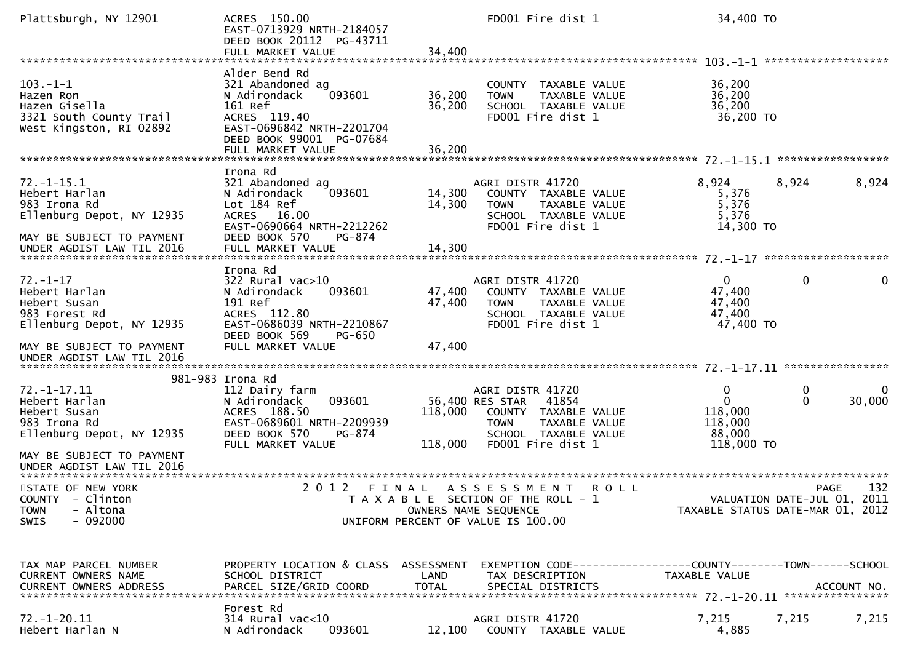| Plattsburgh, NY 12901                                                                                       | ACRES 150.00<br>EAST-0713929 NRTH-2184057<br>DEED BOOK 20112 PG-43711<br>FULL MARKET VALUE                                                                           | FD001 Fire dist 1<br>34,400                                                                                                                                             | 34,400 TO                                                                                            |
|-------------------------------------------------------------------------------------------------------------|----------------------------------------------------------------------------------------------------------------------------------------------------------------------|-------------------------------------------------------------------------------------------------------------------------------------------------------------------------|------------------------------------------------------------------------------------------------------|
| $103. -1 - 1$<br>Hazen Ron<br>Hazen Gisella<br>3321 South County Trail<br>West Kingston, RI 02892           | Alder Bend Rd<br>321 Abandoned ag<br>093601<br>N Adirondack<br>161 Ref<br>ACRES 119.40<br>EAST-0696842 NRTH-2201704<br>DEED BOOK 99001 PG-07684<br>FULL MARKET VALUE | COUNTY TAXABLE VALUE<br>36,200<br>TAXABLE VALUE<br><b>TOWN</b><br>36,200<br>SCHOOL TAXABLE VALUE<br>FD001 Fire dist 1<br>36,200                                         | 36,200<br>36,200<br>36,200<br>36,200 TO                                                              |
|                                                                                                             |                                                                                                                                                                      |                                                                                                                                                                         |                                                                                                      |
| $72. - 1 - 15.1$<br>Hebert Harlan<br>983 Irona Rd<br>Ellenburg Depot, NY 12935<br>MAY BE SUBJECT TO PAYMENT | Irona Rd<br>321 Abandoned ag<br>N Adirondack<br>093601<br>Lot 184 Ref<br>ACRES 16.00<br>EAST-0690664 NRTH-2212262<br>DEED BOOK 570<br>PG-874                         | AGRI DISTR 41720<br>14,300<br>COUNTY TAXABLE VALUE<br>14,300<br>TAXABLE VALUE<br><b>TOWN</b><br>SCHOOL TAXABLE VALUE<br>FD001 Fire dist 1                               | 8,924<br>8,924<br>8,924<br>5,376<br>5,376<br>5,376<br>14,300 TO                                      |
| UNDER AGDIST LAW TIL 2016                                                                                   | FULL MARKET VALUE                                                                                                                                                    | 14,300                                                                                                                                                                  |                                                                                                      |
| $72. - 1 - 17$<br>Hebert Harlan<br>Hebert Susan<br>983 Forest Rd<br>Ellenburg Depot, NY 12935               | Irona Rd<br>$322$ Rural vac $>10$<br>N Adirondack<br>093601<br>191 Ref<br>ACRES 112.80<br>EAST-0686039 NRTH-2210867<br>DEED BOOK 569<br>PG-650                       | AGRI DISTR 41720<br>47,400<br>COUNTY TAXABLE VALUE<br>47,400<br>TAXABLE VALUE<br><b>TOWN</b><br>SCHOOL TAXABLE VALUE<br>FD001 Fire dist 1                               | 0<br>$\overline{0}$<br>0<br>47,400<br>47,400<br>47,400<br>47,400 TO                                  |
| MAY BE SUBJECT TO PAYMENT                                                                                   | FULL MARKET VALUE                                                                                                                                                    | 47,400                                                                                                                                                                  |                                                                                                      |
|                                                                                                             | 981-983 Irona Rd                                                                                                                                                     |                                                                                                                                                                         |                                                                                                      |
| $72. - 1 - 17.11$<br>Hebert Harlan<br>Hebert Susan<br>983 Irona Rd<br>Ellenburg Depot, NY 12935             | 112 Dairy farm<br>093601<br>N Adirondack<br>ACRES 188.50<br>EAST-0689601 NRTH-2209939<br>DEED BOOK 570<br>PG-874<br>FULL MARKET VALUE                                | AGRI DISTR 41720<br>41854<br>56,400 RES STAR<br>118,000<br>COUNTY TAXABLE VALUE<br><b>TOWN</b><br>TAXABLE VALUE<br>SCHOOL TAXABLE VALUE<br>118,000<br>FD001 Fire dist 1 | $\mathbf{0}$<br>0<br>$\mathbf 0$<br>$\Omega$<br>30,000<br>118,000<br>118,000<br>88,000<br>118,000 TO |
| MAY BE SUBJECT TO PAYMENT<br>UNDER AGDIST LAW TIL 2016                                                      |                                                                                                                                                                      |                                                                                                                                                                         |                                                                                                      |
| STATE OF NEW YORK<br>COUNTY - Clinton<br>- Altona<br><b>TOWN</b><br>$-092000$<br>SWIS                       | FINAL<br>2 0 1 2                                                                                                                                                     | A S S E S S M E N T<br><b>ROLL</b><br>T A X A B L E SECTION OF THE ROLL - 1<br>OWNERS NAME SEQUENCE<br>UNIFORM PERCENT OF VALUE IS 100.00                               | 132<br><b>PAGE</b><br>VALUATION DATE-JUL 01, 2011<br>TAXABLE STATUS DATE-MAR 01, 2012                |
| TAX MAP PARCEL NUMBER<br>CURRENT OWNERS NAME<br><b>CURRENT OWNERS ADDRESS</b>                               | PROPERTY LOCATION & CLASS ASSESSMENT<br>SCHOOL DISTRICT<br>PARCEL SIZE/GRID COORD                                                                                    | LAND<br>TAX DESCRIPTION<br><b>TOTAL</b><br>SPECIAL DISTRICTS                                                                                                            | EXEMPTION CODE-----------------COUNTY-------TOWN------SCHOOL<br>TAXABLE VALUE<br>ACCOUNT NO.         |
| 72. –1–20.11<br>Hebert Harlan N                                                                             | Forest Rd<br>314 Rural vac<10<br>093601<br>N Adirondack                                                                                                              | AGRI DISTR 41720<br>12,100<br>COUNTY TAXABLE VALUE                                                                                                                      | 7,215<br>7,215<br>7,215<br>4,885                                                                     |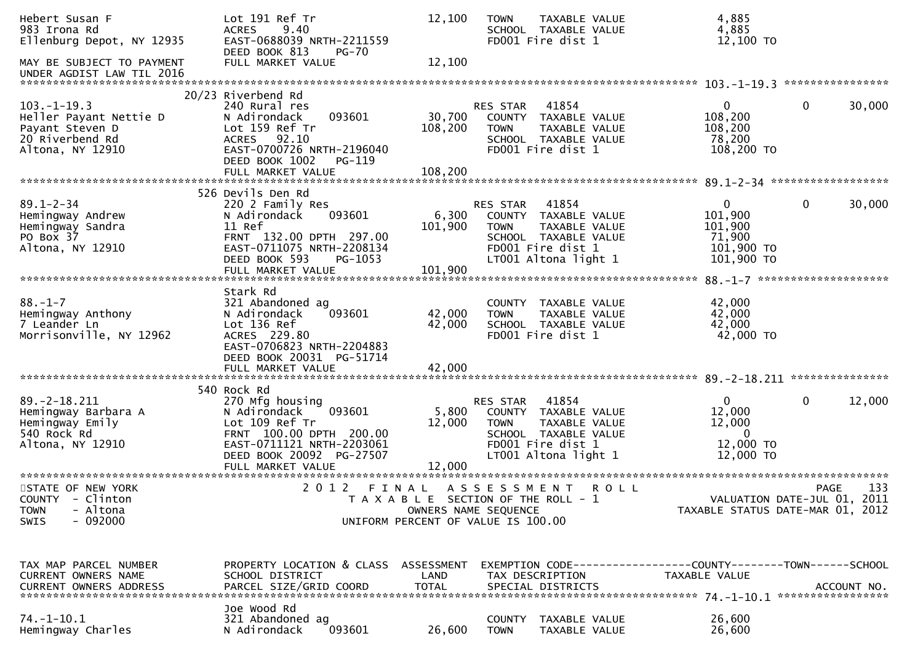| Hebert Susan F<br>983 Irona Rd<br>Ellenburg Depot, NY 12935                                          | Lot 191 Ref Tr<br><b>ACRES</b><br>9.40<br>EAST-0688039 NRTH-2211559<br>DEED BOOK 813<br>$PG-70$                                                                     | 12,100                                                                                              | <b>TOWN</b>                    | TAXABLE VALUE<br>SCHOOL TAXABLE VALUE<br>FD001 Fire dist 1                                                          | 4,885<br>4,885<br>12,100 TO                                                   |              |        |
|------------------------------------------------------------------------------------------------------|---------------------------------------------------------------------------------------------------------------------------------------------------------------------|-----------------------------------------------------------------------------------------------------|--------------------------------|---------------------------------------------------------------------------------------------------------------------|-------------------------------------------------------------------------------|--------------|--------|
| MAY BE SUBJECT TO PAYMENT<br>UNDER AGDIST LAW TIL 2016                                               | FULL MARKET VALUE                                                                                                                                                   | 12,100                                                                                              |                                |                                                                                                                     |                                                                               |              |        |
|                                                                                                      | 20/23 Riverbend Rd                                                                                                                                                  |                                                                                                     |                                |                                                                                                                     |                                                                               |              |        |
| $103. -1 - 19.3$<br>Heller Payant Nettie D<br>Payant Steven D<br>20 Riverbend Rd<br>Altona, NY 12910 | 240 Rural res<br>093601<br>N Adirondack<br>Lot 159 Ref Tr<br>ACRES 92.10<br>EAST-0700726 NRTH-2196040<br>DEED BOOK 1002<br>PG-119                                   | 30,700<br>108,200                                                                                   | RES STAR<br><b>TOWN</b>        | 41854<br>COUNTY TAXABLE VALUE<br>TAXABLE VALUE<br>SCHOOL TAXABLE VALUE<br>FD001 Fire dist 1                         | $\overline{0}$<br>108,200<br>108,200<br>78,200<br>108,200 TO                  | 0            | 30,000 |
|                                                                                                      | FULL MARKET VALUE                                                                                                                                                   | 108,200                                                                                             |                                |                                                                                                                     |                                                                               |              |        |
|                                                                                                      |                                                                                                                                                                     |                                                                                                     |                                |                                                                                                                     |                                                                               |              |        |
| $89.1 - 2 - 34$<br>Hemingway Andrew<br>Hemingway Sandra<br>PO Box 37<br>Altona, NY 12910             | 526 Devils Den Rd<br>220 2 Family Res<br>093601<br>N Adirondack<br>11 Ref<br>FRNT 132.00 DPTH 297.00<br>EAST-0711075 NRTH-2208134<br>DEED BOOK 593<br>PG-1053       | 6,300<br>101,900                                                                                    | <b>RES STAR</b><br><b>TOWN</b> | 41854<br>COUNTY TAXABLE VALUE<br>TAXABLE VALUE<br>SCHOOL TAXABLE VALUE<br>FD001 Fire dist 1<br>LT001 Altona light 1 | $\mathbf{0}$<br>101,900<br>101,900<br>71,900<br>101,900 TO<br>101,900 TO      | 0            | 30,000 |
|                                                                                                      |                                                                                                                                                                     |                                                                                                     |                                |                                                                                                                     |                                                                               |              |        |
| $88. - 1 - 7$<br>Hemingway Anthony<br>7 Leander Ln<br>Morrisonville, NY 12962                        | Stark Rd<br>321 Abandoned ag<br>093601<br>N Adirondack<br>Lot 136 Ref<br>ACRES 229.80<br>EAST-0706823 NRTH-2204883<br>DEED BOOK 20031 PG-51714<br>FULL MARKET VALUE | 42,000<br>42,000<br>42,000                                                                          | <b>TOWN</b>                    | COUNTY TAXABLE VALUE<br>TAXABLE VALUE<br>SCHOOL TAXABLE VALUE<br>FD001 Fire dist 1                                  | 42,000<br>42,000<br>42,000<br>42,000 TO                                       |              |        |
|                                                                                                      |                                                                                                                                                                     |                                                                                                     |                                |                                                                                                                     |                                                                               |              |        |
| $89. - 2 - 18.211$<br>Hemingway Barbara A<br>Hemingway Emily<br>540 Rock Rd<br>Altona, NY 12910      | 540 Rock Rd<br>270 Mfg housing<br>093601<br>N Adirondack<br>Lot 109 Ref Tr<br>FRNT 100.00 DPTH 200.00<br>EAST-0711121 NRTH-2203061<br>DEED BOOK 20092 PG-27507      | 5,800<br>12,000<br>12,000                                                                           | RES STAR<br><b>TOWN</b>        | 41854<br>COUNTY TAXABLE VALUE<br>TAXABLE VALUE<br>SCHOOL TAXABLE VALUE<br>FD001 Fire dist 1<br>LT001 Altona light 1 | $\mathbf{0}$<br>12,000<br>12,000<br>$\overline{0}$<br>12,000 TO<br>12,000 TO  | $\mathbf{0}$ | 12,000 |
| STATE OF NEW YORK<br>COUNTY - Clinton<br>- Altona<br><b>TOWN</b><br>$-092000$<br>SWIS                | 2 0 1 2                                                                                                                                                             | T A X A B L E SECTION OF THE ROLL - 1<br>OWNERS NAME SEQUENCE<br>UNIFORM PERCENT OF VALUE IS 100.00 |                                | FINAL ASSESSMENT ROLL                                                                                               | VALUATION DATE-JUL 01, 2011<br>TAXABLE STATUS DATE-MAR 01, 2012               | <b>PAGE</b>  | 133    |
| TAX MAP PARCEL NUMBER<br><b>CURRENT OWNERS NAME</b>                                                  | PROPERTY LOCATION & CLASS ASSESSMENT<br>SCHOOL DISTRICT                                                                                                             | LAND                                                                                                |                                | TAX DESCRIPTION                                                                                                     | EXEMPTION CODE-----------------COUNTY-------TOWN------SCHOOL<br>TAXABLE VALUE |              |        |
| $74. - 1 - 10.1$<br>Hemingway Charles                                                                | Joe Wood Rd<br>321 Abandoned ag<br>093601<br>N Adirondack                                                                                                           | 26,600                                                                                              | COUNTY<br><b>TOWN</b>          | TAXABLE VALUE<br>TAXABLE VALUE                                                                                      | 26,600<br>26,600                                                              |              |        |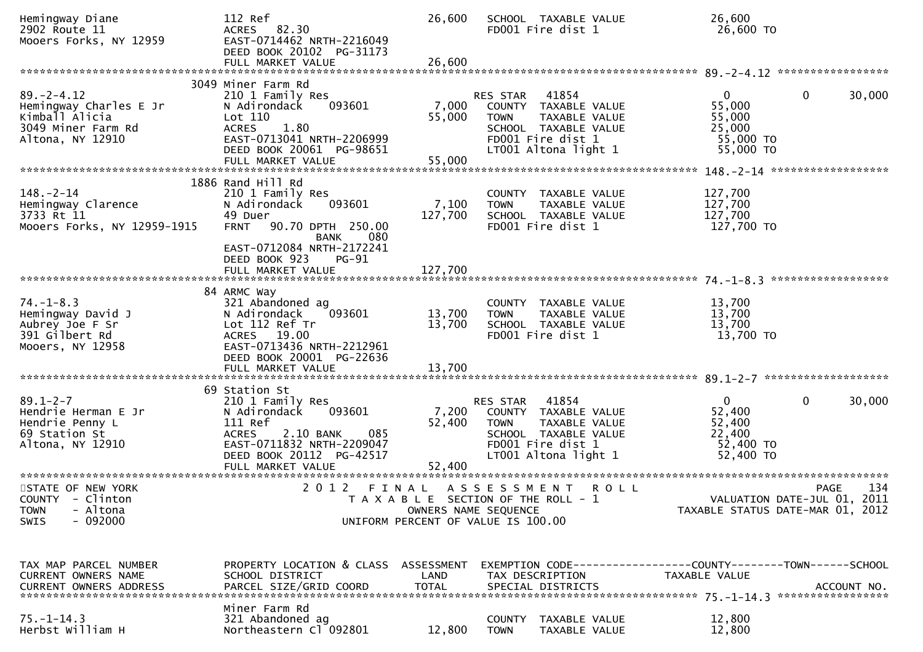| Hemingway Diane<br>2902 Route 11<br>Mooers Forks, NY 12959                                             | 112 Ref<br>ACRES 82.30<br>EAST-0714462 NRTH-2216049<br>DEED BOOK 20102 PG-31173                                                                                                          | 26,600                     | SCHOOL TAXABLE VALUE<br>FD001 Fire dist 1                                                                                                      | 26,600<br>26,600 TO                                                    |                        |
|--------------------------------------------------------------------------------------------------------|------------------------------------------------------------------------------------------------------------------------------------------------------------------------------------------|----------------------------|------------------------------------------------------------------------------------------------------------------------------------------------|------------------------------------------------------------------------|------------------------|
|                                                                                                        | 3049 Miner Farm Rd                                                                                                                                                                       |                            |                                                                                                                                                |                                                                        |                        |
| $89. - 2 - 4.12$<br>Hemingway Charles E Jr<br>Kimball Alicia<br>3049 Miner Farm Rd<br>Altona, NY 12910 | 210 1 Family Res<br>093601<br>N Adirondack<br>Lot 110<br>1.80<br><b>ACRES</b><br>EAST-0713041 NRTH-2206999<br>DEED BOOK 20061 PG-98651                                                   | 7,000<br>55,000            | RES STAR 41854<br>COUNTY TAXABLE VALUE<br>TAXABLE VALUE<br>TOWN<br>SCHOOL TAXABLE VALUE<br>FD001 Fire dist 1<br>LT001 Altona light 1           | $\overline{0}$<br>55,000<br>55,000<br>25,000<br>55,000 TO<br>55,000 TO | 30,000<br>$\mathbf 0$  |
|                                                                                                        |                                                                                                                                                                                          |                            |                                                                                                                                                |                                                                        |                        |
| $148. - 2 - 14$<br>Hemingway Clarence<br>3733 Rt 11<br>Mooers Forks, NY 12959-1915                     | 1886 Rand Hill Rd<br>210 1 Family Res<br>N Adirondack<br>093601<br>49 Duer<br>90.70 DPTH 250.00<br><b>FRNT</b><br>BANK<br>080<br>EAST-0712084 NRTH-2172241<br>DEED BOOK 923<br>PG-91     | 7,100<br>127,700           | COUNTY TAXABLE VALUE<br>TAXABLE VALUE<br><b>TOWN</b><br>SCHOOL TAXABLE VALUE<br>FD001 Fire dist 1                                              | 127,700<br>127,700<br>127,700<br>127,700 TO                            |                        |
|                                                                                                        | FULL MARKET VALUE                                                                                                                                                                        | 127,700                    |                                                                                                                                                |                                                                        |                        |
| $74. - 1 - 8.3$<br>Hemingway David J<br>Aubrey Joe F Sr<br>391 Gilbert Rd<br>Mooers, NY 12958          | 84 ARMC Way<br>321 Abandoned ag<br>093601<br>N Adirondack<br>Lot 112 Ref Tr<br>ACRES 19.00<br>EAST-0713436 NRTH-2212961<br>DEED BOOK 20001 PG-22636<br>FULL MARKET VALUE                 | 13,700<br>13,700<br>13,700 | COUNTY TAXABLE VALUE<br>TAXABLE VALUE<br><b>TOWN</b><br>SCHOOL TAXABLE VALUE<br>FD001 Fire dist 1                                              | 13,700<br>13,700<br>13,700<br>13,700 TO                                |                        |
|                                                                                                        |                                                                                                                                                                                          |                            |                                                                                                                                                |                                                                        |                        |
| $89.1 - 2 - 7$<br>Hendrie Herman E Jr<br>Hendrie Penny L<br>69 Station St<br>Altona, NY 12910          | 69 Station St<br>210 1 Family Res<br>093601<br>N Adirondack<br>111 Ref<br>2.10 BANK<br><b>ACRES</b><br>085<br>EAST-0711832 NRTH-2209047<br>DEED BOOK 20112 PG-42517<br>FULL MARKET VALUE | 7,200<br>52,400<br>52,400  | 41854<br>RES STAR<br>COUNTY TAXABLE VALUE<br>TAXABLE VALUE<br><b>TOWN</b><br>SCHOOL TAXABLE VALUE<br>FD001 Fire dist 1<br>LT001 Altona light 1 | $\mathbf{0}$<br>52,400<br>52,400<br>22,400<br>52,400 TO<br>52,400 TO   | 30,000<br>$\mathbf{0}$ |
|                                                                                                        |                                                                                                                                                                                          |                            |                                                                                                                                                |                                                                        |                        |
| STATE OF NEW YORK<br>COUNTY - Clinton<br>- Altona<br><b>TOWN</b><br>$-092000$<br>SWIS                  |                                                                                                                                                                                          | OWNERS NAME SEQUENCE       | 2012 FINAL ASSESSMENT<br><b>ROLL</b><br>T A X A B L E SECTION OF THE ROLL - 1<br>UNIFORM PERCENT OF VALUE IS 100.00                            | VALUATION DATE-JUL 01, 2011<br>TAXABLE STATUS DATE-MAR 01, 2012        | 134<br><b>PAGE</b>     |
|                                                                                                        | PROPERTY LOCATION & CLASS ASSESSMENT                                                                                                                                                     |                            |                                                                                                                                                |                                                                        |                        |
| TAX MAP PARCEL NUMBER<br>CURRENT OWNERS NAME<br><b>CURRENT OWNERS ADDRESS</b>                          | SCHOOL DISTRICT<br>PARCEL SIZE/GRID COORD                                                                                                                                                | LAND<br><b>TOTAL</b>       | EXEMPTION CODE-----------------COUNTY-------TOWN------SCHOOL<br>TAX DESCRIPTION<br>SPECIAL DISTRICTS                                           | TAXABLE VALUE                                                          | ACCOUNT NO.            |
| $75. - 1 - 14.3$<br>Herbst William H                                                                   | Miner Farm Rd<br>321 Abandoned ag<br>Northeastern Cl 092801                                                                                                                              | 12,800                     | COUNTY TAXABLE VALUE<br><b>TOWN</b><br>TAXABLE VALUE                                                                                           | 12,800<br>12,800                                                       |                        |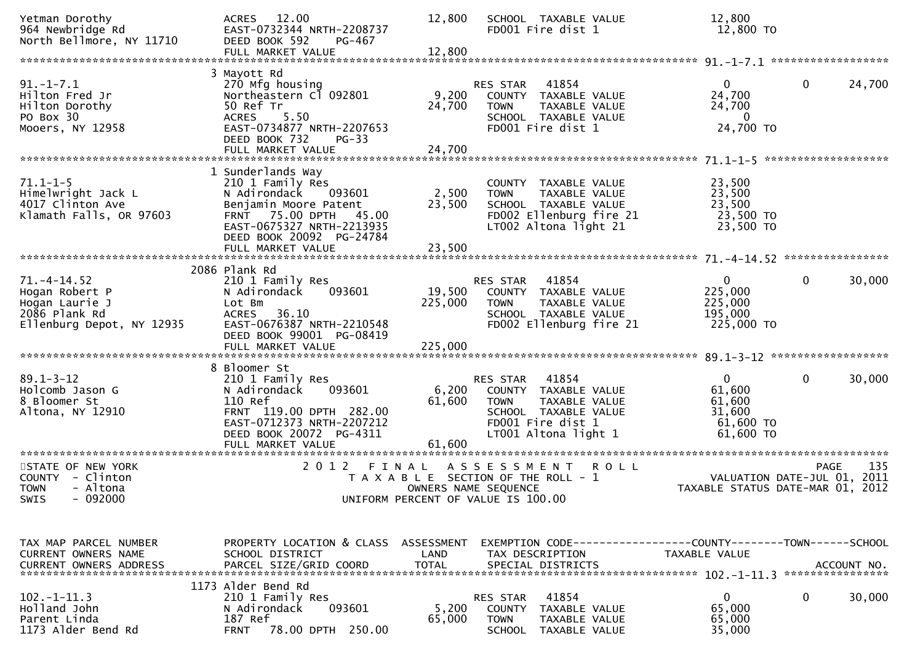| Yetman Dorothy<br>964 Newbridge Rd<br>North Bellmore, NY 11710                                     | ACRES 12.00<br>EAST-0732344 NRTH-2208737<br>DEED BOOK 592<br>PG-467<br>FULL MARKET VALUE                                                                                                        | 12,800<br>12,800          | SCHOOL TAXABLE VALUE<br>FD001 Fire dist 1                                                                                                      | 12,800<br>12,800 TO                                                  |                        |
|----------------------------------------------------------------------------------------------------|-------------------------------------------------------------------------------------------------------------------------------------------------------------------------------------------------|---------------------------|------------------------------------------------------------------------------------------------------------------------------------------------|----------------------------------------------------------------------|------------------------|
|                                                                                                    |                                                                                                                                                                                                 |                           |                                                                                                                                                |                                                                      |                        |
| $91. - 1 - 7.1$<br>Hilton Fred Jr<br>Hilton Dorothy<br>PO Box 30<br>Mooers, NY 12958               | 3 Mayott Rd<br>270 Mfg housing<br>Northeastern Cl 092801<br>50 Ref Tr<br>5.50<br><b>ACRES</b><br>EAST-0734877 NRTH-2207653<br>DEED BOOK 732<br>$PG-33$                                          | 9,200<br>24,700           | 41854<br>RES STAR<br>COUNTY TAXABLE VALUE<br>TAXABLE VALUE<br><b>TOWN</b><br>SCHOOL TAXABLE VALUE<br>FD001 Fire dist 1                         | $\Omega$<br>24,700<br>24,700<br>- 0<br>24,700 TO                     | $\mathbf 0$<br>24,700  |
|                                                                                                    |                                                                                                                                                                                                 |                           |                                                                                                                                                |                                                                      |                        |
| $71.1 - 1 - 5$<br>Himelwright Jack L<br>4017 Clinton Ave<br>Klamath Falls, OR 97603                | 1 Sunderlands Way<br>210 1 Family Res<br>N Adirondack<br>093601<br>Benjamin Moore Patent<br>FRNT 75.00 DPTH 45.00<br>EAST-0675327 NRTH-2213935<br>DEED BOOK 20092 PG-24784<br>FULL MARKET VALUE | 2,500<br>23,500<br>23,500 | COUNTY TAXABLE VALUE<br><b>TOWN</b><br>TAXABLE VALUE<br>SCHOOL TAXABLE VALUE<br>FD002 Ellenburg fire 21<br>LT002 Altona light 21               | 23,500<br>23,500<br>23,500<br>23,500 TO<br>23,500 TO                 |                        |
|                                                                                                    |                                                                                                                                                                                                 |                           |                                                                                                                                                |                                                                      |                        |
| $71. -4 - 14.52$<br>Hogan Robert P<br>Hogan Laurie J<br>2086 Plank Rd<br>Ellenburg Depot, NY 12935 | 2086 Plank Rd<br>210 1 Family Res<br>N Adirondack<br>093601<br>Lot Bm<br>ACRES 36.10<br>EAST-0676387 NRTH-2210548<br>DEED BOOK 99001 PG-08419                                                   | 19,500<br>225,000         | 41854<br>RES STAR<br>COUNTY TAXABLE VALUE<br><b>TOWN</b><br><b>TAXABLE VALUE</b><br>SCHOOL TAXABLE VALUE<br>FD002 Ellenburg fire 21            | $\mathbf{0}$<br>225,000<br>225,000<br>195,000<br>225,000 TO          | $\mathbf{0}$<br>30,000 |
|                                                                                                    |                                                                                                                                                                                                 |                           |                                                                                                                                                |                                                                      |                        |
| $89.1 - 3 - 12$<br>Holcomb Jason G<br>8 Bloomer St<br>Altona, NY 12910                             | 8 Bloomer St<br>210 1 Family Res<br>093601<br>N Adirondack<br>110 Ref<br>FRNT 119.00 DPTH 282.00<br>EAST-0712373 NRTH-2207212<br>DEED BOOK 20072 PG-4311<br>FULL MARKET VALUE                   | 6,200<br>61,600<br>61,600 | RES STAR<br>41854<br>COUNTY TAXABLE VALUE<br>TAXABLE VALUE<br><b>TOWN</b><br>SCHOOL TAXABLE VALUE<br>FD001 Fire dist 1<br>LT001 Altona light 1 | $\mathbf{0}$<br>61,600<br>61,600<br>31,600<br>61,600 TO<br>61,600 TO | $\mathbf 0$<br>30,000  |
|                                                                                                    | 2 0 1 2                                                                                                                                                                                         |                           | ASSESSMENT<br><b>ROLL</b>                                                                                                                      |                                                                      | 135                    |
| STATE OF NEW YORK<br>COUNTY - Clinton<br>- Altona<br><b>TOWN</b><br>- 092000<br>SWIS               |                                                                                                                                                                                                 | FINAL                     | T A X A B L E SECTION OF THE ROLL - 1<br>OWNERS NAME SEQUENCE<br>UNIFORM PERCENT OF VALUE IS 100.00                                            | VALUATION DATE-JUL 01, 2011<br>TAXABLE STATUS DATE-MAR 01, 2012      | <b>PAGE</b>            |
|                                                                                                    |                                                                                                                                                                                                 |                           |                                                                                                                                                |                                                                      |                        |
| TAX MAP PARCEL NUMBER<br>CURRENT OWNERS NAME                                                       | PROPERTY LOCATION & CLASS ASSESSMENT<br>SCHOOL DISTRICT                                                                                                                                         | LAND                      | EXEMPTION CODE-----------------COUNTY-------TOWN------SCHOOL<br>TAX DESCRIPTION                                                                | TAXABLE VALUE                                                        |                        |
|                                                                                                    | 1173 Alder Bend Rd                                                                                                                                                                              |                           |                                                                                                                                                |                                                                      |                        |
| $102. -1 - 11.3$<br>Holland John<br>Parent Linda<br>1173 Alder Bend Rd                             | 210 1 Family Res<br>N Adirondack<br>093601<br>187 Ref<br>78.00 DPTH 250.00<br><b>FRNT</b>                                                                                                       | 5,200<br>65,000           | 41854<br>RES STAR<br><b>COUNTY</b><br>TAXABLE VALUE<br><b>TOWN</b><br>TAXABLE VALUE<br><b>SCHOOL</b><br>TAXABLE VALUE                          | $\mathbf 0$<br>65,000<br>65,000<br>35,000                            | 30,000<br>0            |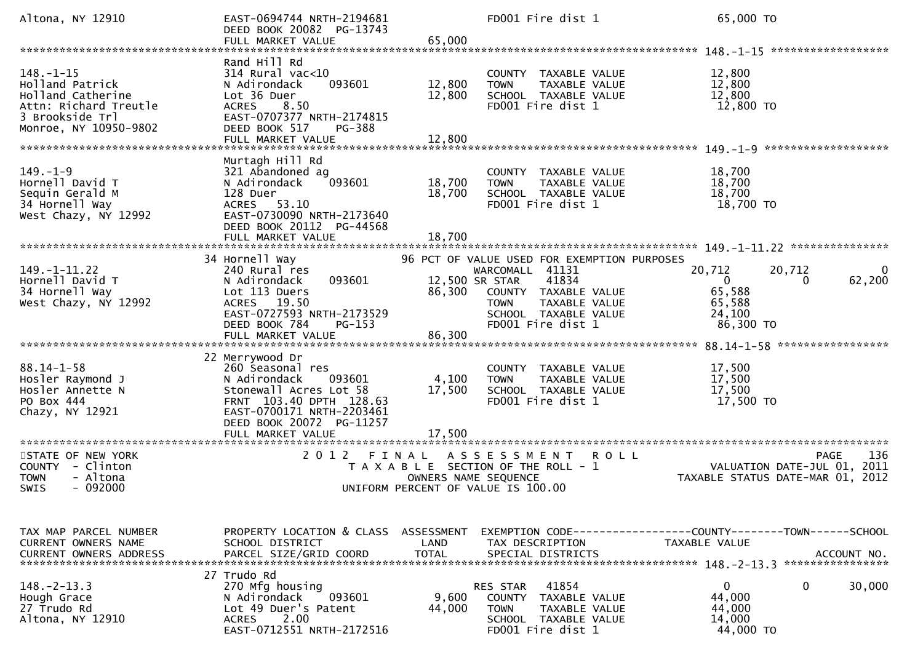| Altona, NY 12910                                                                                                             | EAST-0694744 NRTH-2194681<br>DEED BOOK 20082 PG-13743<br>FULL MARKET VALUE                                                                                                              | 65,000                             | FD001 Fire dist 1                                                                                                                                                            |               | 65,000 TO                                                                                       |
|------------------------------------------------------------------------------------------------------------------------------|-----------------------------------------------------------------------------------------------------------------------------------------------------------------------------------------|------------------------------------|------------------------------------------------------------------------------------------------------------------------------------------------------------------------------|---------------|-------------------------------------------------------------------------------------------------|
|                                                                                                                              |                                                                                                                                                                                         |                                    |                                                                                                                                                                              |               |                                                                                                 |
| $148. - 1 - 15$<br>Holland Patrick<br>Holland Catherine<br>Attn: Richard Treutle<br>3 Brookside Trl<br>Monroe, NY 10950-9802 | Rand Hill Rd<br>$314$ Rural vac<10<br>N Adirondack<br>093601<br>Lot 36 Duer<br>8.50<br><b>ACRES</b><br>EAST-0707377 NRTH-2174815<br>DEED BOOK 517<br><b>PG-388</b><br>FULL MARKET VALUE | 12,800<br>12,800<br>12,800         | COUNTY TAXABLE VALUE<br><b>TOWN</b><br>TAXABLE VALUE<br>SCHOOL TAXABLE VALUE<br>FD001 Fire dist 1                                                                            |               | 12,800<br>12,800<br>12,800<br>12,800 TO                                                         |
|                                                                                                                              | Murtagh Hill Rd                                                                                                                                                                         |                                    |                                                                                                                                                                              |               |                                                                                                 |
| $149. - 1 - 9$<br>Hornell David T<br>Sequin Gerald M<br>34 Hornell Way<br>West Chazy, NY 12992                               | 321 Abandoned ag<br>N Adirondack<br>093601<br>128 Duer<br>53.10<br>ACRES<br>EAST-0730090 NRTH-2173640<br>DEED BOOK 20112 PG-44568<br>FULL MARKET VALUE                                  | 18,700<br>18,700<br>18,700         | COUNTY TAXABLE VALUE<br><b>TOWN</b><br>TAXABLE VALUE<br>SCHOOL TAXABLE VALUE<br>FD001 Fire dist 1                                                                            |               | 18,700<br>18,700<br>18,700<br>18,700 TO                                                         |
|                                                                                                                              |                                                                                                                                                                                         |                                    |                                                                                                                                                                              |               |                                                                                                 |
| $149. - 1 - 11.22$<br>Hornell David T<br>34 Hornell Way<br>West Chazy, NY 12992                                              | 34 Hornell Way<br>240 Rural res<br>N Adirondack<br>093601<br>Lot 113 Duers<br>19.50<br><b>ACRES</b><br>EAST-0727593 NRTH-2173529<br>DEED BOOK 784<br>PG-153                             | 12,500 SR STAR<br>86,300           | 96 PCT OF VALUE USED FOR EXEMPTION PURPOSES<br>WARCOMALL 41131<br>41834<br>COUNTY TAXABLE VALUE<br>TAXABLE VALUE<br><b>TOWN</b><br>SCHOOL TAXABLE VALUE<br>FD001 Fire dist 1 | 20,712        | 20,712<br>0<br>62,200<br>0<br>0<br>65,588<br>65,588<br>24,100<br>86,300 TO                      |
|                                                                                                                              |                                                                                                                                                                                         |                                    |                                                                                                                                                                              |               |                                                                                                 |
| $88.14 - 1 - 58$<br>Hosler Raymond J<br>Hosler Annette N<br>PO Box 444<br>Chazy, NY 12921                                    | 22 Merrywood Dr<br>260 Seasonal res<br>093601<br>N Adirondack<br>Stonewall Acres Lot 58<br>FRNT 103.40 DPTH 128.63<br>EAST-0700171 NRTH-2203461<br>DEED BOOK 20072 PG-11257             | 4,100<br>17,500                    | COUNTY TAXABLE VALUE<br><b>TOWN</b><br>TAXABLE VALUE<br>SCHOOL TAXABLE VALUE<br>FD001 Fire dist 1                                                                            |               | 17,500<br>17,500<br>17,500<br>17,500 TO                                                         |
| ********************                                                                                                         | FULL MARKET VALUE<br>********************                                                                                                                                               | 17,500                             |                                                                                                                                                                              |               |                                                                                                 |
| STATE OF NEW YORK<br>- Clinton<br><b>COUNTY</b><br>- Altona<br><b>TOWN</b><br>$-092000$<br>SWIS                              | 2 0 1 2<br>FINAL                                                                                                                                                                        | OWNERS NAME SEQUENCE               | A S S E S S M E N T<br>T A X A B L E SECTION OF THE ROLL - 1<br>UNIFORM PERCENT OF VALUE IS 100.00                                                                           | R O L L       | 136<br><b>PAGE</b><br>VALUATION DATE-JUL 01, 2011<br>TAXABLE STATUS DATE-MAR 01, 2012           |
|                                                                                                                              |                                                                                                                                                                                         |                                    |                                                                                                                                                                              |               |                                                                                                 |
| TAX MAP PARCEL NUMBER<br><b>CURRENT OWNERS NAME</b><br><b>CURRENT OWNERS ADDRESS</b>                                         | PROPERTY LOCATION & CLASS<br>SCHOOL DISTRICT<br>PARCEL SIZE/GRID COORD                                                                                                                  | ASSESSMENT<br>LAND<br><b>TOTAL</b> | TAX DESCRIPTION<br>SPECIAL DISTRICTS                                                                                                                                         | TAXABLE VALUE | EXEMPTION CODE-----------------COUNTY-------TOWN------SCHOOL<br>ACCOUNT NO.<br>**************** |
| $148. - 2 - 13.3$<br>Hough Grace<br>27 Trudo Rd<br>Altona, NY 12910                                                          | 27 Trudo Rd<br>270 Mfg housing<br>093601<br>N Adirondack<br>Lot 49 Duer's Patent<br>2.00<br><b>ACRES</b><br>EAST-0712551 NRTH-2172516                                                   | 9,600<br>44,000                    | 41854<br>RES STAR<br><b>COUNTY</b><br>TAXABLE VALUE<br><b>TOWN</b><br>TAXABLE VALUE<br>SCHOOL TAXABLE VALUE<br>FD001 Fire dist 1                                             |               | $\mathbf 0$<br>0<br>30,000<br>44,000<br>44,000<br>14,000<br>44,000 TO                           |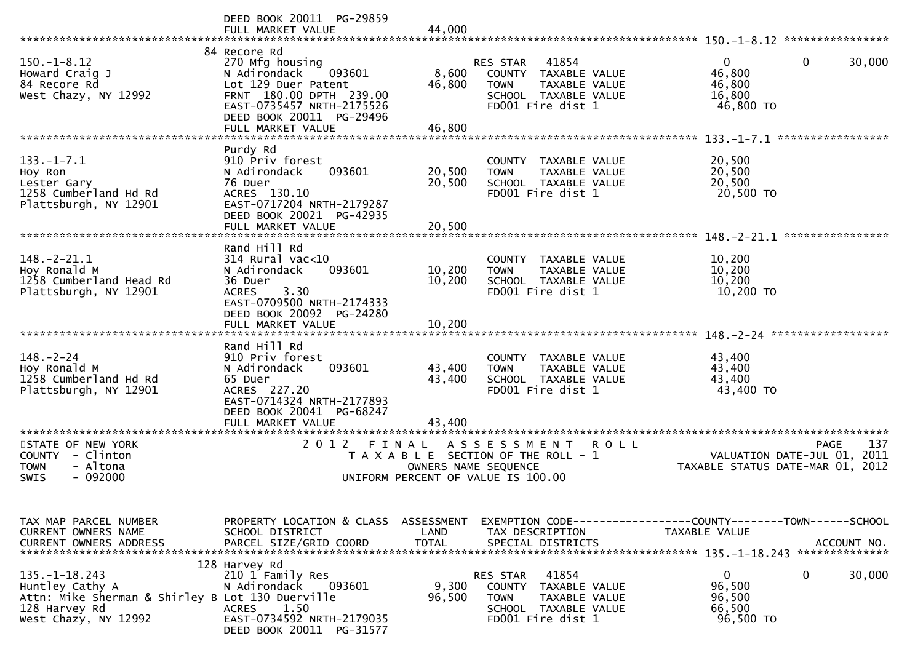|                                                  | DEED BOOK 20011 PG-29859                              |                      |                                           |                                                                     |
|--------------------------------------------------|-------------------------------------------------------|----------------------|-------------------------------------------|---------------------------------------------------------------------|
|                                                  | FULL MARKET VALUE                                     | 44,000               |                                           |                                                                     |
|                                                  |                                                       |                      |                                           |                                                                     |
| $150. - 1 - 8.12$                                | 84 Recore Rd                                          |                      | 41854                                     | $\mathbf{0}$<br>$\mathbf{0}$<br>30,000                              |
| Howard Craig J                                   | 270 Mfg housing<br>N Adirondack<br>093601             | 8,600                | <b>RES STAR</b><br>COUNTY TAXABLE VALUE   | 46,800                                                              |
| 84 Recore Rd                                     | Lot 129 Duer Patent                                   | 46,800               | TAXABLE VALUE<br><b>TOWN</b>              | 46,800                                                              |
| West Chazy, NY 12992                             | FRNT 180.00 DPTH 239.00                               |                      | SCHOOL TAXABLE VALUE                      | 16,800                                                              |
|                                                  | EAST-0735457 NRTH-2175526                             |                      | FD001 Fire dist 1                         | 46,800 TO                                                           |
|                                                  | DEED BOOK 20011 PG-29496                              |                      |                                           |                                                                     |
|                                                  | FULL MARKET VALUE                                     | 46,800               |                                           |                                                                     |
|                                                  |                                                       |                      |                                           |                                                                     |
|                                                  | Purdy Rd                                              |                      |                                           |                                                                     |
| $133. - 1 - 7.1$                                 | 910 Priv forest                                       |                      | COUNTY TAXABLE VALUE                      | 20,500                                                              |
| Hoy Ron                                          | 093601<br>N Adirondack                                | 20,500               | <b>TOWN</b><br>TAXABLE VALUE              | 20,500                                                              |
| Lester Gary                                      | 76 Duer                                               | 20,500               | SCHOOL TAXABLE VALUE                      | 20,500                                                              |
| 1258 Cumberland Hd Rd                            | ACRES 130.10                                          |                      | FD001 Fire dist 1                         | 20,500 TO                                                           |
| Plattsburgh, NY 12901                            | EAST-0717204 NRTH-2179287                             |                      |                                           |                                                                     |
|                                                  | DEED BOOK 20021 PG-42935                              |                      |                                           |                                                                     |
|                                                  | FULL MARKET VALUE                                     | 20,500               |                                           |                                                                     |
|                                                  |                                                       |                      |                                           |                                                                     |
|                                                  | Rand Hill Rd                                          |                      |                                           |                                                                     |
| $148. - 2 - 21.1$                                | $314$ Rural vac<10                                    |                      | COUNTY TAXABLE VALUE                      | 10,200                                                              |
| Hoy Ronald M                                     | N Adirondack<br>093601                                | 10,200               | TAXABLE VALUE<br><b>TOWN</b>              | 10,200                                                              |
| 1258 Cumberland Head Rd<br>Plattsburgh, NY 12901 | 36 Duer<br>3.30<br><b>ACRES</b>                       | 10,200               | SCHOOL TAXABLE VALUE<br>FD001 Fire dist 1 | 10,200<br>10,200 TO                                                 |
|                                                  | EAST-0709500 NRTH-2174333                             |                      |                                           |                                                                     |
|                                                  | DEED BOOK 20092 PG-24280                              |                      |                                           |                                                                     |
|                                                  | FULL MARKET VALUE                                     | 10,200               |                                           |                                                                     |
|                                                  |                                                       |                      |                                           |                                                                     |
|                                                  | Rand Hill Rd                                          |                      |                                           |                                                                     |
| $148. - 2 - 24$                                  | 910 Priv forest                                       |                      | COUNTY TAXABLE VALUE                      | 43,400                                                              |
| Hoy Ronald M                                     | 093601<br>N Adirondack                                | 43,400               | TAXABLE VALUE<br><b>TOWN</b>              | 43,400                                                              |
| 1258 Cumberland Hd Rd                            | 65 Duer                                               | 43,400               | SCHOOL TAXABLE VALUE                      | 43,400                                                              |
| Plattsburgh, NY 12901                            | ACRES 227.20                                          |                      | FD001 Fire dist 1                         | 43,400 TO                                                           |
|                                                  | EAST-0714324 NRTH-2177893                             |                      |                                           |                                                                     |
|                                                  | DEED BOOK 20041 PG-68247                              |                      |                                           |                                                                     |
|                                                  | FULL MARKET VALUE                                     | 43.400               |                                           |                                                                     |
|                                                  |                                                       |                      |                                           |                                                                     |
| STATE OF NEW YORK                                | 2 0 1 2<br>FINAL                                      |                      | ASSESSMENT<br><b>ROLL</b>                 | 137<br>PAGE                                                         |
| COUNTY - Clinton                                 |                                                       |                      | T A X A B L E SECTION OF THE ROLL - 1     | VALUATION DATE-JUL 01, 2011                                         |
| - Altona<br><b>TOWN</b>                          |                                                       | OWNERS NAME SEQUENCE |                                           | TAXABLE STATUS DATE-MAR 01, 2012                                    |
| <b>SWIS</b><br>- 092000                          |                                                       |                      | UNIFORM PERCENT OF VALUE IS 100.00        |                                                                     |
|                                                  |                                                       |                      |                                           |                                                                     |
|                                                  |                                                       |                      |                                           |                                                                     |
| TAX MAP PARCEL NUMBER                            | PROPERTY LOCATION & CLASS ASSESSMENT                  |                      |                                           | EXEMPTION        CODE-----------------COUNTY-------TOWN------SCHOOL |
| CURRENT OWNERS NAME                              | SCHOOL DISTRICT                                       | LAND                 | TAX DESCRIPTION                           | TAXABLE VALUE                                                       |
| <b>CURRENT OWNERS ADDRESS</b>                    | PARCEL SIZE/GRID COORD                                | <b>TOTAL</b>         | SPECIAL DISTRICTS                         | ACCOUNT NO.                                                         |
|                                                  |                                                       |                      |                                           |                                                                     |
|                                                  | 128 Harvey Rd                                         |                      |                                           |                                                                     |
| $135. - 1 - 18.243$                              | 210 1 Family Res                                      |                      | 41854<br>RES STAR                         | 0<br>30,000<br>0                                                    |
| Huntley Cathy A                                  | N Adirondack<br>093601                                | 9,300                | COUNTY TAXABLE VALUE                      | 96,500                                                              |
| Attn: Mike Sherman & Shirley B Lot 130 Duerville |                                                       | 96,500               | <b>TOWN</b><br>TAXABLE VALUE              | 96,500                                                              |
| 128 Harvey Rd                                    | 1.50<br><b>ACRES</b>                                  |                      | SCHOOL TAXABLE VALUE                      | 66,500                                                              |
| West Chazy, NY 12992                             | EAST-0734592 NRTH-2179035<br>DEED BOOK 20011 PG-31577 |                      | FD001 Fire dist 1                         | 96,500 TO                                                           |
|                                                  |                                                       |                      |                                           |                                                                     |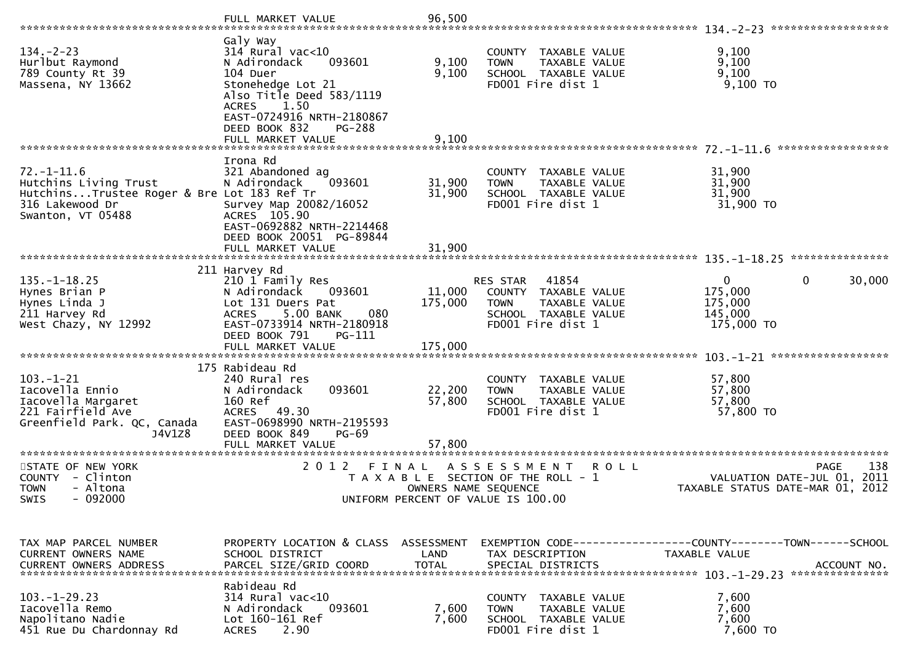|                                                                                                                                 | FULL MARKET VALUE                                                                                                                                                                                                          | 96,500                        |                                                                                                                               |                                                                                          |
|---------------------------------------------------------------------------------------------------------------------------------|----------------------------------------------------------------------------------------------------------------------------------------------------------------------------------------------------------------------------|-------------------------------|-------------------------------------------------------------------------------------------------------------------------------|------------------------------------------------------------------------------------------|
| $134. - 2 - 23$<br>Hurlbut Raymond<br>789 County Rt 39<br>Massena, NY 13662                                                     | Galy Way<br>$314$ Rural vac<10<br>093601<br>N Adirondack<br>104 Duer<br>Stonehedge Lot 21<br>Also Title Deed 583/1119<br>1.50<br>ACRES<br>EAST-0724916 NRTH-2180867<br>DEED BOOK 832<br><b>PG-288</b><br>FULL MARKET VALUE | 9,100<br>9,100<br>9,100       | COUNTY TAXABLE VALUE<br>TAXABLE VALUE<br><b>TOWN</b><br>SCHOOL TAXABLE VALUE<br>FD001 Fire dist 1                             | 9,100<br>9,100<br>9,100<br>$9,100$ TO                                                    |
|                                                                                                                                 |                                                                                                                                                                                                                            |                               |                                                                                                                               | *****************                                                                        |
| $72. - 1 - 11.6$<br>Hutchins Living Trust<br>HutchinsTrustee Roger & Bre Lot 183 Ref Tr<br>316 Lakewood Dr<br>Swanton, VT 05488 | Irona Rd<br>321 Abandoned ag<br>N Adirondack<br>093601<br>Survey Map 20082/16052<br>ACRES 105.90<br>EAST-0692882 NRTH-2214468<br>DEED BOOK 20051 PG-89844<br>FULL MARKET VALUE                                             | 31,900<br>31,900<br>31,900    | COUNTY TAXABLE VALUE<br>TAXABLE VALUE<br><b>TOWN</b><br>SCHOOL TAXABLE VALUE<br>FD001 Fire dist 1                             | 31,900<br>31,900<br>31,900<br>31,900 TO                                                  |
|                                                                                                                                 |                                                                                                                                                                                                                            |                               |                                                                                                                               |                                                                                          |
| $135. - 1 - 18.25$<br>Hynes Brian P<br>Hynes Linda J<br>211 Harvey Rd<br>West Chazy, NY 12992                                   | 211 Harvey Rd<br>210 1 Family Res<br>N Adirondack<br>093601<br>Lot 131 Duers Pat<br>5.00 BANK<br>080<br><b>ACRES</b><br>EAST-0733914 NRTH-2180918<br>DEED BOOK 791<br>PG-111                                               | 11,000<br>175,000             | 41854<br>RES STAR<br>COUNTY TAXABLE VALUE<br><b>TOWN</b><br><b>TAXABLE VALUE</b><br>SCHOOL TAXABLE VALUE<br>FD001 Fire dist 1 | $\mathbf 0$<br>$\mathbf{0}$<br>30,000<br>175,000<br>175,000<br>145,000<br>175,000 TO     |
|                                                                                                                                 |                                                                                                                                                                                                                            |                               |                                                                                                                               | ******************                                                                       |
| $103. - 1 - 21$<br>Iacovella Ennio<br>Iacovella Margaret<br>221 Fairfield Ave<br>Greenfield Park. QC, Canada<br>J4V1Z8          | 175 Rabideau Rd<br>240 Rural res<br>093601<br>N Adirondack<br>160 Ref<br>ACRES 49.30<br>EAST-0698990 NRTH-2195593<br>DEED BOOK 849<br>$PG-69$<br>FULL MARKET VALUE                                                         | 22,200<br>57,800<br>57,800    | COUNTY TAXABLE VALUE<br>TAXABLE VALUE<br><b>TOWN</b><br>SCHOOL TAXABLE VALUE<br>FD001 Fire dist 1                             | 57,800<br>57,800<br>57,800<br>57,800 TO                                                  |
|                                                                                                                                 |                                                                                                                                                                                                                            |                               |                                                                                                                               |                                                                                          |
| STATE OF NEW YORK<br>COUNTY - Clinton<br>- Altona<br><b>TOWN</b><br>$-092000$<br><b>SWIS</b>                                    | 2 0 1 2                                                                                                                                                                                                                    | FINAL<br>OWNERS NAME SEQUENCE | ASSESSMENT<br><b>ROLL</b><br>T A X A B L E SECTION OF THE ROLL - 1<br>UNIFORM PERCENT OF VALUE IS 100.00                      | 138<br><b>PAGE</b><br>VALUATION DATE-JUL 01,<br>2011<br>TAXABLE STATUS DATE-MAR 01, 2012 |
|                                                                                                                                 |                                                                                                                                                                                                                            |                               |                                                                                                                               |                                                                                          |
| TAX MAP PARCEL NUMBER<br><b>CURRENT OWNERS NAME</b><br><b>CURRENT OWNERS ADDRESS</b>                                            | PROPERTY LOCATION & CLASS ASSESSMENT<br>SCHOOL DISTRICT<br>PARCEL SIZE/GRID COORD                                                                                                                                          | LAND<br><b>TOTAL</b>          | TAX DESCRIPTION<br>SPECIAL DISTRICTS                                                                                          | TAXABLE VALUE<br>ACCOUNT NO.                                                             |
|                                                                                                                                 | Rabideau Rd                                                                                                                                                                                                                |                               |                                                                                                                               |                                                                                          |
| $103. - 1 - 29.23$<br>Iacovella Remo<br>Napolitano Nadie<br>451 Rue Du Chardonnay Rd                                            | 314 Rural vac<10<br>N Adirondack<br>093601<br>Lot 160-161 Ref<br><b>ACRES</b><br>2.90                                                                                                                                      | 7,600<br>7,600                | COUNTY TAXABLE VALUE<br><b>TAXABLE VALUE</b><br><b>TOWN</b><br>SCHOOL TAXABLE VALUE<br>FD001 Fire dist 1                      | 7,600<br>7,600<br>7,600<br>7,600 TO                                                      |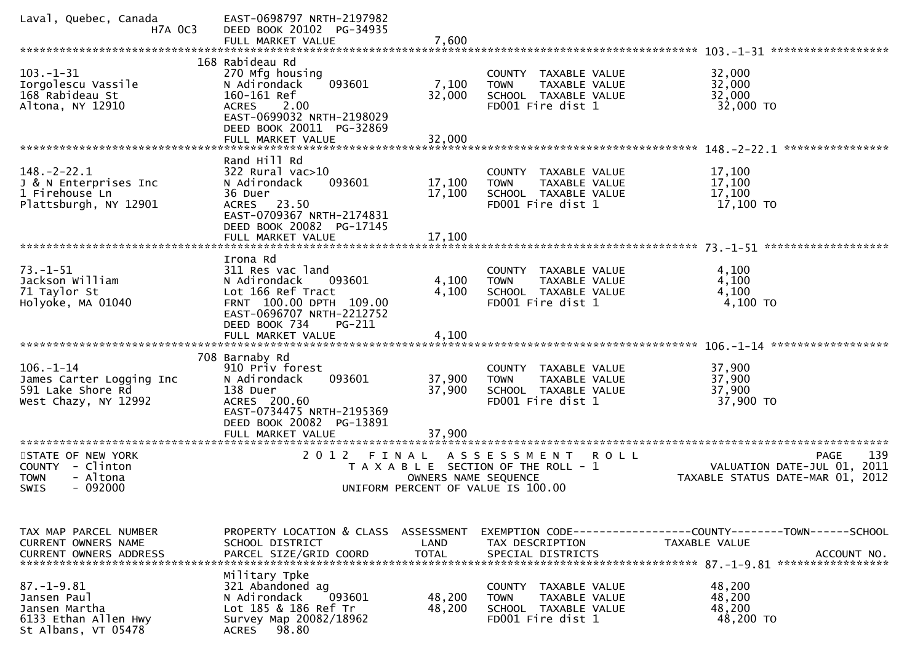| Laval, Quebec, Canada<br><b>H7A OC3</b>                                                         | EAST-0698797 NRTH-2197982<br>DEED BOOK 20102 PG-34935<br>FULL MARKET VALUE                                                                                                                 | 7,600                              |                                                                                                               |                                                                                              |
|-------------------------------------------------------------------------------------------------|--------------------------------------------------------------------------------------------------------------------------------------------------------------------------------------------|------------------------------------|---------------------------------------------------------------------------------------------------------------|----------------------------------------------------------------------------------------------|
|                                                                                                 |                                                                                                                                                                                            |                                    |                                                                                                               | 103. -1-31 ********************                                                              |
| $103. - 1 - 31$<br>Iorgolescu Vassile<br>168 Rabideau St<br>Altona, NY 12910                    | 168 Rabideau Rd<br>270 Mfg housing<br>093601<br>N Adirondack<br>160-161 Ref<br><b>ACRES</b><br>2.00<br>EAST-0699032 NRTH-2198029<br>DEED BOOK 20011 PG-32869<br>FULL MARKET VALUE          | 7,100<br>32,000<br>32,000          | COUNTY TAXABLE VALUE<br>TAXABLE VALUE<br><b>TOWN</b><br>SCHOOL TAXABLE VALUE<br>FD001 Fire dist 1             | 32,000<br>32,000<br>32,000<br>32,000 TO                                                      |
|                                                                                                 | Rand Hill Rd                                                                                                                                                                               |                                    |                                                                                                               | ****************                                                                             |
| $148. - 2 - 22.1$<br>J & N Enterprises Inc<br>1 Firehouse Ln<br>Plattsburgh, NY 12901           | 322 Rural vac>10<br>093601<br>N Adirondack<br>36 Duer<br>ACRES 23.50<br>EAST-0709367 NRTH-2174831<br>DEED BOOK 20082 PG-17145<br>FULL MARKET VALUE                                         | 17,100<br>17,100<br>17,100         | COUNTY TAXABLE VALUE<br><b>TOWN</b><br>TAXABLE VALUE<br>SCHOOL TAXABLE VALUE<br>FD001 Fire dist 1             | 17,100<br>17,100<br>17,100<br>17,100 TO                                                      |
| ************************                                                                        |                                                                                                                                                                                            |                                    |                                                                                                               |                                                                                              |
| $73. - 1 - 51$<br>Jackson William<br>71 Taylor St<br>Holyoke, MA 01040                          | Irona Rd<br>311 Res vac land<br>N Adirondack<br>093601<br>Lot 166 Ref Tract<br>FRNT 100.00 DPTH 109.00<br>EAST-0696707 NRTH-2212752<br>DEED BOOK 734<br><b>PG-211</b><br>FULL MARKET VALUE | 4,100<br>4,100<br>4,100            | COUNTY TAXABLE VALUE<br>TAXABLE VALUE<br><b>TOWN</b><br>SCHOOL TAXABLE VALUE<br>FD001 Fire dist 1             | 4,100<br>4,100<br>4,100<br>4,100 TO                                                          |
|                                                                                                 |                                                                                                                                                                                            |                                    |                                                                                                               |                                                                                              |
| $106. - 1 - 14$<br>James Carter Logging Inc<br>591 Lake Shore Rd<br>West Chazy, NY 12992        | 708 Barnaby Rd<br>910 Priv forest<br>N Adirondack<br>093601<br>138 Duer<br>ACRES 200.60<br>EAST-0734475 NRTH-2195369<br>DEED BOOK 20082 PG-13891                                           | 37,900<br>37,900                   | COUNTY TAXABLE VALUE<br>TAXABLE VALUE<br><b>TOWN</b><br>SCHOOL TAXABLE VALUE<br>FD001 Fire dist 1             | 37,900<br>37,900<br>37,900<br>37,900 TO                                                      |
| *********************                                                                           | FULL MARKET VALUE<br>********************                                                                                                                                                  | 37,900                             |                                                                                                               |                                                                                              |
| STATE OF NEW YORK<br>- Clinton<br><b>COUNTY</b><br>- Altona<br><b>TOWN</b><br>$-092000$<br>SWIS | 2 0 1 2                                                                                                                                                                                    | FINAL<br>OWNERS NAME SEQUENCE      | A S S E S S M E N T<br>R O L L<br>T A X A B L E SECTION OF THE ROLL - 1<br>UNIFORM PERCENT OF VALUE IS 100.00 | 139<br><b>PAGE</b><br>VALUATION DATE-JUL 01, 2011<br>TAXABLE STATUS DATE-MAR 01,<br>2012     |
|                                                                                                 |                                                                                                                                                                                            |                                    |                                                                                                               |                                                                                              |
| TAX MAP PARCEL NUMBER<br>CURRENT OWNERS NAME<br><b>CURRENT OWNERS ADDRESS</b>                   | PROPERTY LOCATION & CLASS<br>SCHOOL DISTRICT<br>PARCEL SIZE/GRID COORD                                                                                                                     | ASSESSMENT<br>LAND<br><b>TOTAL</b> | TAX DESCRIPTION<br>SPECIAL DISTRICTS                                                                          | EXEMPTION CODE-----------------COUNTY-------TOWN------SCHOOL<br>TAXABLE VALUE<br>ACCOUNT NO. |
| $87. - 1 - 9.81$<br>Jansen Paul<br>Jansen Martha<br>6133 Ethan Allen Hwy<br>St Albans, VT 05478 | Military Tpke<br>321 Abandoned ag<br>093601<br>N Adirondack<br>Lot 185 & 186 Ref Tr<br>Survey Map 20082/18962<br>98.80<br><b>ACRES</b>                                                     | 48,200<br>48,200                   | COUNTY TAXABLE VALUE<br>TAXABLE VALUE<br><b>TOWN</b><br>SCHOOL TAXABLE VALUE<br>FD001 Fire dist 1             | 48,200<br>48,200<br>48,200<br>48,200 TO                                                      |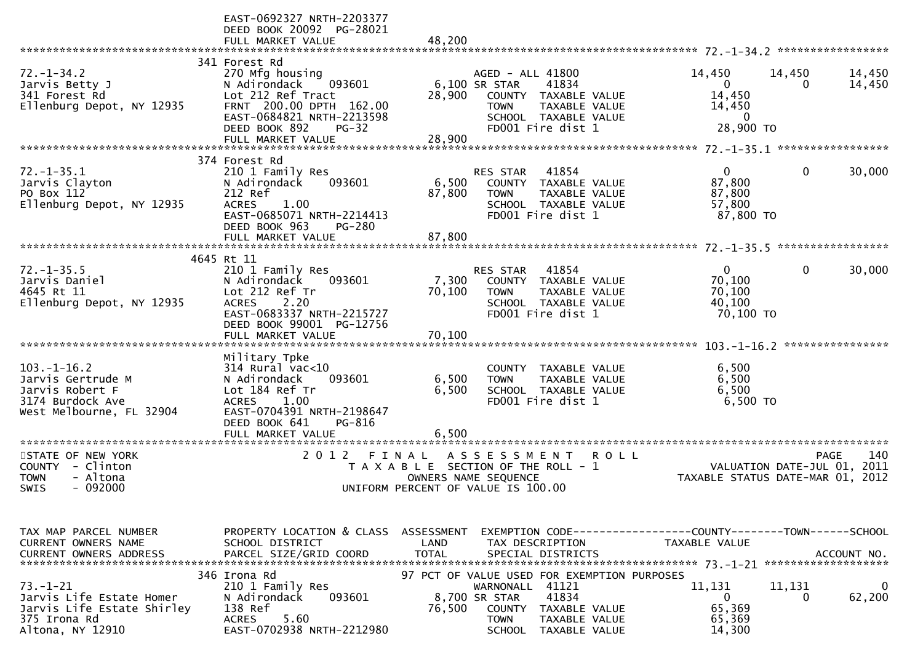|                                                                                                                                                                                                      | EAST-0692327 NRTH-2203377<br>DEED BOOK 20092 PG-28021<br>FULL MARKET VALUE                                                                                                                           | 48.200                                       |                                                                                                                                                                            |                                                 |                                                                                                                                       |                                       |                       |
|------------------------------------------------------------------------------------------------------------------------------------------------------------------------------------------------------|------------------------------------------------------------------------------------------------------------------------------------------------------------------------------------------------------|----------------------------------------------|----------------------------------------------------------------------------------------------------------------------------------------------------------------------------|-------------------------------------------------|---------------------------------------------------------------------------------------------------------------------------------------|---------------------------------------|-----------------------|
| $72. - 1 - 34.2$<br>Jarvis Betty J<br>341 Forest Rd<br>Ellenburg Depot, NY 12935                                                                                                                     | 341 Forest Rd<br>270 Mfg housing<br>N Adirondack<br>093601<br>Lot 212 Ref Tract<br>FRNT 200.00 DPTH 162.00<br>EAST-0684821 NRTH-2213598<br>DEED BOOK 892<br>$PG-32$<br>FULL MARKET VALUE             | 28,900<br>28,900                             | AGED - ALL 41800<br>6,100 SR STAR<br>41834<br>COUNTY<br><b>TOWN</b><br>SCHOOL TAXABLE VALUE<br>FD001 Fire dist 1                                                           | TAXABLE VALUE<br>TAXABLE VALUE                  | 14,450<br>0<br>14,450<br>14,450<br>$\mathbf{0}$<br>28,900 ТО                                                                          | 14,450<br>0                           | 14,450<br>14,450      |
| $72. - 1 - 35.1$<br>Jarvis Clayton<br>PO Box 112<br>Ellenburg Depot, NY 12935                                                                                                                        | 374 Forest Rd<br>210 1 Family Res<br>N Adirondack<br>093601<br>212 Ref<br><b>ACRES</b><br>1.00<br>EAST-0685071 NRTH-2214413<br>DEED BOOK 963<br><b>PG-280</b><br>FULL MARKET VALUE                   | 6,500<br>87,800<br>87,800                    | 41854<br><b>RES STAR</b><br>COUNTY TAXABLE VALUE<br><b>TOWN</b><br>SCHOOL TAXABLE VALUE<br>FD001 Fire dist 1                                                               | TAXABLE VALUE                                   | 0<br>87,800<br>87,800<br>57,800<br>87,800 TO                                                                                          | 0                                     | 30,000                |
| $72. - 1 - 35.5$<br>Jarvis Daniel<br>4645 Rt 11<br>Ellenburg Depot, NY 12935                                                                                                                         | 4645 Rt 11<br>210 1 Family Res<br>N Adirondack<br>093601<br>Lot 212 Ref Tr<br><b>ACRES</b><br>2.20<br>EAST-0683337 NRTH-2215727<br>DEED BOOK 99001 PG-12756<br>FULL MARKET VALUE                     | 7,300<br>70,100<br>70,100                    | 41854<br><b>RES STAR</b><br>COUNTY TAXABLE VALUE<br><b>TOWN</b><br>SCHOOL TAXABLE VALUE<br>FD001 Fire dist 1                                                               | <b>TAXABLE VALUE</b>                            | 0<br>70,100<br>70,100<br>40,100<br>70,100 TO                                                                                          | 0                                     | 30,000                |
| $103. - 1 - 16.2$<br>Jarvis Gertrude M<br>Jarvis Robert F<br>3174 Burdock Ave<br>West Melbourne, FL 32904                                                                                            | Military Tpke<br>$314$ Rural vac<10<br>093601<br>N Adirondack<br>Lot 184 Ref Tr<br>1.00<br><b>ACRES</b><br>EAST-0704391 NRTH-2198647<br>PG-816<br>DEED BOOK 641<br>FULL MARKET VALUE                 | 6,500<br>6,500<br>6.500                      | COUNTY<br><b>TOWN</b><br>SCHOOL TAXABLE VALUE<br>FD001 Fire dist 1                                                                                                         | TAXABLE VALUE<br>TAXABLE VALUE                  | 6,500<br>6,500<br>6,500<br>6,500 TO                                                                                                   |                                       | ****************      |
| **********************<br>STATE OF NEW YORK<br>- Clinton<br><b>COUNTY</b><br><b>TOWN</b><br>- Altona<br>SWIS<br>$-092000$                                                                            | 2 0 1 2<br>FINAL                                                                                                                                                                                     | OWNERS NAME SEQUENCE                         | A S S E S S M E N T<br>T A X A B L E SECTION OF THE ROLL - 1<br>UNIFORM PERCENT OF VALUE IS 100.00                                                                         | <b>ROLL</b>                                     | TAXABLE STATUS DATE-MAR 01,                                                                                                           | <b>PAGE</b><br>VALUATION DATE-JUL 01, | 140<br>2011<br>2012   |
| TAX MAP PARCEL NUMBER<br><b>CURRENT OWNERS NAME</b><br><b>CURRENT OWNERS ADDRESS</b><br>$73. - 1 - 21$<br>Jarvis Life Estate Homer<br>Jarvis Life Estate Shirley<br>375 Irona Rd<br>Altona, NY 12910 | PROPERTY LOCATION & CLASS<br>SCHOOL DISTRICT<br>PARCEL SIZE/GRID COORD<br>346 Irona Rd<br>210 1 Family Res<br>N Adirondack<br>093601<br>138 Ref<br>5.60<br><b>ACRES</b><br>EAST-0702938 NRTH-2212980 | ASSESSMENT<br>LAND<br><b>TOTAL</b><br>76,500 | TAX DESCRIPTION<br>SPECIAL DISTRICTS<br>97 PCT OF VALUE USED FOR EXEMPTION PURPOSES<br>WARNONALL 41121<br>8,700 SR STAR<br>41834<br>COUNTY<br><b>TOWN</b><br><b>SCHOOL</b> | TAXABLE VALUE<br>TAXABLE VALUE<br>TAXABLE VALUE | EXEMPTION CODE-----------------COUNTY-------TOWN------SCHOOL<br>TAXABLE VALUE<br>11,131<br>$\mathbf{0}$<br>65,369<br>65,369<br>14,300 | 11,131<br>0                           | ACCOUNT NO.<br>62,200 |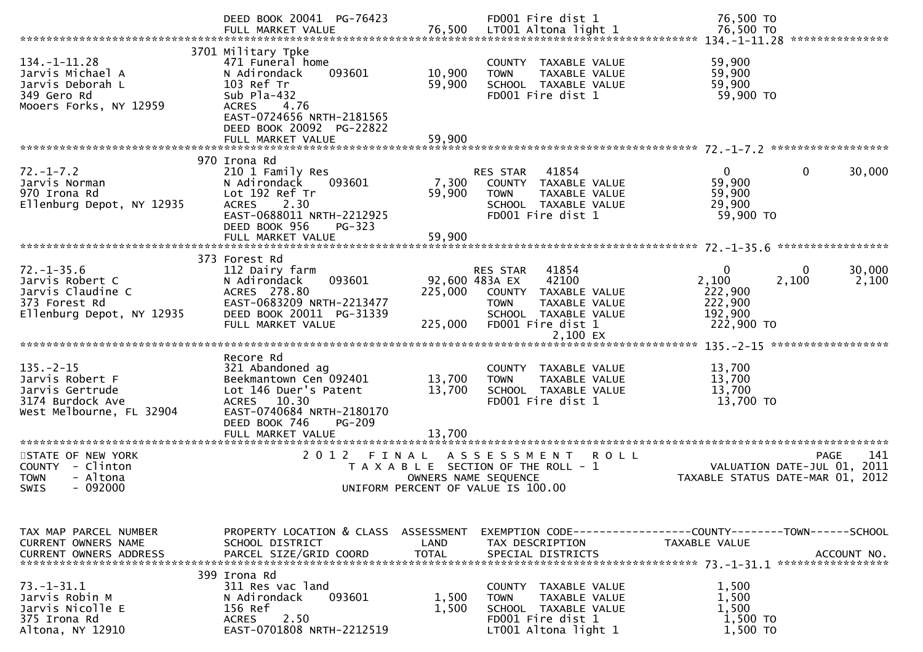|                                                                                                        | DEED BOOK 20041 PG-76423                                                                                                                                                                              |                            | FD001 Fire dist 1                                                                                                                                                    | 76,500 TO                                                                       |                               |
|--------------------------------------------------------------------------------------------------------|-------------------------------------------------------------------------------------------------------------------------------------------------------------------------------------------------------|----------------------------|----------------------------------------------------------------------------------------------------------------------------------------------------------------------|---------------------------------------------------------------------------------|-------------------------------|
| $134. - 1 - 11.28$<br>Jarvis Michael A<br>Jarvis Deborah L<br>349 Gero Rd<br>Mooers Forks, NY 12959    | 3701 Military Tpke<br>471 Funeral home<br>093601<br>N Adirondack<br>103 Ref Tr<br>Sub $P1a-432$<br>4.76<br><b>ACRES</b><br>EAST-0724656 NRTH-2181565<br>DEED BOOK 20092 PG-22822<br>FULL MARKET VALUE | 10,900<br>59,900<br>59,900 | COUNTY TAXABLE VALUE<br>TAXABLE VALUE<br><b>TOWN</b><br>SCHOOL TAXABLE VALUE<br>FD001 Fire dist 1                                                                    | 59,900<br>59,900<br>59,900<br>59,900 TO                                         |                               |
| $72. - 1 - 7.2$<br>Jarvis Norman<br>970 Irona Rd<br>Ellenburg Depot, NY 12935                          | 970 Irona Rd<br>210 1 Family Res<br>N Adirondack<br>093601<br>Lot 192 Ref Tr<br>2.30<br><b>ACRES</b><br>EAST-0688011 NRTH-2212925<br>DEED BOOK 956<br><b>PG-323</b><br>FULL MARKET VALUE              | 7,300<br>59,900<br>59,900  | 41854<br>RES STAR<br>COUNTY TAXABLE VALUE<br><b>TOWN</b><br>TAXABLE VALUE<br>SCHOOL TAXABLE VALUE<br>FD001 Fire dist 1                                               | 0<br>59,900<br>59,900<br>29,900<br>59,900 TO                                    | 30,000<br>0                   |
|                                                                                                        |                                                                                                                                                                                                       |                            |                                                                                                                                                                      |                                                                                 |                               |
| $72. - 1 - 35.6$<br>Jarvis Robert C<br>Jarvis Claudine C<br>373 Forest Rd<br>Ellenburg Depot, NY 12935 | 373 Forest Rd<br>112 Dairy farm<br>N Adirondack<br>093601<br>ACRES 278.80<br>EAST-0683209 NRTH-2213477<br>DEED BOOK 20011 PG-31339<br>FULL MARKET VALUE                                               | 225,000<br>225,000         | 41854<br><b>RES STAR</b><br>92,600 483A EX<br>42100<br>COUNTY TAXABLE VALUE<br>TAXABLE VALUE<br><b>TOWN</b><br>SCHOOL TAXABLE VALUE<br>FD001 Fire dist 1<br>2,100 EX | $\Omega$<br>2,100<br>222,900<br>222,900<br>192,900<br>222,900 TO                | 30,000<br>0<br>2,100<br>2,100 |
| $135. - 2 - 15$<br>Jarvis Robert F<br>Jarvis Gertrude<br>3174 Burdock Ave<br>West Melbourne, FL 32904  | Recore Rd<br>321 Abandoned ag<br>Beekmantown Cen 092401<br>Lot 146 Duer's Patent<br>10.30<br><b>ACRES</b><br>EAST-0740684 NRTH-2180170<br>PG-209<br>DEED BOOK 746<br>FULL MARKET VALUE                | 13,700<br>13,700<br>13,700 | COUNTY TAXABLE VALUE<br><b>TOWN</b><br>TAXABLE VALUE<br>SCHOOL TAXABLE VALUE<br>FD001 Fire dist 1                                                                    | 13,700<br>13,700<br>13,700<br>13,700 TO                                         |                               |
| STATE OF NEW YORK<br>COUNTY - Clinton<br>- Altona<br><b>TOWN</b><br>$-092000$<br><b>SWIS</b>           | 2 0 1 2<br>FINAL                                                                                                                                                                                      |                            | A S S E S S M E N T<br><b>ROLL</b><br>T A X A B L E SECTION OF THE ROLL - 1<br>OWNERS NAME SEQUENCE<br>UNIFORM PERCENT OF VALUE IS 100.00                            | VALUATION DATE-JUL 01,<br>TAXABLE STATUS DATE-MAR 01, 2012                      | 141<br><b>PAGE</b><br>2011    |
| TAX MAP PARCEL NUMBER<br>CURRENT OWNERS NAME<br><b>CURRENT OWNERS ADDRESS</b>                          | PROPERTY LOCATION & CLASS ASSESSMENT<br>SCHOOL DISTRICT<br>PARCEL SIZE/GRID COORD                                                                                                                     | LAND<br><b>TOTAL</b>       | TAX DESCRIPTION<br>SPECIAL DISTRICTS                                                                                                                                 | EXEMPTION CODE------------------COUNTY--------TOWN------SCHOOL<br>TAXABLE VALUE | ACCOUNT NO.                   |
| $73. - 1 - 31.1$<br>Jarvis Robin M<br>Jarvis Nicolle E<br>375 Irona Rd<br>Altona, NY 12910             | 399 Irona Rd<br>311 Res vac land<br>093601<br>N Adirondack<br>156 Ref<br>2.50<br><b>ACRES</b><br>EAST-0701808 NRTH-2212519                                                                            | 1,500<br>1,500             | COUNTY TAXABLE VALUE<br><b>TOWN</b><br>TAXABLE VALUE<br>SCHOOL TAXABLE VALUE<br>FD001 Fire dist 1<br>LT001 Altona light 1                                            | 1,500<br>1,500<br>1,500<br>1,500 TO<br>1,500 TO                                 |                               |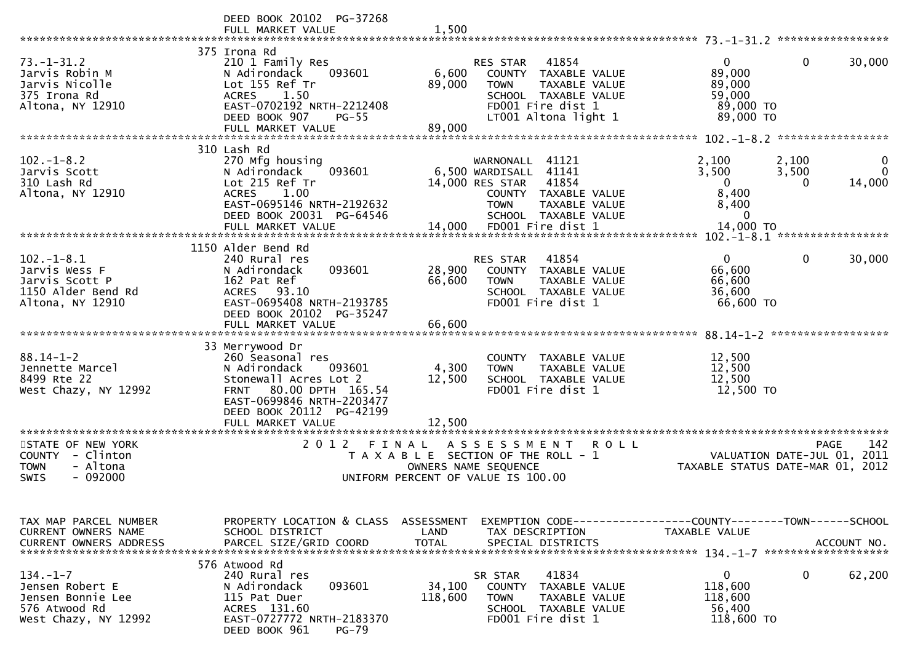|                                                                                                 | DEED BOOK 20102 PG-37268<br>FULL MARKET VALUE                                                                                                                                       | 1,500                                                                                |                                                                      |                                                                                                                     |                                                                                       |                                            |                         |
|-------------------------------------------------------------------------------------------------|-------------------------------------------------------------------------------------------------------------------------------------------------------------------------------------|--------------------------------------------------------------------------------------|----------------------------------------------------------------------|---------------------------------------------------------------------------------------------------------------------|---------------------------------------------------------------------------------------|--------------------------------------------|-------------------------|
| $73. - 1 - 31.2$<br>Jarvis Robin M<br>Jarvis Nicolle<br>375 Irona Rd<br>Altona, NY 12910        | 375 Irona Rd<br>210 1 Family Res<br>N Adirondack<br>093601<br>Lot 155 Ref Tr<br><b>ACRES</b><br>1.50<br>EAST-0702192 NRTH-2212408<br>DEED BOOK 907<br>$PG-55$<br>FULL MARKET VALUE  | 6,600<br>89,000<br>89,000                                                            | <b>RES STAR</b><br><b>TOWN</b>                                       | 41854<br>COUNTY TAXABLE VALUE<br>TAXABLE VALUE<br>SCHOOL TAXABLE VALUE<br>FD001 Fire dist 1<br>LT001 Altona light 1 | 0<br>89,000<br>89,000<br>59,000<br>89,000 TO<br>89,000 TO                             | 0                                          | 30,000                  |
|                                                                                                 | 310 Lash Rd                                                                                                                                                                         |                                                                                      |                                                                      |                                                                                                                     |                                                                                       | *****************                          |                         |
| $102 - 1 - 8.2$<br>Jarvis Scott<br>310 Lash Rd<br>Altona, NY 12910                              | 270 Mfg housing<br>093601<br>N Adirondack<br>Lot 215 Ref Tr<br>1.00<br><b>ACRES</b><br>EAST-0695146 NRTH-2192632<br>DEED BOOK 20031 PG-64546<br>FULL MARKET VALUE                   | 14.000                                                                               | WARNONALL 41121<br>6,500 WARDISALL<br>14,000 RES STAR<br><b>TOWN</b> | 41141<br>41854<br>COUNTY TAXABLE VALUE<br>TAXABLE VALUE<br>SCHOOL TAXABLE VALUE<br>FD001 Fire dist 1                | 2,100<br>3,500<br>$\mathbf 0$<br>8,400<br>8,400<br>$\mathbf 0$<br>14,000 TO           | 2,100<br>3,500<br>0                        | 0<br>$\Omega$<br>14,000 |
|                                                                                                 | *******************************                                                                                                                                                     |                                                                                      |                                                                      |                                                                                                                     |                                                                                       | $102 - 1 - 8.1$ ******************         |                         |
| $102. -1 - 8.1$<br>Jarvis Wess F<br>Jarvis Scott P<br>1150 Alder Bend Rd<br>Altona, NY 12910    | 1150 Alder Bend Rd<br>240 Rural res<br>093601<br>N Adirondack<br>162 Pat Ref<br>ACRES 93.10<br>EAST-0695408 NRTH-2193785<br>DEED BOOK 20102 PG-35247<br>FULL MARKET VALUE           | 28,900<br>66,600<br>66,600                                                           | <b>RES STAR</b><br><b>TOWN</b>                                       | 41854<br>COUNTY TAXABLE VALUE<br>TAXABLE VALUE<br>SCHOOL TAXABLE VALUE<br>FD001 Fire dist 1                         | $\mathbf{0}$<br>66,600<br>66,600<br>36,600<br>66,600 TO                               | 0                                          | 30,000                  |
|                                                                                                 |                                                                                                                                                                                     |                                                                                      |                                                                      |                                                                                                                     |                                                                                       | ******************                         |                         |
| $88.14 - 1 - 2$<br>Jennette Marcel<br>8499 Rte 22<br>West Chazy, NY 12992                       | 33 Merrywood Dr<br>260 Seasonal res<br>093601<br>N Adirondack<br>Stonewall Acres Lot 2<br>80.00 DPTH 165.54<br><b>FRNT</b><br>EAST-0699846 NRTH-2203477<br>DEED BOOK 20112 PG-42199 | 4,300<br>12,500                                                                      | <b>TOWN</b>                                                          | COUNTY TAXABLE VALUE<br>TAXABLE VALUE<br>SCHOOL TAXABLE VALUE<br>FD001 Fire dist 1                                  | 12,500<br>12,500<br>12,500<br>12,500 TO                                               |                                            |                         |
|                                                                                                 | FULL MARKET VALUE                                                                                                                                                                   | 12,500                                                                               |                                                                      |                                                                                                                     |                                                                                       |                                            |                         |
| STATE OF NEW YORK<br>- Clinton<br><b>COUNTY</b><br>- Altona<br><b>TOWN</b><br>$-092000$<br>SWIS | 2 0 1 2                                                                                                                                                                             | FINAL<br>T A X A B L E SECTION OF THE ROLL - 1<br>UNIFORM PERCENT OF VALUE IS 100.00 | A S S E S S M E N T<br>OWNERS NAME SEQUENCE                          | R O L L                                                                                                             | TAXABLE STATUS DATE-MAR 01, 2012                                                      | <b>PAGE</b><br>VALUATION DATE-JUL 01, 2011 | 142                     |
| TAX MAP PARCEL NUMBER<br>CURRENT OWNERS NAME<br><b>CURRENT OWNERS ADDRESS</b>                   | PROPERTY LOCATION & CLASS ASSESSMENT<br>SCHOOL DISTRICT<br>PARCEL SIZE/GRID COORD                                                                                                   | LAND<br><b>TOTAL</b>                                                                 |                                                                      | TAX DESCRIPTION<br>SPECIAL DISTRICTS                                                                                | EXEMPTION        CODE------------------COUNTY-------TOWN------SCHOOL<br>TAXABLE VALUE |                                            | ACCOUNT NO.             |
| $134. - 1 - 7$<br>Jensen Robert E<br>Jensen Bonnie Lee<br>576 Atwood Rd<br>West Chazy, NY 12992 | 576 Atwood Rd<br>240 Rural res<br>093601<br>N Adirondack<br>115 Pat Duer<br>ACRES 131.60<br>EAST-0727772 NRTH-2183370<br>DEED BOOK 961<br><b>PG-79</b>                              | 34,100<br>118,600                                                                    | SR STAR<br>COUNTY<br><b>TOWN</b>                                     | 41834<br>TAXABLE VALUE<br>TAXABLE VALUE<br>SCHOOL TAXABLE VALUE<br>FD001 Fire dist 1                                | 0<br>118,600<br>118,600<br>56,400<br>118,600 TO                                       | 0                                          | 62,200                  |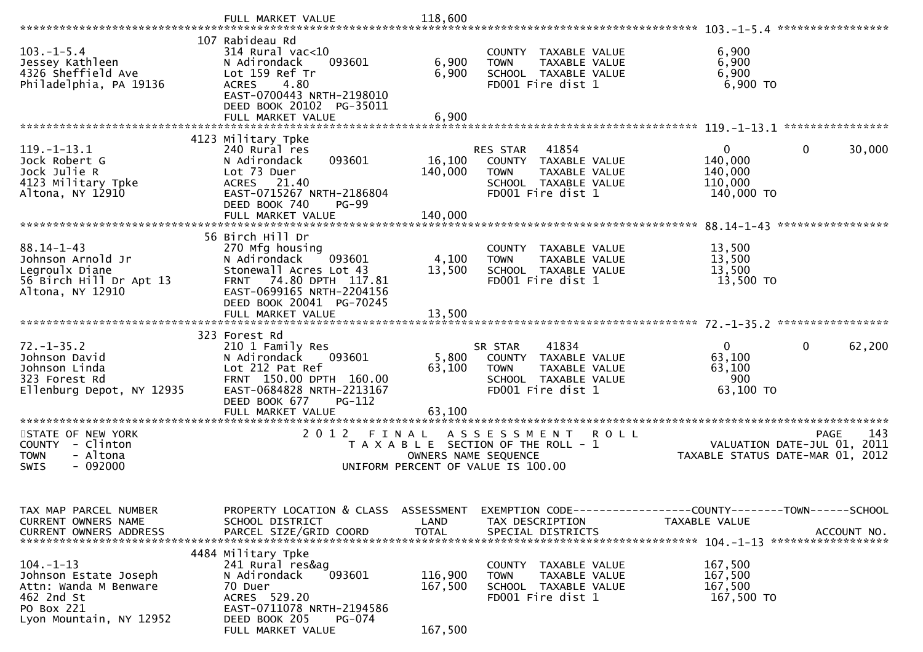|                                                                                                                          | FULL MARKET VALUE                                                                                                                                                                       | 118,600                            |                                                                                                                                           |                                                         |                                    |
|--------------------------------------------------------------------------------------------------------------------------|-----------------------------------------------------------------------------------------------------------------------------------------------------------------------------------------|------------------------------------|-------------------------------------------------------------------------------------------------------------------------------------------|---------------------------------------------------------|------------------------------------|
| $103. -1 - 5.4$<br>Jessey Kathleen<br>4326 Sheffield Ave<br>Philadelphia, PA 19136                                       | 107 Rabideau Rd<br>$314$ Rural vac<10<br>093601<br>N Adirondack<br>Lot 159 Ref Tr<br><b>ACRES</b><br>4.80<br>EAST-0700443 NRTH-2198010<br>DEED BOOK 20102 PG-35011<br>FULL MARKET VALUE | 6,900<br>6,900<br>6,900            | COUNTY TAXABLE VALUE<br>TAXABLE VALUE<br><b>TOWN</b><br>SCHOOL TAXABLE VALUE<br>FD001 Fire dist 1                                         | 6,900<br>6,900<br>6,900<br>6,900 TO                     |                                    |
|                                                                                                                          | 4123 Military Tpke                                                                                                                                                                      |                                    |                                                                                                                                           |                                                         |                                    |
| $119. - 1 - 13.1$<br>Jock Robert G<br>Jock Julie R<br>4123 Military Tpke<br>Altona, NY 12910                             | 240 Rural res<br>093601<br>N Adirondack<br>Lot 73 Duer<br><b>ACRES</b><br>21.40<br>EAST-0715267 NRTH-2186804<br>DEED BOOK 740<br>$PG-99$                                                | 16,100<br>140,000                  | 41854<br>RES STAR<br>COUNTY TAXABLE VALUE<br><b>TOWN</b><br>TAXABLE VALUE<br>SCHOOL TAXABLE VALUE<br>FD001 Fire dist 1                    | $\Omega$<br>140,000<br>140,000<br>110,000<br>140,000 TO | 0<br>30,000                        |
|                                                                                                                          |                                                                                                                                                                                         |                                    |                                                                                                                                           |                                                         | *****************                  |
| $88.14 - 1 - 43$<br>Johnson Arnold Jr<br>Legroulx Diane<br>56 Birch Hill Dr Apt 13<br>Altona, NY 12910                   | 56 Birch Hill Dr<br>270 Mfg housing<br>N Adirondack<br>093601<br>Stonewall Acres Lot 43<br>74.80 DPTH 117.81<br><b>FRNT</b><br>EAST-0699165 NRTH-2204156<br>DEED BOOK 20041 PG-70245    | 4,100<br>13,500                    | COUNTY TAXABLE VALUE<br><b>TOWN</b><br>TAXABLE VALUE<br>SCHOOL TAXABLE VALUE<br>FD001 Fire dist 1                                         | 13,500<br>13,500<br>13,500<br>13,500 TO                 |                                    |
|                                                                                                                          |                                                                                                                                                                                         |                                    |                                                                                                                                           |                                                         |                                    |
| $72. - 1 - 35.2$<br>Johnson David<br>Johnson Linda<br>323 Forest Rd<br>Ellenburg Depot, NY 12935                         | 323 Forest Rd<br>210 1 Family Res<br>N Adirondack<br>093601<br>Lot 212 Pat Ref<br>FRNT 150.00 DPTH 160.00<br>EAST-0684828 NRTH-2213167<br>DEED BOOK 677<br>PG-112                       | 5,800<br>63,100                    | 41834<br>SR STAR<br>COUNTY TAXABLE VALUE<br>TAXABLE VALUE<br><b>TOWN</b><br>SCHOOL TAXABLE VALUE<br>FD001 Fire dist 1                     | $\mathbf{0}$<br>63,100<br>63,100<br>900<br>63,100 TO    | 0<br>62,200                        |
|                                                                                                                          |                                                                                                                                                                                         |                                    |                                                                                                                                           |                                                         |                                    |
| STATE OF NEW YORK<br>COUNTY - Clinton<br><b>TOWN</b><br>- Altona<br><b>SWIS</b><br>- 092000                              | 2 0 1 2                                                                                                                                                                                 | FINAL                              | A S S E S S M E N T<br><b>ROLL</b><br>T A X A B L E SECTION OF THE ROLL - 1<br>OWNERS NAME SEQUENCE<br>UNIFORM PERCENT OF VALUE IS 100.00 | VALUATION DATE-JUL 01,<br>TAXABLE STATUS DATE-MAR 01,   | 143<br><b>PAGE</b><br>2011<br>2012 |
| TAX MAP PARCEL NUMBER<br>CURRENT OWNERS NAME<br>CURRENT OWNERS ADDRESS                                                   | PROPERTY LOCATION & CLASS<br>SCHOOL DISTRICT<br>PARCEL SIZE/GRID COORD                                                                                                                  | ASSESSMENT<br>LAND<br><b>TOTAL</b> | EXEMPTION CODE-----------------COUNTY--------TOWN------SCHOOL<br>TAX DESCRIPTION<br>SPECIAL DISTRICTS                                     | TAXABLE VALUE                                           | ACCOUNT NO.                        |
| $104. - 1 - 13$<br>Johnson Estate Joseph<br>Attn: Wanda M Benware<br>462 2nd St<br>PO Box 221<br>Lyon Mountain, NY 12952 | 4484 Military Tpke<br>241 Rural res&ag<br>093601<br>N Adirondack<br>70 Duer<br>ACRES 529.20<br>EAST-0711078 NRTH-2194586<br>DEED BOOK 205<br>PG-074<br>FULL MARKET VALUE                | 116,900<br>167,500<br>167,500      | COUNTY TAXABLE VALUE<br>TAXABLE VALUE<br><b>TOWN</b><br>SCHOOL TAXABLE VALUE<br>FD001 Fire dist 1                                         | 167,500<br>167,500<br>167,500<br>167,500 TO             |                                    |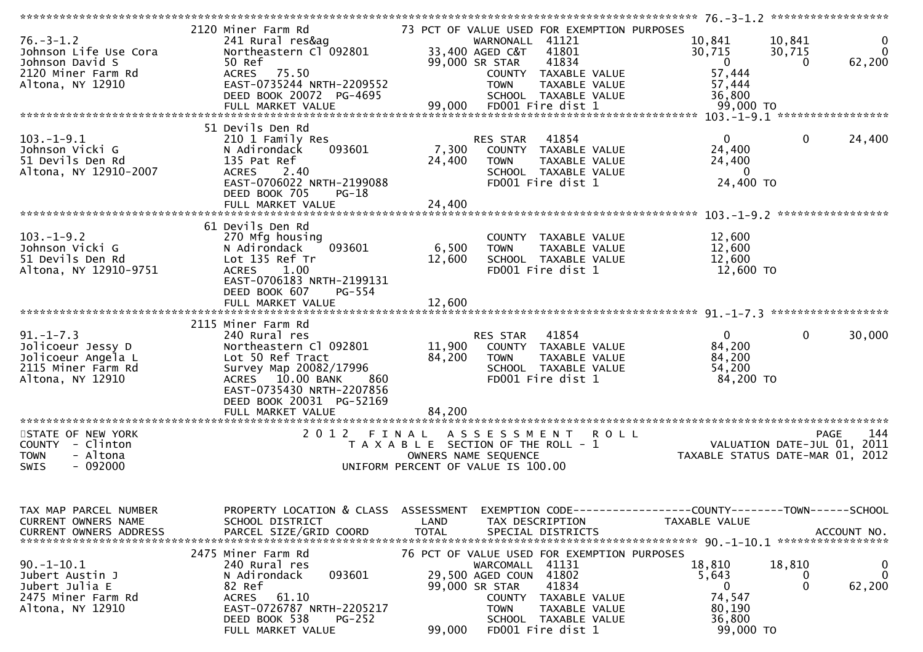|                               | 2120 Miner Farm Rd                             |                      | 73 PCT OF VALUE USED FOR EXEMPTION PURPOSES |                                                                             |                        |
|-------------------------------|------------------------------------------------|----------------------|---------------------------------------------|-----------------------------------------------------------------------------|------------------------|
| $76. - 3 - 1.2$               | 241 Rural res&ag                               |                      | WARNONALL 41121                             | 10,841                                                                      | 10,841<br>$\bf{0}$     |
| Johnson Life Use Cora         | Northeastern Cl 092801                         |                      | 33,400 AGED C&T<br>41801                    | 30,715                                                                      | $\Omega$<br>30,715     |
| Johnson David S               | 50 Ref                                         |                      | 41834<br>99,000 SR STAR                     | $\overline{0}$                                                              | 62,200<br>$\Omega$     |
|                               |                                                |                      |                                             |                                                                             |                        |
| 2120 Miner Farm Rd            | ACRES 75.50                                    |                      | COUNTY TAXABLE VALUE                        | 57,444                                                                      |                        |
| Altona, NY 12910              | EAST-0735244 NRTH-2209552                      |                      | TAXABLE VALUE<br><b>TOWN</b>                | 57,444                                                                      |                        |
|                               | DEED BOOK 20072 PG-4695                        |                      | SCHOOL TAXABLE VALUE                        | 36,800                                                                      |                        |
|                               |                                                |                      |                                             |                                                                             |                        |
|                               |                                                |                      |                                             |                                                                             |                        |
|                               | 51 Devils Den Rd                               |                      |                                             |                                                                             |                        |
|                               |                                                |                      |                                             |                                                                             |                        |
| $103.-1-9.1$                  | 210 1 Family Res                               |                      | RES STAR 41854                              | $\overline{0}$                                                              | $\mathbf 0$<br>24,400  |
| Johnson Vicki G               | N Adirondack<br>093601                         |                      | 7,300 COUNTY TAXABLE VALUE                  | 24,400                                                                      |                        |
| 51 Devils Den Rd              | 135 Pat Ref                                    | 24,400               | TAXABLE VALUE<br><b>TOWN</b>                | 24,400                                                                      |                        |
| Altona, NY 12910-2007         | ACRES 2.40                                     |                      | SCHOOL TAXABLE VALUE                        | $\bf{0}$                                                                    |                        |
|                               | EAST-0706022 NRTH-2199088                      |                      | FD001 Fire dist 1                           | 24,400 TO                                                                   |                        |
|                               | DEED BOOK 705<br>PG-18                         |                      |                                             |                                                                             |                        |
|                               |                                                |                      |                                             |                                                                             |                        |
|                               |                                                |                      |                                             |                                                                             | *****************      |
|                               |                                                |                      |                                             |                                                                             |                        |
|                               | 61 Devils Den Rd                               |                      |                                             |                                                                             |                        |
| $103. -1 - 9.2$               | 270 Mfg housing                                |                      | COUNTY TAXABLE VALUE                        | 12,600                                                                      |                        |
| Johnson Vicki G               | 093601<br>N Adirondack                         | 6,500                | TAXABLE VALUE<br><b>TOWN</b>                | 12,600                                                                      |                        |
| 51 Devils Den Rd              | Lot 135 Ref Tr                                 | 12,600               | SCHOOL TAXABLE VALUE                        | 12,600                                                                      |                        |
| Altona, NY 12910-9751         | ACRES 1.00                                     |                      | FD001 Fire dist 1                           | 12,600 TO                                                                   |                        |
|                               |                                                |                      |                                             |                                                                             |                        |
|                               | EAST-0706183 NRTH-2199131                      |                      |                                             |                                                                             |                        |
|                               | DEED BOOK 607<br>PG-554                        |                      |                                             |                                                                             |                        |
|                               | FULL MARKET VALUE                              | 12,600               |                                             |                                                                             |                        |
|                               |                                                |                      |                                             |                                                                             |                        |
|                               | 2115 Miner Farm Rd                             |                      |                                             |                                                                             |                        |
| $91. - 1 - 7.3$               | 240 Rural res                                  |                      | RES STAR 41854                              | $\overline{0}$                                                              | $\mathbf 0$<br>30,000  |
|                               |                                                |                      |                                             |                                                                             |                        |
|                               |                                                |                      |                                             |                                                                             |                        |
| Jolicoeur Jessy D             | Northeastern Cl 092801                         |                      | 11,900 COUNTY TAXABLE VALUE                 | 84,200                                                                      |                        |
| Jolicoeur Angela L            | Lot 50 Ref Tract                               | 84,200               | <b>TOWN</b><br>TAXABLE VALUE                | 84,200                                                                      |                        |
| 2115 Miner Farm Rd            | Survey Map 20082/17996                         |                      | SCHOOL TAXABLE VALUE                        | 54,200                                                                      |                        |
| Altona, NY 12910              | ACRES 10.00 BANK<br>860                        |                      | FD001 Fire dist 1                           | 84,200 TO                                                                   |                        |
|                               |                                                |                      |                                             |                                                                             |                        |
|                               | EAST-0735430 NRTH-2207856                      |                      |                                             |                                                                             |                        |
|                               | DEED BOOK 20031 PG-52169                       |                      |                                             |                                                                             |                        |
|                               | FULL MARKET VALUE                              | 84,200               |                                             |                                                                             |                        |
|                               |                                                |                      |                                             |                                                                             |                        |
| STATE OF NEW YORK             | 2012 FINAL                                     |                      | ASSESSMENT ROLL                             |                                                                             | 144<br>PAGE            |
| COUNTY - Clinton              |                                                |                      | T A X A B L E SECTION OF THE ROLL - 1       |                                                                             |                        |
| - Altona<br><b>TOWN</b>       |                                                | OWNERS NAME SEQUENCE |                                             |                                                                             |                        |
| $-092000$<br><b>SWIS</b>      |                                                |                      | UNIFORM PERCENT OF VALUE IS 100.00          | PAGE 144<br>VALUATION DATE-JUL 01, 2011<br>TAXABLE STATUS DATE-MAR 01, 2012 |                        |
|                               |                                                |                      |                                             |                                                                             |                        |
|                               |                                                |                      |                                             |                                                                             |                        |
|                               |                                                |                      |                                             |                                                                             |                        |
|                               |                                                |                      |                                             |                                                                             |                        |
| TAX MAP PARCEL NUMBER         | PROPERTY LOCATION & CLASS ASSESSMENT           |                      |                                             | EXEMPTION CODE-----------------COUNTY-------TOWN------SCHOOL                |                        |
| CURRENT OWNERS NAME           | SCHOOL DISTRICT                                | LAND                 | TAX DESCRIPTION                             | TAXABLE VALUE                                                               |                        |
| <b>CURRENT OWNERS ADDRESS</b> | PARCEL SIZE/GRID COORD                         | <b>TOTAL</b>         | SPECIAL DISTRICTS                           |                                                                             | ACCOUNT NO.            |
|                               |                                                |                      |                                             |                                                                             |                        |
|                               |                                                |                      |                                             |                                                                             |                        |
|                               | 2475 Miner Farm Rd                             |                      | 76 PCT OF VALUE USED FOR EXEMPTION PURPOSES |                                                                             |                        |
| $90.-1-10.1$                  | 240 Rural res                                  |                      | WARCOMALL 41131                             | 18,810                                                                      | 18,810<br>0            |
| Jubert Austin J               | 093601<br>N Adirondack                         |                      | 29,500 AGED COUN 41802                      | 5,643                                                                       | $\Omega$<br>0          |
| Jubert Julia E                | 82 Ref                                         | 99,000 SR STAR       | 41834                                       | $\mathbf{0}$                                                                | 62,200<br>$\mathbf{0}$ |
| 2475 Miner Farm Rd            | ACRES<br>61.10                                 |                      | COUNTY TAXABLE VALUE                        | 74,547                                                                      |                        |
|                               | EAST-0726787 NRTH-2205217                      |                      | TAXABLE VALUE<br><b>TOWN</b>                | 80,190                                                                      |                        |
| Altona, NY 12910              |                                                |                      |                                             |                                                                             |                        |
|                               | DEED BOOK 538<br>$PG-252$<br>FULL MARKET VALUE | 99,000               | SCHOOL TAXABLE VALUE<br>FD001 Fire dist 1   | 36,800<br>99,000 TO                                                         |                        |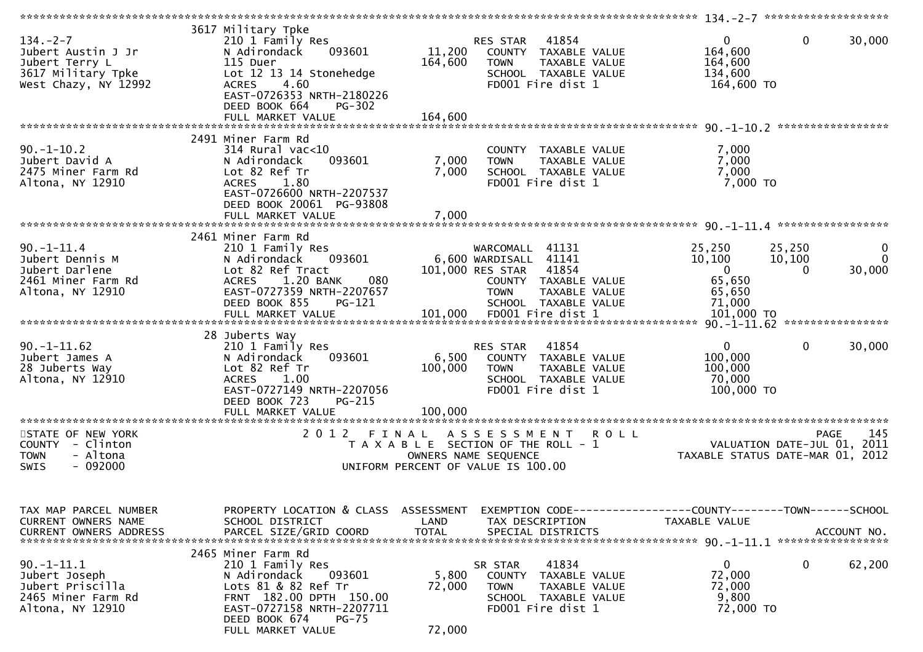| $134. - 2 - 7$<br>Jubert Austin J Jr<br>Jubert Terry L<br>3617 Military Tpke<br>West Chazy, NY 12992 | 3617 Military Tpke<br>210 1 Family Res<br>093601<br>N Adirondack<br>115 Duer<br>Lot 12 13 14 Stonehedge<br>4.60<br><b>ACRES</b><br>EAST-0726353 NRTH-2180226<br>DEED BOOK 664<br>$PG-302$             | 11,200<br>164,600                  | RES STAR 41854<br>COUNTY TAXABLE VALUE<br>TAXABLE VALUE<br><b>TOWN</b><br>SCHOOL TAXABLE VALUE<br>FD001 Fire dist 1                                | $\overline{0}$<br>164,600<br>164,600<br>134,600<br>164,600 TO                | $\mathbf 0$<br>30,000                                                          |
|------------------------------------------------------------------------------------------------------|-------------------------------------------------------------------------------------------------------------------------------------------------------------------------------------------------------|------------------------------------|----------------------------------------------------------------------------------------------------------------------------------------------------|------------------------------------------------------------------------------|--------------------------------------------------------------------------------|
|                                                                                                      | FULL MARKET VALUE                                                                                                                                                                                     | 164,600                            |                                                                                                                                                    |                                                                              |                                                                                |
| $90. -1 - 10.2$<br>Jubert David A<br>2475 Miner Farm Rd<br>Altona, NY 12910                          | 2491 Miner Farm Rd<br>$314$ Rural vac<10<br>093601<br>N Adirondack<br>Lot 82 Ref Tr<br>ACRES 1.80<br>EAST-0726600 NRTH-2207537<br>DEED BOOK 20061 PG-93808                                            | 7,000<br>7,000                     | COUNTY TAXABLE VALUE<br>TAXABLE VALUE<br><b>TOWN</b><br>SCHOOL TAXABLE VALUE<br>FD001 Fire dist 1                                                  | 7,000<br>7,000<br>7,000<br>7,000 TO                                          |                                                                                |
|                                                                                                      |                                                                                                                                                                                                       |                                    |                                                                                                                                                    |                                                                              |                                                                                |
| $90. -1 - 11.4$<br>Jubert Dennis M<br>Jubert Darlene<br>2461 Miner Farm Rd<br>Altona, NY 12910       | 2461 Miner Farm Rd<br>210 1 Family Res<br>093601<br>N Adirondack<br>Lot 82 Ref Tract<br>1.20 BANK<br>080<br><b>ACRES</b><br>EAST-0727359 NRTH-2207657<br>DEED BOOK 855<br>PG-121                      |                                    | WARCOMALL 41131<br>6,600 WARDISALL 41141<br>101,000 RES STAR 41854<br>COUNTY TAXABLE VALUE<br><b>TOWN</b><br>TAXABLE VALUE<br>SCHOOL TAXABLE VALUE | 25,250<br>10,100<br>$\mathbf{0}$<br>65,650<br>65,650<br>71,000               | 25,250<br>$\bf{0}$<br>$\Omega$<br>10,100<br>30,000<br>$\Omega$                 |
| $90. -1 - 11.62$<br>Jubert James A<br>28 Juberts Way<br>Altona, NY 12910                             | 28 Juberts Way<br>210 1 Family Res<br>093601<br>N Adirondack<br>Lot 82 Ref Tr<br>1.00<br><b>ACRES</b><br>EAST-0727149 NRTH-2207056<br>DEED BOOK 723<br>$PG-215$<br>FULL MARKET VALUE                  | 6,500<br>100,000<br>100,000        | RES STAR 41854<br>COUNTY TAXABLE VALUE<br><b>TOWN</b><br>TAXABLE VALUE<br>SCHOOL TAXABLE VALUE<br>FD001 Fire dist 1                                | $\mathbf{0}$<br>100,000<br>100,000<br>70,000<br>100,000 TO                   | 30,000<br>$\overline{0}$                                                       |
|                                                                                                      |                                                                                                                                                                                                       |                                    |                                                                                                                                                    |                                                                              |                                                                                |
| STATE OF NEW YORK<br>COUNTY - Clinton<br>- Altona<br><b>TOWN</b><br>$-092000$<br><b>SWIS</b>         | 2012 FINAL                                                                                                                                                                                            |                                    | ASSESSMENT ROLL<br>T A X A B L E SECTION OF THE ROLL - 1<br>OWNERS NAME SEQUENCE<br>UNIFORM PERCENT OF VALUE IS 100.00                             |                                                                              | 145<br>PAGE<br>VALUATION DATE-JUL 01, 2011<br>TAXABLE STATUS DATE-MAR 01, 2012 |
| TAX MAP PARCEL NUMBER<br>CURRENT OWNERS NAME<br><b>CURRENT OWNERS ADDRESS</b>                        | PROPERTY LOCATION & CLASS<br>SCHOOL DISTRICT<br>PARCEL SIZE/GRID COORD                                                                                                                                | ASSESSMENT<br>LAND<br><b>TOTAL</b> | TAX DESCRIPTION<br>SPECIAL DISTRICTS                                                                                                               | EXEMPTION CODE-----------------COUNTY-------TOWN-----SCHOOL<br>TAXABLE VALUE | ACCOUNT NO.                                                                    |
| $90.-1-11.1$<br>Jubert Joseph<br>Jubert Priscilla<br>2465 Miner Farm Rd<br>Altona, NY 12910          | 2465 Miner Farm Rd<br>210 1 Family Res<br>093601<br>N Adirondack<br>Lots 81 & 82 Ref Tr<br>FRNT 182.00 DPTH 150.00<br>EAST-0727158 NRTH-2207711<br>DEED BOOK 674<br><b>PG-75</b><br>FULL MARKET VALUE | 5,800<br>72,000<br>72,000          | 41834<br>SR STAR<br>COUNTY TAXABLE VALUE<br><b>TOWN</b><br>TAXABLE VALUE<br>SCHOOL TAXABLE VALUE<br>FD001 Fire dist 1                              | $\mathbf{0}$<br>72,000<br>72,000<br>9,800<br>72,000 TO                       | $\mathbf{0}$<br>62,200                                                         |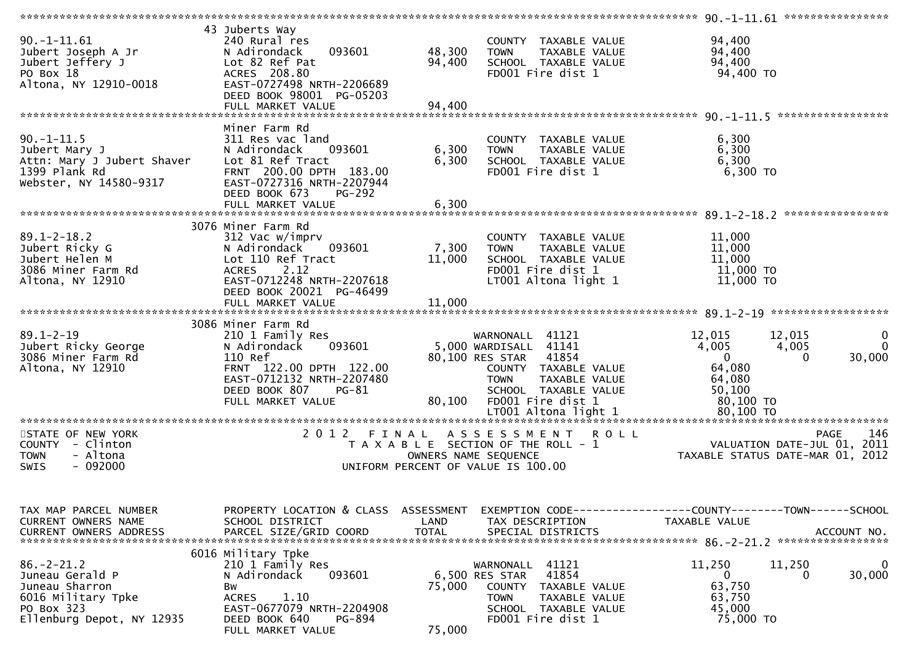| $90. -1 - 11.61$<br>Jubert Joseph A Jr<br>Jubert Jeffery J<br>PO Box 18<br>Altona, NY 12910-0018                       | 43 Juberts Way<br>240 Rural res<br>093601<br>N Adirondack<br>Lot 82 Ref Pat<br>ACRES 208.80<br>EAST-0727498 NRTH-2206689<br>DEED BOOK 98001 PG-05203                                       | 48,300<br>94,400          | COUNTY TAXABLE VALUE<br><b>TOWN</b><br>TAXABLE VALUE<br>SCHOOL TAXABLE VALUE<br>FD001 Fire dist 1                                                                      | 94,400<br>94,400<br>94,400<br>94,400 TO                                                                                                 |
|------------------------------------------------------------------------------------------------------------------------|--------------------------------------------------------------------------------------------------------------------------------------------------------------------------------------------|---------------------------|------------------------------------------------------------------------------------------------------------------------------------------------------------------------|-----------------------------------------------------------------------------------------------------------------------------------------|
| $90. -1 - 11.5$<br>Jubert Mary J<br>Attn: Mary J Jubert Shaver<br>1399 Plank Rd<br>Webster, NY 14580-9317              | Miner Farm Rd<br>311 Res vac land<br>093601<br>N Adirondack<br>Lot 81 Ref Tract<br>FRNT 200.00 DPTH 183.00<br>EAST-0727316 NRTH-2207944<br>DEED BOOK 673<br><b>PG-292</b>                  | 6,300<br>6,300            | COUNTY TAXABLE VALUE<br><b>TOWN</b><br>TAXABLE VALUE<br>SCHOOL TAXABLE VALUE<br>FD001 Fire dist 1                                                                      | 6,300<br>6,300<br>6,300<br>$6,300$ TO                                                                                                   |
| $89.1 - 2 - 18.2$<br>Jubert Ricky G<br>Jubert Helen M<br>3086 Miner Farm Rd<br>Altona, NY 12910                        | 3076 Miner Farm Rd<br>312 Vac w/imprv<br>093601<br>N Adirondack<br>Lot 110 Ref Tract<br><b>ACRES</b><br>2.12<br>EAST-0712248 NRTH-2207618<br>DEED BOOK 20021 PG-46499<br>FULL MARKET VALUE | 7,300<br>11,000<br>11,000 | COUNTY TAXABLE VALUE<br><b>TOWN</b><br>TAXABLE VALUE<br>SCHOOL TAXABLE VALUE<br>FD001 Fire dist 1<br>LT001 Altona light 1                                              | ****************<br>11,000<br>11,000<br>11,000<br>11,000 TO<br>11,000 TO                                                                |
| $89.1 - 2 - 19$<br>Jubert Ricky George<br>3086 Miner Farm Rd<br>Altona, NY 12910                                       | 3086 Miner Farm Rd<br>210 1 Family Res<br>093601<br>N Adirondack<br>110 Ref<br>FRNT 122.00 DPTH 122.00<br>EAST-0712132 NRTH-2207480<br>DEED BOOK 807<br>PG-81<br>FULL MARKET VALUE         | 80,100                    | WARNONALL 41121<br>5,000 WARDISALL 41141<br>80,100 RES STAR 41854<br>COUNTY TAXABLE VALUE<br><b>TOWN</b><br>TAXABLE VALUE<br>SCHOOL TAXABLE VALUE<br>FD001 Fire dist 1 | 0<br>12,015<br>12,015<br>$\Omega$<br>4,005<br>4,005<br>$\overline{0}$<br>30,000<br>$\Omega$<br>64,080<br>64,080<br>50, 100<br>80,100 TO |
| STATE OF NEW YORK<br>COUNTY - Clinton<br>- Altona<br><b>TOWN</b><br>$-092000$<br><b>SWIS</b>                           |                                                                                                                                                                                            |                           | 2012 FINAL ASSESSMENT ROLL<br>T A X A B L E SECTION OF THE ROLL - 1<br>OWNERS NAME SEQUENCE<br>UNIFORM PERCENT OF VALUE IS 100.00                                      | 146<br>PAGE<br>VALUATION DATE-JUL 01, 2011<br>TAXABLE STATUS DATE-MAR 01, 2012                                                          |
| TAX MAP PARCEL NUMBER<br>CURRENT OWNERS NAME<br><b>CURRENT OWNERS ADDRESS</b>                                          | PROPERTY LOCATION & CLASS ASSESSMENT<br>SCHOOL DISTRICT<br>PARCEL SIZE/GRID COORD                                                                                                          | LAND<br><b>TOTAL</b>      | TAX DESCRIPTION<br>SPECIAL DISTRICTS                                                                                                                                   | EXEMPTION CODE-----------------COUNTY--------TOWN------SCHOOL<br>TAXABLE VALUE<br>ACCOUNT NO.                                           |
| $86. - 2 - 21.2$<br>Juneau Gerald P<br>Juneau Sharron<br>6016 Military Tpke<br>PO Box 323<br>Ellenburg Depot, NY 12935 | 6016 Military Tpke<br>210 1 Family Res<br>093601<br>N Adirondack<br>Bw<br><b>ACRES</b><br>1.10<br>EAST-0677079 NRTH-2204908<br>DEED BOOK 640<br>PG-894<br>FULL MARKET VALUE                | 75,000<br>75,000          | WARNONALL 41121<br>6,500 RES STAR<br>41854<br>COUNTY<br>TAXABLE VALUE<br><b>TOWN</b><br>TAXABLE VALUE<br>SCHOOL TAXABLE VALUE<br>FD001 Fire dist 1                     | 11,250<br>11,250<br>0<br>30,000<br>0<br>0<br>63,750<br>63,750<br>45,000<br>75,000 TO                                                    |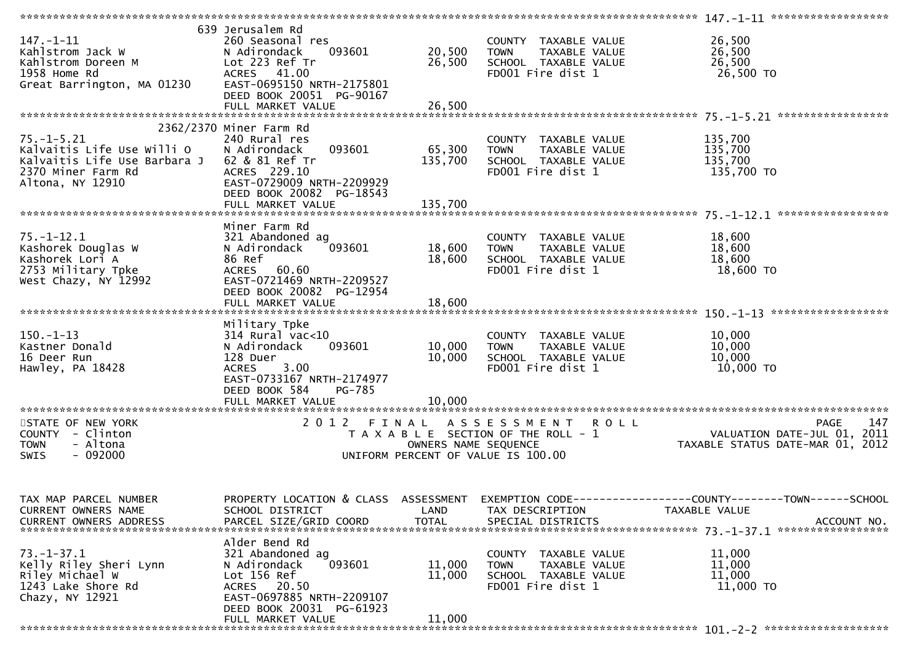| $147. - 1 - 11$<br>Kahlstrom Jack W                              | 639 Jerusalem Rd<br>260 Seasonal res<br>093601<br>N Adirondack<br>Lot 223 Ref Tr | 20,500<br>26,500     | COUNTY TAXABLE VALUE<br>TAXABLE VALUE<br><b>TOWN</b><br>SCHOOL TAXABLE VALUE | 26,500<br>26,500<br>26,500                                      |
|------------------------------------------------------------------|----------------------------------------------------------------------------------|----------------------|------------------------------------------------------------------------------|-----------------------------------------------------------------|
| Kahlstrom Doreen M<br>1958 Home Rd<br>Great Barrington, MA 01230 | ACRES 41.00<br>EAST-0695150 NRTH-2175801<br>DEED BOOK 20051 PG-90167             |                      | FD001 Fire dist 1                                                            | 26,500 TO                                                       |
|                                                                  |                                                                                  |                      |                                                                              |                                                                 |
|                                                                  | 2362/2370 Miner Farm Rd                                                          |                      |                                                                              |                                                                 |
| $75. - 1 - 5.21$                                                 | 240 Rural res                                                                    |                      | COUNTY TAXABLE VALUE                                                         | 135,700                                                         |
| Kalvaitis Life Use Willi O                                       | 093601<br>N Adirondack                                                           | 65,300               | TAXABLE VALUE<br><b>TOWN</b>                                                 | $\overline{1}35,700$                                            |
| Kalvaitis Life Use Barbara J<br>2370 Miner Farm Rd               | 62 & 81 Ref Tr<br>ACRES 229.10                                                   | 135,700              | SCHOOL TAXABLE VALUE<br>FD001 Fire dist 1                                    | 135,700<br>135,700 TO                                           |
| Altona, NY 12910                                                 | EAST-0729009 NRTH-2209929                                                        |                      |                                                                              |                                                                 |
|                                                                  | DEED BOOK 20082 PG-18543                                                         |                      |                                                                              |                                                                 |
|                                                                  |                                                                                  |                      |                                                                              |                                                                 |
|                                                                  |                                                                                  |                      |                                                                              |                                                                 |
| $75. - 1 - 12.1$                                                 | Miner Farm Rd<br>321 Abandoned ag                                                |                      | COUNTY TAXABLE VALUE                                                         | 18,600                                                          |
| Kashorek Douglas W                                               | N Adirondack<br>093601                                                           | 18,600               | <b>TOWN</b><br>TAXABLE VALUE                                                 | 18,600                                                          |
| Kashorek Lori A                                                  | 86 Ref                                                                           | 18,600               | SCHOOL TAXABLE VALUE                                                         | 18,600                                                          |
| 2753 Military Tpke                                               | ACRES 60.60                                                                      |                      | FD001 Fire dist 1                                                            | 18,600 TO                                                       |
| West Chazy, NY 12992                                             | EAST-0721469 NRTH-2209527                                                        |                      |                                                                              |                                                                 |
|                                                                  | DEED BOOK 20082 PG-12954<br>FULL MARKET VALUE                                    | 18,600               |                                                                              |                                                                 |
|                                                                  |                                                                                  |                      |                                                                              |                                                                 |
|                                                                  | Military Tpke                                                                    |                      |                                                                              |                                                                 |
| $150. - 1 - 13$                                                  | $314$ Rural vac<10                                                               |                      | COUNTY TAXABLE VALUE                                                         | 10,000                                                          |
| Kastner Donald                                                   | 093601<br>N Adirondack                                                           | 10,000               | <b>TOWN</b><br>TAXABLE VALUE                                                 | 10,000                                                          |
| 16 Deer Run<br>Hawley, PA 18428                                  | 128 Duer<br>ACRES 3.00                                                           | 10,000               | SCHOOL TAXABLE VALUE<br>FD001 Fire dist 1                                    | 10,000<br>10,000 TO                                             |
|                                                                  | EAST-0733167 NRTH-2174977                                                        |                      |                                                                              |                                                                 |
|                                                                  | DEED BOOK 584<br><b>PG-785</b>                                                   |                      |                                                                              |                                                                 |
|                                                                  |                                                                                  |                      |                                                                              |                                                                 |
| STATE OF NEW YORK                                                | 2012 FINAL                                                                       |                      | ASSESSMENT ROLL                                                              | 147<br>PAGE                                                     |
| COUNTY - Clinton                                                 |                                                                                  |                      | $T$ A X A B L E SECTION OF THE ROLL - $1$                                    |                                                                 |
| - Altona<br><b>TOWN</b>                                          |                                                                                  | OWNERS NAME SEQUENCE |                                                                              | VALUATION DATE-JUL 01, 2011<br>TAXABLE STATUS DATE-MAR 01, 2012 |
| $-092000$<br><b>SWIS</b>                                         |                                                                                  |                      | UNIFORM PERCENT OF VALUE IS 100.00                                           |                                                                 |
|                                                                  |                                                                                  |                      |                                                                              |                                                                 |
|                                                                  |                                                                                  |                      |                                                                              |                                                                 |
| TAX MAP PARCEL NUMBER                                            | PROPERTY LOCATION & CLASS ASSESSMENT                                             |                      |                                                                              |                                                                 |
| CURRENT OWNERS NAME                                              | SCHOOL DISTRICT                                                                  | LAND                 | TAX DESCRIPTION                                                              | TAXABLE VALUE                                                   |
| <b>CURRENT OWNERS ADDRESS</b>                                    | PARCEL SIZE/GRID COORD                                                           | <b>TOTAL</b>         | SPECIAL DISTRICTS                                                            | ACCOUNT NO.                                                     |
|                                                                  |                                                                                  |                      |                                                                              |                                                                 |
| $73. - 1 - 37.1$                                                 | Alder Bend Rd<br>321 Abandoned ag                                                |                      | COUNTY TAXABLE VALUE                                                         | 11,000                                                          |
| Kelly Riley Sheri Lynn                                           | N Adirondack<br>093601                                                           | 11,000               | TAXABLE VALUE<br><b>TOWN</b>                                                 | 11,000                                                          |
| Riley Michael W                                                  | Lot 156 Ref                                                                      | 11,000               | SCHOOL TAXABLE VALUE                                                         | 11,000                                                          |
| 1243 Lake Shore Rd                                               | ACRES 20.50                                                                      |                      | FD001 Fire dist 1                                                            | 11,000 TO                                                       |
| Chazy, NY 12921                                                  | EAST-0697885 NRTH-2209107                                                        |                      |                                                                              |                                                                 |
|                                                                  | DEED BOOK 20031 PG-61923<br>FULL MARKET VALUE                                    | 11,000               |                                                                              |                                                                 |
|                                                                  |                                                                                  |                      |                                                                              |                                                                 |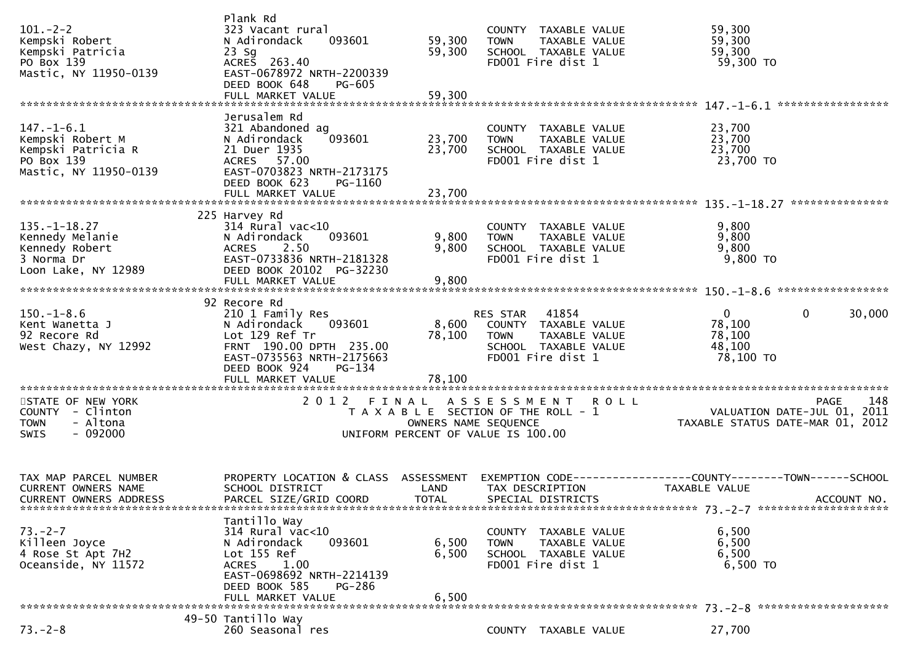| $101 - 2 - 2$<br>Kempski Robert<br>Kempski Patricia<br>PO Box 139<br>Mastic, NY 11950-0139        | Plank Rd<br>323 Vacant rural<br>N Adirondack<br>093601<br>$23$ Sg<br>ACRES 263.40<br>EAST-0678972 NRTH-2200339<br>DEED BOOK 648<br>PG-605<br>FULL MARKET VALUE          | 59,300<br>59,300<br>59,300                                                                                    | <b>TOWN</b>             | COUNTY TAXABLE VALUE<br>TAXABLE VALUE<br>SCHOOL TAXABLE VALUE<br>FD001 Fire dist 1          |             | 59,300<br>59,300<br>59,300<br>59,300 TO                                       |             |
|---------------------------------------------------------------------------------------------------|-------------------------------------------------------------------------------------------------------------------------------------------------------------------------|---------------------------------------------------------------------------------------------------------------|-------------------------|---------------------------------------------------------------------------------------------|-------------|-------------------------------------------------------------------------------|-------------|
|                                                                                                   |                                                                                                                                                                         |                                                                                                               |                         |                                                                                             |             |                                                                               |             |
| $147. - 1 - 6.1$<br>Kempski Robert M<br>Kempski Patricia R<br>PO Box 139<br>Mastic, NY 11950-0139 | Jerusalem Rd<br>321 Abandoned ag<br>093601<br>N Adirondack<br>21 Duer 1935<br>ACRES 57.00<br>EAST-0703823 NRTH-2173175<br>DEED BOOK 623<br>PG-1160<br>FULL MARKET VALUE | 23,700<br>23,700<br>23,700                                                                                    | <b>TOWN</b>             | COUNTY TAXABLE VALUE<br>TAXABLE VALUE<br>SCHOOL TAXABLE VALUE<br>FD001 Fire dist 1          |             | 23,700<br>23,700<br>23,700<br>23,700 TO                                       |             |
|                                                                                                   |                                                                                                                                                                         |                                                                                                               |                         |                                                                                             |             |                                                                               |             |
| $135. - 1 - 18.27$<br>Kennedy Melanie<br>Kennedy Robert<br>3 Norma Dr<br>Loon Lake, NY 12989      | 225 Harvey Rd<br>$314$ Rural vac<10<br>093601<br>N Adirondack<br>2.50<br><b>ACRES</b><br>EAST-0733836 NRTH-2181328<br>DEED BOOK 20102 PG-32230                          | 9,800<br>9,800                                                                                                | <b>TOWN</b>             | COUNTY TAXABLE VALUE<br>TAXABLE VALUE<br>SCHOOL TAXABLE VALUE<br>FD001 Fire dist 1          |             | 9,800<br>9,800<br>9,800<br>9,800 TO                                           |             |
|                                                                                                   | FULL MARKET VALUE                                                                                                                                                       | 9,800                                                                                                         |                         |                                                                                             |             |                                                                               |             |
| $150.-1-8.6$<br>Kent Wanetta J<br>92 Recore Rd<br>West Chazy, NY 12992                            | 92 Recore Rd<br>210 1 Family Res<br>093601<br>N Adirondack<br>Lot 129 Ref Tr<br>FRNT 190.00 DPTH 235.00<br>EAST-0735563 NRTH-2175663<br>DEED BOOK 924<br>PG-134         | 8,600<br>78,100                                                                                               | RES STAR<br><b>TOWN</b> | 41854<br>COUNTY TAXABLE VALUE<br>TAXABLE VALUE<br>SCHOOL TAXABLE VALUE<br>FD001 Fire dist 1 |             | $\mathbf{0}$<br>0<br>78,100<br>78,100<br>48,100<br>78,100 TO                  | 30,000      |
| STATE OF NEW YORK<br>COUNTY - Clinton<br>- Altona<br><b>TOWN</b><br>$-092000$<br>SWIS             | FULL MARKET VALUE<br>2012 FINAL                                                                                                                                         | 78,100<br>T A X A B L E SECTION OF THE ROLL - 1<br>OWNERS NAME SEQUENCE<br>UNIFORM PERCENT OF VALUE IS 100.00 | A S S E S S M E N T     |                                                                                             | <b>ROLL</b> | VALUATION DATE-JUL 01, 2011<br>TAXABLE STATUS DATE-MAR 01, 2012               | 148<br>PAGE |
| TAX MAP PARCEL NUMBER<br><b>CURRENT OWNERS NAME</b><br><b>CURRENT OWNERS ADDRESS</b>              | PROPERTY LOCATION & CLASS ASSESSMENT<br>SCHOOL DISTRICT<br>PARCEL SIZE/GRID COORD                                                                                       | LAND<br><b>TOTAL</b>                                                                                          |                         | TAX DESCRIPTION<br>SPECIAL DISTRICTS                                                        |             | EXEMPTION CODE-----------------COUNTY-------TOWN------SCHOOL<br>TAXABLE VALUE | ACCOUNT NO. |
| $73. - 2 - 7$<br>Killeen Joyce<br>4 Rose St Apt 7H2<br>Oceanside, NY 11572                        | Tantillo Way<br>314 Rural vac<10<br>093601<br>N Adirondack<br>Lot 155 Ref<br>ACRES 1.00<br>EAST-0698692 NRTH-2214139<br>DEED BOOK 585<br>PG-286<br>FULL MARKET VALUE    | 6,500<br>6,500<br>6,500                                                                                       | <b>TOWN</b>             | COUNTY TAXABLE VALUE<br>TAXABLE VALUE<br>SCHOOL TAXABLE VALUE<br>FD001 Fire dist 1          |             | 6,500<br>6,500<br>6,500<br>6,500 TO                                           |             |
|                                                                                                   |                                                                                                                                                                         |                                                                                                               |                         |                                                                                             |             |                                                                               |             |
| $73. - 2 - 8$                                                                                     | 49-50 Tantillo Way<br>260 Seasonal res                                                                                                                                  |                                                                                                               |                         | COUNTY TAXABLE VALUE                                                                        |             | 27,700                                                                        |             |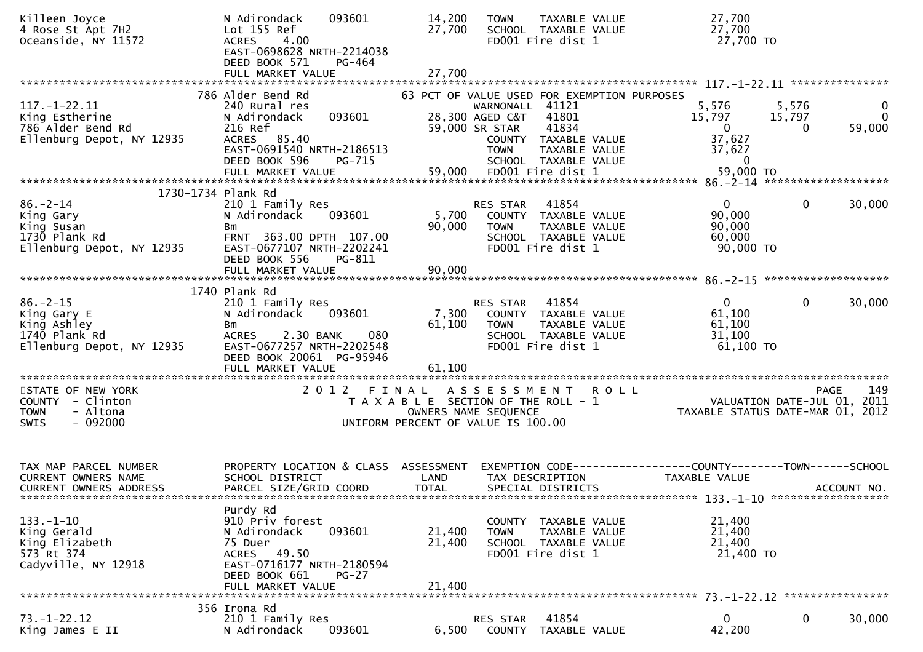| Killeen Joyce<br>4 Rose St Apt 7H2<br>Oceanside, NY 11572                                  | N Adirondack<br>093601<br>Lot 155 Ref<br><b>ACRES</b><br>4.00<br>EAST-0698628 NRTH-2214038<br>DEED BOOK 571<br>PG-464                                                        | 14,200<br>27,700                                                                     | <b>TOWN</b>                                                         | TAXABLE VALUE<br>SCHOOL TAXABLE VALUE<br>FD001 Fire dist 1                                           | 27,700<br>27,700<br>27,700 TO                                                    |                      |                             |
|--------------------------------------------------------------------------------------------|------------------------------------------------------------------------------------------------------------------------------------------------------------------------------|--------------------------------------------------------------------------------------|---------------------------------------------------------------------|------------------------------------------------------------------------------------------------------|----------------------------------------------------------------------------------|----------------------|-----------------------------|
|                                                                                            | FULL MARKET VALUE                                                                                                                                                            | 27,700                                                                               |                                                                     |                                                                                                      |                                                                                  |                      |                             |
|                                                                                            | 786 Alder Bend Rd                                                                                                                                                            |                                                                                      |                                                                     | 63 PCT OF VALUE USED FOR EXEMPTION PURPOSES                                                          |                                                                                  |                      |                             |
| $117. - 1 - 22.11$<br>King Estherine<br>786 Alder Bend Rd<br>Ellenburg Depot, NY 12935     | 240 Rural res<br>093601<br>N Adirondack<br>216 Ref<br>ACRES 85.40<br>EAST-0691540 NRTH-2186513<br>DEED BOOK 596<br>PG-715<br>FULL MARKET VALUE                               | 59,000                                                                               | WARNONALL 41121<br>28,300 AGED C&T<br>59,000 SR STAR<br><b>TOWN</b> | 41801<br>41834<br>COUNTY TAXABLE VALUE<br>TAXABLE VALUE<br>SCHOOL TAXABLE VALUE<br>FD001 Fire dist 1 | 5,576<br>15,797<br>$\mathbf{0}$<br>37,627<br>37,627<br>$\mathbf{0}$<br>59,000 TO | 5,576<br>15,797<br>0 | 0<br>$\mathbf{0}$<br>59,000 |
|                                                                                            |                                                                                                                                                                              |                                                                                      |                                                                     |                                                                                                      |                                                                                  |                      |                             |
| 1730-1734 Plank Rd                                                                         |                                                                                                                                                                              |                                                                                      |                                                                     |                                                                                                      |                                                                                  |                      |                             |
| $86. - 2 - 14$<br>King Gary<br>King Susan<br>1730 Plank Rd<br>Ellenburg Depot, NY 12935    | 210 1 Family Res<br>N Adirondack<br>093601<br>Bm<br>FRNT 363.00 DPTH 107.00<br>EAST-0677107 NRTH-2202241<br>DEED BOOK 556<br>PG-811                                          | 5,700<br>90,000                                                                      | RES STAR<br><b>TOWN</b>                                             | 41854<br>COUNTY TAXABLE VALUE<br>TAXABLE VALUE<br>SCHOOL TAXABLE VALUE<br>FD001 Fire dist 1          | $\overline{0}$<br>90,000<br>90,000<br>60,000<br>90,000 TO                        | $\mathbf 0$          | 30,000                      |
|                                                                                            |                                                                                                                                                                              |                                                                                      |                                                                     |                                                                                                      |                                                                                  |                      |                             |
|                                                                                            |                                                                                                                                                                              |                                                                                      |                                                                     |                                                                                                      |                                                                                  |                      |                             |
| $86. - 2 - 15$<br>King Gary E<br>King Ashley<br>1740 Plank Rd<br>Ellenburg Depot, NY 12935 | 1740 Plank Rd<br>210 1 Family Res<br>093601<br>N Adirondack<br>Bm<br><b>ACRES</b><br>2.30 BANK<br>EAST-0677257 NRTH-2202548<br>DEED BOOK 20061 PG-95946<br>FULL MARKET VALUE | 7,300<br>61,100<br>080<br>61,100                                                     | RES STAR<br><b>TOWN</b>                                             | 41854<br>COUNTY TAXABLE VALUE<br>TAXABLE VALUE<br>SCHOOL TAXABLE VALUE<br>FD001 Fire dist 1          | $\mathbf{0}$<br>61,100<br>61,100<br>31,100<br>61,100 TO                          | 0                    | 30,000                      |
|                                                                                            |                                                                                                                                                                              |                                                                                      |                                                                     |                                                                                                      |                                                                                  |                      |                             |
| STATE OF NEW YORK<br>COUNTY - Clinton<br>- Altona<br><b>TOWN</b><br>$-092000$<br>SWIS      | 2 0 1 2                                                                                                                                                                      | FINAL<br>T A X A B L E SECTION OF THE ROLL - 1<br>UNIFORM PERCENT OF VALUE IS 100.00 | ASSESSMENT<br>OWNERS NAME SEQUENCE                                  | <b>ROLL</b>                                                                                          | VALUATION DATE-JUL 01, 2011<br>TAXABLE STATUS DATE-MAR 01, 2012                  |                      | 149<br><b>PAGE</b>          |
|                                                                                            |                                                                                                                                                                              |                                                                                      |                                                                     |                                                                                                      |                                                                                  |                      |                             |
| TAX MAP PARCEL NUMBER<br><b>CURRENT OWNERS NAME</b>                                        | PROPERTY LOCATION & CLASS ASSESSMENT<br>SCHOOL DISTRICT                                                                                                                      | LAND                                                                                 |                                                                     | TAX DESCRIPTION                                                                                      | EXEMPTION CODE-----------------COUNTY-------TOWN------SCHOOL<br>TAXABLE VALUE    |                      |                             |
| <b>CURRENT OWNERS ADDRESS</b>                                                              | PARCEL SIZE/GRID COORD                                                                                                                                                       | <b>TOTAL</b>                                                                         |                                                                     | SPECIAL DISTRICTS                                                                                    |                                                                                  |                      | ACCOUNT NO.                 |
| $133. - 1 - 10$<br>King Gerald<br>King Elizabeth<br>573 Rt 374<br>Cadyville, NY 12918      | Purdy Rd<br>910 Priv forest<br>N Adirondack<br>093601<br>75 Duer<br>49.50<br>ACRES<br>EAST-0716177 NRTH-2180594<br>DEED BOOK 661<br>$PG-27$<br>FULL MARKET VALUE             | 21,400<br>21,400<br>21,400                                                           | <b>TOWN</b>                                                         | COUNTY TAXABLE VALUE<br>TAXABLE VALUE<br>SCHOOL TAXABLE VALUE<br>FD001 Fire dist 1                   | 21,400<br>21,400<br>21,400<br>21,400 TO                                          |                      |                             |
|                                                                                            | 356 Irona Rd                                                                                                                                                                 |                                                                                      |                                                                     |                                                                                                      |                                                                                  |                      |                             |
| $73. - 1 - 22.12$<br>King James E II                                                       | 210 1 Family Res<br>093601<br>N Adirondack                                                                                                                                   | 6,500                                                                                | RES STAR                                                            | 41854<br>COUNTY TAXABLE VALUE                                                                        | $\mathbf{0}$<br>42,200                                                           | 0                    | 30,000                      |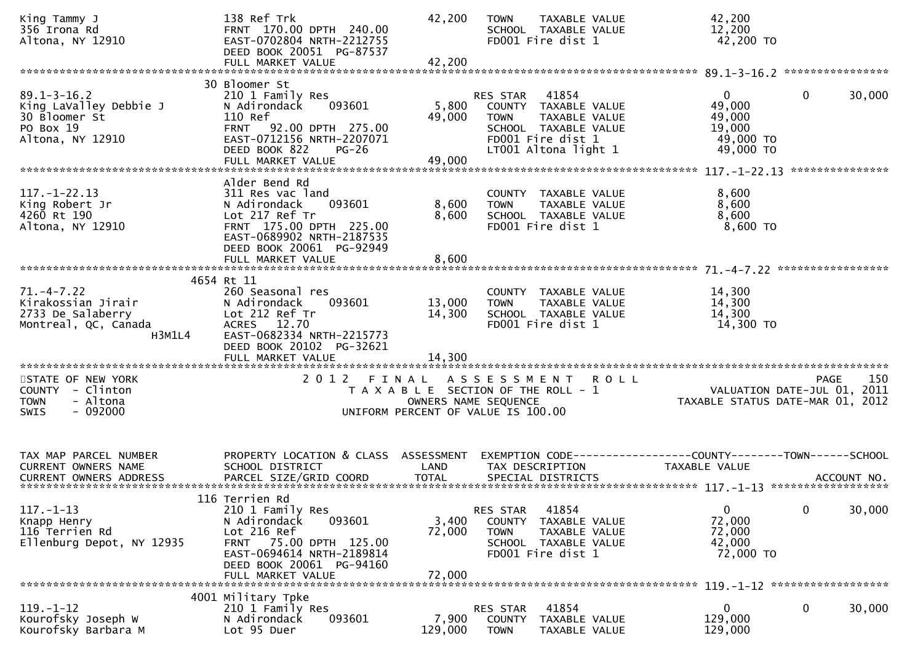| King Tammy J<br>356 Irona Rd<br>Altona, NY 12910                                              | 138 Ref Trk<br>FRNT 170.00 DPTH 240.00<br>EAST-0702804 NRTH-2212755<br>DEED BOOK 20051 PG-87537                                                                                        | 42,200                    | <b>TOWN</b><br>TAXABLE VALUE<br>SCHOOL TAXABLE VALUE<br>FD001 Fire dist 1                                                                      | 42,200<br>12,200<br>42,200 TO                                          |                                                   |
|-----------------------------------------------------------------------------------------------|----------------------------------------------------------------------------------------------------------------------------------------------------------------------------------------|---------------------------|------------------------------------------------------------------------------------------------------------------------------------------------|------------------------------------------------------------------------|---------------------------------------------------|
|                                                                                               | 30 Bloomer St                                                                                                                                                                          |                           |                                                                                                                                                |                                                                        |                                                   |
| $89.1 - 3 - 16.2$<br>King LaValley Debbie J<br>30 Bloomer St<br>PO Box 19<br>Altona, NY 12910 | 210 1 Family Res<br>N Adirondack<br>093601<br>110 Ref<br>FRNT 92.00 DPTH 275.00<br>EAST-0712156 NRTH-2207071<br>DEED BOOK 822<br>$PG-26$                                               | 5,800<br>49,000           | 41854<br>RES STAR<br>COUNTY TAXABLE VALUE<br>TAXABLE VALUE<br><b>TOWN</b><br>SCHOOL TAXABLE VALUE<br>FD001 Fire dist 1<br>LT001 Altona light 1 | $\overline{0}$<br>49,000<br>49,000<br>19,000<br>49,000 TO<br>49,000 TO | $\mathbf 0$<br>30,000                             |
|                                                                                               |                                                                                                                                                                                        |                           |                                                                                                                                                |                                                                        |                                                   |
|                                                                                               |                                                                                                                                                                                        |                           |                                                                                                                                                |                                                                        | ***************                                   |
| $117. - 1 - 22.13$<br>King Robert Jr<br>4260 Rt 190<br>Altona, NY 12910                       | Alder Bend Rd<br>311 Res vac land<br>093601<br>N Adirondack<br>Lot 217 Ref Tr<br>FRNT 175.00 DPTH 225.00<br>EAST-0689902 NRTH-2187535<br>DEED BOOK 20061 PG-92949<br>FULL MARKET VALUE | 8,600<br>8,600<br>8,600   | COUNTY TAXABLE VALUE<br>TAXABLE VALUE<br><b>TOWN</b><br>SCHOOL TAXABLE VALUE<br>FD001 Fire dist 1                                              | 8,600<br>8,600<br>8,600<br>$8,600$ TO                                  |                                                   |
|                                                                                               |                                                                                                                                                                                        |                           |                                                                                                                                                |                                                                        |                                                   |
|                                                                                               | 4654 Rt 11                                                                                                                                                                             |                           |                                                                                                                                                |                                                                        |                                                   |
| $71. - 4 - 7.22$<br>Kirakossian Jirair<br>2733 De Salaberry<br>Montreal, QC, Canada<br>H3M1L4 | 260 Seasonal res<br>093601<br>N Adirondack<br>Lot 212 Ref Tr<br>ACRES 12.70<br>EAST-0682334 NRTH-2215773<br>DEED BOOK 20102 PG-32621                                                   | 13,000<br>14,300          | COUNTY TAXABLE VALUE<br>TAXABLE VALUE<br><b>TOWN</b><br>SCHOOL TAXABLE VALUE<br>FD001 Fire dist 1                                              | 14,300<br>14,300<br>14,300<br>14,300 TO                                |                                                   |
|                                                                                               | FULL MARKET VALUE                                                                                                                                                                      | 14,300                    |                                                                                                                                                |                                                                        |                                                   |
| STATE OF NEW YORK<br>COUNTY - Clinton<br><b>TOWN</b><br>- Altona<br>$-092000$<br>SWIS         | 2012 FINAL                                                                                                                                                                             | OWNERS NAME SEQUENCE      | A S S E S S M E N T<br><b>ROLL</b><br>T A X A B L E SECTION OF THE ROLL - 1<br>UNIFORM PERCENT OF VALUE IS 100.00                              | TAXABLE STATUS DATE-MAR 01, 2012                                       | 150<br><b>PAGE</b><br>VALUATION DATE-JUL 01, 2011 |
| TAX MAP PARCEL NUMBER                                                                         | PROPERTY LOCATION & CLASS ASSESSMENT                                                                                                                                                   |                           |                                                                                                                                                | EXEMPTION CODE-----------------COUNTY-------TOWN------SCHOOL           |                                                   |
| <b>CURRENT OWNERS NAME</b>                                                                    | SCHOOL DISTRICT                                                                                                                                                                        | LAND                      | TAX DESCRIPTION                                                                                                                                | TAXABLE VALUE                                                          |                                                   |
| $117. - 1 - 13$<br>Knapp Henry<br>116 Terrien Rd<br>Ellenburg Depot, NY 12935                 | 116 Terrien Rd<br>210 1 Family Res<br>093601<br>N Adirondack<br>Lot 216 Ref<br>FRNT 75.00 DPTH 125.00<br>EAST-0694614 NRTH-2189814<br>DEED BOOK 20061 PG-94160<br>FULL MARKET VALUE    | 3,400<br>72,000<br>72,000 | 41854<br>RES STAR<br>COUNTY<br>TAXABLE VALUE<br><b>TOWN</b><br>TAXABLE VALUE<br>SCHOOL TAXABLE VALUE<br>FD001 Fire dist 1                      | $\overline{0}$<br>72,000<br>72,000<br>42,000<br>72,000 TO              | $\mathbf 0$<br>30,000                             |
|                                                                                               |                                                                                                                                                                                        |                           |                                                                                                                                                |                                                                        |                                                   |
| $119. - 1 - 12$<br>Kourofsky Joseph W<br>Kourofsky Barbara M                                  | 4001 Military Tpke<br>210 1 Family Res<br>093601<br>N Adirondack<br>Lot 95 Duer                                                                                                        | 7,900<br>129,000          | 41854<br>RES STAR<br><b>COUNTY</b><br>TAXABLE VALUE<br><b>TOWN</b><br>TAXABLE VALUE                                                            | 0<br>129,000<br>129,000                                                | 0<br>30,000                                       |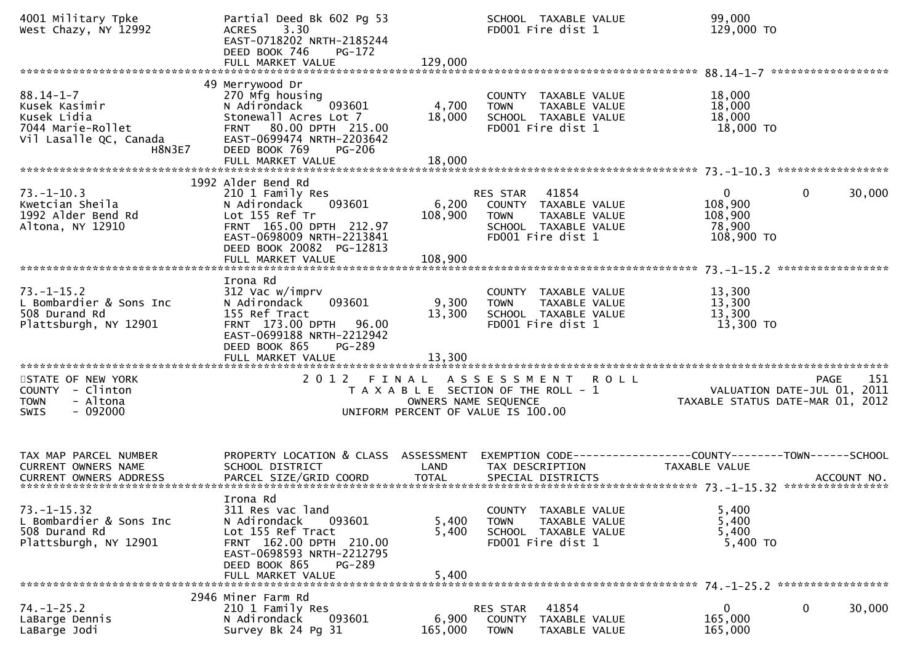| 4001 Military Tpke<br>West Chazy, NY 12992                                                               | Partial Deed Bk 602 Pg 53<br>3.30<br><b>ACRES</b><br>EAST-0718202 NRTH-2185244<br>DEED BOOK 746<br>PG-172<br>FULL MARKET VALUE                                                              | 129,000                     | SCHOOL TAXABLE VALUE<br>FD001 Fire dist 1                                                                              |                                | 99,000<br>129,000 TO                                                                     |                            |  |
|----------------------------------------------------------------------------------------------------------|---------------------------------------------------------------------------------------------------------------------------------------------------------------------------------------------|-----------------------------|------------------------------------------------------------------------------------------------------------------------|--------------------------------|------------------------------------------------------------------------------------------|----------------------------|--|
| $88.14 - 1 - 7$<br>Kusek Kasimir<br>Kusek Lidia<br>7044 Marie-Rollet<br>Vil Lasalle QC, Canada<br>H8N3E7 | 49 Merrywood Dr<br>270 Mfg housing<br>093601<br>N Adirondack<br>Stonewall Acres Lot 7<br>80.00 DPTH 215.00<br><b>FRNT</b><br>EAST-0699474 NRTH-2203642<br>DEED BOOK 769<br><b>PG-206</b>    | 4,700<br>18,000             | COUNTY TAXABLE VALUE<br><b>TOWN</b><br>SCHOOL TAXABLE VALUE<br>FD001 Fire dist 1                                       | TAXABLE VALUE                  | 18,000<br>18,000<br>18,000<br>18,000 TO                                                  |                            |  |
|                                                                                                          | FULL MARKET VALUE                                                                                                                                                                           | 18,000                      |                                                                                                                        |                                |                                                                                          |                            |  |
| $73. - 1 - 10.3$<br>Kwetcian Sheila<br>1992 Alder Bend Rd<br>Altona, NY 12910                            | 1992 Alder Bend Rd<br>210 1 Family Res<br>093601<br>N Adirondack<br>Lot 155 Ref Tr<br>FRNT 165.00 DPTH 212.97<br>EAST-0698009 NRTH-2213841<br>DEED BOOK 20082 PG-12813<br>FULL MARKET VALUE | 6,200<br>108,900<br>108,900 | RES STAR<br>41854<br>COUNTY TAXABLE VALUE<br><b>TOWN</b><br>SCHOOL TAXABLE VALUE<br>FD001 Fire dist 1                  | TAXABLE VALUE                  | $\mathbf{0}$<br>108,900<br>108,900<br>78,900<br>108,900 TO                               | 30,000<br>$\mathbf{0}$     |  |
|                                                                                                          |                                                                                                                                                                                             |                             |                                                                                                                        |                                |                                                                                          |                            |  |
| $73. - 1 - 15.2$<br>L Bombardier & Sons Inc<br>508 Durand Rd<br>Plattsburgh, NY 12901                    | Irona Rd<br>312 Vac w/imprv<br>093601<br>N Adirondack<br>155 Ref Tract<br>FRNT 173.00 DPTH 96.00<br>EAST-0699188 NRTH-2212942<br>DEED BOOK 865<br>PG-289                                    | 9,300<br>13,300             | COUNTY TAXABLE VALUE<br><b>TOWN</b><br>SCHOOL TAXABLE VALUE<br>FD001 Fire dist 1                                       | TAXABLE VALUE                  | 13,300<br>13,300<br>13,300<br>13,300 TO                                                  |                            |  |
|                                                                                                          |                                                                                                                                                                                             |                             |                                                                                                                        |                                |                                                                                          |                            |  |
| STATE OF NEW YORK<br>COUNTY - Clinton<br>- Altona<br><b>TOWN</b><br>$-092000$<br>SWIS                    | 2012 FINAL                                                                                                                                                                                  |                             | ASSESSMENT ROLL<br>T A X A B L E SECTION OF THE ROLL - 1<br>OWNERS NAME SEQUENCE<br>UNIFORM PERCENT OF VALUE IS 100.00 |                                | PAGE<br>VALUATION DATE-JUL 01,<br>TAYABLE CIATUS PIC<br>TAXABLE STATUS DATE-MAR 01, 2012 | 151<br><b>PAGE</b><br>2011 |  |
| TAX MAP PARCEL NUMBER<br>CURRENT OWNERS NAME                                                             | PROPERTY LOCATION & CLASS ASSESSMENT<br>SCHOOL DISTRICT                                                                                                                                     | LAND                        | TAX DESCRIPTION                                                                                                        |                                | TAXABLE VALUE                                                                            |                            |  |
| $73. - 1 - 15.32$<br>L Bombardier & Sons Inc<br>508 Durand Rd<br>Plattsburgh, NY 12901                   | Irona Rd<br>311 Res vac land<br>N Adirondack<br>093601<br>Lot 155 Ref Tract<br>FRNT 162.00 DPTH 210.00<br>EAST-0698593 NRTH-2212795<br>DEED BOOK 865<br>PG-289<br>FULL MARKET VALUE         | 5,400<br>5,400<br>5,400     | COUNTY<br><b>TOWN</b><br>SCHOOL TAXABLE VALUE<br>FD001 Fire dist 1                                                     | TAXABLE VALUE<br>TAXABLE VALUE | 5,400<br>5,400<br>5,400<br>5,400 TO                                                      |                            |  |
|                                                                                                          |                                                                                                                                                                                             |                             |                                                                                                                        |                                |                                                                                          |                            |  |
| $74. - 1 - 25.2$<br>LaBarge Dennis<br>LaBarge Jodi                                                       | 2946 Miner Farm Rd<br>210 1 Family Res<br>N Adirondack<br>093601<br>Survey Bk 24 Pg 31                                                                                                      | 6,900<br>165,000            | 41854<br>RES STAR<br>COUNTY<br><b>TOWN</b>                                                                             | TAXABLE VALUE<br>TAXABLE VALUE | 0<br>165,000<br>165,000                                                                  | 0<br>30,000                |  |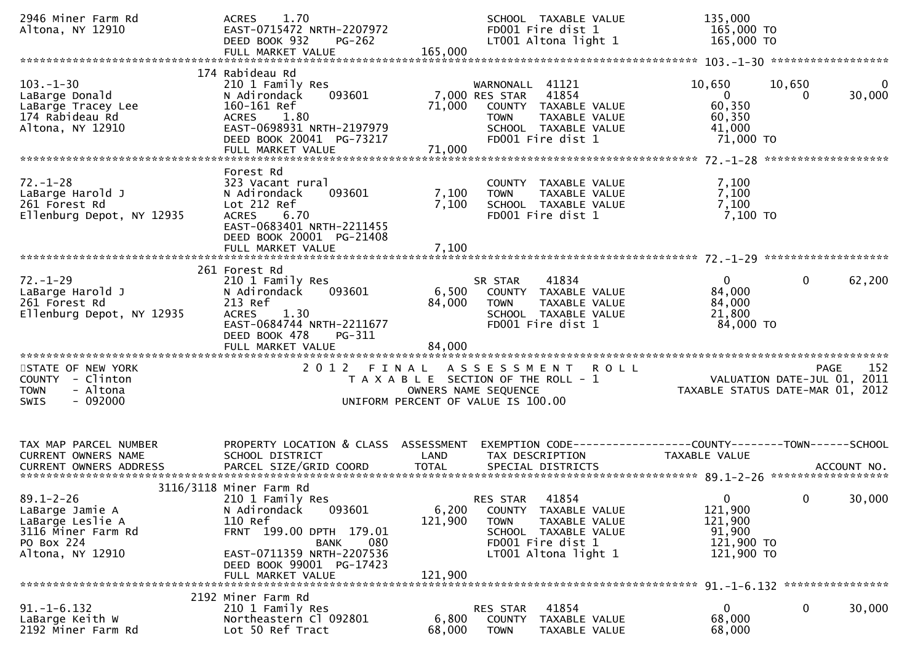| 2946 Miner Farm Rd<br>Altona, NY 12910                                                                         | 1.70<br><b>ACRES</b><br>EAST-0715472 NRTH-2207972<br>DEED BOOK 932<br><b>PG-262</b><br>FULL MARKET VALUE                                                                                                 | 165,000                     | SCHOOL TAXABLE VALUE<br>FD001 Fire dist 1<br>LT001 Altona light 1                                                                               | 135,000<br>165,000 TO<br>165,000 TO                                               |                            |
|----------------------------------------------------------------------------------------------------------------|----------------------------------------------------------------------------------------------------------------------------------------------------------------------------------------------------------|-----------------------------|-------------------------------------------------------------------------------------------------------------------------------------------------|-----------------------------------------------------------------------------------|----------------------------|
| $103. - 1 - 30$<br>LaBarge Donald<br>LaBarge Tracey Lee<br>174 Rabideau Rd<br>Altona, NY 12910                 | 174 Rabideau Rd<br>210 1 Family Res<br>093601<br>N Adirondack<br>160-161 Ref<br>1.80<br><b>ACRES</b><br>EAST-0698931 NRTH-2197979<br>DEED BOOK 20041 PG-73217<br>FULL MARKET VALUE                       | 71,000<br>71,000            | WARNONALL 41121<br>41854<br>7,000 RES STAR<br>COUNTY TAXABLE VALUE<br><b>TOWN</b><br>TAXABLE VALUE<br>SCHOOL TAXABLE VALUE<br>FD001 Fire dist 1 | 10,650<br>$\overline{0}$<br>60,350<br>60,350<br>41,000<br>71,000 TO               | 10,650<br>0<br>30,000<br>0 |
| $72. - 1 - 28$<br>LaBarge Harold J<br>261 Forest Rd<br>Ellenburg Depot, NY 12935                               | Forest Rd<br>323 Vacant rural<br>093601<br>N Adirondack<br>Lot 212 Ref<br><b>ACRES</b><br>6.70<br>EAST-0683401 NRTH-2211455<br>DEED BOOK 20001 PG-21408<br>FULL MARKET VALUE                             | 7,100<br>7,100<br>7,100     | COUNTY TAXABLE VALUE<br>TAXABLE VALUE<br><b>TOWN</b><br>SCHOOL TAXABLE VALUE<br>FD001 Fire dist 1                                               | 7,100<br>7,100<br>7,100<br>7,100 TO                                               |                            |
| $72. - 1 - 29$<br>LaBarge Harold J<br>261 Forest Rd<br>Ellenburg Depot, NY 12935                               | 261 Forest Rd<br>210 1 Family Res<br>N Adirondack<br>093601<br>213 Ref<br><b>ACRES</b><br>1.30<br>EAST-0684744 NRTH-2211677<br>DEED BOOK 478<br>PG-311                                                   | 6,500<br>84,000             | 41834<br>SR STAR<br>COUNTY TAXABLE VALUE<br>TAXABLE VALUE<br><b>TOWN</b><br>SCHOOL TAXABLE VALUE<br>FD001 Fire dist 1                           | $\overline{0}$<br>84,000<br>84,000<br>21,800<br>84,000 TO                         | $\mathbf 0$<br>62,200      |
| STATE OF NEW YORK<br>COUNTY - Clinton<br>- Altona<br><b>TOWN</b><br><b>SWIS</b><br>- 092000                    |                                                                                                                                                                                                          |                             | 2012 FINAL ASSESSMENT<br><b>ROLL</b><br>T A X A B L E SECTION OF THE ROLL - 1<br>OWNERS NAME SEQUENCE<br>UNIFORM PERCENT OF VALUE IS 100.00     | لادا - YAGE<br>2011 VALUATION DATE-JUL 01, 20<br>TAXABLE STATUS DATE-MAR 01, 2012 | 152<br>PAGE                |
| TAX MAP PARCEL NUMBER<br>CURRENT OWNERS NAME                                                                   | PROPERTY LOCATION & CLASS ASSESSMENT<br>SCHOOL DISTRICT                                                                                                                                                  | LAND                        | EXEMPTION CODE-----------------COUNTY--------TOWN------SCHOOL<br>TAX DESCRIPTION                                                                | TAXABLE VALUE                                                                     |                            |
| $89.1 - 2 - 26$<br>LaBarge Jamie A<br>LaBarge Leslie A<br>3116 Miner Farm Rd<br>PO Box 224<br>Altona, NY 12910 | 3116/3118 Miner Farm Rd<br>210 1 Family Res<br>093601<br>N Adirondack<br>110 Ref<br>FRNT 199.00 DPTH 179.01<br>080<br>BANK<br>EAST-0711359 NRTH-2207536<br>DEED BOOK 99001 PG-17423<br>FULL MARKET VALUE | 6,200<br>121,900<br>121,900 | 41854<br>RES STAR<br>COUNTY TAXABLE VALUE<br>TAXABLE VALUE<br><b>TOWN</b><br>SCHOOL TAXABLE VALUE<br>FD001 Fire dist 1<br>LT001 Altona light 1  | $\mathbf{0}$<br>121,900<br>121,900<br>91,900<br>121,900 TO<br>121,900 TO          | 30,000<br>$\bf{0}$         |
| $91. - 1 - 6.132$<br>LaBarge Keith W<br>2192 Miner Farm Rd                                                     | 2192 Miner Farm Rd<br>210 1 Family Res<br>Northeastern Cl 092801<br>Lot 50 Ref Tract                                                                                                                     | 6,800<br>68,000             | 41854<br>RES STAR<br>COUNTY<br>TAXABLE VALUE<br><b>TOWN</b><br>TAXABLE VALUE                                                                    | $\mathbf{0}$<br>68,000<br>68,000                                                  | $\mathbf 0$<br>30,000      |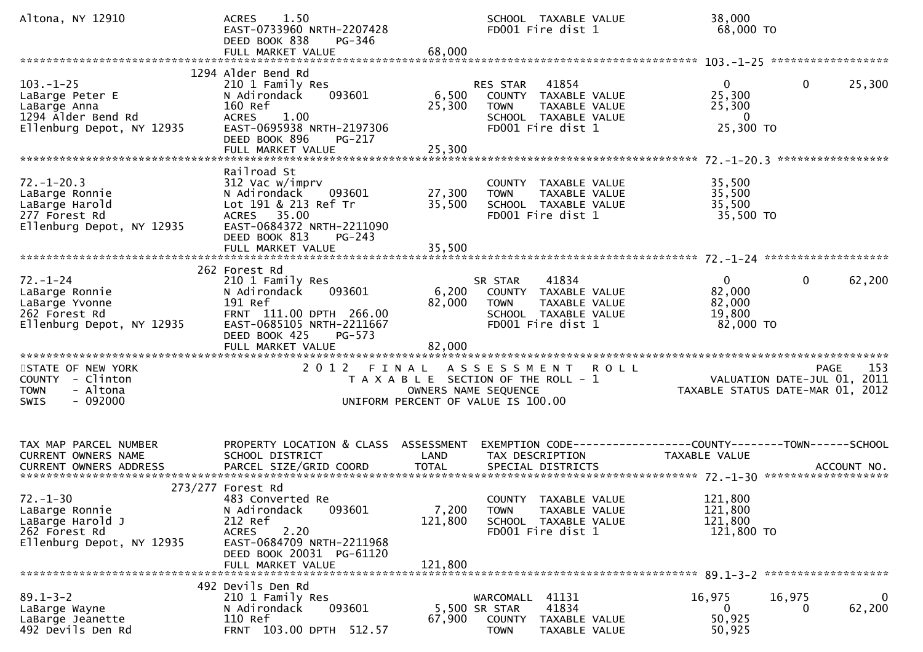| Altona, NY 12910                                                                                      | 1.50<br><b>ACRES</b><br>EAST-0733960 NRTH-2207428<br>DEED BOOK 838<br>PG-346<br>FULL MARKET VALUE                                                                                | 68,000                      | SCHOOL TAXABLE VALUE<br>FD001 Fire dist 1                                                                                     |             | 38,000<br>68,000 TO                                             |              |                        |
|-------------------------------------------------------------------------------------------------------|----------------------------------------------------------------------------------------------------------------------------------------------------------------------------------|-----------------------------|-------------------------------------------------------------------------------------------------------------------------------|-------------|-----------------------------------------------------------------|--------------|------------------------|
| $103. - 1 - 25$<br>LaBarge Peter E<br>LaBarge Anna<br>1294 Alder Bend Rd<br>Ellenburg Depot, NY 12935 | 1294 Alder Bend Rd<br>210 1 Family Res<br>093601<br>N Adirondack<br>160 Ref<br>1.00<br><b>ACRES</b><br>EAST-0695938 NRTH-2197306<br>DEED BOOK 896<br>PG-217<br>FULL MARKET VALUE | 6,500<br>25,300<br>25,300   | 41854<br><b>RES STAR</b><br>COUNTY TAXABLE VALUE<br><b>TOWN</b><br>TAXABLE VALUE<br>SCHOOL TAXABLE VALUE<br>FD001 Fire dist 1 |             | $\overline{0}$<br>25,300<br>25,300<br>- 0<br>25,300 TO          | $\mathbf 0$  | 25,300                 |
| $72. - 1 - 20.3$<br>LaBarge Ronnie<br>LaBarge Harold<br>277 Forest Rd<br>Ellenburg Depot, NY 12935    | Railroad St<br>312 Vac w/imprv<br>N Adirondack<br>093601<br>Lot 191 & 213 Ref Tr<br>ACRES 35.00<br>EAST-0684372 NRTH-2211090<br>DEED BOOK 813<br>$PG-243$<br>FULL MARKET VALUE   | 27,300<br>35,500<br>35,500  | COUNTY TAXABLE VALUE<br><b>TOWN</b><br>TAXABLE VALUE<br>SCHOOL TAXABLE VALUE<br>FD001 Fire dist 1                             |             | 35,500<br>35,500<br>35,500<br>35,500 TO                         |              |                        |
| $72. - 1 - 24$<br>LaBarge Ronnie<br>LaBarge Yvonne<br>262 Forest Rd<br>Ellenburg Depot, NY 12935      | 262 Forest Rd<br>210 1 Family Res<br>N Adirondack<br>093601<br>191 Ref<br>FRNT 111.00 DPTH 266.00<br>EAST-0685105 NRTH-2211667<br>DEED BOOK 425<br>PG-573<br>FULL MARKET VALUE   | 6,200<br>82,000<br>82,000   | 41834<br>SR STAR<br>COUNTY TAXABLE VALUE<br><b>TOWN</b><br>TAXABLE VALUE<br>SCHOOL TAXABLE VALUE<br>FD001 Fire dist 1         |             | 0<br>82,000<br>82,000<br>19,800<br>82,000 TO                    | $\mathbf{0}$ | 62,200                 |
| STATE OF NEW YORK<br>COUNTY - Clinton<br>- Altona<br><b>TOWN</b><br>$-092000$<br><b>SWIS</b>          |                                                                                                                                                                                  |                             | 2012 FINAL ASSESSMENT<br>T A X A B L E SECTION OF THE ROLL - 1<br>OWNERS NAME SEQUENCE<br>UNIFORM PERCENT OF VALUE IS 100.00  | <b>ROLL</b> | VALUATION DATE-JUL 01, 2011<br>TAXABLE STATUS DATE-MAR 01, 2012 | PAGE         | 153                    |
| TAX MAP PARCEL NUMBER<br>CURRENT OWNERS NAME                                                          | PROPERTY LOCATION & CLASS ASSESSMENT<br>SCHOOL DISTRICT                                                                                                                          | LAND                        | EXEMPTION CODE-----------------COUNTY--------TOWN------SCHOOL<br>TAX DESCRIPTION                                              |             | TAXABLE VALUE                                                   |              |                        |
| $72. - 1 - 30$<br>LaBarge Ronnie<br>LaBarge Harold J<br>262 Forest Rd<br>Ellenburg Depot, NY 12935    | 273/277 Forest Rd<br>483 Converted Re<br>093601<br>N Adirondack<br>212 Ref<br><b>ACRES</b><br>2.20<br>EAST-0684709 NRTH-2211968<br>DEED BOOK 20031 PG-61120<br>FULL MARKET VALUE | 7,200<br>121,800<br>121,800 | COUNTY TAXABLE VALUE<br>TAXABLE VALUE<br><b>TOWN</b><br>SCHOOL TAXABLE VALUE<br>FD001 Fire dist 1                             |             | 121,800<br>121,800<br>121,800<br>121,800 TO                     |              |                        |
| $89.1 - 3 - 2$<br>LaBarge Wayne<br>LaBarge Jeanette<br>492 Devils Den Rd                              | 492 Devils Den Rd<br>210 1 Family Res<br>093601<br>N Adirondack<br>110 Ref<br>FRNT 103.00 DPTH 512.57                                                                            | 67,900                      | WARCOMALL 41131<br>5,500 SR STAR<br>41834<br>COUNTY TAXABLE VALUE<br><b>TOWN</b><br>TAXABLE VALUE                             |             | 16,975<br>$\bf{0}$<br>50,925<br>50,925                          | 16,975<br>0  | $\mathbf{0}$<br>62,200 |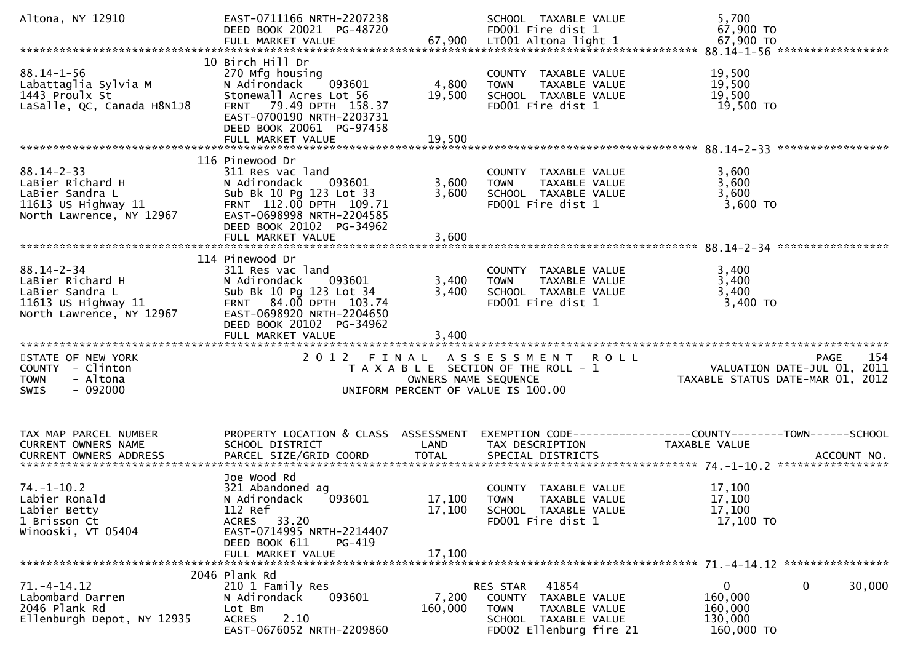| Altona, NY 12910                                                                                                                                                   | EAST-0711166 NRTH-2207238<br>DEED BOOK 20021 PG-48720                                                                                                                                             |                            | SCHOOL TAXABLE VALUE<br>FD001 Fire dist 1                                                                                       | 5,700<br>67,900 TO                                                              |                                                                                |
|--------------------------------------------------------------------------------------------------------------------------------------------------------------------|---------------------------------------------------------------------------------------------------------------------------------------------------------------------------------------------------|----------------------------|---------------------------------------------------------------------------------------------------------------------------------|---------------------------------------------------------------------------------|--------------------------------------------------------------------------------|
| $88.14 - 1 - 56$<br>Labattaglia Sylvia M<br>1443 Proulx St<br>LaSalle, QC, Canada H8N1J8                                                                           | 10 Birch Hill Dr<br>270 Mfg housing<br>093601<br>N Adirondack<br>Stonewall Acres Lot 56<br>FRNT 79.49 DPTH 158.37<br>EAST-0700190 NRTH-2203731<br>DEED BOOK 20061 PG-97458<br>FULL MARKET VALUE   | 4,800<br>19,500<br>19,500  | COUNTY TAXABLE VALUE<br>TAXABLE VALUE<br><b>TOWN</b><br>SCHOOL TAXABLE VALUE<br>FD001 Fire dist 1                               | 19,500<br>19,500<br>19,500<br>19,500 TO                                         |                                                                                |
| $88.14 - 2 - 33$<br>LaBier Richard H<br>LaBier Sandra L<br>11613 US Highway $11$<br>North Lawrence, NY 12967                                                       | 116 Pinewood Dr<br>311 Res vac land<br>093601<br>N Adirondack<br>Sub Bk 10 Pg 123 Lot 33<br>FRNT 112.00 DPTH 109.71<br>EAST-0698998 NRTH-2204585<br>DEED BOOK 20102 PG-34962<br>FULL MARKET VALUE | 3,600<br>3,600<br>3,600    | COUNTY TAXABLE VALUE<br><b>TOWN</b><br>TAXABLE VALUE<br>SCHOOL TAXABLE VALUE<br>FD001 Fire dist 1                               | 3,600<br>3,600<br>3,600<br>3,600 TO                                             |                                                                                |
| $88.14 - 2 - 34$<br>LaBier Richard H<br>LaBier Sandra L<br>11613 US Highway 11<br>North Lawrence, NY 12967                                                         | 114 Pinewood Dr<br>311 Res vac land<br>N Adirondack<br>093601<br>Sub Bk 10 Pg 123 Lot 34<br>FRNT 84.00 DPTH 103.74<br>EAST-0698920 NRTH-2204650<br>DEED BOOK 20102 PG-34962                       | 3,400<br>3,400             | COUNTY TAXABLE VALUE<br><b>TOWN</b><br>TAXABLE VALUE<br>SCHOOL TAXABLE VALUE<br>FD001 Fire dist 1                               | 3,400<br>3,400<br>3,400<br>$3,400$ TO                                           |                                                                                |
| STATE OF NEW YORK<br>COUNTY - Clinton<br>- Altona<br><b>TOWN</b><br>$-092000$<br><b>SWIS</b>                                                                       |                                                                                                                                                                                                   | OWNERS NAME SEQUENCE       | 2012 FINAL ASSESSMENT<br><b>ROLL</b><br>T A X A B L E SECTION OF THE ROLL - 1<br>UNIFORM PERCENT OF VALUE IS 100.00             |                                                                                 | 154<br>PAGE<br>VALUATION DATE-JUL 01, 2011<br>TAXABLE STATUS DATE-MAR 01, 2012 |
| TAX MAP PARCEL NUMBER<br>CURRENT OWNERS NAME<br>.CURRENT OWNERS ADDRESS PARCEL SIZE/GRID COORD TOTAL SPECIAL DISTRICTS ACCOUNT NO ACCOUNT NO ACCOUNT NO ACCOUNT NO | PROPERTY LOCATION & CLASS ASSESSMENT<br>SCHOOL DISTRICT                                                                                                                                           | LAND                       | TAX DESCRIPTION                                                                                                                 | EXEMPTION CODE------------------COUNTY--------TOWN------SCHOOL<br>TAXABLE VALUE |                                                                                |
| $74. - 1 - 10.2$<br>Labier Ronald<br>Labier Betty<br>1 Brisson Ct<br>Winooski, VT 05404                                                                            | Joe Wood Rd<br>321 Abandoned ag<br>093601<br>N Adirondack<br>112 Ref<br>ACRES 33.20<br>EAST-0714995 NRTH-2214407<br>DEED BOOK 611<br>PG-419<br>FULL MARKET VALUE                                  | 17,100<br>17,100<br>17,100 | COUNTY TAXABLE VALUE<br><b>TOWN</b><br>TAXABLE VALUE<br>SCHOOL TAXABLE VALUE<br>FD001 Fire dist 1                               | 17,100<br>17,100<br>17,100<br>17,100 TO                                         |                                                                                |
| $71. -4 - 14.12$<br>Labombard Darren<br>2046 Plank Rd<br>Ellenburgh Depot, NY 12935                                                                                | 2046 Plank Rd<br>210 1 Family Res<br>093601<br>N Adirondack<br>Lot Bm<br>2.10<br><b>ACRES</b><br>EAST-0676052 NRTH-2209860                                                                        | 7,200<br>160,000           | 41854<br>RES STAR<br>COUNTY<br>TAXABLE VALUE<br><b>TOWN</b><br>TAXABLE VALUE<br>SCHOOL TAXABLE VALUE<br>FD002 Ellenburg fire 21 | $\mathbf{0}$<br>160,000<br>160,000<br>130,000<br>160,000 TO                     | 30,000<br>0                                                                    |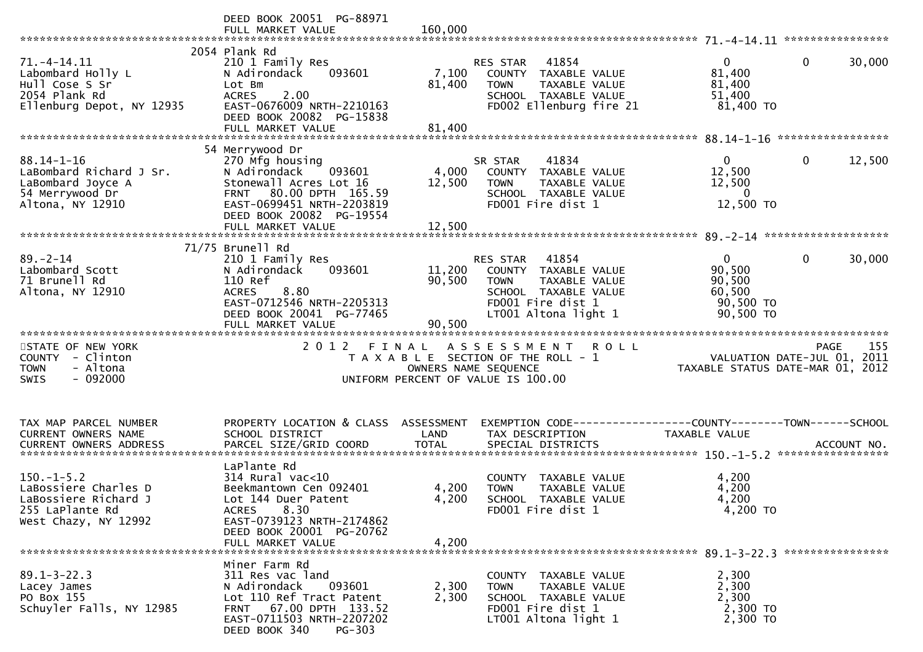|                                                                                                         | DEED BOOK 20051 PG-88971<br>FULL MARKET VALUE                                                                                                                                                  | 160,000                    |                                                                                                                                                |                                                                                      |
|---------------------------------------------------------------------------------------------------------|------------------------------------------------------------------------------------------------------------------------------------------------------------------------------------------------|----------------------------|------------------------------------------------------------------------------------------------------------------------------------------------|--------------------------------------------------------------------------------------|
|                                                                                                         |                                                                                                                                                                                                |                            |                                                                                                                                                |                                                                                      |
| $71. -4 - 14.11$<br>Labombard Holly L<br>Hull Cose S Sr<br>2054 Plank Rd<br>Ellenburg Depot, NY 12935   | 2054 Plank Rd<br>210 1 Family Res<br>N Adirondack<br>093601<br>Lot Bm<br>2.00<br><b>ACRES</b><br>EAST-0676009 NRTH-2210163<br>DEED BOOK 20082 PG-15838                                         | 7,100<br>81,400            | 41854<br>RES STAR<br>COUNTY TAXABLE VALUE<br>TAXABLE VALUE<br><b>TOWN</b><br>SCHOOL TAXABLE VALUE<br>FD002 Ellenburg fire 21                   | $\overline{0}$<br>0<br>30,000<br>81,400<br>81,400<br>51,400<br>81,400 TO             |
|                                                                                                         |                                                                                                                                                                                                |                            |                                                                                                                                                |                                                                                      |
| $88.14 - 1 - 16$<br>LaBombard Richard J Sr.<br>LaBombard Joyce A<br>54 Merrywood Dr<br>Altona, NY 12910 | 54 Merrywood Dr<br>270 Mfg housing<br>N Adirondack<br>093601<br>Stonewall Acres Lot 16<br>FRNT 80.00 DPTH 165.59<br>EAST-0699451 NRTH-2203819<br>DEED BOOK 20082 PG-19554<br>FULL MARKET VALUE | 4,000<br>12,500<br>12,500  | 41834<br>SR STAR<br>COUNTY TAXABLE VALUE<br><b>TOWN</b><br>TAXABLE VALUE<br>SCHOOL TAXABLE VALUE<br>FD001 Fire dist 1                          | 12,500<br>$\overline{0}$<br>$\mathbf 0$<br>12,500<br>12,500<br>$\bf{0}$<br>12,500 TO |
|                                                                                                         |                                                                                                                                                                                                |                            |                                                                                                                                                |                                                                                      |
| $89 - 2 - 14$<br>Labombard Scott<br>71 Brunell Rd<br>Altona, NY 12910                                   | 71/75 Brunell Rd<br>210 1 Family Res<br>093601<br>N Adirondack<br>110 Ref<br><b>ACRES</b><br>8.80<br>EAST-0712546 NRTH-2205313<br>DEED BOOK 20041 PG-77465<br>FULL MARKET VALUE                | 11,200<br>90,500<br>90,500 | RES STAR<br>41854<br>COUNTY TAXABLE VALUE<br><b>TOWN</b><br>TAXABLE VALUE<br>SCHOOL TAXABLE VALUE<br>FD001 Fire dist 1<br>LT001 Altona light 1 | $\Omega$<br>0<br>30,000<br>90,500<br>90,500<br>60,500<br>90,500 TO<br>90,500 TO      |
|                                                                                                         | 2012 FINAL                                                                                                                                                                                     |                            | ASSESSMENT ROLL                                                                                                                                | 155                                                                                  |
| STATE OF NEW YORK<br>COUNTY - Clinton<br><b>TOWN</b><br>- Altona<br>$-092000$<br>SWIS                   |                                                                                                                                                                                                | OWNERS NAME SEQUENCE       | T A X A B L E SECTION OF THE ROLL - 1<br>UNIFORM PERCENT OF VALUE IS 100.00                                                                    | <b>PAGE</b><br>VALUATION DATE-JUL $01, 2011$<br>TAXABLE STATUS DATE-MAR 01, 2012     |
|                                                                                                         |                                                                                                                                                                                                |                            |                                                                                                                                                |                                                                                      |
| TAX MAP PARCEL NUMBER<br>CURRENT OWNERS NAME                                                            | PROPERTY LOCATION & CLASS ASSESSMENT<br>SCHOOL DISTRICT                                                                                                                                        | LAND                       | TAX DESCRIPTION                                                                                                                                | EXEMPTION CODE-----------------COUNTY-------TOWN------SCHOOL<br>TAXABLE VALUE        |
|                                                                                                         | LaPlante Rd                                                                                                                                                                                    |                            |                                                                                                                                                |                                                                                      |
| $150.-1-5.2$<br>LaBossiere Charles D<br>LaBossiere Richard J<br>255 LaPlante Rd<br>West Chazy, NY 12992 | $314$ Rural vac<10<br>Beekmantown Cen 092401<br>Lot 144 Duer Patent<br>8.30<br><b>ACRES</b><br>EAST-0739123 NRTH-2174862<br>DEED BOOK 20001 PG-20762<br>FULL MARKET VALUE                      | 4,200<br>4,200<br>4,200    | COUNTY TAXABLE VALUE<br>TAXABLE VALUE<br><b>TOWN</b><br>SCHOOL TAXABLE VALUE<br>FD001 Fire dist 1                                              | 4,200<br>4,200<br>4,200<br>4,200 TO                                                  |
|                                                                                                         |                                                                                                                                                                                                |                            |                                                                                                                                                |                                                                                      |
| $89.1 - 3 - 22.3$<br>Lacey James<br>PO Box 155<br>Schuyler Falls, NY 12985                              | Miner Farm Rd<br>311 Res vac land<br>N Adirondack<br>093601<br>Lot 110 Ref Tract Patent<br>FRNT 67.00 DPTH 133.52<br>EAST-0711503 NRTH-2207202<br>DEED BOOK 340<br>PG-303                      | 2,300<br>2,300             | COUNTY TAXABLE VALUE<br>TAXABLE VALUE<br><b>TOWN</b><br>SCHOOL TAXABLE VALUE<br>FD001 Fire dist 1<br>LT001 Altona light 1                      | 2,300<br>2,300<br>2,300<br>2,300 TO<br>2,300 TO                                      |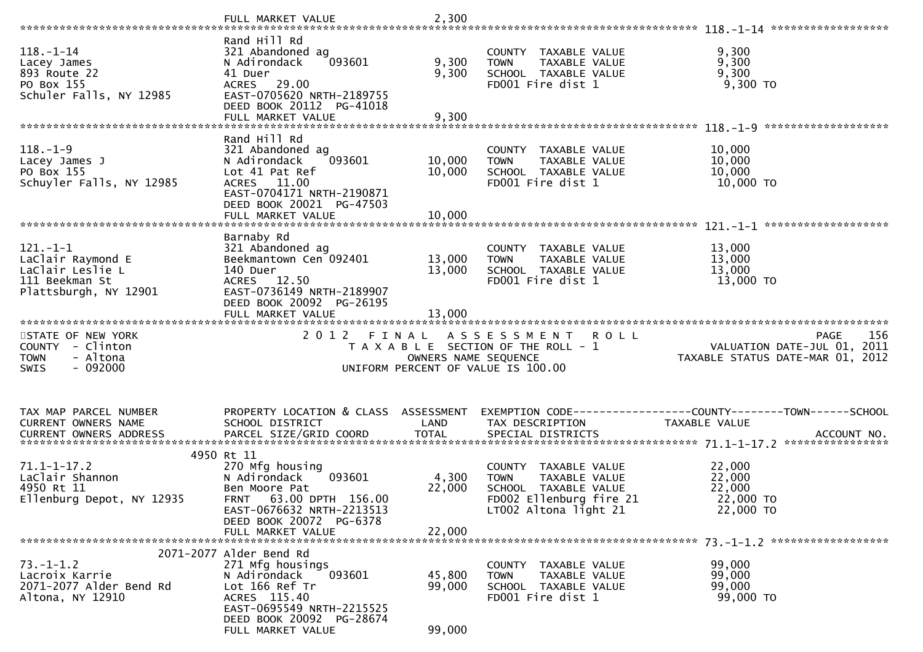|                                                     | FULL MARKET VALUE                                       | 2,300                |                                                      |                                  |
|-----------------------------------------------------|---------------------------------------------------------|----------------------|------------------------------------------------------|----------------------------------|
|                                                     | Rand Hill Rd                                            |                      |                                                      |                                  |
| $118. - 1 - 14$<br>Lacey James                      | 321 Abandoned ag<br>N Adirondack<br>093601              | 9,300                | COUNTY TAXABLE VALUE<br><b>TOWN</b><br>TAXABLE VALUE | 9,300<br>9,300                   |
| 893 Route 22                                        | 41 Duer                                                 | 9,300                | SCHOOL TAXABLE VALUE                                 | 9,300                            |
| PO Box 155<br>Schuler Falls, NY 12985               | ACRES 29.00<br>EAST-0705620 NRTH-2189755                |                      | FD001 Fire dist 1                                    | 9,300 TO                         |
|                                                     | DEED BOOK 20112 PG-41018                                |                      |                                                      |                                  |
|                                                     | FULL MARKET VALUE                                       | 9,300                |                                                      |                                  |
|                                                     |                                                         |                      |                                                      |                                  |
|                                                     | Rand Hill Rd                                            |                      |                                                      |                                  |
| $118. - 1 - 9$<br>Lacey James J                     | 321 Abandoned ag<br>N Adirondack<br>093601              | 10,000               | COUNTY TAXABLE VALUE<br>TAXABLE VALUE<br><b>TOWN</b> | 10,000<br>10,000                 |
| PO Box 155                                          | Lot 41 Pat Ref                                          | 10,000               | SCHOOL TAXABLE VALUE                                 | 10,000                           |
| Schuyler Falls, NY 12985                            | ACRES 11.00                                             |                      | FD001 Fire dist 1                                    | 10,000 TO                        |
|                                                     | EAST-0704171 NRTH-2190871                               |                      |                                                      |                                  |
|                                                     | DEED BOOK 20021 PG-47503                                |                      |                                                      |                                  |
|                                                     |                                                         |                      |                                                      | *******************              |
|                                                     | Barnaby Rd                                              |                      |                                                      |                                  |
| $121.-1-1$                                          | 321 Abandoned ag                                        |                      | COUNTY TAXABLE VALUE                                 | 13,000                           |
| LaClair Raymond E                                   | Beekmantown Cen 092401                                  | 13,000               | TAXABLE VALUE<br><b>TOWN</b>                         | 13,000                           |
| LaClair Leslie L<br>111 Beekman St                  | 140 Duer<br>ACRES 12.50                                 | 13,000               | SCHOOL TAXABLE VALUE<br>FD001 Fire dist 1            | 13,000<br>13,000 TO              |
| Plattsburgh, NY 12901                               | EAST-0736149 NRTH-2189907                               |                      |                                                      |                                  |
|                                                     | DEED BOOK 20092 PG-26195                                |                      |                                                      |                                  |
|                                                     | FULL MARKET VALUE                                       | 13,000               |                                                      |                                  |
|                                                     |                                                         |                      |                                                      |                                  |
|                                                     |                                                         |                      |                                                      |                                  |
| STATE OF NEW YORK                                   | 2 0 1 2<br>FINAL                                        |                      | A S S E S S M E N T<br><b>ROLL</b>                   | 156<br><b>PAGE</b>               |
| COUNTY - Clinton                                    |                                                         |                      | T A X A B L E SECTION OF THE ROLL - 1                | VALUATION DATE-JUL 01, 2011      |
| - Altona<br><b>TOWN</b><br>$-092000$<br><b>SWIS</b> |                                                         | OWNERS NAME SEQUENCE | UNIFORM PERCENT OF VALUE IS 100.00                   | TAXABLE STATUS DATE-MAR 01, 2012 |
|                                                     |                                                         |                      |                                                      |                                  |
|                                                     |                                                         |                      |                                                      |                                  |
|                                                     |                                                         |                      |                                                      |                                  |
| TAX MAP PARCEL NUMBER<br>CURRENT OWNERS NAME        | PROPERTY LOCATION & CLASS ASSESSMENT<br>SCHOOL DISTRICT | LAND                 | TAX DESCRIPTION                                      | TAXABLE VALUE                    |
| CURRENT OWNERS ADDRESS                              |                                                         |                      |                                                      |                                  |
|                                                     |                                                         |                      |                                                      |                                  |
|                                                     | 4950 Rt 11                                              |                      |                                                      |                                  |
| $71.1 - 1 - 17.2$                                   | 270 Mfg housing<br>N Adirondack<br>093601               |                      | COUNTY TAXABLE VALUE<br>TAXABLE VALUE<br><b>TOWN</b> | 22,000                           |
| LaClair Shannon<br>4950 Rt 11                       | Ben Moore Pat                                           | 4,300<br>22,000      | SCHOOL TAXABLE VALUE                                 | 22,000<br>22,000                 |
| Ellenburg Depot, NY 12935                           | 63.00 DPTH 156.00<br>FRNT                               |                      | FD002 Ellenburg fire 21                              | 22,000 TO                        |
|                                                     | EAST-0676632 NRTH-2213513                               |                      | LT002 Altona light 21                                | 22,000 TO                        |
|                                                     | DEED BOOK 20072 PG-6378                                 |                      |                                                      |                                  |
|                                                     | FULL MARKET VALUE                                       | 22,000               |                                                      |                                  |
|                                                     | 2071-2077 Alder Bend Rd                                 |                      |                                                      |                                  |
| $73. - 1 - 1.2$                                     | 271 Mfg housings                                        |                      | COUNTY TAXABLE VALUE                                 | 99,000                           |
| Lacroix Karrie                                      | N Adirondack<br>093601                                  | 45,800               | TAXABLE VALUE<br><b>TOWN</b>                         | 99,000                           |
| 2071-2077 Alder Bend Rd                             | Lot 166 Ref Tr<br>ACRES 115.40                          | 99,000               | SCHOOL TAXABLE VALUE                                 | 99,000                           |
| Altona, NY 12910                                    | EAST-0695549 NRTH-2215525                               |                      | FD001 Fire dist 1                                    | 99,000 TO                        |
|                                                     | DEED BOOK 20092 PG-28674<br>FULL MARKET VALUE           | 99,000               |                                                      |                                  |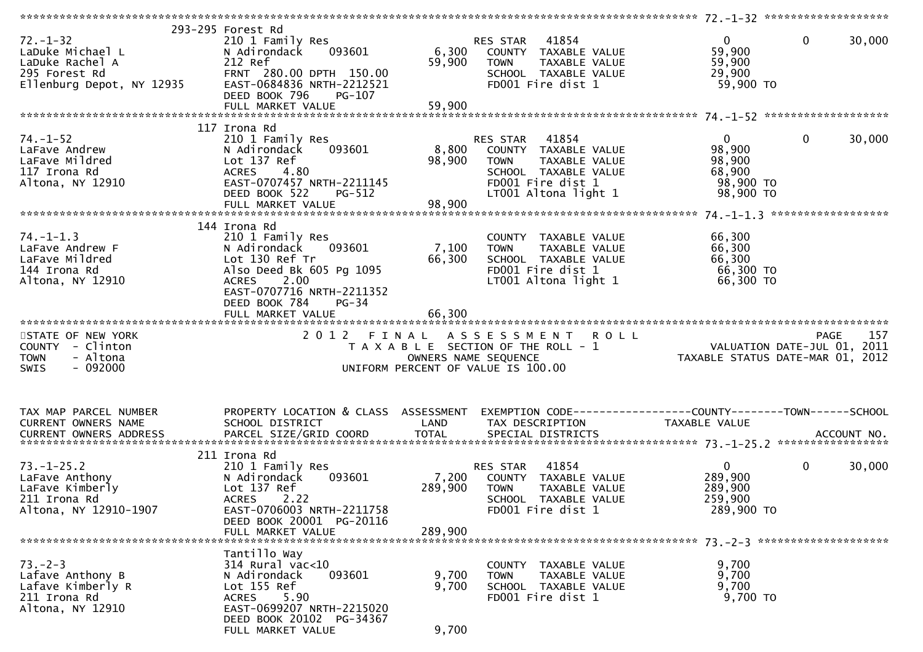| $72. - 1 - 32$<br>LaDuke Michael L<br>LaDuke Rachel A<br>295 Forest Rd<br>Ellenburg Depot, NY 12935 | 293-295 Forest Rd<br>210 1 Family Res<br>093601<br>N Adirondack<br>212 Ref<br>FRNT 280.00 DPTH 150.00<br>EAST-0684836 NRTH-2212521<br>DEED BOOK 796<br>$PG-107$                                                     | 6,300<br>59,900             | 41854<br>RES STAR<br>COUNTY TAXABLE VALUE<br>TAXABLE VALUE<br><b>TOWN</b><br>SCHOOL TAXABLE VALUE<br>FD001 Fire dist 1                                | $\overline{0}$<br>59,900<br>59,900<br>29,900<br>59,900 TO              | $\mathbf{0}$<br>30,000 |
|-----------------------------------------------------------------------------------------------------|---------------------------------------------------------------------------------------------------------------------------------------------------------------------------------------------------------------------|-----------------------------|-------------------------------------------------------------------------------------------------------------------------------------------------------|------------------------------------------------------------------------|------------------------|
| $74. - 1 - 52$<br>LaFave Andrew<br>LaFave Mildred<br>117 Irona Rd<br>Altona, NY 12910               | 117 Irona Rd<br>210 1 Family Res<br>093601<br>N Adirondack<br>Lot 137 Ref<br><b>ACRES</b><br>4.80<br>EAST-0707457 NRTH-2211145<br>DEED BOOK 522<br><b>PG-512</b>                                                    | 8,800<br>98,900             | 41854<br>RES STAR<br>COUNTY TAXABLE VALUE<br><b>TOWN</b><br><b>TAXABLE VALUE</b><br>SCHOOL TAXABLE VALUE<br>FD001 Fire dist 1<br>LT001 Altona light 1 | $\overline{0}$<br>98,900<br>98,900<br>68,900<br>98,900 TO<br>98,900 TO | $\mathbf{0}$<br>30,000 |
| $74. - 1 - 1.3$<br>LaFave Andrew F<br>LaFave Mildred<br>144 Irona Rd<br>Altona, NY 12910            | 144 Irona Rd<br>210 1 Family Res<br>093601<br>N Adirondack<br>Lot 130 Ref Tr<br>Also Deed Bk 605 Pg 1095<br>2.00<br><b>ACRES</b><br>EAST-0707716 NRTH-2211352<br>DEED BOOK 784<br><b>PG-34</b><br>FULL MARKET VALUE | 7,100<br>66,300<br>66,300   | COUNTY TAXABLE VALUE<br>TAXABLE VALUE<br><b>TOWN</b><br>SCHOOL TAXABLE VALUE<br>FD001 Fire dist 1<br>LT001 Altona light 1                             | 66,300<br>66,300<br>66,300<br>66,300 TO<br>66,300 TO                   |                        |
| STATE OF NEW YORK<br>COUNTY - Clinton<br><b>TOWN</b><br>- Altona<br>$-092000$<br><b>SWIS</b>        |                                                                                                                                                                                                                     |                             | 2012 FINAL ASSESSMENT<br><b>ROLL</b><br>T A X A B L E SECTION OF THE ROLL - 1<br>OWNERS NAME SEQUENCE<br>UNIFORM PERCENT OF VALUE IS 100.00           | 12.<br>VALUATION DATE-JUL 01, 2011<br>TAXABLE STATUS DATE-MAR 01, 2012 | 157<br><b>PAGE</b>     |
| TAX MAP PARCEL NUMBER<br>CURRENT OWNERS NAME                                                        | PROPERTY LOCATION & CLASS ASSESSMENT<br>SCHOOL DISTRICT                                                                                                                                                             | LAND                        | TAX DESCRIPTION                                                                                                                                       | TAXABLE VALUE                                                          |                        |
| $73. - 1 - 25.2$<br>LaFave Anthony<br>LaFave Kimberly<br>211 Irona Rd<br>Altona, NY 12910-1907      | 211 Irona Rd<br>210 1 Family Res<br>N Adirondack<br>093601<br>Lot 137 Ref<br>2.22<br><b>ACRES</b><br>EAST-0706003 NRTH-2211758<br>DEED BOOK 20001 PG-20116<br>FULL MARKET VALUE                                     | 7,200<br>289,900<br>289,900 | 41854<br>RES STAR<br>COUNTY TAXABLE VALUE<br><b>TOWN</b><br><b>TAXABLE VALUE</b><br>SCHOOL TAXABLE VALUE<br>FD001 Fire dist 1                         | $\mathbf{0}$<br>289,900<br>289,900<br>259,900<br>289,900 TO            | $\mathbf{0}$<br>30,000 |
| $73. - 2 - 3$<br>Lafave Anthony B<br>Lafave Kimberly R<br>211 Irona Rd<br>Altona, NY 12910          | Tantillo Way<br>314 Rural vac<10<br>093601<br>N Adirondack<br>Lot 155 Ref<br><b>ACRES</b><br>5.90<br>EAST-0699207 NRTH-2215020<br>DEED BOOK 20102 PG-34367<br>FULL MARKET VALUE                                     | 9,700<br>9,700<br>9,700     | COUNTY TAXABLE VALUE<br><b>TOWN</b><br>TAXABLE VALUE<br>SCHOOL TAXABLE VALUE<br>FD001 Fire dist 1                                                     | 9,700<br>9,700<br>9,700<br>9,700 TO                                    |                        |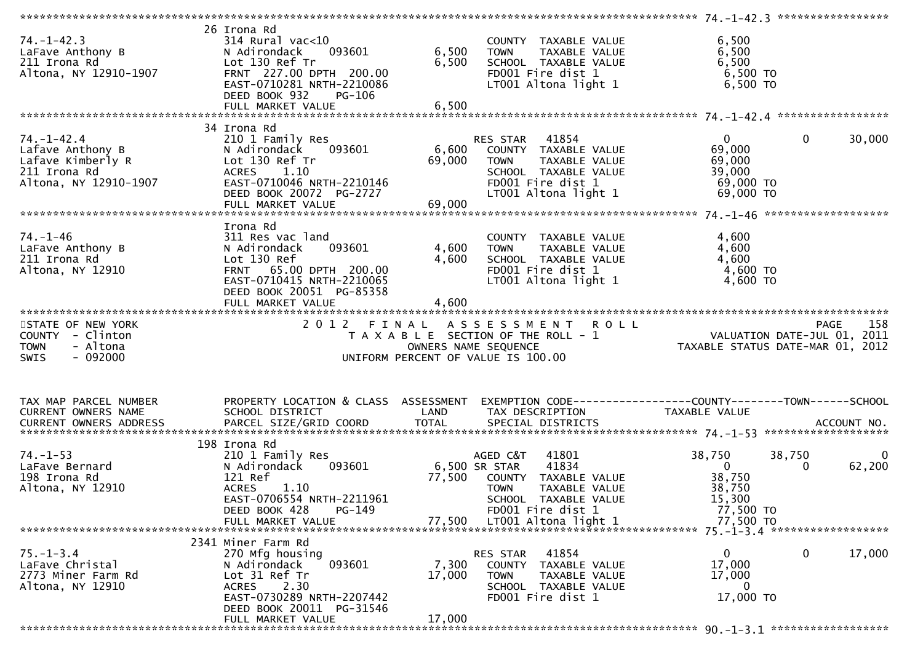| $74. - 1 - 42.3$<br>LaFave Anthony B<br>211 Irona Rd<br>Altona, NY 12910-1907                      | 26 Irona Rd<br>$314$ Rural vac< $10$<br>093601<br>N Adirondack<br>Lot 130 Ref Tr<br>FRNT 227.00 DPTH 200.00<br>EAST-0710281 NRTH-2210086<br>DEED BOOK 932<br>PG-106<br>FULL MARKET VALUE | 6,500<br>6,500<br>6,500   | COUNTY TAXABLE VALUE<br><b>TOWN</b><br>TAXABLE VALUE<br>SCHOOL TAXABLE VALUE<br>FD001 Fire dist 1<br>LT001 Altona light 1                 | 6,500<br>6,500<br>6,500<br>6,500 TO<br>6,500 TO                               |                       |
|----------------------------------------------------------------------------------------------------|------------------------------------------------------------------------------------------------------------------------------------------------------------------------------------------|---------------------------|-------------------------------------------------------------------------------------------------------------------------------------------|-------------------------------------------------------------------------------|-----------------------|
|                                                                                                    |                                                                                                                                                                                          |                           |                                                                                                                                           |                                                                               |                       |
| $74. - 1 - 42.4$<br>Lafave Anthony B<br>Lafave Kimberly R<br>211 Irona Rd<br>Altona, NY 12910-1907 | 34 Irona Rd<br>210 1 Family Res<br>093601<br>N Adirondack<br>Lot 130 Ref Tr<br>ACRES 1.10<br>EAST-0710046 NRTH-2210146<br>DEED BOOK 20072 PG-2727                                        | 6,600<br>69,000           | RES STAR 41854<br>COUNTY TAXABLE VALUE<br>TAXABLE VALUE<br>TOWN<br>SCHOOL TAXABLE VALUE<br>FD001 Fire dist 1<br>LT001 Altona light 1      | $\mathbf{0}$<br>69,000<br>69,000<br>39,000<br>69,000 TO<br>69,000 TO          | $\mathbf 0$<br>30,000 |
|                                                                                                    |                                                                                                                                                                                          |                           |                                                                                                                                           |                                                                               |                       |
| $74. - 1 - 46$<br>LaFave Anthony B<br>211 Irona Rd<br>Altona, NY 12910                             | Irona Rd<br>311 Res vac land<br>093601<br>N Adirondack<br>Lot 130 Ref<br>FRNT 65.00 DPTH 200.00<br>EAST-0710415 NRTH-2210065<br>DEED BOOK 20051 PG-85358<br>FULL MARKET VALUE            | 4,600<br>4,600<br>4,600   | COUNTY TAXABLE VALUE<br><b>TOWN</b><br>TAXABLE VALUE<br>SCHOOL TAXABLE VALUE<br>FD001 Fire dist 1<br>LT001 Altona light 1                 | 4,600<br>4,600<br>4,600<br>4,600 TO<br>4,600 TO                               |                       |
|                                                                                                    |                                                                                                                                                                                          |                           |                                                                                                                                           |                                                                               |                       |
| STATE OF NEW YORK<br>COUNTY - Clinton<br>- Altona<br><b>TOWN</b><br>$-092000$<br><b>SWIS</b>       | 2 0 1 2                                                                                                                                                                                  | FINAL                     | <b>ROLL</b><br>A S S E S S M E N T<br>T A X A B L E SECTION OF THE ROLL - 1<br>OWNERS NAME SEQUENCE<br>UNIFORM PERCENT OF VALUE IS 100.00 | rage 136<br>VALUATION DATE-JUL 01, 2011<br>TAXABLE STATUS DATE-MAR 01, 2012   | 158<br><b>PAGE</b>    |
| TAX MAP PARCEL NUMBER<br>CURRENT OWNERS NAME                                                       | PROPERTY LOCATION & CLASS ASSESSMENT<br>SCHOOL DISTRICT                                                                                                                                  | LAND                      | EXEMPTION CODE------------------COUNTY--------TOWN------SCHOOL<br>TAX DESCRIPTION                                                         | TAXABLE VALUE                                                                 |                       |
|                                                                                                    |                                                                                                                                                                                          |                           |                                                                                                                                           |                                                                               |                       |
|                                                                                                    |                                                                                                                                                                                          |                           |                                                                                                                                           |                                                                               |                       |
| $74. - 1 - 53$<br>LaFave Bernard<br>198 Irona Rd<br>Altona, NY 12910                               | 198 Irona Rd<br>210 1 Family Res<br>N Adirondack<br>093601<br>121 Ref<br>ACRES<br>1.10<br>EAST-0706554 NRTH-2211961<br>DEED BOOK 428<br>$PG-149$                                         | 6,500 SR STAR<br>77,500   | AGED C&T<br>41801<br>41834<br>COUNTY TAXABLE VALUE<br><b>TOWN</b><br>TAXABLE VALUE<br>SCHOOL TAXABLE VALUE<br>FD001 Fire dist 1           | 38,750<br>38,750<br>$\overline{0}$<br>38,750<br>38,750<br>15,300<br>77,500 TO | 0<br>62,200<br>0      |
|                                                                                                    | FULL MARKET VALUE                                                                                                                                                                        | 77.500                    | LT001 Altona light 1                                                                                                                      | 77,500 TO                                                                     |                       |
|                                                                                                    |                                                                                                                                                                                          |                           |                                                                                                                                           |                                                                               |                       |
| $75. - 1 - 3.4$<br>LaFave Christal<br>2773 Miner Farm Rd<br>Altona, NY 12910                       | 2341 Miner Farm Rd<br>270 Mfg housing<br>093601<br>N Adirondack<br>Lot 31 Ref Tr<br>2.30<br><b>ACRES</b><br>EAST-0730289 NRTH-2207442<br>DEED BOOK 20011 PG-31546<br>FULL MARKET VALUE   | 7,300<br>17,000<br>17,000 | 41854<br>RES STAR<br>COUNTY TAXABLE VALUE<br><b>TOWN</b><br>TAXABLE VALUE<br>SCHOOL TAXABLE VALUE<br>FD001 Fire dist 1                    | $\mathbf{0}$<br>17,000<br>17,000<br>0<br>17,000 TO                            | $\mathbf 0$<br>17,000 |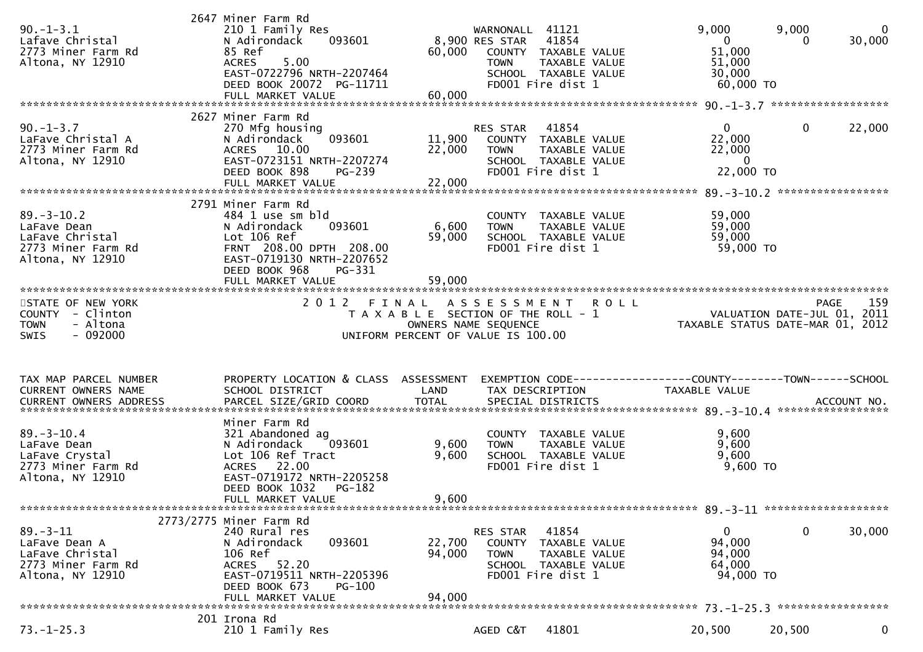| $90. -1 - 3.1$<br>Lafave Christal<br>2773 Miner Farm Rd<br>Altona, NY 12910                  | 2647 Miner Farm Rd<br>210 1 Family Res<br>N Adirondack<br>093601<br>85 Ref<br>5.00<br><b>ACRES</b><br>EAST-0722796 NRTH-2207464<br>DEED BOOK 20072 PG-11711<br>FULL MARKET VALUE    | 60,000<br>60,000           | WARNONALL 41121<br>41854<br>8,900 RES STAR<br>COUNTY TAXABLE VALUE<br>TAXABLE VALUE<br><b>TOWN</b><br>SCHOOL TAXABLE VALUE<br>FD001 Fire dist 1 | 9,000<br>9,000<br>$\mathbf{0}$<br>0<br>51,000<br>51,000<br>30,000<br>60,000 TO  | 0<br>30,000        |
|----------------------------------------------------------------------------------------------|-------------------------------------------------------------------------------------------------------------------------------------------------------------------------------------|----------------------------|-------------------------------------------------------------------------------------------------------------------------------------------------|---------------------------------------------------------------------------------|--------------------|
|                                                                                              | 2627 Miner Farm Rd                                                                                                                                                                  |                            |                                                                                                                                                 |                                                                                 |                    |
| $90. - 1 - 3.7$<br>LaFave Christal A<br>2773 Miner Farm Rd<br>Altona, NY 12910               | 270 Mfg housing<br>093601<br>N Adirondack<br>ACRES 10.00<br>EAST-0723151 NRTH-2207274<br>DEED BOOK 898<br><b>PG-239</b><br>FULL MARKET VALUE                                        | 11,900<br>22,000<br>22,000 | 41854<br>RES STAR<br>COUNTY TAXABLE VALUE<br><b>TOWN</b><br>TAXABLE VALUE<br>SCHOOL TAXABLE VALUE<br>FD001 Fire dist 1                          | $\overline{0}$<br>$\mathbf{0}$<br>22,000<br>22,000<br>$\Omega$<br>22,000 TO     | 22,000             |
|                                                                                              | 2791 Miner Farm Rd                                                                                                                                                                  |                            |                                                                                                                                                 |                                                                                 |                    |
| $89. - 3 - 10.2$<br>LaFave Dean<br>LaFave Christal<br>2773 Miner Farm Rd<br>Altona, NY 12910 | 484 1 use sm bld<br>093601<br>N Adirondack<br>Lot 106 Ref<br>FRNT 208.00 DPTH 208.00<br>EAST-0719130 NRTH-2207652<br>DEED BOOK 968<br>PG-331<br>FULL MARKET VALUE                   | 6,600<br>59,000<br>59,000  | COUNTY TAXABLE VALUE<br>TAXABLE VALUE<br><b>TOWN</b><br>SCHOOL TAXABLE VALUE<br>FD001 Fire dist 1                                               | 59,000<br>59,000<br>59,000<br>59,000 TO                                         |                    |
| STATE OF NEW YORK                                                                            | ***********************<br>2012 FINAL                                                                                                                                               |                            | A S S E S S M E N T                                                                                                                             |                                                                                 |                    |
| COUNTY - Clinton<br>- Altona<br><b>TOWN</b><br>$-092000$<br>SWIS                             |                                                                                                                                                                                     |                            | <b>ROLL</b><br>T A X A B L E SECTION OF THE ROLL - 1<br>OWNERS NAME SEQUENCE<br>UNIFORM PERCENT OF VALUE IS 100.00                              | VALUATION DATE-JUL 01, 2011<br>TAXABLE STATUS DATE-MAR 01, 2012                 | 159<br><b>PAGE</b> |
|                                                                                              |                                                                                                                                                                                     |                            |                                                                                                                                                 |                                                                                 |                    |
|                                                                                              |                                                                                                                                                                                     |                            |                                                                                                                                                 |                                                                                 |                    |
| TAX MAP PARCEL NUMBER<br>CURRENT OWNERS NAME                                                 | PROPERTY LOCATION & CLASS ASSESSMENT<br>SCHOOL DISTRICT                                                                                                                             | LAND                       | TAX DESCRIPTION                                                                                                                                 | EXEMPTION CODE------------------COUNTY--------TOWN------SCHOOL<br>TAXABLE VALUE |                    |
|                                                                                              | Miner Farm Rd                                                                                                                                                                       |                            |                                                                                                                                                 |                                                                                 |                    |
| $89. - 3 - 10.4$<br>LaFave Dean<br>LaFave Crystal<br>2773 Miner Farm Rd<br>Altona, NY 12910  | 321 Abandoned ag<br>093601<br>N Adirondack<br>Lot 106 Ref Tract<br>ACRES 22.00<br>EAST-0719172 NRTH-2205258<br>DEED BOOK 1032<br>PG-182                                             | 9,600<br>9,600             | COUNTY TAXABLE VALUE<br><b>TOWN</b><br>TAXABLE VALUE<br>SCHOOL TAXABLE VALUE<br>FD001 Fire dist 1                                               | 9,600<br>9,600<br>9,600<br>9,600 TO                                             |                    |
|                                                                                              | FULL MARKET VALUE                                                                                                                                                                   | 9,600                      |                                                                                                                                                 |                                                                                 |                    |
| $89. - 3 - 11$<br>LaFave Dean A<br>LaFave Christal<br>2773 Miner Farm Rd<br>Altona, NY 12910 | 2773/2775 Miner Farm Rd<br>240 Rural res<br>093601<br>N Adirondack<br>106 Ref<br>52.20<br>ACRES<br>EAST-0719511 NRTH-2205396<br>DEED BOOK 673<br><b>PG-100</b><br>FULL MARKET VALUE | 22,700<br>94,000<br>94,000 | 41854<br>RES STAR<br>COUNTY<br>TAXABLE VALUE<br><b>TOWN</b><br>TAXABLE VALUE<br>SCHOOL TAXABLE VALUE<br>FD001 Fire dist 1                       | $\mathbf 0$<br>$\bf{0}$<br>94,000<br>94,000<br>64,000<br>94,000 TO              | 30,000             |
| $73. - 1 - 25.3$                                                                             | 201 Irona Rd                                                                                                                                                                        |                            |                                                                                                                                                 |                                                                                 |                    |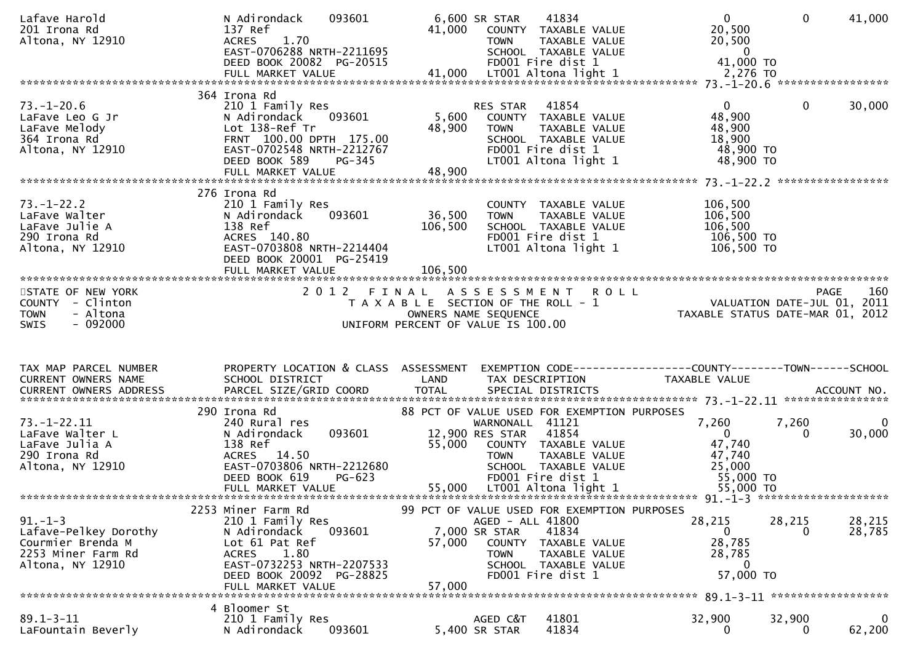| Lafave Harold<br>201 Irona Rd<br>Altona, NY 12910                                                     | 093601<br>N Adirondack<br>137 Ref<br>1.70<br><b>ACRES</b><br>EAST-0706288 NRTH-2211695<br>DEED BOOK 20082 PG-20515                                                          | 41,000                    | 6,600 SR STAR<br>41834<br>COUNTY TAXABLE VALUE<br>TAXABLE VALUE<br><b>TOWN</b><br>SCHOOL TAXABLE VALUE<br>FD001 Fire dist 1                                                                       | $\mathbf{0}$<br>20,500<br>20,500<br>$\overline{\phantom{0}}$<br>41,000 TO | $\Omega$<br>41,000                      |
|-------------------------------------------------------------------------------------------------------|-----------------------------------------------------------------------------------------------------------------------------------------------------------------------------|---------------------------|---------------------------------------------------------------------------------------------------------------------------------------------------------------------------------------------------|---------------------------------------------------------------------------|-----------------------------------------|
|                                                                                                       | 364 Irona Rd                                                                                                                                                                |                           |                                                                                                                                                                                                   |                                                                           |                                         |
| $73. - 1 - 20.6$<br>LaFave Leo G Jr<br>LaFave Melody<br>364 Irona Rd<br>Altona, NY 12910              | 210 1 Family Res<br>093601<br>N Adirondack<br>Lot 138-Ref Tr<br>FRNT 100.00 DPTH 175.00<br>EAST-0702548 NRTH-2212767<br>DEED BOOK 589<br><b>PG-345</b><br>FULL MARKET VALUE | 5,600<br>48,900<br>48,900 | 41854<br>RES STAR<br>COUNTY TAXABLE VALUE<br><b>TOWN</b><br>TAXABLE VALUE<br>SCHOOL TAXABLE VALUE<br>FD001 Fire dist 1<br>LT001 Altona light 1                                                    | $\overline{0}$<br>48,900<br>48,900<br>18,900<br>48,900 TO<br>48,900 TO    | $\mathbf{0}$<br>30,000                  |
|                                                                                                       | 276 Irona Rd                                                                                                                                                                |                           |                                                                                                                                                                                                   |                                                                           |                                         |
| $73. - 1 - 22.2$<br>LaFave Walter<br>LaFave Julie A<br>290 Irona Rd<br>Altona, NY 12910               | 210 1 Family Res<br>093601<br>N Adirondack<br>138 Ref<br>ACRES 140.80<br>EAST-0703808 NRTH-2214404<br>DEED BOOK 20001 PG-25419                                              | 36,500<br>106,500         | COUNTY TAXABLE VALUE<br><b>TOWN</b><br>TAXABLE VALUE<br>SCHOOL TAXABLE VALUE<br>FD001 Fire dist 1<br>LT001 Altona light 1                                                                         | 106,500<br>106,500<br>106,500<br>106,500 TO<br>106,500 TO                 |                                         |
|                                                                                                       |                                                                                                                                                                             |                           |                                                                                                                                                                                                   |                                                                           |                                         |
| STATE OF NEW YORK<br>COUNTY - Clinton<br>- Altona<br><b>TOWN</b><br>$-092000$<br><b>SWIS</b>          |                                                                                                                                                                             |                           | 2012 FINAL ASSESSMENT<br><b>ROLL</b><br>T A X A B L E SECTION OF THE ROLL - 1<br>OWNERS NAME SEQUENCE<br>UNIFORM PERCENT OF VALUE IS 100.00                                                       | PAGE 160<br>VALUATION DATE-JUL 01, 2011<br>TAXARLE STATUS OUT-            | 160<br>TAXABLE STATUS DATE-MAR 01, 2012 |
|                                                                                                       |                                                                                                                                                                             |                           |                                                                                                                                                                                                   |                                                                           |                                         |
|                                                                                                       |                                                                                                                                                                             |                           |                                                                                                                                                                                                   |                                                                           |                                         |
| TAX MAP PARCEL NUMBER<br>CURRENT OWNERS NAME                                                          | PROPERTY LOCATION & CLASS ASSESSMENT<br>SCHOOL DISTRICT                                                                                                                     | <b>Example 12 DE LAND</b> | TAX DESCRIPTION                                                                                                                                                                                   | TAXABLE VALUE                                                             |                                         |
|                                                                                                       | 290 Irona Rd                                                                                                                                                                |                           | 88 PCT OF VALUE USED FOR EXEMPTION PURPOSES                                                                                                                                                       |                                                                           |                                         |
| $73. - 1 - 22.11$<br>LaFave Walter L<br>LaFave Julia A<br>290 Irona Rd<br>Altona, NY 12910            | 240 Rural res<br>093601<br>N Adirondack<br>138 Ref<br>ACRES 14.50<br>EAST-0703806 NRTH-2212680<br>DEED BOOK 619<br>PG-623                                                   | 55,000                    | WARNONALL 41121<br>12,900 RES STAR 41854<br>COUNTY TAXABLE VALUE<br>TAXABLE VALUE<br><b>TOWN</b><br>SCHOOL TAXABLE VALUE<br>FD001 Fire dist 1                                                     | 7,260<br>$\mathbf{0}$<br>47,740<br>47,740<br>25,000<br>55,000 TO          | 7,260<br>0<br>30,000<br>$\Omega$        |
|                                                                                                       |                                                                                                                                                                             |                           |                                                                                                                                                                                                   |                                                                           |                                         |
| $91. - 1 - 3$<br>Lafave-Pelkey Dorothy<br>Courmier Brenda M<br>2253 Miner Farm Rd<br>Altona, NY 12910 | 2253 Miner Farm Rd<br>210 1 Family Res<br>N Adirondack<br>093601<br>Lot 61 Pat Ref<br>1.80<br><b>ACRES</b><br>EAST-0732253 NRTH-2207533<br>DEED BOOK 20092 PG-28825         | 57,000                    | 99 PCT OF VALUE USED FOR EXEMPTION PURPOSES<br>AGED - ALL 41800<br>7,000 SR STAR<br>41834<br>COUNTY<br>TAXABLE VALUE<br>TAXABLE VALUE<br><b>TOWN</b><br>SCHOOL TAXABLE VALUE<br>FD001 Fire dist 1 | 28,215<br>0<br>28,785<br>28,785<br>$\Omega$<br>57,000 TO                  | 28,215<br>28,215<br>28,785<br>0         |
|                                                                                                       | FULL MARKET VALUE<br>4 Bloomer St                                                                                                                                           | 57,000                    |                                                                                                                                                                                                   |                                                                           |                                         |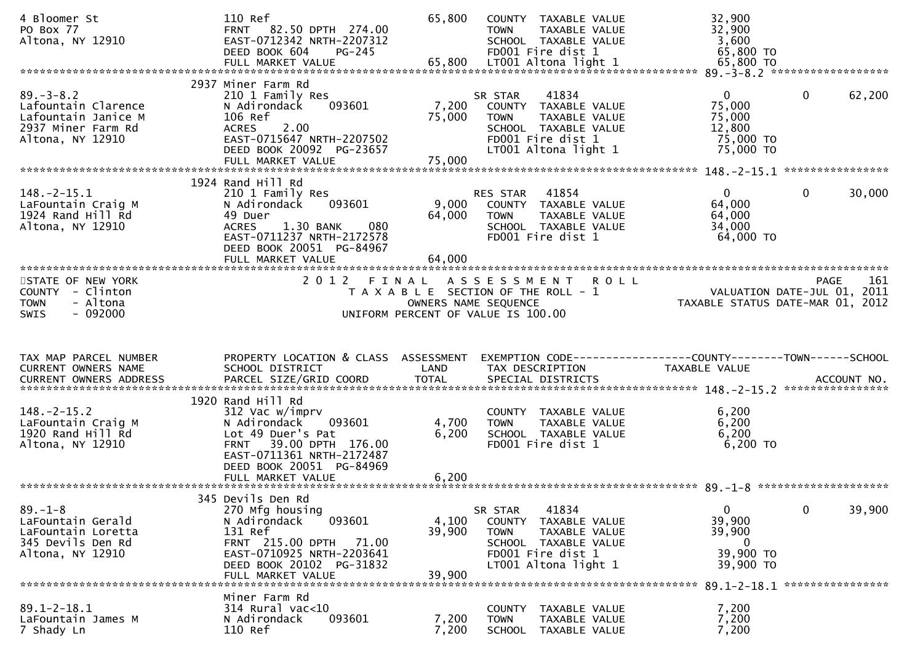| 4 Bloomer St<br>PO Box 77<br>Altona, NY 12910                                                           | 110 Ref<br>FRNT 82.50 DPTH 274.00<br>EAST-0712342 NRTH-2207312<br>DEED BOOK 604<br>$PG-245$<br>FULL MARKET VALUE                                                                  | 65,800<br>65,800          | COUNTY TAXABLE VALUE<br><b>TOWN</b><br>TAXABLE VALUE<br>SCHOOL TAXABLE VALUE<br>FD001 Fire dist 1<br>LT001 Altona light 1                     | 32,900<br>32,900<br>3,600<br>65,800 TO<br>65,800 TO                  |                                            |
|---------------------------------------------------------------------------------------------------------|-----------------------------------------------------------------------------------------------------------------------------------------------------------------------------------|---------------------------|-----------------------------------------------------------------------------------------------------------------------------------------------|----------------------------------------------------------------------|--------------------------------------------|
| $89. - 3 - 8.2$<br>Lafountain Clarence<br>Lafountain Janice M<br>2937 Miner Farm Rd<br>Altona, NY 12910 | 2937 Miner Farm Rd<br>210 1 Family Res<br>093601<br>N Adirondack<br>106 Ref<br><b>ACRES</b><br>2.00<br>EAST-0715647 NRTH-2207502<br>DEED BOOK 20092 PG-23657<br>FULL MARKET VALUE | 7,200<br>75,000<br>75,000 | 41834<br>SR STAR<br>COUNTY TAXABLE VALUE<br><b>TOWN</b><br>TAXABLE VALUE<br>SCHOOL TAXABLE VALUE<br>FD001 Fire dist 1<br>LT001 Altona light 1 | $\mathbf{0}$<br>75,000<br>75,000<br>12,800<br>75,000 TO<br>75,000 TO | 62,200<br>$\mathbf{0}$                     |
|                                                                                                         | 1924 Rand Hill Rd                                                                                                                                                                 |                           |                                                                                                                                               |                                                                      |                                            |
| $148.-2-15.1$<br>LaFountain Craig M<br>1924 Rand Hill Rd<br>Altona, NY 12910                            | 210 1 Family Res<br>093601<br>N Adirondack<br>49 Duer<br><b>ACRES</b><br>1.30 BANK<br>080<br>EAST-0711237 NRTH-2172578<br>DEED BOOK 20051 PG-84967<br>FULL MARKET VALUE           | 9,000<br>64,000<br>64,000 | 41854<br><b>RES STAR</b><br>COUNTY<br>TAXABLE VALUE<br><b>TOWN</b><br>TAXABLE VALUE<br>SCHOOL TAXABLE VALUE<br>FD001 Fire dist 1              | $\Omega$<br>64,000<br>64,000<br>34,000<br>64,000 TO                  | 30,000<br>0                                |
|                                                                                                         |                                                                                                                                                                                   |                           |                                                                                                                                               |                                                                      |                                            |
| STATE OF NEW YORK<br><b>COUNTY</b><br>- Clinton<br><b>TOWN</b><br>- Altona<br>$-092000$<br><b>SWIS</b>  | 2 0 1 2                                                                                                                                                                           | FINAL                     | A S S E S S M E N T<br><b>ROLL</b><br>T A X A B L E SECTION OF THE ROLL - 1<br>OWNERS NAME SEQUENCE<br>UNIFORM PERCENT OF VALUE IS 100.00     | TAXABLE STATUS DATE-MAR 01, 2012                                     | 161<br>PAGE<br>VALUATION DATE-JUL 01, 2011 |
|                                                                                                         |                                                                                                                                                                                   |                           |                                                                                                                                               |                                                                      |                                            |
| TAX MAP PARCEL NUMBER                                                                                   | PROPERTY LOCATION & CLASS ASSESSMENT                                                                                                                                              |                           | EXEMPTION CODE-----------------COUNTY-------TOWN------SCHOOL                                                                                  |                                                                      |                                            |
| CURRENT OWNERS NAME<br>CURRENT OWNERS ADDRESS                                                           | SCHOOL DISTRICT<br>PARCEL SIZE/GRID COORD                                                                                                                                         | LAND<br><b>TOTAL</b>      | TAX DESCRIPTION<br>SPECIAL DISTRICTS                                                                                                          | <b>TAXABLE VALUE</b>                                                 | ACCOUNT NO.                                |
|                                                                                                         |                                                                                                                                                                                   |                           |                                                                                                                                               |                                                                      | ****************                           |
| $148. - 2 - 15.2$<br>LaFountain Craig M<br>1920 Rand Hill Rd<br>Altona, NY 12910                        | 1920 Rand Hill Rd<br>312 Vac w/imprv<br>093601<br>N Adirondack<br>Lot 49 Duer's Pat<br>39.00 DPTH 176.00<br><b>FRNT</b><br>EAST-0711361 NRTH-2172487                              | 4,700<br>6,200            | COUNTY TAXABLE VALUE<br><b>TAXABLE VALUE</b><br><b>TOWN</b><br>SCHOOL TAXABLE VALUE<br>FD001 Fire dist 1                                      | 6,200<br>6,200<br>6,200<br>$6,200$ TO                                |                                            |
|                                                                                                         | DEED BOOK 20051 PG-84969<br>FULL MARKET VALUE                                                                                                                                     | 6,200                     |                                                                                                                                               |                                                                      |                                            |
|                                                                                                         | 345 Devils Den Rd                                                                                                                                                                 |                           |                                                                                                                                               |                                                                      |                                            |
| $89. - 1 - 8$<br>LaFountain Gerald<br>LaFountain Loretta<br>345 Devils Den Rd                           | 270 Mfg housing<br>093601<br>N Adirondack<br>131 Ref<br>FRNT 215.00 DPTH<br>71.00                                                                                                 | 4,100<br>39,900           | 41834<br>SR STAR<br><b>COUNTY</b><br>TAXABLE VALUE<br><b>TOWN</b><br>TAXABLE VALUE<br>SCHOOL TAXABLE VALUE                                    | $\mathbf{0}$<br>39,900<br>39,900<br>0                                | 39,900<br>$\mathbf{0}$                     |
| Altona, NY 12910                                                                                        | EAST-0710925 NRTH-2203641<br>DEED BOOK 20102 PG-31832<br>FULL MARKET VALUE                                                                                                        | 39,900                    | FD001 Fire dist 1<br>LT001 Altona light 1                                                                                                     | 39,900 TO<br>39,900 TO                                               |                                            |
|                                                                                                         | Miner Farm Rd                                                                                                                                                                     |                           |                                                                                                                                               |                                                                      | ****************                           |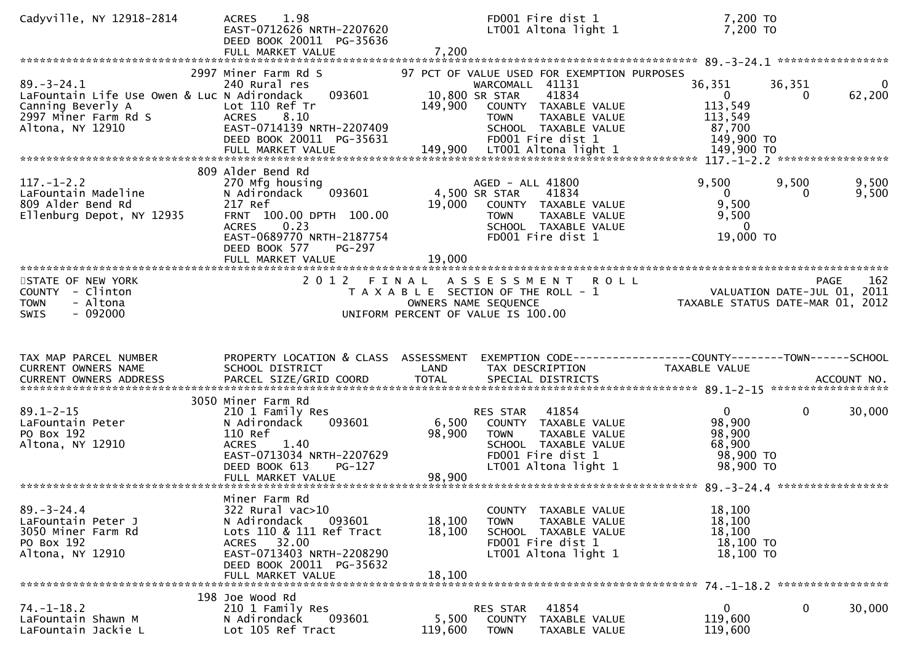| Cadyville, NY 12918-2814                                                                                                                                                                 | 1.98<br><b>ACRES</b><br>EAST-0712626 NRTH-2207620<br>DEED BOOK 20011 PG-35636<br>FULL MARKET VALUE                                                                                                        | 7,200                      | FD001 Fire dist 1<br>LT001 Altona light 1                                                                                                                                                      | 7,200 TO<br>7,200 TO                                                 |                    |                    |
|------------------------------------------------------------------------------------------------------------------------------------------------------------------------------------------|-----------------------------------------------------------------------------------------------------------------------------------------------------------------------------------------------------------|----------------------------|------------------------------------------------------------------------------------------------------------------------------------------------------------------------------------------------|----------------------------------------------------------------------|--------------------|--------------------|
| $89. - 3 - 24.1$<br>LaFountain Life Use Owen & Luc N Adirondack<br>Canning Beverly A<br>2997 Miner Farm Rd S<br>Altona, NY 12910                                                         | 2997 Miner Farm Rd S<br>240 Rural res<br>093601<br>Lot 110 Ref Tr<br><b>ACRES</b><br>8.10<br>EAST-0714139 NRTH-2207409<br>DEED BOOK 20011 PG-35631                                                        | 149,900                    | 97 PCT OF VALUE USED FOR EXEMPTION PURPOSES<br>WARCOMALL 41131<br>41834<br>10,800 SR STAR<br>COUNTY TAXABLE VALUE<br>TAXABLE VALUE<br><b>TOWN</b><br>SCHOOL TAXABLE VALUE<br>FD001 Fire dist 1 | 36,351<br>$\mathbf{0}$<br>113,549<br>113,549<br>87,700<br>149,900 TO | 36,351<br>$\Omega$ | 0<br>62,200        |
| $117. - 1 - 2.2$<br>LaFountain Madeline<br>809 Alder Bend Rd<br>Ellenburg Depot, NY 12935                                                                                                | 809 Alder Bend Rd<br>270 Mfg housing<br>093601<br>N Adirondack<br>217 Ref<br>FRNT 100.00 DPTH 100.00<br><b>ACRES</b><br>0.23<br>EAST-0689770 NRTH-2187754<br>DEED BOOK 577<br>PG-297<br>FULL MARKET VALUE | 19,000<br>19,000           | AGED - ALL 41800<br>4,500 SR STAR<br>41834<br>COUNTY TAXABLE VALUE<br>TAXABLE VALUE<br><b>TOWN</b><br>SCHOOL TAXABLE VALUE<br>FD001 Fire dist 1                                                | 9,500<br>$\mathbf{0}$<br>9,500<br>9,500<br>$\mathbf 0$<br>19,000 TO  | 9,500<br>0         | 9,500<br>9,500     |
| STATE OF NEW YORK<br>COUNTY - Clinton<br><b>TOWN</b><br>- Altona<br>- 092000<br>SWIS                                                                                                     | 2012                                                                                                                                                                                                      | FINAL                      | <b>ROLL</b><br>A S S E S S M E N T<br>T A X A B L E SECTION OF THE ROLL - 1<br>OWNERS NAME SEQUENCE<br>UNIFORM PERCENT OF VALUE IS 100.00                                                      | VALUATION DATE-JUL 01, 2011<br>TAXABLE STATUS DATE-MAR 01, 2012      |                    | 162<br><b>PAGE</b> |
|                                                                                                                                                                                          |                                                                                                                                                                                                           |                            |                                                                                                                                                                                                |                                                                      |                    |                    |
| TAX MAP PARCEL NUMBER<br>CURRENT OWNERS NAME                                                                                                                                             | PROPERTY LOCATION & CLASS ASSESSMENT<br>SCHOOL DISTRICT                                                                                                                                                   | LAND                       | EXEMPTION CODE-----------------COUNTY-------TOWN------SCHOOL<br>TAX DESCRIPTION                                                                                                                | TAXABLE VALUE                                                        |                    |                    |
| .CURRENT OWNERS ADDRESS PARCEL SIZE/GRID COORD TOTAL SPECIAL DISTRICTS ACCOUNT NO ACCOUNT NO ACCOUNT NO ACCOUNT<br>$89.1 - 2 - 15$<br>LaFountain Peter<br>PO Box 192<br>Altona, NY 12910 | 3050 Miner Farm Rd<br>210 1 Family Res<br>N Adirondack<br>093601<br>110 Ref<br>1.40<br><b>ACRES</b><br>EAST-0713034 NRTH-2207629<br>DEED BOOK 613<br>PG-127                                               | 6,500<br>98,900            | 41854<br>RES STAR<br>COUNTY TAXABLE VALUE<br>TAXABLE VALUE<br><b>TOWN</b><br>SCHOOL TAXABLE VALUE<br>FD001 Fire dist 1<br>LT001 Altona light 1                                                 | $\mathbf{0}$<br>98,900<br>98,900<br>68,900<br>98,900 TO<br>98,900 TO | $\mathbf 0$        | 30,000             |
| $89. - 3 - 24.4$<br>LaFountain Peter J<br>3050 Miner Farm Rd<br>PO Box 192<br>Altona, NY 12910                                                                                           | Miner Farm Rd<br>322 Rural vac>10<br>N Adirondack<br>093601<br>Lots 110 & 111 Ref Tract<br>ACRES 32.00<br>EAST-0713403 NRTH-2208290<br>DEED BOOK 20011 PG-35632<br>FULL MARKET VALUE                      | 18,100<br>18,100<br>18,100 | COUNTY TAXABLE VALUE<br><b>TOWN</b><br>TAXABLE VALUE<br>SCHOOL TAXABLE VALUE<br>FD001 Fire dist 1<br>LT001 Altona light 1                                                                      | 18,100<br>18,100<br>18,100<br>18,100 TO<br>18,100 TO                 |                    |                    |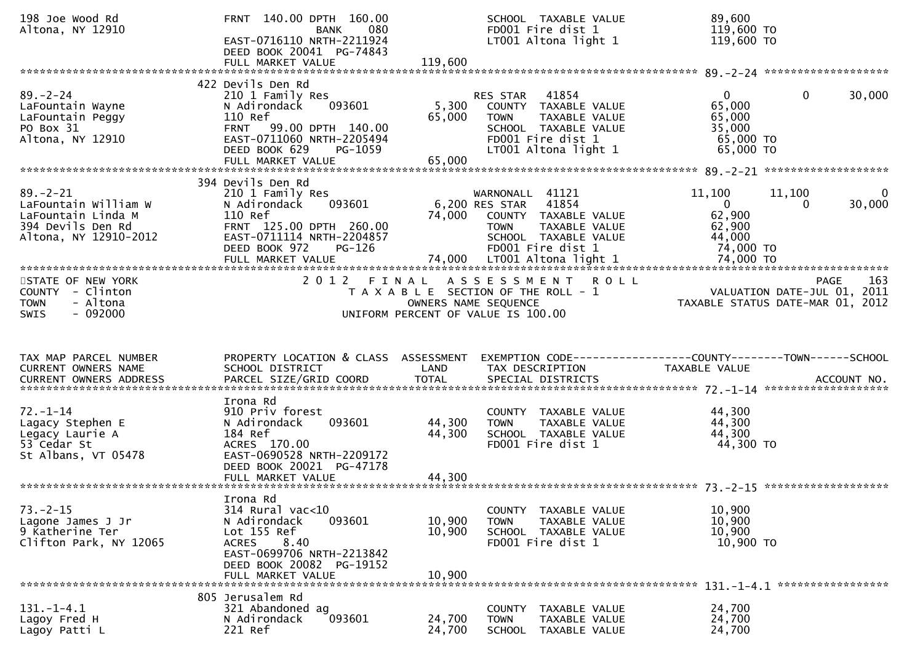| 198 Joe Wood Rd<br>Altona, NY 12910                                                                        | FRNT 140.00 DPTH 160.00<br>080<br>BANK<br>EAST-0716110 NRTH-2211924<br>DEED BOOK 20041 PG-74843<br>FULL MARKET VALUE                                                               | SCHOOL TAXABLE VALUE<br>FD001 Fire dist 1<br>LT001 Altona light 1<br>119,600                                                                                                | 89,600<br>119,600 TO<br>119,600 TO                                                                         |
|------------------------------------------------------------------------------------------------------------|------------------------------------------------------------------------------------------------------------------------------------------------------------------------------------|-----------------------------------------------------------------------------------------------------------------------------------------------------------------------------|------------------------------------------------------------------------------------------------------------|
| $89. - 2 - 24$<br>LaFountain Wayne<br>LaFountain Peggy<br>PO Box 31<br>Altona, NY 12910                    | 422 Devils Den Rd<br>210 1 Family Res<br>093601<br>N Adirondack<br>110 Ref<br>FRNT 99.00 DPTH 140.00<br>EAST-0711060 NRTH-2205494<br>DEED BOOK 629<br>PG-1059<br>FULL MARKET VALUE | 41854<br>RES STAR<br>5,300<br>COUNTY TAXABLE VALUE<br>65,000<br><b>TOWN</b><br>TAXABLE VALUE<br>SCHOOL TAXABLE VALUE<br>FD001 Fire dist 1<br>LT001 Altona light 1<br>65,000 | $\mathbf{0}$<br>$\mathbf{0}$<br>30,000<br>65,000<br>65,000<br>35,000<br>65,000 TO<br>65,000 TO             |
| $89. - 2 - 21$<br>LaFountain William W<br>LaFountain Linda M<br>394 Devils Den Rd<br>Altona, NY 12910-2012 | 394 Devils Den Rd<br>210 1 Family Res<br>093601<br>N Adirondack<br>110 Ref<br>FRNT 125.00 DPTH 260.00<br>EAST-0711114 NRTH-2204857<br>PG-126<br>DEED BOOK 972                      | WARNONALL 41121<br>6,200 RES STAR<br>41854<br>74,000<br>COUNTY TAXABLE VALUE<br><b>TOWN</b><br>TAXABLE VALUE<br>SCHOOL TAXABLE VALUE<br>FD001 Fire dist 1                   | $\mathbf{0}$<br>11,100<br>11,100<br>30,000<br>$\mathbf{0}$<br>0<br>62,900<br>62,900<br>44,000<br>74,000 TO |
| STATE OF NEW YORK<br>COUNTY - Clinton<br>- Altona<br><b>TOWN</b><br>$-092000$<br><b>SWIS</b>               | 2012 FINAL                                                                                                                                                                         | ASSESSMENT ROLL<br>T A X A B L E SECTION OF THE ROLL - 1<br>OWNERS NAME SEQUENCE<br>UNIFORM PERCENT OF VALUE IS 100.00                                                      | 163<br>PAGE<br>VALUATION DATE-JUL 01, 2011<br>TAXABLE STATUS DATE-MAR 01, 2012                             |
| TAX MAP PARCEL NUMBER<br>CURRENT OWNERS NAME<br><b>CURRENT OWNERS ADDRESS</b>                              | PROPERTY LOCATION & CLASS ASSESSMENT<br>SCHOOL DISTRICT<br>PARCEL SIZE/GRID COORD                                                                                                  | LAND<br>TAX DESCRIPTION<br><b>TOTAL</b><br>SPECIAL DISTRICTS                                                                                                                | EXEMPTION CODE------------------COUNTY--------TOWN------SCHOOL<br>TAXABLE VALUE<br>ACCOUNT NO.             |
| $72. - 1 - 14$<br>Lagacy Stephen E<br>Legacy Laurie A<br>53 Cedar St<br>St Albans, VT 05478                | Irona Rd<br>910 Priv forest<br>093601<br>N Adirondack<br>184 Ref<br>ACRES 170.00<br>EAST-0690528 NRTH-2209172<br>DEED BOOK 20021 PG-47178<br>FULL MARKET VALUE                     | COUNTY TAXABLE VALUE<br>44,300<br>TAXABLE VALUE<br><b>TOWN</b><br>44,300<br>SCHOOL TAXABLE VALUE<br>FD001 Fire dist 1<br>44,300                                             | 44,300<br>44,300<br>44,300<br>44,300 TO                                                                    |
| $73. - 2 - 15$<br>Lagone James J Jr<br>9 Katherine Ter<br>Clifton Park, NY 12065                           | Irona Rd<br>314 Rural vac<10<br>N Adirondack<br>093601<br>Lot 155 Ref<br>8.40<br><b>ACRES</b><br>EAST-0699706 NRTH-2213842<br>DEED BOOK 20082 PG-19152<br>FULL MARKET VALUE        | COUNTY TAXABLE VALUE<br>10,900<br>TAXABLE VALUE<br><b>TOWN</b><br>10,900<br>SCHOOL TAXABLE VALUE<br>FD001 Fire dist 1<br>10,900                                             | 10,900<br>10,900<br>10,900<br>10,900 TO                                                                    |
| $131. - 1 - 4.1$<br>Lagoy Fred H<br>Lagoy Patti L                                                          | 805 Jerusalem Rd<br>321 Abandoned ag<br>093601<br>N Adirondack<br>221 Ref                                                                                                          | <b>COUNTY</b><br>TAXABLE VALUE<br>24,700<br>TAXABLE VALUE<br><b>TOWN</b><br>24,700<br><b>SCHOOL</b><br>TAXABLE VALUE                                                        | 24,700<br>24,700<br>24,700                                                                                 |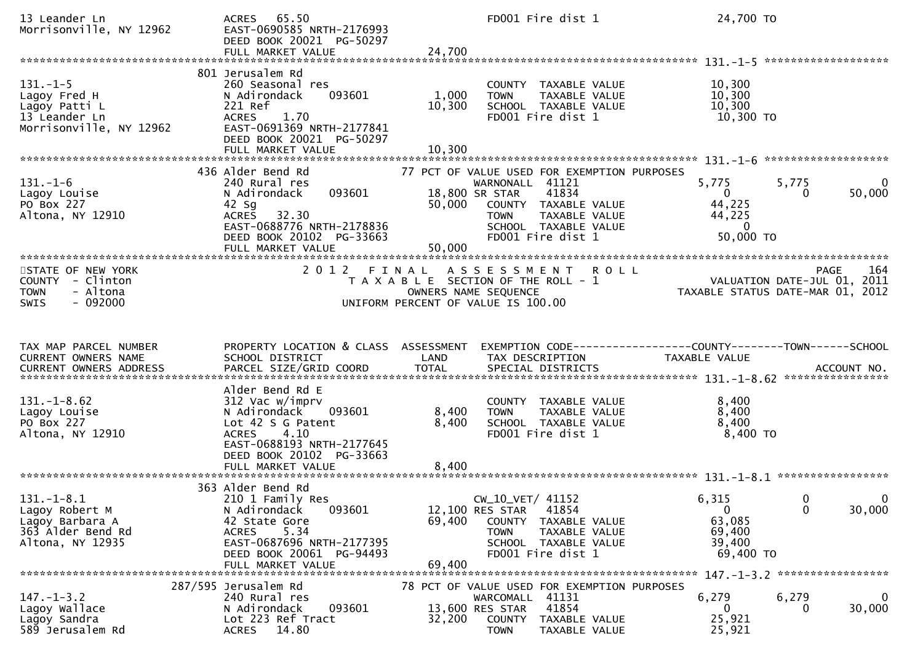| 13 Leander Ln<br>Morrisonville, NY 12962                                                     | ACRES 65.50<br>EAST-0690585 NRTH-2176993<br>DEED BOOK 20021 PG-50297<br>FULL MARKET VALUE                                                                                               | 24,700                    | FD001 Fire dist 1                                                                                                                                    | 24,700 TO                                                          |                                  |
|----------------------------------------------------------------------------------------------|-----------------------------------------------------------------------------------------------------------------------------------------------------------------------------------------|---------------------------|------------------------------------------------------------------------------------------------------------------------------------------------------|--------------------------------------------------------------------|----------------------------------|
|                                                                                              |                                                                                                                                                                                         |                           |                                                                                                                                                      |                                                                    |                                  |
| $131. - 1 - 5$<br>Lagoy Fred H<br>Lagoy Patti L<br>13 Leander Ln<br>Morrisonville, NY 12962  | 801 Jerusalem Rd<br>260 Seasonal res<br>093601<br>N Adirondack<br>221 Ref<br>1.70<br><b>ACRES</b><br>EAST-0691369 NRTH-2177841<br>DEED BOOK 20021 PG-50297<br>FULL MARKET VALUE         | 1,000<br>10,300<br>10,300 | COUNTY TAXABLE VALUE<br>TAXABLE VALUE<br>TOWN<br>SCHOOL TAXABLE VALUE<br>FD001 Fire dist 1                                                           | 10,300<br>10,300<br>10,300<br>10,300 TO                            |                                  |
|                                                                                              | 436 Alder Bend Rd                                                                                                                                                                       |                           | 77 PCT OF VALUE USED FOR EXEMPTION PURPOSES                                                                                                          |                                                                    |                                  |
| $131 - 1 - 6$<br>Lagoy Louise<br>PO Box 227<br>Altona, NY 12910                              | 240 Rural res<br>093601<br>N Adirondack<br>42 Sg<br><b>ACRES</b><br>32.30<br>EAST-0688776 NRTH-2178836<br>DEED BOOK 20102 PG-33663<br>FULL MARKET VALUE                                 | 50,000<br>50,000          | WARNONALL 41121<br>41834<br>18,800 SR STAR<br>COUNTY TAXABLE VALUE<br>TAXABLE VALUE<br><b>TOWN</b><br>SCHOOL TAXABLE VALUE<br>FD001 Fire dist 1      | 5,775<br>$\Omega$<br>44,225<br>44,225<br>$\mathbf 0$<br>50,000 TO  | 5,775<br>0<br>50,000<br>0        |
| STATE OF NEW YORK<br>COUNTY - Clinton<br>- Altona<br><b>TOWN</b><br>$-092000$<br><b>SWIS</b> | 2 0 1 2                                                                                                                                                                                 | FINAL                     | <b>ROLL</b><br>A S S E S S M E N T<br>T A X A B L E SECTION OF THE ROLL - 1<br>OWNERS NAME SEQUENCE<br>UNIFORM PERCENT OF VALUE IS 100.00            | VALUATION DATE-JUL 01, 2011<br>TAXABLE STATUS DATE-MAR 01, 2012    | 164<br><b>PAGE</b>               |
|                                                                                              |                                                                                                                                                                                         |                           |                                                                                                                                                      |                                                                    |                                  |
| TAX MAP PARCEL NUMBER<br>CURRENT OWNERS NAME<br><b>CURRENT OWNERS ADDRESS</b>                | PROPERTY LOCATION & CLASS ASSESSMENT<br>SCHOOL DISTRICT<br>PARCEL SIZE/GRID COORD                                                                                                       | LAND<br><b>TOTAL</b>      | TAX DESCRIPTION<br>SPECIAL DISTRICTS                                                                                                                 | TAXABLE VALUE                                                      | ACCOUNT NO.                      |
| $131. - 1 - 8.62$<br>Lagoy Louise<br>PO Box 227<br>Altona, NY 12910                          | Alder Bend Rd E<br>312 Vac w/imprv<br>N Adirondack<br>093601<br>Lot 42 S G Patent<br>4.10<br><b>ACRES</b><br>EAST-0688193 NRTH-2177645<br>DEED BOOK 20102 PG-33663<br>FULL MARKET VALUE | 8,400<br>8,400<br>8,400   | COUNTY TAXABLE VALUE<br>TAXABLE VALUE<br><b>TOWN</b><br>SCHOOL TAXABLE VALUE<br>FD001 Fire dist 1                                                    | 8,400<br>8,400<br>8,400<br>8,400 TO                                |                                  |
| $131.-1-8.1$<br>Lagoy Robert M<br>Lagoy Barbara A<br>363 Alder Bend Rd<br>Altona, NY 12935   | 363 Alder Bend Rd<br>210 1 Family Res<br>093601<br>N Adirondack<br>42 State Gore<br>5.34<br><b>ACRES</b><br>EAST-0687696 NRTH-2177395<br>DEED BOOK 20061 PG-94493<br>FULL MARKET VALUE  | 69,400<br>69,400          | CW_10_VET/ 41152<br>12,100 RES STAR<br>41854<br>COUNTY<br>TAXABLE VALUE<br><b>TOWN</b><br>TAXABLE VALUE<br>SCHOOL TAXABLE VALUE<br>FD001 Fire dist 1 | 6,315<br>$\overline{0}$<br>63,085<br>69,400<br>39,400<br>69,400 TO | 0<br>0<br>30,000<br>$\mathbf{0}$ |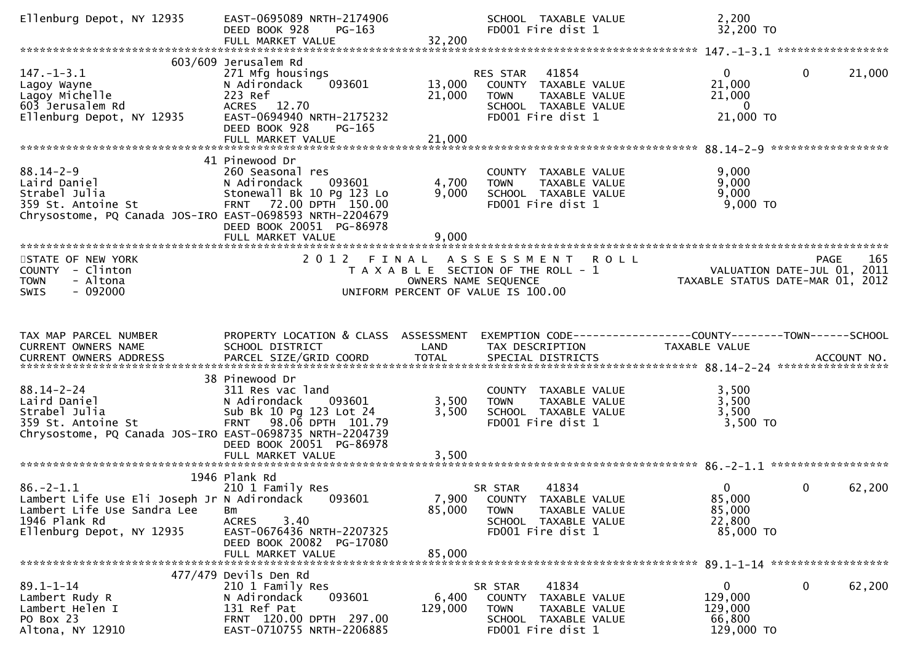| Ellenburg Depot, NY 12935                                                                                                                      | EAST-0695089 NRTH-2174906<br>DEED BOOK 928<br>PG-163<br>FULL MARKET VALUE                                                                              | 32,200                  | SCHOOL TAXABLE VALUE<br>FD001 Fire dist 1                                                                              | 2,200<br>32,200 TO                                                                  |        |
|------------------------------------------------------------------------------------------------------------------------------------------------|--------------------------------------------------------------------------------------------------------------------------------------------------------|-------------------------|------------------------------------------------------------------------------------------------------------------------|-------------------------------------------------------------------------------------|--------|
|                                                                                                                                                |                                                                                                                                                        |                         |                                                                                                                        |                                                                                     |        |
| $147. - 1 - 3.1$<br>Lagoy Wayne<br>Lagoy Michelle<br>603 Jerusalem Rd<br>Ellenburg Depot, NY 12935                                             | 603/609 Jerusalem Rd<br>271 Mfg housings<br>093601<br>N Adirondack<br>223 Ref<br>ACRES 12.70<br>EAST-0694940 NRTH-2175232<br>DEED BOOK 928<br>$PG-165$ | 13,000<br>21,000        | 41854<br>RES STAR<br>COUNTY TAXABLE VALUE<br>TAXABLE VALUE<br><b>TOWN</b><br>SCHOOL TAXABLE VALUE<br>FD001 Fire dist 1 | $\mathbf{0}$<br>$\overline{0}$<br>21,000<br>21,000<br>$\overline{0}$<br>21,000 TO   | 21,000 |
|                                                                                                                                                |                                                                                                                                                        |                         |                                                                                                                        |                                                                                     |        |
| $88.14 - 2 - 9$<br>88.14-2-2<br>Laird Daniel<br>Caird Daniel<br>359 St. Antoine St<br>Chrysostome, PQ Canada JOS-IRO EAST-0698593 NRTH-2204679 | 41 Pinewood Dr<br>260 Seasonal res<br>093601<br>N Adirondack<br>Stonewall Bk 10 Pg 123 Lo<br>FRNT 72.00 DPTH 150.00<br>DEED BOOK 20051 PG-86978        | 4,700<br>9,000<br>9,000 | COUNTY TAXABLE VALUE<br><b>TOWN</b><br>TAXABLE VALUE<br>SCHOOL TAXABLE VALUE<br>FD001 Fire dist 1                      | 9,000<br>9,000<br>9,000<br>$9,000$ TO                                               |        |
|                                                                                                                                                |                                                                                                                                                        |                         |                                                                                                                        |                                                                                     |        |
| STATE OF NEW YORK<br>COUNTY - Clinton<br>- Altona<br><b>TOWN</b><br>$-092000$<br>SWIS                                                          |                                                                                                                                                        | OWNERS NAME SEQUENCE    | 2012 FINAL ASSESSMENT ROLL<br>T A X A B L E SECTION OF THE ROLL - 1<br>UNIFORM PERCENT OF VALUE IS 100.00              | PAGE<br>PAGE 165<br>VALUATION DATE-JUL 01, 2011<br>TAXABLE STATUS DATE-MAR 01, 2012 | 165    |
|                                                                                                                                                |                                                                                                                                                        |                         |                                                                                                                        |                                                                                     |        |
|                                                                                                                                                |                                                                                                                                                        |                         |                                                                                                                        |                                                                                     |        |
|                                                                                                                                                |                                                                                                                                                        |                         |                                                                                                                        |                                                                                     |        |
| TAX MAP PARCEL NUMBER<br>CURRENT OWNERS NAME<br>CURRENT OWNERS ADDRESS                                                                         | PROPERTY LOCATION & CLASS ASSESSMENT<br>SCHOOL DISTRICT                                                                                                | LAND                    | TAX DESCRIPTION                                                                                                        | EXEMPTION CODE-----------------COUNTY-------TOWN------SCHOOL<br>TAXABLE VALUE       |        |
|                                                                                                                                                | 38 Pinewood Dr                                                                                                                                         |                         |                                                                                                                        |                                                                                     |        |
| $88.14 - 2 - 24$<br>Laird Daniel<br>Strabel Julia<br>359 St. Antoine St<br>Chrysostome, PQ Canada JOS-IRO EAST-0698735 NRTH-2204739            | 311 Res vac land<br>N Adirondack<br>093601<br>Sub Bk 10 Pg 123 Lot 24<br>FRNT 98.06 DPTH 101.79<br>DEED BOOK 20051 PG-86978                            | 3,500<br>3,500          | COUNTY TAXABLE VALUE<br><b>TOWN</b><br>TAXABLE VALUE<br>SCHOOL TAXABLE VALUE<br>FD001 Fire dist 1                      | 3,500<br>3,500<br>3,500<br>$3,500$ TO                                               |        |
|                                                                                                                                                | FULL MARKET VALUE                                                                                                                                      | 3,500                   |                                                                                                                        |                                                                                     |        |
| $86. - 2 - 1.1$<br>Lambert Life Use Eli Joseph Jr N Adirondack<br>Lambert Life Use Sandra Lee<br>1946 Plank Rd<br>Ellenburg Depot, NY 12935    | 1946 Plank Rd<br>210 1 Family Res<br>093601<br>Вm<br>3.40<br><b>ACRES</b><br>EAST-0676436 NRTH-2207325<br>DEED BOOK 20082 PG-17080                     | 7,900<br>85,000         | 41834<br>SR STAR<br>COUNTY TAXABLE VALUE<br>TAXABLE VALUE<br><b>TOWN</b><br>SCHOOL TAXABLE VALUE<br>FD001 Fire dist 1  | 0<br>$\overline{0}$<br>85,000<br>85,000<br>22,800<br>85,000 TO                      | 62,200 |
|                                                                                                                                                | FULL MARKET VALUE                                                                                                                                      | 85,000                  |                                                                                                                        |                                                                                     |        |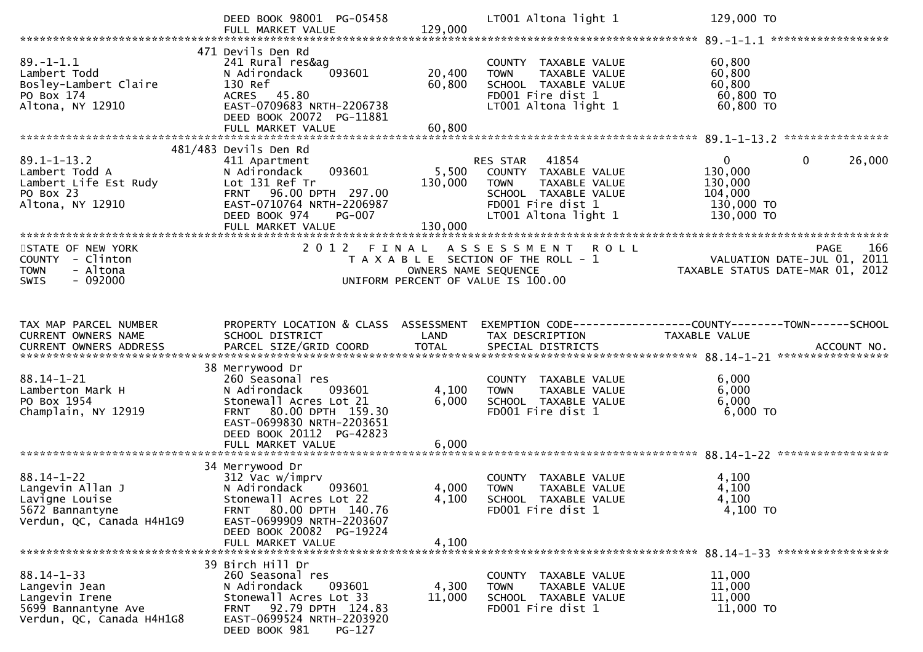|                                                                                               | DEED BOOK 98001 PG-05458<br>FULL MARKET VALUE                                                                                                      | 129,000              | LT001 Altona light 1                                                                                                                        | 129,000 TO                                                                                 |                    |
|-----------------------------------------------------------------------------------------------|----------------------------------------------------------------------------------------------------------------------------------------------------|----------------------|---------------------------------------------------------------------------------------------------------------------------------------------|--------------------------------------------------------------------------------------------|--------------------|
|                                                                                               |                                                                                                                                                    |                      |                                                                                                                                             |                                                                                            |                    |
| $89. - 1 - 1.1$<br>Lambert Todd<br>Bosley-Lambert Claire<br>PO Box 174                        | 471 Devils Den Rd<br>241 Rural res&ag<br>093601<br>N Adirondack<br>130 Ref<br>ACRES 45.80                                                          | 20,400<br>60,800     | COUNTY TAXABLE VALUE<br>TAXABLE VALUE<br><b>TOWN</b><br>SCHOOL TAXABLE VALUE<br>FD001 Fire dist 1                                           | 60,800<br>60,800<br>60,800<br>60,800 TO                                                    |                    |
| Altona, NY 12910                                                                              | EAST-0709683 NRTH-2206738<br>DEED BOOK 20072 PG-11881                                                                                              |                      | LT001 Altona light 1                                                                                                                        | 60,800 TO                                                                                  |                    |
|                                                                                               |                                                                                                                                                    |                      |                                                                                                                                             |                                                                                            |                    |
|                                                                                               | 481/483 Devils Den Rd                                                                                                                              |                      |                                                                                                                                             |                                                                                            |                    |
| $89.1 - 1 - 13.2$<br>Lambert Todd A<br>Lambert Life Est Rudy<br>PO Box 23<br>Altona, NY 12910 | 411 Apartment<br>093601<br>N Adirondack<br>Lot 131 Ref Tr<br>FRNT 96.00 DPTH 297.00<br>EAST-0710764 NRTH-2206987<br>DEED BOOK 974<br><b>PG-007</b> | 5,500<br>130,000     | RES STAR 41854<br>COUNTY TAXABLE VALUE<br>TAXABLE VALUE<br><b>TOWN</b><br>SCHOOL TAXABLE VALUE<br>FD001 Fire dist 1<br>LT001 Altona light 1 | $\overline{0}$<br>$\mathbf 0$<br>130,000<br>130,000<br>104,000<br>130,000 TO<br>130,000 TO | 26,000             |
|                                                                                               | FULL MARKET VALUE                                                                                                                                  | 130,000              |                                                                                                                                             |                                                                                            |                    |
| STATE OF NEW YORK<br>COUNTY - Clinton<br>- Altona<br><b>TOWN</b><br>$-092000$<br>SWIS         |                                                                                                                                                    | OWNERS NAME SEQUENCE | 2012 FINAL ASSESSMENT ROLL<br>T A X A B L E SECTION OF THE ROLL - 1<br>UNIFORM PERCENT OF VALUE IS 100.00                                   | VALUATION DATE-JUL 01, 2011<br>TAXABLE STATUS DATE-MAR 01, 2012                            | 166<br><b>PAGE</b> |
|                                                                                               |                                                                                                                                                    |                      |                                                                                                                                             |                                                                                            |                    |
| TAX MAP PARCEL NUMBER<br>CURRENT OWNERS NAME                                                  | PROPERTY LOCATION & CLASS ASSESSMENT EXEMPTION CODE----------------COUNTY-------TOWN------SCHOOL<br>SCHOOL DISTRICT                                | LAND                 | TAX DESCRIPTION                                                                                                                             | TAXABLE VALUE                                                                              |                    |
|                                                                                               |                                                                                                                                                    |                      |                                                                                                                                             |                                                                                            |                    |
|                                                                                               |                                                                                                                                                    |                      |                                                                                                                                             |                                                                                            |                    |
| $88.14 - 1 - 21$                                                                              | 38 Merrywood Dr<br>260 Seasonal res                                                                                                                |                      | COUNTY TAXABLE VALUE                                                                                                                        | 6,000                                                                                      |                    |
| Lamberton Mark H                                                                              | N Adirondack<br>093601                                                                                                                             | 4,100                | TAXABLE VALUE<br><b>TOWN</b>                                                                                                                | 6,000                                                                                      |                    |
| PO Box 1954                                                                                   | Stonewall Acres Lot 21                                                                                                                             | 6,000                | SCHOOL TAXABLE VALUE                                                                                                                        | 6,000                                                                                      |                    |
| Champlain, NY 12919                                                                           | FRNT 80.00 DPTH 159.30<br>EAST-0699830 NRTH-2203651<br>DEED BOOK 20112 PG-42823                                                                    |                      | FD001 Fire dist 1                                                                                                                           | 6,000 TO                                                                                   |                    |
|                                                                                               | FULL MARKET VALUE                                                                                                                                  | 6,000                |                                                                                                                                             |                                                                                            |                    |
|                                                                                               | 34 Merrywood Dr                                                                                                                                    |                      |                                                                                                                                             |                                                                                            |                    |
| $88.14 - 1 - 22$                                                                              | 312 Vac w/imprv                                                                                                                                    |                      | COUNTY TAXABLE VALUE                                                                                                                        | 4,100                                                                                      |                    |
| Langevin Allan J                                                                              | 093601<br>N Adirondack                                                                                                                             | 4,000                | <b>TOWN</b><br>TAXABLE VALUE                                                                                                                | 4,100                                                                                      |                    |
| Lavigne Louise                                                                                | Stonewall Acres Lot 22                                                                                                                             | 4,100                | SCHOOL TAXABLE VALUE                                                                                                                        | 4,100                                                                                      |                    |
| 5672 Bannantyne<br>Verdun, QC, Canada H4H1G9                                                  | 80.00 DPTH 140.76<br><b>FRNT</b><br>EAST-0699909 NRTH-2203607<br>DEED BOOK 20082 PG-19224                                                          |                      | FD001 Fire dist 1                                                                                                                           | 4,100 TO                                                                                   |                    |
|                                                                                               | FULL MARKET VALUE                                                                                                                                  | 4,100                |                                                                                                                                             |                                                                                            |                    |
|                                                                                               | 39 Birch Hill Dr                                                                                                                                   |                      |                                                                                                                                             |                                                                                            |                    |
| $88.14 - 1 - 33$                                                                              | 260 Seasonal res                                                                                                                                   |                      | COUNTY TAXABLE VALUE                                                                                                                        | 11,000                                                                                     |                    |
| Langevin Jean                                                                                 | N Adirondack<br>093601                                                                                                                             | 4,300                | <b>TAXABLE VALUE</b><br><b>TOWN</b>                                                                                                         | 11,000                                                                                     |                    |
| Langevin Irene                                                                                | Stonewall Acres Lot 33                                                                                                                             | 11,000               | SCHOOL TAXABLE VALUE                                                                                                                        | 11,000                                                                                     |                    |
| 5699 Bannantyne Ave                                                                           | FRNT 92.79 DPTH 124.83                                                                                                                             |                      | FD001 Fire dist 1                                                                                                                           | 11,000 TO                                                                                  |                    |
| Verdun, QC, Canada H4H1G8                                                                     | EAST-0699524 NRTH-2203920<br>DEED BOOK 981<br>PG-127                                                                                               |                      |                                                                                                                                             |                                                                                            |                    |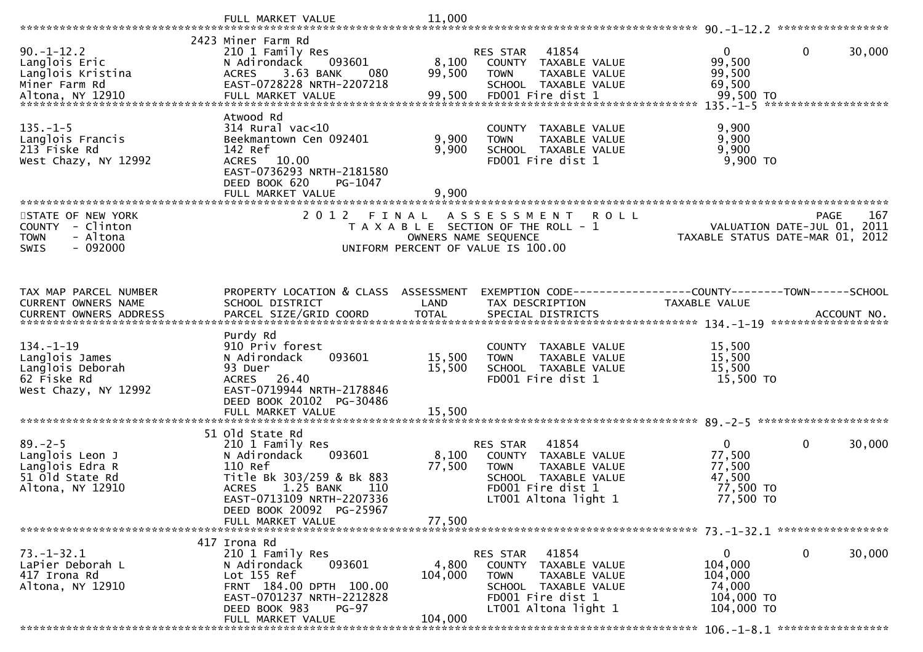|                                                                                                                                                                                                                                | FULL MARKET VALUE                                             | 11,000                                |                                           |               |                                                              |                                  |                     |        |
|--------------------------------------------------------------------------------------------------------------------------------------------------------------------------------------------------------------------------------|---------------------------------------------------------------|---------------------------------------|-------------------------------------------|---------------|--------------------------------------------------------------|----------------------------------|---------------------|--------|
|                                                                                                                                                                                                                                | 2423 Miner Farm Rd                                            |                                       |                                           |               |                                                              |                                  |                     |        |
| $90. -1 - 12.2$                                                                                                                                                                                                                | 210 1 Family Res                                              |                                       | <b>RES STAR</b>                           | 41854         |                                                              | $\mathbf{0}$                     | 0                   | 30,000 |
| Langlois Eric                                                                                                                                                                                                                  | 093601<br>N Adirondack                                        | 8,100                                 | COUNTY TAXABLE VALUE                      |               |                                                              | 99,500                           |                     |        |
| Langlois Kristina                                                                                                                                                                                                              | 3.63 BANK<br><b>ACRES</b><br>080                              | 99,500                                | <b>TOWN</b>                               | TAXABLE VALUE |                                                              | 99,500                           |                     |        |
| Miner Farm Rd                                                                                                                                                                                                                  | EAST-0728228 NRTH-2207218                                     |                                       | SCHOOL TAXABLE VALUE                      |               |                                                              | 69,500                           |                     |        |
| Altona, NY 12910                                                                                                                                                                                                               | FULL MARKET VALUE                                             | 99,500                                | FD001 Fire dist 1                         |               |                                                              | 99,500 TO                        |                     |        |
|                                                                                                                                                                                                                                |                                                               |                                       |                                           |               |                                                              | $135. - 1 - 5$                   | ******************* |        |
| $135. - 1 - 5$                                                                                                                                                                                                                 | Atwood Rd<br>314 Rural vac<10                                 |                                       | COUNTY                                    | TAXABLE VALUE |                                                              | 9,900                            |                     |        |
| Langlois Francis                                                                                                                                                                                                               | Beekmantown Cen 092401                                        | 9,900                                 | <b>TOWN</b>                               | TAXABLE VALUE |                                                              | 9,900                            |                     |        |
| 213 Fiske Rd                                                                                                                                                                                                                   | 142 Ref                                                       | 9,900                                 | SCHOOL TAXABLE VALUE                      |               |                                                              | 9,900                            |                     |        |
| West Chazy, NY 12992                                                                                                                                                                                                           | ACRES 10.00                                                   |                                       | FD001 Fire dist 1                         |               |                                                              | 9,900 TO                         |                     |        |
|                                                                                                                                                                                                                                | EAST-0736293 NRTH-2181580                                     |                                       |                                           |               |                                                              |                                  |                     |        |
|                                                                                                                                                                                                                                | DEED BOOK 620<br>PG-1047                                      |                                       |                                           |               |                                                              |                                  |                     |        |
|                                                                                                                                                                                                                                | FULL MARKET VALUE                                             | 9,900                                 |                                           |               |                                                              |                                  |                     |        |
|                                                                                                                                                                                                                                |                                                               |                                       |                                           |               |                                                              |                                  |                     |        |
| STATE OF NEW YORK<br><b>COUNTY</b><br>- Clinton                                                                                                                                                                                | 2012 FINAL ASSESSMENT                                         | T A X A B L E SECTION OF THE ROLL - 1 |                                           |               | R O L L                                                      | VALUATION DATE-JUL 01, 2011      | PAGE                | 167    |
| - Altona<br><b>TOWN</b>                                                                                                                                                                                                        |                                                               |                                       | OWNERS NAME SEQUENCE                      |               |                                                              | TAXABLE STATUS DATE-MAR 01, 2012 |                     |        |
| <b>SWIS</b><br>- 092000                                                                                                                                                                                                        |                                                               | UNIFORM PERCENT OF VALUE IS 100.00    |                                           |               |                                                              |                                  |                     |        |
|                                                                                                                                                                                                                                |                                                               |                                       |                                           |               |                                                              |                                  |                     |        |
|                                                                                                                                                                                                                                |                                                               |                                       |                                           |               |                                                              |                                  |                     |        |
|                                                                                                                                                                                                                                |                                                               |                                       |                                           |               |                                                              |                                  |                     |        |
| TAX MAP PARCEL NUMBER                                                                                                                                                                                                          | PROPERTY LOCATION & CLASS                                     | ASSESSMENT                            |                                           |               | EXEMPTION CODE-----------------COUNTY-------TOWN------SCHOOL |                                  |                     |        |
| <b>CURRENT OWNERS NAME</b>                                                                                                                                                                                                     | SCHOOL DISTRICT                                               | LAND                                  | TAX DESCRIPTION                           |               |                                                              | TAXABLE VALUE                    |                     |        |
| .CURRENT OWNERS ADDRESS PARCEL SIZE/GRID COORD TOTAL SPECIAL DISTRICTS (ACCOUNT NO ACCOUNT NO ACCOUNT NO AND ASSESS TO A AND A AND A A SERVER AND A A SERVER AND A A SERVER AND A SERVER AND A SERVER AND THE SERVER AND THE S |                                                               |                                       |                                           |               |                                                              |                                  |                     |        |
|                                                                                                                                                                                                                                | Purdy Rd                                                      |                                       |                                           |               |                                                              |                                  |                     |        |
| $134. - 1 - 19$                                                                                                                                                                                                                | 910 Priv forest                                               |                                       | COUNTY TAXABLE VALUE                      |               |                                                              | 15,500                           |                     |        |
| Langlois James                                                                                                                                                                                                                 | N Adirondack<br>093601                                        | 15,500                                | <b>TOWN</b>                               | TAXABLE VALUE |                                                              | 15,500                           |                     |        |
| Langlois Deborah                                                                                                                                                                                                               | 93 Duer                                                       | 15,500                                | SCHOOL TAXABLE VALUE                      |               |                                                              | 15,500                           |                     |        |
| 62 Fiske Rd                                                                                                                                                                                                                    | 26.40<br><b>ACRES</b>                                         |                                       | FD001 Fire dist 1                         |               |                                                              | 15,500 TO                        |                     |        |
| West Chazy, NY 12992                                                                                                                                                                                                           | EAST-0719944 NRTH-2178846                                     |                                       |                                           |               |                                                              |                                  |                     |        |
|                                                                                                                                                                                                                                | DEED BOOK 20102 PG-30486<br>FULL MARKET VALUE                 | 15,500                                |                                           |               |                                                              |                                  |                     |        |
|                                                                                                                                                                                                                                |                                                               |                                       |                                           |               |                                                              |                                  |                     |        |
|                                                                                                                                                                                                                                | 51 old State Rd                                               |                                       |                                           |               |                                                              |                                  |                     |        |
| $89. - 2 - 5$                                                                                                                                                                                                                  | 210 1 Family Res                                              |                                       | <b>RES STAR</b>                           | 41854         |                                                              | $\mathbf{0}$                     | 0                   | 30,000 |
| Langlois Leon J                                                                                                                                                                                                                | N Adirondack<br>093601                                        | 8,100                                 | COUNTY TAXABLE VALUE                      |               |                                                              | 77,500                           |                     |        |
| Langlois Edra R                                                                                                                                                                                                                | 110 Ref                                                       | 77,500                                | <b>TOWN</b>                               | TAXABLE VALUE |                                                              | 77,500                           |                     |        |
| 51 Old State Rd                                                                                                                                                                                                                | Title Bk 303/259 & Bk 883                                     |                                       | SCHOOL TAXABLE VALUE                      |               |                                                              | 47,500                           |                     |        |
| Altona, NY 12910                                                                                                                                                                                                               | 1.25 BANK<br>110<br><b>ACRES</b><br>EAST-0713109 NRTH-2207336 |                                       | FD001 Fire dist 1<br>LT001 Altona light 1 |               |                                                              | 77,500 TO<br>77,500 TO           |                     |        |
|                                                                                                                                                                                                                                | DEED BOOK 20092 PG-25967                                      |                                       |                                           |               |                                                              |                                  |                     |        |
|                                                                                                                                                                                                                                | FULL MARKET VALUE                                             | 77,500                                |                                           |               |                                                              |                                  |                     |        |
|                                                                                                                                                                                                                                |                                                               |                                       |                                           |               |                                                              |                                  |                     |        |
|                                                                                                                                                                                                                                | 417 Irona Rd                                                  |                                       |                                           |               |                                                              |                                  |                     |        |
| $73. - 1 - 32.1$                                                                                                                                                                                                               | 210 1 Family Res                                              |                                       | RES STAR                                  | 41854         |                                                              | $\mathbf{0}$                     | $\mathbf 0$         | 30,000 |
| LaPier Deborah L                                                                                                                                                                                                               | 093601<br>N Adirondack                                        | 4,800                                 | COUNTY TAXABLE VALUE                      |               |                                                              | 104,000                          |                     |        |
| 417 Irona Rd<br>Altona, NY 12910                                                                                                                                                                                               | Lot 155 Ref                                                   | 104,000                               | <b>TOWN</b><br>SCHOOL TAXABLE VALUE       | TAXABLE VALUE |                                                              | 104,000<br>74,000                |                     |        |
|                                                                                                                                                                                                                                | FRNT 184.00 DPTH 100.00<br>EAST-0701237 NRTH-2212828          |                                       | FD001 Fire dist 1                         |               |                                                              | 104,000 TO                       |                     |        |
|                                                                                                                                                                                                                                | DEED BOOK 983<br>$PG-97$                                      |                                       | LT001 Altona light 1                      |               |                                                              | 104,000 TO                       |                     |        |
|                                                                                                                                                                                                                                | FULL MARKET VALUE                                             | 104,000                               |                                           |               |                                                              |                                  |                     |        |
|                                                                                                                                                                                                                                |                                                               |                                       |                                           |               |                                                              |                                  | *****************   |        |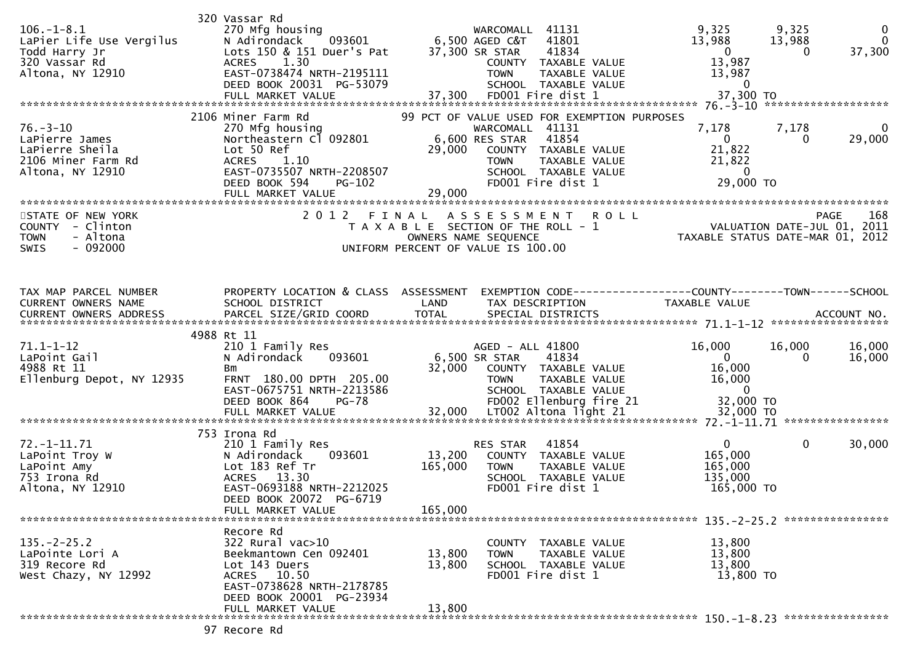| $106. - 1 - 8.1$<br>LaPier Life Use Vergilus<br>Todd Harry Jr<br>320 Vassar Rd<br>Altona, NY 12910 | 320 Vassar Rd<br>270 Mfg housing<br>N Adirondack<br>093601<br>Lots 150 & 151 Duer's Pat<br>1.30<br><b>ACRES</b><br>EAST-0738474 NRTH-2195111<br>DEED BOOK 20031 PG-53079        | 41131<br>WARCOMALL<br>6,500 AGED C&T<br>41801<br>37,300 SR STAR<br>41834<br>COUNTY TAXABLE VALUE<br><b>TOWN</b><br>TAXABLE VALUE<br>SCHOOL TAXABLE VALUE                                                           | $\mathbf 0$<br>9,325<br>9,325<br>$\mathbf 0$<br>13,988<br>13,988<br>37,300<br>$\overline{0}$<br>$\Omega$<br>13,987<br>13,987<br>$\overline{\mathbf{0}}$ |
|----------------------------------------------------------------------------------------------------|---------------------------------------------------------------------------------------------------------------------------------------------------------------------------------|--------------------------------------------------------------------------------------------------------------------------------------------------------------------------------------------------------------------|---------------------------------------------------------------------------------------------------------------------------------------------------------|
| $76. - 3 - 10$<br>LaPierre James<br>LaPierre Sheila<br>2106 Miner Farm Rd<br>Altona, NY 12910      | 2106 Miner Farm Rd<br>270 Mfg housing<br>Northeastern Cl 092801<br>Lot 50 Ref<br>ACRES 1.10<br>EAST-0735507 NRTH-2208507<br><b>PG-102</b><br>DEED BOOK 594<br>FULL MARKET VALUE | 99 PCT OF VALUE USED FOR EXEMPTION PURPOSES<br>WARCOMALL 41131<br>6,600 RES STAR<br>41854<br>29,000<br>COUNTY TAXABLE VALUE<br><b>TOWN</b><br>TAXABLE VALUE<br>SCHOOL TAXABLE VALUE<br>FD001 Fire dist 1<br>29,000 | 7,178<br>7,178<br>$\mathbf{0}$<br>$\mathbf{0}$<br>29,000<br>$\Omega$<br>21,822<br>21,822<br>$\overline{0}$<br>29,000 TO                                 |
| STATE OF NEW YORK<br>COUNTY - Clinton<br><b>TOWN</b><br>- Altona<br>$-092000$<br>SWIS              | 2 0 1 2                                                                                                                                                                         | <b>ROLL</b><br>FINAL<br>A S S E S S M E N T<br>T A X A B L E SECTION OF THE ROLL - 1<br>OWNERS NAME SEQUENCE<br>UNIFORM PERCENT OF VALUE IS 100.00                                                                 | 168<br>PAGE<br>VALUATION DATE-JUL 01, 2011<br>TAXABLE STATUS DATE-MAR 01, 2012                                                                          |
| TAX MAP PARCEL NUMBER<br>CURRENT OWNERS NAME<br>CURRENT OWNERS ADDRESS                             | PROPERTY LOCATION & CLASS ASSESSMENT<br>SCHOOL DISTRICT<br>PARCEL SIZE/GRID COORD                                                                                               | LAND<br>TAX DESCRIPTION<br><b>TOTAL</b><br>SPECIAL DISTRICTS                                                                                                                                                       | EXEMPTION CODE-----------------COUNTY-------TOWN------SCHOOL<br>TAXABLE VALUE<br>ACCOUNT NO.                                                            |
| $71.1 - 1 - 12$<br>LaPoint Gail<br>4988 Rt 11<br>Ellenburg Depot, NY 12935                         | 4988 Rt 11<br>210 1 Family Res<br>N Adirondack<br>093601<br>Bm<br>FRNT 180.00 DPTH 205.00<br>EAST-0675751 NRTH-2213586                                                          | AGED - ALL 41800<br>6,500 SR STAR<br>41834<br>32,000<br>COUNTY TAXABLE VALUE<br><b>TOWN</b><br>TAXABLE VALUE<br>SCHOOL TAXABLE VALUE                                                                               | 16,000<br>16,000<br>16,000<br>$\overline{0}$<br>0<br>16,000<br>16,000<br>16,000<br>$\overline{0}$                                                       |
| $72. - 1 - 11.71$<br>LaPoint Troy W<br>LaPoint Amy<br>753 Irona Rd<br>Altona, NY 12910             | 753 Irona Rd<br>210 1 Family Res<br>093601<br>N Adirondack<br>Lot 183 Ref Tr<br>ACRES 13.30<br>EAST-0693188 NRTH-2212025<br>DEED BOOK 20072 PG-6719<br>FULL MARKET VALUE        | 41854<br>RES STAR<br>13,200<br>COUNTY TAXABLE VALUE<br>165,000<br>TAXABLE VALUE<br><b>TOWN</b><br>SCHOOL TAXABLE VALUE<br>FD001 Fire dist 1<br>165,000                                                             | $\mathbf 0$<br>$\mathbf{0}$<br>30,000<br>165,000<br>165,000<br>135,000<br>165,000 TO                                                                    |
| $135. -2 - 25.2$<br>LaPointe Lori A<br>319 Recore Rd<br>West Chazy, NY 12992                       | Recore Rd<br>322 Rural vac>10<br>Beekmantown Cen 092401<br>Lot 143 Duers<br>ACRES 10.50<br>EAST-0738628 NRTH-2178785<br>DEED BOOK 20001 PG-23934<br>FULL MARKET VALUE           | COUNTY TAXABLE VALUE<br>13,800<br><b>TOWN</b><br>TAXABLE VALUE<br>13,800<br>SCHOOL TAXABLE VALUE<br>FD001 Fire dist 1<br>13,800                                                                                    | 13,800<br>13,800<br>13,800<br>13,800 TO                                                                                                                 |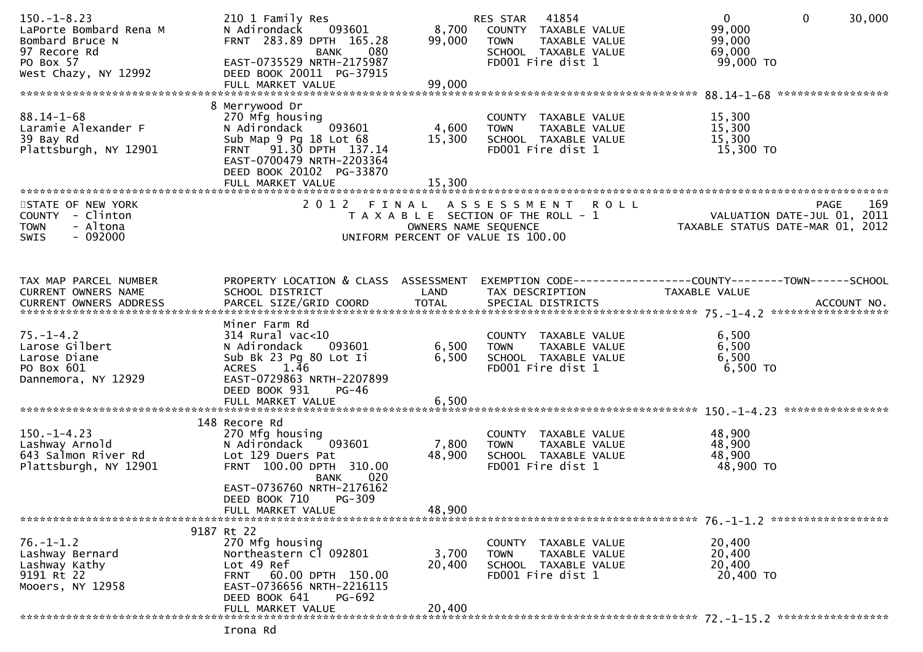| $150. - 1 - 8.23$<br>LaPorte Bombard Rena M<br>Bombard Bruce N<br>97 Recore Rd<br>PO Box 57<br>West Chazy, NY 12992 | 210 1 Family Res<br>093601<br>N Adirondack<br>FRNT 283.89 DPTH 165.28<br><b>BANK</b><br>080<br>EAST-0735529 NRTH-2175987<br>DEED BOOK 20011 PG-37915<br>FULL MARKET VALUE                                     | 8,700<br>99,000<br>99,000 | RES STAR 41854<br>COUNTY TAXABLE VALUE<br><b>TOWN</b><br>TAXABLE VALUE<br>SCHOOL TAXABLE VALUE<br>FD001 Fire dist 1 | 30,000<br>$\overline{0}$<br>$\overline{0}$<br>99,000<br>99,000<br>69,000<br>99,000 TO |
|---------------------------------------------------------------------------------------------------------------------|---------------------------------------------------------------------------------------------------------------------------------------------------------------------------------------------------------------|---------------------------|---------------------------------------------------------------------------------------------------------------------|---------------------------------------------------------------------------------------|
| $88.14 - 1 - 68$<br>Laramie Alexander F<br>39 Bay Rd<br>Plattsburgh, NY 12901                                       | 8 Merrywood Dr<br>270 Mfg housing<br>N Adirondack<br>093601<br>Sub Map 9 Pg 18 Lot 68<br>FRNT 91.30 DPTH 137.14<br>EAST-0700479 NRTH-2203364<br>DEED BOOK 20102 PG-33870<br>FULL MARKET VALUE                 | 4,600<br>15,300<br>15,300 | COUNTY TAXABLE VALUE<br>TAXABLE VALUE<br><b>TOWN</b><br>SCHOOL TAXABLE VALUE<br>FD001 Fire dist 1                   | 15,300<br>15,300<br>15,300<br>15,300 TO                                               |
| STATE OF NEW YORK<br>COUNTY - Clinton<br>- Altona<br><b>TOWN</b><br>$-092000$<br><b>SWIS</b>                        |                                                                                                                                                                                                               | OWNERS NAME SEQUENCE      | 2012 FINAL ASSESSMENT ROLL<br>T A X A B L E SECTION OF THE ROLL - 1<br>UNIFORM PERCENT OF VALUE IS 100.00           | 169<br>PAGE<br>VALUATION DATE-JUL 01, 2011<br>TAXABLE STATUS DATE-MAR 01, 2012        |
| TAX MAP PARCEL NUMBER<br>CURRENT OWNERS NAME                                                                        | PROPERTY LOCATION & CLASS ASSESSMENT<br>SCHOOL DISTRICT                                                                                                                                                       | LAND                      | TAX DESCRIPTION                                                                                                     | EXEMPTION CODE------------------COUNTY--------TOWN------SCHOOL<br>TAXABLE VALUE       |
| $75. - 1 - 4.2$<br>Larose Gilbert<br>Larose Diane<br>PO Box 601<br>Dannemora, NY 12929                              | Miner Farm Rd<br>$314$ Rural vac<10<br>N Adirondack<br>093601<br>Sub Bk 23 Pg 80 Lot Ii<br>1.46<br><b>ACRES</b><br>EAST-0729863 NRTH-2207899<br>DEED BOOK 931<br>PG-46<br>FULL MARKET VALUE                   | 6,500<br>6,500<br>6,500   | COUNTY TAXABLE VALUE<br>TAXABLE VALUE<br><b>TOWN</b><br>SCHOOL TAXABLE VALUE<br>FD001 Fire dist 1                   | 6,500<br>6,500<br>6,500<br>6,500 TO                                                   |
| $150. - 1 - 4.23$<br>Lashway Arnold<br>643 Salmon River Rd<br>Plattsburgh, NY 12901                                 | 148 Recore Rd<br>270 Mfg housing<br>093601<br>N Adirondack<br>Lot 129 Duers Pat<br>FRNT 100.00 DPTH 310.00<br>020<br><b>BANK</b><br>EAST-0736760 NRTH-2176162<br>PG-309<br>DEED BOOK 710<br>FULL MARKET VALUE | 7,800<br>48,900<br>48,900 | COUNTY TAXABLE VALUE<br>TAXABLE VALUE<br><b>TOWN</b><br>SCHOOL TAXABLE VALUE<br>FD001 Fire dist 1                   | 48,900<br>48,900<br>48,900<br>48,900 TO                                               |
|                                                                                                                     | 9187 Rt 22                                                                                                                                                                                                    |                           |                                                                                                                     |                                                                                       |
| $76. - 1 - 1.2$<br>Lashway Bernard<br>Lashway Kathy<br>9191 Rt 22<br>Mooers, NY 12958                               | 270 Mfg housing<br>Northeastern Cl 092801<br>Lot 49 Ref<br>60.00 DPTH 150.00<br><b>FRNT</b><br>EAST-0736656 NRTH-2216115<br>PG-692<br>DEED BOOK 641                                                           | 3,700<br>20,400           | COUNTY TAXABLE VALUE<br><b>TOWN</b><br>TAXABLE VALUE<br>SCHOOL TAXABLE VALUE<br>FD001 Fire dist 1                   | 20,400<br>20,400<br>20,400<br>20,400 TO                                               |
|                                                                                                                     | FULL MARKET VALUE                                                                                                                                                                                             | 20,400                    |                                                                                                                     |                                                                                       |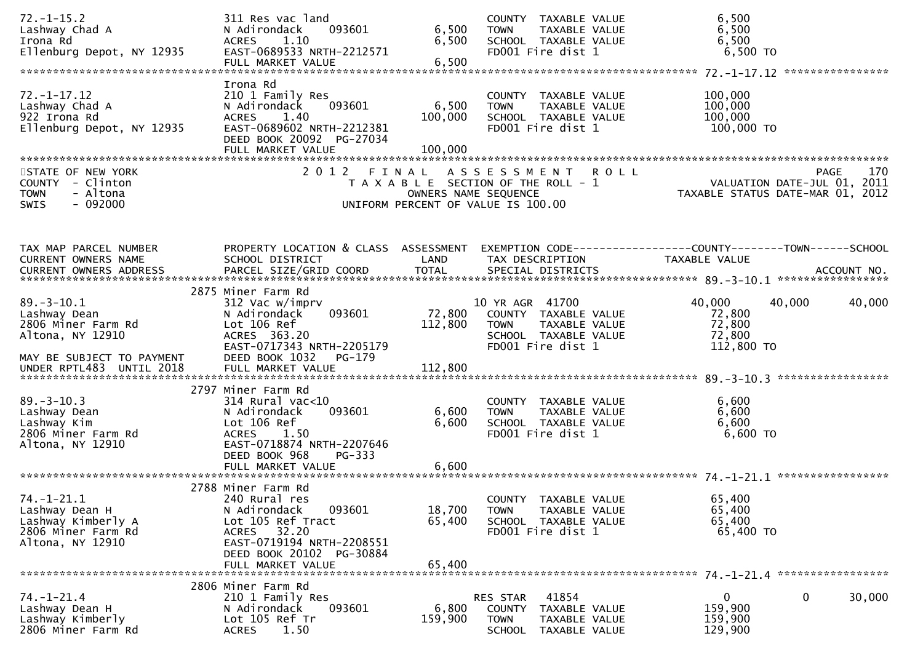| $72. - 1 - 15.2$<br>Lashway Chad A<br>Irona Rd<br>Ellenburg Depot, NY 12935                                                         | 311 Res vac land<br>093601<br>N Adirondack<br><b>ACRES</b><br>1.10<br>EAST-0689533 NRTH-2212571<br>FULL MARKET VALUE                                                            | 6,500<br>6,500<br>6,500      | COUNTY TAXABLE VALUE<br>TAXABLE VALUE<br><b>TOWN</b><br>SCHOOL TAXABLE VALUE<br>FD001 Fire dist 1                      | 6,500<br>6,500<br>6,500<br>$6,500$ TO                                                                                |
|-------------------------------------------------------------------------------------------------------------------------------------|---------------------------------------------------------------------------------------------------------------------------------------------------------------------------------|------------------------------|------------------------------------------------------------------------------------------------------------------------|----------------------------------------------------------------------------------------------------------------------|
| $72. - 1 - 17.12$<br>Lashway Chad A<br>922 Irona Rd<br>Ellenburg Depot, NY 12935                                                    | Irona Rd<br>210 1 Family Res<br>093601<br>N Adirondack<br><b>ACRES</b><br>1.40<br>EAST-0689602 NRTH-2212381<br>DEED BOOK 20092 PG-27034<br>FULL MARKET VALUE                    | 6,500<br>100,000<br>100,000  | COUNTY TAXABLE VALUE<br><b>TOWN</b><br>TAXABLE VALUE<br>SCHOOL TAXABLE VALUE<br>FD001 Fire dist 1                      | 100,000<br>100,000<br>100,000<br>100,000 TO                                                                          |
| STATE OF NEW YORK<br>COUNTY - Clinton<br><b>TOWN</b><br>- Altona<br>$-092000$<br><b>SWIS</b>                                        | 2 0 1 2                                                                                                                                                                         | FINAL                        | ASSESSMENT ROLL<br>T A X A B L E SECTION OF THE ROLL - 1<br>OWNERS NAME SEQUENCE<br>UNIFORM PERCENT OF VALUE IS 100.00 | 170<br><b>PAGE</b><br>VALUATION DATE-JUL 01, 2011<br>VALUATION DATE-JUL UI, 2011<br>TAXABLE STATUS DATE-MAR 01, 2012 |
| TAX MAP PARCEL NUMBER<br>CURRENT OWNERS NAME                                                                                        | PROPERTY LOCATION & CLASS ASSESSMENT<br>SCHOOL DISTRICT                                                                                                                         | LAND                         | TAX DESCRIPTION                                                                                                        | EXEMPTION CODE------------------COUNTY--------TOWN------SCHOOL<br>TAXABLE VALUE                                      |
| $89. - 3 - 10.1$<br>Lashway Dean<br>2806 Miner Farm Rd<br>Altona, NY 12910<br>MAY BE SUBJECT TO PAYMENT<br>UNDER RPTL483 UNTIL 2018 | 2875 Miner Farm Rd<br>312 Vac w/imprv<br>093601<br>N Adirondack<br>Lot 106 Ref<br>ACRES 363.20<br>EAST-0717343 NRTH-2205179<br>DEED BOOK 1032<br>PG-179<br>FULL MARKET VALUE    | 72,800<br>112,800<br>112,800 | 10 YR AGR 41700<br>COUNTY TAXABLE VALUE<br><b>TOWN</b><br>TAXABLE VALUE<br>SCHOOL TAXABLE VALUE<br>FD001 Fire dist 1   | 40,000<br>40,000<br>40,000<br>72,800<br>72,800<br>72,800<br>112,800 TO                                               |
| $89. - 3 - 10.3$<br>Lashway Dean<br>Lashway Kim<br>2806 Miner Farm Rd<br>Altona, NY 12910                                           | 2797 Miner Farm Rd<br>$314$ Rural vac<10<br>093601<br>N Adirondack<br>Lot 106 Ref<br><b>ACRES</b><br>1.50<br>EAST-0718874 NRTH-2207646<br>DEED BOOK 968<br>PG-333               | 6,600<br>6,600               | COUNTY TAXABLE VALUE<br>TAXABLE VALUE<br><b>TOWN</b><br>SCHOOL TAXABLE VALUE<br>FD001 Fire dist 1                      | 6,600<br>6,600<br>6,600<br>6,600 TO                                                                                  |
| $74. - 1 - 21.1$<br>Lashway Dean H<br>Lashway Kimberly A<br>2806 Miner Farm Rd<br>Altona, NY 12910                                  | 2788 Miner Farm Rd<br>240 Rural res<br>093601<br>N Adirondack<br>Lot 105 Ref Tract<br>ACRES 32.20<br>EAST-0719194 NRTH-2208551<br>DEED BOOK 20102 PG-30884<br>FULL MARKET VALUE | 18,700<br>65,400<br>65,400   | COUNTY TAXABLE VALUE<br><b>TOWN</b><br>TAXABLE VALUE<br>SCHOOL TAXABLE VALUE<br>FD001 Fire dist 1                      | 65,400<br>65,400<br>65,400<br>65,400 TO                                                                              |
| $74. - 1 - 21.4$<br>Lashway Dean H<br>Lashway Kimberly<br>2806 Miner Farm Rd                                                        | 2806 Miner Farm Rd<br>210 1 Family Res<br>N Adirondack<br>093601<br>Lot 105 Ref Tr<br>1.50<br><b>ACRES</b>                                                                      | 6,800<br>159,900             | 41854<br>RES STAR<br><b>COUNTY</b><br>TAXABLE VALUE<br><b>TOWN</b><br>TAXABLE VALUE<br><b>SCHOOL</b><br>TAXABLE VALUE  | 0<br>0<br>30,000<br>159,900<br>159,900<br>129,900                                                                    |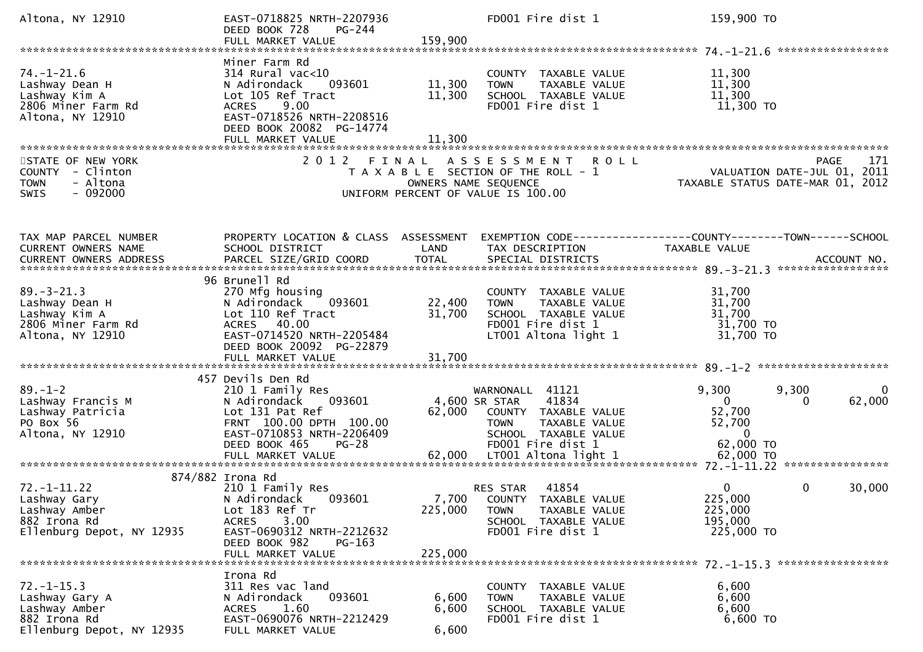| Altona, NY 12910                                                                                 | EAST-0718825 NRTH-2207936<br>DEED BOOK 728<br>$PG-244$<br>FULL MARKET VALUE                                                                                                              | 159,900                    | FD001 Fire dist 1                                                                                                             | 159,900 TO                                                                                                          |
|--------------------------------------------------------------------------------------------------|------------------------------------------------------------------------------------------------------------------------------------------------------------------------------------------|----------------------------|-------------------------------------------------------------------------------------------------------------------------------|---------------------------------------------------------------------------------------------------------------------|
|                                                                                                  |                                                                                                                                                                                          |                            |                                                                                                                               | *****************                                                                                                   |
| $74. - 1 - 21.6$<br>Lashway Dean H<br>Lashway Kim A<br>2806 Miner Farm Rd<br>Altona, NY 12910    | Miner Farm Rd<br>$314$ Rural vac<10<br>093601<br>N Adirondack<br>Lot 105 Ref Tract<br>9.00<br><b>ACRES</b><br>EAST-0718526 NRTH-2208516<br>DEED BOOK 20082 PG-14774<br>FULL MARKET VALUE | 11,300<br>11,300<br>11,300 | COUNTY TAXABLE VALUE<br>TAXABLE VALUE<br><b>TOWN</b><br>SCHOOL TAXABLE VALUE<br>FD001 Fire dist 1                             | 11,300<br>11,300<br>11,300<br>11,300 TO                                                                             |
| STATE OF NEW YORK<br>COUNTY - Clinton<br><b>TOWN</b><br>- Altona<br>$-092000$<br><b>SWIS</b>     | 2012 FINAL                                                                                                                                                                               | OWNERS NAME SEQUENCE       | ASSESSMENT ROLL<br>T A X A B L E SECTION OF THE ROLL - 1<br>UNIFORM PERCENT OF VALUE IS 100.00                                | 171<br><b>PAGE</b><br>VALUATION DATE-JUL 01, 2011<br>TAXABLE STATUS DATE-MAR 01, 2012                               |
| TAX MAP PARCEL NUMBER<br>CURRENT OWNERS NAME<br>CURRENT OWNERS ADDRESS                           | PROPERTY LOCATION & CLASS ASSESSMENT<br>SCHOOL DISTRICT                                                                                                                                  | LAND                       | TAX DESCRIPTION                                                                                                               | EXEMPTION CODE------------------COUNTY--------TOWN------SCHOOL<br>TAXABLE VALUE<br>ACCOUNT NO.<br>***************** |
| $89. - 3 - 21.3$<br>Lashway Dean H<br>Lashway Kim A<br>2806 Miner Farm Rd<br>Altona, NY 12910    | 96 Brunell Rd<br>270 Mfg housing<br>N Adirondack<br>093601<br>Lot 110 Ref Tract<br>ACRES 40.00<br>EAST-0714520 NRTH-2205484<br>DEED BOOK 20092 PG-22879                                  | 22,400<br>31,700           | COUNTY TAXABLE VALUE<br>TAXABLE VALUE<br><b>TOWN</b><br>SCHOOL TAXABLE VALUE<br>FD001 Fire dist 1<br>LT001 Altona light 1     | 31,700<br>31,700<br>31,700<br>31,700 TO<br>31,700 TO                                                                |
| $89. - 1 - 2$<br>Lashway Francis M<br>Lashway Patricia<br>PO Box 56<br>Altona, NY 12910          | 457 Devils Den Rd<br>210 1 Family Res<br>093601<br>N Adirondack<br>Lot 131 Pat Ref<br>FRNT 100.00 DPTH 100.00<br>EAST-0710853 NRTH-2206409<br>DEED BOOK 465<br>$PG-28$                   | 4,600 SR STAR<br>62,000    | WARNONALL 41121<br>41834<br>COUNTY TAXABLE VALUE<br><b>TOWN</b><br>TAXABLE VALUE<br>SCHOOL TAXABLE VALUE<br>FD001 Fire dist 1 | 9,300<br>9,300<br>0<br>62,000<br>$\overline{0}$<br>0<br>52,700<br>52,700<br>$\mathbf{0}$<br>62,000 TO               |
| $72. - 1 - 11.22$<br>Lashway Gary<br>Lashway Amber<br>882 Irona Rd<br>Ellenburg Depot, NY 12935  | 874/882 Irona Rd<br>210 1 Family Res<br>093601<br>N Adirondack<br>Lot 183 Ref Tr<br>3.00<br>ACRES<br>EAST-0690312 NRTH-2212632<br>DEED BOOK 982<br>$PG-163$<br>FULL MARKET VALUE         | 225,000<br>225,000         | 41854<br>RES STAR<br>7,700 COUNTY TAXABLE VALUE<br><b>TOWN</b><br>TAXABLE VALUE<br>SCHOOL TAXABLE VALUE<br>FD001 Fire dist 1  | $\Omega$<br>0<br>30,000<br>225,000<br>225,000<br>195,000<br>225,000 TO                                              |
| $72. - 1 - 15.3$<br>Lashway Gary A<br>Lashway Amber<br>882 Irona Rd<br>Ellenburg Depot, NY 12935 | Irona Rd<br>311 Res vac land<br>093601<br>N Adirondack<br>1.60<br>ACRES<br>EAST-0690076 NRTH-2212429<br>FULL MARKET VALUE                                                                | 6,600<br>6,600<br>6,600    | COUNTY TAXABLE VALUE<br>TAXABLE VALUE<br><b>TOWN</b><br>SCHOOL TAXABLE VALUE<br>FD001 Fire dist 1                             | 6,600<br>6,600<br>6,600<br>6,600 TO                                                                                 |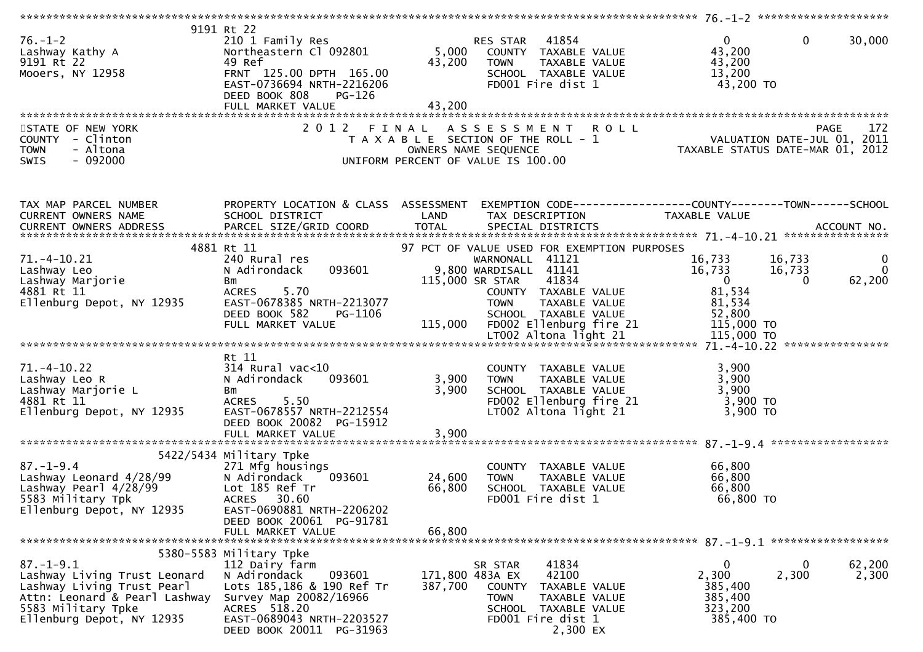| $76. - 1 - 2$<br>Lashway Kathy A<br>9191 Rt 22<br>Mooers, NY 12958                                                                                                                                                                                                             | 9191 Rt 22<br>210 1 Family Res<br>210 1 Family Res<br>Northeastern Cl 092801<br>49 Ref<br>FRNT 125.00 DPTH 165.00<br>EAST-0736694 NRTH-2216206<br>DEED BOOK 808<br>PG-126<br>FULL MARKET VALUE      | 43,200                     | RES STAR 41854<br>5,000 COUNTY TAXABLE VALUE<br>43,200 TOWN TAXABLE VALUE<br>SCHOOL TAXABLE VALUE<br>FD001 Fire dist 1                                                                       | $\mathbf{0}$<br>$\overline{0}$<br>43,200<br>43,200<br>13,200<br>43,200 TO                                 | 30,000                                 |
|--------------------------------------------------------------------------------------------------------------------------------------------------------------------------------------------------------------------------------------------------------------------------------|-----------------------------------------------------------------------------------------------------------------------------------------------------------------------------------------------------|----------------------------|----------------------------------------------------------------------------------------------------------------------------------------------------------------------------------------------|-----------------------------------------------------------------------------------------------------------|----------------------------------------|
| STATE OF NEW YORK<br>COUNTY - Clinton<br>- Altona<br><b>TOWN</b><br>$-092000$<br>SWIS                                                                                                                                                                                          |                                                                                                                                                                                                     |                            | 2012 FINAL ASSESSMENT                                                                                                                                                                        | T A X A B L E SECTION OF THE ROLL - 1<br>OWNERS NAME SEQUENCE<br>UNIFORM PERCENT OF VALUE IS 100.00       |                                        |
| TAX MAP PARCEL NUMBER<br>CURRENT OWNERS NAME<br>CURRENT OWNERS ADDRESS                                                                                                                                                                                                         | PROPERTY LOCATION & CLASS ASSESSMENT EXEMPTION CODE---------------COUNTY-------TOWN------SCHOOL<br>SCHOOL DISTRICT                                                                                  | <b>LAND</b>                | TAX DESCRIPTION                                                                                                                                                                              | TAXABLE VALUE                                                                                             |                                        |
| 71. –4–10.21<br>Lashway Leo<br>Lashway Marjorie<br>4881 Rt 11<br>Ellenburg Depot, NY 12935<br>DEED BOOK 582 PG-1100<br>FULL MARKET VALUE 115,000 FD002 Ellenburg fire 21 115,000 TO<br>ETOO2 Altona light 21 115,000 TO LTOO2 Altona light 21 115,000 TO LTOO2 Altona light 21 | 4881 Rt 11<br>240 Rural res<br>093601<br>N Adirondack<br>Bm<br>ACRES 5.70<br>EAST-0678385 NRTH-2213077<br>DEED BOOK 582<br>PG-1106                                                                  |                            | 97 PCT OF VALUE USED FOR EXEMPTION PURPOSES<br>WARNONALL 41121<br>9,800 WARDISALL 41141<br>115,000 SR STAR 41834<br>COUNTY TAXABLE VALUE<br>TOWN     TAXABLE VALUE<br>SCHOOL   TAXABLE VALUE | 16,733<br>16,733<br>16,733<br>16,733<br>$\overline{\mathbf{0}}$<br>$\Omega$<br>81,534<br>81,534<br>52,800 | $\mathbf{0}$<br>$\mathbf{0}$<br>62,200 |
| 71.-4-10.22<br>Lashway Leo R<br>Lashway Marjorie L<br>Ellenburg Depot, NY 12935                                                                                                                                                                                                | Rt 11<br>314 Rural vac<10<br>N Adirondack<br>093601<br>Bm<br>5.50<br>ACRES<br>EAST-0678557 NRTH-2212554<br>DEED BOOK 20082 PG-15912<br>FULL MARKET VALUE                                            | 3,900<br>3,900             | COUNTY TAXABLE VALUE<br>3,900 TOWN<br>TAXABLE VALUE<br>SCHOOL TAXABLE VALUE<br>FD002 Ellenburg fire 21<br>$LT002$ Altona light 21                                                            | 3,900<br>3,900<br>3,900<br>3,900 TO<br>3,900 TO                                                           |                                        |
| +22, 3434<br>Lashway Leonard 4/28/99<br>Lashway Pearl 4/28/99<br>5583 Military Tpk<br>Ellenburg Depot, NY 12935                                                                                                                                                                | 5422/5434 Military Tpke<br>271 Mfg housings<br>N Adirondack<br>093601<br>Lot 185 Ref Tr<br>ACRES 30.60<br>EAST-0690881 NRTH-2206202<br>DEED BOOK 20061 PG-91781<br>FULL MARKET VALUE                | 24,600<br>66,800<br>66,800 | COUNTY TAXABLE VALUE<br>TAXABLE VALUE<br><b>TOWN</b><br>SCHOOL TAXABLE VALUE<br>FD001 Fire dist 1                                                                                            | 66,800<br>66,800<br>66,800<br>66,800 TO                                                                   |                                        |
| $87. - 1 - 9.1$<br>Lashway Living Trust Leonard<br>Lashway Living Trust Pearl<br>Attn: Leonard & Pearl Lashway<br>5583 Military Tpke<br>Ellenburg Depot, NY 12935                                                                                                              | 5380-5583 Military Tpke<br>112 Dairy farm<br>093601<br>N Adirondack<br>Lots 185,186 & 190 Ref Tr<br>Survey Map 20082/16966<br>ACRES 518.20<br>EAST-0689043 NRTH-2203527<br>DEED BOOK 20011 PG-31963 | 387,700                    | 41834<br>SR STAR<br>42100<br>171,800 483A EX<br>COUNTY<br>TAXABLE VALUE<br><b>TOWN</b><br>TAXABLE VALUE<br>SCHOOL TAXABLE VALUE<br>FD001 Fire dist 1<br>2,300 EX                             | 0<br>$\bf{0}$<br>2,300<br>2,300<br>385,400<br>385,400<br>323,200<br>385,400 TO                            | 62,200<br>2,300                        |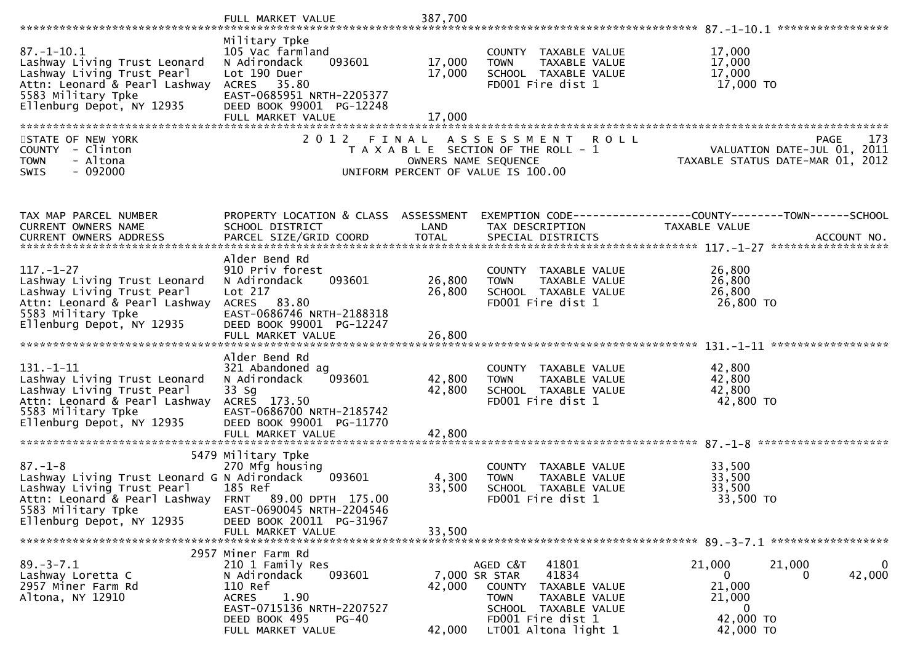|                                                                                                                                                                                                              | FULL MARKET VALUE                                                                                                                                                                 | 387,700                    |                                                                                                                                                                             |                                                                                                                                  |
|--------------------------------------------------------------------------------------------------------------------------------------------------------------------------------------------------------------|-----------------------------------------------------------------------------------------------------------------------------------------------------------------------------------|----------------------------|-----------------------------------------------------------------------------------------------------------------------------------------------------------------------------|----------------------------------------------------------------------------------------------------------------------------------|
| $87. - 1 - 10.1$<br>Lashway Living Trust Leonard<br>Lashway Living Trust Pearl<br>Attn: Leonard & Pearl Lashway<br>5583 Military Tpke<br>Ellenburg Depot, NY 12935                                           | Military Tpke<br>105 Vac farmland<br>093601<br>N Adirondack<br>Lot 190 Duer<br>ACRES 35.80<br>EAST-0685951 NRTH-2205377<br>DEED BOOK 99001 PG-12248<br>FULL MARKET VALUE          | 17,000<br>17,000<br>17,000 | COUNTY TAXABLE VALUE<br>TOWN TAXABLE VALUE<br>SCHOOL TAXABLE VALUE<br>FDOO1 Fire dist 1                                                                                     | 17,000<br>17,000<br>17,000<br>17,000 TO                                                                                          |
| STATE OF NEW YORK<br>COUNTY - Clinton<br>- Altona<br><b>TOWN</b><br>$-092000$<br>SWIS                                                                                                                        | 2012 FINAL                                                                                                                                                                        |                            | ASSESSMENT ROLL<br>T A X A B L E SECTION OF THE ROLL - 1<br>OWNERS NAME SEQUENCE<br>UNIFORM PERCENT OF VALUE IS 100.00                                                      | 173<br>PAGE                                                                                                                      |
| TAX MAP PARCEL NUMBER<br><b>CURRENT OWNERS NAME</b><br><b>CURRENT OWNERS ADDRESS</b>                                                                                                                         | SCHOOL DISTRICT<br>PARCEL SIZE/GRID COORD                                                                                                                                         | LAND<br><b>TOTAL</b>       | TAX DESCRIPTION<br>SPECIAL DISTRICTS                                                                                                                                        | PROPERTY LOCATION & CLASS ASSESSMENT EXEMPTION CODE----------------COUNTY-------TOWN------SCHOOL<br>TAXABLE VALUE<br>ACCOUNT NO. |
| $117. - 1 - 27$<br>Lashway Living Trust Leonard<br>Lashway Living Trust Pearl<br>Attn: Leonard & Pearl Lashway<br>5583 Military Tpke<br>Ellenburg Depot, NY 12935                                            | Alder Bend Rd<br>910 Priv forest<br>N Adirondack<br>093601<br>Lot 217<br>ACRES 83.80<br>EAST-0686746 NRTH-2188318<br>DEED BOOK 99001 PG-12247                                     | 26,800<br>26,800           | COUNTY TAXABLE VALUE<br><b>TOWN</b><br>TAXABLE VALUE<br>SCHOOL TAXABLE VALUE<br>FD001 Fire dist 1                                                                           | 26,800<br>26,800<br>26,800<br>26,800 TO                                                                                          |
| $131. - 1 - 11$<br>Lashway Living Trust Leonard<br>Lashway Living Trust Pearl<br>Attn: Leonard & Pearl Lashway<br>5583 Military Tpke<br>Ellenburg Depot, NY 12935                                            | Alder Bend Rd<br>321 Abandoned ag<br>093601<br>N Adirondack<br>$33$ Sg<br>ACRES 173.50<br>EAST-0686700 NRTH-2185742<br>DEED BOOK 99001 PG-11770                                   | 42,800<br>42,800           | COUNTY TAXABLE VALUE<br>TAXABLE VALUE<br><b>TOWN</b><br>SCHOOL TAXABLE VALUE<br>FD001 Fire dist 1                                                                           | 42,800<br>42,800<br>42,800<br>42,800 TO                                                                                          |
| $87. - 1 - 8$<br>Lashway Living Trust Leonard G N Adirondack 093601<br>Lashway Living Trust Pearl<br>Attn: Leonard & Pearl Lashway FRNT 89.00 DPTH 175.00<br>5583 Military Tpke<br>Ellenburg Depot, NY 12935 | 5479 Military Tpke<br>270 Mfg housing<br>185 Ref<br>EAST-0690045 NRTH-2204546<br>DEED BOOK 20011 PG-31967<br>FULL MARKET VALUE                                                    | 4,300<br>33,500<br>33,500  | COUNTY TAXABLE VALUE<br><b>TOWN</b><br>TAXABLE VALUE<br>SCHOOL TAXABLE VALUE<br>FD001 Fire dist 1                                                                           | 33,500<br>33,500<br>33,500<br>33,500 TO                                                                                          |
| $89. - 3 - 7.1$<br>Lashway Loretta C<br>2957 Miner Farm Rd<br>Altona, NY 12910                                                                                                                               | 2957 Miner Farm Rd<br>210 1 Family Res<br>093601<br>N Adirondack<br>110 Ref<br>1.90<br><b>ACRES</b><br>EAST-0715136 NRTH-2207527<br>DEED BOOK 495<br>$PG-40$<br>FULL MARKET VALUE | 42,000<br>42,000           | 41801<br>AGED C&T<br>41834<br>7,000 SR STAR<br>COUNTY<br>TAXABLE VALUE<br><b>TOWN</b><br>TAXABLE VALUE<br>SCHOOL TAXABLE VALUE<br>FD001 Fire dist 1<br>LT001 Altona light 1 | 21,000<br>21,000<br>42,000<br>0<br>0<br>21,000<br>21,000<br>0<br>42,000 TO<br>42,000 TO                                          |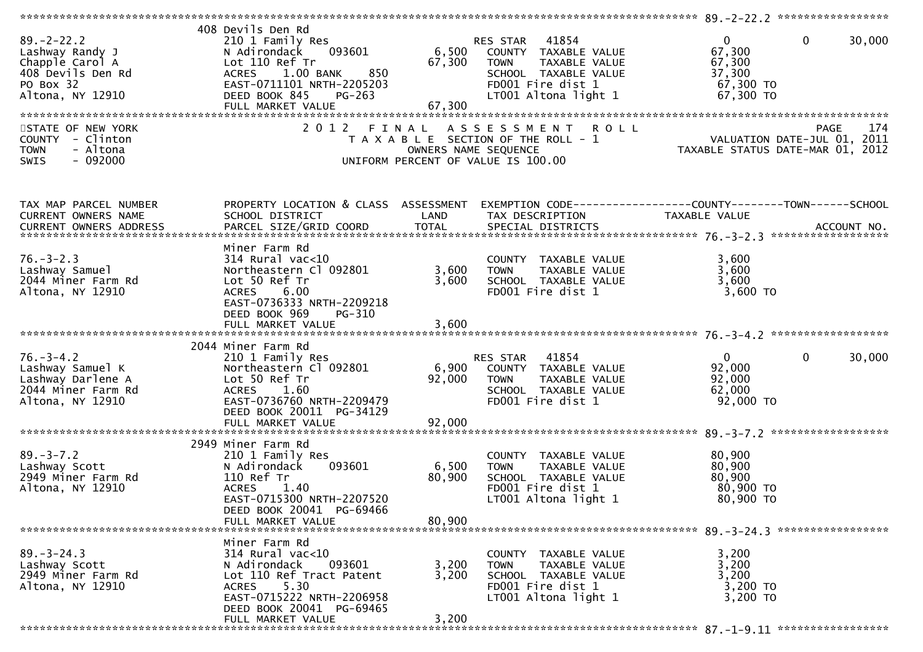| 408 Devils Den Rd<br>210 1 Family Res<br>093601<br>N Adirondack<br>Lot 110 Ref Tr<br>ACRES 1.00 BANK<br>850<br>EAST-0711101 NRTH-2205203<br>DEED BOOK 845<br>PG-263<br>FULL MARKET VALUE | 67,300                                                                                                                                   | TAXABLE VALUE<br><b>TOWN</b><br>SCHOOL TAXABLE VALUE<br>FD001 Fire dist 1<br>LT001 Altona light 1                         | $\overline{0}$<br>67,300<br>67,300<br>37,300<br>67,300 TO<br>67,300 TO                                                                                                                                                                        | $\mathbf 0$<br>30,000                                                                                                                                                                             |
|------------------------------------------------------------------------------------------------------------------------------------------------------------------------------------------|------------------------------------------------------------------------------------------------------------------------------------------|---------------------------------------------------------------------------------------------------------------------------|-----------------------------------------------------------------------------------------------------------------------------------------------------------------------------------------------------------------------------------------------|---------------------------------------------------------------------------------------------------------------------------------------------------------------------------------------------------|
|                                                                                                                                                                                          |                                                                                                                                          |                                                                                                                           |                                                                                                                                                                                                                                               | 174<br><b>PAGE</b>                                                                                                                                                                                |
|                                                                                                                                                                                          |                                                                                                                                          |                                                                                                                           |                                                                                                                                                                                                                                               |                                                                                                                                                                                                   |
|                                                                                                                                                                                          |                                                                                                                                          |                                                                                                                           |                                                                                                                                                                                                                                               |                                                                                                                                                                                                   |
|                                                                                                                                                                                          |                                                                                                                                          |                                                                                                                           |                                                                                                                                                                                                                                               |                                                                                                                                                                                                   |
|                                                                                                                                                                                          |                                                                                                                                          |                                                                                                                           |                                                                                                                                                                                                                                               |                                                                                                                                                                                                   |
|                                                                                                                                                                                          |                                                                                                                                          |                                                                                                                           |                                                                                                                                                                                                                                               |                                                                                                                                                                                                   |
|                                                                                                                                                                                          |                                                                                                                                          |                                                                                                                           |                                                                                                                                                                                                                                               |                                                                                                                                                                                                   |
| Miner Farm Rd<br>$314$ Rural vac<10<br>Northeastern Cl 092801<br>Lot 50 Ref Tr<br>6.00<br><b>ACRES</b><br>EAST-0736333 NRTH-2209218<br>DEED BOOK 969<br>PG-310                           | 3,600                                                                                                                                    | COUNTY TAXABLE VALUE<br>TAXABLE VALUE<br><b>TOWN</b><br>SCHOOL TAXABLE VALUE<br>FD001 Fire dist 1                         | 3,600<br>3,600<br>3,600<br>3,600 TO                                                                                                                                                                                                           |                                                                                                                                                                                                   |
|                                                                                                                                                                                          |                                                                                                                                          |                                                                                                                           |                                                                                                                                                                                                                                               |                                                                                                                                                                                                   |
|                                                                                                                                                                                          |                                                                                                                                          |                                                                                                                           |                                                                                                                                                                                                                                               |                                                                                                                                                                                                   |
| 210 1 Family Res<br>Northeastern Cl 092801<br>Lot 50 Ref Tr<br>ACRES 1.60<br>EAST-0736760 NRTH-2209479                                                                                   | 92,000                                                                                                                                   | 41854<br><b>TOWN</b><br>TAXABLE VALUE<br>SCHOOL TAXABLE VALUE<br>FD001 Fire dist 1                                        | $\mathbf{0}$<br>92,000<br>92,000<br>62,000<br>92,000 TO                                                                                                                                                                                       | $\mathbf{0}$<br>30,000                                                                                                                                                                            |
|                                                                                                                                                                                          |                                                                                                                                          |                                                                                                                           |                                                                                                                                                                                                                                               |                                                                                                                                                                                                   |
|                                                                                                                                                                                          |                                                                                                                                          |                                                                                                                           |                                                                                                                                                                                                                                               |                                                                                                                                                                                                   |
| 210 1 Family Res<br>N Adirondack<br>093601<br>110 Ref Tr<br><b>ACRES</b><br>1.40<br>EAST-0715300 NRTH-2207520<br>DEED BOOK 20041 PG-69466                                                | 6,500<br>80,900                                                                                                                          | COUNTY TAXABLE VALUE<br>TAXABLE VALUE<br><b>TOWN</b><br>SCHOOL TAXABLE VALUE<br>FD001 Fire dist 1<br>LT001 Altona light 1 | 80,900<br>80,900<br>80,900<br>80,900 TO<br>80,900 TO                                                                                                                                                                                          |                                                                                                                                                                                                   |
| FULL MARKET VALUE                                                                                                                                                                        | 80,900                                                                                                                                   |                                                                                                                           |                                                                                                                                                                                                                                               |                                                                                                                                                                                                   |
|                                                                                                                                                                                          |                                                                                                                                          |                                                                                                                           |                                                                                                                                                                                                                                               |                                                                                                                                                                                                   |
| $314$ Rural vac<10<br>N Adirondack<br>093601<br>Lot 110 Ref Tract Patent<br>5.30<br><b>ACRES</b><br>EAST-0715222 NRTH-2206958<br>DEED BOOK 20041 PG-69465                                | 3,200<br>3,200                                                                                                                           | COUNTY TAXABLE VALUE<br>TAXABLE VALUE<br><b>TOWN</b><br>SCHOOL TAXABLE VALUE<br>FD001 Fire dist 1<br>LT001 Altona light 1 | 3,200<br>3,200<br>3,200<br>3,200 TO<br>3,200 TO                                                                                                                                                                                               |                                                                                                                                                                                                   |
| FULL MARKET VALUE                                                                                                                                                                        |                                                                                                                                          |                                                                                                                           |                                                                                                                                                                                                                                               |                                                                                                                                                                                                   |
|                                                                                                                                                                                          | 2 0 1 2<br>SCHOOL DISTRICT<br>2044 Miner Farm Rd<br>DEED BOOK 20011 PG-34129<br>FULL MARKET VALUE<br>2949 Miner Farm Rd<br>Miner Farm Rd | FINAL<br>LAND<br>92,000<br>3,200                                                                                          | RES STAR 41854<br>6,500 COUNTY TAXABLE VALUE<br>67,300<br>T A X A B L E SECTION OF THE ROLL - 1<br>OWNERS NAME SEQUENCE<br>UNIFORM PERCENT OF VALUE IS 100.00<br>PROPERTY LOCATION & CLASS ASSESSMENT<br>TAX DESCRIPTION<br>3,600<br>RES STAR | ASSESSMENT ROLL<br>VALUATION DATE-JUL 01, 2011<br>TAXABLE STATUS DATE-MAR 01, 2012<br>EXEMPTION CODE-----------------COUNTY--------TOWN-----SCHOOL<br>TAXABLE VALUE<br>6,900 COUNTY TAXABLE VALUE |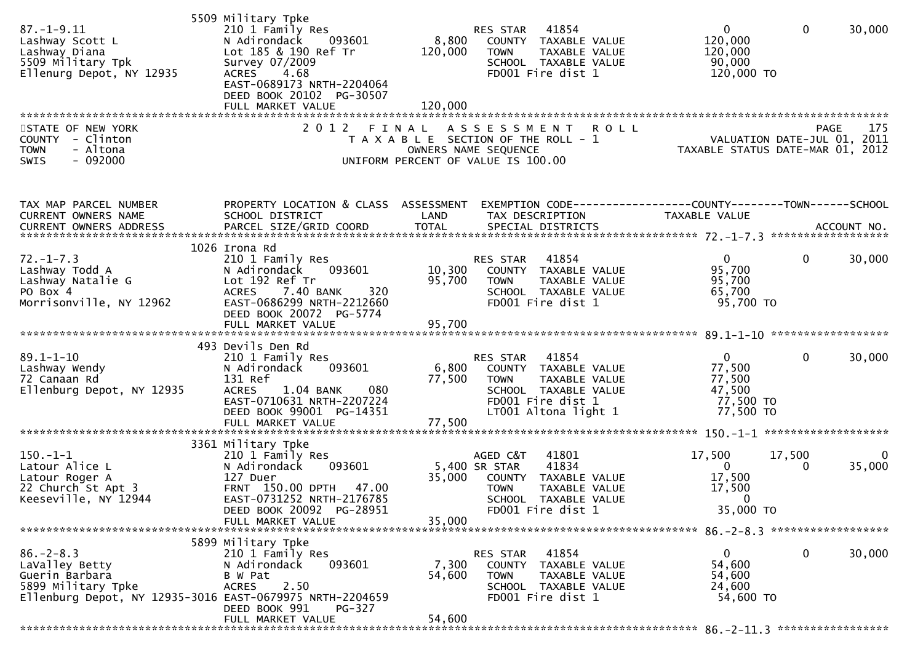| $87. - 1 - 9.11$<br>Lashway Scott L<br>Lashway Diana<br>5509 Military Tpk<br>Ellenurg Depot, NY 12935 | 5509 Military Tpke<br>210 1 Family Res<br>N Adirondack<br>093601<br>Lot 185 & 190 Ref Tr<br>Survey 07/2009<br><b>ACRES</b><br>4.68<br>EAST-0689173 NRTH-2204064<br>DEED BOOK 20102 PG-30507 | 8,800<br>120,000                                                                                    | RES STAR<br><b>TOWN</b> | 41854<br>COUNTY TAXABLE VALUE<br>TAXABLE VALUE<br>SCHOOL TAXABLE VALUE<br>FD001 Fire dist 1 | $\mathbf{0}$<br>120,000<br>120,000<br>90,000<br>120,000 TO                                                      | $\mathbf 0$  | 30,000 |
|-------------------------------------------------------------------------------------------------------|---------------------------------------------------------------------------------------------------------------------------------------------------------------------------------------------|-----------------------------------------------------------------------------------------------------|-------------------------|---------------------------------------------------------------------------------------------|-----------------------------------------------------------------------------------------------------------------|--------------|--------|
| STATE OF NEW YORK                                                                                     | 2012 FINAL ASSESSMENT                                                                                                                                                                       |                                                                                                     |                         | <b>ROLL</b>                                                                                 |                                                                                                                 | <b>PAGE</b>  | 175    |
| COUNTY - Clinton<br>- Altona<br><b>TOWN</b><br>SWIS<br>$-092000$                                      |                                                                                                                                                                                             | T A X A B L E SECTION OF THE ROLL - 1<br>OWNERS NAME SEQUENCE<br>UNIFORM PERCENT OF VALUE IS 100.00 |                         |                                                                                             | PAGE 175<br>VALUATION DATE-JUL 01, 2011<br>TAXARLE STATUS DATE VIL 01, 2011<br>TAXABLE STATUS DATE-MAR 01, 2012 |              |        |
| TAX MAP PARCEL NUMBER                                                                                 | PROPERTY LOCATION & CLASS ASSESSMENT                                                                                                                                                        |                                                                                                     |                         |                                                                                             | EXEMPTION CODE-----------------COUNTY--------TOWN------SCHOOL                                                   |              |        |
| CURRENT OWNERS NAME                                                                                   | SCHOOL DISTRICT                                                                                                                                                                             | LAND                                                                                                |                         | TAX DESCRIPTION                                                                             | TAXABLE VALUE                                                                                                   |              |        |
|                                                                                                       |                                                                                                                                                                                             |                                                                                                     |                         |                                                                                             |                                                                                                                 |              |        |
|                                                                                                       |                                                                                                                                                                                             |                                                                                                     |                         |                                                                                             |                                                                                                                 |              |        |
|                                                                                                       | 1026 Irona Rd                                                                                                                                                                               |                                                                                                     |                         |                                                                                             |                                                                                                                 |              |        |
| $72. - 1 - 7.3$<br>Lashway Todd A                                                                     | 210 1 Family Res<br>093601<br>N Adirondack                                                                                                                                                  |                                                                                                     | RES STAR                | 41854<br>10,300 COUNTY TAXABLE VALUE                                                        | $\mathbf{0}$<br>95,700                                                                                          | $\mathbf{0}$ | 30,000 |
| Lashway Natalie G                                                                                     | Lot 192 Ref Tr                                                                                                                                                                              | 95,700                                                                                              | <b>TOWN</b>             | TAXABLE VALUE                                                                               | 95,700                                                                                                          |              |        |
| PO Box 4                                                                                              | 320<br><b>ACRES</b><br>7.40 BANK                                                                                                                                                            |                                                                                                     |                         | SCHOOL TAXABLE VALUE                                                                        | 65,700                                                                                                          |              |        |
| Morrisonville, NY 12962                                                                               | EAST-0686299 NRTH-2212660                                                                                                                                                                   |                                                                                                     |                         | FD001 Fire dist 1                                                                           | 95,700 TO                                                                                                       |              |        |
|                                                                                                       | DEED BOOK 20072 PG-5774                                                                                                                                                                     |                                                                                                     |                         |                                                                                             |                                                                                                                 |              |        |
|                                                                                                       | FULL MARKET VALUE                                                                                                                                                                           | 95,700                                                                                              |                         |                                                                                             |                                                                                                                 |              |        |
|                                                                                                       |                                                                                                                                                                                             |                                                                                                     |                         |                                                                                             |                                                                                                                 |              |        |
|                                                                                                       | 493 Devils Den Rd                                                                                                                                                                           |                                                                                                     |                         |                                                                                             |                                                                                                                 |              |        |
| $89.1 - 1 - 10$                                                                                       | 210 1 Family Res                                                                                                                                                                            |                                                                                                     | RES STAR                | 41854                                                                                       | $\mathbf{0}$                                                                                                    | $\mathbf{0}$ | 30,000 |
| Lashway Wendy                                                                                         | 093601<br>N Adirondack<br>131 Ref                                                                                                                                                           | 6,800                                                                                               |                         | COUNTY TAXABLE VALUE                                                                        | 77,500<br>77,500                                                                                                |              |        |
| 72 Canaan Rd<br>Ellenburg Depot, NY 12935                                                             | 080<br>1.04 BANK<br><b>ACRES</b>                                                                                                                                                            | 77,500                                                                                              | <b>TOWN</b>             | TAXABLE VALUE<br>SCHOOL TAXABLE VALUE                                                       | 47,500                                                                                                          |              |        |
|                                                                                                       | EAST-0710631 NRTH-2207224                                                                                                                                                                   |                                                                                                     |                         | FD001 Fire dist 1                                                                           | 77,500 TO                                                                                                       |              |        |
|                                                                                                       | DEED BOOK 99001 PG-14351                                                                                                                                                                    |                                                                                                     |                         | LT001 Altona light 1                                                                        | 77,500 TO                                                                                                       |              |        |
|                                                                                                       | FULL MARKET VALUE                                                                                                                                                                           | 77,500                                                                                              |                         |                                                                                             |                                                                                                                 |              |        |
|                                                                                                       |                                                                                                                                                                                             |                                                                                                     |                         |                                                                                             |                                                                                                                 |              |        |
|                                                                                                       | 3361 Military Tpke                                                                                                                                                                          |                                                                                                     |                         |                                                                                             |                                                                                                                 |              |        |
| $150.-1-1$                                                                                            | 210 1 Family Res                                                                                                                                                                            |                                                                                                     | AGED C&T                | 41801                                                                                       | 17,500                                                                                                          | 17,500       | 0      |
| Latour Alice L                                                                                        | 093601<br>N Adirondack<br>127 Duer                                                                                                                                                          |                                                                                                     | 5,400 SR STAR           | 41834                                                                                       | $\mathbf{0}$                                                                                                    | 0            | 35,000 |
| Latour Roger A<br>22 Church St Apt 3                                                                  | FRNT 150.00 DPTH 47.00                                                                                                                                                                      |                                                                                                     | <b>TOWN</b>             | 35,000 COUNTY TAXABLE VALUE<br><b>TAXABLE VALUE</b>                                         | 17,500<br>17,500                                                                                                |              |        |
| Keeseville, NY 12944                                                                                  | EAST-0731252 NRTH-2176785                                                                                                                                                                   |                                                                                                     |                         | SCHOOL TAXABLE VALUE                                                                        | $\sim$ 0                                                                                                        |              |        |
|                                                                                                       | DEED BOOK 20092 PG-28951                                                                                                                                                                    |                                                                                                     |                         | FD001 Fire dist 1                                                                           | 35,000 TO                                                                                                       |              |        |
|                                                                                                       | FULL MARKET VALUE                                                                                                                                                                           | 35,000                                                                                              |                         |                                                                                             |                                                                                                                 |              |        |
|                                                                                                       |                                                                                                                                                                                             |                                                                                                     |                         |                                                                                             |                                                                                                                 |              |        |
|                                                                                                       | 5899 Military Tpke                                                                                                                                                                          |                                                                                                     |                         |                                                                                             |                                                                                                                 |              |        |
| $86. - 2 - 8.3$                                                                                       | 210 1 Family Res                                                                                                                                                                            |                                                                                                     | RES STAR                | 41854                                                                                       | 0                                                                                                               | 0            | 30,000 |
| LaValley Betty<br>Guerin Barbara                                                                      | 093601<br>N Adirondack<br>B W Pat                                                                                                                                                           | 7,300<br>54,600                                                                                     | <b>TOWN</b>             | COUNTY TAXABLE VALUE<br>TAXABLE VALUE                                                       | 54,600<br>54,600                                                                                                |              |        |
| 5899 Military Tpke                                                                                    | 2.50<br><b>ACRES</b>                                                                                                                                                                        |                                                                                                     |                         | SCHOOL TAXABLE VALUE                                                                        | 24,600                                                                                                          |              |        |
| Ellenburg Depot, NY 12935-3016 EAST-0679975 NRTH-2204659                                              |                                                                                                                                                                                             |                                                                                                     |                         | FD001 Fire dist 1                                                                           | 54,600 TO                                                                                                       |              |        |
|                                                                                                       | DEED BOOK 991<br><b>PG-327</b>                                                                                                                                                              |                                                                                                     |                         |                                                                                             |                                                                                                                 |              |        |
|                                                                                                       | FULL MARKET VALUE                                                                                                                                                                           | 54,600                                                                                              |                         |                                                                                             |                                                                                                                 |              |        |
|                                                                                                       |                                                                                                                                                                                             |                                                                                                     |                         |                                                                                             |                                                                                                                 |              |        |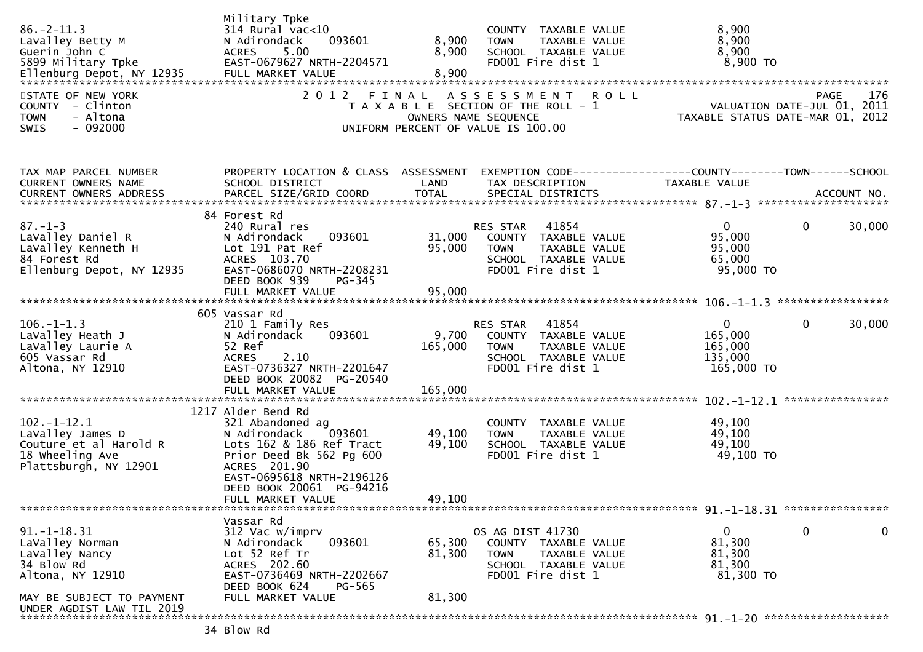| $86. - 2 - 11.3$<br>Lavalley Betty M<br>Guerin John C<br>5899 Military Tpke<br>STATE OF NEW YORK<br>COUNTY - Clinton<br><b>TOWN</b><br>- Altona<br>$-092000$<br><b>SWIS</b> | Military Tpke<br>$314$ Rural vac<10<br>N Adirondack<br>093601<br>5.00<br><b>ACRES</b><br>EAST-0679627 NRTH-2204571<br>2012 FINAL                                                                                       | 8,900<br>8,900             | COUNTY TAXABLE VALUE<br><b>TOWN</b><br>TAXABLE VALUE<br>SCHOOL TAXABLE VALUE<br>FD001 Fire dist 1<br>ASSESSMENT ROLL<br>T A X A B L E SECTION OF THE ROLL - 1<br>OWNERS NAME SEQUENCE<br>UNIFORM PERCENT OF VALUE IS 100.00 | 8,900<br>8,900<br>8,900<br>8,900 TO<br><b>PAGE</b><br>VALUATION DATE-JUL 01, 2011<br>TAXABLE STATUS DATE-MAR 01, 2012 | 176    |
|-----------------------------------------------------------------------------------------------------------------------------------------------------------------------------|------------------------------------------------------------------------------------------------------------------------------------------------------------------------------------------------------------------------|----------------------------|-----------------------------------------------------------------------------------------------------------------------------------------------------------------------------------------------------------------------------|-----------------------------------------------------------------------------------------------------------------------|--------|
| TAX MAP PARCEL NUMBER<br>CURRENT OWNERS NAME                                                                                                                                | PROPERTY LOCATION & CLASS ASSESSMENT<br>SCHOOL DISTRICT                                                                                                                                                                | LAND                       | TAX DESCRIPTION                                                                                                                                                                                                             | EXEMPTION CODE------------------COUNTY--------TOWN------SCHOOL<br>TAXABLE VALUE                                       |        |
| $87. - 1 - 3$<br>LaValley Daniel R<br>LaValley Kenneth H<br>84 Forest Rd<br>Ellenburg Depot, NY 12935                                                                       | 84 Forest Rd<br>240 Rural res<br>N Adirondack<br>093601<br>Lot 191 Pat Ref<br>ACRES 103.70<br>EAST-0686070 NRTH-2208231<br>DEED BOOK 939<br>PG-345                                                                     | 31,000<br>95,000           | RES STAR 41854<br>COUNTY TAXABLE VALUE<br>TAXABLE VALUE<br><b>TOWN</b><br>SCHOOL TAXABLE VALUE<br>FD001 Fire dist 1                                                                                                         | $\mathbf{0}$<br>$\mathbf{0}$<br>95,000<br>95,000<br>65,000<br>95,000 TO                                               | 30,000 |
| $106. - 1 - 1.3$<br>LaValley Heath J<br>LaValley Laurie A<br>605 Vassar Rd<br>Altona, NY 12910                                                                              | 605 Vassar Rd<br>210 1 Family Res<br>093601<br>N Adirondack<br>52 Ref<br><b>ACRES</b><br>2.10<br>EAST-0736327 NRTH-2201647<br>DEED BOOK 20082 PG-20540                                                                 | 9,700<br>165,000           | RES STAR 41854<br>COUNTY TAXABLE VALUE<br>TAXABLE VALUE<br><b>TOWN</b><br>SCHOOL TAXABLE VALUE<br>FD001 Fire dist 1                                                                                                         | $\mathbf 0$<br>$\mathbf 0$<br>165,000<br>165,000<br>135,000<br>165,000 TO                                             | 30,000 |
|                                                                                                                                                                             |                                                                                                                                                                                                                        |                            |                                                                                                                                                                                                                             |                                                                                                                       |        |
| $102 - 1 - 12.1$<br>LaValley James D<br>Couture et al Harold R<br>18 wheeling Ave<br>Plattsburgh, NY 12901                                                                  | 1217 Alder Bend Rd<br>321 Abandoned ag<br>N Adirondack<br>093601<br>Lots 162 & 186 Ref Tract<br>Prior Deed Bk 562 Pg 600<br>ACRES 201.90<br>EAST-0695618 NRTH-2196126<br>DEED BOOK 20061 PG-94216<br>FULL MARKET VALUE | 49,100<br>49,100<br>49,100 | COUNTY TAXABLE VALUE<br>TAXABLE VALUE<br><b>TOWN</b><br>SCHOOL TAXABLE VALUE<br>FD001 Fire dist 1                                                                                                                           | 49,100<br>49,100<br>49,100<br>49,100 TO                                                                               |        |
|                                                                                                                                                                             |                                                                                                                                                                                                                        |                            |                                                                                                                                                                                                                             |                                                                                                                       |        |
| $91. -1 - 18.31$<br>LaValley Norman<br>LaValley Nancy<br>34 Blow Rd<br>Altona, NY 12910                                                                                     | Vassar Rd<br>312 Vac w/imprv<br>093601<br>N Adirondack<br>Lot 52 Ref Tr<br>ACRES 202.60<br>EAST-0736469 NRTH-2202667<br>DEED BOOK 624<br>PG-565                                                                        | 65,300<br>81,300           | OS AG DIST 41730<br>COUNTY TAXABLE VALUE<br><b>TOWN</b><br>TAXABLE VALUE<br>SCHOOL TAXABLE VALUE<br>FD001 Fire dist 1                                                                                                       | $\mathbf 0$<br>0<br>81,300<br>81,300<br>81,300<br>81,300 TO                                                           | 0      |
| MAY BE SUBJECT TO PAYMENT<br>UNDER AGDIST LAW TIL 2019                                                                                                                      | FULL MARKET VALUE                                                                                                                                                                                                      | 81,300                     |                                                                                                                                                                                                                             |                                                                                                                       |        |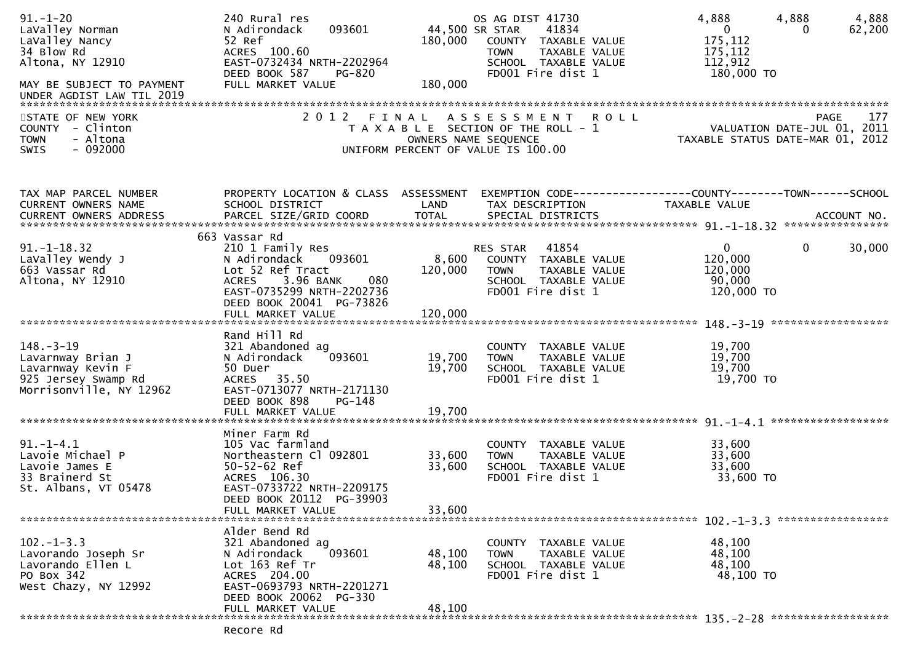| $91. - 1 - 20$<br>LaValley Norman<br>LaValley Nancy<br>34 Blow Rd<br>Altona, NY 12910<br>MAY BE SUBJECT TO PAYMENT<br>UNDER AGDIST LAW TIL 2019 | 240 Rural res<br>093601<br>N Adirondack<br>52 Ref<br>ACRES 100.60<br>EAST-0732434 NRTH-2202964<br>DEED BOOK 587<br>PG-820<br>FULL MARKET VALUE                                  | 44,500 SR STAR<br>180,000<br>180,000 | OS AG DIST 41730<br>41834<br>COUNTY TAXABLE VALUE<br><b>TOWN</b><br>TAXABLE VALUE<br>SCHOOL TAXABLE VALUE<br>FD001 Fire dist 1 | 4,888<br>4,888<br>$\mathbf 0$<br>$\Omega$<br>175,112<br>175,112<br>112,912<br>180,000 TO | 4,888<br>62,200 |
|-------------------------------------------------------------------------------------------------------------------------------------------------|---------------------------------------------------------------------------------------------------------------------------------------------------------------------------------|--------------------------------------|--------------------------------------------------------------------------------------------------------------------------------|------------------------------------------------------------------------------------------|-----------------|
| STATE OF NEW YORK<br>COUNTY - Clinton<br>- Altona<br><b>TOWN</b><br>$-092000$<br>SWIS                                                           | 2012 FINAL                                                                                                                                                                      | OWNERS NAME SEQUENCE                 | ASSESSMENT ROLL<br>T A X A B L E SECTION OF THE ROLL - 1<br>UNIFORM PERCENT OF VALUE IS 100.00                                 | <b>PAGE</b><br>VALUATION DATE-JUL 01, 2011<br>TAXABLE STATUS DATE-MAR 01, 2012           | 177             |
| TAX MAP PARCEL NUMBER<br>CURRENT OWNERS NAME                                                                                                    | PROPERTY LOCATION & CLASS ASSESSMENT<br>SCHOOL DISTRICT                                                                                                                         | LAND                                 | TAX DESCRIPTION                                                                                                                | EXEMPTION CODE-----------------COUNTY-------TOWN------SCHOOL<br>TAXABLE VALUE            |                 |
| $91. - 1 - 18.32$<br>LaValley Wendy J<br>663 Vassar Rd<br>Altona, NY 12910                                                                      | 663 Vassar Rd<br>210 1 Family Res<br>093601<br>N Adirondack<br>Lot 52 Ref Tract<br>3.96 BANK<br>080<br><b>ACRES</b><br>EAST-0735299 NRTH-2202736<br>DEED BOOK 20041 PG-73826    | 8,600<br>120,000                     | RES STAR<br>41854<br>COUNTY TAXABLE VALUE<br><b>TOWN</b><br>TAXABLE VALUE<br>SCHOOL TAXABLE VALUE<br>FD001 Fire dist 1         | $\mathbf{0}$<br>$\mathbf{0}$<br>120,000<br>120,000<br>90,000<br>120,000 TO               | 30,000          |
|                                                                                                                                                 |                                                                                                                                                                                 |                                      |                                                                                                                                |                                                                                          |                 |
| $148. - 3 - 19$<br>Lavarnway Brian J<br>Lavarnway Kevin F<br>925 Jersey Swamp Rd<br>Morrisonville, NY 12962                                     | Rand Hill Rd<br>321 Abandoned ag<br>093601<br>N Adirondack<br>50 Duer<br>ACRES 35.50<br>EAST-0713077 NRTH-2171130<br>DEED BOOK 898<br>PG-148                                    | 19,700<br>19,700                     | COUNTY TAXABLE VALUE<br>TAXABLE VALUE<br><b>TOWN</b><br>SCHOOL TAXABLE VALUE<br>FD001 Fire dist 1                              | 19,700<br>19,700<br>19,700<br>19,700 TO                                                  |                 |
|                                                                                                                                                 |                                                                                                                                                                                 |                                      |                                                                                                                                |                                                                                          |                 |
| $91. - 1 - 4.1$<br>Lavoie Michael P<br>Lavoie James E<br>33 Brainerd St<br>St. Albans, VT 05478                                                 | Miner Farm Rd<br>105 Vac farmland<br>Northeastern Cl 092801<br>$50 - 52 - 62$ Ref<br>ACRES 106.30<br>EAST-0733722 NRTH-2209175<br>DEED BOOK 20112 PG-39903<br>FULL MARKET VALUE | 33,600<br>33,600<br>33,600           | COUNTY TAXABLE VALUE<br><b>TOWN</b><br>TAXABLE VALUE<br>SCHOOL TAXABLE VALUE<br>FD001 Fire dist 1                              | 33,600<br>33,600<br>33,600<br>33,600 TO                                                  |                 |
|                                                                                                                                                 | Alder Bend Rd                                                                                                                                                                   |                                      |                                                                                                                                | $102 - 1 - 3.3$ ******************                                                       |                 |
| $102. -1 - 3.3$<br>Lavorando Joseph Sr<br>Lavorando Ellen L<br>PO Box 342<br>West Chazy, NY 12992                                               | 321 Abandoned ag<br>093601<br>N Adirondack<br>Lot 163 Ref Tr<br>ACRES 204.00<br>EAST-0693793 NRTH-2201271<br>DEED BOOK 20062 PG-330                                             | 48,100<br>48,100                     | COUNTY TAXABLE VALUE<br><b>TOWN</b><br>TAXABLE VALUE<br>SCHOOL TAXABLE VALUE<br>FD001 Fire dist 1                              | 48,100<br>48,100<br>48,100<br>48,100 TO                                                  |                 |
|                                                                                                                                                 | FULL MARKET VALUE                                                                                                                                                               | 48,100                               |                                                                                                                                |                                                                                          |                 |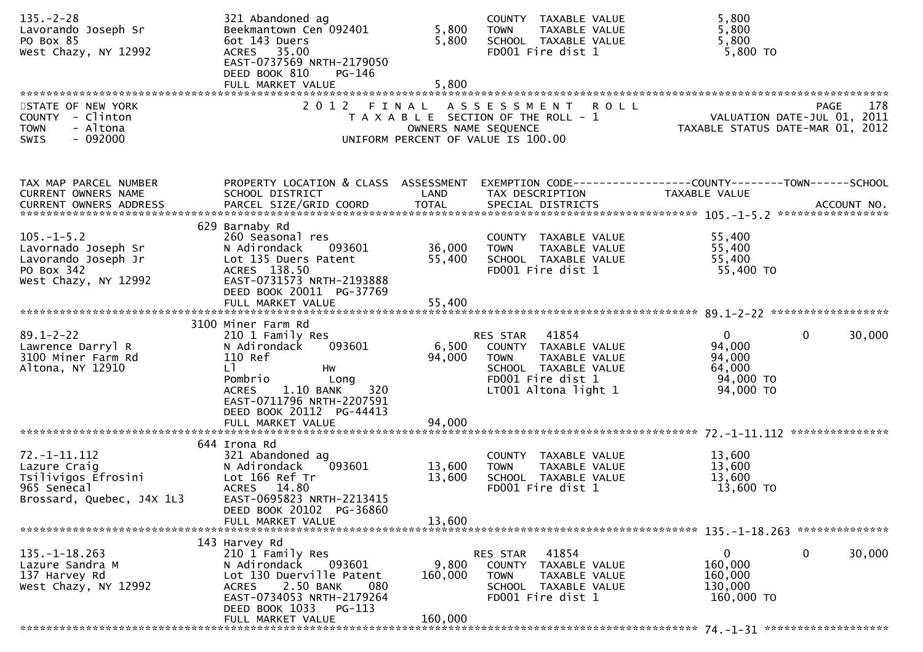| $135. - 2 - 28$<br>Lavorando Joseph Sr<br>PO Box 85<br>West Chazy, NY 12992                                                         | 321 Abandoned ag<br>Beekmantown Cen 092401<br>6ot 143 Duers<br>ACRES 35.00<br>EAST-0737569 NRTH-2179050<br>DEED BOOK 810<br>PG-146<br>FULL MARKET VALUE                                                  | 5,800<br>5,800<br>5,800 | COUNTY TAXABLE VALUE<br>TAXABLE VALUE<br><b>TOWN</b><br>SCHOOL TAXABLE VALUE<br>FD001 Fire dist 1                                                   | 5,800<br>5,800<br>5,800<br>5,800 TO                                                             |
|-------------------------------------------------------------------------------------------------------------------------------------|----------------------------------------------------------------------------------------------------------------------------------------------------------------------------------------------------------|-------------------------|-----------------------------------------------------------------------------------------------------------------------------------------------------|-------------------------------------------------------------------------------------------------|
| STATE OF NEW YORK<br>COUNTY - Clinton<br><b>TOWN</b><br>- Altona<br>$-092000$<br>SWIS                                               | 2012 FINAL                                                                                                                                                                                               | OWNERS NAME SEQUENCE    | A S S E S S M E N T R O L L<br>T A X A B L E SECTION OF THE ROLL - 1<br>OWNERS NAME SEQUENCE<br>UNIFORM PERCENT OF VALUE IS 100.00                  | <b>PAGE</b><br>178<br>VALUATION DATE-JUL 01, 2011<br>TAXABLE STATUS DATE-MAR 01, 2012           |
|                                                                                                                                     |                                                                                                                                                                                                          |                         |                                                                                                                                                     |                                                                                                 |
| TAX MAP PARCEL NUMBER<br>CURRENT OWNERS NAME                                                                                        | PROPERTY LOCATION & CLASS ASSESSMENT<br>SCHOOL DISTRICT                                                                                                                                                  | LAND                    | TAX DESCRIPTION TAXABLE VALUE                                                                                                                       | EXEMPTION CODE-----------------COUNTY--------TOWN------SCHOOL                                   |
| $105. - 1 - 5.2$<br>Lavornado Joseph Sr<br>Lavorando Joseph Jr<br>PO Box 342<br>West Chazy, NY 12992                                | 629 Barnaby Rd<br>260 Seasonal res<br>093601<br>N Adirondack<br>Lot 135 Duers Patent<br>ACRES 138.50<br>EAST-0731573 NRTH-2193888                                                                        | 36,000<br>55,400        | COUNTY TAXABLE VALUE<br><b>TOWN</b><br>TAXABLE VALUE<br>SCHOOL TAXABLE VALUE<br>FD001 Fire dist 1                                                   | 55,400<br>55,400<br>55,400<br>55,400 TO                                                         |
|                                                                                                                                     | DEED BOOK 20011 PG-37769                                                                                                                                                                                 |                         |                                                                                                                                                     |                                                                                                 |
| $89.1 - 2 - 22$<br>Lawrence Darryl R<br>3100 Miner Farm Rd<br>Altona, NY 12910                                                      | 3100 Miner Farm Rd<br>210 1 Family Res<br>093601<br>N Adirondack<br>110 Ref<br>LT.<br>Hw<br>Pombrio<br>Long<br>1.10 BANK<br>320<br><b>ACRES</b><br>EAST-0711796 NRTH-2207591<br>DEED BOOK 20112 PG-44413 | 94,000                  | RES STAR 41854<br>6,500 COUNTY TAXABLE VALUE<br>TAXABLE VALUE<br><b>TOWN</b><br>SCHOOL TAXABLE VALUE<br>FD001 Fire dist 1<br>$LT001$ Altona light 1 | $\overline{0}$<br>$\mathbf 0$<br>30,000<br>94,000<br>94,000<br>64,000<br>94,000 TO<br>94,000 TO |
|                                                                                                                                     | FULL MARKET VALUE                                                                                                                                                                                        | 94,000                  |                                                                                                                                                     |                                                                                                 |
| $72. -1 - 11.112$<br>Lazure Craig<br>Lazure craig<br>Tsilivigos Efrosini<br>965 Senecal<br>965 Senecal<br>Brossard, Quebec, J4X 1L3 | 644 Irona Rd<br>321 Abandoned ag<br>093601<br>N Adirondack<br>Lot 166 Ref Tr<br>ACRES 14.80<br>EAST-0695823 NRTH-2213415<br>DEED BOOK 20102 PG-36860                                                     | 13,600<br>13,600        | COUNTY TAXABLE VALUE<br><b>TOWN</b><br>TAXABLE VALUE<br>SCHOOL TAXABLE VALUE<br>FD001 Fire dist 1                                                   | 13,600<br>13,600<br>13,600<br>13,600 TO                                                         |
|                                                                                                                                     | FULL MARKET VALUE                                                                                                                                                                                        | 13,600                  |                                                                                                                                                     |                                                                                                 |
| $135. - 1 - 18.263$<br>Lazure Sandra M<br>137 Harvey Rd<br>West Chazy, NY 12992                                                     | 143 Harvey Rd<br>210 1 Family Res<br>N Adirondack<br>093601<br>Lot 130 Duerville Patent<br>2.50 BANK<br>080<br><b>ACRES</b><br>EAST-0734053 NRTH-2179264<br>DEED BOOK 1033<br>PG-113                     | 9,800<br>160,000        | RES STAR<br>41854<br>COUNTY TAXABLE VALUE<br><b>TOWN</b><br><b>TAXABLE VALUE</b><br>SCHOOL TAXABLE VALUE<br>FD001 Fire dist 1                       | $\mathbf 0$<br>0<br>30,000<br>160,000<br>160,000<br>130,000<br>160,000 TO                       |
|                                                                                                                                     | FULL MARKET VALUE                                                                                                                                                                                        | 160,000                 |                                                                                                                                                     |                                                                                                 |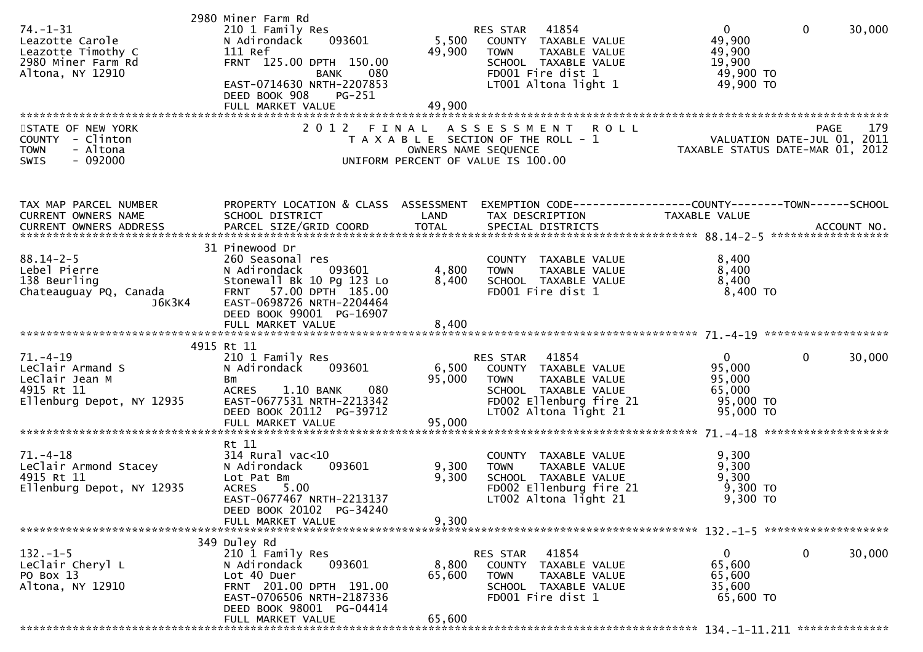| 74. –1–31<br>Leazotte Carole<br>Leazotte Timothy C<br>2980 Miner Farm Rd<br>Altona, NY 12910    | 2980 Miner Farm Rd<br>210 1 Family Res<br>093601<br>N Adirondack<br>111 Ref<br>FRNT 125.00 DPTH 150.00<br>BANK 080<br>EAST-0714630 NRTH-2207853<br>DEED BOOK 908<br>PG-251                        | 5,500<br>49,900           | RES STAR 41854<br>COUNTY TAXABLE VALUE<br><b>TOWN</b><br>TAXABLE VALUE<br>SCHOOL TAXABLE VALUE<br>FD001 Fire dist 1<br>LT001 Altona light 1          | $\overline{0}$<br>49,900<br>49,900<br>19,900<br>49,900 TO<br>49,900 TO                                          | $\mathbf{0}$<br>30,000 |
|-------------------------------------------------------------------------------------------------|---------------------------------------------------------------------------------------------------------------------------------------------------------------------------------------------------|---------------------------|------------------------------------------------------------------------------------------------------------------------------------------------------|-----------------------------------------------------------------------------------------------------------------|------------------------|
| STATE OF NEW YORK<br>COUNTY - Clinton<br>- Altona<br><b>TOWN</b><br>SWIS<br>$-092000$           |                                                                                                                                                                                                   | OWNERS NAME SEQUENCE      | 2012 FINAL ASSESSMENT ROLL<br>T A X A B L E SECTION OF THE ROLL - 1<br>UNIFORM PERCENT OF VALUE IS 100.00                                            | PAGE 179<br>VALUATION DATE-JUL 01, 2011<br>TAXARLE STATUS DATE WIE 21, 2011<br>TAXABLE STATUS DATE-MAR 01, 2012 |                        |
| TAX MAP PARCEL NUMBER<br>CURRENT OWNERS NAME                                                    | PROPERTY LOCATION & CLASS ASSESSMENT<br>SCHOOL DISTRICT                                                                                                                                           | LAND                      | EXEMPTION CODE------------------COUNTY--------TOWN------SCHOOL<br>TAX DESCRIPTION                                                                    | TAXABLE VALUE                                                                                                   |                        |
| $88.14 - 2 - 5$<br>Lebel Pierre<br>138 Beurling<br>euring<br>Chateauguay PQ, Canada<br>J6K3K4   | 31 Pinewood Dr<br>260 Seasonal res<br>N Adirondack<br>093601<br>Stonewall Bk 10 Pg 123 Lo<br>FRNT 57.00 DPTH 185.00<br>EAST-0698726 NRTH-2204464<br>DEED BOOK 99001 PG-16907<br>FULL MARKET VALUE | 4,800<br>8,400<br>8,400   | COUNTY TAXABLE VALUE<br><b>TOWN</b><br>TAXABLE VALUE<br>SCHOOL TAXABLE VALUE<br>FD001 Fire dist 1                                                    | 8,400<br>8,400<br>8,400<br>8,400 TO                                                                             |                        |
|                                                                                                 | 4915 Rt 11                                                                                                                                                                                        |                           |                                                                                                                                                      |                                                                                                                 |                        |
| $71. - 4 - 19$<br>LeClair Armand S<br>LeClair Jean M<br>4915 Rt 11<br>Ellenburg Depot, NY 12935 | 210 1 Family Res<br>N Adirondack<br>093601<br>Bm<br>080<br>ACRES 1.10 BANK<br>EAST-0677531 NRTH-2213342<br>DEED BOOK 20112 PG-39712                                                               | 6,500<br>95,000           | RES STAR 41854<br>COUNTY TAXABLE VALUE<br><b>TOWN</b><br>TAXABLE VALUE<br>SCHOOL TAXABLE VALUE<br>FD002 Ellenburg fire 21<br>$LT002$ Altona light 21 | $\mathbf{0}$<br>95,000<br>95,000<br>65,000<br>95,000 TO<br>95,000 TO                                            | $\mathbf{0}$<br>30,000 |
|                                                                                                 |                                                                                                                                                                                                   |                           |                                                                                                                                                      |                                                                                                                 |                        |
| $71. - 4 - 18$<br>LeClair Armond Stacey<br>4915 Rt 11<br>Ellenburg Depot, NY 12935              | Rt 11<br>$314$ Rural vac<10<br>093601<br>N Adirondack<br>Lot Pat Bm<br>5.00<br><b>ACRES</b><br>EAST-0677467 NRTH-2213137<br>DEED BOOK 20102 PG-34240                                              | 9,300<br>9,300            | COUNTY TAXABLE VALUE<br><b>TOWN</b><br>TAXABLE VALUE<br>SCHOOL TAXABLE VALUE<br>FD002 Ellenburg fire 21<br>LT002 Altona light 21                     | 9,300<br>9,300<br>9,300<br>9,300 TO<br>9,300 то                                                                 |                        |
|                                                                                                 | FULL MARKET VALUE                                                                                                                                                                                 | 9,300                     |                                                                                                                                                      |                                                                                                                 |                        |
| $132. - 1 - 5$<br>LeClair Cheryl L<br>PO Box 13<br>Altona, NY 12910                             | 349 Duley Rd<br>210 1 Family Res<br>N Adirondack<br>093601<br>Lot 40 Duer<br>FRNT 201.00 DPTH 191.00<br>EAST-0706506 NRTH-2187336<br>DEED BOOK 98001 PG-04414<br>FULL MARKET VALUE                | 8,800<br>65,600<br>65,600 | 41854<br><b>RES STAR</b><br>COUNTY TAXABLE VALUE<br><b>TOWN</b><br>TAXABLE VALUE<br>SCHOOL TAXABLE VALUE<br>FD001 Fire dist 1                        | 0<br>65,600<br>65,600<br>35,600<br>65,600 TO                                                                    | 0<br>30,000            |
|                                                                                                 |                                                                                                                                                                                                   |                           |                                                                                                                                                      |                                                                                                                 |                        |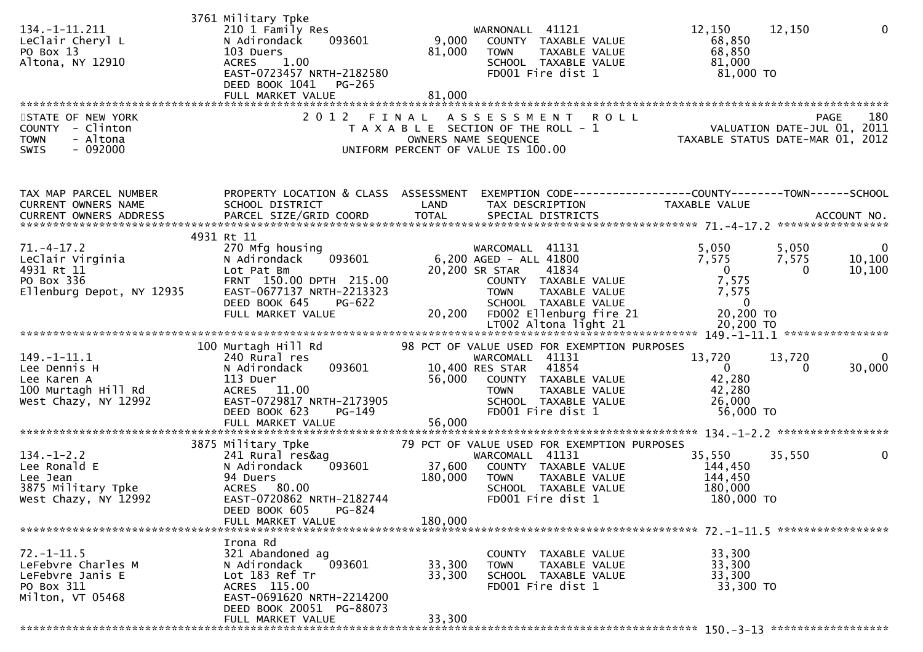|                                    | 3761 Military Tpke                   |         |                                             |                                                                                         |                         |
|------------------------------------|--------------------------------------|---------|---------------------------------------------|-----------------------------------------------------------------------------------------|-------------------------|
| 134. -1-11. 211                    | 210 1 Family Res                     |         | WARNONALL 41121                             | 12,150<br>12,150                                                                        | $\mathbf{0}$            |
| LeClair Cheryl L                   | N Adirondack<br>093601               | 9,000   | COUNTY TAXABLE VALUE                        | 68,850                                                                                  |                         |
| PO Box 13                          | 103 Duers                            | 81,000  | TAXABLE VALUE<br><b>TOWN</b>                | 68,850                                                                                  |                         |
|                                    | 1.00                                 |         |                                             | 81,000                                                                                  |                         |
| Altona, NY 12910                   | <b>ACRES</b>                         |         | SCHOOL TAXABLE VALUE                        |                                                                                         |                         |
|                                    | EAST-0723457 NRTH-2182580            |         | FD001 Fire dist 1                           | 81,000 TO                                                                               |                         |
|                                    | DEED BOOK 1041<br>PG-265             |         |                                             |                                                                                         |                         |
|                                    | FULL MARKET VALUE                    | 81,000  |                                             |                                                                                         |                         |
|                                    |                                      |         |                                             |                                                                                         |                         |
| STATE OF NEW YORK                  | 2 0 1 2                              | FINAL   | A S S E S S M E N T<br><b>ROLL</b>          | PAGE                                                                                    | 180                     |
| COUNTY - Clinton                   |                                      |         | T A X A B L E SECTION OF THE ROLL - 1       |                                                                                         |                         |
| - Altona<br><b>TOWN</b>            |                                      |         | OWNERS NAME SEQUENCE                        | PAGE 180<br>2011 - VALUATION DATE-JUL 01, 2011<br>2012 TAXABLE STATUS DATE-MAR 01, 2012 |                         |
| $-092000$<br><b>SWIS</b>           |                                      |         | UNIFORM PERCENT OF VALUE IS 100.00          |                                                                                         |                         |
|                                    |                                      |         |                                             |                                                                                         |                         |
|                                    |                                      |         |                                             |                                                                                         |                         |
|                                    |                                      |         |                                             |                                                                                         |                         |
| TAX MAP PARCEL NUMBER              | PROPERTY LOCATION & CLASS ASSESSMENT |         |                                             |                                                                                         |                         |
| CURRENT OWNERS NAME                | SCHOOL DISTRICT                      | LAND    | TAX DESCRIPTION                             | TAXABLE VALUE                                                                           |                         |
|                                    |                                      |         |                                             |                                                                                         |                         |
|                                    |                                      |         |                                             |                                                                                         |                         |
|                                    |                                      |         |                                             |                                                                                         |                         |
|                                    | 4931 Rt 11                           |         |                                             |                                                                                         |                         |
| $71. - 4 - 17.2$                   | 270 Mfg housing                      |         | WARCOMALL 41131                             | 5,050<br>5,050                                                                          | $\overline{\mathbf{0}}$ |
| LeClair Virginia                   | 093601<br>N Adirondack               |         | 6,200 AGED - ALL 41800                      | 7,575<br>7,575                                                                          | 10,100                  |
| 4931 Rt 11                         | Lot Pat Bm                           |         | 20,200 SR STAR<br>41834                     | $\overline{0}$<br>$\bf{0}$                                                              | 10,100                  |
| PO Box 336                         | FRNT 150.00 DPTH 215.00              |         | COUNTY TAXABLE VALUE                        | 7,575                                                                                   |                         |
| Ellenburg Depot, NY 12935          | EAST-0677137 NRTH-2213323            |         | <b>TOWN</b><br>TAXABLE VALUE                | 7,575                                                                                   |                         |
|                                    |                                      |         |                                             | $\overline{0}$                                                                          |                         |
|                                    | DEED BOOK 645<br>PG-622              |         | SCHOOL TAXABLE VALUE                        |                                                                                         |                         |
|                                    |                                      |         |                                             |                                                                                         |                         |
|                                    |                                      |         |                                             |                                                                                         |                         |
|                                    |                                      |         |                                             |                                                                                         |                         |
|                                    | 100 Murtagh Hill Rd                  |         | 98 PCT OF VALUE USED FOR EXEMPTION PURPOSES |                                                                                         |                         |
| $149. - 1 - 11.1$                  | 240 Rural res                        |         | WARCOMALL 41131                             | 13,720<br>13,720                                                                        | 0                       |
| Lee Dennis H                       | 093601<br>N Adirondack               |         | 10,400 RES STAR 41854                       | $\overline{0}$<br>0                                                                     | 30,000                  |
|                                    | 113 Duer                             | 56,000  | COUNTY TAXABLE VALUE                        | 42,280                                                                                  |                         |
| Lee Karen A<br>100 Murtagh Hill Rd |                                      |         |                                             |                                                                                         |                         |
|                                    | ACRES 11.00                          |         | <b>TOWN</b><br>TAXABLE VALUE                | 42,280                                                                                  |                         |
| West Chazy, NY 12992               | EAST-0729817 NRTH-2173905            |         | SCHOOL TAXABLE VALUE                        | 26,000                                                                                  |                         |
|                                    | DEED BOOK 623<br>PG-149              |         | FD001 Fire dist 1                           | 56,000 TO                                                                               |                         |
|                                    | FULL MARKET VALUE                    | 56,000  |                                             |                                                                                         |                         |
|                                    |                                      |         |                                             |                                                                                         |                         |
|                                    | 3875 Military Tpke                   |         | 79 PCT OF VALUE USED FOR EXEMPTION PURPOSES |                                                                                         |                         |
| $134. - 1 - 2.2$                   | 241 Rural res&ag                     |         | WARCOMALL 41131                             | 35,550<br>35,550                                                                        | 0                       |
| Lee Ronald E                       | N Adirondack<br>093601               | 37,600  | COUNTY TAXABLE VALUE                        | 144,450                                                                                 |                         |
|                                    |                                      |         |                                             |                                                                                         |                         |
| Lee Jean                           | 94 Duers                             | 180,000 | TAXABLE VALUE<br><b>TOWN</b>                | 144,450                                                                                 |                         |
| 3875 Military Tpke                 | ACRES 80.00                          |         | SCHOOL TAXABLE VALUE                        | 180,000                                                                                 |                         |
| West Chazy, NY 12992               | EAST-0720862 NRTH-2182744            |         | FD001 Fire dist 1                           | 180,000 TO                                                                              |                         |
|                                    | DEED BOOK 605<br>PG-824              |         |                                             |                                                                                         |                         |
|                                    | FULL MARKET VALUE                    | 180,000 |                                             |                                                                                         |                         |
|                                    |                                      |         |                                             |                                                                                         |                         |
|                                    | Irona Rd                             |         |                                             |                                                                                         |                         |
| $72. - 1 - 11.5$                   | 321 Abandoned ag                     |         | COUNTY TAXABLE VALUE                        | 33,300                                                                                  |                         |
|                                    |                                      |         |                                             |                                                                                         |                         |
| LeFebvre Charles M                 | N Adirondack<br>093601               | 33,300  | TAXABLE VALUE<br><b>TOWN</b>                | 33,300                                                                                  |                         |
| LeFebvre Janis E                   | Lot 183 Ref Tr                       | 33,300  | SCHOOL TAXABLE VALUE                        | 33,300                                                                                  |                         |
| PO Box 311                         | ACRES 115.00                         |         | FD001 Fire dist 1                           | 33,300 TO                                                                               |                         |
| Milton, VT 05468                   | EAST-0691620 NRTH-2214200            |         |                                             |                                                                                         |                         |
|                                    | DEED BOOK 20051 PG-88073             |         |                                             |                                                                                         |                         |
|                                    | FULL MARKET VALUE                    | 33,300  |                                             |                                                                                         |                         |
|                                    |                                      |         |                                             |                                                                                         |                         |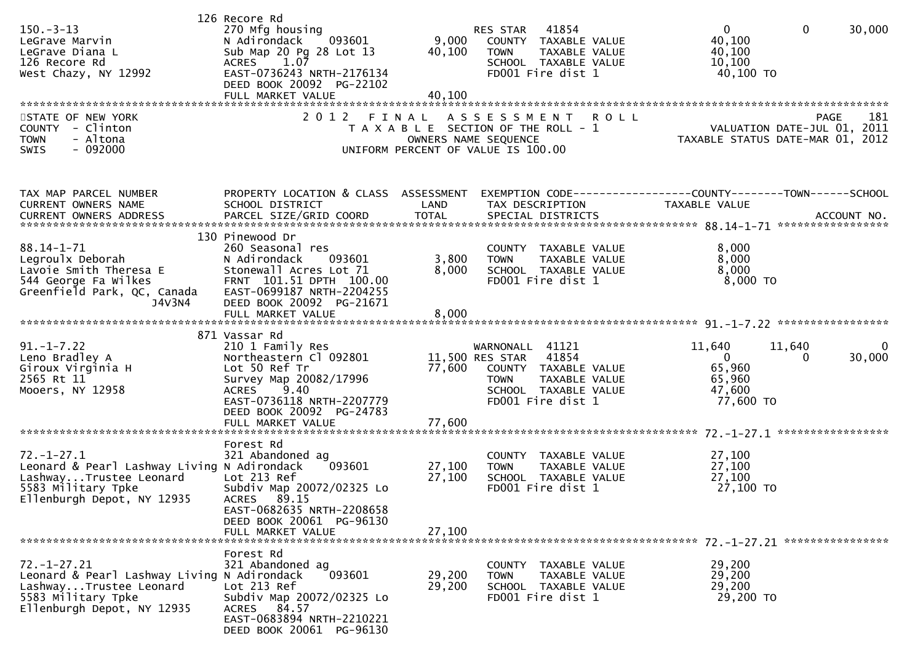| $150 - 3 - 13$<br>LeGrave Marvin<br>LeGrave Diana L<br>126 Recore Rd<br>West Chazy, NY 12992                                                                                                     | 126 Recore Rd<br>270 Mfg housing<br>093601<br>N Adirondack<br>Sub Map 20 Pg 28 Lot 13<br>1.07<br><b>ACRES</b><br>EAST-0736243 NRTH-2176134<br>DEED BOOK 20092 PG-22102<br>FULL MARKET VALUE                  | 40,100<br>40,100           | 41854<br>RES STAR<br>9,000 COUNTY TAXABLE VALUE<br>TAXABLE VALUE<br><b>TOWN</b><br>SCHOOL TAXABLE VALUE<br>FD001 Fire dist 1                            | $\Omega$<br>$\mathbf{0}$<br>30,000<br>40,100<br>40,100<br>10,100<br>40,100 TO                     |
|--------------------------------------------------------------------------------------------------------------------------------------------------------------------------------------------------|--------------------------------------------------------------------------------------------------------------------------------------------------------------------------------------------------------------|----------------------------|---------------------------------------------------------------------------------------------------------------------------------------------------------|---------------------------------------------------------------------------------------------------|
| STATE OF NEW YORK<br>COUNTY - Clinton<br>- Altona<br><b>TOWN</b><br>$-092000$<br>SWIS                                                                                                            | 2 0 1 2                                                                                                                                                                                                      | FINAL                      | ASSESSMENT ROLL<br>T A X A B L E SECTION OF THE ROLL - 1<br>OWNERS NAME SEQUENCE<br>UNIFORM PERCENT OF VALUE IS 100.00                                  | 181<br><b>PAGE</b><br>VALUATION DATE-JUL 01, 2011<br>TAXABLE STATUS DATE-MAR 01, 2012             |
| TAX MAP PARCEL NUMBER<br>CURRENT OWNERS NAME                                                                                                                                                     | PROPERTY LOCATION & CLASS ASSESSMENT<br>SCHOOL DISTRICT                                                                                                                                                      | LAND                       | TAX DESCRIPTION                                                                                                                                         | EXEMPTION CODE-----------------COUNTY-------TOWN------SCHOOL<br>TAXABLE VALUE                     |
| $88.14 - 1 - 71$<br>Legroulx Deborah<br>Lavoie Smith Theresa E<br>544 George Fa Wilkes<br>Greenfield Park, QC, Canada<br>J4V3N4                                                                  | 130 Pinewood Dr<br>260 Seasonal res<br>093601<br>N Adirondack<br>Stonewall Acres Lot 71<br>FRNT 101.51 DPTH 100.00<br>EAST-0699187 NRTH-2204255<br>DEED BOOK 20092 PG-21671                                  | 3,800<br>8,000             | COUNTY TAXABLE VALUE<br><b>TOWN</b><br>TAXABLE VALUE<br>SCHOOL TAXABLE VALUE<br>FD001 Fire dist 1                                                       | 8,000<br>8,000<br>8,000<br>$8,000$ TO                                                             |
| $91. - 1 - 7.22$<br>Leno Bradley A<br>Giroux Virginia H<br>2565 Rt 11<br>Mooers, NY 12958                                                                                                        | 871 Vassar Rd<br>210 1 Family Res<br>Northeastern Cl 092801<br>Lot 50 Ref Tr<br>Survey Map 20082/17996<br>9.40<br><b>ACRES</b><br>EAST-0736118 NRTH-2207779<br>DEED BOOK 20092 PG-24783<br>FULL MARKET VALUE | 77,600                     | WARNONALL 41121<br>11,500 RES STAR<br>41854<br>77,600 COUNTY TAXABLE VALUE<br>TAXABLE VALUE<br><b>TOWN</b><br>SCHOOL TAXABLE VALUE<br>FD001 Fire dist 1 | 11,640<br>11,640<br>0<br>30,000<br>$\overline{0}$<br>0<br>65,960<br>65,960<br>47,600<br>77,600 TO |
| $72. - 1 - 27.1$<br>Leonard & Pearl Lashway Living N Adirondack<br>LashwayTrustee Leonard Lot 213 Ref<br>Lashway<br>5583 Military Tpke<br>Tlanburgh Denot NY 12935<br>Ellenburgh Depot, NY 12935 | Forest Rd<br>321 Abandoned ag<br>093601<br>Subdiv Map 20072/02325 Lo<br>ACRES 89.15<br>EAST-0682635 NRTH-2208658<br>DEED BOOK 20061 PG-96130<br>FULL MARKET VALUE                                            | 27,100<br>27,100<br>27,100 | COUNTY TAXABLE VALUE<br>TAXABLE VALUE<br><b>TOWN</b><br>SCHOOL TAXABLE VALUE<br>FD001 Fire dist 1                                                       | 27,100<br>27,100<br>27,100<br>27,100 TO                                                           |
| $72. - 1 - 27.21$<br>Leonard & Pearl Lashway Living N Adirondack<br>LashwayTrustee Leonard<br>5583 Military Tpke<br>Ellenburgh Depot, NY 12935                                                   | Forest Rd<br>321 Abandoned ag<br>093601<br>Lot 213 Ref<br>Subdiv Map 20072/02325 Lo<br>ACRES 84.57<br>EAST-0683894 NRTH-2210221<br>DEED BOOK 20061 PG-96130                                                  | 29,200<br>29,200           | COUNTY TAXABLE VALUE<br>TAXABLE VALUE<br><b>TOWN</b><br>SCHOOL TAXABLE VALUE<br>FD001 Fire dist 1                                                       | 29,200<br>29,200<br>29,200<br>29,200 TO                                                           |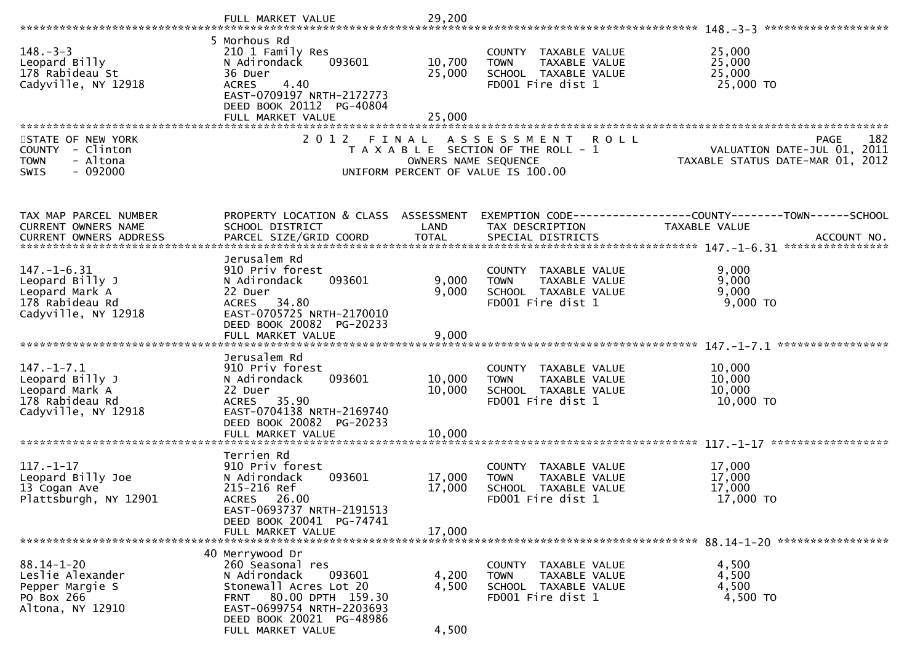|                                                                                                  | FULL MARKET VALUE                                                                                                                                                             | 29,200                        |                                                                                                                   |                                                                                                            |
|--------------------------------------------------------------------------------------------------|-------------------------------------------------------------------------------------------------------------------------------------------------------------------------------|-------------------------------|-------------------------------------------------------------------------------------------------------------------|------------------------------------------------------------------------------------------------------------|
|                                                                                                  |                                                                                                                                                                               |                               |                                                                                                                   |                                                                                                            |
| $148. - 3 - 3$<br>Leopard Billy<br>178 Rabideau St<br>Cadyville, NY 12918                        | 5 Morhous Rd<br>210 1 Family Res<br>093601<br>N Adirondack<br>36 Duer<br><b>ACRES</b><br>4.40<br>EAST-0709197 NRTH-2172773<br>DEED BOOK 20112 PG-40804                        | 10,700<br>25,000              | COUNTY TAXABLE VALUE<br><b>TOWN</b><br>TAXABLE VALUE<br>SCHOOL TAXABLE VALUE<br>FD001 Fire dist 1                 | 25,000<br>25,000<br>25,000<br>25,000 TO                                                                    |
|                                                                                                  | FULL MARKET VALUE                                                                                                                                                             | 25,000                        |                                                                                                                   |                                                                                                            |
| STATE OF NEW YORK<br>COUNTY - Clinton<br>- Altona<br><b>TOWN</b><br>$-092000$<br><b>SWIS</b>     | 2 0 1 2                                                                                                                                                                       | FINAL<br>OWNERS NAME SEQUENCE | A S S E S S M E N T<br><b>ROLL</b><br>T A X A B L E SECTION OF THE ROLL - 1<br>UNIFORM PERCENT OF VALUE IS 100.00 | PAGE 182<br>VALUATION DATE-JUL 01, 2011<br>TAXABLE STATUS DATE ::: - 2<br>TAXABLE STATUS DATE-MAR 01, 2012 |
| TAX MAP PARCEL NUMBER                                                                            | PROPERTY LOCATION & CLASS ASSESSMENT                                                                                                                                          |                               |                                                                                                                   | EXEMPTION CODE------------------COUNTY--------TOWN------SCHOOL                                             |
| CURRENT OWNERS NAME                                                                              | SCHOOL DISTRICT                                                                                                                                                               | LAND                          | TAX DESCRIPTION                                                                                                   | TAXABLE VALUE                                                                                              |
| <b>CURRENT OWNERS ADDRESS</b>                                                                    | PARCEL SIZE/GRID COORD                                                                                                                                                        | <b>TOTAL</b>                  | SPECIAL DISTRICTS                                                                                                 | ACCOUNT NO.                                                                                                |
| $147. - 1 - 6.31$<br>Leopard Billy J<br>Leopard Mark A<br>178 Rabideau Rd<br>Cadyville, NY 12918 | Jerusalem Rd<br>910 Priv forest<br>N Adirondack<br>093601<br>22 Duer<br>34.80<br><b>ACRES</b><br>EAST-0705725 NRTH-2170010<br>DEED BOOK 20082 PG-20233<br>FULL MARKET VALUE   | 9,000<br>9,000<br>9,000       | COUNTY TAXABLE VALUE<br><b>TOWN</b><br>TAXABLE VALUE<br>SCHOOL TAXABLE VALUE<br>FD001 Fire dist 1                 | 9,000<br>9,000<br>9,000<br>$9,000$ TO                                                                      |
|                                                                                                  | Jerusalem Rd                                                                                                                                                                  |                               |                                                                                                                   |                                                                                                            |
| $147. - 1 - 7.1$<br>Leopard Billy J<br>Leopard Mark A<br>178 Rabideau Rd<br>Cadyville, NY 12918  | 910 Priv forest<br>N Adirondack<br>093601<br>22 Duer<br>ACRES 35.90<br>EAST-0704138 NRTH-2169740<br>DEED BOOK 20082 PG-20233<br>FULL MARKET VALUE                             | 10,000<br>10,000<br>10,000    | COUNTY TAXABLE VALUE<br>TAXABLE VALUE<br><b>TOWN</b><br>SCHOOL TAXABLE VALUE<br>FD001 Fire dist 1                 | 10,000<br>10,000<br>10,000<br>10,000 TO                                                                    |
|                                                                                                  |                                                                                                                                                                               |                               |                                                                                                                   |                                                                                                            |
| $117. - 1 - 17$<br>Leopard Billy Joe<br>13 Cogan Ave<br>Plattsburgh, NY 12901                    | Terrien Rd<br>910 Priv forest<br>N Adirondack<br>093601<br>215-216 Ref<br>ACRES 26.00<br>EAST-0693737 NRTH-2191513<br>DEED BOOK 20041 PG-74741                                | 17,000<br>17,000              | COUNTY TAXABLE VALUE<br>TAXABLE VALUE<br><b>TOWN</b><br>SCHOOL TAXABLE VALUE<br>FD001 Fire dist 1                 | 17,000<br>17,000<br>17,000<br>17,000 TO                                                                    |
|                                                                                                  | FULL MARKET VALUE                                                                                                                                                             | 17,000                        |                                                                                                                   |                                                                                                            |
| $88.14 - 1 - 20$<br>Leslie Alexander<br>Pepper Margie S<br>PO Box 266<br>Altona, NY 12910        | 40 Merrywood Dr<br>260 Seasonal res<br>093601<br>N Adirondack<br>Stonewall Acres Lot 20<br>80.00 DPTH 159.30<br>FRNT<br>EAST-0699754 NRTH-2203693<br>DEED BOOK 20021 PG-48986 | 4,200<br>4,500                | COUNTY TAXABLE VALUE<br>TAXABLE VALUE<br><b>TOWN</b><br>SCHOOL TAXABLE VALUE<br>FD001 Fire dist 1                 | 4,500<br>4,500<br>4,500<br>4,500 TO                                                                        |
|                                                                                                  | FULL MARKET VALUE                                                                                                                                                             | 4,500                         |                                                                                                                   |                                                                                                            |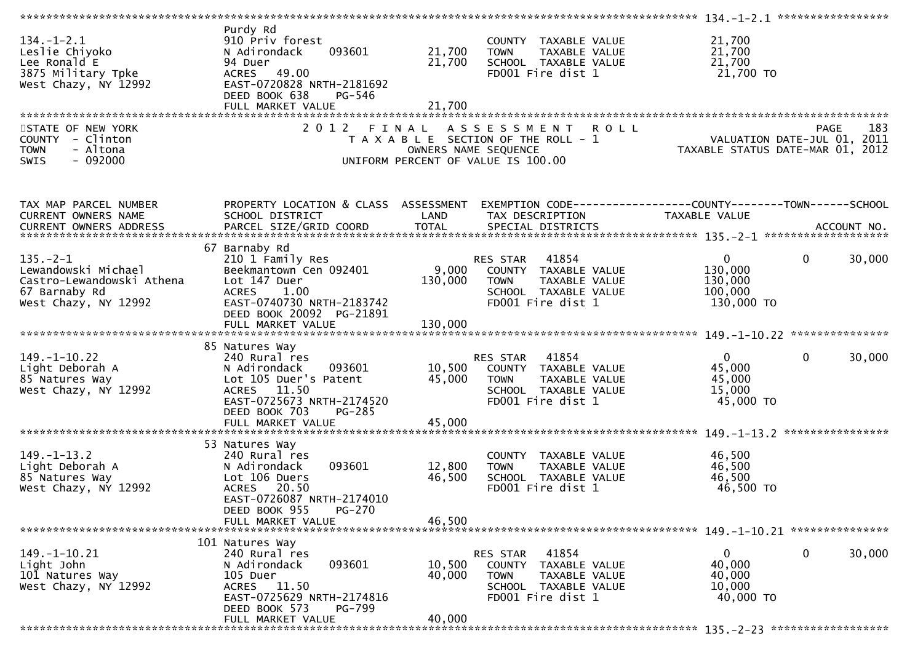| $134. - 1 - 2.1$<br>Leslie Chiyoko<br>Lee Ronald E<br>3875 Military Tpke<br>West Chazy, NY 12992            | Purdy Rd<br>910 Priv forest<br>093601<br>N Adirondack<br>94 Duer<br>49.00<br><b>ACRES</b><br>EAST-0720828 NRTH-2181692<br>DEED BOOK 638<br>PG-546<br>FULL MARKET VALUE           | 21,700<br>21,700<br>21,700    | COUNTY TAXABLE VALUE<br><b>TOWN</b><br>TAXABLE VALUE<br>SCHOOL TAXABLE VALUE<br>FD001 Fire dist 1                             | 21,700<br>21,700<br>21,700<br>21,700 TO                                               |     |
|-------------------------------------------------------------------------------------------------------------|----------------------------------------------------------------------------------------------------------------------------------------------------------------------------------|-------------------------------|-------------------------------------------------------------------------------------------------------------------------------|---------------------------------------------------------------------------------------|-----|
| STATE OF NEW YORK<br>COUNTY - Clinton<br><b>TOWN</b><br>- Altona<br>SWIS<br>$-092000$                       | 2 0 1 2                                                                                                                                                                          | FINAL<br>OWNERS NAME SEQUENCE | A S S E S S M E N T<br><b>ROLL</b><br>T A X A B L E SECTION OF THE ROLL - 1<br>UNIFORM PERCENT OF VALUE IS 100.00             | PAGE<br>VALUATION DATE-JUL 01, 2011<br>TAXABLE STATUS DATE-MAR 01, 2012               | 183 |
| TAX MAP PARCEL NUMBER<br>CURRENT OWNERS NAME                                                                | PROPERTY LOCATION & CLASS ASSESSMENT<br>SCHOOL DISTRICT                                                                                                                          | LAND                          | TAX DESCRIPTION                                                                                                               | EXEMPTION CODE------------------COUNTY--------TOWN------SCHOOL<br>TAXABLE VALUE       |     |
| $135. - 2 - 1$<br>Lewandowski Michael<br>Castro-Lewandowski Athena<br>67 Barnaby Rd<br>West Chazy, NY 12992 | 67 Barnaby Rd<br>210 1 Family Res<br>Beekmantown Cen 092401<br>Lot 147 Duer<br>1.00<br><b>ACRES</b><br>EAST-0740730 NRTH-2183742<br>DEED BOOK 20092 PG-21891                     | 9,000<br>130,000              | 41854<br>RES STAR<br>COUNTY TAXABLE VALUE<br>TAXABLE VALUE<br><b>TOWN</b><br>SCHOOL TAXABLE VALUE<br>FD001 Fire dist 1        | 30,000<br>$\mathbf{0}$<br>$\mathbf{0}$<br>130,000<br>130,000<br>100,000<br>130,000 TO |     |
| $149. - 1 - 10.22$<br>Light Deborah A<br>85 Natures Way<br>West Chazy, NY 12992                             | 85 Natures Way<br>240 Rural res<br>N Adirondack<br>093601<br>Lot 105 Duer's Patent<br>ACRES 11.50<br>EAST-0725673 NRTH-2174520<br>DEED BOOK 703<br>PG-285<br>FULL MARKET VALUE   | 45,000<br>45,000              | 41854<br>RES STAR<br>10,500 COUNTY TAXABLE VALUE<br><b>TOWN</b><br>TAXABLE VALUE<br>SCHOOL TAXABLE VALUE<br>FD001 Fire dist 1 | $\mathbf 0$<br>$\mathbf{0}$<br>30,000<br>45,000<br>45,000<br>15,000<br>45,000 TO      |     |
| $149. - 1 - 13.2$<br>Light Deborah A<br>85 Natures Way<br>West Chazy, NY 12992                              | 53 Natures Way<br>240 Rural res<br>N Adirondack<br>093601<br>Lot 106 Duers<br><b>ACRES</b><br>20.50<br>EAST-0726087 NRTH-2174010<br>PG-270<br>DEED BOOK 955<br>FULL MARKET VALUE | 12,800<br>46,500<br>46,500    | COUNTY TAXABLE VALUE<br>TAXABLE VALUE<br><b>TOWN</b><br>SCHOOL TAXABLE VALUE<br>FD001 Fire dist 1                             | 46,500<br>46,500<br>46,500<br>46,500 TO                                               |     |
| 149. –1–10.21<br>Light John<br>101 Natures Way<br>West Chazy, NY 12992                                      | 101 Natures Way<br>240 Rural res<br>N Adirondack<br>093601<br>105 Duer<br>ACRES 11.50<br>EAST-0725629 NRTH-2174816<br>DEED BOOK 573<br>PG-799<br>FULL MARKET VALUE               | 10,500<br>40,000<br>40,000    | 41854<br>RES STAR<br>COUNTY TAXABLE VALUE<br><b>TOWN</b><br>TAXABLE VALUE<br>SCHOOL TAXABLE VALUE<br>FD001 Fire dist 1        | 0<br>0<br>30,000<br>40,000<br>40,000<br>10,000<br>40,000 TO                           |     |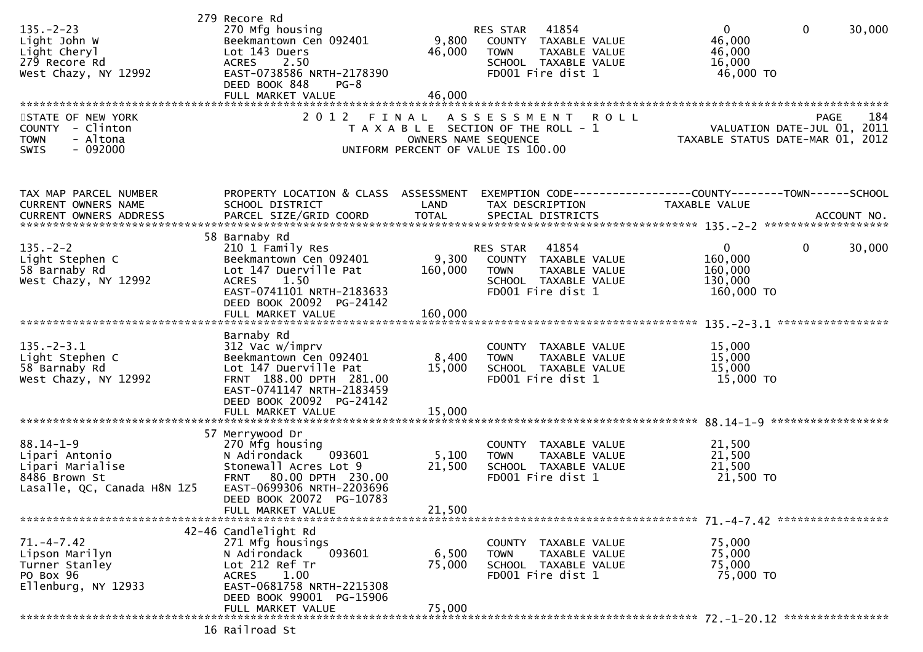| $135. -2 - 23$<br>Light John W<br>Light Cheryl<br>279 Recore Rd<br>West Chazy, NY 12992                | 279 Recore Rd<br>270 Mfg housing<br>Beekmantown Cen 092401<br>Lot 143 Duers<br><b>ACRES</b><br>2.50<br>EAST-0738586 NRTH-2178390<br>DEED BOOK 848<br>$PG-8$<br>FULL MARKET VALUE                        | 9,800<br>46,000<br>46,000 | 41854<br>RES STAR<br>COUNTY TAXABLE VALUE<br>TAXABLE VALUE<br><b>TOWN</b><br>SCHOOL TAXABLE VALUE<br>FD001 Fire dist 1           | $\Omega$<br>$\mathbf{0}$<br>46,000<br>46,000<br>16,000<br>46,000 TO           | 30,000 |
|--------------------------------------------------------------------------------------------------------|---------------------------------------------------------------------------------------------------------------------------------------------------------------------------------------------------------|---------------------------|----------------------------------------------------------------------------------------------------------------------------------|-------------------------------------------------------------------------------|--------|
| STATE OF NEW YORK<br>- Clinton<br><b>COUNTY</b><br>- Altona<br><b>TOWN</b><br>$-092000$<br><b>SWIS</b> | 2 0 1 2                                                                                                                                                                                                 | FINAL                     | ASSESSMENT<br><b>ROLL</b><br>T A X A B L E SECTION OF THE ROLL - 1<br>OWNERS NAME SEQUENCE<br>UNIFORM PERCENT OF VALUE IS 100.00 | PAGE<br>VALUATION DATE-JUL 01, 2011<br>TAXABLE STATUS DATE-MAR 01, 2012       | 184    |
| TAX MAP PARCEL NUMBER<br>CURRENT OWNERS NAME<br><b>CURRENT OWNERS ADDRESS</b>                          | PROPERTY LOCATION & CLASS ASSESSMENT<br>SCHOOL DISTRICT                                                                                                                                                 | LAND                      | TAX DESCRIPTION                                                                                                                  | EXEMPTION CODE-----------------COUNTY-------TOWN------SCHOOL<br>TAXABLE VALUE |        |
| $135. - 2 - 2$<br>Light Stephen C<br>58 Barnaby Rd<br>West Chazy, NY 12992                             | 58 Barnaby Rd<br>210 1 Family Res<br>Beekmantown Cen 092401<br>Lot 147 Duerville Pat<br>1.50<br><b>ACRES</b><br>EAST-0741101 NRTH-2183633<br>DEED BOOK 20092 PG-24142                                   | 9,300<br>160,000          | 41854<br>RES STAR<br>COUNTY TAXABLE VALUE<br>TAXABLE VALUE<br><b>TOWN</b><br>SCHOOL TAXABLE VALUE<br>FD001 Fire dist 1           | 0<br>$\mathbf{0}$<br>160,000<br>160,000<br>130,000<br>160,000 TO              | 30,000 |
| $135. - 2 - 3.1$<br>Light Stephen C<br>58 Barnaby Rd<br>West Chazy, NY 12992                           | Barnaby Rd<br>312 Vac w/imprv<br>Beekmantown Cen 092401<br>Lot 147 Duerville Pat<br>FRNT 188.00 DPTH 281.00<br>EAST-0741147 NRTH-2183459<br>DEED BOOK 20092 PG-24142<br>FULL MARKET VALUE               | 8,400<br>15,000<br>15,000 | COUNTY TAXABLE VALUE<br><b>TOWN</b><br>TAXABLE VALUE<br>SCHOOL TAXABLE VALUE<br>FD001 Fire dist 1                                | 15,000<br>15,000<br>15,000<br>15,000 TO                                       |        |
| $88.14 - 1 - 9$<br>Lipari Antonio<br>Lipari Marialise<br>8486 Brown St<br>Lasalle, QC, Canada H8N 1Z5  | 57 Merrywood Dr<br>270 Mfg housing<br>093601<br>N Adirondack<br>Stonewall Acres Lot 9<br>80.00 DPTH 230.00<br><b>FRNT</b><br>EAST-0699306 NRTH-2203696<br>DEED BOOK 20072 PG-10783<br>FULL MARKET VALUE | 5,100<br>21,500<br>21,500 | COUNTY TAXABLE VALUE<br>TAXABLE VALUE<br><b>TOWN</b><br>SCHOOL TAXABLE VALUE<br>FD001 Fire dist 1                                | 21,500<br>21,500<br>21,500<br>21,500 TO                                       |        |
| $71. -4 - 7.42$<br>Lipson Marilyn<br>Turner Stanley<br>PO Box 96<br>Ellenburg, NY 12933                | 42-46 Candlelight Rd<br>271 Mfg housings<br>093601<br>N Adirondack<br>Lot 212 Ref Tr<br>1.00<br><b>ACRES</b><br>EAST-0681758 NRTH-2215308<br>DEED BOOK 99001 PG-15906<br>FULL MARKET VALUE              | 6,500<br>75,000<br>75,000 | COUNTY TAXABLE VALUE<br>TAXABLE VALUE<br><b>TOWN</b><br>SCHOOL TAXABLE VALUE<br>FD001 Fire dist 1                                | 75,000<br>75,000<br>75,000<br>75,000 TO                                       |        |
|                                                                                                        | 16 Railroad St                                                                                                                                                                                          |                           |                                                                                                                                  |                                                                               |        |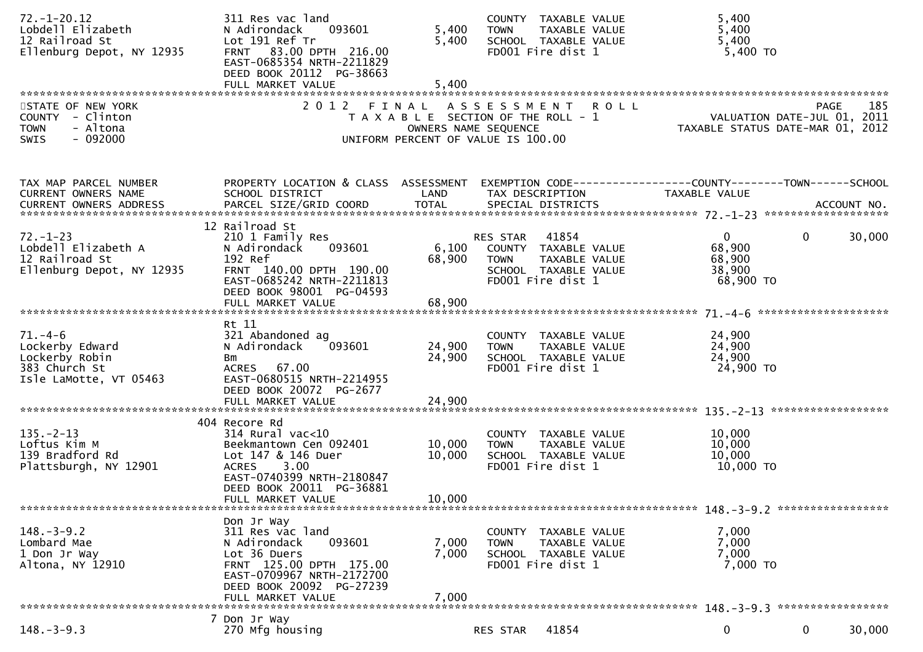| $72. - 1 - 20.12$<br>Lobdell Elizabeth<br>12 Railroad St<br>Ellenburg Depot, NY 12935         | 311 Res vac land<br>N Adirondack<br>093601<br>Lot 191 Ref Tr<br>FRNT 83.00 DPTH 216.00<br>EAST-0685354 NRTH-2211829<br>DEED BOOK 20112 PG-38663<br>FULL MARKET VALUE                         | 5,400<br>5,400<br>5,400    | COUNTY TAXABLE VALUE<br>TAXABLE VALUE<br><b>TOWN</b><br>SCHOOL TAXABLE VALUE<br>FD001 Fire dist 1                                 | 5,400<br>5,400<br>5,400<br>$5,400$ TO                                                                             |
|-----------------------------------------------------------------------------------------------|----------------------------------------------------------------------------------------------------------------------------------------------------------------------------------------------|----------------------------|-----------------------------------------------------------------------------------------------------------------------------------|-------------------------------------------------------------------------------------------------------------------|
| STATE OF NEW YORK<br>COUNTY - Clinton<br><b>TOWN</b><br>- Altona<br>$-092000$<br><b>SWIS</b>  |                                                                                                                                                                                              |                            | 2012 FINAL ASSESSMENT ROLL<br>T A X A B L E SECTION OF THE ROLL - 1<br>OWNERS NAME SEQUENCE<br>UNIFORM PERCENT OF VALUE IS 100.00 | 185<br>PAGE<br>کند.<br>101, VALUATION DATE-JUL 01, 2011<br>2012, TAXABLE STATUS DATE-MAR 01                       |
| TAX MAP PARCEL NUMBER<br>CURRENT OWNERS NAME                                                  | SCHOOL DISTRICT                                                                                                                                                                              | LAND                       | TAX DESCRIPTION                                                                                                                   | PROPERTY LOCATION & CLASS ASSESSMENT EXEMPTION CODE----------------COUNTY-------TOWN------SCHOOL<br>TAXABLE VALUE |
| $72. - 1 - 23$<br>Lobdell Elizabeth A<br>12 Railroad St<br>Ellenburg Depot, NY 12935          | 12 Railroad St<br>210 1 Family Res<br>093601<br>N Adirondack<br>192 Ref<br>FRNT 140.00 DPTH 190.00<br>EAST-0685242 NRTH-2211813<br>DEED BOOK 98001 PG-04593<br>FULL MARKET VALUE             | 68,900<br>68,900           | RES STAR 41854<br>6,100 COUNTY TAXABLE VALUE<br>TAXABLE VALUE<br><b>TOWN</b><br>SCHOOL TAXABLE VALUE<br>FD001 Fire dist 1         | $\overline{0}$<br>$\overline{0}$<br>30,000<br>68,900<br>68,900<br>38,900<br>68,900 TO                             |
| $71. - 4 - 6$<br>Lockerby Edward<br>Lockerby Robin<br>383 Church St<br>Isle LaMotte, VT 05463 | Rt 11<br>321 Abandoned ag<br>093601<br>N Adirondack<br>Bm<br>ACRES 67.00<br>EAST-0680515 NRTH-2214955<br>DEED BOOK 20072 PG-2677<br>FULL MARKET VALUE                                        | 24,900<br>24,900<br>24,900 | COUNTY TAXABLE VALUE<br>TAXABLE VALUE<br><b>TOWN</b><br>SCHOOL TAXABLE VALUE<br>FD001 Fire dist 1                                 | 24,900<br>24,900<br>24,900<br>24,900 TO                                                                           |
| $135. - 2 - 13$<br>Loftus Kim M<br>139 Bradford Rd<br>Plattsburgh, NY 12901                   | 404 Recore Rd<br>$314$ Rural vac< $10$<br>Beekmantown Cen 092401<br>Lot 147 & 146 Duer<br>3.00<br><b>ACRES</b><br>EAST-0740399 NRTH-2180847<br>DEED BOOK 20011 PG-36881<br>FULL MARKET VALUE | 10,000<br>10,000<br>10,000 | COUNTY TAXABLE VALUE<br>TAXABLE VALUE<br><b>TOWN</b><br>SCHOOL TAXABLE VALUE<br>FD001 Fire dist 1                                 | 10,000<br>10,000<br>10,000<br>10,000 TO                                                                           |
| $148. - 3 - 9.2$<br>Lombard Mae<br>1 Don Jr Way<br>Altona, NY 12910                           | Don Jr Way<br>311 Res vac land<br>093601<br>N Adirondack<br>Lot 36 Duers<br>FRNT 125.00 DPTH 175.00<br>EAST-0709967 NRTH-2172700<br>DEED BOOK 20092 PG-27239<br>FULL MARKET VALUE            | 7,000<br>7,000<br>7,000    | COUNTY TAXABLE VALUE<br><b>TOWN</b><br>TAXABLE VALUE<br>SCHOOL TAXABLE VALUE<br>FD001 Fire dist 1                                 | 7,000<br>7,000<br>7,000<br>7,000 TO                                                                               |
| $148. - 3 - 9.3$                                                                              | 7 Don Jr Way<br>270 Mfg housing                                                                                                                                                              |                            | 41854<br>RES STAR                                                                                                                 | $\mathbf 0$<br>30,000<br>$\mathbf{0}$                                                                             |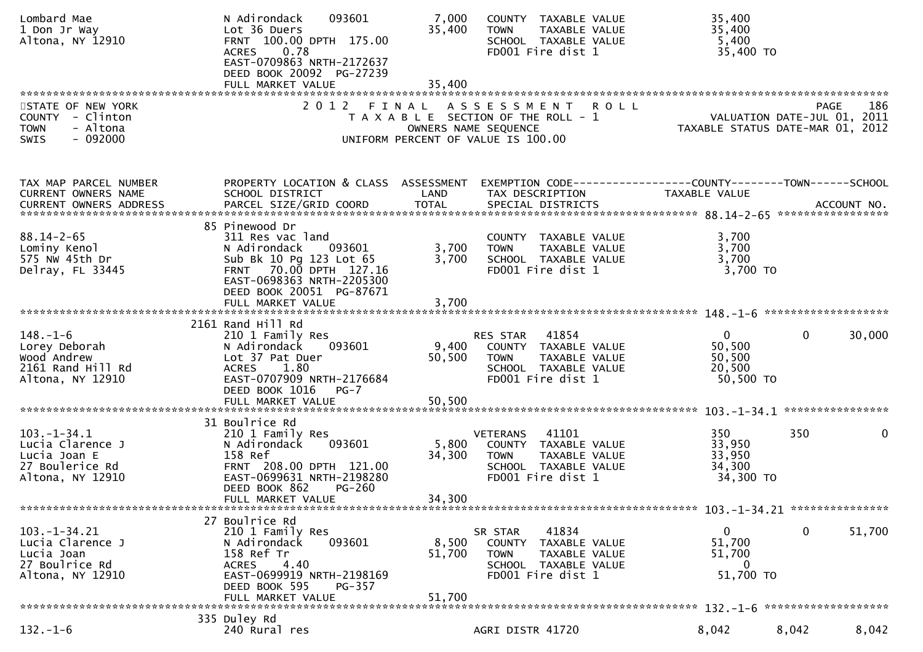| Lombard Mae<br>1 Don Jr Way<br>Altona, NY 12910                                              | 093601<br>N Adirondack<br>Lot 36 Duers<br>FRNT 100.00 DPTH 175.00<br>0.78<br><b>ACRES</b><br>EAST-0709863 NRTH-2172637<br>DEED BOOK 20092 PG-27239                                           | 7,000<br>35,400           | COUNTY TAXABLE VALUE<br>TAXABLE VALUE<br><b>TOWN</b><br>SCHOOL TAXABLE VALUE<br>FD001 Fire dist 1                             | 35,400<br>35,400<br>5,400<br>35,400 TO                        |                                            |
|----------------------------------------------------------------------------------------------|----------------------------------------------------------------------------------------------------------------------------------------------------------------------------------------------|---------------------------|-------------------------------------------------------------------------------------------------------------------------------|---------------------------------------------------------------|--------------------------------------------|
| STATE OF NEW YORK<br>COUNTY - Clinton<br>- Altona<br><b>TOWN</b><br>$-092000$<br><b>SWIS</b> | 2012 FINAL                                                                                                                                                                                   | OWNERS NAME SEQUENCE      | ASSESSMENT ROLL<br>T A X A B L E SECTION OF THE ROLL - 1<br>UNIFORM PERCENT OF VALUE IS 100.00                                | VALUATION DATE-MAR 01, 2012                                   | 186<br>PAGE<br>VALUATION DATE-JUL 01, 2011 |
| TAX MAP PARCEL NUMBER<br>CURRENT OWNERS NAME                                                 | SCHOOL DISTRICT                                                                                                                                                                              | LAND                      | PROPERTY LOCATION & CLASS ASSESSMENT EXEMPTION CODE----------------COUNTY-------TOWN------SCHOOL<br>TAX DESCRIPTION           | TAXABLE VALUE                                                 |                                            |
| $88.14 - 2 - 65$<br>Lominy Kenol<br>575 Nw 45th Dr<br>Delray, FL 33445                       | 85 Pinewood Dr<br>311 Res vac land<br>N Adirondack 093601<br>Sub Bk 10 Pg 123 Lot 65<br>FRNT 70.00 DPTH 127.16<br>EAST-0698363 NRTH-2205300<br>DEED BOOK 20051 PG-87671<br>FULL MARKET VALUE | 3,700<br>3,700<br>3,700   | COUNTY TAXABLE VALUE<br><b>TOWN</b><br>TAXABLE VALUE<br>SCHOOL TAXABLE VALUE<br>FD001 Fire dist 1                             | 3,700<br>3,700<br>3,700<br>3,700 TO                           |                                            |
| $148. - 1 - 6$<br>Lorey Deborah<br>Wood Andrew<br>2161 Rand Hill Rd<br>Altona, NY 12910      | 2161 Rand Hill Rd<br>210 1 Family Res<br>N Adirondack<br>093601<br>Lot 37 Pat Duer<br>ACRES 1.80<br>EAST-0707909 NRTH-2176684<br>DEED BOOK 1016<br>$PG-7$                                    | 9,400<br>50,500           | RES STAR 41854<br>COUNTY TAXABLE VALUE<br><b>TOWN</b><br>TAXABLE VALUE<br>SCHOOL TAXABLE VALUE<br>FD001 Fire dist 1           | $\overline{0}$<br>50,500<br>50,500<br>20,500<br>50,500 TO     | 30,000<br>$\mathbf{0}$                     |
| $103 - 1 - 34.1$<br>Lucia Clarence J<br>Lucia Joan E<br>27 Boulerice Rd<br>Altona, NY 12910  | 31 Boulrice Rd<br>210 1 Family Res<br>093601<br>N Adirondack<br>158 Ref<br>FRNT 208.00 DPTH 121.00<br>EAST-0699631 NRTH-2198280<br>DEED BOOK 862<br>$PG-260$<br>FULL MARKET VALUE            | 5,800<br>34,300<br>34,300 | <b>VETERANS</b><br>41101<br>COUNTY TAXABLE VALUE<br><b>TOWN</b><br>TAXABLE VALUE<br>SCHOOL TAXABLE VALUE<br>FD001 Fire dist 1 | 350<br>33,950<br>33,950<br>34,300<br>34,300 TO                | 350<br>0                                   |
| $103. - 1 - 34.21$<br>Lucia Clarence J<br>Lucia Joan<br>27 Boulrice Rd<br>Altona, NY 12910   | 27 Boulrice Rd<br>210 1 Family Res<br>093601<br>N Adirondack<br>158 Ref Tr<br>4.40<br><b>ACRES</b><br>EAST-0699919 NRTH-2198169<br>DEED BOOK 595<br>PG-357<br>FULL MARKET VALUE              | 8,500<br>51,700<br>51,700 | 41834<br>SR STAR<br>COUNTY TAXABLE VALUE<br><b>TOWN</b><br>TAXABLE VALUE<br>SCHOOL TAXABLE VALUE<br>FD001 Fire dist 1         | $\mathbf{0}$<br>51,700<br>51,700<br>$\mathbf{0}$<br>51,700 TO | 0<br>51,700                                |
| $132. - 1 - 6$                                                                               | 335 Duley Rd<br>240 Rural res                                                                                                                                                                |                           | AGRI DISTR 41720                                                                                                              | 8,042                                                         | 8,042<br>8,042                             |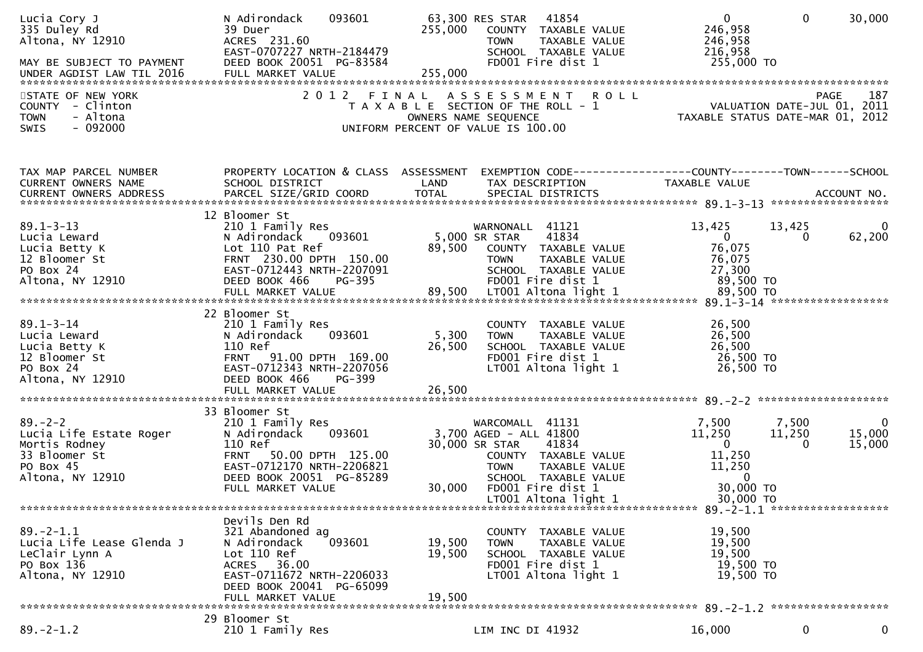| Lucia Cory J<br>335 Duley Rd<br>Altona, NY 12910                                                                              | N Adirondack<br>093601<br>39 Duer<br>ACRES 231.60<br>EAST-0707227 NRTH-2184479                                                                                                           | 63,300 RES STAR 41854<br>255,000<br>COUNTY TAXABLE VALUE<br><b>TOWN</b><br>TAXABLE VALUE<br>SCHOOL TAXABLE VALUE                                                                                            | $\mathbf 0$<br>$\mathbf{0}$<br>30,000<br>246,958<br>246,958<br>216,958                                                                                                           |             |
|-------------------------------------------------------------------------------------------------------------------------------|------------------------------------------------------------------------------------------------------------------------------------------------------------------------------------------|-------------------------------------------------------------------------------------------------------------------------------------------------------------------------------------------------------------|----------------------------------------------------------------------------------------------------------------------------------------------------------------------------------|-------------|
| STATE OF NEW YORK<br>COUNTY - Clinton<br>- Altona<br><b>TOWN</b><br>$-092000$<br><b>SWIS</b>                                  |                                                                                                                                                                                          | 2012 FINAL ASSESSMENT ROLL<br>T A X A B L E SECTION OF THE ROLL - 1<br>OWNERS NAME SEQUENCE<br>UNIFORM PERCENT OF VALUE IS 100.00                                                                           | PAGE<br>VALUATION DATE-JUL 01, 2011<br>TAXABLE STATUS DATE-MAR 01, 2012                                                                                                          | 187         |
| TAX MAP PARCEL NUMBER<br>CURRENT OWNERS NAME                                                                                  | PROPERTY LOCATION & CLASS ASSESSMENT<br>SCHOOL DISTRICT                                                                                                                                  | LAND<br>TAX DESCRIPTION                                                                                                                                                                                     | EXEMPTION CODE------------------COUNTY--------TOWN------SCHOOL<br>TAXABLE VALUE<br>CURRENT OWNERS ADDRESS PARCEL SIZE/GRID COORD TOTAL SPECIAL DISTRICTS (2011) 2014 ACCOUNT NO. |             |
| $89.1 - 3 - 13$<br>Lucia Leward<br>Lucia Betty K<br>12 Bloomer St<br>PO Box 24<br>Altona, NY 12910                            | 12 Bloomer St<br>210 1 Family Res<br>093601<br>N Adirondack<br>Lot 110 Pat Ref<br>FRNT 230.00 DPTH 150.00<br>EAST-0712443 NRTH-2207091<br>DEED BOOK 466<br>PG-395                        | WARNONALL 41121<br>5,000 SR STAR<br>41834<br>89,500 COUNTY TAXABLE VALUE<br><b>TOWN</b><br>TAXABLE VALUE<br>SCHOOL TAXABLE VALUE<br>FD001 Fire dist 1                                                       | 13,425<br>13,425<br>62,200<br>$\mathbf{0}$<br>$\mathbf{0}$<br>76,075<br>76,075<br>27,300<br>89,500 TO                                                                            | 0           |
| $89.1 - 3 - 14$<br>$\frac{1}{f}$ K<br>r St<br>Lucia Leward<br>Lucia Betty K<br>12 Bloomer St<br>PO Box 24<br>Altona, NY 12910 | 22 Bloomer St<br>210 1 Family Res<br>093601<br>N Adirondack<br>110 Ref<br>FRNT 91.00 DPTH 169.00<br>EAST-0712343 NRTH-2207056<br>DEED BOOK 466<br>PG-399                                 | COUNTY TAXABLE VALUE<br>5,300<br><b>TOWN</b><br>TAXABLE VALUE<br>26,500<br>SCHOOL TAXABLE VALUE<br>FD001 Fire dist 1<br>LT001 Altona light 1                                                                | 26,500<br>26,500<br>26,500<br>26,500 TO<br>26,500 TO                                                                                                                             |             |
| $89. - 2 - 2$<br>Lucia Life Estate Roger<br>Mortis Rodney<br>33 Bloomer St<br>PO Box 45<br>Altona, NY 12910                   | 33 Bloomer St<br>210 1 Family Res<br>093601<br>N Adirondack<br>110 Ref<br>50.00 DPTH 125.00<br><b>FRNT</b><br>EAST-0712170 NRTH-2206821<br>DEED BOOK 20051 PG-85289<br>FULL MARKET VALUE | WARCOMALL 41131<br>3,700 AGED - ALL 41800<br>30,000 SR STAR<br>41834<br>COUNTY TAXABLE VALUE<br><b>TOWN</b><br>TAXABLE VALUE<br>SCHOOL TAXABLE VALUE<br>30,000<br>FD001 Fire dist 1<br>LT001 Altona light 1 | 7,500<br>7,500<br>11,250<br>11,250<br>15,000<br>$\overline{0}$<br>15,000<br>$\Omega$<br>11,250<br>11,250<br>$\overline{0}$<br>30,000 TO<br>30,000 TO                             | 0           |
| $89. - 2 - 1.1$<br>Lucia Life Lease Glenda J<br>LeClair Lynn A<br>PO Box 136<br>Altona, NY 12910                              | Devils Den Rd<br>321 Abandoned ag<br>N Adirondack<br>093601<br>Lot 110 Ref<br>ACRES 36.00<br>EAST-0711672 NRTH-2206033<br>DEED BOOK 20041 PG-65099<br>FULL MARKET VALUE                  | COUNTY TAXABLE VALUE<br>19,500<br>TAXABLE VALUE<br><b>TOWN</b><br>19,500<br>SCHOOL TAXABLE VALUE<br>FD001 Fire dist 1<br>LT001 Altona light 1<br>19,500                                                     | 19,500<br>19,500<br>19,500<br>19,500 TO<br>19,500 TO                                                                                                                             |             |
| $89. - 2 - 1.2$                                                                                                               | 29 Bloomer St<br>210 1 Family Res                                                                                                                                                        | LIM INC DI 41932                                                                                                                                                                                            | 0<br>16,000                                                                                                                                                                      | $\mathbf 0$ |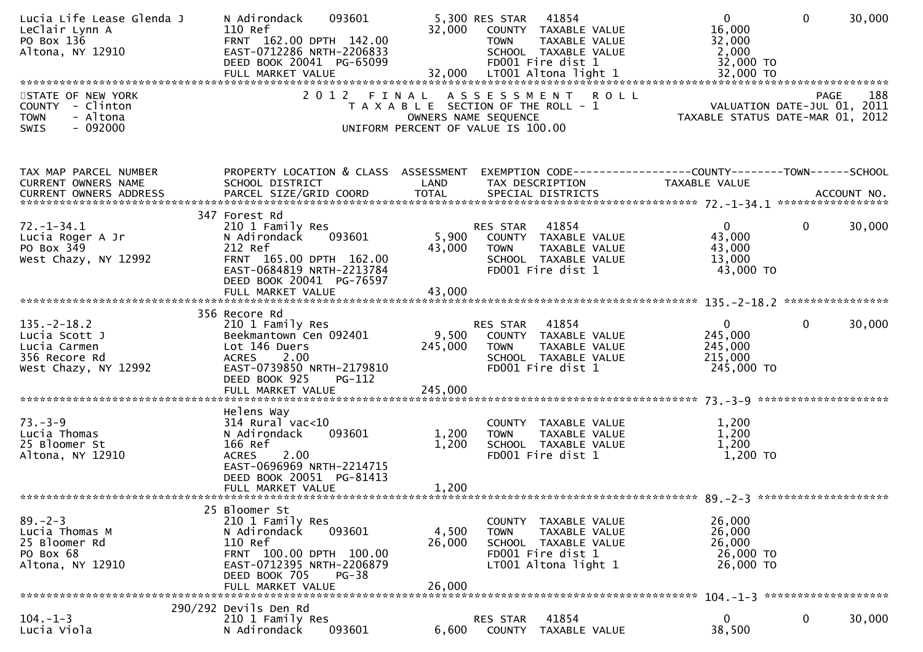| Lucia Life Lease Glenda J<br>LeClair Lynn A<br>PO Box 136<br>Altona, NY 12910                | 093601<br>N Adirondack<br>110 Ref<br>FRNT 162.00 DPTH 142.00<br>EAST-0712286 NRTH-2206833<br>DEED BOOK 20041 PG-65099<br>$\frac{1}{2}$                         | 32,000                    | 5,300 RES STAR 41854<br>COUNTY TAXABLE VALUE<br><b>TOWN</b><br>TAXABLE VALUE<br>SCHOOL TAXABLE VALUE<br>FD001 Fire dist 1        | $\overline{0}$<br>16,000<br>32,000<br>2,000<br>32,000 TO          | 30,000<br>$\Omega$     |
|----------------------------------------------------------------------------------------------|----------------------------------------------------------------------------------------------------------------------------------------------------------------|---------------------------|----------------------------------------------------------------------------------------------------------------------------------|-------------------------------------------------------------------|------------------------|
| STATE OF NEW YORK<br>COUNTY - Clinton<br><b>TOWN</b><br>- Altona<br>$-092000$<br><b>SWIS</b> | 2012 FINAL                                                                                                                                                     |                           | ASSESSMENT ROLL<br>T A X A B L E SECTION OF THE ROLL - 1<br>OWNERS NAME SEQUENCE<br>UNIFORM PERCENT OF VALUE IS 100.00           | VALUATION DATE-JUL 01, 2011<br>1 TAXABLE STATUS DATE-MAR 01, 2012 | 188<br><b>PAGE</b>     |
| TAX MAP PARCEL NUMBER<br>CURRENT OWNERS NAME<br>CURRENT OWNERS ADDRESS                       | PROPERTY LOCATION & CLASS ASSESSMENT<br>SCHOOL DISTRICT                                                                                                        | LAND                      | TAX DESCRIPTION                                                                                                                  | TAXABLE VALUE                                                     |                        |
| $72. - 1 - 34.1$<br>Lucia Roger A Jr<br>PO Box 349<br>West Chazy, NY 12992                   | 347 Forest Rd<br>210 1 Family Res<br>N Adirondack 093601<br>212 Ref<br>FRNT 165.00 DPTH 162.00<br>EAST-0684819 NRTH-2213784<br>DEED BOOK 20041 PG-76597        |                           | 41854<br>RES STAR<br>5,900 COUNTY TAXABLE VALUE<br>43,000 TOWN  TAXABLE VALUE<br>SCHOOL TAXABLE VALUE<br>FD001 Fire dist 1       | $\mathbf{0}$<br>43,000<br>43,000<br>13,000<br>43,000 TO           | 30,000<br>$\mathbf{0}$ |
|                                                                                              |                                                                                                                                                                |                           |                                                                                                                                  |                                                                   |                        |
| $135. - 2 - 18.2$<br>Lucia Scott J<br>Lucia Carmen<br>356 Recore Rd<br>West Chazy, NY 12992  | 356 Recore Rd<br>210 1 Family Res<br>Beekmantown Cen 092401<br>Lot 146 Duers<br>ACRES 2.00<br>EAST-0739850 NRTH-2179810<br>DEED BOOK 925<br>PG-112             | 245,000                   | <b>RES STAR 41854</b><br>9,500 COUNTY TAXABLE VALUE<br><b>TOWN</b><br>TAXABLE VALUE<br>SCHOOL TAXABLE VALUE<br>FD001 Fire dist 1 | $\mathbf{0}$<br>245,000<br>245,000<br>215,000<br>245,000 TO       | $\mathbf{0}$<br>30,000 |
| $73. - 3 - 9$<br>Lucia Thomas<br>25 Bloomer St<br>Altona, NY 12910                           | Helens Way<br>$314$ Rural vac<10<br>093601<br>N Adirondack<br>166 Ref<br><b>ACRES</b><br>2.00<br>EAST-0696969 NRTH-2214715<br>DEED BOOK 20051 PG-81413         | 1,200<br>1,200            | COUNTY TAXABLE VALUE<br>TAXABLE VALUE<br><b>TOWN</b><br>SCHOOL TAXABLE VALUE<br>FD001 Fire dist 1                                | 1,200<br>1,200<br>1,200<br>1,200 TO                               |                        |
|                                                                                              | 25 Bloomer St                                                                                                                                                  |                           |                                                                                                                                  |                                                                   |                        |
| $89. - 2 - 3$<br>Lucia Thomas M<br>25 Bloomer Rd<br>PO Box 68<br>Altona, NY 12910            | 210 1 Family Res<br>N Adirondack<br>093601<br>110 Ref<br>FRNT 100.00 DPTH 100.00<br>EAST-0712395 NRTH-2206879<br>DEED BOOK 705<br>$PG-38$<br>FULL MARKET VALUE | 4,500<br>26,000<br>26,000 | COUNTY TAXABLE VALUE<br>TAXABLE VALUE<br><b>TOWN</b><br>SCHOOL TAXABLE VALUE<br>FD001 Fire dist 1<br>LT001 Altona light 1        | 26,000<br>26,000<br>26,000<br>26,000 TO<br>26,000 TO              |                        |
|                                                                                              |                                                                                                                                                                |                           |                                                                                                                                  |                                                                   |                        |
| $104. -1 - 3$<br>Lucia Viola                                                                 | 290/292 Devils Den Rd<br>210 1 Family Res<br>093601<br>N Adirondack                                                                                            | 6,600                     | 41854<br>RES STAR<br>COUNTY<br>TAXABLE VALUE                                                                                     | $\mathbf{0}$<br>38,500                                            | 0<br>30,000            |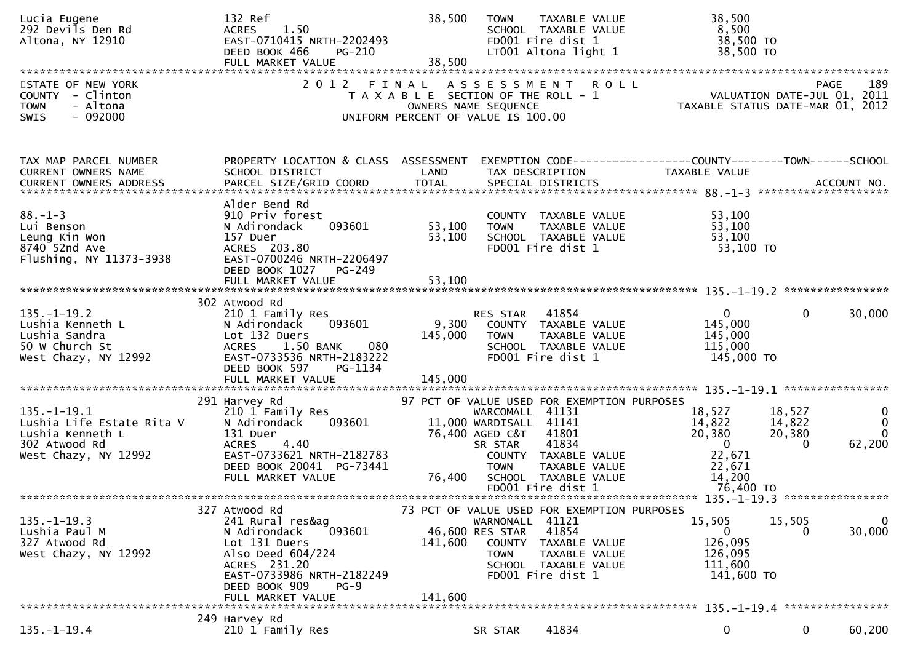| Lucia Eugene<br>292 Devils Den Rd<br>Altona, NY 12910                                                       | 132 Ref<br>1.50<br><b>ACRES</b><br>EAST-0710415 NRTH-2202493<br>DEED BOOK 466<br>PG-210<br>FULL MARKET VALUE                                                                                   | 38,500<br>38,500                                                            | <b>TOWN</b>                                                                            | TAXABLE VALUE<br>SCHOOL TAXABLE VALUE<br>FD001 Fire dist 1<br>LT001 Altona light 1                                                                  | 38,500<br>8,500<br>38,500 TO<br>38,500 TO                                            |                                        |                                                |
|-------------------------------------------------------------------------------------------------------------|------------------------------------------------------------------------------------------------------------------------------------------------------------------------------------------------|-----------------------------------------------------------------------------|----------------------------------------------------------------------------------------|-----------------------------------------------------------------------------------------------------------------------------------------------------|--------------------------------------------------------------------------------------|----------------------------------------|------------------------------------------------|
| STATE OF NEW YORK<br>COUNTY - Clinton<br>- Altona<br><b>TOWN</b><br>$-092000$<br><b>SWIS</b>                | 2012 FINAL ASSESSMENT ROLL                                                                                                                                                                     | T A X A B L E SECTION OF THE ROLL - 1<br>UNIFORM PERCENT OF VALUE IS 100.00 | OWNERS NAME SEQUENCE                                                                   |                                                                                                                                                     | N I A O L L<br>2011 VALUATION DATE-JUL 01, 2011<br>TAXABLE STATUS DATE-MAR 01, 2012  | PAGE                                   | 189                                            |
| TAX MAP PARCEL NUMBER<br>CURRENT OWNERS NAME                                                                | PROPERTY LOCATION & CLASS ASSESSMENT<br>SCHOOL DISTRICT                                                                                                                                        | LAND                                                                        |                                                                                        | TAX DESCRIPTION                                                                                                                                     | EXEMPTION        CODE-----------------COUNTY-------TOWN------SCHOOL<br>TAXABLE VALUE |                                        |                                                |
| $88. - 1 - 3$<br>Lui Benson<br>Leung Kin Won<br>8740 52nd Ave<br>Flushing, NY 11373-3938                    | Alder Bend Rd<br>910 Priv forest<br>093601<br>N Adirondack<br>157 Duer<br>ACRES 203.80<br>EAST-0700246 NRTH-2206497<br>DEED BOOK 1027<br>PG-249                                                | 53,100<br>53,100                                                            | <b>TOWN</b>                                                                            | COUNTY TAXABLE VALUE<br>TAXABLE VALUE<br>SCHOOL TAXABLE VALUE<br>FD001 Fire dist 1                                                                  | 53,100<br>53,100<br>53,100<br>53,100 TO                                              |                                        |                                                |
| $135. - 1 - 19.2$<br>Lushia Kenneth L<br>Lushia Sandra<br>50 W Church St<br>West Chazy, NY 12992            | 302 Atwood Rd<br>210 1 Family Res<br>093601<br>N Adirondack<br>Lot 132 Duers<br><b>ACRES</b><br>1.50 BANK<br>080<br>EAST-0733536 NRTH-2183222<br>DEED BOOK 597<br>PG-1134<br>FULL MARKET VALUE | 9,300<br>145,000<br>145,000                                                 | <b>RES STAR 41854</b><br><b>TOWN</b>                                                   | COUNTY TAXABLE VALUE<br>TAXABLE VALUE<br>SCHOOL TAXABLE VALUE<br>FD001 Fire dist 1                                                                  | $\mathbf{0}$<br>145,000<br>145,000<br>115,000<br>145,000 TO                          | $\mathbf{0}$                           | 30,000                                         |
| $135. - 1 - 19.1$<br>Lushia Life Estate Rita V<br>Lushia Kenneth L<br>302 Atwood Rd<br>West Chazy, NY 12992 | 291 Harvey Rd<br>210 1 Family Res<br>N Adirondack<br>093601<br>131 Duer<br>ACRES 4.40<br>EAST-0733621 NRTH-2182783<br>DEED BOOK 20041 PG-73441<br>FULL MARKET VALUE                            | 76,400                                                                      | WARCOMALL 41131<br>11,000 WARDISALL 41141<br>76,400 AGED C&T<br>SR STAR<br><b>TOWN</b> | 97 PCT OF VALUE USED FOR EXEMPTION PURPOSES<br>41801<br>41834<br>COUNTY TAXABLE VALUE<br>TAXABLE VALUE<br>SCHOOL TAXABLE VALUE<br>FD001 Fire dist 1 | 18,527<br>14,822<br>20,380<br>$\mathbf 0$<br>22,671<br>22,671<br>14,200<br>76,400 TO | 18,527<br>14,822<br>20,380<br>$\Omega$ | $\mathbf{0}$<br>$\Omega$<br>$\Omega$<br>62,200 |
| <u>135. –1–19.3</u><br>Lushia Paul M<br>327 Atwood Rd<br>West Chazy, NY 12992                               | 327 Atwood Rd<br>241 Rural res&ag<br>093601<br>N Adirondack<br>Lot 131 Duers<br>Also Deed 604/224<br>ACRES 231.20<br>EAST-0733986 NRTH-2182249<br>DEED BOOK 909<br>$PG-9$<br>FULL MARKET VALUE | 141,600<br>141,600                                                          | WARNONALL 41121<br>46,600 RES STAR<br>COUNTY<br><b>TOWN</b>                            | 73 PCT OF VALUE USED FOR EXEMPTION PURPOSES<br>41854<br>TAXABLE VALUE<br>TAXABLE VALUE<br>SCHOOL TAXABLE VALUE<br>FD001 Fire dist 1                 | 15,505<br>0<br>126,095<br>126,095<br>111,600<br>141,600 TO                           | 15,505<br>0                            | 0<br>30,000                                    |
| $135. - 1 - 19.4$                                                                                           | 249 Harvey Rd<br>210 1 Family Res                                                                                                                                                              |                                                                             | SR STAR                                                                                | 41834                                                                                                                                               | 0                                                                                    | 0                                      | 60,200                                         |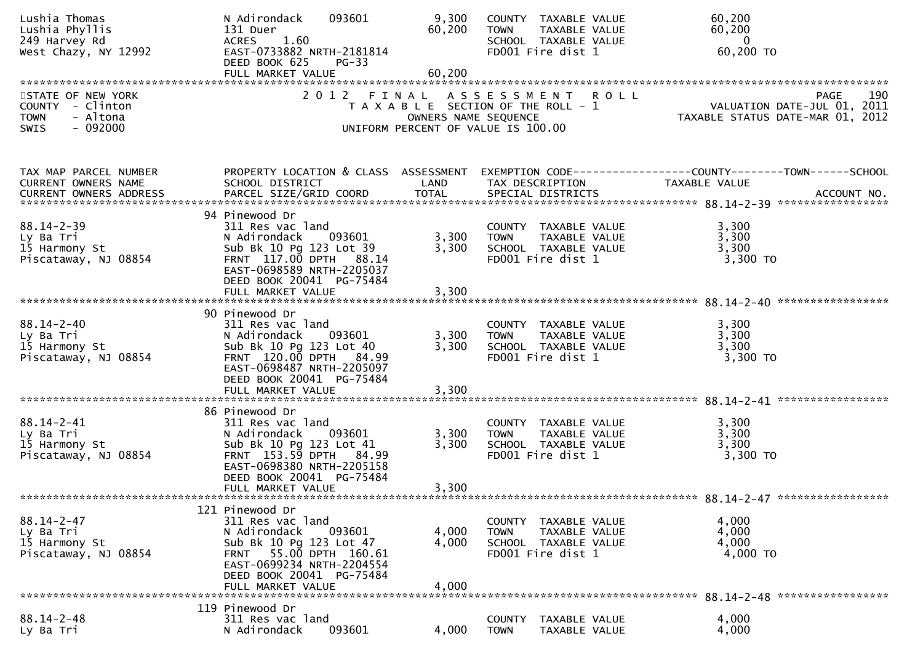| Lushia Thomas<br>Lushia Phyllis<br>249 Harvey Rd<br>West Chazy, NY 12992              | 093601<br>N Adirondack<br>131 Duer<br>1.60<br><b>ACRES</b><br>EAST-0733882 NRTH-2181814<br>DEED BOOK 625<br>$PG-33$<br>FULL MARKET VALUE                                                | 9,300<br>60,200<br>60,200 | COUNTY TAXABLE VALUE<br>TAXABLE VALUE<br><b>TOWN</b><br>SCHOOL TAXABLE VALUE<br>FD001 Fire dist 1         | 60,200<br>60,200<br>$\mathbf{0}$<br>60,200 TO                                         |
|---------------------------------------------------------------------------------------|-----------------------------------------------------------------------------------------------------------------------------------------------------------------------------------------|---------------------------|-----------------------------------------------------------------------------------------------------------|---------------------------------------------------------------------------------------|
|                                                                                       |                                                                                                                                                                                         |                           |                                                                                                           |                                                                                       |
| STATE OF NEW YORK<br>COUNTY - Clinton<br>- Altona<br><b>TOWN</b><br>$-092000$<br>SWIS |                                                                                                                                                                                         | OWNERS NAME SEQUENCE      | 2012 FINAL ASSESSMENT ROLL<br>T A X A B L E SECTION OF THE ROLL - 1<br>UNIFORM PERCENT OF VALUE IS 100.00 | 190<br><b>PAGE</b><br>VALUATION DATE-JUL 01, 2011<br>TAXABLE STATUS DATE-MAR 01, 2012 |
| TAX MAP PARCEL NUMBER<br>CURRENT OWNERS NAME                                          | PROPERTY LOCATION & CLASS ASSESSMENT<br>SCHOOL DISTRICT                                                                                                                                 | LAND                      | TAX DESCRIPTION                                                                                           | EXEMPTION CODE------------------COUNTY--------TOWN------SCHOOL<br>TAXABLE VALUE       |
| $88.14 - 2 - 39$<br>Ly Ba Tri<br>15 Harmony St<br>Piscataway, NJ 08854                | 94 Pinewood Dr<br>311 Res vac land<br>N Adirondack<br>093601<br>Sub Bk 10 Pg 123 Lot 39<br>FRNT 117.00 DPTH 88.14<br>EAST-0698589 NRTH-2205037<br>DEED BOOK 20041 PG-75484              | 3,300<br>3,300            | COUNTY TAXABLE VALUE<br>TAXABLE VALUE<br><b>TOWN</b><br>SCHOOL TAXABLE VALUE<br>FD001 Fire dist 1         | 3,300<br>3,300<br>3,300<br>3,300 TO                                                   |
|                                                                                       |                                                                                                                                                                                         |                           |                                                                                                           |                                                                                       |
| $88.14 - 2 - 40$<br>Ly Ba Tri<br>15 Harmony St<br>Piscataway, NJ 08854                | 90 Pinewood Dr<br>311 Res vac land<br>N Adirondack<br>093601<br>Sub Bk 10 Pg 123 Lot 40<br>FRNT 120.00 DPTH 84.99<br>EAST-0698487 NRTH-2205097<br>DEED BOOK 20041 PG-75484              | 3,300<br>3,300            | COUNTY TAXABLE VALUE<br>TAXABLE VALUE<br><b>TOWN</b><br>SCHOOL TAXABLE VALUE<br>FD001 Fire dist 1         | 3,300<br>3,300<br>3,300<br>3,300 TO                                                   |
| $88.14 - 2 - 41$<br>Ly Ba Tri<br>15 Harmony St<br>Piscataway, NJ 08854                | 86 Pinewood Dr<br>311 Res vac land<br>N Adirondack 093601<br>Sub Bk 10 Pg 123 Lot 41<br>FRNT 153.59 DPTH 84.99<br>EAST-0698380 NRTH-2205158<br>DEED BOOK 20041 PG-75484                 | 3,300<br>3,300            | COUNTY TAXABLE VALUE<br>TAXABLE VALUE<br><b>TOWN</b><br>SCHOOL TAXABLE VALUE<br>FD001 Fire dist 1         | 3,300<br>3,300<br>3,300<br>3,300 TO                                                   |
|                                                                                       | 121 Pinewood Dr                                                                                                                                                                         |                           |                                                                                                           |                                                                                       |
| $88.14 - 2 - 47$<br>Ly Ba Tri<br>15 Harmony St<br>Piscataway, NJ 08854                | 311 Res vac land<br>N Adirondack<br>093601<br>Sub Bk 10 Pg 123 Lot 47<br>55.00 DPTH 160.61<br><b>FRNT</b><br>EAST-0699234 NRTH-2204554<br>DEED BOOK 20041 PG-75484<br>FULL MARKET VALUE | 4,000<br>4,000<br>4,000   | COUNTY TAXABLE VALUE<br><b>TOWN</b><br><b>TAXABLE VALUE</b><br>SCHOOL TAXABLE VALUE<br>FD001 Fire dist 1  | 4,000<br>4,000<br>4,000<br>4,000 TO                                                   |
|                                                                                       | 119 Pinewood Dr                                                                                                                                                                         |                           |                                                                                                           |                                                                                       |
| $88.14 - 2 - 48$<br>Ly Ba Tri                                                         | 311 Res vac land<br>N Adirondack<br>093601                                                                                                                                              | 4,000                     | COUNTY<br>TAXABLE VALUE<br>TAXABLE VALUE<br><b>TOWN</b>                                                   | 4,000<br>4,000                                                                        |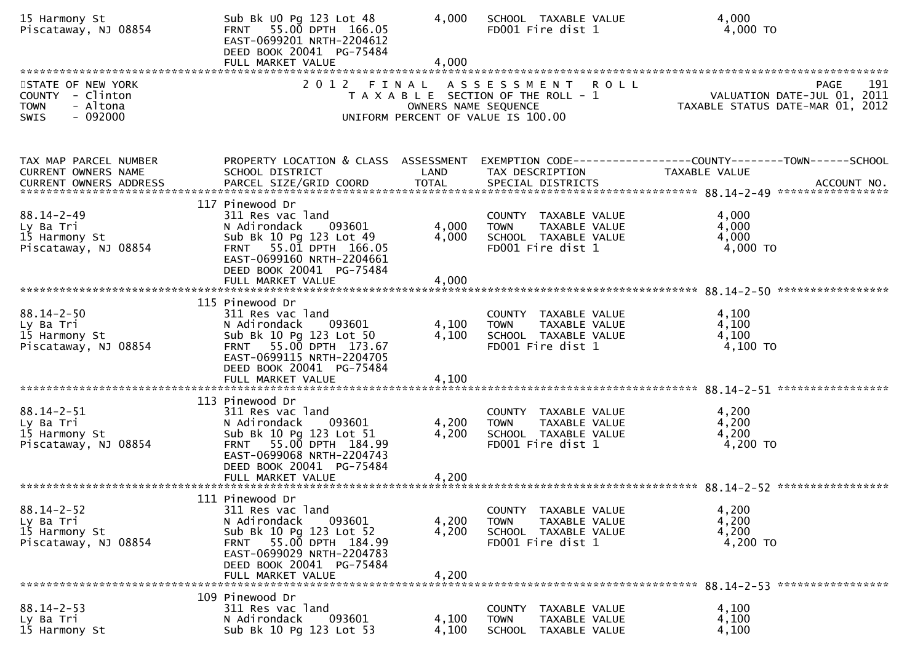| 15 Harmony St<br>Piscataway, NJ 08854                                                           | Sub Bk UO Pg 123 Lot 48<br>FRNT 55.00 DPTH 166.05<br>EAST-0699201 NRTH-2204612<br>DEED BOOK 20041 PG-75484<br>FULL MARKET VALUE                                                                  | 4,000<br>4,000          | SCHOOL TAXABLE VALUE<br>FD001 Fire dist 1                                                                 | 4,000<br>4,000 TO                                                              |
|-------------------------------------------------------------------------------------------------|--------------------------------------------------------------------------------------------------------------------------------------------------------------------------------------------------|-------------------------|-----------------------------------------------------------------------------------------------------------|--------------------------------------------------------------------------------|
| STATE OF NEW YORK<br><b>COUNTY</b><br>- Clinton<br>- Altona<br><b>TOWN</b><br>$-092000$<br>SWIS |                                                                                                                                                                                                  | OWNERS NAME SEQUENCE    | 2012 FINAL ASSESSMENT ROLL<br>T A X A B L E SECTION OF THE ROLL - 1<br>UNIFORM PERCENT OF VALUE IS 100.00 | 191<br>PAGE<br>VALUATION DATE-JUL 01, 2011<br>TAXABLE STATUS DATE-MAR 01, 2012 |
| TAX MAP PARCEL NUMBER<br>CURRENT OWNERS NAME<br>CURRENT OWNERS ADDRESS                          | PROPERTY LOCATION & CLASS ASSESSMENT<br>SCHOOL DISTRICT                                                                                                                                          | LAND                    | TAX DESCRIPTION                                                                                           | TAXABLE VALUE                                                                  |
| $88.14 - 2 - 49$<br>Ly Ba Tri<br>15 Harmony St<br>Piscataway, NJ 08854                          | 117 Pinewood Dr<br>311 Res vac land<br>093601<br>N Adirondack<br>Sub Bk 10 Pg 123 Lot 49<br>FRNT 55.01 DPTH 166.05<br>EAST-0699160 NRTH-2204661<br>DEED BOOK 20041 PG-75484<br>FULL MARKET VALUE | 4,000<br>4,000<br>4,000 | COUNTY TAXABLE VALUE<br>TAXABLE VALUE<br><b>TOWN</b><br>SCHOOL TAXABLE VALUE<br>FD001 Fire dist 1         | 4,000<br>4,000<br>4,000<br>4,000 TO                                            |
| $88.14 - 2 - 50$<br>Ly Ba Tri<br>15 Harmony St<br>Piscataway, NJ 08854                          | 115 Pinewood Dr<br>311 Res vac land<br>N Adirondack<br>093601<br>Sub Bk 10 Pg 123 Lot 50<br>FRNT 55.00 DPTH 173.67<br>EAST-0699115 NRTH-2204705<br>DEED BOOK 20041 PG-75484<br>FULL MARKET VALUE | 4,100<br>4,100<br>4,100 | COUNTY TAXABLE VALUE<br>TAXABLE VALUE<br><b>TOWN</b><br>SCHOOL TAXABLE VALUE<br>FD001 Fire dist 1         | 4,100<br>4,100<br>4,100<br>$4,100$ TO                                          |
| $88.14 - 2 - 51$<br>Ly Ba Tri<br>15 Harmony St<br>Piscataway, NJ 08854                          | 113 Pinewood Dr<br>311 Res vac land<br>N Adirondack<br>093601<br>Sub Bk 10 Pg 123 Lot 51<br>FRNT 55.00 DPTH 184.99<br>EAST-0699068 NRTH-2204743<br>DEED BOOK 20041 PG-75484<br>FULL MARKET VALUE | 4,200<br>4,200<br>4,200 | COUNTY TAXABLE VALUE<br>TAXABLE VALUE<br><b>TOWN</b><br>SCHOOL TAXABLE VALUE<br>FD001 Fire dist 1         | 4,200<br>4,200<br>4,200<br>4,200 TO                                            |
| $88.14 - 2 - 52$<br>Ly Ba Tri<br>15 Harmony St<br>Piscataway, NJ 08854                          | 111 Pinewood Dr<br>311 Res vac land<br>N Adirondack<br>093601<br>Sub Bk 10 Pg 123 Lot 52<br>FRNT 55.00 DPTH 184.99<br>EAST-0699029 NRTH-2204783<br>DEED BOOK 20041 PG-75484<br>FULL MARKET VALUE | 4,200<br>4,200<br>4,200 | COUNTY TAXABLE VALUE<br>TAXABLE VALUE<br><b>TOWN</b><br>SCHOOL TAXABLE VALUE<br>FD001 Fire dist 1         | 4,200<br>4,200<br>4,200<br>4,200 TO                                            |
| $88.14 - 2 - 53$<br>Ly Ba Tri<br>15 Harmony St                                                  | 109 Pinewood Dr<br>311 Res vac land<br>093601<br>N Adirondack<br>Sub Bk 10 Pg 123 Lot 53                                                                                                         | 4,100<br>4,100          | TAXABLE VALUE<br>COUNTY<br><b>TOWN</b><br>TAXABLE VALUE<br>SCHOOL TAXABLE VALUE                           | 4,100<br>4,100<br>4,100                                                        |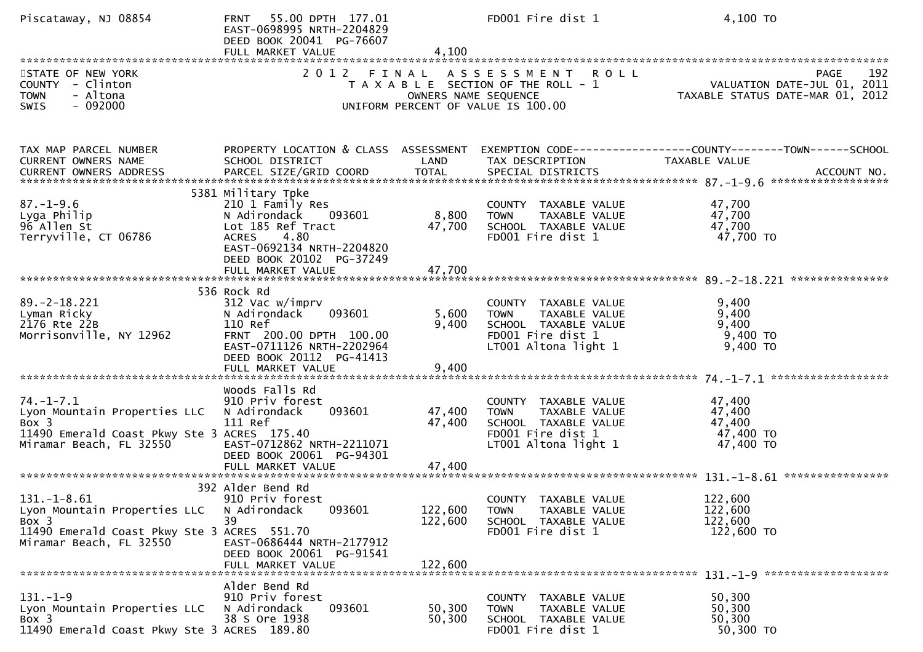| Piscataway, NJ 08854                                                                                                               | 55.00 DPTH 177.01<br><b>FRNT</b><br>EAST-0698995 NRTH-2204829<br>DEED BOOK 20041 PG-76607<br>FULL MARKET VALUE                                                                              | 4,100                         | FD001 Fire dist 1                                                                                                         | 4,100 TO                                                                                            |
|------------------------------------------------------------------------------------------------------------------------------------|---------------------------------------------------------------------------------------------------------------------------------------------------------------------------------------------|-------------------------------|---------------------------------------------------------------------------------------------------------------------------|-----------------------------------------------------------------------------------------------------|
| STATE OF NEW YORK<br>COUNTY - Clinton<br>- Altona<br><b>TOWN</b><br>$-092000$<br>SWIS                                              | 2012 FINAL                                                                                                                                                                                  | OWNERS NAME SEQUENCE          | A S S E S S M E N T<br><b>ROLL</b><br>T A X A B L E SECTION OF THE ROLL - 1<br>UNIFORM PERCENT OF VALUE IS 100.00         | 192<br>PAGE<br>VALUATION DATE-JUL 01, 2011<br>2011 TAXABLE STATUS DATE-MAR 01, 2012                 |
| TAX MAP PARCEL NUMBER<br>CURRENT OWNERS NAME<br>CURRENT OWNERS ADDRESS                                                             | PROPERTY LOCATION & CLASS ASSESSMENT<br>SCHOOL DISTRICT<br>PARCEL SIZE/GRID COORD                                                                                                           | LAND<br>TOTAL                 | TAX DESCRIPTION<br>SPECIAL DISTRICTS                                                                                      | EXEMPTION CODE-----------------COUNTY-------TOWN------SCHOOL<br><b>TAXABLE VALUE</b><br>ACCOUNT NO. |
| $87. - 1 - 9.6$<br>Lyga Philip<br>96 Allen St<br>Terryville, CT 06786                                                              | 5381 Military Tpke<br>210 1 Family Res<br>N Adirondack<br>093601<br>Lot 185 Ref Tract<br>4.80<br><b>ACRES</b><br>EAST-0692134 NRTH-2204820<br>DEED BOOK 20102 PG-37249<br>FULL MARKET VALUE | 8,800<br>47,700<br>47,700     | COUNTY TAXABLE VALUE<br><b>TOWN</b><br>TAXABLE VALUE<br>SCHOOL TAXABLE VALUE<br>FD001 Fire dist 1                         | 47,700<br>47,700<br>47,700<br>47,700 TO                                                             |
| $89. - 2 - 18.221$<br>Lyman Ricky<br>2176 Rte 22B<br>Morrisonville, NY 12962                                                       | 536 Rock Rd<br>312 Vac w/imprv<br>N Adirondack<br>093601<br>110 Ref<br>FRNT 200.00 DPTH 100.00<br>EAST-0711126 NRTH-2202964<br>DEED BOOK 20112 PG-41413<br>FULL MARKET VALUE                | 5,600<br>9,400<br>9,400       | COUNTY TAXABLE VALUE<br>TAXABLE VALUE<br><b>TOWN</b><br>SCHOOL TAXABLE VALUE<br>FD001 Fire dist 1<br>LT001 Altona light 1 | 9,400<br>9,400<br>9,400<br>9,400 TO<br>$9,400$ TO                                                   |
| $74. - 1 - 7.1$<br>Lyon Mountain Properties LLC<br>Box 3<br>11490 Emerald Coast Pkwy Ste 3 ACRES 175.40<br>Miramar Beach, FL 32550 | Woods Falls Rd<br>910 Priv forest<br>N Adirondack<br>093601<br>111 Ref<br>EAST-0712862 NRTH-2211071<br>DEED BOOK 20061 PG-94301                                                             | 47,400<br>47,400              | COUNTY TAXABLE VALUE<br>TAXABLE VALUE<br><b>TOWN</b><br>SCHOOL TAXABLE VALUE<br>FD001 Fire dist 1<br>LT001 Altona light 1 | 47,400<br>47,400<br>47,400<br>47,400 TO<br>47,400 TO                                                |
| $131.-1-8.61$<br>Lyon Mountain Properties LLC<br>Box 3<br>11490 Emerald Coast Pkwy Ste 3 ACRES 551.70<br>Miramar Beach, FL 32550   | 392 Alder Bend Rd<br>910 Priv forest<br>093601<br>N Adirondack<br>39<br>EAST-0686444 NRTH-2177912<br>DEED BOOK 20061 PG-91541<br>FULL MARKET VALUE                                          | 122,600<br>122,600<br>122,600 | COUNTY TAXABLE VALUE<br><b>TOWN</b><br>TAXABLE VALUE<br>SCHOOL TAXABLE VALUE<br>FD001 Fire dist 1                         | 122,600<br>122,600<br>122,600<br>122,600 TO                                                         |
| $131. - 1 - 9$<br>Lyon Mountain Properties LLC<br>Box 3<br>11490 Emerald Coast Pkwy Ste 3 ACRES 189.80                             | Alder Bend Rd<br>910 Priv forest<br>093601<br>N Adirondack<br>38 S Ore 1938                                                                                                                 | 50,300<br>50,300              | COUNTY TAXABLE VALUE<br>TAXABLE VALUE<br><b>TOWN</b><br>SCHOOL TAXABLE VALUE<br>FD001 Fire dist 1                         | 50,300<br>50,300<br>50,300<br>50,300 TO                                                             |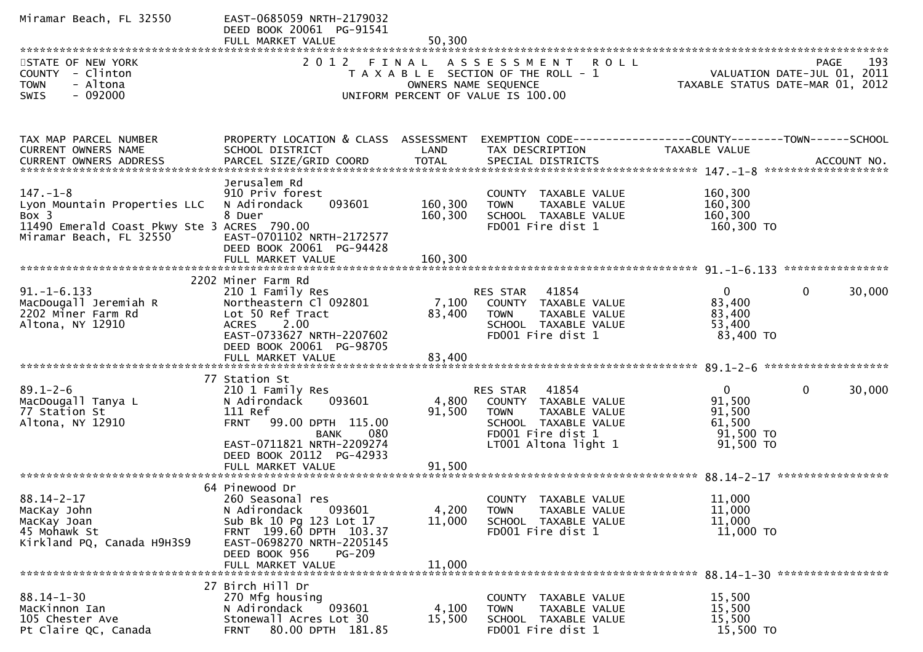| Miramar Beach, FL 32550                                                                                                           | EAST-0685059 NRTH-2179032<br>DEED BOOK 20061 PG-91541<br>FULL MARKET VALUE                                                                                                                              | 50,300                    |                                                                                                                                                  |                                                                      |                                            |
|-----------------------------------------------------------------------------------------------------------------------------------|---------------------------------------------------------------------------------------------------------------------------------------------------------------------------------------------------------|---------------------------|--------------------------------------------------------------------------------------------------------------------------------------------------|----------------------------------------------------------------------|--------------------------------------------|
| STATE OF NEW YORK<br>COUNTY - Clinton<br><b>TOWN</b><br>- Altona<br>$-092000$<br><b>SWIS</b>                                      | 2012                                                                                                                                                                                                    | FINAL                     | A S S E S S M E N T<br><b>ROLL</b><br>T A X A B L E SECTION OF THE ROLL - 1<br>OWNERS NAME SEQUENCE<br>UNIFORM PERCENT OF VALUE IS 100.00        | TAXABLE STATUS DATE-MAR 01, 2012                                     | 193<br>PAGE<br>VALUATION DATE-JUL 01, 2011 |
| TAX MAP PARCEL NUMBER<br>CURRENT OWNERS NAME                                                                                      | PROPERTY LOCATION & CLASS ASSESSMENT<br>SCHOOL DISTRICT                                                                                                                                                 | LAND                      | EXEMPTION CODE------------------COUNTY--------TOWN------SCHOOL<br>TAX DESCRIPTION                                                                | TAXABLE VALUE                                                        |                                            |
| $147. - 1 - 8$<br>Lyon Mountain Properties LLC<br>Box 3<br>11490 Emerald Coast Pkwy Ste 3 ACRES 790.00<br>Miramar Beach, FL 32550 | Jerusalem Rd<br>910 Priv forest<br>093601<br>N Adirondack<br>8 Duer<br>EAST-0701102 NRTH-2172577<br>DEED BOOK 20061 PG-94428                                                                            | 160,300<br>160,300        | COUNTY TAXABLE VALUE<br>TAXABLE VALUE<br><b>TOWN</b><br>SCHOOL TAXABLE VALUE<br>FD001 Fire dist 1                                                | 160,300<br>160,300<br>160,300<br>160,300 TO                          |                                            |
| $91. - 1 - 6.133$<br>MacDougall Jeremiah R<br>2202 Miner Farm Rd<br>Altona, NY 12910                                              | 2202 Miner Farm Rd<br>210 1 Family Res<br>Northeastern Cl 092801<br>Lot 50 Ref Tract<br>2.00<br><b>ACRES</b><br>EAST-0733627 NRTH-2207602<br>DEED BOOK 20061 PG-98705                                   | 7,100<br>83,400           | RES STAR 41854<br>COUNTY TAXABLE VALUE<br><b>TOWN</b><br>TAXABLE VALUE<br>SCHOOL TAXABLE VALUE<br>FD001 Fire dist 1                              | $\overline{0}$<br>83,400<br>83,400<br>53,400<br>83,400 TO            | $\mathbf{0}$<br>30,000                     |
| $89.1 - 2 - 6$<br>MacDougall Tanya L<br>77 Station St<br>Altona, NY 12910                                                         | 77 Station St<br>210 1 Family Res<br>N Adirondack<br>093601<br>111 Ref<br><b>FRNT</b><br>99.00 DPTH 115.00<br>BANK<br>080<br>EAST-0711821 NRTH-2209274<br>DEED BOOK 20112 PG-42933<br>FULL MARKET VALUE | 4,800<br>91,500<br>91,500 | 41854<br>RES STAR<br>COUNTY TAXABLE VALUE<br><b>TOWN</b><br>TAXABLE VALUE<br>SCHOOL TAXABLE VALUE<br>FD001 Fire dist 1<br>$LT001$ Altona light 1 | $\mathbf{0}$<br>91,500<br>91,500<br>61,500<br>91,500 TO<br>91,500 TO | $\mathbf 0$<br>30,000                      |
| $88.14 - 2 - 17$<br>MacKay John<br>MacKay Joan<br>45 Mohawk St<br>Kirkland PQ, Canada H9H3S9                                      | 64 Pinewood Dr<br>260 Seasonal res<br>N Adirondack 093601<br>Sub Bk 10 Pg 123 Lot 17<br>FRNT 199.60 DPTH 103.37<br>EAST-0698270 NRTH-2205145<br>DEED BOOK 956<br><b>PG-209</b><br>FULL MARKET VALUE     | 4,200<br>11,000<br>11,000 | COUNTY TAXABLE VALUE<br>TAXABLE VALUE<br>TOWN<br>SCHOOL TAXABLE VALUE<br>FD001 Fire dist 1                                                       | 11,000<br>11,000<br>11,000<br>11,000 TO                              | ****************                           |
| $88.14 - 1 - 30$<br>MacKinnon Ian<br>105 Chester Ave<br>Pt Claire QC, Canada                                                      | 27 Birch Hill Dr<br>270 Mfg housing<br>093601<br>N Adirondack<br>Stonewall Acres Lot 30<br>80.00 DPTH 181.85<br><b>FRNT</b>                                                                             | 4,100<br>15,500           | COUNTY TAXABLE VALUE<br>TAXABLE VALUE<br><b>TOWN</b><br>SCHOOL TAXABLE VALUE<br>FD001 Fire dist 1                                                | 15,500<br>15,500<br>15,500<br>15,500 TO                              |                                            |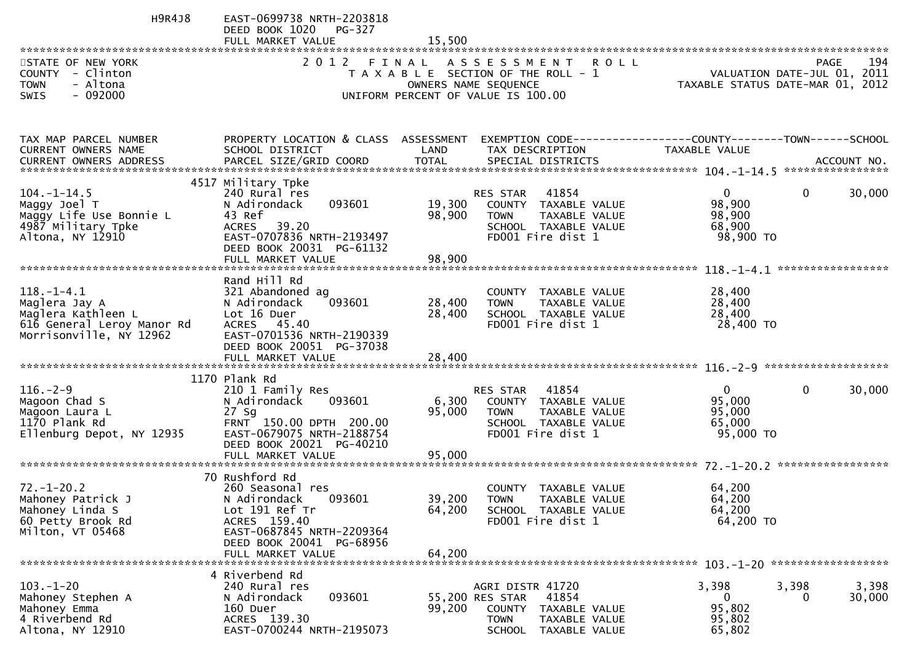| H9R4J8                                                                                                           | EAST-0699738 NRTH-2203818<br>DEED BOOK 1020<br>PG-327                                                                                                                           |                            |                                                                                                                                                  |                                                                 |                       |
|------------------------------------------------------------------------------------------------------------------|---------------------------------------------------------------------------------------------------------------------------------------------------------------------------------|----------------------------|--------------------------------------------------------------------------------------------------------------------------------------------------|-----------------------------------------------------------------|-----------------------|
| STATE OF NEW YORK<br>COUNTY - Clinton<br>- Altona<br><b>TOWN</b><br><b>SWIS</b><br>- 092000                      | 2012 FINAL                                                                                                                                                                      |                            | ASSESSMENT ROLL<br>T A X A B L E SECTION OF THE ROLL - 1<br>OWNERS NAME SEQUENCE<br>UNIFORM PERCENT OF VALUE IS 100.00                           | VALUATION DATE-JUL 01, 2011<br>TAXABLE STATUS DATE-MAR 01, 2012 | 194<br><b>PAGE</b>    |
| TAX MAP PARCEL NUMBER<br>CURRENT OWNERS NAME                                                                     | PROPERTY LOCATION & CLASS ASSESSMENT<br>SCHOOL DISTRICT                                                                                                                         | LAND                       | EXEMPTION CODE------------------COUNTY--------TOWN------SCHOOL<br>TAX DESCRIPTION                                                                | TAXABLE VALUE                                                   |                       |
| $104. - 1 - 14.5$<br>Maggy Joel T<br>Maggy Life Use Bonnie L<br>4987 Military Tpke<br>Altona, NY 12910           | 4517 Military Tpke<br>240 Rural res<br>093601<br>N Adirondack<br>43 Ref<br><b>ACRES</b><br>39.20<br>EAST-0707836 NRTH-2193497<br>DEED BOOK 20031 PG-61132<br>FULL MARKET VALUE  | 19,300<br>98,900<br>98,900 | RES STAR<br>41854<br>COUNTY TAXABLE VALUE<br>TAXABLE VALUE<br><b>TOWN</b><br>SCHOOL TAXABLE VALUE<br>FD001 Fire dist 1                           | $\mathbf{0}$<br>98,900<br>98,900<br>68,900<br>98,900 TO         | 0<br>30,000           |
| $118. - 1 - 4.1$<br>Maglera Jay A<br>Maglera Kathleen L<br>616 General Leroy Manor Rd<br>Morrisonville, NY 12962 | Rand Hill Rd<br>321 Abandoned ag<br>093601<br>N Adirondack<br>Lot 16 Duer<br>ACRES 45.40<br>EAST-0701536 NRTH-2190339<br>DEED BOOK 20051 PG-37038                               | 28,400<br>28,400           | TAXABLE VALUE<br><b>COUNTY</b><br>TAXABLE VALUE<br><b>TOWN</b><br>SCHOOL TAXABLE VALUE<br>FD001 Fire dist 1                                      | 28,400<br>28,400<br>28,400<br>28,400 TO                         |                       |
| $116. - 2 - 9$<br>Magoon Chad S<br>Magoon Laura L<br>1170 Plank Rd<br>Ellenburg Depot, NY 12935                  | 1170 Plank Rd<br>210 1 Family Res<br>093601<br>N Adirondack<br>$27$ Sq<br>FRNT 150.00 DPTH 200.00<br>EAST-0679075 NRTH-2188754<br>DEED BOOK 20021 PG-40210<br>FULL MARKET VALUE | 6,300<br>95,000<br>95,000  | 41854<br><b>RES STAR</b><br>COUNTY TAXABLE VALUE<br><b>TOWN</b><br>TAXABLE VALUE<br>SCHOOL TAXABLE VALUE<br>FD001 Fire dist 1                    | $\mathbf{0}$<br>95,000<br>95,000<br>65,000<br>95,000 TO         | $\mathbf 0$<br>30,000 |
| $72. - 1 - 20.2$<br>Mahoney Patrick J<br>Mahoney Linda S<br>60 Petty Brook Rd<br>Milton, VT 05468                | 70 Rushford Rd<br>260 Seasonal res<br>093601<br>N Adirondack<br>Lot 191 Ref Tr<br>ACRES 159.40<br>EAST-0687845 NRTH-2209364<br>DEED BOOK 20041 PG-68956<br>FULL MARKET VALUE    | 39,200<br>64,200<br>64,200 | COUNTY<br>TAXABLE VALUE<br><b>TOWN</b><br>TAXABLE VALUE<br>SCHOOL TAXABLE VALUE<br>FD001 Fire dist 1                                             | 64,200<br>64,200<br>64,200<br>64,200 TO                         |                       |
| $103. - 1 - 20$<br>Mahoney Stephen A<br>Mahoney Emma<br>4 Riverbend Rd<br>Altona, NY 12910                       | 4 Riverbend Rd<br>240 Rural res<br>093601<br>N Adirondack<br>160 Duer<br>ACRES 139.30<br>EAST-0700244 NRTH-2195073                                                              | 99,200                     | AGRI DISTR 41720<br>55,200 RES STAR<br>41854<br><b>COUNTY</b><br>TAXABLE VALUE<br><b>TOWN</b><br>TAXABLE VALUE<br><b>SCHOOL</b><br>TAXABLE VALUE | 3,398<br>3,398<br>$\Omega$<br>95,802<br>95,802<br>65,802        | 3,398<br>30,000<br>0  |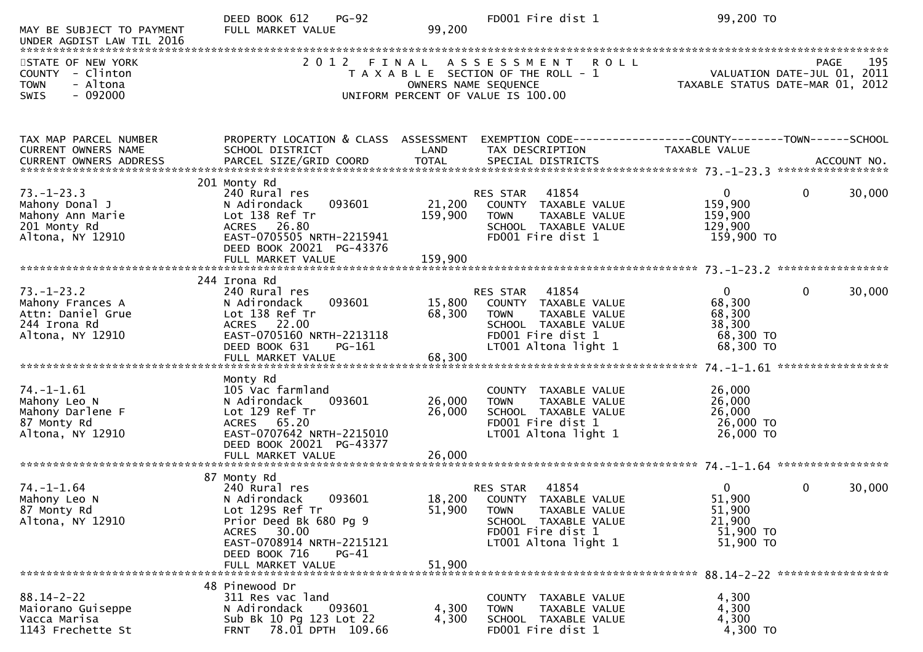| MAY BE SUBJECT TO PAYMENT<br>UNDER AGDIST LAW TIL 2016                                        | DEED BOOK 612<br>$PG-92$<br>FULL MARKET VALUE                                                                                                                                                  | 99,200                     | FD001 Fire dist 1                                                                                                                              | 99,200 TO                                                                            |                             |
|-----------------------------------------------------------------------------------------------|------------------------------------------------------------------------------------------------------------------------------------------------------------------------------------------------|----------------------------|------------------------------------------------------------------------------------------------------------------------------------------------|--------------------------------------------------------------------------------------|-----------------------------|
| STATE OF NEW YORK<br>COUNTY - Clinton<br>- Altona<br><b>TOWN</b><br>$-092000$<br><b>SWIS</b>  | 2 0 1 2                                                                                                                                                                                        | FINAL                      | <b>ROLL</b><br>A S S E S S M E N T<br>T A X A B L E SECTION OF THE ROLL - 1<br>OWNERS NAME SEQUENCE<br>UNIFORM PERCENT OF VALUE IS 100.00      | <b>PAGE</b><br>VALUATION DATE-JUL 01, 2011<br>TAXABLE STATUS DATE-MAR 01,            | 195<br>2012                 |
| TAX MAP PARCEL NUMBER<br>CURRENT OWNERS NAME                                                  | PROPERTY LOCATION & CLASS ASSESSMENT<br>SCHOOL DISTRICT                                                                                                                                        | LAND                       | TAX DESCRIPTION                                                                                                                                | TAXABLE VALUE                                                                        |                             |
| $73. - 1 - 23.3$<br>Mahony Donal J<br>Mahony Ann Marie<br>201 Monty Rd<br>Altona, NY 12910    | 201 Monty Rd<br>240 Rural res<br>093601<br>N Adirondack<br>Lot 138 Ref Tr<br>ACRES 26.80<br>EAST-0705505 NRTH-2215941<br>DEED BOOK 20021 PG-43376                                              | 21,200<br>159,900          | 41854<br>RES STAR<br>COUNTY TAXABLE VALUE<br><b>TOWN</b><br>TAXABLE VALUE<br>SCHOOL TAXABLE VALUE<br>FD001 Fire dist 1                         | $\overline{0}$<br>$\mathbf{0}$<br>159,900<br>159,900<br>129,900<br>159,900 TO        | 30,000                      |
| $73. - 1 - 23.2$<br>Mahony Frances A<br>Attn: Daniel Grue<br>244 Irona Rd<br>Altona, NY 12910 | 244 Irona Rd<br>240 Rural res<br>093601<br>N Adirondack<br>Lot 138 Ref Tr<br>ACRES 22.00<br>EAST-0705160 NRTH-2213118<br>DEED BOOK 631<br>PG-161<br>FULL MARKET VALUE                          | 15,800<br>68,300<br>68,300 | 41854<br>RES STAR<br>COUNTY TAXABLE VALUE<br>TAXABLE VALUE<br><b>TOWN</b><br>SCHOOL TAXABLE VALUE<br>FD001 Fire dist 1<br>LT001 Altona light 1 | $\mathbf{0}$<br>$\mathbf{0}$<br>68,300<br>68,300<br>38,300<br>68,300 TO<br>68,300 TO | 30,000<br>***************** |
| $74. - 1 - 1.61$<br>Mahony Leo N<br>Mahony Darlene F<br>87 Monty Rd<br>Altona, NY 12910       | Monty Rd<br>105 Vac farmland<br>N Adirondack<br>093601<br>Lot 129 Ref Tr<br>ACRES 65.20<br>EAST-0707642 NRTH-2215010<br>DEED BOOK 20021 PG-43377                                               | 26,000<br>26,000           | COUNTY TAXABLE VALUE<br>TAXABLE VALUE<br><b>TOWN</b><br>SCHOOL TAXABLE VALUE<br>FD001 Fire dist 1<br>LT001 Altona light 1                      | 26,000<br>26,000<br>26,000<br>26,000 TO<br>26,000 TO                                 |                             |
| $74. - 1 - 1.64$<br>Mahony Leo N<br>87 Monty Rd<br>Altona, NY 12910                           | 87 Monty Rd<br>240 Rural res<br>093601<br>N Adirondack<br>Lot 129S Ref Tr<br>Prior Deed Bk 680 Pg 9<br>ACRES 30.00<br>EAST-0708914 NRTH-2215121<br>DEED BOOK 716<br>PG-41<br>FULL MARKET VALUE | 18,200<br>51,900<br>51,900 | 41854<br>RES STAR<br>COUNTY TAXABLE VALUE<br>TAXABLE VALUE<br>TOWN<br>SCHOOL TAXABLE VALUE<br>FD001 Fire dist 1<br>LT001 Altona light 1        | $\Omega$<br>$\mathbf 0$<br>51,900<br>51,900<br>21,900<br>51,900 TO<br>51,900 TO      | 30,000                      |
| $88.14 - 2 - 22$<br>Maiorano Guiseppe<br>Vacca Marisa<br>1143 Frechette St                    | 48 Pinewood Dr<br>311 Res vac land<br>N Adirondack<br>093601<br>Sub Bk 10 Pg 123 Lot 22<br>78.01 DPTH 109.66<br><b>FRNT</b>                                                                    | 4,300<br>4,300             | COUNTY TAXABLE VALUE<br>TAXABLE VALUE<br><b>TOWN</b><br>SCHOOL TAXABLE VALUE<br>FD001 Fire dist 1                                              | 4,300<br>4,300<br>4,300<br>4,300 TO                                                  |                             |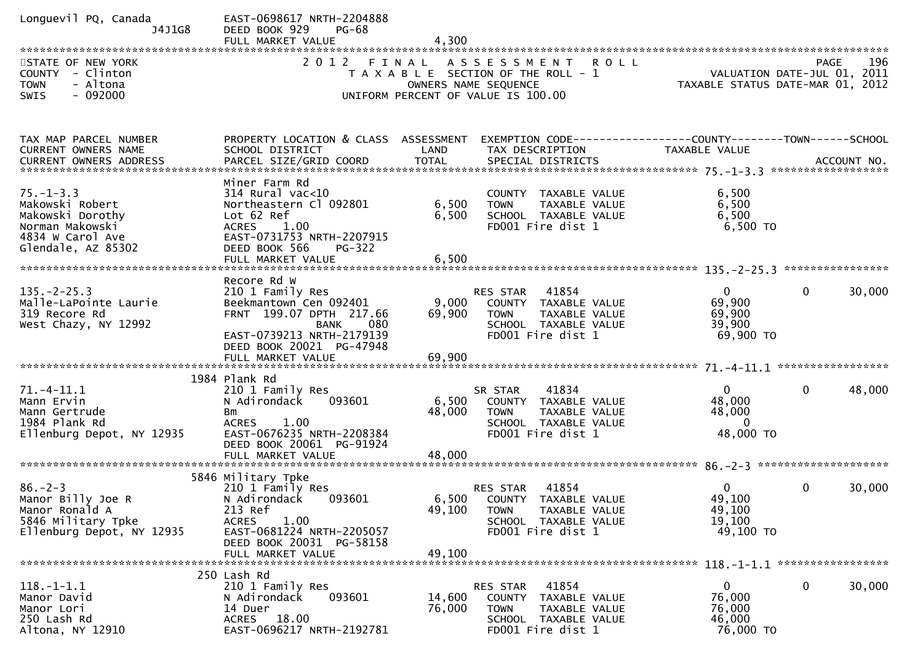| Longuevil PQ, Canada<br>J4J1G8<br>STATE OF NEW YORK<br>COUNTY - Clinton<br>- Altona<br><b>TOWN</b><br><b>SWIS</b><br>- 092000 | EAST-0698617 NRTH-2204888<br>DEED BOOK 929<br>PG-68<br>FULL MARKET VALUE<br>2012 FINAL                                                                                         | 4,300                     | ASSESSMENT ROLL<br>T A X A B L E SECTION OF THE ROLL - 1<br>OWNERS NAME SEQUENCE<br>UNIFORM PERCENT OF VALUE IS 100.00        | VALUATION DATE-JUL 01, 2011<br>TAXABLE STATUS DATE-MAR 01, 2012 | PAGE         | 196    |
|-------------------------------------------------------------------------------------------------------------------------------|--------------------------------------------------------------------------------------------------------------------------------------------------------------------------------|---------------------------|-------------------------------------------------------------------------------------------------------------------------------|-----------------------------------------------------------------|--------------|--------|
|                                                                                                                               |                                                                                                                                                                                |                           |                                                                                                                               |                                                                 |              |        |
| TAX MAP PARCEL NUMBER<br>CURRENT OWNERS NAME                                                                                  | PROPERTY LOCATION & CLASS ASSESSMENT<br>SCHOOL DISTRICT                                                                                                                        | LAND                      | EXEMPTION CODE------------------COUNTY--------TOWN------SCHOOL<br>TAX DESCRIPTION                                             | TAXABLE VALUE                                                   |              |        |
| $75. - 1 - 3.3$<br>Makowski Robert<br>Makowski Dorothy<br>Norman Makowski<br>4834 W Carol Ave<br>Glendale, AZ 85302           | Miner Farm Rd<br>$314$ Rural vac<10<br>Northeastern Cl 092801<br>Lot 62 Ref<br>1.00<br><b>ACRES</b><br>EAST-0731753 NRTH-2207915<br>DEED BOOK 566<br><b>PG-322</b>             | 6,500<br>6,500<br>6,500   | COUNTY TAXABLE VALUE<br><b>TOWN</b><br>TAXABLE VALUE<br>SCHOOL TAXABLE VALUE<br>FD001 Fire dist 1                             | 6,500<br>6,500<br>6,500<br>$6,500$ TO                           |              |        |
| $135. -2 - 25.3$<br>Malle-LaPointe Laurie<br>319 Recore Rd<br>West Chazy, NY 12992                                            | Recore Rd W<br>210 1 Family Res<br>Beekmantown Cen 092401<br>FRNT 199.07 DPTH 217.66<br>080<br>BANK<br>EAST-0739213 NRTH-2179139<br>DEED BOOK 20021 PG-47948                   | 9,000<br>69,900           | 41854<br>RES STAR<br>COUNTY TAXABLE VALUE<br><b>TOWN</b><br><b>TAXABLE VALUE</b><br>SCHOOL TAXABLE VALUE<br>FD001 Fire dist 1 | $\mathbf{0}$<br>69,900<br>69,900<br>39,900<br>69,900 TO         | $\Omega$     | 30,000 |
| $71. - 4 - 11.1$<br>Mann Ervin<br>Mann Gertrude<br>1984 Plank Rd<br>Ellenburg Depot, NY 12935                                 | 1984 Plank Rd<br>210 1 Family Res<br>N Adirondack<br>093601<br>Bm<br><b>ACRES</b><br>1.00<br>EAST-0676235 NRTH-2208384<br>DEED BOOK 20061 PG-91924<br>FULL MARKET VALUE        | 6,500<br>48,000<br>48,000 | SR STAR<br>41834<br>COUNTY TAXABLE VALUE<br>TAXABLE VALUE<br><b>TOWN</b><br>SCHOOL TAXABLE VALUE<br>FD001 Fire dist 1         | $\mathbf{0}$<br>48,000<br>48,000<br>$\Omega$<br>48,000 TO       | 0            | 48,000 |
| $86. - 2 - 3$<br>Manor Billy Joe R<br>Manor Ronald A<br>5846 Military Tpke<br>Ellenburg Depot, NY 12935                       | 5846 Military Tpke<br>210 1 Family Res<br>N Adirondack 093601<br>213 Ref<br>1.00<br><b>ACRES</b><br>EAST-0681224 NRTH-2205057<br>DEED BOOK 20031 PG-58158<br>FULL MARKET VALUE | 49,100<br>49,100          | RES STAR<br>41854<br>6,500 COUNTY TAXABLE VALUE<br>TAXABLE VALUE<br>TOWN<br>SCHOOL TAXABLE VALUE<br>FD001 Fire dist 1         | $\overline{0}$<br>49,100<br>49,100<br>19,100<br>49,100 TO       | $\mathbf{0}$ | 30,000 |
| $118. - 1 - 1.1$<br>Manor David<br>Manor Lori<br>250 Lash Rd<br>Altona, NY 12910                                              | 250 Lash Rd<br>210 1 Family Res<br>093601<br>N Adirondack<br>14 Duer<br>ACRES 18.00<br>EAST-0696217 NRTH-2192781                                                               | 14,600<br>76,000          | 41854<br>RES STAR<br>COUNTY TAXABLE VALUE<br><b>TOWN</b><br>TAXABLE VALUE<br>SCHOOL TAXABLE VALUE<br>FD001 Fire dist 1        | $\overline{0}$<br>76,000<br>76,000<br>46,000<br>76,000 TO       | 0            | 30,000 |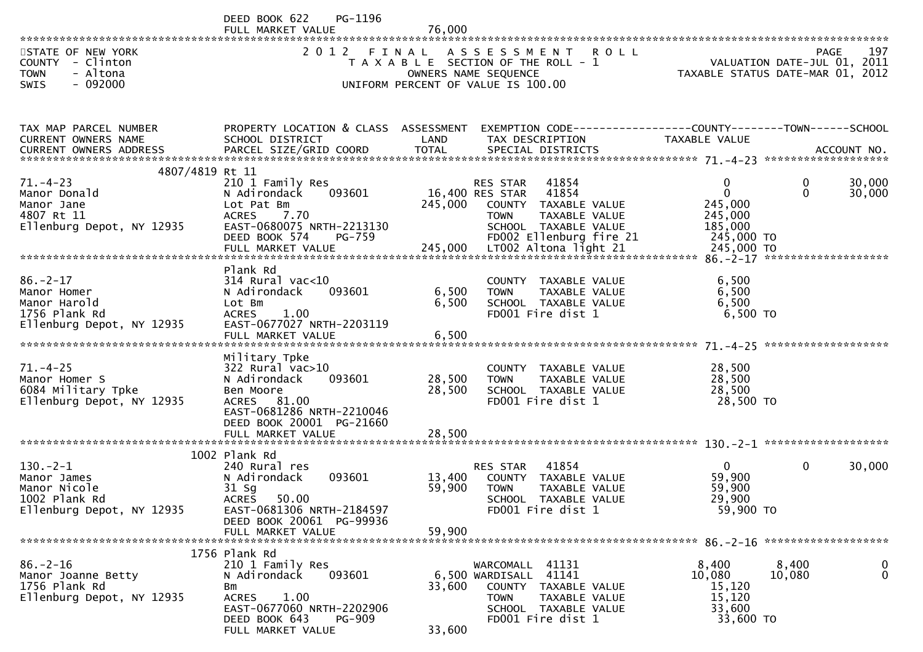DEED BOOK 622 PG-1196<br>FULL MARKET VALUE FULL MARKET VALUE 76,000 \*\*\*\*\*\*\*\*\*\*\*\*\*\*\*\*\*\*\*\*\*\*\*\*\*\*\*\*\*\*\*\*\*\*\*\*\*\*\*\*\*\*\*\*\*\*\*\*\*\*\*\*\*\*\*\*\*\*\*\*\*\*\*\*\*\*\*\*\*\*\*\*\*\*\*\*\*\*\*\*\*\*\*\*\*\*\*\*\*\*\*\*\*\*\*\*\*\*\*\*\*\*\*\*\*\*\*\*\*\*\*\*\*\*\*\*\*\*\*\*\*\*\*\*\*\*\*\*\*\*\*\*197 STATE OF NEW YORK 2 O 1 2 F I N A L A S S E S S M E N T R O L L PAGE<br>COUNTY – Clinton T A X A B L E SECTION OF THE ROLL - 1 VALUATION DATE-JUL 0 VALUATION DATE-JUL 01, 2011 COUNTY - Clinton T A X A B L E SECTION OF THE ROLL - 1 VALUATION DATE-JUL 01, 2011 TOWN - Altona OWNERS NAME SEQUENCE TAXABLE STATUS DATE-MAR 01, 2012SWIS - 092000 UNIFORM PERCENT OF VALUE IS 100.00TAX MAP PARCEL NUMBER PROPERTY LOCATION & CLASS ASSESSMENT EXEMPTION CODE------------------COUNTY--------TOWN------SCHOOLCURRENT OWNERS NAME SCHOOL DISTRICT LAND TAX DESCRIPTION TAXABLE VALUE<br>CURRENT OWNERS ARRRESS RARGEL STZE(CRIR)COORR TOTAL SRECIAL RISTRICTS CURRENT OWNERS ADDRESS PARCEL SIZE/GRID COORD TOTAL SPECIAL DISTRICTS ACCOUNT NO. \*\*\*\*\*\*\*\*\*\*\*\*\*\*\*\*\*\*\*\*\*\*\*\*\*\*\*\*\*\*\*\*\*\*\*\*\*\*\*\*\*\*\*\*\*\*\*\*\*\*\*\*\*\*\*\*\*\*\*\*\*\*\*\*\*\*\*\*\*\*\*\*\*\*\*\*\*\*\*\*\*\*\*\*\*\*\*\*\*\*\*\*\*\*\*\*\*\*\*\*\*\*\* 71.-4-23 \*\*\*\*\*\*\*\*\*\*\*\*\*\*\*\*\*\*\* 4807/4819 Rt 11210 1 Family Res 71.-4-23 210 1 Family Res RES STAR <sup>41854</sup> <sup>0</sup> 0 30,00030.000 Manor Donald N Adirondack 093601 16,400 RES STAR <sup>41854</sup> <sup>0</sup> 0 30,000Manor Jane Lot Pat Bm 245,000 COUNTY TAXABLE VALUE 245,000245,000 4807 Rt 11 ACRES 7.70 TOWN TAXABLE VALUE 245,000185,000 Ellenburg Depot, NY 12935 EAST-0680075 NRTH-2213130 SCHOOL TAXABLE VALUE<br>DEED BOOK 574 PG-759 FD002 Ellenburg fire 21 245,000 TO DEED BOOK 574 PG-759 FD002 Ellenburg fire 21 245,000 TO FULL MARKET VALUE 245,000 LT002 Altona light 21 245,000 TO \*\*\*\*\*\*\*\*\*\*\*\*\*\*\*\*\*\*\*\*\*\*\*\*\*\*\*\*\*\*\*\*\*\*\*\*\*\*\*\*\*\*\*\*\*\*\*\*\*\*\*\*\*\*\*\*\*\*\*\*\*\*\*\*\*\*\*\*\*\*\*\*\*\*\*\*\*\*\*\*\*\*\*\*\*\*\*\*\*\*\*\*\*\*\*\*\*\*\*\*\*\*\* 86.-2-17 \*\*\*\*\*\*\*\*\*\*\*\*\*\*\*\*\*\*\* Plank Rd $314$  Rural vac<10 86.-2-17 314 Rural vac<10 COUNTY TAXABLE VALUE 6,500<br>Manor Homer N Adirondack 093601 6,500 TOWN TAXABLE VALUE 6,500 6.500 Manor Homer N Adirondack 093601 6,500 TOWN TAXABLE VALUE 6,5006.500 Manor Harold Lot Bm 6,500 SCHOOL TAXABLE VALUE 6,5006.500 TO 1756 Plank Rd ACRES 1.00 FD001 Fire dist 1 6,500 TO<br>Flashurs Benet NY 12025 FAST 0677027 NPTU 2202110 Ellenburg Depot, NY 12935 EAST-0677027 NRTH-2203119 FULL MARKET VALUE 6,500 \*\*\*\*\*\*\*\*\*\*\*\*\*\*\*\*\*\*\*\*\*\*\*\*\*\*\*\*\*\*\*\*\*\*\*\*\*\*\*\*\*\*\*\*\*\*\*\*\*\*\*\*\*\*\*\*\*\*\*\*\*\*\*\*\*\*\*\*\*\*\*\*\*\*\*\*\*\*\*\*\*\*\*\*\*\*\*\*\*\*\*\*\*\*\*\*\*\*\*\*\*\*\* 71.-4-25 \*\*\*\*\*\*\*\*\*\*\*\*\*\*\*\*\*\*\* Military Tpke $322$  Rural vac $>10$ 71.-4-25 322 Rural vac>10 COUNTY TAXABLE VALUE 28,50028,500 Manor Homer S N Adirondack 093601 28,500 TOWN TAXABLE VALUE 28,50028,500 6084 Military Tpke Ben Moore 28,500 SCHOOL TAXABLE VALUE 28,50028.500 TO Ellenburg Depot, NY 12935 EAST-0681286 NRTH-2210046DEED BOOK 20001 PG-21660<br>EULL MARKET VALUE FULL MARKET VALUE 28,500 \*\*\*\*\*\*\*\*\*\*\*\*\*\*\*\*\*\*\*\*\*\*\*\*\*\*\*\*\*\*\*\*\*\*\*\*\*\*\*\*\*\*\*\*\*\*\*\*\*\*\*\*\*\*\*\*\*\*\*\*\*\*\*\*\*\*\*\*\*\*\*\*\*\*\*\*\*\*\*\*\*\*\*\*\*\*\*\*\*\*\*\*\*\*\*\*\*\*\*\*\*\*\* 130.-2-1 \*\*\*\*\*\*\*\*\*\*\*\*\*\*\*\*\*\*\* 1002 Plank Rd240 Rural res 130.-2-1 240 Rural res RES STAR <sup>41854</sup> <sup>0</sup> 0 30,000Manor James N Adirondack 093601 13,400 COUNTY TAXABLE VALUE 59,90059,900 Manor Nicole 31 Sg 59,900 TOWN TAXABLE VALUE 59,90029,900 1002 Plank Rd ACRES 50.00 SCHOOL TAXABLE VALUE 29,90059,900 TO Ellenburg Depot, NY 12935 DEED BOOK 20061 PG-99936<br>FULL MARKET VALUE

 FULL MARKET VALUE 59,900 \*\*\*\*\*\*\*\*\*\*\*\*\*\*\*\*\*\*\*\*\*\*\*\*\*\*\*\*\*\*\*\*\*\*\*\*\*\*\*\*\*\*\*\*\*\*\*\*\*\*\*\*\*\*\*\*\*\*\*\*\*\*\*\*\*\*\*\*\*\*\*\*\*\*\*\*\*\*\*\*\*\*\*\*\*\*\*\*\*\*\*\*\*\*\*\*\*\*\*\*\*\*\* 86.-2-16 \*\*\*\*\*\*\*\*\*\*\*\*\*\*\*\*\*\*\* 1756 Plank Rd210 1 Family Res 86.-2-16 210 1 Family Res WARCOMALL <sup>41131</sup> 8,400 8,400 <sup>0</sup> $\overline{0}$ Manor Joanne Betty N Adirondack 093601 6,500 WARDISALL <sup>41141</sup> 10,080 10,080 <sup>0</sup>1766 Bm 33,600 COUNTY TAXABLE VALUE ACRES 1.00 15,120 Ellenburg Depot, NY 12935 ACRES 1.00 TOWN TAXABLE VALUE 15,12033,600 EAST-0677060 NRTH-2202906<br>DEED BOOK 643 PG-909 33,600 TO ED 601 Fire dist 1<br>33,600 FULL MARKET VALUE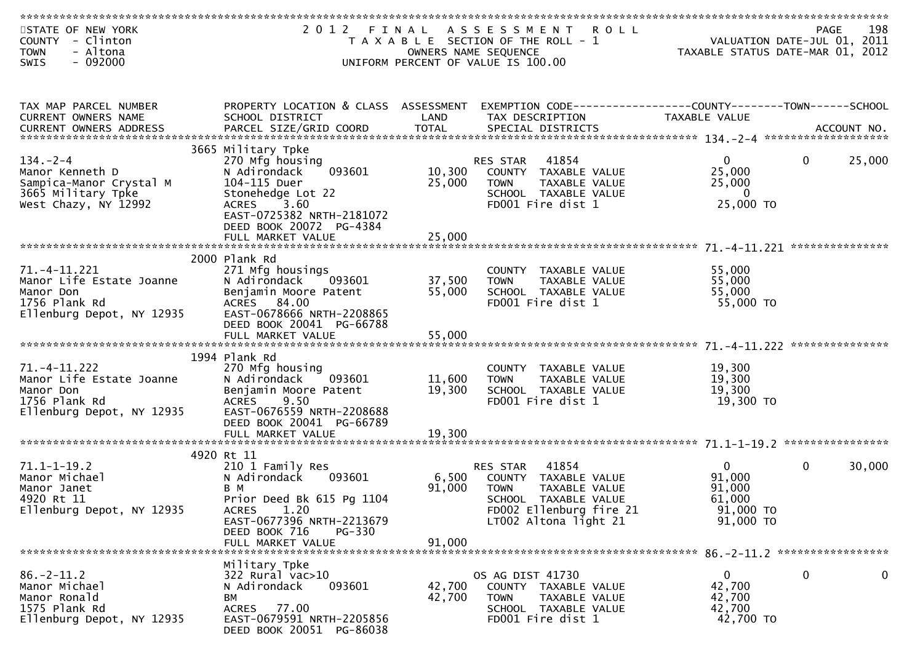| STATE OF NEW YORK<br>COUNTY - Clinton<br>- Altona<br><b>TOWN</b> |                                                       |                  | 2012 FINAL ASSESSMENT<br><b>ROLL</b><br>T A X A B L E SECTION OF THE ROLL - 1<br>OWNERS NAME SEQUENCE | PAGE 198<br>VALUATION DATE-JUL 01, 2011<br>TAXARLE STATUS DATE WALL<br>TAXABLE STATUS DATE-MAR 01, 2012 |              | 198         |
|------------------------------------------------------------------|-------------------------------------------------------|------------------|-------------------------------------------------------------------------------------------------------|---------------------------------------------------------------------------------------------------------|--------------|-------------|
| $-092000$<br><b>SWIS</b>                                         |                                                       |                  | UNIFORM PERCENT OF VALUE IS 100.00                                                                    |                                                                                                         |              |             |
|                                                                  |                                                       |                  |                                                                                                       |                                                                                                         |              |             |
|                                                                  |                                                       |                  |                                                                                                       |                                                                                                         |              |             |
|                                                                  |                                                       |                  |                                                                                                       |                                                                                                         |              |             |
| TAX MAP PARCEL NUMBER                                            | PROPERTY LOCATION & CLASS ASSESSMENT                  |                  | EXEMPTION CODE-----------------COUNTY-------TOWN------SCHOOL                                          |                                                                                                         |              |             |
| CURRENT OWNERS NAME                                              | SCHOOL DISTRICT                                       | LAND             | TAX DESCRIPTION                                                                                       | TAXABLE VALUE                                                                                           |              |             |
|                                                                  |                                                       |                  |                                                                                                       |                                                                                                         |              |             |
|                                                                  | 3665 Military Tpke                                    |                  |                                                                                                       |                                                                                                         |              |             |
| $134. - 2 - 4$                                                   | 270 Mfg housing                                       |                  | RES STAR<br>41854                                                                                     | $\overline{0}$                                                                                          | $\mathbf{0}$ | 25,000      |
| Manor Kenneth D                                                  | 093601<br>N Adirondack                                | 10,300           | COUNTY TAXABLE VALUE                                                                                  | 25,000                                                                                                  |              |             |
| Sampica-Manor Crystal M                                          | 104-115 Duer                                          | 25,000           | <b>TOWN</b><br>TAXABLE VALUE                                                                          | 25,000                                                                                                  |              |             |
| 3665 Military Tpke                                               | Stonehedge Lot 22                                     |                  | SCHOOL TAXABLE VALUE                                                                                  | 0                                                                                                       |              |             |
| West Chazy, NY 12992                                             | 3.60<br><b>ACRES</b>                                  |                  | FD001 Fire dist 1                                                                                     | 25,000 TO                                                                                               |              |             |
|                                                                  | EAST-0725382 NRTH-2181072<br>DEED BOOK 20072 PG-4384  |                  |                                                                                                       |                                                                                                         |              |             |
|                                                                  | FULL MARKET VALUE                                     | 25,000           |                                                                                                       |                                                                                                         |              |             |
|                                                                  |                                                       |                  |                                                                                                       |                                                                                                         |              |             |
|                                                                  | 2000 Plank Rd                                         |                  |                                                                                                       |                                                                                                         |              |             |
| $71. - 4 - 11.221$                                               | 271 Mfg housings                                      |                  | COUNTY TAXABLE VALUE                                                                                  | 55,000                                                                                                  |              |             |
| Manor Life Estate Joanne                                         | N Adirondack<br>093601                                | 37,500           | TAXABLE VALUE<br><b>TOWN</b>                                                                          | 55,000                                                                                                  |              |             |
| Manor Don                                                        | Benjamin Moore Patent                                 | 55,000           | SCHOOL TAXABLE VALUE                                                                                  | 55,000                                                                                                  |              |             |
| 1756 Plank Rd                                                    | ACRES 84.00                                           |                  | FD001 Fire dist 1                                                                                     | 55,000 TO                                                                                               |              |             |
| Ellenburg Depot, NY 12935                                        | EAST-0678666 NRTH-2208865<br>DEED BOOK 20041 PG-66788 |                  |                                                                                                       |                                                                                                         |              |             |
|                                                                  |                                                       |                  |                                                                                                       |                                                                                                         |              |             |
|                                                                  |                                                       |                  |                                                                                                       |                                                                                                         |              |             |
|                                                                  | 1994 Plank Rd                                         |                  |                                                                                                       |                                                                                                         |              |             |
| 71. -4-11. 222                                                   | 270 Mfg housing                                       |                  | COUNTY TAXABLE VALUE                                                                                  | 19,300                                                                                                  |              |             |
| Manor Life Estate Joanne                                         | 093601<br>N Adirondack                                | 11,600           | TAXABLE VALUE<br><b>TOWN</b>                                                                          | 19,300                                                                                                  |              |             |
| Manor Don                                                        | Benjamin Moore Patent                                 | 19,300           | SCHOOL TAXABLE VALUE                                                                                  | 19,300                                                                                                  |              |             |
| 1756 Plank Rd<br>Ellenburg Depot, NY 12935                       | 9.50<br><b>ACRES</b><br>EAST-0676559 NRTH-2208688     |                  | FD001 Fire dist 1                                                                                     | 19,300 TO                                                                                               |              |             |
|                                                                  | DEED BOOK 20041 PG-66789                              |                  |                                                                                                       |                                                                                                         |              |             |
|                                                                  |                                                       |                  |                                                                                                       |                                                                                                         |              |             |
|                                                                  |                                                       |                  |                                                                                                       |                                                                                                         |              |             |
|                                                                  | 4920 Rt 11                                            |                  |                                                                                                       |                                                                                                         |              |             |
| $71.1 - 1 - 19.2$                                                | 210 1 Family Res                                      |                  | 41854<br>RES STAR                                                                                     | $\mathbf{0}$                                                                                            | $\mathbf 0$  | 30,000      |
| Manor Michael                                                    | N Adirondack<br>093601                                | 6,500            | COUNTY TAXABLE VALUE                                                                                  | 91,000                                                                                                  |              |             |
| Manor Janet<br>4920 Rt 11                                        | B M<br>Prior Deed Bk 615 Pg 1104                      | 91,000           | <b>TOWN</b><br>TAXABLE VALUE<br>SCHOOL TAXABLE VALUE                                                  | 91,000<br>61,000                                                                                        |              |             |
| Ellenburg Depot, NY 12935                                        | 1.20<br>ACRES                                         |                  | FD002 Ellenburg fire 21                                                                               | 91,000 TO                                                                                               |              |             |
|                                                                  | EAST-0677396 NRTH-2213679                             |                  | LT002 Altona light 21                                                                                 | 91,000 TO                                                                                               |              |             |
|                                                                  | DEED BOOK 716<br><b>PG-330</b>                        |                  |                                                                                                       |                                                                                                         |              |             |
|                                                                  | FULL MARKET VALUE                                     | 91,000           |                                                                                                       |                                                                                                         |              |             |
|                                                                  |                                                       |                  |                                                                                                       |                                                                                                         |              |             |
|                                                                  | Military Tpke                                         |                  |                                                                                                       |                                                                                                         |              |             |
| $86. - 2 - 11.2$<br>Manor Michael                                | 322 Rural vac>10                                      |                  | OS AG DIST 41730                                                                                      | $\mathbf{0}$<br>42,700                                                                                  | $\mathbf 0$  | $\mathbf 0$ |
| Manor Ronald                                                     | N Adirondack<br>093601<br>BМ                          | 42,700<br>42,700 | COUNTY TAXABLE VALUE<br>TAXABLE VALUE<br><b>TOWN</b>                                                  | 42,700                                                                                                  |              |             |
| 1575 Plank Rd                                                    | ACRES<br>77.00                                        |                  | SCHOOL TAXABLE VALUE                                                                                  | 42,700                                                                                                  |              |             |
| Ellenburg Depot, NY 12935                                        | EAST-0679591 NRTH-2205856                             |                  | FD001 Fire dist 1                                                                                     | 42,700 TO                                                                                               |              |             |
|                                                                  | DEED BOOK 20051 PG-86038                              |                  |                                                                                                       |                                                                                                         |              |             |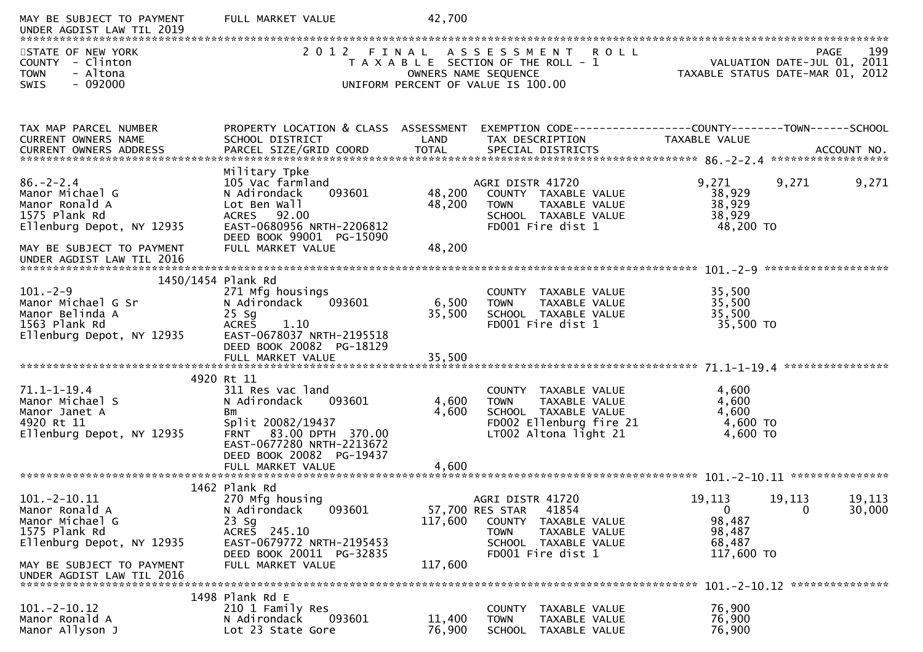| MAY BE SUBJECT TO PAYMENT<br>UNDER AGDIST LAW TIL 2019                                                 | FULL MARKET VALUE                                                                                                                                                  | 42,700           |                                                                                                                                            |                                                      |                                     |                  |
|--------------------------------------------------------------------------------------------------------|--------------------------------------------------------------------------------------------------------------------------------------------------------------------|------------------|--------------------------------------------------------------------------------------------------------------------------------------------|------------------------------------------------------|-------------------------------------|------------------|
| STATE OF NEW YORK<br><b>COUNTY</b><br>- Clinton<br>- Altona<br><b>TOWN</b><br>$-092000$<br><b>SWIS</b> | 2 0 1 2<br>FINAL                                                                                                                                                   |                  | ASSESSMENT ROLL<br>T A X A B L E SECTION OF THE ROLL - 1<br>OWNERS NAME SEQUENCE<br>UNIFORM PERCENT OF VALUE IS 100.00                     | TAXABLE STATUS DATE-MAR 01,                          | PAGE<br>VALUATION DATE-JUL 01, 2011 | 199<br>2012      |
| TAX MAP PARCEL NUMBER                                                                                  | PROPERTY LOCATION & CLASS ASSESSMENT                                                                                                                               |                  | EXEMPTION CODE-----------------COUNTY-------TOWN------SCHOOL                                                                               |                                                      |                                     |                  |
| CURRENT OWNERS NAME                                                                                    | SCHOOL DISTRICT                                                                                                                                                    | LAND             | TAX DESCRIPTION                                                                                                                            | TAXABLE VALUE                                        |                                     |                  |
| $86. - 2 - 2.4$<br>Manor Michael G<br>Manor Ronald A<br>1575 Plank Rd                                  | Military Tpke<br>105 Vac farmland<br>093601<br>N Adirondack<br>Lot Ben Wall<br>ACRES 92.00                                                                         | 48,200<br>48,200 | AGRI DISTR 41720<br>COUNTY TAXABLE VALUE<br>TAXABLE VALUE<br><b>TOWN</b><br>SCHOOL TAXABLE VALUE                                           | 9,271<br>38,929<br>38,929<br>38,929                  | 9,271                               | 9,271            |
| Ellenburg Depot, NY 12935<br>MAY BE SUBJECT TO PAYMENT<br>UNDER AGDIST LAW TIL 2016                    | EAST-0680956 NRTH-2206812<br>DEED BOOK 99001 PG-15090<br>FULL MARKET VALUE                                                                                         | 48,200           | FD001 Fire dist 1                                                                                                                          | 48,200 TO                                            |                                     |                  |
|                                                                                                        | 1450/1454 Plank Rd                                                                                                                                                 |                  |                                                                                                                                            |                                                      |                                     |                  |
| $101. -2 - 9$<br>Manor Michael G Sr<br>Manor Belinda A<br>1563 Plank Rd<br>Ellenburg Depot, NY 12935   | 271 Mfg housings<br>N Adirondack<br>093601<br>$25$ Sg<br>1.10<br><b>ACRES</b><br>EAST-0678037 NRTH-2195518                                                         | 6,500<br>35,500  | COUNTY<br>TAXABLE VALUE<br>TAXABLE VALUE<br><b>TOWN</b><br>SCHOOL TAXABLE VALUE<br>FD001 Fire dist 1                                       | 35,500<br>35,500<br>35,500<br>35,500 TO              |                                     |                  |
|                                                                                                        | DEED BOOK 20082 PG-18129<br>FULL MARKET VALUE                                                                                                                      | 35,500           |                                                                                                                                            |                                                      |                                     |                  |
|                                                                                                        | 4920 Rt 11                                                                                                                                                         |                  |                                                                                                                                            |                                                      |                                     |                  |
| $71.1 - 1 - 19.4$<br>Manor Michael S<br>Manor Janet A<br>4920 Rt 11<br>Ellenburg Depot, NY 12935       | 311 Res vac land<br>093601<br>N Adirondack<br>Bm<br>Split 20082/19437<br>83.00 DPTH 370.00<br><b>FRNT</b><br>EAST-0677280 NRTH-2213672<br>DEED BOOK 20082 PG-19437 | 4,600<br>4,600   | <b>COUNTY</b><br>TAXABLE VALUE<br>TAXABLE VALUE<br><b>TOWN</b><br>SCHOOL TAXABLE VALUE<br>FD002 Ellenburg fire 21<br>LT002 Altona light 21 | 4,600<br>4,600<br>4,600<br>4,600 TO<br>4,600 TO      |                                     |                  |
|                                                                                                        |                                                                                                                                                                    |                  |                                                                                                                                            |                                                      |                                     |                  |
|                                                                                                        | 1462 Plank Rd                                                                                                                                                      |                  |                                                                                                                                            |                                                      |                                     |                  |
| $101. -2 - 10.11$<br>Manor Ronald A<br>Manor Michael G<br>1575 Plank Rd<br>Ellenburg Depot, NY 12935   | 270 Mfg housing<br>N Adirondack<br>093601<br>$23$ Sg<br>ACRES 245.10<br>EAST-0679772 NRTH-2195453                                                                  | 117,600          | AGRI DISTR 41720<br>57,700 RES STAR<br>41854<br><b>COUNTY</b><br>TAXABLE VALUE<br><b>TOWN</b><br>TAXABLE VALUE<br>SCHOOL TAXABLE VALUE     | 19,113<br>$\mathbf{0}$<br>98,487<br>98,487<br>68,487 | 19,113<br>$\mathbf{0}$              | 19,113<br>30,000 |
| MAY BE SUBJECT TO PAYMENT<br>UNDER AGDIST LAW TIL 2016                                                 | DEED BOOK 20011 PG-32835<br>FULL MARKET VALUE                                                                                                                      | 117,600          | FD001 Fire dist 1                                                                                                                          | 117,600 TO                                           |                                     |                  |
|                                                                                                        | 1498 Plank Rd E                                                                                                                                                    |                  |                                                                                                                                            |                                                      |                                     |                  |
| $101. -2 - 10.12$<br>Manor Ronald A<br>Manor Allyson J                                                 | 210 1 Family Res<br>N Adirondack<br>093601<br>Lot 23 State Gore                                                                                                    | 11,400<br>76,900 | COUNTY<br>TAXABLE VALUE<br><b>TOWN</b><br>TAXABLE VALUE<br><b>SCHOOL</b><br>TAXABLE VALUE                                                  | 76,900<br>76,900<br>76,900                           |                                     |                  |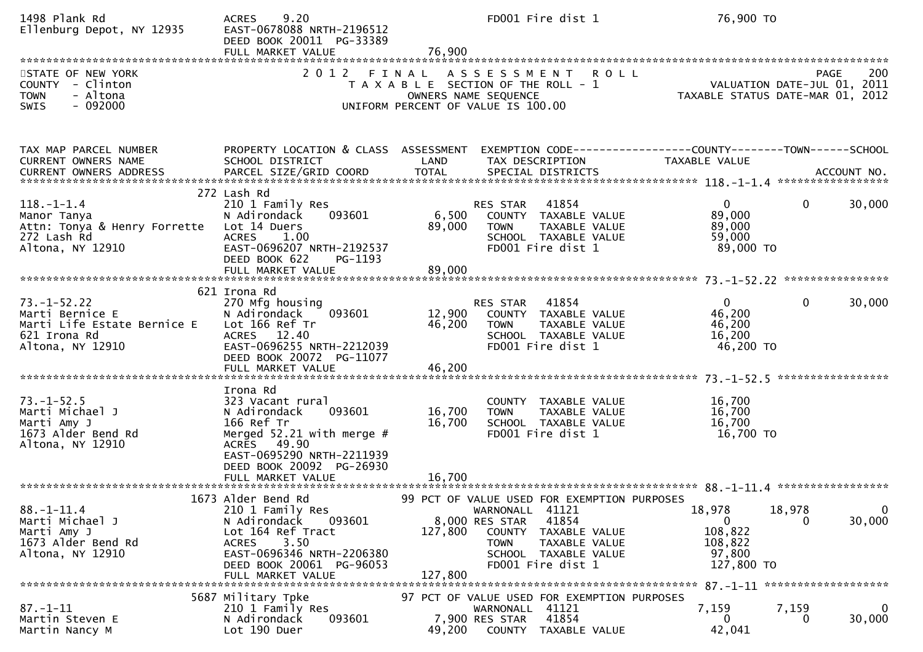| 1498 Plank Rd<br>Ellenburg Depot, NY 12935                                                              | 9.20<br><b>ACRES</b><br>EAST-0678088 NRTH-2196512<br>DEED BOOK 20011 PG-33389<br>FULL MARKET VALUE                                                                                          | 76,900                     | FD001 Fire dist 1                                                                                                                                                                                        | 76,900 TO                                                           |                                         |
|---------------------------------------------------------------------------------------------------------|---------------------------------------------------------------------------------------------------------------------------------------------------------------------------------------------|----------------------------|----------------------------------------------------------------------------------------------------------------------------------------------------------------------------------------------------------|---------------------------------------------------------------------|-----------------------------------------|
| STATE OF NEW YORK<br>COUNTY - Clinton<br>- Altona<br><b>TOWN</b><br>$-092000$<br><b>SWIS</b>            | 2 0 1 2                                                                                                                                                                                     |                            | FINAL ASSESSMENT<br><b>ROLL</b><br>T A X A B L E SECTION OF THE ROLL - 1<br>OWNERS NAME SEQUENCE<br>UNIFORM PERCENT OF VALUE IS 100.00                                                                   | VALUATION DATE-JUL 01, 2011<br>TAXABLE STATUS DATE-MAR 01, 2012     | 200<br>PAGE                             |
| TAX MAP PARCEL NUMBER<br>CURRENT OWNERS NAME                                                            | PROPERTY LOCATION & CLASS ASSESSMENT<br>SCHOOL DISTRICT                                                                                                                                     | LAND                       | EXEMPTION CODE-----------------COUNTY-------TOWN------SCHOOL<br>TAX DESCRIPTION                                                                                                                          | <b>TAXABLE VALUE</b>                                                |                                         |
| $118.-1-1.4$<br>Manor Tanya<br>Attn: Tonya & Henry Forrette<br>272 Lash Rd<br>Altona, NY 12910          | 272 Lash Rd<br>210 1 Family Res<br>N Adirondack<br>093601<br>Lot 14 Duers<br><b>ACRES</b><br>1.00<br>EAST-0696207 NRTH-2192537<br>DEED BOOK 622<br>PG-1193<br>FULL MARKET VALUE             | 6,500<br>89,000<br>89,000  | 41854<br>RES STAR<br>COUNTY TAXABLE VALUE<br><b>TOWN</b><br>TAXABLE VALUE<br>SCHOOL TAXABLE VALUE<br>FD001 Fire dist 1                                                                                   | $\mathbf{0}$<br>89,000<br>89,000<br>59,000<br>89,000 TO             | $\mathbf{0}$<br>30,000                  |
| $73. - 1 - 52.22$<br>Marti Bernice E<br>Marti Life Estate Bernice E<br>621 Irona Rd<br>Altona, NY 12910 | 621 Irona Rd<br>270 Mfg housing<br>093601<br>N Adirondack<br>Lot 166 Ref Tr<br>ACRES 12.40<br>EAST-0696255 NRTH-2212039<br>DEED BOOK 20072 PG-11077<br>FULL MARKET VALUE                    | 12,900<br>46,200<br>46,200 | RES STAR 41854<br>COUNTY TAXABLE VALUE<br><b>TOWN</b><br>TAXABLE VALUE<br>SCHOOL TAXABLE VALUE<br>FD001 Fire dist 1                                                                                      | $\mathbf{0}$<br>46,200<br>46,200<br>16,200<br>46,200 TO             | $\mathbf{0}$<br>30,000                  |
| $73. - 1 - 52.5$<br>Marti Michael J<br>Marti Amy J<br>1673 Alder Bend Rd<br>Altona, NY 12910            | Irona Rd<br>323 Vacant rural<br>093601<br>N Adirondack<br>166 Ref Tr<br>Merged 52.21 with merge $#$<br>ACRES 49.90<br>EAST-0695290 NRTH-2211939<br>DEED BOOK 20092 PG-26930                 | 16,700<br>16,700           | COUNTY TAXABLE VALUE<br><b>TOWN</b><br>TAXABLE VALUE<br>SCHOOL TAXABLE VALUE<br>FD001 Fire dist 1                                                                                                        | 16,700<br>16,700<br>16,700<br>16,700 TO                             |                                         |
| $88. - 1 - 11.4$<br>Marti Michael J<br>Marti Amy J<br>1673 Alder Bend Rd<br>Altona, NY 12910            | 1673 Alder Bend Rd<br>210 1 Family Res<br>093601<br>N Adirondack<br>Lot 164 Ref Tract<br>3.50<br><b>ACRES</b><br>EAST-0696346 NRTH-2206380<br>DEED BOOK 20061 PG-96053<br>FULL MARKET VALUE | 127,800<br>127,800         | 99 PCT OF VALUE USED FOR EXEMPTION PURPOSES<br>WARNONALL 41121<br>8,000 RES STAR<br>41854<br><b>COUNTY</b><br>TAXABLE VALUE<br><b>TOWN</b><br>TAXABLE VALUE<br>SCHOOL TAXABLE VALUE<br>FD001 Fire dist 1 | 18,978<br>$\mathbf 0$<br>108,822<br>108,822<br>97,800<br>127,800 TO | 18,978<br>$\overline{0}$<br>30,000<br>0 |
| $87. - 1 - 11$<br>Martin Steven E<br>Martin Nancy M                                                     | 5687 Military Tpke<br>210 1 Family Res<br>093601<br>N Adirondack<br>Lot 190 Duer                                                                                                            | 49,200                     | 97 PCT OF VALUE USED FOR EXEMPTION PURPOSES<br>WARNONALL 41121<br>41854<br>7,900 RES STAR<br>COUNTY TAXABLE VALUE                                                                                        | 7,159<br>0<br>42,041                                                | 7,159<br>0<br>30,000<br>0               |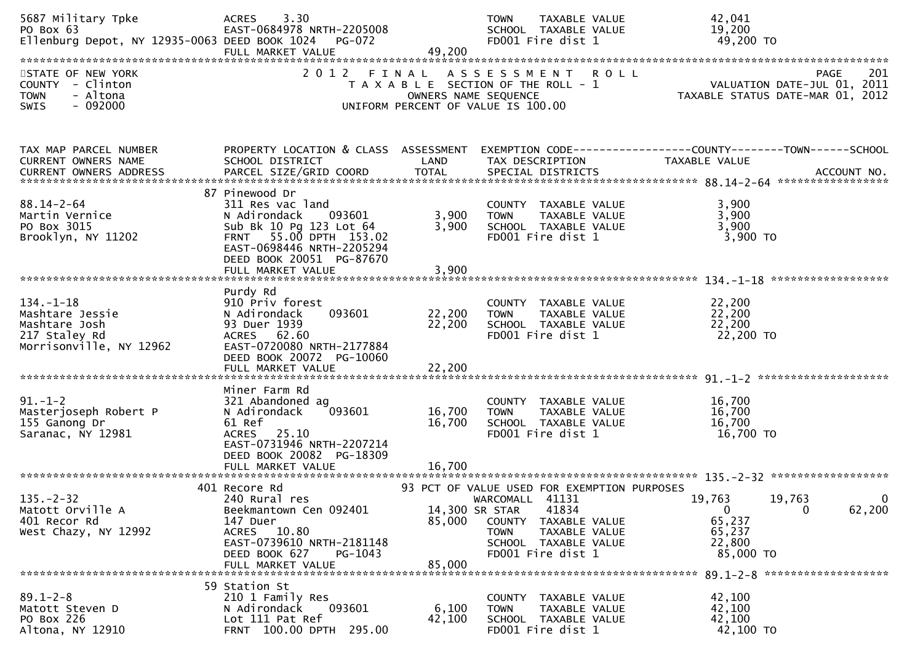| 5687 Military Tpke<br>PO Box 63<br>Ellenburg Depot, NY 12935-0063 DEED BOOK 1024                | 3.30<br><b>ACRES</b><br>EAST-0684978 NRTH-2205008<br>FULL MARKET VALUE                                                                                             | $PG-072$<br>49,200            | <b>TOWN</b><br>TAXABLE VALUE<br>SCHOOL TAXABLE VALUE<br>FD001 Fire dist 1                                                       | 42,041<br>19,200<br>49,200 TO                                                                                                    |
|-------------------------------------------------------------------------------------------------|--------------------------------------------------------------------------------------------------------------------------------------------------------------------|-------------------------------|---------------------------------------------------------------------------------------------------------------------------------|----------------------------------------------------------------------------------------------------------------------------------|
| STATE OF NEW YORK<br>COUNTY - Clinton<br>- Altona<br><b>TOWN</b><br>$-092000$<br><b>SWIS</b>    | 2 0 1 2                                                                                                                                                            | FINAL<br>OWNERS NAME SEQUENCE | ASSESSMENT ROLL<br>T A X A B L E SECTION OF THE ROLL - 1<br>UNIFORM PERCENT OF VALUE IS 100.00                                  | 201<br><b>PAGE</b><br>VALUATION DATE-JUL 01, 2011<br>TAXABLE STATUS DATE-MAR 01, 2012                                            |
|                                                                                                 |                                                                                                                                                                    |                               |                                                                                                                                 |                                                                                                                                  |
| TAX MAP PARCEL NUMBER<br>CURRENT OWNERS NAME<br>CURRENT OWNERS ADDRESS                          | SCHOOL DISTRICT<br>PARCEL SIZE/GRID COORD                                                                                                                          | LAND<br><b>TOTAL</b>          | TAX DESCRIPTION<br>SPECIAL DISTRICTS                                                                                            | PROPERTY LOCATION & CLASS ASSESSMENT EXEMPTION CODE----------------COUNTY-------TOWN------SCHOOL<br>TAXABLE VALUE<br>ACCOUNT NO. |
|                                                                                                 | 87 Pinewood Dr                                                                                                                                                     |                               |                                                                                                                                 |                                                                                                                                  |
| $88.14 - 2 - 64$<br>Martin Vernice<br>PO Box 3015<br>Brooklyn, NY 11202                         | 311 Res vac land<br>N Adirondack<br>093601<br>Sub Bk 10 Pg 123 Lot 64<br>FRNT 55.00 DPTH 153.02<br>EAST-0698446 NRTH-2205294<br>DEED BOOK 20051 PG-87670           | 3,900<br>3,900                | COUNTY TAXABLE VALUE<br>TAXABLE VALUE<br><b>TOWN</b><br>SCHOOL TAXABLE VALUE<br>FD001 Fire dist 1                               | 3,900<br>3,900<br>3,900<br>3,900 TO                                                                                              |
|                                                                                                 | FULL MARKET VALUE                                                                                                                                                  | 3,900                         |                                                                                                                                 |                                                                                                                                  |
| $134. - 1 - 18$<br>Mashtare Jessie<br>Mashtare Josh<br>217 Staley Rd<br>Morrisonville, NY 12962 | Purdy Rd<br>910 Priv forest<br>093601<br>N Adirondack<br>93 Duer 1939<br>ACRES 62.60<br>EAST-0720080 NRTH-2177884<br>DEED BOOK 20072 PG-10060<br>FULL MARKET VALUE | 22,200<br>22,200<br>22,200    | COUNTY TAXABLE VALUE<br><b>TOWN</b><br>TAXABLE VALUE<br>SCHOOL TAXABLE VALUE<br>FD001 Fire dist 1                               | 22,200<br>22,200<br>22,200<br>22,200 TO                                                                                          |
|                                                                                                 | Miner Farm Rd                                                                                                                                                      |                               |                                                                                                                                 |                                                                                                                                  |
| $91. - 1 - 2$<br>Masterjoseph Robert P<br>155 Ganong Dr<br>Saranac, NY 12981                    | 321 Abandoned ag<br>N Adirondack<br>093601<br>61 Ref<br>ACRES 25.10<br>EAST-0731946 NRTH-2207214<br>DEED BOOK 20082 PG-18309                                       | 16,700<br>16,700              | COUNTY TAXABLE VALUE<br><b>TOWN</b><br>TAXABLE VALUE<br>SCHOOL TAXABLE VALUE<br>FD001 Fire dist 1                               | 16,700<br>16,700<br>16,700<br>16,700 TO                                                                                          |
|                                                                                                 |                                                                                                                                                                    |                               |                                                                                                                                 |                                                                                                                                  |
| $135. -2 - 32$<br>Matott Orville A<br>401 Recor Rd<br>West Chazy, NY 12992                      | 401 Recore Rd<br>240 Rural res<br>Beekmantown Cen 092401<br>147 Duer<br>ACRES 10.80                                                                                | 14,300 SR STAR<br>85,000      | 93 PCT OF VALUE USED FOR EXEMPTION PURPOSES<br>WARCOMALL 41131<br>41834<br>COUNTY TAXABLE VALUE<br>TAXABLE VALUE<br><b>TOWN</b> | 19,763<br>19,763<br>0<br>$\mathbf{0}$<br>$\mathbf{0}$<br>62,200<br>65,237<br>65,237                                              |
|                                                                                                 | EAST-0739610 NRTH-2181148<br>DEED BOOK 627<br>PG-1043<br>FULL MARKET VALUE                                                                                         | 85,000                        | SCHOOL TAXABLE VALUE<br>FD001 Fire dist 1                                                                                       | 22,800<br>85,000 TO                                                                                                              |
|                                                                                                 | 59 Station St                                                                                                                                                      |                               |                                                                                                                                 |                                                                                                                                  |
| $89.1 - 2 - 8$<br>Matott Steven D<br>PO Box 226<br>Altona, NY 12910                             | 210 1 Family Res<br>N Adirondack<br>093601<br>Lot 111 Pat Ref<br>FRNT 100.00 DPTH 295.00                                                                           | 6,100<br>42,100               | COUNTY TAXABLE VALUE<br>TAXABLE VALUE<br><b>TOWN</b><br>SCHOOL TAXABLE VALUE<br>FD001 Fire dist 1                               | 42,100<br>42,100<br>42,100<br>42,100 TO                                                                                          |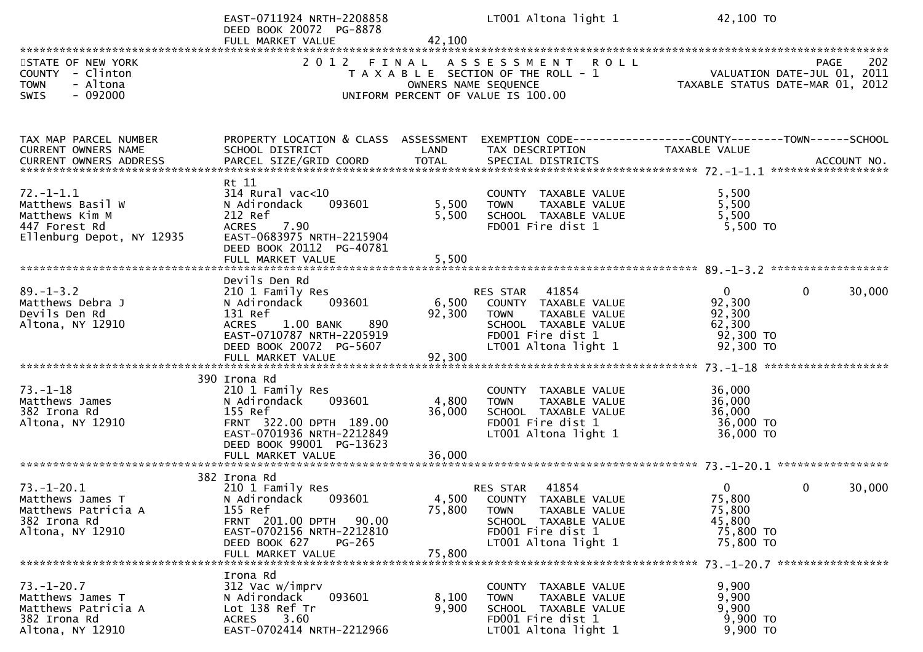|                                                                                                     | EAST-0711924 NRTH-2208858<br>DEED BOOK 20072 PG-8878<br>FULL MARKET VALUE                                                                                                              | 42,100                    | LT001 Altona light 1                                                                                                                           | 42,100 TO                                                              |                                                   |
|-----------------------------------------------------------------------------------------------------|----------------------------------------------------------------------------------------------------------------------------------------------------------------------------------------|---------------------------|------------------------------------------------------------------------------------------------------------------------------------------------|------------------------------------------------------------------------|---------------------------------------------------|
| STATE OF NEW YORK<br>COUNTY - Clinton<br><b>TOWN</b><br>- Altona<br>$-092000$<br>SWIS               |                                                                                                                                                                                        |                           | 2012 FINAL ASSESSMENT ROLL<br>T A X A B L E SECTION OF THE ROLL - 1<br>OWNERS NAME SEQUENCE<br>UNIFORM PERCENT OF VALUE IS 100.00              | TAXABLE STATUS DATE-MAR 01, 2012                                       | 202<br><b>PAGE</b><br>VALUATION DATE-JUL 01, 2011 |
| TAX MAP PARCEL NUMBER<br>CURRENT OWNERS NAME                                                        | PROPERTY LOCATION & CLASS ASSESSMENT<br>SCHOOL DISTRICT                                                                                                                                | LAND                      | EXEMPTION CODE-----------------COUNTY--------TOWN-----SCHOOL<br>TAX DESCRIPTION                                                                | TAXABLE VALUE                                                          |                                                   |
| $72. - 1 - 1.1$<br>Matthews Basil W<br>Matthews Kim M<br>447 Forest Rd<br>Ellenburg Depot, NY 12935 | Rt 11<br>$314$ Rural vac<10<br>N Adirondack<br>093601<br>212 Ref<br>7.90<br><b>ACRES</b><br>EAST-0683975 NRTH-2215904<br>DEED BOOK 20112 PG-40781<br>FULL MARKET VALUE                 | 5,500<br>5,500<br>5,500   | COUNTY TAXABLE VALUE<br><b>TOWN</b><br>TAXABLE VALUE<br>SCHOOL TAXABLE VALUE<br>FD001 Fire dist 1                                              | 5,500<br>5,500<br>5,500<br>$5,500$ TO                                  |                                                   |
| $89. - 1 - 3.2$<br>Matthews Debra J<br>Devils Den Rd<br>Altona, NY 12910                            | Devils Den Rd<br>210 1 Family Res<br>093601<br>N Adirondack<br>131 Ref<br>1.00 BANK<br>890<br><b>ACRES</b><br>EAST-0710787 NRTH-2205919<br>DEED BOOK 20072 PG-5607                     | 6,500<br>92,300           | 41854<br>RES STAR<br>COUNTY TAXABLE VALUE<br>TAXABLE VALUE<br><b>TOWN</b><br>SCHOOL TAXABLE VALUE<br>FD001 Fire dist 1<br>LT001 Altona light 1 | $\overline{0}$<br>92,300<br>92,300<br>62,300<br>92,300 TO<br>92,300 TO | $\mathbf{0}$<br>30,000                            |
| $73. - 1 - 18$<br>Matthews James<br>382 Irona Rd<br>Altona, NY 12910                                | 390 Irona Rd<br>210 1 Family Res<br>093601<br>N Adirondack<br>155 Ref<br>FRNT 322.00 DPTH 189.00<br>EAST-0701936 NRTH-2212849<br>DEED BOOK 99001 PG-13623<br>FULL MARKET VALUE         | 4,800<br>36,000<br>36,000 | COUNTY TAXABLE VALUE<br>TAXABLE VALUE<br><b>TOWN</b><br>SCHOOL TAXABLE VALUE<br>FD001 Fire dist 1<br>LT001 Altona light 1                      | 36,000<br>36,000<br>36,000<br>36,000 TO<br>36,000 TO                   |                                                   |
| $73. - 1 - 20.1$<br>Matthews James T<br>Matthews Patricia A<br>382 Irona Rd<br>Altona, NY 12910     | 382 Irona Rd<br>210 1 Family Res<br>N Adirondack<br>093601<br>155 Ref<br>FRNT 201.00 DPTH<br>90.00<br>EAST-0702156 NRTH-2212810<br>DEED BOOK 627<br><b>PG-265</b><br>FULL MARKET VALUE | 4,500<br>75,800<br>75,800 | 41854<br>RES STAR<br>COUNTY TAXABLE VALUE<br>TAXABLE VALUE<br><b>TOWN</b><br>SCHOOL TAXABLE VALUE<br>FD001 Fire dist 1<br>LT001 Altona light 1 | $\Omega$<br>75,800<br>75,800<br>45,800<br>75,800 TO<br>75,800 TO       | 30,000<br>$\Omega$                                |
| $73. - 1 - 20.7$<br>Matthews James T<br>Matthews Patricia A<br>382 Irona Rd<br>Altona, NY 12910     | Irona Rd<br>312 Vac w/imprv<br>093601<br>N Adirondack<br>Lot 138 Ref Tr<br>3.60<br><b>ACRES</b><br>EAST-0702414 NRTH-2212966                                                           | 8,100<br>9,900            | COUNTY TAXABLE VALUE<br>TAXABLE VALUE<br><b>TOWN</b><br>SCHOOL TAXABLE VALUE<br>FD001 Fire dist 1<br>LT001 Altona light 1                      | 9,900<br>9,900<br>9,900<br>9,900 TO<br>9,900 TO                        |                                                   |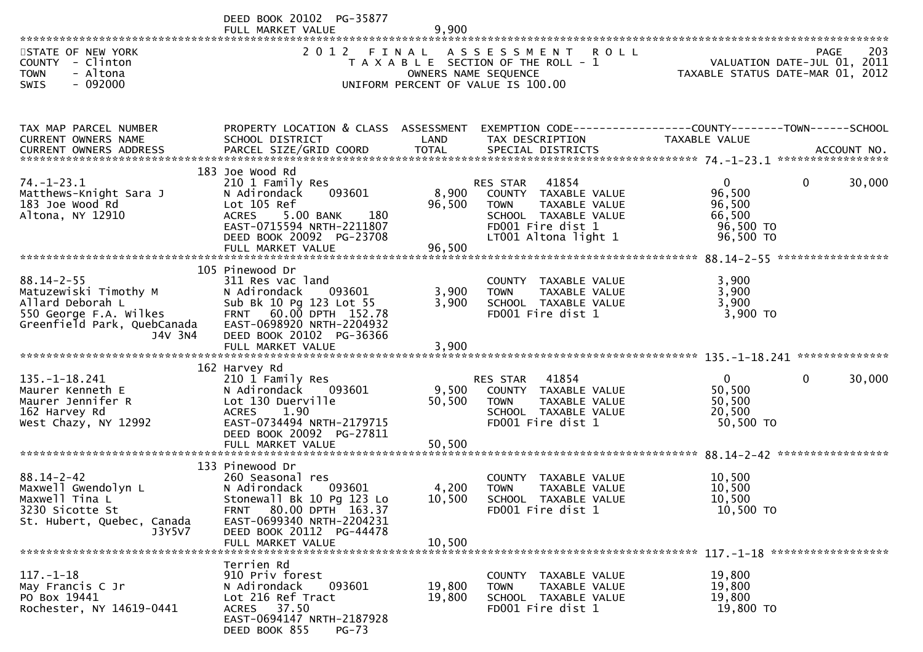DEED BOOK 20102 PG-35877

|                                                                                                                                   | FULL MARKET VALUE                                                                                                                                                                                  | 9,900                     |                                                                                                                                                       |                                                                                      |             |
|-----------------------------------------------------------------------------------------------------------------------------------|----------------------------------------------------------------------------------------------------------------------------------------------------------------------------------------------------|---------------------------|-------------------------------------------------------------------------------------------------------------------------------------------------------|--------------------------------------------------------------------------------------|-------------|
| STATE OF NEW YORK<br>COUNTY - Clinton<br><b>TOWN</b><br>- Altona<br>$-092000$<br><b>SWIS</b>                                      | 2 0 1 2                                                                                                                                                                                            | FINAL                     | ASSESSMENT ROLL<br>T A X A B L E SECTION OF THE ROLL - 1<br>OWNERS NAME SEQUENCE<br>UNIFORM PERCENT OF VALUE IS 100.00                                | VALUATION DATE-JUL 01, 2011<br>TAXABLE STATUS DATE-MAR 01, 2012                      | 203<br>PAGE |
| TAX MAP PARCEL NUMBER<br>CURRENT OWNERS NAME                                                                                      | PROPERTY LOCATION & CLASS ASSESSMENT<br>SCHOOL DISTRICT                                                                                                                                            | LAND                      | TAX DESCRIPTION                                                                                                                                       | EXEMPTION CODE-----------------COUNTY-------TOWN------SCHOOL<br>TAXABLE VALUE        |             |
| $74. - 1 - 23.1$<br>Matthews-Knight Sara J<br>183 Joe Wood Rd<br>Altona, NY 12910                                                 | 183 Joe Wood Rd<br>210 1 Family Res<br>093601<br>N Adirondack<br>Lot 105 Ref<br>180<br><b>ACRES</b><br>5.00 BANK<br>EAST-0715594 NRTH-2211807<br>DEED BOOK 20092 PG-23708<br>FULL MARKET VALUE     | 8,900<br>96,500<br>96,500 | 41854<br><b>RES STAR</b><br>COUNTY TAXABLE VALUE<br><b>TOWN</b><br>TAXABLE VALUE<br>SCHOOL TAXABLE VALUE<br>FD001 Fire dist 1<br>LT001 Altona light 1 | $\mathbf{0}$<br>$\mathbf{0}$<br>96,500<br>96,500<br>66,500<br>96,500 TO<br>96,500 TO | 30,000      |
| $88.14 - 2 - 55$<br>Matuzewiski Timothy M<br>Allard Deborah L<br>550 George F.A. Wilkes<br>Greenfield Park, QuebCanada<br>J4V 3N4 | 105 Pinewood Dr<br>311 Res vac land<br>093601<br>N Adirondack<br>Sub Bk 10 Pg 123 Lot 55<br>FRNT 60.00 DPTH 152.78<br>EAST-0698920 NRTH-2204932<br>DEED BOOK 20102 PG-36366<br>FULL MARKET VALUE   | 3,900<br>3,900<br>3,900   | COUNTY TAXABLE VALUE<br>TAXABLE VALUE<br><b>TOWN</b><br>SCHOOL TAXABLE VALUE<br>FD001 Fire dist 1                                                     | 3,900<br>3,900<br>3,900<br>3,900 TO                                                  |             |
| $135. - 1 - 18.241$<br>Maurer Kenneth E<br>Maurer Jennifer R<br>162 Harvey Rd<br>West Chazy, NY 12992                             | 162 Harvey Rd<br>210 1 Family Res<br>N Adirondack<br>093601<br>Lot 130 Duerville<br><b>ACRES</b><br>1.90<br>EAST-0734494 NRTH-2179715<br>DEED BOOK 20092 PG-27811<br>FULL MARKET VALUE             | 9,500<br>50,500<br>50,500 | RES STAR<br>41854<br>COUNTY TAXABLE VALUE<br><b>TOWN</b><br>TAXABLE VALUE<br>SCHOOL TAXABLE VALUE<br>FD001 Fire dist 1                                | $\mathbf{0}$<br>$\mathbf{0}$<br>50,500<br>50,500<br>20,500<br>50,500 TO              | 30,000      |
| $88.14 - 2 - 42$<br>Maxwell Gwendolyn L<br>Maxwell Tina L<br>3230 Sicotte St<br>St. Hubert, Quebec, Canada<br>J3Y5V7              | 133 Pinewood Dr<br>260 Seasonal res<br>N Adirondack<br>093601<br>Stonewall Bk 10 Pg 123 Lo<br>FRNT 80.00 DPTH 163.37<br>EAST-0699340 NRTH-2204231<br>DEED BOOK 20112 PG-44478<br>FULL MARKET VALUE | 4,200<br>10,500<br>10,500 | COUNTY TAXABLE VALUE<br>TAXABLE VALUE<br><b>TOWN</b><br>SCHOOL TAXABLE VALUE<br>FD001 Fire dist 1                                                     | 10,500<br>10,500<br>10,500<br>10,500 TO                                              |             |
| $117. - 1 - 18$<br>May Francis C Jr<br>PO Box 19441<br>Rochester, NY 14619-0441                                                   | Terrien Rd<br>910 Priv forest<br>N Adirondack<br>093601<br>Lot 216 Ref Tract<br>ACRES 37.50<br>EAST-0694147 NRTH-2187928<br>DEED BOOK 855<br>$PG-73$                                               | 19,800<br>19,800          | COUNTY TAXABLE VALUE<br>TAXABLE VALUE<br><b>TOWN</b><br>SCHOOL TAXABLE VALUE<br>FD001 Fire dist 1                                                     | 19,800<br>19,800<br>19,800<br>19,800 TO                                              |             |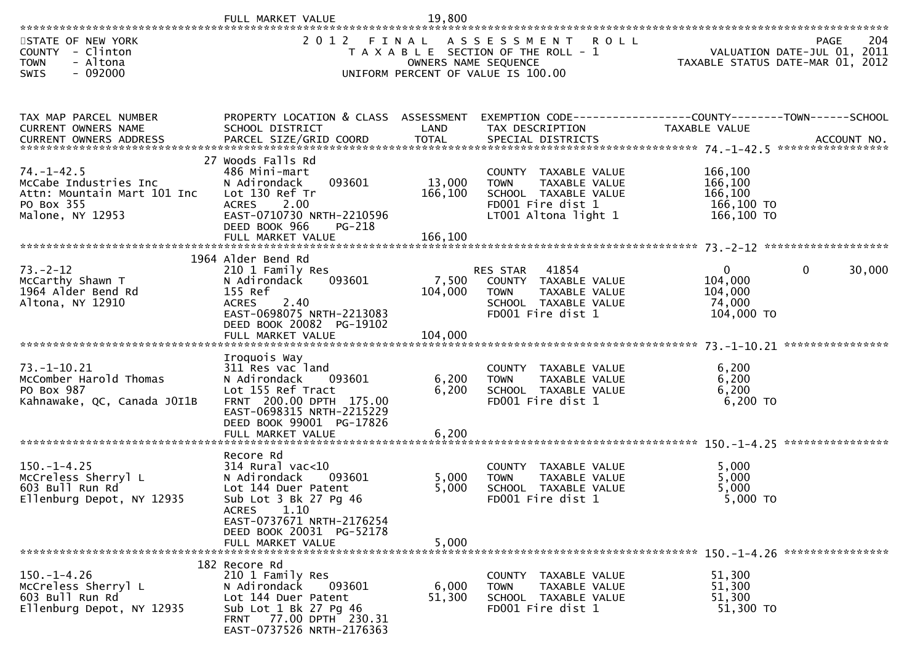|                                                                                                            | FULL MARKET VALUE                                                                                                                                                                                        | 19,800                        |                                                                                                                               |                                                            |                                            |
|------------------------------------------------------------------------------------------------------------|----------------------------------------------------------------------------------------------------------------------------------------------------------------------------------------------------------|-------------------------------|-------------------------------------------------------------------------------------------------------------------------------|------------------------------------------------------------|--------------------------------------------|
| STATE OF NEW YORK<br>COUNTY<br>- Clinton<br>- Altona<br><b>TOWN</b><br>SWIS<br>- 092000                    | 2 0 1 2                                                                                                                                                                                                  | FINAL<br>OWNERS NAME SEQUENCE | A S S E S S M E N T<br><b>ROLL</b><br>T A X A B L E SECTION OF THE ROLL - 1<br>UNIFORM PERCENT OF VALUE IS 100.00             | TAXABLE STATUS DATE-MAR 01, 2012                           | 204<br>PAGE<br>VALUATION DATE-JUL 01, 2011 |
| TAX MAP PARCEL NUMBER<br>CURRENT OWNERS NAME                                                               | PROPERTY LOCATION & CLASS ASSESSMENT<br>SCHOOL DISTRICT                                                                                                                                                  | LAND                          | EXEMPTION CODE-----------------COUNTY--------TOWN-----SCHOOL<br>TAX DESCRIPTION                                               | TAXABLE VALUE                                              |                                            |
| $74. - 1 - 42.5$<br>McCabe Industries Inc<br>Attn: Mountain Mart 101 Inc<br>PO Box 355<br>Malone, NY 12953 | 27 Woods Falls Rd<br>486 Mini-mart<br>093601<br>N Adirondack<br>Lot 130 Ref Tr<br>2.00<br><b>ACRES</b><br>EAST-0710730 NRTH-2210596<br>DEED BOOK 966<br>PG-218                                           | 13,000<br>166,100             | COUNTY TAXABLE VALUE<br>TAXABLE VALUE<br><b>TOWN</b><br>SCHOOL TAXABLE VALUE<br>FD001 Fire dist 1<br>LT001 Altona light 1     | 166,100<br>166,100<br>166,100<br>166,100 TO<br>166,100 TO  |                                            |
|                                                                                                            | 1964 Alder Bend Rd                                                                                                                                                                                       |                               |                                                                                                                               |                                                            |                                            |
| $73. - 2 - 12$<br>McCarthy Shawn T<br>1964 Alder Bend Rd<br>Altona, NY 12910                               | 210 1 Family Res<br>093601<br>N Adirondack<br>155 Ref<br>2.40<br><b>ACRES</b><br>EAST-0698075 NRTH-2213083<br>DEED BOOK 20082 PG-19102<br>FULL MARKET VALUE                                              | 7,500<br>104,000<br>104,000   | 41854<br><b>RES STAR</b><br>COUNTY TAXABLE VALUE<br>TAXABLE VALUE<br><b>TOWN</b><br>SCHOOL TAXABLE VALUE<br>FD001 Fire dist 1 | $\mathbf{0}$<br>104,000<br>104,000<br>74,000<br>104,000 TO | $\Omega$<br>30,000<br>****************     |
| $73. - 1 - 10.21$<br>McComber Harold Thomas<br>PO Box 987<br>Kahnawake, QC, Canada JOI1B                   | Iroquois Way<br>311 Res vac land<br>093601<br>N Adirondack<br>Lot 155 Ref Tract<br>FRNT 200.00 DPTH 175.00<br>EAST-0698315 NRTH-2215229<br>DEED BOOK 99001 PG-17826<br>FULL MARKET VALUE                 | 6,200<br>6,200<br>6,200       | COUNTY TAXABLE VALUE<br><b>TOWN</b><br>TAXABLE VALUE<br>SCHOOL TAXABLE VALUE<br>FD001 Fire dist 1                             | 6,200<br>6,200<br>6,200<br>$6,200$ TO                      |                                            |
| $150. - 1 - 4.25$<br>McCreless Sherryl L<br>603 Bull Run Rd<br>Ellenburg Depot, NY 12935                   | Recore Rd<br>$314$ Rural vac<10<br>093601<br>N Adirondack<br>Lot 144 Duer Patent<br>Sub Lot 3 Bk 27 Pg 46<br>ACRES<br>1.10<br>EAST-0737671 NRTH-2176254<br>DEED BOOK 20031 PG-52178<br>FULL MARKET VALUE | 5,000<br>5,000<br>5,000       | COUNTY TAXABLE VALUE<br>TAXABLE VALUE<br><b>TOWN</b><br>SCHOOL TAXABLE VALUE<br>FD001 Fire dist 1                             | 5,000<br>5,000<br>5,000<br>5,000 TO                        |                                            |
| $150.-1-4.26$<br>McCreless Sherryl L<br>603 Bull Run Rd<br>Ellenburg Depot, NY 12935                       | 182 Recore Rd<br>210 1 Family Res<br>N Adirondack<br>093601<br>Lot 144 Duer Patent<br>Sub Lot 1 Bk 27 Pg 46<br>FRNT 77.00 DPTH 230.31<br>EAST-0737526 NRTH-2176363                                       | 6,000<br>51,300               | COUNTY<br>TAXABLE VALUE<br>TAXABLE VALUE<br><b>TOWN</b><br>SCHOOL TAXABLE VALUE<br>FD001 Fire dist 1                          | 51,300<br>51,300<br>51,300<br>51,300 TO                    |                                            |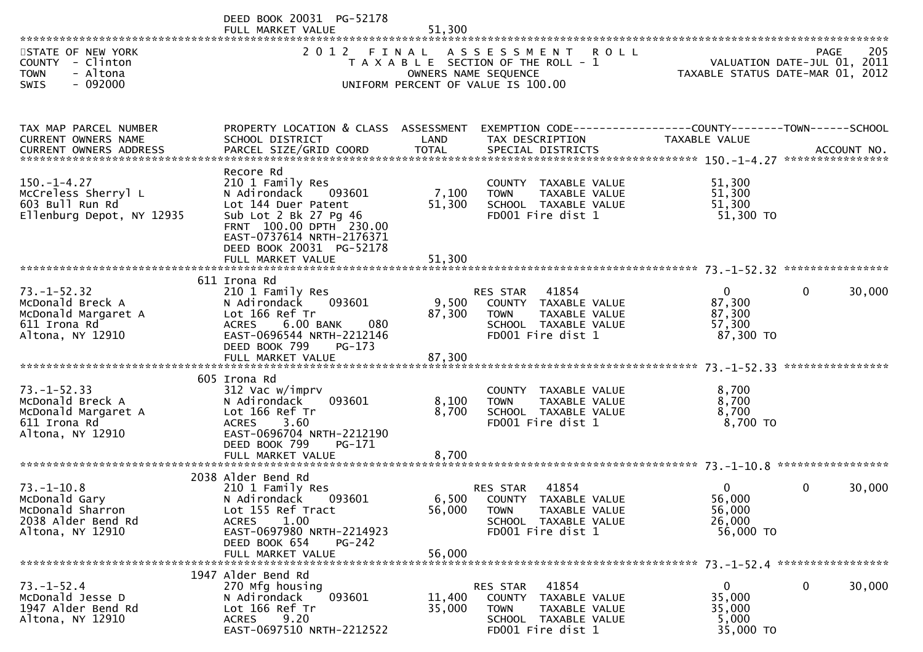|                                                                                                  | DEED BOOK 20031 PG-52178<br>FULL MARKET VALUE                                                                                                                                               | 51,300           |                                                                                       |                                                                                             |                                                                                |              |        |
|--------------------------------------------------------------------------------------------------|---------------------------------------------------------------------------------------------------------------------------------------------------------------------------------------------|------------------|---------------------------------------------------------------------------------------|---------------------------------------------------------------------------------------------|--------------------------------------------------------------------------------|--------------|--------|
| STATE OF NEW YORK<br>COUNTY - Clinton<br>- Altona<br><b>TOWN</b><br>$-092000$<br><b>SWIS</b>     | 2 0 1 2<br>FINAL<br>T A X A B L E SECTION OF THE ROLL - 1<br>UNIFORM PERCENT OF VALUE IS 100.00                                                                                             | <b>ROLL</b>      | 205<br><b>PAGE</b><br>VALUATION DATE-JUL 01, 2011<br>TAXABLE STATUS DATE-MAR 01, 2012 |                                                                                             |                                                                                |              |        |
| TAX MAP PARCEL NUMBER<br>CURRENT OWNERS NAME                                                     | PROPERTY LOCATION & CLASS ASSESSMENT<br>SCHOOL DISTRICT                                                                                                                                     | LAND             | TAX DESCRIPTION                                                                       |                                                                                             | EXEMPTION CODE------------------COUNTY-------TOWN------SCHOOL<br>TAXABLE VALUE |              |        |
| $150. - 1 - 4.27$<br>McCreless Sherryl L<br>603 Bull Run Rd<br>Ellenburg Depot, NY 12935         | Recore Rd<br>210 1 Family Res<br>N Adirondack<br>093601<br>Lot 144 Duer Patent<br>Sub Lot 2 Bk 27 Pg 46<br>FRNT 100.00 DPTH 230.00<br>EAST-0737614 NRTH-2176371<br>DEED BOOK 20031 PG-52178 | 7,100<br>51,300  | <b>TOWN</b>                                                                           | COUNTY TAXABLE VALUE<br>TAXABLE VALUE<br>SCHOOL TAXABLE VALUE<br>FD001 Fire dist 1          | 51,300<br>51,300<br>51,300<br>51,300 TO                                        |              |        |
|                                                                                                  |                                                                                                                                                                                             |                  |                                                                                       |                                                                                             |                                                                                |              |        |
| $73. - 1 - 52.32$<br>McDonald Breck A<br>McDonald Margaret A<br>611 Irona Rd<br>Altona, NY 12910 | 611 Irona Rd<br>210 1 Family Res<br>093601<br>N Adirondack<br>Lot 166 Ref Tr<br><b>ACRES</b><br>6.00 BANK<br>080<br>EAST-0696544 NRTH-2212146<br>DEED BOOK 799<br>$PG-173$                  | 9,500<br>87,300  | RES STAR<br><b>TOWN</b>                                                               | 41854<br>COUNTY TAXABLE VALUE<br>TAXABLE VALUE<br>SCHOOL TAXABLE VALUE<br>FD001 Fire dist 1 | $\mathbf{0}$<br>87,300<br>87,300<br>57,300<br>87,300 TO                        | 0            | 30,000 |
|                                                                                                  | 605 Irona Rd                                                                                                                                                                                |                  |                                                                                       |                                                                                             |                                                                                |              |        |
| $73. - 1 - 52.33$<br>McDonald Breck A<br>McDonald Margaret A<br>611 Irona Rd<br>Altona, NY 12910 | 312 Vac w/imprv<br>093601<br>N Adirondack<br>Lot 166 Ref Tr<br><b>ACRES</b><br>3.60<br>EAST-0696704 NRTH-2212190<br>DEED BOOK 799<br>PG-171                                                 | 8,100<br>8,700   | <b>TOWN</b>                                                                           | COUNTY TAXABLE VALUE<br>TAXABLE VALUE<br>SCHOOL TAXABLE VALUE<br>FD001 Fire dist 1          | 8,700<br>8,700<br>8,700<br>8,700 TO                                            |              |        |
|                                                                                                  |                                                                                                                                                                                             |                  |                                                                                       |                                                                                             |                                                                                |              |        |
| $73. - 1 - 10.8$<br>McDonald Gary<br>McDonald Sharron<br>2038 Alder Bend Rd<br>Altona, NY 12910  | 2038 Alder Bend Rd<br>210 1 Family Res<br>N Adirondack<br>093601<br>Lot 155 Ref Tract<br>1.00<br><b>ACRES</b><br>EAST-0697980 NRTH-2214923<br>DEED BOOK 654<br>$PG-242$                     | 6,500<br>56,000  | <b>RES STAR</b><br>TOWN                                                               | 41854<br>COUNTY TAXABLE VALUE<br>TAXABLE VALUE<br>SCHOOL TAXABLE VALUE<br>FD001 Fire dist 1 | 0<br>56,000<br>56,000<br>26,000<br>56,000 TO                                   | 0            | 30,000 |
|                                                                                                  | FULL MARKET VALUE                                                                                                                                                                           | 56,000           |                                                                                       |                                                                                             |                                                                                |              |        |
| $73. - 1 - 52.4$<br>McDonald Jesse D<br>1947 Alder Bend Rd<br>Altona, NY 12910                   | 1947 Alder Bend Rd<br>270 Mfg housing<br>093601<br>N Adirondack<br>Lot 166 Ref Tr<br>9.20<br><b>ACRES</b><br>EAST-0697510 NRTH-2212522                                                      | 11,400<br>35,000 | RES STAR<br><b>COUNTY</b><br><b>TOWN</b>                                              | 41854<br>TAXABLE VALUE<br>TAXABLE VALUE<br>SCHOOL TAXABLE VALUE<br>FD001 Fire dist 1        | 0<br>35,000<br>35,000<br>5,000<br>35,000 TO                                    | $\mathbf{0}$ | 30,000 |

EAST-0697510 NRTH-2212522 FD001 Fire dist 1 35,000 TO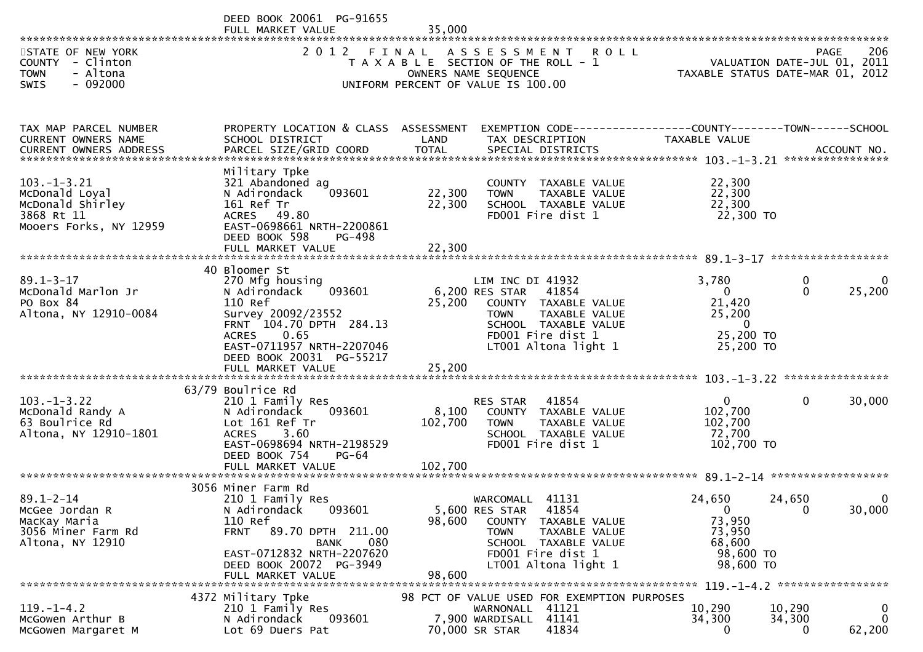|                                                                                                | DEED BOOK 20061 PG-91655<br>FULL MARKET VALUE                                                                                                                                                               | 35,000                     |                                                                                                                                                                               |                                                                                     |                                     |                        |
|------------------------------------------------------------------------------------------------|-------------------------------------------------------------------------------------------------------------------------------------------------------------------------------------------------------------|----------------------------|-------------------------------------------------------------------------------------------------------------------------------------------------------------------------------|-------------------------------------------------------------------------------------|-------------------------------------|------------------------|
| STATE OF NEW YORK<br>COUNTY - Clinton<br>- Altona<br><b>TOWN</b><br>$-092000$<br>SWIS          | 2 0 1 2                                                                                                                                                                                                     | FINAL                      | ASSESSMENT ROLL<br>T A X A B L E SECTION OF THE ROLL - 1<br>OWNERS NAME SEQUENCE<br>UNIFORM PERCENT OF VALUE IS 100.00                                                        | TAXABLE STATUS DATE-MAR 01, 2012                                                    | PAGE<br>VALUATION DATE-JUL 01, 2011 | 206                    |
| TAX MAP PARCEL NUMBER<br>CURRENT OWNERS NAME                                                   | PROPERTY LOCATION & CLASS ASSESSMENT<br>SCHOOL DISTRICT                                                                                                                                                     | LAND                       | EXEMPTION CODE-----------------COUNTY-------TOWN------SCHOOL<br>TAX DESCRIPTION                                                                                               | TAXABLE VALUE                                                                       |                                     |                        |
| $103. -1 - 3.21$<br>McDonald Loyal<br>McDonald Shirley<br>3868 Rt 11<br>Mooers Forks, NY 12959 | Military Tpke<br>321 Abandoned ag<br>093601<br>N Adirondack<br>161 Ref Tr<br>ACRES 49.80<br>EAST-0698661 NRTH-2200861<br>DEED BOOK 598<br>PG-498<br>FULL MARKET VALUE                                       | 22,300<br>22,300<br>22,300 | COUNTY TAXABLE VALUE<br>TAXABLE VALUE<br><b>TOWN</b><br>SCHOOL TAXABLE VALUE<br>FD001 Fire dist 1                                                                             | 22,300<br>22,300<br>22,300<br>22,300 TO                                             |                                     |                        |
|                                                                                                | 40 Bloomer St                                                                                                                                                                                               |                            |                                                                                                                                                                               |                                                                                     |                                     |                        |
| $89.1 - 3 - 17$<br>McDonald Marlon Jr<br>PO Box 84<br>Altona, NY 12910-0084                    | 270 Mfg housing<br>093601<br>N Adirondack<br>110 Ref<br>Survey 20092/23552<br>FRNT 104.70 DPTH 284.13<br><b>ACRES</b><br>0.65<br>EAST-0711957 NRTH-2207046<br>DEED BOOK 20031 PG-55217<br>FULL MARKET VALUE | 25,200<br>25,200           | LIM INC DI 41932<br>6,200 RES STAR<br>41854<br>COUNTY TAXABLE VALUE<br>TAXABLE VALUE<br><b>TOWN</b><br>SCHOOL TAXABLE VALUE<br>FD001 Fire dist 1<br>LT001 Altona light 1      | 3,780<br>$\mathbf{0}$<br>21,420<br>25,200<br>$\mathbf{0}$<br>25,200 TO<br>25,200 TO | $\mathbf 0$<br>$\Omega$             | $\mathbf{0}$<br>25,200 |
|                                                                                                |                                                                                                                                                                                                             |                            |                                                                                                                                                                               |                                                                                     |                                     |                        |
| $103. -1 - 3.22$<br>McDonald Randy A<br>63 Boulrice Rd<br>Altona, NY 12910-1801                | 63/79 Boulrice Rd<br>210 1 Family Res<br>N Adirondack<br>093601<br>Lot 161 Ref Tr<br>3.60<br><b>ACRES</b><br>EAST-0698694 NRTH-2198529<br>DEED BOOK 754<br>$PG-64$                                          | 8,100<br>102,700           | 41854<br>RES STAR<br>COUNTY TAXABLE VALUE<br>TAXABLE VALUE<br><b>TOWN</b><br>SCHOOL TAXABLE VALUE<br>FD001 Fire dist 1                                                        | $\mathbf{0}$<br>102,700<br>102,700<br>72,700<br>102,700 TO                          | $\mathbf{0}$                        | 30,000                 |
|                                                                                                |                                                                                                                                                                                                             |                            |                                                                                                                                                                               |                                                                                     |                                     |                        |
| $89.1 - 2 - 14$<br>McGee Jordan R<br>MacKay Maria<br>3056 Miner Farm Rd<br>Altona, NY 12910    | 3056 Miner Farm Rd<br>210 1 Family Res<br>N Adirondack<br>093601<br>110 Ref<br>89.70 DPTH 211.00<br><b>FRNT</b><br>080<br><b>BANK</b><br>EAST-0712832 NRTH-2207620<br>DEED BOOK 20072 PG-3949               | 98,600                     | WARCOMALL<br>41131<br>41854<br>5,600 RES STAR<br><b>COUNTY</b><br>TAXABLE VALUE<br>TOWN<br>TAXABLE VALUE<br>SCHOOL TAXABLE VALUE<br>FD001 Fire dist 1<br>LT001 Altona light 1 | 24,650<br>$\mathbf 0$<br>73,950<br>73,950<br>68,600<br>98,600 TO<br>98,600 TO       | 24,650<br>$\mathbf 0$               | 30,000                 |
|                                                                                                | FULL MARKET VALUE                                                                                                                                                                                           | 98,600                     |                                                                                                                                                                               |                                                                                     |                                     |                        |
| $119. - 1 - 4.2$<br>McGowen Arthur B<br>McGowen Margaret M                                     | 4372 Military Tpke<br>210 1 Family Res<br>093601<br>N Adirondack<br>Lot 69 Duers Pat                                                                                                                        |                            | 98 PCT OF VALUE USED FOR EXEMPTION PURPOSES<br>WARNONALL 41121<br>41141<br>7,900 WARDISALL<br>41834<br>70,000 SR STAR                                                         | 10,290<br>34,300<br>0                                                               | 10,290<br>34,300<br>0               | 0<br>0<br>62,200       |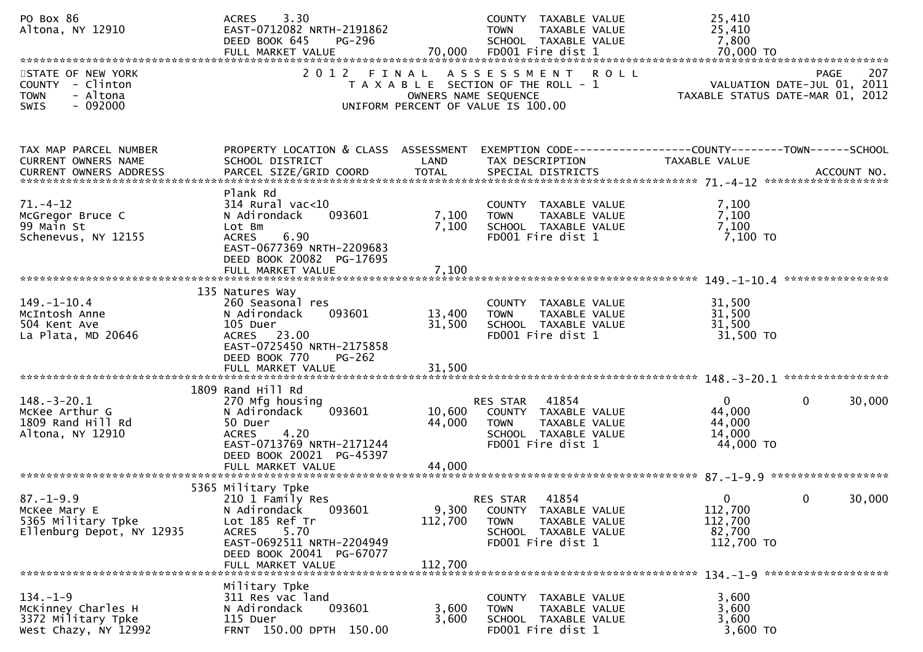| PO Box 86<br>Altona, NY 12910                                                         | 3.30<br><b>ACRES</b><br>EAST-0712082 NRTH-2191862<br>DEED BOOK 645<br>PG-296<br>FULL MARKET VALUE                                                                                        | 70,000                      | COUNTY TAXABLE VALUE<br><b>TOWN</b><br>TAXABLE VALUE<br>SCHOOL TAXABLE VALUE<br>FD001 Fire dist 1                      | 25,410<br>25,410<br>7,800<br>70,000 TO                                                                                             |
|---------------------------------------------------------------------------------------|------------------------------------------------------------------------------------------------------------------------------------------------------------------------------------------|-----------------------------|------------------------------------------------------------------------------------------------------------------------|------------------------------------------------------------------------------------------------------------------------------------|
| STATE OF NEW YORK<br>COUNTY - Clinton<br>- Altona<br><b>TOWN</b><br>$-092000$<br>SWIS | 2 0 1 2                                                                                                                                                                                  | FINAL                       | ASSESSMENT ROLL<br>T A X A B L E SECTION OF THE ROLL - 1<br>OWNERS NAME SEQUENCE<br>UNIFORM PERCENT OF VALUE IS 100.00 | 207<br><b>PAGE</b><br>207 - YAGE<br>VALUATION DATE-JUL 01, 2011<br>TAXARLE STATUS DATE :::: 21<br>TAXABLE STATUS DATE-MAR 01, 2012 |
| TAX MAP PARCEL NUMBER<br>CURRENT OWNERS NAME<br><b>CURRENT OWNERS ADDRESS</b>         | PROPERTY LOCATION & CLASS ASSESSMENT<br>SCHOOL DISTRICT<br>PARCEL SIZE/GRID COORD                                                                                                        | LAND<br><b>TOTAL</b>        | TAX DESCRIPTION<br>SPECIAL DISTRICTS                                                                                   | EXEMPTION CODE-----------------COUNTY-------TOWN------SCHOOL<br>TAXABLE VALUE<br>ACCOUNT NO.                                       |
| $71. - 4 - 12$<br>McGregor Bruce C<br>99 Main St<br>Schenevus, NY 12155               | Plank Rd<br>$314$ Rural vac<10<br>N Adirondack<br>093601<br>Lot Bm<br>6.90<br><b>ACRES</b><br>EAST-0677369 NRTH-2209683<br>DEED BOOK 20082 PG-17695<br>FULL MARKET VALUE                 | 7,100<br>7,100<br>7,100     | COUNTY TAXABLE VALUE<br>TAXABLE VALUE<br><b>TOWN</b><br>SCHOOL TAXABLE VALUE<br>FD001 Fire dist 1                      | 7,100<br>7,100<br>7,100<br>7,100 TO                                                                                                |
| $149. - 1 - 10.4$<br>McIntosh Anne<br>504 Kent Ave<br>La Plata, MD 20646              | 135 Natures Way<br>260 Seasonal res<br>N Adirondack<br>093601<br>105 Duer<br>ACRES 23.00<br>EAST-0725450 NRTH-2175858<br>DEED BOOK 770<br>PG-262<br>FULL MARKET VALUE                    | 13,400<br>31,500<br>31,500  | COUNTY TAXABLE VALUE<br><b>TOWN</b><br>TAXABLE VALUE<br>SCHOOL TAXABLE VALUE<br>FD001 Fire dist 1                      | 31,500<br>31,500<br>31,500<br>31,500 TO                                                                                            |
| $148. - 3 - 20.1$<br>McKee Arthur G<br>1809 Rand Hill Rd<br>Altona, NY 12910          | 1809 Rand Hill Rd<br>270 Mfg housing<br>N Adirondack<br>093601<br>50 Duer<br>4.20<br><b>ACRES</b><br>EAST-0713769 NRTH-2171244<br>DEED BOOK 20021 PG-45397                               | 10,600<br>44,000            | 41854<br>RES STAR<br>COUNTY TAXABLE VALUE<br><b>TOWN</b><br>TAXABLE VALUE<br>SCHOOL TAXABLE VALUE<br>FD001 Fire dist 1 | $\mathbf{0}$<br>$\Omega$<br>30,000<br>44,000<br>44,000<br>14,000<br>44,000 TO                                                      |
| $87. - 1 - 9.9$<br>McKee Mary E<br>5365 Military Tpke<br>Ellenburg Depot, NY 12935    | 5365 Military Tpke<br>210 1 Family Res<br>N Adirondack<br>093601<br>Lot 185 Ref Tr<br>5.70<br><b>ACRES</b><br>EAST-0692511 NRTH-2204949<br>DEED BOOK 20041 PG-67077<br>FULL MARKET VALUE | 9,300<br>112,700<br>112,700 | 41854<br>RES STAR<br>COUNTY TAXABLE VALUE<br>TAXABLE VALUE<br><b>TOWN</b><br>SCHOOL TAXABLE VALUE<br>FD001 Fire dist 1 | $\mathbf{0}$<br>30,000<br>0<br>112,700<br>112,700<br>82,700<br>112,700 TO                                                          |
| $134. - 1 - 9$<br>McKinney Charles H<br>3372 Military Tpke<br>West Chazy, NY 12992    | Military Tpke<br>311 Res vac land<br>N Adirondack<br>093601<br>115 Duer<br>FRNT 150.00 DPTH 150.00                                                                                       | 3,600<br>3,600              | COUNTY TAXABLE VALUE<br>TAXABLE VALUE<br><b>TOWN</b><br>SCHOOL TAXABLE VALUE<br>FD001 Fire dist 1                      | 3,600<br>3,600<br>3,600<br>3,600 TO                                                                                                |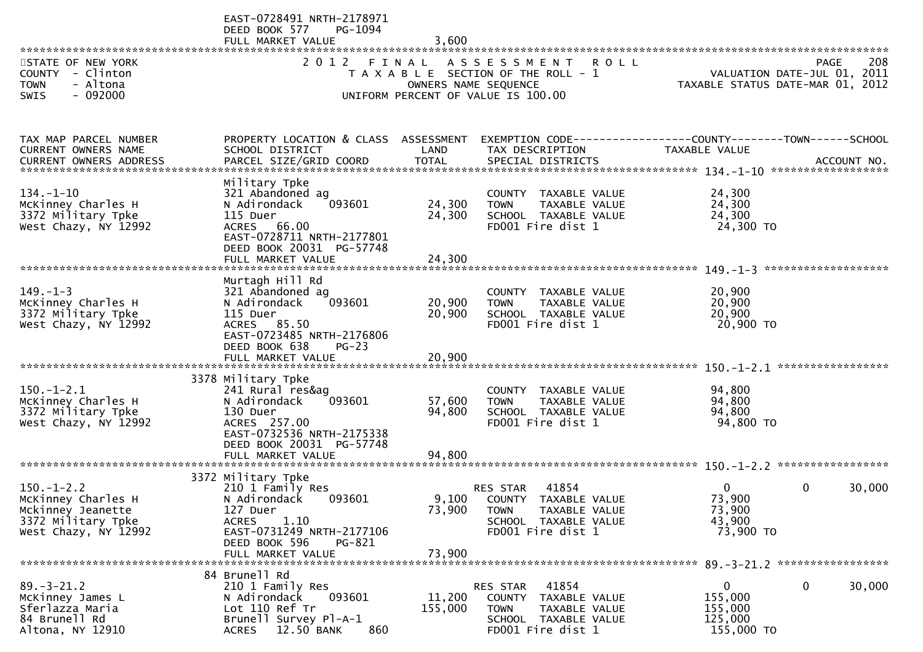|                                                                                                           | EAST-0728491 NRTH-2178971<br>DEED BOOK 577<br>PG-1094<br>FULL MARKET VALUE                                                                                                        | 3,600                      |                                                                                                                                  |                                                                 |                        |
|-----------------------------------------------------------------------------------------------------------|-----------------------------------------------------------------------------------------------------------------------------------------------------------------------------------|----------------------------|----------------------------------------------------------------------------------------------------------------------------------|-----------------------------------------------------------------|------------------------|
| STATE OF NEW YORK<br>COUNTY - Clinton<br><b>TOWN</b><br>- Altona<br>$-092000$<br><b>SWIS</b>              | 2012 FINAL                                                                                                                                                                        |                            | ASSESSMENT ROLL<br>T A X A B L E SECTION OF THE ROLL - 1<br>OWNERS NAME SEQUENCE<br>UNIFORM PERCENT OF VALUE IS 100.00           | VALUATION DATE-JUL 01, 2011<br>TAXABLE STATUS DATE-MAR 01, 2012 | 208<br><b>PAGE</b>     |
| TAX MAP PARCEL NUMBER<br>CURRENT OWNERS NAME                                                              | PROPERTY LOCATION & CLASS ASSESSMENT<br>SCHOOL DISTRICT                                                                                                                           | LAND                       | TAX DESCRIPTION                                                                                                                  | TAXABLE VALUE                                                   |                        |
| $134. - 1 - 10$<br>McKinney Charles H<br>3372 Military Tpke<br>West Chazy, NY 12992                       | Military Tpke<br>321 Abandoned ag<br>093601<br>N Adirondack<br>115 Duer<br>ACRES 66.00<br>EAST-0728711 NRTH-2177801<br>DEED BOOK 20031 PG-57748<br>FULL MARKET VALUE              | 24,300<br>24,300<br>24,300 | COUNTY TAXABLE VALUE<br><b>TOWN</b><br>TAXABLE VALUE<br>SCHOOL TAXABLE VALUE<br>FD001 Fire dist 1                                | 24,300<br>24,300<br>24,300<br>24,300 TO                         |                        |
| $149. - 1 - 3$<br>McKinney Charles H<br>3372 Military Tpke<br>West Chazy, NY 12992                        | Murtagh Hill Rd<br>321 Abandoned ag<br>093601<br>N Adirondack<br>115 Duer<br>ACRES 85.50<br>EAST-0723485 NRTH-2176806<br>DEED BOOK 638<br>$PG-23$                                 | 20,900<br>20,900           | COUNTY TAXABLE VALUE<br>TAXABLE VALUE<br><b>TOWN</b><br>SCHOOL TAXABLE VALUE<br>FD001 Fire dist 1                                | 20,900<br>20,900<br>20,900<br>20,900 TO                         |                        |
| $150.-1-2.1$<br>McKinney Charles H<br>3372 Military Tpke<br>West Chazy, NY 12992                          | 3378 Military Tpke<br>241 Rural res&ag<br>093601<br>N Adirondack<br>130 Duer<br>ACRES 257.00<br>EAST-0732536 NRTH-2175338<br>DEED BOOK 20031 PG-57748<br>FULL MARKET VALUE        | 57,600<br>94,800<br>94,800 | COUNTY TAXABLE VALUE<br><b>TOWN</b><br>TAXABLE VALUE<br>SCHOOL TAXABLE VALUE<br>FD001 Fire dist 1                                | 94,800<br>94,800<br>94,800<br>94,800 TO                         |                        |
| $150. - 1 - 2.2$<br>McKinney Charles H<br>Mckinney Jeanette<br>3372 Military Tpke<br>West Chazy, NY 12992 | 3372 Military Tpke<br>210 1 Family Res<br>N Adirondack<br>093601<br>127 Duer<br><b>ACRES</b><br>1.10<br>EAST-0731249 NRTH-2177106<br>DEED BOOK 596<br>PG-821<br>FULL MARKET VALUE | 73,900<br>73,900           | 41854<br><b>RES STAR</b><br>9,100 COUNTY TAXABLE VALUE<br>TAXABLE VALUE<br>TOWN<br>SCHOOL TAXABLE VALUE<br>FD001 Fire dist 1     | 0<br>73,900<br>73,900<br>43,900<br>73,900 TO                    | $\mathbf{0}$<br>30,000 |
| $89. - 3 - 21.2$<br>McKinney James L<br>Sferlazza Maria<br>84 Brunell Rd<br>Altona, NY 12910              | 84 Brunell Rd<br>210 1 Family Res<br>093601<br>N Adirondack<br>Lot 110 Ref Tr<br>Brunell Survey Pl-A-1<br><b>ACRES</b><br>12.50 BANK<br>860                                       | 11,200<br>155,000          | 41854<br><b>RES STAR</b><br><b>COUNTY</b><br>TAXABLE VALUE<br>TAXABLE VALUE<br>TOWN<br>SCHOOL TAXABLE VALUE<br>FD001 Fire dist 1 | $\overline{0}$<br>155,000<br>155,000<br>125,000<br>155,000 TO   | 0<br>30,000            |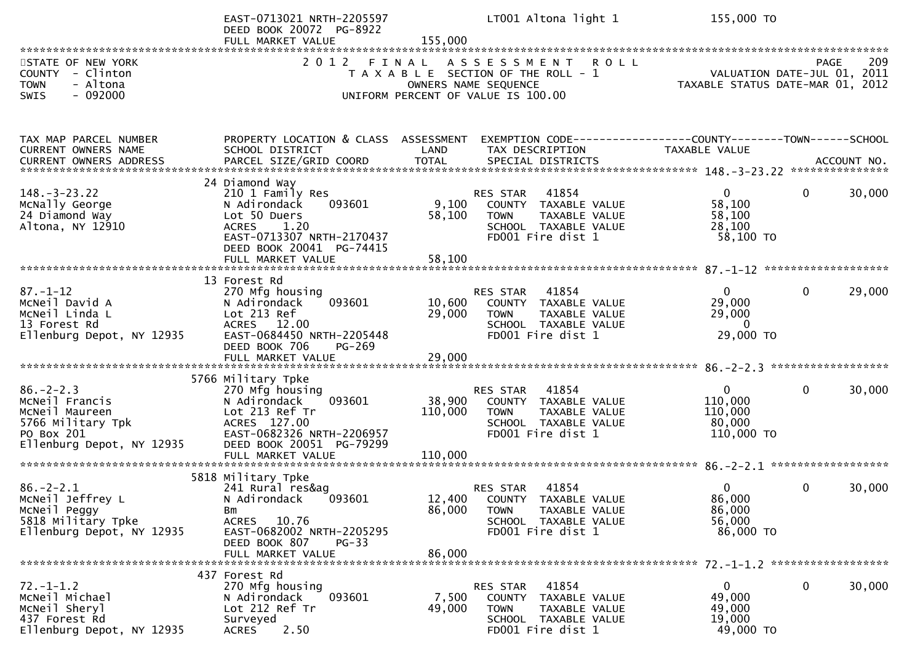|                                                                                                                     | EAST-0713021 NRTH-2205597<br>DEED BOOK 20072 PG-8922<br>FULL MARKET VALUE                                                                                                          | 155,000                      | LT001 Altona light 1                                                                                                                      | 155,000 TO                                                      |                        |
|---------------------------------------------------------------------------------------------------------------------|------------------------------------------------------------------------------------------------------------------------------------------------------------------------------------|------------------------------|-------------------------------------------------------------------------------------------------------------------------------------------|-----------------------------------------------------------------|------------------------|
| STATE OF NEW YORK<br>COUNTY - Clinton<br><b>TOWN</b><br>- Altona<br>SWIS<br>$-092000$                               | 2 0 1 2<br>FINAL                                                                                                                                                                   |                              | <b>ROLL</b><br>A S S E S S M E N T<br>T A X A B L E SECTION OF THE ROLL - 1<br>OWNERS NAME SEQUENCE<br>UNIFORM PERCENT OF VALUE IS 100.00 | VALUATION DATE-JUL 01, 2011<br>TAXABLE STATUS DATE-MAR 01, 2012 | 209<br><b>PAGE</b>     |
| TAX MAP PARCEL NUMBER<br>CURRENT OWNERS NAME                                                                        | PROPERTY LOCATION & CLASS ASSESSMENT<br>SCHOOL DISTRICT                                                                                                                            | LAND                         | EXEMPTION CODE-----------------COUNTY-------TOWN------SCHOOL<br>TAX DESCRIPTION                                                           | TAXABLE VALUE                                                   |                        |
| $148. - 3 - 23.22$<br>McNally George<br>24 Diamond Way<br>Altona, NY 12910                                          | 24 Diamond Way<br>210 1 Family Res<br>093601<br>N Adirondack<br>Lot 50 Duers<br>1.20<br><b>ACRES</b><br>EAST-0713307 NRTH-2170437<br>DEED BOOK 20041 PG-74415<br>FULL MARKET VALUE | 9,100<br>58,100<br>58,100    | 41854<br><b>RES STAR</b><br>COUNTY TAXABLE VALUE<br><b>TOWN</b><br>TAXABLE VALUE<br>SCHOOL TAXABLE VALUE<br>FD001 Fire dist 1             | $\overline{0}$<br>58,100<br>58,100<br>28,100<br>58,100 TO       | $\mathbf 0$<br>30,000  |
| $87. - 1 - 12$<br>MCNeil David A<br>MCNeil Linda L<br>13 Forest Rd<br>Ellenburg Depot, NY 12935                     | 13 Forest Rd<br>270 Mfg housing<br>093601<br>N Adirondack<br>Lot 213 Ref<br>ACRES 12.00<br>EAST-0684450 NRTH-2205448<br>DEED BOOK 706<br>PG-269                                    | 10,600<br>29,000             | 41854<br>RES STAR<br>COUNTY TAXABLE VALUE<br>TAXABLE VALUE<br><b>TOWN</b><br>SCHOOL TAXABLE VALUE<br>FD001 Fire dist 1                    | $\Omega$<br>29,000<br>29,000<br>$\overline{0}$<br>29,000 TO     | 29,000<br>$\mathbf 0$  |
| $86. - 2 - 2.3$<br>MCNeil Francis<br>McNeil Maureen<br>5766 Military Tpk<br>PO Box 201<br>Ellenburg Depot, NY 12935 | 5766 Military Tpke<br>270 Mfg housing<br>093601<br>N Adirondack<br>Lot 213 Ref Tr<br>ACRES 127.00<br>EAST-0682326 NRTH-2206957<br>DEED BOOK 20051 PG-79299<br>FULL MARKET VALUE    | 38,900<br>110,000<br>110,000 | 41854<br><b>RES STAR</b><br>COUNTY TAXABLE VALUE<br>TAXABLE VALUE<br><b>TOWN</b><br>SCHOOL TAXABLE VALUE<br>FD001 Fire dist 1             | $\mathbf{0}$<br>110,000<br>110,000<br>80,000<br>110,000 TO      | $\mathbf{0}$<br>30,000 |
| $86. - 2 - 2.1$<br>MCNeil Jeffrey L<br>MCNeil Peggy<br>5818 Military Tpke<br>Ellenburg Depot, NY 12935              | 5818 Military Tpke<br>241 Rural res&ag<br>093601<br>N Adirondack<br>Bm<br>ACRES 10.76<br>EAST-0682002 NRTH-2205295<br>DEED BOOK 807<br><b>PG-33</b><br>FULL MARKET VALUE           | 86,000<br>86,000             | 41854<br><b>RES STAR</b><br>12,400 COUNTY TAXABLE VALUE<br>TAXABLE VALUE<br><b>TOWN</b><br>SCHOOL TAXABLE VALUE<br>FD001 Fire dist 1      | $\Omega$<br>86,000<br>86,000<br>56,000<br>86,000 TO             | $\mathbf{0}$<br>30,000 |
| $72. - 1 - 1.2$<br>MCNeil Michael<br>McNeil Sheryl<br>437 Forest Rd<br>Ellenburg Depot, NY 12935                    | 437 Forest Rd<br>270 Mfg housing<br>093601<br>N Adirondack<br>Lot 212 Ref Tr<br>Surveyed<br>2.50<br><b>ACRES</b>                                                                   | 7,500<br>49,000              | 41854<br>RES STAR<br>COUNTY TAXABLE VALUE<br>TAXABLE VALUE<br><b>TOWN</b><br>SCHOOL TAXABLE VALUE<br>FD001 Fire dist 1                    | $\overline{0}$<br>49,000<br>49,000<br>19,000<br>49,000 TO       | $\mathbf 0$<br>30,000  |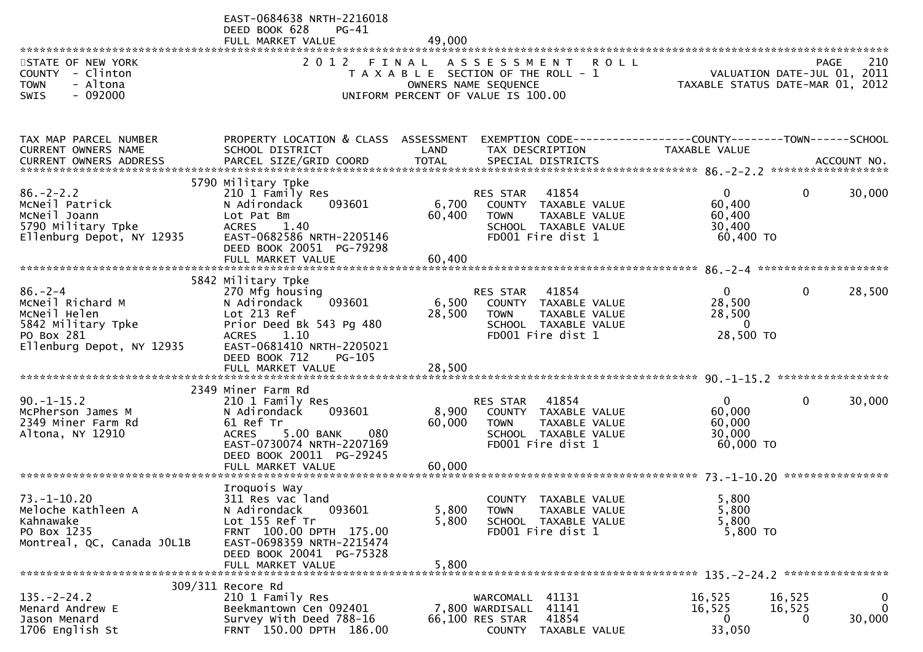| STATE OF NEW YORK<br>COUNTY - Clinton<br>- Altona<br><b>TOWN</b><br>$-092000$<br><b>SWIS</b>                       | EAST-0684638 NRTH-2216018<br>DEED BOOK 628<br>$PG-41$<br>FULL MARKET VALUE<br>2 0 1 2                                                                                                                   | 49,000                    | FINAL ASSESSMENT ROLL<br>T A X A B L E SECTION OF THE ROLL - 1<br>OWNERS NAME SEQUENCE<br>UNIFORM PERCENT OF VALUE IS 100.00  | VALUATION DATE-JUL 01, 2011<br>TAXABLE STATUS DATE-MAR 01, 2012 | <b>PAGE</b>                  | 210                     |
|--------------------------------------------------------------------------------------------------------------------|---------------------------------------------------------------------------------------------------------------------------------------------------------------------------------------------------------|---------------------------|-------------------------------------------------------------------------------------------------------------------------------|-----------------------------------------------------------------|------------------------------|-------------------------|
| TAX MAP PARCEL NUMBER<br>CURRENT OWNERS NAME                                                                       | PROPERTY LOCATION & CLASS ASSESSMENT<br>SCHOOL DISTRICT                                                                                                                                                 | LAND                      | EXEMPTION CODE------------------COUNTY--------TOWN------SCHOOL<br>TAX DESCRIPTION                                             | TAXABLE VALUE                                                   |                              |                         |
| $86. - 2 - 2.2$<br>MCNeil Patrick<br>MCNeil Joann<br>5790 Military Tpke<br>Ellenburg Depot, NY 12935               | 5790 Military Tpke<br>210 1 Family Res<br>093601<br>N Adirondack<br>Lot Pat Bm<br><b>ACRES</b><br>1.40<br>EAST-0682586 NRTH-2205146<br>DEED BOOK 20051 PG-79298                                         | 6,700<br>60,400           | 41854<br><b>RES STAR</b><br>COUNTY TAXABLE VALUE<br><b>TOWN</b><br>TAXABLE VALUE<br>SCHOOL TAXABLE VALUE<br>FD001 Fire dist 1 | $\mathbf{0}$<br>60,400<br>60,400<br>30,400<br>60,400 TO         | $\mathbf{0}$                 | 30,000                  |
| $86. - 2 - 4$<br>MCNeil Richard M<br>McNeil Helen<br>5842 Military Tpke<br>PO Box 281<br>Ellenburg Depot, NY 12935 | 5842 Military Tpke<br>270 Mfg housing<br>093601<br>N Adirondack<br>Lot 213 Ref<br>Prior Deed Bk 543 Pg 480<br>ACRES 1.10<br>EAST-0681410 NRTH-2205021<br>DEED BOOK 712<br>$PG-105$<br>FULL MARKET VALUE | 6,500<br>28,500<br>28,500 | 41854<br>RES STAR<br>COUNTY TAXABLE VALUE<br>TAXABLE VALUE<br><b>TOWN</b><br>SCHOOL TAXABLE VALUE<br>FD001 Fire dist 1        | $\overline{0}$<br>28,500<br>28,500<br>$\mathbf 0$<br>28,500 TO  | 0                            | 28,500                  |
| $90. -1 - 15.2$<br>McPherson James M<br>2349 Miner Farm Rd<br>Altona, NY 12910                                     | 2349 Miner Farm Rd<br>210 1 Family Res<br>093601<br>N Adirondack<br>61 Ref Tr<br>5.00 BANK<br><b>ACRES</b><br>080<br>EAST-0730074 NRTH-2207169<br>DEED BOOK 20011 PG-29245<br>FULL MARKET VALUE         | 8,900<br>60,000<br>60,000 | RES STAR<br>41854<br>COUNTY TAXABLE VALUE<br><b>TOWN</b><br>TAXABLE VALUE<br>SCHOOL TAXABLE VALUE<br>FD001 Fire dist 1        | $\overline{0}$<br>60,000<br>60,000<br>30,000<br>60,000 TO       | 0                            | 30,000                  |
| $73. - 1 - 10.20$<br>Meloche Kathleen A<br>Kahnawake<br>PO Box 1235<br>Montreal, QC, Canada JOL1B                  | Iroquois Way<br>311 Res vac land<br>N Adirondack<br>093601<br>Lot 155 Ref Tr<br>FRNT 100.00 DPTH 175.00<br>EAST-0698359 NRTH-2215474<br>DEED BOOK 20041 PG-75328<br>FULL MARKET VALUE                   | 5,800<br>5,800<br>5,800   | COUNTY TAXABLE VALUE<br>TAXABLE VALUE<br><b>TOWN</b><br>SCHOOL TAXABLE VALUE<br>FD001 Fire dist 1                             | 5,800<br>5,800<br>5,800<br>5,800 TO                             |                              |                         |
| $135. -2 - 24.2$<br>Menard Andrew E<br>Jason Menard<br>1706 English St                                             | 309/311 Recore Rd<br>210 1 Family Res<br>Beekmantown Cen 092401<br>Survey With Deed 788-16<br>FRNT 150.00 DPTH 186.00                                                                                   |                           | WARCOMALL 41131<br>41141<br>7,800 WARDISALL<br>41854<br>66,100 RES STAR<br>COUNTY TAXABLE VALUE                               | 16,525<br>16,525<br>$\bf{0}$<br>33,050                          | 16,525<br>16,525<br>$\Omega$ | 0<br>$\Omega$<br>30,000 |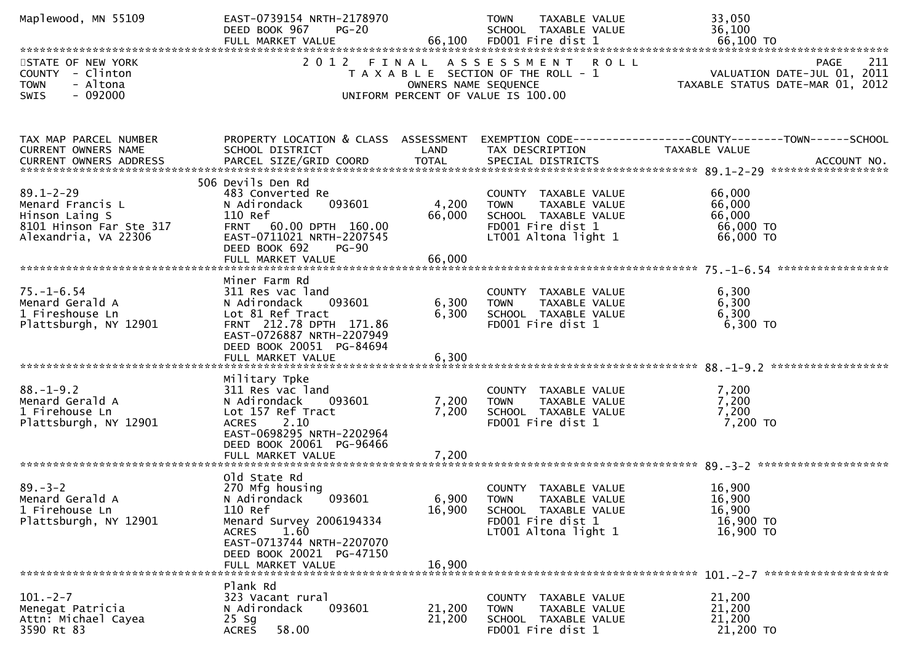| Maplewood, MN 55109                                                                                      | EAST-0739154 NRTH-2178970<br>DEED BOOK 967<br>$PG-20$                                                                                                                                  |                      | TOWN<br>TAXABLE VALUE<br>SCHOOL TAXABLE VALUE                                                                             | 33,050<br>36,100                                                                                                  |
|----------------------------------------------------------------------------------------------------------|----------------------------------------------------------------------------------------------------------------------------------------------------------------------------------------|----------------------|---------------------------------------------------------------------------------------------------------------------------|-------------------------------------------------------------------------------------------------------------------|
| STATE OF NEW YORK<br>COUNTY - Clinton<br><b>TOWN</b><br>- Altona<br>SWIS<br>$-092000$                    |                                                                                                                                                                                        | OWNERS NAME SEQUENCE | 2012 FINAL ASSESSMENT ROLL<br>T A X A B L E SECTION OF THE ROLL - 1<br>UNIFORM PERCENT OF VALUE IS 100.00                 | PAGE<br>-211<br>VALUATION DATE-JUL 01, 2011<br>TAXABLE STATUS DATE-MAR 01, 2012                                   |
|                                                                                                          |                                                                                                                                                                                        |                      |                                                                                                                           |                                                                                                                   |
| TAX MAP PARCEL NUMBER<br>CURRENT OWNERS NAME                                                             | SCHOOL DISTRICT                                                                                                                                                                        | LAND                 | TAX DESCRIPTION                                                                                                           | PROPERTY LOCATION & CLASS ASSESSMENT EXEMPTION CODE----------------COUNTY-------TOWN------SCHOOL<br>TAXABLE VALUE |
| $89.1 - 2 - 29$<br>Menard Francis L<br>Hinson Laing S<br>8101 Hinson Far Ste 317<br>Alexandria, VA 22306 | 506 Devils Den Rd<br>483 Converted Re<br>093601<br>N Adirondack<br>110 Ref<br>FRNT 60.00 DPTH 160.00<br>EAST-0711021 NRTH-2207545<br>DEED BOOK 692<br>PG-90                            | 4,200<br>66,000      | COUNTY TAXABLE VALUE<br><b>TOWN</b><br>TAXABLE VALUE<br>SCHOOL TAXABLE VALUE<br>FD001 Fire dist 1<br>LT001 Altona light 1 | 66,000<br>66,000<br>66,000<br>66,000 TO<br>66,000 TO                                                              |
|                                                                                                          | Miner Farm Rd                                                                                                                                                                          |                      |                                                                                                                           |                                                                                                                   |
| $75. - 1 - 6.54$<br>Menard Gerald A<br>1 Fireshouse Ln<br>Plattsburgh, NY 12901                          | 311 Res vac land<br>093601<br>N Adirondack<br>Lot 81 Ref Tract<br>FRNT 212.78 DPTH 171.86<br>EAST-0726887 NRTH-2207949<br>DEED BOOK 20051 PG-84694                                     | 6,300<br>6,300       | COUNTY TAXABLE VALUE<br><b>TOWN</b><br>TAXABLE VALUE<br>SCHOOL TAXABLE VALUE<br>FD001 Fire dist 1                         | 6,300<br>6,300<br>6,300<br>$6,300$ TO                                                                             |
|                                                                                                          |                                                                                                                                                                                        |                      |                                                                                                                           |                                                                                                                   |
| $88. - 1 - 9.2$<br>Menard Gerald A<br>1 Firehouse Ln<br>Plattsburgh, NY 12901                            | Military Tpke<br>311 Res vac land<br>N Adirondack<br>093601<br>Lot 157 Ref Tract<br><b>ACRES</b><br>2.10<br>EAST-0698295 NRTH-2202964<br>DEED BOOK 20061 PG-96466                      | 7,200<br>7,200       | COUNTY TAXABLE VALUE<br><b>TOWN</b><br>TAXABLE VALUE<br>SCHOOL TAXABLE VALUE<br>FD001 Fire dist 1                         | 7,200<br>7,200<br>7,200<br>7,200 TO                                                                               |
|                                                                                                          | old state Rd                                                                                                                                                                           |                      |                                                                                                                           |                                                                                                                   |
| $89. - 3 - 2$<br>Menard Gerald A<br>1 Firehouse Ln<br>Plattsburgh, NY 12901                              | 270 Mfg housing<br>N Adirondack<br>093601<br>110 Ref<br>Menard Survey 2006194334<br>1.60<br><b>ACRES</b><br>EAST-0713744 NRTH-2207070<br>DEED BOOK 20021 PG-47150<br>FULL MARKET VALUE | 16,900<br>16,900     | COUNTY TAXABLE VALUE<br>6,900 TOWN TAXABLE VALUE<br>SCHOOL TAXABLE VALUE<br>FD001 Fire dist 1<br>LT001 Altona light 1     | 16,900<br>16,900<br>16,900<br>16,900 TO<br>16,900 TO                                                              |
|                                                                                                          | Plank Rd                                                                                                                                                                               |                      |                                                                                                                           |                                                                                                                   |
| $101. -2 - 7$<br>Menegat Patricia<br>Attn: Michael Cayea<br>3590 Rt 83                                   | 323 Vacant rural<br>N Adirondack<br>093601<br>$25$ Sg<br>58.00<br><b>ACRES</b>                                                                                                         | 21,200<br>21,200     | COUNTY TAXABLE VALUE<br><b>TOWN</b><br>TAXABLE VALUE<br>SCHOOL TAXABLE VALUE<br>FD001 Fire dist 1                         | 21,200<br>21,200<br>21,200<br>21,200 TO                                                                           |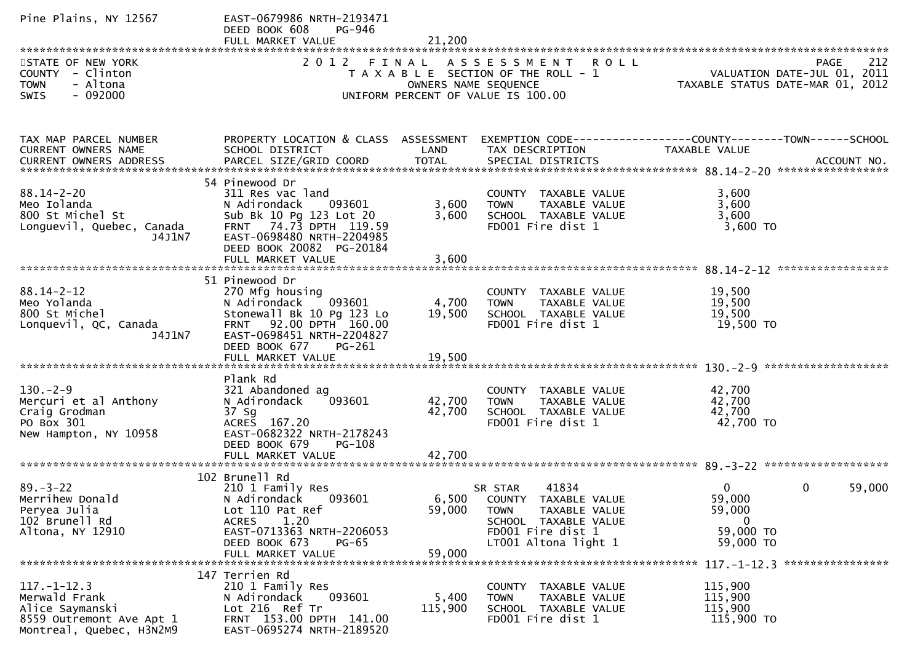| Pine Plains, NY 12567                                                                                         | EAST-0679986 NRTH-2193471<br>DEED BOOK 608<br>PG-946<br>FULL MARKET VALUE                                                                                                             | 21,200                     |                                                                                                                                              |                                                                    |                                                   |
|---------------------------------------------------------------------------------------------------------------|---------------------------------------------------------------------------------------------------------------------------------------------------------------------------------------|----------------------------|----------------------------------------------------------------------------------------------------------------------------------------------|--------------------------------------------------------------------|---------------------------------------------------|
| STATE OF NEW YORK<br>COUNTY - Clinton<br><b>TOWN</b><br>- Altona<br>$-092000$<br><b>SWIS</b>                  | 2012 FINAL                                                                                                                                                                            | OWNERS NAME SEQUENCE       | A S S E S S M E N T R O L L<br>T A X A B L E SECTION OF THE ROLL - 1<br>UNIFORM PERCENT OF VALUE IS 100.00                                   | TAXABLE STATUS DATE-MAR 01, 2012                                   | 212<br><b>PAGE</b><br>VALUATION DATE-JUL 01, 2011 |
| TAX MAP PARCEL NUMBER<br>CURRENT OWNERS NAME                                                                  | PROPERTY LOCATION & CLASS ASSESSMENT<br>SCHOOL DISTRICT                                                                                                                               | LAND                       | EXEMPTION CODE------------------COUNTY--------TOWN------SCHOOL<br>TAX DESCRIPTION                                                            | TAXABLE VALUE                                                      |                                                   |
| $88.14 - 2 - 20$<br>Meo Iolanda<br>800 St Michel St<br>Longuevil, Quebec, Canada<br>J4J1N7                    | 54 Pinewood Dr<br>311 Res vac land<br>N Adirondack<br>093601<br>Sub Bk 10 Pg 123 Lot 20<br>74.73 DPTH 119.59<br><b>FRNT</b><br>EAST-0698480 NRTH-2204985<br>DEED BOOK 20082 PG-20184  | 3,600<br>3,600             | COUNTY TAXABLE VALUE<br><b>TOWN</b><br>TAXABLE VALUE<br>SCHOOL TAXABLE VALUE<br>FD001 Fire dist 1                                            | 3,600<br>3,600<br>3,600<br>3,600 TO                                |                                                   |
| $88.14 - 2 - 12$<br>Meo Yolanda<br>800 St Michel<br>Lonquevil, QC, Canada<br>J4J1N7                           | 51 Pinewood Dr<br>270 Mfg housing<br>093601<br>N Adirondack<br>Stonewall Bk 10 Pg 123 Lo<br>92.00 DPTH 160.00<br><b>FRNT</b><br>EAST-0698451 NRTH-2204827<br>DEED BOOK 677<br>PG-261  | 4,700<br>19,500            | COUNTY TAXABLE VALUE<br>TAXABLE VALUE<br><b>TOWN</b><br>SCHOOL TAXABLE VALUE<br>FD001 Fire dist 1                                            | 19,500<br>19,500<br>19,500<br>19,500 TO                            |                                                   |
| $130. -2 - 9$<br>Mercuri et al Anthony<br>Craig Grodman<br>PO Box 301<br>New Hampton, NY 10958                | Plank Rd<br>321 Abandoned ag<br>093601<br>N Adirondack<br>37 Sg<br>ACRES 167.20<br>EAST-0682322 NRTH-2178243<br>DEED BOOK 679<br>PG-108<br>FULL MARKET VALUE                          | 42,700<br>42,700<br>42,700 | COUNTY TAXABLE VALUE<br><b>TOWN</b><br>TAXABLE VALUE<br>SCHOOL TAXABLE VALUE<br>FD001 Fire dist 1                                            | 42,700<br>42,700<br>42,700<br>42,700 TO                            |                                                   |
| $89. - 3 - 22$<br>Merrihew Donald<br>Peryea Julia<br>102 Brunell Rd<br>Altona, NY 12910                       | 102 Brunell Rd<br>210 1 Family Res<br>N Adirondack<br>093601<br>Lot 110 Pat Ref<br><b>ACRES</b><br>1.20<br>EAST-0713363 NRTH-2206053<br>DEED BOOK 673<br>$PG-65$<br>FULL MARKET VALUE | 59,000<br>59,000           | SR STAR<br>41834<br>6,500 COUNTY TAXABLE VALUE<br>TAXABLE VALUE<br>TOWN<br>SCHOOL TAXABLE VALUE<br>FD001 Fire dist 1<br>LT001 Altona light 1 | $\Omega$<br>59,000<br>59,000<br>$\bf{0}$<br>59,000 TO<br>59,000 TO | $\mathbf 0$<br>59,000                             |
| $117. - 1 - 12.3$<br>Merwald Frank<br>Alice Saymanski<br>8559 Outremont Ave Apt 1<br>Montreal, Quebec, H3N2M9 | 147 Terrien Rd<br>210 1 Family Res<br>093601<br>N Adirondack<br>Lot 216 Ref Tr<br>FRNT 153.00 DPTH 141.00<br>EAST-0695274 NRTH-2189520                                                | 5,400<br>115,900           | COUNTY TAXABLE VALUE<br>TAXABLE VALUE<br><b>TOWN</b><br>SCHOOL TAXABLE VALUE<br>FD001 Fire dist 1                                            | 115,900<br>115,900<br>115,900<br>115,900 TO                        |                                                   |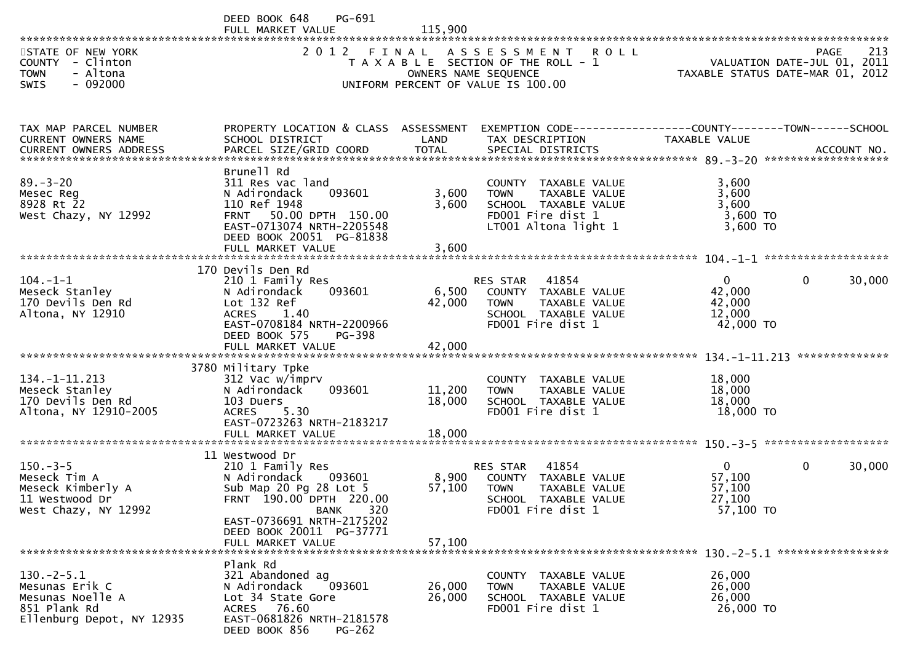|                                                                                                 | PG-691<br>DEED BOOK 648<br>FULL MARKET VALUE                                                                                                                                                                          | 115,900                   |                                                                                                                           |                                                           |                                            |
|-------------------------------------------------------------------------------------------------|-----------------------------------------------------------------------------------------------------------------------------------------------------------------------------------------------------------------------|---------------------------|---------------------------------------------------------------------------------------------------------------------------|-----------------------------------------------------------|--------------------------------------------|
| STATE OF NEW YORK<br>COUNTY - Clinton<br>- Altona<br><b>TOWN</b><br>$-092000$<br><b>SWIS</b>    |                                                                                                                                                                                                                       | OWNERS NAME SEQUENCE      | 2012 FINAL ASSESSMENT ROLL<br>T A X A B L E SECTION OF THE ROLL - 1<br>UNIFORM PERCENT OF VALUE IS 100.00                 | TAXABLE STATUS DATE-MAR 01, 2012                          | 213<br>PAGE<br>VALUATION DATE-JUL 01, 2011 |
| TAX MAP PARCEL NUMBER<br>CURRENT OWNERS NAME                                                    | PROPERTY LOCATION & CLASS ASSESSMENT<br>SCHOOL DISTRICT                                                                                                                                                               | LAND                      | EXEMPTION CODE-----------------COUNTY-------TOWN-----SCHOOL<br>TAX DESCRIPTION                                            | TAXABLE VALUE                                             |                                            |
| $89. - 3 - 20$<br>Mesec Reg<br>8928 Rt 22<br>West Chazy, NY 12992                               | Brunell Rd<br>311 Res vac land<br>N Adirondack<br>093601<br>110 Ref 1948<br>FRNT 50.00 DPTH 150.00<br>EAST-0713074 NRTH-2205548<br>DEED BOOK 20051 PG-81838                                                           | 3,600<br>3,600            | COUNTY TAXABLE VALUE<br><b>TOWN</b><br>TAXABLE VALUE<br>SCHOOL TAXABLE VALUE<br>FD001 Fire dist 1<br>LT001 Altona light 1 | 3,600<br>3,600<br>3,600<br>3,600 TO<br>$3,600$ TO         |                                            |
| $104. -1 -1$<br>Meseck Stanley<br>170 Devils Den Rd<br>Altona, NY 12910                         | 170 Devils Den Rd<br>210 1 Family Res<br>N Adirondack<br>093601<br>Lot 132 Ref<br>1.40<br><b>ACRES</b><br>EAST-0708184 NRTH-2200966<br>DEED BOOK 575<br><b>PG-398</b><br>FULL MARKET VALUE                            | 6,500<br>42,000<br>42,000 | 41854<br>RES STAR<br>COUNTY TAXABLE VALUE<br>TAXABLE VALUE<br>TOWN<br>SCHOOL TAXABLE VALUE<br>FD001 Fire dist 1           | $\overline{0}$<br>42,000<br>42,000<br>12,000<br>42,000 TO | $\mathbf{0}$<br>30,000                     |
| $134. -1 - 11.213$<br>Meseck Stanley<br>170 Devils Den Rd<br>Altona, NY 12910-2005              | 3780 Military Tpke<br>312 Vac w/imprv<br>N Adirondack<br>093601<br>103 Duers<br>5.30<br>ACRES<br>EAST-0723263 NRTH-2183217                                                                                            | 11,200<br>18,000          | COUNTY TAXABLE VALUE<br>TAXABLE VALUE<br>TOWN<br>SCHOOL TAXABLE VALUE<br>FD001 Fire dist 1                                | 18,000<br>18,000<br>18,000<br>18,000 TO                   | **************                             |
| $150. -3 - 5$<br>Meseck Tim A<br>Meseck Kimberly A<br>11 Westwood Dr<br>West Chazy, NY 12992    | 11 Westwood Dr<br>210 1 Family Res<br>N Adirondack<br>093601<br>Sub Map 20 Pg 28 Lot 5<br>FRNT 190.00 DPTH 220.00<br>320<br><b>BANK</b><br>EAST-0736691 NRTH-2175202<br>DEED BOOK 20011 PG-37771<br>FULL MARKET VALUE | 8,900<br>57,100<br>57,100 | 41854<br>RES STAR<br>COUNTY TAXABLE VALUE<br>TAXABLE VALUE<br><b>TOWN</b><br>SCHOOL TAXABLE VALUE<br>FD001 Fire dist 1    | $\mathbf{0}$<br>57,100<br>57,100<br>27,100<br>57,100 TO   | 30,000<br>$\mathbf{0}$                     |
| $130.-2-5.1$<br>Mesunas Erik C<br>Mesunas Noelle A<br>851 Plank Rd<br>Ellenburg Depot, NY 12935 | Plank Rd<br>321 Abandoned ag<br>N Adirondack<br>093601<br>Lot 34 State Gore<br>ACRES 76.60<br>EAST-0681826 NRTH-2181578<br>DEED BOOK 856<br><b>PG-262</b>                                                             | 26,000<br>26,000          | COUNTY TAXABLE VALUE<br><b>TOWN</b><br>TAXABLE VALUE<br>SCHOOL TAXABLE VALUE<br>FD001 Fire dist 1                         | 26,000<br>26,000<br>26,000<br>26,000 TO                   |                                            |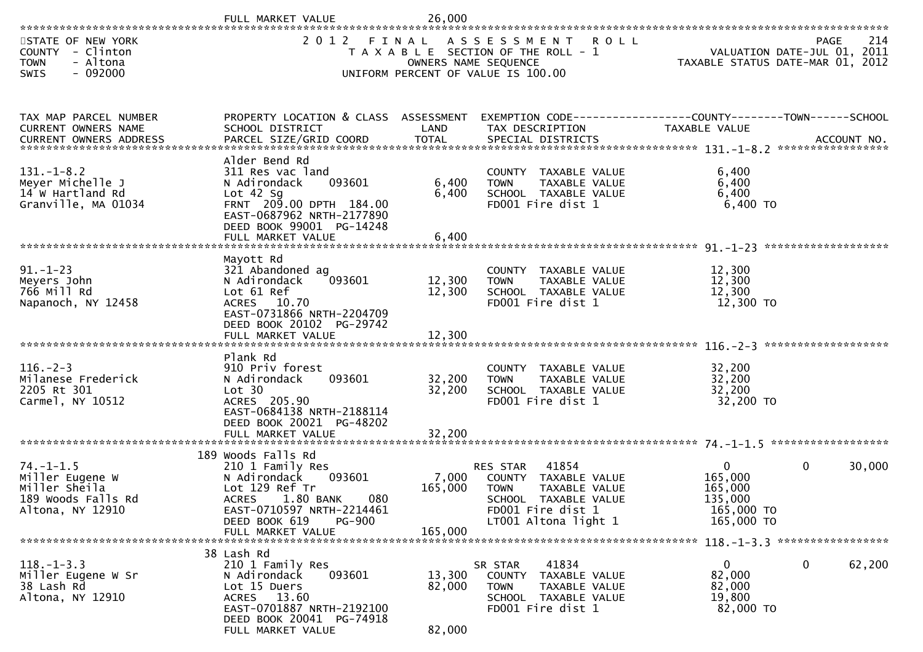|                                                                                               | FULL MARKET VALUE                                                                                                                                                                                          | 26,000                        |                                                                                                                                                |                                                                             |              |                     |
|-----------------------------------------------------------------------------------------------|------------------------------------------------------------------------------------------------------------------------------------------------------------------------------------------------------------|-------------------------------|------------------------------------------------------------------------------------------------------------------------------------------------|-----------------------------------------------------------------------------|--------------|---------------------|
| STATE OF NEW YORK<br>COUNTY - Clinton<br><b>TOWN</b><br>- Altona<br>$-092000$<br><b>SWIS</b>  | 2 0 1 2                                                                                                                                                                                                    | FINAL<br>OWNERS NAME SEQUENCE | A S S E S S M E N T<br><b>ROLL</b><br>T A X A B L E SECTION OF THE ROLL - 1<br>UNIFORM PERCENT OF VALUE IS 100.00                              | VALUATION DATE-JUL 01, 2011<br>TAXABLE STATUS DATE-MAR 01, 2012             | PAGE         | 214                 |
| TAX MAP PARCEL NUMBER<br>CURRENT OWNERS NAME                                                  | PROPERTY LOCATION & CLASS ASSESSMENT<br>SCHOOL DISTRICT                                                                                                                                                    | LAND                          | EXEMPTION CODE-----------------COUNTY-------TOWN------SCHOOL<br>TAX DESCRIPTION                                                                | TAXABLE VALUE                                                               |              |                     |
| $131. - 1 - 8.2$<br>Meyer Michelle J<br>14 W Hartland Rd<br>Granville, MA 01034               | Alder Bend Rd<br>311 Res vac land<br>093601<br>N Adirondack<br>Lot $42$ Sg<br>FRNT 209.00 DPTH 184.00<br>EAST-0687962 NRTH-2177890<br>DEED BOOK 99001 PG-14248                                             | 6,400<br>6,400                | COUNTY TAXABLE VALUE<br>TAXABLE VALUE<br><b>TOWN</b><br>SCHOOL TAXABLE VALUE<br>FD001 Fire dist 1                                              | 6,400<br>6,400<br>6,400<br>6,400 TO                                         |              |                     |
| $91. - 1 - 23$<br>Meyers John<br>766 Mill Rd<br>Napanoch, NY 12458                            | Mayott Rd<br>321 Abandoned ag<br>093601<br>N Adirondack<br>Lot 61 Ref<br>ACRES 10.70<br>EAST-0731866 NRTH-2204709<br>DEED BOOK 20102 PG-29742                                                              | 12,300<br>12,300              | COUNTY TAXABLE VALUE<br>TAXABLE VALUE<br><b>TOWN</b><br>SCHOOL TAXABLE VALUE<br>FD001 Fire dist 1                                              | 12,300<br>12,300<br>12,300<br>12,300 TO                                     |              | ******************* |
| $116. - 2 - 3$<br>Milanese Frederick<br>2205 Rt 301<br>Carmel, NY 10512                       | Plank Rd<br>910 Priv forest<br>093601<br>N Adirondack<br>Lot 30<br>ACRES 205.90<br>EAST-0684138 NRTH-2188114<br>DEED BOOK 20021 PG-48202<br>FULL MARKET VALUE                                              | 32,200<br>32,200<br>32,200    | COUNTY TAXABLE VALUE<br>TAXABLE VALUE<br><b>TOWN</b><br>SCHOOL TAXABLE VALUE<br>FD001 Fire dist 1                                              | 32,200<br>32,200<br>32,200<br>32,200 TO                                     |              |                     |
| $74. - 1 - 1.5$<br>Miller Eugene W<br>Miller Sheila<br>189 Woods Falls Rd<br>Altona, NY 12910 | 189 Woods Falls Rd<br>210 1 Family Res<br>N Adirondack<br>093601<br>Lot 129 Ref Tr<br>1.80 BANK<br>080<br><b>ACRES</b><br>EAST-0710597 NRTH-2214461<br>DEED BOOK 619<br><b>PG-900</b><br>FULL MARKET VALUE | 7,000<br>165,000<br>165,000   | 41854<br>RES STAR<br>COUNTY TAXABLE VALUE<br>TAXABLE VALUE<br><b>TOWN</b><br>SCHOOL TAXABLE VALUE<br>FD001 Fire dist 1<br>LT001 Altona light 1 | $\overline{0}$<br>165,000<br>165,000<br>135,000<br>165,000 TO<br>165,000 TO | $\mathbf{0}$ | 30,000              |
| $118. - 1 - 3.3$<br>Miller Eugene W Sr<br>38 Lash Rd<br>Altona, NY 12910                      | 38 Lash Rd<br>210 1 Family Res<br>093601<br>N Adirondack<br>Lot 15 Duers<br>ACRES 13.60<br>EAST-0701887 NRTH-2192100<br>DEED BOOK 20041 PG-74918<br>FULL MARKET VALUE                                      | 13,300<br>82,000<br>82,000    | 41834<br>SR STAR<br>COUNTY<br>TAXABLE VALUE<br>TAXABLE VALUE<br><b>TOWN</b><br>SCHOOL TAXABLE VALUE<br>FD001 Fire dist 1                       | $\mathbf{0}$<br>82,000<br>82,000<br>19,800<br>82,000 TO                     | 0            | 62,200              |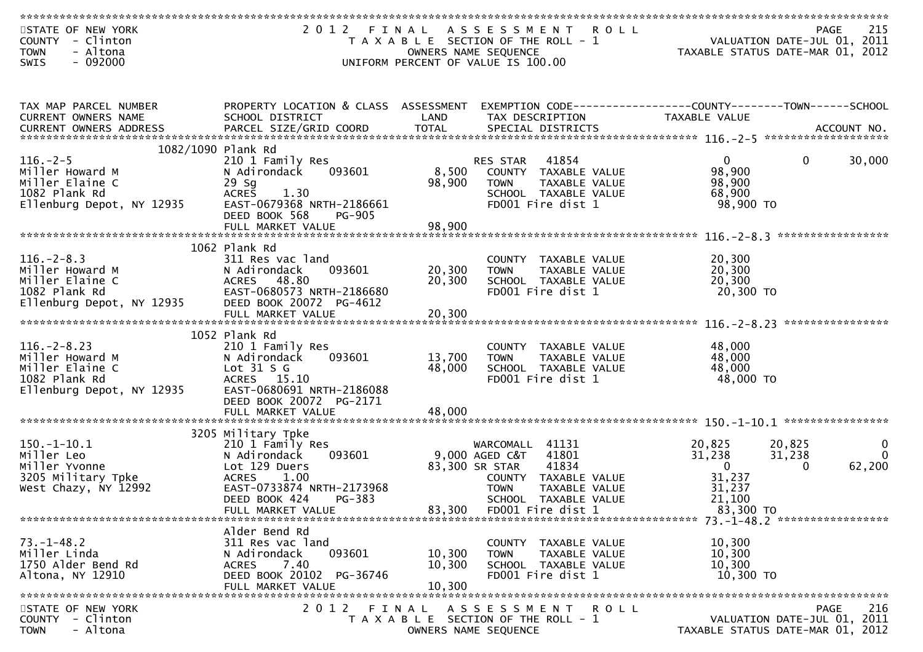| **************************                                                                                      |                                      |        |                                       |                                                              |                                  |
|-----------------------------------------------------------------------------------------------------------------|--------------------------------------|--------|---------------------------------------|--------------------------------------------------------------|----------------------------------|
| STATE OF NEW YORK                                                                                               | 2012 FINAL                           |        | A S S E S S M E N T<br><b>ROLL</b>    |                                                              | 215<br><b>PAGE</b>               |
| - Clinton<br><b>COUNTY</b>                                                                                      |                                      |        | T A X A B L E SECTION OF THE ROLL - 1 |                                                              | VALUATION DATE-JUL 01, 2011      |
| - Altona<br><b>TOWN</b>                                                                                         |                                      |        | OWNERS NAME SEQUENCE                  |                                                              | TAXABLE STATUS DATE-MAR 01, 2012 |
| $-092000$<br>SWIS                                                                                               |                                      |        | UNIFORM PERCENT OF VALUE IS 100.00    |                                                              |                                  |
|                                                                                                                 |                                      |        |                                       |                                                              |                                  |
|                                                                                                                 |                                      |        |                                       |                                                              |                                  |
|                                                                                                                 |                                      |        |                                       |                                                              |                                  |
| TAX MAP PARCEL NUMBER                                                                                           | PROPERTY LOCATION & CLASS ASSESSMENT |        |                                       | EXEMPTION CODE-----------------COUNTY-------TOWN------SCHOOL |                                  |
| CURRENT OWNERS NAME                                                                                             | SCHOOL DISTRICT                      | LAND   | TAX DESCRIPTION                       | <b>TAXABLE VALUE</b>                                         |                                  |
| .CURRENT OWNERS ADDRESS PARCEL SIZE/GRID COORD TOTAL SPECIAL DISTRICTS ACCOUNT NO ACCOUNT NO ACCOUNT NO ACCOUNT |                                      |        |                                       |                                                              |                                  |
|                                                                                                                 |                                      |        |                                       |                                                              |                                  |
|                                                                                                                 | 1082/1090 Plank Rd                   |        |                                       |                                                              |                                  |
| $116. - 2 - 5$                                                                                                  | 210 1 Family Res                     |        | 41854<br>RES STAR                     | $\overline{0}$                                               | 30,000<br>$\mathbf{0}$           |
| Miller Howard M                                                                                                 | N Adirondack<br>093601               | 8,500  | COUNTY TAXABLE VALUE                  | 98,900                                                       |                                  |
| Miller Elaine C                                                                                                 | $29$ Sq                              | 98,900 | TAXABLE VALUE<br><b>TOWN</b>          | 98,900                                                       |                                  |
| 1082 Plank Rd                                                                                                   | <b>ACRES</b><br>1.30                 |        | SCHOOL TAXABLE VALUE                  | 68,900                                                       |                                  |
| Ellenburg Depot, NY 12935                                                                                       | EAST-0679368 NRTH-2186661            |        | FD001 Fire dist 1                     | 98,900 TO                                                    |                                  |
|                                                                                                                 | DEED BOOK 568<br><b>PG-905</b>       |        |                                       |                                                              |                                  |
|                                                                                                                 | FULL MARKET VALUE                    | 98,900 |                                       |                                                              |                                  |
|                                                                                                                 |                                      |        |                                       |                                                              | *****************                |
|                                                                                                                 | 1062 Plank Rd                        |        |                                       |                                                              |                                  |
| $116. - 2 - 8.3$                                                                                                | 311 Res vac land                     |        | COUNTY TAXABLE VALUE                  | 20,300                                                       |                                  |
| Miller Howard M                                                                                                 | N Adirondack<br>093601               | 20,300 | TAXABLE VALUE<br><b>TOWN</b>          | 20,300                                                       |                                  |
| Miller Elaine C                                                                                                 | ACRES 48.80                          | 20,300 | SCHOOL TAXABLE VALUE                  | 20,300                                                       |                                  |
| 1082 Plank Rd                                                                                                   | EAST-0680573 NRTH-2186680            |        | FD001 Fire dist 1                     | 20,300 TO                                                    |                                  |
| Ellenburg Depot, NY 12935                                                                                       | DEED BOOK 20072 PG-4612              |        |                                       |                                                              |                                  |
|                                                                                                                 | FULL MARKET VALUE                    | 20,300 |                                       |                                                              |                                  |
|                                                                                                                 |                                      |        |                                       |                                                              | ****************                 |
|                                                                                                                 | 1052 Plank Rd                        |        |                                       |                                                              |                                  |
| $116. - 2 - 8.23$                                                                                               | 210 1 Family Res                     |        | COUNTY TAXABLE VALUE                  | 48,000                                                       |                                  |
| Miller Howard M                                                                                                 | 093601<br>N Adirondack               | 13,700 | <b>TOWN</b><br>TAXABLE VALUE          | 48,000                                                       |                                  |
| Miller Elaine C                                                                                                 | Lot $31 S G$                         | 48,000 | SCHOOL TAXABLE VALUE                  | 48,000                                                       |                                  |
| 1082 Plank Rd                                                                                                   | ACRES 15.10                          |        | FD001 Fire dist 1                     | 48,000 TO                                                    |                                  |
| Ellenburg Depot, NY 12935                                                                                       | EAST-0680691 NRTH-2186088            |        |                                       |                                                              |                                  |
|                                                                                                                 | DEED BOOK 20072 PG-2171              |        |                                       |                                                              |                                  |
|                                                                                                                 | FULL MARKET VALUE                    | 48,000 |                                       |                                                              |                                  |
|                                                                                                                 |                                      |        |                                       |                                                              |                                  |
|                                                                                                                 | 3205 Military Tpke                   |        |                                       |                                                              |                                  |
| $150.-1-10.1$                                                                                                   | 210 1 Family Res                     |        | WARCOMALL<br>41131                    | 20,825                                                       | 20,825<br>$\bf{0}$               |
| Miller Leo                                                                                                      | N Adirondack<br>093601               |        | 9,000 AGED C&T<br>41801               | 31,238                                                       | $\Omega$<br>31,238               |
| Miller Yvonne                                                                                                   | Lot 129 Duers                        |        | 41834<br>83,300 SR STAR               | $\mathbf{0}$                                                 | 62,200<br>$\mathbf{0}$           |
| 3205 Military Tpke                                                                                              | <b>ACRES</b><br>1.00                 |        | COUNTY TAXABLE VALUE                  | 31,237                                                       |                                  |
| West Chazy, NY 12992                                                                                            | EAST-0733874 NRTH-2173968            |        | TAXABLE VALUE<br><b>TOWN</b>          | 31,237                                                       |                                  |
|                                                                                                                 | DEED BOOK 424<br>PG-383              |        | SCHOOL TAXABLE VALUE                  | 21,100                                                       |                                  |
|                                                                                                                 | FULL MARKET VALUE                    | 83,300 | FD001 Fire dist 1                     | 83,300 TO                                                    |                                  |
|                                                                                                                 |                                      |        |                                       |                                                              |                                  |
|                                                                                                                 | Alder Bend Rd                        |        |                                       |                                                              |                                  |
| $73. - 1 - 48.2$                                                                                                | 311 Res vac land                     |        | COUNTY TAXABLE VALUE                  | 10,300                                                       |                                  |
| Miller Linda                                                                                                    | 093601<br>N Adirondack               | 10,300 | TAXABLE VALUE<br><b>TOWN</b>          | 10,300                                                       |                                  |
| 1750 Alder Bend Rd                                                                                              | 7.40<br><b>ACRES</b>                 | 10,300 | SCHOOL TAXABLE VALUE                  | 10,300                                                       |                                  |
| Altona, NY 12910                                                                                                | DEED BOOK 20102 PG-36746             |        | FD001 Fire dist 1                     | 10,300 TO                                                    |                                  |
|                                                                                                                 | FULL MARKET VALUE                    | 10,300 |                                       |                                                              |                                  |
|                                                                                                                 |                                      |        |                                       |                                                              |                                  |
| STATE OF NEW YORK                                                                                               | 2 0 1 2                              | FINAL  | A S S E S S M E N T<br><b>ROLL</b>    |                                                              | <b>PAGE</b><br>216               |
| COUNTY - Clinton                                                                                                |                                      |        | T A X A B L E SECTION OF THE ROLL - 1 |                                                              | VALUATION DATE-JUL 01, 2011      |
| - Altona<br><b>TOWN</b>                                                                                         |                                      |        | OWNERS NAME SEQUENCE                  |                                                              | TAXABLE STATUS DATE-MAR 01, 2012 |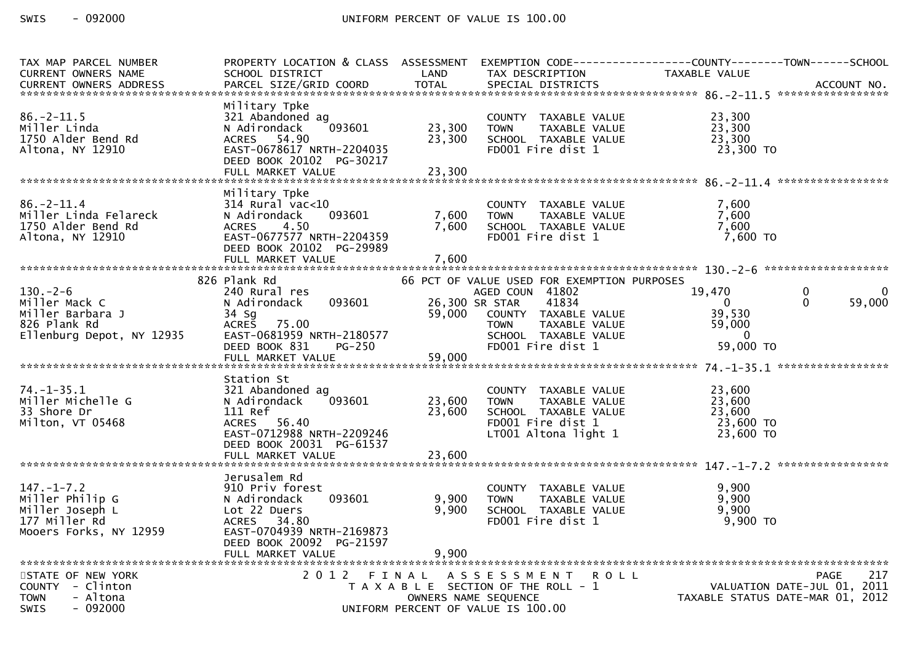| TAX MAP PARCEL NUMBER<br><b>CURRENT OWNERS NAME</b>                                               | PROPERTY LOCATION & CLASS ASSESSMENT<br>SCHOOL DISTRICT                                                                                                                | LAND                       | TAX DESCRIPTION                                                                                                                                                                                | EXEMPTION CODE------------------COUNTY--------TOWN------SCHOOL<br>TAXABLE VALUE |                                                                                       |
|---------------------------------------------------------------------------------------------------|------------------------------------------------------------------------------------------------------------------------------------------------------------------------|----------------------------|------------------------------------------------------------------------------------------------------------------------------------------------------------------------------------------------|---------------------------------------------------------------------------------|---------------------------------------------------------------------------------------|
|                                                                                                   |                                                                                                                                                                        |                            |                                                                                                                                                                                                |                                                                                 |                                                                                       |
| $86. -2 - 11.5$<br>Miller Linda<br>1750 Alder Bend Rd<br>Altona, NY 12910                         | Military Tpke<br>321 Abandoned ag<br>093601<br>N Adirondack<br>ACRES 54.90<br>EAST-0678617 NRTH-2204035<br>DEED BOOK 20102 PG-30217<br>FULL MARKET VALUE               | 23,300<br>23,300<br>23,300 | COUNTY TAXABLE VALUE<br>TAXABLE VALUE<br><b>TOWN</b><br>SCHOOL TAXABLE VALUE<br>FD001 Fire dist 1                                                                                              | 23,300<br>23,300<br>23,300<br>23,300 TO                                         |                                                                                       |
|                                                                                                   | Military Tpke                                                                                                                                                          |                            |                                                                                                                                                                                                |                                                                                 |                                                                                       |
| $86. - 2 - 11.4$<br>Miller Linda Felareck<br>1750 Alder Bend Rd<br>Altona, NY 12910               | $314$ Rural vac<10<br>093601<br>N Adirondack<br>4.50<br><b>ACRES</b><br>EAST-0677577 NRTH-2204359<br>DEED BOOK 20102 PG-29989                                          | 7,600<br>7,600             | COUNTY TAXABLE VALUE<br><b>TOWN</b><br>TAXABLE VALUE<br>SCHOOL TAXABLE VALUE<br>FD001 Fire dist 1                                                                                              | 7,600<br>7,600<br>7,600<br>7,600 TO                                             |                                                                                       |
|                                                                                                   |                                                                                                                                                                        |                            |                                                                                                                                                                                                |                                                                                 |                                                                                       |
| $130. -2 - 6$<br>Miller Mack C<br>Miller Barbara J<br>826 Plank Rd<br>Ellenburg Depot, NY 12935   | 826 Plank Rd<br>240 Rural res<br>093601<br>N Adirondack<br>34 Sg<br>75.00<br><b>ACRES</b><br>EAST-0681959 NRTH-2180577<br>DEED BOOK 831<br><b>PG-250</b>               | 59,000                     | 66 PCT OF VALUE USED FOR EXEMPTION PURPOSES<br>AGED COUN 41802<br>41834<br>26,300 SR STAR<br>COUNTY TAXABLE VALUE<br><b>TOWN</b><br>TAXABLE VALUE<br>SCHOOL TAXABLE VALUE<br>FD001 Fire dist 1 | 19,470<br>$\overline{0}$<br>39,530<br>59,000<br>$\Omega$<br>59,000 TO           | 0<br>$\Omega$<br>59,000                                                               |
|                                                                                                   |                                                                                                                                                                        |                            |                                                                                                                                                                                                |                                                                                 |                                                                                       |
| $74. - 1 - 35.1$<br>Miller Michelle G<br>33 Shore Dr<br>Milton, VT 05468                          | Station St<br>321 Abandoned ag<br>N Adirondack<br>093601<br>111 Ref<br>ACRES 56.40<br>EAST-0712988 NRTH-2209246<br>DEED BOOK 20031 PG-61537                            | 23,600<br>23,600           | COUNTY TAXABLE VALUE<br><b>TOWN</b><br>TAXABLE VALUE<br>SCHOOL TAXABLE VALUE<br>FD001 Fire dist 1<br>LT001 Altona light 1                                                                      | 23,600<br>23,600<br>23.600<br>23,600 TO<br>23,600 TO                            |                                                                                       |
|                                                                                                   |                                                                                                                                                                        |                            |                                                                                                                                                                                                |                                                                                 |                                                                                       |
| $147. - 1 - 7.2$<br>Miller Philip G<br>Miller Joseph L<br>177 Miller Rd<br>Mooers Forks, NY 12959 | Jerusalem Rd<br>910 Priv forest<br>093601<br>N Adirondack<br>Lot 22 Duers<br>ACRES 34.80<br>EAST-0704939 NRTH-2169873<br>DEED BOOK 20092 PG-21597<br>FULL MARKET VALUE | 9,900<br>9,900<br>9,900    | COUNTY TAXABLE VALUE<br>TAXABLE VALUE<br><b>TOWN</b><br>SCHOOL TAXABLE VALUE<br>FD001 Fire dist 1                                                                                              | 9,900<br>9,900<br>9,900<br>$9,900$ TO                                           |                                                                                       |
| STATE OF NEW YORK<br>COUNTY - Clinton<br><b>TOWN</b><br>- Altona<br>$-092000$<br><b>SWIS</b>      | 2012 FINAL                                                                                                                                                             | OWNERS NAME SEQUENCE       | A S S E S S M E N T<br>T A X A B L E SECTION OF THE ROLL - 1<br>UNIFORM PERCENT OF VALUE IS 100.00                                                                                             | <b>ROLL</b>                                                                     | <b>PAGE</b><br>217<br>VALUATION DATE-JUL 01, 2011<br>TAXABLE STATUS DATE-MAR 01, 2012 |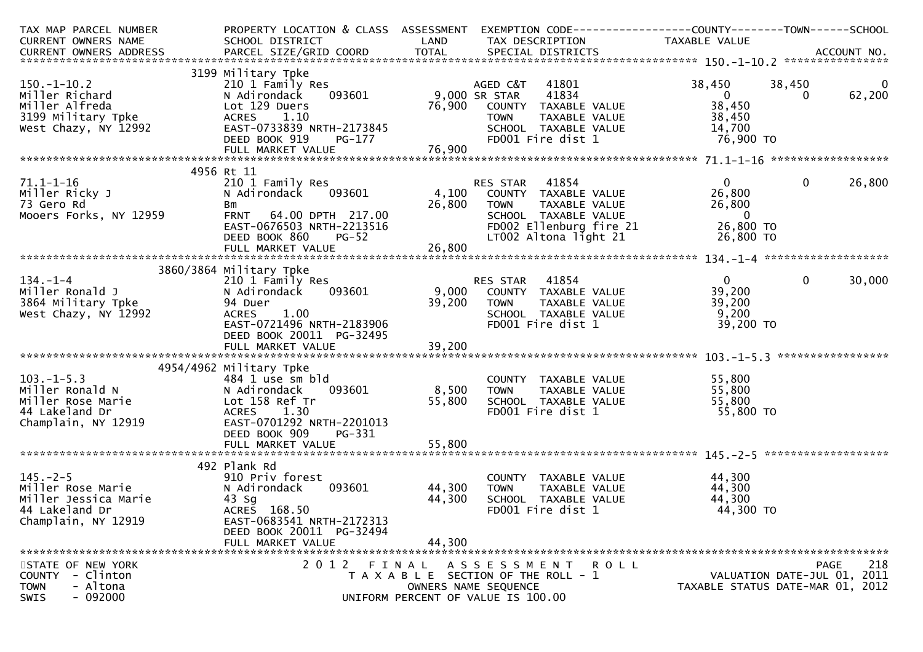| TAX MAP PARCEL NUMBER                                                                                                                                                                                                                       | PROPERTY LOCATION & CLASS ASSESSMENT           |               | EXEMPTION CODE------------------COUNTY--------TOWN------SCHOOL |                                  |                             |                         |
|---------------------------------------------------------------------------------------------------------------------------------------------------------------------------------------------------------------------------------------------|------------------------------------------------|---------------|----------------------------------------------------------------|----------------------------------|-----------------------------|-------------------------|
| CURRENT OWNERS NAME                                                                                                                                                                                                                         | SCHOOL DISTRICT<br><b>Example 2018 LAND</b>    |               | TAX DESCRIPTION TAXABLE VALUE                                  |                                  |                             |                         |
|                                                                                                                                                                                                                                             |                                                |               |                                                                |                                  |                             |                         |
|                                                                                                                                                                                                                                             |                                                |               |                                                                |                                  |                             |                         |
|                                                                                                                                                                                                                                             | 3199 Military Tpke                             |               |                                                                |                                  |                             |                         |
| $150.-1-10.2$                                                                                                                                                                                                                               | 210 1 Family Res                               |               | AGED C&T 41801                                                 | 38,450                           | 38,450                      | $\overline{\mathbf{0}}$ |
| Miller Richard                                                                                                                                                                                                                              | $093601$ 9,000 SR STAR<br>N Adirondack         |               | 41834<br>41834                                                 | $\overline{\phantom{a}}$ 0       | $\Omega$                    | 62,200                  |
|                                                                                                                                                                                                                                             |                                                |               |                                                                |                                  |                             |                         |
|                                                                                                                                                                                                                                             |                                                |               |                                                                |                                  |                             |                         |
|                                                                                                                                                                                                                                             |                                                |               |                                                                |                                  |                             |                         |
|                                                                                                                                                                                                                                             |                                                |               |                                                                |                                  |                             |                         |
|                                                                                                                                                                                                                                             |                                                |               |                                                                |                                  |                             |                         |
| Miller Richard Mathematic Network of the Mathematic State of the Mathematic State of the Mathematic Mathematic<br>Miller Alfred Lot 129 Duers 1.10<br>Miller Alfred ACRES 1.10 TOWN TAXABLE VALUE 38,450<br>West Chazy, NY 12992 EAS        |                                                |               |                                                                |                                  |                             |                         |
|                                                                                                                                                                                                                                             | 4956 Rt 11                                     |               |                                                                |                                  |                             |                         |
| $71.1 - 1 - 16$                                                                                                                                                                                                                             |                                                |               |                                                                | $\mathbf{0}$                     | $\mathbf 0$                 | 26,800                  |
| Miller Ricky J                                                                                                                                                                                                                              |                                                |               |                                                                | 26,800                           |                             |                         |
| 73 Gero Rd                                                                                                                                                                                                                                  | Bm                                             | 26,800 TOWN   | TAXABLE VALUE                                                  | 26,800                           |                             |                         |
| Mooers Forks, NY 12959                                                                                                                                                                                                                      | FRNT 64.00 DPTH 217.00                         |               | SCHOOL TAXABLE VALUE                                           | $\overline{\phantom{0}}$         |                             |                         |
|                                                                                                                                                                                                                                             | EAST-0676503 NRTH-2213516                      |               | FD002 Ellenburg fire 21                                        | 26,800 TO                        |                             |                         |
|                                                                                                                                                                                                                                             | DEED BOOK 860<br>$PG-52$                       |               | LT002 Altona light 21                                          | 26,800 TO                        |                             |                         |
|                                                                                                                                                                                                                                             |                                                |               |                                                                |                                  |                             |                         |
|                                                                                                                                                                                                                                             |                                                |               |                                                                |                                  |                             |                         |
|                                                                                                                                                                                                                                             | 3860/3864 Military Tpke                        |               |                                                                |                                  |                             |                         |
| $134. - 1 - 4$                                                                                                                                                                                                                              | 210 1 Family Res                               |               | RES STAR 41854                                                 | $\overline{0}$                   | $\overline{0}$              | 30,000                  |
|                                                                                                                                                                                                                                             | N Adirondack 093601 9,000 COUNTY TAXABLE VALUE |               |                                                                | 39,200                           |                             |                         |
|                                                                                                                                                                                                                                             | 94 Duer                                        |               | 39,200 TOWN<br>TAXABLE VALUE                                   | 39,200                           |                             |                         |
| 134.-1-4<br>Miller Ronald J<br>3864 Military Tpke<br>West Chazy, NY 12992                                                                                                                                                                   | ACRES 1.00                                     |               | SCHOOL __ TAXABLE_VALUE                                        | 9,200                            |                             |                         |
|                                                                                                                                                                                                                                             | ACRES      1.00<br>EAST-0721496  NRTH-2183906  |               | FD001 Fire dist 1                                              | 39,200 TO                        |                             |                         |
|                                                                                                                                                                                                                                             | DEED BOOK 20011 PG-32495                       |               |                                                                |                                  |                             |                         |
|                                                                                                                                                                                                                                             |                                                |               |                                                                |                                  |                             |                         |
|                                                                                                                                                                                                                                             |                                                |               |                                                                |                                  |                             |                         |
|                                                                                                                                                                                                                                             | 4954/4962 Military Tpke                        |               |                                                                |                                  |                             |                         |
|                                                                                                                                                                                                                                             | 484 1 use sm bld                               |               | COUNTY TAXABLE VALUE                                           | 55,800                           |                             |                         |
|                                                                                                                                                                                                                                             |                                                | 093601 8,500  | TAXABLE VALUE<br><b>TOWN</b>                                   | 55,800                           |                             |                         |
|                                                                                                                                                                                                                                             |                                                | 55,800        | SCHOOL TAXABLE VALUE                                           |                                  |                             |                         |
|                                                                                                                                                                                                                                             |                                                |               | FD001 Fire dist 1                                              | 55,800<br>55,800 TO              |                             |                         |
| 103.-1-5.3<br>Miller Ronald N<br>Miller Rose Marie<br>44 Lakeland Dr<br>Champlain, NY 12919<br>Champlain, NY 12919<br>MacRES<br>Lot 158 Ref Tr<br>ACRES<br>Lot 158 Ref Tr<br>ACRES<br>Lot 158 Ref Tr<br>ACRES<br>LOT 130<br>EAST-0701292 NR | EAST-0701292 NRTH-2201013                      |               |                                                                |                                  |                             |                         |
|                                                                                                                                                                                                                                             | DEED BOOK 909<br>PG-331                        |               |                                                                |                                  |                             |                         |
|                                                                                                                                                                                                                                             | FULL MARKET VALUE                              | 55,800        |                                                                |                                  |                             |                         |
|                                                                                                                                                                                                                                             |                                                |               |                                                                |                                  |                             |                         |
|                                                                                                                                                                                                                                             | 492 Plank Rd                                   |               |                                                                |                                  |                             |                         |
|                                                                                                                                                                                                                                             | 910 Priv forest                                |               | COUNTY TAXABLE VALUE                                           | 44,300                           |                             |                         |
| 492 - 145.-2-5<br>Miller Rose Marie                                                                                                                                                                                                         | N Adirondack                                   | 093601 44,300 | <b>TOWN</b>                                                    | TAXABLE VALUE 44,300             |                             |                         |
| Miller Rose Marie<br>Miller Jessica Marie<br>Miller Tessica Marie                                                                                                                                                                           | 43 Sg                                          | 44,300        | SCHOOL TAXABLE VALUE                                           | 44,300                           |                             |                         |
| 44 Lakeland Dr                                                                                                                                                                                                                              | ACRES 168.50                                   |               | FD001 Fire dist 1                                              | 44,300 TO                        |                             |                         |
| Champlain, NY 12919                                                                                                                                                                                                                         | EAST-0683541 NRTH-2172313                      |               |                                                                |                                  |                             |                         |
|                                                                                                                                                                                                                                             | DEED BOOK 20011 PG-32494                       |               |                                                                |                                  |                             |                         |
|                                                                                                                                                                                                                                             | FULL MARKET VALUE                              | 44,300        |                                                                |                                  |                             |                         |
|                                                                                                                                                                                                                                             |                                                |               |                                                                |                                  |                             |                         |
| STATE OF NEW YORK                                                                                                                                                                                                                           |                                                |               | 2012 FINAL ASSESSMENT ROLL                                     |                                  |                             | 218<br><b>PAGE</b>      |
| COUNTY - Clinton                                                                                                                                                                                                                            |                                                |               | T A X A B L E SECTION OF THE ROLL - 1                          |                                  | VALUATION DATE-JUL 01, 2011 |                         |
| - Altona<br><b>TOWN</b>                                                                                                                                                                                                                     |                                                |               | OWNERS NAME SEQUENCE                                           | TAXABLE STATUS DATE-MAR 01, 2012 |                             |                         |
| $-092000$<br><b>SWIS</b>                                                                                                                                                                                                                    |                                                |               | UNIFORM PERCENT OF VALUE IS 100.00                             |                                  |                             |                         |
|                                                                                                                                                                                                                                             |                                                |               |                                                                |                                  |                             |                         |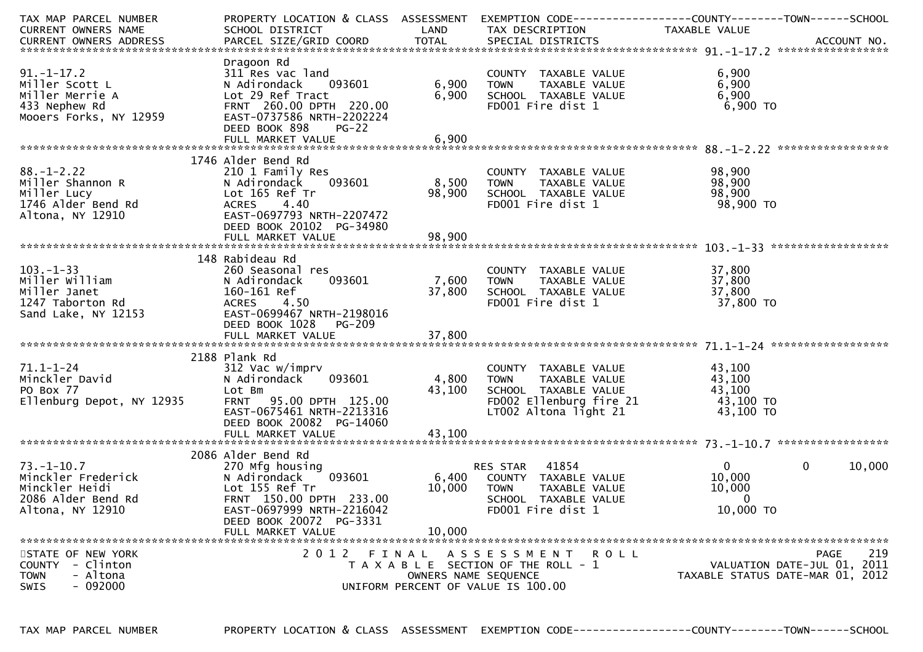| TAX MAP PARCEL NUMBER      | PROPERTY LOCATION & CLASS ASSESSMENT |                      |                                       | EXEMPTION CODE-----------------COUNTY-------TOWN------SCHOOL |                    |
|----------------------------|--------------------------------------|----------------------|---------------------------------------|--------------------------------------------------------------|--------------------|
| CURRENT OWNERS NAME        | SCHOOL DISTRICT                      | LAND                 | TAX DESCRIPTION                       | TAXABLE VALUE                                                |                    |
|                            |                                      |                      |                                       |                                                              |                    |
|                            |                                      |                      |                                       |                                                              |                    |
|                            | Dragoon Rd                           |                      |                                       |                                                              |                    |
| $91. - 1 - 17.2$           | 311 Res vac land                     |                      | COUNTY TAXABLE VALUE                  | 6,900                                                        |                    |
| Miller Scott L             | N Adirondack<br>093601               | 6,900                | TAXABLE VALUE<br><b>TOWN</b>          | 6,900                                                        |                    |
| Miller Merrie A            | Lot 29 Ref Tract                     | 6,900                | SCHOOL TAXABLE VALUE                  | 6,900                                                        |                    |
| 433 Nephew Rd              | FRNT 260.00 DPTH 220.00              |                      | FD001 Fire dist 1                     | 6,900 TO                                                     |                    |
| Mooers Forks, NY 12959     | EAST-0737586 NRTH-2202224            |                      |                                       |                                                              |                    |
|                            | DEED BOOK 898<br>$PG-22$             |                      |                                       |                                                              |                    |
|                            |                                      |                      |                                       |                                                              |                    |
|                            |                                      |                      |                                       |                                                              |                    |
|                            |                                      |                      |                                       |                                                              |                    |
|                            | 1746 Alder Bend Rd                   |                      |                                       |                                                              |                    |
| $88. - 1 - 2.22$           | 210 1 Family Res                     |                      | COUNTY TAXABLE VALUE                  | 98,900                                                       |                    |
| Miller Shannon R           | 093601<br>N Adirondack               | 8,500                | TAXABLE VALUE<br><b>TOWN</b>          | 98,900                                                       |                    |
| Miller Lucy                | Lot 165 Ref Tr                       | 98,900               | SCHOOL TAXABLE VALUE                  | 98,900                                                       |                    |
| 1746 Alder Bend Rd         | 4.40<br><b>ACRES</b>                 |                      | FD001 Fire dist 1                     | 98,900 TO                                                    |                    |
| Altona, NY 12910           | EAST-0697793 NRTH-2207472            |                      |                                       |                                                              |                    |
|                            | DEED BOOK 20102 PG-34980             |                      |                                       |                                                              |                    |
|                            |                                      |                      |                                       |                                                              |                    |
|                            |                                      |                      |                                       |                                                              |                    |
|                            | 148 Rabideau Rd                      |                      |                                       |                                                              |                    |
| $103. -1 - 33$             | 260 Seasonal res                     |                      | COUNTY TAXABLE VALUE                  | 37,800                                                       |                    |
| Miller William             | 093601<br>N Adirondack               | 7,600                | TAXABLE VALUE<br><b>TOWN</b>          | 37,800                                                       |                    |
| Miller Janet               | 160-161 Ref                          | 37,800               | SCHOOL TAXABLE VALUE                  | 37,800                                                       |                    |
| 1247 Taborton Rd           | <b>ACRES</b><br>4.50                 |                      | FD001 Fire dist 1                     | 37,800 TO                                                    |                    |
| Sand Lake, NY 12153        | EAST-0699467 NRTH-2198016            |                      |                                       |                                                              |                    |
|                            | DEED BOOK 1028<br>PG-209             |                      |                                       |                                                              |                    |
|                            |                                      |                      |                                       |                                                              |                    |
|                            |                                      |                      |                                       |                                                              |                    |
|                            | 2188 Plank Rd                        |                      |                                       |                                                              |                    |
| $71.1 - 1 - 24$            | 312 Vac w/imprv                      |                      | COUNTY TAXABLE VALUE                  | 43,100                                                       |                    |
| Minckler David             | 093601                               |                      |                                       | 43,100                                                       |                    |
|                            | N Adirondack                         | 4,800                | TAXABLE VALUE<br><b>TOWN</b>          |                                                              |                    |
| PO Box 77                  | Lot Bm                               | 43,100               | SCHOOL TAXABLE VALUE                  | 43,100                                                       |                    |
| Ellenburg Depot, NY 12935  | FRNT 95.00 DPTH 125.00               |                      | FD002 Ellenburg fire 21               | 43,100 TO                                                    |                    |
|                            | EAST-0675461 NRTH-2213316            |                      | LT002 Altona light 21                 | 43,100 TO                                                    |                    |
|                            | DEED BOOK 20082 PG-14060             |                      |                                       |                                                              |                    |
|                            | FULL MARKET VALUE                    | 43,100               |                                       |                                                              |                    |
|                            |                                      |                      |                                       |                                                              |                    |
|                            | 2086 Alder Bend Rd                   |                      |                                       |                                                              |                    |
| $73. - 1 - 10.7$           | 270 Mfg housing                      |                      | 41854<br>RES STAR                     | $\overline{0}$<br>$\mathbf{0}$                               | 10,000             |
| Minckler Frederick         | 093601<br>N Adirondack               | 6,400                | COUNTY TAXABLE VALUE                  | 10,000                                                       |                    |
| Minckler Heidi             | Lot 155 Ref Tr                       | 10,000               | <b>TOWN</b><br>TAXABLE VALUE          | 10,000                                                       |                    |
| 2086 Alder Bend Rd         | FRNT 150.00 DPTH 233.00              |                      | SCHOOL TAXABLE VALUE                  | $\mathbf{0}$                                                 |                    |
| Altona, NY 12910           | EAST-0697999 NRTH-2216042            |                      | FD001 Fire dist 1                     | 10,000 TO                                                    |                    |
|                            | DEED BOOK 20072 PG-3331              |                      |                                       |                                                              |                    |
|                            | FULL MARKET VALUE                    | 10,000               |                                       |                                                              |                    |
|                            |                                      |                      |                                       |                                                              |                    |
| STATE OF NEW YORK          |                                      |                      | 2012 FINAL ASSESSMENT<br>R O L L      |                                                              | 219<br><b>PAGE</b> |
| - Clinton<br><b>COUNTY</b> |                                      |                      | T A X A B L E SECTION OF THE ROLL - 1 | VALUATION DATE-JUL 01, 2011                                  |                    |
| <b>TOWN</b><br>- Altona    |                                      | OWNERS NAME SEQUENCE |                                       | TAXABLE STATUS DATE-MAR 01, 2012                             |                    |
| $-092000$<br>SWIS          |                                      |                      | UNIFORM PERCENT OF VALUE IS 100.00    |                                                              |                    |
|                            |                                      |                      |                                       |                                                              |                    |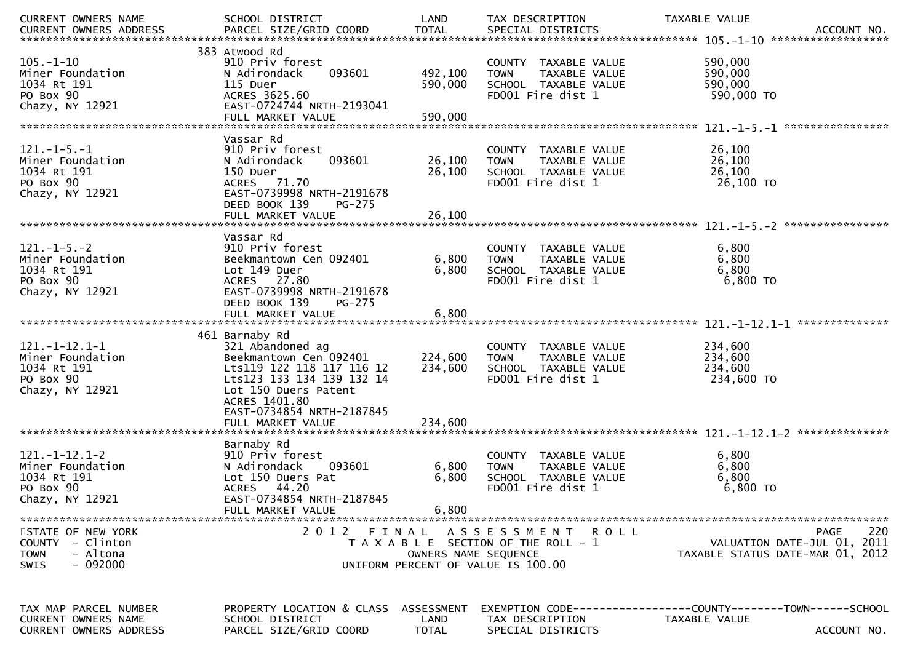| CURRENT OWNERS NAME                                                                      | SCHOOL DISTRICT                                                                                                                                                                                                   | LAND                          | TAX DESCRIPTION                                                                                             | TAXABLE VALUE<br>ACCOUNT NO.<br>******************                                                   |
|------------------------------------------------------------------------------------------|-------------------------------------------------------------------------------------------------------------------------------------------------------------------------------------------------------------------|-------------------------------|-------------------------------------------------------------------------------------------------------------|------------------------------------------------------------------------------------------------------|
| $105. - 1 - 10$<br>Miner Foundation<br>1034 Rt 191<br>PO Box 90<br>Chazy, NY 12921       | 383 Atwood Rd<br>910 Priv forest<br>093601<br>N Adirondack<br>115 Duer<br>ACRES 3625.60<br>EAST-0724744 NRTH-2193041<br>FULL MARKET VALUE                                                                         | 492,100<br>590,000<br>590,000 | COUNTY TAXABLE VALUE<br>TAXABLE VALUE<br><b>TOWN</b><br>SCHOOL TAXABLE VALUE<br>FD001 Fire dist 1           | 590,000<br>590,000<br>590,000<br>590,000 TO                                                          |
| $121 - 1 - 5 - 1$<br>Miner Foundation<br>1034 Rt 191<br>PO Box 90<br>Chazy, NY 12921     | Vassar Rd<br>910 Priv forest<br>093601<br>N Adirondack<br>150 Duer<br>ACRES 71.70<br>EAST-0739998 NRTH-2191678<br>DEED BOOK 139<br><b>PG-275</b>                                                                  | 26,100<br>26,100              | <b>COUNTY</b><br>TAXABLE VALUE<br>TAXABLE VALUE<br><b>TOWN</b><br>SCHOOL TAXABLE VALUE<br>FD001 Fire dist 1 | 26,100<br>26,100<br>26,100<br>26,100 TO                                                              |
|                                                                                          | Vassar Rd                                                                                                                                                                                                         |                               |                                                                                                             |                                                                                                      |
| $121 - 1 - 5 - 2$<br>Miner Foundation<br>1034 Rt 191<br>PO Box 90<br>Chazy, NY 12921     | 910 Priv forest<br>Beekmantown Cen 092401<br>Lot 149 Duer<br>ACRES 27.80<br>EAST-0739998 NRTH-2191678<br>DEED BOOK 139<br><b>PG-275</b>                                                                           | 6,800<br>6,800                | COUNTY TAXABLE VALUE<br>TAXABLE VALUE<br><b>TOWN</b><br>SCHOOL TAXABLE VALUE<br>FD001 Fire dist 1           | 6,800<br>6,800<br>6,800<br>6,800 TO                                                                  |
|                                                                                          |                                                                                                                                                                                                                   |                               |                                                                                                             |                                                                                                      |
| $121.-1-12.1-1$<br>Miner Foundation<br>1034 Rt 191<br>PO Box 90<br>Chazy, NY 12921       | 461 Barnaby Rd<br>321 Abandoned ag<br>Beekmantown Cen 092401<br>Lts119 122 118 117 116 12<br>Lts123 133 134 139 132 14<br>Lot 150 Duers Patent<br>ACRES 1401.80<br>EAST-0734854 NRTH-2187845<br>FULL MARKET VALUE | 224,600<br>234,600<br>234,600 | COUNTY TAXABLE VALUE<br><b>TOWN</b><br>TAXABLE VALUE<br>SCHOOL TAXABLE VALUE<br>FD001 Fire dist 1           | 234,600<br>234,600<br>234,600<br>234,600 TO                                                          |
|                                                                                          |                                                                                                                                                                                                                   |                               |                                                                                                             | **************<br>$121. - 1 - 12.1 - 2$                                                              |
| $121. - 1 - 12.1 - 2$<br>Miner Foundation<br>1034 Rt 191<br>PO Box 90<br>Chazy, NY 12921 | Barnaby Rd<br>910 Priv forest<br>N Adirondack<br>093601<br>Lot 150 Duers Pat<br>ACRES 44.20<br>EAST-0734854 NRTH-2187845<br>FULL MARKET VALUE                                                                     | 6,800<br>6,800<br>6,800       | <b>COUNTY</b><br>TAXABLE VALUE<br>TAXABLE VALUE<br><b>TOWN</b><br>SCHOOL TAXABLE VALUE<br>FD001 Fire dist 1 | 6,800<br>6,800<br>6,800<br>6,800 TO                                                                  |
| STATE OF NEW YORK                                                                        |                                                                                                                                                                                                                   |                               | 2012 FINAL ASSESSMENT ROLL                                                                                  | 220<br>PAGE                                                                                          |
| COUNTY - Clinton<br>- Altona<br><b>TOWN</b><br>- 092000<br><b>SWIS</b>                   |                                                                                                                                                                                                                   | OWNERS NAME SEQUENCE          | T A X A B L E SECTION OF THE ROLL - 1<br>UNIFORM PERCENT OF VALUE IS 100.00                                 | VALUATION DATE-JUL 01, 2011<br>TAXABLE STATUS DATE-MAR 01, 2012                                      |
| TAX MAP PARCEL NUMBER<br><b>CURRENT OWNERS NAME</b><br><b>CURRENT OWNERS ADDRESS</b>     | PROPERTY LOCATION & CLASS<br>SCHOOL DISTRICT<br>PARCEL SIZE/GRID COORD                                                                                                                                            | ASSESSMENT<br>LAND<br>TOTAL   | TAX DESCRIPTION<br>SPECIAL DISTRICTS                                                                        | EXEMPTION        CODE------------------COUNTY-------TOWN------SCHOOL<br>TAXABLE VALUE<br>ACCOUNT NO. |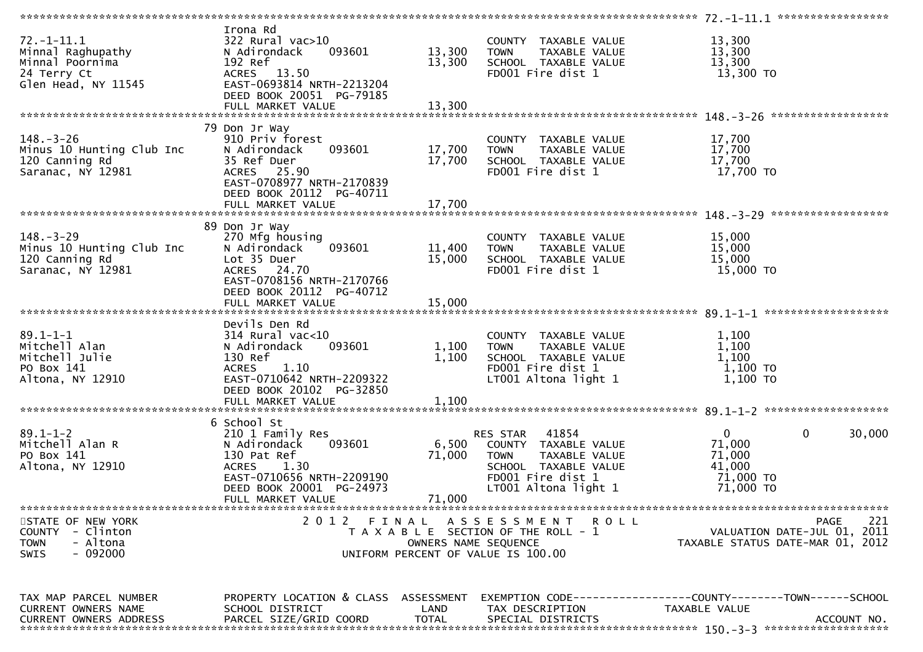| $72.-1-11.1$<br>Minnal Raghupathy<br>Minnal Poornima<br>24 Terry Ct<br>Glen Head, NY 11545             | Irona Rd<br>$322$ Rural vac $>10$<br>093601<br>N Adirondack<br>192 Ref<br>ACRES 13.50<br>EAST-0693814 NRTH-2213204<br>DEED BOOK 20051 PG-79185               | 13,300<br>13,300           | COUNTY TAXABLE VALUE<br>TAXABLE VALUE<br><b>TOWN</b><br>SCHOOL TAXABLE VALUE<br>FD001 Fire dist 1                                              | 13,300<br>13,300<br>13,300<br>13,300 TO                                                      |
|--------------------------------------------------------------------------------------------------------|--------------------------------------------------------------------------------------------------------------------------------------------------------------|----------------------------|------------------------------------------------------------------------------------------------------------------------------------------------|----------------------------------------------------------------------------------------------|
|                                                                                                        | 79 Don Jr Way                                                                                                                                                |                            |                                                                                                                                                |                                                                                              |
| $148. - 3 - 26$<br>Minus 10 Hunting Club Inc<br>120 Canning Rd<br>Saranac, NY 12981                    | 910 Priv forest<br>093601<br>N Adirondack<br>35 Ref Duer<br>ACRES 25.90<br>EAST-0708977 NRTH-2170839<br>DEED BOOK 20112 PG-40711<br>FULL MARKET VALUE        | 17,700<br>17,700<br>17,700 | COUNTY TAXABLE VALUE<br>TAXABLE VALUE<br><b>TOWN</b><br>SCHOOL TAXABLE VALUE<br>FD001 Fire dist 1                                              | 17,700<br>17,700<br>17,700<br>17,700 TO                                                      |
|                                                                                                        |                                                                                                                                                              |                            |                                                                                                                                                |                                                                                              |
| $148. - 3 - 29$<br>Minus 10 Hunting Club Inc<br>120 Canning Rd<br>Saranac, NY 12981                    | 89 Don Jr Way<br>270 Mfg housing<br>093601<br>N Adirondack<br>Lot 35 Duer<br>ACRES 24.70<br>EAST-0708156 NRTH-2170766<br>DEED BOOK 20112 PG-40712            | 11,400<br>15,000           | COUNTY TAXABLE VALUE<br>TAXABLE VALUE<br><b>TOWN</b><br>SCHOOL TAXABLE VALUE<br>FD001 Fire dist 1                                              | 15,000<br>15,000<br>15,000<br>15,000 TO                                                      |
|                                                                                                        | FULL MARKET VALUE                                                                                                                                            | 15,000                     |                                                                                                                                                |                                                                                              |
|                                                                                                        |                                                                                                                                                              |                            |                                                                                                                                                |                                                                                              |
| $89.1 - 1 - 1$<br>Mitchell Alan<br>Mitchell Julie<br>PO Box 141<br>Altona, NY 12910                    | Devils Den Rd<br>$314$ Rural vac< $10$<br>093601<br>N Adirondack<br>130 Ref<br>1.10<br><b>ACRES</b><br>EAST-0710642 NRTH-2209322<br>DEED BOOK 20102 PG-32850 | 1,100<br>1,100             | COUNTY TAXABLE VALUE<br>TAXABLE VALUE<br><b>TOWN</b><br>SCHOOL TAXABLE VALUE<br>FD001 Fire dist 1<br>LT001 Altona light 1                      | 1,100<br>1,100<br>1,100<br>$1,100$ TO<br>1,100 TO                                            |
|                                                                                                        |                                                                                                                                                              |                            |                                                                                                                                                |                                                                                              |
| $89.1 - 1 - 2$<br>Mitchell Alan R<br>PO Box 141<br>Altona, NY 12910                                    | 6 School St<br>210 1 Family Res<br>093601<br>N Adirondack<br>130 Pat Ref<br><b>ACRES</b><br>1.30<br>EAST-0710656 NRTH-2209190<br>DEED BOOK 20001 PG-24973    | 6,500<br>71,000            | RES STAR<br>41854<br>COUNTY TAXABLE VALUE<br><b>TOWN</b><br>TAXABLE VALUE<br>SCHOOL TAXABLE VALUE<br>FD001 Fire dist 1<br>LT001 Altona light 1 | $\mathbf 0$<br>0<br>30,000<br>71,000<br>71,000<br>41,000<br>71,000 TO<br>71,000 TO           |
|                                                                                                        | FULL MARKET VALUE                                                                                                                                            | 71,000                     |                                                                                                                                                |                                                                                              |
|                                                                                                        |                                                                                                                                                              |                            |                                                                                                                                                |                                                                                              |
| STATE OF NEW YORK<br>- Clinton<br><b>COUNTY</b><br><b>TOWN</b><br>- Altona<br>$-092000$<br><b>SWIS</b> | 2 0 1 2<br>FINAL                                                                                                                                             | OWNERS NAME SEQUENCE       | A S S E S S M E N T<br>R O L L<br>T A X A B L E SECTION OF THE ROLL - 1<br>UNIFORM PERCENT OF VALUE IS 100.00                                  | 221<br>PAGE<br>VALUATION DATE-JUL 01, 2011<br>TAXABLE STATUS DATE-MAR 01, 2012               |
| TAX MAP PARCEL NUMBER<br>CURRENT OWNERS NAME<br><b>CURRENT OWNERS ADDRESS</b>                          | PROPERTY LOCATION & CLASS ASSESSMENT<br>SCHOOL DISTRICT<br>PARCEL SIZE/GRID COORD                                                                            | LAND<br><b>TOTAL</b>       | TAX DESCRIPTION<br>SPECIAL DISTRICTS                                                                                                           | EXEMPTION CODE-----------------COUNTY-------TOWN------SCHOOL<br>TAXABLE VALUE<br>ACCOUNT NO. |
|                                                                                                        |                                                                                                                                                              |                            |                                                                                                                                                |                                                                                              |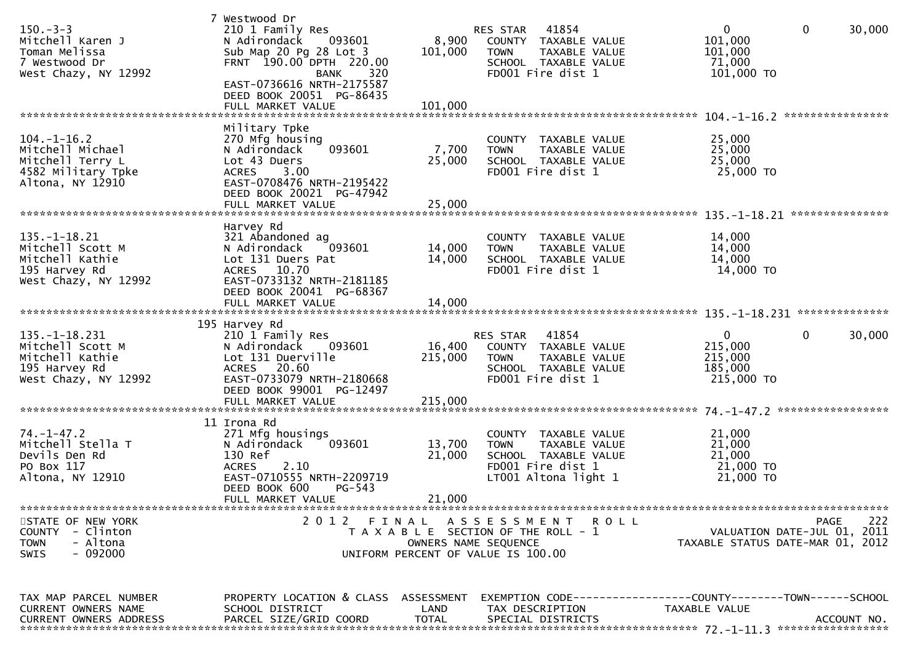| $150 - 3 - 3$<br>Mitchell Karen J<br>Toman Melissa<br>7 Westwood Dr<br>West Chazy, NY 12992         | 7 Westwood Dr<br>210 1 Family Res<br>N Adirondack<br>093601<br>Sub Map 20 Pg 28 Lot 3<br>FRNT 190.00 DPTH 220.00<br><b>BANK</b><br>320<br>EAST-0736616 NRTH-2175587<br>DEED BOOK 20051 PG-86435<br>FULL MARKET VALUE | 8,900<br>101,000<br>101,000  | RES STAR 41854<br><b>TOWN</b><br>FD001 Fire dist 1                                                  | COUNTY TAXABLE VALUE<br>TAXABLE VALUE<br>SCHOOL TAXABLE VALUE          | $\mathbf{0}$<br>101,000<br>101,000<br>71,000<br>$101,000$ TO                   | $\mathbf 0$      | 30,000      |
|-----------------------------------------------------------------------------------------------------|----------------------------------------------------------------------------------------------------------------------------------------------------------------------------------------------------------------------|------------------------------|-----------------------------------------------------------------------------------------------------|------------------------------------------------------------------------|--------------------------------------------------------------------------------|------------------|-------------|
| $104. - 1 - 16.2$<br>Mitchell Michael<br>Mitchell Terry L<br>4582 Military Tpke<br>Altona, NY 12910 | Military Tpke<br>270 Mfg housing<br>093601<br>N Adirondack<br>Lot 43 Duers<br>3.00<br><b>ACRES</b><br>EAST-0708476 NRTH-2195422<br>DEED BOOK 20021 PG-47942<br>FULL MARKET VALUE                                     | 7,700<br>25,000<br>25,000    | <b>TOWN</b><br>FD001 Fire dist 1                                                                    | COUNTY TAXABLE VALUE<br>TAXABLE VALUE<br>SCHOOL TAXABLE VALUE          | 25,000<br>25,000<br>25,000<br>25,000 TO                                        | **************** |             |
| $135. - 1 - 18.21$<br>Mitchell Scott M<br>Mitchell Kathie<br>195 Harvey Rd<br>West Chazy, NY 12992  | Harvey Rd<br>321 Abandoned ag<br>093601<br>N Adirondack<br>Lot 131 Duers Pat<br>10.70<br>ACRES<br>EAST-0733132 NRTH-2181185<br>DEED BOOK 20041 PG-68367<br>FULL MARKET VALUE                                         | 14,000<br>14,000<br>14,000   | <b>TOWN</b><br>FD001 Fire dist 1                                                                    | COUNTY TAXABLE VALUE<br>TAXABLE VALUE<br>SCHOOL TAXABLE VALUE          | 14,000<br>14,000<br>14,000<br>14,000 TO                                        | ***************  |             |
| $135. - 1 - 18.231$<br>Mitchell Scott M<br>Mitchell Kathie<br>195 Harvey Rd<br>West Chazy, NY 12992 | 195 Harvey Rd<br>210 1 Family Res<br>N Adirondack<br>093601<br>Lot 131 Duerville<br>ACRES 20.60<br>EAST-0733079 NRTH-2180668<br>DEED BOOK 99001 PG-12497<br>FULL MARKET VALUE                                        | 16,400<br>215,000<br>215,000 | RES STAR<br><b>TOWN</b><br>FD001 Fire dist 1                                                        | 41854<br>COUNTY TAXABLE VALUE<br>TAXABLE VALUE<br>SCHOOL TAXABLE VALUE | 0<br>215,000<br>215,000<br>185,000<br>215,000 TO                               | 0                | 30,000      |
| $74. - 1 - 47.2$<br>Mitchell Stella T<br>Devils Den Rd<br>PO Box 117<br>Altona, NY 12910            | 11 Irona Rd<br>271 Mfg housings<br>093601<br>N Adirondack<br>130 Ref<br>2.10<br><b>ACRES</b><br>EAST-0710555 NRTH-2209719<br>DEED BOOK 600<br>$PG-543$<br>FULL MARKET VALUE                                          | 13,700<br>21,000<br>21,000   | <b>TOWN</b><br>FD001 Fire dist 1<br>LT001 Altona light 1                                            | COUNTY TAXABLE VALUE<br>TAXABLE VALUE<br>SCHOOL TAXABLE VALUE          | 21,000<br>21,000<br>21,000<br>21,000 TO<br>21,000 TO                           |                  |             |
| STATE OF NEW YORK<br>COUNTY - Clinton<br>- Altona<br><b>TOWN</b><br>$-092000$<br><b>SWIS</b>        | 2012 FINAL ASSESSMENT                                                                                                                                                                                                |                              | T A X A B L E SECTION OF THE ROLL - 1<br>OWNERS NAME SEQUENCE<br>UNIFORM PERCENT OF VALUE IS 100.00 | <b>ROLL</b>                                                            | VALUATION DATE-JUL 01, 2011<br>TAXABLE STATUS DATE-MAR 01, 2012                | <b>PAGE</b>      | 222         |
| TAX MAP PARCEL NUMBER<br>CURRENT OWNERS NAME<br><b>CURRENT OWNERS ADDRESS</b>                       | PROPERTY LOCATION & CLASS ASSESSMENT<br>SCHOOL DISTRICT<br>PARCEL SIZE/GRID COORD                                                                                                                                    | LAND<br>TOTAL                | TAX DESCRIPTION<br>SPECIAL DISTRICTS                                                                |                                                                        | EXEMPTION CODE-----------------COUNTY--------TOWN------SCHOOL<br>TAXABLE VALUE |                  | ACCOUNT NO. |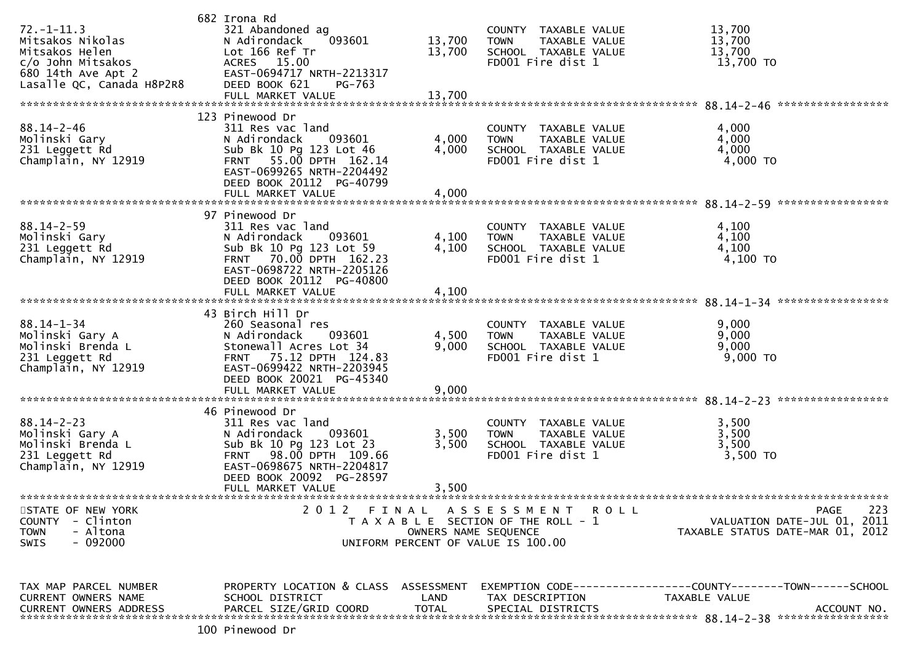| $72. - 1 - 11.3$<br>Mitsakos Nikolas<br>Mitsakos Helen<br>c/o John Mitsakos<br>680 14th Ave Apt 2<br>Lasalle QC, Canada H8P2R8 | 682 Irona Rd<br>321 Abandoned ag<br>N Adirondack<br>093601<br>Lot 166 Ref Tr<br>ACRES 15.00<br>EAST-0694717 NRTH-2213317<br>DEED BOOK 621<br>PG-763<br>FULL MARKET VALUE | 13,700<br>13,700<br>13,700 | COUNTY TAXABLE VALUE<br>TAXABLE VALUE<br><b>TOWN</b><br>SCHOOL TAXABLE VALUE<br>FD001 Fire dist 1 | 13,700<br>13,700<br>13,700<br>13,700 TO    |
|--------------------------------------------------------------------------------------------------------------------------------|--------------------------------------------------------------------------------------------------------------------------------------------------------------------------|----------------------------|---------------------------------------------------------------------------------------------------|--------------------------------------------|
| $88.14 - 2 - 46$                                                                                                               | 123 Pinewood Dr<br>311 Res vac land                                                                                                                                      |                            | COUNTY TAXABLE VALUE                                                                              | 4,000                                      |
| Molinski Gary<br>231 Leggett Rd<br>Champlain, NY 12919                                                                         | N Adirondack<br>093601<br>Sub Bk 10 Pg 123 Lot 46<br>55.00 DPTH 162.14<br><b>FRNT</b><br>EAST-0699265 NRTH-2204492<br>DEED BOOK 20112 PG-40799                           | 4,000<br>4,000             | TAXABLE VALUE<br><b>TOWN</b><br>SCHOOL TAXABLE VALUE<br>FD001 Fire dist 1                         | 4,000<br>4,000<br>4,000 TO                 |
|                                                                                                                                | FULL MARKET VALUE                                                                                                                                                        | 4,000                      |                                                                                                   |                                            |
|                                                                                                                                | 97 Pinewood Dr                                                                                                                                                           |                            |                                                                                                   |                                            |
| $88.14 - 2 - 59$                                                                                                               | 311 Res vac land                                                                                                                                                         |                            | COUNTY TAXABLE VALUE                                                                              | 4,100                                      |
| Molinski Gary<br>231 Leggett Rd                                                                                                | N Adirondack<br>093601<br>Sub Bk 10 Pg 123 Lot 59                                                                                                                        | 4,100<br>4,100             | TAXABLE VALUE<br><b>TOWN</b><br>SCHOOL TAXABLE VALUE                                              | 4,100<br>4,100                             |
| Champlain, NY 12919                                                                                                            | 70.00 DPTH 162.23<br><b>FRNT</b>                                                                                                                                         |                            | FD001 Fire dist 1                                                                                 | 4,100 TO                                   |
|                                                                                                                                | EAST-0698722 NRTH-2205126<br>DEED BOOK 20112 PG-40800<br>FULL MARKET VALUE                                                                                               | 4,100                      |                                                                                                   |                                            |
|                                                                                                                                |                                                                                                                                                                          |                            |                                                                                                   |                                            |
|                                                                                                                                | 43 Birch Hill Dr                                                                                                                                                         |                            |                                                                                                   |                                            |
| $88.14 - 1 - 34$<br>Molinski Gary A                                                                                            | 260 Seasonal res<br>093601                                                                                                                                               |                            | COUNTY TAXABLE VALUE                                                                              | 9,000<br>9,000                             |
| Molinski Brenda L                                                                                                              | N Adirondack<br>Stonewall Acres Lot 34                                                                                                                                   | 4,500<br>9,000             | TAXABLE VALUE<br><b>TOWN</b><br>SCHOOL TAXABLE VALUE                                              | 9,000                                      |
| 231 Leggett Rd                                                                                                                 | 75.12 DPTH 124.83<br><b>FRNT</b>                                                                                                                                         |                            | FD001 Fire dist 1                                                                                 | 9,000 TO                                   |
| Champlain, NY 12919                                                                                                            | EAST-0699422 NRTH-2203945                                                                                                                                                |                            |                                                                                                   |                                            |
|                                                                                                                                | DEED BOOK 20021 PG-45340                                                                                                                                                 |                            |                                                                                                   |                                            |
|                                                                                                                                |                                                                                                                                                                          |                            |                                                                                                   |                                            |
|                                                                                                                                | 46 Pinewood Dr                                                                                                                                                           |                            |                                                                                                   |                                            |
| $88.14 - 2 - 23$                                                                                                               | 311 Res vac land                                                                                                                                                         |                            | COUNTY TAXABLE VALUE                                                                              | 3,500                                      |
| Molinski Gary A                                                                                                                | N Adirondack<br>093601                                                                                                                                                   | 3,500                      | <b>TOWN</b><br>TAXABLE VALUE                                                                      | 3,500                                      |
| Molinski Brenda L                                                                                                              | Sub Bk 10 Pg 123 Lot 23                                                                                                                                                  | 3,500                      | SCHOOL TAXABLE VALUE                                                                              | 3,500                                      |
| 231 Leggett Rd<br>Champlain, NY 12919                                                                                          | FRNT 98.00 DPTH 109.66<br>EAST-0698675 NRTH-2204817                                                                                                                      |                            | FD001 Fire dist 1                                                                                 | 3,500 TO                                   |
|                                                                                                                                | DEED BOOK 20092 PG-28597                                                                                                                                                 |                            |                                                                                                   |                                            |
|                                                                                                                                | FULL MARKET VALUE                                                                                                                                                        | 3,500                      |                                                                                                   |                                            |
|                                                                                                                                |                                                                                                                                                                          |                            |                                                                                                   |                                            |
| STATE OF NEW YORK<br>COUNTY - Clinton                                                                                          |                                                                                                                                                                          |                            | 2012 FINAL ASSESSMENT ROLL<br>T A X A B L E SECTION OF THE ROLL - 1                               | PAGE<br>223<br>VALUATION DATE-JUL 01, 2011 |
| <b>TOWN</b><br>- Altona                                                                                                        |                                                                                                                                                                          | OWNERS NAME SEQUENCE       |                                                                                                   | TAXABLE STATUS DATE-MAR 01, 2012           |
| - 092000<br><b>SWIS</b>                                                                                                        |                                                                                                                                                                          |                            | UNIFORM PERCENT OF VALUE IS 100.00                                                                |                                            |
|                                                                                                                                |                                                                                                                                                                          |                            |                                                                                                   |                                            |
| TAX MAP PARCEL NUMBER                                                                                                          | PROPERTY LOCATION & CLASS ASSESSMENT                                                                                                                                     |                            |                                                                                                   |                                            |
| CURRENT OWNERS NAME                                                                                                            | SCHOOL DISTRICT                                                                                                                                                          | LAND                       | TAX DESCRIPTION                                                                                   | TAXABLE VALUE                              |
| <b>CURRENT OWNERS ADDRESS</b>                                                                                                  | PARCEL SIZE/GRID COORD                                                                                                                                                   | <b>TOTAL</b>               | SPECIAL DISTRICTS                                                                                 | ACCOUNT NO.                                |
|                                                                                                                                |                                                                                                                                                                          |                            |                                                                                                   |                                            |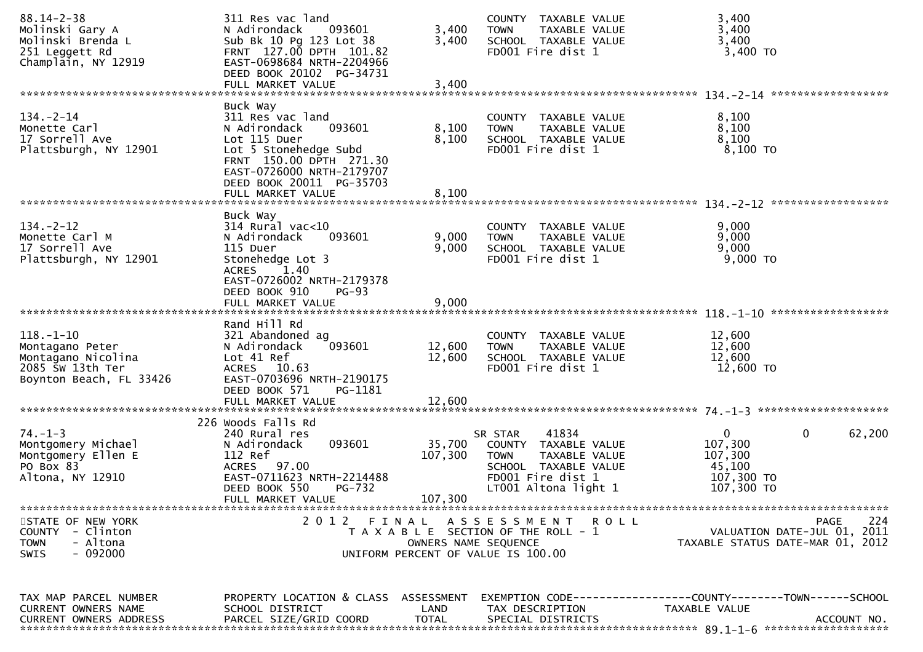| $88.14 - 2 - 38$<br>Molinski Gary A<br>Molinski Brenda L<br>251 Leggett Rd<br>Champlain, NY 12919       | 311 Res vac land<br>N Adirondack<br>093601<br>Sub Bk 10 Pg 123 Lot 38<br>FRNT 127.00 DPTH 101.82<br>EAST-0698684 NRTH-2204966                                                                            | 3,400<br>3,400                | COUNTY TAXABLE VALUE<br><b>TOWN</b><br>TAXABLE VALUE<br>SCHOOL TAXABLE VALUE<br>FD001 Fire dist 1                                             | 3,400<br>3,400<br>3,400<br>$3,400$ TO                                                              |     |
|---------------------------------------------------------------------------------------------------------|----------------------------------------------------------------------------------------------------------------------------------------------------------------------------------------------------------|-------------------------------|-----------------------------------------------------------------------------------------------------------------------------------------------|----------------------------------------------------------------------------------------------------|-----|
|                                                                                                         | DEED BOOK 20102 PG-34731<br>FULL MARKET VALUE                                                                                                                                                            | 3,400                         |                                                                                                                                               |                                                                                                    |     |
| $134 - 2 - 14$<br>Monette Carl<br>17 Sorrell Ave<br>Plattsburgh, NY 12901                               | Buck Way<br>311 Res vac land<br>093601<br>N Adirondack<br>Lot 115 Duer<br>Lot 5 Stonehedge Subd<br>FRNT 150.00 DPTH 271.30<br>EAST-0726000 NRTH-2179707<br>DEED BOOK 20011 PG-35703<br>FULL MARKET VALUE | 8,100<br>8,100<br>8,100       | COUNTY TAXABLE VALUE<br>TAXABLE VALUE<br><b>TOWN</b><br>SCHOOL TAXABLE VALUE<br>FD001 Fire dist 1                                             | 8,100<br>8,100<br>8,100<br>$8,100$ TO                                                              |     |
| $134. - 2 - 12$<br>Monette Carl M<br>17 Sorrell Ave<br>Plattsburgh, NY 12901                            | Buck Way<br>$314$ Rural vac<10<br>N Adirondack<br>093601<br>115 Duer<br>Stonehedge Lot 3<br><b>ACRES</b><br>1.40<br>EAST-0726002 NRTH-2179378<br>DEED BOOK 910<br>$PG-93$<br>FULL MARKET VALUE           | 9,000<br>9,000<br>9,000       | COUNTY TAXABLE VALUE<br>TAXABLE VALUE<br><b>TOWN</b><br>SCHOOL TAXABLE VALUE<br>FD001 Fire dist 1                                             | 9,000<br>9,000<br>9,000<br>9,000 TO                                                                |     |
| $118. - 1 - 10$<br>Montagano Peter<br>Montagano Nicolina<br>2085 SW 13th Ter<br>Boynton Beach, FL 33426 | Rand Hill Rd<br>321 Abandoned ag<br>093601<br>N Adirondack<br>Lot 41 Ref<br>ACRES 10.63<br>EAST-0703696 NRTH-2190175<br>DEED BOOK 571<br>PG-1181<br>FULL MARKET VALUE                                    | 12,600<br>12,600<br>12,600    | COUNTY TAXABLE VALUE<br>TAXABLE VALUE<br><b>TOWN</b><br>SCHOOL TAXABLE VALUE<br>FD001 Fire dist 1                                             | 12,600<br>12,600<br>12,600<br>12,600 TO                                                            |     |
| $74. - 1 - 3$<br>Montgomery Michael<br>Montgomery Ellen E<br>PO Box 83<br>Altona, NY 12910              | 226 Woods Falls Rd<br>240 Rural res<br>093601<br>N Adirondack<br>112 Ref<br>ACRES 97.00<br>EAST-0711623 NRTH-2214488<br>DEED BOOK 550<br>PG-732<br>FULL MARKET VALUE                                     | 35,700<br>107,300<br>107,300  | 41834<br>SR STAR<br>COUNTY TAXABLE VALUE<br><b>TOWN</b><br>TAXABLE VALUE<br>SCHOOL TAXABLE VALUE<br>FD001 Fire dist 1<br>LT001 Altona light 1 | $\mathbf{0}$<br>$\mathbf{0}$<br>62,200<br>107,300<br>107,300<br>45,100<br>107,300 TO<br>107,300 TO |     |
| STATE OF NEW YORK<br>- Clinton<br><b>COUNTY</b><br><b>TOWN</b><br>- Altona<br>- 092000<br><b>SWIS</b>   | 2 0 1 2                                                                                                                                                                                                  | FINAL<br>OWNERS NAME SEQUENCE | <b>ROLL</b><br>A S S E S S M E N T<br>T A X A B L E SECTION OF THE ROLL - 1<br>UNIFORM PERCENT OF VALUE IS 100.00                             | PAGE<br>VALUATION DATE-JUL 01, 2011<br>TAXABLE STATUS DATE-MAR 01, 2012                            | 224 |
| TAX MAP PARCEL NUMBER<br>CURRENT OWNERS NAME<br><b>CURRENT OWNERS ADDRESS</b>                           | PROPERTY LOCATION & CLASS ASSESSMENT<br>SCHOOL DISTRICT<br>PARCEL SIZE/GRID COORD                                                                                                                        | LAND<br><b>TOTAL</b>          | TAX DESCRIPTION<br>SPECIAL DISTRICTS                                                                                                          | EXEMPTION CODE------------------COUNTY--------TOWN------SCHOOL<br>TAXABLE VALUE<br>ACCOUNT NO.     |     |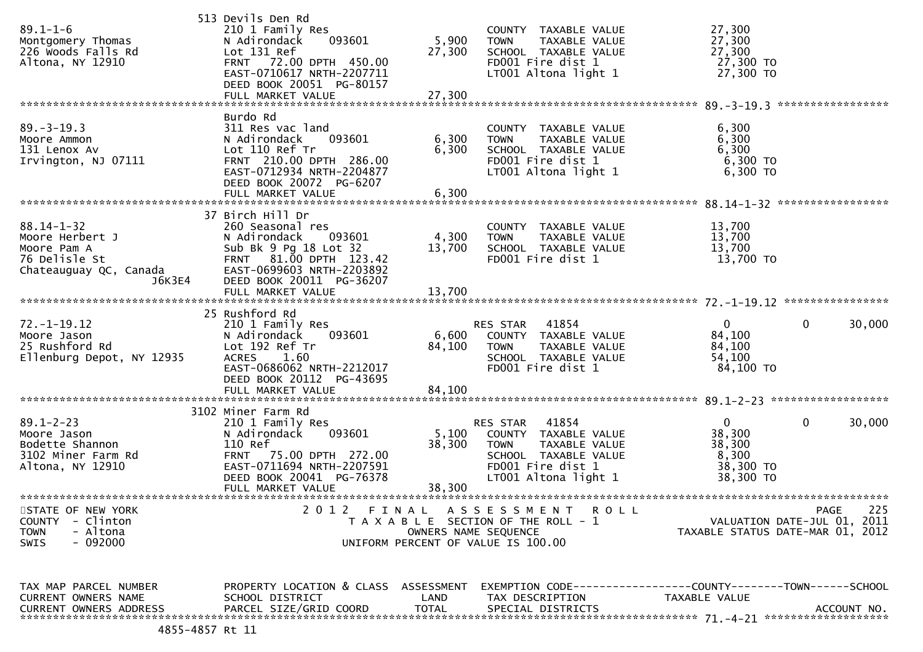| $89.1 - 1 - 6$<br>Montgomery Thomas<br>226 Woods Falls Rd<br>Altona, NY 12910                           | 513 Devils Den Rd<br>210 1 Family Res<br>093601<br>N Adirondack<br>Lot 131 Ref<br>FRNT 72.00 DPTH 450.00<br>EAST-0710617 NRTH-2207711<br>DEED BOOK 20051 PG-80157<br>FULL MARKET VALUE | 5,900<br>27,300<br>27,300 | COUNTY TAXABLE VALUE<br><b>TOWN</b><br>TAXABLE VALUE<br>SCHOOL TAXABLE VALUE<br>FD001 Fire dist 1<br>LT001 Altona light 1                      | 27,300<br>27,300<br>27,300<br>27,300 TO<br>27,300 TO                |                     |
|---------------------------------------------------------------------------------------------------------|----------------------------------------------------------------------------------------------------------------------------------------------------------------------------------------|---------------------------|------------------------------------------------------------------------------------------------------------------------------------------------|---------------------------------------------------------------------|---------------------|
|                                                                                                         | Burdo Rd                                                                                                                                                                               |                           |                                                                                                                                                |                                                                     |                     |
| $89. - 3 - 19.3$<br>Moore Ammon<br>131 Lenox Av<br>Irvington, NJ 07111                                  | 311 Res vac land<br>N Adirondack<br>093601<br>Lot 110 Ref Tr<br>FRNT 210.00 DPTH 286.00<br>EAST-0712934 NRTH-2204877<br>DEED BOOK 20072 PG-6207<br>FULL MARKET VALUE                   | 6,300<br>6,300<br>6,300   | COUNTY TAXABLE VALUE<br>TAXABLE VALUE<br><b>TOWN</b><br>SCHOOL TAXABLE VALUE<br>FD001 Fire dist 1<br>LT001 Altona light 1                      | 6,300<br>6,300<br>6,300<br>6,300 TO<br>$6,300$ TO                   |                     |
|                                                                                                         |                                                                                                                                                                                        |                           |                                                                                                                                                |                                                                     |                     |
| $88.14 - 1 - 32$<br>Moore Herbert J<br>Moore Pam A<br>76 Delisle St<br>Chateauguay QC, Canada<br>J6K3E4 | 37 Birch Hill Dr<br>260 Seasonal res<br>N Adirondack<br>093601<br>Sub Bk 9 Pg 18 Lot 32<br>FRNT 81.00 DPTH 123.42<br>EAST-0699603 NRTH-2203892<br>DEED BOOK 20011 PG-36207             | 4,300<br>13,700           | COUNTY TAXABLE VALUE<br><b>TOWN</b><br>TAXABLE VALUE<br>SCHOOL TAXABLE VALUE<br>FD001 Fire dist 1                                              | 13,700<br>13,700<br>13,700<br>13,700 TO                             |                     |
|                                                                                                         |                                                                                                                                                                                        |                           |                                                                                                                                                |                                                                     |                     |
|                                                                                                         | 25 Rushford Rd                                                                                                                                                                         |                           |                                                                                                                                                |                                                                     |                     |
| 72. –1–19.12<br>Moore Jason<br>25 Rushford Rd<br>Ellenburg Depot, NY 12935                              | 210 1 Family Res<br>093601<br>N Adirondack<br>Lot 192 Ref Tr<br>1.60<br>ACRES<br>EAST-0686062 NRTH-2212017<br>DEED BOOK 20112 PG-43695                                                 | 6,600<br>84,100           | 41854<br>RES STAR<br>COUNTY TAXABLE VALUE<br>TAXABLE VALUE<br>TOWN<br>SCHOOL TAXABLE VALUE<br>FD001 Fire dist 1                                | $\Omega$<br>84,100<br>84,100<br>54,100<br>84,100 TO                 | 30,000<br>0         |
|                                                                                                         | FULL MARKET VALUE                                                                                                                                                                      | 84,100                    |                                                                                                                                                |                                                                     |                     |
|                                                                                                         | 3102 Miner Farm Rd                                                                                                                                                                     |                           |                                                                                                                                                |                                                                     |                     |
| $89.1 - 2 - 23$<br>Moore Jason<br>Bodette Shannon<br>3102 Miner Farm Rd<br>Altona, NY 12910             | 210 1 Family Res<br>093601<br>N Adirondack<br>110 Ref<br><b>FRNT</b><br>75.00 DPTH 272.00<br>EAST-0711694 NRTH-2207591<br>DEED BOOK 20041 PG-76378<br>FULL MARKET VALUE                | 5,100<br>38,300<br>38,300 | 41854<br>RES STAR<br>COUNTY TAXABLE VALUE<br>TAXABLE VALUE<br><b>TOWN</b><br>SCHOOL TAXABLE VALUE<br>FD001 Fire dist 1<br>LT001 Altona light 1 | $\mathbf{0}$<br>38,300<br>38,300<br>8,300<br>38,300 TO<br>38,300 TO | 0<br>30,000         |
|                                                                                                         |                                                                                                                                                                                        |                           |                                                                                                                                                |                                                                     |                     |
| STATE OF NEW YORK<br><b>COUNTY</b><br>- Clinton<br>- Altona<br><b>TOWN</b><br>- 092000<br>SWIS          | 2012                                                                                                                                                                                   | OWNERS NAME SEQUENCE      | FINAL ASSESSMENT<br><b>ROLL</b><br>T A X A B L E SECTION OF THE ROLL - 1<br>UNIFORM PERCENT OF VALUE IS 100.00                                 | VALUATION DATE-JUL 01,<br>TAXABLE STATUS DATE-MAR 01, 2012          | 225<br>PAGE<br>2011 |
|                                                                                                         |                                                                                                                                                                                        |                           |                                                                                                                                                |                                                                     |                     |
| TAX MAP PARCEL NUMBER<br>CURRENT OWNERS NAME                                                            | PROPERTY LOCATION & CLASS ASSESSMENT<br>SCHOOL DISTRICT                                                                                                                                | LAND                      | EXEMPTION CODE-----------------COUNTY-------TOWN------SCHOOL<br>TAX DESCRIPTION                                                                | TAXABLE VALUE                                                       |                     |
| CURRENT OWNERS ADDRESS                                                                                  | PARCEL SIZE/GRID COORD                                                                                                                                                                 | <b>TOTAL</b>              | SPECIAL DISTRICTS                                                                                                                              |                                                                     | ACCOUNT NO.         |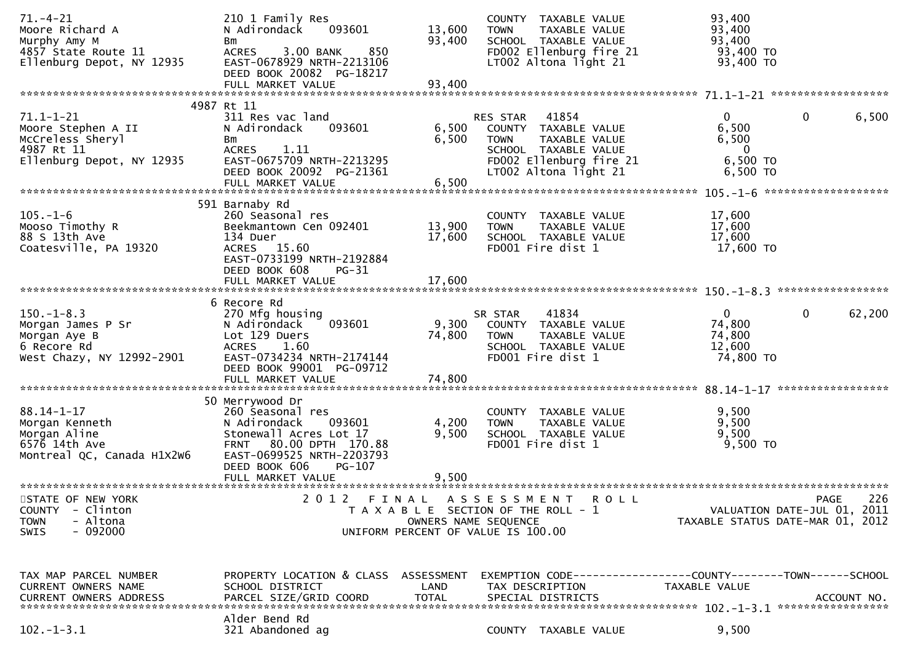| $71. - 4 - 21$<br>Moore Richard A<br>Murphy Amy M<br>4857 State Route 11<br>Ellenburg Depot, NY 12935  | 210 1 Family Res<br>N Adirondack<br>093601<br>Bm<br>850<br><b>ACRES</b><br>3.00 BANK<br>EAST-0678929 NRTH-2213106<br>DEED BOOK 20082 PG-18217<br>FULL MARKET VALUE        | 13,600<br>93,400<br>93,400 | COUNTY TAXABLE VALUE<br><b>TOWN</b><br>TAXABLE VALUE<br>SCHOOL TAXABLE VALUE<br>FD002 Ellenburg fire 21<br>LT002 Altona light 21                             | 93,400<br>93,400<br>93,400<br>93,400 TO<br>93,400 TO                 |                                                                                       |
|--------------------------------------------------------------------------------------------------------|---------------------------------------------------------------------------------------------------------------------------------------------------------------------------|----------------------------|--------------------------------------------------------------------------------------------------------------------------------------------------------------|----------------------------------------------------------------------|---------------------------------------------------------------------------------------|
|                                                                                                        | 4987 Rt 11                                                                                                                                                                |                            |                                                                                                                                                              |                                                                      |                                                                                       |
| $71.1 - 1 - 21$<br>Moore Stephen A II<br>McCreless Sheryl<br>4987 Rt 11<br>Ellenburg Depot, NY 12935   | 311 Res vac land<br>N Adirondack<br>093601<br>Вm<br><b>ACRES</b><br>1.11<br>EAST-0675709 NRTH-2213295<br>DEED BOOK 20092 PG-21361<br>FULL MARKET VALUE                    | 6,500<br>6,500<br>6,500    | 41854<br><b>RES STAR</b><br>COUNTY TAXABLE VALUE<br><b>TOWN</b><br>TAXABLE VALUE<br>SCHOOL TAXABLE VALUE<br>FD002 Ellenburg fire 21<br>LT002 Altona light 21 | $\overline{0}$<br>6,500<br>6,500<br>$\bf{0}$<br>6,500 TO<br>6,500 TO | $\mathbf 0$<br>6,500                                                                  |
|                                                                                                        |                                                                                                                                                                           |                            |                                                                                                                                                              |                                                                      |                                                                                       |
| $105. - 1 - 6$<br>Mooso Timothy R<br>88 S 13th Ave<br>Coatesville, PA 19320                            | 591 Barnaby Rd<br>260 Seasonal res<br>Beekmantown Cen 092401<br>134 Duer<br>ACRES 15.60<br>EAST-0733199 NRTH-2192884<br>DEED BOOK 608<br><b>PG-31</b>                     | 13,900<br>17,600           | COUNTY TAXABLE VALUE<br>TAXABLE VALUE<br><b>TOWN</b><br>SCHOOL TAXABLE VALUE<br>FD001 Fire dist 1                                                            | 17,600<br>17,600<br>17,600<br>17,600 TO                              |                                                                                       |
|                                                                                                        | FULL MARKET VALUE                                                                                                                                                         | 17,600                     |                                                                                                                                                              |                                                                      |                                                                                       |
|                                                                                                        |                                                                                                                                                                           |                            |                                                                                                                                                              |                                                                      | *****************                                                                     |
| $150.-1-8.3$<br>Morgan James P Sr<br>Morgan Aye B<br>6 Recore Rd<br>West Chazy, NY 12992-2901          | 6 Recore Rd<br>270 Mfg housing<br>093601<br>N Adirondack<br>Lot 129 Duers<br><b>ACRES</b><br>1.60<br>EAST-0734234 NRTH-2174144<br>DEED BOOK 99001 PG-09712                | 9,300<br>74,800            | 41834<br>SR STAR<br>COUNTY TAXABLE VALUE<br><b>TOWN</b><br>TAXABLE VALUE<br>SCHOOL TAXABLE VALUE<br>FD001 Fire dist 1                                        | $\overline{0}$<br>74,800<br>74,800<br>12,600<br>74,800 TO            | $\mathbf 0$<br>62,200                                                                 |
|                                                                                                        | FULL MARKET VALUE                                                                                                                                                         | 74,800                     |                                                                                                                                                              |                                                                      |                                                                                       |
| $88.14 - 1 - 17$<br>Morgan Kenneth<br>Morgan Aline<br>6576 14th Ave<br>Montreal QC, Canada H1X2W6      | 50 Merrywood Dr<br>260 Seasonal res<br>N Adirondack<br>093601<br>Stonewall Acres Lot 17<br>FRNT 80.00 DPTH 170.88<br>EAST-0699525 NRTH-2203793<br>DEED BOOK 606<br>PG-107 | 4,200<br>9,500             | COUNTY TAXABLE VALUE<br><b>TOWN</b><br>TAXABLE VALUE<br>SCHOOL TAXABLE VALUE<br>FD001 Fire dist 1                                                            | 9,500<br>9,500<br>9,500<br>$9,500$ TO                                |                                                                                       |
| *******************************                                                                        | FULL MARKET VALUE<br>***************************                                                                                                                          | 9,500                      |                                                                                                                                                              |                                                                      |                                                                                       |
| STATE OF NEW YORK<br><b>COUNTY</b><br>- Clinton<br><b>TOWN</b><br>- Altona<br>$-092000$<br><b>SWIS</b> | 2 0 1 2                                                                                                                                                                   | FINAL                      | A S S E S S M E N T<br><b>ROLL</b><br>T A X A B L E SECTION OF THE ROLL - 1<br>OWNERS NAME SEQUENCE<br>UNIFORM PERCENT OF VALUE IS 100.00                    |                                                                      | 226<br><b>PAGE</b><br>VALUATION DATE-JUL 01, 2011<br>TAXABLE STATUS DATE-MAR 01, 2012 |
| TAX MAP PARCEL NUMBER<br>CURRENT OWNERS NAME<br><b>CURRENT OWNERS ADDRESS</b>                          | PROPERTY LOCATION & CLASS ASSESSMENT<br>SCHOOL DISTRICT<br>PARCEL SIZE/GRID COORD                                                                                         | LAND<br><b>TOTAL</b>       | TAX DESCRIPTION<br>SPECIAL DISTRICTS                                                                                                                         | TAXABLE VALUE                                                        | ACCOUNT NO.                                                                           |
| $102.-1-3.1$                                                                                           | Alder Bend Rd<br>321 Abandoned ag                                                                                                                                         |                            | COUNTY TAXABLE VALUE                                                                                                                                         | 9,500                                                                |                                                                                       |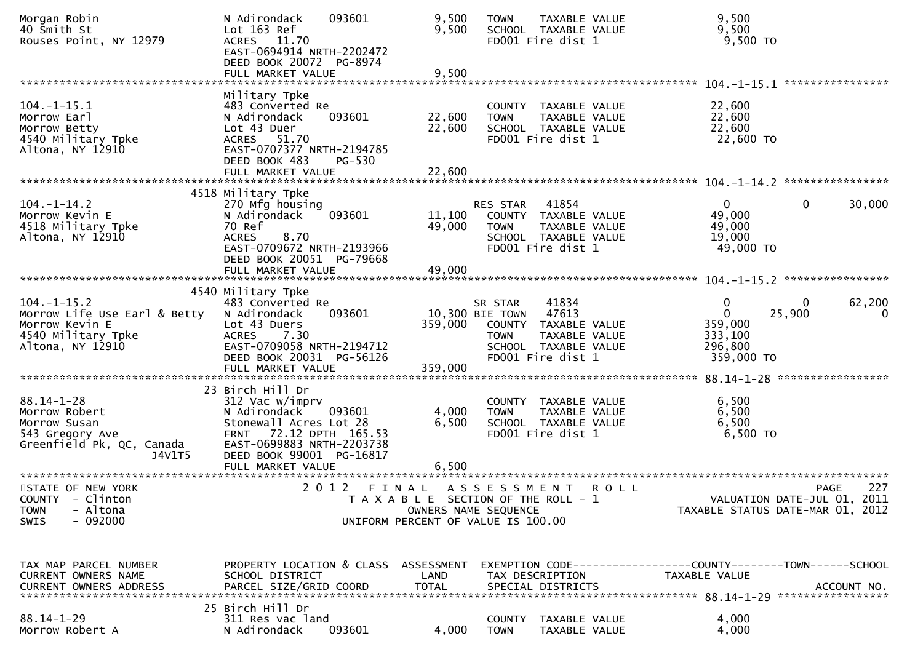| Morgan Robin<br>40 Smith St<br>Rouses Point, NY 12979                                                       | N Adirondack<br>093601<br>Lot 163 Ref<br>ACRES 11.70<br>EAST-0694914 NRTH-2202472<br>DEED BOOK 20072 PG-8974                                                                           | 9,500<br>9,500             | <b>TOWN</b><br>FD001 Fire dist 1                                                                                           | <b>TAXABLE VALUE</b><br>SCHOOL TAXABLE VALUE                           | 9,500<br>9,500<br>9,500 TO                                                    |                       |
|-------------------------------------------------------------------------------------------------------------|----------------------------------------------------------------------------------------------------------------------------------------------------------------------------------------|----------------------------|----------------------------------------------------------------------------------------------------------------------------|------------------------------------------------------------------------|-------------------------------------------------------------------------------|-----------------------|
|                                                                                                             | FULL MARKET VALUE                                                                                                                                                                      | 9,500                      |                                                                                                                            |                                                                        |                                                                               | ****************      |
| $104. -1 - 15.1$<br>Morrow Earl<br>Morrow Betty<br>4540 Military Tpke<br>Altona, NY 12910                   | Military Tpke<br>483 Converted Re<br>093601<br>N Adirondack<br>Lot 43 Duer<br>ACRES 51.70<br>EAST-0707377 NRTH-2194785<br>DEED BOOK 483<br>PG-530                                      | 22,600<br>22,600           | <b>TOWN</b><br>FD001 Fire dist 1                                                                                           | COUNTY TAXABLE VALUE<br>TAXABLE VALUE<br>SCHOOL TAXABLE VALUE          | 22,600<br>22,600<br>22,600<br>22,600 TO                                       |                       |
|                                                                                                             | 4518 Military Tpke                                                                                                                                                                     |                            |                                                                                                                            |                                                                        |                                                                               |                       |
| $104. - 1 - 14.2$<br>Morrow Kevin E<br>4518 Military Tpke<br>Altona, NY 12910                               | 270 Mfg housing<br>093601<br>N Adirondack<br>70 Ref<br>8.70<br><b>ACRES</b><br>EAST-0709672 NRTH-2193966<br>DEED BOOK 20051 PG-79668<br>FULL MARKET VALUE                              | 11,100<br>49,000<br>49,000 | RES STAR<br><b>TOWN</b><br>FD001 Fire dist 1                                                                               | 41854<br>COUNTY TAXABLE VALUE<br>TAXABLE VALUE<br>SCHOOL TAXABLE VALUE | $\Omega$<br>$\mathbf{0}$<br>49,000<br>49,000<br>19,000<br>49,000 TO           | 30,000                |
|                                                                                                             |                                                                                                                                                                                        |                            |                                                                                                                            |                                                                        |                                                                               |                       |
| $104. -1 -15.2$<br>Morrow Life Use Earl & Betty<br>Morrow Kevin E<br>4540 Military Tpke<br>Altona, NY 12910 | 4540 Military Tpke<br>483 Converted Re<br>093601<br>N Adirondack<br>Lot 43 Duers<br><b>ACRES</b><br>7.30<br>EAST-0709058 NRTH-2194712<br>DEED BOOK 20031 PG-56126<br>FULL MARKET VALUE | 359,000<br>359,000         | SR STAR<br>10,300 BIE TOWN 47613<br><b>TOWN</b><br>FD001 Fire dist 1                                                       | 41834<br>COUNTY TAXABLE VALUE<br>TAXABLE VALUE<br>SCHOOL TAXABLE VALUE | 0<br>0<br>0<br>25,900<br>359,000<br>333,100<br>296,800<br>359,000 TO          | 62,200<br>$\mathbf 0$ |
|                                                                                                             | 23 Birch Hill Dr                                                                                                                                                                       |                            |                                                                                                                            |                                                                        |                                                                               |                       |
| $88.14 - 1 - 28$<br>Morrow Robert<br>Morrow Susan<br>543 Gregory Ave<br>Greenfield Pk, QC, Canada<br>J4V1T5 | 312 Vac w/imprv<br>N Adirondack<br>093601<br>Stonewall Acres Lot 28<br>72.12 DPTH 165.53<br><b>FRNT</b><br>EAST-0699883 NRTH-2203738<br>DEED BOOK 99001 PG-16817                       | 4,000<br>6,500             | <b>TOWN</b><br>FD001 Fire dist 1                                                                                           | COUNTY TAXABLE VALUE<br>TAXABLE VALUE<br>SCHOOL TAXABLE VALUE          | 6,500<br>6,500<br>6,500<br>6,500 то                                           |                       |
|                                                                                                             |                                                                                                                                                                                        |                            |                                                                                                                            |                                                                        |                                                                               |                       |
| STATE OF NEW YORK<br>COUNTY - Clinton<br>- Altona<br><b>TOWN</b><br>$-092000$<br><b>SWIS</b>                | 2 0 1 2<br>FINAL                                                                                                                                                                       |                            | A S S E S S M E N T<br>T A X A B L E SECTION OF THE ROLL - 1<br>OWNERS NAME SEQUENCE<br>UNIFORM PERCENT OF VALUE IS 100.00 | <b>ROLL</b>                                                            | VALUATION DATE-JUL 01, 2011<br>TAXABLE STATUS DATE-MAR 01, 2012               | 227<br>PAGE           |
|                                                                                                             |                                                                                                                                                                                        |                            |                                                                                                                            |                                                                        |                                                                               |                       |
| TAX MAP PARCEL NUMBER<br>CURRENT OWNERS NAME<br><b>CURRENT OWNERS ADDRESS</b>                               | PROPERTY LOCATION & CLASS ASSESSMENT<br>SCHOOL DISTRICT<br>PARCEL SIZE/GRID COORD                                                                                                      | LAND<br><b>TOTAL</b>       | TAX DESCRIPTION<br>SPECIAL DISTRICTS                                                                                       |                                                                        | EXEMPTION CODE-----------------COUNTY-------TOWN------SCHOOL<br>TAXABLE VALUE | ACCOUNT NO.           |
| $88.14 - 1 - 29$<br>Morrow Robert A                                                                         | 25 Birch Hill Dr<br>311 Res vac land<br>N Adirondack<br>093601                                                                                                                         | 4,000                      | <b>TOWN</b>                                                                                                                | COUNTY TAXABLE VALUE<br>TAXABLE VALUE                                  | 4,000<br>4,000                                                                |                       |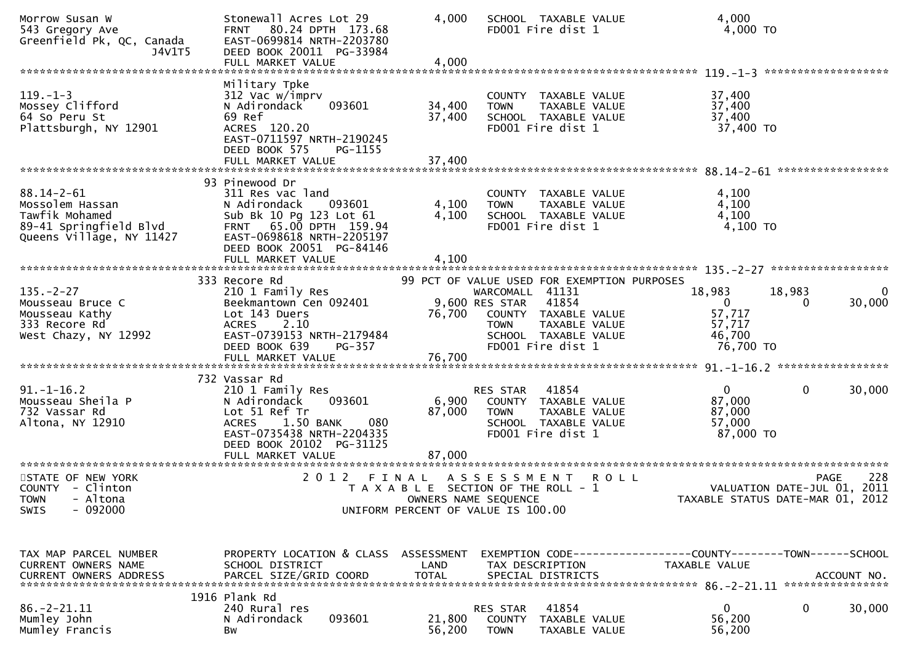| Morrow Susan W<br>543 Gregory Ave<br>Greenfield Pk, QC, Canada<br>J4V1T5                                    | Stonewall Acres Lot 29<br>FRNT 80.24 DPTH 173.68<br>EAST-0699814 NRTH-2203780<br>DEED BOOK 20011 PG-33984<br>FULL MARKET VALUE                                             | 4,000<br>4,000             | SCHOOL TAXABLE VALUE<br>FD001 Fire dist 1                                                                                                       |                                              | 4,000<br>4,000 TO                                                                              |
|-------------------------------------------------------------------------------------------------------------|----------------------------------------------------------------------------------------------------------------------------------------------------------------------------|----------------------------|-------------------------------------------------------------------------------------------------------------------------------------------------|----------------------------------------------|------------------------------------------------------------------------------------------------|
|                                                                                                             |                                                                                                                                                                            |                            |                                                                                                                                                 |                                              |                                                                                                |
| $119. - 1 - 3$<br>Mossey Clifford<br>64 So Peru St<br>Plattsburgh, NY 12901                                 | Military Tpke<br>312 Vac w/imprv<br>N Adirondack<br>093601<br>69 Ref<br>ACRES 120.20<br>EAST-0711597 NRTH-2190245<br>DEED BOOK 575<br>PG-1155<br>FULL MARKET VALUE         | 34,400<br>37,400<br>37,400 | COUNTY TAXABLE VALUE<br>TAXABLE VALUE<br><b>TOWN</b><br>SCHOOL TAXABLE VALUE<br>FD001 Fire dist 1                                               | 37,400<br>37,400<br>37,400                   | 37,400 TO                                                                                      |
|                                                                                                             |                                                                                                                                                                            |                            |                                                                                                                                                 |                                              |                                                                                                |
| $88.14 - 2 - 61$<br>Mossolem Hassan<br>Tawfik Mohamed<br>89-41 Springfield Blvd<br>Queens Village, NY 11427 | 93 Pinewood Dr<br>311 Res vac land<br>N Adirondack<br>093601<br>Sub Bk 10 Pg 123 Lot 61<br>FRNT 65.00 DPTH 159.94<br>EAST-0698618 NRTH-2205197<br>DEED BOOK 20051 PG-84146 | 4,100<br>4,100             | COUNTY TAXABLE VALUE<br>TAXABLE VALUE<br><b>TOWN</b><br>SCHOOL TAXABLE VALUE<br>FD001 Fire dist 1                                               | 4,100<br>4,100                               | 4,100<br>4,100 TO                                                                              |
|                                                                                                             | FULL MARKET VALUE                                                                                                                                                          | 4,100                      |                                                                                                                                                 |                                              |                                                                                                |
|                                                                                                             | 333 Recore Rd                                                                                                                                                              |                            | 99 PCT OF VALUE USED FOR EXEMPTION PURPOSES                                                                                                     |                                              |                                                                                                |
| $135. - 2 - 27$<br>Mousseau Bruce C<br>Mousseau Kathy<br>333 Recore Rd<br>West Chazy, NY 12992              | 210 1 Family Res<br>Beekmantown Cen 092401<br>Lot 143 Duers<br>ACRES 2.10<br>EAST-0739153 NRTH-2179484<br>DEED BOOK 639<br>PG-357<br>FULL MARKET VALUE                     | 76,700<br>76,700           | WARCOMALL 41131<br>41854<br>9,600 RES STAR<br>COUNTY TAXABLE VALUE<br><b>TOWN</b><br>TAXABLE VALUE<br>SCHOOL TAXABLE VALUE<br>FD001 Fire dist 1 | 18,983<br>0<br>57,717<br>57,717<br>46,700    | 18,983<br>0<br>30,000<br>0<br>76,700 TO                                                        |
|                                                                                                             |                                                                                                                                                                            |                            |                                                                                                                                                 |                                              |                                                                                                |
| $91. - 1 - 16.2$<br>Mousseau Sheila P<br>732 Vassar Rd<br>Altona, NY 12910                                  | 732 Vassar Rd<br>210 1 Family Res<br>093601<br>N Adirondack<br>Lot 51 Ref Tr<br>1.50 BANK<br>080<br><b>ACRES</b><br>EAST-0735438 NRTH-2204335<br>DEED BOOK 20102 PG-31125  | 6,900<br>87,000            | 41854<br><b>RES STAR</b><br>COUNTY TAXABLE VALUE<br>TAXABLE VALUE<br><b>TOWN</b><br>SCHOOL TAXABLE VALUE<br>FD001 Fire dist 1                   | $\overline{0}$<br>87,000<br>87,000<br>57,000 | 30,000<br>0<br>87,000 TO                                                                       |
|                                                                                                             | FULL MARKET VALUE                                                                                                                                                          | 87,000                     |                                                                                                                                                 |                                              |                                                                                                |
| STATE OF NEW YORK<br>COUNTY - Clinton<br><b>TOWN</b><br>- Altona<br>$-092000$<br>SWIS                       | 2 0 1 2                                                                                                                                                                    | FINAL                      | A S S E S S M E N T<br>T A X A B L E SECTION OF THE ROLL - 1<br>OWNERS NAME SEQUENCE<br>UNIFORM PERCENT OF VALUE IS 100.00                      | R O L L                                      | 228<br><b>PAGE</b><br>VALUATION DATE-JUL 01, 2011<br>TAXABLE STATUS DATE-MAR 01, 2012          |
| TAX MAP PARCEL NUMBER<br>CURRENT OWNERS NAME<br>CURRENT OWNERS ADDRESS                                      | PROPERTY LOCATION & CLASS ASSESSMENT<br>SCHOOL DISTRICT<br>PARCEL SIZE/GRID COORD                                                                                          | LAND<br><b>TOTAL</b>       | TAX DESCRIPTION<br>SPECIAL DISTRICTS                                                                                                            | TAXABLE VALUE                                | EXEMPTION CODE-----------------COUNTY-------TOWN-----SCHOOL<br>ACCOUNT NO.<br>**************** |
| $86. -2 - 21.11$<br>Mumley John<br>Mumley Francis                                                           | 1916 Plank Rd<br>240 Rural res<br>N Adirondack<br>093601<br>Вw                                                                                                             | 21,800<br>56,200           | 41854<br>RES STAR<br><b>COUNTY</b><br>TAXABLE VALUE<br><b>TOWN</b><br>TAXABLE VALUE                                                             | 0<br>56,200<br>56,200                        | 30,000<br>0                                                                                    |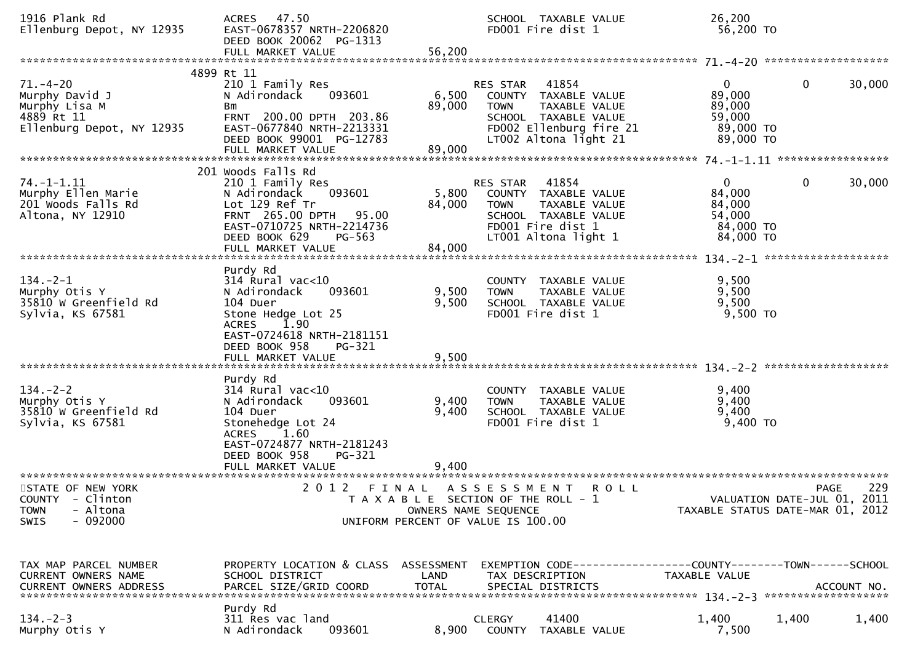| 1916 Plank Rd<br>Ellenburg Depot, NY 12935                                                   | ACRES 47.50<br>EAST-0678357 NRTH-2206820<br>DEED BOOK 20062 PG-1313<br>FULL MARKET VALUE                                                                                                    | 56,200                    | SCHOOL TAXABLE VALUE<br>FD001 Fire dist 1                                                                                                             | 26,200<br>56,200 TO                                                  |                                                   |
|----------------------------------------------------------------------------------------------|---------------------------------------------------------------------------------------------------------------------------------------------------------------------------------------------|---------------------------|-------------------------------------------------------------------------------------------------------------------------------------------------------|----------------------------------------------------------------------|---------------------------------------------------|
| $71. - 4 - 20$<br>Murphy David J<br>Murphy Lisa M<br>4889 Rt 11<br>Ellenburg Depot, NY 12935 | 4899 Rt 11<br>210 1 Family Res<br>093601<br>N Adirondack<br>Bm<br>FRNT 200.00 DPTH 203.86<br>EAST-0677840 NRTH-2213331<br>DEED BOOK 99001 PG-12783<br>FULL MARKET VALUE                     | 6,500<br>89,000<br>89,000 | RES STAR<br>41854<br>COUNTY TAXABLE VALUE<br><b>TOWN</b><br>TAXABLE VALUE<br>SCHOOL TAXABLE VALUE<br>FD002 Ellenburg fire 21<br>LT002 Altona light 21 | $\mathbf{0}$<br>89,000<br>89,000<br>59,000<br>89,000 TO<br>89,000 TO | $\mathbf{0}$<br>30,000                            |
| $74. - 1 - 1.11$<br>Murphy Ellen Marie<br>201 Woods Falls Rd<br>Altona, NY 12910             | 201 Woods Falls Rd<br>210 1 Family Res<br>N Adirondack<br>093601<br>Lot 129 Ref Tr<br>FRNT 265.00 DPTH 95.00<br>EAST-0710725 NRTH-2214736<br>DEED BOOK 629<br>$PG-563$<br>FULL MARKET VALUE | 84,000<br>84,000          | 41854<br>RES STAR<br>5,800 COUNTY TAXABLE VALUE<br>TAXABLE VALUE<br><b>TOWN</b><br>SCHOOL TAXABLE VALUE<br>FD001 Fire dist 1<br>LT001 Altona light 1  | $\mathbf{0}$<br>84,000<br>84,000<br>54,000<br>84,000 TO<br>84,000 TO | $\mathbf 0$<br>30,000                             |
| $134. - 2 - 1$<br>Murphy Otis Y<br>35810 W Greenfield Rd<br>Sylvia, KS 67581                 | Purdy Rd<br>$314$ Rural vac<10<br>093601<br>N Adirondack<br>104 Duer<br>Stone Hedge Lot 25<br><b>ACRES</b><br>1.90<br>EAST-0724618 NRTH-2181151<br>DEED BOOK 958<br>PG-321                  | 9,500<br>9,500            | COUNTY TAXABLE VALUE<br>TAXABLE VALUE<br><b>TOWN</b><br>SCHOOL TAXABLE VALUE<br>FD001 Fire dist 1                                                     | 9,500<br>9,500<br>9,500<br>9,500 TO                                  |                                                   |
| $134. - 2 - 2$<br>Murphy Otis Y<br>35810 W Greenfield Rd<br>Sylvia, KS 67581                 | Purdy Rd<br>$314$ Rural vac< $10$<br>N Adirondack<br>093601<br>104 Duer<br>Stonehedge Lot 24<br>ACRES 1.60<br>EAST-0724877 NRTH-2181243<br>DEED BOOK 958<br>PG-321<br>FULL MARKET VALUE     | 9,400<br>9,400<br>9,400   | COUNTY TAXABLE VALUE<br><b>TOWN</b><br>TAXABLE VALUE<br>SCHOOL TAXABLE VALUE<br>FD001 Fire dist 1                                                     | 9,400<br>9,400<br>9,400<br>$9,400$ TO                                |                                                   |
| STATE OF NEW YORK<br>COUNTY - Clinton<br>- Altona<br><b>TOWN</b><br>$-092000$<br>SWIS        | 2 0 1 2<br>FINAL                                                                                                                                                                            | OWNERS NAME SEQUENCE      | A S S E S S M E N T<br><b>ROLL</b><br>T A X A B L E SECTION OF THE ROLL - 1<br>UNIFORM PERCENT OF VALUE IS 100.00                                     | TAXABLE STATUS DATE-MAR 01, 2012                                     | 229<br><b>PAGE</b><br>VALUATION DATE-JUL 01, 2011 |
| TAX MAP PARCEL NUMBER<br>CURRENT OWNERS NAME                                                 | PROPERTY LOCATION & CLASS ASSESSMENT<br>SCHOOL DISTRICT                                                                                                                                     | LAND                      | EXEMPTION CODE------------------COUNTY--------TOWN------SCHOOL<br>TAX DESCRIPTION                                                                     | TAXABLE VALUE                                                        |                                                   |
| $134. - 2 - 3$<br>Murphy Otis Y                                                              | Purdy Rd<br>311 Res vac land<br>093601<br>N Adirondack                                                                                                                                      | 8,900                     | 41400<br><b>CLERGY</b><br>COUNTY<br>TAXABLE VALUE                                                                                                     | 1,400<br>7,500                                                       | 1,400<br>1,400                                    |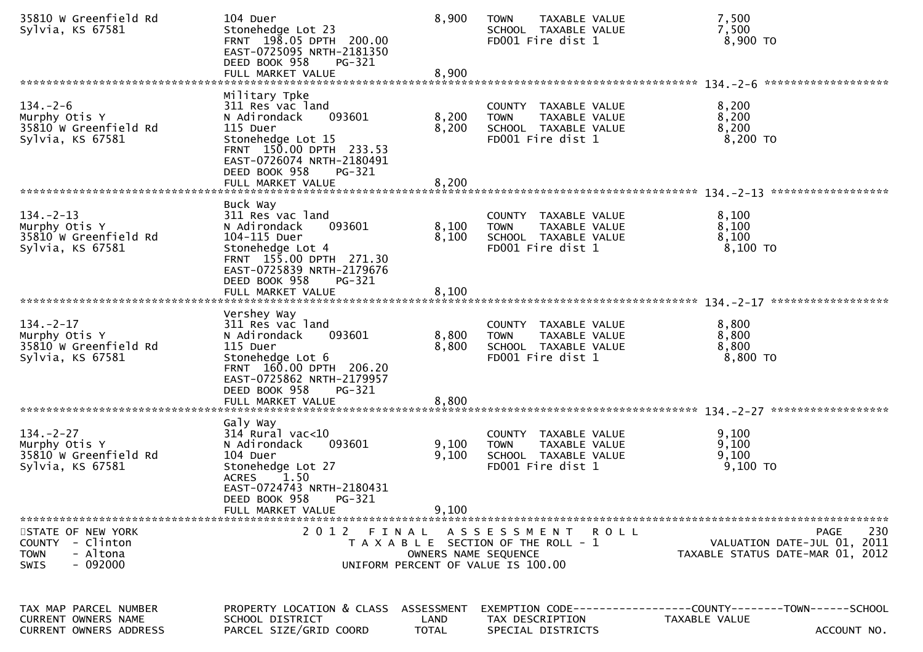| 35810 W Greenfield Rd<br>Sylvia, KS 67581                                             | 104 Duer<br>Stonehedge Lot 23<br>FRNT 198.05 DPTH 200.00<br>EAST-0725095 NRTH-2181350<br>DEED BOOK 958<br>PG-321<br>FULL MARKET VALUE                                           | 8,900<br>8,900                     | <b>TOWN</b><br>TAXABLE VALUE<br>SCHOOL TAXABLE VALUE<br>FD001 Fire dist 1                         | 7,500<br>7,500<br>8,900 TO                                                                           |
|---------------------------------------------------------------------------------------|---------------------------------------------------------------------------------------------------------------------------------------------------------------------------------|------------------------------------|---------------------------------------------------------------------------------------------------|------------------------------------------------------------------------------------------------------|
|                                                                                       |                                                                                                                                                                                 |                                    |                                                                                                   |                                                                                                      |
| $134. - 2 - 6$<br>Murphy Otis Y<br>35810 W Greenfield Rd<br>Sylvia, KS 67581          | Military Tpke<br>311 Res vac land<br>N Adirondack<br>093601<br>115 Duer<br>Stonehedge Lot 15<br>FRNT 150.00 DPTH 233.53<br>EAST-0726074 NRTH-2180491<br>DEED BOOK 958<br>PG-321 | 8,200<br>8,200                     | COUNTY TAXABLE VALUE<br>TAXABLE VALUE<br><b>TOWN</b><br>SCHOOL TAXABLE VALUE<br>FD001 Fire dist 1 | 8,200<br>8,200<br>8,200<br>8,200 TO                                                                  |
|                                                                                       |                                                                                                                                                                                 |                                    |                                                                                                   |                                                                                                      |
| $134. -2 - 13$<br>Murphy Otis Y<br>35810 W Greenfield Rd<br>Sylvia, KS 67581          | Buck Way<br>311 Res vac land<br>093601<br>N Adirondack<br>104-115 Duer<br>Stonehedge Lot 4<br>FRNT 155.00 DPTH 271.30<br>EAST-0725839 NRTH-2179676<br>DEED BOOK 958<br>PG-321   | 8,100<br>8,100                     | COUNTY TAXABLE VALUE<br>TAXABLE VALUE<br><b>TOWN</b><br>SCHOOL TAXABLE VALUE<br>FD001 Fire dist 1 | 8,100<br>8,100<br>8,100<br>8,100 TO                                                                  |
|                                                                                       |                                                                                                                                                                                 |                                    |                                                                                                   |                                                                                                      |
|                                                                                       |                                                                                                                                                                                 |                                    |                                                                                                   |                                                                                                      |
| $134. - 2 - 17$<br>Murphy Otis Y<br>35810 W Greenfield Rd<br>Sylvia, KS 67581         | Vershey Way<br>311 Res vac land<br>093601<br>N Adirondack<br>115 Duer<br>Stonehedge Lot 6<br>FRNT 160.00 DPTH 206.20<br>EAST-0725862 NRTH-2179957<br>DEED BOOK 958<br>PG-321    | 8,800<br>8,800                     | COUNTY TAXABLE VALUE<br>TAXABLE VALUE<br><b>TOWN</b><br>SCHOOL TAXABLE VALUE<br>FD001 Fire dist 1 | 8,800<br>8,800<br>8,800<br>8,800 TO                                                                  |
|                                                                                       |                                                                                                                                                                                 |                                    |                                                                                                   |                                                                                                      |
|                                                                                       |                                                                                                                                                                                 |                                    |                                                                                                   |                                                                                                      |
| $134. -2 - 27$<br>Murphy Otis Y<br>35810 W Greenfield Rd<br>Sylvia, KS 67581          | Galy Way<br>$314$ Rural vac<10<br>093601<br>N Adirondack<br>104 Duer<br>Stonehedge Lot 27<br>1.50<br><b>ACRES</b><br>EAST-0724743 NRTH-2180431<br>DEED BOOK 958<br>PG-321       | 9,100<br>9,100                     | COUNTY TAXABLE VALUE<br><b>TOWN</b><br>TAXABLE VALUE<br>SCHOOL TAXABLE VALUE<br>FD001 Fire dist 1 | 9,100<br>9,100<br>9,100<br>$9,100$ TO                                                                |
|                                                                                       | FULL MARKET VALUE                                                                                                                                                               | 9,100                              |                                                                                                   |                                                                                                      |
| STATE OF NEW YORK<br>COUNTY - Clinton<br><b>TOWN</b><br>- Altona<br>$-092000$<br>SWIS | 2012 FINAL                                                                                                                                                                      | OWNERS NAME SEQUENCE               | ASSESSMENT ROLL<br>T A X A B L E SECTION OF THE ROLL - 1<br>UNIFORM PERCENT OF VALUE IS 100.00    | 230<br><b>PAGE</b><br>VALUATION DATE-JUL 01, 2011<br>TAXABLE STATUS DATE-MAR 01, 2012                |
| TAX MAP PARCEL NUMBER<br><b>CURRENT OWNERS NAME</b><br>CURRENT OWNERS ADDRESS         | PROPERTY LOCATION & CLASS<br>SCHOOL DISTRICT<br>PARCEL SIZE/GRID COORD                                                                                                          | ASSESSMENT<br>LAND<br><b>TOTAL</b> | TAX DESCRIPTION<br>SPECIAL DISTRICTS                                                              | EXEMPTION        CODE------------------COUNTY-------TOWN------SCHOOL<br>TAXABLE VALUE<br>ACCOUNT NO. |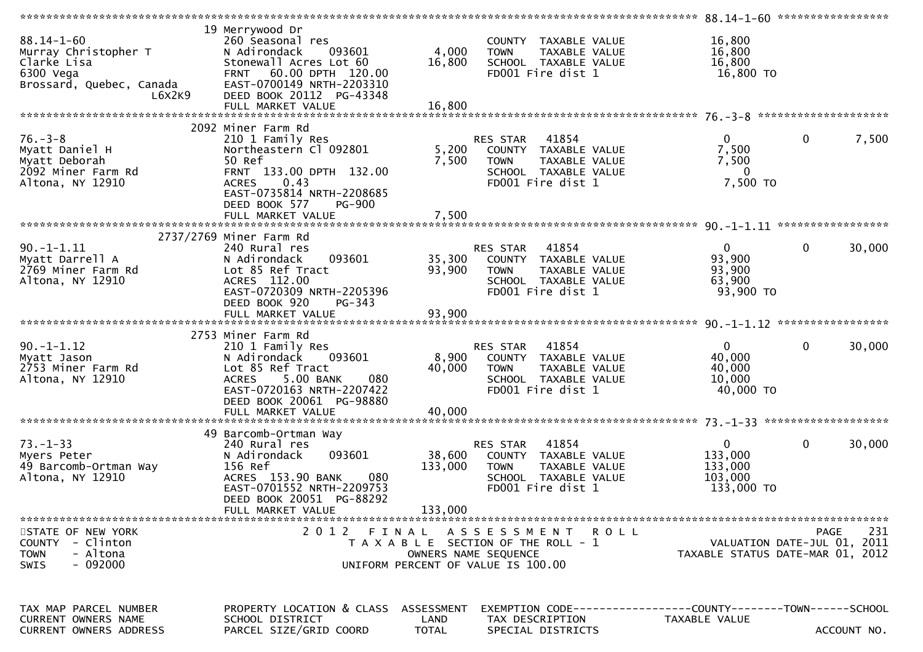|                                                                                              |                                                                                                                                                                                                        |                           |                                                                                                                        | *************** 88.14-1-60 ******************               |                                            |
|----------------------------------------------------------------------------------------------|--------------------------------------------------------------------------------------------------------------------------------------------------------------------------------------------------------|---------------------------|------------------------------------------------------------------------------------------------------------------------|-------------------------------------------------------------|--------------------------------------------|
| $88.14 - 1 - 60$<br>Murray Christopher T<br>Clarke Lisa                                      | 19 Merrywood Dr<br>260 Seasonal res<br>N Adirondack<br>093601<br>Stonewall Acres Lot 60                                                                                                                | 4,000<br>16,800           | COUNTY TAXABLE VALUE<br><b>TOWN</b><br>TAXABLE VALUE<br>SCHOOL TAXABLE VALUE                                           | 16,800<br>16,800<br>16,800                                  |                                            |
| 6300 Vega<br>Brossard, Quebec, Canada<br>L6X2K9                                              | FRNT 60.00 DPTH 120.00<br>EAST-0700149 NRTH-2203310<br>DEED BOOK 20112 PG-43348                                                                                                                        |                           | FD001 Fire dist 1                                                                                                      | 16,800 TO                                                   |                                            |
|                                                                                              |                                                                                                                                                                                                        |                           |                                                                                                                        |                                                             |                                            |
| $76. - 3 - 8$<br>Myatt Daniel H<br>Myatt Deborah<br>2092 Miner Farm Rd<br>Altona, NY 12910   | 2092 Miner Farm Rd<br>210 1 Family Res<br>Northeastern Cl 092801<br>50 Ref<br>FRNT 133.00 DPTH 132.00<br>0.43<br><b>ACRES</b><br>EAST-0735814 NRTH-2208685<br>DEED BOOK 577<br>PG-900                  | 5,200<br>7,500            | 41854<br>RES STAR<br>COUNTY TAXABLE VALUE<br>TAXABLE VALUE<br><b>TOWN</b><br>SCHOOL TAXABLE VALUE<br>FD001 Fire dist 1 | $\overline{0}$<br>7,500<br>7,500<br>$\bf{0}$<br>7,500 TO    | $\mathbf 0$<br>7,500                       |
| *************************                                                                    | FULL MARKET VALUE                                                                                                                                                                                      | 7,500                     |                                                                                                                        |                                                             |                                            |
| $90. -1 - 1.11$<br>Myatt Darrell A<br>2769 Miner Farm Rd<br>Altona, NY 12910                 | 2737/2769 Miner Farm Rd<br>240 Rural res<br>N Adirondack<br>093601<br>Lot 85 Ref Tract<br>ACRES 112.00<br>EAST-0720309 NRTH-2205396<br>DEED BOOK 920<br>PG-343                                         | 35,300<br>93,900          | 41854<br>RES STAR<br>COUNTY TAXABLE VALUE<br><b>TOWN</b><br>TAXABLE VALUE<br>SCHOOL TAXABLE VALUE<br>FD001 Fire dist 1 | $\overline{0}$<br>93,900<br>93,900<br>63,900<br>93,900 TO   | 30,000<br>$\mathbf{0}$                     |
|                                                                                              |                                                                                                                                                                                                        |                           |                                                                                                                        |                                                             |                                            |
| $90. -1 - 1.12$<br>Myatt Jason<br>2753 Miner Farm Rd<br>Altona, NY 12910                     | 2753 Miner Farm Rd<br>210 1 Family Res<br>093601<br>N Adirondack<br>Lot 85 Ref Tract<br>5.00 BANK<br>080<br><b>ACRES</b><br>EAST-0720163 NRTH-2207422<br>DEED BOOK 20061 PG-98880<br>FULL MARKET VALUE | 8,900<br>40,000<br>40,000 | 41854<br>RES STAR<br>COUNTY TAXABLE VALUE<br>TAXABLE VALUE<br><b>TOWN</b><br>SCHOOL TAXABLE VALUE<br>FD001 Fire dist 1 | $\mathbf{0}$<br>40,000<br>40,000<br>10,000<br>40,000 TO     | 30,000<br>$\mathbf{0}$                     |
|                                                                                              | 49 Barcomb-Ortman Way                                                                                                                                                                                  |                           |                                                                                                                        |                                                             |                                            |
| $73. - 1 - 33$<br>Myers Peter<br>49 Barcomb-Ortman Way<br>Altona, NY 12910                   | 240 Rural res<br>093601<br>N Adirondack<br>156 Ref<br>ACRES 153.90 BANK<br>080<br>EAST-0701552 NRTH-2209753<br>DEED BOOK 20051 PG-88292                                                                | 38,600<br>133,000         | 41854<br>RES STAR<br>COUNTY TAXABLE VALUE<br>TAXABLE VALUE<br><b>TOWN</b><br>SCHOOL TAXABLE VALUE<br>FD001 Fire dist 1 | $\mathbf{0}$<br>133,000<br>133,000<br>103,000<br>133,000 TO | 0<br>30,000                                |
|                                                                                              | FULL MARKET VALUE                                                                                                                                                                                      | 133,000                   |                                                                                                                        |                                                             |                                            |
| STATE OF NEW YORK<br>COUNTY - Clinton<br>- Altona<br><b>TOWN</b><br>$-092000$<br><b>SWIS</b> | 2 0 1 2                                                                                                                                                                                                | FINAL                     | ASSESSMENT ROLL<br>T A X A B L E SECTION OF THE ROLL - 1<br>OWNERS NAME SEQUENCE<br>UNIFORM PERCENT OF VALUE IS 100.00 | TAXABLE STATUS DATE-MAR 01, 2012                            | 231<br>PAGE<br>VALUATION DATE-JUL 01, 2011 |
| TAX MAP PARCEL NUMBER                                                                        | PROPERTY LOCATION & CLASS                                                                                                                                                                              | ASSESSMENT                |                                                                                                                        |                                                             |                                            |
| <b>CURRENT OWNERS NAME</b><br>CURRENT OWNERS ADDRESS                                         | SCHOOL DISTRICT<br>PARCEL SIZE/GRID COORD                                                                                                                                                              | LAND<br><b>TOTAL</b>      | TAX DESCRIPTION<br>SPECIAL DISTRICTS                                                                                   | <b>TAXABLE VALUE</b>                                        | ACCOUNT NO.                                |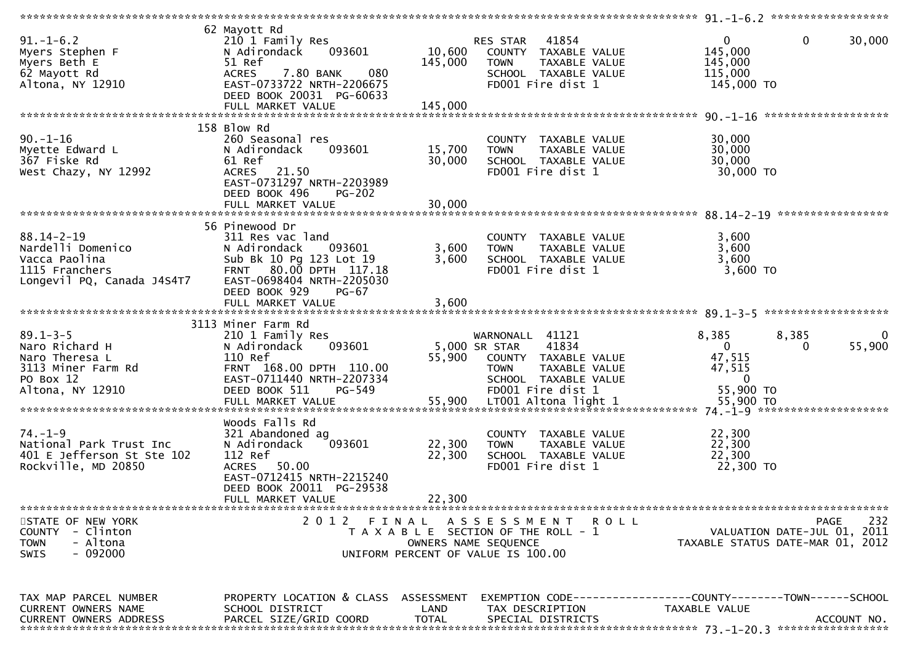| $91.-1-6.2$<br>Myers Stephen F<br>Myers Beth E<br>62 Mayott Rd<br>Altona, NY 12910                        | 62 Mayott Rd<br>210 1 Family Res<br>093601<br>N Adirondack<br>51 Ref<br>7.80 BANK<br>080<br><b>ACRES</b><br>EAST-0733722 NRTH-2206675<br>DEED BOOK 20031 PG-60633                                    | 10,600<br>145,000          | RES STAR 41854<br>COUNTY TAXABLE VALUE<br>TAXABLE VALUE<br><b>TOWN</b><br>SCHOOL TAXABLE VALUE<br>FD001 Fire dist 1                                   | $\mathbf 0$<br>$\mathbf 0$<br>145,000<br>145,000<br>115,000<br>145,000 TO                    | 30,000             |
|-----------------------------------------------------------------------------------------------------------|------------------------------------------------------------------------------------------------------------------------------------------------------------------------------------------------------|----------------------------|-------------------------------------------------------------------------------------------------------------------------------------------------------|----------------------------------------------------------------------------------------------|--------------------|
| $90. - 1 - 16$<br>Myette Edward L<br>367 Fiske Rd<br>West Chazy, NY 12992                                 | 158 Blow Rd<br>260 Seasonal res<br>093601<br>N Adirondack<br>61 Ref<br>ACRES 21.50<br>EAST-0731297 NRTH-2203989<br>DEED BOOK 496<br><b>PG-202</b><br>FULL MARKET VALUE                               | 15,700<br>30,000<br>30,000 | COUNTY TAXABLE VALUE<br>TAXABLE VALUE<br><b>TOWN</b><br>SCHOOL TAXABLE VALUE<br>FD001 Fire dist 1                                                     | 30,000<br>30,000<br>30,000<br>30,000 TO                                                      |                    |
| $88.14 - 2 - 19$<br>Nardelli Domenico<br>Vacca Paolina<br>1115 Franchers<br>Longevil PQ, Canada J4S4T7    | 56 Pinewood Dr<br>311 Res vac land<br>N Adirondack<br>093601<br>Sub Bk 10 Pg 123 Lot 19<br>FRNT 80.00 DPTH 117.18<br>EAST-0698404 NRTH-2205030<br>DEED BOOK 929<br><b>PG-67</b><br>FULL MARKET VALUE | 3,600<br>3,600<br>3,600    | COUNTY TAXABLE VALUE<br>TAXABLE VALUE<br><b>TOWN</b><br>SCHOOL TAXABLE VALUE<br>FD001 Fire dist 1                                                     | 3,600<br>3,600<br>3,600<br>3,600 TO                                                          |                    |
|                                                                                                           |                                                                                                                                                                                                      |                            |                                                                                                                                                       |                                                                                              |                    |
| $89.1 - 3 - 5$<br>Naro Richard H<br>Naro Theresa L<br>3113 Miner Farm Rd<br>PO Box 12<br>Altona, NY 12910 | 3113 Miner Farm Rd<br>210 1 Family Res<br>093601<br>N Adirondack<br>110 Ref<br>FRNT 168.00 DPTH 110.00<br>EAST-0711440 NRTH-2207334<br>DEED BOOK 511<br>PG-549                                       |                            | WARNONALL 41121<br>41834<br>5,000 SR STAR<br>55,900 COUNTY TAXABLE VALUE<br><b>TOWN</b><br>TAXABLE VALUE<br>SCHOOL TAXABLE VALUE<br>FD001 Fire dist 1 | 8,385<br>8,385<br>$\mathbf{0}$<br>0<br>47,515<br>47,515<br>0<br>55,900 TO                    | $\bf{0}$<br>55,900 |
| $74. - 1 - 9$<br>National Park Trust Inc<br>401 E Jefferson St Ste 102<br>Rockville, MD 20850             | Woods Falls Rd<br>321 Abandoned ag<br>093601<br>N Adirondack<br>112 Ref<br>50.00<br><b>ACRES</b><br>EAST-0712415 NRTH-2215240<br>DEED BOOK 20011 PG-29538<br>FULL MARKET VALUE                       | 22,300<br>22,300<br>22,300 | COUNTY TAXABLE VALUE<br>TAXABLE VALUE<br><b>TOWN</b><br>SCHOOL TAXABLE VALUE<br>FD001 Fire dist 1                                                     | 22,300<br>22,300<br>22,300<br>22,300 TO<br>*****************                                 |                    |
| STATE OF NEW YORK<br>- Clinton<br><b>COUNTY</b><br>- Altona<br><b>TOWN</b><br>$-092000$<br><b>SWIS</b>    | 2012 FINAL                                                                                                                                                                                           |                            | A S S E S S M E N T<br>ROLL<br>T A X A B L E SECTION OF THE ROLL - 1<br>OWNERS NAME SEQUENCE<br>UNIFORM PERCENT OF VALUE IS 100.00                    | PAGE<br>VALUATION DATE-JUL 01, 2011<br>TAXABLE STATUS DATE-MAR 01, 2012                      | 232                |
| TAX MAP PARCEL NUMBER<br>CURRENT OWNERS NAME<br><b>CURRENT OWNERS ADDRESS</b>                             | PROPERTY LOCATION & CLASS ASSESSMENT<br>SCHOOL DISTRICT<br>PARCEL SIZE/GRID COORD                                                                                                                    | LAND<br><b>TOTAL</b>       | TAX DESCRIPTION<br>SPECIAL DISTRICTS                                                                                                                  | EXEMPTION CODE-----------------COUNTY-------TOWN------SCHOOL<br>TAXABLE VALUE<br>ACCOUNT NO. |                    |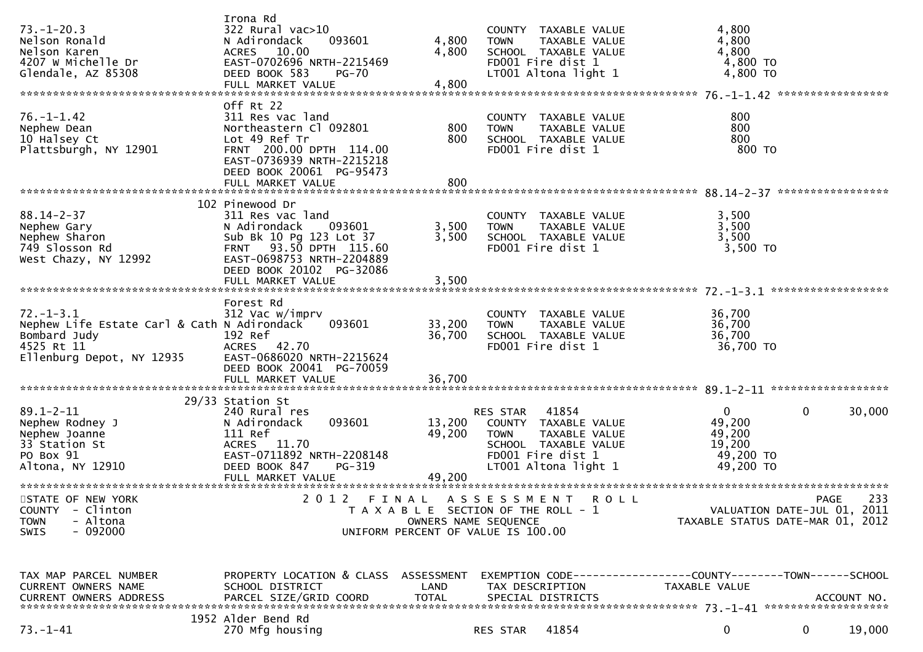| $73. - 1 - 20.3$<br>Nelson Ronald<br>Nelson Karen<br>4207 W Michelle Dr<br>Glendale, AZ 85308                             | Irona Rd<br>$322$ Rural vac $>10$<br>N Adirondack<br>093601<br>ACRES 10.00<br>EAST-0702696 NRTH-2215469<br>DEED BOOK 583<br><b>PG-70</b><br>FULL MARKET VALUE                                    | 4,800<br>4,800<br>4,800    | COUNTY TAXABLE VALUE<br>TAXABLE VALUE<br><b>TOWN</b><br>SCHOOL TAXABLE VALUE<br>FD001 Fire dist 1<br>LT001 Altona light 1                      | 4,800<br>4,800<br>4,800<br>4,800 TO<br>4,800 TO           |                                            |
|---------------------------------------------------------------------------------------------------------------------------|--------------------------------------------------------------------------------------------------------------------------------------------------------------------------------------------------|----------------------------|------------------------------------------------------------------------------------------------------------------------------------------------|-----------------------------------------------------------|--------------------------------------------|
| $76. - 1 - 1.42$<br>Nephew Dean<br>10 Halsey Ct<br>Plattsburgh, NY 12901                                                  | Off Rt 22<br>311 Res vac land<br>Northeastern Cl 092801<br>Lot 49 Ref Tr<br>FRNT 200.00 DPTH 114.00<br>EAST-0736939 NRTH-2215218<br>DEED BOOK 20061 PG-95473<br>FULL MARKET VALUE                | 800<br>800<br>800          | COUNTY TAXABLE VALUE<br>TAXABLE VALUE<br><b>TOWN</b><br>SCHOOL TAXABLE VALUE<br>FD001 Fire dist 1                                              | 800<br>800<br>800<br>800 TO                               |                                            |
| $88.14 - 2 - 37$<br>Nephew Gary<br>Nephew Sharon<br>749 Slosson Rd<br>West Chazy, NY 12992                                | 102 Pinewood Dr<br>311 Res vac land<br>N Adirondack<br>093601<br>Sub Bk 10 Pg 123 Lot 37<br>FRNT 93.50 DPTH 115.60<br>EAST-0698753 NRTH-2204889<br>DEED BOOK 20102 PG-32086<br>FULL MARKET VALUE | 3,500<br>3,500<br>3,500    | COUNTY TAXABLE VALUE<br>TAXABLE VALUE<br><b>TOWN</b><br>SCHOOL TAXABLE VALUE<br>FD001 Fire dist 1                                              | 3,500<br>3,500<br>3,500<br>3,500 TO                       |                                            |
| $72. - 1 - 3.1$<br>Nephew Life Estate Carl & Cath N Adirondack<br>Bombard Judy<br>4525 Rt 11<br>Ellenburg Depot, NY 12935 | Forest Rd<br>312 Vac w/imprv<br>093601<br>192 Ref<br>ACRES 42.70<br>EAST-0686020 NRTH-2215624<br>DEED BOOK 20041 PG-70059<br>FULL MARKET VALUE                                                   | 33,200<br>36,700<br>36,700 | COUNTY TAXABLE VALUE<br><b>TOWN</b><br>TAXABLE VALUE<br>SCHOOL TAXABLE VALUE<br>FD001 Fire dist 1                                              | 36,700<br>36,700<br>36,700<br>36,700 TO                   |                                            |
| $89.1 - 2 - 11$<br>Nephew Rodney J<br>Nephew Joanne<br>33 Station St<br>PO Box 91<br>Altona, NY 12910                     | 29/33 Station St<br>240 Rural res<br>093601<br>N Adirondack<br>111 Ref<br>ACRES 11.70<br>EAST-0711892 NRTH-2208148<br>DEED BOOK 847<br>PG-319<br>FULL MARKET VALUE                               | 13,200<br>49,200<br>49,200 | 41854<br>RES STAR<br>COUNTY TAXABLE VALUE<br>TAXABLE VALUE<br><b>TOWN</b><br>SCHOOL TAXABLE VALUE<br>FD001 Fire dist 1<br>LT001 Altona light 1 | 0<br>49,200<br>49,200<br>19,200<br>49,200 TO<br>49,200 TO | 0<br>30,000                                |
| STATE OF NEW YORK<br>COUNTY - Clinton<br>- Altona<br><b>TOWN</b><br>$-092000$<br>SWIS                                     |                                                                                                                                                                                                  |                            | 2012 FINAL ASSESSMENT ROLL<br>T A X A B L E SECTION OF THE ROLL - 1<br>OWNERS NAME SEQUENCE<br>UNIFORM PERCENT OF VALUE IS 100.00              | TAXABLE STATUS DATE-MAR 01, 2012                          | 233<br>PAGE<br>VALUATION DATE-JUL 01, 2011 |
| TAX MAP PARCEL NUMBER<br>CURRENT OWNERS NAME<br>CURRENT OWNERS ADDRESS                                                    | PROPERTY LOCATION & CLASS ASSESSMENT<br>SCHOOL DISTRICT<br>PARCEL SIZE/GRID COORD                                                                                                                | LAND<br><b>TOTAL</b>       | EXEMPTION CODE-----------------COUNTY-------TOWN------SCHOOL<br>TAX DESCRIPTION<br>SPECIAL DISTRICTS                                           | TAXABLE VALUE                                             | ACCOUNT NO.                                |
| $73. - 1 - 41$                                                                                                            | 1952 Alder Bend Rd<br>270 Mfg housing                                                                                                                                                            |                            | 41854<br>RES STAR                                                                                                                              | 0                                                         | 19,000<br>$\mathbf{0}$                     |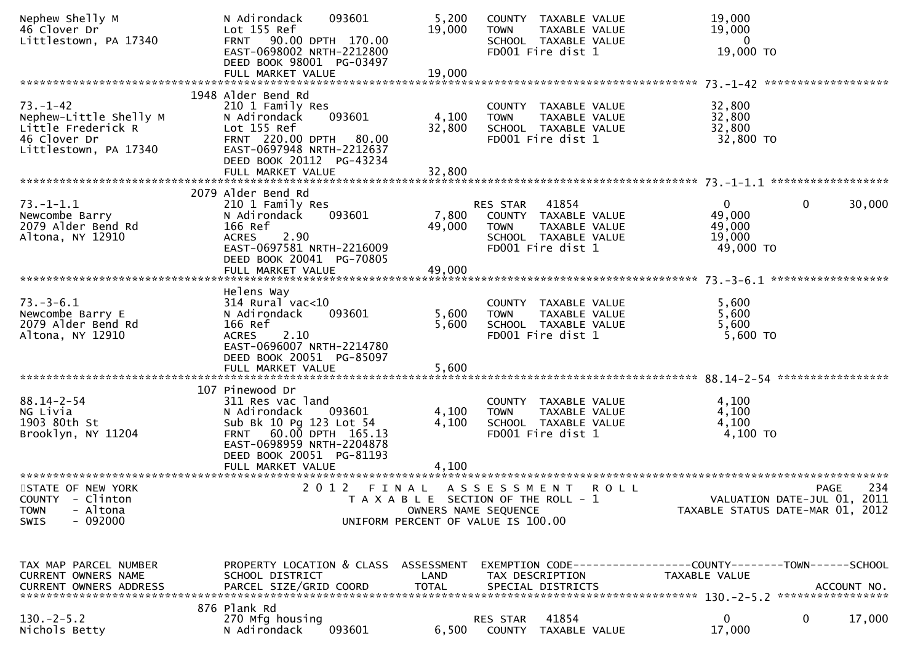| Nephew Shelly M<br>46 Clover Dr<br>Littlestown, PA 17340                                                | 093601<br>N Adirondack<br>Lot 155 Ref<br>FRNT 90.00 DPTH 170.00<br>EAST-0698002 NRTH-2212800<br>DEED BOOK 98001 PG-03497<br>FULL MARKET VALUE                                              | 5,200<br>19,000<br>19,000                                                   | <b>TOWN</b>             | COUNTY TAXABLE VALUE<br>TAXABLE VALUE<br>SCHOOL TAXABLE VALUE<br>FD001 Fire dist 1          | 19,000<br>19,000<br>$\overline{0}$<br>19,000 TO                               |                                                                                |
|---------------------------------------------------------------------------------------------------------|--------------------------------------------------------------------------------------------------------------------------------------------------------------------------------------------|-----------------------------------------------------------------------------|-------------------------|---------------------------------------------------------------------------------------------|-------------------------------------------------------------------------------|--------------------------------------------------------------------------------|
| $73. - 1 - 42$<br>Nephew-Little Shelly M<br>Little Frederick R<br>46 Clover Dr<br>Littlestown, PA 17340 | 1948 Alder Bend Rd<br>210 1 Family Res<br>093601<br>N Adirondack<br>Lot 155 Ref<br>FRNT 220.00 DPTH<br>80.00<br>EAST-0697948 NRTH-2212637<br>DEED BOOK 20112 PG-43234<br>FULL MARKET VALUE | 4,100<br>32,800<br>32,800                                                   | <b>TOWN</b>             | COUNTY TAXABLE VALUE<br>TAXABLE VALUE<br>SCHOOL TAXABLE VALUE<br>FD001 Fire dist 1          | 32,800<br>32,800<br>32,800<br>32,800 TO                                       |                                                                                |
| $73. - 1 - 1.1$<br>Newcombe Barry<br>2079 Alder Bend Rd<br>Altona, NY 12910                             | 2079 Alder Bend Rd<br>210 1 Family Res<br>093601<br>N Adirondack<br>166 Ref<br>2.90<br><b>ACRES</b><br>EAST-0697581 NRTH-2216009<br>DEED BOOK 20041 PG-70805                               | 7,800<br>49,000                                                             | RES STAR<br><b>TOWN</b> | 41854<br>COUNTY TAXABLE VALUE<br>TAXABLE VALUE<br>SCHOOL TAXABLE VALUE<br>FD001 Fire dist 1 | $\mathbf{0}$<br>49,000<br>49,000<br>19,000<br>49,000 TO                       | $\mathbf{0}$<br>30,000                                                         |
| $73. - 3 - 6.1$<br>Newcombe Barry E<br>2079 Alder Bend Rd<br>Altona, NY 12910                           | Helens Way<br>$314$ Rural vac<10<br>093601<br>N Adirondack<br>166 Ref<br>2.10<br><b>ACRES</b><br>EAST-0696007 NRTH-2214780<br>DEED BOOK 20051 PG-85097<br>FULL MARKET VALUE                | 5,600<br>5,600<br>5,600                                                     | <b>TOWN</b>             | COUNTY TAXABLE VALUE<br>TAXABLE VALUE<br>SCHOOL TAXABLE VALUE<br>FD001 Fire dist 1          | 5,600<br>5,600<br>5,600<br>5,600 TO                                           |                                                                                |
| $88.14 - 2 - 54$<br>NG Livia<br>1903 80th St<br>Brooklyn, NY 11204                                      | 107 Pinewood Dr<br>311 Res vac land<br>N Adirondack<br>093601<br>Sub Bk 10 Pg 123 Lot 54<br>FRNT 60.00 DPTH 165.13<br>EAST-0698959 NRTH-2204878<br>DEED BOOK 20051 PG-81193                | 4,100<br>4,100                                                              | <b>TOWN</b>             | COUNTY TAXABLE VALUE<br>TAXABLE VALUE<br>SCHOOL TAXABLE VALUE<br>FD001 Fire dist 1          | 4,100<br>4,100<br>4,100<br>4,100 TO                                           |                                                                                |
| STATE OF NEW YORK<br>COUNTY - Clinton<br>- Altona<br><b>TOWN</b><br>$-092000$<br><b>SWIS</b>            | 2012 FINAL ASSESSMENT ROLL                                                                                                                                                                 | T A X A B L E SECTION OF THE ROLL - 1<br>UNIFORM PERCENT OF VALUE IS 100.00 | OWNERS NAME SEQUENCE    |                                                                                             |                                                                               | 234<br>PAGE<br>VALUATION DATE-JUL 01, 2011<br>TAXABLE STATUS DATE-MAR 01, 2012 |
| TAX MAP PARCEL NUMBER<br>CURRENT OWNERS NAME                                                            | PROPERTY LOCATION & CLASS ASSESSMENT<br>SCHOOL DISTRICT<br>876 Plank Rd                                                                                                                    | LAND                                                                        | TAX DESCRIPTION         |                                                                                             | EXEMPTION CODE-----------------COUNTY-------TOWN------SCHOOL<br>TAXABLE VALUE |                                                                                |
| $130.-2-5.2$<br>Nichols Betty                                                                           | 270 Mfg housing<br>093601<br>N Adirondack                                                                                                                                                  | 6,500                                                                       | <b>RES STAR</b>         | 41854<br>COUNTY TAXABLE VALUE                                                               | 0<br>17,000                                                                   | 0<br>17,000                                                                    |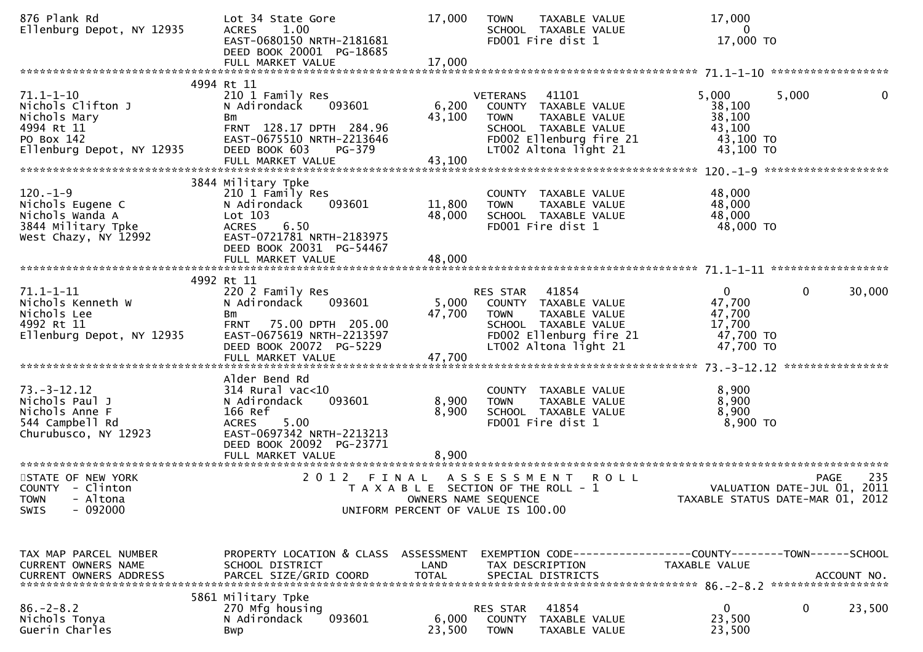| 876 Plank Rd<br>Ellenburg Depot, NY 12935                                                                     | Lot 34 State Gore<br>1.00<br><b>ACRES</b><br>EAST-0680150 NRTH-2181681<br>DEED BOOK 20001 PG-18685                                                               | 17,000                  | <b>TOWN</b><br>TAXABLE VALUE<br>SCHOOL TAXABLE VALUE<br>FD001 Fire dist 1                                                                                    | 17,000<br>$\bf{0}$<br>17,000 TO                                        |                                            |
|---------------------------------------------------------------------------------------------------------------|------------------------------------------------------------------------------------------------------------------------------------------------------------------|-------------------------|--------------------------------------------------------------------------------------------------------------------------------------------------------------|------------------------------------------------------------------------|--------------------------------------------|
|                                                                                                               |                                                                                                                                                                  |                         |                                                                                                                                                              |                                                                        |                                            |
| $71.1 - 1 - 10$<br>Nichols Clifton J<br>Nichols Mary<br>4994 Rt 11<br>PO Box 142<br>Ellenburg Depot, NY 12935 | 4994 Rt 11<br>210 1 Family Res<br>093601<br>N Adirondack<br>Bm<br>FRNT 128.17 DPTH 284.96<br>EAST-0675510 NRTH-2213646<br>DEED BOOK 603<br>PG-379                | 6,200<br>43,100         | 41101<br><b>VETERANS</b><br>COUNTY TAXABLE VALUE<br>TAXABLE VALUE<br><b>TOWN</b><br>SCHOOL TAXABLE VALUE<br>FD002 Ellenburg fire 21<br>LT002 Altona light 21 | 5,000<br>5,000<br>38,100<br>38,100<br>43,100<br>43,100 TO<br>43,100 TO | $\mathbf 0$                                |
|                                                                                                               |                                                                                                                                                                  |                         |                                                                                                                                                              |                                                                        |                                            |
| $120. -1 - 9$<br>Nichols Eugene C<br>Nichols Wanda A<br>3844 Military Tpke<br>West Chazy, NY 12992            | 3844 Military Tpke<br>210 1 Family Res<br>N Adirondack<br>093601<br>$Lot$ 103<br>6.50<br><b>ACRES</b><br>EAST-0721781 NRTH-2183975<br>DEED BOOK 20031 PG-54467   | 11,800<br>48,000        | COUNTY TAXABLE VALUE<br>TAXABLE VALUE<br><b>TOWN</b><br>SCHOOL TAXABLE VALUE<br>FD001 Fire dist 1                                                            | 48,000<br>48,000<br>48,000<br>48,000 TO                                |                                            |
|                                                                                                               |                                                                                                                                                                  |                         |                                                                                                                                                              |                                                                        |                                            |
| $71.1 - 1 - 11$<br>Nichols Kenneth W<br>Nichols Lee<br>4992 Rt 11<br>Ellenburg Depot, NY 12935                | 4992 Rt 11<br>220 2 Family Res<br>N Adirondack<br>093601<br>Bm<br>75.00 DPTH 205.00<br><b>FRNT</b><br>EAST-0675619 NRTH-2213597<br>DEED BOOK 20072 PG-5229       | 5,000<br>47,700         | 41854<br>RES STAR<br>COUNTY TAXABLE VALUE<br><b>TOWN</b><br>TAXABLE VALUE<br>SCHOOL TAXABLE VALUE<br>FD002 Ellenburg fire 21<br>LT002 Altona light 21        | $\overline{0}$<br>47,700<br>47,700<br>17,700<br>47,700 TO<br>47,700 TO | $\mathbf 0$<br>30,000<br>***************** |
|                                                                                                               | Alder Bend Rd                                                                                                                                                    |                         |                                                                                                                                                              |                                                                        |                                            |
| $73. - 3 - 12.12$<br>Nichols Paul J<br>Nichols Anne F<br>544 Campbell Rd<br>Churubusco, NY 12923              | $314$ Rural vac< $10$<br>093601<br>N Adirondack<br>166 Ref<br><b>ACRES</b><br>5.00<br>EAST-0697342 NRTH-2213213<br>DEED BOOK 20092 PG-23771<br>FULL MARKET VALUE | 8,900<br>8,900<br>8,900 | COUNTY TAXABLE VALUE<br>TAXABLE VALUE<br><b>TOWN</b><br>SCHOOL TAXABLE VALUE<br>FD001 Fire dist 1                                                            | 8,900<br>8,900<br>8,900<br>$8,900$ TO                                  |                                            |
| STATE OF NEW YORK                                                                                             | 2 0 1 2                                                                                                                                                          |                         |                                                                                                                                                              |                                                                        | 235                                        |
| COUNTY - Clinton<br><b>TOWN</b><br>- Altona<br>$-092000$<br><b>SWIS</b>                                       | FINAL                                                                                                                                                            | OWNERS NAME SEQUENCE    | A S S E S S M E N T<br><b>ROLL</b><br>T A X A B L E SECTION OF THE ROLL - 1<br>UNIFORM PERCENT OF VALUE IS 100.00                                            | VALUATION DATE-JUL 01, 2011<br>TAXABLE STATUS DATE-MAR 01, 2012        | PAGE                                       |
| TAX MAP PARCEL NUMBER<br>CURRENT OWNERS NAME                                                                  | PROPERTY LOCATION & CLASS ASSESSMENT<br>SCHOOL DISTRICT                                                                                                          | LAND                    | EXEMPTION CODE------------------COUNTY--------TOWN------SCHOOL<br>TAX DESCRIPTION                                                                            | TAXABLE VALUE                                                          |                                            |
| $86. - 2 - 8.2$<br>Nichols Tonya<br>Guerin Charles                                                            | 5861 Military Tpke<br>270 Mfg housing<br>093601<br>N Adirondack<br>Bwp                                                                                           | 6,000<br>23,500         | 41854<br>RES STAR<br>COUNTY<br>TAXABLE VALUE<br><b>TOWN</b><br>TAXABLE VALUE                                                                                 | $\mathbf 0$<br>23,500<br>23,500                                        | 0<br>23,500                                |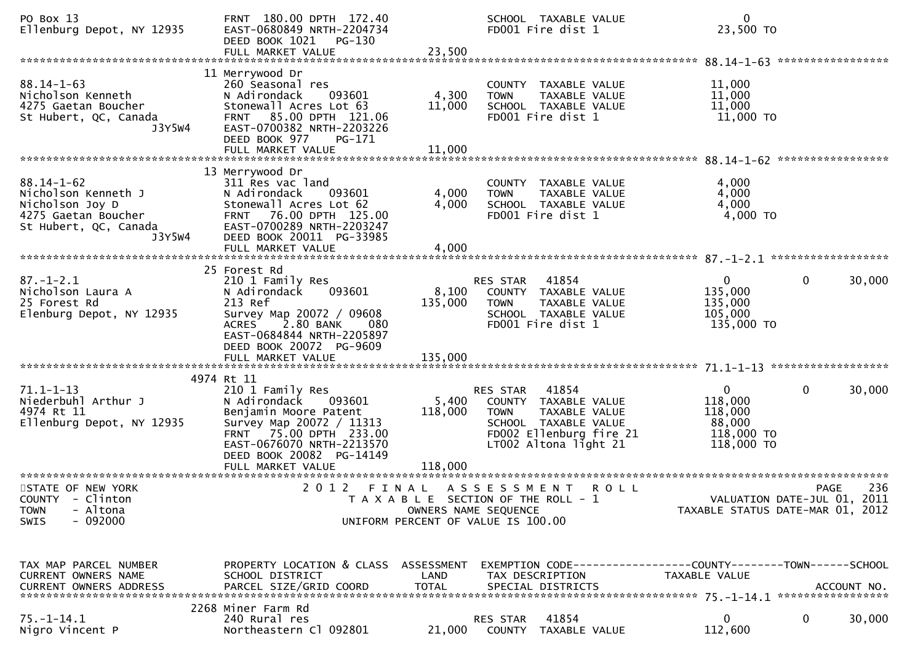| PO Box 13<br>Ellenburg Depot, NY 12935                                                                               | FRNT 180.00 DPTH 172.40<br>EAST-0680849 NRTH-2204734<br>DEED BOOK 1021<br>PG-130<br>FULL MARKET VALUE                                                                                                                 | 23,500                      | SCHOOL TAXABLE VALUE<br>FD001 Fire dist 1                                                                                                             |             | $\mathbf{0}$<br>23,500 TO                                     |                                                                                       |
|----------------------------------------------------------------------------------------------------------------------|-----------------------------------------------------------------------------------------------------------------------------------------------------------------------------------------------------------------------|-----------------------------|-------------------------------------------------------------------------------------------------------------------------------------------------------|-------------|---------------------------------------------------------------|---------------------------------------------------------------------------------------|
| $88.14 - 1 - 63$<br>Nicholson Kenneth<br>4275 Gaetan Boucher<br>St Hubert, QC, Canada<br>J3Y5W4                      | 11 Merrywood Dr<br>260 Seasonal res<br>093601<br>N Adirondack<br>Stonewall Acres Lot 63<br>FRNT 85.00 DPTH 121.06<br>EAST-0700382 NRTH-2203226<br>DEED BOOK 977<br>PG-171                                             | 4,300<br>11,000             | COUNTY TAXABLE VALUE<br>TAXABLE VALUE<br><b>TOWN</b><br>SCHOOL TAXABLE VALUE<br>FD001 Fire dist 1                                                     |             | 11,000<br>11,000<br>11,000<br>11,000 TO                       |                                                                                       |
| $88.14 - 1 - 62$<br>Nicholson Kenneth J<br>Nicholson Joy D<br>4275 Gaetan Boucher<br>St Hubert, QC, Canada<br>J3Y5W4 | 13 Merrywood Dr<br>311 Res vac land<br>N Adirondack<br>093601<br>Stonewall Acres Lot 62<br>76.00 DPTH 125.00<br><b>FRNT</b><br>EAST-0700289 NRTH-2203247<br>DEED BOOK 20011 PG-33985<br>FULL MARKET VALUE             | 4,000<br>4,000<br>4,000     | COUNTY TAXABLE VALUE<br>TAXABLE VALUE<br><b>TOWN</b><br>SCHOOL TAXABLE VALUE<br>FD001 Fire dist 1                                                     |             | 4,000<br>4,000<br>4,000<br>4,000 TO                           |                                                                                       |
| $87. - 1 - 2.1$<br>Nicholson Laura A<br>25 Forest Rd<br>Elenburg Depot, NY 12935                                     | 25 Forest Rd<br>210 1 Family Res<br>093601<br>N Adirondack<br>213 Ref<br>Survey Map 20072 / 09608<br>2.80 BANK<br><b>ACRES</b><br>080<br>EAST-0684844 NRTH-2205897<br>DEED BOOK 20072 PG-9609                         | 8,100<br>135,000            | 41854<br>RES STAR<br>COUNTY TAXABLE VALUE<br><b>TOWN</b><br><b>TAXABLE VALUE</b><br>SCHOOL TAXABLE VALUE<br>FD001 Fire dist 1                         |             | $\mathbf{0}$<br>135,000<br>135,000<br>105,000<br>135,000 TO   | 0<br>30,000                                                                           |
| $71.1 - 1 - 13$<br>Niederbuhl Arthur J<br>4974 Rt 11<br>Ellenburg Depot, NY 12935                                    | 4974 Rt 11<br>210 1 Family Res<br>N Adirondack<br>093601<br>Benjamin Moore Patent<br>Survey Map 20072 / 11313<br>FRNT 75.00 DPTH 233.00<br>EAST-0676070 NRTH-2213570<br>DEED BOOK 20082 PG-14149<br>FULL MARKET VALUE | 5,400<br>118,000<br>118,000 | 41854<br>RES STAR<br>COUNTY TAXABLE VALUE<br><b>TOWN</b><br>TAXABLE VALUE<br>SCHOOL TAXABLE VALUE<br>FD002 Ellenburg fire 21<br>LT002 Altona light 21 |             | 0<br>118,000<br>118,000<br>88,000<br>118,000 TO<br>118,000 TO | 0<br>30,000                                                                           |
| STATE OF NEW YORK<br>COUNTY - Clinton<br>- Altona<br><b>TOWN</b><br>$-092000$<br><b>SWIS</b>                         | 2012 FINAL                                                                                                                                                                                                            | OWNERS NAME SEQUENCE        | A S S E S S M E N T<br>T A X A B L E SECTION OF THE ROLL - 1<br>UNIFORM PERCENT OF VALUE IS 100.00                                                    | <b>ROLL</b> |                                                               | 236<br><b>PAGE</b><br>VALUATION DATE-JUL 01, 2011<br>TAXABLE STATUS DATE-MAR 01, 2012 |
| TAX MAP PARCEL NUMBER<br>CURRENT OWNERS NAME                                                                         | PROPERTY LOCATION & CLASS ASSESSMENT<br>SCHOOL DISTRICT                                                                                                                                                               | LAND                        | EXEMPTION CODE------------------COUNTY--------TOWN------SCHOOL<br>TAX DESCRIPTION                                                                     |             | TAXABLE VALUE                                                 |                                                                                       |
| $75. - 1 - 14.1$<br>Nigro Vincent P                                                                                  | 2268 Miner Farm Rd<br>240 Rural res<br>Northeastern Cl 092801                                                                                                                                                         | 21,000                      | 41854<br>RES STAR<br>COUNTY TAXABLE VALUE                                                                                                             |             | 0<br>112,600                                                  | 30,000<br>0                                                                           |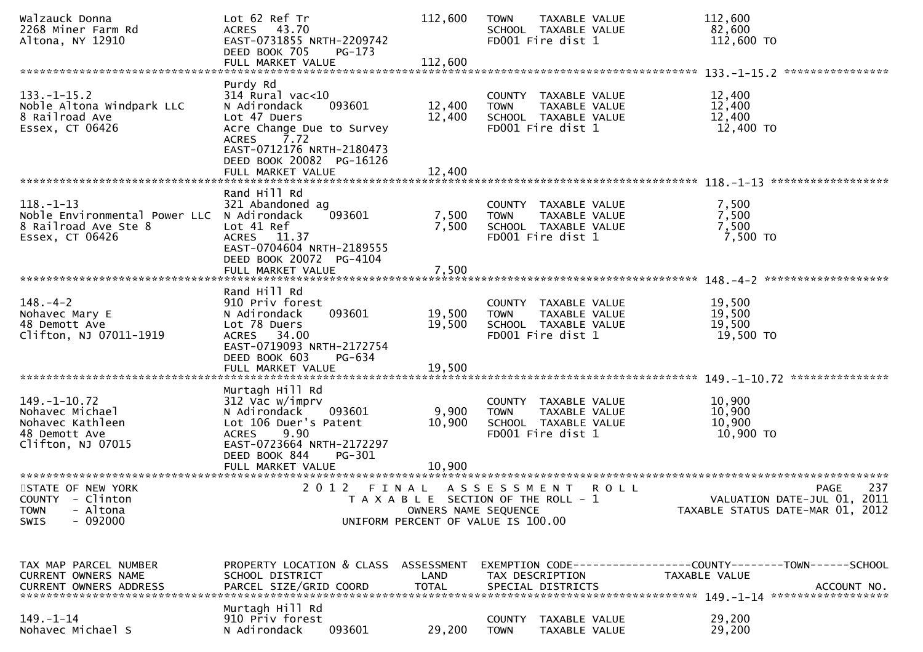| Walzauck Donna<br>2268 Miner Farm Rd<br>Altona, NY 12910                                                 | Lot 62 Ref Tr<br>ACRES 43.70<br>EAST-0731855 NRTH-2209742<br>DEED BOOK 705<br>$PG-173$                                                                                | 112,600              | <b>TOWN</b><br>SCHOOL TAXABLE VALUE<br>FD001 Fire dist 1                         | TAXABLE VALUE | 112,600<br>82,600<br>112,600 TO                                                       |
|----------------------------------------------------------------------------------------------------------|-----------------------------------------------------------------------------------------------------------------------------------------------------------------------|----------------------|----------------------------------------------------------------------------------|---------------|---------------------------------------------------------------------------------------|
|                                                                                                          |                                                                                                                                                                       |                      |                                                                                  |               |                                                                                       |
| $133. - 1 - 15.2$<br>Noble Altona Windpark LLC<br>8 Railroad Ave<br>Essex, CT 06426                      | Purdy Rd<br>$314$ Rural vac<10<br>093601<br>N Adirondack<br>Lot 47 Duers<br>Acre Change Due to Survey<br>7.72<br><b>ACRES</b><br>EAST-0712176 NRTH-2180473            | 12,400<br>12,400     | COUNTY TAXABLE VALUE<br><b>TOWN</b><br>SCHOOL TAXABLE VALUE<br>FD001 Fire dist 1 | TAXABLE VALUE | 12,400<br>12,400<br>12,400<br>12,400 TO                                               |
|                                                                                                          | DEED BOOK 20082 PG-16126<br>FULL MARKET VALUE                                                                                                                         | 12,400               |                                                                                  |               |                                                                                       |
| $118. - 1 - 13$<br>Noble Environmental Power LLC N Adirondack<br>8 Railroad Ave Ste 8<br>Essex, CT 06426 | Rand Hill Rd<br>321 Abandoned ag<br>093601<br>Lot 41 Ref<br>ACRES 11.37<br>EAST-0704604 NRTH-2189555<br>DEED BOOK 20072 PG-4104                                       | 7,500<br>7,500       | COUNTY TAXABLE VALUE<br><b>TOWN</b><br>SCHOOL TAXABLE VALUE<br>FD001 Fire dist 1 | TAXABLE VALUE | 7,500<br>7,500<br>7,500<br>7,500 TO                                                   |
|                                                                                                          | FULL MARKET VALUE                                                                                                                                                     | 7,500                |                                                                                  |               |                                                                                       |
| $148. - 4 - 2$<br>Nohavec Mary E<br>48 Demott Ave<br>Clifton, NJ 07011-1919                              | Rand Hill Rd<br>910 Priv forest<br>093601<br>N Adirondack<br>Lot 78 Duers<br>ACRES 34.00<br>EAST-0719093 NRTH-2172754<br>DEED BOOK 603<br>PG-634                      | 19,500<br>19,500     | COUNTY TAXABLE VALUE<br><b>TOWN</b><br>SCHOOL TAXABLE VALUE<br>FD001 Fire dist 1 | TAXABLE VALUE | 19,500<br>19,500<br>19,500<br>19,500 TO                                               |
|                                                                                                          | FULL MARKET VALUE                                                                                                                                                     | 19,500               |                                                                                  |               | ***************                                                                       |
| $149. - 1 - 10.72$<br>Nohavec Michael<br>Nohavec Kathleen<br>48 Demott Ave<br>Clifton, NJ 07015          | Murtagh Hill Rd<br>312 Vac w/imprv<br>093601<br>N Adirondack<br>Lot 106 Duer's Patent<br>9.90<br><b>ACRES</b><br>EAST-0723664 NRTH-2172297<br>DEED BOOK 844<br>PG-301 | 9,900<br>10,900      | COUNTY TAXABLE VALUE<br><b>TOWN</b><br>SCHOOL TAXABLE VALUE<br>FD001 Fire dist 1 | TAXABLE VALUE | 10,900<br>10,900<br>10,900<br>10,900 TO                                               |
|                                                                                                          | FULL MARKET VALUE                                                                                                                                                     | 10,900               |                                                                                  |               |                                                                                       |
| STATE OF NEW YORK<br>COUNTY - Clinton<br>- Altona<br><b>TOWN</b><br>$-092000$<br><b>SWIS</b>             | 2012 FINAL ASSESSMENT ROLL                                                                                                                                            | OWNERS NAME SEQUENCE | T A X A B L E SECTION OF THE ROLL - 1<br>UNIFORM PERCENT OF VALUE IS 100.00      |               | 237<br><b>PAGE</b><br>VALUATION DATE-JUL 01, 2011<br>TAXABLE STATUS DATE-MAR 01, 2012 |
| TAX MAP PARCEL NUMBER<br>CURRENT OWNERS NAME                                                             | PROPERTY LOCATION & CLASS ASSESSMENT<br>SCHOOL DISTRICT                                                                                                               | LAND                 | TAX DESCRIPTION                                                                  |               | EXEMPTION CODE-----------------COUNTY-------TOWN------SCHOOL<br>TAXABLE VALUE         |
| $149. - 1 - 14$<br>Nohavec Michael S                                                                     | Murtagh Hill Rd<br>910 Priv forest<br>093601<br>N Adirondack                                                                                                          | 29,200               | COUNTY TAXABLE VALUE<br><b>TOWN</b>                                              | TAXABLE VALUE | 29,200<br>29,200                                                                      |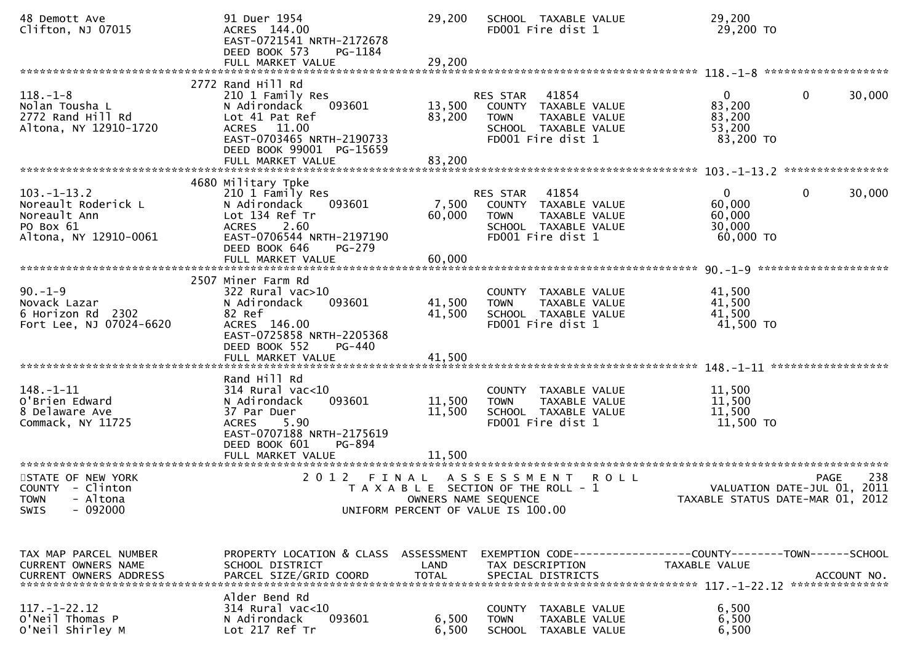| 48 Demott Ave<br>Clifton, NJ 07015                                                            | 91 Duer 1954<br>ACRES 144.00<br>EAST-0721541 NRTH-2172678<br>DEED BOOK 573<br>PG-1184                                                                                            | 29,200                     | SCHOOL TAXABLE VALUE<br>FD001 Fire dist 1                                                                                                 | 29,200<br>29,200 TO                                                                                                                                                                                                                                                                                               |        |
|-----------------------------------------------------------------------------------------------|----------------------------------------------------------------------------------------------------------------------------------------------------------------------------------|----------------------------|-------------------------------------------------------------------------------------------------------------------------------------------|-------------------------------------------------------------------------------------------------------------------------------------------------------------------------------------------------------------------------------------------------------------------------------------------------------------------|--------|
|                                                                                               | 2772 Rand Hill Rd                                                                                                                                                                |                            |                                                                                                                                           |                                                                                                                                                                                                                                                                                                                   |        |
| $118. - 1 - 8$<br>Nolan Tousha L<br>2772 Rand Hill Rd<br>Altona, NY 12910-1720                | 210 1 Family Res<br>093601<br>N Adirondack<br>Lot 41 Pat Ref<br>ACRES 11.00<br>EAST-0703465 NRTH-2190733<br>DEED BOOK 99001 PG-15659                                             | 13,500<br>83,200           | 41854<br>RES STAR<br>COUNTY TAXABLE VALUE<br>TAXABLE VALUE<br><b>TOWN</b><br>SCHOOL TAXABLE VALUE<br>FD001 Fire dist 1                    | $\mathbf 0$<br>$\mathbf{0}$<br>83,200<br>83,200<br>53,200<br>83,200 TO                                                                                                                                                                                                                                            | 30,000 |
|                                                                                               |                                                                                                                                                                                  |                            |                                                                                                                                           |                                                                                                                                                                                                                                                                                                                   |        |
|                                                                                               |                                                                                                                                                                                  |                            |                                                                                                                                           |                                                                                                                                                                                                                                                                                                                   |        |
| $103. -1 - 13.2$<br>Noreault Roderick L<br>Noreault Ann<br>PO Box 61<br>Altona, NY 12910-0061 | 4680 Military Tpke<br>210 1 Family Res<br>N Adirondack<br>093601<br>Lot 134 Ref Tr<br>ACRES 2.60<br>EAST-0706544 NRTH-2197190<br>DEED BOOK 646<br>PG-279                         | 7,500<br>60,000            | RES STAR<br>41854<br>COUNTY TAXABLE VALUE<br>TAXABLE VALUE<br><b>TOWN</b><br>SCHOOL TAXABLE VALUE<br>FD001 Fire dist 1                    | $\Omega$<br>$\mathbf 0$<br>60,000<br>60,000<br>30,000<br>60,000 TO                                                                                                                                                                                                                                                | 30,000 |
|                                                                                               |                                                                                                                                                                                  |                            |                                                                                                                                           |                                                                                                                                                                                                                                                                                                                   |        |
| $90. -1 - 9$<br>Novack Lazar<br>6 Horizon Rd 2302<br>Fort Lee, NJ 07024-6620                  | 2507 Miner Farm Rd<br>$322$ Rural vac $>10$<br>093601<br>N Adirondack<br>82 Ref<br>ACRES 146.00<br>EAST-0725858 NRTH-2205368<br>DEED BOOK 552<br>PG-440                          | 41,500<br>41,500           | COUNTY TAXABLE VALUE<br>TAXABLE VALUE<br>TOWN<br>SCHOOL TAXABLE VALUE<br>FD001 Fire dist 1                                                | 41,500<br>41,500<br>41,500<br>41,500 TO                                                                                                                                                                                                                                                                           |        |
|                                                                                               |                                                                                                                                                                                  |                            |                                                                                                                                           | ******************                                                                                                                                                                                                                                                                                                |        |
| $148. - 1 - 11$<br>O'Brien Edward<br>8 Delaware Ave<br>Commack, NY 11725                      | Rand Hill Rd<br>$314$ Rural vac<10<br>093601<br>N Adirondack<br>37 Par Duer<br>5.90<br><b>ACRES</b><br>EAST-0707188 NRTH-2175619<br>DEED BOOK 601<br>PG-894<br>FULL MARKET VALUE | 11,500<br>11,500<br>11,500 | COUNTY TAXABLE VALUE<br>TAXABLE VALUE<br>TOWN<br>SCHOOL TAXABLE VALUE<br>FD001 Fire dist 1                                                | 11,500<br>11,500<br>11,500<br>11,500 TO                                                                                                                                                                                                                                                                           |        |
| STATE OF NEW YORK<br>COUNTY - Clinton<br>TOWN - Altona<br>- 092000<br><b>SWIS</b>             | 2 0 1 2<br>FINAL                                                                                                                                                                 |                            | A S S E S S M E N T<br><b>ROLL</b><br>T A X A B L E SECTION OF THE ROLL - 1<br>OWNERS NAME SEQUENCE<br>UNIFORM PERCENT OF VALUE IS 100.00 | PAGE<br>VALUATION DATE-JUL 01, 2011<br>TAXABLE STATUS DATE-MAR 01, 2012                                                                                                                                                                                                                                           | 238    |
| TAX MAP PARCEL NUMBER<br>CURRENT OWNERS NAME                                                  | PROPERTY LOCATION & CLASS ASSESSMENT<br>SCHOOL DISTRICT                                                                                                                          | LAND                       | TAX DESCRIPTION                                                                                                                           | EXEMPTION CODE------------------COUNTY--------TOWN------SCHOOL<br>TAXABLE VALUE<br>.4CCOUNT NO . PARCEL SIZE/GRID COORD TOTAL SPECIAL DISTRICTS . ACCOUNT NO . ACCOUNT NO . ACCOUNT NO . يتوجد بن المكتب المكتب المكتب المكتب المكتب المكتب المكتب المكتب المكتب المكتب المكتب المكتب المكتب المكتب المكتب المكتب |        |
| $117. - 1 - 22.12$<br>O'Neil Thomas P<br>O'Neil Shirley M                                     | Alder Bend Rd<br>314 Rural vac<10<br>093601<br>N Adirondack<br>Lot 217 Ref Tr                                                                                                    | 6,500<br>6,500             | COUNTY TAXABLE VALUE<br><b>TOWN</b><br>TAXABLE VALUE<br>SCHOOL TAXABLE VALUE                                                              | 6,500<br>6,500<br>6,500                                                                                                                                                                                                                                                                                           |        |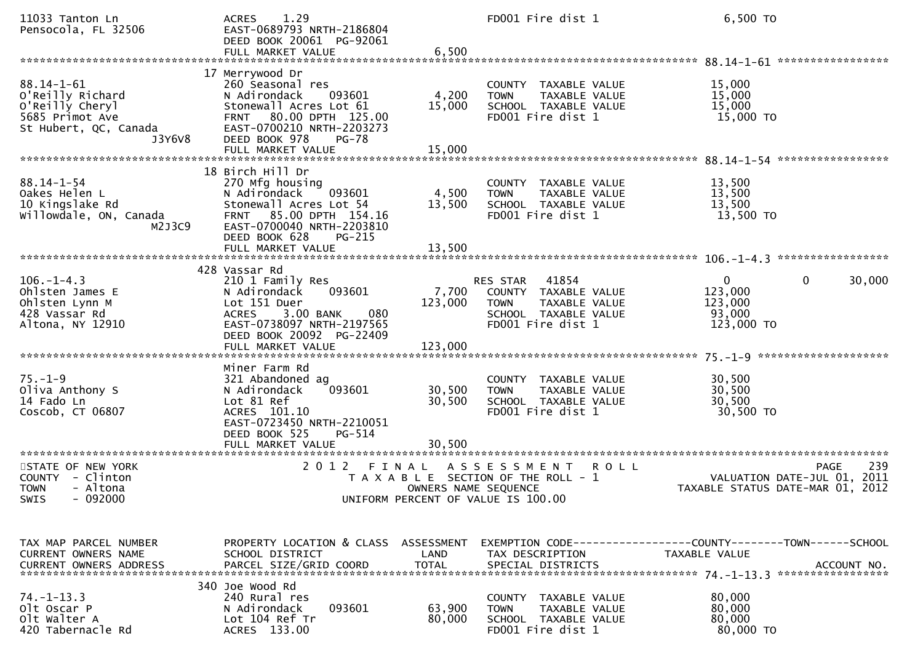| 11033 Tanton Ln<br>Pensocola, FL 32506                                                                        | 1.29<br><b>ACRES</b><br>EAST-0689793 NRTH-2186804<br>DEED BOOK 20061 PG-92061<br>FULL MARKET VALUE                                                                                  | 6,500                         | FD001 Fire dist 1                                                                                                      | 6,500 TO                                                                                            |
|---------------------------------------------------------------------------------------------------------------|-------------------------------------------------------------------------------------------------------------------------------------------------------------------------------------|-------------------------------|------------------------------------------------------------------------------------------------------------------------|-----------------------------------------------------------------------------------------------------|
| $88.14 - 1 - 61$<br>O'Reilly Richard<br>O'Reilly Cheryl<br>5685 Primot Ave<br>St Hubert, QC, Canada<br>J3Y6V8 | 17 Merrywood Dr<br>260 Seasonal res<br>N Adirondack<br>093601<br>Stonewall Acres Lot 61<br>FRNT 80.00 DPTH 125.00<br>EAST-0700210 NRTH-2203273<br>DEED BOOK 978<br><b>PG-78</b>     | 4,200<br>15,000               | COUNTY TAXABLE VALUE<br>TAXABLE VALUE<br><b>TOWN</b><br>SCHOOL TAXABLE VALUE<br>FD001 Fire dist 1                      | 15,000<br>15,000<br>15,000<br>15,000 TO                                                             |
|                                                                                                               | FULL MARKET VALUE                                                                                                                                                                   | 15,000                        |                                                                                                                        |                                                                                                     |
| $88.14 - 1 - 54$<br>Oakes Helen L<br>10 Kingslake Rd<br>willowdale, ON, Canada<br>M2J3C9                      | 18 Birch Hill Dr<br>270 Mfg housing<br>093601<br>N Adirondack<br>Stonewall Acres Lot 54<br>85.00 DPTH 154.16<br><b>FRNT</b><br>EAST-0700040 NRTH-2203810<br>DEED BOOK 628<br>PG-215 | 4,500<br>13,500               | COUNTY TAXABLE VALUE<br>TAXABLE VALUE<br><b>TOWN</b><br>SCHOOL TAXABLE VALUE<br>FD001 Fire dist 1                      | 13,500<br>13,500<br>13,500<br>13,500 TO                                                             |
|                                                                                                               | FULL MARKET VALUE                                                                                                                                                                   | 13,500                        |                                                                                                                        |                                                                                                     |
| $106. - 1 - 4.3$<br>Ohlsten James E<br>Ohlsten Lynn M<br>428 Vassar Rd<br>Altona, NY 12910                    | 428 Vassar Rd<br>210 1 Family Res<br>N Adirondack<br>093601<br>Lot 151 Duer<br>3.00 BANK<br><b>ACRES</b><br>080<br>EAST-0738097 NRTH-2197565<br>DEED BOOK 20092 PG-22409            | 7,700<br>123,000              | RES STAR<br>41854<br>COUNTY TAXABLE VALUE<br><b>TOWN</b><br>TAXABLE VALUE<br>SCHOOL TAXABLE VALUE<br>FD001 Fire dist 1 | $\mathbf{0}$<br>$\mathbf{0}$<br>30,000<br>123,000<br>123,000<br>93,000<br>123,000 TO                |
| $75. - 1 - 9$<br>Oliva Anthony S<br>14 Fado Ln<br>Coscob, CT 06807                                            | Miner Farm Rd<br>321 Abandoned ag<br>093601<br>N Adirondack<br>Lot 81 Ref<br>ACRES 101.10<br>EAST-0723450 NRTH-2210051<br>DEED BOOK 525<br><b>PG-514</b><br>FULL MARKET VALUE       | 30,500<br>30,500<br>30.500    | COUNTY TAXABLE VALUE<br>TAXABLE VALUE<br><b>TOWN</b><br>SCHOOL TAXABLE VALUE<br>FD001 Fire dist 1                      | 30,500<br>30,500<br>30,500<br>30,500 TO                                                             |
| STATE OF NEW YORK<br>COUNTY - Clinton<br>- Altona<br><b>TOWN</b><br>- 092000<br><b>SWIS</b>                   | 2 0 1 2                                                                                                                                                                             | FINAL<br>OWNERS NAME SEQUENCE | A S S E S S M E N T<br><b>ROLL</b><br>T A X A B L E SECTION OF THE ROLL - 1<br>UNIFORM PERCENT OF VALUE IS 100.00      | 239<br><b>PAGE</b><br>2011<br>VALUATION DATE-JUL 01,<br>TAXABLE STATUS DATE-MAR 01, 2012            |
| TAX MAP PARCEL NUMBER<br>CURRENT OWNERS NAME<br><b>CURRENT OWNERS ADDRESS</b>                                 | PROPERTY LOCATION & CLASS ASSESSMENT<br>SCHOOL DISTRICT<br>PARCEL SIZE/GRID COORD                                                                                                   | LAND<br><b>TOTAL</b>          | TAX DESCRIPTION<br>SPECIAL DISTRICTS                                                                                   | EXEMPTION        CODE-----------------COUNTY-------TOWN------SCHOOL<br>TAXABLE VALUE<br>ACCOUNT NO. |
| $74. - 1 - 13.3$<br>Olt Oscar P<br>olt walter A<br>420 Tabernacle Rd                                          | 340 Joe Wood Rd<br>240 Rural res<br>N Adirondack<br>093601<br>Lot 104 Ref Tr<br>ACRES 133.00                                                                                        | 63,900<br>80,000              | COUNTY TAXABLE VALUE<br><b>TOWN</b><br>TAXABLE VALUE<br>SCHOOL TAXABLE VALUE<br>FD001 Fire dist 1                      | 80,000<br>80,000<br>80,000<br>80,000 TO                                                             |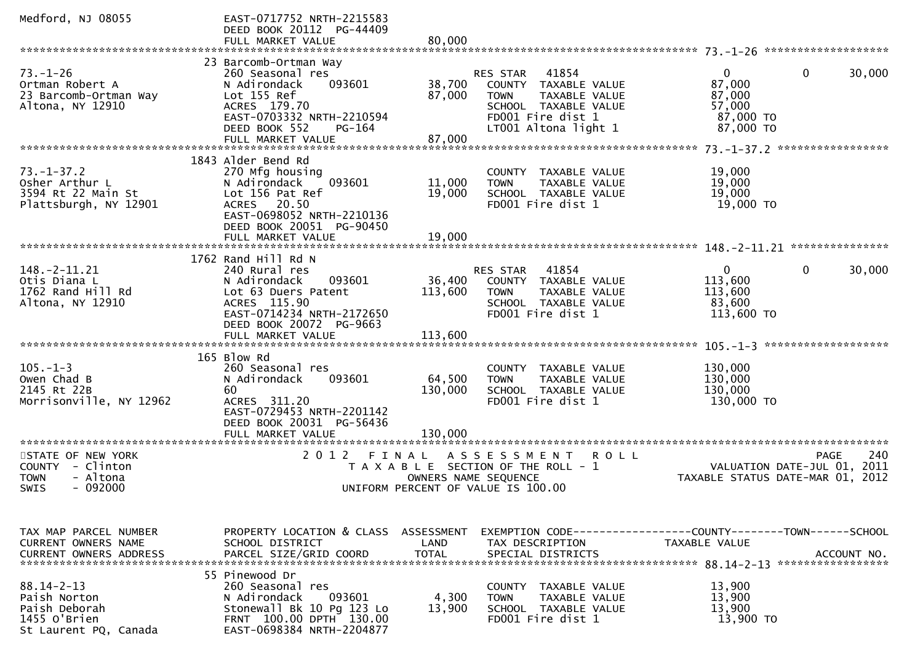| Medford, NJ 08055                                                                          | EAST-0717752 NRTH-2215583<br>DEED BOOK 20112 PG-44409<br>FULL MARKET VALUE                                                                                    | 80,000                       |                                                                                                                                                |                                                                      |                        |
|--------------------------------------------------------------------------------------------|---------------------------------------------------------------------------------------------------------------------------------------------------------------|------------------------------|------------------------------------------------------------------------------------------------------------------------------------------------|----------------------------------------------------------------------|------------------------|
|                                                                                            |                                                                                                                                                               |                              |                                                                                                                                                |                                                                      |                        |
| $73. - 1 - 26$<br>Ortman Robert A<br>23 Barcomb-Ortman Way<br>Altona, NY 12910             | 23 Barcomb-Ortman Way<br>260 Seasonal res<br>N Adirondack<br>093601<br>Lot 155 Ref<br>ACRES 179.70<br>EAST-0703332 NRTH-2210594<br>DEED BOOK 552<br>PG-164    | 38,700<br>87,000             | 41854<br>RES STAR<br>COUNTY TAXABLE VALUE<br>TAXABLE VALUE<br><b>TOWN</b><br>SCHOOL TAXABLE VALUE<br>FD001 Fire dist 1<br>LT001 Altona light 1 | $\mathbf{0}$<br>87,000<br>87,000<br>57,000<br>87,000 TO<br>87,000 TO | $\mathbf{0}$<br>30,000 |
|                                                                                            |                                                                                                                                                               |                              |                                                                                                                                                |                                                                      |                        |
| $73. - 1 - 37.2$<br>Osher Arthur L<br>3594 Rt 22 Main St<br>Plattsburgh, NY 12901          | 1843 Alder Bend Rd<br>270 Mfg housing<br>093601<br>N Adirondack<br>Lot 156 Pat Ref<br>ACRES 20.50<br>EAST-0698052 NRTH-2210136<br>DEED BOOK 20051 PG-90450    | 11,000<br>19,000             | COUNTY TAXABLE VALUE<br><b>TOWN</b><br>TAXABLE VALUE<br>SCHOOL TAXABLE VALUE<br>FD001 Fire dist 1                                              | 19,000<br>19,000<br>19,000<br>19,000 TO                              |                        |
|                                                                                            |                                                                                                                                                               |                              |                                                                                                                                                |                                                                      |                        |
| $148. - 2 - 11.21$<br>Otis Diana L<br>1762 Rand Hill Rd<br>Altona, NY 12910                | 1762 Rand Hill Rd N<br>240 Rural res<br>N Adirondack<br>093601<br>Lot 63 Duers Patent<br>ACRES 115.90<br>EAST-0714234 NRTH-2172650<br>DEED BOOK 20072 PG-9663 | 36,400<br>113,600            | RES STAR<br>41854<br>COUNTY TAXABLE VALUE<br>TAXABLE VALUE<br><b>TOWN</b><br>SCHOOL TAXABLE VALUE<br>FD001 Fire dist 1                         | $\mathbf{0}$<br>113,600<br>113,600<br>83,600<br>113,600 TO           | $\mathbf{0}$<br>30,000 |
|                                                                                            |                                                                                                                                                               |                              |                                                                                                                                                |                                                                      |                        |
|                                                                                            |                                                                                                                                                               |                              |                                                                                                                                                |                                                                      |                        |
| $105. - 1 - 3$<br>Owen Chad B<br>2145 Rt 22B<br>Morrisonville, NY 12962                    | 165 Blow Rd<br>260 Seasonal res<br>093601<br>N Adirondack<br>60<br>ACRES 311.20<br>EAST-0729453 NRTH-2201142<br>DEED BOOK 20031 PG-56436<br>FULL MARKET VALUE | 64,500<br>130,000<br>130,000 | COUNTY TAXABLE VALUE<br>TAXABLE VALUE<br><b>TOWN</b><br>SCHOOL TAXABLE VALUE<br>FD001 Fire dist 1                                              | 130,000<br>130,000<br>130,000<br>130,000 TO                          |                        |
| STATE OF NEW YORK                                                                          | 2 0 1 2                                                                                                                                                       | FINAL                        | A S S E S S M E N T<br><b>ROLL</b>                                                                                                             |                                                                      | 240<br><b>PAGE</b>     |
| COUNTY - Clinton<br>- Altona<br><b>TOWN</b><br>SWIS<br>- 092000                            |                                                                                                                                                               | OWNERS NAME SEQUENCE         | T A X A B L E SECTION OF THE ROLL - 1<br>UNIFORM PERCENT OF VALUE IS 100.00                                                                    | VALUATION DATE-JUL 01,<br>TAXABLE STATUS DATE-MAR 01, 2012           | 2011                   |
|                                                                                            |                                                                                                                                                               |                              |                                                                                                                                                |                                                                      |                        |
| TAX MAP PARCEL NUMBER<br><b>CURRENT OWNERS NAME</b><br><b>CURRENT OWNERS ADDRESS</b>       | PROPERTY LOCATION & CLASS ASSESSMENT<br>SCHOOL DISTRICT<br>PARCEL SIZE/GRID COORD                                                                             | LAND<br><b>TOTAL</b>         | TAX DESCRIPTION<br>SPECIAL DISTRICTS                                                                                                           | TAXABLE VALUE                                                        | ACCOUNT NO.            |
| $88.14 - 2 - 13$<br>Paish Norton<br>Paish Deborah<br>1455 O'Brien<br>St Laurent PQ, Canada | 55 Pinewood Dr<br>260 Seasonal res<br>093601<br>N Adirondack<br>Stonewall Bk 10 Pg 123 Lo<br>FRNT 100.00 DPTH 130.00<br>EAST-0698384 NRTH-2204877             | 4,300<br>13,900              | COUNTY TAXABLE VALUE<br><b>TOWN</b><br>TAXABLE VALUE<br>SCHOOL TAXABLE VALUE<br>FD001 Fire dist 1                                              | 13,900<br>13,900<br>13,900<br>13,900 TO                              |                        |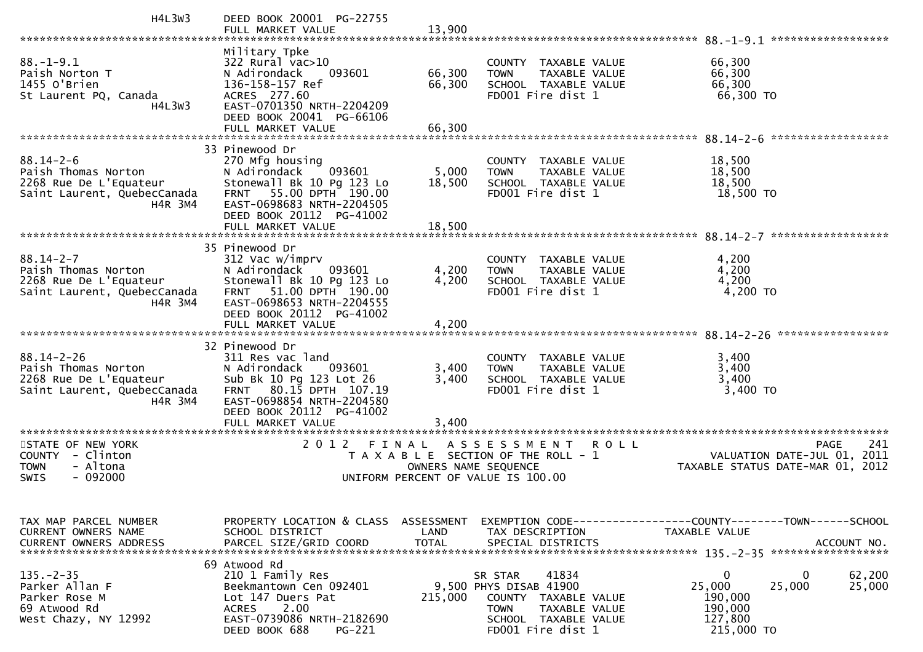| <b>H4L3W3</b>                                                                                                      | DEED BOOK 20001 PG-22755<br>FULL MARKET VALUE                                                                                                                                                    | 13,900                    |                                                                                                                                                           |                                                                                                                     |
|--------------------------------------------------------------------------------------------------------------------|--------------------------------------------------------------------------------------------------------------------------------------------------------------------------------------------------|---------------------------|-----------------------------------------------------------------------------------------------------------------------------------------------------------|---------------------------------------------------------------------------------------------------------------------|
| $88. - 1 - 9.1$<br>Paish Norton T<br>1455 O'Brien<br>St Laurent PQ, Canada<br>H4L3W3                               | Military Tpke<br>322 Rural vac>10<br>N Adirondack<br>093601<br>136-158-157 Ref<br>ACRES 277.60<br>EAST-0701350 NRTH-2204209<br>DEED BOOK 20041 PG-66106                                          | 66,300<br>66,300          | COUNTY TAXABLE VALUE<br>TAXABLE VALUE<br><b>TOWN</b><br>SCHOOL TAXABLE VALUE<br>FD001 Fire dist 1                                                         | ******************<br>$88. - 1 - 9.1$<br>66,300<br>66,300<br>66,300<br>66,300 TO                                    |
|                                                                                                                    | FULL MARKET VALUE                                                                                                                                                                                | 66,300                    |                                                                                                                                                           | ******************                                                                                                  |
| $88.14 - 2 - 6$<br>Paish Thomas Norton<br>2268 Rue De L'Equateur<br>Saint Laurent, QuebecCanada<br>H4R 3M4         | 33 Pinewood Dr<br>270 Mfg housing<br>093601<br>N Adirondack<br>Stonewall Bk 10 Pg 123 Lo<br>FRNT 55.00 DPTH 190.00<br>EAST-0698683 NRTH-2204505<br>DEED BOOK 20112 PG-41002<br>FULL MARKET VALUE | 5,000<br>18,500<br>18,500 | COUNTY TAXABLE VALUE<br>TAXABLE VALUE<br><b>TOWN</b><br>SCHOOL TAXABLE VALUE<br>FD001 Fire dist 1                                                         | 18,500<br>18,500<br>18,500<br>18,500 TO                                                                             |
|                                                                                                                    | 35 Pinewood Dr                                                                                                                                                                                   |                           |                                                                                                                                                           | ******************                                                                                                  |
| $88.14 - 2 - 7$<br>Paish Thomas Norton<br>2268 Rue De L'Equateur<br>Saint Laurent, QuebecCanada<br>H4R 3M4         | 312 Vac w/imprv<br>093601<br>N Adirondack<br>Stonewall Bk 10 Pg 123 Lo<br>51.00 DPTH 190.00<br><b>FRNT</b><br>EAST-0698653 NRTH-2204555<br>DEED BOOK 20112 PG-41002                              | 4,200<br>4,200            | COUNTY TAXABLE VALUE<br>TAXABLE VALUE<br><b>TOWN</b><br>SCHOOL TAXABLE VALUE<br>FD001 Fire dist 1                                                         | 4,200<br>4,200<br>4,200<br>4,200 TO                                                                                 |
|                                                                                                                    | FULL MARKET VALUE                                                                                                                                                                                | 4,200                     |                                                                                                                                                           |                                                                                                                     |
| $88.14 - 2 - 26$<br>Paish Thomas Norton<br>2268 Rue De L'Equateur<br>Saint Laurent, QuebecCanada<br><b>H4R 3M4</b> | 32 Pinewood Dr<br>311 Res vac land<br>N Adirondack<br>093601<br>Sub Bk 10 Pg 123 Lot 26<br>FRNT 80.15 DPTH 107.19<br>EAST-0698854 NRTH-2204580<br>DEED BOOK 20112 PG-41002                       | 3,400<br>3,400            | COUNTY TAXABLE VALUE<br>TAXABLE VALUE<br><b>TOWN</b><br>SCHOOL TAXABLE VALUE<br>FD001 Fire dist 1                                                         | 3,400<br>3,400<br>3,400<br>3,400 TO                                                                                 |
|                                                                                                                    | FULL MARKET VALUE<br>************************                                                                                                                                                    | 3,400                     |                                                                                                                                                           |                                                                                                                     |
| STATE OF NEW YORK<br>COUNTY - Clinton<br><b>TOWN</b><br>- Altona<br>$-092000$<br>SWIS                              | 2012<br>FINAL                                                                                                                                                                                    | OWNERS NAME SEQUENCE      | A S S E S S M E N T<br>R O L L<br>T A X A B L E SECTION OF THE ROLL - 1<br>UNIFORM PERCENT OF VALUE IS 100.00                                             | 241<br><b>PAGE</b><br>2011<br>VALUATION DATE-JUL 01,<br>TAXABLE STATUS DATE-MAR 01,<br>2012                         |
| TAX MAP PARCEL NUMBER<br>CURRENT OWNERS NAME                                                                       | PROPERTY LOCATION & CLASS<br>SCHOOL DISTRICT                                                                                                                                                     | ASSESSMENT<br>LAND        | TAX DESCRIPTION                                                                                                                                           | EXEMPTION CODE-----------------COUNTY-------TOWN------SCHOOL<br>TAXABLE VALUE                                       |
| $135. - 2 - 35$<br>Parker Allan F<br>Parker Rose M<br>69 Atwood Rd<br>West Chazy, NY 12992                         | 69 Atwood Rd<br>210 1 Family Res<br>Beekmantown Cen 092401<br>Lot 147 Duers Pat<br>2.00<br><b>ACRES</b><br>EAST-0739086 NRTH-2182690<br>DEED BOOK 688<br><b>PG-221</b>                           | 215,000                   | 41834<br>SR STAR<br>9,500 PHYS DISAB 41900<br><b>COUNTY</b><br>TAXABLE VALUE<br><b>TOWN</b><br>TAXABLE VALUE<br>SCHOOL TAXABLE VALUE<br>FD001 Fire dist 1 | $\mathbf{0}$<br>$\mathbf{0}$<br>62,200<br>25,000<br>25,000<br>25,000<br>190,000<br>190,000<br>127,800<br>215,000 TO |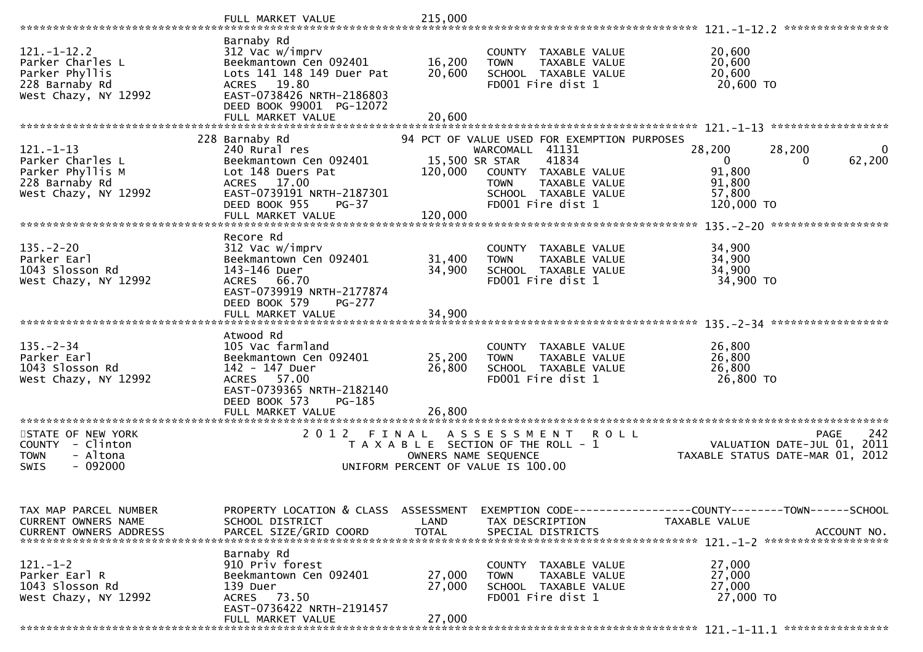|                                                                                                   | FULL MARKET VALUE                                                                                                                                                                     | 215,000                    |                                                                                                                                                                                                |                                                                                              |             |
|---------------------------------------------------------------------------------------------------|---------------------------------------------------------------------------------------------------------------------------------------------------------------------------------------|----------------------------|------------------------------------------------------------------------------------------------------------------------------------------------------------------------------------------------|----------------------------------------------------------------------------------------------|-------------|
|                                                                                                   |                                                                                                                                                                                       |                            |                                                                                                                                                                                                | ****************                                                                             |             |
| $121 - 1 - 12.2$<br>Parker Charles L<br>Parker Phyllis<br>228 Barnaby Rd<br>West Chazy, NY 12992  | Barnaby Rd<br>312 Vac w/imprv<br>Beekmantown Cen 092401<br>Lots 141 148 149 Duer Pat<br>ACRES 19.80<br>EAST-0738426 NRTH-2186803<br>DEED BOOK 99001 PG-12072<br>FULL MARKET VALUE     | 16,200<br>20,600<br>20,600 | COUNTY TAXABLE VALUE<br><b>TOWN</b><br>TAXABLE VALUE<br>SCHOOL TAXABLE VALUE<br>FD001 Fire dist 1                                                                                              | 20,600<br>20,600<br>20,600<br>20,600 TO                                                      |             |
|                                                                                                   |                                                                                                                                                                                       |                            |                                                                                                                                                                                                |                                                                                              |             |
| $121. - 1 - 13$<br>Parker Charles L<br>Parker Phyllis M<br>228 Barnaby Rd<br>West Chazy, NY 12992 | 228 Barnaby Rd<br>240 Rural res<br>Beekmantown Cen 092401<br>Lot 148 Duers Pat<br>17.00<br><b>ACRES</b><br>EAST-0739191 NRTH-2187301<br>DEED BOOK 955<br>$PG-37$<br>FULL MARKET VALUE | 120,000<br>120,000         | 94 PCT OF VALUE USED FOR EXEMPTION PURPOSES<br>WARCOMALL 41131<br>41834<br>15,500 SR STAR<br>COUNTY TAXABLE VALUE<br><b>TOWN</b><br>TAXABLE VALUE<br>SCHOOL TAXABLE VALUE<br>FD001 Fire dist 1 | 28,200<br>28,200<br>$\Omega$<br>0<br>91,800<br>91,800<br>57,800<br>120,000 TO                | 0<br>62,200 |
|                                                                                                   |                                                                                                                                                                                       |                            |                                                                                                                                                                                                | ******************                                                                           |             |
| $135. - 2 - 20$<br>Parker Earl<br>1043 Slosson Rd<br>West Chazy, NY 12992                         | Recore Rd<br>312 Vac w/imprv<br>Beekmantown Cen 092401<br>143-146 Duer<br>ACRES 66.70<br>EAST-0739919 NRTH-2177874<br>DEED BOOK 579<br>PG-277                                         | 31,400<br>34,900           | COUNTY TAXABLE VALUE<br><b>TAXABLE VALUE</b><br><b>TOWN</b><br>SCHOOL TAXABLE VALUE<br>FD001 Fire dist 1                                                                                       | 34,900<br>34,900<br>34,900<br>34,900 TO                                                      |             |
|                                                                                                   | FULL MARKET VALUE                                                                                                                                                                     | 34,900                     |                                                                                                                                                                                                |                                                                                              |             |
|                                                                                                   |                                                                                                                                                                                       |                            |                                                                                                                                                                                                |                                                                                              |             |
| $135. - 2 - 34$<br>Parker Earl<br>1043 Slosson Rd<br>West Chazy, NY 12992                         | Atwood Rd<br>105 Vac farmland<br>Beekmantown Cen 092401<br>142 - 147 Duer<br>57.00<br><b>ACRES</b><br>EAST-0739365 NRTH-2182140<br>DEED BOOK 573<br>PG-185<br>FULL MARKET VALUE       | 25,200<br>26,800<br>26,800 | COUNTY TAXABLE VALUE<br><b>TOWN</b><br><b>TAXABLE VALUE</b><br>SCHOOL TAXABLE VALUE<br>FD001 Fire dist 1                                                                                       | 26,800<br>26,800<br>26,800<br>26,800 TO                                                      |             |
|                                                                                                   |                                                                                                                                                                                       |                            |                                                                                                                                                                                                |                                                                                              |             |
| STATE OF NEW YORK<br>COUNTY - Clinton<br><b>TOWN</b><br>- Altona<br>$-092000$<br>SWIS             | 2012 FINAL                                                                                                                                                                            | OWNERS NAME SEQUENCE       | A S S E S S M E N T<br>ROLL<br>T A X A B L E SECTION OF THE ROLL - 1<br>UNIFORM PERCENT OF VALUE IS 100.00                                                                                     | <b>PAGE</b><br>VALUATION DATE-JUL 01, 2011<br>TAXABLE STATUS DATE-MAR 01, 2012               | 242         |
| TAX MAP PARCEL NUMBER<br>CURRENT OWNERS NAME<br><b>CURRENT OWNERS ADDRESS</b>                     | PROPERTY LOCATION & CLASS ASSESSMENT<br>SCHOOL DISTRICT<br>PARCEL SIZE/GRID COORD                                                                                                     | LAND<br><b>TOTAL</b>       | TAX DESCRIPTION<br>SPECIAL DISTRICTS                                                                                                                                                           | EXEMPTION CODE-----------------COUNTY--------TOWN-----SCHOOL<br>TAXABLE VALUE<br>ACCOUNT NO. |             |
| 121. –1–2<br>Parker Earl R<br>1043 Slosson Rd<br>West Chazy, NY 12992                             | Barnaby Rd<br>910 Priv forest<br>Beekmantown Cen 092401<br>139 Duer<br>ACRES 73.50<br>EAST-0736422 NRTH-2191457<br>FULL MARKET VALUE                                                  | 27,000<br>27,000<br>27,000 | COUNTY TAXABLE VALUE<br>TAXABLE VALUE<br><b>TOWN</b><br>SCHOOL TAXABLE VALUE<br>FD001 Fire dist 1                                                                                              | 27,000<br>27,000<br>27,000<br>27,000 TO                                                      |             |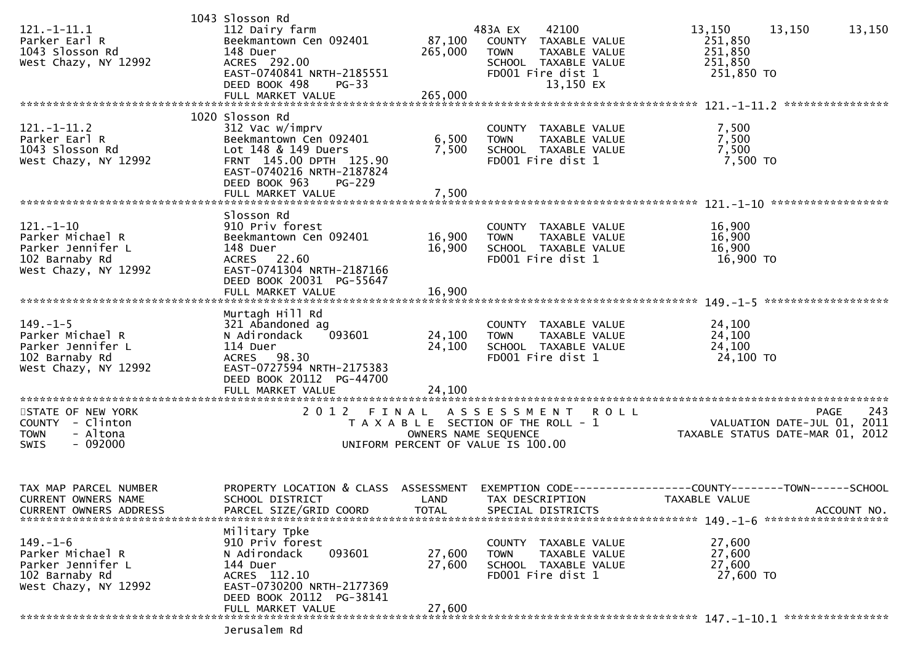|                         | 1043 Slosson Rd           |                                       |                     |                      |             |                                             |                    |
|-------------------------|---------------------------|---------------------------------------|---------------------|----------------------|-------------|---------------------------------------------|--------------------|
| $121.-1-11.1$           | 112 Dairy farm            |                                       | 483A EX             | 42100                |             | 13,150                                      | 13,150<br>13,150   |
| Parker Earl R           | Beekmantown Cen 092401    | 87,100                                |                     | COUNTY TAXABLE VALUE |             | 251,850                                     |                    |
| 1043 Slosson Rd         | 148 Duer                  | 265,000                               | <b>TOWN</b>         | TAXABLE VALUE        |             | 251,850                                     |                    |
| West Chazy, NY 12992    | ACRES 292.00              |                                       |                     | SCHOOL TAXABLE VALUE |             | 251,850                                     |                    |
|                         |                           |                                       |                     |                      |             |                                             |                    |
|                         | EAST-0740841 NRTH-2185551 |                                       |                     | FD001 Fire dist 1    |             | 251,850 TO                                  |                    |
|                         | DEED BOOK 498<br>$PG-33$  |                                       |                     | 13,150 EX            |             |                                             |                    |
|                         | FULL MARKET VALUE         | 265,000                               |                     |                      |             |                                             |                    |
|                         |                           |                                       |                     |                      |             |                                             |                    |
|                         | 1020 Slosson Rd           |                                       |                     |                      |             |                                             |                    |
| $121.-1-11.2$           | 312 Vac w/imprv           |                                       |                     | COUNTY TAXABLE VALUE |             | 7,500                                       |                    |
| Parker Earl R           | Beekmantown Cen 092401    | 6,500                                 | <b>TOWN</b>         | TAXABLE VALUE        |             | 7,500                                       |                    |
| 1043 Slosson Rd         | Lot 148 & 149 Duers       | 7,500                                 |                     | SCHOOL TAXABLE VALUE |             | 7,500                                       |                    |
| West Chazy, NY 12992    | FRNT 145.00 DPTH 125.90   |                                       |                     | FD001 Fire dist 1    |             | 7,500 TO                                    |                    |
|                         | EAST-0740216 NRTH-2187824 |                                       |                     |                      |             |                                             |                    |
|                         |                           |                                       |                     |                      |             |                                             |                    |
|                         | DEED BOOK 963<br>$PG-229$ |                                       |                     |                      |             |                                             |                    |
|                         | FULL MARKET VALUE         | 7,500                                 |                     |                      |             |                                             |                    |
|                         |                           |                                       |                     |                      |             |                                             |                    |
|                         | Slosson Rd                |                                       |                     |                      |             |                                             |                    |
| $121. - 1 - 10$         | 910 Priv forest           |                                       |                     | COUNTY TAXABLE VALUE |             | 16,900                                      |                    |
| Parker Michael R        | Beekmantown Cen 092401    | 16,900                                | <b>TOWN</b>         | TAXABLE VALUE        |             | 16,900                                      |                    |
| Parker Jennifer L       | 148 Duer                  | 16,900                                |                     | SCHOOL TAXABLE VALUE |             | 16,900                                      |                    |
| 102 Barnaby Rd          | ACRES 22.60               |                                       |                     | FD001 Fire dist 1    |             | 16,900 TO                                   |                    |
| West Chazy, NY 12992    | EAST-0741304 NRTH-2187166 |                                       |                     |                      |             |                                             |                    |
|                         | DEED BOOK 20031 PG-55647  |                                       |                     |                      |             |                                             |                    |
|                         |                           |                                       |                     |                      |             |                                             |                    |
|                         |                           |                                       |                     |                      |             |                                             |                    |
|                         |                           |                                       |                     |                      |             |                                             |                    |
|                         | Murtagh Hill Rd           |                                       |                     |                      |             |                                             |                    |
| $149. - 1 - 5$          | 321 Abandoned ag          |                                       |                     | COUNTY TAXABLE VALUE |             | 24,100                                      |                    |
| Parker Michael R        | N Adirondack<br>093601    | 24,100                                | <b>TOWN</b>         | TAXABLE VALUE        |             | 24,100                                      |                    |
| Parker Jennifer L       | 114 Duer                  | 24,100                                |                     | SCHOOL TAXABLE VALUE |             | 24,100                                      |                    |
| 102 Barnaby Rd          | ACRES 98.30               |                                       |                     | FD001 Fire dist 1    |             | 24,100 TO                                   |                    |
| West Chazy, NY 12992    | EAST-0727594 NRTH-2175383 |                                       |                     |                      |             |                                             |                    |
|                         | DEED BOOK 20112 PG-44700  |                                       |                     |                      |             |                                             |                    |
|                         |                           |                                       |                     |                      |             |                                             |                    |
|                         |                           |                                       |                     |                      |             |                                             |                    |
|                         |                           |                                       |                     |                      |             |                                             |                    |
| STATE OF NEW YORK       | 2012                      | FINAL                                 | A S S E S S M E N T |                      | <b>ROLL</b> |                                             | 243<br><b>PAGE</b> |
| COUNTY - Clinton        |                           | T A X A B L E SECTION OF THE ROLL - 1 |                     |                      |             | VALUATION DATE-JUL 01, 2011                 |                    |
| - Altona<br><b>TOWN</b> |                           | OWNERS NAME SEQUENCE                  |                     |                      |             | TAXABLE STATUS DATE-MAR 01, 2012            |                    |
| <b>SWIS</b><br>- 092000 |                           | UNIFORM PERCENT OF VALUE IS 100.00    |                     |                      |             |                                             |                    |
|                         |                           |                                       |                     |                      |             |                                             |                    |
|                         |                           |                                       |                     |                      |             |                                             |                    |
|                         |                           |                                       |                     |                      |             |                                             |                    |
| TAX MAP PARCEL NUMBER   | PROPERTY LOCATION & CLASS | ASSESSMENT                            | EXEMPTION CODE--    |                      |             | -------------COUNTY--------TOWN------SCHOOL |                    |
| CURRENT OWNERS NAME     | SCHOOL DISTRICT           | LAND                                  |                     | TAX DESCRIPTION      |             | TAXABLE VALUE                               |                    |
|                         |                           |                                       |                     |                      |             |                                             |                    |
| CURRENT OWNERS ADDRESS  | PARCEL SIZE/GRID COORD    | <b>TOTAL</b>                          |                     | SPECIAL DISTRICTS    |             |                                             | ACCOUNT NO.        |
|                         |                           |                                       |                     |                      |             |                                             |                    |
|                         | Military Tpke             |                                       |                     |                      |             |                                             |                    |
| $149. - 1 - 6$          | 910 Priv forest           |                                       |                     | COUNTY TAXABLE VALUE |             | 27,600                                      |                    |
| Parker Michael R        | 093601<br>N Adirondack    | 27,600                                | <b>TOWN</b>         | TAXABLE VALUE        |             | 27,600                                      |                    |
| Parker Jennifer L       | 144 Duer                  | 27,600                                |                     | SCHOOL TAXABLE VALUE |             | 27,600                                      |                    |
| 102 Barnaby Rd          | ACRES 112.10              |                                       |                     | FD001 Fire dist 1    |             | 27,600 TO                                   |                    |
| West Chazy, NY 12992    | EAST-0730200 NRTH-2177369 |                                       |                     |                      |             |                                             |                    |
|                         | DEED BOOK 20112 PG-38141  |                                       |                     |                      |             |                                             |                    |
|                         | FULL MARKET VALUE         | 27,600                                |                     |                      |             |                                             |                    |
|                         |                           |                                       |                     |                      |             |                                             |                    |
|                         |                           |                                       |                     |                      |             |                                             |                    |
|                         | Jerusalem Rd              |                                       |                     |                      |             |                                             |                    |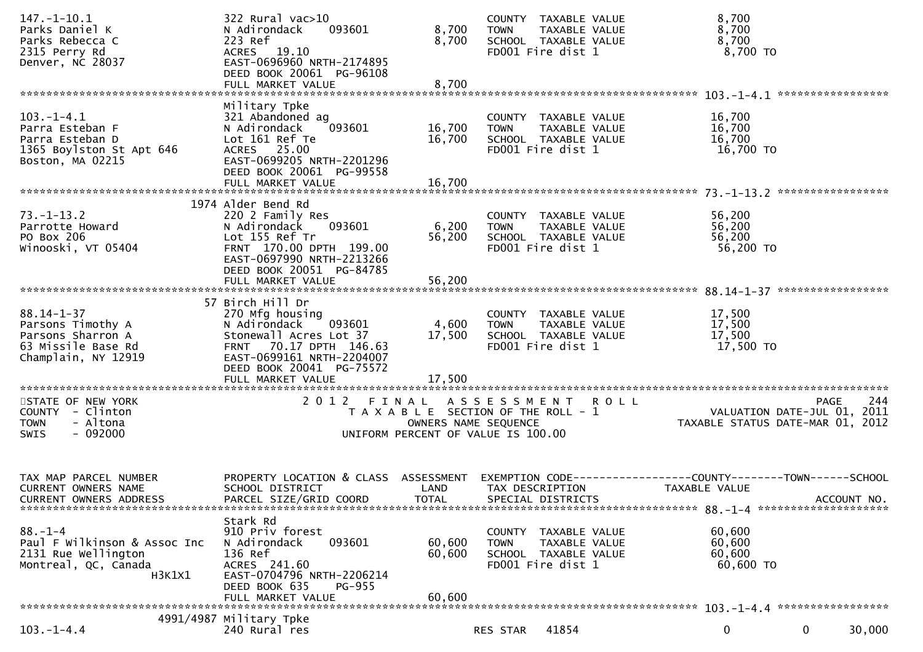| $147. - 1 - 10.1$<br>Parks Daniel K<br>Parks Rebecca C<br>2315 Perry Rd<br>Denver, NC 28037             | 322 Rural vac>10<br>093601<br>N Adirondack<br>223 Ref<br>ACRES 19.10<br>EAST-0696960 NRTH-2174895<br>DEED BOOK 20061 PG-96108                                              | 8,700<br>8,700                                                                                      | <b>TOWN</b>     | COUNTY TAXABLE VALUE<br>TAXABLE VALUE<br>SCHOOL TAXABLE VALUE<br>FD001 Fire dist 1 | 8,700<br>8,700<br>8,700<br>8,700 TO                                                  |                                                                                |
|---------------------------------------------------------------------------------------------------------|----------------------------------------------------------------------------------------------------------------------------------------------------------------------------|-----------------------------------------------------------------------------------------------------|-----------------|------------------------------------------------------------------------------------|--------------------------------------------------------------------------------------|--------------------------------------------------------------------------------|
|                                                                                                         |                                                                                                                                                                            |                                                                                                     |                 |                                                                                    |                                                                                      |                                                                                |
| $103.-1-4.1$<br>Parra Esteban F<br>Parra Esteban D<br>1365 Boylston St Apt 646<br>Boston, MA 02215      | Military Tpke<br>321 Abandoned ag<br>N Adirondack<br>093601<br>Lot 161 Ref Te<br>ACRES 25.00<br>EAST-0699205 NRTH-2201296<br>DEED BOOK 20061 PG-99558                      | 16,700<br>16,700                                                                                    | <b>TOWN</b>     | COUNTY TAXABLE VALUE<br>TAXABLE VALUE<br>SCHOOL TAXABLE VALUE<br>FD001 Fire dist 1 | 16,700<br>16,700<br>16,700<br>16,700 TO                                              |                                                                                |
|                                                                                                         | 1974 Alder Bend Rd                                                                                                                                                         |                                                                                                     |                 |                                                                                    |                                                                                      |                                                                                |
| $73. - 1 - 13.2$<br>Parrotte Howard<br>PO Box 206<br>Winooski, VT 05404                                 | 220 2 Family Res<br>N Adirondack<br>093601<br>Lot 155 Ref Tr<br>FRNT 170.00 DPTH 199.00<br>EAST-0697990 NRTH-2213266<br>DEED BOOK 20051 PG-84785                           | 6,200<br>56,200                                                                                     | <b>TOWN</b>     | COUNTY TAXABLE VALUE<br>TAXABLE VALUE<br>SCHOOL TAXABLE VALUE<br>FD001 Fire dist 1 | 56,200<br>56,200<br>56,200<br>56,200 TO                                              |                                                                                |
|                                                                                                         | FULL MARKET VALUE                                                                                                                                                          | 56,200                                                                                              |                 |                                                                                    |                                                                                      |                                                                                |
| $88.14 - 1 - 37$<br>Parsons Timothy A<br>Parsons Sharron A<br>63 Missile Base Rd<br>Champlain, NY 12919 | 57 Birch Hill Dr<br>270 Mfg housing<br>093601<br>N Adirondack<br>Stonewall Acres Lot 37<br>FRNT 70.17 DPTH 146.63<br>EAST-0699161 NRTH-2204007<br>DEED BOOK 20041 PG-75572 | 4,600<br>17,500                                                                                     | <b>TOWN</b>     | COUNTY TAXABLE VALUE<br>TAXABLE VALUE<br>SCHOOL TAXABLE VALUE<br>FD001 Fire dist 1 | 17,500<br>17,500<br>17,500<br>17,500 TO                                              |                                                                                |
|                                                                                                         | FULL MARKET VALUE                                                                                                                                                          | 17,500                                                                                              |                 |                                                                                    |                                                                                      |                                                                                |
| STATE OF NEW YORK<br>COUNTY - Clinton<br><b>TOWN</b><br>- Altona<br>$-092000$<br><b>SWIS</b>            | 2012 FINAL ASSESSMENT ROLL                                                                                                                                                 | T A X A B L E SECTION OF THE ROLL - 1<br>OWNERS NAME SEQUENCE<br>UNIFORM PERCENT OF VALUE IS 100.00 |                 |                                                                                    |                                                                                      | 244<br>PAGE<br>VALUATION DATE-JUL 01, 2011<br>TAXABLE STATUS DATE-MAR 01, 2012 |
| TAX MAP PARCEL NUMBER<br><b>CURRENT OWNERS NAME</b><br><b>CURRENT OWNERS ADDRESS</b>                    | PROPERTY LOCATION & CLASS ASSESSMENT<br>SCHOOL DISTRICT<br>PARCEL SIZE/GRID COORD                                                                                          | LAND<br><b>TOTAL</b>                                                                                | TAX DESCRIPTION | SPECIAL DISTRICTS                                                                  | EXEMPTION CODE-----------------COUNTY-------TOWN------SCHOOL<br><b>TAXABLE VALUE</b> | ACCOUNT NO.                                                                    |
| $88. - 1 - 4$<br>Paul F Wilkinson & Assoc Inc<br>2131 Rue Wellington<br>Montreal, QC, Canada<br>H3K1X1  | Stark Rd<br>910 Priv forest<br>093601<br>N Adirondack<br>136 Ref<br>ACRES 241.60<br>EAST-0704796 NRTH-2206214<br>DEED BOOK 635<br><b>PG-955</b><br>FULL MARKET VALUE       | 60,600<br>60,600<br>60,600                                                                          | <b>TOWN</b>     | COUNTY TAXABLE VALUE<br>TAXABLE VALUE<br>SCHOOL TAXABLE VALUE<br>FD001 Fire dist 1 | 60,600<br>60,600<br>60,600<br>60,600 TO                                              |                                                                                |
|                                                                                                         | 4991/4987 Military Tpke                                                                                                                                                    |                                                                                                     |                 |                                                                                    |                                                                                      |                                                                                |
| $103. - 1 - 4.4$                                                                                        | 240 Rural res                                                                                                                                                              |                                                                                                     | RES STAR        | 41854                                                                              | $\mathbf 0$                                                                          | $\mathbf{0}$<br>30,000                                                         |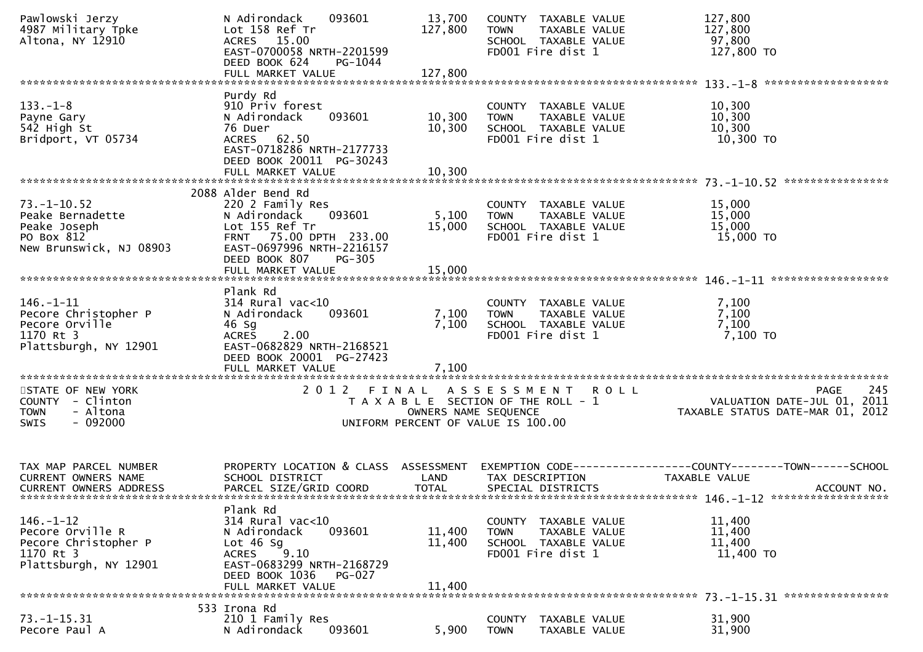| Pawlowski Jerzy<br>4987 Military Tpke<br>Altona, NY 12910                                         | N Adirondack<br>093601<br>Lot 158 Ref Tr<br>ACRES 15.00<br>EAST-0700058 NRTH-2201599<br>DEED BOOK 624<br>PG-1044<br>FULL MARKET VALUE                                                | 13,700<br>127,800<br>127,800 | COUNTY TAXABLE VALUE<br>TAXABLE VALUE<br><b>TOWN</b><br>SCHOOL TAXABLE VALUE<br>FD001 Fire dist 1  |             | 127,800<br>127,800<br>97,800<br>127,800 TO                                                              |
|---------------------------------------------------------------------------------------------------|--------------------------------------------------------------------------------------------------------------------------------------------------------------------------------------|------------------------------|----------------------------------------------------------------------------------------------------|-------------|---------------------------------------------------------------------------------------------------------|
|                                                                                                   |                                                                                                                                                                                      |                              |                                                                                                    |             |                                                                                                         |
| $133. - 1 - 8$<br>Payne Gary<br>542 High St<br>Bridport, VT 05734                                 | Purdy Rd<br>910 Priv forest<br>093601<br>N Adirondack<br>76 Duer<br><b>ACRES</b><br>62.50<br>EAST-0718286 NRTH-2177733<br>DEED BOOK 20011 PG-30243<br>FULL MARKET VALUE              | 10,300<br>10,300<br>10,300   | COUNTY TAXABLE VALUE<br><b>TOWN</b><br>TAXABLE VALUE<br>SCHOOL TAXABLE VALUE<br>FD001 Fire dist 1  |             | 10,300<br>10,300<br>10,300<br>10,300 TO                                                                 |
|                                                                                                   |                                                                                                                                                                                      |                              |                                                                                                    |             |                                                                                                         |
| $73. - 1 - 10.52$<br>Peake Bernadette<br>Peake Joseph<br>PO Box 812<br>New Brunswick, NJ 08903    | 2088 Alder Bend Rd<br>220 2 Family Res<br>N Adirondack<br>093601<br>Lot 155 Ref Tr<br>FRNT 75.00 DPTH 233.00<br>EAST-0697996 NRTH-2216157<br>DEED BOOK 807<br>PG-305                 | 5,100<br>15,000              | COUNTY TAXABLE VALUE<br><b>TOWN</b><br>TAXABLE VALUE<br>SCHOOL TAXABLE VALUE<br>FD001 Fire dist 1  |             | 15,000<br>15,000<br>15,000<br>15,000 TO                                                                 |
|                                                                                                   |                                                                                                                                                                                      |                              |                                                                                                    |             |                                                                                                         |
| $146. - 1 - 11$<br>Pecore Christopher P<br>Pecore Orville<br>1170 Rt 3<br>Plattsburgh, NY 12901   | Plank Rd<br>$314$ Rural vac<10<br>093601<br>N Adirondack<br>46 Sg<br><b>ACRES</b><br>2.00<br>EAST-0682829 NRTH-2168521<br>DEED BOOK 20001 PG-27423<br>FULL MARKET VALUE              | 7,100<br>7,100<br>7,100      | COUNTY TAXABLE VALUE<br><b>TOWN</b><br>TAXABLE VALUE<br>SCHOOL TAXABLE VALUE<br>FD001 Fire dist 1  |             | 7,100<br>7,100<br>7,100<br>7,100 то                                                                     |
| STATE OF NEW YORK<br>COUNTY - Clinton<br>- Altona<br><b>TOWN</b><br>$-092000$<br><b>SWIS</b>      | 2 0 1 2<br>FINAL                                                                                                                                                                     | OWNERS NAME SEQUENCE         | A S S E S S M E N T<br>T A X A B L E SECTION OF THE ROLL - 1<br>UNIFORM PERCENT OF VALUE IS 100.00 | <b>ROLL</b> | PAGE 245<br>VALUATION DATE-JUL 01, 2011<br>TAXARLE STATUS DATE :::-<br>TAXABLE STATUS DATE-MAR 01, 2012 |
| TAX MAP PARCEL NUMBER<br><b>CURRENT OWNERS NAME</b><br><b>CURRENT OWNERS ADDRESS</b>              | PROPERTY LOCATION & CLASS ASSESSMENT<br>SCHOOL DISTRICT<br>PARCEL SIZE/GRID COORD                                                                                                    | LAND<br><b>TOTAL</b>         | TAX DESCRIPTION<br>SPECIAL DISTRICTS                                                               |             | EXEMPTION CODE-----------------COUNTY-------TOWN------SCHOOL<br><b>TAXABLE VALUE</b><br>ACCOUNT NO.     |
| $146. - 1 - 12$<br>Pecore Orville R<br>Pecore Christopher P<br>1170 Rt 3<br>Plattsburgh, NY 12901 | Plank Rd<br>$314$ Rural vac<10<br>N Adirondack<br>093601<br>Lot $46$ Sg<br>9.10<br><b>ACRES</b><br>EAST-0683299 NRTH-2168729<br>DEED BOOK 1036<br><b>PG-027</b><br>FULL MARKET VALUE | 11,400<br>11,400<br>11,400   | COUNTY TAXABLE VALUE<br><b>TOWN</b><br>TAXABLE VALUE<br>SCHOOL TAXABLE VALUE<br>FD001 Fire dist 1  |             | 11,400<br>11,400<br>11,400<br>11,400 TO                                                                 |
|                                                                                                   | 533 Irona Rd                                                                                                                                                                         |                              |                                                                                                    |             |                                                                                                         |
| 73. –1–15.31<br>Pecore Paul A                                                                     | 210 1 Family Res<br>N Adirondack<br>093601                                                                                                                                           | 5,900                        | TAXABLE VALUE<br>COUNTY<br><b>TOWN</b><br>TAXABLE VALUE                                            |             | 31,900<br>31,900                                                                                        |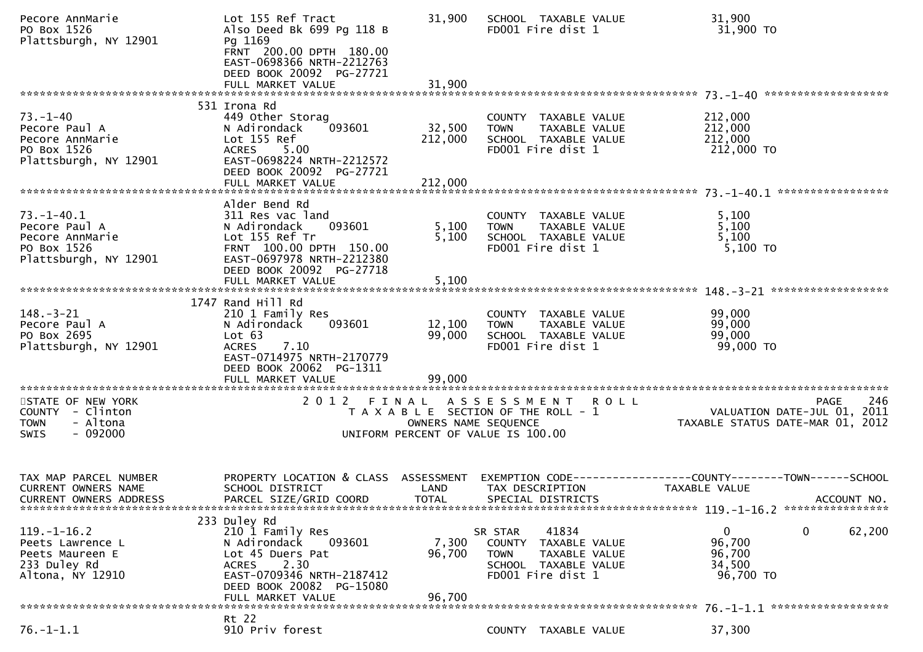| Pecore AnnMarie<br>PO Box 1526<br>Plattsburgh, NY 12901                                      | Lot 155 Ref Tract<br>Also Deed Bk 699 Pg 118 B<br>Pg 1169<br>FRNT 200.00 DPTH 180.00<br>EAST-0698366 NRTH-2212763<br>DEED BOOK 20092 PG-27721                        | 31,900                         | SCHOOL TAXABLE VALUE<br>FD001 Fire dist 1                                                                      | 31,900<br>31,900 TO                                                                   |
|----------------------------------------------------------------------------------------------|----------------------------------------------------------------------------------------------------------------------------------------------------------------------|--------------------------------|----------------------------------------------------------------------------------------------------------------|---------------------------------------------------------------------------------------|
|                                                                                              |                                                                                                                                                                      |                                |                                                                                                                |                                                                                       |
| $73. - 1 - 40$<br>Pecore Paul A<br>Pecore AnnMarie<br>PO Box 1526<br>Plattsburgh, NY 12901   | 531 Irona Rd<br>449 Other Storag<br>093601<br>N Adirondack<br>Lot 155 Ref<br>ACRES 5.00<br>EAST-0698224 NRTH-2212572<br>DEED BOOK 20092 PG-27721                     | 32,500<br>212,000              | COUNTY TAXABLE VALUE<br><b>TOWN</b><br>TAXABLE VALUE<br>SCHOOL TAXABLE VALUE<br>FD001 Fire dist 1              | 212,000<br>212,000<br>212,000<br>212,000 TO                                           |
|                                                                                              | Alder Bend Rd                                                                                                                                                        |                                |                                                                                                                |                                                                                       |
| $73. - 1 - 40.1$<br>Pecore Paul A<br>Pecore AnnMarie<br>PO Box 1526<br>Plattsburgh, NY 12901 | 311 Res vac land<br>N Adirondack<br>093601<br>Lot 155 Ref Tr<br>FRNT 100.00 DPTH 150.00<br>EAST-0697978 NRTH-2212380<br>DEED BOOK 20092 PG-27718                     | 5,100<br>5,100                 | COUNTY TAXABLE VALUE<br>TAXABLE VALUE<br><b>TOWN</b><br>SCHOOL TAXABLE VALUE<br>FD001 Fire dist 1              | 5,100<br>5,100<br>5,100<br>5,100 TO                                                   |
|                                                                                              |                                                                                                                                                                      |                                |                                                                                                                |                                                                                       |
| $148. - 3 - 21$<br>Pecore Paul A<br>PO Box 2695<br>Plattsburgh, NY 12901                     | 1747 Rand Hill Rd<br>210 1 Family Res<br>N Adirondack<br>093601<br>Lot 63<br>7.10<br><b>ACRES</b><br>EAST-0714975 NRTH-2170779<br>DEED BOOK 20062 PG-1311            | 12,100<br>99,000               | COUNTY TAXABLE VALUE<br>TAXABLE VALUE<br><b>TOWN</b><br>SCHOOL TAXABLE VALUE<br>FD001 Fire dist 1              | 99,000<br>99,000<br>99,000<br>99,000 TO                                               |
| STATE OF NEW YORK<br>COUNTY - Clinton<br>- Altona<br><b>TOWN</b><br>$-092000$<br><b>SWIS</b> | FULL MARKET VALUE<br>2012 FINAL                                                                                                                                      | 99,000<br>OWNERS NAME SEQUENCE | A S S E S S M E N T R O L L<br>T A X A B L E SECTION OF THE ROLL - 1<br>UNIFORM PERCENT OF VALUE IS 100.00     | 246<br><b>PAGE</b><br>VALUATION DATE-JUL 01, 2011<br>TAXABLE STATUS DATE-MAR 01, 2012 |
|                                                                                              |                                                                                                                                                                      |                                |                                                                                                                |                                                                                       |
| TAX MAP PARCEL NUMBER<br><b>CURRENT OWNERS NAME</b><br>CURRENT OWNERS ADDRESS                | PROPERTY LOCATION & CLASS ASSESSMENT<br>SCHOOL DISTRICT<br>PARCEL SIZE/GRID COORD                                                                                    | LAND<br><b>TOTAL</b>           | TAX DESCRIPTION<br>SPECIAL DISTRICTS                                                                           | TAXABLE VALUE<br>ACCOUNT NO.                                                          |
|                                                                                              | 233 Duley Rd                                                                                                                                                         |                                |                                                                                                                |                                                                                       |
| $119. - 1 - 16.2$<br>Peets Lawrence L<br>Peets Maureen E<br>233 Duley Rd<br>Altona, NY 12910 | 210 1 Family Res<br>N Adirondack<br>093601<br>Lot 45 Duers Pat<br>2.30<br><b>ACRES</b><br>EAST-0709346 NRTH-2187412<br>DEED BOOK 20082 PG-15080<br>FULL MARKET VALUE | 7,300<br>96,700<br>96,700      | 41834<br>SR STAR<br>COUNTY TAXABLE VALUE<br>TAXABLE VALUE<br>TOWN<br>SCHOOL TAXABLE VALUE<br>FD001 Fire dist 1 | $\mathbf 0$<br>0<br>62,200<br>96,700<br>96,700<br>34,500<br>96,700 TO                 |
|                                                                                              | Rt 22                                                                                                                                                                |                                |                                                                                                                |                                                                                       |
| $76. - 1 - 1.1$                                                                              | 910 Priv forest                                                                                                                                                      |                                | COUNTY TAXABLE VALUE                                                                                           | 37,300                                                                                |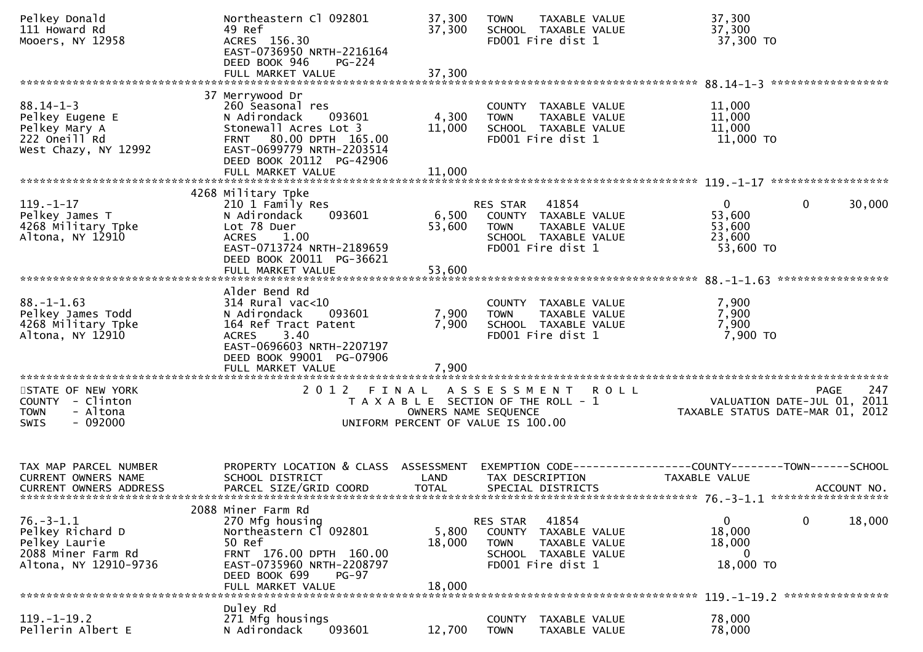| Pelkey Donald<br>111 Howard Rd<br>Mooers, NY 12958                                                  | Northeastern Cl 092801<br>49 Ref<br>ACRES 156.30<br>EAST-0736950 NRTH-2216164<br>DEED BOOK 946<br><b>PG-224</b><br>FULL MARKET VALUE                                                           | 37,300<br>37,300<br>37,300                                                                          | <b>TOWN</b>                       | TAXABLE VALUE<br>SCHOOL TAXABLE VALUE<br>FD001 Fire dist 1                                  | 37,300<br>37,300<br>37,300 TO                                                   |                |             |
|-----------------------------------------------------------------------------------------------------|------------------------------------------------------------------------------------------------------------------------------------------------------------------------------------------------|-----------------------------------------------------------------------------------------------------|-----------------------------------|---------------------------------------------------------------------------------------------|---------------------------------------------------------------------------------|----------------|-------------|
|                                                                                                     |                                                                                                                                                                                                |                                                                                                     |                                   |                                                                                             |                                                                                 |                |             |
| $88.14 - 1 - 3$<br>Pelkey Eugene E<br>Pelkey Mary A<br>222 Oneill Rd<br>West Chazy, NY 12992        | 37 Merrywood Dr<br>260 Seasonal res<br>N Adirondack<br>093601<br>Stonewall Acres Lot 3<br>FRNT 80.00 DPTH 165.00<br>EAST-0699779 NRTH-2203514<br>DEED BOOK 20112 PG-42906<br>FULL MARKET VALUE | 4,300<br>11,000<br>11,000                                                                           | <b>TOWN</b>                       | COUNTY TAXABLE VALUE<br>TAXABLE VALUE<br>SCHOOL TAXABLE VALUE<br>FD001 Fire dist 1          | 11,000<br>11,000<br>11,000<br>11,000 TO                                         |                |             |
|                                                                                                     |                                                                                                                                                                                                |                                                                                                     |                                   |                                                                                             |                                                                                 |                |             |
| $119. - 1 - 17$<br>Pelkey James T<br>4268 Military Tpke<br>Altona, NY 12910                         | 4268 Military Tpke<br>210 1 Family Res<br>093601<br>N Adirondack<br>Lot 78 Duer<br><b>ACRES</b><br>1.00<br>EAST-0713724 NRTH-2189659<br>DEED BOOK 20011 PG-36621<br>FULL MARKET VALUE          | 6,500<br>53,600<br>53,600                                                                           | RES STAR<br><b>TOWN</b>           | 41854<br>COUNTY TAXABLE VALUE<br>TAXABLE VALUE<br>SCHOOL TAXABLE VALUE<br>FD001 Fire dist 1 | $\overline{0}$<br>53,600<br>53,600<br>23,600<br>53,600 TO                       | $\overline{0}$ | 30,000      |
|                                                                                                     |                                                                                                                                                                                                |                                                                                                     |                                   |                                                                                             |                                                                                 |                |             |
| $88. - 1 - 1.63$<br>Pelkey James Todd<br>4268 Military Tpke<br>Altona, NY 12910                     | Alder Bend Rd<br>314 Rural vac<10<br>093601<br>N Adirondack<br>164 Ref Tract Patent<br>3.40<br><b>ACRES</b><br>EAST-0696603 NRTH-2207197<br>DEED BOOK 99001 PG-07906<br>FULL MARKET VALUE      | 7,900<br>7,900<br>7,900                                                                             | <b>TOWN</b>                       | COUNTY TAXABLE VALUE<br>TAXABLE VALUE<br>SCHOOL TAXABLE VALUE<br>FD001 Fire dist 1          | 7,900<br>7,900<br>7,900<br>7,900 то                                             |                |             |
|                                                                                                     |                                                                                                                                                                                                |                                                                                                     |                                   |                                                                                             |                                                                                 |                |             |
| STATE OF NEW YORK<br>COUNTY - Clinton<br>- Altona<br><b>TOWN</b><br>$-092000$<br><b>SWIS</b>        | 2 0 1 2<br>FINAL                                                                                                                                                                               | T A X A B L E SECTION OF THE ROLL - 1<br>OWNERS NAME SEQUENCE<br>UNIFORM PERCENT OF VALUE IS 100.00 | ASSESSMENT ROLL                   |                                                                                             | VALUATION DATE-JUL 01, 2011<br>TAXABLE STATUS DATE-MAR 01, 2012                 | <b>PAGE</b>    | 247         |
| TAX MAP PARCEL NUMBER<br>CURRENT OWNERS NAME<br><b>CURRENT OWNERS ADDRESS</b>                       | PROPERTY LOCATION & CLASS ASSESSMENT<br>SCHOOL DISTRICT<br>PARCEL SIZE/GRID COORD                                                                                                              | LAND<br><b>TOTAL</b>                                                                                |                                   | TAX DESCRIPTION<br>SPECIAL DISTRICTS                                                        | EXEMPTION CODE------------------COUNTY--------TOWN------SCHOOL<br>TAXABLE VALUE |                | ACCOUNT NO. |
|                                                                                                     | 2088 Miner Farm Rd                                                                                                                                                                             |                                                                                                     |                                   |                                                                                             |                                                                                 |                |             |
| $76. - 3 - 1.1$<br>Pelkey Richard D<br>Pelkey Laurie<br>2088 Miner Farm Rd<br>Altona, NY 12910-9736 | 270 Mfg housing<br>Northeastern Cl 092801<br>50 Ref<br>FRNT 176.00 DPTH 160.00<br>EAST-0735960 NRTH-2208797<br>DEED BOOK 699<br><b>PG-97</b>                                                   | 5,800<br>18,000<br>18,000                                                                           | RES STAR<br>COUNTY<br><b>TOWN</b> | 41854<br>TAXABLE VALUE<br>TAXABLE VALUE<br>SCHOOL TAXABLE VALUE<br>FD001 Fire dist 1        | 0<br>18,000<br>18,000<br>$\mathbf{0}$<br>18,000 TO                              | $\mathbf 0$    | 18,000      |
|                                                                                                     | FULL MARKET VALUE                                                                                                                                                                              |                                                                                                     |                                   |                                                                                             | 119. -1-19.2 *****************                                                  |                |             |
| $119. - 1 - 19.2$<br>Pellerin Albert E                                                              | Duley Rd<br>271 Mfg housings<br>N Adirondack<br>093601                                                                                                                                         | 12,700                                                                                              | <b>COUNTY</b><br><b>TOWN</b>      | TAXABLE VALUE<br>TAXABLE VALUE                                                              | 78,000<br>78,000                                                                |                |             |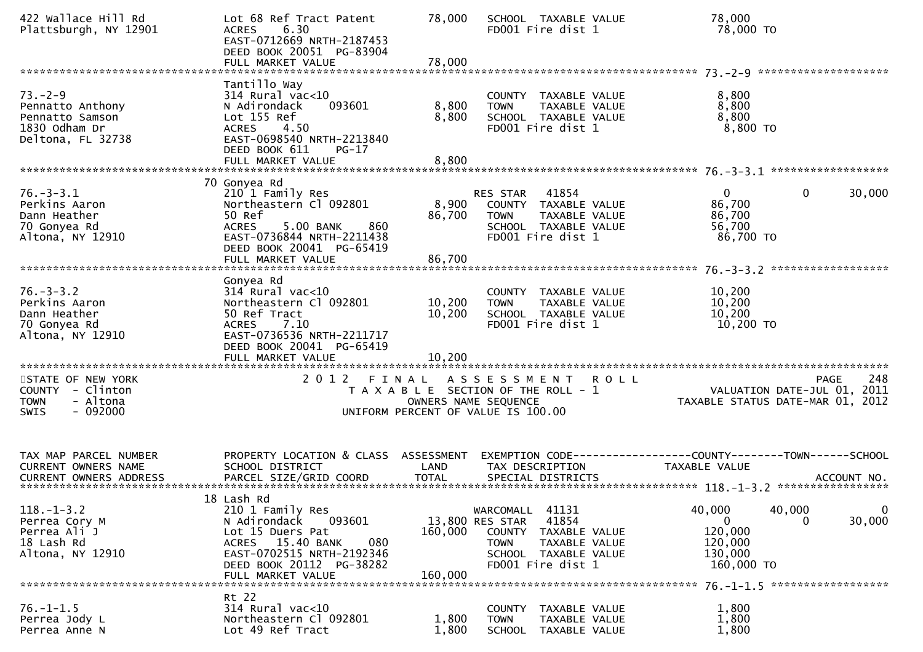| 422 Wallace Hill Rd<br>Plattsburgh, NY 12901                                                                     | Lot 68 Ref Tract Patent<br><b>ACRES</b><br>6.30<br>EAST-0712669 NRTH-2187453<br>DEED BOOK 20051 PG-83904<br>FULL MARKET VALUE                                                         | 78,000<br>78,000              | SCHOOL TAXABLE VALUE<br>FD001 Fire dist 1                                                                                                           | 78,000<br>78,000 TO                                                                                       |
|------------------------------------------------------------------------------------------------------------------|---------------------------------------------------------------------------------------------------------------------------------------------------------------------------------------|-------------------------------|-----------------------------------------------------------------------------------------------------------------------------------------------------|-----------------------------------------------------------------------------------------------------------|
|                                                                                                                  | Tantillo Way                                                                                                                                                                          |                               |                                                                                                                                                     |                                                                                                           |
| $73. - 2 - 9$<br>Pennatto Anthony<br>Pennatto Samson<br>1830 Odham Dr<br>Deltona, FL 32738                       | $314$ Rural vac<10<br>093601<br>N Adirondack<br>Lot 155 Ref<br>4.50<br><b>ACRES</b><br>EAST-0698540 NRTH-2213840<br>DEED BOOK 611<br>$PG-17$                                          | 8,800<br>8,800                | COUNTY TAXABLE VALUE<br><b>TOWN</b><br>TAXABLE VALUE<br>SCHOOL TAXABLE VALUE<br>FD001 Fire dist 1                                                   | 8,800<br>8,800<br>8,800<br>8,800 TO                                                                       |
|                                                                                                                  |                                                                                                                                                                                       |                               |                                                                                                                                                     |                                                                                                           |
| $76. - 3 - 3.1$<br>Perkins Aaron<br>Dann Heather<br>70 Gonyea Rd<br>Altona, NY 12910                             | 70 Gonyea Rd<br>210 1 Family Res<br>Northeastern Cl 092801<br>50 Ref<br>5.00 BANK<br>860<br><b>ACRES</b><br>EAST-0736844 NRTH-2211438<br>DEED BOOK 20041 PG-65419                     | 8,900<br>86,700               | RES STAR<br>41854<br>COUNTY TAXABLE VALUE<br>TAXABLE VALUE<br><b>TOWN</b><br>SCHOOL TAXABLE VALUE<br>FD001 Fire dist 1                              | $\Omega$<br>$\mathbf 0$<br>30,000<br>86,700<br>86,700<br>56,700<br>86,700 TO                              |
|                                                                                                                  | FULL MARKET VALUE                                                                                                                                                                     | 86,700                        |                                                                                                                                                     |                                                                                                           |
| $76. - 3 - 3.2$<br>Perkins Aaron<br>Dann Heather<br>70 Gonyea Rd<br>Altona, NY 12910<br>************************ | Gonyea Rd<br>$314$ Rural vac<10<br>Northeastern Cl 092801<br>50 Ref Tract<br>7.10<br><b>ACRES</b><br>EAST-0736536 NRTH-2211717<br>DEED BOOK 20041 PG-65419                            | 10,200<br>10,200              | COUNTY TAXABLE VALUE<br>TAXABLE VALUE<br><b>TOWN</b><br>SCHOOL TAXABLE VALUE<br>FD001 Fire dist 1                                                   | 10,200<br>10,200<br>10,200<br>10,200 TO                                                                   |
| STATE OF NEW YORK<br>COUNTY - Clinton<br>- Altona<br>TOWN<br>$-092000$<br><b>SWIS</b>                            | 2 0 1 2                                                                                                                                                                               | FINAL<br>OWNERS NAME SEQUENCE | A S S E S S M E N T<br>T A X A B L E SECTION OF THE ROLL - 1<br>UNIFORM PERCENT OF VALUE IS 100.00                                                  | 248<br><b>ROLL</b><br><b>PAGE</b><br>VALUATION DATE-JUL 01,<br>2011<br>TAXABLE STATUS DATE-MAR 01, 2012   |
| TAX MAP PARCEL NUMBER<br><b>CURRENT OWNERS NAME</b>                                                              | PROPERTY LOCATION & CLASS ASSESSMENT<br>SCHOOL DISTRICT                                                                                                                               | LAND                          | TAX DESCRIPTION                                                                                                                                     | EXEMPTION CODE-----------------COUNTY--------TOWN------SCHOOL<br>TAXABLE VALUE                            |
| $118. - 1 - 3.2$<br>Perrea Cory M<br>Perrea Ali J<br>18 Lash Rd<br>Altona, NY 12910                              | 18 Lash Rd<br>210 1 Family Res<br>N Adirondack<br>093601<br>Lot 15 Duers Pat<br>ACRES 15.40 BANK<br>080<br>EAST-0702515 NRTH-2192346<br>DEED BOOK 20112 PG-38282<br>FULL MARKET VALUE | 160,000<br>160,000            | 41131<br>WARCOMALL<br>41854<br>13,800 RES STAR<br>COUNTY TAXABLE VALUE<br><b>TOWN</b><br>TAXABLE VALUE<br>SCHOOL TAXABLE VALUE<br>FD001 Fire dist 1 | 40,000<br>40,000<br>$\mathbf 0$<br>30,000<br>0<br>$\Omega$<br>120,000<br>120,000<br>130,000<br>160,000 TO |
|                                                                                                                  | Rt 22                                                                                                                                                                                 |                               |                                                                                                                                                     |                                                                                                           |
| $76. - 1 - 1.5$<br>Perrea Jody L<br>Perrea Anne N                                                                | $314$ Rural vac<10<br>Northeastern Cl 092801<br>Lot 49 Ref Tract                                                                                                                      | 1,800<br>1,800                | COUNTY TAXABLE VALUE<br><b>TOWN</b><br>TAXABLE VALUE<br>SCHOOL TAXABLE VALUE                                                                        | 1,800<br>1,800<br>1,800                                                                                   |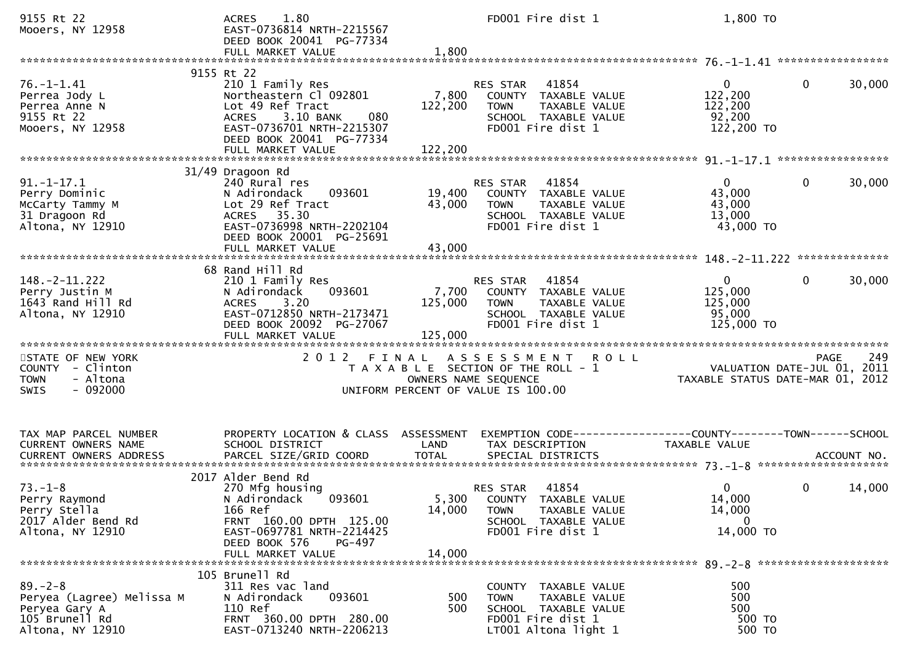| 9155 Rt 22<br>Mooers, NY 12958                                                                   | 1.80<br><b>ACRES</b><br>EAST-0736814 NRTH-2215567<br>DEED BOOK 20041 PG-77334<br>FULL MARKET VALUE                                                                                             | 1,800                       | FD001 Fire dist 1                                                                                                            | 1,800 TO                                                                             |                        |
|--------------------------------------------------------------------------------------------------|------------------------------------------------------------------------------------------------------------------------------------------------------------------------------------------------|-----------------------------|------------------------------------------------------------------------------------------------------------------------------|--------------------------------------------------------------------------------------|------------------------|
|                                                                                                  |                                                                                                                                                                                                |                             |                                                                                                                              |                                                                                      |                        |
| $76. - 1 - 1.41$<br>Perrea Jody L<br>Perrea Anne N<br>9155 Rt 22<br>Mooers, NY 12958             | 9155 Rt 22<br>210 1 Family Res<br>Northeastern Cl 092801<br>Lot 49 Ref Tract<br>3.10 BANK<br>080<br><b>ACRES</b><br>EAST-0736701 NRTH-2215307<br>DEED BOOK 20041 PG-77334<br>FULL MARKET VALUE | 7,800<br>122,200<br>122,200 | RES STAR<br>41854<br>COUNTY TAXABLE VALUE<br><b>TOWN</b><br>TAXABLE VALUE<br>SCHOOL TAXABLE VALUE<br>FD001 Fire dist 1       | $\overline{0}$<br>122,200<br>122,200<br>92,200<br>122,200 TO                         | $\mathbf{0}$<br>30,000 |
|                                                                                                  |                                                                                                                                                                                                |                             |                                                                                                                              |                                                                                      |                        |
| $91. - 1 - 17.1$<br>Perry Dominic<br>McCarty Tammy M<br>31 Dragoon Rd<br>Altona, NY 12910        | 31/49 Dragoon Rd<br>240 Rural res<br>093601<br>N Adirondack<br>Lot 29 Ref Tract<br>ACRES 35.30<br>EAST-0736998 NRTH-2202104<br>DEED BOOK 20001 PG-25691<br>FULL MARKET VALUE                   | 19,400<br>43,000<br>43,000  | 41854<br>RES STAR<br>COUNTY TAXABLE VALUE<br>TAXABLE VALUE<br><b>TOWN</b><br>SCHOOL TAXABLE VALUE<br>FD001 Fire dist 1       | $\Omega$<br>43,000<br>43,000<br>13,000<br>43,000 TO                                  | $\mathbf 0$<br>30,000  |
|                                                                                                  |                                                                                                                                                                                                |                             |                                                                                                                              |                                                                                      |                        |
| $148. -2 - 11.222$<br>Perry Justin M<br>1643 Rand Hill Rd<br>Altona, NY 12910                    | 68 Rand Hill Rd<br>210 1 Family Res<br>N Adirondack<br>093601<br>3.20<br><b>ACRES</b><br>EAST-0712850 NRTH-2173471<br>DEED BOOK 20092 PG-27067<br>FULL MARKET VALUE                            | 7,700<br>125,000<br>125,000 | 41854<br>RES STAR<br>COUNTY TAXABLE VALUE<br>TAXABLE VALUE<br><b>TOWN</b><br>SCHOOL TAXABLE VALUE<br>FD001 Fire dist 1       | $\mathbf{0}$<br>125,000<br>125,000<br>95,000<br>125,000 TO                           | $\mathbf{0}$<br>30,000 |
| STATE OF NEW YORK<br>COUNTY - Clinton<br><b>TOWN</b><br>- Altona<br>$-092000$<br><b>SWIS</b>     | 2012 FINAL                                                                                                                                                                                     | OWNERS NAME SEQUENCE        | <b>ROLL</b><br>A S S E S S M E N T<br>T A X A B L E SECTION OF THE ROLL - 1<br>UNIFORM PERCENT OF VALUE IS 100.00            | VALUATION DATE-JUL 01, 2011<br>TAXABLE STATUS DATE-MAR 01, 2012                      | 249<br>PAGE            |
| TAX MAP PARCEL NUMBER<br>CURRENT OWNERS NAME                                                     | PROPERTY LOCATION & CLASS ASSESSMENT<br>SCHOOL DISTRICT                                                                                                                                        | LAND                        | TAX DESCRIPTION                                                                                                              | EXEMPTION CODE-----------------COUNTY-------TOWN------SCHOOL<br><b>TAXABLE VALUE</b> |                        |
| $73. - 1 - 8$<br>Perry Raymond<br>Perry Stella<br>2017 Alder Bend Rd<br>Altona, NY 12910         | 2017 Alder Bend Rd<br>270 Mfg housing<br>093601<br>N Adirondack<br>166 Ref<br>FRNT 160.00 DPTH 125.00<br>EAST-0697781 NRTH-2214425<br>DEED BOOK 576<br>PG-497                                  | 14,000                      | 41854<br>RES STAR<br>5,300 COUNTY TAXABLE VALUE<br>TAXABLE VALUE<br><b>TOWN</b><br>SCHOOL TAXABLE VALUE<br>FD001 Fire dist 1 | $\mathbf{0}$<br>14,000<br>14,000<br>$\mathbf{0}$<br>14,000 TO                        | $\mathbf 0$<br>14,000  |
|                                                                                                  | FULL MARKET VALUE                                                                                                                                                                              | 14,000                      |                                                                                                                              |                                                                                      |                        |
| $89 - 2 - 8$<br>Peryea (Lagree) Melissa M<br>Peryea Gary A<br>105 Brunell Rd<br>Altona, NY 12910 | 105 Brunell Rd<br>311 Res vac land<br>093601<br>N Adirondack<br>110 Ref<br>FRNT 360.00 DPTH 280.00<br>EAST-0713240 NRTH-2206213                                                                | 500<br>500                  | COUNTY TAXABLE VALUE<br>TAXABLE VALUE<br><b>TOWN</b><br>SCHOOL TAXABLE VALUE<br>FD001 Fire dist 1<br>LT001 Altona light 1    | 500<br>500<br>500<br>500 TO<br>500 TO                                                |                        |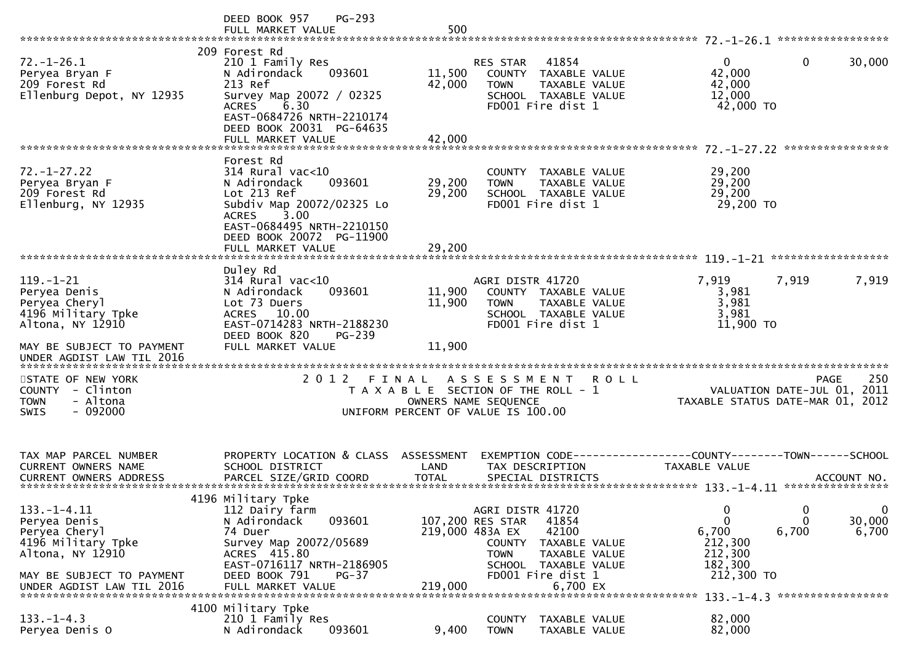|                                                                                                                                                        | PG-293<br>DEED BOOK 957<br>FULL MARKET VALUE                                                                                                                                                             | 500                        |                                                                                                                                                                            |                                                                                         |                                                                                            |
|--------------------------------------------------------------------------------------------------------------------------------------------------------|----------------------------------------------------------------------------------------------------------------------------------------------------------------------------------------------------------|----------------------------|----------------------------------------------------------------------------------------------------------------------------------------------------------------------------|-----------------------------------------------------------------------------------------|--------------------------------------------------------------------------------------------|
|                                                                                                                                                        |                                                                                                                                                                                                          |                            |                                                                                                                                                                            |                                                                                         |                                                                                            |
| $72. - 1 - 26.1$<br>Peryea Bryan F<br>209 Forest Rd<br>Ellenburg Depot, NY 12935                                                                       | 209 Forest Rd<br>210 1 Family Res<br>N Adirondack<br>093601<br>213 Ref<br>Survey Map 20072 / 02325<br>6.30<br><b>ACRES</b><br>EAST-0684726 NRTH-2210174<br>DEED BOOK 20031 PG-64635<br>FULL MARKET VALUE | 11,500<br>42,000<br>42,000 | 41854<br><b>RES STAR</b><br>COUNTY TAXABLE VALUE<br>TAXABLE VALUE<br><b>TOWN</b><br>SCHOOL TAXABLE VALUE<br>FD001 Fire dist 1                                              | $\Omega$<br>42,000<br>42,000<br>12,000<br>42,000 TO                                     | 0<br>30,000                                                                                |
|                                                                                                                                                        |                                                                                                                                                                                                          |                            |                                                                                                                                                                            |                                                                                         |                                                                                            |
| $72. - 1 - 27.22$<br>Peryea Bryan F<br>209 Forest Rd<br>Ellenburg, NY 12935                                                                            | Forest Rd<br>$314$ Rural vac< $10$<br>N Adirondack<br>093601<br>Lot 213 Ref<br>Subdiv Map 20072/02325 Lo<br>3.00<br><b>ACRES</b><br>EAST-0684495 NRTH-2210150<br>DEED BOOK 20072 PG-11900                | 29,200<br>29,200<br>29,200 | COUNTY TAXABLE VALUE<br>TAXABLE VALUE<br><b>TOWN</b><br>SCHOOL TAXABLE VALUE<br>FD001 Fire dist 1                                                                          | 29,200<br>29,200<br>29,200<br>29,200 TO                                                 |                                                                                            |
|                                                                                                                                                        | FULL MARKET VALUE                                                                                                                                                                                        |                            |                                                                                                                                                                            |                                                                                         |                                                                                            |
| $119. - 1 - 21$<br>Peryea Denis<br>Peryea Cheryl<br>4196 Military Tpke<br>Altona, NY 12910                                                             | Duley Rd<br>$314$ Rural vac<10<br>N Adirondack<br>093601<br>Lot 73 Duers<br><b>ACRES</b><br>10.00<br>EAST-0714283 NRTH-2188230<br>DEED BOOK 820<br>$PG-239$                                              | 11,900<br>11,900           | AGRI DISTR 41720<br>COUNTY TAXABLE VALUE<br>TAXABLE VALUE<br><b>TOWN</b><br>SCHOOL TAXABLE VALUE<br>FD001 Fire dist 1                                                      | 7,919<br>3,981<br>3,981<br>3,981<br>$11,900$ TO                                         | 7,919<br>7,919                                                                             |
| MAY BE SUBJECT TO PAYMENT<br>UNDER AGDIST LAW TIL 2016<br>*****************************                                                                | FULL MARKET VALUE                                                                                                                                                                                        | 11,900                     |                                                                                                                                                                            |                                                                                         |                                                                                            |
| STATE OF NEW YORK<br>COUNTY - Clinton<br>- Altona<br><b>TOWN</b><br>$-092000$<br><b>SWIS</b>                                                           | 2012 FINAL                                                                                                                                                                                               | OWNERS NAME SEQUENCE       | ASSESSMENT ROLL<br>T A X A B L E SECTION OF THE ROLL - 1<br>UNIFORM PERCENT OF VALUE IS 100.00                                                                             |                                                                                         | 250<br><b>PAGE</b><br>2011<br>VALUATION DATE-JUL 01,<br>TAXABLE STATUS DATE-MAR 01, 2012   |
| TAX MAP PARCEL NUMBER<br><b>CURRENT OWNERS NAME</b>                                                                                                    | PROPERTY LOCATION & CLASS ASSESSMENT<br>SCHOOL DISTRICT                                                                                                                                                  | LAND                       | TAX DESCRIPTION                                                                                                                                                            | EXEMPTION CODE-----------------COUNTY-------TOWN------SCHOOL<br><b>TAXABLE VALUE</b>    |                                                                                            |
| $133. - 1 - 4.11$<br>Peryea Denis<br>Peryea Cheryl<br>4196 Military Tpke<br>Altona, NY 12910<br>MAY BE SUBJECT TO PAYMENT<br>UNDER AGDIST LAW TIL 2016 | 4196 Military Tpke<br>112 Dairy farm<br>093601<br>N Adirondack<br>74 Duer<br>Survey Map 20072/05689<br>ACRES 415.80<br>EAST-0716117 NRTH-2186905<br>DEED BOOK 791<br>$PG-37$<br>FULL MARKET VALUE        | 219,000 483A EX<br>219,000 | AGRI DISTR 41720<br>107,200 RES STAR<br>41854<br>42100<br>COUNTY<br>TAXABLE VALUE<br><b>TOWN</b><br>TAXABLE VALUE<br>SCHOOL TAXABLE VALUE<br>FD001 Fire dist 1<br>6,700 EX | $\boldsymbol{0}$<br>$\mathbf 0$<br>6,700<br>212,300<br>212,300<br>182,300<br>212,300 TO | $\mathbf 0$<br>0<br>30,000<br>$\Omega$<br>6,700<br>6,700<br>133. -1-4.3 ****************** |
| $133. - 1 - 4.3$<br>Peryea Denis O                                                                                                                     | 4100 Military Tpke<br>210 1 Family Res<br>093601<br>N Adirondack                                                                                                                                         | 9,400                      | <b>COUNTY</b><br>TAXABLE VALUE<br><b>TOWN</b><br>TAXABLE VALUE                                                                                                             | 82,000<br>82,000                                                                        |                                                                                            |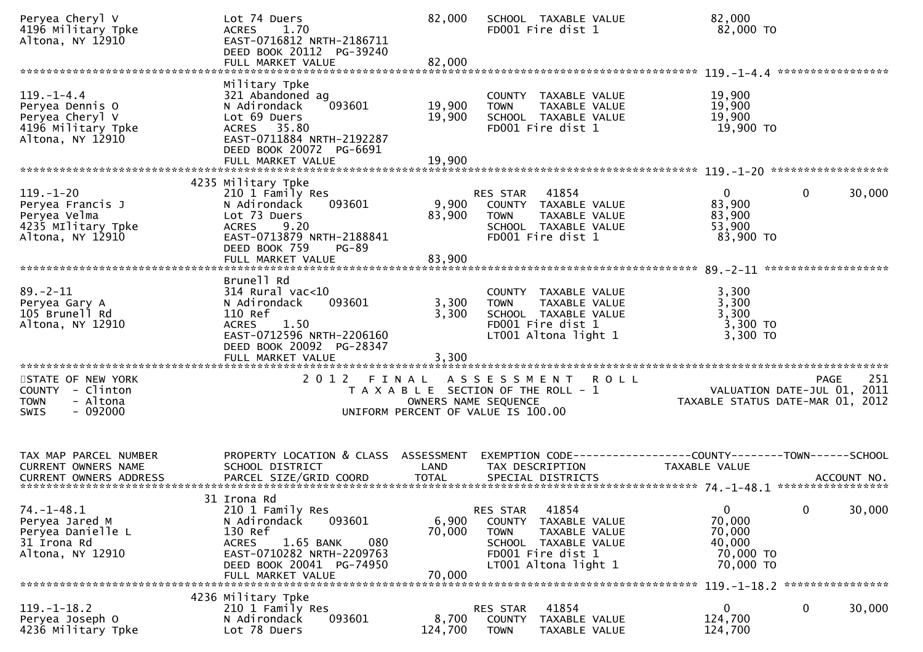| Peryea Cheryl V<br>4196 Military Tpke<br>Altona, NY 12910                                        | Lot 74 Duers<br><b>ACRES</b><br>1.70<br>EAST-0716812 NRTH-2186711<br>DEED BOOK 20112 PG-39240                                                                                          | 82,000                    | SCHOOL TAXABLE VALUE<br>FD001 Fire dist 1                                                                                                         | 82,000<br>82,000 TO                                                                      |
|--------------------------------------------------------------------------------------------------|----------------------------------------------------------------------------------------------------------------------------------------------------------------------------------------|---------------------------|---------------------------------------------------------------------------------------------------------------------------------------------------|------------------------------------------------------------------------------------------|
|                                                                                                  |                                                                                                                                                                                        |                           |                                                                                                                                                   |                                                                                          |
| $119. - 1 - 4.4$<br>Peryea Dennis O<br>Peryea Cheryl V<br>4196 Military Tpke<br>Altona, NY 12910 | Military Tpke<br>321 Abandoned ag<br>093601<br>N Adirondack<br>Lot 69 Duers<br>ACRES 35.80<br>EAST-0711884 NRTH-2192287<br>DEED BOOK 20072 PG-6691                                     | 19,900<br>19,900          | COUNTY TAXABLE VALUE<br><b>TOWN</b><br>TAXABLE VALUE<br>SCHOOL TAXABLE VALUE<br>FD001 Fire dist 1                                                 | 19,900<br>19,900<br>19,900<br>19,900 TO                                                  |
|                                                                                                  |                                                                                                                                                                                        |                           |                                                                                                                                                   |                                                                                          |
| $119. - 1 - 20$<br>Peryea Francis J<br>Peryea Velma<br>4235 Military Tpke<br>Altona, NY 12910    | 4235 Military Tpke<br>210 1 Family Res<br>093601<br>N Adirondack<br>Lot 73 Duers<br><b>ACRES</b><br>9.20<br>EAST-0713879 NRTH-2188841<br>DEED BOOK 759<br><b>PG-89</b>                 | 9,900<br>83,900           | RES STAR<br>41854<br>COUNTY TAXABLE VALUE<br>TAXABLE VALUE<br><b>TOWN</b><br>SCHOOL TAXABLE VALUE<br>FD001 Fire dist 1                            | $\mathbf{0}$<br>0<br>30,000<br>83,900<br>83,900<br>53,900<br>83,900 TO                   |
|                                                                                                  | FULL MARKET VALUE                                                                                                                                                                      | 83,900                    |                                                                                                                                                   |                                                                                          |
|                                                                                                  | Brunell Rd                                                                                                                                                                             |                           |                                                                                                                                                   |                                                                                          |
| $89. - 2 - 11$<br>Peryea Gary A<br>105 Brunell Rd<br>Altona, NY 12910                            | $314$ Rural vac< $10$<br>093601<br>N Adirondack<br>110 Ref<br>1.50<br><b>ACRES</b><br>EAST-0712596 NRTH-2206160<br>DEED BOOK 20092 PG-28347                                            | 3,300<br>3,300            | COUNTY TAXABLE VALUE<br>TAXABLE VALUE<br><b>TOWN</b><br>SCHOOL TAXABLE VALUE<br>FD001 Fire dist 1<br>LT001 Altona light 1                         | 3,300<br>3,300<br>3,300<br>$3,300$ TO<br>3,300 TO                                        |
|                                                                                                  |                                                                                                                                                                                        |                           |                                                                                                                                                   |                                                                                          |
| STATE OF NEW YORK<br>COUNTY - Clinton<br><b>TOWN</b><br>- Altona<br>SWIS<br>- 092000             | 2 0 1 2<br>FINAL                                                                                                                                                                       |                           | A S S E S S M E N T R O L L<br>T A X A B L E SECTION OF THE ROLL - 1<br>OWNERS NAME SEQUENCE<br>UNIFORM PERCENT OF VALUE IS 100.00                | 251<br><b>PAGE</b><br>2011<br>VALUATION DATE-JUL 01,<br>TAXABLE STATUS DATE-MAR 01, 2012 |
| TAX MAP PARCEL NUMBER<br>CURRENT OWNERS NAME                                                     | PROPERTY LOCATION & CLASS ASSESSMENT<br>SCHOOL DISTRICT                                                                                                                                | LAND                      | TAX DESCRIPTION                                                                                                                                   | EXEMPTION CODE-----------------COUNTY-------TOWN------SCHOOL<br>TAXABLE VALUE            |
| 74. -1 -48. 1<br>Peryea Jared M<br>Peryea Danielle L<br>31 Irona Rd<br>Altona, NY 12910          | 31 Irona Rd<br>210 1 Family Res<br>N Adirondack<br>093601<br>130 Ref<br>1.65 BANK<br><b>ACRES</b><br>080<br>EAST-0710282 NRTH-2209763<br>DEED BOOK 20041 PG-74950<br>FULL MARKET VALUE | 6,900<br>70,000<br>70,000 | 41854<br>RES STAR<br>COUNTY<br>TAXABLE VALUE<br><b>TOWN</b><br>TAXABLE VALUE<br>SCHOOL TAXABLE VALUE<br>FD001 Fire dist 1<br>LT001 Altona light 1 | $\mathbf 0$<br>0<br>30,000<br>70,000<br>70,000<br>40,000<br>70,000 TO<br>70,000 TO       |
|                                                                                                  |                                                                                                                                                                                        |                           |                                                                                                                                                   |                                                                                          |
| $119. - 1 - 18.2$<br>Peryea Joseph O<br>4236 Military Tpke                                       | 4236 Military Tpke<br>210 1 Family Res<br>093601<br>N Adirondack<br>Lot 78 Duers                                                                                                       | 8,700<br>124,700          | 41854<br>RES STAR<br>COUNTY<br>TAXABLE VALUE<br>TAXABLE VALUE<br><b>TOWN</b>                                                                      | 0<br>0<br>30,000<br>124,700<br>124,700                                                   |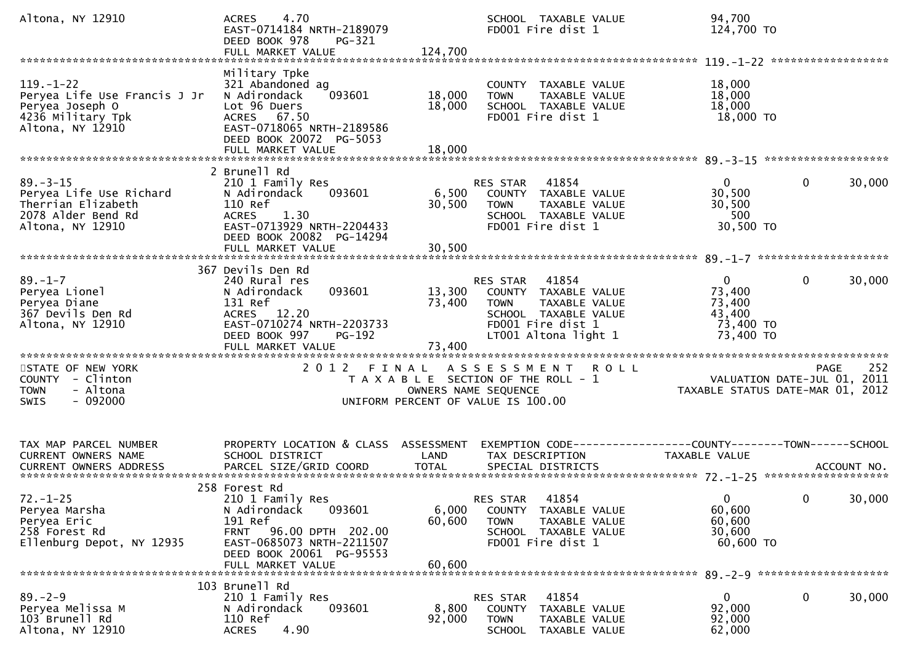| Altona, NY 12910                                                                                            | 4.70<br><b>ACRES</b><br>EAST-0714184 NRTH-2189079<br>DEED BOOK 978<br>PG-321<br>FULL MARKET VALUE                                                                              | 124,700                    | SCHOOL TAXABLE VALUE<br>FD001 Fire dist 1                                                                                                      | 94,700<br>124,700 TO                                                                 |             |
|-------------------------------------------------------------------------------------------------------------|--------------------------------------------------------------------------------------------------------------------------------------------------------------------------------|----------------------------|------------------------------------------------------------------------------------------------------------------------------------------------|--------------------------------------------------------------------------------------|-------------|
| $119. - 1 - 22$<br>Peryea Life Use Francis J Jr<br>Peryea Joseph O<br>4236 Military Tpk<br>Altona, NY 12910 | Military Tpke<br>321 Abandoned ag<br>093601<br>N Adirondack<br>Lot 96 Duers<br>ACRES 67.50<br>EAST-0718065 NRTH-2189586<br>DEED BOOK 20072 PG-5053<br>FULL MARKET VALUE        | 18,000<br>18,000<br>18,000 | COUNTY TAXABLE VALUE<br>TAXABLE VALUE<br><b>TOWN</b><br>SCHOOL TAXABLE VALUE<br>FD001 Fire dist 1                                              | 18,000<br>18,000<br>18,000<br>18,000 TO                                              |             |
| $89. - 3 - 15$<br>Peryea Life Use Richard<br>Therrian Elizabeth<br>2078 Alder Bend Rd<br>Altona, NY 12910   | 2 Brunell Rd<br>210 1 Family Res<br>093601<br>N Adirondack<br>110 Ref<br>1.30<br><b>ACRES</b><br>EAST-0713929 NRTH-2204433<br>DEED BOOK 20082 PG-14294<br>FULL MARKET VALUE    | 6,500<br>30,500<br>30,500  | 41854<br><b>RES STAR</b><br>COUNTY TAXABLE VALUE<br>TAXABLE VALUE<br><b>TOWN</b><br>SCHOOL TAXABLE VALUE<br>FD001 Fire dist 1                  | $\mathbf{0}$<br>$\mathbf{0}$<br>30,500<br>30,500<br>500<br>30,500 TO                 | 30,000      |
| $89. - 1 - 7$<br>Peryea Lionel<br>Peryea Diane<br>367 Devils Den Rd<br>Altona, NY 12910                     | 367 Devils Den Rd<br>240 Rural res<br>093601<br>N Adirondack<br>131 Ref<br>ACRES 12.20<br>EAST-0710274 NRTH-2203733<br>DEED BOOK 997<br><b>PG-192</b><br>FULL MARKET VALUE     | 13,300<br>73,400<br>73,400 | 41854<br>RES STAR<br>COUNTY TAXABLE VALUE<br><b>TOWN</b><br>TAXABLE VALUE<br>SCHOOL TAXABLE VALUE<br>FD001 Fire dist 1<br>LT001 Altona light 1 | $\mathbf{0}$<br>$\mathbf{0}$<br>73,400<br>73,400<br>43,400<br>73,400 TO<br>73,400 TO | 30,000      |
| STATE OF NEW YORK<br>COUNTY - Clinton<br>- Altona<br>TOWN<br>$-092000$<br><b>SWIS</b>                       |                                                                                                                                                                                |                            | 2012 FINAL ASSESSMENT ROLL<br>T A X A B L E SECTION OF THE ROLL - 1<br>OWNERS NAME SEQUENCE<br>UNIFORM PERCENT OF VALUE IS 100.00              | VALUATION DATE-JUL 01, 2011<br>TAXABLE STATUS DATE-MAR 01, 2012                      | 252<br>PAGE |
| TAX MAP PARCEL NUMBER<br>CURRENT OWNERS NAME                                                                | PROPERTY LOCATION & CLASS ASSESSMENT<br>SCHOOL DISTRICT                                                                                                                        | LAND                       | EXEMPTION CODE-----------------COUNTY-------TOWN------SCHOOL<br>TAX DESCRIPTION                                                                | TAXABLE VALUE                                                                        |             |
| $72. - 1 - 25$<br>Peryea Marsha<br>Peryea Eric<br>258 Forest Rd<br>Ellenburg Depot, NY 12935                | 258 Forest Rd<br>210 1 Family Res<br>093601<br>N Adirondack<br>191 Ref<br>FRNT 96.00 DPTH 202.00<br>EAST-0685073 NRTH-2211507<br>DEED BOOK 20061 PG-95553<br>FULL MARKET VALUE | 6,000<br>60,600<br>60,600  | RES STAR<br>41854<br>COUNTY TAXABLE VALUE<br><b>TOWN</b><br>TAXABLE VALUE<br>SCHOOL TAXABLE VALUE<br>FD001 Fire dist 1                         | $\overline{0}$<br>$\mathbf{0}$<br>60,600<br>60,600<br>30,600<br>60,600 TO            | 30,000      |
| $89. - 2 - 9$<br>Peryea Melissa M<br>103 Brunell Rd<br>Altona, NY 12910                                     | 103 Brunell Rd<br>210 1 Family Res<br>N Adirondack<br>093601<br>110 Ref<br>4.90<br><b>ACRES</b>                                                                                | 8,800<br>92,000            | 41854<br><b>RES STAR</b><br>COUNTY TAXABLE VALUE<br><b>TOWN</b><br>TAXABLE VALUE<br>SCHOOL TAXABLE VALUE                                       | 0<br>$\bf{0}$<br>92,000<br>92,000<br>62,000                                          | 30,000      |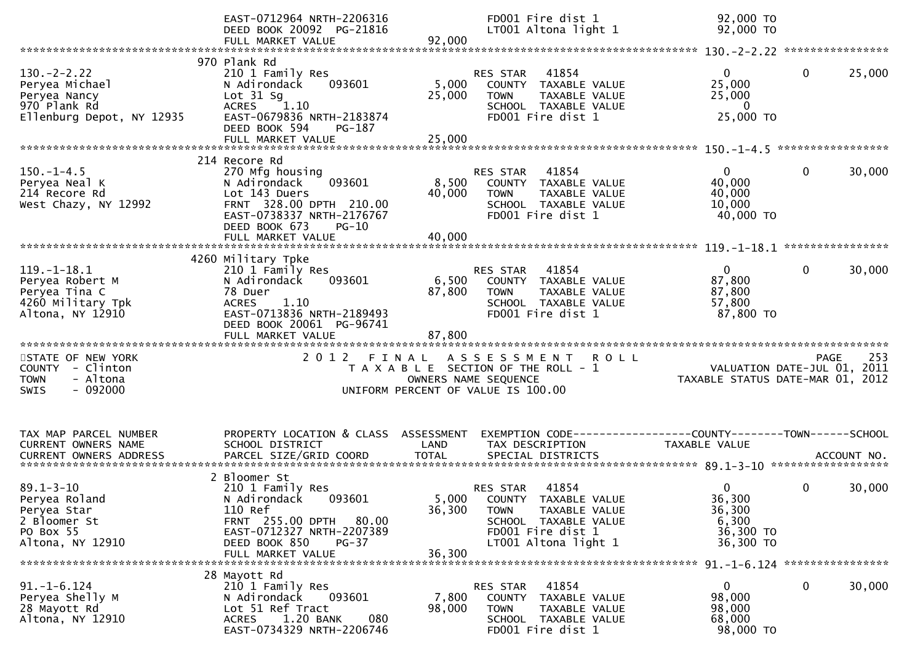|                                                                                                  | EAST-0712964 NRTH-2206316<br>DEED BOOK 20092 PG-21816<br>FULL MARKET VALUE                                                                                                       | 92,000                             | FD001 Fire dist 1<br>LT001 Altona light 1                                                                                                      | 92,000 TO<br>92,000 TO                                   |                                                                                |
|--------------------------------------------------------------------------------------------------|----------------------------------------------------------------------------------------------------------------------------------------------------------------------------------|------------------------------------|------------------------------------------------------------------------------------------------------------------------------------------------|----------------------------------------------------------|--------------------------------------------------------------------------------|
|                                                                                                  |                                                                                                                                                                                  |                                    |                                                                                                                                                |                                                          |                                                                                |
| $130 - 2 - 2.22$<br>Peryea Michael<br>Peryea Nancy<br>970 Plank Rd<br>Ellenburg Depot, NY 12935  | 970 Plank Rd<br>210 1 Family Res<br>N Adirondack<br>093601<br>Lot $31$ Sg<br>ACRES 1.10<br>EAST-0679836 NRTH-2183874<br>DEED BOOK 594<br>PG-187<br>FULL MARKET VALUE             | 5,000<br>25,000<br>25,000          | RES STAR<br>41854<br>COUNTY TAXABLE VALUE<br><b>TOWN</b><br>TAXABLE VALUE<br>SCHOOL TAXABLE VALUE<br>FD001 Fire dist 1                         | $\overline{0}$<br>25,000<br>25,000<br>0<br>25,000 TO     | $\mathbf{0}$<br>25,000                                                         |
|                                                                                                  | 214 Recore Rd                                                                                                                                                                    |                                    |                                                                                                                                                |                                                          |                                                                                |
| $150. - 1 - 4.5$<br>Peryea Neal K<br>214 Recore Rd<br>West Chazy, NY 12992                       | 270 Mfg housing<br>093601<br>N Adirondack<br>Lot 143 Duers<br>FRNT 328.00 DPTH 210.00<br>EAST-0738337 NRTH-2176767<br>DEED BOOK 673<br>$PG-10$                                   | 8,500<br>40,000                    | 41854<br>RES STAR<br>COUNTY TAXABLE VALUE<br><b>TOWN</b><br>TAXABLE VALUE<br>SCHOOL TAXABLE VALUE<br>FD001 Fire dist 1                         | 0<br>40,000<br>40,000<br>10,000<br>40,000 TO             | 30,000<br>0                                                                    |
|                                                                                                  | FULL MARKET VALUE                                                                                                                                                                | 40,000                             |                                                                                                                                                |                                                          |                                                                                |
| $119. - 1 - 18.1$<br>Peryea Robert M<br>Peryea Tina C<br>4260 Military Tpk<br>Altona, NY 12910   | 4260 Military Tpke<br>210 1 Family Res<br>N Adirondack<br>093601<br>78 Duer<br>1.10<br><b>ACRES</b><br>EAST-0713836 NRTH-2189493<br>DEED BOOK 20061 PG-96741                     | 6,500<br>87,800                    | 41854<br><b>RES STAR</b><br>COUNTY TAXABLE VALUE<br><b>TOWN</b><br>TAXABLE VALUE<br>SCHOOL TAXABLE VALUE<br>FD001 Fire dist 1                  | $\Omega$<br>87,800<br>87,800<br>57,800<br>87,800 TO      | $\mathbf{0}$<br>30,000                                                         |
|                                                                                                  | FULL MARKET VALUE                                                                                                                                                                |                                    |                                                                                                                                                |                                                          |                                                                                |
| STATE OF NEW YORK<br>COUNTY - Clinton<br>- Altona<br><b>TOWN</b><br>$-092000$<br><b>SWIS</b>     |                                                                                                                                                                                  |                                    | 2012 FINAL ASSESSMENT<br><b>ROLL</b><br>T A X A B L E SECTION OF THE ROLL - 1<br>OWNERS NAME SEQUENCE<br>UNIFORM PERCENT OF VALUE IS 100.00    |                                                          | 253<br>PAGE<br>VALUATION DATE-JUL 01, 2011<br>TAXABLE STATUS DATE-MAR 01, 2012 |
| TAX MAP PARCEL NUMBER<br>CURRENT OWNERS NAME<br><b>CURRENT OWNERS ADDRESS</b>                    | PROPERTY LOCATION & CLASS<br>SCHOOL DISTRICT<br>PARCEL SIZE/GRID COORD                                                                                                           | ASSESSMENT<br>LAND<br><b>TOTAL</b> | EXEMPTION CODE-----------------COUNTY-------TOWN------SCHOOL<br>TAX DESCRIPTION<br>SPECIAL DISTRICTS                                           | TAXABLE VALUE                                            | ACCOUNT NO.                                                                    |
| $89.1 - 3 - 10$<br>Peryea Roland<br>Peryea Star<br>2 Bloomer St<br>PO Box 55<br>Altona, NY 12910 | 2 Bloomer St<br>210 1 Family Res<br>093601<br>N Adirondack<br>110 Ref<br>FRNT 255.00 DPTH<br>80.00<br>EAST-0712327 NRTH-2207389<br>DEED BOOK 850<br>$PG-37$<br>FULL MARKET VALUE | 5,000<br>36,300<br>36,300          | 41854<br>RES STAR<br>COUNTY TAXABLE VALUE<br><b>TOWN</b><br>TAXABLE VALUE<br>SCHOOL TAXABLE VALUE<br>FD001 Fire dist 1<br>LT001 Altona light 1 | 0<br>36,300<br>36,300<br>6,300<br>36,300 TO<br>36,300 TO | 30,000<br>0                                                                    |
|                                                                                                  | 28 Mayott Rd                                                                                                                                                                     |                                    |                                                                                                                                                |                                                          |                                                                                |
| $91. - 1 - 6.124$<br>Peryea Shelly M<br>28 Mayott Rd<br>Altona, NY 12910                         | 210 1 Family Res<br>N Adirondack<br>093601<br>Lot 51 Ref Tract<br>1.20 BANK<br>080<br><b>ACRES</b><br>EAST-0734329 NRTH-2206746                                                  | 7,800<br>98,000                    | 41854<br>RES STAR<br>COUNTY TAXABLE VALUE<br><b>TOWN</b><br>TAXABLE VALUE<br>SCHOOL TAXABLE VALUE<br>FD001 Fire dist 1                         | $\mathbf{0}$<br>98,000<br>98,000<br>68,000<br>98,000 TO  | 0<br>30,000                                                                    |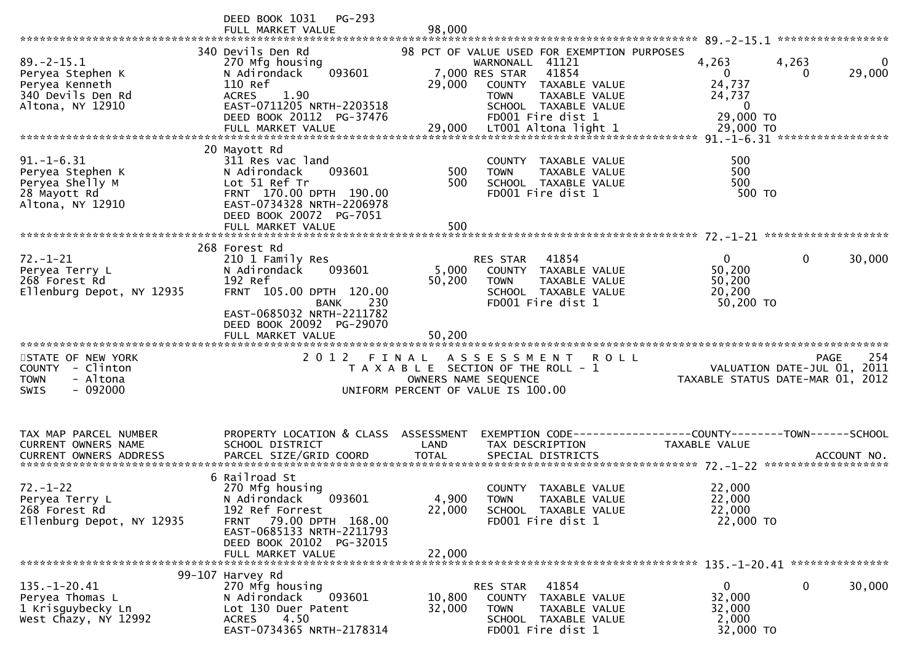|                                                                                                 | DEED BOOK 1031<br>$PG-293$<br>FULL MARKET VALUE                                                                                                                                                 | 98,000                    |                                                                                                                                                                                                |                                                                                 |                                                                                          |
|-------------------------------------------------------------------------------------------------|-------------------------------------------------------------------------------------------------------------------------------------------------------------------------------------------------|---------------------------|------------------------------------------------------------------------------------------------------------------------------------------------------------------------------------------------|---------------------------------------------------------------------------------|------------------------------------------------------------------------------------------|
| $89. - 2 - 15.1$<br>Peryea Stephen K<br>Peryea Kenneth<br>340 Devils Den Rd<br>Altona, NY 12910 | 340 Devils Den Rd<br>270 Mfg housing<br>093601<br>N Adirondack<br>110 Ref<br>1.90<br><b>ACRES</b><br>EAST-0711205 NRTH-2203518<br>DEED BOOK 20112 PG-37476                                      | 29,000                    | 98 PCT OF VALUE USED FOR EXEMPTION PURPOSES<br>WARNONALL 41121<br>41854<br>7,000 RES STAR<br>COUNTY TAXABLE VALUE<br>TAXABLE VALUE<br><b>TOWN</b><br>SCHOOL TAXABLE VALUE<br>FD001 Fire dist 1 | 4,263<br>$\overline{0}$<br>24,737<br>24,737<br>$\mathbf{0}$<br>29,000 TO        | 4,263<br>0<br>29,000<br>0                                                                |
|                                                                                                 |                                                                                                                                                                                                 |                           |                                                                                                                                                                                                |                                                                                 |                                                                                          |
| $91. - 1 - 6.31$<br>Peryea Stephen K<br>Peryea Shelly M<br>28 Mayott Rd<br>Altona, NY 12910     | 20 Mayott Rd<br>311 Res vac land<br>093601<br>N Adirondack<br>Lot 51 Ref Tr<br>FRNT 170.00 DPTH 190.00<br>EAST-0734328 NRTH-2206978<br>DEED BOOK 20072 PG-7051<br>FULL MARKET VALUE             | 500<br>500<br>500         | COUNTY TAXABLE VALUE<br><b>TOWN</b><br>TAXABLE VALUE<br>SCHOOL TAXABLE VALUE<br>FD001 Fire dist 1                                                                                              | 500<br>500<br>500<br>500 TO                                                     |                                                                                          |
|                                                                                                 | 268 Forest Rd                                                                                                                                                                                   |                           |                                                                                                                                                                                                |                                                                                 |                                                                                          |
| $72. - 1 - 21$<br>Peryea Terry L<br>268 Forest Rd<br>Ellenburg Depot, NY 12935                  | 210 1 Family Res<br>093601<br>N Adirondack<br>192 Ref<br>FRNT 105.00 DPTH 120.00<br>230<br>BANK                                                                                                 | 5,000<br>50,200           | 41854<br>RES STAR<br>COUNTY TAXABLE VALUE<br><b>TOWN</b><br>TAXABLE VALUE<br>SCHOOL TAXABLE VALUE<br>FD001 Fire dist 1                                                                         | $\mathbf{0}$<br>50,200<br>50,200<br>20,200<br>50,200 TO                         | 30,000<br>0                                                                              |
|                                                                                                 | EAST-0685032 NRTH-2211782<br>DEED BOOK 20092 PG-29070                                                                                                                                           |                           |                                                                                                                                                                                                |                                                                                 |                                                                                          |
| STATE OF NEW YORK<br>COUNTY - Clinton<br>- Altona<br><b>TOWN</b><br>$-092000$<br><b>SWIS</b>    | 2012 FINAL                                                                                                                                                                                      |                           | A S S E S S M E N T<br>R O L L<br>T A X A B L E SECTION OF THE ROLL - 1<br>OWNERS NAME SEQUENCE<br>UNIFORM PERCENT OF VALUE IS 100.00                                                          |                                                                                 | 254<br><b>PAGE</b><br>VALUATION DATE-JUL 01,<br>2011<br>TAXABLE STATUS DATE-MAR 01, 2012 |
| TAX MAP PARCEL NUMBER<br><b>CURRENT OWNERS NAME</b>                                             | PROPERTY LOCATION & CLASS ASSESSMENT<br>SCHOOL DISTRICT                                                                                                                                         | LAND                      | TAX DESCRIPTION                                                                                                                                                                                | EXEMPTION CODE------------------COUNTY--------TOWN------SCHOOL<br>TAXABLE VALUE |                                                                                          |
| $72. - 1 - 22$<br>Peryea Terry L<br>268 Forest Rd<br>Ellenburg Depot, NY 12935                  | 6 Railroad St<br>270 Mfg housing<br>093601<br>N Adirondack<br>192 Ref Forrest<br>79.00 DPTH 168.00<br><b>FRNT</b><br>EAST-0685133 NRTH-2211793<br>DEED BOOK 20102 PG-32015<br>FULL MARKET VALUE | 4,900<br>22,000<br>22,000 | COUNTY<br>TAXABLE VALUE<br>TAXABLE VALUE<br>TOWN<br>SCHOOL TAXABLE VALUE<br>FD001 Fire dist 1                                                                                                  | 22,000<br>22,000<br>22,000<br>22,000 TO                                         |                                                                                          |
| $135. - 1 - 20.41$<br>Peryea Thomas L<br>1 Krisguybecky Ln<br>West Chazy, NY 12992              | 99-107 Harvey Rd<br>270 Mfg housing<br>093601<br>N Adirondack<br>Lot 130 Duer Patent<br><b>ACRES</b><br>4.50<br>EAST-0734365 NRTH-2178314                                                       | 10,800<br>32,000          | 41854<br>RES STAR<br>COUNTY TAXABLE VALUE<br>TAXABLE VALUE<br><b>TOWN</b><br>SCHOOL TAXABLE VALUE<br>FD001 Fire dist 1                                                                         | 0<br>32,000<br>32,000<br>2,000<br>32,000 TO                                     | 30,000<br>0                                                                              |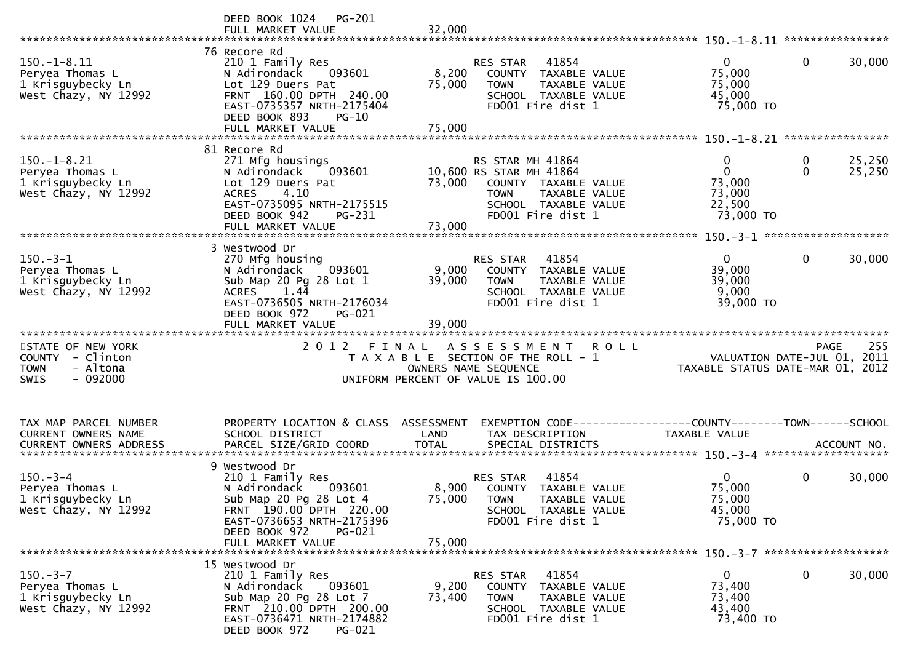|                                                                                              | PG-201<br>DEED BOOK 1024<br>FULL MARKET VALUE                                                                                                                                                 | 32,000                    |                                                                                                                                                         |                                                                     |                                   |
|----------------------------------------------------------------------------------------------|-----------------------------------------------------------------------------------------------------------------------------------------------------------------------------------------------|---------------------------|---------------------------------------------------------------------------------------------------------------------------------------------------------|---------------------------------------------------------------------|-----------------------------------|
| $150. - 1 - 8.11$<br>Peryea Thomas L<br>1 Krisguybecky Ln<br>West Chazy, NY 12992            | 76 Recore Rd<br>210 1 Family Res<br>N Adirondack<br>093601<br>Lot 129 Duers Pat<br>FRNT 160.00 DPTH 240.00<br>EAST-0735357 NRTH-2175404<br>DEED BOOK 893<br>$PG-10$<br>FULL MARKET VALUE      | 8,200<br>75,000<br>75,000 | 41854<br>RES STAR<br>COUNTY TAXABLE VALUE<br><b>TOWN</b><br>TAXABLE VALUE<br>SCHOOL TAXABLE VALUE<br>FD001 Fire dist 1                                  | $\mathbf{0}$<br>75,000<br>75,000<br>45,000<br>75,000 TO             | $\mathbf{0}$<br>30,000            |
|                                                                                              |                                                                                                                                                                                               |                           |                                                                                                                                                         |                                                                     |                                   |
| $150.-1-8.21$<br>Peryea Thomas L<br>1 Krisguybecky Ln<br>West Chazy, NY 12992                | 81 Recore Rd<br>271 Mfg housings<br>N Adirondack<br>093601<br>Lot 129 Duers Pat<br>4.10<br><b>ACRES</b><br>EAST-0735095 NRTH-2175515<br>DEED BOOK 942<br>PG-231                               |                           | RS STAR MH 41864<br>10,600 RS STAR MH 41864<br>73,000 COUNTY TAXABLE VALUE<br>TAXABLE VALUE<br><b>TOWN</b><br>SCHOOL TAXABLE VALUE<br>FD001 Fire dist 1 | $\mathbf{0}$<br>$\Omega$<br>73,000<br>73,000<br>22,500<br>73,000 TO | 25,250<br>0<br>$\Omega$<br>25,250 |
|                                                                                              | FULL MARKET VALUE                                                                                                                                                                             | 73,000                    |                                                                                                                                                         |                                                                     |                                   |
| $150.-3-1$<br>Peryea Thomas L<br>1 Krisguybecky Ln<br>West Chazy, NY 12992                   | 3 Westwood Dr<br>270 Mfg housing<br>093601<br>N Adirondack<br>Sub Map 20 Pg 28 Lot 1<br>ACRES 1.44<br>EAST-0736505 NRTH-2176034                                                               | 9,000<br>39,000           | 41854<br>RES STAR<br>COUNTY TAXABLE VALUE<br><b>TOWN</b><br>TAXABLE VALUE<br>SCHOOL TAXABLE VALUE<br>FD001 Fire dist 1                                  | $\overline{0}$<br>39,000<br>39,000<br>9,000<br>39,000 TO            | $\mathbf{0}$<br>30,000            |
|                                                                                              | DEED BOOK 972<br>PG-021<br>FULL MARKET VALUE                                                                                                                                                  | 39,000                    |                                                                                                                                                         |                                                                     |                                   |
| STATE OF NEW YORK<br>COUNTY - Clinton<br>- Altona<br><b>TOWN</b><br>$-092000$<br><b>SWIS</b> |                                                                                                                                                                                               |                           | 2012 FINAL ASSESSMENT ROLL<br>T A X A B L E SECTION OF THE ROLL - 1<br>OWNERS NAME SEQUENCE<br>UNIFORM PERCENT OF VALUE IS 100.00                       | VALUATION DATE-JUL 01, 2011<br>TAXABLE STATUS DATE-MAR 01, 2012     | 255<br>PAGE                       |
| TAX MAP PARCEL NUMBER<br>CURRENT OWNERS NAME                                                 | PROPERTY LOCATION & CLASS ASSESSMENT<br>SCHOOL DISTRICT                                                                                                                                       | LAND                      | EXEMPTION CODE------------------COUNTY--------TOWN------SCHOOL<br>TAX DESCRIPTION                                                                       | <b>TAXABLE VALUE</b>                                                |                                   |
| $150 - 3 - 4$<br>Peryea Thomas L<br>1 Krisguybecky Ln<br>West Chazy, NY 12992                | 9 Westwood Dr<br>210 1 Family Res<br>N Adirondack<br>093601<br>Sub Map 20 Pg 28 Lot 4<br>FRNT 190.00 DPTH 220.00<br>EAST-0736653 NRTH-2175396<br>DEED BOOK 972<br>PG-021<br>FULL MARKET VALUE | 75,000<br>75,000          | 41854<br>RES STAR<br>8,900 COUNTY TAXABLE VALUE<br><b>TOWN</b><br>TAXABLE VALUE<br>SCHOOL TAXABLE VALUE<br>FD001 Fire dist 1                            | $\mathbf{0}$<br>75,000<br>75,000<br>45,000<br>75,000 TO             | 0<br>30,000                       |
|                                                                                              | 15 Westwood Dr                                                                                                                                                                                |                           |                                                                                                                                                         |                                                                     |                                   |
| $150. - 3 - 7$<br>Peryea Thomas L<br>1 Krisguybecky Ln<br>West Chazy, NY 12992               | 210 1 Family Res<br>N Adirondack<br>093601<br>Sub Map 20 Pg 28 Lot 7<br>FRNT 210.00 DPTH 200.00<br>EAST-0736471 NRTH-2174882<br>DEED BOOK 972<br>PG-021                                       | 9,200<br>73,400           | 41854<br>RES STAR<br>COUNTY<br>TAXABLE VALUE<br><b>TOWN</b><br>TAXABLE VALUE<br>SCHOOL TAXABLE VALUE<br>FD001 Fire dist 1                               | $\mathbf{0}$<br>73,400<br>73,400<br>43,400<br>73,400 TO             | 0<br>30,000                       |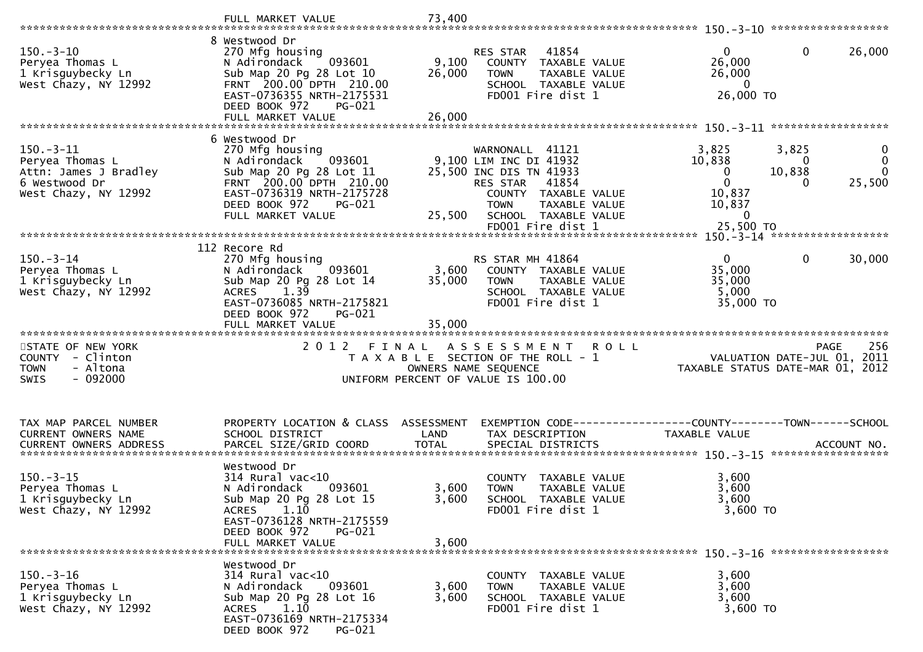|                                                                                                  | FULL MARKET VALUE                                                                                                                                                                              | 73,400                    |                                                                                                                                                                                             |                                                                                                                                                                         |
|--------------------------------------------------------------------------------------------------|------------------------------------------------------------------------------------------------------------------------------------------------------------------------------------------------|---------------------------|---------------------------------------------------------------------------------------------------------------------------------------------------------------------------------------------|-------------------------------------------------------------------------------------------------------------------------------------------------------------------------|
| $150.-3-10$<br>Peryea Thomas L<br>1 Krisguybecky Ln<br>West Chazy, NY 12992                      | 8 Westwood Dr<br>270 Mfg housing<br>093601<br>N Adirondack<br>Sub Map 20 Pg 28 Lot 10<br>FRNT 200.00 DPTH 210.00<br>EAST-0736355 NRTH-2175531<br>DEED BOOK 972<br>PG-021<br>FULL MARKET VALUE  | 9,100<br>26,000<br>26,000 | RES STAR 41854<br>COUNTY TAXABLE VALUE<br><b>TOWN</b><br>TAXABLE VALUE<br>SCHOOL TAXABLE VALUE<br>FD001 Fire dist 1                                                                         | $\mathbf 0$<br>$\mathbf 0$<br>26,000<br>26,000<br>26,000<br>$\mathbf{0}$<br>26,000 TO                                                                                   |
|                                                                                                  | 6 Westwood Dr                                                                                                                                                                                  |                           |                                                                                                                                                                                             |                                                                                                                                                                         |
| $150.-3-11$<br>Peryea Thomas L<br>Attn: James J Bradley<br>6 Westwood Dr<br>West Chazy, NY 12992 | 270 Mfg housing<br>N Adirondack<br>093601<br>Sub Map 20 Pg 28 Lot 11<br>FRNT 200.00 DPTH 210.00<br>EAST-0736319 NRTH-2175728<br>DEED BOOK 972<br>PG-021<br>FULL MARKET VALUE                   | 25,500                    | WARNONALL 41121<br>9,100 LIM INC DI 41932<br>25,500 INC DIS TN 41933<br>RES STAR 41854<br>COUNTY TAXABLE VALUE<br><b>TOWN</b><br>TAXABLE VALUE<br>SCHOOL TAXABLE VALUE<br>FD001 Fire dist 1 | 3,825<br>3,825<br>0<br>$\mathbf{0}$<br>10,838<br>0<br>10,838<br>$\mathbf{0}$<br>$\mathbf{0}$<br>$\mathbf 0$<br>25,500<br>0<br>10,837<br>10,837<br>$\Omega$<br>25,500 TO |
|                                                                                                  |                                                                                                                                                                                                |                           |                                                                                                                                                                                             |                                                                                                                                                                         |
| $150.-3-14$<br>Peryea Thomas L<br>1 Krisguybecky Ln<br>West Chazy, NY 12992                      | 112 Recore Rd<br>270 Mfg housing<br>093601<br>N Adirondack<br>Sub Map 20 Pg 28 Lot 14<br>1.39<br><b>ACRES</b><br>EAST-0736085 NRTH-2175821<br>DEED BOOK 972<br>$PG-021$                        | 3,600<br>35,000           | RS STAR MH 41864<br>COUNTY TAXABLE VALUE<br>TAXABLE VALUE<br><b>TOWN</b><br>SCHOOL TAXABLE VALUE<br>FD001 Fire dist 1                                                                       | 0<br>$\Omega$<br>30,000<br>35,000<br>35,000<br>5,000<br>35,000 TO                                                                                                       |
|                                                                                                  | FULL MARKET VALUE                                                                                                                                                                              | 35,000                    |                                                                                                                                                                                             |                                                                                                                                                                         |
| STATE OF NEW YORK<br>COUNTY - Clinton<br>- Altona<br><b>TOWN</b><br>$-092000$<br><b>SWIS</b>     |                                                                                                                                                                                                | OWNERS NAME SEQUENCE      | 2012 FINAL ASSESSMENT<br>R O L L<br>T A X A B L E SECTION OF THE ROLL - 1<br>UNIFORM PERCENT OF VALUE IS 100.00                                                                             | 256<br>PAGE<br>VALUATION DATE-JUL 01, 2011<br>TAXABLE STATUS DATE-MAR 01, 2012                                                                                          |
| TAX MAP PARCEL NUMBER                                                                            | PROPERTY LOCATION & CLASS ASSESSMENT                                                                                                                                                           |                           |                                                                                                                                                                                             | EXEMPTION        CODE-----------------COUNTY-------TOWN------SCHOOL                                                                                                     |
| CURRENT OWNERS NAME<br><b>CURRENT OWNERS ADDRESS</b>                                             | SCHOOL DISTRICT<br>PARCEL SIZE/GRID COORD                                                                                                                                                      | LAND<br><b>TOTAL</b>      | TAX DESCRIPTION<br>SPECIAL DISTRICTS                                                                                                                                                        | TAXABLE VALUE<br>ACCOUNT NO.                                                                                                                                            |
| $150. - 3 - 15$<br>Peryea Thomas L<br>1 Krisguybecky Ln<br>West Chazy, NY 12992                  | Westwood Dr<br>$314$ Rural vac< $10$<br>N Adirondack<br>093601<br>Sub Map 20 Pg 28 Lot 15<br>1.10<br><b>ACRES</b><br>EAST-0736128 NRTH-2175559<br>DEED BOOK 972<br>PG-021<br>FULL MARKET VALUE | 3,600<br>3,600<br>3,600   | COUNTY TAXABLE VALUE<br>TAXABLE VALUE<br><b>TOWN</b><br>SCHOOL TAXABLE VALUE<br>FD001 Fire dist 1                                                                                           | 3,600<br>3,600<br>3,600<br>3,600 TO                                                                                                                                     |
|                                                                                                  | Westwood Dr                                                                                                                                                                                    |                           |                                                                                                                                                                                             |                                                                                                                                                                         |
| $150.-3-16$<br>Peryea Thomas L<br>1 Krisguybecky Ln<br>West Chazy, NY 12992                      | $314$ Rural vac<10<br>093601<br>N Adirondack<br>Sub Map 20 Pg 28 Lot 16<br>1.10<br>ACRES<br>EAST-0736169 NRTH-2175334<br>DEED BOOK 972<br><b>PG-021</b>                                        | 3,600<br>3,600            | COUNTY TAXABLE VALUE<br>TAXABLE VALUE<br><b>TOWN</b><br>SCHOOL TAXABLE VALUE<br>FD001 Fire dist 1                                                                                           | 3,600<br>3,600<br>3,600<br>3,600 TO                                                                                                                                     |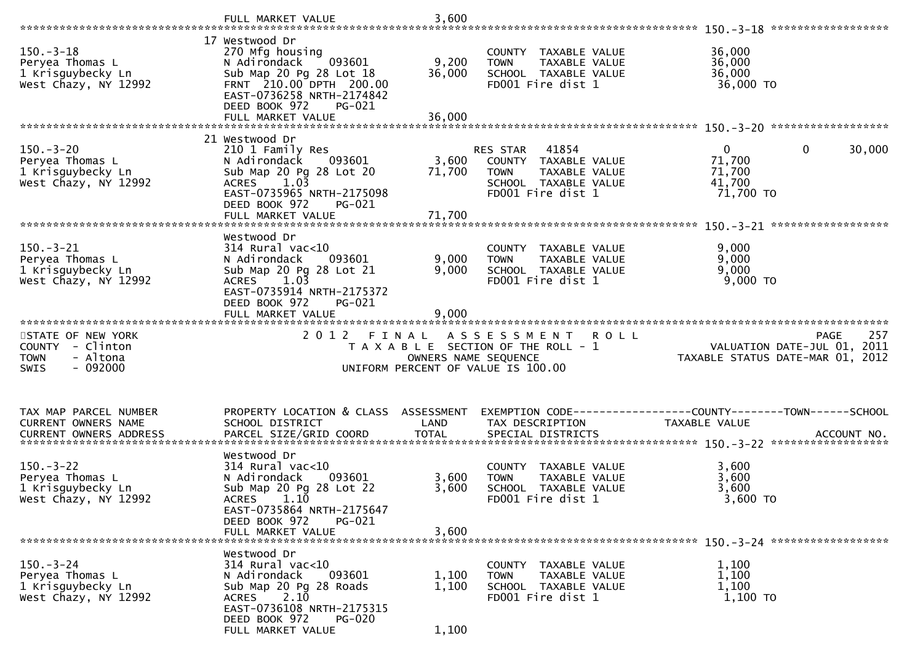|                                                                                              | FULL MARKET VALUE                                                                                                                                                                              | 3,600                     |                                                                                                                     |                                                                                  |     |
|----------------------------------------------------------------------------------------------|------------------------------------------------------------------------------------------------------------------------------------------------------------------------------------------------|---------------------------|---------------------------------------------------------------------------------------------------------------------|----------------------------------------------------------------------------------|-----|
| $150. - 3 - 18$<br>Peryea Thomas L<br>1 Krisguybecky Ln<br>West Chazy, NY 12992              | 17 Westwood Dr<br>270 Mfg housing<br>N Adirondack<br>093601<br>Sub Map 20 Pg 28 Lot 18<br>FRNT 210.00 DPTH 200.00<br>EAST-0736258 NRTH-2174842<br>DEED BOOK 972<br>PG-021<br>FULL MARKET VALUE | 9,200<br>36,000<br>36,000 | COUNTY TAXABLE VALUE<br>TAXABLE VALUE<br><b>TOWN</b><br>SCHOOL TAXABLE VALUE<br>FD001 Fire dist 1                   | 36,000<br>36,000<br>36,000<br>36,000 TO                                          |     |
|                                                                                              | 21 Westwood Dr                                                                                                                                                                                 |                           |                                                                                                                     |                                                                                  |     |
| $150 - 3 - 20$<br>Peryea Thomas L<br>1 Krisguybecky Ln<br>West Chazy, NY 12992               | 210 1 Family Res<br>N Adirondack<br>093601<br>Sub Map 20 Pg 28 Lot 20<br>$ACRES$ 1.03<br>EAST-0735965 NRTH-2175098<br>DEED BOOK 972<br>PG-021                                                  | 3,600<br>71,700           | RES STAR 41854<br>COUNTY TAXABLE VALUE<br>TAXABLE VALUE<br><b>TOWN</b><br>SCHOOL TAXABLE VALUE<br>FD001 Fire dist 1 | $\mathbf{0}$<br>$\mathbf 0$<br>30,000<br>71,700<br>71,700<br>41,700<br>71,700 TO |     |
|                                                                                              |                                                                                                                                                                                                |                           |                                                                                                                     | ******************                                                               |     |
| $150.-3-21$<br>Peryea Thomas L<br>1 Krisguybecky Ln<br>West Chazy, NY 12992                  | Westwood Dr<br>314 Rural vac<10<br>093601<br>N Adirondack<br>Sub Map 20 Pg 28 Lot 21<br>1.03<br><b>ACRES</b><br>EAST-0735914 NRTH-2175372<br>DEED BOOK 972<br>PG-021<br>FULL MARKET VALUE      | 9,000<br>9,000<br>9,000   | COUNTY TAXABLE VALUE<br>TAXABLE VALUE<br><b>TOWN</b><br>SCHOOL TAXABLE VALUE<br>FD001 Fire dist 1                   | 9,000<br>9,000<br>9,000<br>9,000 TO                                              |     |
|                                                                                              |                                                                                                                                                                                                |                           |                                                                                                                     |                                                                                  |     |
|                                                                                              |                                                                                                                                                                                                |                           |                                                                                                                     |                                                                                  |     |
| STATE OF NEW YORK<br>COUNTY - Clinton<br>- Altona<br><b>TOWN</b><br>$-092000$<br><b>SWIS</b> | 2 0 1 2<br>FINAL                                                                                                                                                                               | OWNERS NAME SEQUENCE      | A S S E S S M E N T<br><b>ROLL</b><br>T A X A B L E SECTION OF THE ROLL - 1<br>UNIFORM PERCENT OF VALUE IS 100.00   | <b>PAGE</b><br>VALUATION DATE-JUL 01, 2011<br>TAXABLE STATUS DATE-MAR 01, 2012   | 257 |
| TAX MAP PARCEL NUMBER<br>CURRENT OWNERS NAME<br>CURRENT OWNERS ADDRESS                       | PROPERTY LOCATION & CLASS ASSESSMENT<br>SCHOOL DISTRICT                                                                                                                                        | LAND                      | TAX DESCRIPTION                                                                                                     | EXEMPTION CODE-----------------COUNTY-------TOWN------SCHOOL<br>TAXABLE VALUE    |     |
| $150. - 3 - 22$<br>Peryea Thomas L<br>1 Krisguybecky Ln<br>West Chazy, NY 12992              | Westwood Dr<br>$314$ Rural vac<10<br>N Adirondack<br>093601<br>Sub Map 20 Pg 28 Lot 22<br>ACRES 1.10<br>EAST-0735864 NRTH-2175647<br>DEED BOOK 972<br>PG-021<br>FULL MARKET VALUE              | 3,600<br>3,600<br>3.600   | COUNTY TAXABLE VALUE<br>TAXABLE VALUE<br><b>TOWN</b><br>SCHOOL TAXABLE VALUE<br>FD001 Fire dist 1                   | 3,600<br>3,600<br>3,600<br>$3,600$ TO                                            |     |
|                                                                                              |                                                                                                                                                                                                |                           |                                                                                                                     |                                                                                  |     |
| $150. - 3 - 24$<br>Peryea Thomas L<br>1 Krisguybecky Ln<br>West Chazy, NY 12992              | Westwood Dr<br>314 Rural vac<10<br>N Adirondack<br>093601<br>Sub Map 20 Pg 28 Roads<br>2.10<br>ACRES<br>EAST-0736108 NRTH-2175315<br>DEED BOOK 972<br>PG-020<br>FULL MARKET VALUE              | 1,100<br>1,100<br>1,100   | COUNTY TAXABLE VALUE<br>TAXABLE VALUE<br><b>TOWN</b><br>SCHOOL TAXABLE VALUE<br>FD001 Fire dist 1                   | 1,100<br>1,100<br>1,100<br>$1,100$ TO                                            |     |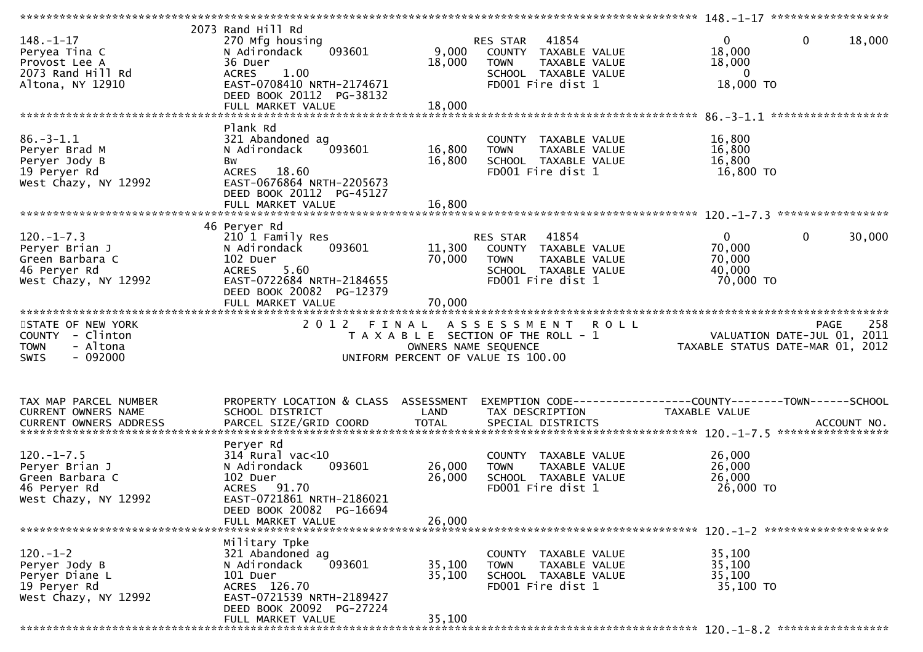| $148. - 1 - 17$<br>Peryea Tina C<br>Provost Lee A<br>2073 Rand Hill Rd<br>Altona, NY 12910   | 2073 Rand Hill Rd<br>270 Mfg housing<br>093601<br>N Adirondack<br>36 Duer<br>1.00<br><b>ACRES</b><br>EAST-0708410 NRTH-2174671<br>DEED BOOK 20112 PG-38132   | 9,000<br>18,000               | 41854<br>RES STAR<br>COUNTY TAXABLE VALUE<br>TAXABLE VALUE<br><b>TOWN</b><br>SCHOOL TAXABLE VALUE<br>FD001 Fire dist 1 | $\mathbf 0$<br>18,000<br>18,000<br>$\overline{0}$<br>18,000 TO                | $\mathbf{0}$<br>18,000 |
|----------------------------------------------------------------------------------------------|--------------------------------------------------------------------------------------------------------------------------------------------------------------|-------------------------------|------------------------------------------------------------------------------------------------------------------------|-------------------------------------------------------------------------------|------------------------|
| $86. - 3 - 1.1$<br>Peryer Brad M<br>Peryer Jody B<br>19 Peryer Rd<br>West Chazy, NY 12992    | Plank Rd<br>321 Abandoned ag<br>093601<br>N Adirondack<br>Bw<br>ACRES 18.60<br>EAST-0676864 NRTH-2205673<br>DEED BOOK 20112 PG-45127                         | 16,800<br>16,800              | COUNTY TAXABLE VALUE<br>TAXABLE VALUE<br><b>TOWN</b><br>SCHOOL TAXABLE VALUE<br>FD001 Fire dist 1                      | 16,800<br>16,800<br>16,800<br>16,800 TO                                       |                        |
|                                                                                              | 46 Peryer Rd                                                                                                                                                 |                               |                                                                                                                        |                                                                               |                        |
| $120. -1 - 7.3$<br>Peryer Brian J<br>Green Barbara C<br>46 Peryer Rd<br>West Chazy, NY 12992 | 210 1 Family Res<br>N Adirondack<br>093601<br>102 Duer<br><b>ACRES</b><br>5.60<br>EAST-0722684 NRTH-2184655<br>DEED BOOK 20082 PG-12379<br>FULL MARKET VALUE | 11,300<br>70,000<br>70,000    | RES STAR 41854<br>COUNTY TAXABLE VALUE<br>TAXABLE VALUE<br><b>TOWN</b><br>SCHOOL TAXABLE VALUE<br>FD001 Fire dist 1    | $\overline{0}$<br>70,000<br>70,000<br>40,000<br>70,000 TO                     | $\mathbf{0}$<br>30,000 |
|                                                                                              |                                                                                                                                                              |                               |                                                                                                                        |                                                                               |                        |
| STATE OF NEW YORK<br>COUNTY - Clinton<br><b>TOWN</b><br>- Altona<br>$-092000$<br><b>SWIS</b> | 2 0 1 2                                                                                                                                                      | FINAL<br>OWNERS NAME SEQUENCE | ASSESSMENT<br>R O L L<br>T A X A B L E SECTION OF THE ROLL - 1<br>UNIFORM PERCENT OF VALUE IS 100.00                   | VALUATION DATE-JUL 01, 2011<br>TAXABLE STATUS DATE-MAR 01, 2012               | 258<br><b>PAGE</b>     |
| TAX MAP PARCEL NUMBER<br>CURRENT OWNERS NAME<br>CURRENT OWNERS ADDRESS                       | PROPERTY LOCATION & CLASS ASSESSMENT<br>SCHOOL DISTRICT<br>PARCEL SIZE/GRID COORD                                                                            | LAND<br><b>TOTAL</b>          | TAX DESCRIPTION<br>SPECIAL DISTRICTS                                                                                   | EXEMPTION CODE-----------------COUNTY-------TOWN------SCHOOL<br>TAXABLE VALUE | ACCOUNT NO.            |
|                                                                                              | Peryer Rd                                                                                                                                                    |                               |                                                                                                                        |                                                                               |                        |
| $120. -1 - 7.5$<br>Peryer Brian J<br>Green Barbara C<br>46 Peryer Rd<br>West Chazy, NY 12992 | $314$ Rural vac<10<br>093601<br>N Adirondack<br>102 Duer<br>ACRES 91.70<br>EAST-0721861 NRTH-2186021<br>DEED BOOK 20082 PG-16694                             | 26,000<br>26,000              | COUNTY TAXABLE VALUE<br>TAXABLE VALUE<br><b>TOWN</b><br>SCHOOL TAXABLE VALUE<br>FD001 Fire dist 1                      | 26,000<br>26,000<br>26,000<br>26,000 TO                                       |                        |
|                                                                                              | FULL MARKET VALUE                                                                                                                                            | 26,000                        |                                                                                                                        |                                                                               |                        |
| $120. - 1 - 2$<br>Peryer Jody B<br>Peryer Diane L<br>19 Peryer Rd<br>West Chazy, NY 12992    | Military Tpke<br>321 Abandoned ag<br>N Adirondack<br>093601<br>101 Duer<br>ACRES 126.70<br>EAST-0721539 NRTH-2189427<br>DEED BOOK 20092 PG-27224             | 35,100<br>35,100              | COUNTY TAXABLE VALUE<br><b>TOWN</b><br>TAXABLE VALUE<br>SCHOOL TAXABLE VALUE<br>FD001 Fire dist 1                      | 35,100<br>35,100<br>35,100<br>35,100 TO                                       |                        |
|                                                                                              | FULL MARKET VALUE                                                                                                                                            | 35,100                        |                                                                                                                        |                                                                               |                        |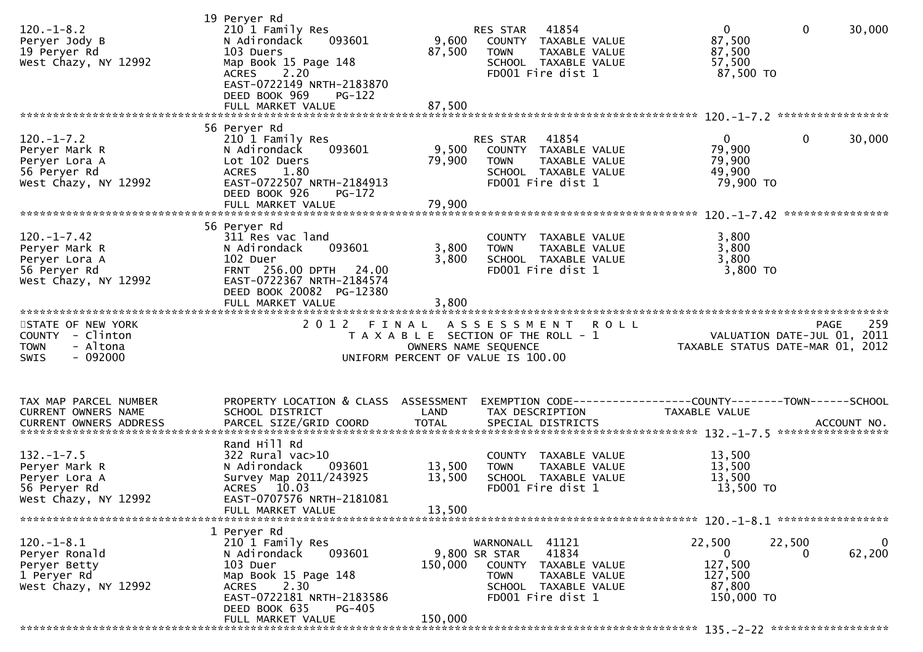| $120.-1-8.2$<br>Peryer Jody B<br>19 Peryer Rd<br>West Chazy, NY 12992                       | 19 Peryer Rd<br>210 1 Family Res<br>093601<br>N Adirondack<br>103 Duers<br>Map Book 15 Page 148<br><b>ACRES</b><br>2.20<br>EAST-0722149 NRTH-2183870<br>DEED BOOK 969<br>$PG-122$                         | 9,600<br>87,500            | RES STAR 41854<br>COUNTY TAXABLE VALUE<br>TAXABLE VALUE<br><b>TOWN</b><br>SCHOOL TAXABLE VALUE<br>FD001 Fire dist 1                                  | $\overline{0}$<br>$\mathbf{0}$<br>30,000<br>87,500<br>87,500<br>57,500<br>87,500 TO                                               |
|---------------------------------------------------------------------------------------------|-----------------------------------------------------------------------------------------------------------------------------------------------------------------------------------------------------------|----------------------------|------------------------------------------------------------------------------------------------------------------------------------------------------|-----------------------------------------------------------------------------------------------------------------------------------|
| $120.-1-7.2$<br>Peryer Mark R<br>Peryer Lora A<br>56 Peryer Rd<br>West Chazy, NY 12992      | 56 Peryer Rd<br>210 1 Family Res<br>093601<br>N Adirondack<br>Lot 102 Duers<br><b>ACRES</b><br>1.80<br>EAST-0722507 NRTH-2184913<br>DEED BOOK 926<br>PG-172<br>FULL MARKET VALUE                          | 79,900<br>79,900           | 41854<br>RES STAR<br>9,500 COUNTY TAXABLE VALUE<br><b>TOWN</b><br>TAXABLE VALUE<br>SCHOOL TAXABLE VALUE<br>FD001 Fire dist 1                         | $\mathbf{0}$<br>0<br>30,000<br>79,900<br>79,900<br>49,900<br>79,900 то                                                            |
| $120. -1 - 7.42$<br>Peryer Mark R<br>Peryer Lora A<br>56 Peryer Rd<br>West Chazy, NY 12992  | 56 Peryer Rd<br>311 Res vac land<br>093601<br>N Adirondack<br>102 Duer<br>FRNT 256.00 DPTH 24.00<br>EAST-0722367 NRTH-2184574<br>DEED BOOK 20082 PG-12380                                                 | 3,800<br>3,800             | COUNTY TAXABLE VALUE<br>TAXABLE VALUE<br><b>TOWN</b><br>SCHOOL TAXABLE VALUE<br>FD001 Fire dist 1                                                    | 3,800<br>3,800<br>3,800<br>$3,800$ TO                                                                                             |
| STATE OF NEW YORK<br>COUNTY - Clinton<br><b>TOWN</b><br>- Altona<br><b>SWIS</b><br>- 092000 | 2012 FINAL                                                                                                                                                                                                |                            | ASSESSMENT ROLL<br>T A X A B L E SECTION OF THE ROLL - 1<br>OWNERS NAME SEQUENCE<br>UNIFORM PERCENT OF VALUE IS 100.00                               | 259<br><b>PAGE</b><br>PAGE 259<br>VALUATION DATE-JUL 01, 2011<br>TAXARLE STATUS DATE USE 2011<br>TAXABLE STATUS DATE-MAR 01, 2012 |
| TAX MAP PARCEL NUMBER<br>CURRENT OWNERS NAME                                                | PROPERTY LOCATION & CLASS ASSESSMENT<br>SCHOOL DISTRICT                                                                                                                                                   | LAND                       | TAX DESCRIPTION                                                                                                                                      | EXEMPTION CODE-----------------COUNTY-------TOWN------SCHOOL<br>TAXABLE VALUE                                                     |
| $132. - 1 - 7.5$<br>Peryer Mark R<br>Peryer Lora A<br>56 Peryer Rd<br>West Chazy, NY 12992  | Rand Hill Rd<br>$322$ Rural vac $>10$<br>N Adirondack<br>093601<br>Survey Map 2011/243925<br>ACRES 10.03<br>EAST-0707576 NRTH-2181081<br>FULL MARKET VALUE                                                | 13,500<br>13,500<br>13,500 | COUNTY TAXABLE VALUE<br><b>TOWN</b><br>TAXABLE VALUE<br>SCHOOL TAXABLE VALUE<br>FD001 Fire dist 1                                                    | 13,500<br>13,500<br>13,500<br>13,500 TO                                                                                           |
| $120.-1-8.1$<br>Peryer Ronald<br>Peryer Betty<br>1 Peryer Rd<br>West Chazy, NY 12992        | 1 Peryer Rd<br>210 1 Family Res<br>093601<br>N Adirondack<br>103 Duer<br>Map Book 15 Page 148<br>2.30<br><b>ACRES</b><br>EAST-0722181 NRTH-2183586<br>DEED BOOK 635<br><b>PG-405</b><br>FULL MARKET VALUE | 150,000<br>150,000         | 41121<br>WARNONALL<br>9,800 SR STAR<br>41834<br>TAXABLE VALUE<br>COUNTY<br><b>TOWN</b><br>TAXABLE VALUE<br>SCHOOL TAXABLE VALUE<br>FD001 Fire dist 1 | 22,500<br>22,500<br>0<br>62,200<br>0<br>0<br>127,500<br>127,500<br>87,800<br>150,000 TO                                           |
|                                                                                             |                                                                                                                                                                                                           |                            |                                                                                                                                                      |                                                                                                                                   |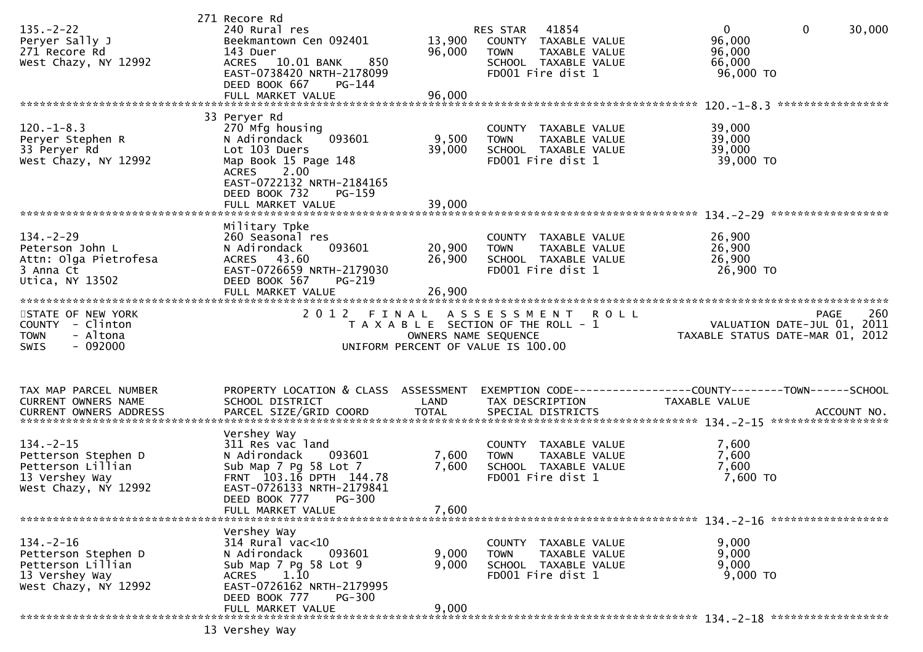|                               | 271 Recore Rd                        |                      |                                       |                                        |  |
|-------------------------------|--------------------------------------|----------------------|---------------------------------------|----------------------------------------|--|
| $135. -2 - 22$                | 240 Rural res                        |                      | 41854<br>RES STAR                     | $\mathbf{0}$<br>$\mathbf{0}$<br>30,000 |  |
| Peryer Sally J                | Beekmantown Cen 092401               | 13,900               | COUNTY TAXABLE VALUE                  | 96,000                                 |  |
|                               |                                      |                      |                                       |                                        |  |
| 271 Recore Rd                 | 143 Duer                             | 96,000               | TAXABLE VALUE<br><b>TOWN</b>          | 96,000                                 |  |
| West Chazy, NY 12992          | 850<br>ACRES 10.01 BANK              |                      | SCHOOL TAXABLE VALUE                  | 66,000                                 |  |
|                               | EAST-0738420 NRTH-2178099            |                      | FD001 Fire dist 1                     | 96,000 TO                              |  |
|                               | DEED BOOK 667<br>PG-144              |                      |                                       |                                        |  |
|                               |                                      | 96,000               |                                       |                                        |  |
|                               | FULL MARKET VALUE                    |                      |                                       |                                        |  |
|                               |                                      |                      |                                       |                                        |  |
|                               | 33 Peryer Rd                         |                      |                                       |                                        |  |
| $120. -1 - 8.3$               | 270 Mfg housing                      |                      | COUNTY TAXABLE VALUE                  | 39,000                                 |  |
| Peryer Stephen R              | N Adirondack<br>093601               | 9,500                | <b>TOWN</b><br>TAXABLE VALUE          | 39,000                                 |  |
|                               |                                      |                      |                                       |                                        |  |
| 33 Peryer Rd                  | Lot 103 Duers                        | 39,000               | SCHOOL TAXABLE VALUE                  | 39,000                                 |  |
| West Chazy, NY 12992          | Map Book 15 Page 148                 |                      | FD001 Fire dist 1                     | 39,000 TO                              |  |
|                               | <b>ACRES</b><br>2.00                 |                      |                                       |                                        |  |
|                               | EAST-0722132 NRTH-2184165            |                      |                                       |                                        |  |
|                               |                                      |                      |                                       |                                        |  |
|                               | DEED BOOK 732<br>PG-159              |                      |                                       |                                        |  |
|                               | FULL MARKET VALUE                    | 39,000               |                                       |                                        |  |
|                               |                                      |                      |                                       |                                        |  |
|                               | Military Tpke                        |                      |                                       |                                        |  |
| $134. - 2 - 29$               | 260 Seasonal res                     |                      | COUNTY TAXABLE VALUE                  | 26,900                                 |  |
|                               |                                      |                      |                                       |                                        |  |
| Peterson John L               | 093601<br>N Adirondack               | 20,900               | <b>TOWN</b><br>TAXABLE VALUE          | 26,900                                 |  |
| Attn: Olga Pietrofesa         | ACRES 43.60                          | 26,900               | SCHOOL TAXABLE VALUE                  | 26,900                                 |  |
| 3 Anna Ct                     | EAST-0726659 NRTH-2179030            |                      | FD001 Fire dist 1                     | 26,900 TO                              |  |
| Utica, NY 13502               | DEED BOOK 567<br>PG-219              |                      |                                       |                                        |  |
|                               |                                      | 26,900               |                                       |                                        |  |
|                               | FULL MARKET VALUE                    |                      |                                       |                                        |  |
|                               |                                      |                      |                                       |                                        |  |
| STATE OF NEW YORK             | 2 0 1 2<br>FINAL                     |                      | A S S E S S M E N T<br><b>ROLL</b>    | 260<br><b>PAGE</b>                     |  |
|                               |                                      |                      |                                       |                                        |  |
|                               |                                      |                      |                                       |                                        |  |
| COUNTY - Clinton              |                                      |                      | T A X A B L E SECTION OF THE ROLL - 1 | VALUATION DATE-JUL 01, 2011            |  |
| - Altona<br><b>TOWN</b>       |                                      | OWNERS NAME SEQUENCE |                                       | TAXABLE STATUS DATE-MAR 01, 2012       |  |
| $-092000$<br>SWIS             |                                      |                      | UNIFORM PERCENT OF VALUE IS 100.00    |                                        |  |
|                               |                                      |                      |                                       |                                        |  |
|                               |                                      |                      |                                       |                                        |  |
|                               |                                      |                      |                                       |                                        |  |
|                               |                                      |                      |                                       |                                        |  |
| TAX MAP PARCEL NUMBER         | PROPERTY LOCATION & CLASS ASSESSMENT |                      |                                       |                                        |  |
| CURRENT OWNERS NAME           | SCHOOL DISTRICT                      | LAND                 | TAX DESCRIPTION                       | TAXABLE VALUE                          |  |
| <b>CURRENT OWNERS ADDRESS</b> | PARCEL SIZE/GRID COORD               | <b>TOTAL</b>         | SPECIAL DISTRICTS                     | ACCOUNT NO.                            |  |
|                               |                                      |                      |                                       |                                        |  |
|                               |                                      |                      |                                       |                                        |  |
|                               | Vershey Way                          |                      |                                       |                                        |  |
| $134. -2 - 15$                | 311 Res vac land                     |                      | COUNTY TAXABLE VALUE                  | 7,600                                  |  |
| Petterson Stephen D           | N Adirondack<br>093601               | 7,600                | TAXABLE VALUE<br><b>TOWN</b>          | 7,600                                  |  |
| Petterson Lillian             | Sub Map 7 Pg 58 Lot 7                | 7,600                | SCHOOL TAXABLE VALUE                  | 7,600                                  |  |
| 13 Vershey Way                | FRNT 103.16 DPTH 144.78              |                      | FD001 Fire dist 1                     | $7,600$ TO                             |  |
|                               |                                      |                      |                                       |                                        |  |
| West Chazy, NY 12992          | EAST-0726133 NRTH-2179841            |                      |                                       |                                        |  |
|                               | DEED BOOK 777<br><b>PG-300</b>       |                      |                                       |                                        |  |
|                               | FULL MARKET VALUE                    | 7,600                |                                       |                                        |  |
|                               |                                      |                      |                                       |                                        |  |
|                               | Vershey Way                          |                      |                                       |                                        |  |
| $134. - 2 - 16$               |                                      |                      | COUNTY TAXABLE VALUE                  |                                        |  |
|                               | $314$ Rural vac<10                   |                      |                                       | 9,000                                  |  |
| Petterson Stephen D           | 093601<br>N Adirondack               | 9,000                | TAXABLE VALUE<br><b>TOWN</b>          | 9,000                                  |  |
| Petterson Lillian             | Sub Map 7 Pg 58 Lot 9                | 9,000                | SCHOOL TAXABLE VALUE                  | 9,000                                  |  |
| 13 Vershey Way                | 1.10<br>ACRES                        |                      | FD001 Fire dist 1                     | $9,000$ TO                             |  |
| West Chazy, NY 12992          | EAST-0726162 NRTH-2179995            |                      |                                       |                                        |  |
|                               |                                      |                      |                                       |                                        |  |
|                               | PG-300<br>DEED BOOK 777              |                      |                                       |                                        |  |
|                               | FULL MARKET VALUE                    | 9,000                |                                       |                                        |  |

13 Vershey Way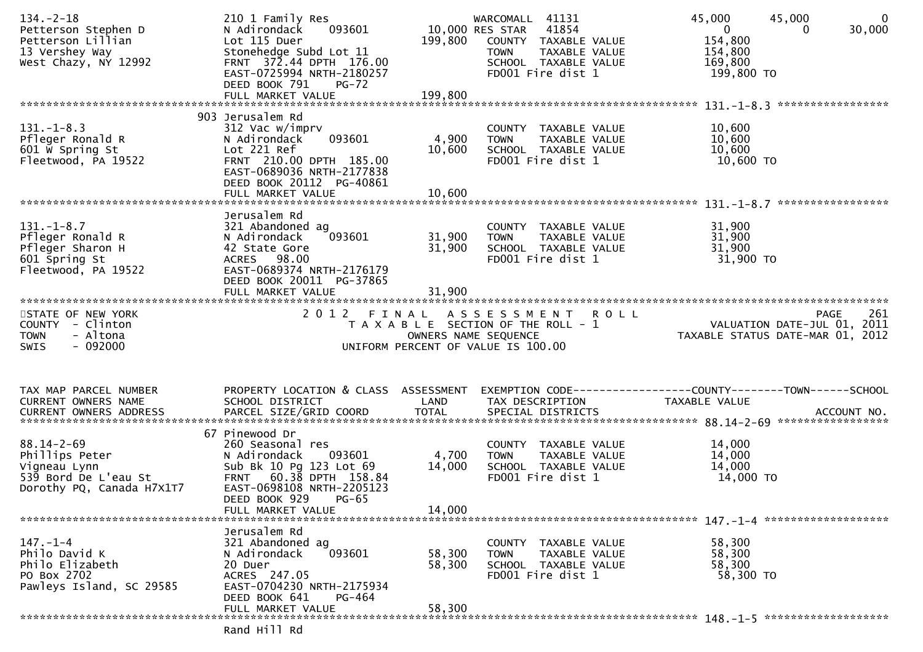| $134. - 2 - 18$<br>Petterson Stephen D<br>Petterson Lillian<br>13 Vershey Way<br>West Chazy, NY 12992   | 210 1 Family Res<br>093601<br>N Adirondack<br>Lot 115 Duer<br>Stonehedge Subd Lot 11<br>FRNT 372.44 DPTH 176.00<br>EAST-0725994 NRTH-2180257<br>DEED BOOK 791<br><b>PG-72</b><br>FULL MARKET VALUE | 199,800<br>199,800        | WARCOMALL 41131<br>10,000 RES STAR<br>41854<br>COUNTY TAXABLE VALUE<br><b>TOWN</b><br>TAXABLE VALUE<br>SCHOOL TAXABLE VALUE<br>FD001 Fire dist 1 | 45,000<br>45,000<br>$\overline{0}$<br>$\mathbf{0}$<br>30,000<br>$\Omega$<br>154,800<br>154,800<br>169,800<br>199,800 TO |
|---------------------------------------------------------------------------------------------------------|----------------------------------------------------------------------------------------------------------------------------------------------------------------------------------------------------|---------------------------|--------------------------------------------------------------------------------------------------------------------------------------------------|-------------------------------------------------------------------------------------------------------------------------|
|                                                                                                         |                                                                                                                                                                                                    |                           |                                                                                                                                                  |                                                                                                                         |
| $131. - 1 - 8.3$<br>Pfleger Ronald R<br>601 W Spring St<br>Fleetwood, PA 19522                          | 903 Jerusalem Rd<br>312 Vac w/imprv<br>093601<br>N Adirondack<br>Lot 221 Ref<br>FRNT 210.00 DPTH 185.00<br>EAST-0689036 NRTH-2177838<br>DEED BOOK 20112 PG-40861<br>FULL MARKET VALUE              | 4,900<br>10,600<br>10,600 | COUNTY TAXABLE VALUE<br>TAXABLE VALUE<br><b>TOWN</b><br>SCHOOL TAXABLE VALUE<br>FD001 Fire dist 1                                                | 10,600<br>10,600<br>10,600<br>10,600 TO                                                                                 |
|                                                                                                         | Jerusalem Rd                                                                                                                                                                                       |                           |                                                                                                                                                  |                                                                                                                         |
| $131. - 1 - 8.7$<br>Pfleger Ronald R<br>Pfleger Sharon H<br>601 Spring St<br>Fleetwood, PA 19522        | 321 Abandoned ag<br>093601<br>N Adirondack<br>42 State Gore<br>ACRES 98.00<br>EAST-0689374 NRTH-2176179<br>DEED BOOK 20011 PG-37865                                                                | 31,900<br>31,900          | COUNTY TAXABLE VALUE<br>TAXABLE VALUE<br><b>TOWN</b><br>SCHOOL TAXABLE VALUE<br>FD001 Fire dist 1                                                | 31,900<br>31,900<br>31,900<br>31,900 TO                                                                                 |
|                                                                                                         | FULL MARKET VALUE                                                                                                                                                                                  | 31,900                    |                                                                                                                                                  |                                                                                                                         |
| STATE OF NEW YORK<br>COUNTY - Clinton<br>- Altona<br><b>TOWN</b><br>$-092000$<br><b>SWIS</b>            | 2012 FINAL                                                                                                                                                                                         | OWNERS NAME SEQUENCE      | A S S E S S M E N T<br><b>ROLL</b><br>T A X A B L E SECTION OF THE ROLL - 1<br>UNIFORM PERCENT OF VALUE IS 100.00                                | 261<br>PAGE<br>VALUATION DATE-JUL 01, 2011<br>TAXABLE STATUS DATE-MAR 01, 2012                                          |
| TAX MAP PARCEL NUMBER<br>CURRENT OWNERS NAME                                                            | PROPERTY LOCATION & CLASS ASSESSMENT<br>SCHOOL DISTRICT                                                                                                                                            | LAND                      | TAX DESCRIPTION                                                                                                                                  | EXEMPTION CODE-----------------COUNTY-------TOWN------SCHOOL<br>TAXABLE VALUE                                           |
|                                                                                                         |                                                                                                                                                                                                    |                           |                                                                                                                                                  |                                                                                                                         |
| $88.14 - 2 - 69$<br>Phillips Peter<br>Vigneau Lynn<br>539 Bord De L'eau St<br>Dorothy PQ, Canada H7X1T7 | 67 Pinewood Dr<br>260 Seasonal res<br>093601<br>N Adirondack<br>Sub Bk 10 Pg 123 Lot 69<br>FRNT 60.38 DPTH 158.84<br>EAST-0698108 NRTH-2205123<br>DEED BOOK 929<br>$PG-65$<br>FULL MARKET VALUE    | 4,700<br>14,000<br>14,000 | COUNTY TAXABLE VALUE<br><b>TOWN</b><br>TAXABLE VALUE<br>SCHOOL TAXABLE VALUE<br>FD001 Fire dist 1                                                | 14,000<br>14,000<br>14,000<br>14,000 TO                                                                                 |
|                                                                                                         |                                                                                                                                                                                                    |                           |                                                                                                                                                  |                                                                                                                         |
| $147. - 1 - 4$<br>Philo David K<br>Philo Elizabeth<br>PO Box 2702<br>Pawleys Island, SC 29585           | Jerusalem Rd<br>321 Abandoned ag<br>093601<br>N Adirondack<br>20 Duer<br>ACRES 247.05<br>EAST-0704230 NRTH-2175934<br>DEED BOOK 641<br>PG-464                                                      | 58,300<br>58,300          | COUNTY TAXABLE VALUE<br><b>TOWN</b><br>TAXABLE VALUE<br>SCHOOL TAXABLE VALUE<br>FD001 Fire dist 1                                                | 58,300<br>58,300<br>58,300<br>58,300 TO                                                                                 |
|                                                                                                         | FULL MARKET VALUE<br>Rand Hill Rd                                                                                                                                                                  | 58,300                    |                                                                                                                                                  |                                                                                                                         |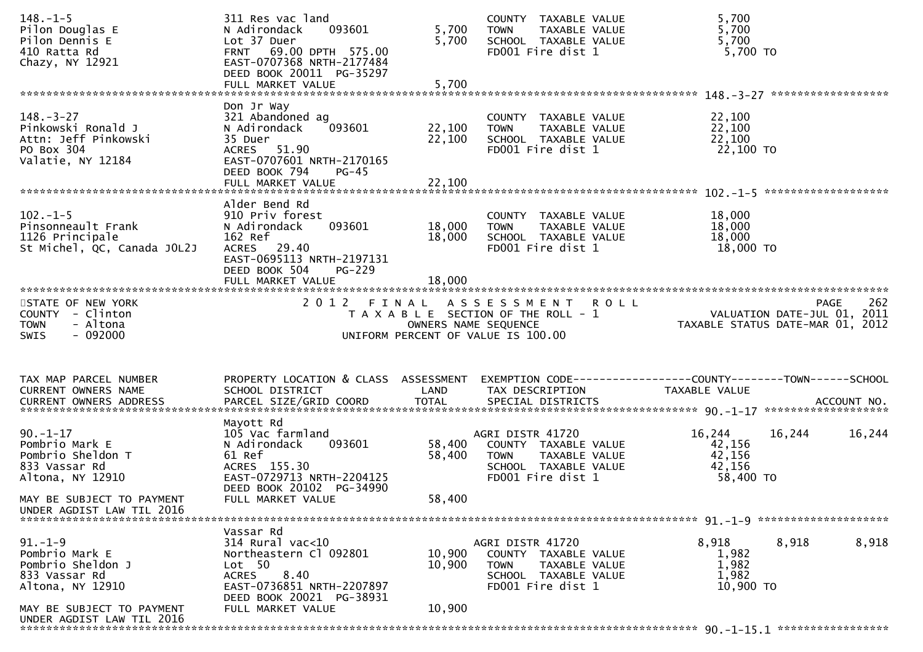| $148. - 1 - 5$<br>Pilon Douglas E<br>Pilon Dennis E<br>410 Ratta Rd<br>Chazy, NY 12921           | 311 Res vac land<br>093601<br>N Adirondack<br>Lot 37 Duer<br>FRNT 69.00 DPTH 575.00<br>EAST-0707368 NRTH-2177484<br>DEED BOOK 20011 PG-35297<br>FULL MARKET VALUE | 5,700<br>5,700<br>5,700    | COUNTY TAXABLE VALUE<br>TAXABLE VALUE<br><b>TOWN</b><br>SCHOOL TAXABLE VALUE<br>FD001 Fire dist 1                      | 5,700<br>5,700<br>5,700<br>$5,700$ TO                                           |                    |
|--------------------------------------------------------------------------------------------------|-------------------------------------------------------------------------------------------------------------------------------------------------------------------|----------------------------|------------------------------------------------------------------------------------------------------------------------|---------------------------------------------------------------------------------|--------------------|
|                                                                                                  |                                                                                                                                                                   |                            |                                                                                                                        |                                                                                 |                    |
| $148. - 3 - 27$<br>Pinkowski Ronald J<br>Attn: Jeff Pinkowski<br>PO Box 304<br>Valatie, NY 12184 | Don Jr Way<br>321 Abandoned ag<br>N Adirondack<br>093601<br>35 Duer<br>ACRES 51.90<br>EAST-0707601 NRTH-2170165<br>DEED BOOK 794<br>$PG-45$<br>FULL MARKET VALUE  | 22,100<br>22,100<br>22,100 | COUNTY TAXABLE VALUE<br>TAXABLE VALUE<br><b>TOWN</b><br>SCHOOL TAXABLE VALUE<br>FD001 Fire dist 1                      | 22,100<br>22,100<br>22,100<br>22,100 TO                                         |                    |
|                                                                                                  | Alder Bend Rd                                                                                                                                                     |                            |                                                                                                                        |                                                                                 |                    |
| $102 - 1 - 5$<br>Pinsonneault Frank<br>1126 Principale<br>St Michel, QC, Canada JOL2J            | 910 Priv forest<br>093601<br>N Adirondack<br>162 Ref<br>ACRES 29.40<br>EAST-0695113 NRTH-2197131<br>DEED BOOK 504<br>$PG-229$                                     | 18,000<br>18,000           | COUNTY TAXABLE VALUE<br>TAXABLE VALUE<br><b>TOWN</b><br>SCHOOL TAXABLE VALUE<br>FD001 Fire dist 1                      | 18,000<br>18,000<br>18,000<br>18,000 TO                                         |                    |
|                                                                                                  | FULL MARKET VALUE                                                                                                                                                 | 18,000                     |                                                                                                                        |                                                                                 |                    |
| STATE OF NEW YORK<br>COUNTY - Clinton<br><b>TOWN</b><br>- Altona<br>$-092000$<br><b>SWIS</b>     | 2 0 1 2<br>F I N A L                                                                                                                                              |                            | ASSESSMENT ROLL<br>T A X A B L E SECTION OF THE ROLL - 1<br>OWNERS NAME SEQUENCE<br>UNIFORM PERCENT OF VALUE IS 100.00 | VALUATION DATE-JUL 01, 2011<br>TAXABLE STATUS DATE-MAR 01, 2012                 | 262<br><b>PAGE</b> |
| TAX MAP PARCEL NUMBER<br>CURRENT OWNERS NAME                                                     | PROPERTY LOCATION & CLASS ASSESSMENT<br>SCHOOL DISTRICT                                                                                                           | LAND                       | TAX DESCRIPTION                                                                                                        | EXEMPTION CODE------------------COUNTY--------TOWN------SCHOOL<br>TAXABLE VALUE |                    |
|                                                                                                  | Mayott Rd                                                                                                                                                         |                            |                                                                                                                        |                                                                                 |                    |
| $90. -1 - 17$<br>Pombrio Mark E<br>Pombrio Sheldon T<br>833 Vassar Rd<br>Altona, NY 12910        | 105 Vac farmland<br>N Adirondack<br>093601<br>61 Ref<br>ACRES 155.30<br>EAST-0729713 NRTH-2204125<br>DEED BOOK 20102 PG-34990                                     | 58,400<br>58,400           | AGRI DISTR 41720<br>COUNTY TAXABLE VALUE<br>TAXABLE VALUE<br><b>TOWN</b><br>SCHOOL TAXABLE VALUE<br>FD001 Fire dist 1  | 16,244<br>16,244<br>42,156<br>42,156<br>42,156<br>58,400 TO                     | 16,244             |
| MAY BE SUBJECT TO PAYMENT<br>UNDER AGDIST LAW TIL 2016                                           | FULL MARKET VALUE                                                                                                                                                 | 58,400                     |                                                                                                                        |                                                                                 |                    |
|                                                                                                  |                                                                                                                                                                   |                            |                                                                                                                        |                                                                                 |                    |
| $91. - 1 - 9$<br>Pombrio Mark E<br>Pombrio Sheldon J<br>833 Vassar Rd<br>Altona, NY 12910        | Vassar Rd<br>$314$ Rural vac<10<br>Northeastern Cl 092801<br>Lot 50<br>8.40<br><b>ACRES</b><br>EAST-0736851 NRTH-2207897<br>DEED BOOK 20021 PG-38931              | 10,900<br>10,900           | AGRI DISTR 41720<br>COUNTY TAXABLE VALUE<br><b>TOWN</b><br>TAXABLE VALUE<br>SCHOOL TAXABLE VALUE<br>FD001 Fire dist 1  | 8,918<br>8,918<br>1,982<br>1,982<br>1,982<br>10,900 TO                          | 8,918              |
| MAY BE SUBJECT TO PAYMENT<br>UNDER AGDIST LAW TIL 2016                                           | FULL MARKET VALUE                                                                                                                                                 | 10,900                     |                                                                                                                        |                                                                                 |                    |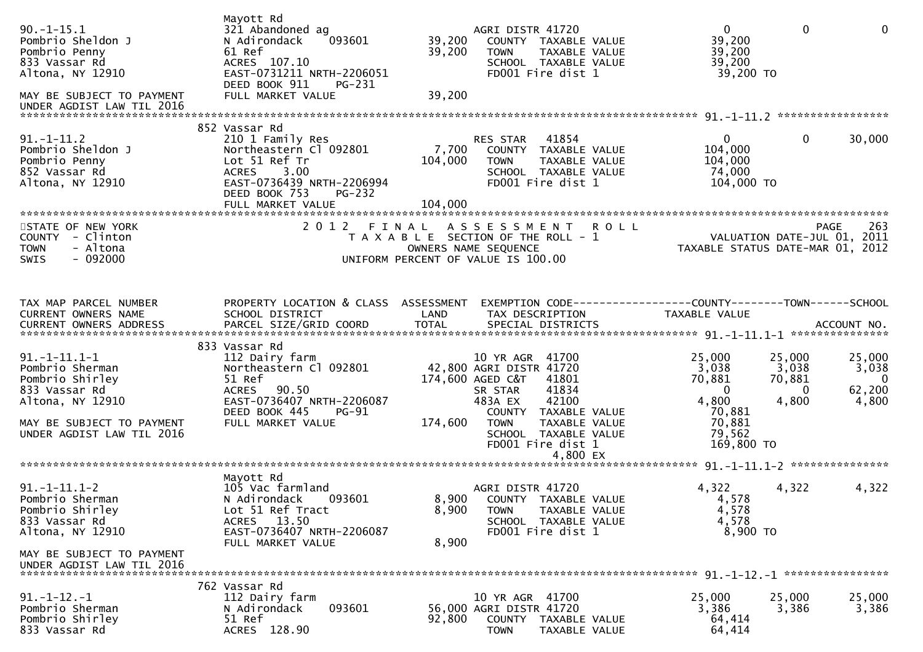| $90. -1 - 15.1$<br>Pombrio Sheldon J<br>Pombrio Penny<br>833 Vassar Rd<br>Altona, NY 12910<br>MAY BE SUBJECT TO PAYMENT<br>UNDER AGDIST LAW TIL 2016     | Mayott Rd<br>321 Abandoned ag<br>N Adirondack<br>093601<br>61 Ref<br>ACRES 107.10<br>EAST-0731211 NRTH-2206051<br>DEED BOOK 911<br>PG-231<br>FULL MARKET VALUE                 | 39,200<br>39,200<br>39,200  | AGRI DISTR 41720<br><b>TOWN</b><br>FD001 Fire dist 1                                                                     | COUNTY TAXABLE VALUE<br>TAXABLE VALUE<br>SCHOOL TAXABLE VALUE                                        | $\mathbf{0}$<br>39,200<br>39,200<br>39,200<br>39,200 TO                                    | $\mathbf 0$                                        | $\mathbf{0}$                                                  |
|----------------------------------------------------------------------------------------------------------------------------------------------------------|--------------------------------------------------------------------------------------------------------------------------------------------------------------------------------|-----------------------------|--------------------------------------------------------------------------------------------------------------------------|------------------------------------------------------------------------------------------------------|--------------------------------------------------------------------------------------------|----------------------------------------------------|---------------------------------------------------------------|
| $91. - 1 - 11.2$<br>Pombrio Sheldon J<br>Pombrio Penny<br>852 Vassar Rd<br>Altona, NY 12910                                                              | 852 Vassar Rd<br>210 1 Family Res<br>Northeastern Cl 092801<br>Lot 51 Ref Tr<br>ACRES 3.00<br>EAST-0736439 NRTH-2206994<br>DEED BOOK 753<br><b>PG-232</b><br>FULL MARKET VALUE | 7,700<br>104,000<br>104,000 | RES STAR<br><b>TOWN</b><br>FD001 Fire dist 1                                                                             | 41854<br>COUNTY TAXABLE VALUE<br>TAXABLE VALUE<br>SCHOOL TAXABLE VALUE                               | 0<br>104,000<br>104,000<br>74,000<br>104,000 TO                                            | 0                                                  | 30,000                                                        |
| STATE OF NEW YORK<br>COUNTY - Clinton<br><b>TOWN</b><br>- Altona<br>$-092000$<br><b>SWIS</b>                                                             | 2012 FINAL                                                                                                                                                                     |                             | T A X A B L E SECTION OF THE ROLL - 1<br>OWNERS NAME SEQUENCE<br>UNIFORM PERCENT OF VALUE IS 100.00                      | ASSESSMENT ROLL                                                                                      | VALUATION DATE-JUL 01, 2011<br>TAXABLE STATUS DATE-MAR 01, 2012                            |                                                    | 263<br>PAGE                                                   |
| TAX MAP PARCEL NUMBER<br>CURRENT OWNERS NAME                                                                                                             | PROPERTY LOCATION & CLASS ASSESSMENT<br>SCHOOL DISTRICT                                                                                                                        | LAND                        | TAX DESCRIPTION                                                                                                          |                                                                                                      | EXEMPTION CODE------------------COUNTY--------TOWN------SCHOOL<br><b>TAXABLE VALUE</b>     |                                                    |                                                               |
| $91. -1 - 11.1 - 1$<br>Pombrio Sherman<br>Pombrio Shirley<br>833 Vassar Rd<br>Altona, NY 12910<br>MAY BE SUBJECT TO PAYMENT<br>UNDER AGDIST LAW TIL 2016 | 833 Vassar Rd<br>112 Dairy farm<br>Northeastern Cl 092801<br>51 Ref<br>ACRES 90.50<br>EAST-0736407 NRTH-2206087<br>DEED BOOK 445<br><b>PG-91</b><br>FULL MARKET VALUE          | 174,600                     | 10 YR AGR 41700<br>42,800 AGRI DISTR 41720<br>174,600 AGED C&T<br>SR STAR<br>483A EX<br><b>TOWN</b><br>FD001 Fire dist 1 | 41801<br>41834<br>42100<br>COUNTY TAXABLE VALUE<br>TAXABLE VALUE<br>SCHOOL TAXABLE VALUE<br>4,800 EX | 25,000<br>3,038<br>70,881<br>$\Omega$<br>4,800<br>70,881<br>70,881<br>79,562<br>169,800 TO | 25,000<br>3,038<br>70,881<br>$\mathbf{0}$<br>4,800 | 25,000<br>3,038<br>$\overline{\mathbf{0}}$<br>62,200<br>4,800 |
| $91. -1 - 11.1 - 2$<br>Pombrio Sherman<br>Pombrio Shirley<br>833 Vassar Rd<br>Altona, NY 12910<br>MAY BE SUBJECT TO PAYMENT<br>UNDER AGDIST LAW TIL 2016 | Mayott Rd<br>105 Vac farmland<br>N Adirondack<br>093601<br>Lot 51 Ref Tract<br>ACRES 13.50<br>EAST-0736407 NRTH-2206087<br>FULL MARKET VALUE                                   | 8,900<br>8,900              | AGRI DISTR 41720<br>8,900 COUNTY TAXABLE VALUE<br><b>TOWN</b><br>FD001 Fire dist 1                                       | TAXABLE VALUE<br>SCHOOL TAXABLE VALUE                                                                | 4,322<br>4,578<br>4,578<br>4,578<br>8,900 TO                                               | 4,322                                              | 4,322                                                         |
| $91. -1 - 12. -1$<br>Pombrio Sherman<br>Pombrio Shirley<br>833 Vassar Rd                                                                                 | 762 Vassar Rd<br>112 Dairy farm<br>N Adirondack<br>093601<br>51 Ref<br>ACRES 128.90                                                                                            | 92,800                      | 10 YR AGR 41700<br>56,000 AGRI DISTR 41720<br><b>COUNTY</b><br><b>TOWN</b>                                               | TAXABLE VALUE<br>TAXABLE VALUE                                                                       | 25,000<br>3,386<br>64,414<br>64,414                                                        | 25,000<br>3,386                                    | 25,000<br>3,386                                               |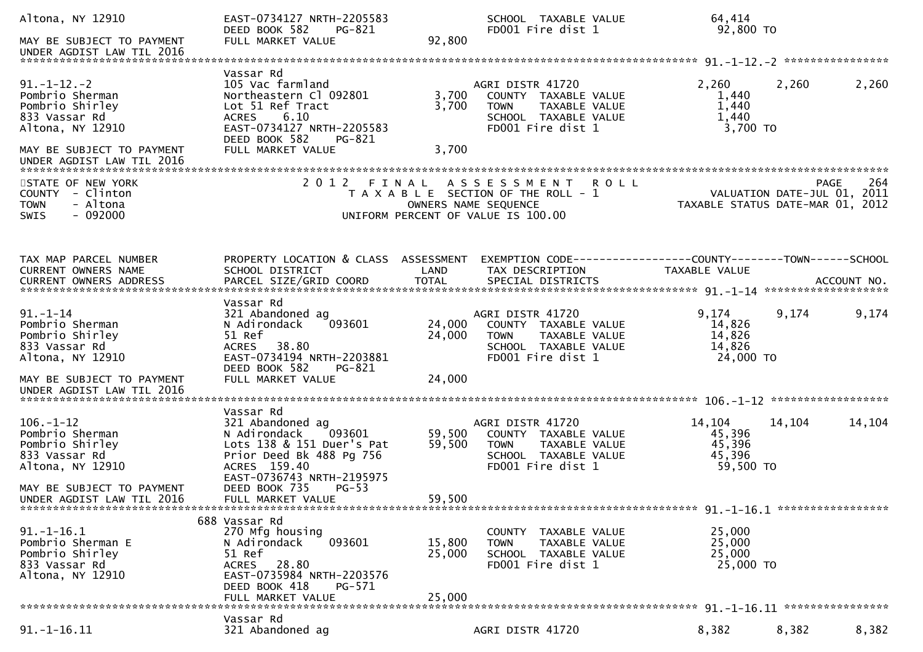| Altona, NY 12910<br>MAY BE SUBJECT TO PAYMENT                                                                               | EAST-0734127 NRTH-2205583<br>DEED BOOK 582<br>PG-821<br>FULL MARKET VALUE                                                                                                        | SCHOOL TAXABLE VALUE<br>FD001 Fire dist 1<br>92,800                                                                                                 | 64,414<br>92,800 TO                                                                                                                                                                              |
|-----------------------------------------------------------------------------------------------------------------------------|----------------------------------------------------------------------------------------------------------------------------------------------------------------------------------|-----------------------------------------------------------------------------------------------------------------------------------------------------|--------------------------------------------------------------------------------------------------------------------------------------------------------------------------------------------------|
|                                                                                                                             |                                                                                                                                                                                  |                                                                                                                                                     |                                                                                                                                                                                                  |
| $91. - 1 - 12. - 2$<br>Pombrio Sherman<br>Pombrio Shirley<br>833 Vassar Rd<br>Altona, NY 12910<br>MAY BE SUBJECT TO PAYMENT | Vassar Rd<br>105 Vac farmland<br>Northeastern Cl 092801<br>Lot 51 Ref Tract<br>6.10<br><b>ACRES</b><br>EAST-0734127 NRTH-2205583<br>DEED BOOK 582<br>PG-821<br>FULL MARKET VALUE | AGRI DISTR 41720<br>3,700<br>COUNTY TAXABLE VALUE<br>3,700<br><b>TOWN</b><br>TAXABLE VALUE<br>SCHOOL TAXABLE VALUE<br>FD001 Fire dist 1<br>3,700    | 2,260<br>2,260<br>2,260<br>1,440<br>1,440<br>1,440<br>3,700 TO                                                                                                                                   |
|                                                                                                                             |                                                                                                                                                                                  |                                                                                                                                                     |                                                                                                                                                                                                  |
| STATE OF NEW YORK<br>COUNTY - Clinton<br><b>TOWN</b><br>- Altona<br>$-092000$<br><b>SWIS</b>                                |                                                                                                                                                                                  | 2012 FINAL ASSESSMENT<br><b>ROLL</b><br>T A X A B L E SECTION OF THE ROLL - 1<br>OWNERS NAME SEQUENCE<br>UNIFORM PERCENT OF VALUE IS 100.00         | 264<br><b>PAGE</b><br>VALUATION DATE-JUL 01, 2011<br>TAXABLE STATUS DATE-MAR 01, 2012                                                                                                            |
| TAX MAP PARCEL NUMBER<br>CURRENT OWNERS NAME                                                                                | PROPERTY LOCATION & CLASS ASSESSMENT<br>SCHOOL DISTRICT                                                                                                                          | LAND<br>TAX DESCRIPTION                                                                                                                             | EXEMPTION CODE-----------------COUNTY-------TOWN------SCHOOL<br>TAXABLE VALUE<br>.CURRENT OWNERS ADDRESS PARCEL SIZE/GRID COORD TOTAL SPECIAL DISTRICTS ACCOUNT NO ACCOUNT NO ACCOUNT NO ACCOUNT |
| $91. - 1 - 14$<br>Pombrio Sherman<br>Pombrio Shirley<br>833 Vassar Rd<br>Altona, NY 12910                                   | Vassar Rd<br>321 Abandoned ag<br>N Adirondack<br>093601<br>51 Ref<br>38.80<br><b>ACRES</b><br>EAST-0734194 NRTH-2203881<br>DEED BOOK 582<br>PG-821<br>FULL MARKET VALUE          | AGRI DISTR 41720<br>24,000<br>COUNTY TAXABLE VALUE<br>24,000<br><b>TOWN</b><br>TAXABLE VALUE<br>SCHOOL TAXABLE VALUE<br>FD001 Fire dist 1<br>24,000 | 9,174<br>9,174<br>9,174<br>14,826<br>14,826<br>14,826<br>24,000 TO                                                                                                                               |
| MAY BE SUBJECT TO PAYMENT<br>UNDER AGDIST LAW TIL 2016                                                                      |                                                                                                                                                                                  |                                                                                                                                                     |                                                                                                                                                                                                  |
| $106. - 1 - 12$<br>Pombrio Sherman<br>Pombrio Shirley<br>833 Vassar Rd<br>Altona, NY 12910                                  | Vassar Rd<br>321 Abandoned ag<br>093601<br>N Adirondack<br>Lots 138 & 151 Duer's Pat<br>Prior Deed Bk 488 Pg 756<br>ACRES 159.40<br>EAST-0736743 NRTH-2195975                    | AGRI DISTR 41720<br>59,500<br>COUNTY TAXABLE VALUE<br>59,500<br><b>TOWN</b><br>TAXABLE VALUE<br>SCHOOL TAXABLE VALUE<br>FD001 Fire dist 1           | 14,104<br>14,104<br>14,104<br>45,396<br>45,396<br>45,396<br>59,500 TO                                                                                                                            |
| MAY BE SUBJECT TO PAYMENT<br>UNDER AGDIST LAW TIL 2016                                                                      | DEED BOOK 735<br>$PG-53$<br>FULL MARKET VALUE                                                                                                                                    | 59,500                                                                                                                                              |                                                                                                                                                                                                  |
| $91. - 1 - 16.1$<br>Pombrio Sherman E<br>Pombrio Shirley<br>833 Vassar Rd<br>Altona, NY 12910                               | 688 Vassar Rd<br>270 Mfg housing<br>093601<br>N Adirondack<br>51 Ref<br>28.80<br><b>ACRES</b><br>EAST-0735984 NRTH-2203576<br>DEED BOOK 418<br>PG-571<br>FULL MARKET VALUE       | COUNTY TAXABLE VALUE<br>15,800<br>TAXABLE VALUE<br><b>TOWN</b><br>25,000<br>SCHOOL TAXABLE VALUE<br>FD001 Fire dist 1<br>25,000                     | 25,000<br>25,000<br>25,000<br>25,000 TO                                                                                                                                                          |
| $91. - 1 - 16.11$                                                                                                           | Vassar Rd<br>321 Abandoned ag                                                                                                                                                    | AGRI DISTR 41720                                                                                                                                    | 8,382<br>8,382<br>8,382                                                                                                                                                                          |
|                                                                                                                             |                                                                                                                                                                                  |                                                                                                                                                     |                                                                                                                                                                                                  |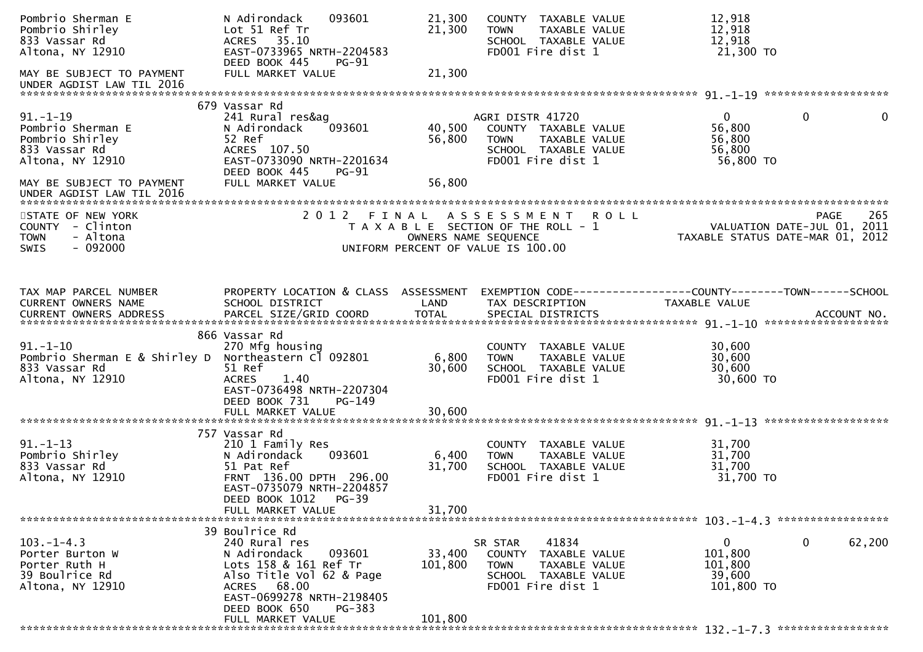| Pombrio Sherman E<br>Pombrio Shirley<br>833 Vassar Rd<br>Altona, NY 12910                                                | 093601<br>N Adirondack<br>Lot 51 Ref Tr<br>ACRES 35.10<br>EAST-0733965 NRTH-2204583<br>DEED BOOK 445<br><b>PG-91</b>                                                | 21,300<br>21,300           | COUNTY TAXABLE VALUE<br>TAXABLE VALUE<br><b>TOWN</b><br>SCHOOL TAXABLE VALUE<br>FD001 Fire dist 1                     | 12,918<br>12,918<br>12,918<br>21,300 TO                                              |             |
|--------------------------------------------------------------------------------------------------------------------------|---------------------------------------------------------------------------------------------------------------------------------------------------------------------|----------------------------|-----------------------------------------------------------------------------------------------------------------------|--------------------------------------------------------------------------------------|-------------|
| MAY BE SUBJECT TO PAYMENT<br>UNDER AGDIST LAW TIL 2016                                                                   | FULL MARKET VALUE                                                                                                                                                   | 21,300                     |                                                                                                                       |                                                                                      |             |
| $91. - 1 - 19$<br>Pombrio Sherman E<br>Pombrio Shirley<br>833 Vassar Rd<br>Altona, NY 12910<br>MAY BE SUBJECT TO PAYMENT | 679 Vassar Rd<br>241 Rural res&ag<br>N Adirondack<br>093601<br>52 Ref<br>ACRES 107.50<br>EAST-0733090 NRTH-2201634<br>DEED BOOK 445<br>PG-91<br>FULL MARKET VALUE   | 40,500<br>56,800<br>56,800 | AGRI DISTR 41720<br>COUNTY TAXABLE VALUE<br><b>TOWN</b><br>TAXABLE VALUE<br>SCHOOL TAXABLE VALUE<br>FD001 Fire dist 1 | $\mathbf{0}$<br>$\overline{0}$<br>56,800<br>56,800<br>56,800<br>56,800 TO            | $\mathbf 0$ |
| UNDER AGDIST LAW TIL 2016                                                                                                |                                                                                                                                                                     |                            |                                                                                                                       |                                                                                      |             |
| STATE OF NEW YORK<br>COUNTY - Clinton<br>- Altona<br><b>TOWN</b><br>$-092000$<br><b>SWIS</b>                             |                                                                                                                                                                     | OWNERS NAME SEQUENCE       | 2012 FINAL ASSESSMENT ROLL<br>T A X A B L E SECTION OF THE ROLL - 1<br>UNIFORM PERCENT OF VALUE IS 100.00             | VALUATION DATE-JUL 01, 2011<br>TAXABLE STATUS DATE-MAR 01, 2012                      | 265<br>PAGE |
| TAX MAP PARCEL NUMBER<br>CURRENT OWNERS NAME                                                                             | PROPERTY LOCATION & CLASS ASSESSMENT<br>SCHOOL DISTRICT                                                                                                             | LAND                       | TAX DESCRIPTION                                                                                                       | EXEMPTION CODE-----------------COUNTY-------TOWN------SCHOOL<br><b>TAXABLE VALUE</b> |             |
| $91. - 1 - 10$<br>Pombrio Sherman E & Shirley D<br>833 Vassar Rd<br>Altona, NY 12910                                     | 866 Vassar Rd<br>270 Mfg housing<br>Northeastern Cl 092801<br>51 Ref<br><b>ACRES</b><br>1.40<br>EAST-0736498 NRTH-2207304<br>DEED BOOK 731<br>$PG-149$              | 6,800<br>30,600            | COUNTY TAXABLE VALUE<br>TAXABLE VALUE<br><b>TOWN</b><br>SCHOOL TAXABLE VALUE<br>FD001 Fire dist 1                     | 30,600<br>30,600<br>30,600<br>30,600 TO                                              |             |
|                                                                                                                          | FULL MARKET VALUE                                                                                                                                                   | 30,600                     |                                                                                                                       |                                                                                      |             |
| $91. - 1 - 13$<br>Pombrio Shirley<br>833 Vassar Rd<br>Altona, NY 12910                                                   | 757 Vassar Rd<br>210 1 Family Res<br>N Adirondack<br>093601<br>51 Pat Ref<br>FRNT 136.00 DPTH 296.00<br>EAST-0735079 NRTH-2204857<br>DEED BOOK 1012<br><b>PG-39</b> | 6,400<br>31,700            | COUNTY TAXABLE VALUE<br>TAXABLE VALUE<br><b>TOWN</b><br>SCHOOL TAXABLE VALUE<br>FD001 Fire dist 1                     | 31,700<br>31,700<br>31,700<br>31,700 TO                                              |             |
|                                                                                                                          | FULL MARKET VALUE                                                                                                                                                   | 31,700                     |                                                                                                                       |                                                                                      |             |
| $103. -1 - 4.3$<br>Porter Burton W<br>Porter Ruth H<br>39 Boulrice Rd<br>Altona, NY 12910                                | 39 Boulrice Rd<br>240 Rural res<br>N Adirondack<br>093601<br>Lots 158 & 161 Ref Tr<br>Also Title Vol 62 & Page<br>ACRES 68.00<br>EAST-0699278 NRTH-2198405          | 33,400<br>101,800          | 41834<br>SR STAR<br>COUNTY TAXABLE VALUE<br><b>TOWN</b><br>TAXABLE VALUE<br>SCHOOL TAXABLE VALUE<br>FD001 Fire dist 1 | $\mathbf{0}$<br>$\mathbf{0}$<br>101,800<br>101,800<br>39,600<br>101,800 TO           | 62,200      |
|                                                                                                                          | DEED BOOK 650<br>PG-383<br>FULL MARKET VALUE                                                                                                                        | 101,800                    |                                                                                                                       |                                                                                      |             |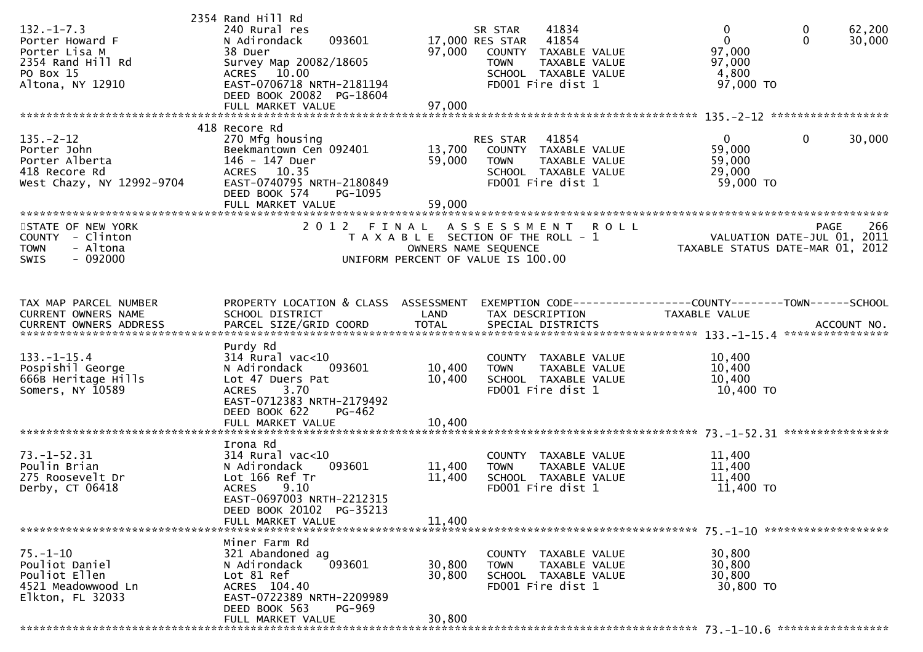| $132. -1 - 7.3$<br>Porter Howard F<br>Porter Lisa M<br>2354 Rand Hill Rd<br>PO Box 15<br>Altona, NY 12910 | 2354 Rand Hill Rd<br>240 Rural res<br>093601<br>N Adirondack<br>38 Duer<br>Survey Map 20082/18605<br>ACRES 10.00<br>EAST-0706718 NRTH-2181194<br>DEED BOOK 20082 PG-18604         | 97,000                     | 41834<br>SR STAR<br>17,000 RES STAR<br>41854<br>COUNTY<br>TAXABLE VALUE<br><b>TOWN</b><br>TAXABLE VALUE<br>SCHOOL TAXABLE VALUE<br>FD001 Fire dist 1 | 0<br>$\mathbf 0$<br>$\mathbf 0$<br>$\mathbf{0}$<br>97,000<br>97,000<br>4,800<br>97,000 TO | 62,200<br>30,000 |
|-----------------------------------------------------------------------------------------------------------|-----------------------------------------------------------------------------------------------------------------------------------------------------------------------------------|----------------------------|------------------------------------------------------------------------------------------------------------------------------------------------------|-------------------------------------------------------------------------------------------|------------------|
| $135. - 2 - 12$<br>Porter John<br>Porter Alberta<br>418 Recore Rd<br>West Chazy, NY 12992-9704            | 418 Recore Rd<br>270 Mfg housing<br>Beekmantown Cen 092401<br>146 - 147 Duer<br>ACRES 10.35<br>EAST-0740795 NRTH-2180849<br>DEED BOOK 574<br>PG-1095<br>FULL MARKET VALUE         | 13,700<br>59,000<br>59,000 | 41854<br>RES STAR<br>COUNTY TAXABLE VALUE<br><b>TOWN</b><br>TAXABLE VALUE<br>SCHOOL TAXABLE VALUE<br>FD001 Fire dist 1                               | $\mathbf{0}$<br>$\mathbf 0$<br>59,000<br>59,000<br>29,000<br>59,000 TO                    | 30,000           |
| STATE OF NEW YORK<br>COUNTY - Clinton<br><b>TOWN</b><br>- Altona<br>$-092000$<br><b>SWIS</b>              | 2012 FINAL                                                                                                                                                                        |                            | ASSESSMENT<br><b>ROLL</b><br>T A X A B L E SECTION OF THE ROLL - 1<br>OWNERS NAME SEQUENCE<br>UNIFORM PERCENT OF VALUE IS 100.00                     | <b>PAGE</b><br>VALUATION DATE-JUL 01, 2011<br>TAXABLE STATUS DATE-MAR 01, 2012            | 266              |
| TAX MAP PARCEL NUMBER<br>CURRENT OWNERS NAME                                                              | PROPERTY LOCATION & CLASS ASSESSMENT<br>SCHOOL DISTRICT                                                                                                                           | LAND                       | TAX DESCRIPTION                                                                                                                                      | EXEMPTION CODE-----------------COUNTY-------TOWN------SCHOOL<br>TAXABLE VALUE             |                  |
| $133. - 1 - 15.4$<br>Pospishil George<br>666B Heritage Hills<br>Somers, NY 10589                          | Purdy Rd<br>$314$ Rural vac<10<br>N Adirondack<br>093601<br>Lot 47 Duers Pat<br>3.70<br><b>ACRES</b><br>EAST-0712383 NRTH-2179492<br>DEED BOOK 622<br>PG-462<br>FULL MARKET VALUE | 10,400<br>10,400<br>10,400 | COUNTY TAXABLE VALUE<br>TAXABLE VALUE<br><b>TOWN</b><br>SCHOOL TAXABLE VALUE<br>FD001 Fire dist 1                                                    | 10,400<br>10,400<br>10,400<br>10,400 TO                                                   |                  |
| $73. - 1 - 52.31$<br>Poulin Brian<br>275 Roosevelt Dr<br>Derby, CT 06418                                  | Irona Rd<br>$314$ Rural vac<10<br>N Adirondack<br>093601<br>Lot 166 Ref Tr<br>9.10<br><b>ACRES</b><br>EAST-0697003 NRTH-2212315<br>DEED BOOK 20102 PG-35213<br>FULL MARKET VALUE  | 11,400<br>11,400<br>11,400 | COUNTY TAXABLE VALUE<br><b>TOWN</b><br>TAXABLE VALUE<br>SCHOOL TAXABLE VALUE<br>FD001 Fire dist 1                                                    | 11,400<br>11,400<br>11,400<br>11,400 TO                                                   |                  |
| $75. - 1 - 10$<br>Pouliot Daniel<br>Pouliot Ellen<br>4521 Meadowwood Ln<br>Elkton, FL 32033               | Miner Farm Rd<br>321 Abandoned ag<br>N Adirondack<br>093601<br>Lot 81 Ref<br>ACRES 104.40<br>EAST-0722389 NRTH-2209989<br>DEED BOOK 563<br>PG-969<br>FULL MARKET VALUE            | 30,800<br>30,800<br>30,800 | COUNTY TAXABLE VALUE<br>TAXABLE VALUE<br><b>TOWN</b><br>SCHOOL TAXABLE VALUE<br>FD001 Fire dist 1                                                    | 30,800<br>30,800<br>30,800<br>30,800 TO                                                   |                  |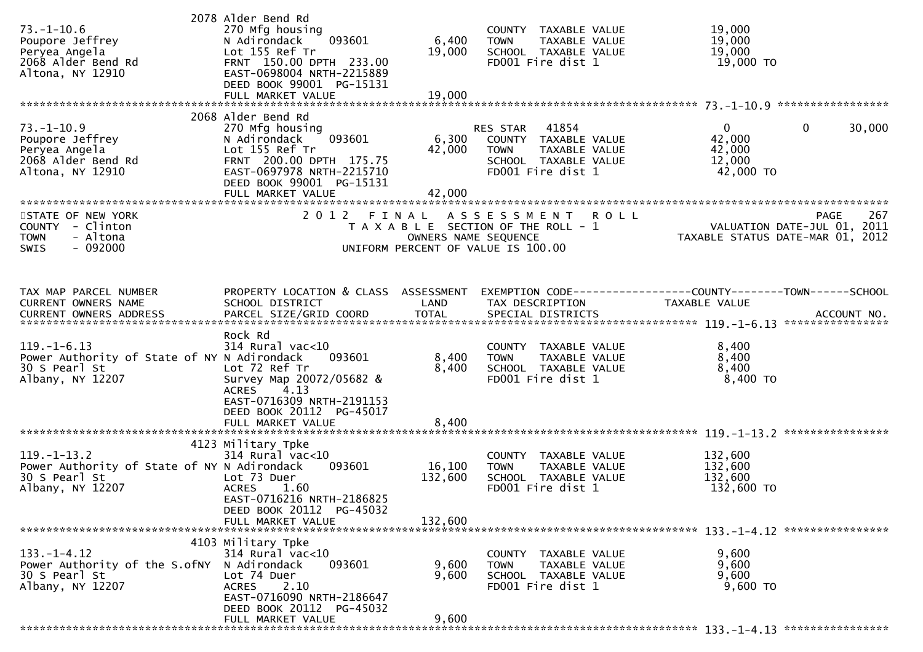| $73. - 1 - 10.6$<br>Poupore Jeffrey<br>Peryea Angela<br>2068 Alder Bend Rd<br>Altona, NY 12910        | 2078 Alder Bend Rd<br>270 Mfg housing<br>093601<br>N Adirondack<br>Lot 155 Ref Tr<br>FRNT 150.00 DPTH 233.00<br>EAST-0698004 NRTH-2215889<br>DEED BOOK 99001 PG-15131<br>FULL MARKET VALUE | 6,400<br>19,000<br>19,000    | COUNTY TAXABLE VALUE<br><b>TOWN</b><br>TAXABLE VALUE<br>SCHOOL TAXABLE VALUE<br>FD001 Fire dist 1                      | 19,000<br>19,000<br>19,000<br>19,000 TO                                       |             |
|-------------------------------------------------------------------------------------------------------|--------------------------------------------------------------------------------------------------------------------------------------------------------------------------------------------|------------------------------|------------------------------------------------------------------------------------------------------------------------|-------------------------------------------------------------------------------|-------------|
|                                                                                                       |                                                                                                                                                                                            |                              |                                                                                                                        |                                                                               |             |
| $73. - 1 - 10.9$<br>Poupore Jeffrey<br>Peryea Angela<br>2068 Alder Bend Rd<br>Altona, NY 12910        | 2068 Alder Bend Rd<br>270 Mfg housing<br>093601<br>N Adirondack<br>Lot 155 Ref Tr<br>FRNT 200.00 DPTH 175.75<br>EAST-0697978 NRTH-2215710<br>DEED BOOK 99001 PG-15131<br>FULL MARKET VALUE | 6,300<br>42,000<br>42,000    | 41854<br>RES STAR<br>COUNTY TAXABLE VALUE<br><b>TOWN</b><br>TAXABLE VALUE<br>SCHOOL TAXABLE VALUE<br>FD001 Fire dist 1 | $\mathbf{0}$<br>42,000<br>42,000<br>12,000<br>42,000 TO                       | 30,000<br>0 |
| STATE OF NEW YORK                                                                                     | 2 0 1 2                                                                                                                                                                                    | FINAL                        | ASSESSMENT ROLL                                                                                                        |                                                                               | PAGE<br>267 |
| COUNTY - Clinton<br>- Altona<br><b>TOWN</b><br>$-092000$<br>SWIS                                      |                                                                                                                                                                                            | OWNERS NAME SEQUENCE         | T A X A B L E SECTION OF THE ROLL - 1<br>UNIFORM PERCENT OF VALUE IS 100.00                                            | VALUATION DATE-JUL 01, 2011<br>2011 TAXABLE STATUS DATE-MAR 01, 2012          |             |
| TAX MAP PARCEL NUMBER<br>CURRENT OWNERS NAME<br><b>CURRENT OWNERS ADDRESS</b>                         | PROPERTY LOCATION & CLASS ASSESSMENT<br>SCHOOL DISTRICT                                                                                                                                    | LAND                         | TAX DESCRIPTION                                                                                                        | EXEMPTION CODE-----------------COUNTY-------TOWN------SCHOOL<br>TAXABLE VALUE |             |
| $119. - 1 - 6.13$<br>Power Authority of State of NY N Adirondack<br>30 S Pearl St<br>Albany, NY 12207 | Rock Rd<br>$314$ Rural vac<10<br>093601<br>Lot 72 Ref Tr<br>Survey Map 20072/05682 &<br>4.13<br><b>ACRES</b><br>EAST-0716309 NRTH-2191153<br>DEED BOOK 20112 PG-45017<br>FULL MARKET VALUE | 8,400<br>8,400<br>8,400      | COUNTY TAXABLE VALUE<br>TAXABLE VALUE<br><b>TOWN</b><br>SCHOOL TAXABLE VALUE<br>FD001 Fire dist 1                      | 8,400<br>8,400<br>8,400<br>8,400 TO                                           |             |
|                                                                                                       | 4123 Military Tpke                                                                                                                                                                         |                              |                                                                                                                        |                                                                               |             |
| $119. - 1 - 13.2$<br>Power Authority of State of NY N Adirondack<br>30 S Pearl St<br>Albany, NY 12207 | $314$ Rural vac<10<br>093601<br>Lot 73 Duer<br><b>ACRES</b><br>1.60<br>EAST-0716216 NRTH-2186825<br>DEED BOOK 20112 PG-45032<br>FULL MARKET VALUE                                          | 16,100<br>132,600<br>132,600 | COUNTY TAXABLE VALUE<br><b>TOWN</b><br>TAXABLE VALUE<br>SCHOOL TAXABLE VALUE<br>FD001 Fire dist 1                      | 132,600<br>132,600<br>132,600<br>132,600 TO                                   |             |
|                                                                                                       |                                                                                                                                                                                            |                              |                                                                                                                        |                                                                               |             |
| $133. - 1 - 4.12$<br>Power Authority of the S.ofNY<br>30 S Pearl St<br>Albany, NY 12207               | 4103 Military Tpke<br>$314$ Rural vac<10<br>093601<br>N Adirondack<br>Lot 74 Duer<br><b>ACRES</b><br>2.10<br>EAST-0716090 NRTH-2186647<br>DEED BOOK 20112 PG-45032                         | 9,600<br>9,600               | COUNTY TAXABLE VALUE<br><b>TOWN</b><br>TAXABLE VALUE<br>SCHOOL TAXABLE VALUE<br>FD001 Fire dist 1                      | 9,600<br>9,600<br>9,600<br>9,600 TO                                           |             |
|                                                                                                       | FULL MARKET VALUE                                                                                                                                                                          | 9,600                        |                                                                                                                        |                                                                               |             |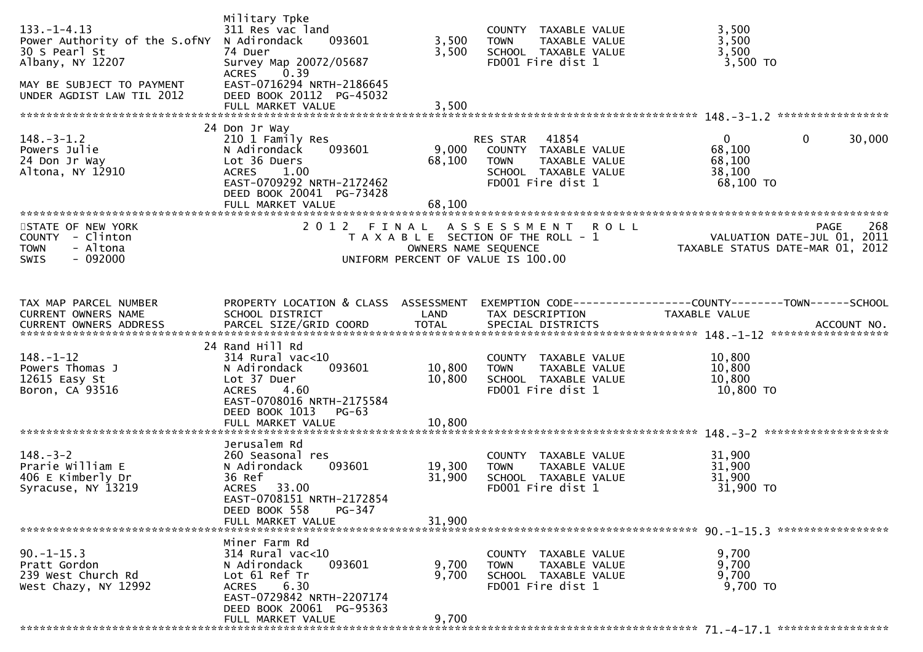| $133. - 1 - 4.13$<br>Power Authority of the S.ofNY<br>30 S Pearl St<br>Albany, NY 12207<br>MAY BE SUBJECT TO PAYMENT<br>UNDER AGDIST LAW TIL 2012 | Military Tpke<br>311 Res vac land<br>N Adirondack<br>093601<br>74 Duer<br>Survey Map 20072/05687<br>0.39<br><b>ACRES</b><br>EAST-0716294 NRTH-2186645<br>DEED BOOK 20112 PG-45032 | 3,500<br>3,500                | COUNTY TAXABLE VALUE<br>TAXABLE VALUE<br><b>TOWN</b><br>SCHOOL TAXABLE VALUE<br>FD001 Fire dist 1                      | 3,500<br>3,500<br>3,500<br>3,500 TO                                                   |
|---------------------------------------------------------------------------------------------------------------------------------------------------|-----------------------------------------------------------------------------------------------------------------------------------------------------------------------------------|-------------------------------|------------------------------------------------------------------------------------------------------------------------|---------------------------------------------------------------------------------------|
| $148.-3-1.2$<br>Powers Julie<br>24 Don Jr Way<br>Altona, NY 12910                                                                                 | 24 Don Jr Way<br>210 1 Family Res<br>N Adirondack<br>093601<br>Lot 36 Duers<br>1.00<br><b>ACRES</b><br>EAST-0709292 NRTH-2172462<br>DEED BOOK 20041 PG-73428<br>FULL MARKET VALUE | 9,000<br>68,100<br>68,100     | 41854<br>RES STAR<br>COUNTY TAXABLE VALUE<br>TAXABLE VALUE<br><b>TOWN</b><br>SCHOOL TAXABLE VALUE<br>FD001 Fire dist 1 | $\overline{0}$<br>$\mathbf 0$<br>30,000<br>68,100<br>68,100<br>38,100<br>68,100 TO    |
| STATE OF NEW YORK<br>COUNTY - Clinton<br><b>TOWN</b><br>- Altona<br>$-092000$<br>SWIS                                                             | 2 0 1 2                                                                                                                                                                           | FINAL<br>OWNERS NAME SEQUENCE | ASSESSMENT<br><b>ROLL</b><br>T A X A B L E SECTION OF THE ROLL - 1<br>UNIFORM PERCENT OF VALUE IS 100.00               | 268<br><b>PAGE</b><br>VALUATION DATE-JUL 01, 2011<br>TAXABLE STATUS DATE-MAR 01, 2012 |
| TAX MAP PARCEL NUMBER<br>CURRENT OWNERS NAME<br><b>CURRENT OWNERS ADDRESS</b>                                                                     | PROPERTY LOCATION & CLASS ASSESSMENT<br>SCHOOL DISTRICT<br>PARCEL SIZE/GRID COORD                                                                                                 | LAND<br><b>TOTAL</b>          | TAX DESCRIPTION<br>SPECIAL DISTRICTS                                                                                   | TAXABLE VALUE<br>ACCOUNT NO.                                                          |
| $148. - 1 - 12$<br>Powers Thomas J<br>12615 Easy St<br>Boron, CA 93516                                                                            | 24 Rand Hill Rd<br>$314$ Rural vac<10<br>N Adirondack<br>093601<br>Lot 37 Duer<br><b>ACRES</b><br>4.60<br>EAST-0708016 NRTH-2175584<br>DEED BOOK 1013<br>$PG-63$                  | 10,800<br>10,800              | COUNTY TAXABLE VALUE<br>TAXABLE VALUE<br><b>TOWN</b><br>SCHOOL TAXABLE VALUE<br>FD001 Fire dist 1                      | 10,800<br>10,800<br>10,800<br>10,800 TO                                               |
| $148. - 3 - 2$<br>Prarie William E<br>406 E Kimberly Dr<br>Syracuse, NY 13219                                                                     | Jerusalem Rd<br>260 Seasonal res<br>093601<br>N Adirondack<br>36 Ref<br>ACRES 33.00<br>EAST-0708151 NRTH-2172854<br>DEED BOOK 558<br>$PG-347$<br>FULL MARKET VALUE                | 19,300<br>31,900<br>31,900    | COUNTY TAXABLE VALUE<br>TAXABLE VALUE<br><b>TOWN</b><br>SCHOOL TAXABLE VALUE<br>FD001 Fire dist 1                      | 31,900<br>31,900<br>31,900<br>31,900 TO                                               |
| $90. -1 - 15.3$<br>Pratt Gordon<br>239 West Church Rd<br>West Chazy, NY 12992                                                                     | Miner Farm Rd<br>$314$ Rural vac<10<br>093601<br>N Adirondack<br>Lot 61 Ref Tr<br>ACRES 6.30<br>EAST-0729842 NRTH-2207174<br>DEED BOOK 20061 PG-95363<br>FULL MARKET VALUE        | 9,700<br>9,700<br>9,700       | COUNTY TAXABLE VALUE<br>TAXABLE VALUE<br><b>TOWN</b><br>SCHOOL TAXABLE VALUE<br>FD001 Fire dist 1                      | 9,700<br>9,700<br>9,700<br>9,700 TO                                                   |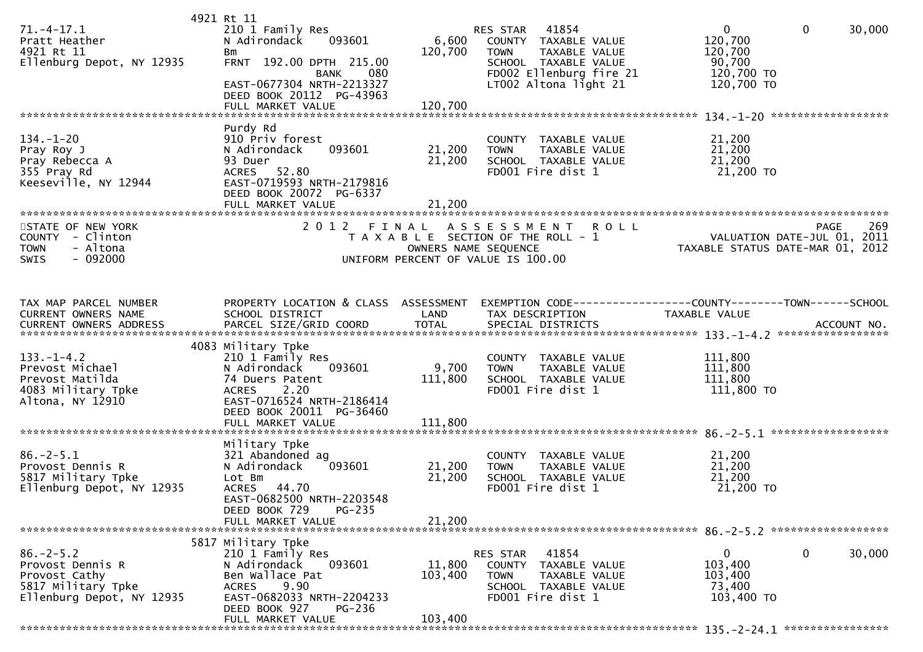| $71. - 4 - 17.1$<br>Pratt Heather<br>4921 Rt 11<br>Ellenburg Depot, NY 12935                            | 4921 Rt 11<br>210 1 Family Res<br>N Adirondack<br>093601<br><b>Bm</b><br>FRNT 192.00 DPTH 215.00<br><b>BANK</b><br>080<br>EAST-0677304 NRTH-2213327<br>DEED BOOK 20112 PG-43963           | 6,600<br>120,700             | 41854<br>RES STAR<br>COUNTY TAXABLE VALUE<br><b>TOWN</b><br><b>TAXABLE VALUE</b><br>SCHOOL TAXABLE VALUE<br>FD002 Ellenburg fire 21<br>LT002 Altona light 21 | $\mathbf{0}$<br>$\mathbf{0}$<br>120,700<br>120,700<br>90,700<br>120,700 TO<br>120,700 TO | 30,000             |
|---------------------------------------------------------------------------------------------------------|-------------------------------------------------------------------------------------------------------------------------------------------------------------------------------------------|------------------------------|--------------------------------------------------------------------------------------------------------------------------------------------------------------|------------------------------------------------------------------------------------------|--------------------|
| $134. - 1 - 20$<br>Pray Roy J<br>Pray Rebecca A<br>355 Pray Rd<br>Keeseville, NY 12944                  | Purdy Rd<br>910 Priv forest<br>093601<br>N Adirondack<br>93 Duer<br>ACRES 52.80<br>EAST-0719593 NRTH-2179816<br>DEED BOOK 20072 PG-6337<br>FULL MARKET VALUE                              | 21,200<br>21,200<br>21,200   | COUNTY TAXABLE VALUE<br>TAXABLE VALUE<br><b>TOWN</b><br>SCHOOL TAXABLE VALUE<br>FD001 Fire dist 1                                                            | 21,200<br>21,200<br>21,200<br>21,200 TO                                                  |                    |
| STATE OF NEW YORK<br>COUNTY - Clinton<br><b>TOWN</b><br>- Altona<br>$-092000$<br>SWIS                   | 2012 FINAL                                                                                                                                                                                | OWNERS NAME SEQUENCE         | A S S E S S M E N T R O L L<br>T A X A B L E SECTION OF THE ROLL - 1<br>UNIFORM PERCENT OF VALUE IS 100.00                                                   | VALUATION DATE-JUL 01, 2011<br>TAXABLE STATUS DATE-MAR 01, 2012                          | 269<br><b>PAGE</b> |
| TAX MAP PARCEL NUMBER<br>CURRENT OWNERS NAME                                                            | PROPERTY LOCATION & CLASS ASSESSMENT<br>SCHOOL DISTRICT                                                                                                                                   | LAND                         | EXEMPTION CODE-----------------COUNTY-------TOWN------SCHOOL<br>TAX DESCRIPTION                                                                              | TAXABLE VALUE                                                                            |                    |
| $133. - 1 - 4.2$<br>Prevost Michael<br>Prevost Matilda<br>4083 Military Tpke<br>Altona, NY 12910        | 4083 Military Tpke<br>210 1 Family Res<br>093601<br>N Adirondack<br>74 Duers Patent<br>2.20<br><b>ACRES</b><br>EAST-0716524 NRTH-2186414<br>DEED BOOK 20011 PG-36460<br>FULL MARKET VALUE | 9,700<br>111,800<br>111,800  | COUNTY TAXABLE VALUE<br>TAXABLE VALUE<br><b>TOWN</b><br>SCHOOL TAXABLE VALUE<br>FD001 Fire dist 1                                                            | 111,800<br>111,800<br>111,800<br>111,800 TO                                              |                    |
| $86. - 2 - 5.1$<br>Provost Dennis R<br>5817 Military Tpke<br>Ellenburg Depot, NY 12935                  | Military Tpke<br>321 Abandoned ag<br>N Adirondack<br>093601<br>Lot Bm<br>ACRES 44.70<br>EAST-0682500 NRTH-2203548<br>DEED BOOK 729<br>PG-235<br>FULL MARKET VALUE                         | 21,200<br>21,200<br>21,200   | COUNTY TAXABLE VALUE<br>TAXABLE VALUE<br><b>TOWN</b><br>SCHOOL TAXABLE VALUE<br>FD001 Fire dist 1                                                            | 21,200<br>21,200<br>21,200<br>21,200 TO                                                  |                    |
| $86. - 2 - 5.2$<br>Provost Dennis R<br>Provost Cathy<br>5817 Military Tpke<br>Ellenburg Depot, NY 12935 | 5817 Military Tpke<br>210 1 Family Res<br>N Adirondack<br>093601<br>Ben Wallace Pat<br>9.90<br><b>ACRES</b><br>EAST-0682033 NRTH-2204233<br>DEED BOOK 927<br>PG-236<br>FULL MARKET VALUE  | 11,800<br>103,400<br>103,400 | RES STAR<br>41854<br>COUNTY TAXABLE VALUE<br><b>TOWN</b><br>TAXABLE VALUE<br>SCHOOL TAXABLE VALUE<br>FD001 Fire dist 1                                       | 0<br>0<br>103,400<br>103,400<br>73,400<br>103,400 TO                                     | 30,000             |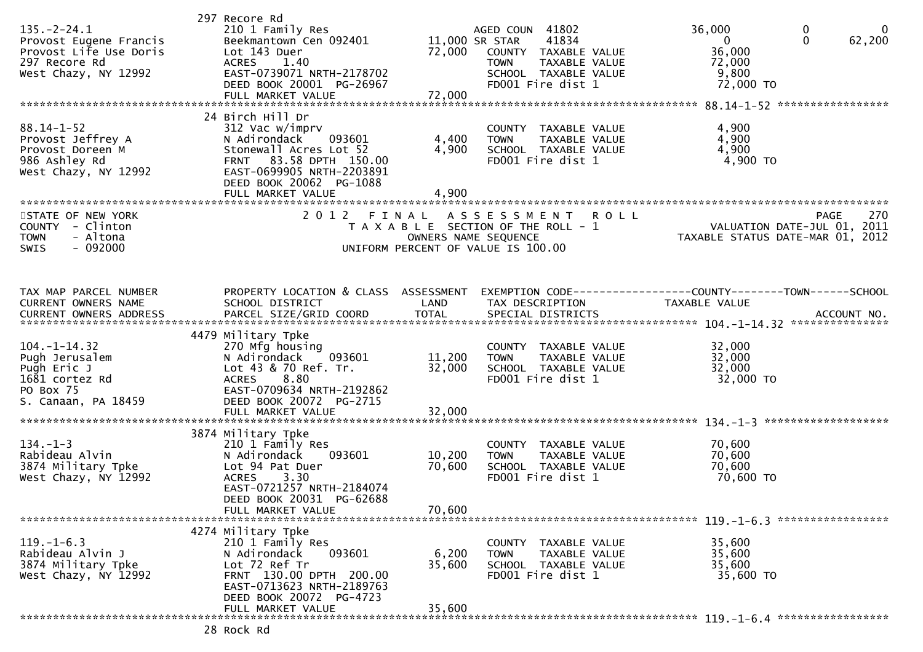| $135. -2 - 24.1$<br>Provost Eugene Francis<br>Provost Life Use Doris<br>297 Recore Rd<br>West Chazy, NY 12992 | 297 Recore Rd<br>210 1 Family Res<br>Beekmantown Cen 092401<br>Lot 143 Duer<br>1.40<br><b>ACRES</b><br>EAST-0739071 NRTH-2178702<br>DEED BOOK 20001 PG-26967<br>FULL MARKET VALUE              | 72,000<br>72,000           | AGED COUN 41802<br>41834<br>11,000 SR STAR<br>COUNTY TAXABLE VALUE<br><b>TOWN</b><br>TAXABLE VALUE<br>SCHOOL TAXABLE VALUE<br>FD001 Fire dist 1 | 36,000<br>$\overline{0}$<br>36,000<br>72,000<br>9,800<br>72,000 TO                     | $\mathbf 0$<br>$\mathbf{0}$<br>$\Omega$<br>62,200 |
|---------------------------------------------------------------------------------------------------------------|------------------------------------------------------------------------------------------------------------------------------------------------------------------------------------------------|----------------------------|-------------------------------------------------------------------------------------------------------------------------------------------------|----------------------------------------------------------------------------------------|---------------------------------------------------|
| $88.14 - 1 - 52$<br>Provost Jeffrey A<br>Provost Doreen M<br>986 Ashley Rd<br>West Chazy, NY 12992            | 24 Birch Hill Dr<br>312 Vac w/imprv<br>093601<br>N Adirondack<br>Stonewall Acres Lot 52<br>FRNT 83.58 DPTH 150.00<br>EAST-0699905 NRTH-2203891<br>DEED BOOK 20062 PG-1088<br>FULL MARKET VALUE | 4,400<br>4,900<br>4,900    | COUNTY TAXABLE VALUE<br>TAXABLE VALUE<br><b>TOWN</b><br>SCHOOL TAXABLE VALUE<br>FD001 Fire dist 1                                               | 4,900<br>4,900<br>4,900<br>4,900 TO                                                    |                                                   |
| STATE OF NEW YORK<br>COUNTY - Clinton<br>- Altona<br><b>TOWN</b><br>$-092000$<br><b>SWIS</b>                  | 2 0 1 2<br>FINAL                                                                                                                                                                               | OWNERS NAME SEQUENCE       | ASSESSMENT<br><b>ROLL</b><br>T A X A B L E SECTION OF THE ROLL - 1<br>UNIFORM PERCENT OF VALUE IS 100.00                                        | VALUATION DATE-JUL 01, 2011<br>TAXABLE STATUS DATE-MAR 01, 2012                        | 270<br><b>PAGE</b>                                |
| TAX MAP PARCEL NUMBER<br>CURRENT OWNERS NAME<br>CURRENT OWNERS ADDRESS                                        | PROPERTY LOCATION & CLASS ASSESSMENT<br>SCHOOL DISTRICT                                                                                                                                        | LAND                       | TAX DESCRIPTION                                                                                                                                 | EXEMPTION CODE------------------COUNTY--------TOWN------SCHOOL<br><b>TAXABLE VALUE</b> |                                                   |
| $104. - 1 - 14.32$<br>Pugh Jerusalem<br>Pugh Eric J<br>1681 cortez Rd<br>PO Box 75<br>S. Canaan, PA 18459     | 4479 Military Tpke<br>270 Mfg housing<br>N Adirondack<br>093601<br>Lot 43 & 70 Ref. Tr.<br>8.80<br><b>ACRES</b><br>EAST-0709634 NRTH-2192862<br>DEED BOOK 20072 PG-2715                        | 11,200<br>32,000           | COUNTY TAXABLE VALUE<br>TAXABLE VALUE<br><b>TOWN</b><br>SCHOOL TAXABLE VALUE<br>FD001 Fire dist 1                                               | 32,000<br>32,000<br>32,000<br>32,000 TO                                                |                                                   |
| $134. - 1 - 3$<br>Rabideau Alvin<br>3874 Military Tpke<br>West Chazy, NY 12992                                | 3874 Military Tpke<br>210 1 Family Res<br>093601<br>N Adirondack<br>Lot 94 Pat Duer<br>3.30<br><b>ACRES</b><br>EAST-0721257 NRTH-2184074<br>DEED BOOK 20031 PG-62688<br>FULL MARKET VALUE      | 10,200<br>70,600<br>70,600 | COUNTY TAXABLE VALUE<br>TAXABLE VALUE<br><b>TOWN</b><br>SCHOOL TAXABLE VALUE<br>FD001 Fire dist 1                                               | 70,600<br>70,600<br>70,600<br>70,600 TO                                                |                                                   |
| $119. - 1 - 6.3$<br>Rabideau Alvin J<br>3874 Military Tpke<br>West Chazy, NY 12992                            | 4274 Military Tpke<br>210 1 Family Res<br>093601<br>N Adirondack<br>Lot 72 Ref Tr<br>FRNT 130.00 DPTH 200.00<br>EAST-0713623 NRTH-2189763<br>DEED BOOK 20072 PG-4723<br>FULL MARKET VALUE      | 6,200<br>35,600<br>35,600  | COUNTY TAXABLE VALUE<br><b>TOWN</b><br>TAXABLE VALUE<br>SCHOOL TAXABLE VALUE<br>FD001 Fire dist 1                                               | 35,600<br>35,600<br>35,600<br>35,600 TO                                                |                                                   |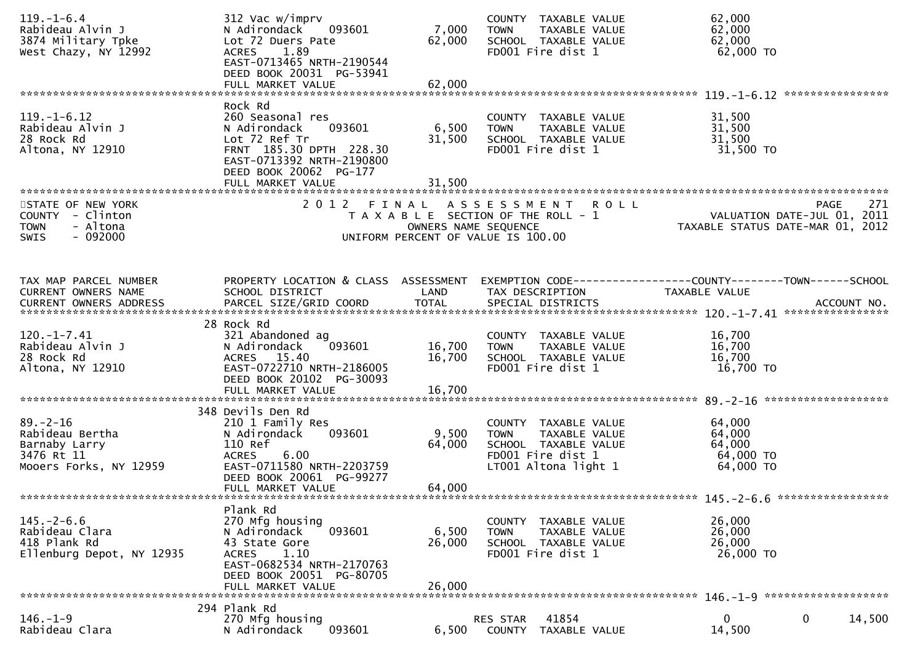| $119. - 1 - 6.4$<br>Rabideau Alvin J<br>3874 Military Tpke<br>West Chazy, NY 12992           | 312 Vac w/imprv<br>N Adirondack<br>093601<br>Lot 72 Duers Pate<br>ACRES 1.89<br>EAST-0713465 NRTH-2190544<br>DEED BOOK 20031 PG-53941                                         | 7,000<br>62,000           | COUNTY TAXABLE VALUE<br>TAXABLE VALUE<br><b>TOWN</b><br>SCHOOL TAXABLE VALUE<br>FD001 Fire dist 1                         | 62,000<br>62,000<br>62,000<br>$62,000$ TO                                      |        |
|----------------------------------------------------------------------------------------------|-------------------------------------------------------------------------------------------------------------------------------------------------------------------------------|---------------------------|---------------------------------------------------------------------------------------------------------------------------|--------------------------------------------------------------------------------|--------|
|                                                                                              | FULL MARKET VALUE                                                                                                                                                             | 62,000                    |                                                                                                                           | ****************                                                               |        |
| $119. - 1 - 6.12$<br>Rabideau Alvin J<br>28 Rock Rd<br>Altona, NY 12910                      | Rock Rd<br>260 Seasonal res<br>N Adirondack<br>093601<br>Lot 72 Ref Tr<br>FRNT 185.30 DPTH 228.30<br>EAST-0713392 NRTH-2190800<br>DEED BOOK 20062 PG-177<br>FULL MARKET VALUE | 6,500<br>31,500<br>31,500 | COUNTY TAXABLE VALUE<br><b>TOWN</b><br>TAXABLE VALUE<br>SCHOOL TAXABLE VALUE<br>FD001 Fire dist 1                         | 31,500<br>31,500<br>31,500<br>31,500 TO                                        |        |
| STATE OF NEW YORK<br>COUNTY - Clinton<br><b>TOWN</b><br>- Altona<br>$-092000$<br><b>SWIS</b> |                                                                                                                                                                               | OWNERS NAME SEQUENCE      | 2012 FINAL ASSESSMENT ROLL<br>T A X A B L E SECTION OF THE ROLL - 1<br>UNIFORM PERCENT OF VALUE IS 100.00                 | <b>PAGE</b><br>VALUATION DATE-JUL 01, 2011<br>TAXABLE STATUS DATE-MAR 01, 2012 | 271    |
| TAX MAP PARCEL NUMBER<br>CURRENT OWNERS NAME                                                 | PROPERTY LOCATION & CLASS ASSESSMENT<br>SCHOOL DISTRICT                                                                                                                       | LAND                      | TAX DESCRIPTION                                                                                                           | EXEMPTION CODE-----------------COUNTY-------TOWN------SCHOOL<br>TAXABLE VALUE  |        |
| $120. -1 - 7.41$<br>Rabideau Alvin J<br>28 Rock Rd<br>Altona, NY 12910                       | 28 Rock Rd<br>321 Abandoned ag<br>N Adirondack<br>093601<br>ACRES 15.40<br>EAST-0722710 NRTH-2186005<br>DEED BOOK 20102 PG-30093                                              | 16,700<br>16,700          | COUNTY TAXABLE VALUE<br>TAXABLE VALUE<br><b>TOWN</b><br>SCHOOL TAXABLE VALUE<br>FD001 Fire dist 1                         | 16,700<br>16,700<br>16,700<br>16,700 TO                                        |        |
| $89. - 2 - 16$<br>Rabideau Bertha<br>Barnaby Larry<br>3476 Rt 11<br>Mooers Forks, NY 12959   | 348 Devils Den Rd<br>210 1 Family Res<br>093601<br>N Adirondack<br>110 Ref<br><b>ACRES</b><br>6.00<br>EAST-0711580 NRTH-2203759<br>DEED BOOK 20061 PG-99277                   | 9,500<br>64,000           | COUNTY TAXABLE VALUE<br><b>TOWN</b><br>TAXABLE VALUE<br>SCHOOL TAXABLE VALUE<br>FD001 Fire dist 1<br>LT001 Altona light 1 | 64,000<br>64,000<br>64,000<br>64,000 TO<br>64,000 TO                           |        |
| $145. - 2 - 6.6$<br>Rabideau Clara<br>418 Plank Rd<br>Ellenburg Depot, NY 12935              | Plank Rd<br>270 Mfg housing<br>093601<br>N Adirondack<br>43 State Gore<br>1.10<br><b>ACRES</b><br>EAST-0682534 NRTH-2170763<br>DEED BOOK 20051 PG-80705<br>FULL MARKET VALUE  | 6,500<br>26,000<br>26,000 | COUNTY TAXABLE VALUE<br><b>TOWN</b><br><b>TAXABLE VALUE</b><br>SCHOOL TAXABLE VALUE<br>FD001 Fire dist 1                  | 26,000<br>26,000<br>26,000<br>26,000 TO                                        |        |
| $146. - 1 - 9$<br>Rabideau Clara                                                             | 294 Plank Rd<br>270 Mfg housing<br>N Adirondack<br>093601                                                                                                                     | 6,500                     | 41854<br>RES STAR<br>COUNTY<br>TAXABLE VALUE                                                                              | $\mathbf{0}$<br>$\mathbf 0$<br>14,500                                          | 14,500 |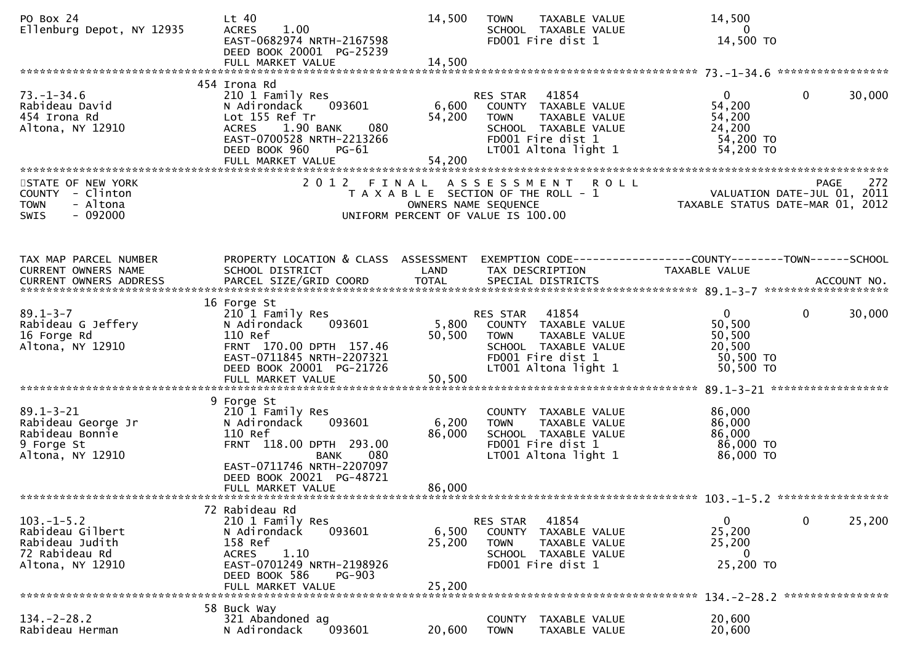| PO Box 24<br>Ellenburg Depot, NY 12935                                                       | $Lt$ 40<br>1.00<br><b>ACRES</b><br>EAST-0682974 NRTH-2167598<br>DEED BOOK 20001 PG-25239                                                                                             | 14,500                    | TAXABLE VALUE<br><b>TOWN</b><br>SCHOOL TAXABLE VALUE<br>FD001 Fire dist 1                                                                   | 14,500<br>$\overline{0}$<br>14,500 TO                                         |                        |
|----------------------------------------------------------------------------------------------|--------------------------------------------------------------------------------------------------------------------------------------------------------------------------------------|---------------------------|---------------------------------------------------------------------------------------------------------------------------------------------|-------------------------------------------------------------------------------|------------------------|
| $73. - 1 - 34.6$<br>Rabideau David<br>454 Irona Rd<br>Altona, NY 12910                       | 454 Irona Rd<br>210 1 Family Res<br>093601<br>N Adirondack<br>Lot 155 Ref Tr<br>ACRES 1.90 BANK<br>080<br>EAST-0700528 NRTH-2213266<br>DEED BOOK 960<br>$PG-61$<br>FULL MARKET VALUE | 6,600<br>54,200<br>54,200 | RES STAR 41854<br>COUNTY TAXABLE VALUE<br>TAXABLE VALUE<br><b>TOWN</b><br>SCHOOL TAXABLE VALUE<br>FD001 Fire dist 1<br>LT001 Altona light 1 | $\overline{0}$<br>54,200<br>54,200<br>24,200<br>54,200 TO<br>54,200 TO        | 30,000<br>$\mathbf{0}$ |
| STATE OF NEW YORK<br>COUNTY - Clinton<br><b>TOWN</b><br>- Altona<br>$-092000$<br>SWIS        | 2012 FINAL                                                                                                                                                                           |                           | A S S E S S M E N T R O L L<br>T A X A B L E SECTION OF THE ROLL - 1<br>OWNERS NAME SEQUENCE<br>UNIFORM PERCENT OF VALUE IS 100.00          | rase - 272<br>VALUATION DATE-JUL 01, 2011<br>TAXABLE STATUS DATE-MAR 01, 2012 | 272<br><b>PAGE</b>     |
| TAX MAP PARCEL NUMBER<br>CURRENT OWNERS NAME                                                 | PROPERTY LOCATION & CLASS ASSESSMENT<br>SCHOOL DISTRICT                                                                                                                              | LAND                      | EXEMPTION CODE------------------COUNTY--------TOWN------SCHOOL<br>TAX DESCRIPTION                                                           | TAXABLE VALUE                                                                 |                        |
| $89.1 - 3 - 7$<br>Rabideau G Jeffery<br>16 Forge Rd<br>Altona, NY 12910                      | 16 Forge St<br>210 1 Family Res<br>093601<br>N Adirondack<br>110 Ref<br>FRNT 170.00 DPTH 157.46<br>EAST-0711845 NRTH-2207321<br>DEED BOOK 20001 PG-21726<br>FULL MARKET VALUE        | 5,800<br>50,500<br>50,500 | RES STAR 41854<br>COUNTY TAXABLE VALUE<br>TAXABLE VALUE<br><b>TOWN</b><br>SCHOOL TAXABLE VALUE<br>FD001 Fire dist 1<br>LT001 Altona light 1 | $\mathbf{0}$<br>50,500<br>50,500<br>20,500<br>50,500 TO<br>50,500 TO          | $\mathbf 0$<br>30,000  |
| $89.1 - 3 - 21$<br>Rabideau George Jr<br>Rabideau Bonnie<br>9 Forge St<br>Altona, NY 12910   | 9 Forge St<br>210 1 Family Res<br>093601<br>N Adirondack<br>110 Ref<br>FRNT 118.00 DPTH 293.00<br>080<br><b>BANK</b><br>EAST-0711746 NRTH-2207097<br>DEED BOOK 20021 PG-48721        | 6,200<br>86,000           | COUNTY TAXABLE VALUE<br>TAXABLE VALUE<br><b>TOWN</b><br>SCHOOL TAXABLE VALUE<br>FD001 Fire dist 1<br>LT001 Altona light 1                   | 86,000<br>86,000<br>86,000<br>86,000 TO<br>86,000 TO                          |                        |
|                                                                                              | FULL MARKET VALUE                                                                                                                                                                    | 86,000                    |                                                                                                                                             |                                                                               |                        |
| $103. -1 - 5.2$<br>Rabideau Gilbert<br>Rabideau Judith<br>72 Rabideau Rd<br>Altona, NY 12910 | 72 Rabideau Rd<br>210 1 Family Res<br>N Adirondack<br>093601<br>158 Ref<br>1.10<br><b>ACRES</b><br>EAST-0701249 NRTH-2198926<br>DEED BOOK 586<br><b>PG-903</b><br>FULL MARKET VALUE  | 6,500<br>25,200<br>25,200 | 41854<br><b>RES STAR</b><br>COUNTY<br>TAXABLE VALUE<br><b>TOWN</b><br>TAXABLE VALUE<br>SCHOOL TAXABLE VALUE<br>FD001 Fire dist 1            | 0<br>25,200<br>25,200<br>0<br>25,200 TO                                       | 0<br>25,200            |
| $134. - 2 - 28.2$<br>Rabideau Herman                                                         | 58 Buck Way<br>321 Abandoned ag<br>093601<br>N Adirondack                                                                                                                            | 20,600                    | <b>COUNTY</b><br>TAXABLE VALUE<br><b>TOWN</b><br>TAXABLE VALUE                                                                              | 20,600<br>20,600                                                              |                        |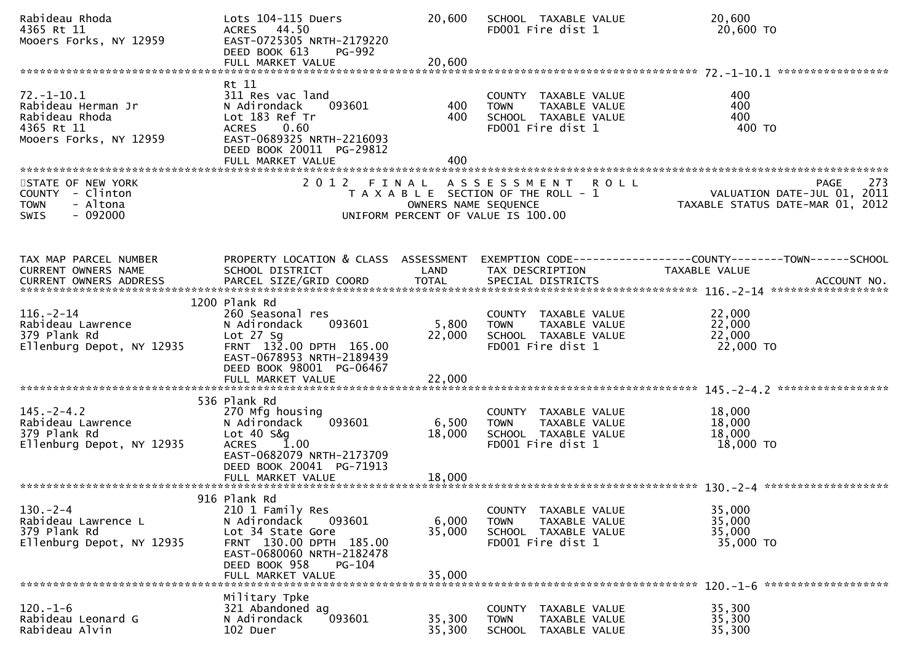| Rabideau Rhoda<br>4365 Rt 11<br>Mooers Forks, NY 12959                                           | Lots 104-115 Duers<br>ACRES 44.50<br>EAST-0725305 NRTH-2179220<br>DEED BOOK 613<br>PG-992                                                          | 20,600               | SCHOOL TAXABLE VALUE<br>FD001 Fire dist 1                                                         | 20,600<br>20,600 TO                                                                              |
|--------------------------------------------------------------------------------------------------|----------------------------------------------------------------------------------------------------------------------------------------------------|----------------------|---------------------------------------------------------------------------------------------------|--------------------------------------------------------------------------------------------------|
|                                                                                                  | Rt 11                                                                                                                                              |                      |                                                                                                   |                                                                                                  |
| $72. - 1 - 10.1$<br>Rabideau Herman Jr<br>Rabideau Rhoda<br>4365 Rt 11<br>Mooers Forks, NY 12959 | 311 Res vac land<br>N Adirondack<br>093601<br>Lot 183 Ref Tr<br>0.60<br><b>ACRES</b><br>EAST-0689325 NRTH-2216093<br>DEED BOOK 20011 PG-29812      | 400<br>400           | COUNTY TAXABLE VALUE<br>TAXABLE VALUE<br><b>TOWN</b><br>SCHOOL TAXABLE VALUE<br>FD001 Fire dist 1 | 400<br>400<br>400<br>400 TO                                                                      |
|                                                                                                  | FULL MARKET VALUE                                                                                                                                  | 400                  |                                                                                                   |                                                                                                  |
| STATE OF NEW YORK<br>COUNTY - Clinton<br>- Altona<br><b>TOWN</b><br>$-092000$<br>SWIS            | 2012 FINAL                                                                                                                                         | OWNERS NAME SEQUENCE | ASSESSMENT ROLL<br>T A X A B L E SECTION OF THE ROLL - 1<br>UNIFORM PERCENT OF VALUE IS 100.00    | 273<br><b>PAGE</b><br>VALUATION DATE-JUL 01, 2011<br>TAXABLE STATUS DATE-MAR 01, 2012            |
| TAX MAP PARCEL NUMBER                                                                            |                                                                                                                                                    |                      |                                                                                                   | PROPERTY LOCATION & CLASS ASSESSMENT EXEMPTION CODE----------------COUNTY-------TOWN------SCHOOL |
| CURRENT OWNERS NAME                                                                              | SCHOOL DISTRICT                                                                                                                                    | LAND                 | TAX DESCRIPTION                                                                                   | TAXABLE VALUE                                                                                    |
|                                                                                                  | 1200 Plank Rd                                                                                                                                      |                      |                                                                                                   |                                                                                                  |
| $116. - 2 - 14$<br>Rabideau Lawrence<br>379 Plank Rd<br>Ellenburg Depot, NY 12935                | 260 Seasonal res<br>093601<br>N Adirondack<br>Lot $27$ Sq<br>FRNT 132.00 DPTH 165.00<br>EAST-0678953 NRTH-2189439                                  | 5,800<br>22,000      | COUNTY TAXABLE VALUE<br><b>TOWN</b><br>TAXABLE VALUE<br>SCHOOL TAXABLE VALUE<br>FD001 Fire dist 1 | 22,000<br>22,000<br>22,000<br>22,000 TO                                                          |
|                                                                                                  | DEED BOOK 98001 PG-06467<br>FULL MARKET VALUE                                                                                                      | 22,000               |                                                                                                   |                                                                                                  |
|                                                                                                  | 536 Plank Rd                                                                                                                                       |                      |                                                                                                   |                                                                                                  |
| $145. -2 - 4.2$<br>Rabideau Lawrence<br>379 Plank Rd<br>Ellenburg Depot, NY 12935                | 270 Mfg housing<br>093601<br>N Adirondack<br>Lot 40 S&g<br><b>ACRES</b><br>1.00<br>EAST-0682079 NRTH-2173709                                       | 6,500<br>18,000      | COUNTY TAXABLE VALUE<br>TAXABLE VALUE<br><b>TOWN</b><br>SCHOOL TAXABLE VALUE<br>FD001 Fire dist 1 | 18,000<br>18,000<br>18,000<br>18,000 TO                                                          |
|                                                                                                  | DEED BOOK 20041 PG-71913                                                                                                                           |                      |                                                                                                   |                                                                                                  |
|                                                                                                  | 916 Plank Rd                                                                                                                                       |                      |                                                                                                   |                                                                                                  |
| $130 - 2 - 4$<br>Rabideau Lawrence L<br>379 Plank Rd<br>Ellenburg Depot, NY 12935                | 210 1 Family Res<br>N Adirondack<br>093601<br>Lot 34 State Gore<br>FRNT 130.00 DPTH 185.00<br>EAST-0680060 NRTH-2182478<br>DEED BOOK 958<br>PG-104 | 6,000<br>35,000      | COUNTY TAXABLE VALUE<br><b>TOWN</b><br>TAXABLE VALUE<br>SCHOOL TAXABLE VALUE<br>FD001 Fire dist 1 | 35,000<br>35,000<br>35,000<br>35,000 TO                                                          |
|                                                                                                  | FULL MARKET VALUE                                                                                                                                  | 35,000               |                                                                                                   |                                                                                                  |
| $120. - 1 - 6$<br>Rabideau Leonard G<br>Rabideau Alvin                                           | Military Tpke<br>321 Abandoned ag<br>N Adirondack<br>093601<br>102 Duer                                                                            | 35,300<br>35,300     | COUNTY TAXABLE VALUE<br><b>TOWN</b><br>TAXABLE VALUE<br><b>SCHOOL</b><br>TAXABLE VALUE            | 35,300<br>35,300<br>35,300                                                                       |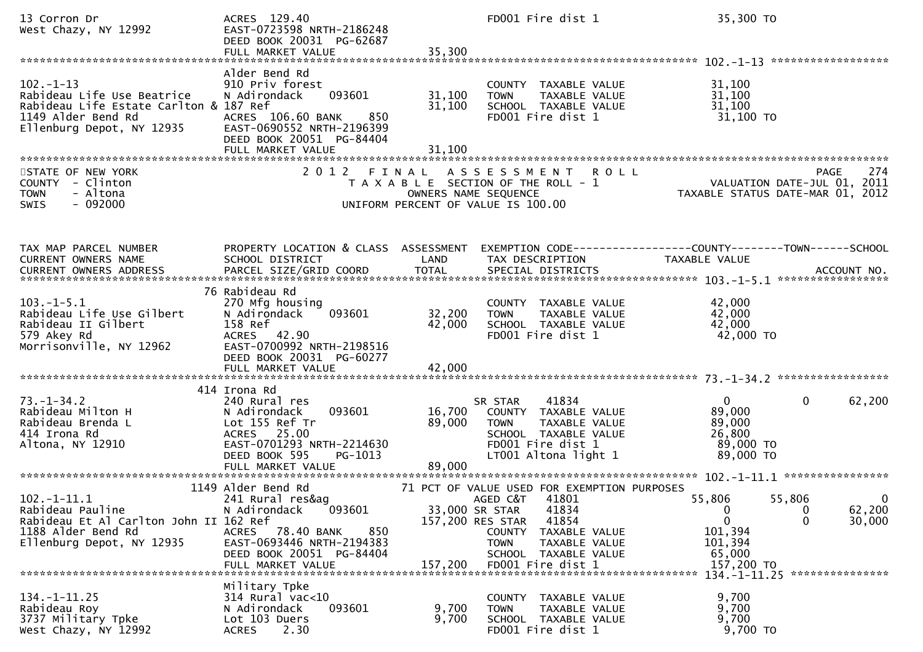| 13 Corron Dr<br>West Chazy, NY 12992                                                                                                      | ACRES 129.40<br>EAST-0723598 NRTH-2186248<br>DEED BOOK 20031 PG-62687<br>FULL MARKET VALUE                                                                                          | 35,300                                        | FD001 Fire dist 1                                                                                                                                                                              | 35,300 TO                                                                                                                          |
|-------------------------------------------------------------------------------------------------------------------------------------------|-------------------------------------------------------------------------------------------------------------------------------------------------------------------------------------|-----------------------------------------------|------------------------------------------------------------------------------------------------------------------------------------------------------------------------------------------------|------------------------------------------------------------------------------------------------------------------------------------|
| $102 - 1 - 13$<br>Rabideau Life Use Beatrice<br>Rabideau Life Estate Carlton & 187 Ref<br>1149 Alder Bend Rd<br>Ellenburg Depot, NY 12935 | Alder Bend Rd<br>910 Priv forest<br>093601<br>N Adirondack<br>ACRES 106.60 BANK<br>850<br>EAST-0690552 NRTH-2196399<br>DEED BOOK 20051 PG-84404<br>FULL MARKET VALUE                | 31,100<br>31,100<br>31,100                    | COUNTY TAXABLE VALUE<br>TAXABLE VALUE<br><b>TOWN</b><br>SCHOOL TAXABLE VALUE<br>FD001 Fire dist 1                                                                                              | 31,100<br>31,100<br>31,100<br>31,100 TO                                                                                            |
| STATE OF NEW YORK<br>COUNTY - Clinton<br>- Altona<br><b>TOWN</b><br>$-092000$<br><b>SWIS</b>                                              |                                                                                                                                                                                     | OWNERS NAME SEQUENCE                          | 2012 FINAL ASSESSMENT ROLL<br>T A X A B L E SECTION OF THE ROLL - 1<br>UNIFORM PERCENT OF VALUE IS 100.00                                                                                      | 274<br><b>PAGE</b><br>PAGE 274<br>VALUATION DATE-JUL 01, 2011<br>TAXARLE STATUS DATE 1115 2017<br>TAXABLE STATUS DATE-MAR 01, 2012 |
| TAX MAP PARCEL NUMBER<br>CURRENT OWNERS NAME<br>CURRENT OWNERS ADDRESS                                                                    | PROPERTY LOCATION & CLASS ASSESSMENT<br>SCHOOL DISTRICT                                                                                                                             | LAND                                          | TAX DESCRIPTION                                                                                                                                                                                | EXEMPTION CODE-----------------COUNTY-------TOWN------SCHOOL<br>TAXABLE VALUE                                                      |
| $103.-1-5.1$<br>Rabideau Life Use Gilbert<br>Rabideau II Gilbert<br>579 Akey Rd<br>Morrisonville, NY 12962                                | 76 Rabideau Rd<br>270 Mfg housing<br>093601<br>N Adirondack<br>158 Ref<br>ACRES 42.90<br>EAST-0700992 NRTH-2198516<br>DEED BOOK 20031 PG-60277<br>FULL MARKET VALUE                 | 32,200<br>42,000<br>42,000                    | COUNTY TAXABLE VALUE<br>TAXABLE VALUE<br><b>TOWN</b><br>SCHOOL TAXABLE VALUE<br>FD001 Fire dist 1                                                                                              | 42,000<br>42,000<br>42,000<br>42,000 TO                                                                                            |
| $73. - 1 - 34.2$<br>Rabideau Milton H<br>Rabideau Brenda L<br>414 Irona Rd<br>Altona, NY 12910                                            | 414 Irona Rd<br>240 Rural res<br>093601<br>N Adirondack<br>Lot 155 Ref Tr<br>ACRES 25.00<br>EAST-0701293 NRTH-2214630<br>DEED BOOK 595<br>PG-1013                                   | 16,700<br>89,000                              | 41834<br>SR STAR<br>COUNTY TAXABLE VALUE<br>TAXABLE VALUE<br><b>TOWN</b><br>SCHOOL TAXABLE VALUE<br>FD001 Fire dist 1<br>LT001 Altona light 1                                                  | 62,200<br>$\mathbf 0$<br>$\overline{0}$<br>89,000<br>89,000<br>26,800<br>89,000 TO<br>89,000 TO                                    |
| $102.-1-11.1$<br>Rabideau Pauline<br>Rabideau Et Al Carlton John II 162 Ref<br>1188 Alder Bend Rd<br>Ellenburg Depot, NY 12935            | 1149 Alder Bend Rd<br>241 Rural res&ag<br>093601<br>N Adirondack<br>78.40 BANK<br>850<br><b>ACRES</b><br>EAST-0693446 NRTH-2194383<br>DEED BOOK 20051 PG-84404<br>FULL MARKET VALUE | 33,000 SR STAR<br>157,200 RES STAR<br>157,200 | 71 PCT OF VALUE USED FOR EXEMPTION PURPOSES<br>AGED C&T 41801<br>41834<br>41854<br><b>COUNTY</b><br>TAXABLE VALUE<br><b>TOWN</b><br>TAXABLE VALUE<br>SCHOOL TAXABLE VALUE<br>FD001 Fire dist 1 | 55,806<br>55,806<br>0<br>62,200<br>0<br>$\mathbf{0}$<br>$\mathbf{0}$<br>30,000<br>101,394<br>101,394<br>65,000<br>157,200 TO       |
| $134. - 1 - 11.25$<br>Rabideau Roy<br>3737 Military Tpke<br>West Chazy, NY 12992                                                          | Military Tpke<br>$314$ Rural vac< $10$<br>093601<br>N Adirondack<br>Lot 103 Duers<br>2.30<br><b>ACRES</b>                                                                           | 9,700<br>9,700                                | COUNTY TAXABLE VALUE<br>TAXABLE VALUE<br><b>TOWN</b><br>SCHOOL TAXABLE VALUE<br>FD001 Fire dist 1                                                                                              | 9,700<br>9,700<br>9,700<br>9,700 TO                                                                                                |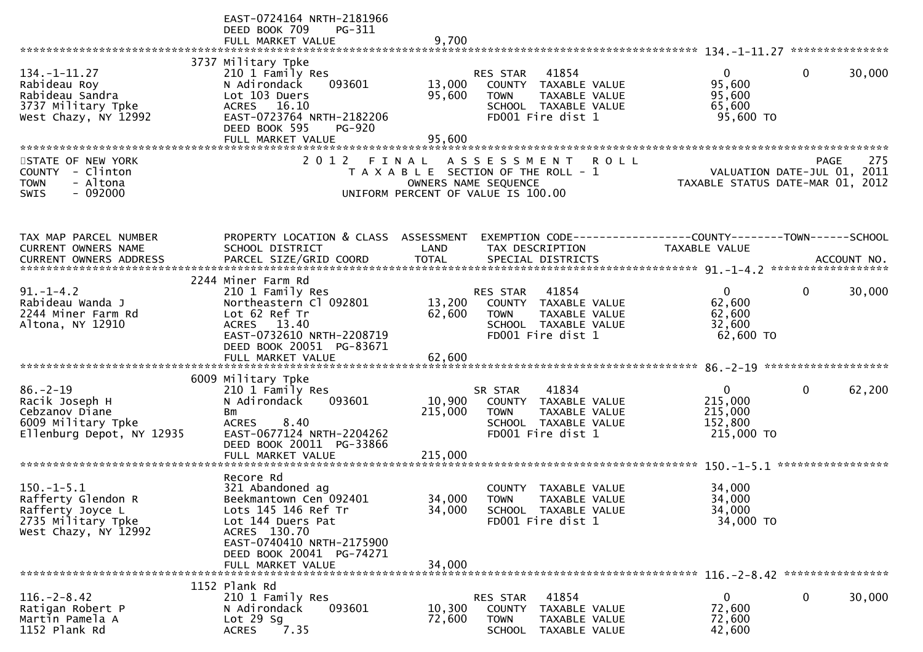|                                              | EAST-0724164 NRTH-2181966<br>DEED BOOK 709<br>PG-311 |         |                                                                                 |                                                                 |                        |
|----------------------------------------------|------------------------------------------------------|---------|---------------------------------------------------------------------------------|-----------------------------------------------------------------|------------------------|
|                                              | FULL MARKET VALUE                                    | 9,700   |                                                                                 |                                                                 |                        |
|                                              | 3737 Military Tpke                                   |         |                                                                                 |                                                                 |                        |
| $134. - 1 - 11.27$                           | 210 1 Family Res                                     |         | 41854<br>RES STAR                                                               | $\overline{0}$                                                  | $\Omega$<br>30,000     |
| Rabideau Roy                                 | N Adirondack<br>093601                               | 13,000  | COUNTY TAXABLE VALUE                                                            | 95,600                                                          |                        |
| Rabideau Sandra                              | Lot 103 Duers                                        | 95,600  | <b>TOWN</b><br>TAXABLE VALUE                                                    | 95,600                                                          |                        |
| 3737 Military Tpke<br>West Chazy, NY 12992   | ACRES 16.10<br>EAST-0723764 NRTH-2182206             |         | SCHOOL TAXABLE VALUE<br>FD001 Fire dist 1                                       | 65,600<br>95,600 TO                                             |                        |
|                                              | DEED BOOK 595<br><b>PG-920</b>                       |         |                                                                                 |                                                                 |                        |
|                                              | FULL MARKET VALUE                                    | 95,600  |                                                                                 |                                                                 |                        |
|                                              |                                                      |         |                                                                                 |                                                                 |                        |
| STATE OF NEW YORK                            |                                                      |         | 2012 FINAL ASSESSMENT<br><b>ROLL</b>                                            |                                                                 | 275<br>PAGE            |
| COUNTY - Clinton<br>- Altona<br><b>TOWN</b>  |                                                      |         | T A X A B L E SECTION OF THE ROLL - 1<br>OWNERS NAME SEQUENCE                   | VALUATION DATE-JUL 01, 2011<br>TAXABLE STATUS DATE-MAR 01, 2012 |                        |
| SWIS<br>$-092000$                            |                                                      |         | UNIFORM PERCENT OF VALUE IS 100.00                                              |                                                                 |                        |
|                                              |                                                      |         |                                                                                 |                                                                 |                        |
|                                              |                                                      |         |                                                                                 |                                                                 |                        |
|                                              | PROPERTY LOCATION & CLASS ASSESSMENT                 |         |                                                                                 |                                                                 |                        |
| TAX MAP PARCEL NUMBER<br>CURRENT OWNERS NAME | SCHOOL DISTRICT                                      | LAND    | EXEMPTION CODE-----------------COUNTY-------TOWN------SCHOOL<br>TAX DESCRIPTION | TAXABLE VALUE                                                   |                        |
|                                              |                                                      |         |                                                                                 |                                                                 |                        |
|                                              |                                                      |         |                                                                                 |                                                                 |                        |
|                                              | 2244 Miner Farm Rd                                   |         |                                                                                 |                                                                 |                        |
| $91. - 1 - 4.2$<br>Rabideau Wanda J          | 210 1 Family Res<br>Northeastern Cl 092801           | 13,200  | 41854<br>RES STAR<br>COUNTY TAXABLE VALUE                                       | $\mathbf{0}$<br>62,600                                          | 30,000<br>0            |
| 2244 Miner Farm Rd                           | Lot 62 Ref Tr                                        | 62,600  | <b>TOWN</b><br>TAXABLE VALUE                                                    | 62,600                                                          |                        |
| Altona, NY 12910                             | ACRES 13.40                                          |         | SCHOOL TAXABLE VALUE                                                            | 32,600                                                          |                        |
|                                              | EAST-0732610 NRTH-2208719                            |         | FD001 Fire dist 1                                                               | 62,600 TO                                                       |                        |
|                                              | DEED BOOK 20051 PG-83671                             |         |                                                                                 |                                                                 |                        |
|                                              | FULL MARKET VALUE                                    | 62,600  |                                                                                 |                                                                 |                        |
|                                              | 6009 Military Tpke                                   |         |                                                                                 |                                                                 |                        |
| $86. - 2 - 19$                               | 210 1 Family Res                                     |         | 41834<br>SR STAR                                                                | $\mathbf{0}$                                                    | $\mathbf{0}$<br>62,200 |
| Racik Joseph H                               | N Adirondack<br>093601                               | 10,900  | COUNTY TAXABLE VALUE                                                            | 215,000                                                         |                        |
| Cebzanov Diane<br>6009 Military Tpke         | Bm<br><b>ACRES</b><br>8.40                           | 215,000 | TAXABLE VALUE<br><b>TOWN</b><br>SCHOOL TAXABLE VALUE                            | 215,000<br>152,800                                              |                        |
| Ellenburg Depot, NY 12935                    | EAST-0677124 NRTH-2204262                            |         | FD001 Fire dist 1                                                               | 215,000 TO                                                      |                        |
|                                              | DEED BOOK 20011 PG-33866                             |         |                                                                                 |                                                                 |                        |
|                                              | FULL MARKET VALUE                                    | 215,000 |                                                                                 |                                                                 |                        |
|                                              |                                                      |         |                                                                                 |                                                                 |                        |
| $150. -1 - 5.1$                              | Recore Rd<br>321 Abandoned ag                        |         | TAXABLE VALUE<br><b>COUNTY</b>                                                  | 34,000                                                          |                        |
| Rafferty Glendon R                           | Beekmantown Cen 092401                               | 34,000  | <b>TOWN</b><br>TAXABLE VALUE                                                    | 34,000                                                          |                        |
| Rafferty Joyce L                             | Lots 145 146 Ref Tr                                  | 34,000  | SCHOOL TAXABLE VALUE                                                            | 34,000                                                          |                        |
| 2735 Military Tpke                           | Lot 144 Duers Pat                                    |         | FD001 Fire dist 1                                                               | 34,000 TO                                                       |                        |
| West Chazy, NY 12992                         | ACRES 130.70<br>EAST-0740410 NRTH-2175900            |         |                                                                                 |                                                                 |                        |
|                                              | DEED BOOK 20041 PG-74271                             |         |                                                                                 |                                                                 |                        |
|                                              | FULL MARKET VALUE                                    | 34,000  |                                                                                 |                                                                 |                        |
|                                              |                                                      |         |                                                                                 |                                                                 |                        |
| $116. - 2 - 8.42$                            | 1152 Plank Rd<br>210 1 Family Res                    |         | 41854<br>RES STAR                                                               | 0                                                               | 0<br>30,000            |
| Ratigan Robert P                             | 093601<br>N Adirondack                               | 10,300  | COUNTY<br>TAXABLE VALUE                                                         | 72,600                                                          |                        |
| Martin Pamela A                              | Lot $29$ Sg                                          | 72,600  | <b>TOWN</b><br>TAXABLE VALUE                                                    | 72,600                                                          |                        |
| 1152 Plank Rd                                | <b>ACRES</b><br>7.35                                 |         | SCHOOL<br>TAXABLE VALUE                                                         | 42,600                                                          |                        |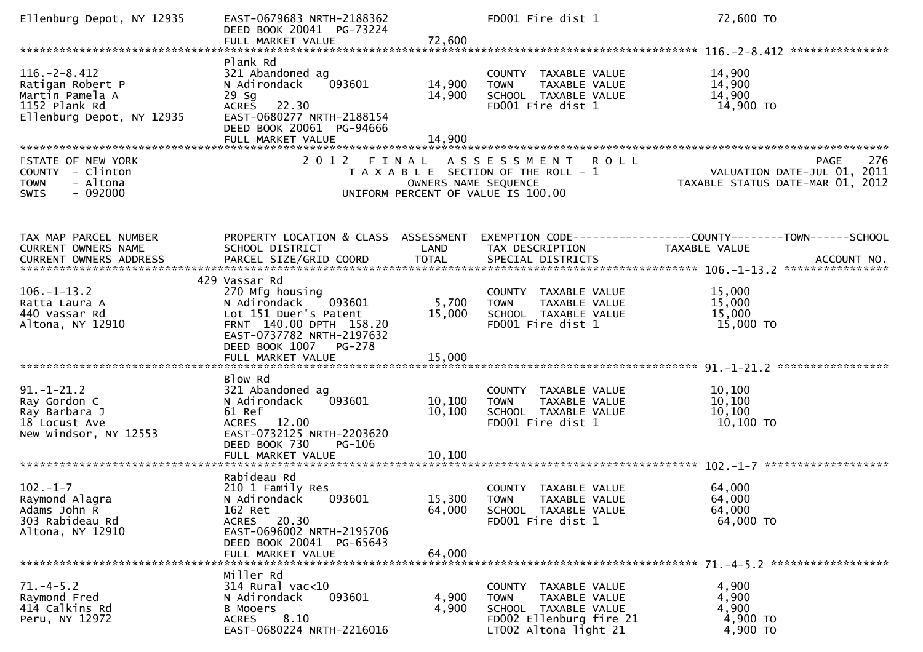| Ellenburg Depot, NY 12935                                                                               | EAST-0679683 NRTH-2188362<br>DEED BOOK 20041 PG-73224<br>FULL MARKET VALUE                                                                                               | 72,600                     | FD001 Fire dist 1                                                                                                                | 72,600 TO                                                                             |
|---------------------------------------------------------------------------------------------------------|--------------------------------------------------------------------------------------------------------------------------------------------------------------------------|----------------------------|----------------------------------------------------------------------------------------------------------------------------------|---------------------------------------------------------------------------------------|
|                                                                                                         |                                                                                                                                                                          |                            |                                                                                                                                  |                                                                                       |
| $116. - 2 - 8.412$<br>Ratigan Robert P<br>Martin Pamela A<br>1152 Plank Rd<br>Ellenburg Depot, NY 12935 | Plank Rd<br>321 Abandoned ag<br>093601<br>N Adirondack<br>$29$ Sg<br><b>ACRES</b><br>22.30<br>EAST-0680277 NRTH-2188154<br>DEED BOOK 20061 PG-94666<br>FULL MARKET VALUE | 14,900<br>14,900<br>14,900 | COUNTY TAXABLE VALUE<br>TAXABLE VALUE<br><b>TOWN</b><br>SCHOOL TAXABLE VALUE<br>FD001 Fire dist 1                                | 14,900<br>14,900<br>14,900<br>14,900 TO                                               |
| STATE OF NEW YORK<br>COUNTY - Clinton<br><b>TOWN</b><br>- Altona<br>$-092000$<br><b>SWIS</b>            | 2012 FINAL                                                                                                                                                               | OWNERS NAME SEQUENCE       | ASSESSMENT ROLL<br>T A X A B L E SECTION OF THE ROLL - 1<br>UNIFORM PERCENT OF VALUE IS 100.00                                   | 276<br><b>PAGE</b><br>VALUATION DATE-JUL 01, 2011<br>TAXABLE STATUS DATE-MAR 01, 2012 |
| TAX MAP PARCEL NUMBER<br>CURRENT OWNERS NAME                                                            | PROPERTY LOCATION & CLASS ASSESSMENT<br>SCHOOL DISTRICT                                                                                                                  | LAND                       | TAX DESCRIPTION                                                                                                                  | EXEMPTION CODE-----------------COUNTY-------TOWN------SCHOOL<br>TAXABLE VALUE         |
| $106. - 1 - 13.2$<br>Ratta Laura A<br>440 Vassar Rd<br>Altona, NY 12910                                 | 429 Vassar Rd<br>270 Mfg housing<br>N Adirondack<br>093601<br>Lot 151 Duer's Patent<br>FRNT 140.00 DPTH 158.20<br>EAST-0737782 NRTH-2197632<br>DEED BOOK 1007<br>PG-278  | 5,700<br>15,000            | COUNTY TAXABLE VALUE<br>TAXABLE VALUE<br><b>TOWN</b><br>SCHOOL TAXABLE VALUE<br>FD001 Fire dist 1                                | 15,000<br>15,000<br>15,000<br>15,000 TO                                               |
| $91. - 1 - 21.2$<br>Ray Gordon C<br>Ray Barbara J<br>18 Locust Ave<br>New Windsor, NY 12553             | Blow Rd<br>321 Abandoned ag<br>093601<br>N Adirondack<br>61 Ref<br>ACRES 12.00<br>EAST-0732125 NRTH-2203620<br>DEED BOOK 730<br>PG-106<br>FULL MARKET VALUE              | 10,100<br>10,100<br>10,100 | COUNTY TAXABLE VALUE<br>TAXABLE VALUE<br><b>TOWN</b><br>SCHOOL TAXABLE VALUE<br>FD001 Fire dist 1                                | *****************<br>10,100<br>10,100<br>10,100<br>10,100 TO                          |
| $102 - 1 - 7$<br>Raymond Alagra<br>Adams John R<br>303 Rabideau Rd<br>Altona, NY 12910                  | Rabideau Rd<br>210 1 Family Res<br>093601<br>N Adirondack<br>162 Ret<br>ACRES 20.30<br>EAST-0696002 NRTH-2195706<br>DEED BOOK 20041 PG-65643<br>FULL MARKET VALUE        | 64,000<br>64,000           | COUNTY TAXABLE VALUE<br>15,300 TOWN TAXABLE VALUE<br>SCHOOL TAXABLE VALUE<br>FD001 Fire dist 1                                   | 64,000<br>64,000<br>64,000<br>64,000 TO                                               |
| $71. -4 - 5.2$<br>Raymond Fred<br>414 Calkins Rd<br>Peru, NY 12972                                      | Miller Rd<br>$314$ Rural vac<10<br>093601<br>N Adirondack<br><b>B Mooers</b><br>8.10<br>ACRES<br>EAST-0680224 NRTH-2216016                                               | 4,900<br>4,900             | COUNTY TAXABLE VALUE<br>TAXABLE VALUE<br><b>TOWN</b><br>SCHOOL TAXABLE VALUE<br>FD002 Ellenburg fire 21<br>LT002 Altona light 21 | 4,900<br>4,900<br>4,900<br>4,900 TO<br>4,900 TO                                       |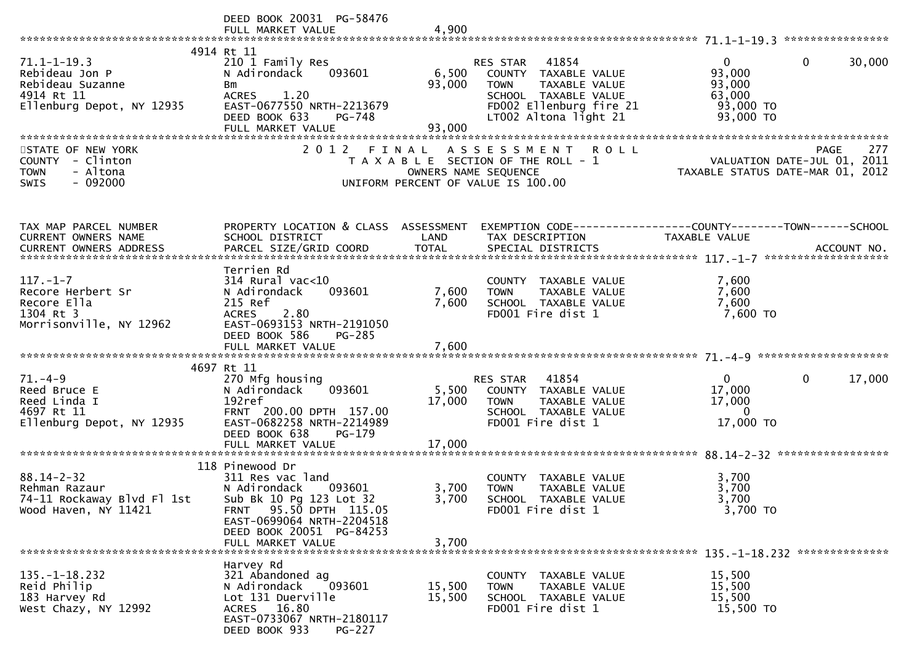|                            | DEED BOOK 20031 PG-58476             |                      |                                       |                                                                             |
|----------------------------|--------------------------------------|----------------------|---------------------------------------|-----------------------------------------------------------------------------|
|                            | 4914 Rt 11                           |                      |                                       |                                                                             |
| $71.1 - 1 - 19.3$          | 210 1 Family Res                     |                      | RES STAR 41854                        | $\mathbf{0}$<br>$\mathbf{0}$<br>30,000                                      |
| Rebideau Jon P             | 093601<br>N Adirondack               | 6,500                | COUNTY TAXABLE VALUE                  | 93,000                                                                      |
| Rebideau Suzanne           |                                      | 93,000               | <b>TOWN</b><br>TAXABLE VALUE          | 93,000                                                                      |
| 4914 Rt 11                 | Bm                                   |                      |                                       | 63,000                                                                      |
|                            | ACRES 1.20                           |                      | SCHOOL TAXABLE VALUE                  |                                                                             |
| Ellenburg Depot, NY 12935  | EAST-0677550 NRTH-2213679            |                      | FD002 Ellenburg fire 21               | 93,000 TO                                                                   |
|                            | DEED BOOK 633<br>PG-748              |                      | LT002 Altona light 21                 | 93,000 TO                                                                   |
|                            | FULL MARKET VALUE                    | 93,000               |                                       |                                                                             |
|                            |                                      |                      |                                       |                                                                             |
| STATE OF NEW YORK          |                                      |                      | 2012 FINAL ASSESSMENT ROLL            | PAGE 277<br>VALUATION DATE-JUL 01, 2011<br>TAXABLE STATIIS DATE 110 04 2011 |
| COUNTY - Clinton           |                                      |                      | T A X A B L E SECTION OF THE ROLL - 1 |                                                                             |
| - Altona<br><b>TOWN</b>    |                                      | OWNERS NAME SEQUENCE |                                       |                                                                             |
| $-092000$<br><b>SWIS</b>   |                                      |                      | UNIFORM PERCENT OF VALUE IS 100.00    |                                                                             |
|                            |                                      |                      |                                       |                                                                             |
| TAX MAP PARCEL NUMBER      | PROPERTY LOCATION & CLASS ASSESSMENT |                      |                                       | EXEMPTION CODE-----------------COUNTY-------TOWN------SCHOOL                |
| CURRENT OWNERS NAME        | SCHOOL DISTRICT                      | LAND                 | TAX DESCRIPTION                       | TAXABLE VALUE                                                               |
|                            |                                      |                      |                                       |                                                                             |
|                            |                                      |                      |                                       |                                                                             |
|                            | Terrien Rd                           |                      |                                       |                                                                             |
| $117. - 1 - 7$             | 314 Rural vac<10                     |                      | COUNTY TAXABLE VALUE                  | 7,600                                                                       |
| Recore Herbert Sr          | 093601<br>N Adirondack               | 7,600                | TAXABLE VALUE<br><b>TOWN</b>          | 7,600                                                                       |
| Recore Ella                | 215 Ref                              | 7,600                | SCHOOL TAXABLE VALUE                  | 7,600                                                                       |
| 1304 Rt 3                  | 2.80<br><b>ACRES</b>                 |                      | FD001 Fire dist 1                     | 7,600 TO                                                                    |
| Morrisonville, NY 12962    | EAST-0693153 NRTH-2191050            |                      |                                       |                                                                             |
|                            | DEED BOOK 586<br>PG-285              |                      |                                       |                                                                             |
|                            |                                      |                      |                                       |                                                                             |
|                            |                                      |                      |                                       |                                                                             |
|                            | 4697 Rt 11                           |                      |                                       |                                                                             |
| $71. - 4 - 9$              | 270 Mfg housing                      |                      | RES STAR 41854                        | $\mathbf{0}$<br>$\mathbf{0}$<br>17,000                                      |
| Reed Bruce E               | 093601<br>N Adirondack               | 5,500                | COUNTY TAXABLE VALUE                  | 17,000                                                                      |
| Reed Linda I               | 192ref                               | 17,000               | <b>TOWN</b><br>TAXABLE VALUE          | 17,000                                                                      |
| 4697 Rt 11                 | FRNT 200.00 DPTH 157.00              |                      | SCHOOL TAXABLE VALUE                  | $\Omega$                                                                    |
| Ellenburg Depot, NY 12935  | EAST-0682258 NRTH-2214989            |                      | FD001 Fire dist 1                     | 17,000 TO                                                                   |
|                            |                                      |                      |                                       |                                                                             |
|                            | DEED BOOK 638<br>$PG-179$            |                      |                                       |                                                                             |
|                            | FULL MARKET VALUE                    | 17,000               |                                       |                                                                             |
|                            |                                      |                      |                                       |                                                                             |
|                            | 118 Pinewood Dr                      |                      |                                       |                                                                             |
| $88.14 - 2 - 32$           | 311 Res vac land                     |                      | COUNTY TAXABLE VALUE                  | 3,700                                                                       |
| Rehman Razaur              | N Adirondack<br>093601               | 3,700                | TAXABLE VALUE<br><b>TOWN</b>          | 3,700                                                                       |
| 74-11 Rockaway Blvd Fl 1st | Sub Bk 10 Pg 123 Lot 32              | 3,700                | SCHOOL TAXABLE VALUE                  | 3,700                                                                       |
| Wood Haven, NY 11421       | FRNT 95.50 DPTH 115.05               |                      | FD001 Fire dist 1                     | 3,700 TO                                                                    |
|                            | EAST-0699064 NRTH-2204518            |                      |                                       |                                                                             |
|                            | DEED BOOK 20051 PG-84253             |                      |                                       |                                                                             |
|                            | FULL MARKET VALUE                    | 3,700                |                                       |                                                                             |
|                            |                                      |                      |                                       |                                                                             |
|                            | Harvey Rd                            |                      |                                       |                                                                             |
| $135. - 1 - 18.232$        | 321 Abandoned ag                     |                      | COUNTY TAXABLE VALUE                  | 15,500                                                                      |
| Reid Philip                | 093601<br>N Adirondack               | 15,500               | <b>TAXABLE VALUE</b><br><b>TOWN</b>   | 15,500                                                                      |
| 183 Harvey Rd              | Lot 131 Duerville                    | 15,500               | SCHOOL TAXABLE VALUE                  | 15,500                                                                      |
| West Chazy, NY 12992       | ACRES 16.80                          |                      | FD001 Fire dist 1                     | 15,500 TO                                                                   |
|                            | EAST-0733067 NRTH-2180117            |                      |                                       |                                                                             |
|                            | DEED BOOK 933<br><b>PG-227</b>       |                      |                                       |                                                                             |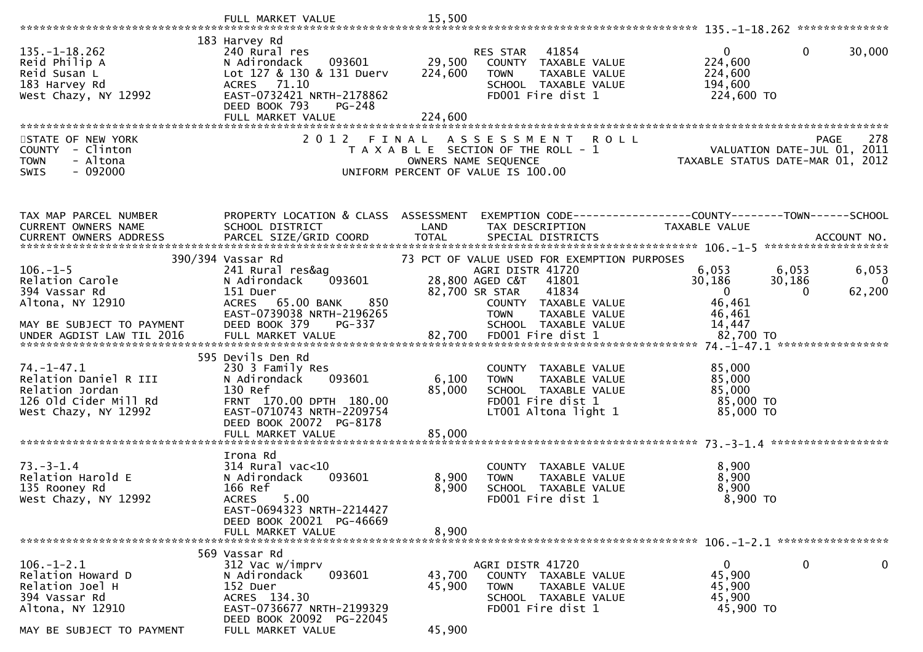|                                                                                                                            | FULL MARKET VALUE                                                                                                                                                                  | 15,500                       |                                                                                                                                                                                                        |                                                                                                      |                                   |
|----------------------------------------------------------------------------------------------------------------------------|------------------------------------------------------------------------------------------------------------------------------------------------------------------------------------|------------------------------|--------------------------------------------------------------------------------------------------------------------------------------------------------------------------------------------------------|------------------------------------------------------------------------------------------------------|-----------------------------------|
| $135. - 1 - 18.262$<br>Reid Philip A<br>Reid Susan L<br>183 Harvey Rd<br>West Chazy, NY 12992                              | 183 Harvey Rd<br>240 Rural res<br>N Adirondack<br>093601<br>Lot 127 & 130 & 131 Duerv<br>ACRES 71.10<br>EAST-0732421 NRTH-2178862<br>DEED BOOK 793<br>PG-248<br>FULL MARKET VALUE  | 29,500<br>224,600<br>224,600 | 41854<br>RES STAR<br>COUNTY TAXABLE VALUE<br><b>TOWN</b><br>TAXABLE VALUE<br>SCHOOL TAXABLE VALUE<br>FD001 Fire dist 1                                                                                 | $\overline{0}$<br>0<br>224,600<br>224,600<br>194,600<br>224,600 TO                                   | 30,000                            |
| STATE OF NEW YORK<br>COUNTY - Clinton<br>- Altona<br><b>TOWN</b><br>$-092000$<br><b>SWIS</b>                               | 2 0 1 2                                                                                                                                                                            | FINAL                        | A S S E S S M E N T<br><b>ROLL</b><br>T A X A B L E SECTION OF THE ROLL - 1<br>OWNERS NAME SEQUENCE<br>UNIFORM PERCENT OF VALUE IS 100.00                                                              | <b>PAGE</b><br>PAGE 278<br>2011 ROLL - 1 VALUATION DATE-JUL<br>2012 TAXABLE STATUS DATE-MAR 01, 2012 | 278                               |
| TAX MAP PARCEL NUMBER<br>CURRENT OWNERS NAME                                                                               | PROPERTY LOCATION & CLASS ASSESSMENT<br>SCHOOL DISTRICT                                                                                                                            | LAND                         | TAX DESCRIPTION                                                                                                                                                                                        | EXEMPTION CODE-----------------COUNTY-------TOWN------SCHOOL<br>TAXABLE VALUE                        |                                   |
| $106. - 1 - 5$<br>Relation Carole<br>394 Vassar Rd<br>Altona, NY 12910<br>MAY BE SUBJECT TO PAYMENT                        | 390/394 Vassar Rd<br>241 Rural res&ag<br>093601<br>N Adirondack<br>151 Duer<br>ACRES 65.00 BANK<br>850<br>EAST-0739038 NRTH-2196265<br>DEED BOOK 379<br>PG-337                     |                              | 73 PCT OF VALUE USED FOR EXEMPTION PURPOSES<br>AGRI DISTR 41720<br>28,800 AGED C&T<br>41801<br>41834<br>82,700 SR STAR<br>COUNTY TAXABLE VALUE<br><b>TOWN</b><br>TAXABLE VALUE<br>SCHOOL TAXABLE VALUE | 6,053<br>6,053<br>30,186<br>30,186<br>$\overline{0}$<br>$\Omega$<br>46,461<br>46,461<br>14,447       | 6,053<br>$\overline{0}$<br>62,200 |
| $74. - 1 - 47.1$<br>Relation Daniel R III<br>Relation Jordan<br>126 Old Cider Mill Rd<br>West Chazy, NY 12992              | 595 Devils Den Rd<br>230 3 Family Res<br>093601<br>N Adirondack<br>130 Ref<br>FRNT 170.00 DPTH 180.00<br>EAST-0710743 NRTH-2209754<br>DEED BOOK 20072 PG-8178<br>FULL MARKET VALUE | 6,100<br>85,000<br>85,000    | COUNTY TAXABLE VALUE<br>TAXABLE VALUE<br><b>TOWN</b><br>SCHOOL TAXABLE VALUE<br>FD001 Fire dist 1<br>LT001 Altona light 1                                                                              | 85,000<br>85,000<br>85,000<br>85,000 TO<br>85,000 TO                                                 |                                   |
| $73. - 3 - 1.4$<br>Relation Harold E<br>135 Rooney Rd<br>West Chazy, NY 12992                                              | Irona Rd<br>$314$ Rural vac<10<br>093601<br>N Adirondack<br>166 Ref<br>5.00<br><b>ACRES</b><br>EAST-0694323 NRTH-2214427<br>DEED BOOK 20021 PG-46669<br>FULL MARKET VALUE          | 8,900<br>8,900<br>8,900      | COUNTY TAXABLE VALUE<br>TAXABLE VALUE<br><b>TOWN</b><br>SCHOOL TAXABLE VALUE<br>FD001 Fire dist 1                                                                                                      | 8,900<br>8,900<br>8,900<br>$8,900$ TO                                                                |                                   |
| $106. - 1 - 2.1$<br>Relation Howard D<br>Relation Joel H<br>394 Vassar Rd<br>Altona, NY 12910<br>MAY BE SUBJECT TO PAYMENT | 569 Vassar Rd<br>312 Vac w/imprv<br>093601<br>N Adirondack<br>152 Duer<br>ACRES 134.30<br>EAST-0736677 NRTH-2199329<br>DEED BOOK 20092 PG-22045<br>FULL MARKET VALUE               | 43,700<br>45,900<br>45,900   | AGRI DISTR 41720<br>COUNTY TAXABLE VALUE<br><b>TOWN</b><br>TAXABLE VALUE<br>SCHOOL TAXABLE VALUE<br>FD001 Fire dist 1                                                                                  | $\mathbf 0$<br>$\overline{0}$<br>45,900<br>45,900<br>45,900<br>45,900 TO                             | $\mathbf 0$                       |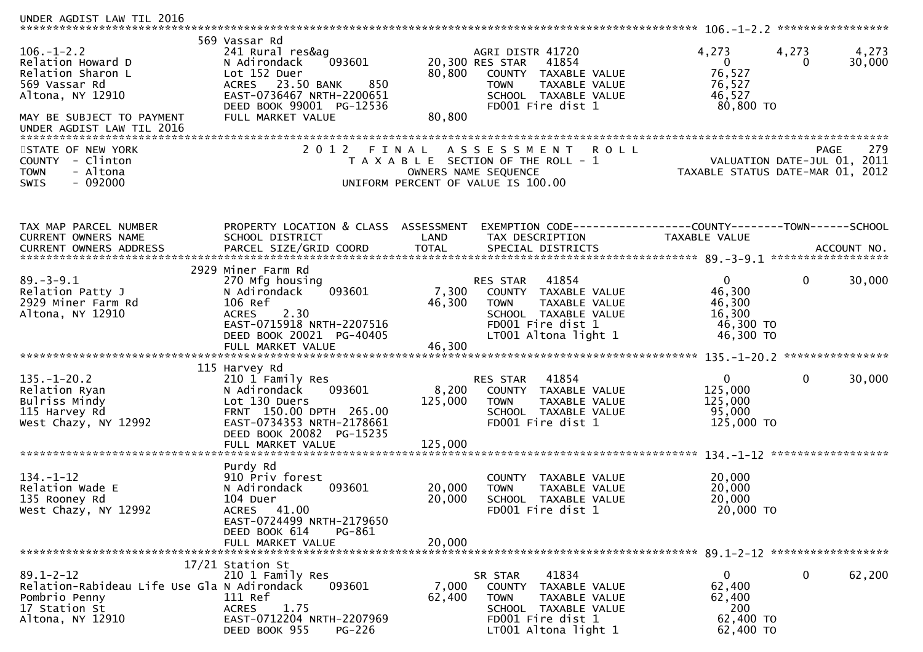| UNDER AGDIST LAW TIL 2016                                                                                                                                 |                                                                                                                                                                                       |                             |                                                                                                                                                          |                                                                  |                                                   |
|-----------------------------------------------------------------------------------------------------------------------------------------------------------|---------------------------------------------------------------------------------------------------------------------------------------------------------------------------------------|-----------------------------|----------------------------------------------------------------------------------------------------------------------------------------------------------|------------------------------------------------------------------|---------------------------------------------------|
| $106. - 1 - 2.2$<br>Relation Howard D<br>Relation Sharon L<br>569 Vassar Rd<br>Altona, NY 12910<br>MAY BE SUBJECT TO PAYMENT<br>UNDER AGDIST LAW TIL 2016 | 569 Vassar Rd<br>241 Rural res&ag<br>093601<br>N Adirondack<br>Lot 152 Duer<br>ACRES 23.50 BANK<br>850<br>EAST-0736467 NRTH-2200651<br>DEED BOOK 99001 PG-12536<br>FULL MARKET VALUE  | 80,800<br>80,800            | AGRI DISTR 41720<br>20,300 RES STAR<br>41854<br>COUNTY TAXABLE VALUE<br><b>TAXABLE VALUE</b><br><b>TOWN</b><br>SCHOOL TAXABLE VALUE<br>FD001 Fire dist 1 | 4,273<br>$\mathbf{0}$<br>76,527<br>76,527<br>46,527<br>80,800 TO | 4,273<br>4,273<br>30,000<br>0                     |
| STATE OF NEW YORK<br><b>COUNTY</b><br>- Clinton<br>- Altona<br><b>TOWN</b><br>$-092000$<br>SWIS                                                           | 2 0 1 2                                                                                                                                                                               | FINAL                       | A S S E S S M E N T<br><b>ROLL</b><br>T A X A B L E SECTION OF THE ROLL - 1<br>OWNERS NAME SEQUENCE<br>UNIFORM PERCENT OF VALUE IS 100.00                | TAXABLE STATUS DATE-MAR 01, 2012                                 | 279<br><b>PAGE</b><br>VALUATION DATE-JUL 01, 2011 |
| TAX MAP PARCEL NUMBER<br>CURRENT OWNERS NAME                                                                                                              | PROPERTY LOCATION & CLASS<br>SCHOOL DISTRICT                                                                                                                                          | ASSESSMENT<br>LAND          | TAX DESCRIPTION                                                                                                                                          | TAXABLE VALUE                                                    |                                                   |
| $89. - 3 - 9.1$<br>Relation Patty J<br>2929 Miner Farm Rd<br>Altona, NY 12910                                                                             | 2929 Miner Farm Rd<br>270 Mfg housing<br>093601<br>N Adirondack<br>106 Ref<br><b>ACRES</b><br>2.30<br>EAST-0715918 NRTH-2207516<br>DEED BOOK 20021 PG-40405<br>FULL MARKET VALUE      | 7,300<br>46,300<br>46,300   | 41854<br>RES STAR<br>COUNTY TAXABLE VALUE<br><b>TOWN</b><br>TAXABLE VALUE<br>SCHOOL TAXABLE VALUE<br>FD001 Fire dist 1<br>LT001 Altona light 1           | $\Omega$<br>46,300<br>46,300<br>16,300<br>46,300 TO<br>46,300 TO | 30,000<br>0                                       |
| $135. - 1 - 20.2$<br>Relation Ryan<br>Bulriss Mindy<br>115 Harvey Rd<br>West Chazy, NY 12992                                                              | 115 Harvey Rd<br>210 1 Family Res<br>093601<br>N Adirondack<br>Lot 130 Duers<br>FRNT 150.00 DPTH 265.00<br>EAST-0734353 NRTH-2178661<br>DEED BOOK 20082 PG-15235<br>FULL MARKET VALUE | 8,200<br>125,000<br>125,000 | 41854<br><b>RES STAR</b><br>COUNTY TAXABLE VALUE<br>TAXABLE VALUE<br><b>TOWN</b><br>SCHOOL TAXABLE VALUE<br>FD001 Fire dist 1                            | $\mathbf{0}$<br>125,000<br>125,000<br>95,000<br>125,000 TO       | 0<br>30,000                                       |
| $134. - 1 - 12$<br>Relation Wade E<br>135 Rooney Rd<br>West Chazy, NY 12992                                                                               | Purdy Rd<br>910 Priv forest<br>N Adirondack<br>093601<br>104 Duer<br>41.00<br>ACRES<br>EAST-0724499 NRTH-2179650<br>DEED BOOK 614<br>PG-861<br>FULL MARKET VALUE                      | 20,000<br>20,000<br>20,000  | COUNTY TAXABLE VALUE<br><b>TOWN</b><br>TAXABLE VALUE<br>SCHOOL TAXABLE VALUE<br>FD001 Fire dist 1                                                        | 20,000<br>20,000<br>20,000<br>20,000 TO                          |                                                   |
| $89.1 - 2 - 12$<br>Relation-Rabideau Life Use Gla N Adirondack<br>Pombrio Penny<br>17 Station St<br>Altona, NY 12910                                      | 17/21 Station St<br>210 1 Family Res<br>093601<br>111 Ref<br>1.75<br><b>ACRES</b><br>EAST-0712204 NRTH-2207969<br>DEED BOOK 955<br>PG-226                                             | 7,000<br>62,400             | 41834<br>SR STAR<br>COUNTY TAXABLE VALUE<br>TAXABLE VALUE<br><b>TOWN</b><br>SCHOOL TAXABLE VALUE<br>FD001 Fire dist 1<br>LT001 Altona light 1            | 0<br>62,400<br>62,400<br>200<br>62,400 TO<br>62,400 TO           | 62,200<br>0                                       |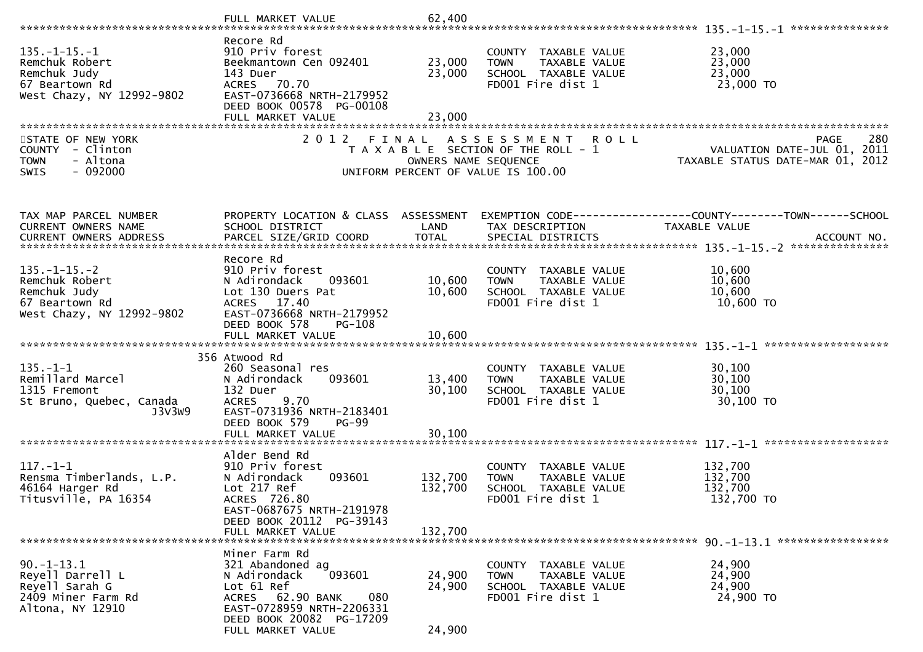|                                                                                                       | FULL MARKET VALUE                                                                                                                                                                  | 62,400                        |                                                                                                            |                                                                                       |
|-------------------------------------------------------------------------------------------------------|------------------------------------------------------------------------------------------------------------------------------------------------------------------------------------|-------------------------------|------------------------------------------------------------------------------------------------------------|---------------------------------------------------------------------------------------|
| $135. - 1 - 15. - 1$<br>Remchuk Robert<br>Remchuk Judy<br>67 Beartown Rd<br>West Chazy, NY 12992-9802 | Recore Rd<br>910 Priv forest<br>Beekmantown Cen 092401<br>143 Duer<br>ACRES 70.70<br>EAST-0736668 NRTH-2179952<br>DEED BOOK 00578 PG-00108<br>FULL MARKET VALUE                    | 23,000<br>23,000<br>23,000    | COUNTY TAXABLE VALUE<br><b>TOWN</b><br>TAXABLE VALUE<br>SCHOOL TAXABLE VALUE<br>FD001 Fire dist 1          | 23,000<br>23,000<br>23,000<br>23,000 TO                                               |
| STATE OF NEW YORK<br>COUNTY - Clinton<br>- Altona<br><b>TOWN</b><br>$-092000$<br><b>SWIS</b>          | 2012 FINAL                                                                                                                                                                         | OWNERS NAME SEQUENCE          | A S S E S S M E N T R O L L<br>T A X A B L E SECTION OF THE ROLL - 1<br>UNIFORM PERCENT OF VALUE IS 100.00 | 280<br><b>PAGE</b><br>VALUATION DATE-JUL 01, 2011<br>TAXABLE STATUS DATE-MAR 01, 2012 |
| TAX MAP PARCEL NUMBER<br>CURRENT OWNERS NAME                                                          | PROPERTY LOCATION & CLASS ASSESSMENT<br>SCHOOL DISTRICT                                                                                                                            | LAND                          | TAX DESCRIPTION                                                                                            | EXEMPTION CODE------------------COUNTY--------TOWN------SCHOOL<br>TAXABLE VALUE       |
| $135. - 1 - 15. - 2$<br>Remchuk Robert<br>Remchuk Judy<br>67 Beartown Rd<br>West Chazy, NY 12992-9802 | Recore Rd<br>910 Priv forest<br>N Adirondack<br>093601<br>Lot 130 Duers Pat<br>ACRES 17.40<br>EAST-0736668 NRTH-2179952<br>DEED BOOK 578<br>PG-108                                 | 10,600<br>10,600              | COUNTY TAXABLE VALUE<br><b>TOWN</b><br>TAXABLE VALUE<br>SCHOOL TAXABLE VALUE<br>FD001 Fire dist 1          | 10,600<br>10,600<br>10,600<br>10,600 TO                                               |
| $135. - 1 - 1$<br>Remillard Marcel<br>1315 Fremont<br>St Bruno, Quebec, Canada<br>J3V3W9              | 356 Atwood Rd<br>260 Seasonal res<br>093601<br>N Adirondack<br>132 Duer<br>9.70<br><b>ACRES</b><br>EAST-0731936 NRTH-2183401<br>DEED BOOK 579<br><b>PG-99</b><br>FULL MARKET VALUE | 13,400<br>30,100<br>30,100    | COUNTY TAXABLE VALUE<br>TAXABLE VALUE<br><b>TOWN</b><br>SCHOOL TAXABLE VALUE<br>FD001 Fire dist 1          | 30,100<br>30,100<br>30,100<br>30,100 TO                                               |
| $117. - 1 - 1$<br>Rensma Timberlands, L.P.<br>46164 Harger Rd<br>Titusville, PA 16354                 | Alder Bend Rd<br>910 Priv forest<br>093601<br>N Adirondack<br>Lot 217 Ref<br>ACRES 726.80<br>EAST-0687675 NRTH-2191978<br>DEED BOOK 20112 PG-39143<br>FULL MARKET VALUE            | 132,700<br>132,700<br>132,700 | COUNTY TAXABLE VALUE<br>TAXABLE VALUE<br><b>TOWN</b><br>SCHOOL TAXABLE VALUE<br>FD001 Fire dist 1          | 132,700<br>132,700<br>132,700<br>132,700 TO                                           |
| $90. -1 - 13.1$<br>Reyell Darrell L<br>Reyell Sarah G<br>2409 Miner Farm Rd<br>Altona, NY 12910       | Miner Farm Rd<br>321 Abandoned ag<br>N Adirondack<br>093601<br>Lot 61 Ref<br>ACRES 62.90 BANK<br>080<br>EAST-0728959 NRTH-2206331<br>DEED BOOK 20082 PG-17209<br>FULL MARKET VALUE | 24,900<br>24,900<br>24,900    | COUNTY TAXABLE VALUE<br><b>TOWN</b><br>TAXABLE VALUE<br>SCHOOL TAXABLE VALUE<br>FD001 Fire dist 1          | 24,900<br>24,900<br>24,900<br>24,900 TO                                               |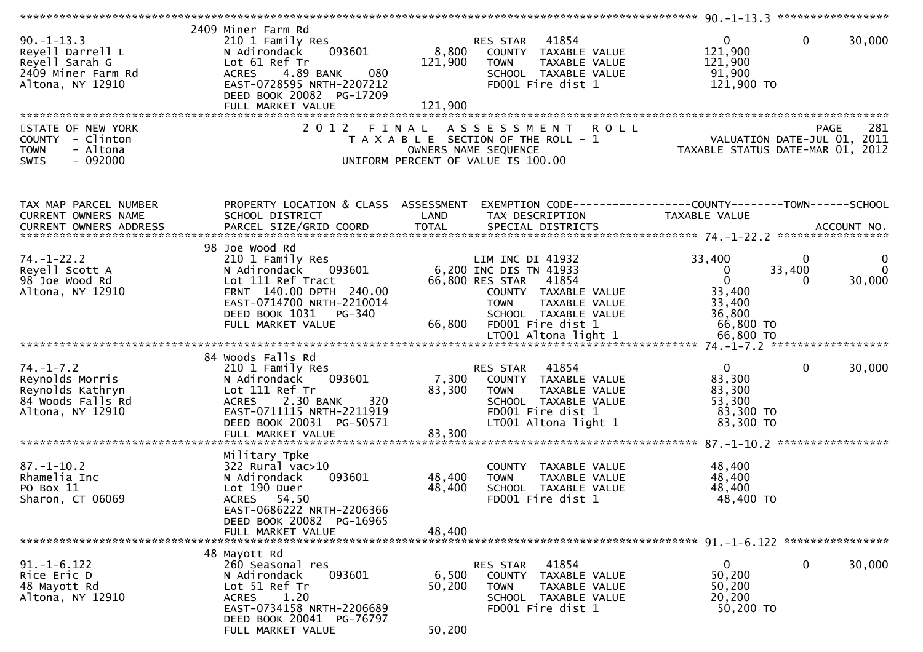| $90. -1 - 13.3$<br>Reyell Darrell L<br>Reyell Sarah G<br>2409 Miner Farm Rd<br>Altona, NY 12910<br>STATE OF NEW YORK<br>COUNTY - Clinton<br>- Altona<br><b>TOWN</b> | 2409 Miner Farm Rd<br>210 1 Family Res<br>093601<br>N Adirondack<br>Lot 61 Ref Tr<br>4.89 BANK<br>080<br><b>ACRES</b><br>EAST-0728595 NRTH-2207212<br>DEED BOOK 20082 PG-17209<br>FULL MARKET VALUE<br>2 0 1 2 | 8,800<br>121,900<br>121,900<br>FINAL | RES STAR 41854<br>COUNTY TAXABLE VALUE<br>TAXABLE VALUE<br><b>TOWN</b><br>SCHOOL TAXABLE VALUE<br>FD001 Fire dist 1<br>A S S E S S M E N T<br><b>ROLL</b><br>T A X A B L E SECTION OF THE ROLL - 1<br>OWNERS NAME SEQUENCE | $\overline{0}$<br>121,900<br>121,900<br>91,900<br>121,900 TO<br>VALUATION DATE-JUL 01, 2011<br>TAXABLE STATUS DATE-MAR 01, 2012 | $\mathbf 0$<br>30,000<br>281<br>PAGE |
|---------------------------------------------------------------------------------------------------------------------------------------------------------------------|----------------------------------------------------------------------------------------------------------------------------------------------------------------------------------------------------------------|--------------------------------------|----------------------------------------------------------------------------------------------------------------------------------------------------------------------------------------------------------------------------|---------------------------------------------------------------------------------------------------------------------------------|--------------------------------------|
| $-092000$<br>SWIS                                                                                                                                                   |                                                                                                                                                                                                                |                                      | UNIFORM PERCENT OF VALUE IS 100.00                                                                                                                                                                                         |                                                                                                                                 |                                      |
| TAX MAP PARCEL NUMBER<br>CURRENT OWNERS NAME                                                                                                                        | PROPERTY LOCATION & CLASS ASSESSMENT<br>SCHOOL DISTRICT                                                                                                                                                        | LAND                                 | EXEMPTION CODE------------------COUNTY--------TOWN------SCHOOL<br>TAX DESCRIPTION                                                                                                                                          | TAXABLE VALUE                                                                                                                   |                                      |
| $74. - 1 - 22.2$<br>Reyell Scott A<br>98 Joe Wood Rd<br>Altona, NY 12910                                                                                            | 98 Joe Wood Rd<br>210 1 Family Res<br>093601<br>N Adirondack<br>Lot 111 Ref Tract<br>FRNT 140.00 DPTH 240.00<br>EAST-0714700 NRTH-2210014<br>DEED BOOK 1031 PG-340<br>FULL MARKET VALUE                        | 66,800                               | LIM INC DI 41932<br>6,200 INC DIS TN 41933<br>66,800 RES STAR<br>41854<br>COUNTY TAXABLE VALUE<br><b>TOWN</b><br>TAXABLE VALUE<br>SCHOOL TAXABLE VALUE<br>FD001 Fire dist 1                                                | 33,400<br>$\mathbf 0$<br>$\mathbf 0$<br>33,400<br>33,400<br>36,800<br>66,800 TO                                                 | 0<br>$\Omega$<br>33,400<br>30,000    |
|                                                                                                                                                                     |                                                                                                                                                                                                                |                                      |                                                                                                                                                                                                                            |                                                                                                                                 |                                      |
| $74. - 1 - 7.2$<br>Reynolds Morris<br>Reynolds Kathryn<br>84 Woods Falls Rd<br>Altona, NY 12910                                                                     | 84 Woods Falls Rd<br>210 1 Family Res<br>093601<br>N Adirondack<br>Lot 111 Ref Tr<br>2.30 BANK<br>320<br><b>ACRES</b><br>EAST-0711115 NRTH-2211919<br>DEED BOOK 20031 PG-50571<br>FULL MARKET VALUE            | 7,300<br>83,300<br>83,300            | 41854<br>RES STAR<br>COUNTY TAXABLE VALUE<br>TAXABLE VALUE<br>TOWN<br>SCHOOL TAXABLE VALUE<br>FD001 Fire dist 1<br>LT001 Altona light 1                                                                                    | $\overline{0}$<br>83,300<br>83,300<br>53,300<br>83,300 TO<br>83,300 TO                                                          | $\mathbf 0$<br>30,000                |
|                                                                                                                                                                     |                                                                                                                                                                                                                |                                      |                                                                                                                                                                                                                            |                                                                                                                                 |                                      |
| $87. - 1 - 10.2$<br>Rhamelia Inc<br>PO Box 11<br>Sharon, CT 06069                                                                                                   | Military Tpke<br>$322$ Rural vac $>10$<br>093601<br>N Adirondack<br>Lot 190 Duer<br>ACRES 54.50<br>EAST-0686222 NRTH-2206366<br>DEED BOOK 20082 PG-16965                                                       | 48,400<br>48,400                     | COUNTY TAXABLE VALUE<br>TAXABLE VALUE<br>TOWN<br>SCHOOL TAXABLE VALUE<br>FD001 Fire dist 1                                                                                                                                 | 48,400<br>48,400<br>48,400<br>48,400 TO                                                                                         |                                      |
|                                                                                                                                                                     | FULL MARKET VALUE                                                                                                                                                                                              | 48,400                               |                                                                                                                                                                                                                            |                                                                                                                                 |                                      |
|                                                                                                                                                                     | 48 Mayott Rd                                                                                                                                                                                                   |                                      |                                                                                                                                                                                                                            |                                                                                                                                 |                                      |
| $91. - 1 - 6.122$<br>Rice Eric D<br>48 Mayott Rd<br>Altona, NY 12910                                                                                                | 260 Seasonal res<br>093601<br>N Adirondack<br>Lot 51 Ref Tr<br>1.20<br><b>ACRES</b><br>EAST-0734158 NRTH-2206689<br>DEED BOOK 20041 PG-76797<br>FULL MARKET VALUE                                              | 6,500<br>50,200<br>50,200            | 41854<br>RES STAR<br>COUNTY TAXABLE VALUE<br><b>TOWN</b><br>TAXABLE VALUE<br>SCHOOL TAXABLE VALUE<br>FD001 Fire dist 1                                                                                                     | $\mathbf{0}$<br>50,200<br>50,200<br>20,200<br>50,200 TO                                                                         | $\mathbf 0$<br>30,000                |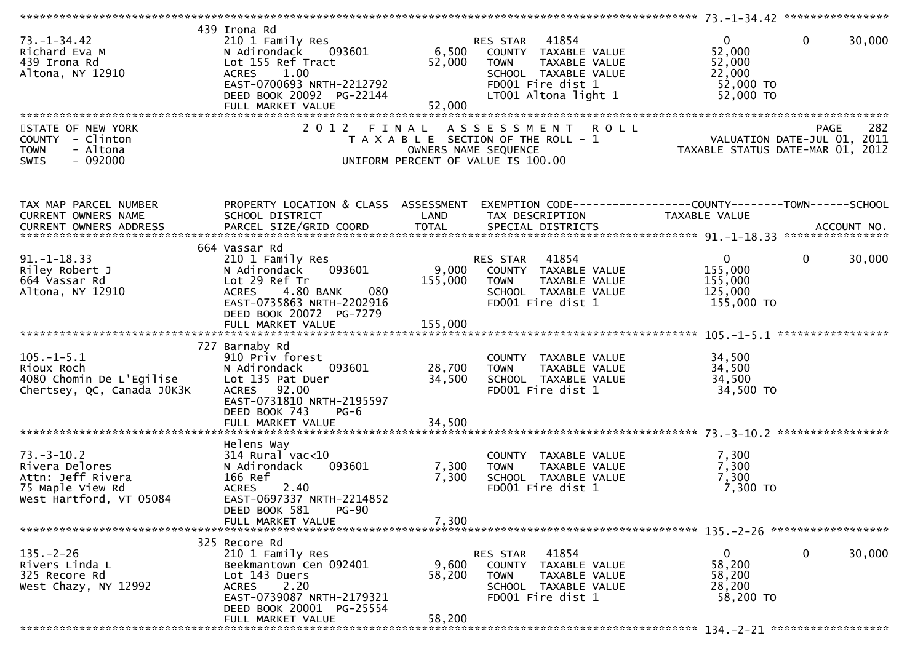| $73. - 1 - 34.42$<br>Richard Eva M<br>439 Irona Rd<br>Altona, NY 12910                                 | 439 Irona Rd<br>210 1 Family Res<br>093601<br>N Adirondack<br>Lot 155 Ref Tract<br>1.00<br><b>ACRES</b><br>EAST-0700693 NRTH-2212792<br>DEED BOOK 20092 PG-22144<br>FULL MARKET VALUE | 52,000<br>52,000          | RES STAR 41854<br>6,500 COUNTY TAXABLE VALUE<br><b>TOWN</b><br>TAXABLE VALUE<br>SCHOOL TAXABLE VALUE<br>FD001 Fire dist 1<br>LT001 Altona light 1 | $\overline{0}$<br>52,000<br>52,000<br>22,000<br>52,000 TO<br>52,000 TO | $\mathbf 0$<br>30,000  |
|--------------------------------------------------------------------------------------------------------|---------------------------------------------------------------------------------------------------------------------------------------------------------------------------------------|---------------------------|---------------------------------------------------------------------------------------------------------------------------------------------------|------------------------------------------------------------------------|------------------------|
| STATE OF NEW YORK<br>COUNTY - Clinton<br>- Altona<br><b>TOWN</b>                                       | 2 0 1 2<br>FINAL                                                                                                                                                                      |                           | ASSESSMENT ROLL<br>T A X A B L E SECTION OF THE ROLL - 1<br>OWNERS NAME SEQUENCE                                                                  | VALUATION DATE-JUL 01, 2011<br>TAXABLE STATUS DATE-MAR 01, 2012        | 282<br>PAGE            |
| $-092000$<br><b>SWIS</b>                                                                               |                                                                                                                                                                                       |                           | UNIFORM PERCENT OF VALUE IS 100.00                                                                                                                |                                                                        |                        |
| TAX MAP PARCEL NUMBER<br>CURRENT OWNERS NAME                                                           | PROPERTY LOCATION & CLASS ASSESSMENT<br>SCHOOL DISTRICT                                                                                                                               | LAND                      | TAX DESCRIPTION                                                                                                                                   | TAXABLE VALUE                                                          |                        |
|                                                                                                        |                                                                                                                                                                                       |                           |                                                                                                                                                   |                                                                        |                        |
| $91. -1 - 18.33$<br>Riley Robert J<br>664 Vassar Rd<br>Altona, NY 12910                                | 664 Vassar Rd<br>210 1 Family Res<br>093601<br>N Adirondack<br>Lot 29 Ref Tr<br>4.80 BANK<br>080<br><b>ACRES</b><br>EAST-0735863 NRTH-2202916<br>DEED BOOK 20072 PG-7279              | 9,000<br>155,000          | RES STAR 41854<br>COUNTY TAXABLE VALUE<br><b>TOWN</b><br>TAXABLE VALUE<br>SCHOOL TAXABLE VALUE<br>FD001 Fire dist 1                               | $\overline{0}$<br>155,000<br>155,000<br>125,000<br>155,000 TO          | 30,000<br>$\mathbf{0}$ |
|                                                                                                        |                                                                                                                                                                                       |                           |                                                                                                                                                   |                                                                        |                        |
|                                                                                                        | 727 Barnaby Rd                                                                                                                                                                        |                           |                                                                                                                                                   |                                                                        |                        |
| $105. - 1 - 5.1$<br>Rioux Roch<br>4080 Chomin De L'Egilise<br>Chertsey, QC, Canada JOK3K               | 910 Priv forest<br>093601<br>N Adirondack<br>Lot 135 Pat Duer<br>ACRES 92.00<br>EAST-0731810 NRTH-2195597<br>DEED BOOK 743<br>$PG-6$                                                  | 28,700<br>34,500          | COUNTY TAXABLE VALUE<br><b>TOWN</b><br>TAXABLE VALUE<br>SCHOOL TAXABLE VALUE<br>FD001 Fire dist 1                                                 | 34,500<br>34,500<br>34,500<br>34,500 TO                                |                        |
|                                                                                                        |                                                                                                                                                                                       |                           |                                                                                                                                                   |                                                                        |                        |
| $73. - 3 - 10.2$<br>Rivera Delores<br>Attn: Jeff Rivera<br>75 Maple View Rd<br>West Hartford, VT 05084 | Helens Way<br>$314$ Rural vac< $10$<br>N Adirondack<br>093601<br>166 Ref<br>ACRES 2.40<br>EAST-0697337 NRTH-2214852<br>DEED BOOK 581<br><b>PG-90</b>                                  | 7,300<br>7,300            | COUNTY TAXABLE VALUE<br>TAXABLE VALUE<br><b>TOWN</b><br>SCHOOL TAXABLE VALUE<br>FD001 Fire dist 1                                                 | 7,300<br>7,300<br>7,300<br>7,300 TO                                    |                        |
|                                                                                                        | FULL MARKET VALUE                                                                                                                                                                     | 7,300                     |                                                                                                                                                   |                                                                        |                        |
|                                                                                                        | 325 Recore Rd                                                                                                                                                                         |                           |                                                                                                                                                   |                                                                        |                        |
| $135. - 2 - 26$<br>Rivers Linda L<br>325 Recore Rd<br>West Chazy, NY 12992                             | 210 1 Family Res<br>Beekmantown Cen 092401<br>Lot 143 Duers<br>2.20<br><b>ACRES</b><br>EAST-0739087 NRTH-2179321<br>DEED BOOK 20001 PG-25554<br>FULL MARKET VALUE                     | 9,600<br>58,200<br>58,200 | RES STAR<br>41854<br>COUNTY TAXABLE VALUE<br><b>TOWN</b><br>TAXABLE VALUE<br>SCHOOL TAXABLE VALUE<br>FD001 Fire dist 1                            | $\mathbf 0$<br>58,200<br>58,200<br>28,200<br>58,200 TO                 | 0<br>30,000            |
|                                                                                                        |                                                                                                                                                                                       |                           |                                                                                                                                                   |                                                                        |                        |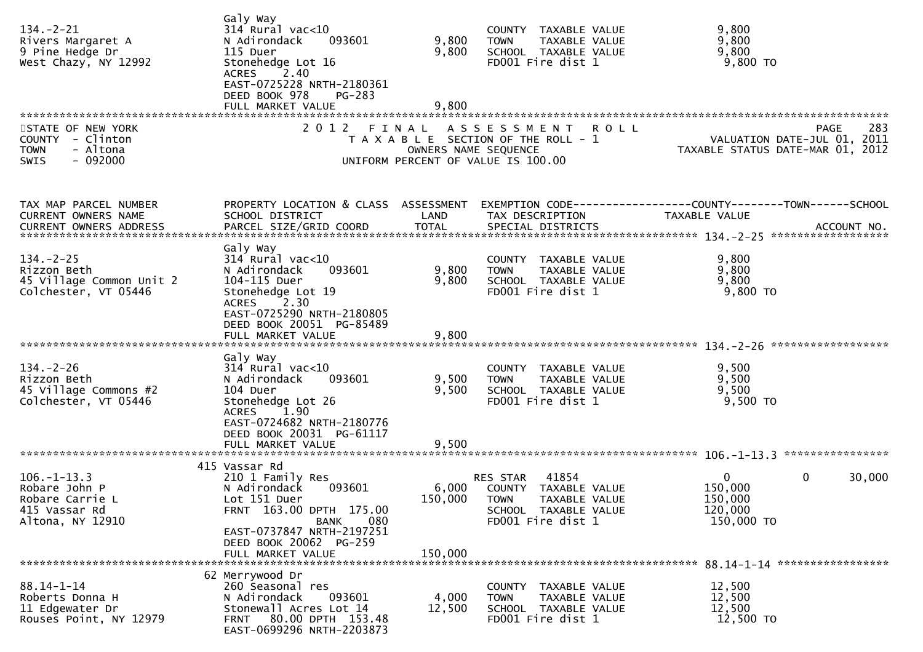| $134. - 2 - 21$<br>Rivers Margaret A<br>9 Pine Hedge Dr<br>West Chazy, NY 12992       | Galy Way<br>314 Rural vac<10<br>093601<br>N Adirondack<br>115 Duer<br>Stonehedge Lot 16<br>ACRES 2.40<br>EAST-0725228 NRTH-2180361<br>DEED BOOK 978<br><b>PG-283</b> | 9,800<br>9,800       | COUNTY TAXABLE VALUE<br><b>TOWN</b><br>TAXABLE VALUE<br>SCHOOL TAXABLE VALUE<br>FD001 Fire dist 1         | 9,800<br>9,800<br>9,800<br>$9,800$ TO                                                                                          |
|---------------------------------------------------------------------------------------|----------------------------------------------------------------------------------------------------------------------------------------------------------------------|----------------------|-----------------------------------------------------------------------------------------------------------|--------------------------------------------------------------------------------------------------------------------------------|
|                                                                                       |                                                                                                                                                                      |                      |                                                                                                           |                                                                                                                                |
| STATE OF NEW YORK<br>COUNTY - Clinton<br>- Altona<br><b>TOWN</b><br>SWIS<br>$-092000$ |                                                                                                                                                                      | OWNERS NAME SEQUENCE | 2012 FINAL ASSESSMENT ROLL<br>T A X A B L E SECTION OF THE ROLL - 1<br>UNIFORM PERCENT OF VALUE IS 100.00 | 283<br>PAGE<br>PAGE 283<br>VALUATION DATE-JUL 01, 2011<br>TAXARLE STATUS DATE ULL 01, 2011<br>TAXABLE STATUS DATE-MAR 01, 2012 |
| TAX MAP PARCEL NUMBER                                                                 | PROPERTY LOCATION & CLASS ASSESSMENT                                                                                                                                 |                      |                                                                                                           | EXEMPTION CODE-----------------COUNTY-------TOWN------SCHOOL                                                                   |
| CURRENT OWNERS NAME                                                                   | SCHOOL DISTRICT                                                                                                                                                      | LAND                 | TAX DESCRIPTION                                                                                           | TAXABLE VALUE                                                                                                                  |
|                                                                                       |                                                                                                                                                                      |                      |                                                                                                           |                                                                                                                                |
|                                                                                       |                                                                                                                                                                      |                      |                                                                                                           |                                                                                                                                |
| $134. - 2 - 25$                                                                       | Galy Way<br>$314$ Rural vac<10                                                                                                                                       |                      | COUNTY TAXABLE VALUE                                                                                      | 9,800                                                                                                                          |
| Rizzon Beth<br>45 Village Common Unit 2                                               | 093601<br>N Adirondack<br>104-115 Duer                                                                                                                               | 9,800<br>9,800       | <b>TOWN</b><br>TAXABLE VALUE<br>SCHOOL TAXABLE VALUE                                                      | 9,800<br>9,800                                                                                                                 |
| Colchester, VT 05446                                                                  | Stonehedge Lot 19                                                                                                                                                    |                      | FD001 Fire dist 1                                                                                         | $9,800$ TO                                                                                                                     |
|                                                                                       | 2.30<br><b>ACRES</b><br>EAST-0725290 NRTH-2180805<br>DEED BOOK 20051 PG-85489                                                                                        |                      |                                                                                                           |                                                                                                                                |
|                                                                                       | Galy Way                                                                                                                                                             |                      |                                                                                                           |                                                                                                                                |
| $134. - 2 - 26$                                                                       | $314$ Rural vac<10                                                                                                                                                   |                      | COUNTY TAXABLE VALUE                                                                                      | 9,500                                                                                                                          |
| Rizzon Beth                                                                           | N Adirondack<br>093601                                                                                                                                               | 9,500                | <b>TOWN</b><br>TAXABLE VALUE                                                                              | 9,500                                                                                                                          |
| 45 Village Commons #2                                                                 | 104 Duer                                                                                                                                                             | 9,500                | SCHOOL TAXABLE VALUE                                                                                      | 9,500                                                                                                                          |
| Colchester, VT 05446                                                                  | Stonehedge Lot 26<br>ACRES 1.90                                                                                                                                      |                      | FD001 Fire dist 1                                                                                         | 9,500 TO                                                                                                                       |
|                                                                                       | EAST-0724682 NRTH-2180776                                                                                                                                            |                      |                                                                                                           |                                                                                                                                |
|                                                                                       | DEED BOOK 20031 PG-61117<br>FULL MARKET VALUE                                                                                                                        | 9,500                |                                                                                                           |                                                                                                                                |
|                                                                                       |                                                                                                                                                                      |                      |                                                                                                           |                                                                                                                                |
|                                                                                       | 415 Vassar Rd                                                                                                                                                        |                      |                                                                                                           |                                                                                                                                |
| $106. - 1 - 13.3$                                                                     | 210 1 Family Res                                                                                                                                                     |                      | 41854<br>RES STAR                                                                                         | 0<br>0<br>30,000                                                                                                               |
| Robare John P                                                                         | 093601<br>N Adirondack                                                                                                                                               |                      | 6,000 COUNTY TAXABLE VALUE                                                                                | 150,000                                                                                                                        |
| Robare Carrie L                                                                       | Lot 151 Duer                                                                                                                                                         |                      | 150,000 TOWN TAXABLE VALUE                                                                                | 150,000                                                                                                                        |
| 415 Vassar Rd<br>Altona, NY 12910                                                     | FRNT 163.00 DPTH 175.00<br>080<br>BANK                                                                                                                               |                      | SCHOOL TAXABLE VALUE<br>FD001 Fire dist 1                                                                 | 120,000<br>150,000 TO                                                                                                          |
|                                                                                       | EAST-0737847 NRTH-2197251                                                                                                                                            |                      |                                                                                                           |                                                                                                                                |
|                                                                                       | DEED BOOK 20062 PG-259                                                                                                                                               |                      |                                                                                                           |                                                                                                                                |
|                                                                                       | FULL MARKET VALUE                                                                                                                                                    | 150,000              |                                                                                                           |                                                                                                                                |
|                                                                                       |                                                                                                                                                                      |                      |                                                                                                           |                                                                                                                                |
|                                                                                       | 62 Merrywood Dr                                                                                                                                                      |                      |                                                                                                           |                                                                                                                                |
| $88.14 - 1 - 14$<br>Roberts Donna H                                                   | 260 Seasonal res<br>093601                                                                                                                                           | 4,000                | COUNTY TAXABLE VALUE                                                                                      | 12,500<br>12,500                                                                                                               |
| 11 Edgewater Dr                                                                       | N Adirondack<br>Stonewall Acres Lot 14                                                                                                                               | 12,500               | TAXABLE VALUE<br><b>TOWN</b><br>SCHOOL TAXABLE VALUE                                                      | 12,500                                                                                                                         |
| Rouses Point, NY 12979                                                                | FRNT 80.00 DPTH 153.48<br>EAST-0699296 NRTH-2203873                                                                                                                  |                      | FD001 Fire dist 1                                                                                         | 12,500 TO                                                                                                                      |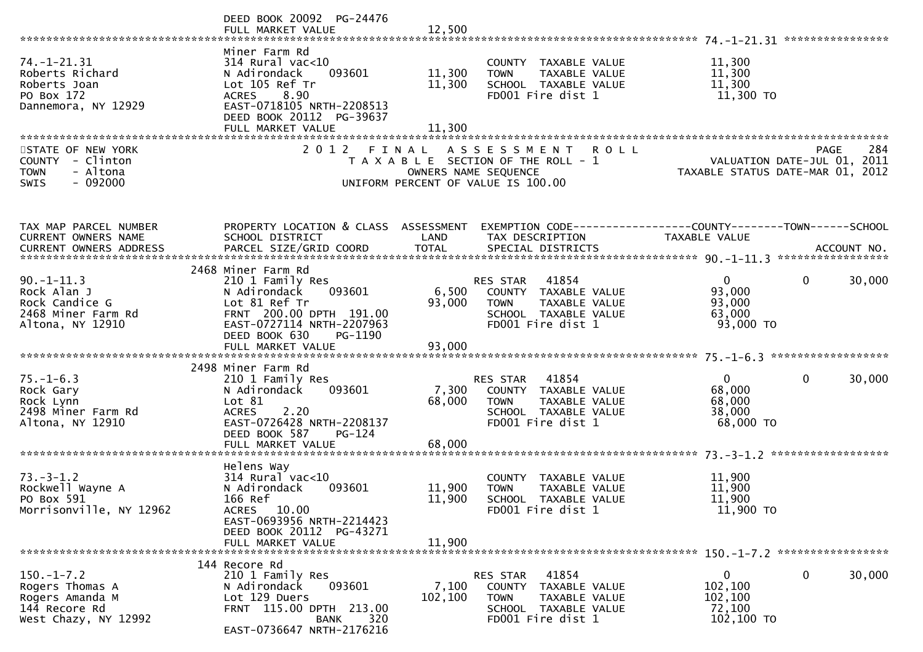|                                                                                              | DEED BOOK 20092 PG-24476<br>FULL MARKET VALUE                                                                                                                                         | 12,500                     |                                                                                                                                  |                                                                                                        |                        |
|----------------------------------------------------------------------------------------------|---------------------------------------------------------------------------------------------------------------------------------------------------------------------------------------|----------------------------|----------------------------------------------------------------------------------------------------------------------------------|--------------------------------------------------------------------------------------------------------|------------------------|
| $74. - 1 - 21.31$<br>Roberts Richard<br>Roberts Joan<br>PO Box 172<br>Dannemora, NY 12929    | Miner Farm Rd<br>$314$ Rural vac<10<br>093601<br>N Adirondack<br>Lot 105 Ref Tr<br>8.90<br><b>ACRES</b><br>EAST-0718105 NRTH-2208513<br>DEED BOOK 20112 PG-39637<br>FULL MARKET VALUE | 11,300<br>11,300<br>11,300 | COUNTY TAXABLE VALUE<br>TAXABLE VALUE<br><b>TOWN</b><br>SCHOOL TAXABLE VALUE<br>FD001 Fire dist 1                                | 11,300<br>11,300<br>11,300<br>11,300 TO                                                                |                        |
| STATE OF NEW YORK<br>COUNTY - Clinton<br>- Altona<br><b>TOWN</b><br>$-092000$<br><b>SWIS</b> | 2 0 1 2<br>FINAL                                                                                                                                                                      |                            | ASSESSMENT<br><b>ROLL</b><br>T A X A B L E SECTION OF THE ROLL - 1<br>OWNERS NAME SEQUENCE<br>UNIFORM PERCENT OF VALUE IS 100.00 | PAGE 284<br>VALUATION DATE-JUL 01, 2011<br>TAXARLE STATUS DATE ::: - 21<br>TAXABLE STATUS DATE-MAR 01, | 284<br>PAGE<br>2012    |
| TAX MAP PARCEL NUMBER<br>CURRENT OWNERS NAME                                                 | PROPERTY LOCATION & CLASS ASSESSMENT<br>SCHOOL DISTRICT                                                                                                                               | LAND                       | TAX DESCRIPTION                                                                                                                  | TAXABLE VALUE                                                                                          |                        |
|                                                                                              | 2468 Miner Farm Rd                                                                                                                                                                    |                            |                                                                                                                                  |                                                                                                        |                        |
| $90. -1 - 11.3$<br>Rock Alan J<br>Rock Candice G<br>2468 Miner Farm Rd<br>Altona, NY 12910   | 210 1 Family Res<br>093601<br>N Adirondack<br>Lot 81 Ref Tr<br>FRNT 200.00 DPTH 191.00<br>EAST-0727114 NRTH-2207963<br>DEED BOOK 630<br>PG-1190                                       | 6,500<br>93,000            | 41854<br>RES STAR<br>COUNTY TAXABLE VALUE<br><b>TOWN</b><br>TAXABLE VALUE<br>SCHOOL TAXABLE VALUE<br>FD001 Fire dist 1           | $\overline{0}$<br>93,000<br>93,000<br>63,000<br>93,000 TO                                              | $\mathbf{0}$<br>30,000 |
|                                                                                              |                                                                                                                                                                                       |                            |                                                                                                                                  |                                                                                                        |                        |
| $75. - 1 - 6.3$<br>Rock Gary<br>Rock Lynn<br>2498 Miner Farm Rd<br>Altona, NY 12910          | 2498 Miner Farm Rd<br>210 1 Family Res<br>N Adirondack<br>093601<br>Lot $81$<br>2.20<br><b>ACRES</b><br>EAST-0726428 NRTH-2208137<br>DEED BOOK 587<br>$PG-124$                        | 7,300<br>68,000            | 41854<br>RES STAR<br>COUNTY TAXABLE VALUE<br>TAXABLE VALUE<br><b>TOWN</b><br>SCHOOL TAXABLE VALUE<br>FD001 Fire dist 1           | $\Omega$<br>68,000<br>68,000<br>38,000<br>68,000 TO                                                    | 30,000<br>0            |
|                                                                                              | FULL MARKET VALUE                                                                                                                                                                     | 68,000                     |                                                                                                                                  |                                                                                                        |                        |
|                                                                                              |                                                                                                                                                                                       |                            |                                                                                                                                  |                                                                                                        |                        |
| $73. - 3 - 1.2$<br>Rockwell Wayne A<br>PO Box 591<br>Morrisonville, NY 12962                 | Helens Way<br>314 Rural vac<10<br>N Adirondack<br>093601<br>166 Ref<br>ACRES 10.00<br>EAST-0693956 NRTH-2214423<br>DEED BOOK 20112 PG-43271                                           | 11,900<br>11,900<br>11,900 | <b>COUNTY</b><br>TAXABLE VALUE<br><b>TOWN</b><br>TAXABLE VALUE<br>SCHOOL TAXABLE VALUE<br>FD001 Fire dist 1                      | 11,900<br>11,900<br>11,900<br>11,900 TO                                                                |                        |
|                                                                                              | FULL MARKET VALUE                                                                                                                                                                     |                            |                                                                                                                                  |                                                                                                        |                        |
| $150.-1-7.2$<br>Rogers Thomas A<br>Rogers Amanda M<br>144 Recore Rd<br>West Chazy, NY 12992  | 144 Recore Rd<br>210 1 Family Res<br>N Adirondack<br>093601<br>Lot 129 Duers<br>FRNT 115.00 DPTH 213.00<br>320<br>BANK<br>EAST-0736647 NRTH-2176216                                   | 7,100<br>102,100           | RES STAR<br>41854<br>COUNTY TAXABLE VALUE<br>TAXABLE VALUE<br><b>TOWN</b><br>SCHOOL TAXABLE VALUE<br>FD001 Fire dist 1           | $\mathbf{0}$<br>102,100<br>102,100<br>72,100<br>102,100 TO                                             | 0<br>30,000            |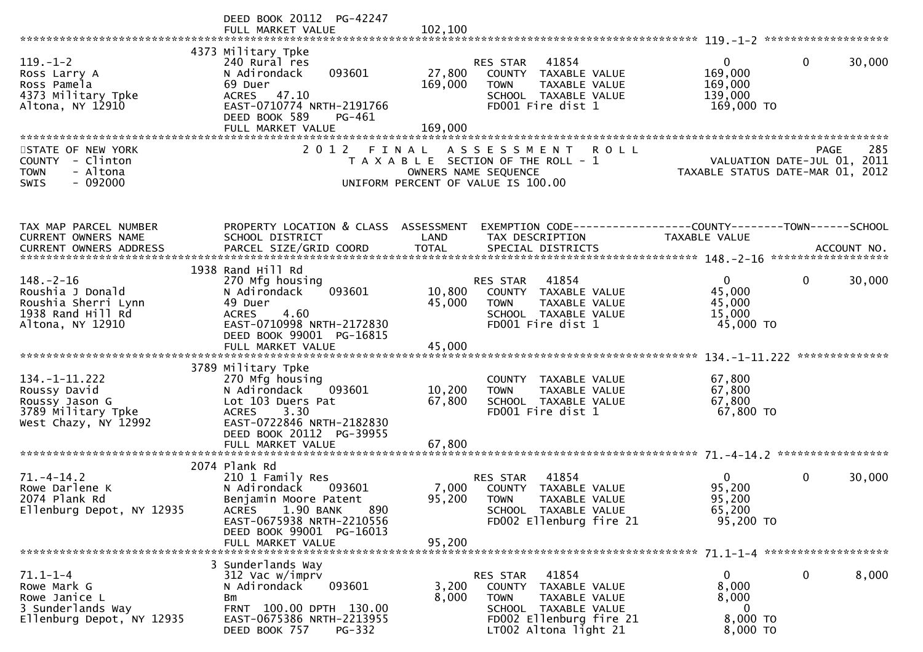|                                                                                                     | DEED BOOK 20112 PG-42247<br>FULL MARKET VALUE                                                                                                                                                          | 102,100                      |                                                                                                                                                       |                                                                                      |                          |
|-----------------------------------------------------------------------------------------------------|--------------------------------------------------------------------------------------------------------------------------------------------------------------------------------------------------------|------------------------------|-------------------------------------------------------------------------------------------------------------------------------------------------------|--------------------------------------------------------------------------------------|--------------------------|
| $119. - 1 - 2$<br>Ross Larry A<br>Ross Pamela<br>4373 Military Tpke<br>Altona, NY 12910             | 4373 Military Tpke<br>240 Rural res<br>093601<br>N Adirondack<br>69 Duer<br>ACRES 47.10<br>EAST-0710774 NRTH-2191766<br>DEED BOOK 589<br>PG-461<br>FULL MARKET VALUE                                   | 27,800<br>169,000<br>169,000 | RES STAR 41854<br>COUNTY TAXABLE VALUE<br><b>TOWN</b><br>TAXABLE VALUE<br>SCHOOL TAXABLE VALUE<br>FD001 Fire dist 1                                   | $\mathbf{0}$<br>$\mathbf 0$<br>169,000<br>169,000<br>139,000<br>169,000 TO           | 30,000                   |
| STATE OF NEW YORK<br>COUNTY - Clinton<br><b>TOWN</b><br>- Altona<br>$-092000$<br><b>SWIS</b>        |                                                                                                                                                                                                        |                              | 2012 FINAL ASSESSMENT<br><b>ROLL</b><br>T A X A B L E SECTION OF THE ROLL - 1<br>OWNERS NAME SEQUENCE<br>UNIFORM PERCENT OF VALUE IS 100.00           | <b>PAGE</b><br>VALUATION DATE-JUL 01, 2011<br>TAXABLE STATUS DATE-MAR 01, 2012       | 285                      |
| TAX MAP PARCEL NUMBER<br>CURRENT OWNERS NAME                                                        | PROPERTY LOCATION & CLASS ASSESSMENT<br>SCHOOL DISTRICT                                                                                                                                                | LAND                         | TAX DESCRIPTION                                                                                                                                       | EXEMPTION CODE-----------------COUNTY-------TOWN------SCHOOL<br><b>TAXABLE VALUE</b> |                          |
| $148. - 2 - 16$<br>Roushia J Donald<br>Roushia Sherri Lynn<br>1938 Rand Hill Rd<br>Altona, NY 12910 | 1938 Rand Hill Rd<br>270 Mfg housing<br>093601<br>N Adirondack<br>49 Duer<br>4.60<br><b>ACRES</b><br>EAST-0710998 NRTH-2172830<br>DEED BOOK 99001 PG-16815                                             | 10,800<br>45,000             | RES STAR 41854<br>COUNTY TAXABLE VALUE<br>TAXABLE VALUE<br><b>TOWN</b><br>SCHOOL TAXABLE VALUE<br>FD001 Fire dist 1                                   | $\mathbf{0}$<br>$\mathbf 0$<br>45,000<br>45,000<br>15,000<br>45,000 TO               | 30,000<br>************** |
| $134. - 1 - 11.222$<br>Roussy David<br>Roussy Jason G<br>3789 Military Tpke<br>West Chazy, NY 12992 | 3789 Military Tpke<br>270 Mfg housing<br>N Adirondack<br>093601<br>Lot 103 Duers Pat<br><b>ACRES</b><br>3.30<br>EAST-0722846 NRTH-2182830<br>DEED BOOK 20112 PG-39955<br>FULL MARKET VALUE             | 10,200<br>67,800<br>67,800   | COUNTY TAXABLE VALUE<br><b>TOWN</b><br>TAXABLE VALUE<br>SCHOOL TAXABLE VALUE<br>FD001 Fire dist 1                                                     | 67,800<br>67,800<br>67,800<br>67,800 TO                                              |                          |
| $71. - 4 - 14.2$<br>Rowe Darlene K<br>2074 Plank Rd<br>Ellenburg Depot, NY 12935                    | 2074 Plank Rd<br>210 1 Family Res<br>N Adirondack<br>093601<br>Benjamin Moore Patent<br>1.90 BANK<br>890<br><b>ACRES</b><br>EAST-0675938 NRTH-2210556<br>DEED BOOK 99001 PG-16013<br>FULL MARKET VALUE | 7,000<br>95,200<br>95,200    | 41854<br>RES STAR<br>COUNTY TAXABLE VALUE<br><b>TOWN</b><br>TAXABLE VALUE<br>SCHOOL TAXABLE VALUE<br>FD002 Ellenburg fire 21                          | $\Omega$<br>$\mathbf{0}$<br>95,200<br>95,200<br>65,200<br>95,200 TO                  | 30,000                   |
| $71.1 - 1 - 4$<br>Rowe Mark G<br>Rowe Janice L<br>3 Sunderlands Way<br>Ellenburg Depot, NY 12935    | 3 Sunderlands Way<br>312 Vac w/imprv<br>093601<br>N Adirondack<br>Bm<br>FRNT 100.00 DPTH 130.00<br>EAST-0675386 NRTH-2213955<br>DEED BOOK 757<br>PG-332                                                | 3,200<br>8,000               | 41854<br>RES STAR<br>COUNTY TAXABLE VALUE<br><b>TOWN</b><br>TAXABLE VALUE<br>SCHOOL TAXABLE VALUE<br>FD002 Ellenburg fire 21<br>LT002 Altona light 21 | 0<br>0<br>8,000<br>8,000<br>0<br>8,000 TO<br>8,000 TO                                | 8,000                    |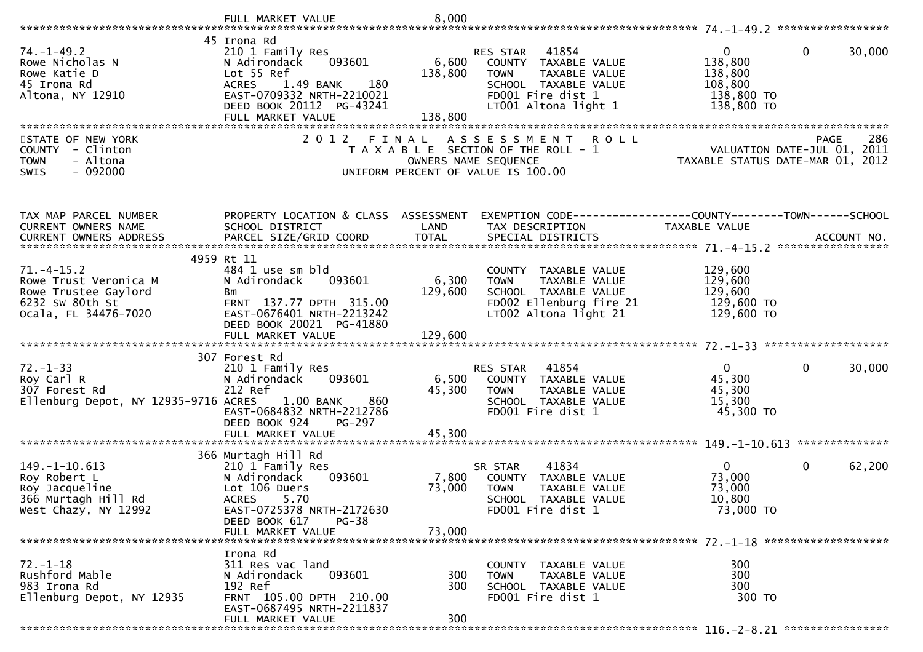|                                                                                                             | FULL MARKET VALUE                                                                                                                                                       | 8,000                         |                                                                                                                                             |                                                                          |                        |
|-------------------------------------------------------------------------------------------------------------|-------------------------------------------------------------------------------------------------------------------------------------------------------------------------|-------------------------------|---------------------------------------------------------------------------------------------------------------------------------------------|--------------------------------------------------------------------------|------------------------|
|                                                                                                             |                                                                                                                                                                         |                               |                                                                                                                                             |                                                                          |                        |
| $74. - 1 - 49.2$<br>Rowe Nicholas N<br>Rowe Katie D<br>45 Irona Rd<br>Altona, NY 12910                      | 45 Irona Rd<br>210 1 Family Res<br>093601<br>N Adirondack<br>Lot 55 Ref<br>180<br><b>ACRES</b><br>1.49 BANK<br>EAST-0709332 NRTH-2210021<br>DEED BOOK 20112 PG-43241    | 6,600<br>138,800              | RES STAR 41854<br>COUNTY TAXABLE VALUE<br>TAXABLE VALUE<br><b>TOWN</b><br>SCHOOL TAXABLE VALUE<br>FD001 Fire dist 1<br>LT001 Altona light 1 | $\mathbf 0$<br>138,800<br>138,800<br>108,800<br>138,800 TO<br>138,800 TO | $\mathbf{0}$<br>30,000 |
|                                                                                                             | FULL MARKET VALUE                                                                                                                                                       | 138,800                       |                                                                                                                                             |                                                                          |                        |
| STATE OF NEW YORK<br>COUNTY - Clinton<br><b>TOWN</b><br>- Altona<br><b>SWIS</b><br>$-092000$                | 2 0 1 2                                                                                                                                                                 | FINAL<br>OWNERS NAME SEQUENCE | <b>ROLL</b><br>A S S E S S M E N T<br>T A X A B L E SECTION OF THE ROLL - 1<br>UNIFORM PERCENT OF VALUE IS 100.00                           | VALUATION DATE-JUL 01, 2011<br>TAXABLE STATUS DATE-MAR 01, 2012          | 286<br><b>PAGE</b>     |
| TAX MAP PARCEL NUMBER                                                                                       | PROPERTY LOCATION & CLASS ASSESSMENT                                                                                                                                    |                               | EXEMPTION CODE-----------------COUNTY-------TOWN------SCHOOL                                                                                |                                                                          |                        |
| CURRENT OWNERS NAME                                                                                         | SCHOOL DISTRICT                                                                                                                                                         | LAND                          | TAX DESCRIPTION                                                                                                                             | TAXABLE VALUE                                                            |                        |
|                                                                                                             |                                                                                                                                                                         |                               |                                                                                                                                             |                                                                          |                        |
|                                                                                                             | 4959 Rt 11                                                                                                                                                              |                               |                                                                                                                                             |                                                                          |                        |
| $71. -4 - 15.2$<br>Rowe Trust Veronica M<br>Rowe Trustee Gaylord<br>6232 SW 80th St<br>Ocala, FL 34476-7020 | 484 1 use sm bld<br>N Adirondack<br>093601<br>Bm<br>FRNT 137.77 DPTH 315.00<br>EAST-0676401 NRTH-2213242<br>DEED BOOK 20021 PG-41880                                    | 6,300<br>129,600              | COUNTY TAXABLE VALUE<br>TAXABLE VALUE<br><b>TOWN</b><br>SCHOOL TAXABLE VALUE<br>FD002 Ellenburg fire 21<br>LT002 Altona light 21            | 129,600<br>129,600<br>129,600<br>129,600 TO<br>129,600 TO                |                        |
|                                                                                                             |                                                                                                                                                                         |                               |                                                                                                                                             |                                                                          |                        |
| $72. - 1 - 33$<br>Roy Carl R<br>307 Forest Rd<br>Ellenburg Depot, NY 12935-9716 ACRES                       | 307 Forest Rd<br>210 1 Family Res<br>093601<br>N Adirondack<br>212 Ref<br>1.00 BANK<br>860<br>EAST-0684832 NRTH-2212786<br>DEED BOOK 924<br>PG-297<br>FULL MARKET VALUE | 6,500<br>45,300<br>45,300     | 41854<br>RES STAR<br>COUNTY TAXABLE VALUE<br><b>TOWN</b><br>TAXABLE VALUE<br>SCHOOL TAXABLE VALUE<br>FD001 Fire dist 1                      | $\mathbf{0}$<br>45,300<br>45,300<br>15,300<br>45,300 TO                  | $\mathbf{0}$<br>30,000 |
|                                                                                                             |                                                                                                                                                                         |                               |                                                                                                                                             |                                                                          |                        |
| $149. - 1 - 10.613$<br>Roy Robert L<br>Roy Jacqueline<br>366 Murtagh Hill Rd<br>West Chazy, NY 12992        | 366 Murtagh Hill Rd<br>210 1 Family Res<br>093601<br>N Adirondack<br>Lot 106 Duers<br><b>ACRES</b><br>5.70<br>EAST-0725378 NRTH-2172630<br>DEED BOOK 617<br>$PG-38$     | 7,800<br>73,000               | 41834<br>SR STAR<br>COUNTY TAXABLE VALUE<br><b>TOWN</b><br>TAXABLE VALUE<br><b>SCHOOL</b><br>TAXABLE VALUE<br>FD001 Fire dist 1             | $\mathbf{0}$<br>73,000<br>73,000<br>10,800<br>73,000 TO                  | $\mathbf{0}$<br>62,200 |
|                                                                                                             | FULL MARKET VALUE                                                                                                                                                       | 73,000                        |                                                                                                                                             |                                                                          |                        |
| $72. - 1 - 18$<br>Rushford Mable<br>983 Irona Rd<br>Ellenburg Depot, NY 12935                               | Irona Rd<br>311 Res vac land<br>093601<br>N Adirondack<br>192 Ref<br>FRNT 105.00 DPTH 210.00<br>EAST-0687495 NRTH-2211837<br>FULL MARKET VALUE                          | 300<br>300<br>300             | COUNTY TAXABLE VALUE<br><b>TAXABLE VALUE</b><br><b>TOWN</b><br>SCHOOL TAXABLE VALUE<br>FD001 Fire dist 1                                    | 300<br>300<br>300<br>300 TO                                              |                        |
|                                                                                                             |                                                                                                                                                                         |                               |                                                                                                                                             |                                                                          |                        |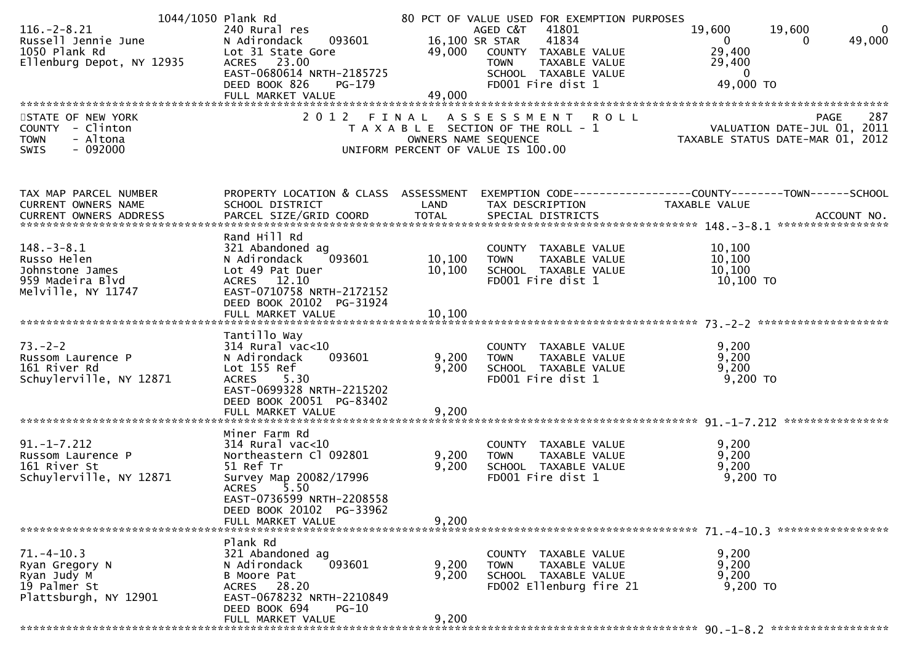|                               | 1044/1050 Plank Rd            |                      | 80 PCT OF VALUE USED FOR EXEMPTION PURPOSES |                                                                                                  |        |
|-------------------------------|-------------------------------|----------------------|---------------------------------------------|--------------------------------------------------------------------------------------------------|--------|
| $116. - 2 - 8.21$             | 240 Rural res                 |                      | 41801<br>AGED C&T                           | 19,600<br>19,600                                                                                 | 0      |
| Russell Jennie June           | 093601<br>N Adirondack        | 16,100 SR STAR       | 41834                                       | $\mathbf{0}$<br>0                                                                                | 49,000 |
| 1050 Plank Rd                 | Lot 31 State Gore             | 49,000               | COUNTY TAXABLE VALUE                        | 29,400                                                                                           |        |
| Ellenburg Depot, NY 12935     | ACRES 23.00                   |                      | TAXABLE VALUE<br><b>TOWN</b>                | 29,400                                                                                           |        |
|                               | EAST-0680614 NRTH-2185725     |                      | SCHOOL TAXABLE VALUE                        | $\overline{0}$                                                                                   |        |
|                               | DEED BOOK 826<br>PG-179       |                      | FD001 Fire dist 1                           | 49,000 TO                                                                                        |        |
|                               | FULL MARKET VALUE             | 49,000               |                                             |                                                                                                  |        |
|                               |                               |                      |                                             |                                                                                                  |        |
|                               |                               |                      |                                             |                                                                                                  |        |
| STATE OF NEW YORK             | 2 0 1 2                       | FINAL                | ASSESSMENT ROLL                             | PAGE                                                                                             | 287    |
| COUNTY - Clinton              |                               |                      | T A X A B L E SECTION OF THE ROLL - 1       |                                                                                                  |        |
| - Altona<br><b>TOWN</b>       |                               | OWNERS NAME SEQUENCE |                                             | <br>11, 2011– VALUATION DATE-JUL<br>12, TAXABLE STATUS DATE-MAR 01, 2012                         |        |
| $-092000$<br>SWIS             |                               |                      | UNIFORM PERCENT OF VALUE IS 100.00          |                                                                                                  |        |
|                               |                               |                      |                                             |                                                                                                  |        |
|                               |                               |                      |                                             |                                                                                                  |        |
| TAX MAP PARCEL NUMBER         |                               |                      |                                             | PROPERTY LOCATION & CLASS ASSESSMENT EXEMPTION CODE----------------COUNTY-------TOWN------SCHOOL |        |
| CURRENT OWNERS NAME           | SCHOOL DISTRICT               | LAND                 | TAX DESCRIPTION                             | TAXABLE VALUE                                                                                    |        |
| <b>CURRENT OWNERS ADDRESS</b> |                               |                      |                                             |                                                                                                  |        |
|                               |                               |                      |                                             |                                                                                                  |        |
|                               | Rand Hill Rd                  |                      |                                             |                                                                                                  |        |
| $148. - 3 - 8.1$              | 321 Abandoned ag              |                      | COUNTY TAXABLE VALUE                        | 10,100                                                                                           |        |
|                               |                               |                      |                                             |                                                                                                  |        |
| Russo Helen                   | 093601<br>N Adirondack        | 10,100               | TAXABLE VALUE<br><b>TOWN</b>                | 10,100                                                                                           |        |
| Johnstone James               | Lot 49 Pat Duer               | 10, 100              | SCHOOL TAXABLE VALUE                        | 10,100                                                                                           |        |
| 959 Madeira Blvd              | ACRES 12.10                   |                      | FD001 Fire dist 1                           | 10,100 TO                                                                                        |        |
| Melville, NY 11747            | EAST-0710758 NRTH-2172152     |                      |                                             |                                                                                                  |        |
|                               | DEED BOOK 20102 PG-31924      |                      |                                             |                                                                                                  |        |
|                               | FULL MARKET VALUE             | 10,100               |                                             |                                                                                                  |        |
|                               |                               |                      |                                             |                                                                                                  |        |
|                               | Tantillo Way                  |                      |                                             |                                                                                                  |        |
| $73. - 2 - 2$                 | $314$ Rural vac<10            |                      | COUNTY TAXABLE VALUE                        | 9,200                                                                                            |        |
| Russom Laurence P             | 093601<br>N Adirondack        | 9,200                | TAXABLE VALUE<br><b>TOWN</b>                | 9,200                                                                                            |        |
| 161 River Rd                  | Lot 155 Ref                   | 9,200                | SCHOOL TAXABLE VALUE                        | 9,200                                                                                            |        |
| Schuylerville, NY 12871       | ACRES 5.30                    |                      | FD001 Fire dist 1                           | 9,200 TO                                                                                         |        |
|                               | EAST-0699328 NRTH-2215202     |                      |                                             |                                                                                                  |        |
|                               | DEED BOOK 20051 PG-83402      |                      |                                             |                                                                                                  |        |
|                               | FULL MARKET VALUE             | 9,200                |                                             |                                                                                                  |        |
|                               |                               |                      |                                             |                                                                                                  |        |
|                               |                               |                      |                                             |                                                                                                  |        |
|                               | Miner Farm Rd                 |                      |                                             |                                                                                                  |        |
| $91. - 1 - 7.212$             | $314$ Rural vac< $10$         |                      | COUNTY TAXABLE VALUE                        | 9,200                                                                                            |        |
| Russom Laurence P             | Northeastern Cl 092801        | 9,200                | TAXABLE VALUE<br><b>TOWN</b>                | 9,200                                                                                            |        |
| 161 River St                  | 51 Ref Tr                     | 9,200                | SCHOOL TAXABLE VALUE                        | 9,200                                                                                            |        |
| Schuylerville, NY 12871       | Survey Map 20082/17996        |                      | FD001 Fire dist 1                           | $9,200$ TO                                                                                       |        |
|                               | 5.50<br>ACRES                 |                      |                                             |                                                                                                  |        |
|                               | EAST-0736599 NRTH-2208558     |                      |                                             |                                                                                                  |        |
|                               | DEED BOOK 20102 PG-33962      |                      |                                             |                                                                                                  |        |
|                               | FULL MARKET VALUE             | 9,200                |                                             |                                                                                                  |        |
|                               |                               |                      |                                             |                                                                                                  |        |
|                               | Plank Rd                      |                      |                                             |                                                                                                  |        |
| $71. - 4 - 10.3$              | 321 Abandoned ag              |                      | COUNTY TAXABLE VALUE                        | 9,200                                                                                            |        |
| Ryan Gregory N                | 093601<br>N Adirondack        | 9,200                | TAXABLE VALUE<br><b>TOWN</b>                | 9,200                                                                                            |        |
| Ryan Judy M                   | B Moore Pat                   | 9,200                | SCHOOL TAXABLE VALUE                        | 9,200                                                                                            |        |
| 19 Palmer St                  | ACRES 28.20                   |                      | FD002 Ellenburg fire 21                     | 9,200 TO                                                                                         |        |
| Plattsburgh, NY 12901         | EAST-0678232 NRTH-2210849     |                      |                                             |                                                                                                  |        |
|                               |                               |                      |                                             |                                                                                                  |        |
|                               | DEED BOOK 694<br><b>PG-10</b> |                      |                                             |                                                                                                  |        |
|                               | FULL MARKET VALUE             | 9,200                |                                             |                                                                                                  |        |
|                               |                               |                      |                                             |                                                                                                  |        |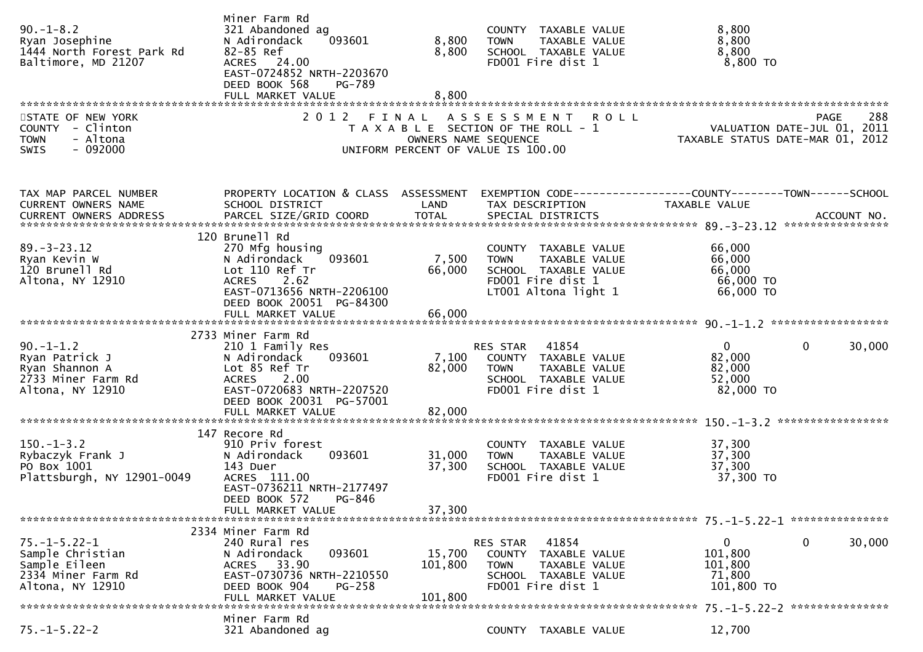| $90. -1 - 8.2$<br>Ryan Josephine<br>1444 North Forest Park Rd<br>Baltimore, MD 21207                | Miner Farm Rd<br>321 Abandoned ag<br>N Adirondack<br>093601<br>82-85 Ref<br>ACRES 24.00<br>EAST-0724852 NRTH-2203670<br>DEED BOOK 568<br>PG-789<br>FULL MARKET VALUE  | 8,800<br>8,800<br>8,800       | COUNTY TAXABLE VALUE<br><b>TOWN</b><br>SCHOOL TAXABLE VALUE<br>FD001 Fire dist 1                           | TAXABLE VALUE                  | 8,800<br>8,800<br>8,800<br>8,800 TO                     |                                            |
|-----------------------------------------------------------------------------------------------------|-----------------------------------------------------------------------------------------------------------------------------------------------------------------------|-------------------------------|------------------------------------------------------------------------------------------------------------|--------------------------------|---------------------------------------------------------|--------------------------------------------|
| STATE OF NEW YORK<br>- Clinton<br><b>COUNTY</b><br><b>TOWN</b><br>- Altona<br>$-092000$<br>SWIS     | 2 0 1 2                                                                                                                                                               | FINAL<br>OWNERS NAME SEQUENCE | A S S E S S M E N T R O L L<br>T A X A B L E SECTION OF THE ROLL - 1<br>UNIFORM PERCENT OF VALUE IS 100.00 |                                | TAXABLE STATUS DATE-MAR 01, 2012                        | 288<br>PAGE<br>VALUATION DATE-JUL 01, 2011 |
| TAX MAP PARCEL NUMBER<br>CURRENT OWNERS NAME                                                        | PROPERTY LOCATION & CLASS ASSESSMENT<br>SCHOOL DISTRICT                                                                                                               | LAND                          | TAX DESCRIPTION                                                                                            |                                | <b>TAXABLE VALUE</b>                                    | ACCOUNT NO.<br>****************            |
| $89. - 3 - 23.12$<br>Ryan Kevin W<br>120 Brunell Rd<br>Altona, NY 12910                             | 120 Brunell Rd<br>270 Mfg housing<br>N Adirondack<br>093601<br>Lot 110 Ref Tr<br>2.62<br><b>ACRES</b><br>EAST-0713656 NRTH-2206100<br>DEED BOOK 20051 PG-84300        | 7,500<br>66,000               | COUNTY TAXABLE VALUE<br><b>TOWN</b><br>SCHOOL TAXABLE VALUE<br>FD001 Fire dist 1<br>LT001 Altona light 1   | TAXABLE VALUE                  | 66,000<br>66,000<br>66,000<br>66,000 TO<br>66,000 ТО    |                                            |
|                                                                                                     | FULL MARKET VALUE                                                                                                                                                     | 66,000                        |                                                                                                            |                                |                                                         |                                            |
| $90. -1 - 1.2$<br>Ryan Patrick J<br>Ryan Shannon A<br>2733 Miner Farm Rd<br>Altona, NY 12910        | 2733 Miner Farm Rd<br>210 1 Family Res<br>093601<br>N Adirondack<br>Lot 85 Ref Tr<br><b>ACRES</b><br>2.00<br>EAST-0720683 NRTH-2207520<br>DEED BOOK 20031 PG-57001    | 7,100<br>82,000               | RES STAR<br>41854<br>COUNTY TAXABLE VALUE<br><b>TOWN</b><br>SCHOOL TAXABLE VALUE<br>FD001 Fire dist 1      | TAXABLE VALUE                  | $\mathbf{0}$<br>82,000<br>82,000<br>52,000<br>82,000 TO | 0<br>30,000                                |
|                                                                                                     | FULL MARKET VALUE                                                                                                                                                     | 82,000                        |                                                                                                            |                                |                                                         |                                            |
| $150. - 1 - 3.2$<br>Rybaczyk Frank J<br>PO Box 1001<br>Plattsburgh, NY 12901-0049                   | 147 Recore Rd<br>910 Priv forest<br>093601<br>N Adirondack<br>143 Duer<br>ACRES 111.00<br>EAST-0736211 NRTH-2177497<br>DEED BOOK 572<br>PG-846<br>FULL MARKET VALUE   | 31,000<br>37,300<br>37,300    | COUNTY TAXABLE VALUE<br><b>TOWN</b><br>SCHOOL TAXABLE VALUE<br>FD001 Fire dist 1                           | TAXABLE VALUE                  | 37,300<br>37,300<br>37,300<br>37,300 TO                 |                                            |
|                                                                                                     |                                                                                                                                                                       |                               |                                                                                                            |                                |                                                         |                                            |
| $75. - 1 - 5.22 - 1$<br>Sample Christian<br>Sample Eileen<br>2334 Miner Farm Rd<br>Altona, NY 12910 | 2334 Miner Farm Rd<br>240 Rural res<br>093601<br>N Adirondack<br>33.90<br><b>ACRES</b><br>EAST-0730736 NRTH-2210550<br>DEED BOOK 904<br>$PG-258$<br>FULL MARKET VALUE | 15,700<br>101,800<br>101,800  | 41854<br>RES STAR<br>COUNTY<br><b>TOWN</b><br>SCHOOL TAXABLE VALUE<br>FD001 Fire dist 1                    | TAXABLE VALUE<br>TAXABLE VALUE | 0<br>101,800<br>101,800<br>71,800<br>101,800 TO         | 0<br>30,000                                |
| $75. - 1 - 5.22 - 2$                                                                                | Miner Farm Rd<br>321 Abandoned ag                                                                                                                                     |                               | COUNTY TAXABLE VALUE                                                                                       |                                | 12,700                                                  | 75. -1-5.22-2 ****************             |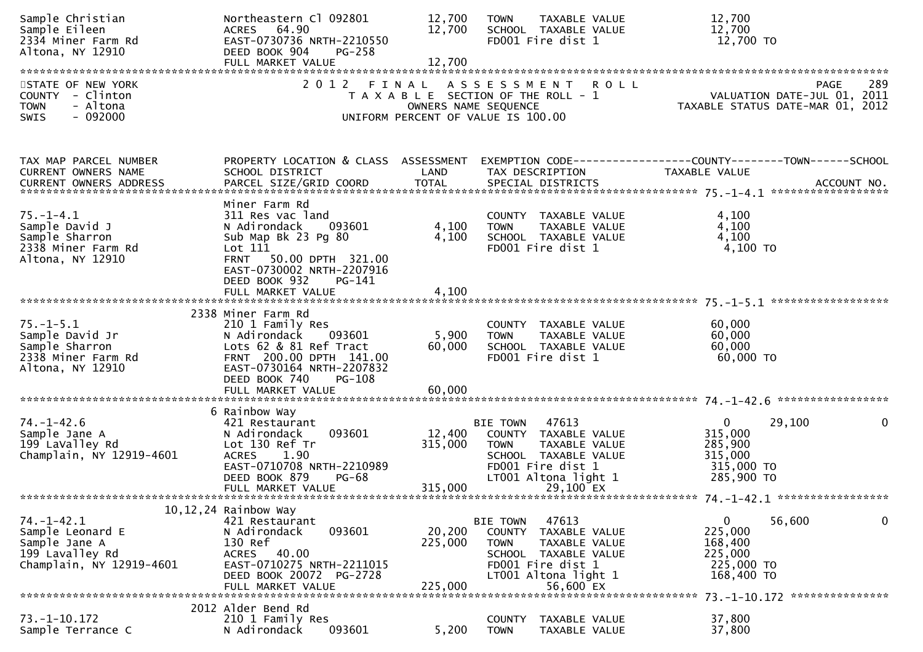| Sample Christian<br>Sample Eileen<br>2334 Miner Farm Rd<br>Altona, NY 12910                          | Northeastern Cl 092801<br>ACRES 64.90<br>EAST-0730736 NRTH-2210550<br>DEED BOOK 904<br><b>PG-258</b><br>FULL MARKET VALUE                                                              | 12,700<br>12,700<br>12,700   | TAXABLE VALUE<br><b>TOWN</b><br>SCHOOL TAXABLE VALUE<br>FD001 Fire dist 1                                                                                             |               | 12,700<br>12,700<br>12,700 TO                                                            |
|------------------------------------------------------------------------------------------------------|----------------------------------------------------------------------------------------------------------------------------------------------------------------------------------------|------------------------------|-----------------------------------------------------------------------------------------------------------------------------------------------------------------------|---------------|------------------------------------------------------------------------------------------|
| STATE OF NEW YORK<br>COUNTY - Clinton<br><b>TOWN</b><br>- Altona<br>$-092000$<br>SWIS                | 2012 FINAL                                                                                                                                                                             |                              | A S S E S S M E N T R O L L<br>T A X A B L E SECTION OF THE ROLL - 1<br>OWNERS NAME SEQUENCE<br>UNIFORM PERCENT OF VALUE IS 100.00                                    |               | 289<br>PAGE<br>VALUATION DATE-JUL 01, 2011<br>TAXABLE STATUS DATE-MAR 01, 2012           |
|                                                                                                      |                                                                                                                                                                                        |                              |                                                                                                                                                                       |               |                                                                                          |
| TAX MAP PARCEL NUMBER<br><b>CURRENT OWNERS NAME</b>                                                  | PROPERTY LOCATION & CLASS ASSESSMENT<br>SCHOOL DISTRICT                                                                                                                                | LAND                         | TAX DESCRIPTION                                                                                                                                                       | TAXABLE VALUE | EXEMPTION        CODE-----------------COUNTY-------TOWN------SCHOOL                      |
| $75. - 1 - 4.1$<br>Sample David J<br>Sample Sharron<br>2338 Miner Farm Rd<br>Altona, NY 12910        | Miner Farm Rd<br>311 Res vac land<br>N Adirondack<br>093601<br>Sub Map Bk 23 Pg 80<br>Lot 111<br>FRNT 50.00 DPTH 321.00<br>EAST-0730002 NRTH-2207916                                   | 4,100<br>4,100               | COUNTY TAXABLE VALUE<br>TAXABLE VALUE<br><b>TOWN</b><br>SCHOOL TAXABLE VALUE<br>FD001 Fire dist 1                                                                     |               | 4,100<br>4,100<br>4,100<br>4,100 TO                                                      |
|                                                                                                      | DEED BOOK 932<br>PG-141<br>FULL MARKET VALUE                                                                                                                                           | 4,100                        |                                                                                                                                                                       |               |                                                                                          |
| $75. - 1 - 5.1$<br>Sample David Jr<br>Sample Sharron<br>2338 Miner Farm Rd<br>Altona, NY 12910       | 2338 Miner Farm Rd<br>210 1 Family Res<br>N Adirondack<br>093601<br>Lots 62 & 81 Ref Tract<br>FRNT 200.00 DPTH 141.00<br>EAST-0730164 NRTH-2207832<br>DEED BOOK 740<br><b>PG-108</b>   | 5,900<br>60,000              | COUNTY TAXABLE VALUE<br><b>TOWN</b><br>TAXABLE VALUE<br>SCHOOL TAXABLE VALUE<br>FD001 Fire dist 1                                                                     |               | 60,000<br>60,000<br>60,000<br>60,000 TO                                                  |
| $74. - 1 - 42.6$<br>Sample Jane A<br>199 LaValley Rd<br>Champlain, NY 12919-4601                     | 6 Rainbow Way<br>421 Restaurant<br>093601<br>N Adirondack<br>Lot 130 Ref Tr<br><b>ACRES</b><br>1.90<br>EAST-0710708 NRTH-2210989<br>DEED BOOK 879<br><b>PG-68</b><br>FULL MARKET VALUE | 12,400<br>315,000<br>315,000 | 47613<br><b>BIE TOWN</b><br>COUNTY TAXABLE VALUE<br><b>TOWN</b><br>TAXABLE VALUE<br>SCHOOL TAXABLE VALUE<br>FD001 Fire dist 1<br>LT001 Altona light 1<br>29,100 EX    |               | $\mathbf{0}$<br>29,100<br>0<br>315,000<br>285,900<br>315,000<br>315,000 TO<br>285,900 TO |
| $74. - 1 - 42.1$<br>Sample Leonard E<br>Sample Jane A<br>199 Lavalley Rd<br>Champlain, NY 12919-4601 | 10, 12, 24 Rainbow Way<br>421 Restaurant<br>N Adirondack<br>093601<br>130 Ref<br>40.00<br><b>ACRES</b><br>EAST-0710275 NRTH-2211015<br>DEED BOOK 20072 PG-2728<br>FULL MARKET VALUE    | 20,200<br>225,000<br>225,000 | 47613<br><b>BIE TOWN</b><br>COUNTY<br>TAXABLE VALUE<br><b>TOWN</b><br>TAXABLE VALUE<br>SCHOOL TAXABLE VALUE<br>FD001 Fire dist 1<br>LT001 Altona light 1<br>56,600 EX |               | 56,600<br>0<br>0<br>225,000<br>168,400<br>225,000<br>225,000 TO<br>168,400 TO            |
| $73. - 1 - 10.172$<br>Sample Terrance C                                                              | 2012 Alder Bend Rd<br>210 1 Family Res<br>N Adirondack<br>093601                                                                                                                       | 5,200                        | TAXABLE VALUE<br><b>COUNTY</b><br><b>TOWN</b><br>TAXABLE VALUE                                                                                                        |               | 73. -1-10. 172 ****************<br>37,800<br>37,800                                      |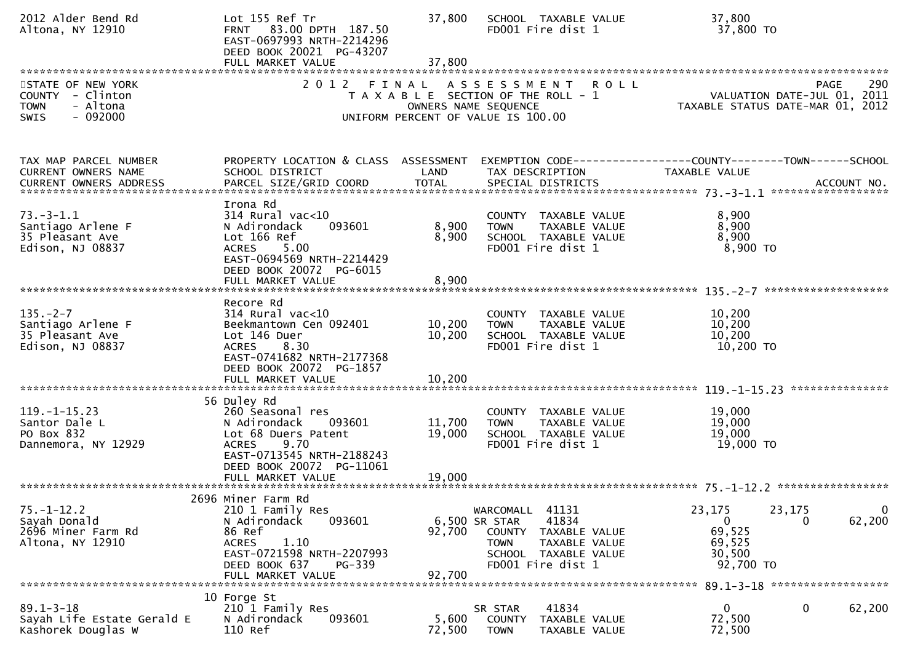| 2012 Alder Bend Rd<br>Altona, NY 12910                                                                 | Lot 155 Ref Tr<br>83.00 DPTH 187.50<br><b>FRNT</b><br>EAST-0697993 NRTH-2214296<br>DEED BOOK 20021 PG-43207<br>FULL MARKET VALUE                                                       | 37,800<br>37,800           | SCHOOL TAXABLE VALUE<br>FD001 Fire dist 1                                                                                                         | 37,800<br>37,800 TO                                                                                                         |
|--------------------------------------------------------------------------------------------------------|----------------------------------------------------------------------------------------------------------------------------------------------------------------------------------------|----------------------------|---------------------------------------------------------------------------------------------------------------------------------------------------|-----------------------------------------------------------------------------------------------------------------------------|
| STATE OF NEW YORK<br><b>COUNTY</b><br>- Clinton<br>- Altona<br><b>TOWN</b><br>$-092000$<br><b>SWIS</b> | 2012 FINAL                                                                                                                                                                             | OWNERS NAME SEQUENCE       | A S S E S S M E N T R O L L<br>T A X A B L E SECTION OF THE ROLL - 1<br>UNIFORM PERCENT OF VALUE IS 100.00                                        | <b>PAGE</b><br>290<br>VALUATION DATE-JUL 01, 2011<br>TAXABLE STATUS DATE-MAR 01, 2012                                       |
| TAX MAP PARCEL NUMBER<br>CURRENT OWNERS NAME                                                           | PROPERTY LOCATION & CLASS ASSESSMENT<br>SCHOOL DISTRICT                                                                                                                                | LAND                       | TAX DESCRIPTION                                                                                                                                   | EXEMPTION CODE------------------COUNTY--------TOWN------SCHOOL<br><b>TAXABLE VALUE</b><br>ACCOUNT NO.<br>****************** |
| $73. - 3 - 1.1$<br>Santiago Arlene F<br>35 Pleasant Ave<br>Edison, NJ 08837                            | Irona Rd<br>$314$ Rural vac<10<br>093601<br>N Adirondack<br>Lot 166 Ref<br>5.00<br><b>ACRES</b><br>EAST-0694569 NRTH-2214429<br>DEED BOOK 20072 PG-6015<br>FULL MARKET VALUE           | 8,900<br>8,900<br>8,900    | COUNTY TAXABLE VALUE<br>TAXABLE VALUE<br><b>TOWN</b><br>SCHOOL TAXABLE VALUE<br>FD001 Fire dist 1                                                 | 8,900<br>8,900<br>8,900<br>8,900 TO                                                                                         |
| $135. - 2 - 7$<br>Santiago Arlene F<br>35 Pleasant Ave<br>Edison, NJ 08837                             | Recore Rd<br>$314$ Rural vac<10<br>Beekmantown Cen 092401<br>Lot 146 Duer<br>8.30<br><b>ACRES</b><br>EAST-0741682 NRTH-2177368<br>DEED BOOK 20072 PG-1857<br>FULL MARKET VALUE         | 10,200<br>10,200<br>10,200 | COUNTY TAXABLE VALUE<br>TAXABLE VALUE<br><b>TOWN</b><br>SCHOOL TAXABLE VALUE<br>FD001 Fire dist 1                                                 | *******************<br>10,200<br>10,200<br>10,200<br>10,200 TO                                                              |
| $119. - 1 - 15.23$<br>Santor Dale L<br>PO Box 832<br>Dannemora, NY 12929                               | 56 Duley Rd<br>260 Seasonal res<br>N Adirondack<br>093601<br>Lot 68 Duers Patent<br>9.70<br><b>ACRES</b><br>EAST-0713545 NRTH-2188243<br>DEED BOOK 20072 PG-11061<br>FULL MARKET VALUE | 11,700<br>19,000<br>19,000 | COUNTY TAXABLE VALUE<br>TAXABLE VALUE<br><b>TOWN</b><br>SCHOOL TAXABLE VALUE<br>FD001 Fire dist 1                                                 | 19,000<br>19,000<br>19,000<br>19,000 TO                                                                                     |
| $75. - 1 - 12.2$<br>Sayah Donald<br>2696 Miner Farm Rd<br>Altona, NY 12910                             | 2696 Miner Farm Rd<br>210 1 Family Res<br>093601<br>N Adirondack<br>86 Ref<br><b>ACRES</b><br>1.10<br>EAST-0721598 NRTH-2207993<br>DEED BOOK 637<br>PG-339<br>FULL MARKET VALUE        | 92,700<br>92,700           | WARCOMALL 41131<br>6,500 SR STAR<br>41834<br>COUNTY<br>TAXABLE VALUE<br><b>TOWN</b><br>TAXABLE VALUE<br>SCHOOL TAXABLE VALUE<br>FD001 Fire dist 1 | 23,175<br>23,175<br>$\overline{0}$<br>62,200<br>0<br>0<br>69,525<br>69,525<br>30,500<br>92,700 TO                           |
| $89.1 - 3 - 18$<br>Sayah Life Estate Gerald E<br>Kashorek Douglas W                                    | 10 Forge St<br>210 1 Family Res<br>093601<br>N Adirondack<br>110 Ref                                                                                                                   | 5,600<br>72,500            | 41834<br>SR STAR<br>TAXABLE VALUE<br><b>COUNTY</b><br><b>TOWN</b><br>TAXABLE VALUE                                                                | 0<br>0<br>62,200<br>72,500<br>72,500                                                                                        |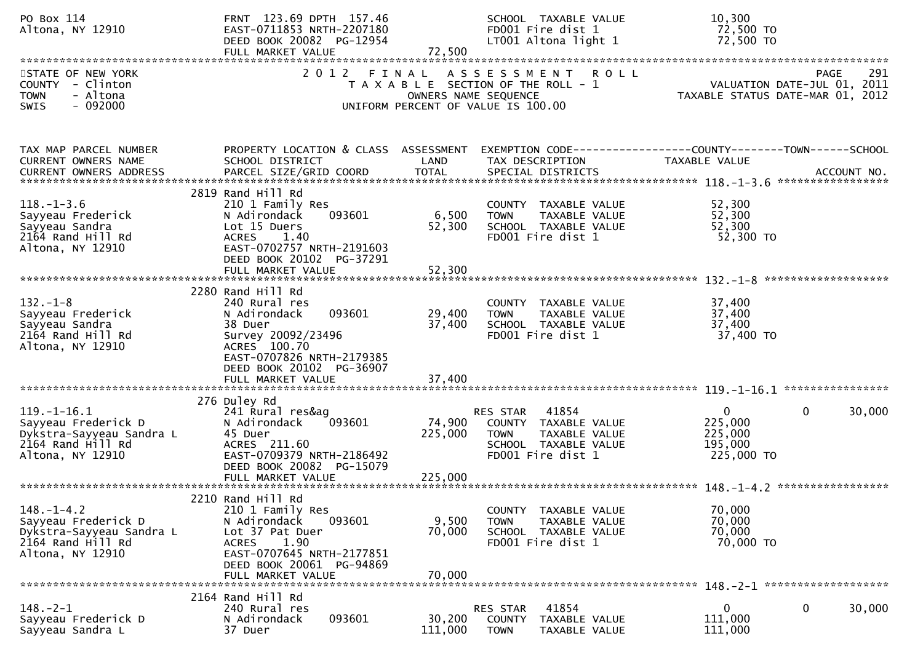| PO Box 114<br>Altona, NY 12910                                                                                               | FRNT 123.69 DPTH 157.46<br>EAST-0711853 NRTH-2207180<br>DEED BOOK 20082 PG-12954<br>FULL MARKET VALUE                                                                                       | 72,500                     | SCHOOL TAXABLE VALUE<br>FD001 Fire dist 1<br>LT001 Altona light 1                                                                      | 10,300<br>72,500 TO<br>72,500 TO                                              |             |
|------------------------------------------------------------------------------------------------------------------------------|---------------------------------------------------------------------------------------------------------------------------------------------------------------------------------------------|----------------------------|----------------------------------------------------------------------------------------------------------------------------------------|-------------------------------------------------------------------------------|-------------|
| STATE OF NEW YORK<br>COUNTY - Clinton<br>- Altona<br><b>TOWN</b><br>$-092000$<br><b>SWIS</b>                                 | 2 0 1 2                                                                                                                                                                                     |                            | FINAL ASSESSMENT<br><b>ROLL</b><br>T A X A B L E SECTION OF THE ROLL - 1<br>OWNERS NAME SEQUENCE<br>UNIFORM PERCENT OF VALUE IS 100.00 | PAGE<br>VALUATION DATE-JUL 01, 2011<br>TAXABLE STATUS DATE-MAR 01, 2012       | 291         |
| TAX MAP PARCEL NUMBER<br>CURRENT OWNERS NAME<br><b>CURRENT OWNERS ADDRESS</b>                                                | PROPERTY LOCATION & CLASS ASSESSMENT<br>SCHOOL DISTRICT<br>PARCEL SIZE/GRID COORD                                                                                                           | LAND<br><b>TOTAL</b>       | TAX DESCRIPTION<br>SPECIAL DISTRICTS                                                                                                   | EXEMPTION CODE-----------------COUNTY-------TOWN------SCHOOL<br>TAXABLE VALUE | ACCOUNT NO. |
| $118. - 1 - 3.6$<br>Sayyeau Frederick<br>Sayyeau Sandra<br>2164 Rand Hill Rd<br>Altona, NY 12910                             | 2819 Rand Hill Rd<br>210 1 Family Res<br>093601<br>N Adirondack<br>Lot 15 Duers<br>1.40<br><b>ACRES</b><br>EAST-0702757 NRTH-2191603<br>DEED BOOK 20102 PG-37291<br>FULL MARKET VALUE       | 6,500<br>52,300<br>52,300  | COUNTY TAXABLE VALUE<br>TAXABLE VALUE<br><b>TOWN</b><br>SCHOOL TAXABLE VALUE<br>FD001 Fire dist 1                                      | 52,300<br>52,300<br>52,300<br>52,300 TO                                       |             |
| $132 - 1 - 8$<br>Sayyeau Frederick<br>Sayyeau Sandra<br>2164 Rand Hill Rd<br>Altona, NY 12910                                | 2280 Rand Hill Rd<br>240 Rural res<br>093601<br>N Adirondack<br>38 Duer<br>Survey 20092/23496<br>ACRES 100.70<br>EAST-0707826 NRTH-2179385<br>DEED BOOK 20102 PG-36907<br>FULL MARKET VALUE | 29,400<br>37,400<br>37,400 | COUNTY TAXABLE VALUE<br>TAXABLE VALUE<br><b>TOWN</b><br>SCHOOL TAXABLE VALUE<br>FD001 Fire dist 1                                      | 37,400<br>37,400<br>37,400<br>37,400 TO                                       |             |
| $119. - 1 - 16.1$<br>Sayyeau Frederick D<br>Dykstra-Sayyeau Sandra L<br>$2164$ Rand $H$ <sup>11</sup> Rd<br>Altona, NY 12910 | 276 Duley Rd<br>241 Rural res&ag<br>093601<br>N Adirondack<br>45 Duer<br>ACRES 211.60<br>EAST-0709379 NRTH-2186492<br>DEED BOOK 20082 PG-15079                                              | 74,900<br>225,000          | RES STAR 41854<br>COUNTY TAXABLE VALUE<br><b>TOWN</b><br>TAXABLE VALUE<br>SCHOOL TAXABLE VALUE<br>FD001 Fire dist 1                    | $\overline{0}$<br>$\mathbf 0$<br>225,000<br>225,000<br>195,000<br>225,000 TO  | 30,000      |
| $148. - 1 - 4.2$<br>Sayyeau Frederick D<br>Dykstra-Sayyeau Sandra L<br>2164 Rand Hill Rd<br>Altona, NY 12910                 | 2210 Rand Hill Rd<br>210 1 Family Res<br>093601<br>N Adirondack<br>Lot 37 Pat Duer<br>1.90<br><b>ACRES</b><br>EAST-0707645 NRTH-2177851<br>DEED BOOK 20061 PG-94869<br>FULL MARKET VALUE    | 9,500<br>70,000<br>70,000  | COUNTY TAXABLE VALUE<br><b>TOWN</b><br>TAXABLE VALUE<br>SCHOOL TAXABLE VALUE<br>FD001 Fire dist 1                                      | 70,000<br>70,000<br>70,000<br>70,000 TO                                       |             |
| $148. - 2 - 1$<br>Sayyeau Frederick D<br>Sayyeau Sandra L                                                                    | 2164 Rand Hill Rd<br>240 Rural res<br>093601<br>N Adirondack<br>37 Duer                                                                                                                     | 30,200<br>111,000          | 41854<br>RES STAR<br>COUNTY<br>TAXABLE VALUE<br><b>TOWN</b><br>TAXABLE VALUE                                                           | $\mathbf 0$<br>$\mathbf 0$<br>111,000<br>111,000                              | 30,000      |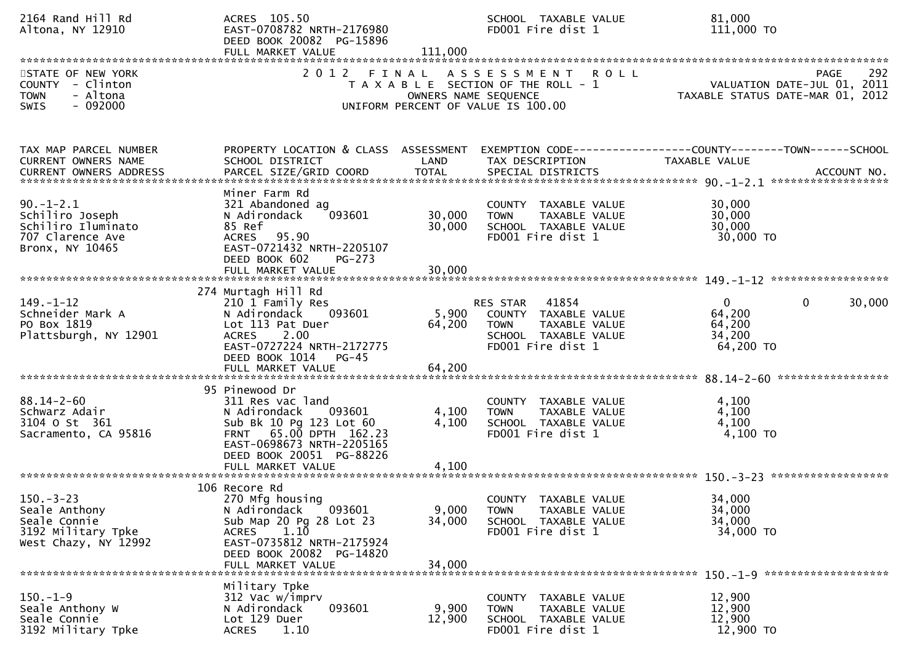| 2164 Rand Hill Rd<br>Altona, NY 12910                                                           | ACRES 105.50<br>EAST-0708782 NRTH-2176980<br>DEED BOOK 20082 PG-15896<br>FULL MARKET VALUE                                                                                                   | 111,000                       | SCHOOL TAXABLE VALUE<br>FD001 Fire dist 1                                                                              | 81,000<br>111,000 TO                                                                         |
|-------------------------------------------------------------------------------------------------|----------------------------------------------------------------------------------------------------------------------------------------------------------------------------------------------|-------------------------------|------------------------------------------------------------------------------------------------------------------------|----------------------------------------------------------------------------------------------|
| STATE OF NEW YORK<br>COUNTY - Clinton<br>- Altona<br><b>TOWN</b><br>$-092000$<br><b>SWIS</b>    | 2 0 1 2                                                                                                                                                                                      | FINAL<br>OWNERS NAME SEQUENCE | A S S E S S M E N T<br><b>ROLL</b><br>T A X A B L E SECTION OF THE ROLL - 1<br>UNIFORM PERCENT OF VALUE IS 100.00      | 292<br><b>PAGE</b><br>VALUATION DATE-JUL 01, 2011<br>TAXABLE STATUS DATE-MAR 01, 2012        |
| TAX MAP PARCEL NUMBER<br>CURRENT OWNERS NAME<br>CURRENT OWNERS ADDRESS                          | PROPERTY LOCATION & CLASS ASSESSMENT<br>SCHOOL DISTRICT<br>PARCEL SIZE/GRID COORD                                                                                                            | LAND<br><b>TOTAL</b>          | TAX DESCRIPTION<br>SPECIAL DISTRICTS                                                                                   | EXEMPTION CODE-----------------COUNTY-------TOWN------SCHOOL<br>TAXABLE VALUE<br>ACCOUNT NO. |
| $90. - 1 - 2.1$<br>Schiliro Joseph<br>Schiliro Iluminato<br>707 Clarence Ave<br>Bronx, NY 10465 | Miner Farm Rd<br>321 Abandoned ag<br>093601<br>N Adirondack<br>85 Ref<br>ACRES 95.90<br>EAST-0721432 NRTH-2205107<br>DEED BOOK 602<br>$PG-273$<br>FULL MARKET VALUE                          | 30,000<br>30,000<br>30,000    | COUNTY TAXABLE VALUE<br>TAXABLE VALUE<br><b>TOWN</b><br>SCHOOL TAXABLE VALUE<br>FD001 Fire dist 1                      | 30,000<br>30,000<br>30,000<br>30,000 TO                                                      |
| $149. - 1 - 12$<br>Schneider Mark A<br>PO Box 1819<br>Plattsburgh, NY 12901                     | 274 Murtagh Hill Rd<br>210 1 Family Res<br>N Adirondack<br>093601<br>Lot 113 Pat Duer<br><b>ACRES</b><br>2.00<br>EAST-0727224 NRTH-2172775<br>DEED BOOK 1014<br>$PG-45$<br>FULL MARKET VALUE | 5,900<br>64,200<br>64,200     | 41854<br>RES STAR<br>COUNTY TAXABLE VALUE<br><b>TOWN</b><br>TAXABLE VALUE<br>SCHOOL TAXABLE VALUE<br>FD001 Fire dist 1 | $\mathbf{0}$<br>$\mathbf{0}$<br>30,000<br>64,200<br>64,200<br>34,200<br>64,200 TO            |
| $88.14 - 2 - 60$<br>Schwarz Adair<br>3104 o st 361<br>Sacramento, CA 95816                      | 95 Pinewood Dr<br>311 Res vac land<br>N Adirondack<br>093601<br>Sub Bk 10 Pg 123 Lot 60<br>FRNT 65.00 DPTH 162.23<br>EAST-0698673 NRTH-2205165<br>DEED BOOK 20051 PG-88226                   | 4,100<br>4,100                | COUNTY TAXABLE VALUE<br>TAXABLE VALUE<br><b>TOWN</b><br>SCHOOL TAXABLE VALUE<br>FD001 Fire dist 1                      | 4,100<br>4,100<br>4,100<br>4,100 TO                                                          |
| $150 - 3 - 23$<br>Seale Anthony<br>Seale Connie<br>3192 Military Tpke<br>West Chazy, NY 12992   | 106 Recore Rd<br>270 Mfg housing<br>N Adirondack<br>093601<br>Sub Map 20 Pg 28 Lot 23<br>1.10<br><b>ACRES</b><br>EAST-0735812 NRTH-2175924<br>DEED BOOK 20082 PG-14820<br>FULL MARKET VALUE  | 9,000<br>34,000<br>34,000     | COUNTY TAXABLE VALUE<br>TAXABLE VALUE<br><b>TOWN</b><br>SCHOOL TAXABLE VALUE<br>FD001 Fire dist 1                      | 34,000<br>34,000<br>34,000<br>34,000 TO                                                      |
| $150.-1-9$<br>Seale Anthony W<br>Seale Connie<br>3192 Military Tpke                             | Military Tpke<br>312 Vac w/imprv<br>093601<br>N Adirondack<br>Lot 129 Duer<br>1.10<br><b>ACRES</b>                                                                                           | 9,900<br>12,900               | COUNTY TAXABLE VALUE<br>TAXABLE VALUE<br><b>TOWN</b><br>SCHOOL TAXABLE VALUE<br>FD001 Fire dist 1                      | 12,900<br>12,900<br>12,900<br>12,900 TO                                                      |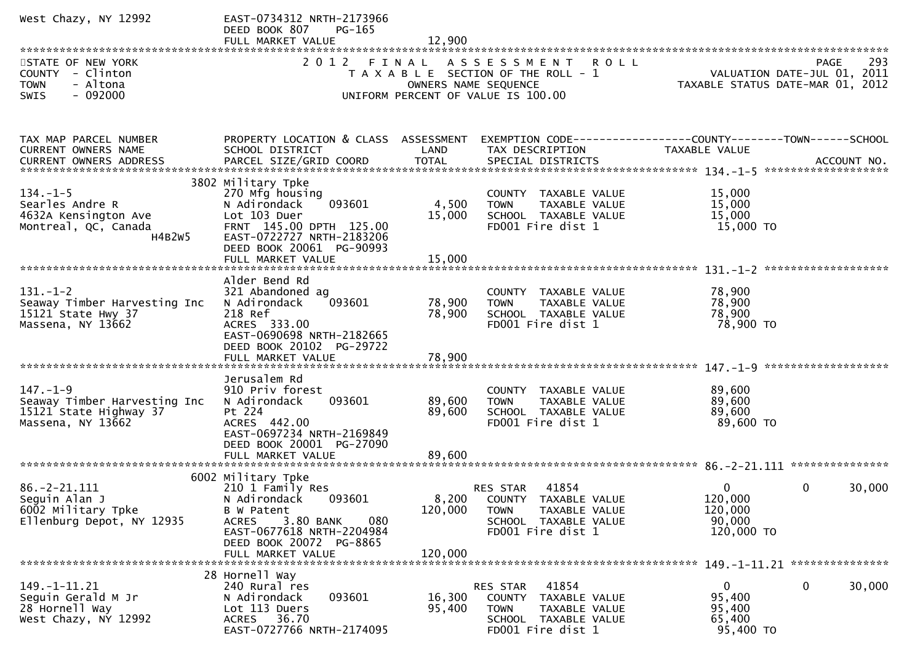| West Chazy, NY 12992                                                                          | EAST-0734312 NRTH-2173966<br>DEED BOOK 807<br>PG-165                                                                                                                                         |                            |                                                                                                                                   |                                                           |                                                                                |
|-----------------------------------------------------------------------------------------------|----------------------------------------------------------------------------------------------------------------------------------------------------------------------------------------------|----------------------------|-----------------------------------------------------------------------------------------------------------------------------------|-----------------------------------------------------------|--------------------------------------------------------------------------------|
| STATE OF NEW YORK<br>COUNTY - Clinton<br>- Altona<br><b>TOWN</b><br>$-092000$<br><b>SWIS</b>  |                                                                                                                                                                                              |                            | 2012 FINAL ASSESSMENT ROLL<br>T A X A B L E SECTION OF THE ROLL - 1<br>OWNERS NAME SEQUENCE<br>UNIFORM PERCENT OF VALUE IS 100.00 |                                                           | 293<br>PAGE<br>VALUATION DATE-JUL 01, 2011<br>TAXABLE STATUS DATE-MAR 01, 2012 |
| TAX MAP PARCEL NUMBER<br>CURRENT OWNERS NAME<br>CURRENT OWNERS ADDRESS                        | PROPERTY LOCATION & CLASS ASSESSMENT<br>SCHOOL DISTRICT                                                                                                                                      | LAND                       | EXEMPTION CODE-----------------COUNTY-------TOWN------SCHOOL<br>TAX DESCRIPTION                                                   | TAXABLE VALUE                                             |                                                                                |
| $134. - 1 - 5$<br>Searles Andre R<br>4632A Kensington Ave<br>Montreal, QC, Canada<br>H4B2W5   | 3802 Military Tpke<br>270 Mfg housing<br>093601<br>N Adirondack<br>Lot 103 Duer<br>FRNT 145.00 DPTH 125.00<br>EAST-0722727 NRTH-2183206<br>DEED BOOK 20061 PG-90993                          | 4,500<br>15,000            | COUNTY TAXABLE VALUE<br>TAXABLE VALUE<br><b>TOWN</b><br>SCHOOL TAXABLE VALUE<br>FD001 Fire dist 1                                 | 15,000<br>15,000<br>15,000<br>15,000 TO                   |                                                                                |
| $131. - 1 - 2$<br>Seaway Timber Harvesting Inc<br>15121 State Hwy 37<br>Massena, NY 13662     | Alder Bend Rd<br>321 Abandoned ag<br>N Adirondack<br>093601<br>218 Ref<br>ACRES 333.00<br>EAST-0690698 NRTH-2182665<br>DEED BOOK 20102 PG-29722                                              | 78,900<br>78,900           | COUNTY TAXABLE VALUE<br>TAXABLE VALUE<br><b>TOWN</b><br>SCHOOL TAXABLE VALUE<br>FD001 Fire dist 1                                 | 78,900<br>78,900<br>78,900<br>78,900 TO                   |                                                                                |
| $147. - 1 - 9$<br>Seaway Timber Harvesting Inc<br>15121 State Highway 37<br>Massena, NY 13662 | Jerusalem Rd<br>910 Priv forest<br>093601<br>N Adirondack<br>Pt 224<br>ACRES 442.00<br>EAST-0697234 NRTH-2169849<br>DEED BOOK 20001 PG-27090<br>FULL MARKET VALUE                            | 89,600<br>89,600<br>89,600 | COUNTY TAXABLE VALUE<br><b>TOWN</b><br>TAXABLE VALUE<br>SCHOOL TAXABLE VALUE<br>FD001 Fire dist 1                                 | 89,600<br>89,600<br>89,600<br>89,600 TO                   |                                                                                |
| $86. -2 - 21.111$<br>Seguin Alan J<br>6002 Military Tpke<br>Ellenburg Depot, NY 12935         | 6002 Military Tpke<br>210 1 Family Res<br>N Adirondack 093601<br>B W Patent<br>3.80 BANK<br>080<br><b>ACRES</b><br>EAST-0677618 NRTH-2204984<br>DEED BOOK 20072 PG-8865<br>FULL MARKET VALUE | 120,000<br>120,000         | RES STAR<br>41854<br>8,200 COUNTY TAXABLE VALUE<br>TAXABLE VALUE<br>TOWN<br>SCHOOL TAXABLE VALUE<br>FD001 Fire dist 1             | $\Omega$<br>120,000<br>120,000<br>90,000<br>120,000 TO    | $\mathbf{0}$<br>30,000                                                         |
| 149. -1-11. 21<br>Seguin Gerald M Jr<br>28 Hornell Way<br>West Chazy, NY 12992                | 28 Hornell Way<br>240 Rural res<br>093601<br>N Adirondack<br>Lot 113 Duers<br>36.70<br>ACRES<br>EAST-0727766 NRTH-2174095                                                                    | 16,300<br>95,400           | 41854<br>RES STAR<br><b>COUNTY</b><br>TAXABLE VALUE<br><b>TOWN</b><br>TAXABLE VALUE<br>SCHOOL TAXABLE VALUE<br>FD001 Fire dist 1  | $\overline{0}$<br>95,400<br>95,400<br>65,400<br>95,400 TO | 0<br>30,000                                                                    |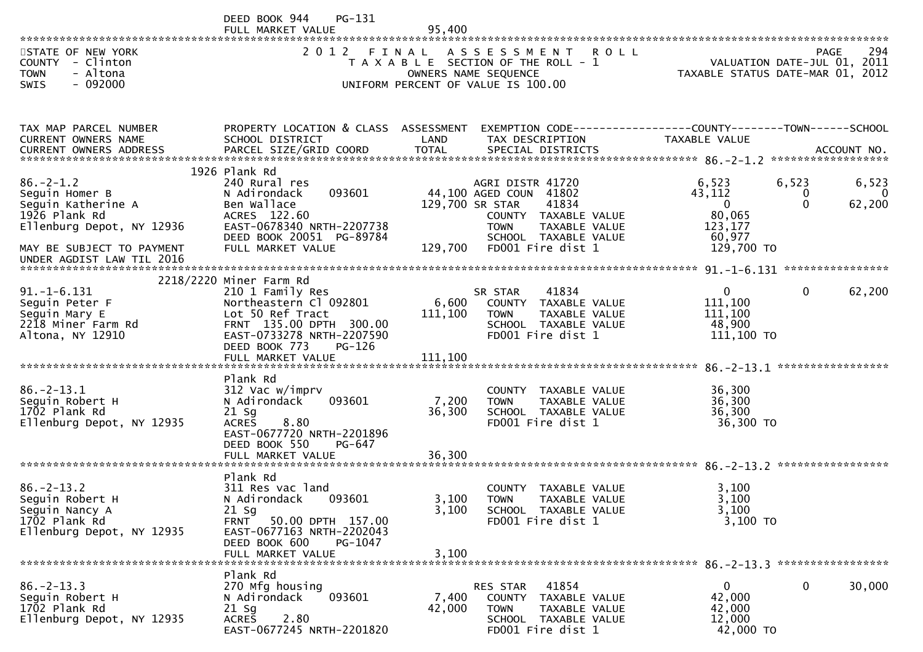|                                                                                                       | DEED BOOK 944<br><b>PG-131</b><br>FULL MARKET VALUE                                                                                                                            | 95,400           |                                                                                                                                  |                                                              |                             |                      |
|-------------------------------------------------------------------------------------------------------|--------------------------------------------------------------------------------------------------------------------------------------------------------------------------------|------------------|----------------------------------------------------------------------------------------------------------------------------------|--------------------------------------------------------------|-----------------------------|----------------------|
| STATE OF NEW YORK<br>COUNTY - Clinton<br><b>TOWN</b><br>- Altona<br>$-092000$<br><b>SWIS</b>          | 2012<br>FINAL                                                                                                                                                                  |                  | ASSESSMENT<br><b>ROLL</b><br>T A X A B L E SECTION OF THE ROLL - 1<br>OWNERS NAME SEQUENCE<br>UNIFORM PERCENT OF VALUE IS 100.00 | TAXABLE STATUS DATE-MAR 01, 2012                             | VALUATION DATE-JUL 01, 2011 | 294<br><b>PAGE</b>   |
|                                                                                                       |                                                                                                                                                                                |                  |                                                                                                                                  |                                                              |                             |                      |
| TAX MAP PARCEL NUMBER<br>CURRENT OWNERS NAME<br><b>CURRENT OWNERS ADDRESS</b>                         | PROPERTY LOCATION & CLASS ASSESSMENT<br>SCHOOL DISTRICT                                                                                                                        | <b>LAND</b>      | EXEMPTION CODE------------------COUNTY--------TOWN------SCHOOL<br>TAX DESCRIPTION                                                | TAXABLE VALUE                                                |                             |                      |
|                                                                                                       | 1926 Plank Rd                                                                                                                                                                  |                  |                                                                                                                                  |                                                              |                             |                      |
| $86. - 2 - 1.2$<br>Seguin Homer B<br>Seguin Katherine A<br>1926 Plank Rd<br>Ellenburg Depot, NY 12936 | 240 Rural res<br>093601<br>N Adirondack<br>Ben Wallace<br>ACRES 122.60<br>EAST-0678340 NRTH-2207738                                                                            | 129,700 SR STAR  | AGRI DISTR 41720<br>44,100 AGED COUN 41802<br>41834<br>COUNTY TAXABLE VALUE<br><b>TOWN</b><br>TAXABLE VALUE                      | 6,523<br>43,112<br>$\mathbf 0$<br>80,065<br>123,177          | 6,523<br>0<br>$\Omega$      | 6,523<br>0<br>62,200 |
| MAY BE SUBJECT TO PAYMENT<br>UNDER AGDIST LAW TIL 2016                                                | DEED BOOK 20051 PG-89784<br>FULL MARKET VALUE                                                                                                                                  | 129,700          | SCHOOL TAXABLE VALUE<br>FD001 Fire dist 1                                                                                        | 60,977<br>129,700 TO                                         |                             |                      |
|                                                                                                       |                                                                                                                                                                                |                  |                                                                                                                                  |                                                              |                             |                      |
| $91. - 1 - 6.131$<br>Seguin Peter F<br>Seguin Mary E<br>2218 Miner Farm Rd<br>Altona, NY 12910        | 2218/2220 Miner Farm Rd<br>210 1 Family Res<br>Northeastern Cl 092801<br>Lot 50 Ref Tract<br>FRNT 135.00 DPTH 300.00<br>EAST-0733278 NRTH-2207590<br>DEED BOOK 773<br>$PG-126$ | 6,600<br>111,100 | 41834<br>SR STAR<br>COUNTY TAXABLE VALUE<br>TAXABLE VALUE<br><b>TOWN</b><br>SCHOOL TAXABLE VALUE<br>FD001 Fire dist 1            | $\overline{0}$<br>111,100<br>111,100<br>48,900<br>111,100 TO | 0                           | 62,200               |
|                                                                                                       | FULL MARKET VALUE                                                                                                                                                              | 111,100          |                                                                                                                                  |                                                              |                             |                      |
| $86. - 2 - 13.1$<br>Seguin Robert H<br>1702 Plank Rd<br>Ellenburg Depot, NY 12935                     | Plank Rd<br>312 Vac w/imprv<br>N Adirondack<br>093601<br>$21$ Sg<br>8.80<br><b>ACRES</b><br>EAST-0677720 NRTH-2201896<br>DEED BOOK 550<br>PG-647                               | 7,200<br>36,300  | <b>COUNTY</b><br>TAXABLE VALUE<br>TAXABLE VALUE<br><b>TOWN</b><br>SCHOOL TAXABLE VALUE<br>FD001 Fire dist 1                      | 36,300<br>36,300<br>36,300<br>36,300 TO                      |                             |                      |
|                                                                                                       | FULL MARKET VALUE                                                                                                                                                              | 36,300           |                                                                                                                                  |                                                              |                             |                      |
| $86. -2 - 13.2$<br>Sequin Robert H<br>Seguin Nancy A<br>1702 Plank Rd<br>Ellenburg Depot, NY 12935    | Plank Rd<br>311 Res vac land<br>N Adirondack<br>093601<br>$21$ Sg<br>50.00 DPTH 157.00<br>FRNT<br>EAST-0677163 NRTH-2202043                                                    | 3,100<br>3,100   | <b>COUNTY</b><br>TAXABLE VALUE<br><b>TOWN</b><br>TAXABLE VALUE<br>SCHOOL TAXABLE VALUE<br>FD001 Fire dist 1                      | 3,100<br>3,100<br>3,100<br>3,100 TO                          |                             |                      |
|                                                                                                       | DEED BOOK 600<br>PG-1047<br>FULL MARKET VALUE                                                                                                                                  | 3,100            |                                                                                                                                  |                                                              |                             |                      |
| ******************************                                                                        | Plank Rd                                                                                                                                                                       |                  |                                                                                                                                  |                                                              |                             |                      |
| $86. - 2 - 13.3$<br>Seguin Robert H<br>1702 Plank Rd<br>Ellenburg Depot, NY 12935                     | 270 Mfg housing<br>093601<br>N Adirondack<br>$21$ Sg<br>2.80<br><b>ACRES</b><br>$5 - 1$ 2201020                                                                                | 7,400<br>42,000  | 41854<br>RES STAR<br><b>COUNTY</b><br>TAXABLE VALUE<br><b>TOWN</b><br>TAXABLE VALUE<br>SCHOOL TAXABLE VALUE                      | $\mathbf{0}$<br>42,000<br>42,000<br>12,000                   | 0                           | 30,000               |

EAST-0677245 NRTH-2201820 FD001 Fire dist 1 42,000 TO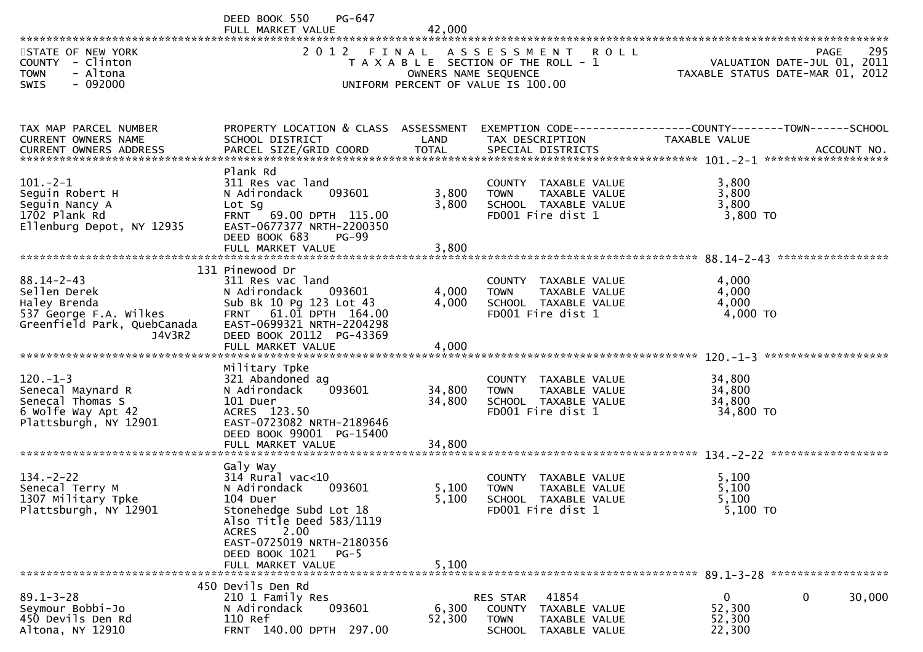|                                                                                                                     | DEED BOOK 550<br>PG-647<br>FULL MARKET VALUE                                                                                                                                                                                     | 42,000                     |                                                                                                                       |                                                                               |                    |
|---------------------------------------------------------------------------------------------------------------------|----------------------------------------------------------------------------------------------------------------------------------------------------------------------------------------------------------------------------------|----------------------------|-----------------------------------------------------------------------------------------------------------------------|-------------------------------------------------------------------------------|--------------------|
| STATE OF NEW YORK<br>COUNTY - Clinton<br><b>TOWN</b><br>- Altona<br>SWIS<br>$-092000$                               | 2 0 1 2                                                                                                                                                                                                                          | OWNERS NAME SEQUENCE       | FINAL ASSESSMENT ROLL<br>T A X A B L E SECTION OF THE ROLL - 1<br>UNIFORM PERCENT OF VALUE IS 100.00                  | VALUATION DATE-JUL 01, 2011<br>TAXABLE STATUS DATE-MAR 01, 2012               | 295<br><b>PAGE</b> |
| TAX MAP PARCEL NUMBER<br>CURRENT OWNERS NAME                                                                        | PROPERTY LOCATION & CLASS ASSESSMENT<br>SCHOOL DISTRICT                                                                                                                                                                          | LAND                       | TAX DESCRIPTION                                                                                                       | EXEMPTION CODE-----------------COUNTY-------TOWN------SCHOOL<br>TAXABLE VALUE |                    |
| $101 - 2 - 1$<br>Seguin Robert H<br>Seguin Nancy A<br>1702 Plank Rd<br>Ellenburg Depot, NY 12935                    | Plank Rd<br>311 Res vac land<br>N Adirondack<br>093601<br>Lot Sg<br>FRNT 69.00 DPTH 115.00<br>EAST-0677377 NRTH-2200350<br>DEED BOOK 683<br><b>PG-99</b><br>FULL MARKET VALUE                                                    | 3,800<br>3,800<br>3,800    | COUNTY TAXABLE VALUE<br>TAXABLE VALUE<br><b>TOWN</b><br>SCHOOL TAXABLE VALUE<br>FD001 Fire dist 1                     | 3,800<br>3,800<br>3,800<br>3,800 TO                                           |                    |
| $88.14 - 2 - 43$<br>Sellen Derek<br>Haley Brenda<br>537 George F.A. Wilkes<br>Greenfield Park, QuebCanada<br>J4V3R2 | 131 Pinewood Dr<br>311 Res vac land<br>093601<br>N Adirondack<br>Sub Bk 10 Pg 123 Lot 43<br>FRNT 61.01 DPTH 164.00<br>EAST-0699321 NRTH-2204298<br>DEED BOOK 20112 PG-43369<br>FULL MARKET VALUE                                 | 4,000<br>4,000<br>4,000    | COUNTY TAXABLE VALUE<br>TAXABLE VALUE<br><b>TOWN</b><br>SCHOOL TAXABLE VALUE<br>FD001 Fire dist 1                     | 4,000<br>4,000<br>4,000<br>4,000 TO                                           |                    |
| $120. -1 - 3$<br>Senecal Maynard R<br>Senecal Thomas S<br>6 Wolfe Way Apt 42<br>Plattsburgh, NY 12901               | Military Tpke<br>321 Abandoned ag<br>093601<br>N Adirondack<br>101 Duer<br>ACRES 123.50<br>EAST-0723082 NRTH-2189646<br>DEED BOOK 99001 PG-15400<br>FULL MARKET VALUE                                                            | 34,800<br>34,800<br>34,800 | COUNTY TAXABLE VALUE<br><b>TOWN</b><br>TAXABLE VALUE<br>SCHOOL TAXABLE VALUE<br>FD001 Fire dist 1                     | 34,800<br>34,800<br>34,800<br>34,800 TO                                       |                    |
| $134. - 2 - 22$<br>Senecal Terry M<br>1307 Military Tpke<br>Plattsburgh, NY 12901                                   | Galy Way<br>$314$ Rural vac<10<br>N Adirondack<br>093601<br>104 Duer<br>Stonehedge Subd Lot 18<br>Also Title Deed 583/1119<br><b>ACRES</b><br>2.00<br>EAST-0725019 NRTH-2180356<br>DEED BOOK 1021<br>$PG-5$<br>FULL MARKET VALUE | 5,100<br>5.100<br>5,100    | COUNTY TAXABLE VALUE<br><b>TOWN</b><br>TAXABLE VALUE<br>SCHOOL TAXABLE VALUE<br>FD001 Fire dist 1                     | 5,100<br>5,100<br>5,100<br>5,100 TO                                           |                    |
| $89.1 - 3 - 28$<br>Seymour Bobbi-Jo<br>450 Devils Den Rd<br>Altona, NY 12910                                        | 450 Devils Den Rd<br>210 1 Family Res<br>N Adirondack<br>093601<br>110 Ref<br>FRNT 140.00 DPTH 297.00                                                                                                                            | 6,300<br>52,300            | 41854<br>RES STAR<br>TAXABLE VALUE<br><b>COUNTY</b><br><b>TOWN</b><br>TAXABLE VALUE<br><b>SCHOOL</b><br>TAXABLE VALUE | $\mathbf{0}$<br>52,300<br>52,300<br>22,300                                    | 0<br>30,000        |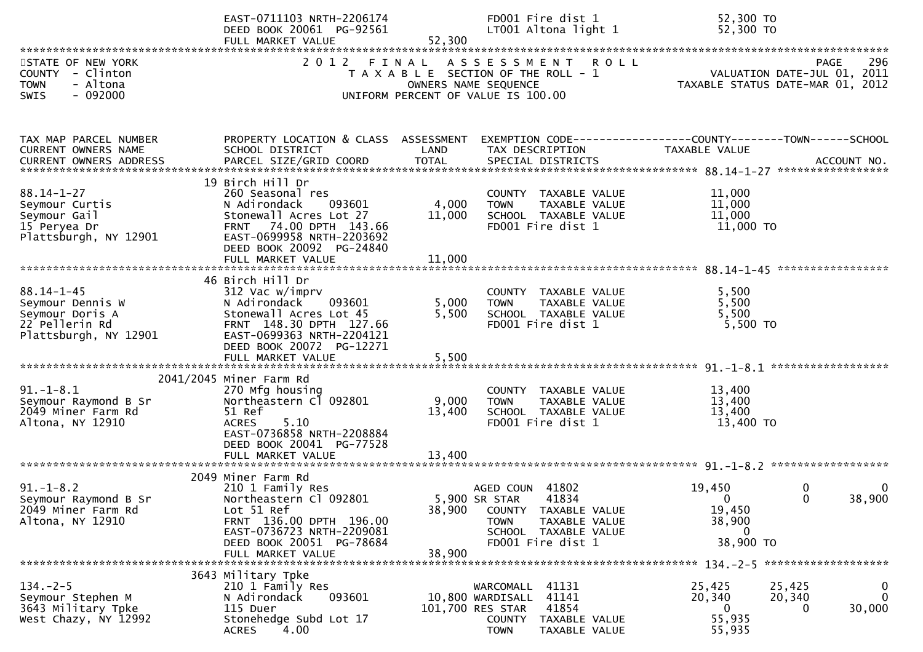|                                                                                                    | EAST-0711103 NRTH-2206174<br>DEED BOOK 20061 PG-92561<br>FULL MARKET VALUE                                                                                                              | 52,300                    | FD001 Fire dist 1<br>LT001 Altona light 1                                                                                     |                                | 52,300 TO<br>52,300 TO                                                                         |                         |                         |
|----------------------------------------------------------------------------------------------------|-----------------------------------------------------------------------------------------------------------------------------------------------------------------------------------------|---------------------------|-------------------------------------------------------------------------------------------------------------------------------|--------------------------------|------------------------------------------------------------------------------------------------|-------------------------|-------------------------|
| STATE OF NEW YORK<br>COUNTY - Clinton<br><b>TOWN</b><br>- Altona<br>$-092000$<br><b>SWIS</b>       | 2012 FINAL ASSESSMENT ROLL                                                                                                                                                              | OWNERS NAME SEQUENCE      | T A X A B L E SECTION OF THE ROLL - 1<br>UNIFORM PERCENT OF VALUE IS 100.00                                                   |                                | VALUATION DATE-JUL 01, 2011<br>VALUATION DATE JUL VI, 2012<br>TAXABLE STATUS DATE-MAR 01, 2012 | <b>PAGE</b>             | 296                     |
| TAX MAP PARCEL NUMBER<br>CURRENT OWNERS NAME                                                       | PROPERTY LOCATION & CLASS ASSESSMENT<br>SCHOOL DISTRICT                                                                                                                                 | LAND                      | TAX DESCRIPTION                                                                                                               |                                | EXEMPTION CODE------------------COUNTY--------TOWN------SCHOOL<br>TAXABLE VALUE                |                         |                         |
| $88.14 - 1 - 27$<br>Seymour Curtis<br>Seymour Gail<br>15 Peryea Dr<br>Plattsburgh, NY 12901        | 19 Birch Hill Dr<br>260 Seasonal res<br>N Adirondack<br>093601<br>Stonewall Acres Lot 27<br>FRNT 74.00 DPTH 143.66<br>EAST-0699958 NRTH-2203692<br>DEED BOOK 20092 PG-24840             | 4,000<br>11,000           | COUNTY TAXABLE VALUE<br><b>TOWN</b><br>SCHOOL TAXABLE VALUE<br>FD001 Fire dist 1                                              | TAXABLE VALUE                  | 11,000<br>11,000<br>11,000<br>11,000 TO                                                        |                         |                         |
| $88.14 - 1 - 45$<br>Seymour Dennis W<br>Seymour Doris A<br>22 Pellerin Rd<br>Plattsburgh, NY 12901 | 46 Birch Hill Dr<br>312 Vac w/imprv<br>N Adirondack<br>093601<br>Stonewall Acres Lot 45<br>FRNT 148.30 DPTH 127.66<br>EAST-0699363 NRTH-2204121<br>DEED BOOK 20072 PG-12271             | 5,000<br>5,500            | COUNTY TAXABLE VALUE<br><b>TOWN</b><br>SCHOOL TAXABLE VALUE<br>FD001 Fire dist 1                                              | TAXABLE VALUE                  | 5,500<br>5,500<br>5,500<br>$5,500$ TO                                                          |                         |                         |
| $91.-1-8.1$<br>Seymour Raymond B Sr<br>2049 Miner Farm Rd<br>Altona, NY 12910                      | 2041/2045 Miner Farm Rd<br>270 Mfg housing<br>Northeastern Cl 092801<br>51 Ref<br>5.10<br><b>ACRES</b><br>EAST-0736858 NRTH-2208884<br>DEED BOOK 20041 PG-77528<br>FULL MARKET VALUE    | 9,000<br>13,400<br>13,400 | COUNTY TAXABLE VALUE<br>TOWN<br>SCHOOL TAXABLE VALUE<br>FD001 Fire dist 1                                                     | TAXABLE VALUE                  | 13,400<br>13,400<br>13,400<br>13,400 TO                                                        |                         |                         |
| $91. - 1 - 8.2$<br>Seymour Raymond B Sr<br>2049 Miner Farm Rd<br>Altona, NY 12910                  | 2049 Miner Farm Rd<br>210 1 Family Res<br>Northeastern Cl 092801<br>Lot 51 Ref<br>FRNT 136.00 DPTH 196.00<br>EAST-0736723 NRTH-2209081<br>DEED BOOK 20051 PG-78684<br>FULL MARKET VALUE | 38,900<br>38,900          | AGED COUN 41802<br>5,900 SR STAR<br>41834<br>COUNTY TAXABLE VALUE<br><b>TOWN</b><br>SCHOOL TAXABLE VALUE<br>FD001 Fire dist 1 | TAXABLE VALUE                  | 19,450<br>$\boldsymbol{0}$<br>19,450<br>38,900<br>0<br>38,900 TO                               | $\mathbf 0$<br>$\Omega$ | 0<br>38,900             |
| $134. - 2 - 5$<br>Seymour Stephen M<br>3643 Military Tpke<br>West Chazy, NY 12992                  | 3643 Military Tpke<br>210 1 Family Res<br>093601<br>N Adirondack<br>115 Duer<br>Stonehedge Subd Lot 17<br>4.00<br><b>ACRES</b>                                                          | 101,700 RES STAR          | WARCOMALL 41131<br>10,800 WARDISALL<br>41141<br>41854<br>COUNTY<br><b>TOWN</b>                                                | TAXABLE VALUE<br>TAXABLE VALUE | 25,425<br>20,340<br>$\bf{0}$<br>55,935<br>55,935                                               | 25,425<br>20,340<br>0   | $\bf{0}$<br>0<br>30,000 |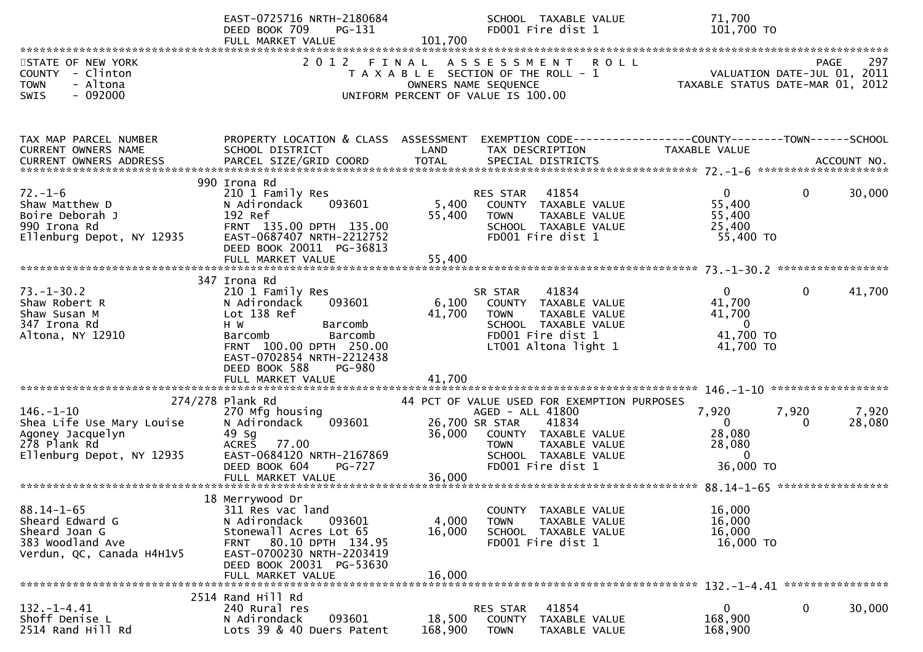|                                                                                                               | EAST-0725716 NRTH-2180684<br>PG-131<br>DEED BOOK 709<br>FULL MARKET VALUE                                                                                                                                                        | SCHOOL TAXABLE VALUE<br>FD001 Fire dist 1<br>101,700                                                                                                                                                      | 71,700<br>101,700 TO                                                                                                                          |
|---------------------------------------------------------------------------------------------------------------|----------------------------------------------------------------------------------------------------------------------------------------------------------------------------------------------------------------------------------|-----------------------------------------------------------------------------------------------------------------------------------------------------------------------------------------------------------|-----------------------------------------------------------------------------------------------------------------------------------------------|
| STATE OF NEW YORK<br>COUNTY - Clinton<br><b>TOWN</b><br>- Altona<br>$-092000$<br><b>SWIS</b>                  | 2 0 1 2                                                                                                                                                                                                                          | FINAL<br>A S S E S S M E N T<br>T A X A B L E SECTION OF THE ROLL - 1<br>OWNERS NAME SEQUENCE<br>UNIFORM PERCENT OF VALUE IS 100.00                                                                       | <b>ROLL</b><br>297<br>PAGE<br>VALUATION DATE-JUL 01, 2011<br>TAXABLE STATUS DATE-MAR 01, 2012                                                 |
| TAX MAP PARCEL NUMBER<br>CURRENT OWNERS NAME<br>CURRENT OWNERS ADDRESS                                        | PROPERTY LOCATION & CLASS ASSESSMENT<br>SCHOOL DISTRICT                                                                                                                                                                          | LAND<br>TAX DESCRIPTION                                                                                                                                                                                   | EXEMPTION CODE-----------------COUNTY--------TOWN------SCHOOL<br>TAXABLE VALUE                                                                |
| $72. - 1 - 6$<br>Shaw Matthew D<br>Boire Deborah J<br>990 Irona Rd<br>Ellenburg Depot, NY 12935               | 990 Irona Rd<br>210 1 Family Res<br>093601<br>N Adirondack<br>192 Ref<br>FRNT 135.00 DPTH 135.00<br>EAST-0687407 NRTH-2212752<br>DEED BOOK 20011 PG-36813<br>FULL MARKET VALUE                                                   | 41854<br>RES STAR<br>5,400<br>COUNTY TAXABLE VALUE<br>55,400<br><b>TOWN</b><br>TAXABLE VALUE<br>SCHOOL TAXABLE VALUE<br>FD001 Fire dist 1<br>55,400                                                       | $\mathbf{0}$<br>$\mathbf 0$<br>30,000<br>55,400<br>55,400<br>25,400<br>55,400 TO                                                              |
| $73. - 1 - 30.2$<br>Shaw Robert R<br>Shaw Susan M<br>347 Irona Rd<br>Altona, NY 12910                         | 347 Irona Rd<br>210 1 Family Res<br>093601<br>N Adirondack<br>Lot 138 Ref<br>H W<br>Barcomb<br>Barcomb<br>Barcomb<br>FRNT 100.00 DPTH 250.00<br>EAST-0702854 NRTH-2212438<br>DEED BOOK 588<br><b>PG-980</b><br>FULL MARKET VALUE | 41834<br>SR STAR<br>6,100<br>COUNTY TAXABLE VALUE<br>41,700<br><b>TOWN</b><br>TAXABLE VALUE<br>SCHOOL TAXABLE VALUE<br>FD001 Fire dist 1<br>LT001 Altona light 1<br>41,700                                | 41,700<br>$\overline{0}$<br>$\mathbf{0}$<br>41,700<br>41,700<br>$\mathbf{0}$<br>41,700 TO<br>41,700 TO<br>$146. - 1 - 10$ ******************* |
| $146. - 1 - 10$<br>Shea Life Use Mary Louise<br>Agoney Jacquelyn<br>278 Plank Rd<br>Ellenburg Depot, NY 12935 | 274/278 Plank Rd<br>270 Mfg housing<br>093601<br>N Adirondack<br>49 Sg<br>ACRES<br>77.00<br>EAST-0684120 NRTH-2167869<br>DEED BOOK 604<br><b>PG-727</b>                                                                          | 44 PCT OF VALUE USED FOR EXEMPTION PURPOSES<br>AGED - ALL 41800<br>26,700 SR STAR<br>41834<br>36,000<br>COUNTY TAXABLE VALUE<br><b>TOWN</b><br>TAXABLE VALUE<br>SCHOOL TAXABLE VALUE<br>FD001 Fire dist 1 | 7,920<br>7,920<br>7,920<br>$\overline{0}$<br>28,080<br>$\Omega$<br>28,080<br>28,080<br>$\mathbf{0}$<br>36,000 TO                              |
| $88.14 - 1 - 65$<br>Sheard Edward G<br>Sheard Joan G<br>383 Woodland Ave<br>Verdun, QC, Canada H4H1V5         | 18 Merrywood Dr<br>311 Res vac land<br>093601<br>N Adirondack<br>Stonewall Acres Lot 65<br>80.10 DPTH 134.95<br><b>FRNT</b><br>EAST-0700230 NRTH-2203419<br>DEED BOOK 20031 PG-53630<br>FULL MARKET VALUE                        | COUNTY TAXABLE VALUE<br>4,000<br><b>TOWN</b><br>TAXABLE VALUE<br>16,000<br>SCHOOL TAXABLE VALUE<br>FD001 Fire dist 1<br>16,000                                                                            | 16,000<br>16,000<br>16,000<br>16,000 TO                                                                                                       |
| $132. - 1 - 4.41$<br>Shoff Denise L<br>2514 Rand Hill Rd                                                      | 2514 Rand Hill Rd<br>240 Rural res<br>N Adirondack<br>093601<br>Lots 39 & 40 Duers Patent                                                                                                                                        | 41854<br>RES STAR<br>18,500<br>COUNTY<br>TAXABLE VALUE<br>168,900<br><b>TOWN</b><br>TAXABLE VALUE                                                                                                         | $\mathbf 0$<br>$\mathbf 0$<br>30,000<br>168,900<br>168,900                                                                                    |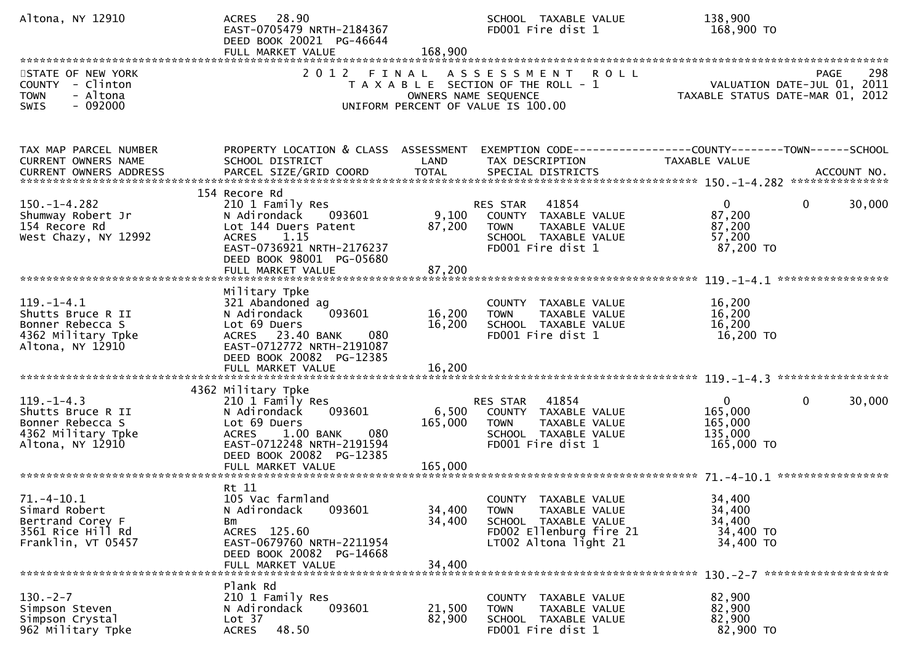| Altona, NY 12910                                                                                    | ACRES 28.90<br>EAST-0705479 NRTH-2184367<br>DEED BOOK 20021 PG-46644<br>FULL MARKET VALUE                                                                                            | 168,900                       | SCHOOL TAXABLE VALUE<br>FD001 Fire dist 1                                                                                        | 138,900<br>168,900 TO                                                                                        |             |
|-----------------------------------------------------------------------------------------------------|--------------------------------------------------------------------------------------------------------------------------------------------------------------------------------------|-------------------------------|----------------------------------------------------------------------------------------------------------------------------------|--------------------------------------------------------------------------------------------------------------|-------------|
| STATE OF NEW YORK<br>COUNTY - Clinton<br>- Altona<br><b>TOWN</b><br>$-092000$<br>SWIS               | 2 0 1 2                                                                                                                                                                              | FINAL<br>OWNERS NAME SEQUENCE | A S S E S S M E N T<br><b>ROLL</b><br>T A X A B L E SECTION OF THE ROLL - 1<br>UNIFORM PERCENT OF VALUE IS 100.00                | PAGE 298<br>VALUATION DATE-JUL 01, 2011<br>TAXARLE STATUS DATE ::: - 211<br>TAXABLE STATUS DATE-MAR 01, 2012 | 298         |
| TAX MAP PARCEL NUMBER<br>CURRENT OWNERS NAME<br><b>CURRENT OWNERS ADDRESS</b>                       | PROPERTY LOCATION & CLASS ASSESSMENT<br>SCHOOL DISTRICT<br>PARCEL SIZE/GRID COORD                                                                                                    | LAND<br><b>TOTAL</b>          | TAX DESCRIPTION<br>SPECIAL DISTRICTS                                                                                             | EXEMPTION CODE-----------------COUNTY--------TOWN------SCHOOL<br><b>TAXABLE VALUE</b>                        | ACCOUNT NO. |
| $150. - 1 - 4.282$<br>Shumway Robert Jr<br>154 Recore Rd<br>West Chazy, NY 12992                    | 154 Recore Rd<br>210 1 Family Res<br>N Adirondack<br>093601<br>Lot 144 Duers Patent<br>ACRES 1.15<br>EAST-0736921 NRTH-2176237<br>DEED BOOK 98001 PG-05680<br>FULL MARKET VALUE      | 9,100<br>87,200<br>87,200     | 41854<br>RES STAR<br>COUNTY TAXABLE VALUE<br><b>TOWN</b><br>TAXABLE VALUE<br>SCHOOL TAXABLE VALUE<br>FD001 Fire dist 1           | $\overline{0}$<br>$\mathbf{0}$<br>87,200<br>87,200<br>57,200<br>87,200 TO                                    | 30,000      |
| $119. - 1 - 4.1$<br>Shutts Bruce R II<br>Bonner Rebecca S<br>4362 Military Tpke<br>Altona, NY 12910 | Military Tpke<br>321 Abandoned ag<br>093601<br>N Adirondack<br>Lot 69 Duers<br>ACRES 23.40 BANK<br>080<br>EAST-0712772 NRTH-2191087<br>DEED BOOK 20082 PG-12385<br>FULL MARKET VALUE | 16,200<br>16,200<br>16,200    | COUNTY TAXABLE VALUE<br>TAXABLE VALUE<br><b>TOWN</b><br>SCHOOL TAXABLE VALUE<br>FD001 Fire dist 1                                | 16,200<br>16,200<br>16,200<br>16,200 TO                                                                      |             |
| $119. - 1 - 4.3$<br>Shutts Bruce R II<br>Bonner Rebecca S<br>4362 Military Tpke<br>Altona, NY 12910 | 4362 Military Tpke<br>210 1 Family Res<br>N Adirondack<br>093601<br>Lot 69 Duers<br>1.00 BANK<br>080<br><b>ACRES</b><br>EAST-0712248 NRTH-2191594<br>DEED BOOK 20082 PG-12385        | 6,500<br>165,000              | 41854<br>RES STAR<br>COUNTY TAXABLE VALUE<br>TAXABLE VALUE<br><b>TOWN</b><br>SCHOOL TAXABLE VALUE<br>FD001 Fire dist 1           | $\mathbf{0}$<br>$\mathbf{0}$<br>165,000<br>165,000<br>135,000<br>165,000 TO                                  | 30,000      |
| $71.-4-10.1$<br>Simard Robert<br>Bertrand Corey F<br>3561 Rice Hill Rd<br>Franklin, VT 05457        | Rt 11<br>105 Vac farmland<br>N Adirondack<br>093601<br>Bm<br>ACRES 125.60<br>EAST-0679760 NRTH-2211954<br>DEED BOOK 20082 PG-14668<br>FULL MARKET VALUE                              | 34,400<br>34,400<br>34,400    | COUNTY TAXABLE VALUE<br>TAXABLE VALUE<br><b>TOWN</b><br>SCHOOL TAXABLE VALUE<br>FD002 Ellenburg fire 21<br>LT002 Altona light 21 | 34,400<br>34,400<br>34,400<br>34,400 TO<br>34,400 TO                                                         |             |
| $130. -2 - 7$<br>Simpson Steven<br>Simpson Crystal<br>962 Military Tpke                             | Plank Rd<br>210 1 Family Res<br>N Adirondack<br>093601<br>Lot 37<br><b>ACRES</b><br>48.50                                                                                            | 21,500<br>82,900              | COUNTY TAXABLE VALUE<br>TAXABLE VALUE<br><b>TOWN</b><br>SCHOOL TAXABLE VALUE<br>FD001 Fire dist 1                                | 82,900<br>82,900<br>82,900<br>82,900 TO                                                                      |             |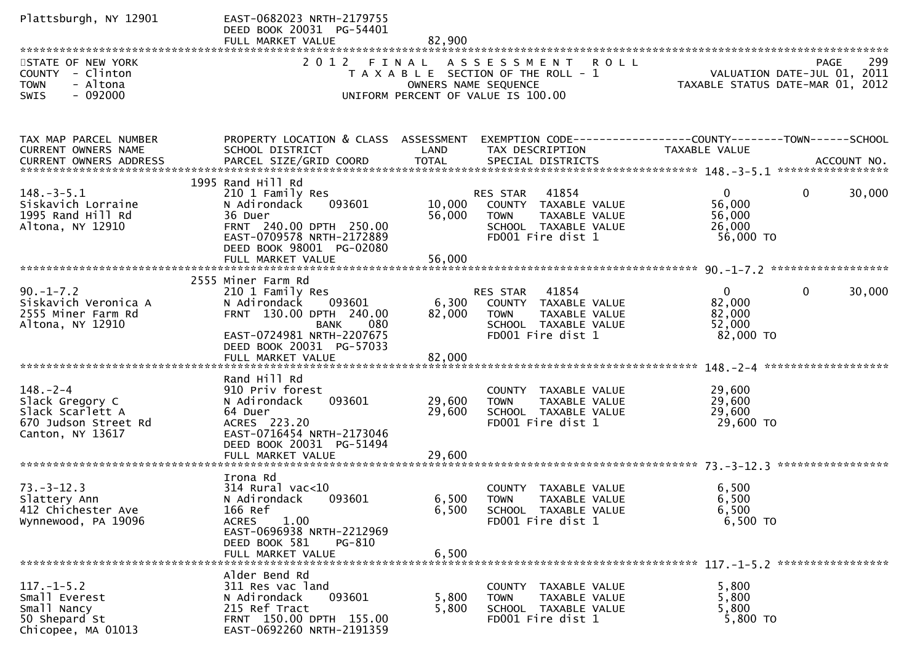| Plattsburgh, NY 12901                                                                             | EAST-0682023 NRTH-2179755<br>DEED BOOK 20031 PG-54401                                                                                                                      |                            |                                                                                                                                   |                                                                                       |
|---------------------------------------------------------------------------------------------------|----------------------------------------------------------------------------------------------------------------------------------------------------------------------------|----------------------------|-----------------------------------------------------------------------------------------------------------------------------------|---------------------------------------------------------------------------------------|
| STATE OF NEW YORK<br>COUNTY - Clinton<br><b>TOWN</b><br>- Altona<br>SWIS<br>$-092000$             |                                                                                                                                                                            |                            | 2012 FINAL ASSESSMENT ROLL<br>T A X A B L E SECTION OF THE ROLL - 1<br>OWNERS NAME SEQUENCE<br>UNIFORM PERCENT OF VALUE IS 100.00 | 299<br><b>PAGE</b><br>VALUATION DATE-JUL 01, 2011<br>TAXABLE STATUS DATE-MAR 01, 2012 |
| TAX MAP PARCEL NUMBER<br>CURRENT OWNERS NAME<br>CURRENT OWNERS ADDRESS                            | PROPERTY LOCATION & CLASS ASSESSMENT<br>SCHOOL DISTRICT                                                                                                                    | LAND                       | TAX DESCRIPTION                                                                                                                   | TAXABLE VALUE                                                                         |
| $148.-3-5.1$<br>Siskavich Lorraine<br>1995 Rand Hill Rd<br>Altona, NY 12910                       | 1995 Rand Hill Rd<br>210 1 Family Res<br>093601<br>N Adirondack<br>36 Duer<br>FRNT 240.00 DPTH 250.00<br>EAST-0709578 NRTH-2172889<br>DEED BOOK 98001 PG-02080             | 10,000<br>56,000           | RES STAR<br>41854<br>COUNTY TAXABLE VALUE<br>TAXABLE VALUE<br><b>TOWN</b><br>SCHOOL TAXABLE VALUE<br>FD001 Fire dist 1            | 30,000<br>$\mathbf{0}$<br>$\mathbf 0$<br>56,000<br>56,000<br>26,000<br>56,000 TO      |
|                                                                                                   |                                                                                                                                                                            |                            |                                                                                                                                   |                                                                                       |
| $90. -1 - 7.2$<br>Siskavich Veronica A<br>2555 Miner Farm Rd<br>Altona, NY 12910                  | 2555 Miner Farm Rd<br>210 1 Family Res<br>093601<br>N Adirondack<br>FRNT 130.00 DPTH 240.00<br>080<br><b>BANK</b><br>EAST-0724981 NRTH-2207675<br>DEED BOOK 20031 PG-57033 | 6,300<br>82,000            | RES STAR 41854<br>COUNTY TAXABLE VALUE<br><b>TAXABLE VALUE</b><br><b>TOWN</b><br>SCHOOL TAXABLE VALUE<br>FD001 Fire dist 1        | 30,000<br>$\mathbf{0}$<br>$\mathbf{0}$<br>82,000<br>82,000<br>52,000<br>82,000 TO     |
| $148. - 2 - 4$<br>Slack Gregory C<br>Slack Scarlett A<br>670 Judson Street Rd<br>Canton, NY 13617 | Rand Hill Rd<br>910 Priv forest<br>093601<br>N Adirondack<br>64 Duer<br>ACRES 223.20<br>EAST-0716454 NRTH-2173046<br>DEED BOOK 20031 PG-51494<br>FULL MARKET VALUE         | 29,600<br>29,600<br>29,600 | COUNTY TAXABLE VALUE<br><b>TOWN</b><br>TAXABLE VALUE<br>SCHOOL TAXABLE VALUE<br>FD001 Fire dist 1                                 | 29,600<br>29,600<br>29,600<br>29,600 TO                                               |
| $73. - 3 - 12.3$<br>Slattery Ann<br>412 Chichester Ave<br>Wynnewood, PA 19096                     | Irona Rd<br>314 Rural vac<10<br>N Adirondack 093601<br>166 Ref<br><b>ACRES</b><br>1.00<br>EAST-0696938 NRTH-2212969<br>DEED BOOK 581<br>PG-810<br>FULL MARKET VALUE        | 6,500<br>6,500             | COUNTY TAXABLE VALUE<br>6,500 TOWN TAXABLE VALUE<br>SCHOOL TAXABLE VALUE<br>FD001 Fire dist 1                                     | 6,500<br>6,500<br>6,500<br>6,500 TO                                                   |
| $117. - 1 - 5.2$<br>Small Everest<br>Small Nancy<br>50 Shepard St<br>Chicopee, MA 01013           | Alder Bend Rd<br>311 Res vac land<br>093601<br>N Adirondack<br>215 Ref Tract<br>FRNT 150.00 DPTH 155.00<br>EAST-0692260 NRTH-2191359                                       | 5,800<br>5,800             | COUNTY TAXABLE VALUE<br>TAXABLE VALUE<br><b>TOWN</b><br>SCHOOL TAXABLE VALUE<br>FD001 Fire dist 1                                 | 5,800<br>5,800<br>5,800<br>5,800 TO                                                   |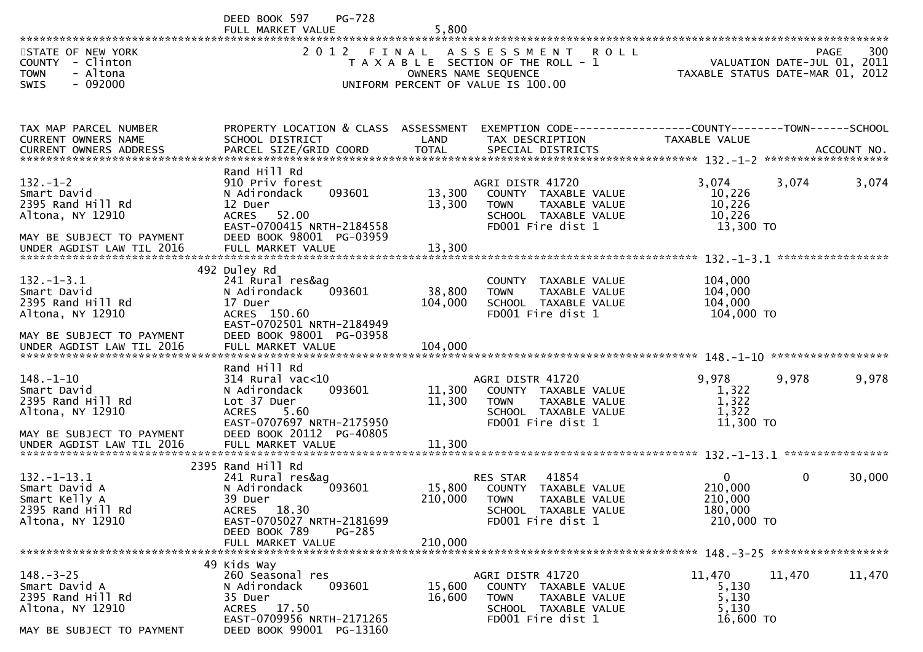DEED BOOK 597 PG-728<br>FULL MARKET VALUE FULL MARKET VALUE 5,800 \*\*\*\*\*\*\*\*\*\*\*\*\*\*\*\*\*\*\*\*\*\*\*\*\*\*\*\*\*\*\*\*\*\*\*\*\*\*\*\*\*\*\*\*\*\*\*\*\*\*\*\*\*\*\*\*\*\*\*\*\*\*\*\*\*\*\*\*\*\*\*\*\*\*\*\*\*\*\*\*\*\*\*\*\*\*\*\*\*\*\*\*\*\*\*\*\*\*\*\*\*\*\*\*\*\*\*\*\*\*\*\*\*\*\*\*\*\*\*\*\*\*\*\*\*\*\*\*\*\*\*\*300 STATE OF NEW YORK 2 O 1 2 F I N A L A S S E S S M E N T R O L L PAGE<br>2 O 1 2 F I N A L A S S E S S M E N T R O L L YALUATION DATE-JUL 0 VALUATION DATE-JUL 01, 2011 COUNTY - Clinton T A X A B L E SECTION OF THE ROLL - 1 VALUATION DATE-JUL 01, 2011 TOWN - Altona OWNERS NAME SEQUENCE TAXABLE STATUS DATE-MAR 01, 2012SWIS - 092000 CONTROLLED TO UNIFORM PERCENT OF VALUE IS 100.00 TAX MAP PARCEL NUMBER PROPERTY LOCATION & CLASS ASSESSMENT EXEMPTION CODE------------------COUNTY--------TOWN------SCHOOLCURRENT OWNERS NAME SCHOOL DISTRICT LAND TAX DESCRIPTION TAXABLE VALUE<br>CURRENT OWNERS ARRRESS RARGEL STZE(CRIR)COORR TOTAL SRECIAL RISTRICTS CURRENT OWNERS ADDRESS PARCEL SIZE/GRID COORD TOTAL SPECIAL DISTRICTS ACCOUNT NO. \*\*\*\*\*\*\*\*\*\*\*\*\*\*\*\*\*\*\*\*\*\*\*\*\*\*\*\*\*\*\*\*\*\*\*\*\*\*\*\*\*\*\*\*\*\*\*\*\*\*\*\*\*\*\*\*\*\*\*\*\*\*\*\*\*\*\*\*\*\*\*\*\*\*\*\*\*\*\*\*\*\*\*\*\*\*\*\*\*\*\*\*\*\*\*\*\*\*\*\*\*\*\* 132.-1-2 \*\*\*\*\*\*\*\*\*\*\*\*\*\*\*\*\*\*\* Rand Hill Rd910 Priv forest 132.-1-2 910 Priv forest AGRI DISTR 41720 3,074 3,074 3,074Smart David N Adirondack 093601 13,300 COUNTY TAXABLE VALUE 10,22610.226 2395 Rand Hill Rd 12 Duer 13,300 TOWN TAXABLE VALUE 10,22610.226 Altona, NY 12910 ACRES 52.00 SCHOOL TAXABLE VALUE 10,22613,300 TO EAST-0700415 NRTH-2184558<br>MAY BE SUBJECT TO PAYMENT DEED BOOK 98001 PG-03959 MAY BE SUBJECT TO PAYMENT DEED BOOK 98001 PG-03959UNDER AGDIST LAW TIL 2016 FULL MARKET VALUE 13,300 \*\*\*\*\*\*\*\*\*\*\*\*\*\*\*\*\*\*\*\*\*\*\*\*\*\*\*\*\*\*\*\*\*\*\*\*\*\*\*\*\*\*\*\*\*\*\*\*\*\*\*\*\*\*\*\*\*\*\*\*\*\*\*\*\*\*\*\*\*\*\*\*\*\*\*\*\*\*\*\*\*\*\*\*\*\*\*\*\*\*\*\*\*\*\*\*\*\*\*\*\*\*\* 132.-1-3.1 \*\*\*\*\*\*\*\*\*\*\*\*\*\*\*\*\* 492 Duley Rd241 Rural res&ag 132.-1-3.1 241 Rural res&ag COUNTY TAXABLE VALUE 104,000104,000 Smart David N Adirondack 093601 38,800 TOWN TAXABLE VALUE 104,000104,000 2395 Rand Hill Rd 17 Duer 104,000 SCHOOL TAXABLE VALUE 104,000104,000 TO Altona, NY 12910 ACRES 150.60 FD001 Fire dist 1 104,000 TO EAST-0702501 NRTH-2184949 MAY BE SUBJECT TO PAYMENT DEED BOOK 98001 PG-03958UNDER AGDIST LAW TIL 2016 FULL MARKET VALUE 104,000 \*\*\*\*\*\*\*\*\*\*\*\*\*\*\*\*\*\*\*\*\*\*\*\*\*\*\*\*\*\*\*\*\*\*\*\*\*\*\*\*\*\*\*\*\*\*\*\*\*\*\*\*\*\*\*\*\*\*\*\*\*\*\*\*\*\*\*\*\*\*\*\*\*\*\*\*\*\*\*\*\*\*\*\*\*\*\*\*\*\*\*\*\*\*\*\*\*\*\*\*\*\*\* 148.-1-10 \*\*\*\*\*\*\*\*\*\*\*\*\*\*\*\*\*\* Rand Hill Rd $314$  Rural vac<10 148.-1-10 314 Rural vac<10 AGRI DISTR 41720 9,978 9,978 9,978Smart David N Adirondack 093601 11,300 COUNTY TAXABLE VALUE 1,3221,322 2395 Rand Hill Rd Lot 37 Duer 11,300 TOWN TAXABLE VALUE 1,3221.322 Altona, NY 12910 ACRES 5.60 SCHOOL TAXABLE VALUE 1,32211,300 TO EAST-0707697 NRTH-2175950<br>MAY BE SUBJECT TO PAYMENT DEED BOOK 20112 PG-40805 MAY BE SUBJECT TO PAYMENT DEED BOOK 20112 PG-40805UNDER AGDIST LAW TIL 2016 FULL MARKET VALUE 11,300 \*\*\*\*\*\*\*\*\*\*\*\*\*\*\*\*\*\*\*\*\*\*\*\*\*\*\*\*\*\*\*\*\*\*\*\*\*\*\*\*\*\*\*\*\*\*\*\*\*\*\*\*\*\*\*\*\*\*\*\*\*\*\*\*\*\*\*\*\*\*\*\*\*\*\*\*\*\*\*\*\*\*\*\*\*\*\*\*\*\*\*\*\*\*\*\*\*\*\*\*\*\*\* 132.-1-13.1 \*\*\*\*\*\*\*\*\*\*\*\*\*\*\*\* 2395 Rand Hill Rd241 Rural res&ag 132.-1-13.1 241 Rural res&ag RES STAR <sup>41854</sup> <sup>0</sup> 0 30,000Smart David A N Adirondack 093601 15,800 COUNTY TAXABLE VALUE 210,000210,000 Smart Kelly A 39 Duer 210,000 TOWN TAXABLE VALUE 210,000180,000 2395 Rand Hill Rd ACRES 18.30 SCHOOL TAXABLE VALUE 180,000210,000 TO EAST-0705027 NRTH-2181699<br>DEED BOOK 789 PG-285 DEED BOOK 789<br>FULL MARKET VALUE FULL MARKET VALUE 210,000 \*\*\*\*\*\*\*\*\*\*\*\*\*\*\*\*\*\*\*\*\*\*\*\*\*\*\*\*\*\*\*\*\*\*\*\*\*\*\*\*\*\*\*\*\*\*\*\*\*\*\*\*\*\*\*\*\*\*\*\*\*\*\*\*\*\*\*\*\*\*\*\*\*\*\*\*\*\*\*\*\*\*\*\*\*\*\*\*\*\*\*\*\*\*\*\*\*\*\*\*\*\*\* 148.-3-25 \*\*\*\*\*\*\*\*\*\*\*\*\*\*\*\*\*\* 49 Kids Way260 Seasonal res 148.-3-25 260 Seasonal res AGRI DISTR 41720 11,470 11,470 11,470Smart David A N Adirondack 093601 15,600 COUNTY TAXABLE VALUE 5,1305.130 2395 Rand Hill Rd 35 Duer 16,600 TOWN TAXABLE VALUE 5,1305.130 Altona, NY 12910 ACRES 17.50 SCHOOL TAXABLE VALUE 5,130

EAST-0709956 NRTH-2171265<br>MAY BE SUBJECT TO PAYMENT DEED BOOK 99001 PG-13160

DEED BOOK 99001 PG-13160

16,600 TO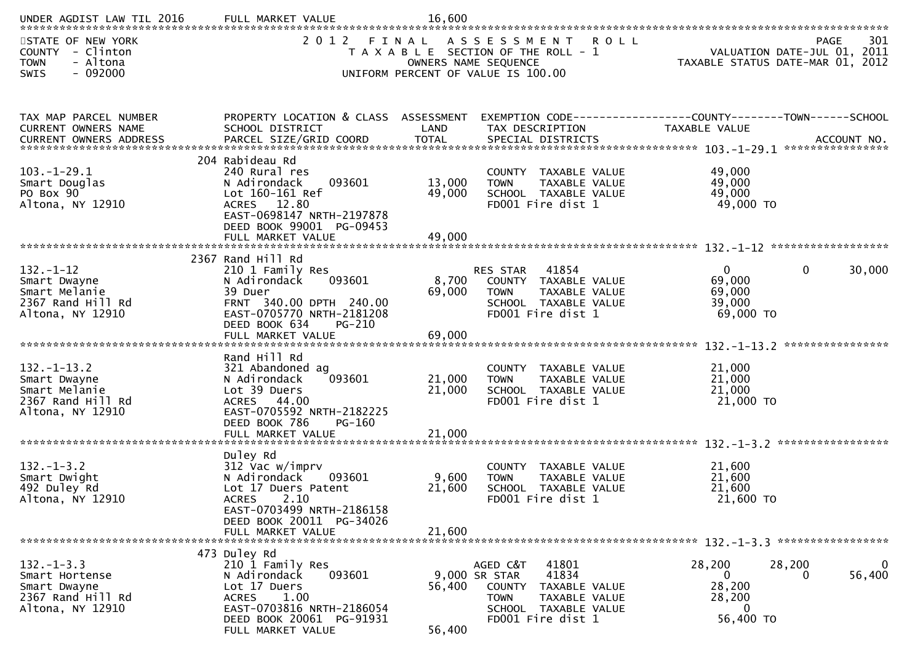| UNDER AGDIST LAW TIL 2016                                                                    | FULL MARKET VALUE                                                                                                                                                                  | 16,600                     |                                                                                                                                                            |                                                                     |                                                                                       |
|----------------------------------------------------------------------------------------------|------------------------------------------------------------------------------------------------------------------------------------------------------------------------------------|----------------------------|------------------------------------------------------------------------------------------------------------------------------------------------------------|---------------------------------------------------------------------|---------------------------------------------------------------------------------------|
| STATE OF NEW YORK<br>COUNTY - Clinton<br><b>TOWN</b><br>- Altona<br>$-092000$<br><b>SWIS</b> | 2 0 1 2<br>FINAL                                                                                                                                                                   |                            | ASSESSMENT<br><b>ROLL</b><br>T A X A B L E SECTION OF THE ROLL - 1<br>OWNERS NAME SEQUENCE<br>UNIFORM PERCENT OF VALUE IS 100.00                           |                                                                     | 301<br><b>PAGE</b><br>VALUATION DATE-JUL 01, 2011<br>TAXABLE STATUS DATE-MAR 01, 2012 |
| TAX MAP PARCEL NUMBER<br>CURRENT OWNERS NAME<br>CURRENT OWNERS ADDRESS                       | PROPERTY LOCATION & CLASS ASSESSMENT<br>SCHOOL DISTRICT                                                                                                                            | LAND                       | EXEMPTION CODE-----------------COUNTY-------TOWN------SCHOOL<br>TAX DESCRIPTION                                                                            | TAXABLE VALUE                                                       |                                                                                       |
| $103.-1-29.1$<br>Smart Douglas<br>PO Box 90<br>Altona, NY 12910                              | 204 Rabideau Rd<br>240 Rural res<br>N Adirondack<br>093601<br>Lot 160-161 Ref<br>ACRES 12.80<br>EAST-0698147 NRTH-2197878<br>DEED BOOK 99001 PG-09453<br>FULL MARKET VALUE         | 13,000<br>49,000<br>49,000 | COUNTY TAXABLE VALUE<br>TAXABLE VALUE<br><b>TOWN</b><br>SCHOOL TAXABLE VALUE<br>FD001 Fire dist 1                                                          | 49,000<br>49,000<br>49,000<br>49,000 TO                             |                                                                                       |
| $132 - 1 - 12$<br>Smart Dwayne<br>Smart Melanie<br>2367 Rand Hill Rd<br>Altona, NY 12910     | 2367 Rand Hill Rd<br>210 1 Family Res<br>093601<br>N Adirondack<br>39 Duer<br>FRNT 340.00 DPTH 240.00<br>EAST-0705770 NRTH-2181208<br>DEED BOOK 634<br>$PG-210$                    | 8,700<br>69,000            | 41854<br>RES STAR<br>COUNTY TAXABLE VALUE<br>TAXABLE VALUE<br><b>TOWN</b><br>SCHOOL TAXABLE VALUE<br>FD001 Fire dist 1                                     | $\mathbf{0}$<br>69,000<br>69,000<br>39,000<br>69,000 TO             | 30,000<br>$\mathbf{0}$                                                                |
| $132. - 1 - 13.2$<br>Smart Dwayne<br>Smart Melanie<br>2367 Rand Hill Rd<br>Altona, NY 12910  | Rand Hill Rd<br>321 Abandoned ag<br>093601<br>N Adirondack<br>Lot 39 Duers<br>ACRES 44.00<br>EAST-0705592 NRTH-2182225<br>DEED BOOK 786<br>PG-160<br>FULL MARKET VALUE             | 21,000<br>21,000<br>21,000 | COUNTY TAXABLE VALUE<br><b>TOWN</b><br>TAXABLE VALUE<br>SCHOOL TAXABLE VALUE<br>FD001 Fire dist 1                                                          | 21,000<br>21,000<br>21,000<br>21,000 TO                             | ****************                                                                      |
| $132 - 1 - 3.2$<br>Smart Dwight<br>492 Duley Rd<br>Altona, NY 12910                          | Duley Rd<br>312 Vac w/imprv<br>N Adirondack<br>093601<br>Lot 17 Duers Patent<br><b>ACRES</b><br>2.10<br>EAST-0703499 NRTH-2186158<br>DEED BOOK 20011 PG-34026<br>FULL MARKET VALUE | 9,600<br>21,600<br>21,600  | COUNTY TAXABLE VALUE<br>TAXABLE VALUE<br><b>TOWN</b><br>SCHOOL TAXABLE VALUE<br>FD001 Fire dist 1                                                          | 21,600<br>21,600<br>21,600<br>21,600 TO                             |                                                                                       |
| $132. -1 - 3.3$<br>Smart Hortense<br>Smart Dwayne<br>2367 Rand Hill Rd<br>Altona, NY 12910   | 473 Duley Rd<br>210 1 Family Res<br>093601<br>N Adirondack<br>Lot 17 Duers<br>1.00<br>ACRES<br>EAST-0703816 NRTH-2186054<br>DEED BOOK 20061 PG-91931<br>FULL MARKET VALUE          | 56,400<br>56,400           | AGED C&T<br>41801<br>41834<br>9,000 SR STAR<br>TAXABLE VALUE<br><b>COUNTY</b><br><b>TOWN</b><br>TAXABLE VALUE<br>SCHOOL TAXABLE VALUE<br>FD001 Fire dist 1 | 28,200<br>$\mathbf{0}$<br>28,200<br>28,200<br>$\Omega$<br>56,400 TO | $\mathbf 0$<br>28,200<br>56,400<br>0                                                  |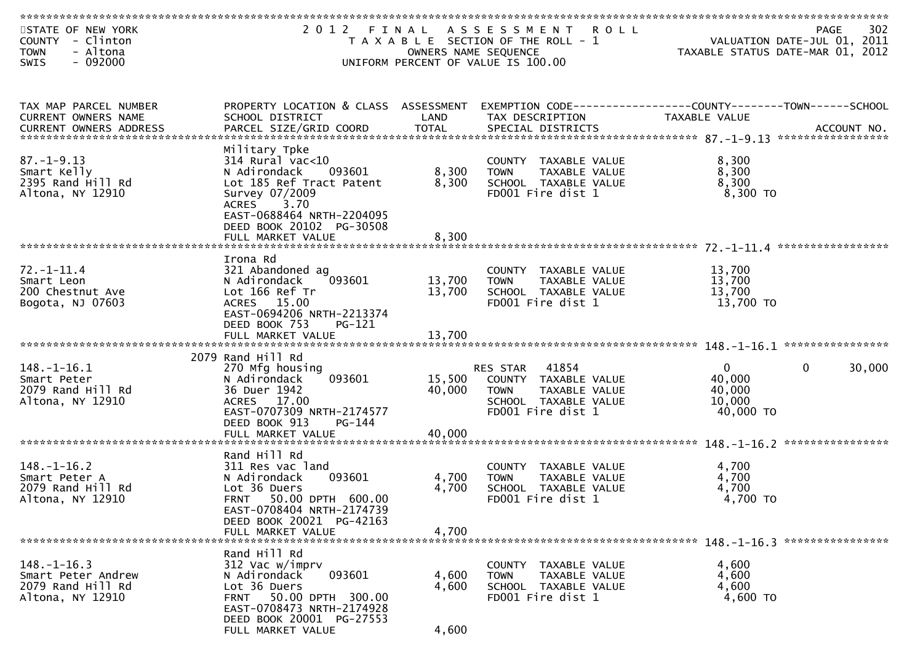| STATE OF NEW YORK<br>COUNTY - Clinton<br>- Altona<br><b>TOWN</b> |                                                                                           | OWNERS NAME SEQUENCE | 2012 FINAL ASSESSMENT ROLL<br>T A X A B L E SECTION OF THE ROLL - 1               |                     | 302<br><b>PAGE</b><br>VALUATION DATE-JUL 01, 2011<br>TAXABLE STATUS DATE-MAR 01, 2012 |
|------------------------------------------------------------------|-------------------------------------------------------------------------------------------|----------------------|-----------------------------------------------------------------------------------|---------------------|---------------------------------------------------------------------------------------|
| $-092000$<br><b>SWIS</b>                                         |                                                                                           |                      | UNIFORM PERCENT OF VALUE IS 100.00                                                |                     |                                                                                       |
| TAX MAP PARCEL NUMBER<br>CURRENT OWNERS NAME                     | PROPERTY LOCATION & CLASS ASSESSMENT<br>SCHOOL DISTRICT                                   | LAND                 | EXEMPTION CODE------------------COUNTY--------TOWN------SCHOOL<br>TAX DESCRIPTION | TAXABLE VALUE       |                                                                                       |
|                                                                  |                                                                                           |                      |                                                                                   |                     |                                                                                       |
| $87. - 1 - 9.13$                                                 | Military Tpke<br>$314$ Rural vac<10                                                       |                      | COUNTY TAXABLE VALUE                                                              | 8,300               |                                                                                       |
| Smart Kelly<br>2395 Rand Hill Rd                                 | N Adirondack<br>093601<br>Lot 185 Ref Tract Patent                                        | 8,300<br>8,300       | <b>TOWN</b><br>TAXABLE VALUE<br>SCHOOL TAXABLE VALUE                              | 8,300<br>8,300      |                                                                                       |
| Altona, NY 12910                                                 | Survey 07/2009<br><b>ACRES</b><br>3.70<br>EAST-0688464 NRTH-2204095                       |                      | FD001 Fire dist 1                                                                 | $8,300$ TO          |                                                                                       |
|                                                                  | DEED BOOK 20102 PG-30508                                                                  |                      |                                                                                   |                     |                                                                                       |
|                                                                  | FULL MARKET VALUE                                                                         | 8,300                |                                                                                   |                     |                                                                                       |
| $72. - 1 - 11.4$                                                 | Irona Rd<br>321 Abandoned ag                                                              |                      | COUNTY TAXABLE VALUE                                                              | 13,700              |                                                                                       |
| Smart Leon                                                       | N Adirondack<br>093601                                                                    | 13,700               | TAXABLE VALUE<br><b>TOWN</b>                                                      | 13,700              |                                                                                       |
| 200 Chestnut Ave<br>Bogota, NJ 07603                             | Lot 166 Ref Tr<br>ACRES 15.00                                                             | 13,700               | SCHOOL TAXABLE VALUE<br>FD001 Fire dist 1                                         | 13,700<br>13,700 TO |                                                                                       |
|                                                                  | EAST-0694206 NRTH-2213374<br>DEED BOOK 753<br><b>PG-121</b>                               |                      |                                                                                   |                     |                                                                                       |
|                                                                  |                                                                                           |                      |                                                                                   |                     |                                                                                       |
|                                                                  | 2079 Rand Hill Rd                                                                         |                      |                                                                                   |                     |                                                                                       |
| $148. - 1 - 16.1$                                                | 270 Mfg housing<br>093601                                                                 |                      | RES STAR 41854                                                                    | $\overline{0}$      | $\mathbf 0$<br>30,000                                                                 |
| Smart Peter<br>2079 Rand Hill Rd                                 | N Adirondack<br>36 Duer 1942                                                              | 15,500<br>40,000     | COUNTY TAXABLE VALUE<br><b>TOWN</b><br>TAXABLE VALUE                              | 40,000<br>40,000    |                                                                                       |
| Altona, NY 12910                                                 | ACRES 17.00                                                                               |                      | SCHOOL TAXABLE VALUE                                                              | 10,000              |                                                                                       |
|                                                                  | EAST-0707309 NRTH-2174577<br>DEED BOOK 913<br>$PG-144$                                    |                      | FD001 Fire dist 1                                                                 | 40,000 TO           |                                                                                       |
|                                                                  |                                                                                           |                      |                                                                                   |                     |                                                                                       |
| $148. - 1 - 16.2$                                                | Rand Hill Rd<br>311 Res vac land                                                          |                      | COUNTY TAXABLE VALUE                                                              | 4,700               |                                                                                       |
| Smart Peter A                                                    | 093601<br>N Adirondack                                                                    | 4,700                | TAXABLE VALUE<br><b>TOWN</b>                                                      | 4,700               |                                                                                       |
| 2079 Rand Hill Rd                                                | Lot 36 Duers                                                                              | 4,700                | SCHOOL TAXABLE VALUE                                                              | 4,700               |                                                                                       |
| Altona, NY 12910                                                 | 50.00 DPTH 600.00<br><b>FRNT</b><br>EAST-0708404 NRTH-2174739<br>DEED BOOK 20021 PG-42163 |                      | FD001 Fire dist 1                                                                 | 4,700 TO            |                                                                                       |
|                                                                  | FULL MARKET VALUE                                                                         | 4,700                |                                                                                   |                     |                                                                                       |
|                                                                  | Rand Hill Rd                                                                              |                      |                                                                                   |                     |                                                                                       |
| $148. - 1 - 16.3$                                                | 312 Vac w/imprv                                                                           |                      | COUNTY TAXABLE VALUE                                                              | 4,600               |                                                                                       |
| Smart Peter Andrew<br>2079 Rand Hill Rd                          | 093601<br>N Adirondack<br>Lot 36 Duers                                                    | 4,600<br>4,600       | <b>TOWN</b><br>TAXABLE VALUE<br>SCHOOL TAXABLE VALUE                              | 4,600<br>4,600      |                                                                                       |
| Altona, NY 12910                                                 | <b>FRNT</b><br>50.00 DPTH 300.00                                                          |                      | FD001 Fire dist 1                                                                 | 4,600 TO            |                                                                                       |
|                                                                  | EAST-0708473 NRTH-2174928                                                                 |                      |                                                                                   |                     |                                                                                       |
|                                                                  | DEED BOOK 20001 PG-27553<br>FULL MARKET VALUE                                             | 4,600                |                                                                                   |                     |                                                                                       |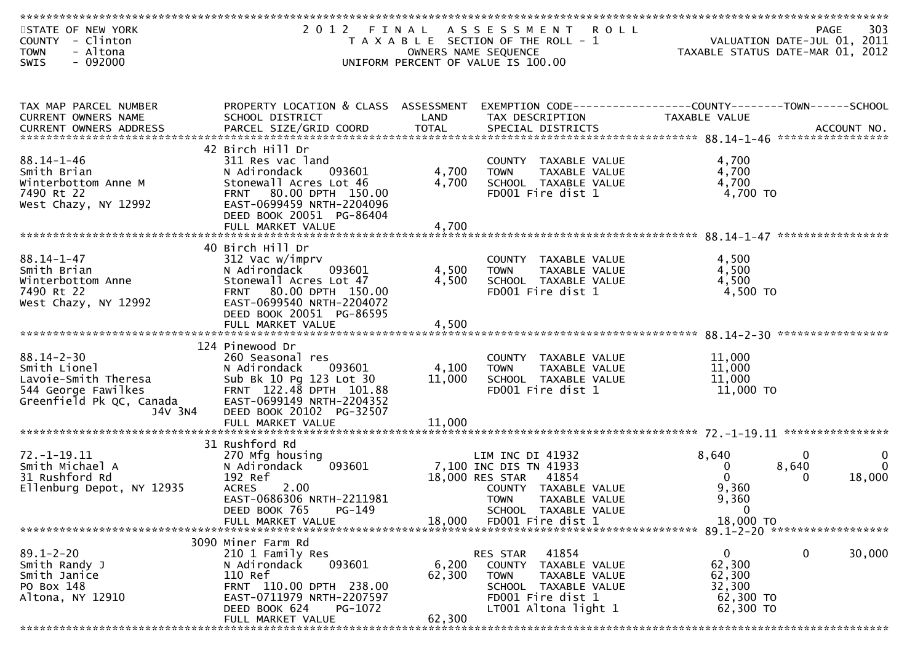| STATE OF NEW YORK<br>COUNTY - Clinton<br>- Altona<br><b>TOWN</b><br>$-092000$<br>SWIS                       | 2012 FINAL                                                                                                                                                                                      |                         | A S S E S S M E N T<br><b>ROLL</b><br>T A X A B L E SECTION OF THE ROLL - 1<br>OWNERS NAME SEQUENCE<br>UNIFORM PERCENT OF VALUE IS 100.00              | TAXABLE STATUS DATE-MAR 01, 2012                            | 303<br><b>PAGE</b><br>VALUATION DATE-JUL 01, 2011    |
|-------------------------------------------------------------------------------------------------------------|-------------------------------------------------------------------------------------------------------------------------------------------------------------------------------------------------|-------------------------|--------------------------------------------------------------------------------------------------------------------------------------------------------|-------------------------------------------------------------|------------------------------------------------------|
|                                                                                                             |                                                                                                                                                                                                 |                         |                                                                                                                                                        |                                                             |                                                      |
| TAX MAP PARCEL NUMBER<br>CURRENT OWNERS NAME                                                                | PROPERTY LOCATION & CLASS ASSESSMENT<br>SCHOOL DISTRICT                                                                                                                                         | LAND                    | EXEMPTION CODE-----------------COUNTY-------TOWN------SCHOOL<br>TAX DESCRIPTION                                                                        | TAXABLE VALUE                                               |                                                      |
|                                                                                                             |                                                                                                                                                                                                 |                         |                                                                                                                                                        |                                                             |                                                      |
| $88.14 - 1 - 46$<br>Smith Brian<br>Winterbottom Anne M<br>7490 Rt 22<br>West Chazy, NY 12992                | 42 Birch Hill Dr<br>311 Res vac land<br>093601<br>N Adirondack<br>Stonewall Acres Lot 46<br>FRNT 80.00 DPTH 150.00<br>EAST-0699459 NRTH-2204096<br>DEED BOOK 20051 PG-86404                     | 4,700<br>4,700          | COUNTY TAXABLE VALUE<br>TAXABLE VALUE<br><b>TOWN</b><br>SCHOOL TAXABLE VALUE<br>FD001 Fire dist 1                                                      | 4,700<br>4,700<br>4,700<br>4,700 TO                         |                                                      |
|                                                                                                             | FULL MARKET VALUE                                                                                                                                                                               | 4,700                   |                                                                                                                                                        |                                                             |                                                      |
| $88.14 - 1 - 47$<br>Smith Brian<br>Winterbottom Anne<br>7490 Rt 22<br>West Chazy, NY 12992                  | 40 Birch Hill Dr<br>312 Vac w/imprv<br>N Adirondack<br>093601<br>Stonewall Acres Lot 47<br>FRNT 80.00 DPTH 150.00<br>EAST-0699540 NRTH-2204072<br>DEED BOOK 20051 PG-86595<br>FULL MARKET VALUE | 4,500<br>4,500<br>4,500 | COUNTY TAXABLE VALUE<br>TAXABLE VALUE<br><b>TOWN</b><br>SCHOOL TAXABLE VALUE<br>FD001 Fire dist 1                                                      | 4,500<br>4,500<br>4,500<br>4,500 TO                         |                                                      |
|                                                                                                             |                                                                                                                                                                                                 |                         |                                                                                                                                                        |                                                             |                                                      |
| $88.14 - 2 - 30$<br>Smith Lionel<br>Lavoie-Smith Theresa<br>544 George Fawilkes<br>Greenfield Pk QC, Canada | 124 Pinewood Dr<br>260 Seasonal res<br>N Adirondack<br>093601<br>Sub Bk 10 Pg 123 Lot 30<br>FRNT 122.48 DPTH 101.88<br>EAST-0699149 NRTH-2204352                                                | 4,100<br>11,000         | COUNTY TAXABLE VALUE<br><b>TOWN</b><br>TAXABLE VALUE<br>SCHOOL TAXABLE VALUE<br>FD001 Fire dist 1                                                      | 11,000<br>11,000<br>11,000<br>11,000 TO                     |                                                      |
| J4V 3N4                                                                                                     | DEED BOOK 20102 PG-32507<br>FULL MARKET VALUE                                                                                                                                                   | 11,000                  |                                                                                                                                                        |                                                             |                                                      |
|                                                                                                             |                                                                                                                                                                                                 |                         |                                                                                                                                                        |                                                             |                                                      |
| $72. - 1 - 19.11$<br>Smith Michael A<br>31 Rushford Rd<br>Ellenburg Depot, NY 12935                         | 31 Rushford Rd<br>270 Mfg housing<br>093601<br>N Adirondack<br>192 Ref<br>2.00<br><b>ACRES</b><br>EAST-0686306 NRTH-2211981<br>PG-149<br>DEED BOOK 765                                          |                         | LIM INC DI 41932<br>7,100 INC DIS TN 41933<br>18,000 RES STAR<br>41854<br>COUNTY TAXABLE VALUE<br><b>TOWN</b><br>TAXABLE VALUE<br>SCHOOL TAXABLE VALUE | 8,640<br>0<br>$\mathbf{0}$<br>9,360<br>9,360<br>$\mathbf 0$ | 0<br>$\mathbf 0$<br>8,640<br>$\Omega$<br>18,000<br>0 |
|                                                                                                             | FULL MARKET VALUE                                                                                                                                                                               | 18,000                  | FD001 Fire dist 1                                                                                                                                      | 18,000 TO                                                   |                                                      |
|                                                                                                             |                                                                                                                                                                                                 |                         |                                                                                                                                                        |                                                             |                                                      |
| $89.1 - 2 - 20$<br>Smith Randy J<br>Smith Janice<br>PO Box 148<br>Altona, NY 12910                          | 3090 Miner Farm Rd<br>210 1 Family Res<br>093601<br>N Adirondack<br>110 Ref<br>FRNT 110.00 DPTH 238.00<br>EAST-0711979 NRTH-2207597<br>DEED BOOK 624<br>PG-1072                                 | 6,200<br>62,300         | 41854<br>RES STAR<br>COUNTY<br>TAXABLE VALUE<br><b>TOWN</b><br>TAXABLE VALUE<br>SCHOOL TAXABLE VALUE<br>FD001 Fire dist 1<br>LT001 Altona light 1      | 0<br>62,300<br>62,300<br>32,300<br>62,300 TO<br>62,300 TO   | 0<br>30,000                                          |
|                                                                                                             | FULL MARKET VALUE                                                                                                                                                                               | 62,300                  |                                                                                                                                                        |                                                             |                                                      |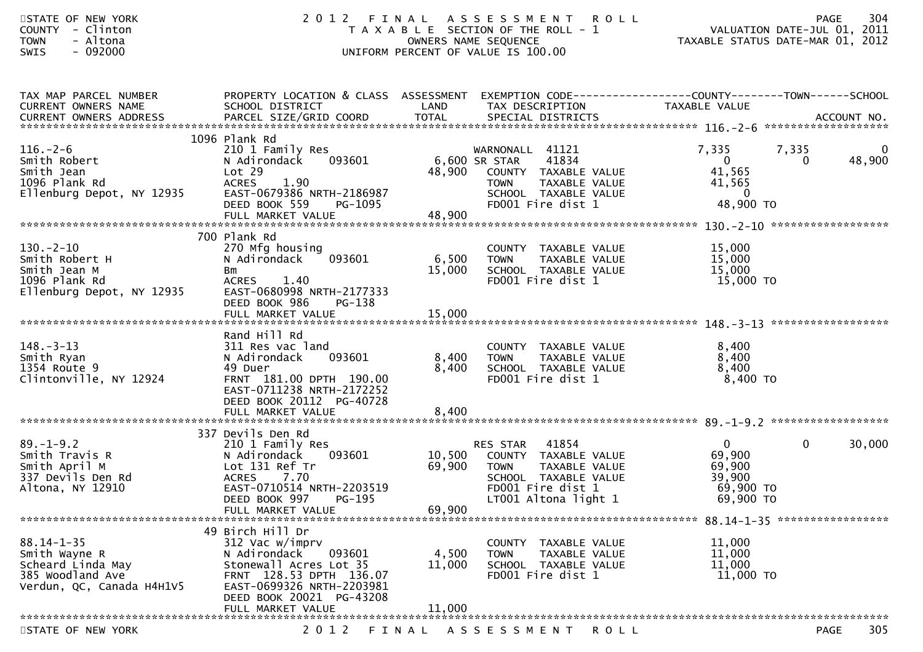| STATE OF NEW YORK<br><b>COUNTY</b><br>- Clinton<br>- Altona<br><b>TOWN</b><br>$-092000$<br><b>SWIS</b>  | 2012<br>FINAL                                                                                                                                                                                    |                            | A S S E S S M E N T<br><b>ROLL</b><br>T A X A B L E SECTION OF THE ROLL - 1<br>OWNERS NAME SEQUENCE<br>UNIFORM PERCENT OF VALUE IS 100.00      | VALUATION DATE-JUL 01, 2011<br>TAXABLE STATUS DATE-MAR 01, 2012                   | 304<br><b>PAGE</b>      |
|---------------------------------------------------------------------------------------------------------|--------------------------------------------------------------------------------------------------------------------------------------------------------------------------------------------------|----------------------------|------------------------------------------------------------------------------------------------------------------------------------------------|-----------------------------------------------------------------------------------|-------------------------|
| TAX MAP PARCEL NUMBER<br>CURRENT OWNERS NAME                                                            | PROPERTY LOCATION & CLASS ASSESSMENT<br>SCHOOL DISTRICT                                                                                                                                          | LAND                       | EXEMPTION CODE-----------------COUNTY-------TOWN------SCHOOL<br>TAX DESCRIPTION                                                                | TAXABLE VALUE                                                                     |                         |
| $116. - 2 - 6$<br>Smith Robert<br>Smith Jean<br>1096 Plank Rd<br>Ellenburg Depot, NY 12935              | 1096 Plank Rd<br>210 1 Family Res<br>N Adirondack<br>093601<br>Lot 29<br><b>ACRES</b><br>1.90<br>EAST-0679386 NRTH-2186987<br>DEED BOOK 559<br>PG-1095                                           | 6,600 SR STAR<br>48,900    | WARNONALL 41121<br>41834<br>COUNTY TAXABLE VALUE<br>TAXABLE VALUE<br><b>TOWN</b><br>SCHOOL TAXABLE VALUE<br>FD001 Fire dist 1                  | 7,335<br>7,335<br>$\mathbf{0}$<br>41,565<br>41,565<br>$\overline{0}$<br>48,900 TO | 0<br>48,900<br>$\Omega$ |
| $130 - 2 - 10$<br>Smith Robert H<br>Smith Jean M<br>1096 Plank Rd<br>Ellenburg Depot, NY 12935          | 700 Plank Rd<br>270 Mfg housing<br>093601<br>N Adirondack<br>Bm<br><b>ACRES</b><br>1.40<br>EAST-0680998 NRTH-2177333<br>DEED BOOK 986<br>PG-138                                                  | 6,500<br>15,000            | COUNTY TAXABLE VALUE<br><b>TOWN</b><br>TAXABLE VALUE<br>SCHOOL TAXABLE VALUE<br>FD001 Fire dist 1                                              | 15,000<br>15,000<br>15,000<br>15,000 TO                                           |                         |
| $148. - 3 - 13$<br>Smith Ryan<br>1354 Route 9<br>Clintonville, NY 12924                                 | Rand Hill Rd<br>311 Res vac land<br>093601<br>N Adirondack<br>49 Duer<br>FRNT 181.00 DPTH 190.00<br>EAST-0711238 NRTH-2172252<br>DEED BOOK 20112 PG-40728                                        | 8,400<br>8,400             | COUNTY TAXABLE VALUE<br>TAXABLE VALUE<br><b>TOWN</b><br>SCHOOL TAXABLE VALUE<br>FD001 Fire dist 1                                              | 8,400<br>8,400<br>8,400<br>8,400 TO                                               |                         |
| $89. - 1 - 9.2$<br>Smith Travis R<br>Smith April M<br>337 Devils Den Rd<br>Altona, NY 12910             | 337 Devils Den Rd<br>210 1 Family Res<br>093601<br>N Adirondack<br>Lot 131 Ref Tr<br><b>ACRES</b><br>7.70<br>EAST-0710514 NRTH-2203519<br>DEED BOOK 997 PG-195<br>FULL MARKET VALUE              | 10,500<br>69,900<br>69,900 | 41854<br>RES STAR<br>COUNTY TAXABLE VALUE<br>TAXABLE VALUE<br><b>TOWN</b><br>SCHOOL TAXABLE VALUE<br>FD001 Fire dist 1<br>LT001 Altona light 1 | $\mathbf{0}$<br>69,900<br>69,900<br>39,900<br>69,900 TO<br>69,900 TO              | $\mathbf 0$<br>30,000   |
| $88.14 - 1 - 35$<br>Smith Wayne R<br>Scheard Linda May<br>385 Woodland Ave<br>Verdun, QC, Canada H4H1V5 | 49 Birch Hill Dr<br>312 Vac w/imprv<br>093601<br>N Adirondack<br>Stonewall Acres Lot 35<br>FRNT 128.53 DPTH 136.07<br>EAST-0699326 NRTH-2203981<br>DEED BOOK 20021 PG-43208<br>FULL MARKET VALUE | 4,500<br>11,000<br>11,000  | COUNTY TAXABLE VALUE<br><b>TOWN</b><br>TAXABLE VALUE<br>SCHOOL TAXABLE VALUE<br>FD001 Fire dist 1                                              | 11,000<br>11,000<br>11,000<br>11,000 TO                                           |                         |
| STATE OF NEW YORK                                                                                       | 2 0 1 2                                                                                                                                                                                          | FINAL                      | A S S E S S M E N T<br><b>ROLL</b>                                                                                                             |                                                                                   | 305<br>PAGE             |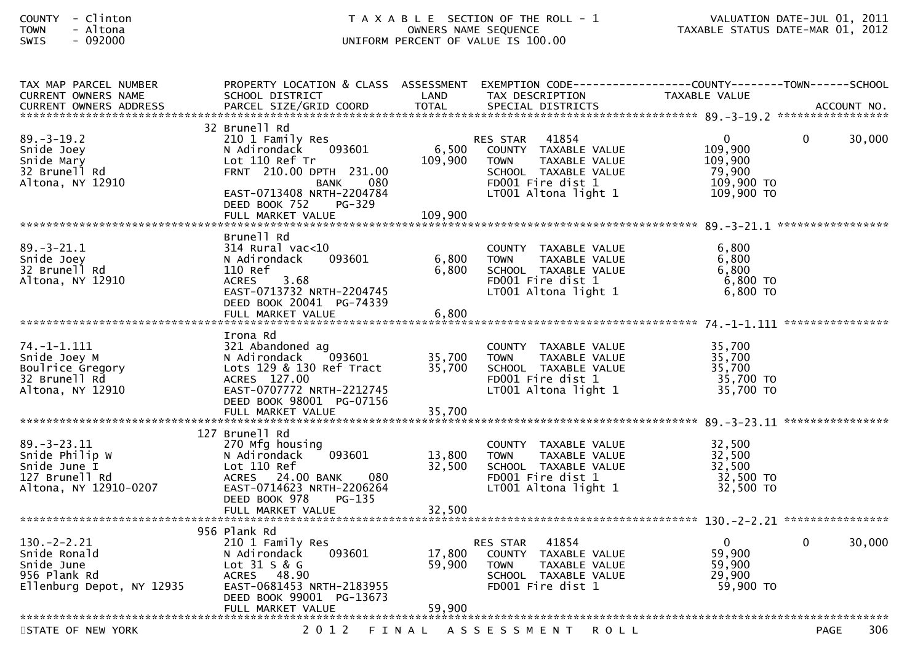| TAX MAP PARCEL NUMBER<br><b>CURRENT OWNERS NAME</b>                                            | PROPERTY LOCATION & CLASS ASSESSMENT<br>SCHOOL DISTRICT                                                                                                                                                       | LAND                        | EXEMPTION        CODE-----------------COUNTY-------TOWN------SCHOOL<br>TAX DESCRIPTION                                                                | TAXABLE VALUE                                                 |      |        |
|------------------------------------------------------------------------------------------------|---------------------------------------------------------------------------------------------------------------------------------------------------------------------------------------------------------------|-----------------------------|-------------------------------------------------------------------------------------------------------------------------------------------------------|---------------------------------------------------------------|------|--------|
|                                                                                                |                                                                                                                                                                                                               |                             |                                                                                                                                                       |                                                               |      |        |
| $89. - 3 - 19.2$<br>Snide Joey<br>Snide Mary<br>32 Brunell Rd<br>Altona, NY 12910              | 32 Brunell Rd<br>210 1 Family Res<br>093601<br>N Adirondack<br>Lot 110 Ref Tr<br>FRNT 210.00 DPTH 231.00<br><b>BANK</b><br>080<br>EAST-0713408 NRTH-2204784<br>DEED BOOK 752<br>$PG-329$<br>FULL MARKET VALUE | 6,500<br>109,900<br>109,900 | 41854<br><b>RES STAR</b><br>COUNTY TAXABLE VALUE<br>TAXABLE VALUE<br><b>TOWN</b><br>SCHOOL TAXABLE VALUE<br>FD001 Fire dist 1<br>LT001 Altona light 1 | 0<br>109,900<br>109,900<br>79,900<br>109,900 TO<br>109,900 TO | 0    | 30,000 |
| $89. - 3 - 21.1$<br>Snide Joey<br>32 Brunell Rd<br>Altona, NY 12910                            | Brunell Rd<br>$314$ Rural vac< $10$<br>093601<br>N Adirondack<br>110 Ref<br>3.68<br><b>ACRES</b><br>EAST-0713732 NRTH-2204745<br>DEED BOOK 20041 PG-74339<br>FULL MARKET VALUE                                | 6,800<br>6,800<br>6,800     | COUNTY TAXABLE VALUE<br><b>TOWN</b><br>TAXABLE VALUE<br>SCHOOL TAXABLE VALUE<br>FD001 Fire dist 1<br>LT001 Altona light 1                             | 6.800<br>6,800<br>6,800<br>6,800 TO<br>$6,800$ TO             |      |        |
| 74. –1–1.111<br>Snide Joey M<br>Boulrice Gregory<br>32 Brunell Rd<br>Altona, NY 12910          | Irona Rd<br>321 Abandoned ag<br>093601<br>N Adirondack<br>Lots 129 & 130 Ref Tract<br>ACRES 127.00<br>EAST-0707772 NRTH-2212745<br>DEED BOOK 98001 PG-07156<br>FULL MARKET VALUE                              | 35,700<br>35,700<br>35,700  | COUNTY TAXABLE VALUE<br>TAXABLE VALUE<br><b>TOWN</b><br>SCHOOL TAXABLE VALUE<br>FD001 Fire dist 1<br>LT001 Altona light 1                             | 35,700<br>35,700<br>35,700<br>35,700 TO<br>35,700 TO          |      |        |
| $89. - 3 - 23.11$<br>Snide Philip W<br>Snide June I<br>127 Brunell Rd<br>Altona, NY 12910-0207 | 127 Brunell Rd<br>270 Mfg housing<br>N Adirondack<br>093601<br>Lot 110 Ref<br>080<br>ACRES 24.00 BANK<br>EAST-0714623 NRTH-2206264<br>DEED BOOK 978<br>PG-135<br>FULL MARKET VALUE                            | 13,800<br>32,500<br>32,500  | COUNTY TAXABLE VALUE<br>TAXABLE VALUE<br><b>TOWN</b><br>SCHOOL TAXABLE VALUE<br>FD001 Fire dist 1<br>LT001 Altona light 1                             | 32,500<br>32,500<br>32,500<br>32,500 TO<br>32,500 TO          |      |        |
| 130. – 2–2.21<br>Snide Ronald<br>Snide June<br>956 Plank Rd<br>Ellenburg Depot, NY 12935       | 956 Plank Rd<br>210 1 Family Res<br>093601<br>N Adirondack<br>Lot $31 S & G$<br>ACRES 48.90<br>EAST-0681453 NRTH-2183955<br>DEED BOOK 99001 PG-13673<br>FULL MARKET VALUE                                     | 17,800<br>59,900<br>59,900  | 41854<br>RES STAR<br>COUNTY TAXABLE VALUE<br><b>TOWN</b><br>TAXABLE VALUE<br>SCHOOL TAXABLE VALUE<br>FD001 Fire dist 1                                | $\mathbf 0$<br>59,900<br>59,900<br>29,900<br>59,900 TO        | 0    | 30,000 |
| STATE OF NEW YORK                                                                              | 2 0 1 2                                                                                                                                                                                                       |                             | FINAL ASSESSMENT<br><b>ROLL</b>                                                                                                                       |                                                               | PAGE | 306    |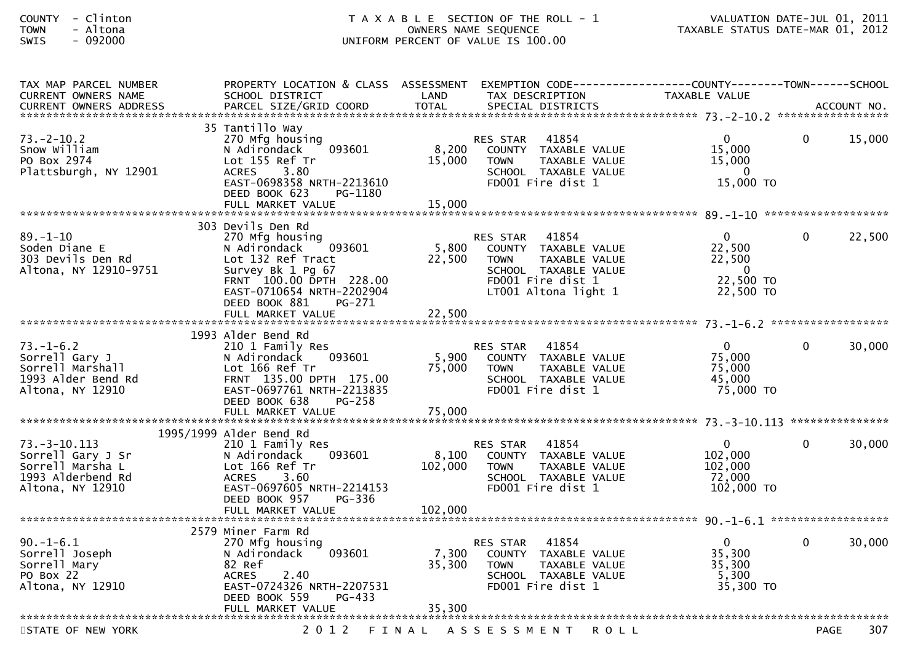| <b>COUNTY</b> | Clinton |  |
|---------------|---------|--|
| <b>TOWN</b>   | Altona  |  |
| CWTC          | . nadan |  |

| TAX MAP PARCEL NUMBER<br><b>CURRENT OWNERS NAME</b>                                                  | PROPERTY LOCATION & CLASS ASSESSMENT<br>SCHOOL DISTRICT                                                                                                   | LAND             | EXEMPTION CODE-----------------COUNTY-------TOWN------SCHOOL<br>TAX DESCRIPTION                                                                       | TAXABLE VALUE                                                      |              |             |
|------------------------------------------------------------------------------------------------------|-----------------------------------------------------------------------------------------------------------------------------------------------------------|------------------|-------------------------------------------------------------------------------------------------------------------------------------------------------|--------------------------------------------------------------------|--------------|-------------|
| <b>CURRENT OWNERS ADDRESS</b>                                                                        | PARCEL SIZE/GRID COORD                                                                                                                                    | <b>TOTAL</b>     | SPECIAL DISTRICTS                                                                                                                                     |                                                                    |              | ACCOUNT NO. |
|                                                                                                      | 35 Tantillo Way                                                                                                                                           |                  |                                                                                                                                                       |                                                                    |              |             |
| $73. - 2 - 10.2$<br>Snow William<br>PO Box 2974<br>Plattsburgh, NY 12901                             | 270 Mfg housing<br>N Adirondack<br>093601<br>Lot 155 Ref Tr<br>3.80<br><b>ACRES</b><br>EAST-0698358 NRTH-2213610                                          | 8,200<br>15,000  | 41854<br>RES STAR<br>COUNTY TAXABLE VALUE<br><b>TOWN</b><br>TAXABLE VALUE<br>SCHOOL TAXABLE VALUE<br>FD001 Fire dist 1                                | $\Omega$<br>15,000<br>15,000<br>$\Omega$<br>15,000 TO              | $\mathbf{0}$ | 15,000      |
|                                                                                                      | DEED BOOK 623<br>PG-1180                                                                                                                                  | 15,000           |                                                                                                                                                       |                                                                    |              |             |
|                                                                                                      | FULL MARKET VALUE                                                                                                                                         |                  |                                                                                                                                                       |                                                                    |              |             |
|                                                                                                      | 303 Devils Den Rd                                                                                                                                         |                  |                                                                                                                                                       |                                                                    |              |             |
| $89. - 1 - 10$<br>Soden Diane E<br>303 Devils Den Rd<br>Altona, NY 12910-9751                        | 270 Mfg housing<br>093601<br>N Adirondack<br>Lot 132 Ref Tract<br>Survey Bk 1 Pg 67<br>FRNT 100.00 DPTH 228.00<br>EAST-0710654 NRTH-2202904               | 5,800<br>22,500  | <b>RES STAR</b><br>41854<br>COUNTY TAXABLE VALUE<br>TAXABLE VALUE<br><b>TOWN</b><br>SCHOOL TAXABLE VALUE<br>FD001 Fire dist 1<br>LT001 Altona light 1 | $\Omega$<br>22,500<br>22,500<br>$\Omega$<br>22,500 TO<br>22,500 TO | $\mathbf{0}$ | 22,500      |
|                                                                                                      | DEED BOOK 881<br>PG-271                                                                                                                                   |                  |                                                                                                                                                       |                                                                    |              |             |
|                                                                                                      |                                                                                                                                                           |                  |                                                                                                                                                       |                                                                    |              |             |
|                                                                                                      | 1993 Alder Bend Rd                                                                                                                                        |                  |                                                                                                                                                       |                                                                    |              |             |
| $73. - 1 - 6.2$<br>Sorrell Gary J<br>Sorrell Marshall<br>1993 Alder Bend Rd<br>Altona, NY 12910      | 210 1 Family Res<br>093601<br>N Adirondack<br>Lot 166 Ref Tr<br>FRNT 135.00 DPTH 175.00<br>EAST-0697761 NRTH-2213835<br>DEED BOOK 638<br>$PG-258$         | 5,900<br>75,000  | RES STAR<br>41854<br>COUNTY TAXABLE VALUE<br><b>TOWN</b><br>TAXABLE VALUE<br>SCHOOL TAXABLE VALUE<br>FD001 Fire dist 1                                | $\Omega$<br>75,000<br>75,000<br>45,000<br>75,000 TO                | $\mathbf{0}$ | 30,000      |
|                                                                                                      | FULL MARKET VALUE                                                                                                                                         | 75,000           |                                                                                                                                                       |                                                                    |              |             |
|                                                                                                      | 1995/1999 Alder Bend Rd                                                                                                                                   |                  |                                                                                                                                                       |                                                                    |              |             |
| $73. - 3 - 10.113$<br>Sorrell Gary J Sr<br>Sorrell Marsha L<br>1993 Alderbend Rd<br>Altona, NY 12910 | 210 1 Family Res<br>093601<br>N Adirondack<br>Lot 166 Ref Tr<br><b>ACRES</b><br>3.60<br>EAST-0697605 NRTH-2214153<br>DEED BOOK 957<br>PG-336              | 8,100<br>102,000 | 41854<br>RES STAR<br>COUNTY TAXABLE VALUE<br><b>TOWN</b><br>TAXABLE VALUE<br>SCHOOL TAXABLE VALUE<br>FD001 Fire dist 1                                | $\mathbf{0}$<br>102,000<br>102,000<br>72,000<br>102,000 TO         | $\Omega$     | 30,000      |
|                                                                                                      |                                                                                                                                                           |                  |                                                                                                                                                       |                                                                    |              |             |
| $90. -1 - 6.1$<br>Sorrell Joseph<br>Sorrell Mary<br>PO Box 22<br>Altona, NY 12910                    | 2579 Miner Farm Rd<br>270 Mfg housing<br>093601<br>N Adirondack<br>82 Ref<br><b>ACRES</b><br>2.40<br>EAST-0724326 NRTH-2207531<br>DEED BOOK 559<br>PG-433 | 7,300<br>35,300  | 41854<br>RES STAR<br>COUNTY TAXABLE VALUE<br><b>TOWN</b><br><b>TAXABLE VALUE</b><br>SCHOOL TAXABLE VALUE<br>FD001 Fire dist 1                         | $\mathbf{0}$<br>35,300<br>35,300<br>5,300<br>35,300 TO             | $\mathbf{0}$ | 30,000      |
|                                                                                                      | FULL MARKET VALUE                                                                                                                                         | 35.300           |                                                                                                                                                       |                                                                    |              |             |
| STATE OF NEW YORK                                                                                    | 2 0 1 2                                                                                                                                                   | FINAL            | A S S E S S M E N T<br>ROLL                                                                                                                           |                                                                    | <b>PAGE</b>  | 307         |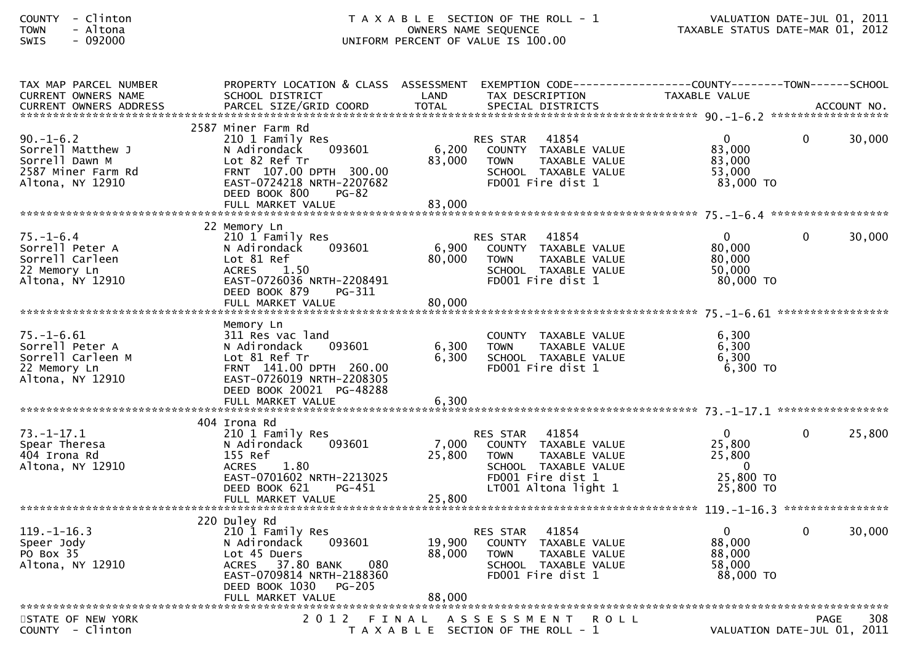| TAX MAP PARCEL NUMBER<br><b>CURRENT OWNERS NAME</b>                                              | PROPERTY LOCATION & CLASS ASSESSMENT EXEMPTION CODE----------------COUNTY-------TOWN------SCHOOL<br>SCHOOL DISTRICT                                                                        | LAND                      | TAX DESCRIPTION                                                                                                                                       | TAXABLE VALUE                                                          |                                            |        |
|--------------------------------------------------------------------------------------------------|--------------------------------------------------------------------------------------------------------------------------------------------------------------------------------------------|---------------------------|-------------------------------------------------------------------------------------------------------------------------------------------------------|------------------------------------------------------------------------|--------------------------------------------|--------|
|                                                                                                  |                                                                                                                                                                                            |                           |                                                                                                                                                       |                                                                        |                                            |        |
| $90. - 1 - 6.2$<br>Sorrell Matthew J<br>Sorrell Dawn M<br>2587 Miner Farm Rd<br>Altona, NY 12910 | 2587 Miner Farm Rd<br>210 1 Family Res<br>N Adirondack<br>093601<br>Lot 82 Ref Tr<br>FRNT 107.00 DPTH 300.00<br>EAST-0724218 NRTH-2207682<br>DEED BOOK 800<br>$PG-82$<br>FULL MARKET VALUE | 6,200<br>83,000<br>83,000 | 41854<br>RES STAR<br>COUNTY TAXABLE VALUE<br><b>TOWN</b><br>TAXABLE VALUE<br>SCHOOL TAXABLE VALUE<br>FD001 Fire dist 1                                | $\mathbf{0}$<br>83,000<br>83,000<br>53.000<br>83,000 TO                | $\Omega$                                   | 30,000 |
|                                                                                                  | 22 Memory Ln                                                                                                                                                                               |                           |                                                                                                                                                       |                                                                        |                                            |        |
| $75. - 1 - 6.4$<br>Sorrell Peter A<br>Sorrell Carleen<br>22 Memory Ln<br>Altona, NY 12910        | 210 1 Family Res<br>093601<br>N Adirondack<br>Lot 81 Ref<br><b>ACRES</b><br>1.50<br>EAST-0726036 NRTH-2208491<br>DEED BOOK 879<br>PG-311<br>FULL MARKET VALUE                              | 6,900<br>80,000<br>80,000 | 41854<br><b>RES STAR</b><br>COUNTY TAXABLE VALUE<br><b>TOWN</b><br>TAXABLE VALUE<br>SCHOOL TAXABLE VALUE<br>FD001 Fire dist 1                         | $\mathbf{0}$<br>80,000<br>80,000<br>50,000<br>80,000 TO                | $\Omega$                                   | 30,000 |
|                                                                                                  |                                                                                                                                                                                            |                           |                                                                                                                                                       |                                                                        |                                            |        |
| $75. - 1 - 6.61$<br>Sorrell Peter A<br>Sorrell Carleen M<br>22 Memory Ln<br>Altona, NY 12910     | Memory Ln<br>311 Res vac land<br>093601<br>N Adirondack<br>Lot 81 Ref Tr<br>FRNT 141.00 DPTH 260.00<br>EAST-0726019 NRTH-2208305<br>DEED BOOK 20021 PG-48288                               | 6,300<br>6,300            | COUNTY TAXABLE VALUE<br><b>TOWN</b><br>TAXABLE VALUE<br>SCHOOL TAXABLE VALUE<br>FD001 Fire dist 1                                                     | 6,300<br>6,300<br>6,300<br>$6,300$ TO                                  |                                            |        |
|                                                                                                  |                                                                                                                                                                                            |                           |                                                                                                                                                       |                                                                        |                                            |        |
|                                                                                                  | 404 Irona Rd                                                                                                                                                                               |                           |                                                                                                                                                       |                                                                        |                                            |        |
| $73. - 1 - 17.1$<br>Spear Theresa<br>404 Irona Rd<br>Altona, NY 12910                            | 210 1 Family Res<br>093601<br>N Adirondack<br>155 Ref<br>1.80<br><b>ACRES</b><br>EAST-0701602 NRTH-2213025<br>DEED BOOK 621<br>PG-451<br>FULL MARKET VALUE                                 | 7,000<br>25,800<br>25,800 | 41854<br><b>RES STAR</b><br>COUNTY TAXABLE VALUE<br>TAXABLE VALUE<br><b>TOWN</b><br>SCHOOL TAXABLE VALUE<br>FD001 Fire dist 1<br>LT001 Altona light 1 | $\mathbf{0}$<br>25,800<br>25,800<br>$\Omega$<br>25,800 TO<br>25,800 TO | $\Omega$                                   | 25,800 |
|                                                                                                  |                                                                                                                                                                                            |                           |                                                                                                                                                       |                                                                        |                                            |        |
| $119. - 1 - 16.3$<br>Speer Jody<br>PO Box 35<br>Altona, NY 12910                                 | 220 Duley Rd<br>210 1 Family Res<br>N Adirondack<br>093601<br>Lot 45 Duers<br>ACRES 37.80 BANK<br>080<br>EAST-0709814 NRTH-2188360<br><b>PG-205</b><br>DEED BOOK 1030                      | 19,900<br>88,000          | 41854<br>RES STAR<br>COUNTY TAXABLE VALUE<br><b>TOWN</b><br>TAXABLE VALUE<br>SCHOOL TAXABLE VALUE<br>FD001 Fire dist 1                                | $\mathbf 0$<br>88,000<br>88,000<br>58,000<br>88,000 TO                 | 0                                          | 30,000 |
|                                                                                                  |                                                                                                                                                                                            |                           |                                                                                                                                                       |                                                                        |                                            |        |
| STATE OF NEW YORK<br>COUNTY - Clinton                                                            | 2012 FINAL                                                                                                                                                                                 |                           | A S S E S S M E N T<br><b>ROLL</b><br>T A X A B L E SECTION OF THE ROLL - 1                                                                           |                                                                        | <b>PAGE</b><br>VALUATION DATE-JUL 01, 2011 | 308    |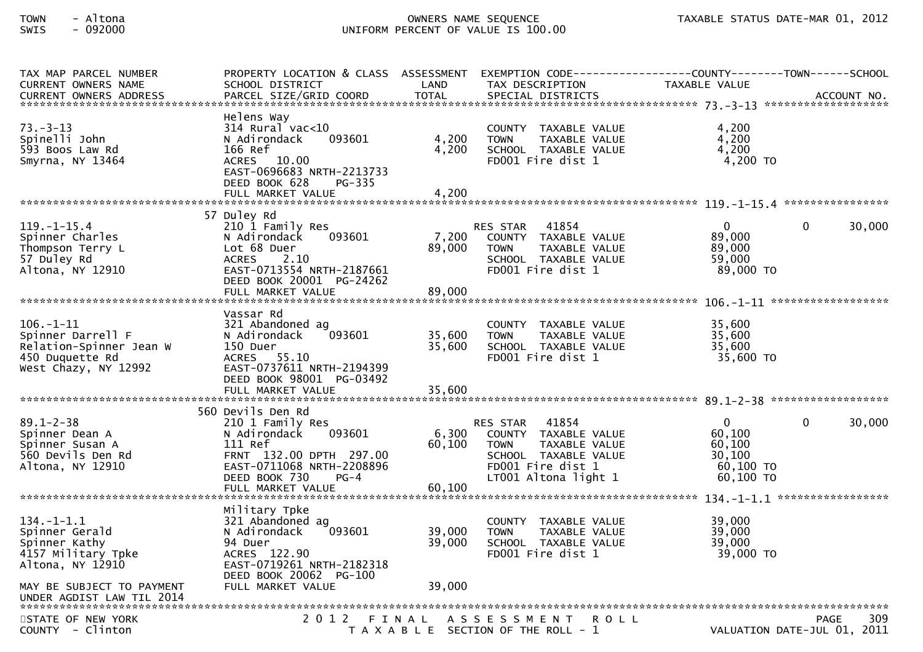| TAX MAP PARCEL NUMBER<br><b>CURRENT OWNERS NAME</b><br><b>CURRENT OWNERS ADDRESS</b>                       | PROPERTY LOCATION & CLASS ASSESSMENT<br>SCHOOL DISTRICT<br>PARCEL SIZE/GRID COORD                                                                                              | LAND<br><b>TOTAL</b>    | EXEMPTION CODE-----------------COUNTY-------TOWN------SCHOOL<br>TAX DESCRIPTION<br>SPECIAL DISTRICTS                                                  | <b>TAXABLE VALUE</b>                                                     | ACCOUNT NO.                                       |
|------------------------------------------------------------------------------------------------------------|--------------------------------------------------------------------------------------------------------------------------------------------------------------------------------|-------------------------|-------------------------------------------------------------------------------------------------------------------------------------------------------|--------------------------------------------------------------------------|---------------------------------------------------|
| $73. - 3 - 13$<br>Spinelli John<br>593 Boos Law Rd<br>Smyrna, NY 13464                                     | Helens Way<br>$314$ Rural vac< $10$<br>N Adirondack<br>093601<br>166 Ref<br><b>ACRES</b><br>10.00<br>EAST-0696683 NRTH-2213733<br>DEED BOOK 628<br>PG-335<br>FULL MARKET VALUE | 4,200<br>4,200<br>4,200 | COUNTY TAXABLE VALUE<br><b>TOWN</b><br>TAXABLE VALUE<br>SCHOOL TAXABLE VALUE<br>FD001 Fire dist 1                                                     | 4.200<br>4,200<br>4,200<br>4,200 TO                                      |                                                   |
|                                                                                                            | 57 Duley Rd                                                                                                                                                                    |                         |                                                                                                                                                       |                                                                          |                                                   |
| $119. - 1 - 15.4$<br>Spinner Charles<br>Thompson Terry L<br>57 Duley Rd<br>Altona, NY 12910                | 210 1 Family Res<br>N Adirondack<br>093601<br>Lot 68 Duer<br>2.10<br><b>ACRES</b><br>EAST-0713554 NRTH-2187661<br>DEED BOOK 20001 PG-24262                                     | 7,200<br>89,000         | 41854<br><b>RES STAR</b><br>COUNTY TAXABLE VALUE<br>TAXABLE VALUE<br><b>TOWN</b><br>SCHOOL TAXABLE VALUE<br>FD001 Fire dist 1                         | $\Omega$<br>89.000<br>89,000<br>59,000<br>89,000 TO                      | 30,000<br>$\Omega$                                |
|                                                                                                            |                                                                                                                                                                                |                         |                                                                                                                                                       |                                                                          |                                                   |
| $106. - 1 - 11$<br>Spinner Darrell F<br>Relation-Spinner Jean W<br>450 Duquette Rd<br>West Chazy, NY 12992 | Vassar Rd<br>321 Abandoned ag<br>093601<br>N Adirondack<br>150 Duer<br>ACRES 55.10<br>EAST-0737611 NRTH-2194399<br>DEED BOOK 98001 PG-03492                                    | 35,600<br>35,600        | COUNTY TAXABLE VALUE<br><b>TOWN</b><br>TAXABLE VALUE<br>SCHOOL TAXABLE VALUE<br>FD001 Fire dist 1                                                     | 35,600<br>35,600<br>35,600<br>35,600 TO                                  |                                                   |
|                                                                                                            | FULL MARKET VALUE                                                                                                                                                              | 35,600                  |                                                                                                                                                       |                                                                          |                                                   |
|                                                                                                            | 560 Devils Den Rd                                                                                                                                                              |                         |                                                                                                                                                       |                                                                          |                                                   |
| $89.1 - 2 - 38$<br>Spinner Dean A<br>Spinner Susan A<br>560 Devils Den Rd<br>Altona, NY 12910              | 210 1 Family Res<br>093601<br>N Adirondack<br>111 Ref<br>FRNT 132.00 DPTH 297.00<br>EAST-0711068 NRTH-2208896<br>DEED BOOK 730<br>$PG-4$                                       | 6,300<br>60,100         | 41854<br><b>RES STAR</b><br>COUNTY TAXABLE VALUE<br>TAXABLE VALUE<br><b>TOWN</b><br>SCHOOL TAXABLE VALUE<br>FD001 Fire dist 1<br>LT001 Altona light 1 | $\mathbf{0}$<br>60,100<br>60,100<br>30,100<br>$60,100$ TO<br>$60,100$ TO | 30,000<br>$\Omega$                                |
|                                                                                                            |                                                                                                                                                                                |                         |                                                                                                                                                       |                                                                          |                                                   |
| $134. - 1 - 1.1$<br>Spinner Gerald<br>Spinner Kathy<br>4157 Military Tpke<br>Altona, NY 12910              | Military Tpke<br>321 Abandoned ag<br>093601<br>N Adirondack<br>94 Duer<br>ACRES 122.90<br>EAST-0719261 NRTH-2182318<br>DEED BOOK 20062 PG-100                                  | 39.000<br>39,000        | TAXABLE VALUE<br>COUNTY<br><b>TOWN</b><br>TAXABLE VALUE<br>SCHOOL TAXABLE VALUE<br>FD001 Fire dist 1                                                  | 39,000<br>39,000<br>39,000<br>39,000 TO                                  |                                                   |
| MAY BE SUBJECT TO PAYMENT                                                                                  | FULL MARKET VALUE                                                                                                                                                              | 39,000                  |                                                                                                                                                       |                                                                          |                                                   |
| STATE OF NEW YORK<br>COUNTY - Clinton                                                                      | 2 0 1 2<br>FINAL                                                                                                                                                               |                         | ASSESSMENT<br><b>ROLL</b><br>T A X A B L E SECTION OF THE ROLL - 1                                                                                    |                                                                          | 309<br><b>PAGE</b><br>VALUATION DATE-JUL 01, 2011 |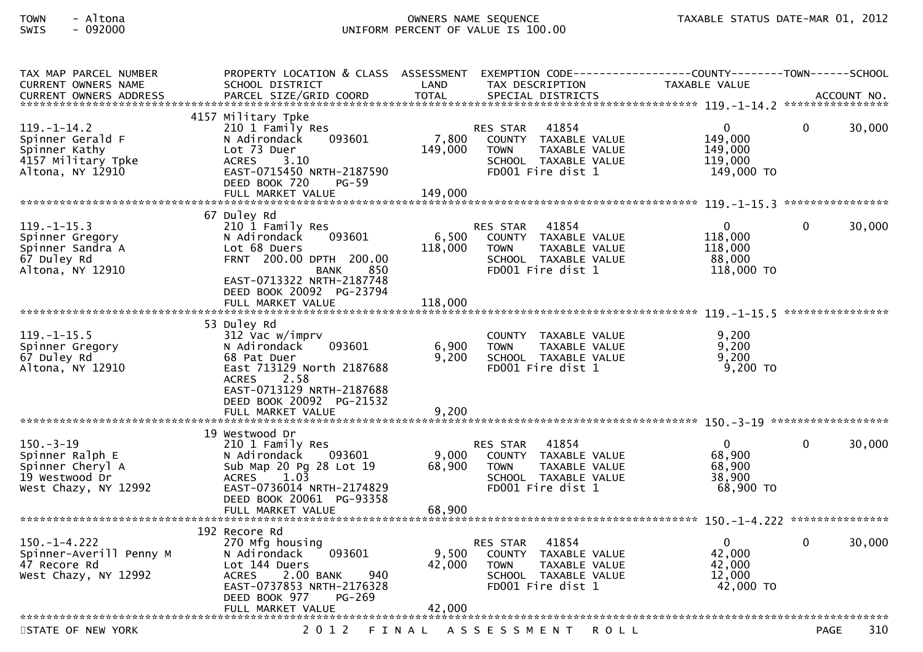| TAX MAP PARCEL NUMBER<br><b>CURRENT OWNERS NAME</b><br><b>CURRENT OWNERS ADDRESS</b>             | PROPERTY LOCATION & CLASS ASSESSMENT<br>SCHOOL DISTRICT<br>PARCEL SIZE/GRID COORD                                                                                                                 | LAND<br><b>TOTAL</b>        | EXEMPTION CODE------------------COUNTY--------TOWN------SCHOOL<br>TAX DESCRIPTION<br>SPECIAL DISTRICTS                        | TAXABLE VALUE                                              |              | ACCOUNT NO. |
|--------------------------------------------------------------------------------------------------|---------------------------------------------------------------------------------------------------------------------------------------------------------------------------------------------------|-----------------------------|-------------------------------------------------------------------------------------------------------------------------------|------------------------------------------------------------|--------------|-------------|
|                                                                                                  |                                                                                                                                                                                                   |                             |                                                                                                                               |                                                            |              |             |
| $119. - 1 - 14.2$<br>Spinner Gerald F<br>Spinner Kathy<br>4157 Military Tpke<br>Altona, NY 12910 | 4157 Military Tpke<br>210 1 Family Res<br>N Adirondack<br>093601<br>Lot 73 Duer<br><b>ACRES</b><br>3.10<br>EAST-0715450 NRTH-2187590<br>DEED BOOK 720<br>$PG-59$<br>FULL MARKET VALUE             | 7,800<br>149,000<br>149,000 | 41854<br><b>RES STAR</b><br>COUNTY TAXABLE VALUE<br><b>TOWN</b><br>TAXABLE VALUE<br>SCHOOL TAXABLE VALUE<br>FD001 Fire dist 1 | 0<br>149,000<br>149,000<br>119,000<br>149,000 TO           | $\mathbf{0}$ | 30,000      |
|                                                                                                  |                                                                                                                                                                                                   |                             |                                                                                                                               |                                                            |              |             |
| $119. - 1 - 15.3$<br>Spinner Gregory<br>Spinner Sandra A<br>67 Duley Rd<br>Altona, NY 12910      | 67 Duley Rd<br>210 1 Family Res<br>093601<br>N Adirondack<br>Lot 68 Duers<br>FRNT 200.00 DPTH 200.00<br>BANK<br>850<br>EAST-0713322 NRTH-2187748<br>DEED BOOK 20092 PG-23794<br>FULL MARKET VALUE | 6,500<br>118,000<br>118,000 | RES STAR 41854<br>COUNTY TAXABLE VALUE<br><b>TOWN</b><br>TAXABLE VALUE<br>SCHOOL TAXABLE VALUE<br>FD001 Fire dist 1           | $\mathbf{0}$<br>118,000<br>118,000<br>88,000<br>118,000 TO | $\Omega$     | 30,000      |
|                                                                                                  | 53 Duley Rd                                                                                                                                                                                       |                             |                                                                                                                               |                                                            |              |             |
| $119. - 1 - 15.5$<br>Spinner Gregory<br>67 Duley Rd<br>Altona, NY 12910                          | 312 Vac w/imprv<br>093601<br>N Adirondack<br>68 Pat Duer<br>East 713129 North 2187688<br>ACRES<br>2.58<br>EAST-0713129 NRTH-2187688<br>DEED BOOK 20092 PG-21532                                   | 6,900<br>9,200              | COUNTY TAXABLE VALUE<br>TAXABLE VALUE<br><b>TOWN</b><br>SCHOOL TAXABLE VALUE<br>FD001 Fire dist 1                             | 9.200<br>9,200<br>9,200<br>$9,200$ TO                      |              |             |
|                                                                                                  | 19 Westwood Dr                                                                                                                                                                                    |                             |                                                                                                                               |                                                            |              |             |
| $150. - 3 - 19$<br>Spinner Ralph E<br>Spinner Cheryl A<br>19 Westwood Dr<br>West Chazy, NY 12992 | 210 1 Family Res<br>093601<br>N Adirondack<br>Sub Map 20 Pg 28 Lot 19<br>1.03<br><b>ACRES</b><br>EAST-0736014 NRTH-2174829<br>DEED BOOK 20061 PG-93358<br>FULL MARKET VALUE                       | 9,000<br>68,900<br>68,900   | 41854<br><b>RES STAR</b><br>COUNTY TAXABLE VALUE<br><b>TOWN</b><br>TAXABLE VALUE<br>SCHOOL TAXABLE VALUE<br>FD001 Fire dist 1 | $\overline{0}$<br>68,900<br>68,900<br>38,900<br>68,900 TO  | $\Omega$     | 30,000      |
|                                                                                                  |                                                                                                                                                                                                   |                             |                                                                                                                               |                                                            |              |             |
| $150. - 1 - 4.222$<br>Spinner-Averill Penny M<br>47 Recore Rd<br>West Chazy, NY 12992            | 192 Recore Rd<br>270 Mfg housing<br>N Adirondack<br>093601<br>Lot 144 Duers<br>2.00 BANK<br>940<br><b>ACRES</b><br>EAST-0737853 NRTH-2176328<br>DEED BOOK 977<br>PG-269<br>FULL MARKET VALUE      | 9,500<br>42,000<br>42,000   | 41854<br><b>RES STAR</b><br>COUNTY TAXABLE VALUE<br><b>TOWN</b><br>TAXABLE VALUE<br>SCHOOL TAXABLE VALUE<br>FD001 Fire dist 1 | $\mathbf{0}$<br>42,000<br>42,000<br>12,000<br>42,000 TO    | $\Omega$     | 30,000      |
|                                                                                                  |                                                                                                                                                                                                   |                             |                                                                                                                               |                                                            |              |             |
| STATE OF NEW YORK                                                                                | 2 0 1 2                                                                                                                                                                                           | FINAL                       | A S S E S S M E N T<br><b>ROLL</b>                                                                                            |                                                            | <b>PAGE</b>  | 310         |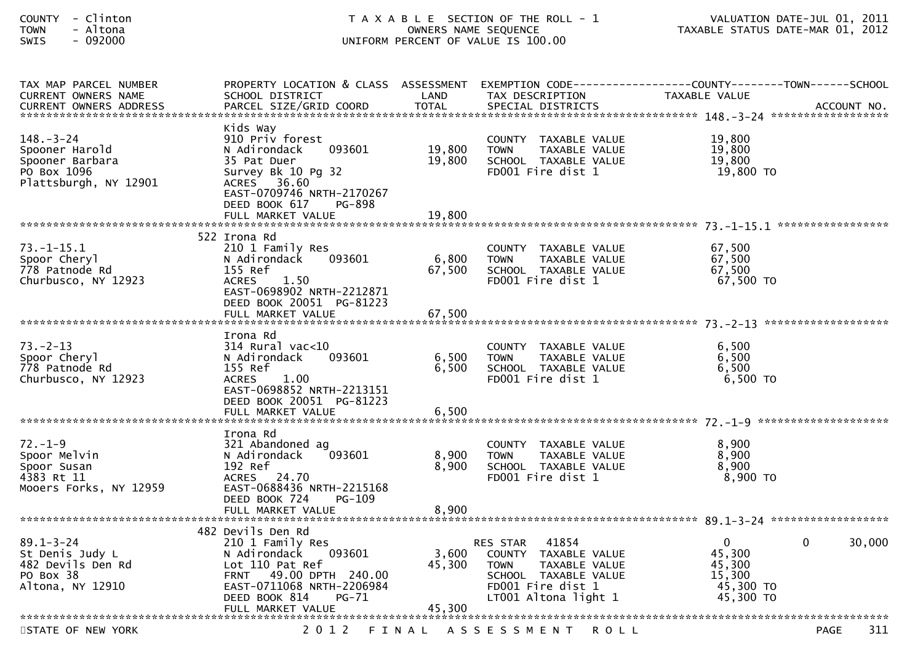|                                                                                                                                                                                          |                           | VALUATION DATE-JUL 01, 2011                                                                                                           |                                                                                                                 |                                                                                                                                      |
|------------------------------------------------------------------------------------------------------------------------------------------------------------------------------------------|---------------------------|---------------------------------------------------------------------------------------------------------------------------------------|-----------------------------------------------------------------------------------------------------------------|--------------------------------------------------------------------------------------------------------------------------------------|
| SCHOOL DISTRICT                                                                                                                                                                          | LAND                      | TAX DESCRIPTION                                                                                                                       | TAXABLE VALUE                                                                                                   |                                                                                                                                      |
| Kids Way<br>910 Priv forest<br>093601<br>N Adirondack<br>35 Pat Duer<br>Survey Bk 10 Pg 32<br>ACRES 36.60<br>EAST-0709746 NRTH-2170267<br>DEED BOOK 617<br><b>PG-898</b>                 | 19,800<br>19,800          | COUNTY TAXABLE VALUE<br>TAXABLE VALUE<br><b>TOWN</b><br>SCHOOL TAXABLE VALUE<br>FD001 Fire dist 1                                     | 19,800<br>19,800<br>19,800<br>19,800 TO                                                                         |                                                                                                                                      |
|                                                                                                                                                                                          |                           |                                                                                                                                       |                                                                                                                 |                                                                                                                                      |
| 522 Irona Rd<br>210 1 Family Res<br>N Adirondack<br>093601<br>155 Ref<br>ACRES 1.50<br>EAST-0698902 NRTH-2212871                                                                         | 6,800<br>67,500           | COUNTY TAXABLE VALUE<br>TAXABLE VALUE<br><b>TOWN</b><br>SCHOOL TAXABLE VALUE<br>FD001 Fire dist 1                                     | 67,500<br>67,500<br>67,500<br>67,500 TO                                                                         |                                                                                                                                      |
|                                                                                                                                                                                          |                           |                                                                                                                                       |                                                                                                                 |                                                                                                                                      |
| Irona Rd<br>314 Rural vac<10<br>093601<br>N Adirondack<br>155 Ref<br>ACRES 1.00<br>EAST-0698852 NRTH-2213151<br>DEED BOOK 20051 PG-81223                                                 | 6,500<br>6,500            | COUNTY TAXABLE VALUE<br>TAXABLE VALUE<br><b>TOWN</b><br>SCHOOL TAXABLE VALUE<br>FD001 Fire dist 1                                     | 6,500<br>6,500<br>6,500<br>6,500 TO                                                                             |                                                                                                                                      |
|                                                                                                                                                                                          |                           |                                                                                                                                       |                                                                                                                 |                                                                                                                                      |
| Irona Rd<br>321 Abandoned ag<br>093601<br>N Adirondack<br>192 Ref<br>ACRES 24.70<br>EAST-0688436 NRTH-2215168<br>DEED BOOK 724<br><b>PG-109</b>                                          | 8,900<br>8,900            | COUNTY TAXABLE VALUE<br>TAXABLE VALUE<br><b>TOWN</b><br>SCHOOL TAXABLE VALUE<br>FD001 Fire dist 1                                     | 8,900<br>8,900<br>8,900<br>8,900 TO                                                                             |                                                                                                                                      |
| FULL MARKET VALUE                                                                                                                                                                        |                           |                                                                                                                                       |                                                                                                                 |                                                                                                                                      |
| 482 Devils Den Rd<br>210 1 Family Res<br>N Adirondack<br>093601<br>Lot 110 Pat Ref<br>FRNT 49.00 DPTH 240.00<br>EAST-0711068 NRTH-2206984<br>DEED BOOK 814<br>PG-71<br>FULL MARKET VALUE | 3,600<br>45,300<br>45,300 | 41854<br>TAXABLE VALUE<br>COUNTY<br><b>TOWN</b><br>TAXABLE VALUE<br>SCHOOL TAXABLE VALUE<br>FD001 Fire dist 1<br>LT001 Altona light 1 | $\bf{0}$<br>45,300<br>45,300<br>15,300<br>45,300 TO<br>45,300 TO                                                | 30,000<br>0                                                                                                                          |
|                                                                                                                                                                                          | DEED BOOK 20051 PG-81223  | 8,900                                                                                                                                 | T A X A B L E SECTION OF THE ROLL - 1<br>OWNERS NAME SEQUENCE<br>UNIFORM PERCENT OF VALUE IS 100.00<br>RES STAR | TAXABLE STATUS DATE-MAR 01, 2012<br>PROPERTY LOCATION & CLASS ASSESSMENT EXEMPTION CODE----------------COUNTY-------TOWN------SCHOOL |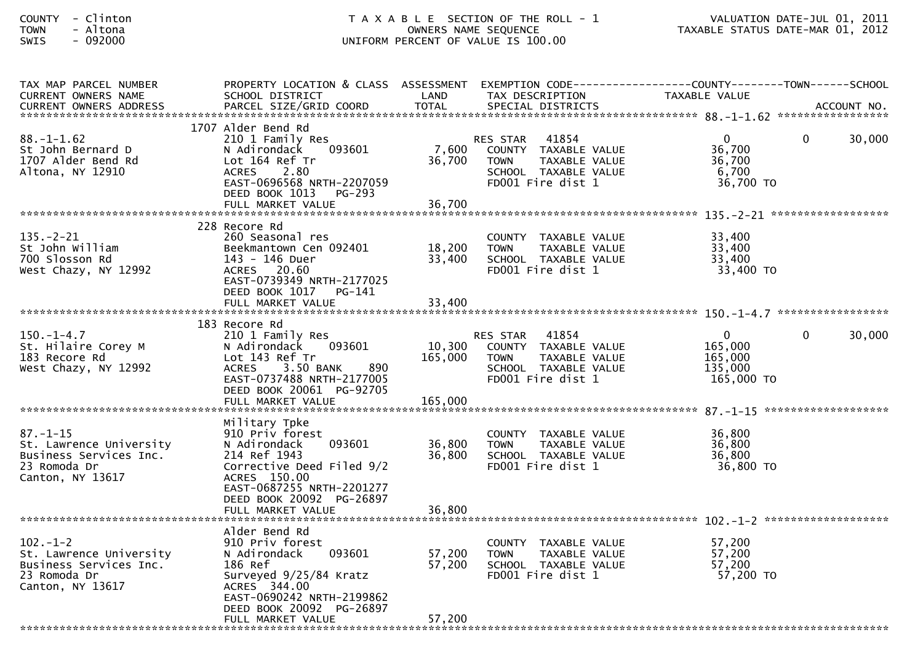| TAX MAP PARCEL NUMBER<br>CURRENT OWNERS NAME                                                            | PROPERTY LOCATION & CLASS ASSESSMENT EXEMPTION CODE----------------COUNTY-------TOWN------SCHOOL<br>SCHOOL DISTRICT                                                                                   | LAND                         | TAX DESCRIPTION                                                                                                        | TAXABLE VALUE                                                 |          |        |
|---------------------------------------------------------------------------------------------------------|-------------------------------------------------------------------------------------------------------------------------------------------------------------------------------------------------------|------------------------------|------------------------------------------------------------------------------------------------------------------------|---------------------------------------------------------------|----------|--------|
|                                                                                                         |                                                                                                                                                                                                       |                              |                                                                                                                        |                                                               |          |        |
| $88. - 1 - 1.62$<br>St John Bernard D<br>1707 Alder Bend Rd<br>Altona, NY 12910                         | 1707 Alder Bend Rd<br>210 1 Family Res<br>093601<br>N Adirondack<br>Lot 164 Ref Tr<br>ACRES 2.80<br>EAST-0696568 NRTH-2207059<br>DEED BOOK 1013<br>PG-293                                             | 7,600<br>36,700              | 41854<br>RES STAR<br>COUNTY TAXABLE VALUE<br><b>TOWN</b><br>TAXABLE VALUE<br>SCHOOL TAXABLE VALUE<br>FD001 Fire dist 1 | $\mathbf{0}$<br>36,700<br>36,700<br>6,700<br>36,700 TO        | 0        | 30,000 |
|                                                                                                         | 228 Recore Rd                                                                                                                                                                                         |                              |                                                                                                                        |                                                               |          |        |
| $135. - 2 - 21$<br>St John William<br>700 Slosson Rd<br>West Chazy, NY 12992                            | 260 Seasonal res<br>Beekmantown Cen 092401<br>143 - 146 Duer<br>ACRES 20.60<br>EAST-0739349 NRTH-2177025<br>DEED BOOK 1017 PG-141                                                                     | 18,200<br>33,400             | COUNTY TAXABLE VALUE<br><b>TOWN</b><br>TAXABLE VALUE<br>SCHOOL TAXABLE VALUE<br>FD001 Fire dist 1                      | 33,400<br>33,400<br>33,400<br>33,400 TO                       |          |        |
|                                                                                                         | FULL MARKET VALUE                                                                                                                                                                                     | 33,400                       |                                                                                                                        |                                                               |          |        |
| $150. - 1 - 4.7$<br>St. Hilaire Corey M<br>183 Recore Rd<br>West Chazy, NY 12992                        | 183 Recore Rd<br>210 1 Family Res<br>093601<br>N Adirondack<br>Lot 143 Ref Tr<br>890<br>3.50 BANK<br>ACRES<br>EAST-0737488 NRTH-2177005<br>DEED BOOK 20061 PG-92705<br>FULL MARKET VALUE              | 10,300<br>165,000<br>165,000 | RES STAR 41854<br>COUNTY TAXABLE VALUE<br>TAXABLE VALUE<br>TOWN<br>SCHOOL TAXABLE VALUE<br>FD001 Fire dist 1           | $\overline{0}$<br>165,000<br>165,000<br>135,000<br>165,000 TO | $\Omega$ | 30,000 |
| $87. - 1 - 15$<br>St. Lawrence University<br>Business Services Inc.<br>23 Romoda Dr<br>Canton, NY 13617 | Military Tpke<br>910 Priv forest<br>093601<br>N Adirondack<br>214 Ref 1943<br>Corrective Deed Filed 9/2<br>ACRES 150.00<br>EAST-0687255 NRTH-2201277<br>DEED BOOK 20092 PG-26897<br>FULL MARKET VALUE | 36,800<br>36,800<br>36,800   | COUNTY TAXABLE VALUE<br><b>TOWN</b><br>TAXABLE VALUE<br>SCHOOL TAXABLE VALUE<br>FD001 Fire dist 1                      | 36,800<br>36,800<br>36,800<br>36,800 TO                       |          |        |
|                                                                                                         | Alder Bend Rd                                                                                                                                                                                         |                              |                                                                                                                        |                                                               |          |        |
| $102 - 1 - 2$<br>St. Lawrence University<br>Business Services Inc.<br>23 Romoda Dr<br>Canton, NY 13617  | 910 Priv forest<br>093601<br>N Adirondack<br>186 Ref<br>Surveyed 9/25/84 Kratz<br>ACRES 344.00<br>EAST-0690242 NRTH-2199862<br>DEED BOOK 20092 PG-26897<br>FULL MARKET VALUE                          | 57,200<br>57,200<br>57,200   | COUNTY TAXABLE VALUE<br>TAXABLE VALUE<br><b>TOWN</b><br>SCHOOL TAXABLE VALUE<br>FD001 Fire dist 1                      | 57,200<br>57,200<br>57,200<br>57,200 TO                       |          |        |
|                                                                                                         |                                                                                                                                                                                                       |                              |                                                                                                                        |                                                               |          |        |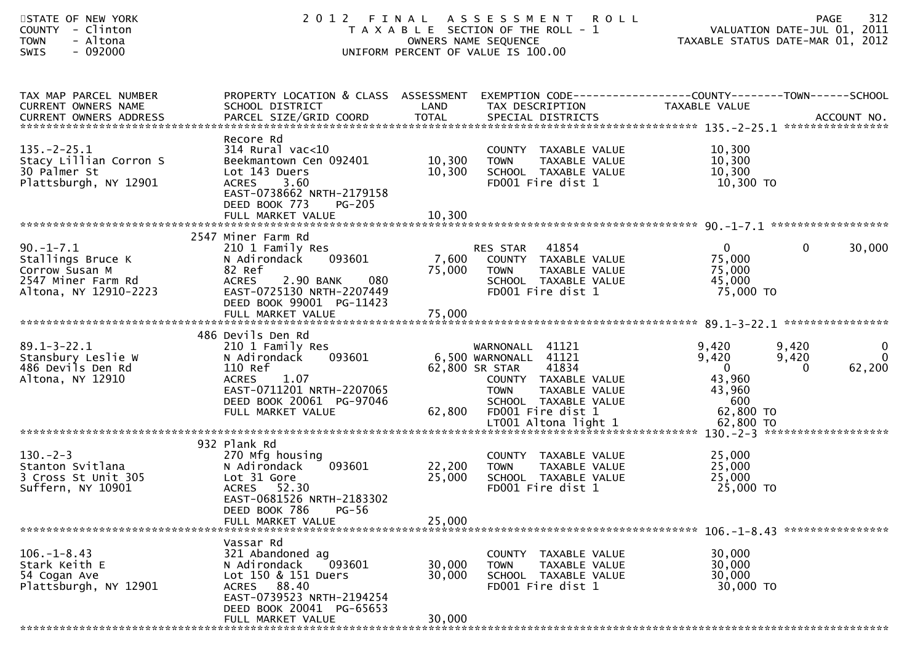| STATE OF NEW YORK<br>- Clinton<br><b>COUNTY</b><br>- Altona<br><b>TOWN</b><br>$-092000$<br>SWIS      | 2 0 1 2                                                                                                                                                           | FINAL            | A S S E S S M E N T<br><b>ROLL</b><br>T A X A B L E SECTION OF THE ROLL - 1<br>OWNERS NAME SEQUENCE<br>UNIFORM PERCENT OF VALUE IS 100.00 |                                                           | 312<br><b>PAGE</b><br>VALUATION DATE-JUL 01, 2011<br>TAXABLE STATUS DATE-MAR 01, 2012 |
|------------------------------------------------------------------------------------------------------|-------------------------------------------------------------------------------------------------------------------------------------------------------------------|------------------|-------------------------------------------------------------------------------------------------------------------------------------------|-----------------------------------------------------------|---------------------------------------------------------------------------------------|
| TAX MAP PARCEL NUMBER<br>CURRENT OWNERS NAME                                                         | PROPERTY LOCATION & CLASS ASSESSMENT<br>SCHOOL DISTRICT                                                                                                           | LAND             | EXEMPTION CODE-----------------COUNTY--------TOWN------SCHOOL<br>TAX DESCRIPTION                                                          | TAXABLE VALUE                                             |                                                                                       |
| $135. -2 - 25.1$<br>Stacy Lillian Corron S<br>30 Palmer St<br>Plattsburgh, NY 12901                  | Recore Rd<br>$314$ Rural vac<10<br>Beekmantown Cen 092401<br>Lot 143 Duers<br><b>ACRES</b><br>3.60<br>EAST-0738662 NRTH-2179158<br>DEED BOOK 773<br><b>PG-205</b> | 10,300<br>10,300 | COUNTY TAXABLE VALUE<br>TAXABLE VALUE<br><b>TOWN</b><br>SCHOOL TAXABLE VALUE<br>FD001 Fire dist 1                                         | 10,300<br>10,300<br>10,300<br>10,300 TO                   |                                                                                       |
|                                                                                                      | 2547 Miner Farm Rd                                                                                                                                                |                  |                                                                                                                                           |                                                           |                                                                                       |
| $90. -1 - 7.1$<br>Stallings Bruce K<br>Corrow Susan M<br>2547 Miner Farm Rd<br>Altona, NY 12910-2223 | 210 1 Family Res<br>N Adirondack<br>093601<br>82 Ref<br>080<br><b>ACRES</b><br>2.90 BANK<br>EAST-0725130 NRTH-2207449<br>DEED BOOK 99001 PG-11423                 | 7,600<br>75,000  | 41854<br>RES STAR<br>COUNTY TAXABLE VALUE<br>TAXABLE VALUE<br><b>TOWN</b><br>SCHOOL TAXABLE VALUE<br>FD001 Fire dist 1                    | $\overline{0}$<br>75,000<br>75,000<br>45,000<br>75,000 TO | 30,000<br>$\mathbf{0}$                                                                |
|                                                                                                      |                                                                                                                                                                   |                  |                                                                                                                                           |                                                           |                                                                                       |
|                                                                                                      | 486 Devils Den Rd                                                                                                                                                 |                  |                                                                                                                                           |                                                           |                                                                                       |
| $89.1 - 3 - 22.1$<br>Stansbury Leslie W<br>486 Devils Den Rd<br>Altona, NY 12910                     | 210 1 Family Res<br>N Adirondack<br>093601<br>110 Ref<br><b>ACRES</b><br>1.07<br>EAST-0711201 NRTH-2207065                                                        |                  | WARNONALL<br>41121<br>6,500 WARNONALL 41121<br>41834<br>62,800 SR STAR<br>COUNTY TAXABLE VALUE<br><b>TOWN</b><br>TAXABLE VALUE            | 9,420<br>9,420<br>$\overline{0}$<br>43,960<br>43,960      | $\overline{0}$<br>9,420<br>$\overline{0}$<br>9,420<br>62,200<br>0                     |
|                                                                                                      | DEED BOOK 20061 PG-97046<br>FULL MARKET VALUE                                                                                                                     | 62,800           | SCHOOL TAXABLE VALUE<br>FD001 Fire dist 1                                                                                                 | 600<br>62,800 TO                                          |                                                                                       |
|                                                                                                      |                                                                                                                                                                   |                  |                                                                                                                                           |                                                           |                                                                                       |
| $130 - 2 - 3$<br>Stanton Svitlana<br>3 Cross St Unit 305<br>Suffern, NY 10901                        | 932 Plank Rd<br>270 Mfg housing<br>N Adirondack<br>093601<br>Lot 31 Gore<br>ACRES 52.30<br>EAST-0681526 NRTH-2183302                                              | 22,200<br>25,000 | COUNTY TAXABLE VALUE<br>TAXABLE VALUE<br><b>TOWN</b><br>SCHOOL TAXABLE VALUE<br>FD001 Fire dist 1                                         | 25,000<br>25,000<br>25,000<br>25,000 TO                   |                                                                                       |
|                                                                                                      | DEED BOOK 786<br>$PG-56$<br>FULL MARKET VALUE                                                                                                                     | 25,000           |                                                                                                                                           |                                                           |                                                                                       |
|                                                                                                      | Vassar Rd                                                                                                                                                         |                  |                                                                                                                                           |                                                           |                                                                                       |
| $106. - 1 - 8.43$<br>Stark Keith E<br>54 Cogan Ave<br>Plattsburgh, NY 12901                          | 321 Abandoned ag<br>093601<br>N Adirondack<br>Lot 150 & 151 Duers<br>ACRES 88.40<br>EAST-0739523 NRTH-2194254<br>DEED BOOK 20041 PG-65653                         | 30,000<br>30,000 | COUNTY TAXABLE VALUE<br>TAXABLE VALUE<br><b>TOWN</b><br>SCHOOL TAXABLE VALUE<br>FD001 Fire dist 1                                         | 30,000<br>30,000<br>30,000<br>30,000 TO                   |                                                                                       |
|                                                                                                      | FULL MARKET VALUE<br>***************************                                                                                                                  | 30,000           |                                                                                                                                           |                                                           |                                                                                       |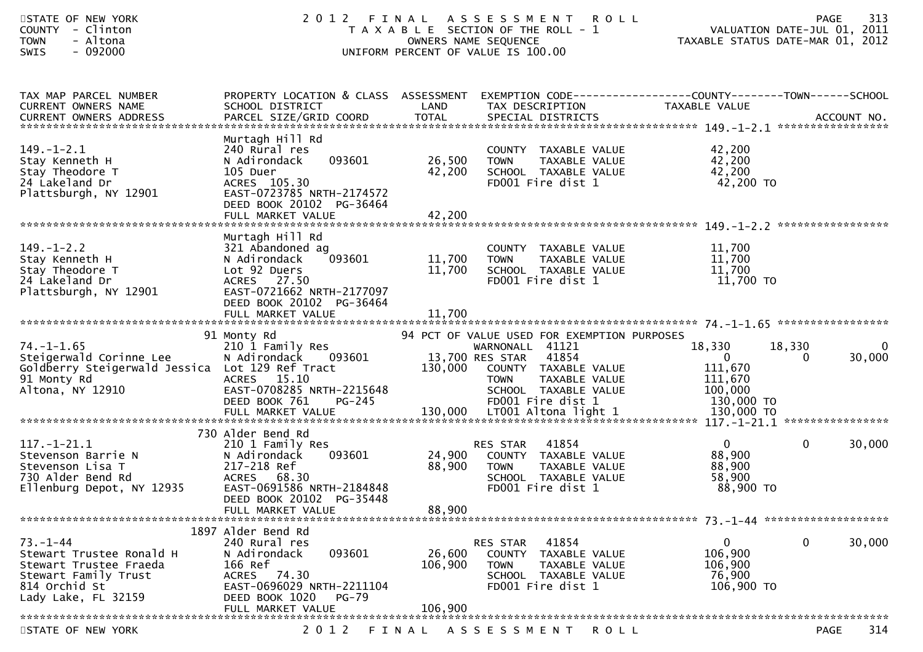| STATE OF NEW YORK<br><b>COUNTY</b><br>- Clinton<br>- Altona<br><b>TOWN</b><br>$-092000$<br><b>SWIS</b>                               | 2012<br>FINAL                                                                                                                                                                         |                              | A S S E S S M E N T<br><b>ROLL</b><br>T A X A B L E SECTION OF THE ROLL - 1<br>OWNERS NAME SEQUENCE<br>UNIFORM PERCENT OF VALUE IS 100.00                                                       | TAXABLE STATUS DATE-MAR 01, 2012                                      | 313<br>PAGE<br>VALUATION DATE-JUL 01, 2011   |
|--------------------------------------------------------------------------------------------------------------------------------------|---------------------------------------------------------------------------------------------------------------------------------------------------------------------------------------|------------------------------|-------------------------------------------------------------------------------------------------------------------------------------------------------------------------------------------------|-----------------------------------------------------------------------|----------------------------------------------|
| TAX MAP PARCEL NUMBER<br><b>CURRENT OWNERS NAME</b><br><b>CURRENT OWNERS ADDRESS</b>                                                 | PROPERTY LOCATION & CLASS ASSESSMENT<br>SCHOOL DISTRICT<br>PARCEL SIZE/GRID COORD                                                                                                     | LAND<br><b>TOTAL</b>         | TAX DESCRIPTION<br>SPECIAL DISTRICTS                                                                                                                                                            | TAXABLE VALUE                                                         | ACCOUNT NO.                                  |
| $149. - 1 - 2.1$<br>Stay Kenneth H<br>Stay Theodore T<br>24 Lakeland Dr<br>Plattsburgh, NY 12901                                     | Murtagh Hill Rd<br>240 Rural res<br>N Adirondack<br>093601<br>105 Duer<br>ACRES 105.30<br>EAST-0723785 NRTH-2174572<br>DEED BOOK 20102 PG-36464<br>FULL MARKET VALUE                  | 26,500<br>42,200<br>42,200   | COUNTY TAXABLE VALUE<br>TAXABLE VALUE<br><b>TOWN</b><br>SCHOOL TAXABLE VALUE<br>FD001 Fire dist 1                                                                                               | 42,200<br>42,200<br>42,200<br>42,200 TO                               |                                              |
| $149. - 1 - 2.2$<br>Stay Kenneth H<br>Stay Theodore T<br>24 Lakeland Dr<br>Plattsburgh, NY 12901                                     | Murtagh Hill Rd<br>321 Abandoned ag<br>093601<br>N Adirondack<br>Lot 92 Duers<br><b>ACRES</b><br>27.50<br>EAST-0721662 NRTH-2177097<br>DEED BOOK 20102 PG-36464<br>FULL MARKET VALUE  | 11,700<br>11,700<br>11,700   | COUNTY TAXABLE VALUE<br>TAXABLE VALUE<br><b>TOWN</b><br>SCHOOL TAXABLE VALUE<br>FD001 Fire dist 1                                                                                               | 11,700<br>11,700<br>11,700<br>11,700 TO                               |                                              |
| $74. - 1 - 1.65$<br>Steigerwald Corinne Lee<br>Goldberry Steigerwald Jessica Lot 129 Ref Tract<br>91 Monty Rd<br>Altona, NY 12910    | 91 Monty Rd<br>210 1 Family Res<br>N Adirondack<br>093601<br><b>ACRES</b><br>15.10<br>EAST-0708285 NRTH-2215648<br>DEED BOOK 761<br>$PG-245$                                          | 130,000                      | 94 PCT OF VALUE USED FOR EXEMPTION PURPOSES<br>WARNONALL 41121<br>41854<br>13,700 RES STAR<br>COUNTY TAXABLE VALUE<br>TAXABLE VALUE<br><b>TOWN</b><br>SCHOOL TAXABLE VALUE<br>FD001 Fire dist 1 | 18,330<br>$\mathbf{0}$<br>111,670<br>111,670<br>100,000<br>130,000 TO | $\mathbf{0}$<br>18,330<br>30,000<br>$\Omega$ |
| $117. - 1 - 21.1$<br>Stevenson Barrie N<br>Stevenson Lisa T<br>730 Alder Bend Rd<br>Ellenburg Depot, NY 12935                        | 730 Alder Bend Rd<br>210 1 Family Res<br>N Adirondack<br>093601<br>217-218 Ref<br><b>ACRES</b><br>68.30<br>EAST-0691586 NRTH-2184848<br>DEED BOOK 20102 PG-35448<br>FULL MARKET VALUE | 24,900<br>88,900<br>88,900   | 41854<br>RES STAR<br>COUNTY TAXABLE VALUE<br><b>TOWN</b><br><b>TAXABLE VALUE</b><br>SCHOOL TAXABLE VALUE<br>FD001 Fire dist 1                                                                   | $\mathbf{0}$<br>88,900<br>88,900<br>58,900<br>88,900 TO               | $\mathbf{0}$<br>30,000                       |
| $73. - 1 - 44$<br>Stewart Trustee Ronald H<br>Stewart Trustee Fraeda<br>Stewart Family Trust<br>814 Orchid St<br>Lady Lake, FL 32159 | 1897 Alder Bend Rd<br>240 Rural res<br>093601<br>N Adirondack<br>166 Ref<br>ACRES 74.30<br>EAST-0696029 NRTH-2211104<br>DEED BOOK 1020<br>PG-79<br>FULL MARKET VALUE                  | 26,600<br>106,900<br>106,900 | 41854<br>RES STAR<br><b>COUNTY</b><br>TAXABLE VALUE<br><b>TOWN</b><br>TAXABLE VALUE<br>SCHOOL TAXABLE VALUE<br>FD001 Fire dist 1                                                                | 0<br>106,900<br>106,900<br>76,900<br>106,900 TO                       | 30,000<br>0                                  |
| CTATE OF NEW VODK                                                                                                                    | ו ה כ                                                                                                                                                                                 |                              | ACCECCMENT DOII                                                                                                                                                                                 |                                                                       | 211<br><b>DACE</b>                           |

STATE OF NEW YORK 2012 FINAL ASSESSMENT ROLL

PAGE 314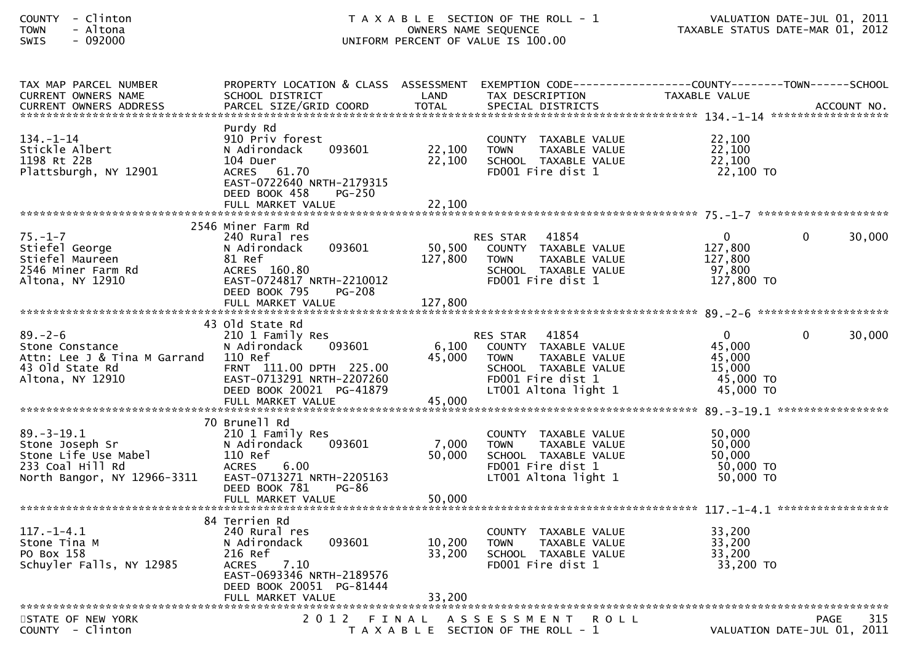| TAX MAP PARCEL NUMBER        | PROPERTY LOCATION & CLASS ASSESSMENT EXEMPTION CODE----------------COUNTY-------TOWN------SCHOOL |         |                                           |                        |                             |
|------------------------------|--------------------------------------------------------------------------------------------------|---------|-------------------------------------------|------------------------|-----------------------------|
| <b>CURRENT OWNERS NAME</b>   | SCHOOL DISTRICT                                                                                  | LAND    | TAX DESCRIPTION                           | TAXABLE VALUE          |                             |
|                              |                                                                                                  |         |                                           |                        |                             |
|                              |                                                                                                  |         |                                           |                        |                             |
|                              | Purdy Rd                                                                                         |         |                                           |                        |                             |
| $134. - 1 - 14$              | 910 Priv forest                                                                                  |         | COUNTY TAXABLE VALUE                      | 22,100                 |                             |
| Stickle Albert               | 093601<br>N Adirondack                                                                           | 22,100  | TAXABLE VALUE<br><b>TOWN</b>              | 22,100                 |                             |
| 1198 Rt 22B                  | 104 Duer                                                                                         | 22,100  | SCHOOL TAXABLE VALUE<br>FD001 Fire dist 1 | 22,100<br>22,100 TO    |                             |
| Plattsburgh, NY 12901        | ACRES 61.70<br>EAST-0722640 NRTH-2179315                                                         |         |                                           |                        |                             |
|                              | DEED BOOK 458<br>$PG-250$                                                                        |         |                                           |                        |                             |
|                              | FULL MARKET VALUE                                                                                | 22,100  |                                           |                        |                             |
|                              |                                                                                                  |         |                                           |                        |                             |
|                              | 2546 Miner Farm Rd                                                                               |         |                                           |                        |                             |
| $75. - 1 - 7$                | 240 Rural res                                                                                    |         | 41854<br><b>RES STAR</b>                  | $\mathbf{0}$           | 30,000<br>$\Omega$          |
| Stiefel George               | 093601<br>N Adirondack                                                                           | 50,500  | COUNTY TAXABLE VALUE                      | 127,800                |                             |
| Stiefel Maureen              | 81 Ref                                                                                           | 127,800 | TAXABLE VALUE<br><b>TOWN</b>              | 127,800                |                             |
| 2546 Miner Farm Rd           | ACRES 160.80                                                                                     |         | SCHOOL TAXABLE VALUE                      | 97,800                 |                             |
| Altona, NY 12910             | EAST-0724817 NRTH-2210012                                                                        |         | FD001 Fire dist 1                         | 127,800 TO             |                             |
|                              | DEED BOOK 795<br>$PG-208$                                                                        |         |                                           |                        |                             |
|                              | FULL MARKET VALUE                                                                                | 127,800 |                                           |                        |                             |
|                              |                                                                                                  |         |                                           |                        |                             |
|                              | 43 Old State Rd                                                                                  |         |                                           |                        |                             |
| $89. - 2 - 6$                | 210 1 Family Res                                                                                 |         | 41854<br>RES STAR                         | $\mathbf{0}$           | 30,000<br>$\Omega$          |
| Stone Constance              | 093601<br>N Adirondack                                                                           | 6,100   | COUNTY TAXABLE VALUE                      | 45,000                 |                             |
| Attn: Lee J & Tina M Garrand | 110 Ref                                                                                          | 45,000  | <b>TOWN</b><br>TAXABLE VALUE              | 45,000                 |                             |
| 43 old State Rd              | FRNT 111.00 DPTH 225.00                                                                          |         | SCHOOL TAXABLE VALUE                      | 15,000                 |                             |
| Altona, NY 12910             | EAST-0713291 NRTH-2207260                                                                        |         | FD001 Fire dist 1                         | 45,000 TO              |                             |
|                              | DEED BOOK 20021 PG-41879                                                                         |         | LT001 Altona light 1                      | 45,000 TO              |                             |
|                              | FULL MARKET VALUE                                                                                | 45,000  |                                           |                        |                             |
|                              |                                                                                                  |         |                                           |                        |                             |
|                              | 70 Brunell Rd                                                                                    |         |                                           |                        |                             |
| $89. - 3 - 19.1$             | 210 1 Family Res                                                                                 |         | COUNTY TAXABLE VALUE                      | 50,000                 |                             |
| Stone Joseph Sr              | 093601<br>N Adirondack                                                                           | 7,000   | <b>TOWN</b><br>TAXABLE VALUE              | 50,000                 |                             |
| Stone Life Use Mabel         | 110 Ref                                                                                          | 50,000  | SCHOOL TAXABLE VALUE                      | 50,000                 |                             |
| 233 Coal Hill Rd             | 6.00<br><b>ACRES</b>                                                                             |         | FD001 Fire dist 1<br>LT001 Altona light 1 | 50,000 TO<br>50,000 TO |                             |
| North Bangor, NY 12966-3311  | EAST-0713271 NRTH-2205163<br>DEED BOOK 781<br>PG-86                                              |         |                                           |                        |                             |
|                              | FULL MARKET VALUE                                                                                | 50,000  |                                           |                        |                             |
|                              |                                                                                                  |         |                                           |                        |                             |
|                              | 84 Terrien Rd                                                                                    |         |                                           |                        |                             |
| $117.-1-4.1$                 | 240 Rural res                                                                                    |         | COUNTY TAXABLE VALUE                      | 33,200                 |                             |
| Stone Tina M                 | 093601<br>N Adirondack                                                                           | 10,200  | <b>TOWN</b><br>TAXABLE VALUE              | 33,200                 |                             |
| PO Box 158                   | 216 Ref                                                                                          | 33,200  | SCHOOL TAXABLE VALUE                      | 33,200                 |                             |
| Schuyler Falls, NY 12985     | 7.10<br>ACRES                                                                                    |         | FD001 Fire dist 1                         | 33,200 TO              |                             |
|                              | EAST-0693346 NRTH-2189576                                                                        |         |                                           |                        |                             |
|                              | DEED BOOK 20051 PG-81444                                                                         |         |                                           |                        |                             |
|                              |                                                                                                  |         |                                           |                        |                             |
|                              |                                                                                                  |         |                                           |                        |                             |
| STATE OF NEW YORK            |                                                                                                  |         | 2012 FINAL ASSESSMENT ROLL                |                        | 315<br><b>PAGE</b>          |
| COUNTY - Clinton             |                                                                                                  |         | T A X A B L E SECTION OF THE ROLL - 1     |                        | VALUATION DATE-JUL 01, 2011 |
|                              |                                                                                                  |         |                                           |                        |                             |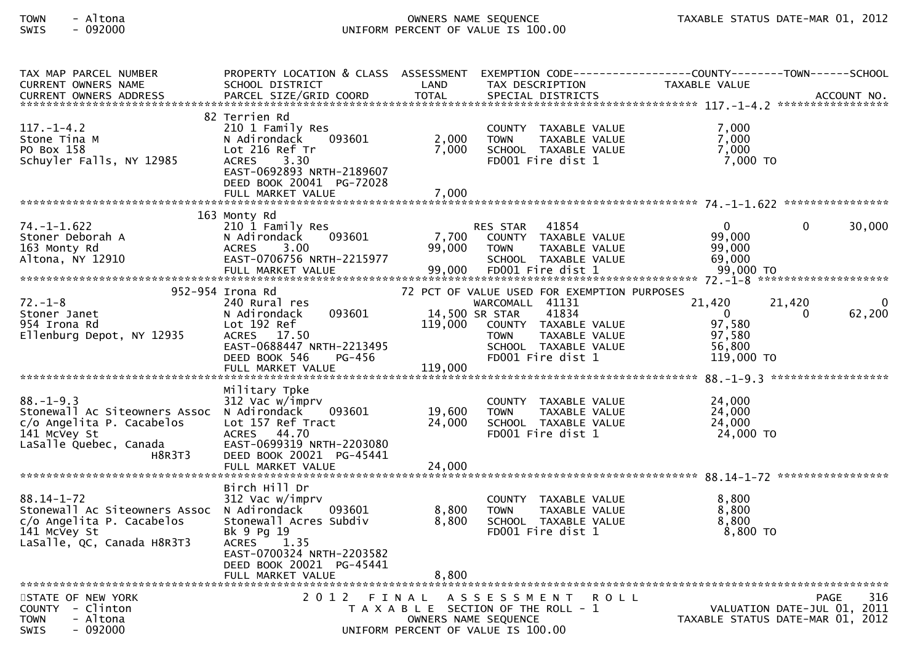| TAX MAP PARCEL NUMBER<br>CURRENT OWNERS NAME                                                                                                                   | PROPERTY LOCATION & CLASS ASSESSMENT EXEMPTION CODE----------------COUNTY-------TOWN------SCHOOL<br>SCHOOL DISTRICT                                                            | LAND                                 | TAX DESCRIPTION                                                                                                                                                              | TAXABLE VALUE                                                        |                                                                 |
|----------------------------------------------------------------------------------------------------------------------------------------------------------------|--------------------------------------------------------------------------------------------------------------------------------------------------------------------------------|--------------------------------------|------------------------------------------------------------------------------------------------------------------------------------------------------------------------------|----------------------------------------------------------------------|-----------------------------------------------------------------|
| $117. - 1 - 4.2$<br>Stone Tina M<br>PO Box 158<br>Schuyler Falls, NY 12985                                                                                     | 82 Terrien Rd<br>210 1 Family Res<br>093601<br>N Adirondack<br>Lot 216 Ref Tr<br>ACRES 3.30<br>EAST-0692893 NRTH-2189607<br>DEED BOOK 20041 PG-72028<br>FULL MARKET VALUE      | 2,000<br>7,000<br>7,000              | COUNTY TAXABLE VALUE<br>TAXABLE VALUE<br><b>TOWN</b><br>SCHOOL TAXABLE VALUE<br>FD001 Fire dist 1                                                                            | 7,000<br>7,000<br>7,000<br>7,000 TO                                  |                                                                 |
|                                                                                                                                                                |                                                                                                                                                                                |                                      |                                                                                                                                                                              |                                                                      |                                                                 |
| 74. –1–1.622<br>Stoner Deborah A<br>163 Monty Rd<br>Altona, NY 12910                                                                                           | 163 Monty Rd<br>210 1 Family Res<br>093601<br>N Adirondack<br>3.00<br><b>ACRES</b><br>EAST-0706756 NRTH-2215977<br>FULL MARKET VALUE                                           | 7,700<br>99,000<br>99,000            | RES STAR 41854<br>COUNTY TAXABLE VALUE<br><b>TOWN</b><br>TAXABLE VALUE<br>SCHOOL TAXABLE VALUE<br>FD001 Fire dist 1                                                          | $\overline{0}$<br>99,000<br>99,000<br>69,000<br>99,000 TO            | 30,000<br>$\mathbf{0}$                                          |
|                                                                                                                                                                |                                                                                                                                                                                |                                      |                                                                                                                                                                              |                                                                      |                                                                 |
| $72. - 1 - 8$<br>Stoner Janet<br>954 Irona Rd<br>Ellenburg Depot, NY 12935                                                                                     | 952-954 Irona Rd<br>240 Rural res<br>093601<br>N Adirondack<br>Lot 192 Ref<br>ACRES 17.50<br>EAST-0688447 NRTH-2213495<br>DEED BOOK 546<br><b>PG-456</b><br>FULL MARKET VALUE  | 14,500 SR STAR<br>119,000<br>119,000 | 72 PCT OF VALUE USED FOR EXEMPTION PURPOSES<br>WARCOMALL 41131<br>41834<br>COUNTY TAXABLE VALUE<br><b>TOWN</b><br>TAXABLE VALUE<br>SCHOOL TAXABLE VALUE<br>FD001 Fire dist 1 | 21,420<br>$\overline{0}$<br>97,580<br>97,580<br>56,800<br>119,000 TO | 21,420<br>62,200<br>0                                           |
|                                                                                                                                                                |                                                                                                                                                                                |                                      |                                                                                                                                                                              |                                                                      |                                                                 |
| $88. - 1 - 9.3$<br>Stonewall Ac Siteowners Assoc N Adirondack<br>c/o Angelita P. Cacabelos<br>141 McVey St<br>י++ שכעפץ pt<br>LaSalle Quebec, Canada<br>H8R3T3 | Military Tpke<br>312 Vac w/imprv<br>093601<br>Lot 157 Ref Tract<br>ACRES 44.70<br>EAST-0699319 NRTH-2203080<br>DEED BOOK 20021 PG-45441                                        | 19,600<br>24,000                     | COUNTY TAXABLE VALUE<br>TAXABLE VALUE<br><b>TOWN</b><br>SCHOOL TAXABLE VALUE<br>FD001 Fire dist 1                                                                            | 24,000<br>24,000<br>24,000<br>24,000 TO                              |                                                                 |
|                                                                                                                                                                |                                                                                                                                                                                |                                      |                                                                                                                                                                              |                                                                      |                                                                 |
| $88.14 - 1 - 72$<br>Stonewall Ac Siteowners Assoc N Adirondack<br>c/o Angelita P. Cacabelos<br>141 McVey St<br>LaSalle, QC, Canada H8R3T3                      | Birch Hill Dr<br>312 Vac w/imprv<br>093601<br>Stonewall Acres Subdiv<br>Bk 9 Pg 19<br>ACRES 1.35<br>EAST-0700324 NRTH-2203582<br>DEED BOOK 20021 PG-45441<br>FULL MARKET VALUE | 8,800<br>8,800<br>8,800              | COUNTY TAXABLE VALUE<br><b>TOWN</b><br>TAXABLE VALUE<br>SCHOOL TAXABLE VALUE<br>FD001 Fire dist 1                                                                            | 8,800<br>8,800<br>8,800<br>8,800 TO                                  |                                                                 |
| STATE OF NEW YORK                                                                                                                                              | 2012 FINAL                                                                                                                                                                     |                                      | ASSESSMENT ROLL                                                                                                                                                              |                                                                      | <b>PAGE</b><br>316                                              |
| COUNTY - Clinton<br>- Altona<br><b>TOWN</b><br>$-092000$<br>SWIS                                                                                               |                                                                                                                                                                                | OWNERS NAME SEQUENCE                 | T A X A B L E SECTION OF THE ROLL - 1<br>UNIFORM PERCENT OF VALUE IS 100.00                                                                                                  |                                                                      | VALUATION DATE-JUL 01, 2011<br>TAXABLE STATUS DATE-MAR 01, 2012 |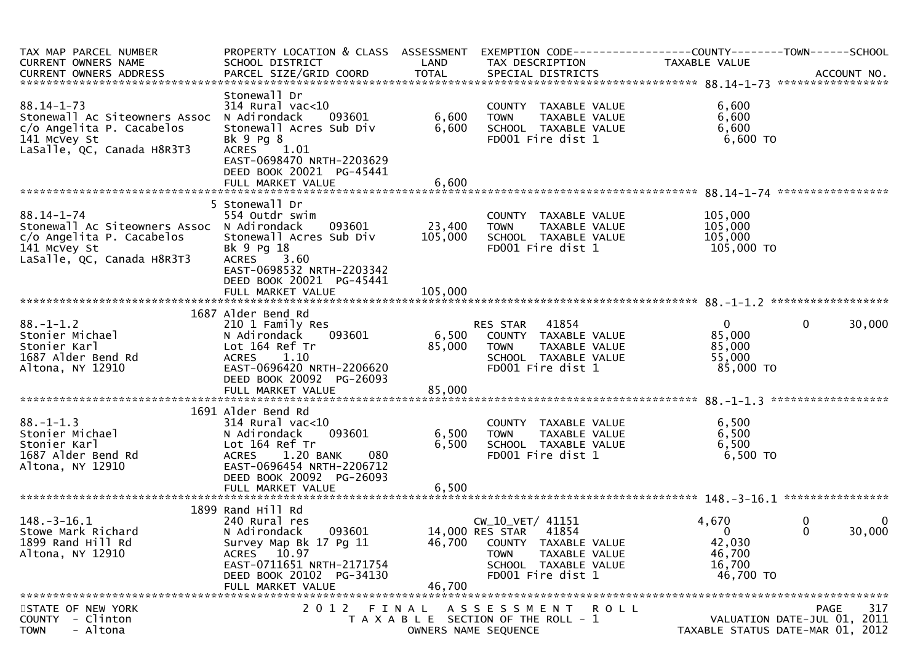| TAX MAP PARCEL NUMBER<br>CURRENT OWNERS NAME                                                                                              | SCHOOL DISTRICT                                                                                                                                                                          | LAND                      | PROPERTY LOCATION & CLASS ASSESSMENT EXEMPTION CODE----------------COUNTY-------TOWN------SCHOOL<br>TAX DESCRIPTION                               | <b>TAXABLE VALUE</b>                                             |                                                                                |
|-------------------------------------------------------------------------------------------------------------------------------------------|------------------------------------------------------------------------------------------------------------------------------------------------------------------------------------------|---------------------------|---------------------------------------------------------------------------------------------------------------------------------------------------|------------------------------------------------------------------|--------------------------------------------------------------------------------|
| $88.14 - 1 - 73$<br>Stonewall Ac Siteowners Assoc<br>c/o Angelita P. Cacabelos<br>141 McVey St<br>LaSalle, QC, Canada H8R3T3              | Stonewall Dr<br>$314$ Rural vac<10<br>093601<br>N Adirondack<br>Stonewall Acres Sub Div<br>Bk 9 Pg 8<br>ACRES 1.01<br>EAST-0698470 NRTH-2203629<br>DEED BOOK 20021 PG-45441              | 6,600<br>6,600            | COUNTY TAXABLE VALUE<br>TAXABLE VALUE<br><b>TOWN</b><br>SCHOOL TAXABLE VALUE<br>FD001 Fire dist 1                                                 | 6,600<br>6,600<br>6,600<br>6,600 TO                              |                                                                                |
| $88.14 - 1 - 74$<br>Stonewall Ac Siteowners Assoc N Adirondack<br>c/o Angelita P. Cacabelos<br>141 McVey St<br>LaSalle, QC, Canada H8R3T3 | 5 Stonewall Dr<br>554 Outdr swim<br>093601<br>Stonewall Acres Sub Div<br>Bk 9 Pg 18<br>ACRES 3.60<br>EAST-0698532 NRTH-2203342<br>DEED BOOK 20021 PG-45441                               | 23,400<br>105,000         | COUNTY TAXABLE VALUE<br>TAXABLE VALUE<br><b>TOWN</b><br>SCHOOL TAXABLE VALUE<br>FD001 Fire dist 1                                                 | 105,000<br>105,000<br>105,000<br>105,000 то                      |                                                                                |
| $88. - 1 - 1.2$<br>Stonier Michael<br>Stonier Karl<br>1687 Alder Bend Rd<br>Altona, NY 12910                                              | 1687 Alder Bend Rd<br>210 1 Family Res<br>093601<br>N Adirondack<br>Lot 164 Ref Tr<br><b>ACRES</b><br>1.10<br>EAST-0696420 NRTH-2206620<br>DEED BOOK 20092 PG-26093<br>FULL MARKET VALUE | 6,500<br>85,000<br>85,000 | 41854<br>RES STAR<br>COUNTY TAXABLE VALUE<br><b>TOWN</b><br>TAXABLE VALUE<br>SCHOOL TAXABLE VALUE<br>FD001 Fire dist 1                            | $\mathbf{0}$<br>85,000<br>85,000<br>55,000<br>85,000 TO          | 30,000<br>0                                                                    |
| $88. - 1 - 1.3$<br>Stonier Michael<br>Stonier Karl<br>1687 Alder Bend Rd<br>Altona, NY 12910                                              | 1691 Alder Bend Rd<br>$314$ Rural vac< $10$<br>093601<br>N Adirondack<br>Lot 164 Ref Tr<br>1.20 BANK<br><b>ACRES</b><br>080<br>EAST-0696454 NRTH-2206712<br>DEED BOOK 20092 PG-26093     | 6,500<br>6,500            | COUNTY TAXABLE VALUE<br>TAXABLE VALUE<br><b>TOWN</b><br>SCHOOL TAXABLE VALUE<br>FD001 Fire dist 1                                                 | 6,500<br>6,500<br>6,500<br>6,500 TO                              |                                                                                |
| $148.-3-16.1$<br>Stowe Mark Richard<br>1899 Rand Hill Rd<br>Altona, NY 12910                                                              | 1899 Rand Hill Rd<br>240 Rural res<br>N Adirondack<br>093601<br>Survey Map Bk 17 Pg 11<br>ACRES 10.97<br>EAST-0711651 NRTH-2171754<br>DEED BOOK 20102 PG-34130<br>FULL MARKET VALUE      | 46,700<br>46,700          | CW_10_VET/ 41151<br>41854<br>14,000 RES STAR<br>COUNTY TAXABLE VALUE<br>TAXABLE VALUE<br><b>TOWN</b><br>SCHOOL TAXABLE VALUE<br>FD001 Fire dist 1 | 4,670<br>$\mathbf{0}$<br>42,030<br>46,700<br>16,700<br>46,700 TO | 0<br>0<br>30,000<br>$\mathbf{0}$                                               |
| STATE OF NEW YORK<br>- Clinton<br><b>COUNTY</b><br>- Altona<br><b>TOWN</b>                                                                |                                                                                                                                                                                          |                           | 2012 FINAL ASSESSMENT ROLL<br>T A X A B L E SECTION OF THE ROLL - 1<br>OWNERS NAME SEQUENCE                                                       |                                                                  | 317<br>PAGE<br>VALUATION DATE-JUL 01, 2011<br>TAXABLE STATUS DATE-MAR 01, 2012 |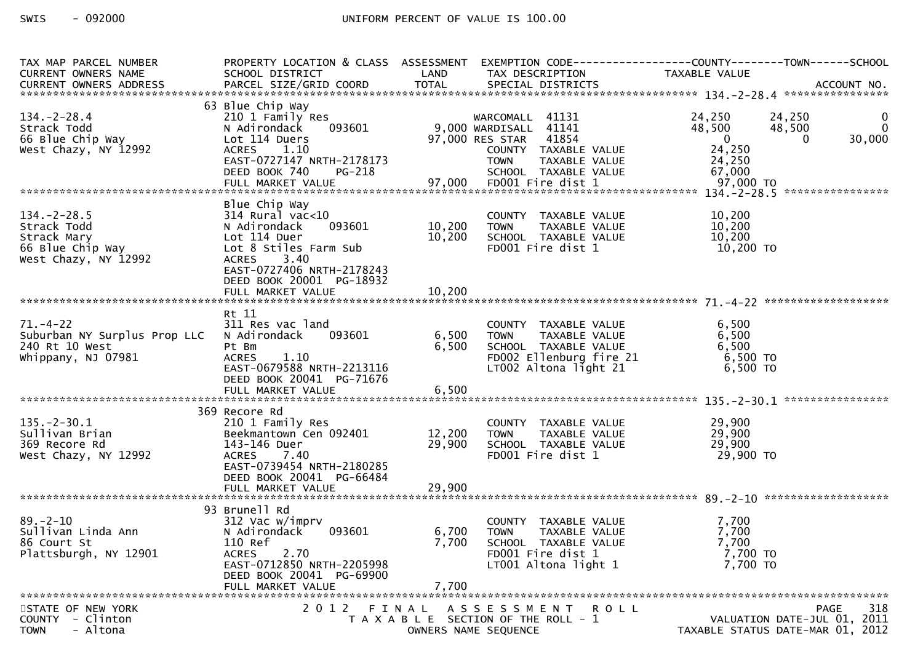| TAX MAP PARCEL NUMBER<br>CURRENT OWNERS NAME | PROPERTY LOCATION & CLASS ASSESSMENT<br>SCHOOL DISTRICT | LAND             | TAX DESCRIPTION                                      | EXEMPTION        CODE------------------COUNTY-------TOWN------SCHOOL<br>TAXABLE VALUE |
|----------------------------------------------|---------------------------------------------------------|------------------|------------------------------------------------------|---------------------------------------------------------------------------------------|
|                                              |                                                         |                  |                                                      |                                                                                       |
|                                              | 63 Blue Chip Way                                        |                  |                                                      |                                                                                       |
| $134 - 2 - 28.4$                             | 210 1 Family Res                                        |                  | WARCOMALL 41131                                      | 24,250<br>24,250<br>$\mathbf{0}$                                                      |
| Strack Todd<br>66 Blue Chip Way              | 093601<br>N Adirondack<br>Lot 114 Duers                 |                  | 9,000 WARDISALL 41141<br>97,000 RES STAR 41854       | $\Omega$<br>48,500<br>48,500<br>$\overline{\mathbf{0}}$<br>30,000<br>$\Omega$         |
| West Chazy, NY 12992                         | <b>ACRES</b><br>1.10                                    |                  | COUNTY TAXABLE VALUE                                 | 24,250                                                                                |
|                                              | EAST-0727147 NRTH-2178173                               |                  | <b>TOWN</b><br>TAXABLE VALUE                         | 24,250                                                                                |
|                                              | DEED BOOK 740<br><b>PG-218</b>                          |                  | SCHOOL TAXABLE VALUE                                 | 67,000                                                                                |
|                                              |                                                         |                  |                                                      |                                                                                       |
|                                              | Blue Chip Way                                           |                  |                                                      |                                                                                       |
| $134. - 2 - 28.5$<br>Strack Todd             | $314$ Rural vac< $10$<br>N Adirondack<br>093601         | 10,200           | COUNTY TAXABLE VALUE<br><b>TOWN</b><br>TAXABLE VALUE | 10,200<br>10,200                                                                      |
| Strack Mary                                  | Lot 114 Duer                                            | 10,200           | SCHOOL TAXABLE VALUE                                 | 10,200                                                                                |
| 66 Blue Chip Way                             | Lot 8 Stiles Farm Sub                                   |                  | FD001 Fire dist 1                                    | 10,200 TO                                                                             |
| West Chazy, NY 12992                         | ACRES 3.40<br>EAST-0727406 NRTH-2178243                 |                  |                                                      |                                                                                       |
|                                              | DEED BOOK 20001 PG-18932                                |                  |                                                      |                                                                                       |
|                                              |                                                         |                  |                                                      |                                                                                       |
|                                              | Rt 11                                                   |                  |                                                      |                                                                                       |
| $71. - 4 - 22$                               | 311 Res vac land                                        |                  | COUNTY TAXABLE VALUE                                 | 6,500                                                                                 |
| Suburban NY Surplus Prop LLC                 | 093601<br>N Adirondack                                  | 6,500            | TAXABLE VALUE<br><b>TOWN</b>                         | 6,500                                                                                 |
| 240 Rt 10 West<br>Whippany, NJ 07981         | Pt Bm<br><b>ACRES</b><br>1.10                           | 6,500            | SCHOOL TAXABLE VALUE<br>FDOO2 Ellenburg fire 21      | 6,500<br>6,500 TO                                                                     |
|                                              | EAST-0679588 NRTH-2213116                               |                  | LT002 Altona light 21                                | $6,500$ TO                                                                            |
|                                              | DEED BOOK 20041 PG-71676                                |                  |                                                      |                                                                                       |
|                                              |                                                         |                  |                                                      |                                                                                       |
|                                              | 369 Recore Rd                                           |                  |                                                      |                                                                                       |
| $135. - 2 - 30.1$                            | 210 1 Family Res                                        |                  | COUNTY TAXABLE VALUE                                 | 29,900                                                                                |
| Sullivan Brian<br>369 Recore Rd              | Beekmantown Cen 092401<br>143-146 Duer                  | 12,200<br>29,900 | TAXABLE VALUE<br><b>TOWN</b><br>SCHOOL TAXABLE VALUE | 29,900<br>29,900                                                                      |
| West Chazy, NY 12992                         | ACRES 7.40                                              |                  | FD001 Fire dist 1                                    | 29,900 TO                                                                             |
|                                              | EAST-0739454 NRTH-2180285                               |                  |                                                      |                                                                                       |
|                                              | DEED BOOK 20041 PG-66484                                |                  |                                                      |                                                                                       |
|                                              |                                                         |                  |                                                      |                                                                                       |
| $89. - 2 - 10$                               | 93 Brunell Rd<br>312 Vac w/imprv                        |                  | COUNTY TAXABLE VALUE                                 | 7,700                                                                                 |
| Sullivan Linda Ann                           | 093601<br>N Adirondack                                  | 6,700            | <b>TOWN</b><br>TAXABLE VALUE                         | 7,700                                                                                 |
| 86 Court St                                  | 110 Ref                                                 | 7,700            | SCHOOL TAXABLE VALUE                                 | 7,700                                                                                 |
| Plattsburgh, NY 12901                        | 2.70<br><b>ACRES</b><br>EAST-0712850 NRTH-2205998       |                  | FD001 Fire dist 1<br>LT001 Altona light 1            | 7,700 TO<br>7,700 TO                                                                  |
|                                              | DEED BOOK 20041 PG-69900                                |                  |                                                      |                                                                                       |
|                                              | FULL MARKET VALUE                                       | 7,700            |                                                      |                                                                                       |
| STATE OF NEW YORK                            | 2012                                                    |                  | FINAL ASSESSMENT ROLL                                | 318<br><b>PAGE</b>                                                                    |
| <b>COUNTY</b><br>- Clinton                   |                                                         |                  | T A X A B L E SECTION OF THE ROLL - 1                | VALUATION DATE-JUL 01, 2011                                                           |
| - Altona<br><b>TOWN</b>                      |                                                         |                  | OWNERS NAME SEQUENCE                                 | TAXABLE STATUS DATE-MAR 01, 2012                                                      |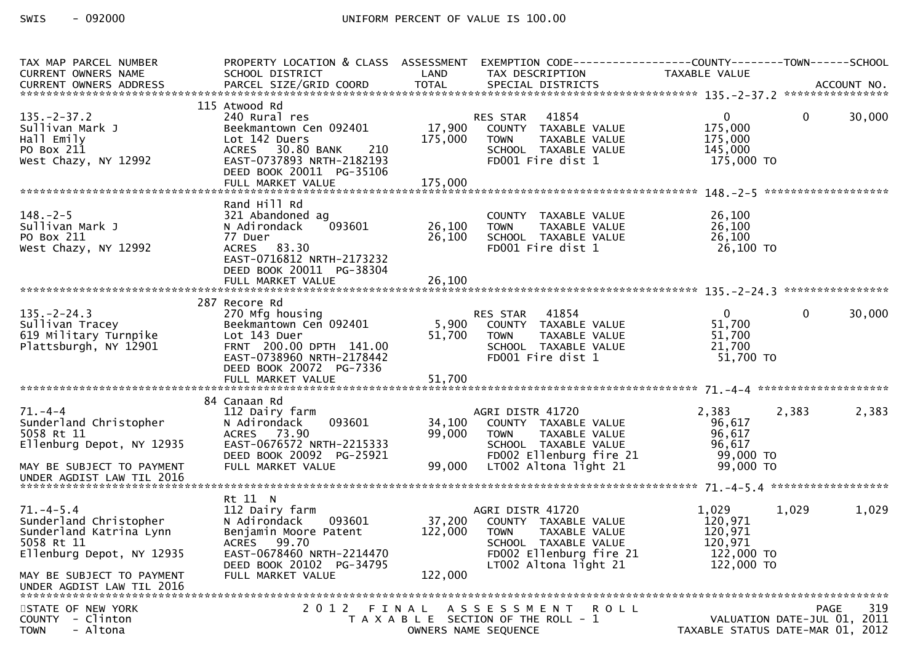| TAX MAP PARCEL NUMBER<br><b>CURRENT OWNERS NAME</b><br>CURRENT OWNERS ADDRESS                                  | PROPERTY LOCATION & CLASS ASSESSMENT<br>SCHOOL DISTRICT                                                                                   | LAND              | TAX DESCRIPTION                                                                                                                               | EXEMPTION CODE------------------COUNTY--------TOWN------SCHOOL<br>TAXABLE VALUE |                    |
|----------------------------------------------------------------------------------------------------------------|-------------------------------------------------------------------------------------------------------------------------------------------|-------------------|-----------------------------------------------------------------------------------------------------------------------------------------------|---------------------------------------------------------------------------------|--------------------|
|                                                                                                                |                                                                                                                                           |                   |                                                                                                                                               |                                                                                 |                    |
| $135. -2 - 37.2$<br>Sullivan Mark J<br>Hall Emily<br>PO Box 211                                                | 115 Atwood Rd<br>240 Rural res<br>Beekmantown Cen 092401<br>Lot 142 Duers<br>ACRES 30.80 BANK 210                                         | 17,900<br>175,000 | 41854<br>RES STAR<br>COUNTY TAXABLE VALUE<br><b>TOWN</b><br>TAXABLE VALUE<br>SCHOOL TAXABLE VALUE                                             | $\overline{0}$<br>$\mathbf{0}$<br>175,000<br>175,000<br>145,000                 | 30,000             |
| West Chazy, NY 12992                                                                                           | EAST-0737893 NRTH-2182193<br>DEED BOOK 20011 PG-35106                                                                                     |                   | FD001 Fire dist 1                                                                                                                             | 175,000 TO                                                                      |                    |
|                                                                                                                | Rand Hill Rd                                                                                                                              |                   |                                                                                                                                               |                                                                                 |                    |
| $148. - 2 - 5$<br>Sullivan Mark J<br>PO Box 211<br>West Chazy, NY 12992                                        | 321 Abandoned ag<br>093601<br>N Adirondack<br>77 Duer<br>ACRES 83.30<br>EAST-0716812 NRTH-2173232<br>DEED BOOK 20011 PG-38304             | 26,100<br>26,100  | COUNTY TAXABLE VALUE<br>TAXABLE VALUE<br><b>TOWN</b><br>SCHOOL TAXABLE VALUE<br>FD001 Fire dist 1                                             | 26,100<br>26,100<br>26,100<br>26,100 TO                                         |                    |
|                                                                                                                |                                                                                                                                           |                   |                                                                                                                                               |                                                                                 |                    |
| $135. -2 - 24.3$                                                                                               | 287 Recore Rd<br>270 Mfg housing                                                                                                          |                   | RES STAR 41854                                                                                                                                | 0<br>$\mathbf{0}$                                                               | 30,000             |
| Sullivan Tracey<br>619 Military Turnpike<br>Plattsburgh, NY 12901                                              | Beekmantown Cen 092401<br>Lot 143 Duer<br>FRNT 200.00 DPTH 141.00<br>EAST-0738960 NRTH-2178442<br>DEED BOOK 20072 PG-7336                 | 51,700            | 5,900 COUNTY TAXABLE VALUE<br><b>TOWN</b><br>TAXABLE VALUE<br>SCHOOL TAXABLE VALUE<br>FD001 Fire dist 1                                       | 51,700<br>51,700<br>21,700<br>51,700 TO                                         |                    |
|                                                                                                                |                                                                                                                                           |                   |                                                                                                                                               |                                                                                 |                    |
| $71. - 4 - 4$<br>Sunderland Christopher<br>5058 Rt 11<br>Ellenburg Depot, NY 12935                             | 84 Canaan Rd<br>112 Dairy farm<br>093601<br>N Adirondack<br>ACRES 73.90<br>EAST-0676572 NRTH-2215333<br>DEED BOOK 20092 PG-25921          | 34,100<br>99,000  | AGRI DISTR 41720<br>COUNTY TAXABLE VALUE<br>TAXABLE VALUE<br><b>TOWN</b><br>SCHOOL TAXABLE VALUE<br>FD002 Ellenburg fire 21                   | 2,383<br>2,383<br>96,617<br>96,617<br>96,617<br>99,000 TO                       | 2,383              |
| MAY BE SUBJECT TO PAYMENT<br>UNDER AGDIST LAW TIL 2016                                                         | FULL MARKET VALUE                                                                                                                         | 99,000            | LT002 Altona light 21                                                                                                                         | 99,000 TO                                                                       |                    |
|                                                                                                                | Rt 11 N                                                                                                                                   |                   |                                                                                                                                               |                                                                                 |                    |
| $71. -4 - 5.4$<br>Sunderland Christopher<br>Sunderland Katrina Lynn<br>5058 Rt 11<br>Ellenburg Depot, NY 12935 | 112 Dairy farm<br>093601<br>N Adirondack<br>Benjamin Moore Patent<br>ACRES 99.70<br>EAST-0678460 NRTH-2214470<br>DEED BOOK 20102 PG-34795 | 37,200<br>122,000 | AGRI DISTR 41720<br>COUNTY TAXABLE VALUE<br>TAXABLE VALUE<br>TOWN<br>SCHOOL TAXABLE VALUE<br>FD002 Ellenburg fire 21<br>LT002 Altona light 21 | 1,029<br>1,029<br>120,971<br>120,971<br>120,971<br>$122,000$ TO<br>122,000 TO   | 1,029              |
| MAY BE SUBJECT TO PAYMENT<br>UNDER AGDIST LAW TIL 2016                                                         | FULL MARKET VALUE                                                                                                                         | 122,000           |                                                                                                                                               |                                                                                 |                    |
| STATE OF NEW YORK<br><b>COUNTY</b><br>- Clinton<br>- Altona<br><b>TOWN</b>                                     | 2 0 1 2                                                                                                                                   |                   | FINAL ASSESSMENT ROLL<br>T A X A B L E SECTION OF THE ROLL - 1<br>OWNERS NAME SEQUENCE                                                        | VALUATION DATE-JUL 01, 2011<br>TAXABLE STATUS DATE-MAR 01, 2012                 | 319<br><b>PAGE</b> |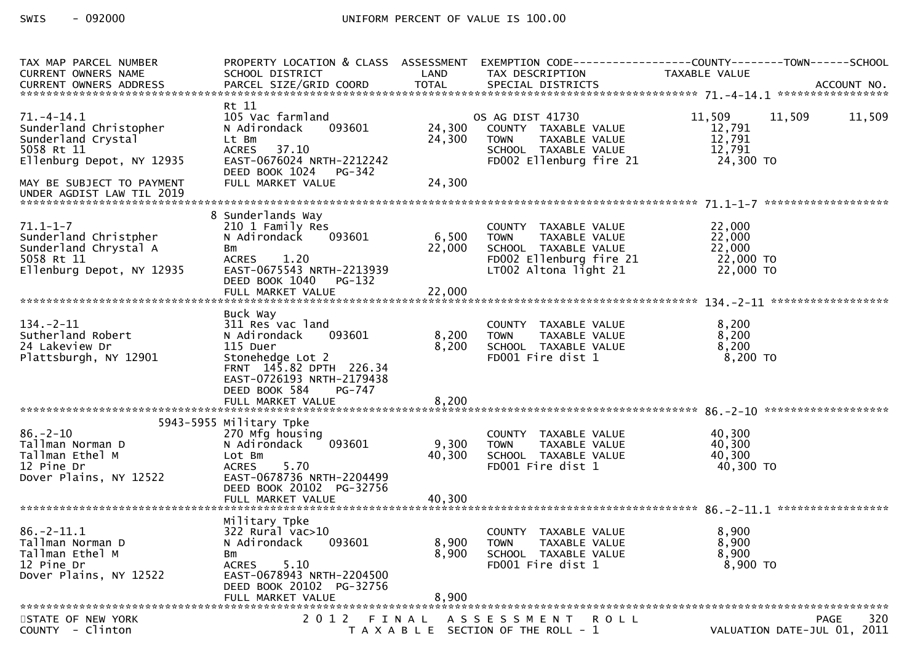| TAX MAP PARCEL NUMBER<br><b>CURRENT OWNERS NAME</b>                                                         | SCHOOL DISTRICT                                                                                                                                                                                | LAND                    | PROPERTY LOCATION & CLASS ASSESSMENT EXEMPTION CODE----------------COUNTY--------TOWN------SCHOOL<br>TAX DESCRIPTION      | TAXABLE VALUE                                        |                             |
|-------------------------------------------------------------------------------------------------------------|------------------------------------------------------------------------------------------------------------------------------------------------------------------------------------------------|-------------------------|---------------------------------------------------------------------------------------------------------------------------|------------------------------------------------------|-----------------------------|
|                                                                                                             |                                                                                                                                                                                                |                         |                                                                                                                           |                                                      |                             |
| $71. - 4 - 14.1$<br>Sunderland Christopher<br>Sunderland Crystal<br>5058 Rt 11<br>Ellenburg Depot, NY 12935 | Rt 11<br>105 Vac farmland<br>093601<br>N Adirondack<br>Lt Bm<br><b>ACRES</b><br>37.10<br>EAST-0676024 NRTH-2212242<br>DEED BOOK 1024 PG-342                                                    | 24,300<br>24,300        | OS AG DIST 41730<br>COUNTY TAXABLE VALUE<br>TAXABLE VALUE<br>TOWN<br>SCHOOL TAXABLE VALUE<br>FD002 Ellenburg fire 21      | 11,509<br>12,791<br>12,791<br>12,791<br>24,300 TO    | 11,509<br>11,509            |
| MAY BE SUBJECT TO PAYMENT<br>UNDER AGDIST LAW TIL 2019                                                      | FULL MARKET VALUE                                                                                                                                                                              | 24,300                  |                                                                                                                           |                                                      |                             |
| $71.1 - 1 - 7$<br>Sunderland Christpher<br>Sunderland Chrystal A<br>5058 Rt 11<br>Ellenburg Depot, NY 12935 | 8 Sunderlands Way<br>210 1 Family Res<br>093601<br>N Adirondack<br>Bm<br>1.20<br><b>ACRES</b><br>EAST-0675543 NRTH-2213939<br>DEED BOOK 1040<br>PG-132                                         | 6,500<br>22,000         | COUNTY TAXABLE VALUE<br>TAXABLE VALUE<br>TOWN<br>SCHOOL TAXABLE VALUE<br>FD002 Ellenburg fire 21<br>LT002 Altona light 21 | 22,000<br>22,000<br>22,000<br>22,000 TO<br>22,000 TO |                             |
|                                                                                                             |                                                                                                                                                                                                |                         |                                                                                                                           |                                                      |                             |
| $134. - 2 - 11$<br>Sutherland Robert<br>24 Lakeview Dr<br>Plattsburgh, NY 12901                             | Buck Way<br>311 Res vac land<br>093601<br>N Adirondack<br>115 Duer<br>Stonehedge Lot 2<br>FRNT 145.82 DPTH 226.34<br>EAST-0726193 NRTH-2179438<br>DEED BOOK 584<br>PG-747<br>FULL MARKET VALUE | 8,200<br>8,200<br>8,200 | COUNTY TAXABLE VALUE<br><b>TOWN</b><br>TAXABLE VALUE<br>SCHOOL TAXABLE VALUE<br>FD001 Fire dist 1                         | 8,200<br>8,200<br>8,200<br>8,200 TO                  |                             |
|                                                                                                             | 5943-5955 Military Tpke                                                                                                                                                                        |                         |                                                                                                                           |                                                      |                             |
| $86. - 2 - 10$<br>Tallman Norman D<br>Tallman Ethel M<br>12 Pine Dr<br>Dover Plains, NY 12522               | 270 Mfg housing<br>093601<br>N Adirondack<br>Lot Bm<br>5.70<br><b>ACRES</b><br>EAST-0678736 NRTH-2204499<br>DEED BOOK 20102 PG-32756                                                           | 9,300<br>40,300         | COUNTY TAXABLE VALUE<br>TAXABLE VALUE<br><b>TOWN</b><br>SCHOOL TAXABLE VALUE<br>FD001 Fire dist 1                         | 40,300<br>40,300<br>40,300<br>40,300 TO              |                             |
|                                                                                                             |                                                                                                                                                                                                |                         |                                                                                                                           |                                                      |                             |
| $86. -2 - 11.1$<br>Tallman Norman D<br>Tallman Ethel M<br>12 Pine Dr<br>Dover Plains, NY 12522              | Military Tpke<br>$322$ Rural vac $>10$<br>N Adirondack<br>093601<br>Bm<br>5.10<br><b>ACRES</b><br>EAST-0678943 NRTH-2204500<br>DEED BOOK 20102 PG-32756<br>FULL MARKET VALUE                   | 8,900<br>8,900<br>8,900 | COUNTY TAXABLE VALUE<br><b>TOWN</b><br>TAXABLE VALUE<br>SCHOOL TAXABLE VALUE<br>FD001 Fire dist 1                         | 8,900<br>8,900<br>8,900<br>8,900 TO                  |                             |
| STATE OF NEW YORK                                                                                           | 2012                                                                                                                                                                                           | FINAL                   | A S S E S S M E N T R O L L                                                                                               |                                                      | 320<br><b>PAGE</b>          |
| COUNTY - Clinton                                                                                            |                                                                                                                                                                                                |                         | T A X A B L E SECTION OF THE ROLL - 1                                                                                     |                                                      | VALUATION DATE-JUL 01, 2011 |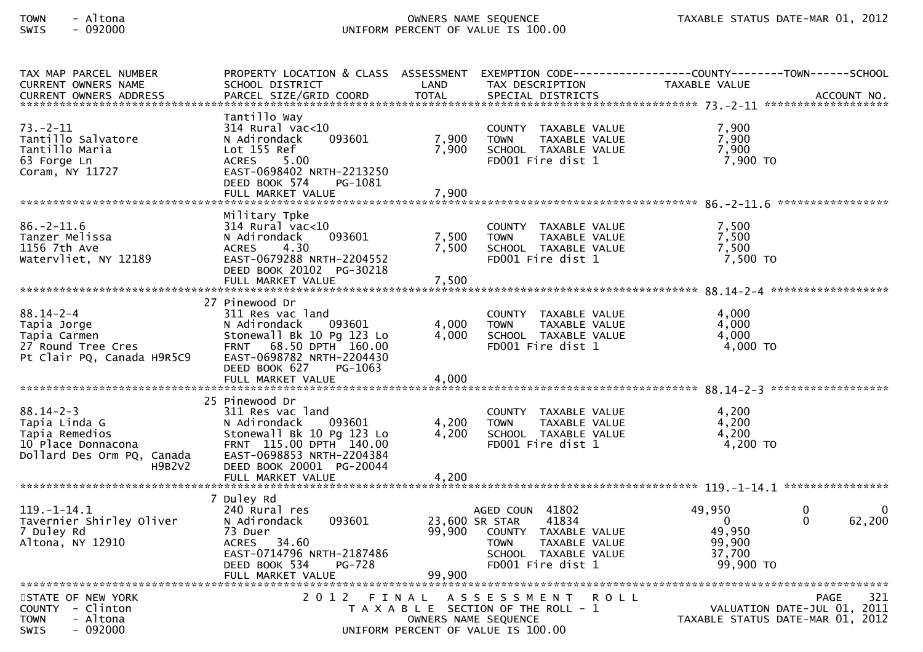| TAX MAP PARCEL NUMBER<br><b>CURRENT OWNERS NAME</b><br><b>CURRENT OWNERS ADDRESS</b>                             | PROPERTY LOCATION & CLASS ASSESSMENT EXEMPTION CODE----------------COUNTY-------TOWN------SCHOOL<br>SCHOOL DISTRICT<br>PARCEL SIZE/GRID COORD                                         | LAND<br><b>TOTAL</b>    | TAX DESCRIPTION<br>SPECIAL DISTRICTS                                                                                                            | TAXABLE VALUE                                                 | ACCOUNT NO.                                                     |
|------------------------------------------------------------------------------------------------------------------|---------------------------------------------------------------------------------------------------------------------------------------------------------------------------------------|-------------------------|-------------------------------------------------------------------------------------------------------------------------------------------------|---------------------------------------------------------------|-----------------------------------------------------------------|
| $73. - 2 - 11$<br>Tantillo Salvatore<br>Tantillo Maria<br>63 Forge Ln<br>Coram, NY 11727                         | Tantillo Wav<br>$314$ Rural vac $<$ 10<br>N Adirondack<br>093601<br>Lot 155 Ref<br>5.00<br><b>ACRES</b><br>EAST-0698402 NRTH-2213250<br>DEED BOOK 574<br>PG-1081<br>FULL MARKET VALUE | 7,900<br>7,900<br>7,900 | COUNTY TAXABLE VALUE<br>TAXABLE VALUE<br><b>TOWN</b><br>SCHOOL TAXABLE VALUE<br>FD001 Fire dist 1                                               | 7,900<br>7,900<br>7,900<br>7,900 TO                           |                                                                 |
|                                                                                                                  |                                                                                                                                                                                       |                         |                                                                                                                                                 |                                                               |                                                                 |
| $86. - 2 - 11.6$<br>Tanzer Melissa<br>1156 7th Ave<br>Watervliet, NY 12189                                       | Military Tpke<br>314 Rural vac<10<br>N Adirondack<br>093601<br>4.30<br><b>ACRES</b><br>EAST-0679288 NRTH-2204552<br>DEED BOOK 20102 PG-30218<br>FULL MARKET VALUE                     | 7,500<br>7,500<br>7,500 | COUNTY TAXABLE VALUE<br>TAXABLE VALUE<br><b>TOWN</b><br>SCHOOL TAXABLE VALUE<br>FD001 Fire dist 1                                               | 7,500<br>7,500<br>7,500<br>7,500 TO                           |                                                                 |
|                                                                                                                  | 27 Pinewood Dr                                                                                                                                                                        |                         |                                                                                                                                                 |                                                               |                                                                 |
| $88.14 - 2 - 4$<br>Tapia Jorge<br>Tapia Carmen<br>27 Round Tree Cres<br>Pt Clair PQ, Canada H9R5C9               | 311 Res vac land<br>093601<br>N Adirondack<br>Stonewall Bk 10 Pg 123 Lo<br>FRNT 68.50 DPTH 160.00<br>EAST-0698782 NRTH-2204430<br>DEED BOOK 627<br>PG-1063<br>FULL MARKET VALUE       | 4,000<br>4,000<br>4,000 | COUNTY TAXABLE VALUE<br><b>TOWN</b><br>TAXABLE VALUE<br>SCHOOL TAXABLE VALUE<br>FD001 Fire dist 1                                               | 4,000<br>4,000<br>4,000<br>4,000 TO                           |                                                                 |
|                                                                                                                  |                                                                                                                                                                                       |                         |                                                                                                                                                 |                                                               |                                                                 |
| $88.14 - 2 - 3$<br>Tapia Linda G<br>Tapia Remedios<br>10 Place Donnacona<br>Dollard Des Orm PQ, Canada<br>H9B2V2 | 25 Pinewood Dr<br>311 Res vac land<br>N Adirondack<br>093601<br>Stonewall Bk 10 Pg 123 Lo<br>FRNT 115.00 DPTH 140.00<br>EAST-0698853 NRTH-2204384<br>DEED BOOK 20001 PG-20044         | 4,200<br>4,200          | COUNTY TAXABLE VALUE<br>TAXABLE VALUE<br><b>TOWN</b><br>SCHOOL TAXABLE VALUE<br>FD001 Fire dist 1                                               | 4.200<br>4,200<br>4,200<br>$4,200$ TO                         |                                                                 |
|                                                                                                                  | FULL MARKET VALUE                                                                                                                                                                     | 4,200                   |                                                                                                                                                 |                                                               |                                                                 |
|                                                                                                                  | 7 Duley Rd                                                                                                                                                                            |                         |                                                                                                                                                 |                                                               |                                                                 |
| $119. - 1 - 14.1$<br>Tavernier Shirley Oliver<br>7 Duley Rd<br>Altona, NY 12910                                  | 240 Rural res<br>N Adirondack<br>093601<br>73 Duer<br><b>ACRES</b><br>34.60<br>EAST-0714796 NRTH-2187486<br>DEED BOOK 534<br><b>PG-728</b><br>FULL MARKET VALUE                       | 99,900<br>99,900        | AGED COUN 41802<br>23,600 SR STAR<br>41834<br>COUNTY TAXABLE VALUE<br>TAXABLE VALUE<br><b>TOWN</b><br>SCHOOL TAXABLE VALUE<br>FD001 Fire dist 1 | 49,950<br>$\Omega$<br>49,950<br>99.900<br>37,700<br>99,900 TO | $\Omega$<br>62,200<br>$\Omega$                                  |
| STATE OF NEW YORK                                                                                                | 2 0 1 2<br>FINAL                                                                                                                                                                      |                         | A S S E S S M E N T                                                                                                                             | <b>ROLL</b>                                                   | 321<br><b>PAGE</b>                                              |
| COUNTY - Clinton<br><b>TOWN</b><br>- Altona<br><b>SWIS</b><br>- 092000                                           |                                                                                                                                                                                       |                         | T A X A B L E SECTION OF THE ROLL - 1<br>OWNERS NAME SEQUENCE<br>UNIFORM PERCENT OF VALUE IS 100.00                                             |                                                               | VALUATION DATE-JUL 01, 2011<br>TAXABLE STATUS DATE-MAR 01, 2012 |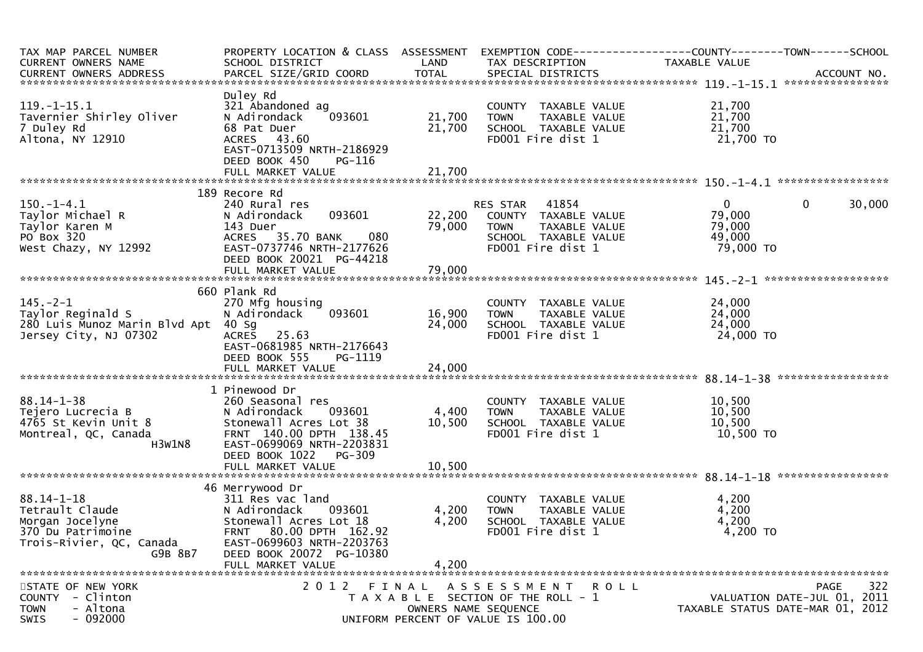| TAX MAP PARCEL NUMBER<br>CURRENT OWNERS NAME                                                                       | PROPERTY LOCATION & CLASS ASSESSMENT EXEMPTION CODE----------------COUNTY--------TOWN------SCHOOL<br>SCHOOL DISTRICT                                                                            | LAND                    |                                                                                                                     | TAXABLE VALUE                                           |                                            |
|--------------------------------------------------------------------------------------------------------------------|-------------------------------------------------------------------------------------------------------------------------------------------------------------------------------------------------|-------------------------|---------------------------------------------------------------------------------------------------------------------|---------------------------------------------------------|--------------------------------------------|
| CURRENT OWNERS ADDRESS                                                                                             |                                                                                                                                                                                                 |                         | TAX DESCRIPTION                                                                                                     |                                                         |                                            |
|                                                                                                                    |                                                                                                                                                                                                 |                         |                                                                                                                     |                                                         |                                            |
| $119. - 1 - 15.1$<br>Tavernier Shirley Oliver<br>7 Duley Rd<br>Altona, NY 12910                                    | Duley Rd<br>321 Abandoned ag<br>093601<br>N Adirondack<br>68 Pat Duer<br>ACRES 43.60<br>EAST-0713509 NRTH-2186929<br>DEED BOOK 450<br>PG-116                                                    | 21,700<br>21,700        | COUNTY TAXABLE VALUE<br><b>TOWN</b><br>TAXABLE VALUE<br>SCHOOL TAXABLE VALUE<br>FD001 Fire dist 1                   | 21,700<br>21,700<br>21,700<br>21,700 TO                 |                                            |
|                                                                                                                    |                                                                                                                                                                                                 |                         |                                                                                                                     |                                                         |                                            |
|                                                                                                                    | 189 Recore Rd                                                                                                                                                                                   |                         |                                                                                                                     |                                                         |                                            |
| $150.-1-4.1$<br>Taylor Michael R<br>Taylor Karen M<br>PO Box 320<br>West Chazy, NY 12992                           | 240 Rural res<br>093601<br>N Adirondack<br>143 Duer<br>080<br>ACRES 35.70 BANK<br>EAST-0737746 NRTH-2177626<br>DEED BOOK 20021 PG-44218                                                         | 22,200<br>79,000        | RES STAR 41854<br>COUNTY TAXABLE VALUE<br>TAXABLE VALUE<br><b>TOWN</b><br>SCHOOL TAXABLE VALUE<br>FD001 Fire dist 1 | $\mathbf{0}$<br>79,000<br>79,000<br>49,000<br>79,000 TO | $\mathbf{0}$<br>30,000                     |
|                                                                                                                    | FULL MARKET VALUE                                                                                                                                                                               | 79,000                  |                                                                                                                     |                                                         |                                            |
| $145. - 2 - 1$<br>Taylor Reginald S<br>280 Luis Munoz Marin Blvd Apt 40 Sg<br>Jersey City, NJ 07302                | 660 Plank Rd<br>270 Mfg housing<br>093601<br>N Adirondack<br>ACRES 25.63<br>EAST-0681985 NRTH-2176643<br>DEED BOOK 555<br>PG-1119                                                               | 16,900<br>24,000        | COUNTY TAXABLE VALUE<br>TAXABLE VALUE<br><b>TOWN</b><br>SCHOOL TAXABLE VALUE<br>FD001 Fire dist 1                   | 24,000<br>24,000<br>24,000<br>24,000 TO                 |                                            |
|                                                                                                                    | 1 Pinewood Dr                                                                                                                                                                                   |                         |                                                                                                                     |                                                         |                                            |
| $88.14 - 1 - 38$<br>Tejero Lucrecia B<br>4765 St Kevin Unit 8<br>Montreal, QC, Canada<br>H3W1N8                    | 260 Seasonal res<br>093601<br>N Adirondack<br>Stonewall Acres Lot 38<br>FRNT 140.00 DPTH 138.45<br>EAST-0699069 NRTH-2203831<br>DEED BOOK 1022<br>PG-309                                        | 4,400<br>10,500         | COUNTY TAXABLE VALUE<br><b>TOWN</b><br>TAXABLE VALUE<br>SCHOOL TAXABLE VALUE<br>FD001 Fire dist 1                   | 10,500<br>10,500<br>10,500<br>10,500 TO                 |                                            |
|                                                                                                                    |                                                                                                                                                                                                 |                         |                                                                                                                     |                                                         |                                            |
| $88.14 - 1 - 18$<br>Tetrault Claude<br>Morgan Jocelyne<br>370 Du Patrimoine<br>Trois-Rivier, QC, Canada<br>G9B 8B7 | 46 Merrywood Dr<br>311 Res vac land<br>N Adirondack<br>093601<br>Stonewall Acres Lot 18<br>FRNT 80.00 DPTH 162.92<br>EAST-0699603 NRTH-2203763<br>DEED BOOK 20072 PG-10380<br>FULL MARKET VALUE | 4,200<br>4,200<br>4,200 | COUNTY TAXABLE VALUE<br>TAXABLE VALUE<br><b>TOWN</b><br>SCHOOL TAXABLE VALUE<br>FD001 Fire dist 1                   | 4,200<br>4,200<br>4,200<br>4,200 TO                     |                                            |
| STATE OF NEW YORK<br>COUNTY - Clinton<br>- Altona<br><b>TOWN</b><br>$-092000$<br><b>SWIS</b>                       | 2012 FINAL                                                                                                                                                                                      | OWNERS NAME SEQUENCE    | A S S E S S M E N T R O L L<br>T A X A B L E SECTION OF THE ROLL - 1<br>UNIFORM PERCENT OF VALUE IS 100.00          | TAXABLE STATUS DATE-MAR 01, 2012                        | 322<br>PAGE<br>VALUATION DATE-JUL 01, 2011 |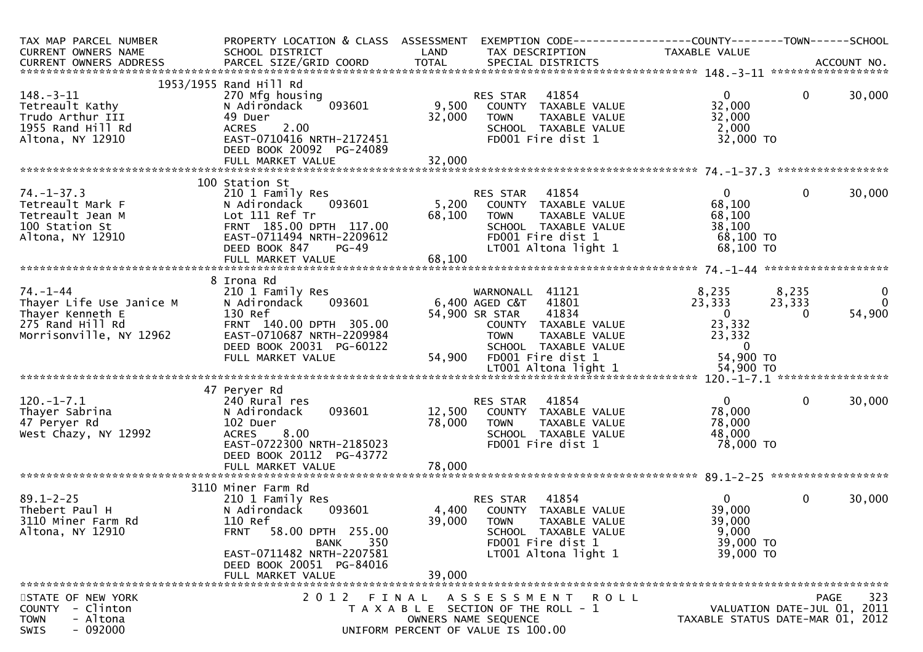| TAX MAP PARCEL NUMBER<br>CURRENT OWNERS NAME<br>CURRENT OWNERS ADDRESS                                        | PROPERTY LOCATION & CLASS ASSESSMENT<br>SCHOOL DISTRICT                                                                                                                                       | LAND                       | EXEMPTION CODE-----------------COUNTY--------TOWN-----SCHOOL<br>TAX DESCRIPTION                                                                                            | TAXABLE VALUE                                                                      |                                            |                         |
|---------------------------------------------------------------------------------------------------------------|-----------------------------------------------------------------------------------------------------------------------------------------------------------------------------------------------|----------------------------|----------------------------------------------------------------------------------------------------------------------------------------------------------------------------|------------------------------------------------------------------------------------|--------------------------------------------|-------------------------|
|                                                                                                               |                                                                                                                                                                                               |                            |                                                                                                                                                                            |                                                                                    |                                            |                         |
| $148. - 3 - 11$<br>Tetreault Kathy<br>Trudo Arthur III<br>1955 Rand Hill Rd<br>Altona, NY 12910               | 1953/1955 Rand Hill Rd<br>270 Mfg housing<br>093601<br>N Adirondack<br>49 Duer<br>2.00<br><b>ACRES</b><br>EAST-0710416 NRTH-2172451<br>DEED BOOK 20092 PG-24089                               | 9,500<br>32,000            | 41854<br>RES STAR<br>COUNTY TAXABLE VALUE<br>TAXABLE VALUE<br><b>TOWN</b><br>SCHOOL TAXABLE VALUE<br>FD001 Fire dist 1                                                     | $\mathbf{0}$<br>32,000<br>32,000<br>2,000<br>32,000 TO                             | $\mathbf{0}$                               | 30,000                  |
|                                                                                                               |                                                                                                                                                                                               |                            |                                                                                                                                                                            |                                                                                    |                                            |                         |
| $74. - 1 - 37.3$<br>Tetreault Mark F<br>Tetreault Jean M<br>100 Station St<br>Altona, NY 12910                | 100 Station St<br>210 1 Family Res<br>093601<br>N Adirondack<br>Lot 111 Ref Tr<br>FRNT 185.00 DPTH 117.00<br>EAST-0711494 NRTH-2209612<br>DEED BOOK 847<br>$PG-49$<br>FULL MARKET VALUE       | 5,200<br>68,100<br>68,100  | RES STAR<br>41854<br>COUNTY TAXABLE VALUE<br>TAXABLE VALUE<br><b>TOWN</b><br>SCHOOL TAXABLE VALUE<br>FD001 Fire dist 1<br>LT001 Altona light 1                             | $\mathbf{0}$<br>68,100<br>68,100<br>38,100<br>68,100 TO<br>68,100 TO               | 0                                          | 30,000                  |
|                                                                                                               |                                                                                                                                                                                               |                            |                                                                                                                                                                            |                                                                                    |                                            |                         |
| $74. - 1 - 44$<br>Thayer Life Use Janice M<br>Thayer Kenneth E<br>275 Rand Hill Rd<br>Morrisonville, NY 12962 | 8 Irona Rd<br>210 1 Family Res<br>093601<br>N Adirondack<br>130 Ref<br>FRNT 140.00 DPTH 305.00<br>EAST-0710687 NRTH-2209984<br>DEED BOOK 20031 PG-60122<br>FULL MARKET VALUE                  | 54,900                     | WARNONALL 41121<br>41801<br>6,400 AGED C&T<br>41834<br>54,900 SR STAR<br>COUNTY TAXABLE VALUE<br>TAXABLE VALUE<br><b>TOWN</b><br>SCHOOL TAXABLE VALUE<br>FD001 Fire dist 1 | 8,235<br>23,333<br>$\overline{0}$<br>23,332<br>23,332<br>$\mathbf{0}$<br>54,900 TO | 8,235<br>23,333<br>0                       | 0<br>$\Omega$<br>54,900 |
|                                                                                                               |                                                                                                                                                                                               |                            |                                                                                                                                                                            |                                                                                    |                                            |                         |
| $120.-1-7.1$<br>Thayer Sabrina<br>47 Peryer Rd<br>West Chazy, NY 12992                                        | 47 Peryer Rd<br>240 Rural res<br>093601<br>N Adirondack<br>102 Duer<br><b>ACRES</b><br>8.00<br>EAST-0722300 NRTH-2185023<br>DEED BOOK 20112 PG-43772<br>FULL MARKET VALUE                     | 12,500<br>78,000<br>78,000 | RES STAR<br>41854<br>COUNTY<br>TAXABLE VALUE<br><b>TOWN</b><br>TAXABLE VALUE<br>SCHOOL TAXABLE VALUE<br>FD001 Fire dist 1                                                  | $\Omega$<br>78,000<br>78,000<br>48,000<br>78,000 TO                                | $\mathbf{0}$                               | 30,000                  |
|                                                                                                               | 3110 Miner Farm Rd                                                                                                                                                                            |                            |                                                                                                                                                                            |                                                                                    |                                            |                         |
| $89.1 - 2 - 25$<br>Thebert Paul H<br>3110 Miner Farm Rd<br>Altona, NY 12910                                   | 210 1 Family Res<br>093601<br>N Adirondack<br>110 Ref<br>58.00 DPTH 255.00<br><b>FRNT</b><br>350<br><b>BANK</b><br>EAST-0711482 NRTH-2207581<br>DEED BOOK 20051 PG-84016<br>FULL MARKET VALUE | 4,400<br>39,000<br>39,000  | 41854<br><b>RES STAR</b><br>TAXABLE VALUE<br>COUNTY<br><b>TOWN</b><br>TAXABLE VALUE<br>SCHOOL TAXABLE VALUE<br>FD001 Fire dist 1<br>LT001 Altona light 1                   | $\Omega$<br>39,000<br>39,000<br>9,000<br>39,000 TO<br>39,000 TO                    | $\mathbf{0}$                               | 30,000                  |
| STATE OF NEW YORK<br>- Clinton<br><b>COUNTY</b><br>- Altona<br><b>TOWN</b><br>$-092000$<br>SWIS               |                                                                                                                                                                                               |                            | 2012 FINAL ASSESSMENT ROLL<br>T A X A B L E SECTION OF THE ROLL - 1<br>OWNERS NAME SEQUENCE<br>UNIFORM PERCENT OF VALUE IS 100.00                                          | TAXABLE STATUS DATE-MAR 01, 2012                                                   | <b>PAGE</b><br>VALUATION DATE-JUL 01, 2011 | 323                     |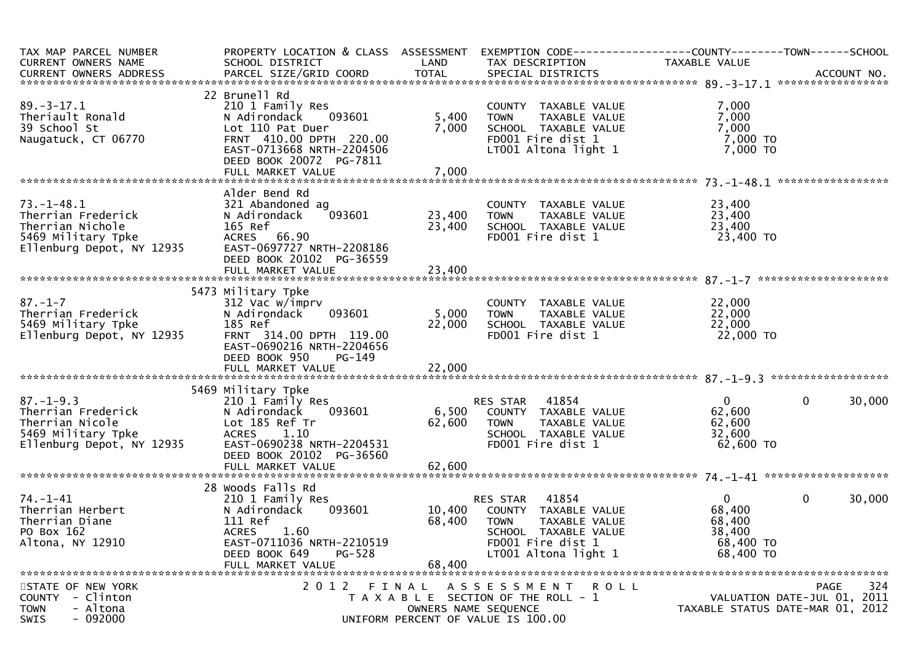| TAX MAP PARCEL NUMBER<br>CURRENT OWNERS NAME                                                                  | PROPERTY LOCATION & CLASS ASSESSMENT<br>SCHOOL DISTRICT                                                                                                                           | LAND                       | EXEMPTION        CODE------------------COUNTY-------TOWN------SCHOOL<br>TAX DESCRIPTION                                              | TAXABLE VALUE                                                        |                                                                                       |
|---------------------------------------------------------------------------------------------------------------|-----------------------------------------------------------------------------------------------------------------------------------------------------------------------------------|----------------------------|--------------------------------------------------------------------------------------------------------------------------------------|----------------------------------------------------------------------|---------------------------------------------------------------------------------------|
| CURRENT OWNERS ADDRESS PARCEL SIZE/GRID COORD TOTAL SPECIAL DISTRICTS (2011) 2014 ACCOUNT NO.                 |                                                                                                                                                                                   |                            |                                                                                                                                      |                                                                      |                                                                                       |
| $89. - 3 - 17.1$<br>Theriault Ronald<br>39 School St<br>Naugatuck, CT 06770                                   | 22 Brunell Rd<br>210 1 Family Res<br>093601<br>N Adirondack<br>Lot 110 Pat Duer<br>FRNT 410.00 DPTH 220.00<br>EAST-0713668 NRTH-2204506<br>DEED BOOK 20072 PG-7811                | 5,400<br>7,000             | COUNTY TAXABLE VALUE<br>TAXABLE VALUE<br><b>TOWN</b><br>SCHOOL TAXABLE VALUE<br>FD001 Fire dist 1<br>LT001 Altona light 1            | 7,000<br>7,000<br>7,000<br>7,000 TO<br>$7,000$ TO                    |                                                                                       |
|                                                                                                               |                                                                                                                                                                                   |                            |                                                                                                                                      |                                                                      |                                                                                       |
| $73. - 1 - 48.1$<br>Therrian Frederick<br>Therrian Nichole<br>5469 Military Tpke<br>Ellenburg Depot, NY 12935 | Alder Bend Rd<br>321 Abandoned ag<br>093601<br>N Adirondack<br>165 Ref<br>ACRES 66.90<br>EAST-0697727 NRTH-2208186<br>DEED BOOK 20102 PG-36559<br>FULL MARKET VALUE               | 23,400<br>23,400<br>23,400 | COUNTY TAXABLE VALUE<br>TAXABLE VALUE<br>TOWN<br>SCHOOL TAXABLE VALUE<br>FD001 Fire dist 1                                           | 23,400<br>23,400<br>23,400<br>23,400 TO                              |                                                                                       |
|                                                                                                               |                                                                                                                                                                                   |                            |                                                                                                                                      |                                                                      |                                                                                       |
| $87. - 1 - 7$<br>Therrian Frederick<br>5469 Military Tpke<br>Ellenburg Depot, NY 12935                        | 5473 Military Tpke<br>312 Vac w/imprv<br>093601<br>N Adirondack<br>185 Ref<br>FRNT 314.00 DPTH 119.00<br>EAST-0690216 NRTH-2204656<br>DEED BOOK 950<br>PG-149                     | 5,000<br>22,000            | COUNTY TAXABLE VALUE<br>TAXABLE VALUE<br>TOWN<br>SCHOOL TAXABLE VALUE<br>FD001 Fire dist 1                                           | 22,000<br>22,000<br>22,000<br>22,000 TO                              |                                                                                       |
|                                                                                                               | 5469 Military Tpke                                                                                                                                                                |                            |                                                                                                                                      |                                                                      |                                                                                       |
| $87. - 1 - 9.3$<br>Therrian Frederick<br>Therrian Nicole<br>5469 Military Tpke<br>Ellenburg Depot, NY 12935   | 210 1 Family Res<br>093601<br>N Adirondack<br>Lot 185 Ref Tr<br><b>ACRES</b><br>1.10<br>EAST-0690238 NRTH-2204531<br>DEED BOOK 20102 PG-36560                                     | 6,500<br>62,600            | 41854<br>RES STAR<br>COUNTY TAXABLE VALUE<br>TAXABLE VALUE<br>TOWN<br>SCHOOL TAXABLE VALUE<br>FD001 Fire dist 1                      | $\overline{0}$<br>62,600<br>62,600<br>32,600<br>62,600 TO            | $\mathbf{0}$<br>30,000                                                                |
|                                                                                                               |                                                                                                                                                                                   |                            |                                                                                                                                      |                                                                      |                                                                                       |
| $74. - 1 - 41$<br>Therrian Herbert<br>Therrian Diane<br>PO Box 162<br>Altona, NY 12910                        | 28 Woods Falls Rd<br>210 1 Family Res<br>N Adirondack<br>093601<br>111 Ref<br><b>ACRES</b><br>1.60<br>EAST-0711036 NRTH-2210519<br>DEED BOOK 649<br>$PG-528$<br>FULL MARKET VALUE | 10,400<br>68,400<br>68,400 | RES STAR 41854<br>COUNTY TAXABLE VALUE<br>TOWN<br>TAXABLE VALUE<br>SCHOOL TAXABLE VALUE<br>FD001 Fire dist 1<br>LT001 Altona light 1 | $\mathbf{0}$<br>68,400<br>68,400<br>38,400<br>68,400 TO<br>68,400 TO | $\mathbf 0$<br>30,000                                                                 |
| STATE OF NEW YORK<br>- Clinton<br><b>COUNTY</b><br>- Altona<br><b>TOWN</b><br>$-092000$<br><b>SWIS</b>        | 2 0 1 2<br>FINAL                                                                                                                                                                  |                            | ROLL<br>A S S E S S M E N T<br>T A X A B L E SECTION OF THE ROLL - 1<br>OWNERS NAME SEQUENCE<br>UNIFORM PERCENT OF VALUE IS 100.00   |                                                                      | 324<br><b>PAGE</b><br>VALUATION DATE-JUL 01, 2011<br>TAXABLE STATUS DATE-MAR 01, 2012 |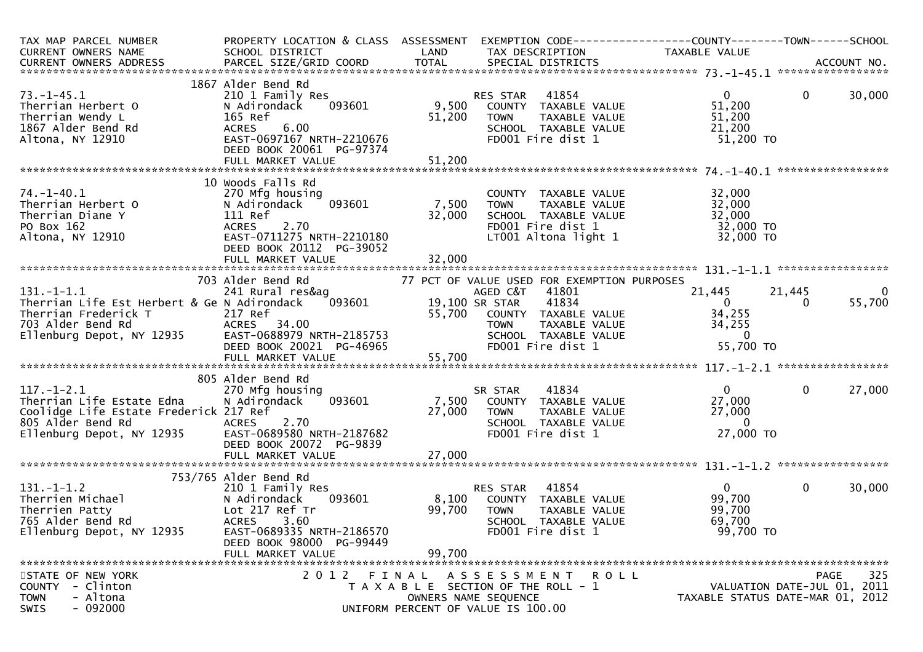| TAX MAP PARCEL NUMBER                                                                                                                                                                                          | PROPERTY LOCATION & CLASS ASSESSMENT EXEMPTION CODE----------------COUNTY-------TOWN------SCHOOL |                              |                                                                                                                              |                                  |                             |                |
|----------------------------------------------------------------------------------------------------------------------------------------------------------------------------------------------------------------|--------------------------------------------------------------------------------------------------|------------------------------|------------------------------------------------------------------------------------------------------------------------------|----------------------------------|-----------------------------|----------------|
| CURRENT OWNERS NAME                                                                                                                                                                                            | SCHOOL DISTRICT<br><b>Example 18 The LAND</b>                                                    |                              | TAX DESCRIPTION                                                                                                              | <b>TAXABLE VALUE</b>             |                             |                |
|                                                                                                                                                                                                                |                                                                                                  |                              |                                                                                                                              |                                  |                             |                |
|                                                                                                                                                                                                                | 1867 Alder Bend Rd                                                                               |                              |                                                                                                                              |                                  |                             |                |
| $73. - 1 - 45.1$                                                                                                                                                                                               | 210 1 Family Res                                                                                 |                              | RES STAR 41854                                                                                                               | $\mathbf{0}$                     | $\mathbf 0$                 | 30,000         |
| Therrian Herbert O                                                                                                                                                                                             | 093601<br>N Adirondack                                                                           |                              | 9,500 COUNTY TAXABLE VALUE                                                                                                   | 51,200                           |                             |                |
| Therrian Wendy L                                                                                                                                                                                               | 165 Ref                                                                                          | 51,200                       | <b>TOWN</b><br>TAXABLE VALUE                                                                                                 | 51,200                           |                             |                |
| 1867 Alder Bend Rd                                                                                                                                                                                             | ACRES 6.00                                                                                       |                              | SCHOOL TAXABLE VALUE                                                                                                         | 21,200                           |                             |                |
| Altona, NY 12910                                                                                                                                                                                               | EAST-0697167 NRTH-2210676                                                                        |                              | FD001 Fire dist 1                                                                                                            | 51,200 TO                        |                             |                |
|                                                                                                                                                                                                                | DEED BOOK 20061 PG-97374                                                                         |                              |                                                                                                                              |                                  |                             |                |
|                                                                                                                                                                                                                |                                                                                                  |                              |                                                                                                                              |                                  |                             |                |
|                                                                                                                                                                                                                |                                                                                                  |                              |                                                                                                                              |                                  |                             |                |
|                                                                                                                                                                                                                | 10 Woods Falls Rd                                                                                |                              |                                                                                                                              |                                  |                             |                |
| $74. - 1 - 40.1$                                                                                                                                                                                               | 270 Mfg housing                                                                                  |                              | COUNTY TAXABLE VALUE                                                                                                         | 32,000                           |                             |                |
| Therrian Herbert O                                                                                                                                                                                             | 093601<br>N Adirondack                                                                           | 7,500                        | TAXABLE VALUE<br><b>TOWN</b>                                                                                                 | 32,000                           |                             |                |
| Therrian Diane Y                                                                                                                                                                                               | 111 Ref                                                                                          | 32,000                       | SCHOOL TAXABLE VALUE                                                                                                         | 32,000                           |                             |                |
| PO Box 162                                                                                                                                                                                                     | <b>ACRES</b><br>2.70                                                                             |                              | FD001 Fire dist 1<br>$\mathbf{r}$                                                                                            | 32,000 TO                        |                             |                |
| Altona, NY 12910                                                                                                                                                                                               | EAST-0711275 NRTH-2210180                                                                        |                              | LT001 Altona light 1                                                                                                         | 32,000 TO                        |                             |                |
|                                                                                                                                                                                                                | DEED BOOK 20112 PG-39052                                                                         |                              |                                                                                                                              |                                  |                             |                |
|                                                                                                                                                                                                                |                                                                                                  |                              |                                                                                                                              |                                  |                             |                |
|                                                                                                                                                                                                                | 703 Alder Bend Rd                                                                                |                              | 77 PCT OF VALUE USED FOR EXEMPTION PURPOSES                                                                                  |                                  |                             |                |
| $131. -1 - 1.1$                                                                                                                                                                                                | Alder Bend Rd                        77 PCT<br>241 Rural res&ag                                  |                              | AGED C&T<br>41801                                                                                                            | 21,445                           | 21,445                      | $\overline{0}$ |
| Therrian Life Est Herbert & Ge N Adirondack                                                                                                                                                                    |                                                                                                  | $^{9}$ 093601 19,100 SR STAR | 41834                                                                                                                        | $\overline{0}$                   | $\Omega$                    | 55,700         |
|                                                                                                                                                                                                                |                                                                                                  |                              |                                                                                                                              | 34,255                           |                             |                |
|                                                                                                                                                                                                                |                                                                                                  |                              |                                                                                                                              | 34,255                           |                             |                |
|                                                                                                                                                                                                                |                                                                                                  |                              |                                                                                                                              | $\Omega$                         |                             |                |
|                                                                                                                                                                                                                |                                                                                                  |                              | 55,700 COUNTY TAXABLE VALUE 34,25<br>TOWN TAXABLE VALUE 34,25<br>SCHOOL TAXABLE VALUE 34,25<br>FDO01 Fire dist 1 55,7        | 55,700 TO                        |                             |                |
| Therrian Life Est Herbert & Se N Authorities<br>Therrian Frederick T<br>703 Alder Bend Rd<br>Ellenburg Depot, NY 12935<br>EAST-0688979 NRTH-2185753<br>DEED BOOK 20021 PG-46965<br>FULL MARKET VALUE<br>55,700 |                                                                                                  |                              |                                                                                                                              |                                  |                             |                |
|                                                                                                                                                                                                                |                                                                                                  |                              |                                                                                                                              |                                  |                             |                |
|                                                                                                                                                                                                                | 805 Alder Bend Rd                                                                                |                              |                                                                                                                              |                                  |                             |                |
| $117. - 1 - 2.1$                                                                                                                                                                                               | 270 Mfg housing                                                                                  |                              |                                                                                                                              | $\overline{0}$                   | $\mathbf 0$                 | 27,000         |
| Therrian Life Estate Edna                                                                                                                                                                                      | 093601<br>N Adirondack                                                                           |                              |                                                                                                                              | 27,000                           |                             |                |
| Coolidge Life Estate Frederick 217 Ref                                                                                                                                                                         |                                                                                                  |                              |                                                                                                                              | 27,000                           |                             |                |
| 805 Alder Bend Rd                                                                                                                                                                                              | ACRES<br>2.70                                                                                    |                              |                                                                                                                              | $\Omega$                         |                             |                |
| Ellenburg Depot, NY 12935    EAST-0689580 NRTH-2187682                                                                                                                                                         |                                                                                                  |                              | 55, NU<br>********************<br>SR STAR 41834<br>7, 500 COUNTY TAXABLE VALUE<br>77 000 TOWN TAXABLE VALUE<br>TAXABLE VALUE | 27,000 TO                        |                             |                |
|                                                                                                                                                                                                                | DEED BOOK 20072 PG-9839                                                                          |                              |                                                                                                                              |                                  |                             |                |
|                                                                                                                                                                                                                | FULL MARKET VALUE                                                                                | 27,000                       |                                                                                                                              |                                  |                             |                |
|                                                                                                                                                                                                                |                                                                                                  |                              |                                                                                                                              |                                  |                             |                |
|                                                                                                                                                                                                                | 753/765 Alder Bend Rd                                                                            |                              |                                                                                                                              |                                  |                             |                |
|                                                                                                                                                                                                                | 210 1 Family Res                                                                                 |                              | RES STAR 41854                                                                                                               | $\overline{0}$                   | $\mathbf{0}$                | 30,000         |
| 131.-1-1.2<br>Therrien Michael (1918) 210 1 Family Re<br>Therrien Patty (1918) 217 Ref Tr<br>765 Alder Bend Rd (1918) 227 Ref Tr                                                                               | 093601                                                                                           |                              | 8,100 COUNTY TAXABLE VALUE                                                                                                   | 99,700                           |                             |                |
|                                                                                                                                                                                                                |                                                                                                  | 99,700                       | <b>TOWN</b><br>TAXABLE VALUE                                                                                                 | 99,700                           |                             |                |
|                                                                                                                                                                                                                |                                                                                                  |                              | SCHOOL TAXABLE VALUE                                                                                                         | 69,700                           |                             |                |
| Ellenburg Depot, NY 12935                                                                                                                                                                                      | EAST-0689335 NRTH-2186570                                                                        |                              | FD001 Fire dist 1                                                                                                            | 99,700 TO                        |                             |                |
|                                                                                                                                                                                                                | DEED BOOK 98000 PG-99449<br>FULL MARKET VALUE                                                    | 99,700                       |                                                                                                                              |                                  |                             |                |
|                                                                                                                                                                                                                |                                                                                                  |                              |                                                                                                                              |                                  |                             |                |
| STATE OF NEW YORK                                                                                                                                                                                              |                                                                                                  |                              | 2012 FINAL ASSESSMENT ROLL                                                                                                   |                                  | PAGE                        | 325            |
| COUNTY - Clinton                                                                                                                                                                                               |                                                                                                  |                              | T A X A B L E SECTION OF THE ROLL - 1                                                                                        |                                  | VALUATION DATE-JUL 01, 2011 |                |
| <b>TOWN</b><br>- Altona                                                                                                                                                                                        |                                                                                                  |                              | OWNERS NAME SEQUENCE                                                                                                         | TAXABLE STATUS DATE-MAR 01, 2012 |                             |                |
| $-092000$<br>SWIS                                                                                                                                                                                              |                                                                                                  |                              | UNIFORM PERCENT OF VALUE IS 100.00                                                                                           |                                  |                             |                |
|                                                                                                                                                                                                                |                                                                                                  |                              |                                                                                                                              |                                  |                             |                |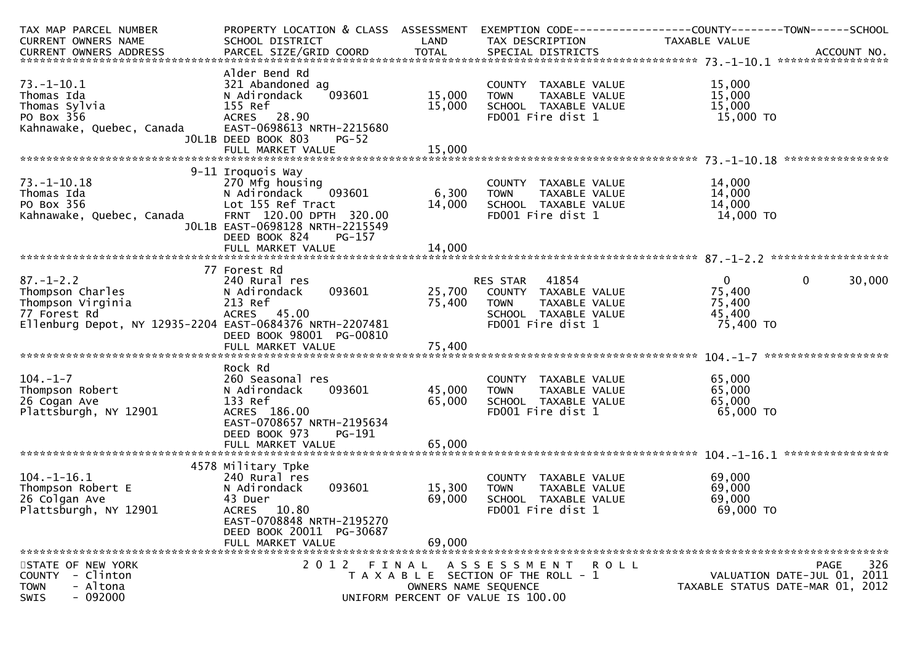| TAX MAP PARCEL NUMBER                                    | PROPERTY LOCATION & CLASS ASSESSMENT         |              | EXEMPTION CODE-----------------COUNTY-------TOWN------SCHOOL    |               |                                  |
|----------------------------------------------------------|----------------------------------------------|--------------|-----------------------------------------------------------------|---------------|----------------------------------|
| CURRENT OWNERS NAME                                      | SCHOOL DISTRICT<br><b>Example 12 DE LAND</b> |              | TAX DESCRIPTION                                                 | TAXABLE VALUE |                                  |
|                                                          |                                              |              |                                                                 |               |                                  |
|                                                          |                                              |              |                                                                 |               |                                  |
|                                                          | Alder Bend Rd                                |              |                                                                 |               |                                  |
| $73. - 1 - 10.1$                                         | 321 Abandoned ag                             |              | COUNTY TAXABLE VALUE                                            | 15,000        |                                  |
| Thomas Ida                                               | 093601<br>N Adirondack                       | 15,000       | TAXABLE VALUE<br><b>TOWN</b>                                    | 15,000        |                                  |
| Thomas Sylvia                                            | 155 Ref                                      | 15,000       | SCHOOL TAXABLE VALUE                                            | 15,000        |                                  |
| PO Box 356                                               | ACRES 28.90                                  |              | FD001 Fire dist 1                                               | 15,000 TO     |                                  |
| Kahnawake, Quebec, Canada                                | EAST-0698613 NRTH-2215680                    |              |                                                                 |               |                                  |
|                                                          | JOL1B DEED BOOK 803<br><b>PG-52</b>          |              |                                                                 |               |                                  |
|                                                          |                                              |              |                                                                 |               |                                  |
|                                                          |                                              |              |                                                                 |               |                                  |
|                                                          | 9-11 Iroquois Way                            |              |                                                                 |               |                                  |
| $73. - 1 - 10.18$                                        | 270 Mfg housing                              |              | COUNTY TAXABLE VALUE                                            | 14,000        |                                  |
| Thomas Ida                                               | N Adirondack                                 | 093601 6,300 | TAXABLE VALUE<br><b>TOWN</b>                                    | 14,000        |                                  |
| PO Box 356                                               | Lot 155 Ref Tract                            | 14,000       | SCHOOL TAXABLE VALUE                                            | 14,000        |                                  |
| Kahnawake, Quebec, Canada                                | FRNT 120.00 DPTH 320.00                      |              | FD001 Fire dist 1                                               | 14,000 TO     |                                  |
|                                                          | JOL1B EAST-0698128 NRTH-2215549              |              |                                                                 |               |                                  |
|                                                          | DEED BOOK 824<br><b>PG-157</b>               |              |                                                                 |               |                                  |
|                                                          | FULL MARKET VALUE                            | 14,000       |                                                                 |               |                                  |
|                                                          |                                              |              |                                                                 |               |                                  |
|                                                          | 77 Forest Rd                                 |              |                                                                 |               |                                  |
|                                                          | 240 Rural res                                |              | RES STAR 41854                                                  | $\mathbf{0}$  | $\mathbf{0}$<br>30,000           |
| 87.-1-2.2<br>Thompson Charles                            | N Adirondack                                 |              |                                                                 | 75,400        |                                  |
| Thompson Virginia                                        | 213 Ref                                      |              | 093601 25,700 COUNTY TAXABLE VALUE<br>75,400 TOWN TAXABLE VALUE | 75,400        |                                  |
| 77 Forest Rd                                             | ACRES 45.00                                  |              | SCHOOL TAXABLE VALUE                                            | 45,400        |                                  |
| Ellenburg Depot, NY 12935-2204 EAST-0684376 NRTH-2207481 |                                              |              | FD001 Fire dist 1                                               | 75,400 TO     |                                  |
|                                                          |                                              |              |                                                                 |               |                                  |
|                                                          | DEED BOOK 98001 PG-00810                     |              |                                                                 |               |                                  |
|                                                          | FULL MARKET VALUE                            | 75,400       |                                                                 |               |                                  |
|                                                          |                                              |              |                                                                 |               |                                  |
|                                                          | Rock Rd                                      |              |                                                                 |               |                                  |
| $104. - 1 - 7$                                           | 260 Seasonal res                             |              | COUNTY TAXABLE VALUE                                            | 65,000        |                                  |
| Thompson Robert                                          | 093601<br>N Adirondack                       | 45,000       | <b>TOWN</b><br>TAXABLE VALUE                                    | 65,000        |                                  |
| 26 Cogan Ave                                             | 133 Ref                                      | 65,000       | SCHOOL TAXABLE VALUE                                            | 65,000        |                                  |
| Plattsburgh, NY 12901                                    | ACRES 186.00                                 |              | FD001 Fire dist 1                                               | 65,000 TO     |                                  |
|                                                          | EAST-0708657 NRTH-2195634                    |              |                                                                 |               |                                  |
|                                                          | DEED BOOK 973<br>PG-191                      |              |                                                                 |               |                                  |
|                                                          | FULL MARKET VALUE                            | 65,000       |                                                                 |               |                                  |
|                                                          |                                              |              |                                                                 |               |                                  |
|                                                          | 4578 Military Tpke                           |              |                                                                 |               |                                  |
| $104. - 1 - 16.1$                                        | 240 Rural res                                |              | COUNTY TAXABLE VALUE                                            | 69,000        |                                  |
| Thompson Robert E                                        | 093601<br>N Adirondack                       | 15,300       | TAXABLE VALUE<br><b>TOWN</b>                                    | 69,000        |                                  |
| 26 Colgan Ave                                            | 43 Duer                                      | 69,000       | SCHOOL TAXABLE VALUE                                            | 69,000        |                                  |
| Plattsburgh, NY 12901                                    | ACRES 10.80                                  |              | FD001 Fire dist 1                                               | 69,000 TO     |                                  |
|                                                          | EAST-0708848 NRTH-2195270                    |              |                                                                 |               |                                  |
|                                                          | DEED BOOK 20011 PG-30687                     |              |                                                                 |               |                                  |
|                                                          | FULL MARKET VALUE                            | 69,000       |                                                                 |               |                                  |
|                                                          |                                              |              |                                                                 |               |                                  |
| STATE OF NEW YORK                                        |                                              |              | 2012 FINAL ASSESSMENT ROLL                                      |               | 326<br>PAGE                      |
| - Clinton<br><b>COUNTY</b>                               |                                              |              | T A X A B L E SECTION OF THE ROLL - 1                           |               | VALUATION DATE-JUL 01, 2011      |
| - Altona<br><b>TOWN</b>                                  |                                              |              | OWNERS NAME SEQUENCE                                            |               | TAXABLE STATUS DATE-MAR 01, 2012 |
| $-092000$<br><b>SWIS</b>                                 |                                              |              | UNIFORM PERCENT OF VALUE IS 100.00                              |               |                                  |
|                                                          |                                              |              |                                                                 |               |                                  |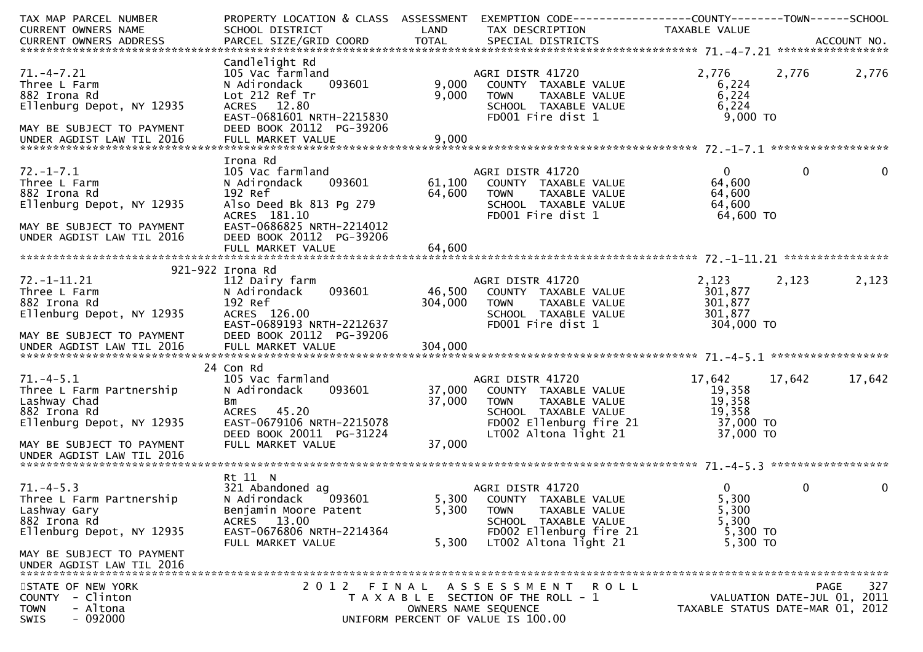| TAX MAP PARCEL NUMBER     | PROPERTY LOCATION & CLASS ASSESSMENT EXEMPTION CODE----------------COUNTY-------TOWN------SCHOOL |         |                                                      |                |                                  |
|---------------------------|--------------------------------------------------------------------------------------------------|---------|------------------------------------------------------|----------------|----------------------------------|
| CURRENT OWNERS NAME       | SCHOOL DISTRICT                                                                                  | LAND    | TAX DESCRIPTION                                      | TAXABLE VALUE  |                                  |
|                           |                                                                                                  |         |                                                      |                |                                  |
|                           | Candlelight Rd                                                                                   |         |                                                      |                |                                  |
| $71. -4 - 7.21$           | 105 Vac farmland                                                                                 |         | AGRI DISTR 41720                                     | 2,776          | 2,776<br>2,776                   |
| Three L Farm              | 093601<br>N Adirondack                                                                           | 9,000   | COUNTY TAXABLE VALUE                                 | 6,224          |                                  |
| 882 Irona Rd              | Lot 212 Ref Tr                                                                                   | 9,000   | <b>TOWN</b><br>TAXABLE VALUE                         | 6,224          |                                  |
| Ellenburg Depot, NY 12935 | ACRES 12.80                                                                                      |         | SCHOOL TAXABLE VALUE                                 | 6,224          |                                  |
|                           | EAST-0681601 NRTH-2215830                                                                        |         | FD001 Fire dist 1                                    | $9,000$ TO     |                                  |
| MAY BE SUBJECT TO PAYMENT | DEED BOOK 20112 PG-39206                                                                         |         |                                                      |                |                                  |
|                           |                                                                                                  |         |                                                      |                |                                  |
|                           |                                                                                                  |         |                                                      |                |                                  |
|                           | Irona Rd                                                                                         |         |                                                      |                |                                  |
| $72. - 1 - 7.1$           | 105 Vac farmland                                                                                 |         | AGRI DISTR 41720                                     | $\overline{0}$ | $\mathbf 0$<br>$\mathbf{0}$      |
| Three L Farm              | N Adirondack<br>093601                                                                           | 61,100  | COUNTY TAXABLE VALUE                                 | 64,600         |                                  |
| 882 Irona Rd              | 192 Ref                                                                                          | 64,600  | <b>TOWN</b><br>TAXABLE VALUE                         | 64,600         |                                  |
| Ellenburg Depot, NY 12935 | Also Deed Bk 813 Pg 279                                                                          |         | SCHOOL TAXABLE VALUE                                 | 64,600         |                                  |
|                           | ACRES 181.10                                                                                     |         | FD001 Fire dist 1                                    | 64,600 TO      |                                  |
| MAY BE SUBJECT TO PAYMENT | EAST-0686825 NRTH-2214012                                                                        |         |                                                      |                |                                  |
| UNDER AGDIST LAW TIL 2016 | DEED BOOK 20112 PG-39206                                                                         |         |                                                      |                |                                  |
|                           | FULL MARKET VALUE                                                                                | 64,600  |                                                      |                |                                  |
|                           | 921-922 Irona Rd                                                                                 |         |                                                      |                |                                  |
| $72. - 1 - 11.21$         |                                                                                                  |         | AGRI DISTR 41720                                     | 2,123          | 2,123<br>2,123                   |
| Three L Farm              | 112 Dairy farm<br>093601<br>N Adirondack                                                         | 46,500  |                                                      | 301,877        |                                  |
| 882 Irona Rd              | 192 Ref                                                                                          | 304,000 | COUNTY TAXABLE VALUE<br><b>TOWN</b><br>TAXABLE VALUE | 301,877        |                                  |
| Ellenburg Depot, NY 12935 | ACRES 126.00                                                                                     |         | SCHOOL TAXABLE VALUE                                 | 301,877        |                                  |
|                           | EAST-0689193 NRTH-2212637                                                                        |         | FD001 Fire dist 1                                    | 304,000 TO     |                                  |
| MAY BE SUBJECT TO PAYMENT | DEED BOOK 20112 PG-39206                                                                         |         |                                                      |                |                                  |
|                           |                                                                                                  |         |                                                      |                |                                  |
|                           |                                                                                                  |         |                                                      |                |                                  |
|                           | 24 Con Rd                                                                                        |         |                                                      |                |                                  |
| $71. -4 - 5.1$            | 105 Vac farmland                                                                                 |         | AGRI DISTR 41720                                     | 17,642         | 17,642<br>17,642                 |
| Three L Farm Partnership  | N Adirondack<br>093601                                                                           | 37,000  | COUNTY TAXABLE VALUE                                 | 19,358         |                                  |
| Lashway Chad              | Bm                                                                                               | 37,000  | <b>TOWN</b><br>TAXABLE VALUE                         | 19,358         |                                  |
| 882 Irona Rd              | ACRES 45.20                                                                                      |         | SCHOOL TAXABLE VALUE                                 | 19,358         |                                  |
| Ellenburg Depot, NY 12935 | EAST-0679106 NRTH-2215078                                                                        |         | FD002 Ellenburg fire 21                              | 37,000 TO      |                                  |
|                           | DEED BOOK 20011 PG-31224                                                                         |         | $LT002$ Altona light 21                              | 37,000 TO      |                                  |
| MAY BE SUBJECT TO PAYMENT | FULL MARKET VALUE                                                                                | 37,000  |                                                      |                |                                  |
| UNDER AGDIST LAW TIL 2016 |                                                                                                  |         |                                                      |                |                                  |
|                           |                                                                                                  |         |                                                      |                |                                  |
|                           | Rt 11 N                                                                                          |         |                                                      |                |                                  |
| $71. -4 - 5.3$            | 321 Abandoned ag                                                                                 |         | AGRI DISTR 41720                                     | $\overline{0}$ | 0<br>0                           |
| Three L Farm Partnership  | N Adirondack<br>093601                                                                           | 5,300   | COUNTY TAXABLE VALUE                                 | 5,300          |                                  |
| Lashway Gary              | Benjamin Moore Patent                                                                            | 5,300   | TAXABLE VALUE<br><b>TOWN</b>                         | 5,300          |                                  |
| 882 Irona Rd              | ACRES 13.00                                                                                      |         | SCHOOL TAXABLE VALUE                                 | 5,300          |                                  |
| Ellenburg Depot, NY 12935 | EAST-0676806 NRTH-2214364                                                                        |         | FD002 Ellenburg fire 21                              | 5,300 TO       |                                  |
|                           | FULL MARKET VALUE                                                                                | 5,300   | LT002 Altona light 21                                | 5,300 TO       |                                  |
| MAY BE SUBJECT TO PAYMENT |                                                                                                  |         |                                                      |                |                                  |
| UNDER AGDIST LAW TIL 2016 |                                                                                                  |         |                                                      |                |                                  |
| STATE OF NEW YORK         | 2012 FINAL                                                                                       |         | A S S E S S M E N T<br><b>ROLL</b>                   |                | 327<br>PAGE                      |
| COUNTY - Clinton          |                                                                                                  |         | T A X A B L E SECTION OF THE ROLL - 1                |                | VALUATION DATE-JUL 01, 2011      |
| <b>TOWN</b><br>- Altona   |                                                                                                  |         | OWNERS NAME SEQUENCE                                 |                | TAXABLE STATUS DATE-MAR 01, 2012 |
| SWIS<br>$-092000$         |                                                                                                  |         | UNIFORM PERCENT OF VALUE IS 100.00                   |                |                                  |
|                           |                                                                                                  |         |                                                      |                |                                  |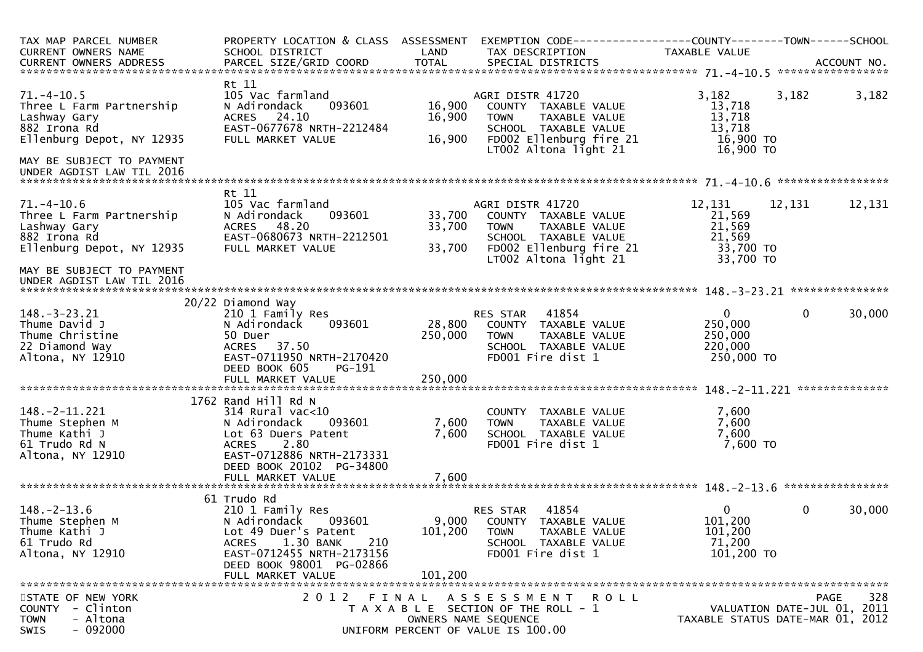| TAX MAP PARCEL NUMBER<br><b>CURRENT OWNERS NAME</b><br>CURRENT OWNERS ADDRESS                             | PROPERTY LOCATION & CLASS ASSESSMENT<br>SCHOOL DISTRICT                                                                                                                              | LAND                        | EXEMPTION CODE-----------------COUNTY-------TOWN------SCHOOL<br>TAX DESCRIPTION                                                                      | TAXABLE VALUE                                                   |                                                                 |
|-----------------------------------------------------------------------------------------------------------|--------------------------------------------------------------------------------------------------------------------------------------------------------------------------------------|-----------------------------|------------------------------------------------------------------------------------------------------------------------------------------------------|-----------------------------------------------------------------|-----------------------------------------------------------------|
|                                                                                                           |                                                                                                                                                                                      |                             |                                                                                                                                                      |                                                                 |                                                                 |
| $71. - 4 - 10.5$<br>Three L Farm Partnership<br>Lashway Gary<br>882 Irona Rd<br>Ellenburg Depot, NY 12935 | Rt 11<br>105 Vac farmland<br>093601<br>N Adirondack<br>ACRES 24.10<br>EAST-0677678 NRTH-2212484<br>FULL MARKET VALUE                                                                 | 16,900<br>16,900<br>16,900  | AGRI DISTR 41720<br>COUNTY TAXABLE VALUE<br>TAXABLE VALUE<br><b>TOWN</b><br>SCHOOL TAXABLE VALUE<br>FD002 Ellenburg fire 21<br>LT002 Altona light 21 | 3,182<br>13,718<br>13,718<br>13,718<br>16,900 TO<br>$16,900$ TO | 3,182<br>3,182                                                  |
| MAY BE SUBJECT TO PAYMENT<br>UNDER AGDIST LAW TIL 2016                                                    |                                                                                                                                                                                      |                             |                                                                                                                                                      |                                                                 |                                                                 |
|                                                                                                           | Rt 11                                                                                                                                                                                |                             |                                                                                                                                                      |                                                                 |                                                                 |
| $71. - 4 - 10.6$<br>Three L Farm Partnership<br>Lashway Gary<br>882 Irona Rd<br>Ellenburg Depot, NY 12935 | 105 Vac farmland<br>N Adirondack<br>093601<br>48.20<br>ACRES<br>EAST-0680673 NRTH-2212501<br>FULL MARKET VALUE                                                                       | 33,700<br>33,700<br>33,700  | AGRI DISTR 41720<br>COUNTY TAXABLE VALUE<br>TAXABLE VALUE<br><b>TOWN</b><br>SCHOOL TAXABLE VALUE<br>FD002 Ellenburg fire 21<br>LT002 Altona light 21 | 12,131<br>21,569<br>21,569<br>21,569<br>33,700 TO<br>33,700 TO  | 12,131<br>12,131                                                |
| MAY BE SUBJECT TO PAYMENT<br>UNDER AGDIST LAW TIL 2016                                                    |                                                                                                                                                                                      |                             |                                                                                                                                                      |                                                                 |                                                                 |
|                                                                                                           | 20/22 Diamond Way                                                                                                                                                                    |                             |                                                                                                                                                      |                                                                 |                                                                 |
| $148. - 3 - 23.21$<br>Thume David J<br>Thume Christine<br>22 Diamond Way<br>Altona, NY 12910              | 210 1 Family Res<br>093601<br>N Adirondack<br>50 Duer<br>ACRES 37.50<br>EAST-0711950 NRTH-2170420<br>DEED BOOK 605<br>PG-191                                                         | 28,800<br>250,000           | RES STAR 41854<br>COUNTY TAXABLE VALUE<br><b>TOWN</b><br>TAXABLE VALUE<br>SCHOOL TAXABLE VALUE<br>FD001 Fire dist 1                                  | $\mathbf{0}$<br>250,000<br>250,000<br>220,000<br>250,000 TO     | $\mathbf{0}$<br>30,000                                          |
|                                                                                                           | FULL MARKET VALUE                                                                                                                                                                    | 250,000                     |                                                                                                                                                      |                                                                 | **************                                                  |
|                                                                                                           | 1762 Rand Hill Rd N                                                                                                                                                                  |                             |                                                                                                                                                      |                                                                 |                                                                 |
| 148. - 2 - 11. 221<br>Thume Stephen M<br>Thume Kathi J<br>61 Trudo Rd N<br>Altona, NY 12910               | $314$ Rural vac< $10$<br>N Adirondack<br>093601<br>Lot 63 Duers Patent<br>2.80<br><b>ACRES</b><br>EAST-0712886 NRTH-2173331<br>DEED BOOK 20102 PG-34800                              | 7,600<br>7,600              | COUNTY TAXABLE VALUE<br>TAXABLE VALUE<br><b>TOWN</b><br>SCHOOL TAXABLE VALUE<br>FD001 Fire dist 1                                                    | 7,600<br>7,600<br>7,600<br>$7,600$ TO                           |                                                                 |
|                                                                                                           | FULL MARKET VALUE                                                                                                                                                                    | 7,600                       |                                                                                                                                                      |                                                                 |                                                                 |
|                                                                                                           | 61 Trudo Rd                                                                                                                                                                          |                             |                                                                                                                                                      |                                                                 |                                                                 |
| $148. - 2 - 13.6$<br>Thume Stephen M<br>Thume Kathi J<br>61 Trudo Rd<br>Altona, NY 12910                  | 210 1 Family Res<br>N Adirondack<br>093601<br>Lot 49 Duer's Patent<br>1.30 BANK<br>210<br><b>ACRES</b><br>EAST-0712455 NRTH-2173156<br>DEED BOOK 98001 PG-02866<br>FULL MARKET VALUE | 9,000<br>101,200<br>101,200 | 41854<br>RES STAR<br>COUNTY TAXABLE VALUE<br>TAXABLE VALUE<br><b>TOWN</b><br>SCHOOL TAXABLE VALUE<br>FD001 Fire dist 1                               | 0<br>101,200<br>101,200<br>71,200<br>101,200 TO                 | 30,000<br>0                                                     |
| STATE OF NEW YORK                                                                                         | 2 0 1 2                                                                                                                                                                              |                             | FINAL ASSESSMENT<br>R O L L                                                                                                                          |                                                                 | 328<br>PAGE                                                     |
| - Clinton<br><b>COUNTY</b><br>- Altona<br><b>TOWN</b><br>$-092000$<br><b>SWIS</b>                         |                                                                                                                                                                                      |                             | T A X A B L E SECTION OF THE ROLL - 1<br>OWNERS NAME SEQUENCE<br>UNIFORM PERCENT OF VALUE IS 100.00                                                  |                                                                 | VALUATION DATE-JUL 01, 2011<br>TAXABLE STATUS DATE-MAR 01, 2012 |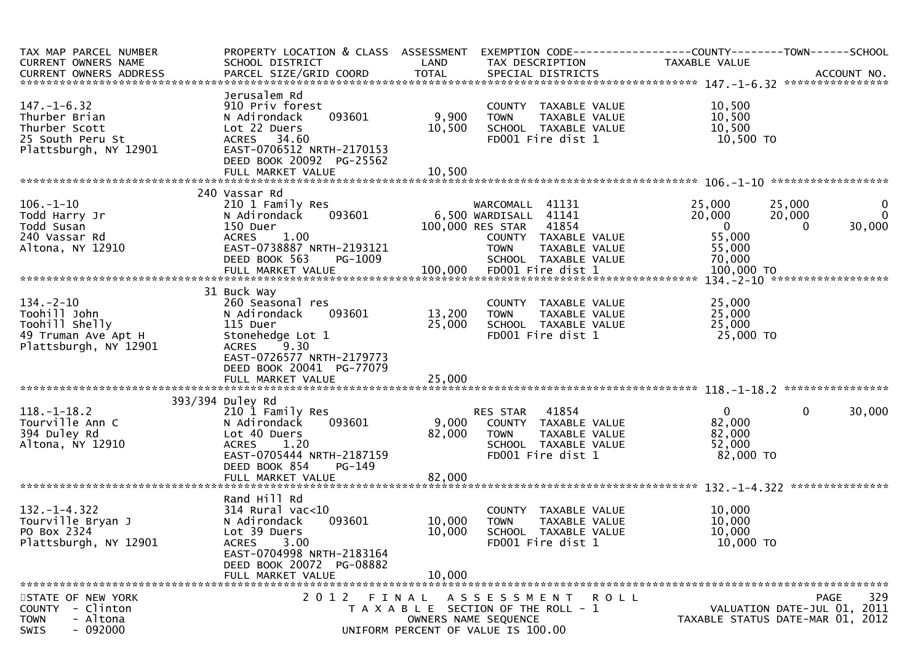| TAX MAP PARCEL NUMBER<br>CURRENT OWNERS NAME                                                           | PROPERTY LOCATION & CLASS ASSESSMENT<br>SCHOOL DISTRICT                                                                                                                             | LAND                                                                        | TAX DESCRIPTION                                                                                          |                                                                                             | EXEMPTION CODE-----------------COUNTY-------TOWN------SCHOOL<br>TAXABLE VALUE  |                                                                                       |
|--------------------------------------------------------------------------------------------------------|-------------------------------------------------------------------------------------------------------------------------------------------------------------------------------------|-----------------------------------------------------------------------------|----------------------------------------------------------------------------------------------------------|---------------------------------------------------------------------------------------------|--------------------------------------------------------------------------------|---------------------------------------------------------------------------------------|
| $147. - 1 - 6.32$<br>Thurber Brian<br>Thurber Scott<br>25 South Peru St<br>Plattsburgh, NY 12901       | Jerusalem Rd<br>910 Priv forest<br>093601<br>N Adirondack<br>Lot 22 Duers<br>ACRES 34.60<br>EAST-0706512 NRTH-2170153<br>DEED BOOK 20092 PG-25562                                   | 9,900<br>10,500                                                             | <b>TOWN</b>                                                                                              | COUNTY TAXABLE VALUE<br>TAXABLE VALUE<br>SCHOOL TAXABLE VALUE<br>FD001 Fire dist 1          | 10,500<br>10,500<br>10,500<br>10,500 TO                                        |                                                                                       |
|                                                                                                        | 240 Vassar Rd                                                                                                                                                                       |                                                                             |                                                                                                          |                                                                                             |                                                                                |                                                                                       |
| $106. - 1 - 10$<br>Todd Harry Jr<br>Todd Susan<br>240 Vassar Rd<br>Altona, NY 12910                    | 210 1 Family Res<br>093601<br>N Adirondack<br>150 Duer<br><b>ACRES</b><br>1.00<br>EAST-0738887 NRTH-2193121<br>DEED BOOK 563<br>PG-1009<br>FULL MARKET VALUE                        |                                                                             | WARCOMALL 41131<br>6,500 WARDISALL 41141<br>100,000 RES STAR<br><b>TOWN</b><br>100,000 FD001 Fire dist 1 | 41854<br>COUNTY TAXABLE VALUE<br>TAXABLE VALUE<br>SCHOOL TAXABLE VALUE                      | 25,000<br>20,000<br>$\overline{0}$<br>55,000<br>55,000<br>70,000<br>100,000 TO | 25,000<br>$\bf{0}$<br>$\Omega$<br>20,000<br>30,000<br>0                               |
|                                                                                                        |                                                                                                                                                                                     |                                                                             |                                                                                                          |                                                                                             |                                                                                |                                                                                       |
| $134. - 2 - 10$<br>Toohill John<br>Toohill Shelly<br>49 Truman Ave Apt H<br>Plattsburgh, NY 12901      | 31 Buck Way<br>260 Seasonal res<br>N Adirondack<br>093601<br>115 Duer<br>Stonehedge Lot 1<br>ACRES 9.30<br>EAST-0726577 NRTH-2179773<br>DEED BOOK 20041 PG-77079                    | 13,200<br>25,000                                                            | <b>TOWN</b>                                                                                              | COUNTY TAXABLE VALUE<br>TAXABLE VALUE<br>SCHOOL TAXABLE VALUE<br>FD001 Fire dist 1          | 25,000<br>25,000<br>25,000<br>25,000 TO                                        |                                                                                       |
|                                                                                                        |                                                                                                                                                                                     |                                                                             |                                                                                                          |                                                                                             |                                                                                |                                                                                       |
| $118.-1-18.2$<br>Tourville Ann C<br>394 Duley Rd<br>Altona, NY 12910                                   | 393/394 Duley Rd<br>210 1 Family Res<br>093601<br>N Adirondack<br>Lot 40 Duers<br><b>ACRES</b><br>1.20<br>EAST-0705444 NRTH-2187159<br>DEED BOOK 854<br>PG-149<br>FULL MARKET VALUE | 9,000<br>82,000<br>82,000                                                   | RES STAR<br><b>TOWN</b>                                                                                  | 41854<br>COUNTY TAXABLE VALUE<br>TAXABLE VALUE<br>SCHOOL TAXABLE VALUE<br>FD001 Fire dist 1 | $\mathbf 0$<br>82,000<br>82,000<br>52,000<br>82,000 TO                         | $\mathbf{0}$<br>30,000                                                                |
|                                                                                                        | Rand Hill Rd                                                                                                                                                                        |                                                                             |                                                                                                          |                                                                                             |                                                                                |                                                                                       |
| $132. - 1 - 4.322$<br>Tourville Bryan J<br>PO Box 2324<br>Plattsburgh, NY 12901                        | $314$ Rural vac< $10$<br>093601<br>N Adirondack<br>Lot 39 Duers<br>3.00<br><b>ACRES</b><br>EAST-0704998 NRTH-2183164                                                                | 10,000<br>10,000                                                            | <b>TOWN</b>                                                                                              | COUNTY TAXABLE VALUE<br><b>TAXABLE VALUE</b><br>SCHOOL TAXABLE VALUE<br>FD001 Fire dist 1   | 10,000<br>10,000<br>10,000<br>10,000 TO                                        |                                                                                       |
|                                                                                                        | DEED BOOK 20072 PG-08882<br>FULL MARKET VALUE                                                                                                                                       | 10,000                                                                      |                                                                                                          |                                                                                             |                                                                                |                                                                                       |
|                                                                                                        |                                                                                                                                                                                     |                                                                             |                                                                                                          |                                                                                             |                                                                                |                                                                                       |
| STATE OF NEW YORK<br>- Clinton<br><b>COUNTY</b><br>- Altona<br><b>TOWN</b><br>$-092000$<br><b>SWIS</b> | 2012 FINAL ASSESSMENT ROLL                                                                                                                                                          | T A X A B L E SECTION OF THE ROLL - 1<br>UNIFORM PERCENT OF VALUE IS 100.00 | OWNERS NAME SEQUENCE                                                                                     |                                                                                             |                                                                                | 329<br><b>PAGE</b><br>VALUATION DATE-JUL 01, 2011<br>TAXABLE STATUS DATE-MAR 01, 2012 |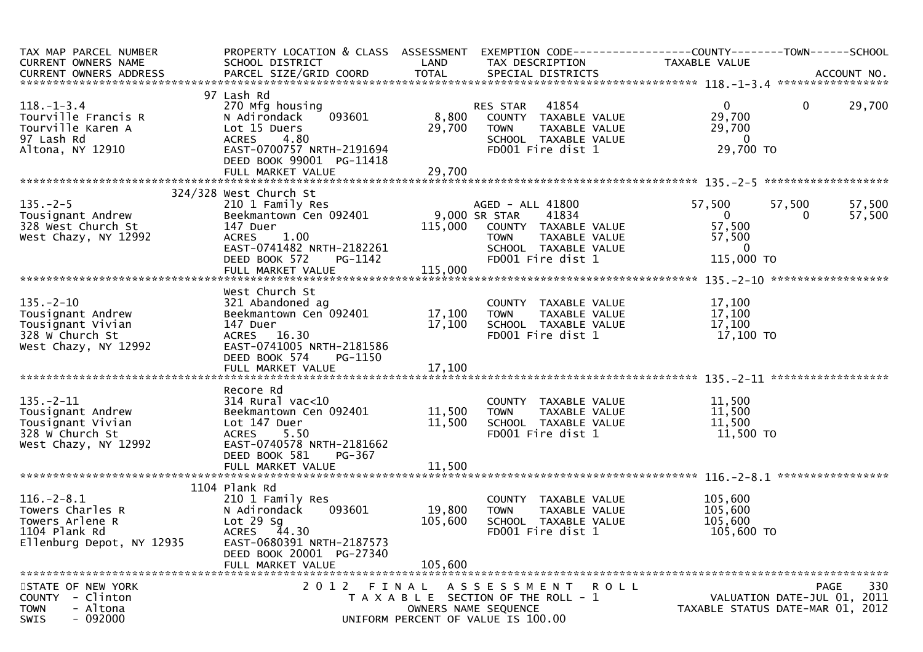| TAX MAP PARCEL NUMBER<br>CURRENT OWNERS NAME                                                          | PROPERTY LOCATION & CLASS ASSESSMENT<br>SCHOOL DISTRICT                                                                                                                 | LAND                         | TAX DESCRIPTION                                                                                                                                 | EXEMPTION CODE------------------COUNTY--------TOWN------SCHOOL<br>TAXABLE VALUE                                  |
|-------------------------------------------------------------------------------------------------------|-------------------------------------------------------------------------------------------------------------------------------------------------------------------------|------------------------------|-------------------------------------------------------------------------------------------------------------------------------------------------|------------------------------------------------------------------------------------------------------------------|
|                                                                                                       |                                                                                                                                                                         |                              |                                                                                                                                                 |                                                                                                                  |
| $118. - 1 - 3.4$<br>Tourville Francis R<br>Tourville Karen A<br>97 Lash Rd<br>Altona, NY 12910        | 97 Lash Rd<br>270 Mfg housing<br>093601<br>N Adirondack<br>Lot 15 Duers<br>4.80<br><b>ACRES</b><br>EAST-0700757 NRTH-2191694                                            | 8,800<br>29,700              | RES STAR 41854<br>COUNTY TAXABLE VALUE<br><b>TOWN</b><br>TAXABLE VALUE<br>SCHOOL TAXABLE VALUE<br>FD001 Fire dist 1                             | 29,700<br>$\mathbf{0}$<br>$\mathbf 0$<br>29,700<br>29,700<br>$\overline{0}$<br>29,700 TO                         |
|                                                                                                       | DEED BOOK 99001 PG-11418                                                                                                                                                |                              |                                                                                                                                                 |                                                                                                                  |
|                                                                                                       |                                                                                                                                                                         |                              |                                                                                                                                                 |                                                                                                                  |
|                                                                                                       | 324/328 West Church St                                                                                                                                                  |                              |                                                                                                                                                 |                                                                                                                  |
| $135. - 2 - 5$<br>Tousignant Andrew<br>328 West Church St<br>West Chazy, NY 12992                     | 210 1 Family Res<br>Beekmantown Cen 092401<br>147 Duer<br>ACRES 1.00<br>EAST-0741482 NRTH-2182261<br>DEED BOOK 572<br>PG-1142                                           | 115,000                      | AGED - ALL 41800<br>9,000 SR STAR<br>41834<br>COUNTY TAXABLE VALUE<br><b>TOWN</b><br>TAXABLE VALUE<br>SCHOOL TAXABLE VALUE<br>FD001 Fire dist 1 | 57,500<br>57,500<br>57,500<br>$\Omega$<br>57,500<br>$\overline{0}$<br>57,500<br>57,500<br>$\Omega$<br>115,000 TO |
|                                                                                                       | FULL MARKET VALUE                                                                                                                                                       | 115,000                      |                                                                                                                                                 |                                                                                                                  |
|                                                                                                       |                                                                                                                                                                         |                              |                                                                                                                                                 |                                                                                                                  |
| $135. - 2 - 10$<br>Tousignant Andrew<br>Tousignant Vivian<br>328 W Church St<br>West Chazy, NY 12992  | West Church St<br>321 Abandoned ag<br>Beekmantown Cen 092401<br>147 Duer<br>ACRES 16.30<br>EAST-0741005 NRTH-2181586<br>DEED BOOK 574<br>PG-1150                        | 17,100<br>17,100             | COUNTY TAXABLE VALUE<br>TAXABLE VALUE<br><b>TOWN</b><br>SCHOOL TAXABLE VALUE<br>FD001 Fire dist 1                                               | 17,100<br>17,100<br>17,100<br>17,100 TO                                                                          |
|                                                                                                       |                                                                                                                                                                         |                              |                                                                                                                                                 |                                                                                                                  |
| $135. - 2 - 11$<br>Tousignant Andrew<br>Tousignant Vivian<br>328 W Church St<br>West Chazy, NY 12992  | Recore Rd<br>$314$ Rural vac< $10$<br>Beekmantown Cen 092401<br>Lot 147 Duer<br>ACRES 5.50<br>EAST-0740578 NRTH-2181662<br>DEED BOOK 581<br>PG-367                      | 11,500<br>11,500             | COUNTY TAXABLE VALUE<br><b>TOWN</b><br>TAXABLE VALUE<br>SCHOOL TAXABLE VALUE<br>FD001 Fire dist 1                                               | 11,500<br>11,500<br>11,500<br>11,500 TO                                                                          |
|                                                                                                       |                                                                                                                                                                         |                              |                                                                                                                                                 |                                                                                                                  |
| $116. - 2 - 8.1$<br>Towers Charles R<br>Towers Arlene R<br>1104 Plank Rd<br>Ellenburg Depot, NY 12935 | 1104 Plank Rd<br>210 1 Family Res<br>093601<br>N Adirondack<br>Lot $29$ Sg<br>ACRES 44.30<br>EAST-0680391 NRTH-2187573<br>DEED BOOK 20001 PG-27340<br>FULL MARKET VALUE | 19,800<br>105,600<br>105,600 | COUNTY TAXABLE VALUE<br>TAXABLE VALUE<br><b>TOWN</b><br>SCHOOL TAXABLE VALUE<br>FD001 Fire dist 1                                               | 105,600<br>105,600<br>105,600<br>105,600 TO                                                                      |
| STATE OF NEW YORK<br>COUNTY - Clinton<br><b>TOWN</b><br>- Altona<br>$-092000$<br><b>SWIS</b>          | 2012 FINAL                                                                                                                                                              |                              | ASSESSMENT ROLL<br>T A X A B L E SECTION OF THE ROLL - 1<br>OWNERS NAME SEQUENCE<br>UNIFORM PERCENT OF VALUE IS 100.00                          | 330<br>PAGE<br>VALUATION DATE-JUL 01, 2011<br>TAXABLE STATUS DATE-MAR 01, 2012                                   |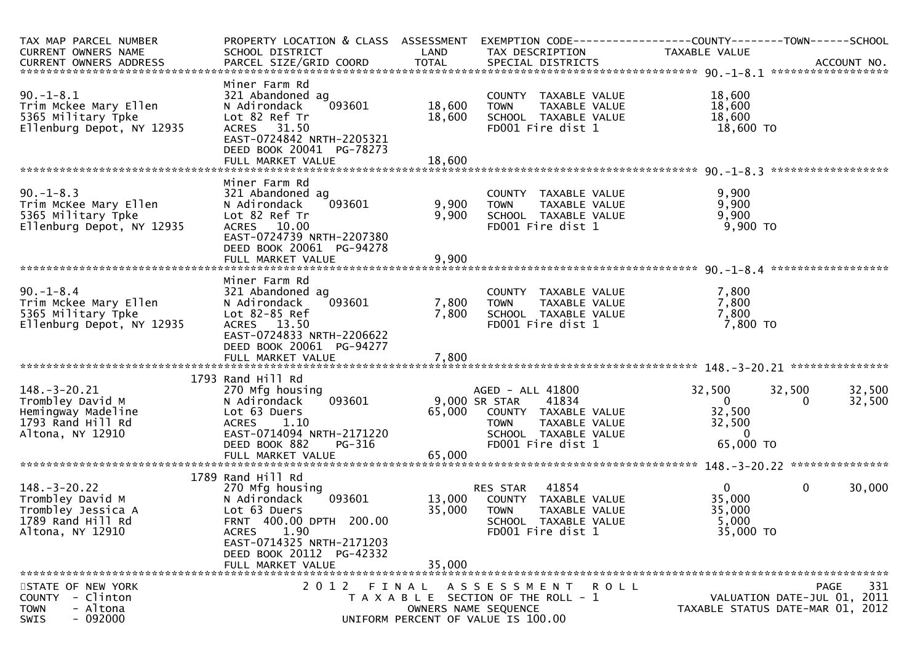| TAX MAP PARCEL NUMBER<br>CURRENT OWNERS NAME                                                          | PROPERTY LOCATION & CLASS ASSESSMENT<br>SCHOOL DISTRICT                                                                                                                                    | LAND                    | TAX DESCRIPTION                                                                                                                                 | TAXABLE VALUE                                                         |                                                                                |
|-------------------------------------------------------------------------------------------------------|--------------------------------------------------------------------------------------------------------------------------------------------------------------------------------------------|-------------------------|-------------------------------------------------------------------------------------------------------------------------------------------------|-----------------------------------------------------------------------|--------------------------------------------------------------------------------|
| $90. -1 - 8.1$<br>Trim Mckee Mary Ellen<br>5365 Military Tpke<br>Ellenburg Depot, NY 12935            | Miner Farm Rd<br>321 Abandoned ag<br>N Adirondack<br>093601<br>Lot 82 Ref Tr<br>ACRES 31.50<br>EAST-0724842 NRTH-2205321<br>DEED BOOK 20041 PG-78273                                       | 18,600<br>18,600        | COUNTY TAXABLE VALUE<br>TAXABLE VALUE<br><b>TOWN</b><br>SCHOOL TAXABLE VALUE<br>FD001 Fire dist 1                                               | 18,600<br>18,600<br>18,600<br>18,600 TO                               |                                                                                |
| $90. -1 - 8.3$<br>Trim McKee Mary Ellen<br>5365 Military Tpke<br>Ellenburg Depot, NY 12935            | Miner Farm Rd<br>321 Abandoned ag<br>N Adirondack<br>093601<br>Lot 82 Ref Tr<br>ACRES 10.00<br>EAST-0724739 NRTH-2207380<br>DEED BOOK 20061 PG-94278<br>FULL MARKET VALUE                  | 9,900<br>9,900<br>9,900 | COUNTY TAXABLE VALUE<br>TAXABLE VALUE<br><b>TOWN</b><br>SCHOOL TAXABLE VALUE<br>FD001 Fire dist 1                                               | 9,900<br>9,900<br>9,900<br>$9,900$ TO                                 |                                                                                |
| $90. - 1 - 8.4$<br>Trim Mckee Mary Ellen<br>5365 Military Tpke<br>Ellenburg Depot, NY 12935           | Miner Farm Rd<br>321 Abandoned ag<br>093601<br>N Adirondack<br>Lot 82-85 Ref<br>ACRES 13.50<br>EAST-0724833 NRTH-2206622<br>DEED BOOK 20061 PG-94277                                       | 7,800<br>7,800          | COUNTY TAXABLE VALUE<br><b>TOWN</b><br>TAXABLE VALUE<br>SCHOOL TAXABLE VALUE<br>FD001 Fire dist 1                                               | 7,800<br>7,800<br>7,800<br>7,800 TO                                   |                                                                                |
|                                                                                                       |                                                                                                                                                                                            |                         |                                                                                                                                                 |                                                                       |                                                                                |
| $148. - 3 - 20.21$<br>Trombley David M<br>Hemingway Madeline<br>1793 Rand Hill Rd<br>Altona, NY 12910 | 1793 Rand Hill Rd<br>270 Mfg housing<br>093601<br>N Adirondack<br>Lot 63 Duers<br>1.10<br>ACRES<br>EAST-0714094 NRTH-2171220<br>PG-316<br>DEED BOOK 882                                    | 65,000                  | AGED - ALL 41800<br>9,000 SR STAR<br>41834<br>COUNTY TAXABLE VALUE<br><b>TOWN</b><br>TAXABLE VALUE<br>SCHOOL TAXABLE VALUE<br>FD001 Fire dist 1 | 32,500<br>$\overline{0}$<br>32,500<br>32,500<br>$\Omega$<br>65,000 TO | 32,500<br>32,500<br>32,500<br>$\Omega$                                         |
|                                                                                                       | FULL MARKET VALUE                                                                                                                                                                          | 65,000                  |                                                                                                                                                 |                                                                       |                                                                                |
| $148. - 3 - 20.22$<br>Trombley David M<br>Trombley Jessica A<br>1789 Rand Hill Rd<br>Altona, NY 12910 | 1789 Rand Hill Rd<br>270 Mfg housing<br>093601<br>N Adirondack<br>Lot 63 Duers<br>FRNT 400.00 DPTH 200.00<br>1.90<br><b>ACRES</b><br>EAST-0714325 NRTH-2171203<br>DEED BOOK 20112 PG-42332 | 13,000<br>35,000        | 41854<br>RES STAR<br>COUNTY TAXABLE VALUE<br>TAXABLE VALUE<br><b>TOWN</b><br>SCHOOL TAXABLE VALUE<br>FD001 Fire dist 1                          | $\mathbf{0}$<br>35,000<br>35,000<br>5,000<br>35,000 TO                | $\mathbf 0$<br>30,000                                                          |
|                                                                                                       | FULL MARKET VALUE                                                                                                                                                                          | 35,000                  |                                                                                                                                                 |                                                                       |                                                                                |
| STATE OF NEW YORK<br><b>COUNTY</b><br>- Clinton<br>- Altona<br><b>TOWN</b><br>$-092000$<br>SWIS       |                                                                                                                                                                                            |                         | 2012 FINAL ASSESSMENT<br>R O L L<br>T A X A B L E SECTION OF THE ROLL - 1<br>OWNERS NAME SEQUENCE<br>UNIFORM PERCENT OF VALUE IS 100.00         |                                                                       | 331<br>PAGE<br>VALUATION DATE-JUL 01, 2011<br>TAXABLE STATUS DATE-MAR 01, 2012 |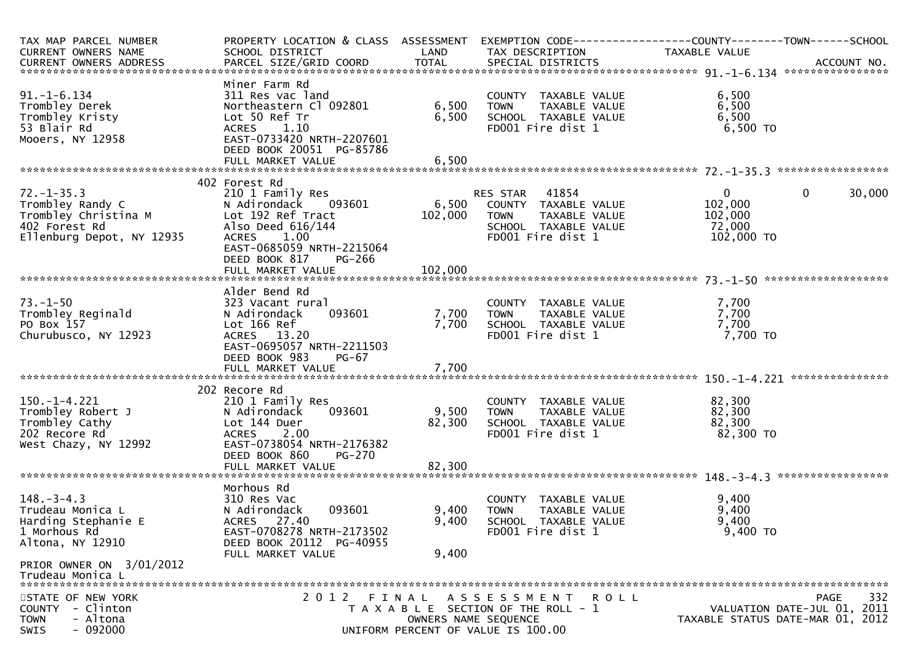| TAX MAP PARCEL NUMBER<br>CURRENT OWNERS NAME<br>CURRENT OWNERS ADDRESS                                                      | PROPERTY LOCATION & CLASS ASSESSMENT<br>SCHOOL DISTRICT                                                                                                                                          | LAND                        | EXEMPTION CODE------------------COUNTY--------TOWN------SCHOOL<br>TAX DESCRIPTION                                      | <b>TAXABLE VALUE</b>                                       |                                                                                       |
|-----------------------------------------------------------------------------------------------------------------------------|--------------------------------------------------------------------------------------------------------------------------------------------------------------------------------------------------|-----------------------------|------------------------------------------------------------------------------------------------------------------------|------------------------------------------------------------|---------------------------------------------------------------------------------------|
| $91. - 1 - 6.134$<br>Trombley Derek<br>Trombley Kristy<br>53 Blair Rd<br>Mooers, NY 12958                                   | Miner Farm Rd<br>311 Res vac land<br>Northeastern Cl 092801<br>Lot 50 Ref Tr<br>1.10<br><b>ACRES</b><br>EAST-0733420 NRTH-2207601<br>DEED BOOK 20051 PG-85786                                    | 6,500<br>6,500              | COUNTY TAXABLE VALUE<br><b>TOWN</b><br>TAXABLE VALUE<br>SCHOOL TAXABLE VALUE<br>FD001 Fire dist 1                      | 6,500<br>6,500<br>6,500<br>6,500 TO                        |                                                                                       |
| $72. - 1 - 35.3$<br>Trombley Randy C<br>Trombley Christina M<br>402 Forest Rd<br>Ellenburg Depot, NY 12935                  | 402 Forest Rd<br>210 1 Family Res<br>N Adirondack<br>093601<br>Lot 192 Ref Tract<br>Also Deed 616/144<br>ACRES 1.00<br>EAST-0685059 NRTH-2215064<br>DEED BOOK 817<br>PG-266<br>FULL MARKET VALUE | 6,500<br>102,000<br>102,000 | 41854<br>RES STAR<br>COUNTY TAXABLE VALUE<br>TAXABLE VALUE<br><b>TOWN</b><br>SCHOOL TAXABLE VALUE<br>FD001 Fire dist 1 | $\mathbf{0}$<br>102,000<br>102,000<br>72,000<br>102,000 TO | 30,000<br>$\mathbf{0}$                                                                |
| $73. - 1 - 50$<br>Trombley Reginald<br>PO Box 157<br>Churubusco, NY 12923                                                   | Alder Bend Rd<br>323 Vacant rural<br>093601<br>N Adirondack<br>Lot 166 Ref<br>ACRES 13.20<br>EAST-0695057 NRTH-2211503<br>DEED BOOK 983<br>PG-67<br>FULL MARKET VALUE                            | 7,700<br>7,700<br>7,700     | COUNTY TAXABLE VALUE<br>TAXABLE VALUE<br><b>TOWN</b><br>SCHOOL TAXABLE VALUE<br>FD001 Fire dist 1                      | 7,700<br>7,700<br>7,700<br>7,700 TO                        | ***************                                                                       |
| $150.-1-4.221$<br>Trombley Robert J<br>Trombley Cathy<br>202 Recore Rd<br>West Chazy, NY 12992                              | 202 Recore Rd<br>210 1 Family Res<br>N Adirondack<br>093601<br>Lot 144 Duer<br>ACRES 2.00<br>EAST-0738054 NRTH-2176382<br>DEED BOOK 860<br><b>PG-270</b><br>FULL MARKET VALUE                    | 9,500<br>82,300<br>82,300   | COUNTY TAXABLE VALUE<br>TAXABLE VALUE<br><b>TOWN</b><br>SCHOOL TAXABLE VALUE<br>FD001 Fire dist 1                      | 82,300<br>82,300<br>82,300<br>82,300 TO                    |                                                                                       |
| $148. - 3 - 4.3$<br>Trudeau Monica L<br>Harding Stephanie E<br>1 Morhous Rd<br>Altona, NY 12910<br>PRIOR OWNER ON 3/01/2012 | Morhous Rd<br>310 Res Vac<br>N Adirondack<br>093601<br>ACRES 27.40<br>EAST-0708278 NRTH-2173502<br>DEED BOOK 20112 PG-40955<br>FULL MARKET VALUE                                                 | 9,400<br>9,400<br>9,400     | COUNTY TAXABLE VALUE<br>TAXABLE VALUE<br><b>TOWN</b><br>SCHOOL TAXABLE VALUE<br>FD001 Fire dist 1                      | 9,400<br>9,400<br>9,400<br>9,400 TO                        |                                                                                       |
| Trudeau Monica L<br>STATE OF NEW YORK<br>- Clinton<br>COUNTY<br>- Altona<br><b>TOWN</b><br>$-092000$<br><b>SWIS</b>         |                                                                                                                                                                                                  | OWNERS NAME SEQUENCE        | 2012 FINAL ASSESSMENT ROLL<br>T A X A B L E SECTION OF THE ROLL - 1<br>UNIFORM PERCENT OF VALUE IS 100.00              |                                                            | 332<br><b>PAGE</b><br>VALUATION DATE-JUL 01, 2011<br>TAXABLE STATUS DATE-MAR 01, 2012 |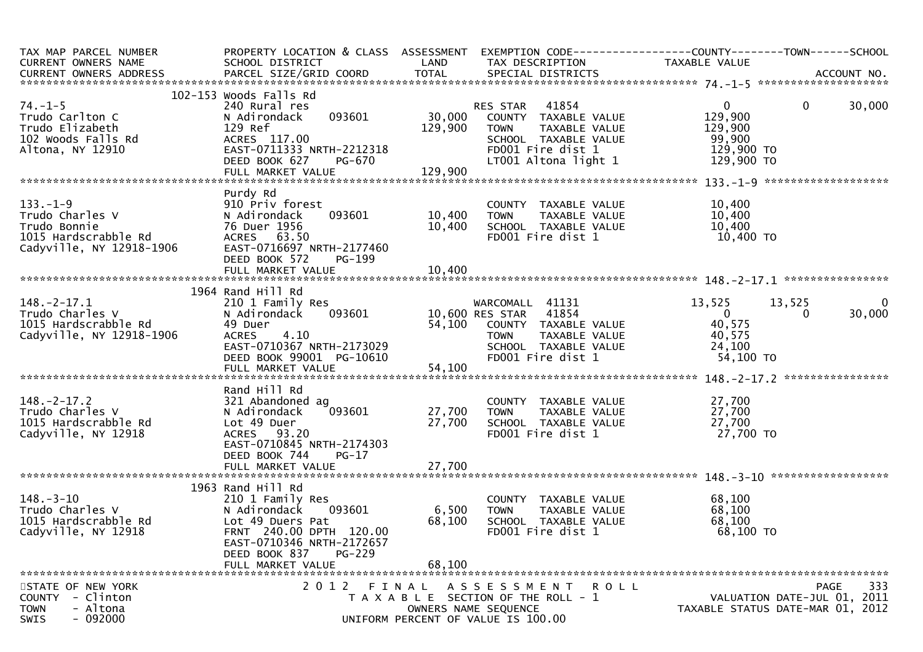| TAX MAP PARCEL NUMBER<br>CURRENT OWNERS NAME                                                                            | SCHOOL DISTRICT                                                                                                                                                                               | LAND                      | TAX DESCRIPTION                                                                                                                                       | PROPERTY LOCATION & CLASS ASSESSMENT EXEMPTION CODE----------------COUNTY-------TOWN------SCHOOL<br>TAXABLE VALUE |
|-------------------------------------------------------------------------------------------------------------------------|-----------------------------------------------------------------------------------------------------------------------------------------------------------------------------------------------|---------------------------|-------------------------------------------------------------------------------------------------------------------------------------------------------|-------------------------------------------------------------------------------------------------------------------|
|                                                                                                                         |                                                                                                                                                                                               |                           |                                                                                                                                                       |                                                                                                                   |
| $74. - 1 - 5$<br>Trudo Carlton C<br>Trudo Elizabeth<br>102 Woods Falls Rd<br>Altona, NY 12910                           | 102-153 Woods Falls Rd<br>240 Rural res<br>093601<br>N Adirondack<br>129 Ref<br>ACRES 117.00<br>EAST-0711333 NRTH-2212318<br>PG-670<br>DEED BOOK 627                                          | 129,900                   | RES STAR<br>41854<br>30,000 COUNTY TAXABLE VALUE<br>TAXABLE VALUE<br><b>TOWN</b><br>SCHOOL TAXABLE VALUE<br>FD001 Fire dist 1<br>LT001 Altona light 1 | $\mathbf{0}$<br>30,000<br>$\mathbf{0}$<br>129,900<br>129,900<br>99,900<br>129,900 TO<br>129,900 TO                |
|                                                                                                                         |                                                                                                                                                                                               |                           |                                                                                                                                                       |                                                                                                                   |
|                                                                                                                         |                                                                                                                                                                                               |                           |                                                                                                                                                       |                                                                                                                   |
| $133. - 1 - 9$<br>rudo Charles V<br>Trudo Charles V<br>Trudo Bonnie<br>1015 Hardscrabble Rd<br>Cadyville, NY 12918-1906 | Purdy Rd<br>910 Priv forest<br>093601<br>N Adirondack<br>76 Duer 1956<br>ACRES 63.50<br>EAST-0716697 NRTH-2177460<br>DEED BOOK 572<br>PG-199                                                  | 10,400<br>10,400          | COUNTY TAXABLE VALUE<br><b>TOWN</b><br>TOWN    TAXABLE VALUE<br>SCHOOL  TAXABLE VALUE<br>FDOO1 Fire dist 1                                            | 10,400<br>10,400<br>10,400<br>10,400 TO                                                                           |
|                                                                                                                         |                                                                                                                                                                                               |                           |                                                                                                                                                       |                                                                                                                   |
| $148.-2-17.1$<br>Trudo Charles V<br>1015 Hardscrabble Rd<br>Cadyville, NY 12918-1906                                    | 1964 Rand Hill Rd<br>210 1 Family Res<br>093601<br>N Adirondack<br>49 Duer<br>ACRES 4.10<br>$EAST-0710367$ NRTH-2173029<br>DEED BOOK 99001 PG-10610                                           |                           | WARCOMALL 41131<br>10,600 RES STAR 41854<br>54,100 COUNTY TAXABLE VALUE<br>TOWN     TAXABLE VALUE<br>SCHOOL  TAXABLE VALUE<br>FDOO1 Fire dist 1       | 13,525<br>13,525<br>$\overline{0}$<br>$\overline{0}$<br>30,000<br>0<br>40,575<br>40,575<br>24,100<br>54,100 TO    |
|                                                                                                                         | Rand Hill Rd                                                                                                                                                                                  |                           |                                                                                                                                                       |                                                                                                                   |
| $148. - 2 - 17.2$<br>Trudo Charles V<br>1015 Hardscrabble Rd<br>Cadyville, NY 12918                                     | 321 Abandoned ag<br>093601<br>N Adirondack<br>Lot 49 Duer<br>ACRES 93.20<br>EAST-0710845 NRTH-2174303<br>DEED BOOK 744<br>$PG-17$                                                             | 27,700                    | COUNTY TAXABLE VALUE<br>27,700 TOWN<br>TAXABLE VALUE<br>SCHOOL TAXABLE VALUE<br>FD001 Fire dist 1                                                     | 27,700<br>27,700<br>27,700<br>27,700 TO                                                                           |
|                                                                                                                         |                                                                                                                                                                                               |                           |                                                                                                                                                       |                                                                                                                   |
| $148. - 3 - 10$<br>Trudo Charles V<br>1015 Hardscrabble Rd<br>Cadyville, NY 12918                                       | 1963 Rand Hill Rd<br>210 1 Family Res<br>N Adirondack<br>093601<br>Lot 49 Duers Pat<br>FRNT 240.00 DPTH 120.00<br>EAST-0710346 NRTH-2172657<br>DEED BOOK 837<br>$PG-229$<br>FULL MARKET VALUE | 6,500<br>68,100<br>68,100 | COUNTY TAXABLE VALUE<br><b>TOWN</b><br>TAXABLE VALUE<br>SCHOOL TAXABLE VALUE<br>FD001 Fire dist 1                                                     | 68,100<br>68,100<br>68,100<br>68,100 TO                                                                           |
| STATE OF NEW YORK<br>COUNTY - Clinton<br><b>TOWN</b><br>- Altona<br>$-092000$<br><b>SWIS</b>                            | 2012 FINAL                                                                                                                                                                                    |                           | ASSESSMENT ROLL<br>T A X A B L E SECTION OF THE ROLL - 1<br>OWNERS NAME SEQUENCE<br>UNIFORM PERCENT OF VALUE IS 100.00                                | 333<br>PAGE<br>VALUATION DATE-JUL 01, 2011<br>TAXABLE STATUS DATE-MAR 01, 2012                                    |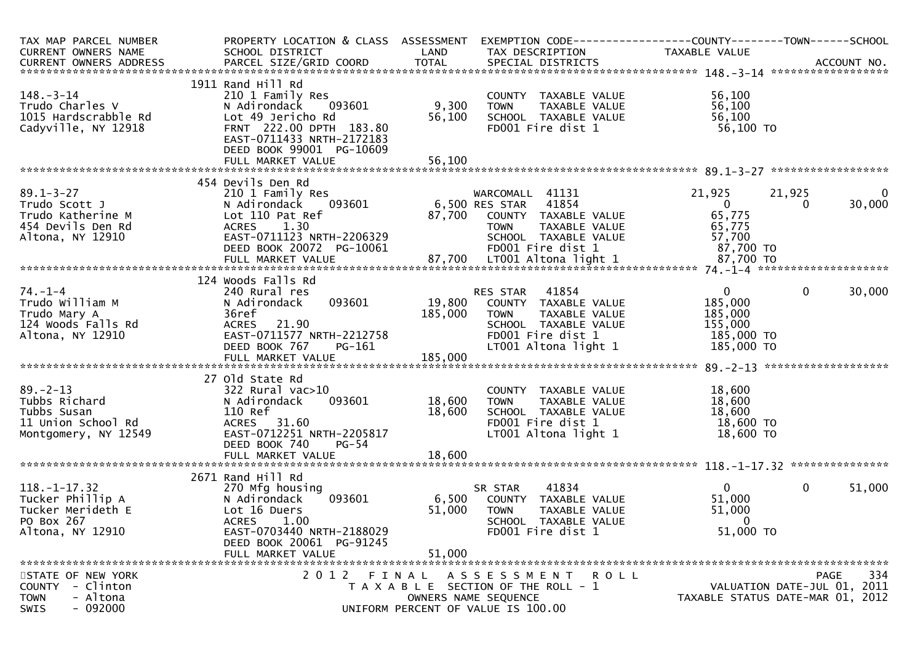| TAX MAP PARCEL NUMBER<br>CURRENT OWNERS NAME                                                    | PROPERTY LOCATION & CLASS ASSESSMENT<br>SCHOOL DISTRICT                                                                                                                              | LAND                      | EXEMPTION CODE-----------------COUNTY-------TOWN------SCHOOL<br>TAX DESCRIPTION                                                                | TAXABLE VALUE                                                               |                             |                        |
|-------------------------------------------------------------------------------------------------|--------------------------------------------------------------------------------------------------------------------------------------------------------------------------------------|---------------------------|------------------------------------------------------------------------------------------------------------------------------------------------|-----------------------------------------------------------------------------|-----------------------------|------------------------|
|                                                                                                 |                                                                                                                                                                                      |                           |                                                                                                                                                |                                                                             |                             |                        |
| $148. - 3 - 14$<br>Trudo Charles V<br>1015 Hardscrabble Rd<br>Cadyville, NY 12918               | 1911 Rand Hill Rd<br>210 1 Family Res<br>093601<br>N Adirondack<br>Lot 49 Jericho Rd<br>FRNT 222.00 DPTH 183.80<br>EAST-0711433 NRTH-2172183<br>DEED BOOK 99001 PG-10609             | 9,300<br>56,100           | COUNTY TAXABLE VALUE<br>TAXABLE VALUE<br><b>TOWN</b><br>SCHOOL TAXABLE VALUE<br>FD001 Fire dist 1                                              | 56,100<br>56,100<br>56,100<br>56,100 TO                                     |                             |                        |
|                                                                                                 |                                                                                                                                                                                      |                           |                                                                                                                                                |                                                                             |                             |                        |
|                                                                                                 | 454 Devils Den Rd                                                                                                                                                                    |                           |                                                                                                                                                |                                                                             |                             |                        |
| $89.1 - 3 - 27$<br>Trudo Scott J<br>Trudo Katherine M<br>454 Devils Den Rd<br>Altona, NY 12910  | 210 1 Family Res<br>093601<br>N Adirondack<br>Lot 110 Pat Ref<br>1.30<br><b>ACRES</b><br>EAST-0711123 NRTH-2206329<br>DEED BOOK 20072 PG-10061                                       | 87,700                    | WARCOMALL 41131<br>6,500 RES STAR 41854<br>COUNTY TAXABLE VALUE<br><b>TOWN</b><br>TAXABLE VALUE<br>SCHOOL TAXABLE VALUE<br>FD001 Fire dist 1   | 21,925<br>$\overline{0}$<br>65,775<br>65,775<br>57,700<br>87,700 TO         | 21,925<br>$\Omega$          | $\mathbf{0}$<br>30,000 |
|                                                                                                 |                                                                                                                                                                                      |                           |                                                                                                                                                |                                                                             |                             |                        |
| $74. - 1 - 4$<br>Trudo William M<br>Trudo Mary A<br>124 Woods Falls Rd<br>Altona, NY 12910      | 124 Woods Falls Rd<br>240 Rural res<br>093601<br>N Adirondack<br>36ref<br>ACRES 21.90<br>EAST-0711577 NRTH-2212758<br>DEED BOOK 767<br>PG-161                                        | 19,800<br>185,000         | 41854<br>RES STAR<br>COUNTY TAXABLE VALUE<br>TAXABLE VALUE<br><b>TOWN</b><br>SCHOOL TAXABLE VALUE<br>FD001 Fire dist 1<br>LT001 Altona light 1 | $\overline{0}$<br>185,000<br>185,000<br>155,000<br>185,000 TO<br>185,000 TO | $\mathbf 0$                 | 30,000                 |
|                                                                                                 |                                                                                                                                                                                      |                           |                                                                                                                                                |                                                                             |                             |                        |
| $89. - 2 - 13$<br>Tubbs Richard<br>Tubbs Susan<br>11 Union School Rd<br>Montgomery, NY 12549    | 27 Old State Rd<br>322 Rural vac>10<br>093601<br>N Adirondack<br>110 Ref<br>ACRES 31.60<br>EAST-0712251 NRTH-2205817<br>DEED BOOK 740<br>$PG-54$                                     | 18,600<br>18,600          | COUNTY TAXABLE VALUE<br>TAXABLE VALUE<br><b>TOWN</b><br>SCHOOL TAXABLE VALUE<br>FD001 Fire dist 1<br>LT001 Altona light 1                      | 18,600<br>18,600<br>18,600<br>18,600 TO<br>18,600 TO                        |                             |                        |
|                                                                                                 | FULL MARKET VALUE                                                                                                                                                                    | 18,600                    |                                                                                                                                                |                                                                             |                             |                        |
| $118. - 1 - 17.32$<br>Tucker Phillip A<br>Tucker Merideth E<br>PO Box 267<br>Altona, NY 12910   | 2671 Rand Hill Rd<br>270 Mfg housing<br>N Adirondack<br>093601<br>Lot 16 Duers<br><b>ACRES</b><br>1.00<br>EAST-0703440 NRTH-2188029<br>DEED BOOK 20061 PG-91245<br>FULL MARKET VALUE | 6,500<br>51,000<br>51,000 | 41834<br>SR STAR<br>COUNTY TAXABLE VALUE<br><b>TOWN</b><br>TAXABLE VALUE<br>SCHOOL TAXABLE VALUE<br>FD001 Fire dist 1                          | $\overline{0}$<br>51,000<br>51,000<br>0<br>51,000 TO                        | $\mathbf 0$                 | 51,000                 |
| STATE OF NEW YORK<br>COUNTY<br>- Clinton<br>- Altona<br><b>TOWN</b><br>$-092000$<br><b>SWIS</b> | 2012 FINAL                                                                                                                                                                           |                           | A S S E S S M E N T R O L L<br>T A X A B L E SECTION OF THE ROLL - 1<br>OWNERS NAME SEQUENCE<br>UNIFORM PERCENT OF VALUE IS 100.00             | TAXABLE STATUS DATE-MAR 01, 2012                                            | VALUATION DATE-JUL 01, 2011 | 334<br><b>PAGE</b>     |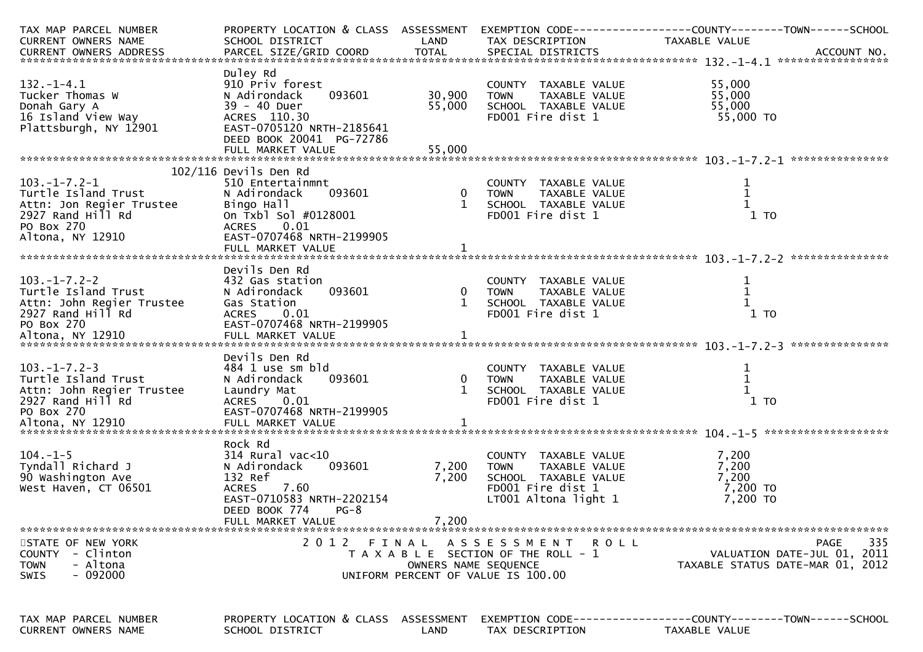| TAX MAP PARCEL NUMBER                                       |                                      |                       |                                                             | PROPERTY LOCATION & CLASS ASSESSMENT EXEMPTION CODE----------------COUNTY-------TOWN------SCHOOL                                                                                                                                     |
|-------------------------------------------------------------|--------------------------------------|-----------------------|-------------------------------------------------------------|--------------------------------------------------------------------------------------------------------------------------------------------------------------------------------------------------------------------------------------|
| CURRENT OWNERS NAME                                         | SCHOOL DISTRICT                      | LAND                  | TAX DESCRIPTION                                             | TAXABLE VALUE                                                                                                                                                                                                                        |
|                                                             |                                      |                       |                                                             |                                                                                                                                                                                                                                      |
|                                                             |                                      |                       |                                                             |                                                                                                                                                                                                                                      |
|                                                             | Duley Rd                             |                       |                                                             |                                                                                                                                                                                                                                      |
| $132. - 1 - 4.1$                                            | 910 Priv forest                      |                       | COUNTY TAXABLE VALUE                                        | 55,000                                                                                                                                                                                                                               |
| Tucker Thomas W                                             | 093601<br>N Adirondack               | 30,900                | TAXABLE VALUE<br><b>TOWN</b>                                | 55,000                                                                                                                                                                                                                               |
| Donah Gary A                                                | 39 - 40 Duer                         | 55,000                | SCHOOL TAXABLE VALUE                                        | 55,000                                                                                                                                                                                                                               |
| 16 Island View Way                                          | ACRES 110.30                         |                       | FD001 Fire dist 1                                           | 55,000 TO                                                                                                                                                                                                                            |
| Plattsburgh, NY 12901                                       | EAST-0705120 NRTH-2185641            |                       |                                                             |                                                                                                                                                                                                                                      |
|                                                             | DEED BOOK 20041 PG-72786             |                       |                                                             |                                                                                                                                                                                                                                      |
|                                                             |                                      |                       |                                                             |                                                                                                                                                                                                                                      |
|                                                             |                                      |                       |                                                             |                                                                                                                                                                                                                                      |
|                                                             | $102/116$ Devils Den Rd              |                       |                                                             |                                                                                                                                                                                                                                      |
| $103. -1 - 7.2 - 1$                                         | 510 Entertainmnt                     |                       | COUNTY TAXABLE VALUE                                        |                                                                                                                                                                                                                                      |
| Turtle Island Trust                                         | N Adirondack<br>093601               |                       | 0    TOWN      TAXABLE VALUE<br>1    SCHOOL   TAXABLE VALUE |                                                                                                                                                                                                                                      |
| Attn: Jon Regier Trustee<br>2927 Rand Hill Rd<br>PO Box 270 | Bingo Hall                           |                       |                                                             |                                                                                                                                                                                                                                      |
|                                                             | On Txbl Sol #0128001                 |                       | FD001 Fire dist 1                                           | $1$ TO                                                                                                                                                                                                                               |
|                                                             | ACRES 0.01                           |                       |                                                             |                                                                                                                                                                                                                                      |
| Altona, NY 12910                                            | EAST-0707468 NRTH-2199905            |                       |                                                             |                                                                                                                                                                                                                                      |
|                                                             |                                      |                       |                                                             |                                                                                                                                                                                                                                      |
|                                                             |                                      |                       |                                                             |                                                                                                                                                                                                                                      |
|                                                             | Devils Den Rd                        |                       |                                                             |                                                                                                                                                                                                                                      |
| $103. -1 - 7.2 - 2$                                         | 432 Gas station                      |                       | COUNTY TAXABLE VALUE                                        | $\mathbf 1$                                                                                                                                                                                                                          |
| Turtle Island Trust                                         | 093601<br>N Adirondack               |                       | 0 TOWN<br>TAXABLE VALUE                                     |                                                                                                                                                                                                                                      |
|                                                             |                                      |                       |                                                             |                                                                                                                                                                                                                                      |
|                                                             |                                      |                       |                                                             |                                                                                                                                                                                                                                      |
|                                                             |                                      |                       |                                                             |                                                                                                                                                                                                                                      |
|                                                             |                                      |                       |                                                             | Attn: John Regier Trustee (38 Station (2002)<br>Attn: John Regier Trustee (38 Station (2001)<br>ACRES 0.01 FD001 Fire dist 1 1 TO<br>PO BOX 270 FULL MARKET VALUE (11 10 FD001 Fire dist 1 1 10 10 FULL MARKET VALUE FULL MARKET VAL |
|                                                             |                                      |                       |                                                             |                                                                                                                                                                                                                                      |
|                                                             | Devils Den Rd                        |                       |                                                             |                                                                                                                                                                                                                                      |
| $103. -1 - 7.2 - 3$                                         | 484 1 use sm bld                     |                       | COUNTY TAXABLE VALUE                                        | 1                                                                                                                                                                                                                                    |
| Turtle Island Trust                                         | 093601<br>N Adirondack               |                       | TAXABLE VALUE                                               | $\mathbf{1}$                                                                                                                                                                                                                         |
|                                                             | Laundry Mat                          | COUN<br>0 TOWN<br>1 C | SCHOOL TAXABLE VALUE                                        |                                                                                                                                                                                                                                      |
| Attn: John Regier Trustee<br>2927 Rand Hill Rd              | ACRES<br>0.01                        |                       | FD001 Fire dist 1                                           | $1$ TO                                                                                                                                                                                                                               |
| PO Box 270                                                  | EAST-0707468 NRTH-2199905            |                       |                                                             |                                                                                                                                                                                                                                      |
|                                                             |                                      |                       |                                                             |                                                                                                                                                                                                                                      |
|                                                             |                                      |                       |                                                             |                                                                                                                                                                                                                                      |
|                                                             | Rock Rd                              |                       |                                                             |                                                                                                                                                                                                                                      |
| $104. - 1 - 5$                                              | 314 Rural vac<10                     |                       | COUNTY TAXABLE VALUE                                        | 7,200                                                                                                                                                                                                                                |
| Tyndall Richard J                                           | N Adirondack<br>093601               | 7,200                 | <b>TOWN</b><br>TAXABLE VALUE                                | 7,200                                                                                                                                                                                                                                |
| 90 Washington Ave                                           | 132 Ref                              | 7,200                 | SCHOOL TAXABLE VALUE                                        | 7,200                                                                                                                                                                                                                                |
| West Haven, CT 06501                                        | <b>ACRES</b><br>7.60                 |                       | FD001 Fire dist 1                                           | 7,200 TO                                                                                                                                                                                                                             |
|                                                             | EAST-0710583 NRTH-2202154            |                       | LT001 Altona light 1                                        | 7,200 TO                                                                                                                                                                                                                             |
|                                                             | DEED BOOK 774<br>$PG-8$              |                       |                                                             |                                                                                                                                                                                                                                      |
|                                                             | FULL MARKET VALUE                    | 7,200                 |                                                             |                                                                                                                                                                                                                                      |
|                                                             |                                      |                       |                                                             |                                                                                                                                                                                                                                      |
| STATE OF NEW YORK                                           | 2 0 1 2<br>FINAL                     |                       | A S S E S S M E N T<br>R O L L                              | 335<br>PAGE                                                                                                                                                                                                                          |
| COUNTY - Clinton                                            |                                      |                       | T A X A B L E SECTION OF THE ROLL - 1                       | VALUATION DATE-JUL 01, 2011                                                                                                                                                                                                          |
| - Altona<br><b>TOWN</b>                                     |                                      | OWNERS NAME SEQUENCE  |                                                             | TAXABLE STATUS DATE-MAR 01, 2012                                                                                                                                                                                                     |
| $-092000$<br><b>SWIS</b>                                    |                                      |                       | UNIFORM PERCENT OF VALUE IS 100.00                          |                                                                                                                                                                                                                                      |
|                                                             |                                      |                       |                                                             |                                                                                                                                                                                                                                      |
|                                                             |                                      |                       |                                                             |                                                                                                                                                                                                                                      |
| TAX MAP PARCEL NUMBER                                       | PROPERTY LOCATION & CLASS ASSESSMENT |                       |                                                             |                                                                                                                                                                                                                                      |
| CURRENT OWNERS NAME                                         | SCHOOL DISTRICT                      | LAND                  | TAX DESCRIPTION                                             | TAXABLE VALUE                                                                                                                                                                                                                        |
|                                                             |                                      |                       |                                                             |                                                                                                                                                                                                                                      |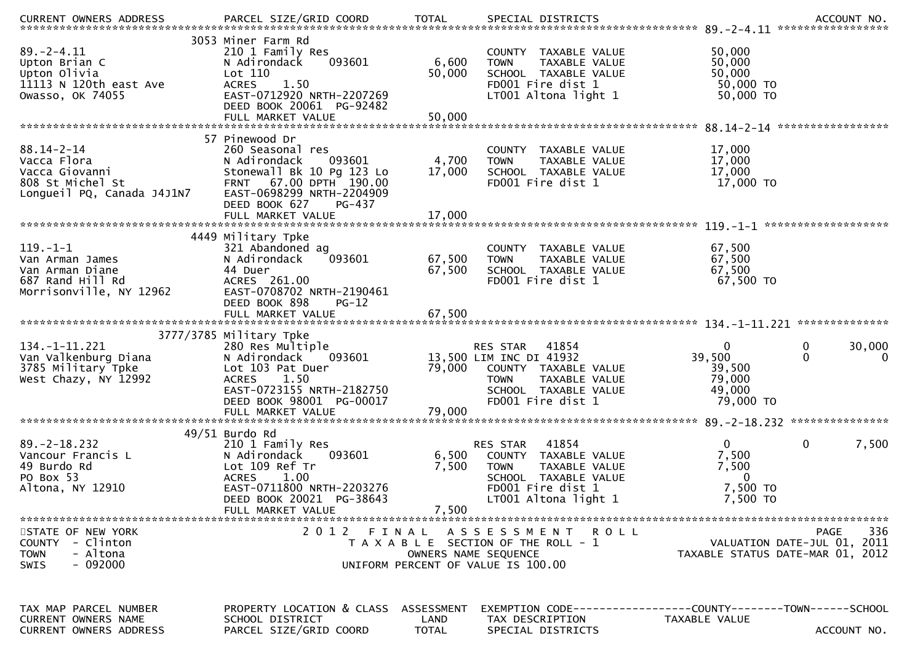| $89. - 2 - 4.11$<br>Upton Brian C<br>Upton Olivia<br>11113 N 120th east Ave<br>Owasso, OK 74055     | 3053 Miner Farm Rd<br>210 1 Family Res<br>093601<br>N Adirondack<br>Lot 110<br><b>ACRES</b><br>1.50<br>EAST-0712920 NRTH-2207269<br>DEED BOOK 20061 PG-92482<br>FULL MARKET VALUE      | 6,600<br>50,000<br>50,000          | COUNTY TAXABLE VALUE<br>TAXABLE VALUE<br><b>TOWN</b><br>SCHOOL TAXABLE VALUE<br>FD001 Fire dist 1<br>LT001 Altona light 1                             | 50,000<br>50,000<br>50,000<br>50,000 TO<br>50,000 TO                                           |              |
|-----------------------------------------------------------------------------------------------------|----------------------------------------------------------------------------------------------------------------------------------------------------------------------------------------|------------------------------------|-------------------------------------------------------------------------------------------------------------------------------------------------------|------------------------------------------------------------------------------------------------|--------------|
|                                                                                                     | 57 Pinewood Dr                                                                                                                                                                         |                                    |                                                                                                                                                       |                                                                                                |              |
| $88.14 - 2 - 14$<br>Vacca Flora<br>Vacca Giovanni<br>808 St Michel St<br>Longueil PQ, Canada J4J1N7 | 260 Seasonal res<br>093601<br>N Adirondack<br>Stonewall Bk 10 Pg 123 Lo<br>FRNT 67.00 DPTH 190.00<br>EAST-0698299 NRTH-2204909<br>DEED BOOK 627<br>PG-437                              | 4,700<br>17,000                    | COUNTY TAXABLE VALUE<br>TAXABLE VALUE<br><b>TOWN</b><br>SCHOOL TAXABLE VALUE<br>FD001 Fire dist 1                                                     | 17,000<br>17,000<br>17,000<br>17,000 TO                                                        |              |
|                                                                                                     |                                                                                                                                                                                        |                                    |                                                                                                                                                       |                                                                                                |              |
| $119. - 1 - 1$<br>Van Arman James<br>Van Arman Diane<br>687 Rand Hill Rd<br>Morrisonville, NY 12962 | 4449 Military Tpke<br>321 Abandoned ag<br>N Adirondack<br>093601<br>44 Duer<br>ACRES 261.00<br>EAST-0708702 NRTH-2190461<br>DEED BOOK 898<br>$PG-12$                                   | 67,500<br>67,500                   | COUNTY TAXABLE VALUE<br><b>TOWN</b><br>TAXABLE VALUE<br>SCHOOL TAXABLE VALUE<br>FD001 Fire dist 1                                                     | 67,500<br>67,500<br>67,500<br>67,500 TO                                                        |              |
|                                                                                                     |                                                                                                                                                                                        |                                    |                                                                                                                                                       |                                                                                                |              |
| 134. -1-11. 221<br>Van Valkenburg Diana<br>3785 Military Tpke<br>West Chazy, NY 12992               | 3777/3785 Military Tpke<br>280 Res Multiple<br>N Adirondack<br>093601<br>Lot 103 Pat Duer<br>1.50<br><b>ACRES</b><br>EAST-0723155 NRTH-2182750<br>DEED BOOK 98001 PG-00017             | 79,000                             | RES STAR<br>41854<br>13,500 LIM INC DI 41932<br>COUNTY TAXABLE VALUE<br><b>TOWN</b><br>TAXABLE VALUE<br>SCHOOL TAXABLE VALUE<br>FD001 Fire dist 1     | $\mathbf{0}$<br>0<br>30,000<br>39,500<br>$\Omega$<br>39,500<br>79,000<br>49,000<br>79,000 TO   | $\mathbf{0}$ |
|                                                                                                     |                                                                                                                                                                                        |                                    |                                                                                                                                                       |                                                                                                |              |
| $89. -2 - 18.232$<br>Vancour Francis L<br>49 Burdo Rd<br>PO Box 53<br>Altona, NY 12910              | $49/51$ Burdo Rd<br>210 1 Family Res<br>N Adirondack<br>093601<br>Lot 109 Ref Tr<br>1.00<br><b>ACRES</b><br>EAST-0711800 NRTH-2203276<br>DEED BOOK 20021 PG-38643<br>FULL MARKET VALUE | 6,500<br>7,500<br>7,500            | 41854<br><b>RES STAR</b><br>COUNTY TAXABLE VALUE<br><b>TOWN</b><br>TAXABLE VALUE<br>SCHOOL TAXABLE VALUE<br>FD001 Fire dist 1<br>LT001 Altona light 1 | $\Omega$<br>0<br>7,500<br>7,500<br>7,500<br>0<br>7,500 TO<br>7,500 TO                          |              |
| STATE OF NEW YORK<br>COUNTY - Clinton<br>- Altona<br><b>TOWN</b><br>$-092000$<br><b>SWIS</b>        | 2 0 1 2                                                                                                                                                                                | FINAL                              | A S S E S S M E N T R O L L<br>T A X A B L E SECTION OF THE ROLL - 1<br>OWNERS NAME SEQUENCE<br>UNIFORM PERCENT OF VALUE IS 100.00                    | PAGE<br>VALUATION DATE-JUL 01, 2011<br>TAXABLE STATUS DATE-MAR 01, 2012                        | 336          |
| TAX MAP PARCEL NUMBER<br><b>CURRENT OWNERS NAME</b><br><b>CURRENT OWNERS ADDRESS</b>                | PROPERTY LOCATION & CLASS<br>SCHOOL DISTRICT<br>PARCEL SIZE/GRID COORD                                                                                                                 | ASSESSMENT<br>LAND<br><b>TOTAL</b> | TAX DESCRIPTION<br>SPECIAL DISTRICTS                                                                                                                  | EXEMPTION CODE------------------COUNTY--------TOWN------SCHOOL<br>TAXABLE VALUE<br>ACCOUNT NO. |              |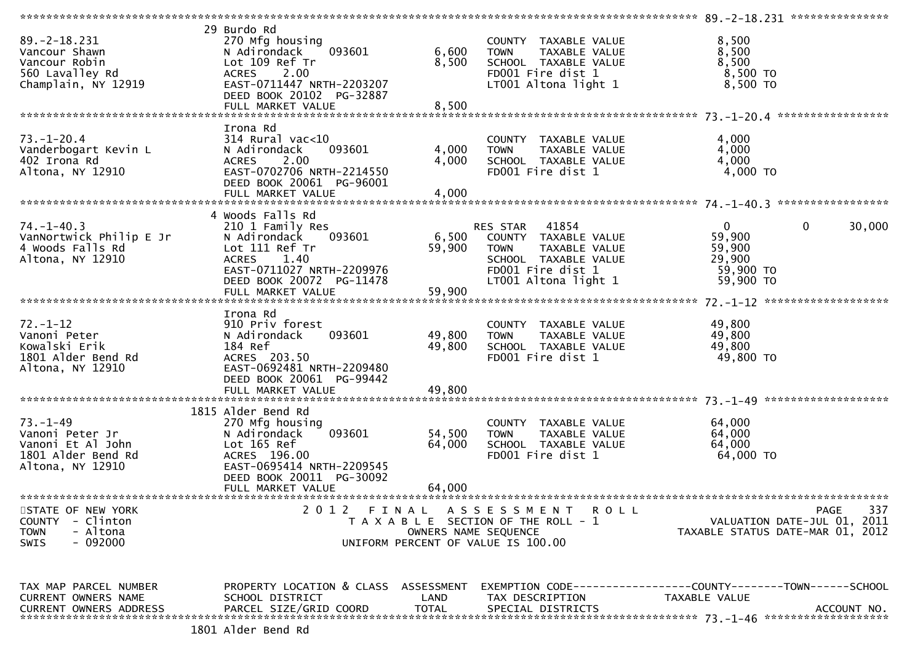|                                                                                                  |                                                                                                                                                                                  |                            |                                                                                                                                                | ***************** 89.-2-18.231 ****************                                     |             |
|--------------------------------------------------------------------------------------------------|----------------------------------------------------------------------------------------------------------------------------------------------------------------------------------|----------------------------|------------------------------------------------------------------------------------------------------------------------------------------------|-------------------------------------------------------------------------------------|-------------|
| $89. -2 - 18.231$<br>Vancour Shawn<br>Vancour Robin<br>560 Lavalley Rd<br>Champlain, NY 12919    | 29 Burdo Rd<br>270 Mfg housing<br>N Adirondack<br>093601<br>Lot 109 Ref Tr<br>2.00<br><b>ACRES</b><br>EAST-0711447 NRTH-2203207<br>DEED BOOK 20102 PG-32887<br>FULL MARKET VALUE | 6,600<br>8,500<br>8,500    | COUNTY TAXABLE VALUE<br><b>TOWN</b><br>TAXABLE VALUE<br>SCHOOL TAXABLE VALUE<br>FD001 Fire dist 1<br>LT001 Altona light 1                      | 8,500<br>8,500<br>8,500<br>$8,500$ TO<br>8,500 TO                                   |             |
|                                                                                                  |                                                                                                                                                                                  |                            |                                                                                                                                                |                                                                                     |             |
| $73. - 1 - 20.4$<br>Vanderbogart Kevin L<br>402 Irona Rd<br>Altona, NY 12910                     | Irona Rd<br>$314$ Rural vac<10<br>093601<br>N Adirondack<br>2.00<br><b>ACRES</b><br>EAST-0702706 NRTH-2214550<br>DEED BOOK 20061 PG-96001<br>FULL MARKET VALUE                   | 4,000<br>4,000<br>4,000    | COUNTY TAXABLE VALUE<br>TAXABLE VALUE<br><b>TOWN</b><br>SCHOOL TAXABLE VALUE<br>FD001 Fire dist 1                                              | 4,000<br>4,000<br>4,000<br>$4,000$ TO                                               |             |
|                                                                                                  | 4 Woods Falls Rd                                                                                                                                                                 |                            |                                                                                                                                                |                                                                                     |             |
| $74. - 1 - 40.3$<br>VanNortwick Philip E Jr<br>4 Woods Falls Rd<br>Altona, NY 12910              | 210 1 Family Res<br>N Adirondack<br>093601<br>Lot 111 Ref Tr<br><b>ACRES</b><br>1.40<br>EAST-0711027 NRTH-2209976<br>DEED BOOK 20072 PG-11478<br>FULL MARKET VALUE               | 6,500<br>59,900<br>59,900  | RES STAR<br>41854<br>COUNTY TAXABLE VALUE<br>TAXABLE VALUE<br><b>TOWN</b><br>SCHOOL TAXABLE VALUE<br>FD001 Fire dist 1<br>LT001 Altona light 1 | $\mathbf{0}$<br>$\mathbf 0$<br>59,900<br>59,900<br>29,900<br>59,900 TO<br>59,900 TO | 30,000      |
|                                                                                                  |                                                                                                                                                                                  |                            |                                                                                                                                                |                                                                                     |             |
| $72. - 1 - 12$<br>Vanoni Peter<br>Kowalski Erik<br>1801 Alder Bend Rd<br>Altona, NY 12910        | Irona Rd<br>910 Priv forest<br>093601<br>N Adirondack<br>184 Ref<br>ACRES 203.50<br>EAST-0692481 NRTH-2209480<br>DEED BOOK 20061 PG-99442                                        | 49,800<br>49,800           | COUNTY TAXABLE VALUE<br>TAXABLE VALUE<br><b>TOWN</b><br>SCHOOL TAXABLE VALUE<br>FD001 Fire dist 1                                              | 49,800<br>49,800<br>49,800<br>49,800 TO                                             |             |
|                                                                                                  |                                                                                                                                                                                  |                            |                                                                                                                                                |                                                                                     |             |
| $73. - 1 - 49$<br>Vanoni Peter Jr<br>Vanoni Et Al John<br>1801 Alder Bend Rd<br>Altona, NY 12910 | 1815 Alder Bend Rd<br>270 Mfg housing<br>093601<br>N Adirondack<br>Lot 165 Ref<br>ACRES 196.00<br>EAST-0695414 NRTH-2209545<br>DEED BOOK 20011 PG-30092<br>FULL MARKET VALUE     | 54,500<br>64,000<br>64,000 | COUNTY TAXABLE VALUE<br>TAXABLE VALUE<br><b>TOWN</b><br>SCHOOL TAXABLE VALUE<br>FD001 Fire dist 1                                              | 64,000<br>64,000<br>64,000<br>64,000 TO                                             |             |
| STATE OF NEW YORK                                                                                |                                                                                                                                                                                  |                            | 2012 FINAL ASSESSMENT ROLL                                                                                                                     | PAGE                                                                                | 337         |
| COUNTY - Clinton<br>- Altona<br><b>TOWN</b><br>- 092000<br><b>SWIS</b>                           |                                                                                                                                                                                  | OWNERS NAME SEQUENCE       | T A X A B L E SECTION OF THE ROLL - 1<br>UNIFORM PERCENT OF VALUE IS 100.00                                                                    | VALUATION DATE-JUL 01, 2011<br>TAXABLE STATUS DATE-MAR 01, 2012                     |             |
| TAX MAP PARCEL NUMBER<br>CURRENT OWNERS NAME<br><b>CURRENT OWNERS ADDRESS</b>                    | PROPERTY LOCATION & CLASS ASSESSMENT<br>SCHOOL DISTRICT<br>PARCEL SIZE/GRID COORD<br>1801 Alder Bend Rd                                                                          | LAND<br><b>TOTAL</b>       | TAX DESCRIPTION<br>SPECIAL DISTRICTS                                                                                                           | EXEMPTION CODE-----------------COUNTY-------TOWN------SCHOOL<br>TAXABLE VALUE       | ACCOUNT NO. |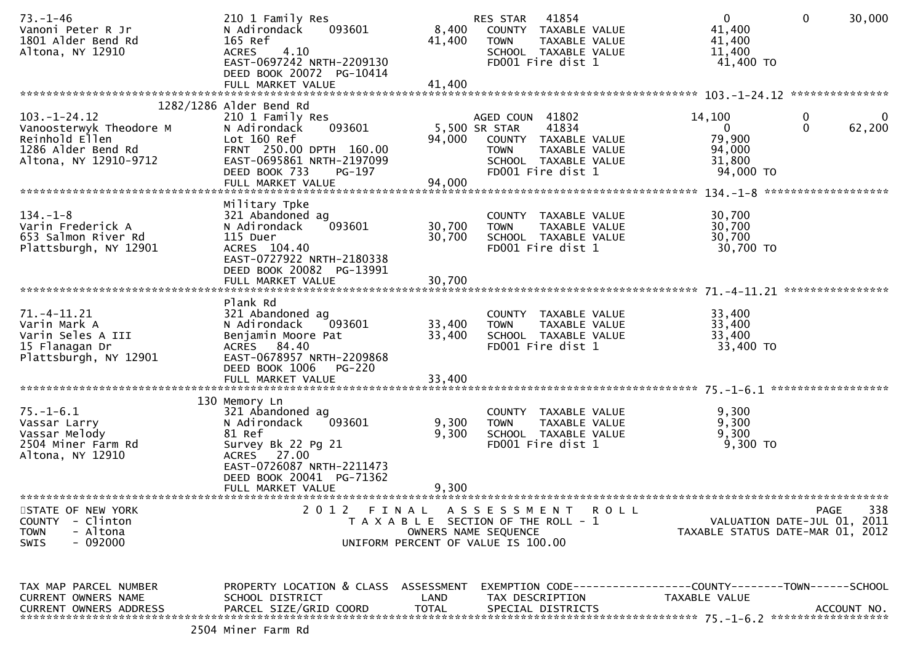| $73. - 1 - 46$<br>Vanoni Peter R Jr<br>1801 Alder Bend Rd<br>Altona, NY 12910                                  | 210 1 Family Res<br>093601<br>N Adirondack<br>165 Ref<br><b>ACRES</b><br>4.10<br>EAST-0697242 NRTH-2209130<br>DEED BOOK 20072 PG-10414<br>FULL MARKET VALUE                              | 8,400<br>41,400<br>41,400  | 41854<br>RES STAR<br>COUNTY TAXABLE VALUE<br><b>TOWN</b><br>TAXABLE VALUE<br>SCHOOL TAXABLE VALUE<br>FD001 Fire dist 1                         | $\mathbf{0}$<br>$\mathbf{0}$<br>41,400<br>41,400<br>11,400<br>41,400 TO        | 30,000           |
|----------------------------------------------------------------------------------------------------------------|------------------------------------------------------------------------------------------------------------------------------------------------------------------------------------------|----------------------------|------------------------------------------------------------------------------------------------------------------------------------------------|--------------------------------------------------------------------------------|------------------|
|                                                                                                                | 1282/1286 Alder Bend Rd                                                                                                                                                                  |                            |                                                                                                                                                |                                                                                |                  |
| $103. - 1 - 24.12$<br>Vanoosterwyk Theodore M<br>Reinhold Ellen<br>1286 Alder Bend Rd<br>Altona, NY 12910-9712 | 210 1 Family Res<br>093601<br>N Adirondack<br>Lot 160 Ref<br>FRNT 250.00 DPTH 160.00<br>EAST-0695861 NRTH-2197099<br>DEED BOOK 733<br>PG-197<br>FULL MARKET VALUE                        | 94,000<br>94,000           | AGED COUN 41802<br>5,500 SR STAR<br>41834<br>COUNTY TAXABLE VALUE<br><b>TOWN</b><br>TAXABLE VALUE<br>SCHOOL TAXABLE VALUE<br>FD001 Fire dist 1 | 14,100<br>0<br>$\Omega$<br>$\Omega$<br>79,900<br>94,000<br>31,800<br>94,000 TO | 62,200           |
|                                                                                                                |                                                                                                                                                                                          |                            |                                                                                                                                                |                                                                                |                  |
| $134. - 1 - 8$<br>Varin Frederick A<br>653 Salmon River Rd<br>Plattsburgh, NY 12901                            | Military Tpke<br>321 Abandoned ag<br>093601<br>N Adirondack<br>115 Duer<br>ACRES 104.40<br>EAST-0727922 NRTH-2180338<br>DEED BOOK 20082 PG-13991                                         | 30,700<br>30,700           | COUNTY TAXABLE VALUE<br>TAXABLE VALUE<br><b>TOWN</b><br>SCHOOL TAXABLE VALUE<br>FD001 Fire dist 1                                              | 30,700<br>30,700<br>30,700<br>30,700 TO                                        |                  |
|                                                                                                                | FULL MARKET VALUE                                                                                                                                                                        | 30,700                     |                                                                                                                                                |                                                                                | **************** |
|                                                                                                                | Plank Rd                                                                                                                                                                                 |                            |                                                                                                                                                |                                                                                |                  |
| 71. -4 - 11. 21<br>Varin Mark A<br>Varin Seles A III<br>15 Flanagan Dr<br>Plattsburgh, NY 12901                | 321 Abandoned ag<br>093601<br>N Adirondack<br>Benjamin Moore Pat<br>ACRES 84.40<br>EAST-0678957 NRTH-2209868<br>DEED BOOK 1006<br><b>PG-220</b><br>FULL MARKET VALUE                     | 33,400<br>33,400<br>33,400 | COUNTY TAXABLE VALUE<br>TAXABLE VALUE<br><b>TOWN</b><br>SCHOOL TAXABLE VALUE<br>FD001 Fire dist 1                                              | 33,400<br>33,400<br>33,400<br>33,400 TO                                        |                  |
|                                                                                                                |                                                                                                                                                                                          |                            |                                                                                                                                                |                                                                                |                  |
| $75. - 1 - 6.1$<br>Vassar Larry<br>Vassar Melody<br>2504 Miner Farm Rd<br>Altona, NY 12910                     | 130 Memory Ln<br>321 Abandoned ag<br>093601<br>N Adirondack<br>81 Ref<br>Survey Bk 22 Pg 21<br>ACRES 27.00<br>EAST-0726087 NRTH-2211473<br>DEED BOOK 20041 PG-71362<br>FULL MARKET VALUE | 9,300<br>9,300<br>9,300    | COUNTY TAXABLE VALUE<br><b>TOWN</b><br>TAXABLE VALUE<br>SCHOOL TAXABLE VALUE<br>FD001 Fire dist 1                                              | 9,300<br>9,300<br>9,300<br>$9,300$ TO                                          |                  |
|                                                                                                                |                                                                                                                                                                                          |                            |                                                                                                                                                |                                                                                |                  |
| STATE OF NEW YORK<br><b>COUNTY</b><br>- Clinton<br>- Altona<br><b>TOWN</b><br>$-092000$<br>SWIS                | 2 0 1 2                                                                                                                                                                                  | OWNERS NAME SEQUENCE       | FINAL ASSESSMENT<br>R O L L<br>T A X A B L E SECTION OF THE ROLL - 1<br>UNIFORM PERCENT OF VALUE IS 100.00                                     | VALUATION DATE-JUL 01, 2011<br>TAXABLE STATUS DATE-MAR 01, 2012                | 338<br>PAGE      |
| TAX MAP PARCEL NUMBER<br>CURRENT OWNERS NAME<br><b>CURRENT OWNERS ADDRESS</b>                                  | PROPERTY LOCATION & CLASS ASSESSMENT<br>SCHOOL DISTRICT<br>PARCEL SIZE/GRID COORD<br>3504 Minor Form Bd                                                                                  | LAND<br><b>TOTAL</b>       | TAX DESCRIPTION<br>SPECIAL DISTRICTS                                                                                                           | EXEMPTION CODE-----------------COUNTY-------TOWN------SCHOOL<br>TAXABLE VALUE  | ACCOUNT NO.      |
|                                                                                                                |                                                                                                                                                                                          |                            |                                                                                                                                                |                                                                                |                  |

2504 Miner Farm Rd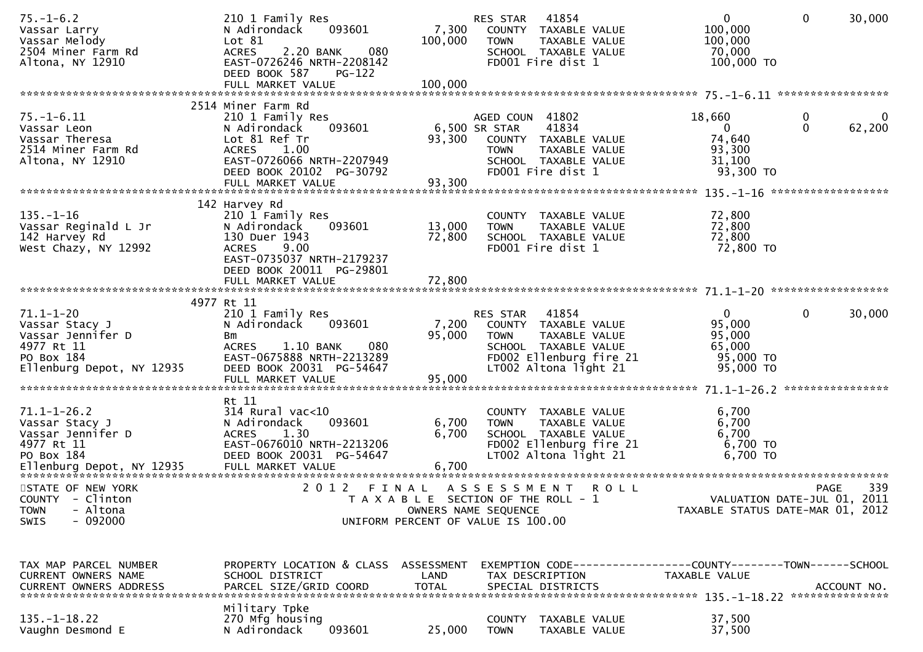| $75. - 1 - 6.2$<br>Vassar Larry<br>Vassar Melody<br>2504 Miner Farm Rd<br>Altona, NY 12910                      | 210 1 Family Res<br>093601<br>N Adirondack<br>Lot 81<br>080<br>2.20 BANK<br><b>ACRES</b><br>EAST-0726246 NRTH-2208142<br>DEED BOOK 587<br>$PG-122$                   | 7,300<br>100,000                                                            | RES STAR<br><b>TOWN</b>                         | 41854<br>COUNTY TAXABLE VALUE<br>TAXABLE VALUE<br>SCHOOL TAXABLE VALUE<br>FD001 Fire dist 1                                | $\overline{0}$<br>100,000<br>100,000<br>70,000<br>100,000 TO                         | 30,000<br>$\mathbf{0}$                     |          |
|-----------------------------------------------------------------------------------------------------------------|----------------------------------------------------------------------------------------------------------------------------------------------------------------------|-----------------------------------------------------------------------------|-------------------------------------------------|----------------------------------------------------------------------------------------------------------------------------|--------------------------------------------------------------------------------------|--------------------------------------------|----------|
|                                                                                                                 | 2514 Miner Farm Rd                                                                                                                                                   |                                                                             |                                                 |                                                                                                                            |                                                                                      |                                            |          |
| $75. - 1 - 6.11$<br>Vassar Leon<br>Vassar Theresa<br>2514 Miner Farm Rd<br>Altona, NY 12910                     | 210 1 Family Res<br>093601<br>N Adirondack<br>Lot 81 Ref Tr<br>1.00<br><b>ACRES</b><br>EAST-0726066 NRTH-2207949<br>DEED BOOK 20102 PG-30792                         | 93,300                                                                      | AGED COUN 41802<br>6,500 SR STAR<br><b>TOWN</b> | 41834<br>COUNTY TAXABLE VALUE<br>TAXABLE VALUE<br>SCHOOL TAXABLE VALUE<br>FD001 Fire dist 1                                | 18,660<br>$\Omega$<br>74,640<br>93,300<br>31,100<br>93,300 TO                        | $\mathbf 0$<br>$\Omega$<br>62,200          | $\bf{0}$ |
|                                                                                                                 | 142 Harvey Rd                                                                                                                                                        |                                                                             |                                                 |                                                                                                                            |                                                                                      |                                            |          |
| $135. - 1 - 16$<br>Vassar Reginald L Jr<br>142 Harvey Rd<br>West Chazy, NY 12992                                | 210 1 Family Res<br>093601<br>N Adirondack<br>130 Duer 1943<br>9.00<br><b>ACRES</b><br>EAST-0735037 NRTH-2179237<br>DEED BOOK 20011 PG-29801                         | 13,000<br>72,800                                                            | <b>TOWN</b>                                     | COUNTY TAXABLE VALUE<br>TAXABLE VALUE<br>SCHOOL TAXABLE VALUE<br>FD001 Fire dist 1                                         | 72,800<br>72,800<br>72,800<br>72,800 TO                                              |                                            |          |
|                                                                                                                 |                                                                                                                                                                      |                                                                             |                                                 |                                                                                                                            |                                                                                      |                                            |          |
|                                                                                                                 | 4977 Rt 11                                                                                                                                                           |                                                                             |                                                 |                                                                                                                            |                                                                                      |                                            |          |
| $71.1 - 1 - 20$<br>Vassar Stacy J<br>Vassar Jennifer D<br>4977 Rt 11<br>PO Box 184<br>Ellenburg Depot, NY 12935 | 210 1 Family Res<br>N Adirondack<br>093601<br>Bm<br><b>ACRES</b><br>$1.10$ BANK<br>080<br>EAST-0675888 NRTH-2213289<br>DEED BOOK 20031 PG-54647<br>FULL MARKET VALUE | 7,200<br>95,000<br>95,000                                                   | <b>RES STAR</b><br><b>TOWN</b>                  | 41854<br>COUNTY TAXABLE VALUE<br>TAXABLE VALUE<br>SCHOOL TAXABLE VALUE<br>FD002 Ellenburg fire 21<br>LT002 Altona light 21 | $\overline{0}$<br>95,000<br>95,000<br>65,000<br>95,000 TO<br>95,000 TO               | $\mathbf{0}$<br>30,000                     |          |
|                                                                                                                 |                                                                                                                                                                      |                                                                             |                                                 |                                                                                                                            |                                                                                      |                                            |          |
| $71.1 - 1 - 26.2$<br>Vassar Stacy J<br>Vassar Jennifer D<br>4977 Rt 11<br>PO Box 184                            | Rt 11<br>314 Rural vac<10<br>093601<br>N Adirondack<br>1.30<br><b>ACRES</b><br>EAST-0676010 NRTH-2213206<br>DEED BOOK 20031 PG-54647                                 | 6,700<br>6,700                                                              | <b>TOWN</b>                                     | COUNTY TAXABLE VALUE<br>TAXABLE VALUE<br>SCHOOL TAXABLE VALUE<br>FD002 Ellenburg fire 21<br>LT002 Altona light 21          | 6,700<br>6,700<br>6,700<br>6,700 TO<br>6,700 TO                                      |                                            |          |
| STATE OF NEW YORK<br>COUNTY - Clinton<br>- Altona<br><b>TOWN</b><br>$-092000$<br><b>SWIS</b>                    | 2012<br>FINAL                                                                                                                                                        | T A X A B L E SECTION OF THE ROLL - 1<br>UNIFORM PERCENT OF VALUE IS 100.00 | A S S E S S M E N T<br>OWNERS NAME SEQUENCE     | R O L L                                                                                                                    | TAXABLE STATUS DATE-MAR 01, 2012                                                     | <b>PAGE</b><br>VALUATION DATE-JUL 01, 2011 | 339      |
|                                                                                                                 |                                                                                                                                                                      |                                                                             |                                                 |                                                                                                                            |                                                                                      |                                            |          |
| TAX MAP PARCEL NUMBER<br>CURRENT OWNERS NAME<br><b>CURRENT OWNERS ADDRESS</b>                                   | PROPERTY LOCATION & CLASS<br>SCHOOL DISTRICT<br>PARCEL SIZE/GRID COORD                                                                                               | ASSESSMENT<br>LAND<br><b>TOTAL</b>                                          |                                                 | TAX DESCRIPTION<br>SPECIAL DISTRICTS                                                                                       | EXEMPTION CODE-----------------COUNTY-------TOWN------SCHOOL<br><b>TAXABLE VALUE</b> | ACCOUNT NO.                                |          |
| $135. - 1 - 18.22$<br>Vaughn Desmond E                                                                          | Military Tpke<br>270 Mfg housing<br>093601<br>N Adirondack                                                                                                           | 25,000                                                                      | <b>COUNTY</b><br><b>TOWN</b>                    | TAXABLE VALUE<br>TAXABLE VALUE                                                                                             | 37,500<br>37,500                                                                     |                                            |          |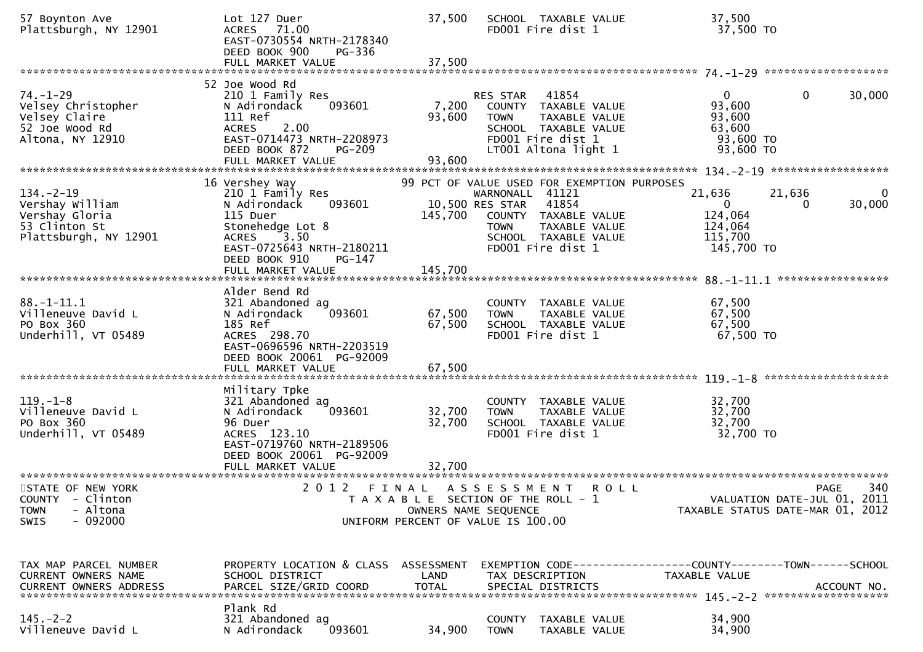| 57 Boynton Ave<br>Plattsburgh, NY 12901                                                        | Lot 127 Duer<br>71.00<br><b>ACRES</b><br>EAST-0730554 NRTH-2178340<br>DEED BOOK 900<br>PG-336<br>FULL MARKET VALUE                                                   | 37,500<br>37,500                                                                     |                                                   | SCHOOL TAXABLE VALUE<br>FD001 Fire dist 1                                                                           |             | 37,500<br>37,500 TO                                                     |             |                                            |
|------------------------------------------------------------------------------------------------|----------------------------------------------------------------------------------------------------------------------------------------------------------------------|--------------------------------------------------------------------------------------|---------------------------------------------------|---------------------------------------------------------------------------------------------------------------------|-------------|-------------------------------------------------------------------------|-------------|--------------------------------------------|
| $74. - 1 - 29$<br>Velsey Christopher<br>Velsey Claire<br>52 Joe Wood Rd<br>Altona, NY 12910    | 52 Joe Wood Rd<br>210 1 Family Res<br>N Adirondack<br>093601<br>111 Ref<br>2.00<br><b>ACRES</b><br>EAST-0714473 NRTH-2208973<br>DEED BOOK 872<br><b>PG-209</b>       | 7,200<br>93,600                                                                      | RES STAR<br><b>TOWN</b>                           | 41854<br>COUNTY TAXABLE VALUE<br>TAXABLE VALUE<br>SCHOOL TAXABLE VALUE<br>FD001 Fire dist 1<br>LT001 Altona light 1 |             | $\overline{0}$<br>93,600<br>93,600<br>63,600<br>93,600 TO<br>93,600 TO  | $\mathbf 0$ | 30,000                                     |
|                                                                                                |                                                                                                                                                                      |                                                                                      |                                                   |                                                                                                                     |             |                                                                         |             |                                            |
| $134. - 2 - 19$<br>Vershay William<br>Vershay Gloria<br>53 Clinton St<br>Plattsburgh, NY 12901 | 16 Vershey Way<br>210 1 Family Res<br>093601<br>N Adirondack<br>115 Duer<br>Stonehedge Lot 8<br>ACRES 3.50<br>EAST-0725643 NRTH-2180211<br>DEED BOOK 910<br>PG-147   | 99 PCT OF VALUE USED FOR EXEMPTION PURPOSES<br>145,700                               | WARNONALL 41121<br>10,500 RES STAR<br><b>TOWN</b> | 41854<br>COUNTY TAXABLE VALUE<br>TAXABLE VALUE<br>SCHOOL TAXABLE VALUE<br>FD001 Fire dist 1                         |             | 21,636<br>$\overline{0}$<br>124,064<br>124,064<br>115,700<br>145,700 TO | 21,636<br>0 | $\Omega$<br>30,000                         |
|                                                                                                | FULL MARKET VALUE                                                                                                                                                    | 145,700                                                                              |                                                   |                                                                                                                     |             |                                                                         |             |                                            |
| $88. - 1 - 11.1$<br>Villeneuve David L<br>PO Box 360<br>Underhill, VT 05489                    | Alder Bend Rd<br>321 Abandoned ag<br>093601<br>N Adirondack<br>185 Ref<br>ACRES 298.70<br>EAST-0696596 NRTH-2203519<br>DEED BOOK 20061 PG-92009<br>FULL MARKET VALUE | 67,500<br>67,500<br>67,500                                                           | <b>TOWN</b>                                       | COUNTY TAXABLE VALUE<br>TAXABLE VALUE<br>SCHOOL TAXABLE VALUE<br>FD001 Fire dist 1                                  |             | 67,500<br>67,500<br>67,500<br>67,500 TO                                 |             |                                            |
|                                                                                                |                                                                                                                                                                      |                                                                                      |                                                   |                                                                                                                     |             |                                                                         |             |                                            |
| $119. - 1 - 8$<br>Villeneuve David L<br>PO Box 360<br>Underhill, VT 05489                      | Military Tpke<br>321 Abandoned ag<br>093601<br>N Adirondack<br>96 Duer<br>ACRES 123.10<br>EAST-0719760 NRTH-2189506<br>DEED BOOK 20061 PG-92009<br>FULL MARKET VALUE | 32,700<br>32,700<br>32,700                                                           | <b>TOWN</b>                                       | COUNTY TAXABLE VALUE<br>TAXABLE VALUE<br>SCHOOL TAXABLE VALUE<br>FD001 Fire dist 1                                  |             | 32,700<br>32,700<br>32,700<br>32,700 TO                                 |             |                                            |
|                                                                                                |                                                                                                                                                                      |                                                                                      |                                                   |                                                                                                                     |             |                                                                         |             |                                            |
| STATE OF NEW YORK<br>COUNTY - Clinton<br>- Altona<br><b>TOWN</b><br>$-092000$<br>SWIS          | 2 0 1 2                                                                                                                                                              | FINAL<br>T A X A B L E SECTION OF THE ROLL - 1<br>UNIFORM PERCENT OF VALUE IS 100.00 | A S S E S S M E N T<br>OWNERS NAME SEQUENCE       |                                                                                                                     | <b>ROLL</b> | TAXABLE STATUS DATE-MAR 01, 2012                                        |             | 340<br>PAGE<br>VALUATION DATE-JUL 01, 2011 |
| TAX MAP PARCEL NUMBER<br>CURRENT OWNERS NAME                                                   | PROPERTY LOCATION & CLASS ASSESSMENT<br>SCHOOL DISTRICT                                                                                                              | LAND                                                                                 |                                                   | TAX DESCRIPTION                                                                                                     |             | TAXABLE VALUE                                                           |             |                                            |
| $145. - 2 - 2$<br>Villeneuve David L                                                           | Plank Rd<br>321 Abandoned ag<br>093601<br>N Adirondack                                                                                                               | 34,900                                                                               | <b>TOWN</b>                                       | COUNTY TAXABLE VALUE<br>TAXABLE VALUE                                                                               |             | 34,900<br>34,900                                                        |             |                                            |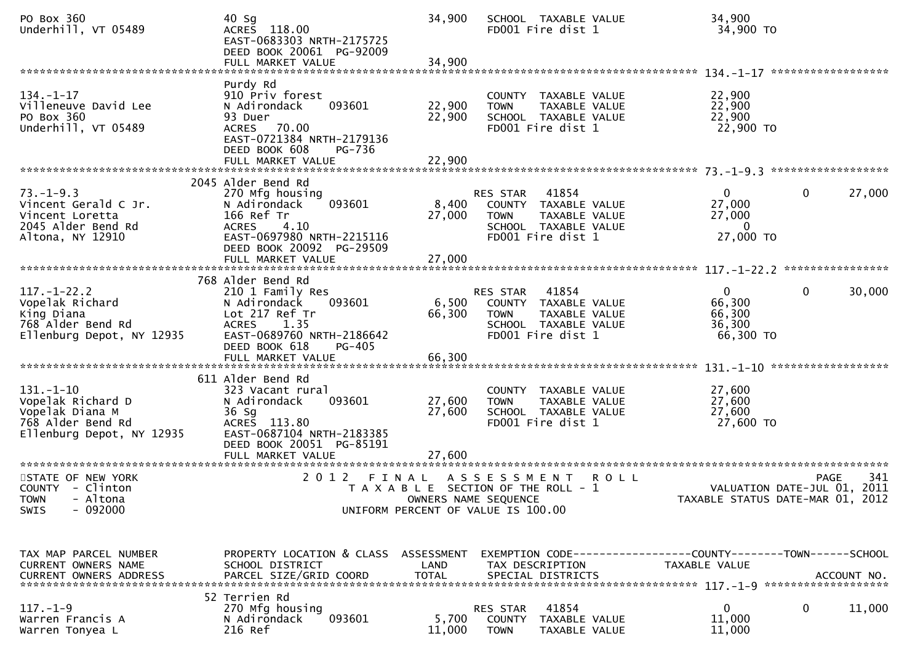| PO Box 360<br>Underhill, VT 05489                                                                         | $40$ Sg<br>ACRES 118.00<br>EAST-0683303 NRTH-2175725<br>DEED BOOK 20061 PG-92009                                                                                         | 34,900               | SCHOOL TAXABLE VALUE<br>FD001 Fire dist 1                                                                              | 34,900<br>34,900 TO                                                            |                                                                                       |
|-----------------------------------------------------------------------------------------------------------|--------------------------------------------------------------------------------------------------------------------------------------------------------------------------|----------------------|------------------------------------------------------------------------------------------------------------------------|--------------------------------------------------------------------------------|---------------------------------------------------------------------------------------|
|                                                                                                           |                                                                                                                                                                          |                      |                                                                                                                        |                                                                                |                                                                                       |
| $134. - 1 - 17$<br>Villeneuve David Lee<br>PO Box 360<br>Underhill, VT 05489                              | Purdy Rd<br>910 Priv forest<br>N Adirondack<br>093601<br>93 Duer<br>ACRES 70.00<br>EAST-0721384 NRTH-2179136<br>DEED BOOK 608<br>PG-736                                  | 22,900<br>22,900     | COUNTY TAXABLE VALUE<br><b>TOWN</b><br>TAXABLE VALUE<br>SCHOOL TAXABLE VALUE<br>FD001 Fire dist 1                      | 22,900<br>22,900<br>22,900<br>22,900 TO                                        |                                                                                       |
|                                                                                                           |                                                                                                                                                                          |                      |                                                                                                                        |                                                                                |                                                                                       |
|                                                                                                           |                                                                                                                                                                          |                      |                                                                                                                        |                                                                                |                                                                                       |
| $73. - 1 - 9.3$<br>Vincent Gerald C Jr.<br>Vincent Loretta<br>2045 Alder Bend Rd<br>Altona, NY 12910      | 2045 Alder Bend Rd<br>270 Mfg housing<br>093601<br>N Adirondack<br>166 Ref Tr<br><b>ACRES</b><br>4.10<br>EAST-0697980 NRTH-2215116<br>DEED BOOK 20092 PG-29509           | 8,400<br>27,000      | RES STAR<br>41854<br>COUNTY TAXABLE VALUE<br>TAXABLE VALUE<br><b>TOWN</b><br>SCHOOL TAXABLE VALUE<br>FD001 Fire dist 1 | $\Omega$<br>27,000<br>27,000<br>$\overline{0}$<br>27,000 TO                    | 27,000<br>0                                                                           |
|                                                                                                           |                                                                                                                                                                          |                      |                                                                                                                        |                                                                                |                                                                                       |
| $117. - 1 - 22.2$<br>Vopelak Richard<br>King Diana<br>768 Alder Bend Rd<br>Ellenburg Depot, NY 12935      | 768 Alder Bend Rd<br>210 1 Family Res<br>093601<br>N Adirondack<br>Lot 217 Ref Tr<br><b>ACRES</b><br>1.35<br>EAST-0689760 NRTH-2186642<br>DEED BOOK 618<br><b>PG-405</b> | 6,500<br>66,300      | 41854<br>RES STAR<br>COUNTY TAXABLE VALUE<br><b>TOWN</b><br>TAXABLE VALUE<br>SCHOOL TAXABLE VALUE<br>FD001 Fire dist 1 | $\mathbf{0}$<br>66,300<br>66,300<br>36,300<br>66,300 TO                        | 0<br>30,000                                                                           |
|                                                                                                           |                                                                                                                                                                          |                      |                                                                                                                        |                                                                                | ******************                                                                    |
| $131. - 1 - 10$<br>Vopelak Richard D<br>Vopelak Diana M<br>768 Alder Bend Rd<br>Ellenburg Depot, NY 12935 | 611 Alder Bend Rd<br>323 Vacant rural<br>093601<br>N Adirondack<br>36 Sg<br>ACRES 113.80<br>EAST-0687104 NRTH-2183385<br>DEED BOOK 20051 PG-85191                        | 27,600<br>27,600     | COUNTY TAXABLE VALUE<br><b>TOWN</b><br>TAXABLE VALUE<br>SCHOOL TAXABLE VALUE<br>FD001 Fire dist 1                      | 27,600<br>27,600<br>27,600<br>27,600 TO                                        |                                                                                       |
|                                                                                                           | FULL MARKET VALUE                                                                                                                                                        | 27,600               |                                                                                                                        |                                                                                |                                                                                       |
| STATE OF NEW YORK<br>COUNTY - Clinton<br>TOWN - Altona<br>$-092000$<br><b>SWIS</b>                        | 2 0 1 2<br>FINAL                                                                                                                                                         |                      | ASSESSMENT<br>T A X A B L E SECTION OF THE ROLL - 1<br>OWNERS NAME SEQUENCE<br>UNIFORM PERCENT OF VALUE IS 100.00      | <b>ROLL</b>                                                                    | 341<br><b>PAGE</b><br>VALUATION DATE-JUL 01, 2011<br>TAXABLE STATUS DATE-MAR 01, 2012 |
| TAX MAP PARCEL NUMBER<br>CURRENT OWNERS NAME<br>CURRENT OWNERS ADDRESS                                    | PROPERTY LOCATION & CLASS ASSESSMENT<br>SCHOOL DISTRICT<br>PARCEL SIZE/GRID COORD                                                                                        | LAND<br><b>TOTAL</b> | TAX DESCRIPTION<br>SPECIAL DISTRICTS                                                                                   | EXEMPTION CODE-----------------COUNTY--------TOWN------SCHOOL<br>TAXABLE VALUE | ACCOUNT NO.                                                                           |
| $117. - 1 - 9$<br>Warren Francis A<br>Warren Tonyea L                                                     | 52 Terrien Rd<br>270 Mfg housing<br>093601<br>N Adirondack<br>216 Ref                                                                                                    | 5,700<br>11,000      | 41854<br>RES STAR<br>COUNTY TAXABLE VALUE<br><b>TOWN</b><br>TAXABLE VALUE                                              | 0<br>11,000<br>11,000                                                          | 11,000<br>0                                                                           |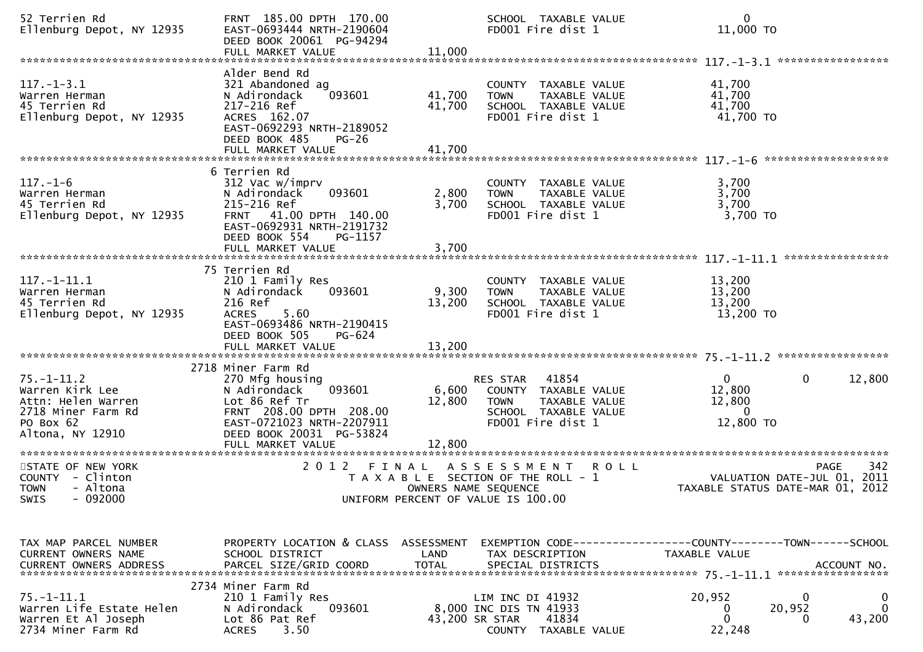| 52 Terrien Rd<br>Ellenburg Depot, NY 12935                                                                       | FRNT 185.00 DPTH 170.00<br>EAST-0693444 NRTH-2190604<br>DEED BOOK 20061 PG-94294<br>FULL MARKET VALUE                                                                                      | 11,000                    | SCHOOL TAXABLE VALUE<br>FD001 Fire dist 1                                                                              | $\mathbf{0}$<br>11,000 TO                                                                       |
|------------------------------------------------------------------------------------------------------------------|--------------------------------------------------------------------------------------------------------------------------------------------------------------------------------------------|---------------------------|------------------------------------------------------------------------------------------------------------------------|-------------------------------------------------------------------------------------------------|
| $117. - 1 - 3.1$<br>Warren Herman<br>45 Terrien Rd<br>Ellenburg Depot, NY 12935                                  | Alder Bend Rd<br>321 Abandoned ag<br>093601<br>N Adirondack<br>217-216 Ref<br>ACRES 162.07<br>EAST-0692293 NRTH-2189052<br>DEED BOOK 485<br>$PG-26$                                        | 41,700<br>41,700          | COUNTY TAXABLE VALUE<br>TAXABLE VALUE<br><b>TOWN</b><br>SCHOOL TAXABLE VALUE<br>FD001 Fire dist 1                      | 41,700<br>41,700<br>41,700<br>41,700 TO                                                         |
| $117. - 1 - 6$<br>Warren Herman<br>45 Terrien Rd<br>Ellenburg Depot, NY 12935                                    | 6 Terrien Rd<br>312 Vac w/imprv<br>093601<br>N Adirondack<br>215-216 Ref<br>41.00 DPTH 140.00<br><b>FRNT</b><br>EAST-0692931 NRTH-2191732<br>DEED BOOK 554<br>PG-1157<br>FULL MARKET VALUE | 2,800<br>3,700<br>3,700   | COUNTY TAXABLE VALUE<br>TAXABLE VALUE<br><b>TOWN</b><br>SCHOOL TAXABLE VALUE<br>FD001 Fire dist 1                      | 3,700<br>3,700<br>3,700<br>3,700 TO                                                             |
| $117.-1-11.1$<br>Warren Herman<br>45 Terrien Rd<br>Ellenburg Depot, NY 12935                                     | 75 Terrien Rd<br>210 1 Family Res<br>093601<br>N Adirondack<br>216 Ref<br>5.60<br><b>ACRES</b><br>EAST-0693486 NRTH-2190415<br>DEED BOOK 505<br>PG-624                                     | 9,300<br>13,200           | COUNTY TAXABLE VALUE<br>TAXABLE VALUE<br><b>TOWN</b><br>SCHOOL TAXABLE VALUE<br>FD001 Fire dist 1                      | 13,200<br>13,200<br>13,200<br>13,200 TO                                                         |
| $75. - 1 - 11.2$<br>Warren Kirk Lee<br>Attn: Helen Warren<br>2718 Miner Farm Rd<br>PO Box 62<br>Altona, NY 12910 | 2718 Miner Farm Rd<br>270 Mfg housing<br>093601<br>N Adirondack<br>Lot 86 Ref Tr<br>FRNT 208.00 DPTH 208.00<br>EAST-0721023 NRTH-2207911<br>DEED BOOK 20031 PG-53824<br>FULL MARKET VALUE  | 6,600<br>12,800<br>12,800 | 41854<br>RES STAR<br>COUNTY TAXABLE VALUE<br>TAXABLE VALUE<br><b>TOWN</b><br>SCHOOL TAXABLE VALUE<br>FD001 Fire dist 1 | $\mathbf{0}$<br>$\mathbf{0}$<br>12,800<br>12,800<br>12,800<br>$\Omega$<br>12,800 TO             |
| STATE OF NEW YORK<br>COUNTY - Clinton<br>- Altona<br><b>TOWN</b><br>SWIS - 092000                                | 2 0 1 2<br>FINAL                                                                                                                                                                           | OWNERS NAME SEQUENCE      | <b>ROLL</b><br>A S S E S S M E N T<br>T A X A B L E SECTION OF THE ROLL - 1<br>UNIFORM PERCENT OF VALUE IS 100.00      | 342<br>PAGE<br>VALUATION DATE-JUL 01, 2011<br>TAXABLE STATUS DATE-MAR 01, 2012                  |
| TAX MAP PARCEL NUMBER<br><b>CURRENT OWNERS NAME</b>                                                              | PROPERTY LOCATION & CLASS ASSESSMENT<br>SCHOOL DISTRICT                                                                                                                                    | LAND                      | TAX DESCRIPTION                                                                                                        | EXEMPTION CODE-----------------COUNTY-------TOWN------SCHOOL<br>TAXABLE VALUE                   |
| $75. - 1 - 11.1$<br>Warren Life Estate Helen<br>Warren Et Al Joseph<br>2734 Miner Farm Rd                        | 2734 Miner Farm Rd<br>210 1 Family Res<br>093601<br>N Adirondack<br>Lot 86 Pat Ref<br>3.50<br><b>ACRES</b>                                                                                 | 43,200 SR STAR            | LIM INC DI 41932<br>8,000 INC DIS TN 41933<br>41834<br>COUNTY TAXABLE VALUE                                            | 20,952<br>0<br>0<br>$\mathbf{0}$<br>20,952<br>$\bf{0}$<br>$\mathbf{0}$<br>43,200<br>0<br>22,248 |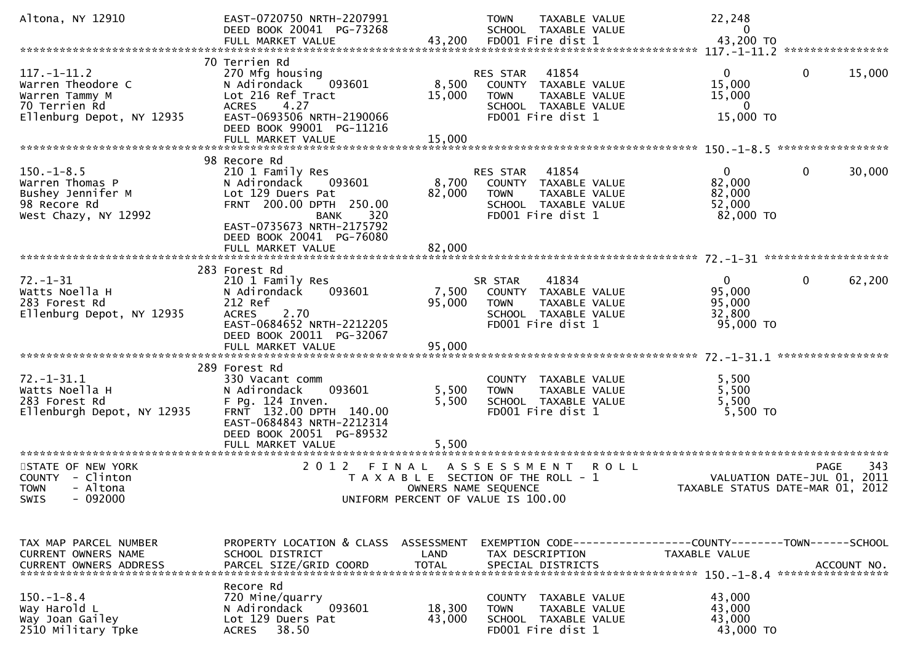| Altona, NY 12910                                                                                       | EAST-0720750 NRTH-2207991<br>DEED BOOK 20041 PG-73268                                                                                                                                     |                           | TAXABLE VALUE<br><b>TOWN</b><br>SCHOOL TAXABLE VALUE                                                                   | 22,248<br>0                                                 |                                                                                       |
|--------------------------------------------------------------------------------------------------------|-------------------------------------------------------------------------------------------------------------------------------------------------------------------------------------------|---------------------------|------------------------------------------------------------------------------------------------------------------------|-------------------------------------------------------------|---------------------------------------------------------------------------------------|
|                                                                                                        | 70 Terrien Rd                                                                                                                                                                             |                           |                                                                                                                        |                                                             |                                                                                       |
| $117. - 1 - 11.2$<br>Warren Theodore C<br>Warren Tammy M<br>70 Terrien Rd<br>Ellenburg Depot, NY 12935 | 270 Mfg housing<br>N Adirondack<br>093601<br>Lot 216 Ref Tract<br><b>ACRES</b><br>4.27<br>EAST-0693506 NRTH-2190066<br>DEED BOOK 99001 PG-11216                                           | 8,500<br>15,000           | 41854<br>RES STAR<br>COUNTY TAXABLE VALUE<br><b>TOWN</b><br>TAXABLE VALUE<br>SCHOOL TAXABLE VALUE<br>FD001 Fire dist 1 | $\overline{0}$<br>15,000<br>15,000<br>$\Omega$<br>15,000 TO | $\mathbf{0}$<br>15,000                                                                |
|                                                                                                        |                                                                                                                                                                                           |                           |                                                                                                                        |                                                             |                                                                                       |
| $150.-1-8.5$<br>Warren Thomas P<br>Bushey Jennifer M<br>98 Recore Rd<br>West Chazy, NY 12992           | 98 Recore Rd<br>210 1 Family Res<br>N Adirondack<br>093601<br>Lot 129 Duers Pat<br>FRNT 200.00 DPTH 250.00<br>320<br><b>BANK</b><br>EAST-0735673 NRTH-2175792<br>DEED BOOK 20041 PG-76080 | 8,700<br>82,000           | RES STAR<br>41854<br>COUNTY TAXABLE VALUE<br>TAXABLE VALUE<br><b>TOWN</b><br>SCHOOL TAXABLE VALUE<br>FD001 Fire dist 1 | $\overline{0}$<br>82,000<br>82,000<br>52,000<br>82,000 TO   | $\mathbf{0}$<br>30,000                                                                |
|                                                                                                        | FULL MARKET VALUE                                                                                                                                                                         | 82,000                    |                                                                                                                        |                                                             |                                                                                       |
| $72. - 1 - 31$<br>Watts Noella H<br>283 Forest Rd<br>Ellenburg Depot, NY 12935                         | 283 Forest Rd<br>210 1 Family Res<br>N Adirondack<br>093601<br>212 Ref<br><b>ACRES</b><br>2.70<br>EAST-0684652 NRTH-2212205<br>DEED BOOK 20011 PG-32067<br>FULL MARKET VALUE              | 7,500<br>95,000<br>95,000 | 41834<br>SR STAR<br>COUNTY TAXABLE VALUE<br><b>TOWN</b><br>TAXABLE VALUE<br>SCHOOL TAXABLE VALUE<br>FD001 Fire dist 1  | $\mathbf{0}$<br>95,000<br>95,000<br>32,800<br>95,000 TO     | $\mathbf 0$<br>62,200                                                                 |
|                                                                                                        |                                                                                                                                                                                           |                           |                                                                                                                        |                                                             |                                                                                       |
| $72. - 1 - 31.1$<br>Watts Noella H<br>283 Forest Rd<br>Ellenburgh Depot, NY 12935                      | 289 Forest Rd<br>330 Vacant comm<br>093601<br>N Adirondack<br>$F$ Pg. 124 Inven.<br>FRNT 132.00 DPTH 140.00<br>EAST-0684843 NRTH-2212314<br>DEED BOOK 20051 PG-89532<br>FULL MARKET VALUE | 5,500<br>5,500<br>5,500   | COUNTY TAXABLE VALUE<br>TAXABLE VALUE<br><b>TOWN</b><br>SCHOOL TAXABLE VALUE<br>FD001 Fire dist 1                      | 5,500<br>5,500<br>5,500<br>5,500 TO                         |                                                                                       |
|                                                                                                        |                                                                                                                                                                                           |                           |                                                                                                                        |                                                             |                                                                                       |
| STATE OF NEW YORK<br>COUNTY - Clinton<br>- Altona<br><b>TOWN</b><br>$-092000$<br><b>SWIS</b>           | 2 0 1 2<br>FINAL                                                                                                                                                                          | OWNERS NAME SEQUENCE      | A S S E S S M E N T<br><b>ROLL</b><br>T A X A B L E SECTION OF THE ROLL - 1<br>UNIFORM PERCENT OF VALUE IS 100.00      |                                                             | 343<br><b>PAGE</b><br>VALUATION DATE-JUL 01, 2011<br>TAXABLE STATUS DATE-MAR 01, 2012 |
| TAX MAP PARCEL NUMBER<br><b>CURRENT OWNERS NAME</b>                                                    | PROPERTY LOCATION & CLASS ASSESSMENT<br>SCHOOL DISTRICT                                                                                                                                   | LAND                      | TAX DESCRIPTION                                                                                                        | TAXABLE VALUE                                               |                                                                                       |
| $150. - 1 - 8.4$<br>Way Harold L<br>Way Joan Gailey<br>2510 Military Tpke                              | Recore Rd<br>720 Mine/quarry<br>093601<br>N Adirondack<br>Lot 129 Duers Pat<br>38.50<br><b>ACRES</b>                                                                                      | 18,300<br>43,000          | COUNTY TAXABLE VALUE<br><b>TOWN</b><br><b>TAXABLE VALUE</b><br>SCHOOL TAXABLE VALUE<br>FD001 Fire dist 1               | 43,000<br>43,000<br>43,000<br>43,000 TO                     |                                                                                       |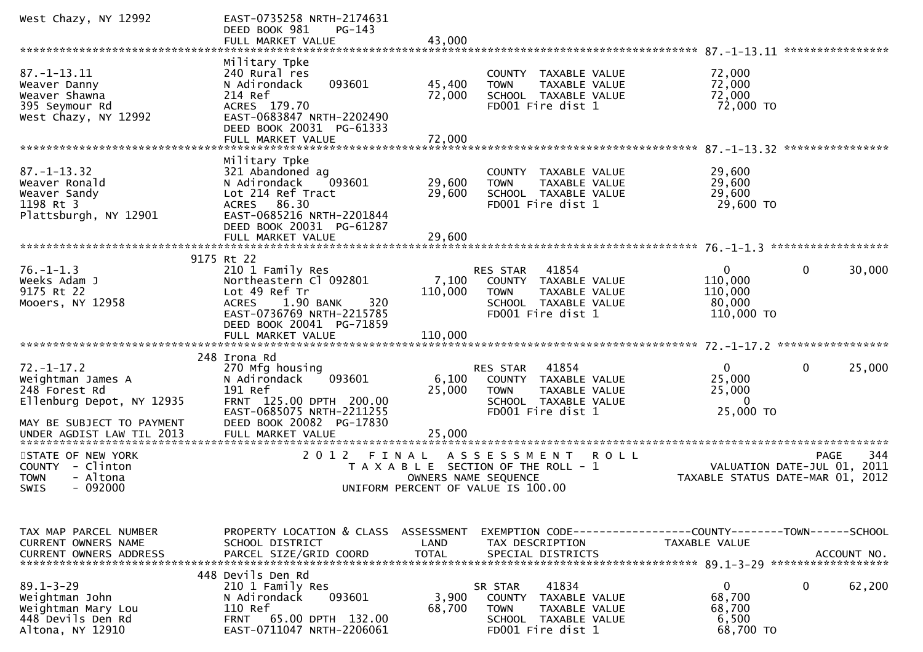| West Chazy, NY 12992                                                                                                                          | EAST-0735258 NRTH-2174631<br>DEED BOOK 981<br>$PG-143$<br>FULL MARKET VALUE                                                                                                   | 43,000                             |                                                                                                                                         |                                                                               |                    |
|-----------------------------------------------------------------------------------------------------------------------------------------------|-------------------------------------------------------------------------------------------------------------------------------------------------------------------------------|------------------------------------|-----------------------------------------------------------------------------------------------------------------------------------------|-------------------------------------------------------------------------------|--------------------|
|                                                                                                                                               |                                                                                                                                                                               |                                    |                                                                                                                                         | 87. -1-13.11 *****************                                                |                    |
| $87. - 1 - 13.11$<br>Weaver Danny<br>Weaver Shawna<br>395 Seymour Rd<br>West Chazy, NY 12992                                                  | Military Tpke<br>240 Rural res<br>093601<br>N Adirondack<br>214 Ref<br>ACRES 179.70<br>EAST-0683847 NRTH-2202490<br>DEED BOOK 20031 PG-61333<br>FULL MARKET VALUE             | 45,400<br>72,000<br>72,000         | COUNTY TAXABLE VALUE<br><b>TOWN</b><br><b>TAXABLE VALUE</b><br>SCHOOL TAXABLE VALUE<br>FD001 Fire dist 1                                | 72,000<br>72,000<br>72,000<br>72,000 TO                                       |                    |
|                                                                                                                                               |                                                                                                                                                                               |                                    |                                                                                                                                         |                                                                               |                    |
| $87. - 1 - 13.32$<br>Weaver Ronald<br>Weaver Sandy<br>1198 Rt 3<br>Plattsburgh, NY 12901                                                      | Military Tpke<br>321 Abandoned ag<br>N Adirondack<br>093601<br>Lot 214 Ref Tract<br>86.30<br><b>ACRES</b><br>EAST-0685216 NRTH-2201844<br>DEED BOOK 20031 PG-61287            | 29,600<br>29,600                   | COUNTY TAXABLE VALUE<br><b>TOWN</b><br>TAXABLE VALUE<br>SCHOOL TAXABLE VALUE<br>FD001 Fire dist 1                                       | 29,600<br>29,600<br>29,600<br>29,600 TO                                       |                    |
|                                                                                                                                               | FULL MARKET VALUE                                                                                                                                                             | 29,600                             |                                                                                                                                         | $76. - 1 - 1.3$ ********************                                          |                    |
|                                                                                                                                               | 9175 Rt 22                                                                                                                                                                    |                                    |                                                                                                                                         |                                                                               |                    |
| $76. - 1 - 1.3$<br>Weeks Adam J<br>9175 Rt 22<br>Mooers, NY 12958                                                                             | 210 1 Family Res<br>Northeastern Cl 092801<br>Lot 49 Ref Tr<br>1.90 BANK<br>320<br><b>ACRES</b><br>EAST-0736769 NRTH-2215785<br>DEED BOOK 20041 PG-71859<br>FULL MARKET VALUE | 7,100<br>110,000<br>110,000        | 41854<br><b>RES STAR</b><br>TAXABLE VALUE<br><b>COUNTY</b><br>TAXABLE VALUE<br><b>TOWN</b><br>SCHOOL TAXABLE VALUE<br>FD001 Fire dist 1 | 0<br>110,000<br>110,000<br>80,000<br>110,000 TO                               | 0<br>30,000        |
|                                                                                                                                               |                                                                                                                                                                               |                                    |                                                                                                                                         |                                                                               |                    |
| $72. - 1 - 17.2$<br>Weightman James A<br>248 Forest Rd<br>Ellenburg Depot, NY 12935<br>MAY BE SUBJECT TO PAYMENT<br>UNDER AGDIST LAW TIL 2013 | 248 Irona Rd<br>270 Mfg housing<br>093601<br>N Adirondack<br>191 Ref<br>FRNT 125.00 DPTH 200.00<br>EAST-0685075 NRTH-2211255<br>DEED BOOK 20082 PG-17830<br>FULL MARKET VALUE | 6,100<br>25,000<br>25,000          | 41854<br>RES STAR<br>COUNTY TAXABLE VALUE<br><b>TOWN</b><br>TAXABLE VALUE<br>SCHOOL TAXABLE VALUE<br>FD001 Fire dist 1                  | 0<br>25,000<br>25,000<br>0<br>25,000 TO                                       | 25,000<br>0        |
| *************************                                                                                                                     | ******************                                                                                                                                                            |                                    |                                                                                                                                         |                                                                               |                    |
| STATE OF NEW YORK<br><b>COUNTY</b><br>- Clinton<br>- Altona<br><b>TOWN</b><br>$-092000$<br>SWIS                                               | 2 0 1 2                                                                                                                                                                       | FINAL                              | A S S E S S M E N T<br>R O L L<br>T A X A B L E SECTION OF THE ROLL - 1<br>OWNERS NAME SEQUENCE<br>UNIFORM PERCENT OF VALUE IS 100.00   | VALUATION DATE-JUL 01, 2011<br>TAXABLE STATUS DATE-MAR 01, 2012               | <b>PAGE</b><br>344 |
|                                                                                                                                               |                                                                                                                                                                               |                                    |                                                                                                                                         |                                                                               |                    |
| TAX MAP PARCEL NUMBER<br><b>CURRENT OWNERS NAME</b><br><b>CURRENT OWNERS ADDRESS</b>                                                          | PROPERTY LOCATION & CLASS<br>SCHOOL DISTRICT<br>PARCEL SIZE/GRID COORD                                                                                                        | ASSESSMENT<br>LAND<br><b>TOTAL</b> | TAX DESCRIPTION<br>SPECIAL DISTRICTS                                                                                                    | EXEMPTION CODE-----------------COUNTY-------TOWN------SCHOOL<br>TAXABLE VALUE | ACCOUNT NO.        |
| $89.1 - 3 - 29$<br>Weightman John<br>Weightman Mary Lou<br>448 Devils Den Rd<br>Altona, NY 12910                                              | 448 Devils Den Rd<br>210 1 Family Res<br>093601<br>N Adirondack<br>110 Ref<br>FRNT 65.00 DPTH 132.00<br>EAST-0711047 NRTH-2206061                                             | 3,900<br>68,700                    | 41834<br>SR STAR<br><b>COUNTY</b><br>TAXABLE VALUE<br><b>TOWN</b><br>TAXABLE VALUE<br>SCHOOL TAXABLE VALUE<br>FD001 Fire dist 1         | 0<br>68,700<br>68,700<br>6,500<br>68,700 TO                                   | 0<br>62,200        |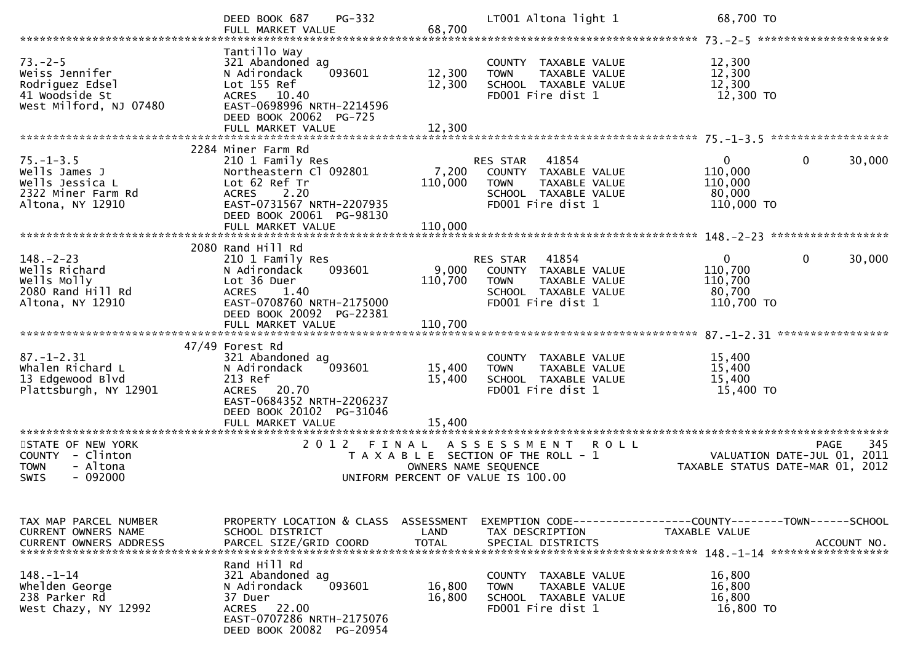|                                                                                                | PG-332<br>DEED BOOK 687                                                                                                                                               |                                    | LT001 Altona light 1                                                                                                   | 68,700 TO                                                  |                            |
|------------------------------------------------------------------------------------------------|-----------------------------------------------------------------------------------------------------------------------------------------------------------------------|------------------------------------|------------------------------------------------------------------------------------------------------------------------|------------------------------------------------------------|----------------------------|
| $73. - 2 - 5$<br>Weiss Jennifer<br>Rodriguez Edsel<br>41 Woodside St<br>West Milford, NJ 07480 | Tantillo Way<br>321 Abandoned ag<br>N Adirondack<br>093601<br>Lot 155 Ref<br>ACRES 10.40<br>EAST-0698996 NRTH-2214596<br>DEED BOOK 20062 PG-725<br>FULL MARKET VALUE  | 12,300<br>12,300<br>12,300         | COUNTY TAXABLE VALUE<br>TAXABLE VALUE<br><b>TOWN</b><br>SCHOOL TAXABLE VALUE<br>FD001 Fire dist 1                      | 12,300<br>12,300<br>12,300<br>12,300 TO                    |                            |
|                                                                                                |                                                                                                                                                                       |                                    |                                                                                                                        |                                                            |                            |
| $75. - 1 - 3.5$<br>Wells James J<br>Wells Jessica L<br>2322 Miner Farm Rd<br>Altona, NY 12910  | 2284 Miner Farm Rd<br>210 1 Family Res<br>Northeastern Cl 092801<br>Lot 62 Ref Tr<br>2.20<br><b>ACRES</b><br>EAST-0731567 NRTH-2207935<br>DEED BOOK 20061 PG-98130    | 7,200<br>110,000                   | RES STAR 41854<br>COUNTY TAXABLE VALUE<br>TAXABLE VALUE<br><b>TOWN</b><br>SCHOOL TAXABLE VALUE<br>FD001 Fire dist 1    | $\mathbf{0}$<br>110,000<br>110,000<br>80,000<br>110,000 TO | $\mathbf 0$<br>30,000      |
|                                                                                                |                                                                                                                                                                       |                                    |                                                                                                                        |                                                            |                            |
| $148. - 2 - 23$<br>Wells Richard<br>Wells Molly<br>2080 Rand Hill Rd<br>Altona, NY 12910       | 2080 Rand Hill Rd<br>210 1 Family Res<br>N Adirondack<br>093601<br>Lot 36 Duer<br><b>ACRES</b><br>1.40<br>EAST-0708760 NRTH-2175000<br>DEED BOOK 20092 PG-22381       | 9,000<br>110,700                   | 41854<br>RES STAR<br>COUNTY TAXABLE VALUE<br>TAXABLE VALUE<br><b>TOWN</b><br>SCHOOL TAXABLE VALUE<br>FD001 Fire dist 1 | $\mathbf{0}$<br>110,700<br>110,700<br>80,700<br>110,700 TO | $\mathbf 0$<br>30,000      |
|                                                                                                | FULL MARKET VALUE                                                                                                                                                     | 110,700                            |                                                                                                                        |                                                            |                            |
| $87. - 1 - 2.31$<br>Whalen Richard L<br>13 Edgewood Blvd<br>Plattsburgh, NY 12901              | 47/49 Forest Rd<br>321 Abandoned ag<br>093601<br>N Adirondack<br>213 Ref<br>ACRES 20.70<br>EAST-0684352 NRTH-2206237<br>DEED BOOK 20102 PG-31046<br>FULL MARKET VALUE | 15,400<br>15,400<br>15,400         | COUNTY TAXABLE VALUE<br>TAXABLE VALUE<br><b>TOWN</b><br>SCHOOL TAXABLE VALUE<br>FD001 Fire dist 1                      | 15,400<br>15,400<br>15,400<br>15,400 TO                    |                            |
|                                                                                                | ***************************                                                                                                                                           |                                    |                                                                                                                        |                                                            |                            |
| STATE OF NEW YORK<br>COUNTY - Clinton<br>- Altona<br><b>TOWN</b><br>SWIS<br>$-092000$          | 2 0 1 2<br>FINAL                                                                                                                                                      | OWNERS NAME SEQUENCE               | A S S E S S M E N T<br>R O L L<br>T A X A B L E SECTION OF THE ROLL - 1<br>UNIFORM PERCENT OF VALUE IS 100.00          | VALUATION DATE-JUL 01,<br>TAXABLE STATUS DATE-MAR 01, 2012 | 345<br><b>PAGE</b><br>2011 |
| TAX MAP PARCEL NUMBER<br><b>CURRENT OWNERS NAME</b><br><b>CURRENT OWNERS ADDRESS</b>           | PROPERTY LOCATION & CLASS<br>SCHOOL DISTRICT<br>PARCEL SIZE/GRID COORD                                                                                                | ASSESSMENT<br>LAND<br><b>TOTAL</b> | TAX DESCRIPTION<br>SPECIAL DISTRICTS                                                                                   | TAXABLE VALUE                                              | ACCOUNT NO.                |
| $148. - 1 - 14$<br>whelden George<br>238 Parker Rd<br>West Chazy, NY 12992                     | Rand Hill Rd<br>321 Abandoned ag<br>N Adirondack<br>093601<br>37 Duer<br>ACRES 22.00<br>EAST-0707286 NRTH-2175076<br>DEED BOOK 20082 PG-20954                         | 16,800<br>16,800                   | COUNTY TAXABLE VALUE<br>TAXABLE VALUE<br><b>TOWN</b><br>SCHOOL TAXABLE VALUE<br>FD001 Fire dist 1                      | 16,800<br>16,800<br>16,800<br>16,800 TO                    |                            |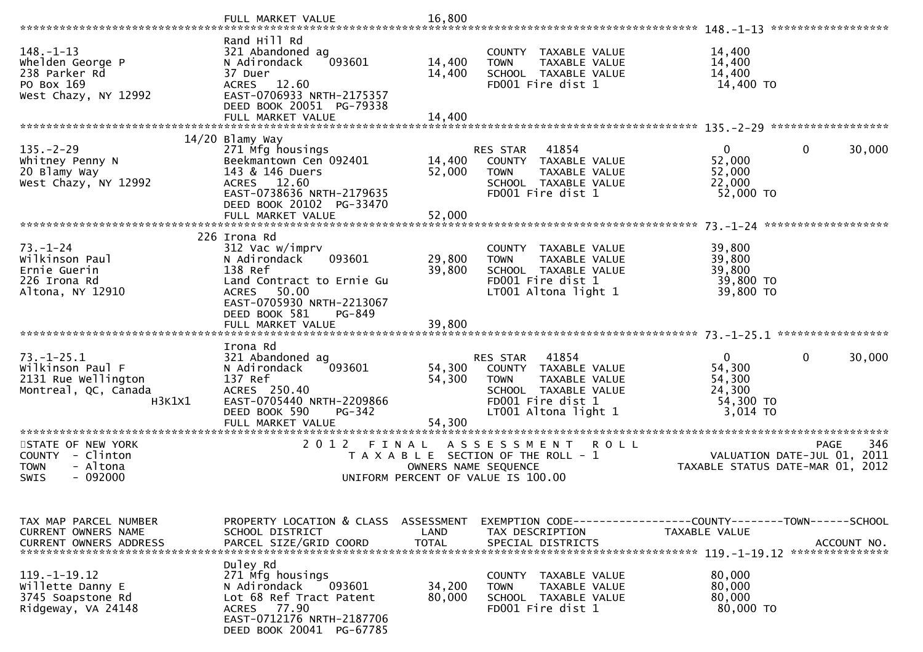|                                                                                                                                  | FULL MARKET VALUE                                                                                                                                                                  | 16,800                             |                                                                                                                                                |                                                            |                            |
|----------------------------------------------------------------------------------------------------------------------------------|------------------------------------------------------------------------------------------------------------------------------------------------------------------------------------|------------------------------------|------------------------------------------------------------------------------------------------------------------------------------------------|------------------------------------------------------------|----------------------------|
| $148. - 1 - 13$<br>Whelden George P<br>238 Parker Rd<br>PO Box 169<br>West Chazy, NY 12992                                       | Rand Hill Rd<br>321 Abandoned ag<br>N Adirondack<br>093601<br>37 Duer<br>12.60<br><b>ACRES</b><br>EAST-0706933 NRTH-2175357<br>DEED BOOK 20051 PG-79338                            | 14,400<br>14,400                   | COUNTY TAXABLE VALUE<br>TAXABLE VALUE<br><b>TOWN</b><br>SCHOOL TAXABLE VALUE<br>FD001 Fire dist 1                                              | 14,400<br>14,400<br>14,400<br>14,400 TO                    |                            |
|                                                                                                                                  | FULL MARKET VALUE                                                                                                                                                                  | 14,400                             |                                                                                                                                                |                                                            |                            |
| $135. - 2 - 29$<br>Whitney Penny N<br>20 Blamy Way<br>West Chazy, NY 12992                                                       | $14/20$ Blamy Way<br>271 Mfg housings<br>Beekmantown Cen 092401<br>143 & 146 Duers<br>ACRES 12.60<br>EAST-0738636 NRTH-2179635<br>DEED BOOK 20102 PG-33470                         | 14,400<br>52,000                   | 41854<br>RES STAR<br>COUNTY TAXABLE VALUE<br><b>TOWN</b><br><b>TAXABLE VALUE</b><br>SCHOOL TAXABLE VALUE<br>FD001 Fire dist 1                  | $\mathbf{0}$<br>52,000<br>52,000<br>22,000<br>52,000 TO    | 0<br>30,000                |
|                                                                                                                                  | FULL MARKET VALUE                                                                                                                                                                  | 52,000                             |                                                                                                                                                |                                                            | *******************        |
| $73. - 1 - 24$<br>Wilkinson Paul<br>Ernie Guerin<br>226 Irona Rd<br>Altona, NY 12910                                             | 226 Irona Rd<br>312 Vac w/imprv<br>093601<br>N Adirondack<br>138 Ref<br>Land Contract to Ernie Gu<br>50.00<br><b>ACRES</b><br>EAST-0705930 NRTH-2213067<br>DEED BOOK 581<br>PG-849 | 29,800<br>39,800                   | COUNTY TAXABLE VALUE<br><b>TAXABLE VALUE</b><br><b>TOWN</b><br>SCHOOL TAXABLE VALUE<br>FD001 Fire dist 1<br>LT001 Altona light 1               | 39,800<br>39,800<br>39,800<br>39,800 TO<br>39,800 TO       |                            |
|                                                                                                                                  | FULL MARKET VALUE                                                                                                                                                                  | 39,800                             |                                                                                                                                                |                                                            |                            |
| $73. - 1 - 25.1$<br>Wilkinson Paul F<br>2131 Rue Wellington<br>Montreal, QC, Canada<br>H3K1X1                                    | Irona Rd<br>321 Abandoned ag<br>093601<br>N Adirondack<br>137 Ref<br>ACRES 250.40<br>EAST-0705440 NRTH-2209866<br>DEED BOOK 590<br>PG-342<br>FULL MARKET VALUE                     | 54,300<br>54,300<br>54,300         | 41854<br>RES STAR<br>COUNTY TAXABLE VALUE<br>TAXABLE VALUE<br><b>TOWN</b><br>SCHOOL TAXABLE VALUE<br>FD001 Fire dist 1<br>LT001 Altona light 1 | 0<br>54,300<br>54,300<br>24,300<br>54,300 TO<br>3,014 TO   | 30,000<br>0                |
| **********************<br>STATE OF NEW YORK<br>- Clinton<br><b>COUNTY</b><br>- Altona<br><b>TOWN</b><br>$-092000$<br><b>SWIS</b> | *************************<br>2 0 1 2<br>FINAL                                                                                                                                      |                                    | A S S E S S M E N T<br><b>ROLL</b><br>T A X A B L E SECTION OF THE ROLL - 1<br>OWNERS NAME SEQUENCE<br>UNIFORM PERCENT OF VALUE IS 100.00      | VALUATION DATE-JUL 01, 2011<br>TAXABLE STATUS DATE-MAR 01, | 346<br><b>PAGE</b><br>2012 |
| TAX MAP PARCEL NUMBER<br>CURRENT OWNERS NAME<br><b>CURRENT OWNERS ADDRESS</b>                                                    | PROPERTY LOCATION & CLASS<br>SCHOOL DISTRICT<br>PARCEL SIZE/GRID COORD                                                                                                             | ASSESSMENT<br>LAND<br><b>TOTAL</b> | EXEMPTION CODE-----------------COUNTY-------TOWN-----SCHOOL<br>TAX DESCRIPTION<br>SPECIAL DISTRICTS                                            | TAXABLE VALUE                                              | ACCOUNT NO.                |
| 119. - 1 - 19. 12<br>Willette Danny E<br>3745 Soapstone Rd<br>Ridgeway, VA 24148                                                 | Duley Rd<br>271 Mfg housings<br>093601<br>N Adirondack<br>Lot 68 Ref Tract Patent<br>ACRES 77.90<br>EAST-0712176 NRTH-2187706<br>DEED BOOK 20041 PG-67785                          | 34,200<br>80,000                   | COUNTY TAXABLE VALUE<br>TAXABLE VALUE<br><b>TOWN</b><br>SCHOOL TAXABLE VALUE<br>FD001 Fire dist 1                                              | 80,000<br>80,000<br>80,000<br>80,000 TO                    |                            |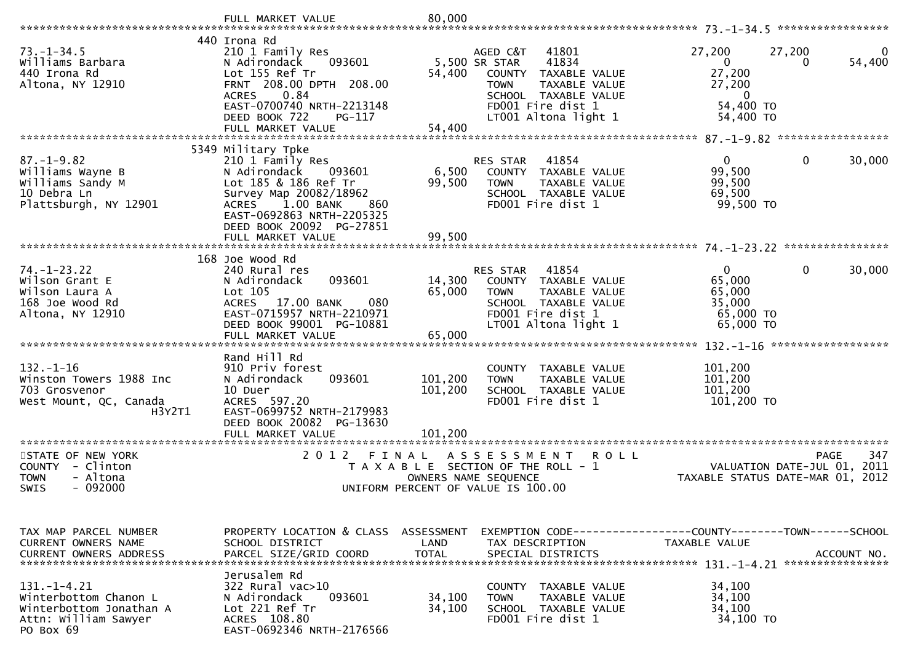|                                                                                                            | FULL MARKET VALUE                                                                                                                                                                                                                    | 80,000                        |                                                                                                                                                                             |                                                                           |                                                              |
|------------------------------------------------------------------------------------------------------------|--------------------------------------------------------------------------------------------------------------------------------------------------------------------------------------------------------------------------------------|-------------------------------|-----------------------------------------------------------------------------------------------------------------------------------------------------------------------------|---------------------------------------------------------------------------|--------------------------------------------------------------|
|                                                                                                            |                                                                                                                                                                                                                                      |                               |                                                                                                                                                                             |                                                                           |                                                              |
| $73. - 1 - 34.5$<br>Williams Barbara<br>440 Irona Rd<br>Altona, NY 12910                                   | 440 Irona Rd<br>210 1 Family Res<br>N Adirondack<br>093601<br>Lot 155 Ref Tr<br>FRNT 208.00 DPTH 208.00<br>0.84<br><b>ACRES</b><br>EAST-0700740 NRTH-2213148<br>DEED BOOK 722<br>PG-117<br>FULL MARKET VALUE                         | 54,400<br>54,400              | AGED C&T<br>41801<br>5,500 SR STAR<br>41834<br>COUNTY<br>TAXABLE VALUE<br>TAXABLE VALUE<br><b>TOWN</b><br>SCHOOL TAXABLE VALUE<br>FD001 Fire dist 1<br>LT001 Altona light 1 | 27,200<br>$\mathbf{0}$<br>27,200<br>27,200<br>0<br>54,400 TO<br>54,400 TO | 27,200<br>54,400<br>$\Omega$                                 |
|                                                                                                            |                                                                                                                                                                                                                                      |                               |                                                                                                                                                                             |                                                                           |                                                              |
| $87. - 1 - 9.82$<br>Williams Wayne B<br>Williams Sandy M<br>10 Debra Ln<br>Plattsburgh, NY 12901           | 5349 Military Tpke<br>210 1 Family Res<br>N Adirondack<br>093601<br>Lot 185 & 186 Ref Tr<br>Survey Map 20082/18962<br>1.00 BANK<br><b>ACRES</b><br>860<br>EAST-0692863 NRTH-2205325<br>DEED BOOK 20092 PG-27851<br>FULL MARKET VALUE | 6,500<br>99,500<br>99,500     | RES STAR<br>41854<br>COUNTY TAXABLE VALUE<br><b>TOWN</b><br>TAXABLE VALUE<br>SCHOOL TAXABLE VALUE<br>FD001 Fire dist 1                                                      | $\overline{0}$<br>99,500<br>99,500<br>69,500<br>99,500 TO                 | 0<br>30,000                                                  |
|                                                                                                            |                                                                                                                                                                                                                                      |                               |                                                                                                                                                                             |                                                                           |                                                              |
| $74. - 1 - 23.22$<br>Wilson Grant E<br>Wilson Laura A<br>168 Joe Wood Rd<br>Altona, NY 12910               | 168 Joe Wood Rd<br>240 Rural res<br>093601<br>N Adirondack<br>Lot 105<br>ACRES 17.00 BANK<br>080<br>EAST-0715957 NRTH-2210971<br>DEED BOOK 99001 PG-10881                                                                            | 14,300<br>65,000              | 41854<br>RES STAR<br>COUNTY TAXABLE VALUE<br>TAXABLE VALUE<br><b>TOWN</b><br>SCHOOL TAXABLE VALUE<br>FD001 Fire dist 1<br>LT001 Altona light 1                              | $\Omega$<br>65,000<br>65,000<br>35,000<br>65,000 TO<br>65,000 TO          | 0<br>30,000                                                  |
|                                                                                                            | Rand Hill Rd                                                                                                                                                                                                                         |                               |                                                                                                                                                                             |                                                                           |                                                              |
| $132. - 1 - 16$<br>Winston Towers 1988 Inc<br>703 Grosvenor<br>West Mount, QC, Canada<br>H3Y2T1            | 910 Priv forest<br>093601<br>N Adirondack<br>10 Duer<br>ACRES 597.20<br>EAST-0699752 NRTH-2179983<br>DEED BOOK 20082 PG-13630<br>FULL MARKET VALUE                                                                                   | 101,200<br>101,200<br>101.200 | COUNTY TAXABLE VALUE<br>TAXABLE VALUE<br><b>TOWN</b><br>SCHOOL TAXABLE VALUE<br>FD001 Fire dist 1                                                                           | 101,200<br>101,200<br>101,200<br>101,200 TO                               |                                                              |
| *********************                                                                                      | *************************                                                                                                                                                                                                            |                               |                                                                                                                                                                             |                                                                           |                                                              |
| STATE OF NEW YORK<br>COUNTY - Clinton<br>- Altona<br>TOWN<br>$-092000$<br><b>SWIS</b>                      | 2 0 1 2<br>FINAL                                                                                                                                                                                                                     | OWNERS NAME SEQUENCE          | A S S E S S M E N T<br><b>ROLL</b><br>T A X A B L E SECTION OF THE ROLL - 1<br>UNIFORM PERCENT OF VALUE IS 100.00                                                           | TAXABLE STATUS DATE-MAR 01,                                               | 347<br><b>PAGE</b><br>2011<br>VALUATION DATE-JUL 01,<br>2012 |
| TAX MAP PARCEL NUMBER<br><b>CURRENT OWNERS NAME</b><br><b>CURRENT OWNERS ADDRESS</b>                       | PROPERTY LOCATION & CLASS ASSESSMENT<br>SCHOOL DISTRICT<br>PARCEL SIZE/GRID COORD                                                                                                                                                    | LAND<br><b>TOTAL</b>          | EXEMPTION        CODE-----------------COUNTY-------TOWN------SCHOOL<br>TAX DESCRIPTION<br>SPECIAL DISTRICTS                                                                 | TAXABLE VALUE                                                             | ACCOUNT NO.                                                  |
| $131. - 1 - 4.21$<br>Winterbottom Chanon L<br>Winterbottom Jonathan A<br>Attn: William Sawyer<br>PO Box 69 | Jerusalem Rd<br>322 Rural vac>10<br>093601<br>N Adirondack<br>Lot 221 Ref Tr<br>ACRES 108.80<br>EAST-0692346 NRTH-2176566                                                                                                            | 34,100<br>34,100              | COUNTY TAXABLE VALUE<br><b>TOWN</b><br><b>TAXABLE VALUE</b><br>SCHOOL TAXABLE VALUE<br>FD001 Fire dist 1                                                                    | 34,100<br>34,100<br>34,100<br>34,100 TO                                   |                                                              |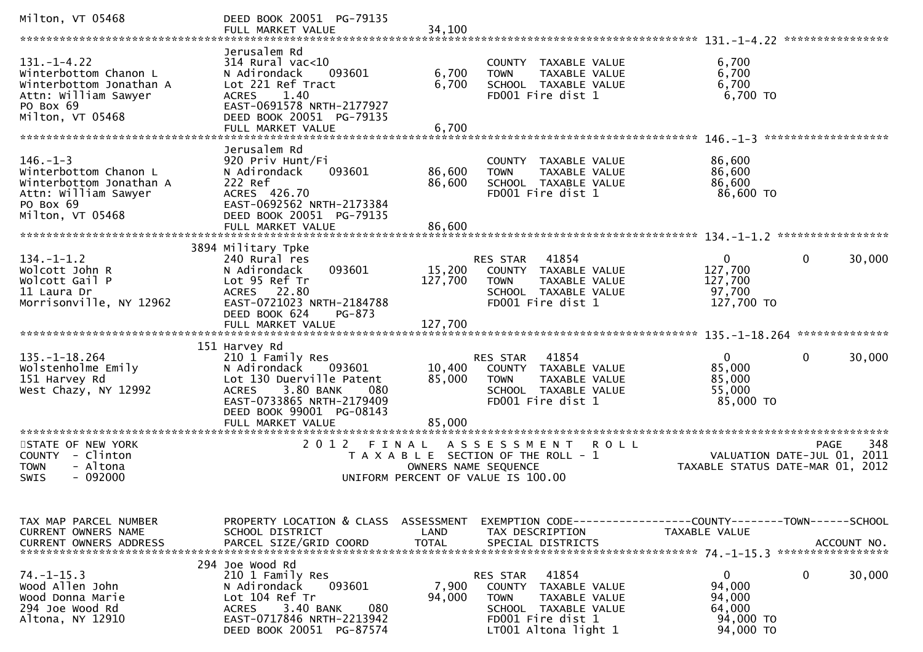| Milton, VT 05468                                                                                                               | DEED BOOK 20051 PG-79135<br>FULL MARKET VALUE                                                                                                                                            | 34,100                       |                                                                                                                                                            |                                                                      |                                                                                             |
|--------------------------------------------------------------------------------------------------------------------------------|------------------------------------------------------------------------------------------------------------------------------------------------------------------------------------------|------------------------------|------------------------------------------------------------------------------------------------------------------------------------------------------------|----------------------------------------------------------------------|---------------------------------------------------------------------------------------------|
| $131. - 1 - 4.22$<br>Winterbottom Chanon L<br>Winterbottom Jonathan A<br>Attn: William Sawyer<br>PO Box 69<br>Milton, VT 05468 | Jerusalem Rd<br>314 Rural vac<10<br>093601<br>N Adirondack<br>Lot 221 Ref Tract<br>1.40<br><b>ACRES</b><br>EAST-0691578 NRTH-2177927<br>DEED BOOK 20051 PG-79135<br>FULL MARKET VALUE    | 6,700<br>6,700<br>6,700      | COUNTY TAXABLE VALUE<br>TAXABLE VALUE<br><b>TOWN</b><br>SCHOOL TAXABLE VALUE<br>FD001 Fire dist 1                                                          | 6,700<br>6,700<br>6,700<br>$6,700$ TO                                |                                                                                             |
| $146. - 1 - 3$<br>Winterbottom Chanon L<br>Winterbottom Jonathan A<br>Attn: William Sawyer<br>PO Box 69<br>Milton, VT 05468    | Jerusalem Rd<br>920 Priv Hunt/Fi<br>093601<br>N Adirondack<br>222 Ref<br>ACRES 426.70<br>EAST-0692562 NRTH-2173384<br>DEED BOOK 20051 PG-79135<br>FULL MARKET VALUE                      | 86,600<br>86,600<br>86,600   | COUNTY TAXABLE VALUE<br>TAXABLE VALUE<br><b>TOWN</b><br>SCHOOL TAXABLE VALUE<br>FD001 Fire dist 1                                                          | 86,600<br>86,600<br>86,600<br>86,600 TO                              |                                                                                             |
| $134. - 1 - 1.2$<br>Wolcott John R<br>Wolcott Gail P<br>11 Laura Dr<br>Morrisonville, NY 12962                                 | 3894 Military Tpke<br>240 Rural res<br>093601<br>N Adirondack<br>Lot 95 Ref Tr<br>ACRES 22.80<br>EAST-0721023 NRTH-2184788<br>DEED BOOK 624<br>PG-873<br>FULL MARKET VALUE               | 15,200<br>127,700<br>127,700 | 41854<br>RES STAR<br>COUNTY TAXABLE VALUE<br>TAXABLE VALUE<br><b>TOWN</b><br>SCHOOL TAXABLE VALUE<br>FD001 Fire dist 1                                     | $\mathbf{0}$<br>127,700<br>127,700<br>97,700<br>127,700 TO           | $\mathbf 0$<br>30,000                                                                       |
|                                                                                                                                | 151 Harvey Rd                                                                                                                                                                            |                              |                                                                                                                                                            |                                                                      |                                                                                             |
| $135. - 1 - 18.264$<br>Wolstenholme Emily<br>151 Harvey Rd<br>West Chazy, NY 12992                                             | 210 1 Family Res<br>N Adirondack<br>093601<br>Lot 130 Duerville Patent<br>3.80 BANK<br><b>ACRES</b><br>080<br>EAST-0733865 NRTH-2179409<br>DEED BOOK 99001 PG-08143<br>FULL MARKET VALUE | 10,400<br>85,000<br>85,000   | 41854<br>RES STAR<br>COUNTY TAXABLE VALUE<br><b>TOWN</b><br>TAXABLE VALUE<br>SCHOOL TAXABLE VALUE<br>FD001 Fire dist 1                                     | $\mathbf{0}$<br>85,000<br>85,000<br>55,000<br>85,000 TO              | $\mathbf 0$<br>30,000                                                                       |
|                                                                                                                                | **********************                                                                                                                                                                   |                              |                                                                                                                                                            |                                                                      |                                                                                             |
| STATE OF NEW YORK<br>COUNTY - Clinton<br><b>TOWN</b><br>- Altona<br>- 092000<br><b>SWIS</b>                                    | 2 0 1 2<br>FINAL                                                                                                                                                                         |                              | ASSESSMENT<br>T A X A B L E SECTION OF THE ROLL - 1<br>OWNERS NAME SEQUENCE<br>UNIFORM PERCENT OF VALUE IS 100.00                                          | R O L L                                                              | 348<br><b>PAGE</b><br>VALUATION DATE-JUL 01,<br>2011<br>TAXABLE STATUS DATE-MAR 01,<br>2012 |
| TAX MAP PARCEL NUMBER<br><b>CURRENT OWNERS NAME</b><br><b>CURRENT OWNERS ADDRESS</b>                                           | PROPERTY LOCATION & CLASS ASSESSMENT<br>SCHOOL DISTRICT<br>PARCEL SIZE/GRID COORD                                                                                                        | LAND<br><b>TOTAL</b>         | TAX DESCRIPTION<br>SPECIAL DISTRICTS                                                                                                                       | TAXABLE VALUE                                                        | ACCOUNT NO.                                                                                 |
| $74. - 1 - 15.3$<br>Wood Allen John<br>Wood Donna Marie<br>294 Joe Wood Rd<br>Altona, NY 12910                                 | 294 Joe Wood Rd<br>210 1 Family Res<br>N Adirondack<br>093601<br>Lot 104 Ref Tr<br>3.40 BANK<br>080<br><b>ACRES</b><br>EAST-0717846 NRTH-2213942<br>DEED BOOK 20051 PG-87574             | 7,900<br>94,000              | 41854<br>RES STAR<br><b>COUNTY</b><br>TAXABLE VALUE<br><b>TOWN</b><br>TAXABLE VALUE<br>SCHOOL TAXABLE VALUE<br>FD001 Fire dist 1<br>$LT001$ Altona light 1 | $\mathbf{0}$<br>94,000<br>94,000<br>64,000<br>94,000 TO<br>94,000 TO | 0<br>30,000                                                                                 |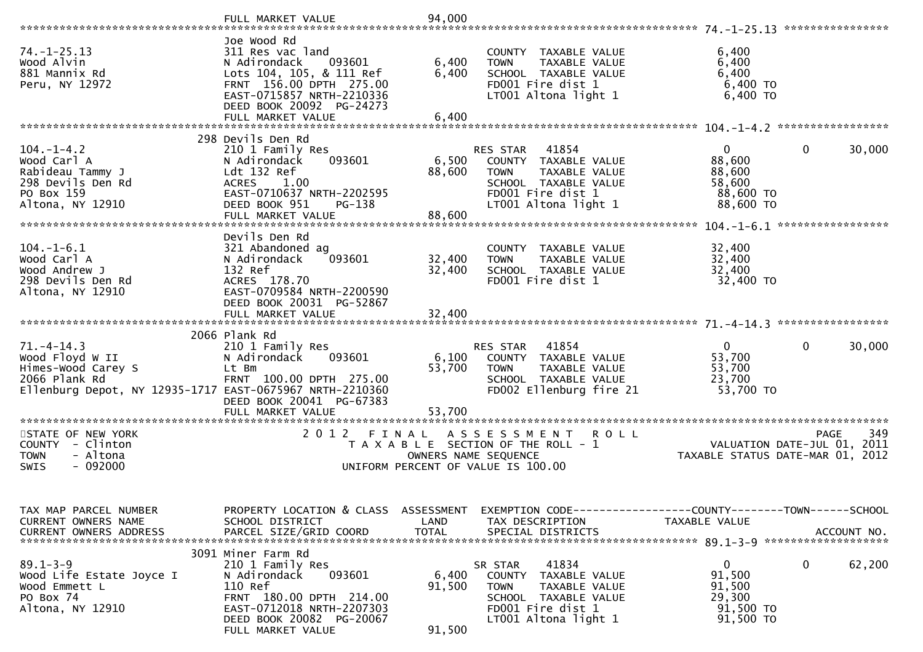|                                                                                                                                        | FULL MARKET VALUE                                                                                                                                                                    | 94,000                    |                                                                                                                                                |                                                                      |                                            |
|----------------------------------------------------------------------------------------------------------------------------------------|--------------------------------------------------------------------------------------------------------------------------------------------------------------------------------------|---------------------------|------------------------------------------------------------------------------------------------------------------------------------------------|----------------------------------------------------------------------|--------------------------------------------|
| $74. - 1 - 25.13$<br>Wood Alvin<br>881 Mannix Rd<br>Peru, NY 12972                                                                     | Joe Wood Rd<br>311 Res vac land<br>N Adirondack<br>093601<br>Lots 104, 105, & 111 Ref<br>FRNT 156.00 DPTH 275.00<br>EAST-0715857 NRTH-2210336<br>DEED BOOK 20092 PG-24273            | 6,400<br>6,400            | COUNTY TAXABLE VALUE<br>TAXABLE VALUE<br><b>TOWN</b><br>SCHOOL TAXABLE VALUE<br>FD001 Fire dist 1<br>LT001 Altona light 1                      | 6,400<br>6,400<br>6,400<br>6,400 TO<br>$6,400$ TO                    |                                            |
|                                                                                                                                        | FULL MARKET VALUE                                                                                                                                                                    | 6,400                     |                                                                                                                                                |                                                                      |                                            |
| $104. - 1 - 4.2$<br>Wood Carl A<br>Rabideau Tammy J<br>298 Devils Den Rd<br>PO Box 159<br>Altona, NY 12910                             | 298 Devils Den Rd<br>210 1 Family Res<br>N Adirondack<br>093601<br>Ldt 132 Ref<br><b>ACRES</b><br>1.00<br>EAST-0710637 NRTH-2202595<br>DEED BOOK 951<br>$PG-138$                     | 6,500<br>88,600           | 41854<br>RES STAR<br>COUNTY TAXABLE VALUE<br><b>TOWN</b><br>TAXABLE VALUE<br>SCHOOL TAXABLE VALUE<br>FD001 Fire dist 1<br>LT001 Altona light 1 | $\mathbf{0}$<br>88,600<br>88,600<br>58,600<br>88,600 TO<br>88,600 TO | 0<br>30,000                                |
|                                                                                                                                        | FULL MARKET VALUE                                                                                                                                                                    | 88,600                    |                                                                                                                                                |                                                                      |                                            |
| $104.-1-6.1$<br>Wood Carl A<br>Wood Andrew J<br>298 Devils Den Rd<br>Altona, NY 12910                                                  | Devils Den Rd<br>321 Abandoned ag<br>N Adirondack<br>093601<br>132 Ref<br>ACRES 178.70<br>EAST-0709584 NRTH-2200590<br>DEED BOOK 20031 PG-52867                                      | 32,400<br>32,400          | COUNTY TAXABLE VALUE<br>TAXABLE VALUE<br><b>TOWN</b><br>SCHOOL TAXABLE VALUE<br>FD001 Fire dist 1                                              | 32,400<br>32,400<br>32,400<br>32,400 TO                              |                                            |
|                                                                                                                                        |                                                                                                                                                                                      |                           |                                                                                                                                                |                                                                      |                                            |
| $71. - 4 - 14.3$<br>Wood Floyd W II<br>Himes-Wood Carey S<br>2066 Plank Rd<br>Ellenburg Depot, NY 12935-1717 EAST-0675967 NRTH-2210360 | 2066 Plank Rd<br>210 1 Family Res<br>093601<br>N Adirondack<br>Lt Bm<br>FRNT 100.00 DPTH 275.00<br>DEED BOOK 20041 PG-67383<br>FULL MARKET VALUE                                     | 6,100<br>53,700<br>53,700 | 41854<br>RES STAR<br>COUNTY TAXABLE VALUE<br><b>TOWN</b><br>TAXABLE VALUE<br>SCHOOL TAXABLE VALUE<br>FD002 Ellenburg fire 21                   | $\Omega$<br>53,700<br>53,700<br>23,700<br>53,700 TO                  | $\mathbf{0}$<br>30,000                     |
| STATE OF NEW YORK<br>COUNTY - Clinton<br><b>TOWN</b><br>- Altona<br>$-092000$<br>SWIS                                                  | 2012 FINAL                                                                                                                                                                           |                           | ASSESSMENT ROLL<br>T A X A B L E SECTION OF THE ROLL - 1<br>OWNERS NAME SEQUENCE<br>UNIFORM PERCENT OF VALUE IS 100.00                         | TAXABLE STATUS DATE-MAR 01, 2012                                     | 349<br>PAGE<br>VALUATION DATE-JUL 01, 2011 |
| TAX MAP PARCEL NUMBER<br>CURRENT OWNERS NAME<br><b>CURRENT OWNERS ADDRESS</b>                                                          | PROPERTY LOCATION & CLASS ASSESSMENT<br>SCHOOL DISTRICT<br>PARCEL SIZE/GRID COORD                                                                                                    | LAND<br><b>TOTAL</b>      | EXEMPTION CODE------------------COUNTY--------TOWN------SCHOOL<br>TAX DESCRIPTION<br>SPECIAL DISTRICTS                                         | TAXABLE VALUE                                                        | ACCOUNT NO.                                |
| $89.1 - 3 - 9$<br>Wood Life Estate Joyce I<br>Wood Emmett L<br>PO Box 74<br>Altona, NY 12910                                           | 3091 Miner Farm Rd<br>210 1 Family Res<br>093601<br>N Adirondack<br>110 Ref<br>FRNT 180.00 DPTH 214.00<br>EAST-0712018 NRTH-2207303<br>DEED BOOK 20082 PG-20067<br>FULL MARKET VALUE | 6,400<br>91,500<br>91,500 | 41834<br>SR STAR<br>COUNTY TAXABLE VALUE<br>TAXABLE VALUE<br><b>TOWN</b><br>SCHOOL TAXABLE VALUE<br>FD001 Fire dist 1<br>LT001 Altona light 1  | $\mathbf{0}$<br>91,500<br>91,500<br>29,300<br>91,500 TO<br>91,500 TO | 0<br>62,200                                |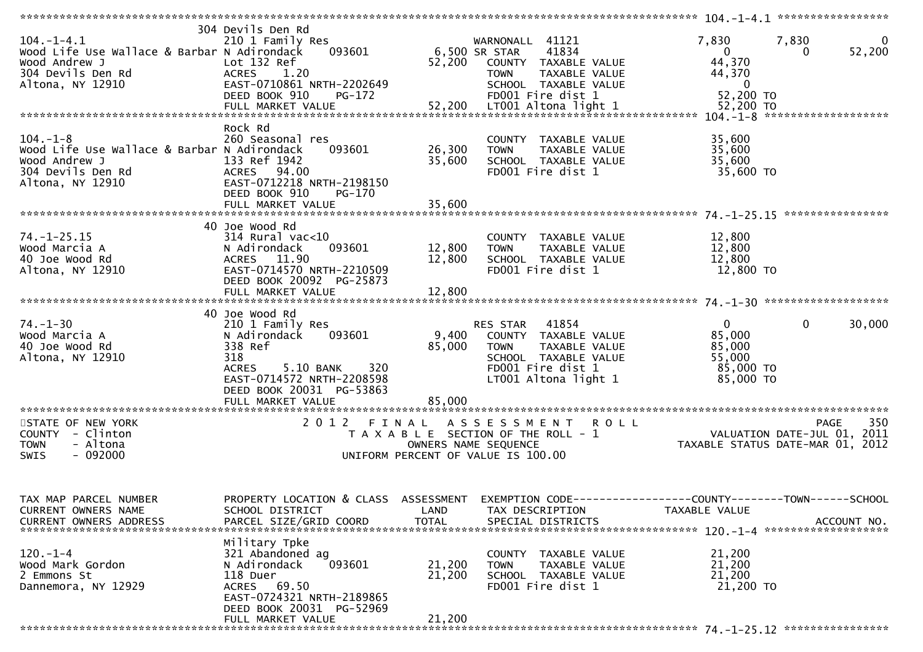|                                                                                                                           | **************************                                                                                                                                                  |                            |                                                                                                                                                    |                                                                                                                                  |          |
|---------------------------------------------------------------------------------------------------------------------------|-----------------------------------------------------------------------------------------------------------------------------------------------------------------------------|----------------------------|----------------------------------------------------------------------------------------------------------------------------------------------------|----------------------------------------------------------------------------------------------------------------------------------|----------|
| $104. - 1 - 4.1$<br>Wood Life Use Wallace & Barbar N Adirondack<br>Wood Andrew J<br>304 Devils Den Rd<br>Altona, NY 12910 | 304 Devils Den Rd<br>210 1 Family Res<br>Lot 132 Ref<br>ACRES 1.20<br>EAST-0710861 NRTH-2202649<br>DEED BOOK 910<br>PG-172                                                  | 52,200                     | WARNONALL 41121<br>093601 6,500 SR STAR 41834<br>COUNTY TAXABLE VALUE<br><b>TOWN</b><br>TAXABLE VALUE<br>SCHOOL TAXABLE VALUE<br>FD001 Fire dist 1 | 7,830<br>7,830<br>52,200<br>$\overline{\mathbf{0}}$<br>$\mathbf{0}$<br>44,370<br>44,370<br>$\overline{\mathbf{0}}$<br>52,200 TO  | $\bf{0}$ |
| $104. - 1 - 8$<br>Wood Life Use Wallace & Barbar N Adirondack<br>Wood Andrew J<br>304 Devils Den Rd<br>Altona, NY 12910   | Rock Rd<br>260 Seasonal res<br>093601<br>133 Ref 1942<br>ACRES 94.00<br>EAST-0712218 NRTH-2198150<br>DEED BOOK 910<br>PG-170                                                | 26,300<br>35,600           | COUNTY TAXABLE VALUE<br>TAXABLE VALUE<br><b>TOWN</b><br>SCHOOL TAXABLE VALUE<br>FD001 Fire dist 1                                                  | 35,600<br>35,600<br>35,600<br>35,600 TO                                                                                          |          |
|                                                                                                                           |                                                                                                                                                                             |                            |                                                                                                                                                    |                                                                                                                                  |          |
| $74. - 1 - 25.15$<br>Wood Marcia A<br>40 Joe Wood Rd<br>Altona, NY 12910                                                  | 40 Joe Wood Rd<br>$314$ Rural vac<10<br>093601<br>N Adirondack<br>ACRES 11.90<br>EAST-0714570 NRTH-2210509<br>DEED BOOK 20092 PG-25873<br>FULL MARKET VALUE                 | 12,800<br>12,800<br>12,800 | COUNTY TAXABLE VALUE<br>TAXABLE VALUE<br><b>TOWN</b><br>SCHOOL TAXABLE VALUE<br>FD001 Fire dist 1                                                  | 12,800<br>12,800<br>12,800<br>12,800 TO                                                                                          |          |
|                                                                                                                           | 40 Joe Wood Rd                                                                                                                                                              |                            |                                                                                                                                                    |                                                                                                                                  |          |
| $74. - 1 - 30$<br>Wood Marcia A<br>40 Joe Wood Rd<br>Altona, NY 12910                                                     | 210 1 Family Res<br>093601<br>N Adirondack<br>338 Ref<br>318<br>5.10 BANK 320<br><b>ACRES</b><br>EAST-0714572 NRTH-2208598<br>DEED BOOK 20031 PG-53863<br>FULL MARKET VALUE | 9,400<br>85,000<br>85,000  | RES STAR 41854<br>COUNTY TAXABLE VALUE<br>TAXABLE VALUE<br>TOWN<br>SCHOOL TAXABLE VALUE<br>FD001 Fire dist 1<br>LT001 Altona light 1               | $\overline{0}$<br>$\mathbf{0}$<br>30,000<br>85,000<br>85,000<br>55,000<br>85,000 TO<br>85,000 TO                                 |          |
|                                                                                                                           |                                                                                                                                                                             |                            |                                                                                                                                                    |                                                                                                                                  |          |
| STATE OF NEW YORK<br>COUNTY - Clinton<br><b>TOWN</b><br>- Altona<br>$-092000$<br>SWIS                                     |                                                                                                                                                                             |                            | 2012 FINAL ASSESSMENT ROLL<br>UNIFORM PERCENT OF VALUE IS 100.00                                                                                   | <b>PAGE</b><br>T A X A B L E SECTION OF THE ROLL - 1<br>TAXABLE STATUS DATE-JUL 01, 2011<br>TAXABLE STATUS DATE-MAR 01, 2012     | 350      |
| TAX MAP PARCEL NUMBER<br>CURRENT OWNERS NAME<br><b>CURRENT OWNERS ADDRESS</b>                                             | SCHOOL DISTRICT<br>PARCEL SIZE/GRID COORD                                                                                                                                   | LAND<br><b>TOTAL</b>       | TAX DESCRIPTION<br>SPECIAL DISTRICTS                                                                                                               | PROPERTY LOCATION & CLASS ASSESSMENT EXEMPTION CODE----------------COUNTY-------TOWN------SCHOOL<br>TAXABLE VALUE<br>ACCOUNT NO. |          |
| $120. - 1 - 4$<br>Wood Mark Gordon<br>2 Emmons St<br>Dannemora, NY 12929                                                  | Military Tpke<br>321 Abandoned ag<br>N Adirondack<br>093601<br>118 Duer<br>ACRES 69.50<br>EAST-0724321 NRTH-2189865<br>DEED BOOK 20031 PG-52969<br>FULL MARKET VALUE        | 21,200<br>21,200<br>21,200 | COUNTY TAXABLE VALUE<br><b>TOWN</b><br>TAXABLE VALUE<br>SCHOOL TAXABLE VALUE<br>FD001 Fire dist 1                                                  | 21,200<br>21,200<br>21,200<br>21,200 TO                                                                                          |          |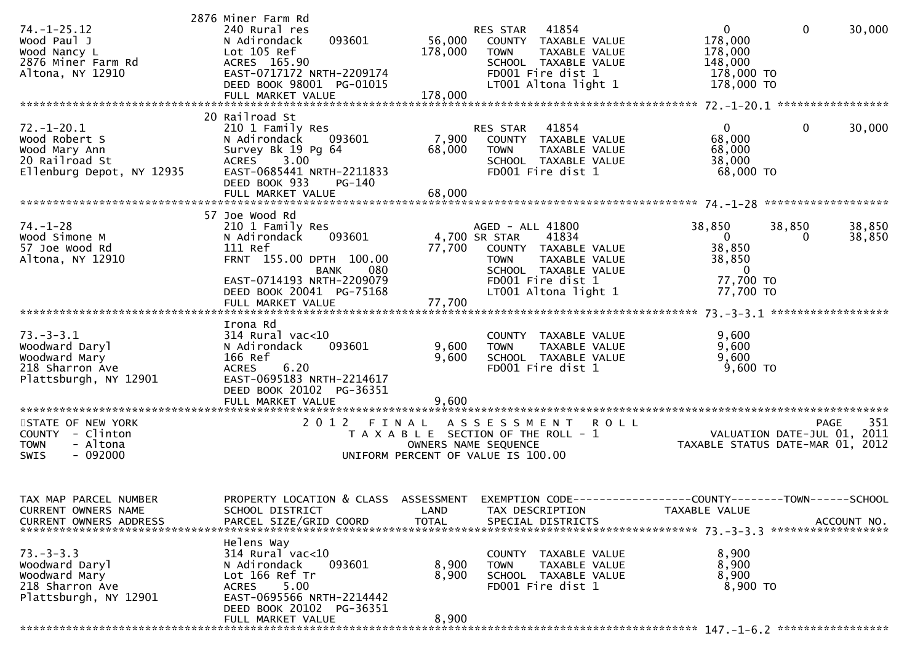|                                              | 2876 Miner Farm Rd                                      |              |                                            |                                          |                  |
|----------------------------------------------|---------------------------------------------------------|--------------|--------------------------------------------|------------------------------------------|------------------|
| $74. - 1 - 25.12$<br>Wood Paul J             | 240 Rural res<br>093601<br>N Adirondack                 | 56,000       | RES STAR 41854<br>COUNTY TAXABLE VALUE     | $\overline{0}$<br>$\mathbf 0$<br>178,000 | 30,000           |
| Wood Nancy L                                 | Lot 105 Ref                                             | 178,000      | TAXABLE VALUE<br>TOWN                      | 178,000                                  |                  |
| 2876 Miner Farm Rd                           | ACRES 165.90                                            |              | SCHOOL TAXABLE VALUE                       | 148,000                                  |                  |
| Altona, NY 12910                             | EAST-0717172 NRTH-2209174                               |              | FD001 Fire dist 1                          | 178,000 TO                               |                  |
|                                              | DEED BOOK 98001 PG-01015                                |              | LT001 Altona light 1                       | 178,000 TO                               |                  |
|                                              |                                                         |              |                                            |                                          |                  |
|                                              | 20 Railroad St                                          |              |                                            |                                          |                  |
| $72. - 1 - 20.1$<br>Wood Robert S            | 210 1 Family Res<br>N Adirondack<br>093601              | 7,900        | RES STAR 41854<br>COUNTY TAXABLE VALUE     | $\overline{0}$<br>$\mathbf 0$<br>68,000  | 30,000           |
| Wood Mary Ann                                | Survey Bk 19 Pg 64                                      | 68,000       | <b>TOWN</b><br>TAXABLE VALUE               | 68,000                                   |                  |
| 20 Railroad St                               | ACRES 3.00                                              |              | SCHOOL TAXABLE VALUE                       | 38,000                                   |                  |
| Ellenburg Depot, NY 12935                    | EAST-0685441 NRTH-2211833                               |              | FD001 Fire dist 1                          | 68,000 TO                                |                  |
|                                              | DEED BOOK 933<br>PG-140<br>FULL MARKET VALUE            | 68,000       |                                            |                                          |                  |
|                                              |                                                         |              |                                            |                                          |                  |
|                                              | 57 Joe Wood Rd                                          |              |                                            |                                          |                  |
| $74. - 1 - 28$<br>Wood Simone M              | 210 1 Family Res<br>093601<br>N Adirondack              |              | AGED - ALL 41800<br>4,700 SR STAR<br>41834 | 38,850<br>38,850<br>$\overline{0}$<br>0  | 38,850<br>38,850 |
| 57 Joe Wood Rd                               | 111 Ref                                                 |              | 77,700 COUNTY TAXABLE VALUE                | 38,850                                   |                  |
| Altona, NY 12910                             | FRNT 155.00 DPTH 100.00                                 |              | <b>TOWN</b><br>TAXABLE VALUE               | 38,850                                   |                  |
|                                              | 080<br><b>BANK</b><br>EAST-0714193 NRTH-2209079         |              | SCHOOL TAXABLE VALUE<br>FD001 Fire dist 1  | $\overline{\mathbf{0}}$<br>77,700 TO     |                  |
|                                              | DEED BOOK 20041 PG-75168                                |              | LT001 Altona light 1                       | 77,700 TO                                |                  |
|                                              | FULL MARKET VALUE                                       | 77,700       |                                            |                                          |                  |
|                                              |                                                         |              |                                            |                                          |                  |
| $73. - 3 - 3.1$                              | Irona Rd<br>$314$ Rural vac<10                          |              | COUNTY TAXABLE VALUE                       | 9,600                                    |                  |
| Woodward Daryl                               | 093601<br>N Adirondack                                  | 9,600        | TAXABLE VALUE<br><b>TOWN</b>               | 9,600                                    |                  |
| Woodward Mary                                | 166 Ref                                                 | 9,600        | SCHOOL TAXABLE VALUE                       | 9,600                                    |                  |
| 218 Sharron Ave<br>Plattsburgh, NY 12901     | 6.20<br><b>ACRES</b><br>EAST-0695183 NRTH-2214617       |              | FD001 Fire dist 1                          | $9,600$ TO                               |                  |
|                                              | DEED BOOK 20102 PG-36351                                |              |                                            |                                          |                  |
|                                              | FULL MARKET VALUE                                       | 9,600        |                                            |                                          |                  |
| STATE OF NEW YORK                            |                                                         |              | 2012 FINAL ASSESSMENT<br><b>ROLL</b>       |                                          | 351<br>PAGE      |
| COUNTY - Clinton                             |                                                         |              | T A X A B L E SECTION OF THE ROLL - 1      |                                          |                  |
| - Altona<br><b>TOWN</b>                      |                                                         |              | OWNERS NAME SEQUENCE                       | TAXABLE STATUS DATE-MAR 01, 2012         |                  |
| $-092000$<br><b>SWIS</b>                     |                                                         |              | UNIFORM PERCENT OF VALUE IS 100.00         |                                          |                  |
|                                              |                                                         |              |                                            |                                          |                  |
|                                              |                                                         |              |                                            |                                          |                  |
| TAX MAP PARCEL NUMBER<br>CURRENT OWNERS NAME | PROPERTY LOCATION & CLASS ASSESSMENT<br>SCHOOL DISTRICT | LAND         | TAX DESCRIPTION                            | TAXABLE VALUE                            |                  |
| <b>CURRENT OWNERS ADDRESS</b>                | PARCEL SIZE/GRID COORD                                  | <b>TOTAL</b> | SPECIAL DISTRICTS                          |                                          | ACCOUNT NO.      |
|                                              |                                                         |              |                                            |                                          |                  |
| $73. - 3 - 3.3$                              | Helens Way<br>$314$ Rural vac<10                        |              | COUNTY TAXABLE VALUE                       | 8,900                                    |                  |
| Woodward Daryl                               | 093601<br>N Adirondack                                  | 8,900        | <b>TOWN</b><br>TAXABLE VALUE               | 8,900                                    |                  |
| Woodward Mary                                | Lot 166 Ref Tr                                          | 8,900        | SCHOOL TAXABLE VALUE                       | 8,900                                    |                  |
| 218 Sharron Ave<br>Plattsburgh, NY 12901     | 5.00<br><b>ACRES</b><br>EAST-0695566 NRTH-2214442       |              | FD001 Fire dist 1                          | 8,900 TO                                 |                  |
|                                              | DEED BOOK 20102 PG-36351                                |              |                                            |                                          |                  |
|                                              | FULL MARKET VALUE                                       | 8,900        |                                            |                                          |                  |
|                                              |                                                         |              |                                            |                                          |                  |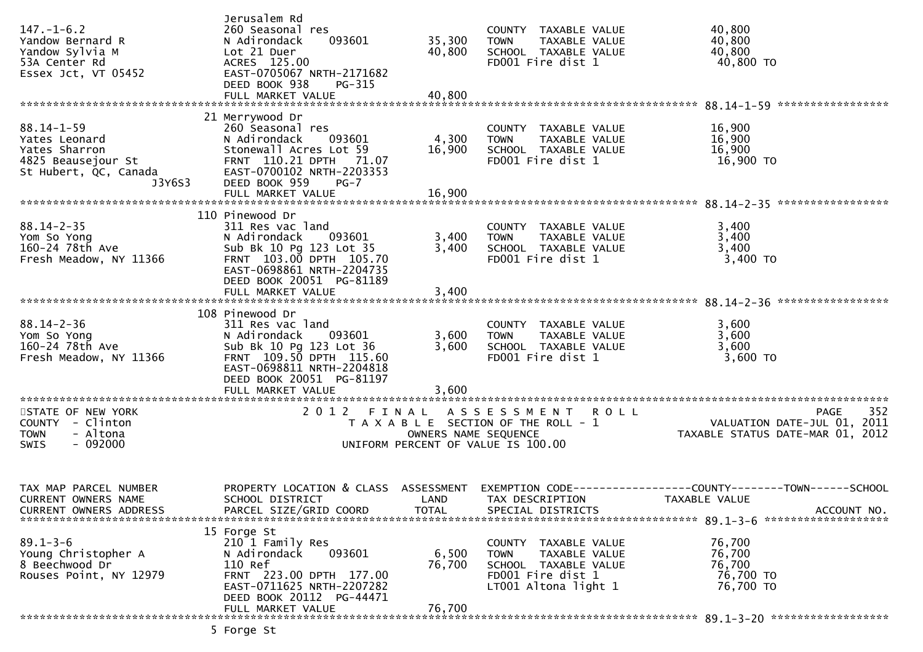| 40,800<br>COUNTY TAXABLE VALUE<br>40,800<br>TAXABLE VALUE<br>SCHOOL TAXABLE VALUE<br>40,800<br>40,800 TO<br>FD001 Fire dist 1                                         |
|-----------------------------------------------------------------------------------------------------------------------------------------------------------------------|
| 16,900<br>COUNTY TAXABLE VALUE<br>16,900<br>TAXABLE VALUE<br>16,900<br>SCHOOL TAXABLE VALUE<br>FD001 Fire dist 1<br>16,900 TO                                         |
| 3,400<br>COUNTY TAXABLE VALUE<br>3,400<br>TAXABLE VALUE<br>3,400<br>SCHOOL TAXABLE VALUE<br>3,400 TO<br>FD001 Fire dist 1                                             |
| 3,600<br>COUNTY TAXABLE VALUE<br>3,600<br>TAXABLE VALUE<br>SCHOOL TAXABLE VALUE<br>3,600<br>3,600 TO<br>FD001 Fire dist 1                                             |
| ASSESSMENT ROLL<br>352<br><b>PAGE</b><br>. 1992<br>11. VALUATION DATE-JUL 01, 2011<br>12.12 TAXABLE STATUS DATE-MAR 01, 2012<br>T A X A B L E SECTION OF THE ROLL - 1 |
| PROPERTY LOCATION & CLASS ASSESSMENT EXEMPTION CODE----------------COUNTY-------TOWN------SCHOOL<br>TAXABLE VALUE<br>SPECIAL DISTRICTS<br>ACCOUNT NO.                 |
| 76,700<br>COUNTY TAXABLE VALUE<br>76,700<br>TAXABLE VALUE<br>76,700<br>SCHOOL TAXABLE VALUE<br>76,700 TO<br>FD001 Fire dist 1<br>76,700 TO<br>LT001 Altona light 1    |
|                                                                                                                                                                       |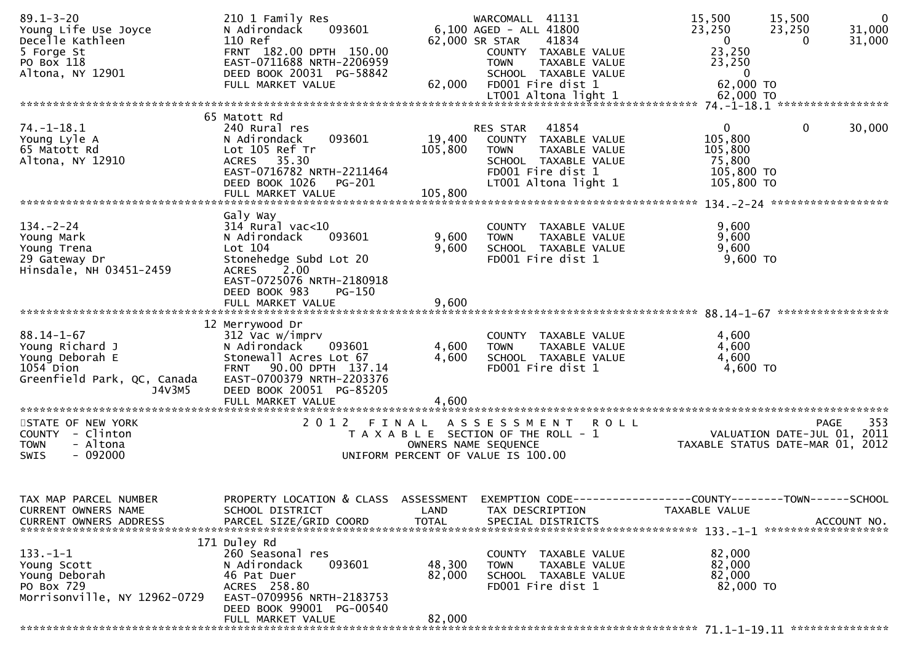| $89.1 - 3 - 20$<br>Young Life Use Joyce<br>Decelle Kathleen<br>5 Forge St<br>PO Box 118<br>Altona, NY 12901  | 210 1 Family Res<br>N Adirondack<br>093601<br>110 Ref<br>FRNT 182.00 DPTH 150.00<br>EAST-0711688 NRTH-2206959<br>DEED BOOK 20031 PG-58842<br>FULL MARKET VALUE                                           | 62,000                       | WARCOMALL 41131<br>6,100 AGED - ALL 41800<br>62,000 SR STAR<br>41834<br>COUNTY TAXABLE VALUE<br>TAXABLE VALUE<br><b>TOWN</b><br>SCHOOL TAXABLE VALUE<br>FD001 Fire dist 1<br>LT001 Altona light 1 | 15,500<br>$\overline{0}$<br>15,500<br>23,250<br>23,250<br>31,000<br>$\mathbf{0}$<br>31,000<br>0<br>23,250<br>23,250<br>$\mathbf{0}$<br>62,000 TO<br>62,000 TO |
|--------------------------------------------------------------------------------------------------------------|----------------------------------------------------------------------------------------------------------------------------------------------------------------------------------------------------------|------------------------------|---------------------------------------------------------------------------------------------------------------------------------------------------------------------------------------------------|---------------------------------------------------------------------------------------------------------------------------------------------------------------|
|                                                                                                              | 65 Matott Rd                                                                                                                                                                                             |                              |                                                                                                                                                                                                   |                                                                                                                                                               |
| 74. -1 -18.1<br>Young Lyle A<br>65 Matott Rd<br>Altona, NY 12910                                             | 240 Rural res<br>N Adirondack<br>093601<br>Lot 105 Ref Tr<br>ACRES 35.30<br>EAST-0716782 NRTH-2211464<br>DEED BOOK 1026<br>PG-201<br>FULL MARKET VALUE                                                   | 19,400<br>105,800<br>105,800 | 41854<br>RES STAR<br>COUNTY TAXABLE VALUE<br><b>TOWN</b><br>TAXABLE VALUE<br>SCHOOL TAXABLE VALUE<br>FD001 Fire dist 1<br>LT001 Altona light 1                                                    | 0<br>$\mathbf{0}$<br>30,000<br>105,800<br>105,800<br>75,800<br>105,800 TO<br>105,800 TO                                                                       |
|                                                                                                              |                                                                                                                                                                                                          |                              |                                                                                                                                                                                                   |                                                                                                                                                               |
| $134. - 2 - 24$<br>Young Mark<br>Young Trena<br>29 Gateway Dr<br>Hinsdale, NH 03451-2459                     | Galy Way<br>$314$ Rural vac<10<br>093601<br>N Adirondack<br>Lot 104<br>Stonehedge Subd Lot 20<br><b>ACRES</b><br>2.00                                                                                    | 9,600<br>9,600               | COUNTY TAXABLE VALUE<br><b>TOWN</b><br>TAXABLE VALUE<br>SCHOOL TAXABLE VALUE<br>FD001 Fire dist 1                                                                                                 | 9,600<br>9,600<br>9,600<br>9,600 TO                                                                                                                           |
|                                                                                                              | EAST-0725076 NRTH-2180918<br>DEED BOOK 983<br>$PG-150$<br>FULL MARKET VALUE                                                                                                                              | 9,600                        |                                                                                                                                                                                                   |                                                                                                                                                               |
| $88.14 - 1 - 67$<br>Young Richard J<br>Young Deborah E<br>1054 Dion<br>Greenfield Park, QC, Canada<br>J4V3M5 | 12 Merrywood Dr<br>312 Vac w/imprv<br>N Adirondack<br>093601<br>Stonewall Acres Lot 67<br>90.00 DPTH 137.14<br><b>FRNT</b><br>EAST-0700379 NRTH-2203376<br>DEED BOOK 20051 PG-85205<br>FULL MARKET VALUE | 4,600<br>4,600<br>4,600      | COUNTY TAXABLE VALUE<br>TAXABLE VALUE<br><b>TOWN</b><br>SCHOOL TAXABLE VALUE<br>FD001 Fire dist 1                                                                                                 | 4,600<br>4,600<br>4,600<br>4,600 TO                                                                                                                           |
|                                                                                                              |                                                                                                                                                                                                          |                              |                                                                                                                                                                                                   |                                                                                                                                                               |
| STATE OF NEW YORK<br>COUNTY - Clinton<br>- Altona<br><b>TOWN</b><br>$-092000$<br>SWIS                        | 2012 FINAL                                                                                                                                                                                               |                              | A S S E S S M E N T<br><b>ROLL</b><br>T A X A B L E SECTION OF THE ROLL - 1<br>OWNERS NAME SEQUENCE<br>UNIFORM PERCENT OF VALUE IS 100.00                                                         | 353<br>PAGE<br>VALUATION DATE-JUL 01, 2011<br>TAXABLE STATUS DATE-MAR 01, 2012                                                                                |
| TAX MAP PARCEL NUMBER<br>CURRENT OWNERS NAME<br><b>CURRENT OWNERS ADDRESS</b>                                | PROPERTY LOCATION & CLASS ASSESSMENT<br>SCHOOL DISTRICT<br>PARCEL SIZE/GRID COORD                                                                                                                        | LAND<br><b>TOTAL</b>         | TAX DESCRIPTION<br>SPECIAL DISTRICTS                                                                                                                                                              | EXEMPTION CODE-----------------COUNTY-------TOWN------SCHOOL<br>TAXABLE VALUE<br>ACCOUNT NO.                                                                  |
| $133. - 1 - 1$<br>Young Scott<br>Young Deborah<br>PO Box 729<br>Morrisonville, NY 12962-0729                 | 171 Duley Rd<br>260 Seasonal res<br>093601<br>N Adirondack<br>46 Pat Duer<br>ACRES 258.80<br>EAST-0709956 NRTH-2183753<br>DEED BOOK 99001 PG-00540<br>FULL MARKET VALUE                                  | 48,300<br>82,000<br>82,000   | COUNTY TAXABLE VALUE<br>TAXABLE VALUE<br><b>TOWN</b><br>SCHOOL TAXABLE VALUE<br>FD001 Fire dist 1                                                                                                 | 82,000<br>82,000<br>82,000<br>82,000 TO                                                                                                                       |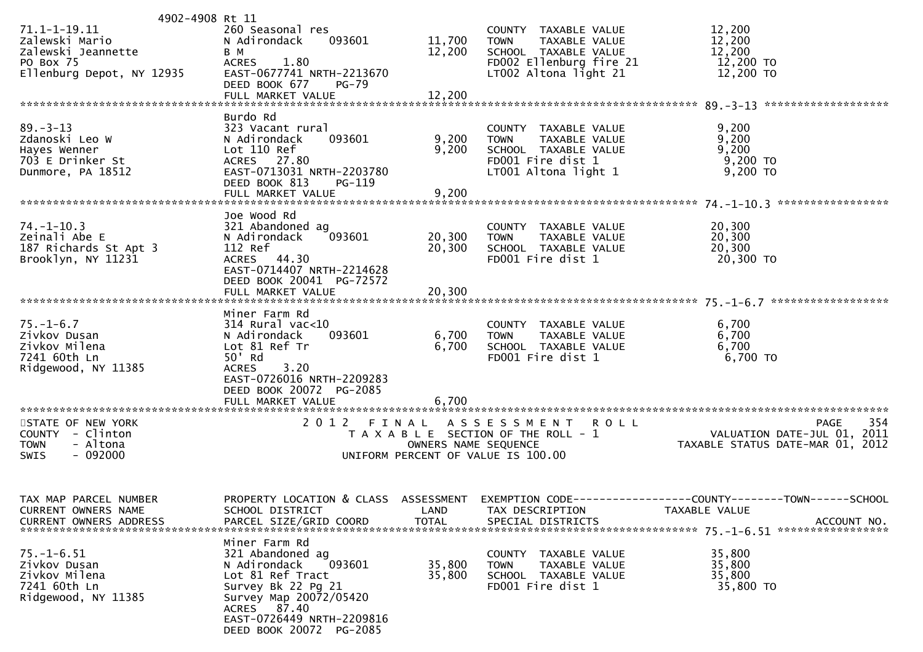| 4902-4908 Rt 11                                                                           |                                                                                                                                                                                                        |                      |                                                                                                                           |                                                                                                                                  |
|-------------------------------------------------------------------------------------------|--------------------------------------------------------------------------------------------------------------------------------------------------------------------------------------------------------|----------------------|---------------------------------------------------------------------------------------------------------------------------|----------------------------------------------------------------------------------------------------------------------------------|
| 71.1-1-19.11<br>Zalewski Mario<br>Zalewski Jeannette                                      | 260 Seasonal res<br>093601<br>N Adirondack<br>B M                                                                                                                                                      | 11,700<br>12,200     | COUNTY TAXABLE VALUE<br>TAXABLE VALUE<br><b>TOWN</b><br>SCHOOL TAXABLE VALUE                                              | 12,200<br>12,200<br>12,200                                                                                                       |
| PO Box 75<br>PO Box 75<br>Ellenburg Depot, NY 12935                                       | 1.80<br><b>ACRES</b><br>EAST-0677741 NRTH-2213670<br>DEED BOOK 677<br>PG-79                                                                                                                            | 12,200               | FD002 Ellenburg fire 21<br>LT002 Altona light 21                                                                          | 12,200 TO<br>12,200 TO                                                                                                           |
|                                                                                           | FULL MARKET VALUE                                                                                                                                                                                      |                      |                                                                                                                           |                                                                                                                                  |
| $89. - 3 - 13$<br>Zdanoski Leo W<br>Hayes Wenner<br>703 E Drinker St<br>Dunmore, PA 18512 | Burdo Rd<br>323 Vacant rural<br>093601<br>N Adirondack<br>Lot 110 Ref<br>ACRES 27.80<br>EAST-0713031 NRTH-2203780<br>DEED BOOK 813<br><b>PG-119</b>                                                    | 9,200<br>9,200       | COUNTY TAXABLE VALUE<br>TAXABLE VALUE<br><b>TOWN</b><br>SCHOOL TAXABLE VALUE<br>FD001 Fire dist 1<br>LT001 Altona light 1 | 9,200<br>9,200<br>9,200<br>9,200 TO<br>$9,200$ TO                                                                                |
|                                                                                           | FULL MARKET VALUE                                                                                                                                                                                      | 9,200                |                                                                                                                           |                                                                                                                                  |
| $74. - 1 - 10.3$<br>Zeinali Abe E<br>187 Richards St Apt 3<br>Brooklyn, NY 11231          | Joe Wood Rd<br>321 Abandoned ag<br>093601<br>N Adirondack<br>112 Ref<br>ACRES 44.30<br>EAST-0714407 NRTH-2214628<br>DEED BOOK 20041 PG-72572                                                           | 20,300<br>20,300     | COUNTY TAXABLE VALUE<br><b>TOWN</b><br>TAXABLE VALUE<br>SCHOOL TAXABLE VALUE<br>FD001 Fire dist 1                         | 20,300<br>20,300<br>20,300<br>20,300 TO                                                                                          |
|                                                                                           |                                                                                                                                                                                                        |                      |                                                                                                                           |                                                                                                                                  |
| $75. - 1 - 6.7$<br>Zivkov Dusan<br>Zivkov Milena<br>7241 60th Ln<br>Ridgewood, NY 11385   | Miner Farm Rd<br>314 Rural vac<10<br>093601<br>N Adirondack<br>Lot 81 Ref Tr<br>50' Rd<br><b>ACRES</b><br>3.20<br>EAST-0726016 NRTH-2209283<br>DEED BOOK 20072 PG-2085                                 | 6,700<br>6,700       | COUNTY TAXABLE VALUE<br>TAXABLE VALUE<br><b>TOWN</b><br>SCHOOL TAXABLE VALUE<br>FD001 Fire dist 1                         | 6,700<br>6,700<br>6,700<br>6,700 TO                                                                                              |
|                                                                                           | FULL MARKET VALUE                                                                                                                                                                                      | 6,700                |                                                                                                                           |                                                                                                                                  |
| STATE OF NEW YORK<br>COUNTY - Clinton<br><b>TOWN</b><br>- Altona<br>$-092000$<br>SWIS     | 2012 FINAL                                                                                                                                                                                             |                      | ASSESSMENT ROLL<br>UNIFORM PERCENT OF VALUE IS 100.00                                                                     | 354<br><b>PAGE</b><br>T A X A B L E SECTION OF THE ROLL - 1<br>OWNERS NAME SEQUENCE<br>OWNERS NAME SEQUENCE                      |
| TAX MAP PARCEL NUMBER<br>CURRENT OWNERS NAME<br><b>CURRENT OWNERS ADDRESS</b>             | SCHOOL DISTRICT<br>PARCEL SIZE/GRID COORD                                                                                                                                                              | LAND<br><b>TOTAL</b> | TAX DESCRIPTION<br>SPECIAL DISTRICTS                                                                                      | PROPERTY LOCATION & CLASS ASSESSMENT EXEMPTION CODE----------------COUNTY-------TOWN------SCHOOL<br>TAXABLE VALUE<br>ACCOUNT NO. |
| $75. - 1 - 6.51$<br>Zivkov Dusan<br>Zivkov Milena<br>7241 60th Ln<br>Ridgewood, NY 11385  | Miner Farm Rd<br>321 Abandoned ag<br>N Adirondack<br>093601<br>Lot 81 Ref Tract<br>Survey Bk 22 Pg 21<br>Survey Map 20072/05420<br>ACRES 87.40<br>EAST-0726449 NRTH-2209816<br>DEED BOOK 20072 PG-2085 | 35,800<br>35,800     | COUNTY TAXABLE VALUE<br>TAXABLE VALUE<br><b>TOWN</b><br>SCHOOL TAXABLE VALUE<br>FD001 Fire dist 1                         | 35,800<br>35,800<br>35,800<br>35,800 TO                                                                                          |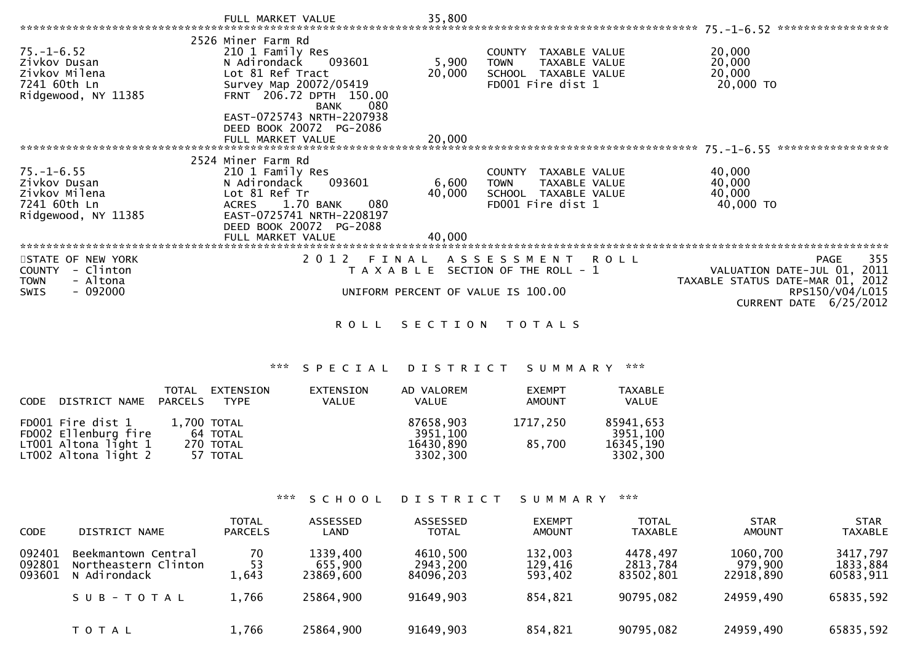|                                     | FULL MARKET VALUE                                      | 35,800  |                                       | 75. -1-6. 52 ******************       |
|-------------------------------------|--------------------------------------------------------|---------|---------------------------------------|---------------------------------------|
|                                     | 2526 Miner Farm Rd                                     |         |                                       |                                       |
| $75. - 1 - 6.52$                    | 210 1 Family Res                                       |         | COUNTY TAXABLE VALUE                  | 20,000                                |
| Zivkov Dusan                        | N Adirondack<br>093601                                 | 5,900   | TAXABLE VALUE<br><b>TOWN</b>          | 20,000                                |
| Zivkov Milena                       | Lot 81 Ref Tract                                       | 20,000  | SCHOOL TAXABLE VALUE                  | 20,000                                |
| 7241 60th Ln                        | Survey Map 20072/05419                                 |         | FD001 Fire dist 1                     | 20,000 TO                             |
| Ridgewood, NY 11385                 | FRNT 206.72 DPTH 150.00                                |         |                                       |                                       |
|                                     | 080<br><b>BANK</b><br>EAST-0725743 NRTH-2207938        |         |                                       |                                       |
|                                     | DEED BOOK 20072 PG-2086                                |         |                                       |                                       |
|                                     | FULL MARKET VALUE                                      | 20,000  |                                       |                                       |
| *************************           |                                                        |         |                                       | *****************<br>$75. - 1 - 6.55$ |
|                                     | 2524 Miner Farm Rd                                     |         |                                       |                                       |
| $75. - 1 - 6.55$                    | 210 1 Family Res                                       |         | COUNTY<br>TAXABLE VALUE               | 40,000                                |
| Zivkov Dusan                        | 093601<br>N Adirondack                                 | 6,600   | <b>TOWN</b><br>TAXABLE VALUE          | 40,000                                |
| Zivkov Milena                       | Lot 81 Ref Tr                                          | 40,000  | SCHOOL TAXABLE VALUE                  | 40,000                                |
| 7241 60th Ln<br>Ridgewood, NY 11385 | 1.70 BANK<br>080<br>ACRES<br>EAST-0725741 NRTH-2208197 |         | FD001 Fire dist 1                     | 40,000 TO                             |
|                                     | DEED BOOK 20072 PG-2088                                |         |                                       |                                       |
|                                     | FULL MARKET VALUE                                      | 40,000  |                                       |                                       |
|                                     |                                                        |         |                                       |                                       |
| STATE OF NEW YORK                   | 2012 FINAL                                             |         | ASSESSMENT ROLL                       | 355<br>PAGE                           |
| - Clinton<br><b>COUNTY</b>          |                                                        |         | T A X A B L E SECTION OF THE ROLL - 1 | VALUATION DATE-JUL 01, 2011           |
| - Altona<br><b>TOWN</b>             |                                                        |         |                                       | TAXABLE STATUS DATE-MAR 01, 2012      |
| - 092000<br>SWIS                    |                                                        |         | UNIFORM PERCENT OF VALUE IS 100.00    | RPS150/V04/L015                       |
|                                     |                                                        |         |                                       | CURRENT DATE $6/25/2012$              |
|                                     | <b>ROLL</b>                                            | SECTION | T O T A L S                           |                                       |

## \*\*\* S P E C I A L D I S T R I C T S U M M A R Y \*\*\*

| CODE | DISTRICT NAME PARCELS                        | TOTAL | EXTENSION<br>TYPE       | EXTENSION<br><b>VALUE</b> | AD VALOREM<br><b>VALUE</b> | <b>EXEMPT</b><br><b>AMOUNT</b> | <b>TAXABLE</b><br>VALUE |
|------|----------------------------------------------|-------|-------------------------|---------------------------|----------------------------|--------------------------------|-------------------------|
|      | FD001 Fire dist 1<br>FD002 Ellenburg fire    |       | 1,700 TOTAL<br>64 TOTAL |                           | 87658,903<br>3951,100      | 1717.250                       | 85941,653<br>3951,100   |
|      | LT001 Altona light 1<br>LT002 Altona light 2 |       | 270 TOTAL<br>57 TOTAL   |                           | 16430,890<br>3302,300      | 85.700                         | 16345,190<br>3302,300   |

## \*\*\* S C H O O L D I S T R I C T S U M M A R Y \*\*\*

| <b>CODE</b>                | DISTRICT NAME                                               | <b>TOTAL</b><br><b>PARCELS</b> | ASSESSED<br>LAND                 | ASSESSED<br><b>TOTAL</b>          | <b>EXEMPT</b><br><b>AMOUNT</b> | <b>TOTAL</b><br><b>TAXABLE</b>    | <b>STAR</b><br><b>AMOUNT</b>     | <b>STAR</b><br><b>TAXABLE</b>     |
|----------------------------|-------------------------------------------------------------|--------------------------------|----------------------------------|-----------------------------------|--------------------------------|-----------------------------------|----------------------------------|-----------------------------------|
| 092401<br>092801<br>093601 | Beekmantown Central<br>Northeastern Clinton<br>N Adirondack | 70<br>53<br>1,643              | 1339,400<br>655,900<br>23869,600 | 4610,500<br>2943,200<br>84096,203 | 132,003<br>129,416<br>593,402  | 4478,497<br>2813,784<br>83502,801 | 1060,700<br>979,900<br>22918,890 | 3417,797<br>1833,884<br>60583,911 |
|                            | SUB-TOTAL                                                   | 1,766                          | 25864,900                        | 91649,903                         | 854,821                        | 90795,082                         | 24959,490                        | 65835,592                         |
|                            | T O T A L                                                   | 1,766                          | 25864,900                        | 91649,903                         | 854,821                        | 90795,082                         | 24959,490                        | 65835,592                         |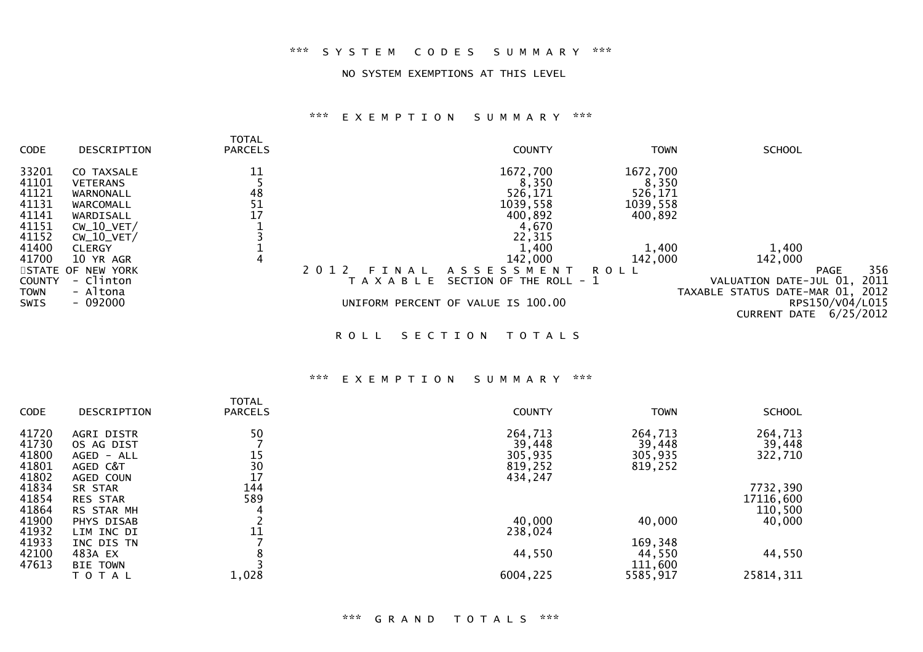## \*\*\* S Y S T E M C O D E S S U M M A R Y \*\*\*

#### NO SYSTEM EXEMPTIONS AT THIS LEVEL

## \*\*\* E X E M P T I O N S U M M A R Y \*\*\*

| CODE                             | DESCRIPTION                                                | TOTAL<br><b>PARCELS</b> |                                   | <b>COUNTY</b>                                             | <b>TOWN</b>                              | <b>SCHOOL</b>                                           |                              |
|----------------------------------|------------------------------------------------------------|-------------------------|-----------------------------------|-----------------------------------------------------------|------------------------------------------|---------------------------------------------------------|------------------------------|
| 33201<br>41101<br>41121<br>41131 | CO TAXSALE<br><b>VETERANS</b><br>WARNONALL<br>WARCOMALL    | 11<br>48<br>51          |                                   | 1672,700<br>8,350<br>526,171<br>1039,558                  | 1672,700<br>8,350<br>526,171<br>1039,558 |                                                         |                              |
| 41141<br>41151<br>41152<br>41400 | WARDISALL<br>$CW_10_VET/$<br>$CW_10_VET/$<br><b>CLERGY</b> | 17                      |                                   | 400,892<br>4,670<br>22,315<br>1,400                       | 400,892<br>1,400                         | 1,400                                                   |                              |
| 41700<br><b>COUNTY</b>           | 10 YR AGR<br>STATE OF NEW YORK<br>- Clinton                | 4                       | 2 0 1 2<br>FINAL<br>T A X A B L E | 142,000<br>A S S E S S M E N T<br>SECTION OF THE ROLL - 1 | 142,000<br>ROLL                          | 142,000<br><b>PAGE</b><br>VALUATION DATE-JUL 01,        | 356<br>2011                  |
| TOWN<br>SWIS                     | - Altona<br>$-092000$                                      |                         |                                   | UNIFORM PERCENT OF VALUE IS 100.00                        |                                          | TAXABLE STATUS DATE-MAR 01, 2012<br><b>CURRENT DATE</b> | RPS150/V04/L015<br>6/25/2012 |

ROLL SECTION TOTALS

#### \*\*\* E X E M P T I O N S U M M A R Y \*\*\*

| CODE                                      | <b>DESCRIPTION</b>                                              | <b>TOTAL</b><br><b>PARCELS</b> | <b>COUNTY</b>                                      | <b>TOWN</b>                             | <b>SCHOOL</b>                    |
|-------------------------------------------|-----------------------------------------------------------------|--------------------------------|----------------------------------------------------|-----------------------------------------|----------------------------------|
| 41720<br>41730<br>41800<br>41801<br>41802 | AGRI DISTR<br>OS AG DIST<br>AGED - ALL<br>AGED C&T<br>AGED COUN | 50<br>15<br>30<br>17           | 264,713<br>39,448<br>305,935<br>819,252<br>434,247 | 264,713<br>39,448<br>305,935<br>819,252 | 264,713<br>39,448<br>322,710     |
| 41834<br>41854<br>41864                   | SR STAR<br><b>RES STAR</b><br>RS STAR MH                        | 144<br>589<br>4                |                                                    |                                         | 7732,390<br>17116,600<br>110,500 |
| 41900<br>41932                            | PHYS DISAB<br>LIM INC DI                                        | 11                             | 40,000<br>238,024                                  | 40,000                                  | 40,000                           |
| 41933<br>42100<br>47613                   | INC DIS TN<br>483A EX<br><b>BIE TOWN</b>                        |                                | 44,550                                             | 169,348<br>44,550<br>111,600            | 44,550                           |
|                                           | T O T A L                                                       | 1,028                          | 6004,225                                           | 5585,917                                | 25814, 311                       |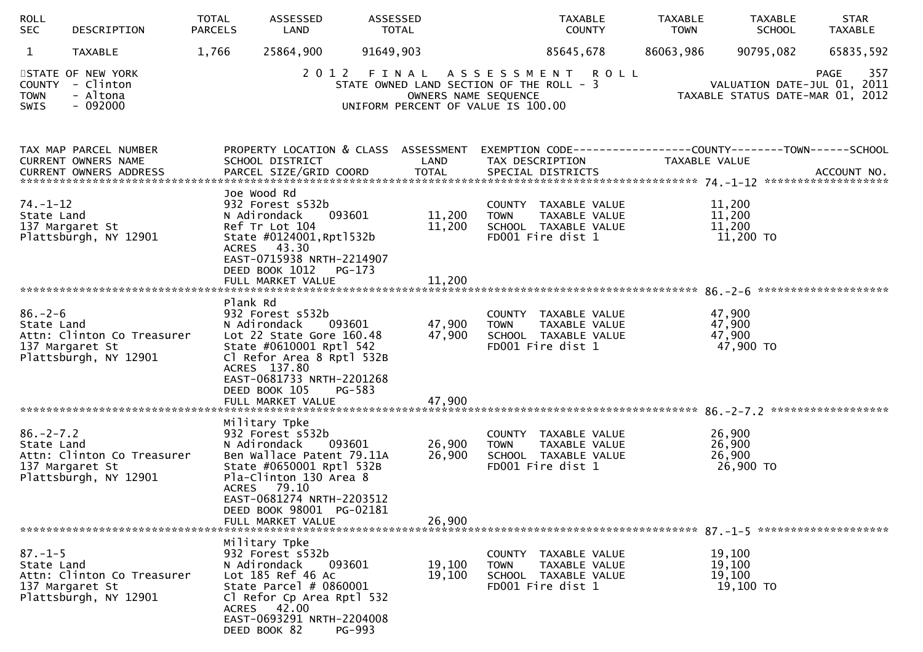| ROLL<br><b>SEC</b>            | DESCRIPTION                                                            | TOTAL<br><b>PARCELS</b> | ASSESSED<br>LAND                                                                                                                                                                                                                  | ASSESSED<br>TOTAL  |                                                                                                                                      |                                                                                  | TAXABLE<br><b>COUNTY</b> | <b>TAXABLE</b><br><b>TOWN</b> | TAXABLE<br><b>SCHOOL</b>                | STAR<br><b>TAXABLE</b>                                                                           |
|-------------------------------|------------------------------------------------------------------------|-------------------------|-----------------------------------------------------------------------------------------------------------------------------------------------------------------------------------------------------------------------------------|--------------------|--------------------------------------------------------------------------------------------------------------------------------------|----------------------------------------------------------------------------------|--------------------------|-------------------------------|-----------------------------------------|--------------------------------------------------------------------------------------------------|
| $\mathbf{1}$                  | TAXABLE                                                                | 1,766                   | 25864,900                                                                                                                                                                                                                         | 91649,903          |                                                                                                                                      |                                                                                  | 85645,678                | 86063,986                     | 90795,082                               | 65835,592                                                                                        |
| COUNTY<br><b>TOWN</b><br>SWIS | STATE OF NEW YORK<br>- Clinton<br>- Altona<br>$-092000$                |                         |                                                                                                                                                                                                                                   |                    | 2012 FINAL ASSESSMENT ROLL<br>STATE OWNED LAND SECTION OF THE ROLL - 3<br>OWNERS NAME SEQUENCE<br>UNIFORM PERCENT OF VALUE IS 100.00 |                                                                                  |                          |                               |                                         | 357<br><b>PAGE</b><br>VALUATION DATE-JUL 01, 2011<br>TAXABLE STATUS DATE-MAR 01, 2012            |
|                               | TAX MAP PARCEL NUMBER<br>CURRENT OWNERS NAME                           |                         | SCHOOL DISTRICT                                                                                                                                                                                                                   |                    | LAND                                                                                                                                 | TAX DESCRIPTION                                                                  |                          | TAXABLE VALUE                 |                                         | PROPERTY LOCATION & CLASS ASSESSMENT EXEMPTION CODE----------------COUNTY-------TOWN------SCHOOL |
| $74. - 1 - 12$<br>State Land  | 137 Margaret St<br>Plattsburgh, NY 12901                               |                         | Joe Wood Rd<br>932 Forest s532b<br>N Adirondack<br>Ref Tr Lot 104<br>State #0124001, Rpt1532b<br>ACRES 43.30<br>EAST-0715938 NRTH-2214907<br>DEED BOOK 1012                                                                       | 093601<br>$PG-173$ | 11,200<br>11,200                                                                                                                     | COUNTY TAXABLE VALUE<br><b>TOWN</b><br>SCHOOL TAXABLE VALUE<br>FD001 Fire dist 1 | TAXABLE VALUE            |                               | 11,200<br>11,200<br>11,200<br>11,200 TO |                                                                                                  |
|                               |                                                                        |                         | FULL MARKET VALUE                                                                                                                                                                                                                 |                    | 11,200                                                                                                                               |                                                                                  |                          |                               |                                         |                                                                                                  |
| $86. - 2 - 6$<br>State Land   | Attn: Clinton Co Treasurer<br>137 Margaret St<br>Plattsburgh, NY 12901 | Plank Rd                | 932 Forest s532b<br>N Adirondack<br>Lot 22 State Gore 160.48<br>State #0610001 Rptl 542<br>Cl Refor Area 8 Rptl 532B<br>ACRES 137.80<br>EAST-0681733 NRTH-2201268<br>DEED BOOK 105<br>FULL MARKET VALUE                           | 093601<br>PG-583   | 47,900<br>47,900<br>47,900                                                                                                           | COUNTY TAXABLE VALUE<br><b>TOWN</b><br>SCHOOL TAXABLE VALUE<br>FD001 Fire dist 1 | TAXABLE VALUE            |                               | 47,900<br>47,900<br>47,900<br>47,900 TO |                                                                                                  |
|                               |                                                                        |                         |                                                                                                                                                                                                                                   |                    |                                                                                                                                      |                                                                                  |                          |                               |                                         |                                                                                                  |
| $86. - 2 - 7.2$<br>State Land | Attn: Clinton Co Treasurer<br>137 Margaret St<br>Plattsburgh, NY 12901 |                         | Military Tpke<br>932 Forest s532b<br>N Adirondack<br>Ben Wallace Patent 79.11A<br>State #0650001 Rptl 532B<br>Pla-Clinton 130 Area 8<br>ACRES 79.10<br>EAST-0681274 NRTH-2203512<br>DEED BOOK 98001 PG-02181<br>FULL MARKET VALUE | 093601             | 26,900<br>26,900<br>26,900                                                                                                           | COUNTY TAXABLE VALUE<br><b>TOWN</b><br>SCHOOL TAXABLE VALUE<br>FD001 Fire dist 1 | TAXABLE VALUE            |                               | 26,900<br>26,900<br>26,900<br>26,900 TO |                                                                                                  |
|                               |                                                                        |                         |                                                                                                                                                                                                                                   |                    |                                                                                                                                      |                                                                                  |                          |                               |                                         |                                                                                                  |
| $87. - 1 - 5$<br>State Land   | Attn: Clinton Co Treasurer<br>137 Margaret St<br>Plattsburgh, NY 12901 |                         | Military Tpke<br>932 Forest s532b<br>N Adirondack<br>Lot 185 Ref 46 Ac<br>State Parcel # 0860001<br>Cl Refor Cp Area Rptl 532<br>ACRES 42.00<br>EAST-0693291 NRTH-2204008<br>DEED BOOK 82                                         | 093601<br>PG-993   | 19,100<br>19,100                                                                                                                     | COUNTY TAXABLE VALUE<br><b>TOWN</b><br>SCHOOL TAXABLE VALUE<br>FD001 Fire dist 1 | TAXABLE VALUE            |                               | 19,100<br>19,100<br>19,100<br>19,100 TO |                                                                                                  |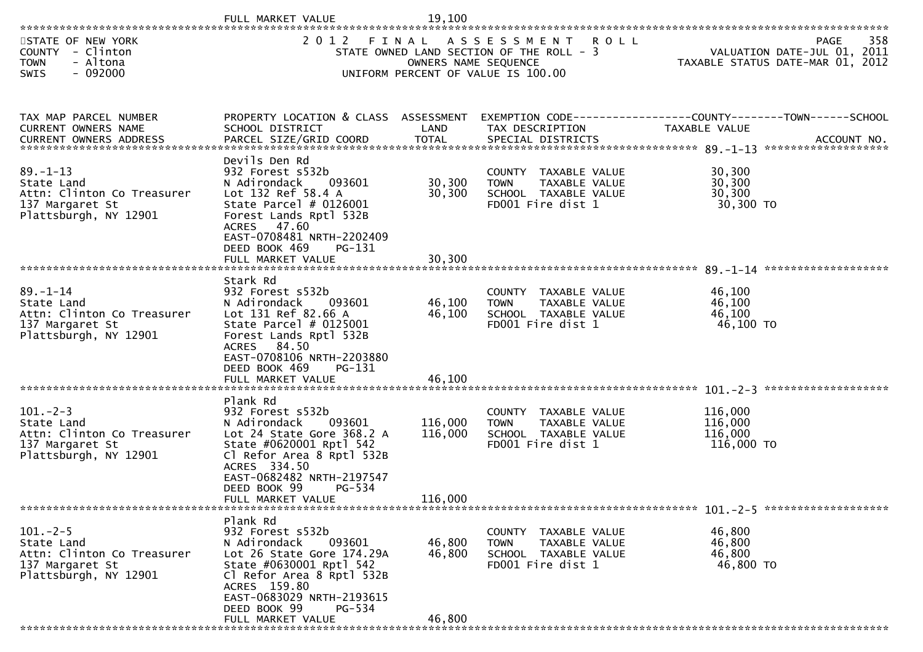|                                                                                                                                                                                     | FULL MARKET VALUE                                                                                                                                                                                                                       | 19,100                     |                                                                                                                                 |                                                                 |                    |
|-------------------------------------------------------------------------------------------------------------------------------------------------------------------------------------|-----------------------------------------------------------------------------------------------------------------------------------------------------------------------------------------------------------------------------------------|----------------------------|---------------------------------------------------------------------------------------------------------------------------------|-----------------------------------------------------------------|--------------------|
| STATE OF NEW YORK<br>COUNTY - Clinton<br>- Altona<br><b>TOWN</b><br>SWIS<br>- 092000                                                                                                | 2 0 1 2                                                                                                                                                                                                                                 |                            | FINAL ASSESSMENT ROLL<br>STATE OWNED LAND SECTION OF THE ROLL - 3<br>OWNERS NAME SEQUENCE<br>UNIFORM PERCENT OF VALUE IS 100.00 | VALUATION DATE-JUL 01, 2011<br>TAXABLE STATUS DATE-MAR 01, 2012 | 358<br><b>PAGE</b> |
| TAX MAP PARCEL NUMBER<br>CURRENT OWNERS NAME<br>.CURRENT OWNERS ADDRESS PARCEL SIZE/GRID COORD TOTAL SPECIAL DISTRICTS AND MELL ACCOUNT NO ACCOUNT NO COORD TOTAL SPECIAL DISTRICTS | PROPERTY LOCATION & CLASS ASSESSMENT<br>SCHOOL DISTRICT                                                                                                                                                                                 | LAND                       | EXEMPTION CODE-----------------COUNTY-------TOWN------SCHOOL<br>TAX DESCRIPTION                                                 | TAXABLE VALUE                                                   |                    |
| $89. - 1 - 13$<br>State Land<br>Attn: Clinton Co Treasurer<br>137 Margaret St<br>Plattsburgh, NY 12901                                                                              | Devils Den Rd<br>932 Forest s532b<br>093601<br>N Adirondack<br>Lot 132 Ref 58.4 A<br>State Parcel $# 0126001$<br>Forest Lands Rptl 532B<br>ACRES 47.60<br>EAST-0708481 NRTH-2202409<br>DEED BOOK 469<br>PG-131                          | 30,300<br>30,300           | COUNTY TAXABLE VALUE<br><b>TOWN</b><br>TAXABLE VALUE<br>SCHOOL TAXABLE VALUE<br>FD001 Fire dist 1                               | 30,300<br>30,300<br>30,300<br>30,300 TO                         |                    |
|                                                                                                                                                                                     |                                                                                                                                                                                                                                         |                            |                                                                                                                                 |                                                                 |                    |
| $89. - 1 - 14$<br>State Land<br>Attn: Clinton Co Treasurer<br>137 Margaret St<br>Plattsburgh, NY 12901                                                                              | Stark Rd<br>932 Forest s532b<br>N Adirondack<br>093601<br>Lot 131 Ref 82.66 A<br>State Parcel $#$ 0125001<br>Forest Lands Rptl 532B<br>ACRES 84.50<br>EAST-0708106 NRTH-2203880<br>DEED BOOK 469<br>PG-131                              | 46,100<br>46,100<br>46,100 | COUNTY TAXABLE VALUE<br>TAXABLE VALUE<br>TOWN<br>SCHOOL TAXABLE VALUE<br>FD001 Fire dist 1                                      | 46,100<br>46,100<br>46,100<br>46,100 TO                         |                    |
|                                                                                                                                                                                     | FULL MARKET VALUE                                                                                                                                                                                                                       |                            |                                                                                                                                 |                                                                 |                    |
| $101 - 2 - 3$<br>State Land<br>Attn: Clinton Co Treasurer<br>137 Margaret St<br>Plattsburgh, NY 12901                                                                               | Plank Rd<br>932 Forest s532b<br>093601<br>N Adirondack<br>Lot 24 State Gore 368.2 A<br>State #0620001 Rptl 542<br>Cl Refor Area 8 Rptl 532B<br>ACRES 334.50<br>EAST-0682482 NRTH-2197547<br>DEED BOOK 99<br>PG-534                      | 116,000<br>116,000         | COUNTY TAXABLE VALUE<br>TAXABLE VALUE<br><b>TOWN</b><br>SCHOOL TAXABLE VALUE<br>FD001 Fire dist 1                               | 116,000<br>116,000<br>116,000<br>116,000 TO                     |                    |
|                                                                                                                                                                                     | FULL MARKET VALUE                                                                                                                                                                                                                       | 116,000                    |                                                                                                                                 |                                                                 |                    |
| $101. -2 - 5$<br>State Land<br>Attn: Clinton Co Treasurer<br>137 Margaret St<br>Plattsburgh, NY 12901                                                                               | Plank Rd<br>932 Forest s532b<br>N Adirondack<br>093601<br>Lot 26 State Gore 174.29A<br>State #0630001 Rptl 542<br>Cl Refor Area 8 Rptl 532B<br>ACRES 159.80<br>EAST-0683029 NRTH-2193615<br>DEED BOOK 99<br>PG-534<br>FULL MARKET VALUE | 46,800<br>46,800<br>46,800 | COUNTY TAXABLE VALUE<br><b>TOWN</b><br>TAXABLE VALUE<br>SCHOOL TAXABLE VALUE<br>FD001 Fire dist 1                               | 46,800<br>46,800<br>46,800<br>46,800 TO                         |                    |
|                                                                                                                                                                                     |                                                                                                                                                                                                                                         |                            |                                                                                                                                 |                                                                 |                    |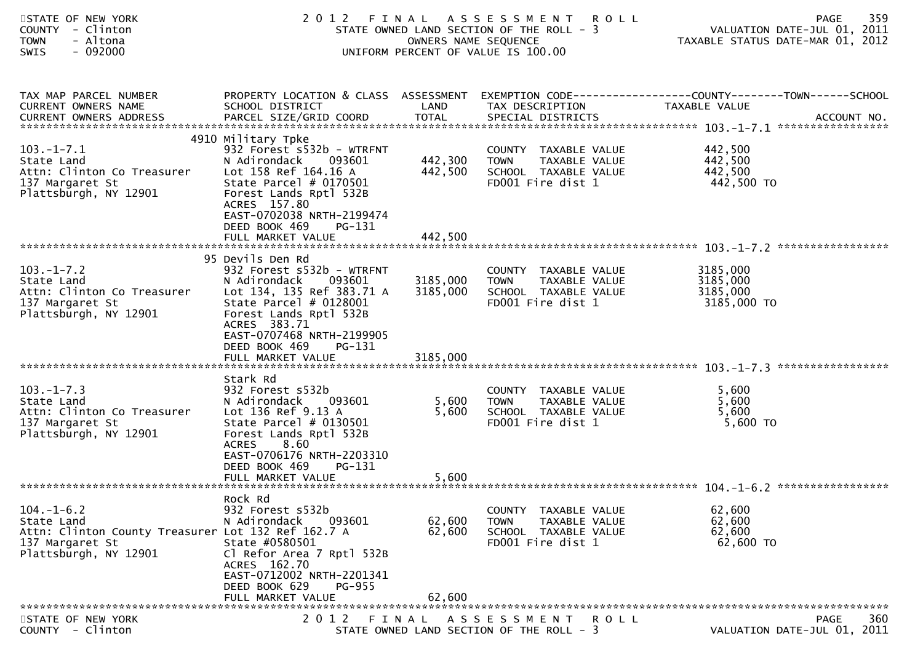| STATE OF NEW YORK<br>COUNTY - Clinton<br><b>TOWN</b><br>- Altona<br>$-092000$<br><b>SWIS</b>                                     | 2 0 1 2                                                                                                                                                                                                                            | OWNERS NAME SEQUENCE | FINAL ASSESSMENT<br><b>ROLL</b><br>STATE OWNED LAND SECTION OF THE ROLL - 3<br>UNIFORM PERCENT OF VALUE IS 100.00 | 359<br>PAGE<br>VALUATION DATE-JUL 01, 2011<br>TAXABLE STATUS DATE-MAR 01, 2012                                    |
|----------------------------------------------------------------------------------------------------------------------------------|------------------------------------------------------------------------------------------------------------------------------------------------------------------------------------------------------------------------------------|----------------------|-------------------------------------------------------------------------------------------------------------------|-------------------------------------------------------------------------------------------------------------------|
| TAX MAP PARCEL NUMBER<br>CURRENT OWNERS NAME                                                                                     | SCHOOL DISTRICT                                                                                                                                                                                                                    | LAND                 | TAX DESCRIPTION                                                                                                   | PROPERTY LOCATION & CLASS ASSESSMENT EXEMPTION CODE----------------COUNTY-------TOWN------SCHOOL<br>TAXABLE VALUE |
| $103.-1-7.1$<br>State Land<br>Attn: Clinton Co Treasurer<br>137 Margaret St<br>Plattsburgh, NY 12901                             | 4910 Military Tpke<br>932 Forest s532b - WTRFNT<br>093601<br>N Adirondack<br>Lot 158 Ref 164.16 A<br>State Parcel $#$ 0170501<br>Forest Lands Rptl 532B<br>ACRES 157.80<br>EAST-0702038 NRTH-2199474                               | 442,300<br>442,500   | COUNTY TAXABLE VALUE<br>TAXABLE VALUE<br><b>TOWN</b><br>SCHOOL TAXABLE VALUE<br>FD001 Fire dist 1                 | 442,500<br>442,500<br>442,500<br>442,500 TO                                                                       |
|                                                                                                                                  | DEED BOOK 469<br>PG-131<br>FULL MARKET VALUE                                                                                                                                                                                       | 442,500              |                                                                                                                   |                                                                                                                   |
| $103.-1-7.2$<br>State Land<br>Attn: Clinton Co Treasurer<br>137 Margaret St<br>Plattsburgh, NY 12901                             | 95 Devils Den Rd<br>932 Forest s532b - WTRFNT<br>093601<br>N Adirondack<br>Lot 134, 135 Ref 383.71 A<br>State Parcel $# 0128001$<br>Forest Lands Rptl 532B<br>ACRES 383.71<br>EAST-0707468 NRTH-2199905<br>DEED BOOK 469<br>PG-131 | 3185,000<br>3185,000 | COUNTY TAXABLE VALUE<br>TAXABLE VALUE<br><b>TOWN</b><br>SCHOOL TAXABLE VALUE<br>FD001 Fire dist 1                 | 3185,000<br>3185,000<br>3185,000<br>3185,000 TO                                                                   |
|                                                                                                                                  | FULL MARKET VALUE                                                                                                                                                                                                                  | 3185,000             |                                                                                                                   |                                                                                                                   |
| $103. -1 - 7.3$<br>State Land<br>Attn: Clinton Co Treasurer<br>137 Margaret St<br>Plattsburgh, NY 12901                          | Stark Rd<br>932 Forest s532b<br>093601<br>N Adirondack<br>Lot 136 Ref 9.13 A<br>State Parcel # 0130501<br>Forest Lands Rptl 532B<br>8.60<br><b>ACRES</b><br>EAST-0706176 NRTH-2203310                                              | 5,600<br>5,600       | COUNTY TAXABLE VALUE<br><b>TOWN</b><br>TAXABLE VALUE<br>SCHOOL TAXABLE VALUE<br>FD001 Fire dist 1                 | 5,600<br>5,600<br>5,600<br>5,600 TO                                                                               |
|                                                                                                                                  | DEED BOOK 469<br>PG-131<br>FULL MARKET VALUE                                                                                                                                                                                       | 5,600                |                                                                                                                   |                                                                                                                   |
|                                                                                                                                  | Rock Rd                                                                                                                                                                                                                            |                      |                                                                                                                   |                                                                                                                   |
| $104. - 1 - 6.2$<br>State Land<br>Attn: Clinton County Treasurer Lot 132 Ref 162.7 A<br>137 Margaret St<br>Plattsburgh, NY 12901 | 932 Forest s532b<br>N Adirondack<br>093601<br>State #0580501<br>Cl Refor Area 7 Rptl 532B<br>ACRES 162.70<br>EAST-0712002 NRTH-2201341<br>DEED BOOK 629<br>PG-955                                                                  | 62,600<br>62,600     | COUNTY TAXABLE VALUE<br>TAXABLE VALUE<br><b>TOWN</b><br>SCHOOL TAXABLE VALUE<br>FD001 Fire dist 1                 | 62,600<br>62,600<br>62,600<br>62,600 TO                                                                           |
|                                                                                                                                  | FULL MARKET VALUE                                                                                                                                                                                                                  | 62,600               |                                                                                                                   |                                                                                                                   |
| STATE OF NEW YORK<br>COUNTY - Clinton                                                                                            | 2012                                                                                                                                                                                                                               | FINAL                | A S S E S S M E N T<br><b>ROLL</b><br>STATE OWNED LAND SECTION OF THE ROLL - 3                                    | PAGE<br>360<br>VALUATION DATE-JUL 01, 2011                                                                        |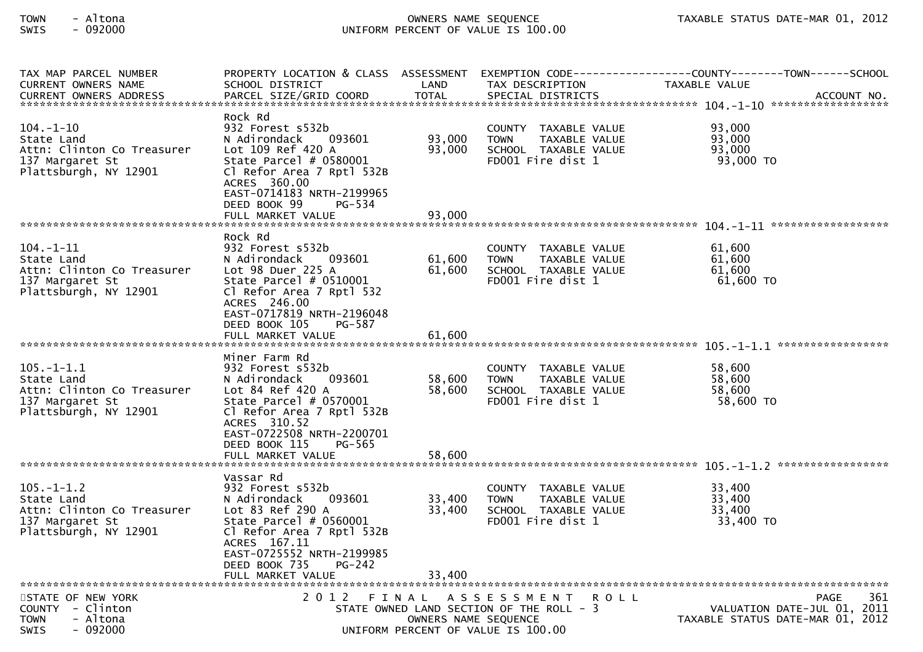# TOWN - Altona OWNERS NAME SEQUENCE TAXABLE STATUS DATE-MAR 01, 2012SWIS - 092000 UNIFORM PERCENT OF VALUE IS 100.00

| TAX MAP PARCEL NUMBER<br>CURRENT OWNERS NAME                                                             | SCHOOL DISTRICT                                                                                                                                                                                                               | LAND                       | TAX DESCRIPTION                                                                                   | PROPERTY LOCATION & CLASS ASSESSMENT EXEMPTION CODE----------------COUNTY-------TOWN------SCHOOL<br>TAXABLE VALUE<br>. CURRENT OWNERS ADDRESS PARCEL SIZE/GRID COORD TOTAL SPECIAL DISTRICTS ACCOUNT NO ACCOUNT NO AND MANUSCRIPT OWNERS ADDRESS |
|----------------------------------------------------------------------------------------------------------|-------------------------------------------------------------------------------------------------------------------------------------------------------------------------------------------------------------------------------|----------------------------|---------------------------------------------------------------------------------------------------|--------------------------------------------------------------------------------------------------------------------------------------------------------------------------------------------------------------------------------------------------|
| 104.-1-10<br>State Land<br>Attn: Clinton Co Treasurer<br>137 Margaret St<br>Plattsburgh, NY 12901        | Rock Rd<br>932 Forest s532b<br>N Adirondack<br>093601<br>Lot 109 Ref 420 A<br>State Parcel # 0580001<br>Cl Refor Area 7 Rptl 532B<br>ACRES 360.00<br>EAST-0714183 NRTH-2199965<br>DEED BOOK 99<br>PG-534<br>FULL MARKET VALUE | 93,000<br>93,000<br>93,000 | COUNTY TAXABLE VALUE<br><b>TOWN</b><br>TAXABLE VALUE<br>SCHOOL TAXABLE VALUE<br>FD001 Fire dist 1 | 93,000<br>93,000<br>93,000<br>93,000 TO                                                                                                                                                                                                          |
|                                                                                                          |                                                                                                                                                                                                                               |                            |                                                                                                   |                                                                                                                                                                                                                                                  |
| $104. - 1 - 11$<br>State Land<br>Attn: Clinton Co Treasurer<br>137 Margaret St<br>Plattsburgh, NY 12901  | Rock Rd<br>932 Forest s532b<br>N Adirondack<br>093601<br>Lot 98 Duer 225 A<br>State Parcel $# 0510001$<br>Cl Refor Area 7 Rptl 532<br>ACRES 246.00<br>EAST-0717819 NRTH-2196048                                               | 61,600<br>61,600           | COUNTY TAXABLE VALUE<br>TAXABLE VALUE<br><b>TOWN</b><br>SCHOOL TAXABLE VALUE<br>FD001 Fire dist 1 | 61,600<br>61,600<br>61,600<br>61,600 TO                                                                                                                                                                                                          |
|                                                                                                          | DEED BOOK 105<br>PG-587                                                                                                                                                                                                       |                            |                                                                                                   |                                                                                                                                                                                                                                                  |
| $105. - 1 - 1.1$<br>State Land<br>Attn: Clinton Co Treasurer<br>137 Margaret St<br>Plattsburgh, NY 12901 | Miner Farm Rd<br>932 Forest s532b<br>093601<br>N Adirondack<br>Lot 84 Ref 420 A<br>State Parcel $#$ 0570001<br>Cl Refor Area 7 Rptl 532B<br>ACRES 310.52<br>EAST-0722508 NRTH-2200701                                         | 58,600<br>58,600           | COUNTY TAXABLE VALUE<br><b>TOWN</b><br>TAXABLE VALUE<br>SCHOOL TAXABLE VALUE<br>FD001 Fire dist 1 | 58,600<br>58,600<br>58,600<br>58,600 TO                                                                                                                                                                                                          |
|                                                                                                          | DEED BOOK 115<br>PG-565<br>FULL MARKET VALUE                                                                                                                                                                                  | 58,600                     |                                                                                                   |                                                                                                                                                                                                                                                  |
| $105. - 1 - 1.2$<br>State Land<br>Attn: Clinton Co Treasurer<br>137 Margaret St<br>Plattsburgh, NY 12901 | Vassar Rd<br>932 Forest s532b<br>N Adirondack<br>093601<br>Lot 83 Ref 290 A<br>State Parcel $# 0560001$<br>Cl Refor Area 7 Rptl 532B<br>ACRES 167.11<br>EAST-0725552 NRTH-2199985<br>$PG-242$<br>DEED BOOK 735                | 33,400<br>33,400           | COUNTY TAXABLE VALUE<br><b>TOWN</b><br>TAXABLE VALUE<br>SCHOOL TAXABLE VALUE<br>FD001 Fire dist 1 | 33,400<br>33,400<br>33,400<br>33,400 TO                                                                                                                                                                                                          |
|                                                                                                          | FULL MARKET VALUE                                                                                                                                                                                                             | 33,400                     |                                                                                                   |                                                                                                                                                                                                                                                  |
| STATE OF NEW YORK                                                                                        | 2 0 1 2                                                                                                                                                                                                                       |                            | FINAL ASSESSMENT ROLL                                                                             | <b>PAGE</b><br>361                                                                                                                                                                                                                               |
| COUNTY - Clinton<br><b>TOWN</b><br>- Altona<br>$-092000$<br>SWIS                                         |                                                                                                                                                                                                                               | OWNERS NAME SEQUENCE       | STATE OWNED LAND SECTION OF THE ROLL - 3<br>UNIFORM PERCENT OF VALUE IS 100.00                    | VALUATION DATE-JUL 01, 2011<br>TAXABLE STATUS DATE-MAR 01, 2012                                                                                                                                                                                  |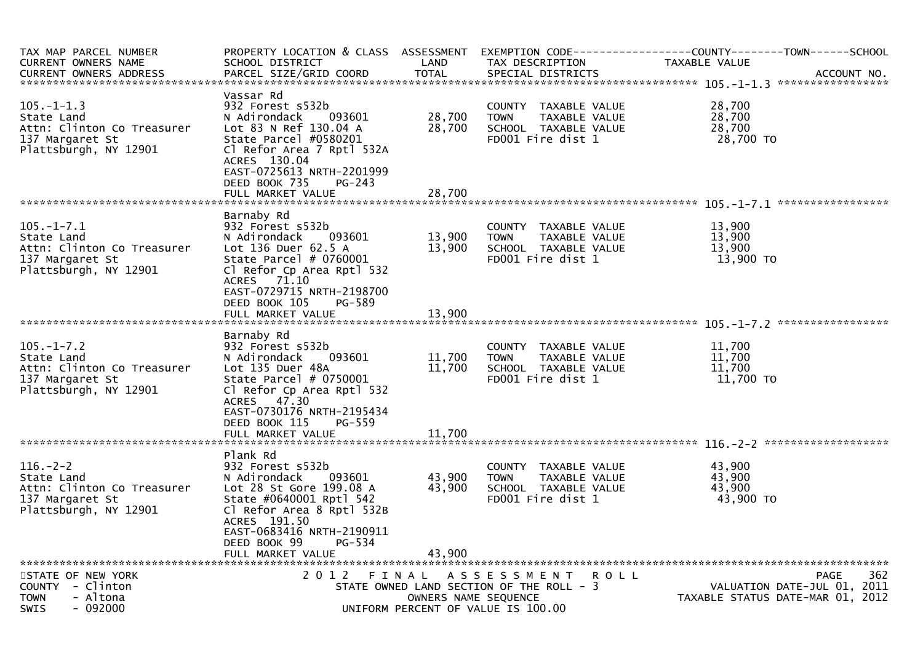| TAX MAP PARCEL NUMBER<br><b>CURRENT OWNERS NAME</b><br><b>CURRENT OWNERS ADDRESS</b>                     | PROPERTY LOCATION & CLASS ASSESSMENT<br>SCHOOL DISTRICT<br>PARCEL SIZE/GRID COORD                                                                                                                                | LAND<br><b>TOTAL</b>          | TAX DESCRIPTION<br>SPECIAL DISTRICTS                                                                             | EXEMPTION        CODE-----------------COUNTY-------TOWN------SCHOOL<br>TAXABLE VALUE<br>ACCOUNT NO. |
|----------------------------------------------------------------------------------------------------------|------------------------------------------------------------------------------------------------------------------------------------------------------------------------------------------------------------------|-------------------------------|------------------------------------------------------------------------------------------------------------------|-----------------------------------------------------------------------------------------------------|
| $105. - 1 - 1.3$<br>State Land<br>Attn: Clinton Co Treasurer<br>137 Margaret St<br>Plattsburgh, NY 12901 | Vassar Rd<br>932 Forest s532b<br>N Adirondack<br>093601<br>Lot 83 N Ref 130.04 A<br>State Parcel #0580201<br>Cl Refor Area 7 Rptl 532A<br>ACRES 130.04<br>EAST-0725613 NRTH-2201999                              | 28,700<br>28,700              | COUNTY TAXABLE VALUE<br>TAXABLE VALUE<br><b>TOWN</b><br>SCHOOL TAXABLE VALUE<br>FD001 Fire dist 1                | 28,700<br>28,700<br>28,700<br>28,700 TO                                                             |
|                                                                                                          | DEED BOOK 735<br>$PG-243$<br>FULL MARKET VALUE                                                                                                                                                                   | 28,700                        |                                                                                                                  |                                                                                                     |
| $105. - 1 - 7.1$<br>State Land<br>Attn: Clinton Co Treasurer<br>137 Margaret St<br>Plattsburgh, NY 12901 | Barnaby Rd<br>932 Forest s532b<br>N Adirondack<br>093601<br>Lot 136 Duer 62.5 A<br>State Parcel # 0760001<br>Cl Refor Cp Area Rptl 532<br>ACRES 71.10<br>EAST-0729715 NRTH-2198700                               | 13,900<br>13,900              | COUNTY TAXABLE VALUE<br><b>TOWN</b><br>TAXABLE VALUE<br>SCHOOL TAXABLE VALUE<br>FD001 Fire dist 1                | 13,900<br>13,900<br>13,900<br>13,900 TO                                                             |
|                                                                                                          | DEED BOOK 105<br>PG-589<br>FULL MARKET VALUE                                                                                                                                                                     | 13,900                        |                                                                                                                  |                                                                                                     |
| $105. - 1 - 7.2$<br>State Land<br>Attn: Clinton Co Treasurer<br>137 Margaret St<br>Plattsburgh, NY 12901 | Barnaby Rd<br>932 Forest s532b<br>093601<br>N Adirondack<br>Lot 135 Duer 48A<br>State Parcel # 0750001<br>Cl Refor Cp Area Rptl 532<br>ACRES 47.30<br>EAST-0730176 NRTH-2195434                                  | 11,700<br>11,700              | COUNTY TAXABLE VALUE<br><b>TOWN</b><br>TAXABLE VALUE<br>SCHOOL TAXABLE VALUE<br>FD001 Fire dist 1                | 11,700<br>11,700<br>11,700<br>11,700 TO                                                             |
|                                                                                                          | DEED BOOK 115<br>PG-559<br>FULL MARKET VALUE                                                                                                                                                                     | 11,700                        |                                                                                                                  |                                                                                                     |
| $116. - 2 - 2$<br>State Land<br>Attn: Clinton Co Treasurer<br>137 Margaret St<br>Plattsburgh, NY 12901   | Plank Rd<br>932 Forest s532b<br>N Adirondack<br>093601<br>Lot 28 St Gore 199.08 A<br>State #0640001 Rptl 542<br>Cl Refor Area 8 Rptl 532B<br>ACRES 191.50<br>EAST-0683416 NRTH-2190911<br>DEED BOOK 99<br>PG-534 | 43,900<br>43,900              | COUNTY TAXABLE VALUE<br><b>TOWN</b><br>TAXABLE VALUE<br>SCHOOL TAXABLE VALUE<br>FD001 Fire dist 1                | 43,900<br>43,900<br>43,900<br>43,900 TO                                                             |
|                                                                                                          | FULL MARKET VALUE                                                                                                                                                                                                | 43,900                        |                                                                                                                  |                                                                                                     |
| STATE OF NEW YORK<br>COUNTY - Clinton<br><b>TOWN</b><br>- Altona<br>$-092000$<br><b>SWIS</b>             | 2 0 1 2                                                                                                                                                                                                          | FINAL<br>OWNERS NAME SEQUENCE | A S S E S S M E N T<br>R O L L<br>STATE OWNED LAND SECTION OF THE ROLL - 3<br>UNIFORM PERCENT OF VALUE IS 100.00 | 362<br><b>PAGE</b><br>VALUATION DATE-JUL 01, 2011<br>TAXABLE STATUS DATE-MAR 01, 2012               |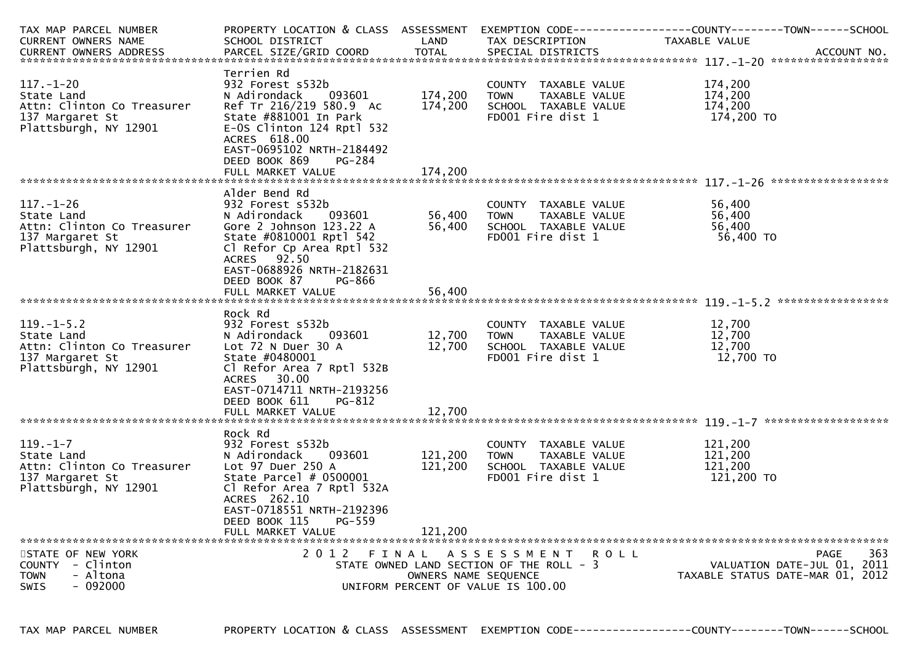| TAX MAP PARCEL NUMBER                         | PROPERTY LOCATION & CLASS ASSESSMENT                     |              |                                           | EXEMPTION CODE-----------------COUNTY-------TOWN-----SCHOOL |  |  |
|-----------------------------------------------|----------------------------------------------------------|--------------|-------------------------------------------|-------------------------------------------------------------|--|--|
| <b>CURRENT OWNERS NAME</b>                    | SCHOOL DISTRICT                                          | LAND         | TAX DESCRIPTION                           | TAXABLE VALUE                                               |  |  |
| <b>CURRENT OWNERS ADDRESS</b>                 | PARCEL SIZE/GRID COORD                                   | <b>TOTAL</b> | SPECIAL DISTRICTS                         | ACCOUNT NO.                                                 |  |  |
|                                               |                                                          |              |                                           |                                                             |  |  |
| $117. - 1 - 20$                               | Terrien Rd                                               |              |                                           |                                                             |  |  |
|                                               | 932 Forest s532b                                         | 174,200      | COUNTY TAXABLE VALUE                      | 174,200<br>174,200                                          |  |  |
| State Land                                    | N Adirondack<br>093601                                   |              | <b>TOWN</b><br>TAXABLE VALUE              |                                                             |  |  |
| Attn: Clinton Co Treasurer<br>137 Margaret St | Ref Tr 216/219 580.9 Ac                                  | 174,200      | SCHOOL TAXABLE VALUE<br>FD001 Fire dist 1 | 174,200<br>174,200 TO                                       |  |  |
| Plattsburgh, NY 12901                         | State #881001 In Park<br>E-OS Clinton 124 Rptl 532       |              |                                           |                                                             |  |  |
|                                               | ACRES 618.00                                             |              |                                           |                                                             |  |  |
|                                               | EAST-0695102 NRTH-2184492                                |              |                                           |                                                             |  |  |
|                                               | DEED BOOK 869<br>PG-284                                  |              |                                           |                                                             |  |  |
|                                               | FULL MARKET VALUE                                        | 174,200      |                                           |                                                             |  |  |
|                                               |                                                          |              |                                           |                                                             |  |  |
|                                               | Alder Bend Rd                                            |              |                                           |                                                             |  |  |
| $117. - 1 - 26$                               | 932 Forest s532b                                         |              | COUNTY TAXABLE VALUE                      | 56,400                                                      |  |  |
| State Land                                    | N Adirondack<br>093601                                   | 56,400       | TAXABLE VALUE<br><b>TOWN</b>              | 56,400                                                      |  |  |
| Attn: Clinton Co Treasurer                    | Gore $2$ Johnson $123.22$ A                              | 56,400       | SCHOOL TAXABLE VALUE                      | 56,400                                                      |  |  |
| 137 Margaret St                               | State #0810001 Rptl 542                                  |              | FD001 Fire dist 1                         | 56,400 TO                                                   |  |  |
| Plattsburgh, NY 12901                         | Cl Refor Cp Area Rptl 532                                |              |                                           |                                                             |  |  |
|                                               | 92.50<br>ACRES                                           |              |                                           |                                                             |  |  |
|                                               | EAST-0688926 NRTH-2182631                                |              |                                           |                                                             |  |  |
|                                               | DEED BOOK 87<br>PG-866                                   |              |                                           |                                                             |  |  |
|                                               | FULL MARKET VALUE                                        | 56,400       |                                           |                                                             |  |  |
|                                               |                                                          |              |                                           |                                                             |  |  |
|                                               | Rock Rd                                                  |              |                                           |                                                             |  |  |
| $119. -1 - 5.2$                               | 932 Forest s532b                                         |              | COUNTY TAXABLE VALUE                      | 12,700                                                      |  |  |
| State Land                                    | N Adirondack<br>093601                                   | 12,700       | <b>TOWN</b><br>TAXABLE VALUE              | 12,700                                                      |  |  |
| Attn: Clinton Co Treasurer                    | Lot $72$ N Duer $30$ A                                   | 12,700       | SCHOOL TAXABLE VALUE                      | 12,700                                                      |  |  |
| 137 Margaret St                               | State #0480001                                           |              | FD001 Fire dist 1                         | 12,700 TO                                                   |  |  |
| Plattsburgh, NY 12901                         | Cl Refor Area 7 Rptl 532B                                |              |                                           |                                                             |  |  |
|                                               | <b>ACRES</b><br>30.00                                    |              |                                           |                                                             |  |  |
|                                               | EAST-0714711 NRTH-2193256                                |              |                                           |                                                             |  |  |
|                                               | DEED BOOK 611<br>PG-812                                  |              |                                           |                                                             |  |  |
|                                               | FULL MARKET VALUE                                        | 12,700       |                                           |                                                             |  |  |
|                                               |                                                          |              |                                           |                                                             |  |  |
|                                               | Rock Rd                                                  |              |                                           |                                                             |  |  |
| $119. - 1 - 7$                                | 932 Forest s532b                                         |              | COUNTY TAXABLE VALUE                      | 121,200                                                     |  |  |
| State Land                                    | N Adirondack<br>093601                                   | 121,200      | TAXABLE VALUE<br><b>TOWN</b>              | 121,200<br>121,200                                          |  |  |
| Attn: Clinton Co Treasurer<br>137 Margaret St | Lot 97 Duer 250 A<br>State Parcel $# 0500001$            | 121,200      | SCHOOL TAXABLE VALUE<br>FD001 Fire dist 1 | 121,200 TO                                                  |  |  |
| Plattsburgh, NY 12901                         | Cl Refor Area 7 Rptl 532A                                |              |                                           |                                                             |  |  |
|                                               | ACRES 262.10                                             |              |                                           |                                                             |  |  |
|                                               | EAST-0718551 NRTH-2192396                                |              |                                           |                                                             |  |  |
|                                               | DEED BOOK 115<br>PG-559                                  |              |                                           |                                                             |  |  |
|                                               | FULL MARKET VALUE                                        | 121.200      |                                           |                                                             |  |  |
|                                               |                                                          |              |                                           |                                                             |  |  |
| STATE OF NEW YORK                             | 2 0 1 2                                                  | FINAL        | A S S E S S M E N T<br><b>ROLL</b>        | 363<br><b>PAGE</b>                                          |  |  |
| COUNTY - Clinton                              |                                                          |              | STATE OWNED LAND SECTION OF THE ROLL - 3  | VALUATION DATE-JUL 01, 2011                                 |  |  |
| - Altona<br><b>TOWN</b>                       | TAXABLE STATUS DATE-MAR 01, 2012<br>OWNERS NAME SEQUENCE |              |                                           |                                                             |  |  |
| $-092000$<br><b>SWIS</b>                      |                                                          |              | UNIFORM PERCENT OF VALUE IS 100.00        |                                                             |  |  |
|                                               |                                                          |              |                                           |                                                             |  |  |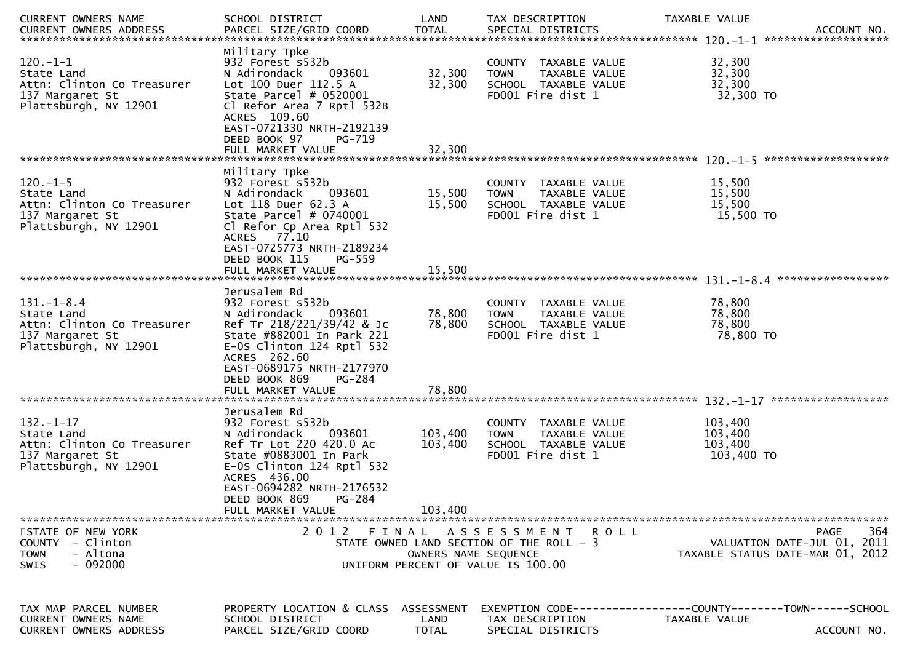| CURRENT OWNERS NAME                                                                                      | SCHOOL DISTRICT                                                                                                                                                                                                                                         | LAND                          | TAX DESCRIPTION                                                                                       | TAXABLE VALUE                               | ACCOUNT NO.<br>*******************                                                    |  |  |  |
|----------------------------------------------------------------------------------------------------------|---------------------------------------------------------------------------------------------------------------------------------------------------------------------------------------------------------------------------------------------------------|-------------------------------|-------------------------------------------------------------------------------------------------------|---------------------------------------------|---------------------------------------------------------------------------------------|--|--|--|
| $120. -1 - 1$<br>State Land<br>Attn: Clinton Co Treasurer<br>137 Margaret St<br>Plattsburgh, NY 12901    | Military Tpke<br>932 Forest s532b<br>N Adirondack<br>093601<br>Lot 100 Duer 112.5 A<br>State Parcel $# 0520001$<br>Cl Refor Area 7 Rptl 532B<br>ACRES 109.60<br>EAST-0721330 NRTH-2192139<br>DEED BOOK 97<br>PG-719<br>FULL MARKET VALUE                | 32,300<br>32,300<br>32,300    | COUNTY TAXABLE VALUE<br><b>TOWN</b><br>TAXABLE VALUE<br>SCHOOL TAXABLE VALUE<br>FD001 Fire dist 1     | 32,300<br>32,300<br>32,300<br>32,300 TO     |                                                                                       |  |  |  |
| *******************                                                                                      |                                                                                                                                                                                                                                                         |                               |                                                                                                       |                                             |                                                                                       |  |  |  |
| $120.-1-5$<br>State Land<br>Attn: Clinton Co Treasurer<br>137 Margaret St<br>Plattsburgh, NY 12901       | Military Tpke<br>932 Forest s532b<br>093601<br>N Adirondack<br>Lot 118 Duer 62.3 A<br>State Parcel $# 0740001$<br>Cl Refor Cp Area Rptl 532<br>ACRES 77.10<br>EAST-0725773 NRTH-2189234<br>DEED BOOK 115<br>PG-559                                      | 15,500<br>15,500              | COUNTY TAXABLE VALUE<br><b>TOWN</b><br>TAXABLE VALUE<br>SCHOOL TAXABLE VALUE<br>FD001 Fire dist 1     | 15,500<br>15,500<br>15,500<br>15,500 TO     |                                                                                       |  |  |  |
|                                                                                                          | FULL MARKET VALUE                                                                                                                                                                                                                                       | 15,500                        |                                                                                                       |                                             |                                                                                       |  |  |  |
| $131. - 1 - 8.4$<br>State Land<br>Attn: Clinton Co Treasurer<br>137 Margaret St<br>Plattsburgh, NY 12901 | Jerusalem Rd<br>932 Forest s532b<br>N Adirondack<br>093601<br>Ref Tr 218/221/39/42 & Jc<br>State #882001 In Park 221<br>$E-0S$ Clinton 124 Rptl 532<br>ACRES 262.60<br>EAST-0689175 NRTH-2177970<br>DEED BOOK 869<br><b>PG-284</b><br>FULL MARKET VALUE | 78,800<br>78,800<br>78,800    | COUNTY TAXABLE VALUE<br>TAXABLE VALUE<br><b>TOWN</b><br>SCHOOL TAXABLE VALUE<br>FD001 Fire dist 1     | 78,800<br>78,800<br>78,800<br>78,800 TO     |                                                                                       |  |  |  |
| $132. - 1 - 17$<br>State Land<br>Attn: Clinton Co Treasurer<br>137 Margaret St<br>Plattsburgh, NY 12901  | Jerusalem Rd<br>932 Forest s532b<br>N Adirondack<br>093601<br>Ref Tr Lot 220 420.0 Ac<br>State #0883001 In Park<br>E-OS Clinton 124 Rptl 532<br>ACRES 436.00<br>EAST-0694282 NRTH-2176532<br>DEED BOOK 869<br>PG-284<br>FULL MARKET VALUE               | 103,400<br>103,400<br>103,400 | COUNTY TAXABLE VALUE<br><b>TOWN</b><br>TAXABLE VALUE<br>SCHOOL TAXABLE VALUE<br>FD001 Fire dist 1     | 103,400<br>103,400<br>103,400<br>103,400 TO |                                                                                       |  |  |  |
| STATE OF NEW YORK<br>COUNTY - Clinton<br>- Altona<br><b>TOWN</b><br>- 092000<br><b>SWIS</b>              | 2 0 1 2<br>FINAL                                                                                                                                                                                                                                        | OWNERS NAME SEOUENCE          | ASSESSMENT ROLL<br>STATE OWNED LAND SECTION OF THE ROLL - 3<br>UNIFORM PERCENT OF VALUE IS 100.00     |                                             | 364<br><b>PAGE</b><br>VALUATION DATE-JUL 01, 2011<br>TAXABLE STATUS DATE-MAR 01, 2012 |  |  |  |
| TAX MAP PARCEL NUMBER<br><b>CURRENT OWNERS NAME</b><br><b>CURRENT OWNERS ADDRESS</b>                     | PROPERTY LOCATION & CLASS ASSESSMENT<br>SCHOOL DISTRICT<br>PARCEL SIZE/GRID COORD                                                                                                                                                                       | LAND<br><b>TOTAL</b>          | EXEMPTION CODE-----------------COUNTY--------TOWN------SCHOOL<br>TAX DESCRIPTION<br>SPECIAL DISTRICTS | TAXABLE VALUE                               | ACCOUNT NO.                                                                           |  |  |  |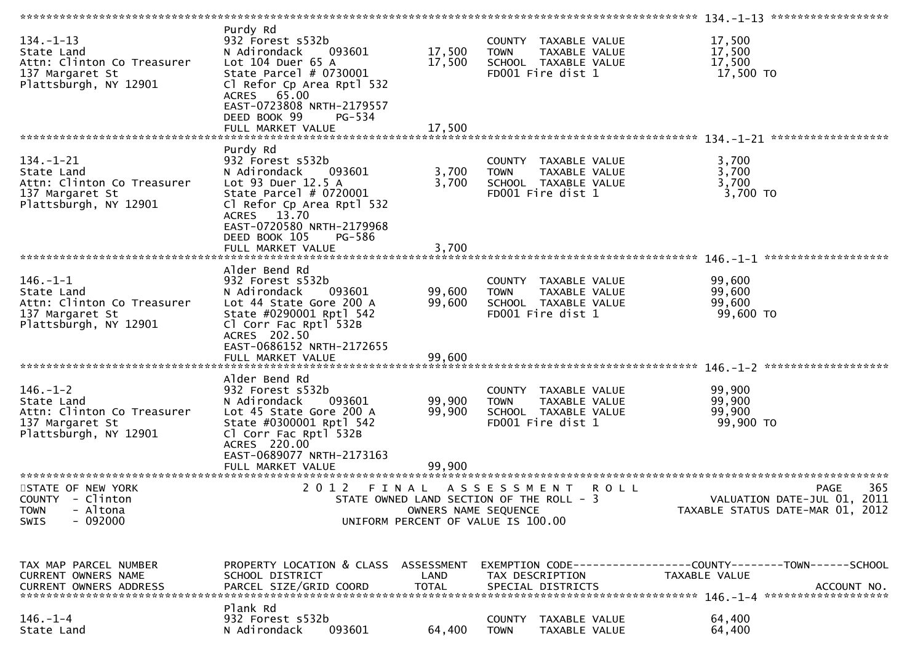| $134. - 1 - 13$<br>State Land<br>Attn: Clinton Co Treasurer<br>137 Margaret St<br>Plattsburgh, NY 12901 | Purdy Rd<br>932 Forest s532b<br>093601<br>N Adirondack<br>Lot 104 Duer 65 A<br>State Parcel # 0730001<br>Cl Refor Cp Area Rptl 532<br>ACRES 65.00<br>EAST-0723808 NRTH-2179557<br>DEED BOOK 99<br>PG-534<br>FULL MARKET VALUE | 17,500<br>17,500<br>17,500    | COUNTY TAXABLE VALUE<br>TAXABLE VALUE<br>TOWN<br>SCHOOL TAXABLE VALUE<br>FD001 Fire dist 1                           | 17,500<br>17,500<br>17,500<br>17,500 TO                                                      |     |
|---------------------------------------------------------------------------------------------------------|-------------------------------------------------------------------------------------------------------------------------------------------------------------------------------------------------------------------------------|-------------------------------|----------------------------------------------------------------------------------------------------------------------|----------------------------------------------------------------------------------------------|-----|
|                                                                                                         | Purdy Rd                                                                                                                                                                                                                      |                               |                                                                                                                      |                                                                                              |     |
| $134. - 1 - 21$<br>State Land<br>Attn: Clinton Co Treasurer<br>137 Margaret St<br>Plattsburgh, NY 12901 | 932 Forest s532b<br>093601<br>N Adirondack<br>Lot 93 Duer 12.5 A<br>State Parcel # 0720001<br>Cl Refor Cp Area Rptl 532<br>ACRES 13.70<br>EAST-0720580 NRTH-2179968<br>DEED BOOK 105<br>PG-586                                | 3,700<br>3,700                | COUNTY TAXABLE VALUE<br>TAXABLE VALUE<br><b>TOWN</b><br>SCHOOL TAXABLE VALUE<br>FD001 Fire dist 1                    | 3,700<br>3,700<br>3,700<br>$3,700$ TO                                                        |     |
|                                                                                                         | FULL MARKET VALUE                                                                                                                                                                                                             | 3,700                         |                                                                                                                      |                                                                                              |     |
| $146. - 1 - 1$<br>State Land<br>Attn: Clinton Co Treasurer<br>137 Margaret St<br>Plattsburgh, NY 12901  | Alder Bend Rd<br>932 Forest s532b<br>N Adirondack<br>093601<br>Lot 44 State Gore 200 A<br>State #0290001 Rptl 542<br>Cl Corr Fac Rptl 532B<br>ACRES 202.50<br>EAST-0686152 NRTH-2172655                                       | 99,600<br>99,600              | COUNTY TAXABLE VALUE<br>TAXABLE VALUE<br>TOWN<br>SCHOOL TAXABLE VALUE<br>FD001 Fire dist 1                           | 99,600<br>99,600<br>99,600<br>99,600 TO                                                      |     |
|                                                                                                         | FULL MARKET VALUE                                                                                                                                                                                                             | 99,600                        |                                                                                                                      |                                                                                              |     |
|                                                                                                         |                                                                                                                                                                                                                               |                               |                                                                                                                      |                                                                                              |     |
| $146. - 1 - 2$<br>State Land<br>Attn: Clinton Co Treasurer<br>137 Margaret St<br>Plattsburgh, NY 12901  | Alder Bend Rd<br>932 Forest s532b<br>N Adirondack<br>093601<br>Lot 45 State Gore 200 A<br>State #0300001 Rptl 542<br>Cl Corr Fac Rptl 532B<br>ACRES 220.00<br>EAST-0689077 NRTH-2173163                                       | 99,900<br>99,900              | COUNTY TAXABLE VALUE<br><b>TOWN</b><br>TAXABLE VALUE<br>SCHOOL TAXABLE VALUE<br>FD001 Fire dist 1                    | 99,900<br>99,900<br>99,900<br>99,900 TO                                                      |     |
|                                                                                                         |                                                                                                                                                                                                                               |                               |                                                                                                                      |                                                                                              |     |
| STATE OF NEW YORK<br>COUNTY - Clinton<br>- Altona<br><b>TOWN</b><br>SWIS<br>- 092000                    | 2012                                                                                                                                                                                                                          | FINAL<br>OWNERS NAME SEQUENCE | A S S E S S M E N T<br><b>ROLL</b><br>STATE OWNED LAND SECTION OF THE ROLL - 3<br>UNIFORM PERCENT OF VALUE IS 100.00 | PAGE<br>VALUATION DATE-JUL 01, 2011<br>TAXABLE STATUS DATE-MAR 01, 2012                      | 365 |
| TAX MAP PARCEL NUMBER<br>CURRENT OWNERS NAME<br>CURRENT OWNERS ADDRESS                                  | PROPERTY LOCATION & CLASS ASSESSMENT<br>SCHOOL DISTRICT<br>PARCEL SIZE/GRID COORD                                                                                                                                             | LAND<br><b>TOTAL</b>          | TAX DESCRIPTION<br>SPECIAL DISTRICTS                                                                                 | EXEMPTION CODE-----------------COUNTY-------TOWN------SCHOOL<br>TAXABLE VALUE<br>ACCOUNT NO. |     |
| $146. - 1 - 4$<br>State Land                                                                            | Plank Rd<br>932 Forest s532b<br>N Adirondack<br>093601                                                                                                                                                                        | 64,400                        | <b>COUNTY</b><br>TAXABLE VALUE<br><b>TOWN</b><br>TAXABLE VALUE                                                       | 64,400<br>64,400                                                                             |     |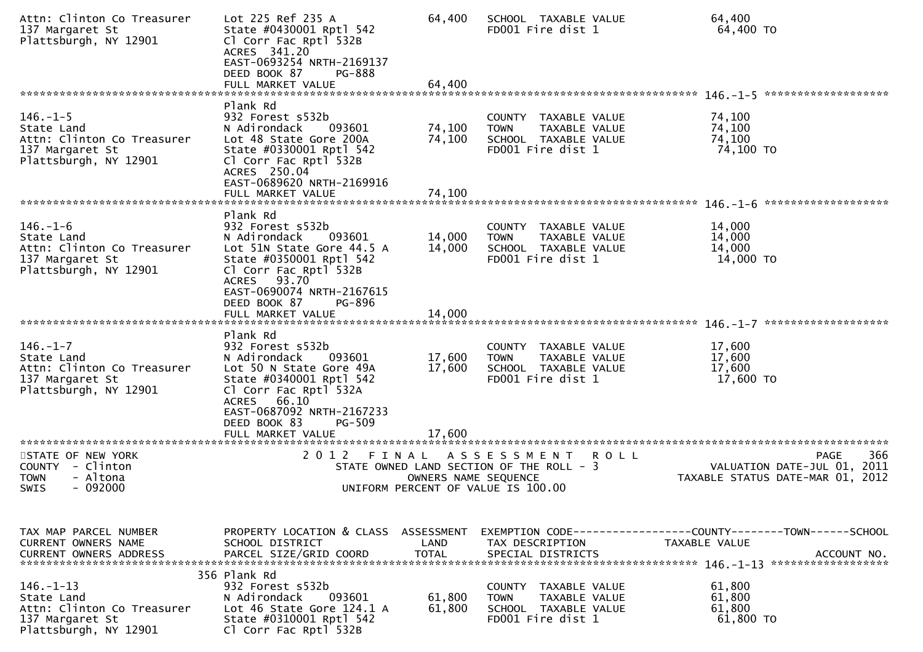| Attn: Clinton Co Treasurer<br>137 Margaret St<br>Plattsburgh, NY 12901                                  | Lot 225 Ref 235 A<br>State #0430001 Rptl 542<br>Cl Corr Fac Rptl 532B<br>ACRES 341.20<br>EAST-0693254 NRTH-2169137<br>DEED BOOK 87<br><b>PG-888</b>                                                                                | 64,400                     | SCHOOL TAXABLE VALUE<br>FD001 Fire dist 1                                                                                           | 64,400<br>64,400 TO<br>*******************<br>$146. - 1 - 5$                                        |
|---------------------------------------------------------------------------------------------------------|------------------------------------------------------------------------------------------------------------------------------------------------------------------------------------------------------------------------------------|----------------------------|-------------------------------------------------------------------------------------------------------------------------------------|-----------------------------------------------------------------------------------------------------|
|                                                                                                         | Plank Rd                                                                                                                                                                                                                           |                            |                                                                                                                                     |                                                                                                     |
| $146. - 1 - 5$<br>State Land<br>Attn: Clinton Co Treasurer<br>137 Margaret St<br>Plattsburgh, NY 12901  | 932 Forest s532b<br>N Adirondack<br>093601<br>Lot 48 State Gore 200A<br>State #0330001 Rptl 542<br>Cl Corr Fac Rptl 532B<br>ACRES 250.04<br>EAST-0689620 NRTH-2169916<br>FULL MARKET VALUE                                         | 74,100<br>74,100<br>74,100 | COUNTY TAXABLE VALUE<br><b>TOWN</b><br>TAXABLE VALUE<br>SCHOOL TAXABLE VALUE<br>FD001 Fire dist 1                                   | 74,100<br>74,100<br>74,100<br>74,100 TO                                                             |
|                                                                                                         |                                                                                                                                                                                                                                    |                            |                                                                                                                                     |                                                                                                     |
| $146. - 1 - 6$<br>State Land<br>Attn: Clinton Co Treasurer<br>137 Margaret St<br>Plattsburgh, NY 12901  | Plank Rd<br>932 Forest s532b<br>N Adirondack<br>093601<br>Lot 51N State Gore 44.5 A<br>State #0350001 Rptl 542<br>Cl Corr Fac Rptl 532B<br>ACRES 93.70<br>EAST-0690074 NRTH-2167615<br>DEED BOOK 87<br>PG-896<br>FULL MARKET VALUE | 14,000<br>14,000<br>14,000 | COUNTY TAXABLE VALUE<br>TAXABLE VALUE<br><b>TOWN</b><br>SCHOOL TAXABLE VALUE<br>FD001 Fire dist 1                                   | 14,000<br>14,000<br>14,000<br>14,000 TO                                                             |
|                                                                                                         |                                                                                                                                                                                                                                    |                            |                                                                                                                                     |                                                                                                     |
| $146. - 1 - 7$<br>State Land<br>Attn: Clinton Co Treasurer<br>137 Margaret St<br>Plattsburgh, NY 12901  | Plank Rd<br>932 Forest s532b<br>N Adirondack<br>093601<br>Lot 50 N State Gore 49A<br>State #0340001 Rptl 542<br>Cl Corr Fac Rptl 532A<br>ACRES 66.10<br>EAST-0687092 NRTH-2167233<br>DEED BOOK 83<br>PG-509                        | 17,600<br>17,600           | COUNTY TAXABLE VALUE<br>TAXABLE VALUE<br><b>TOWN</b><br>SCHOOL TAXABLE VALUE<br>FD001 Fire dist 1                                   | 17,600<br>17,600<br>17,600<br>17,600 TO                                                             |
|                                                                                                         | FULL MARKET VALUE                                                                                                                                                                                                                  | 17.600                     |                                                                                                                                     |                                                                                                     |
| STATE OF NEW YORK<br>COUNTY - Clinton<br>- Altona<br><b>TOWN</b><br>$-092000$<br><b>SWIS</b>            | 2 0 1 2<br>FINAL                                                                                                                                                                                                                   |                            | ASSESSMENT<br><b>ROLL</b><br>STATE OWNED LAND SECTION OF THE ROLL - 3<br>OWNERS NAME SEQUENCE<br>UNIFORM PERCENT OF VALUE IS 100.00 | 366<br><b>PAGE</b><br>VALUATION DATE-JUL 01, 2011<br>TAXABLE STATUS DATE-MAR 01, 2012               |
| TAX MAP PARCEL NUMBER<br><b>CURRENT OWNERS NAME</b><br><b>CURRENT OWNERS ADDRESS</b>                    | PROPERTY LOCATION & CLASS ASSESSMENT<br>SCHOOL DISTRICT<br>PARCEL SIZE/GRID COORD                                                                                                                                                  | LAND<br><b>TOTAL</b>       | TAX DESCRIPTION<br>SPECIAL DISTRICTS                                                                                                | EXEMPTION CODE-----------------COUNTY-------TOWN------SCHOOL<br><b>TAXABLE VALUE</b><br>ACCOUNT NO. |
| $146. - 1 - 13$<br>State Land<br>Attn: Clinton Co Treasurer<br>137 Margaret St<br>Plattsburgh, NY 12901 | 356 Plank Rd<br>932 Forest s532b<br>093601<br>N Adirondack<br>Lot 46 State Gore 124.1 A<br>State #0310001 Rptl 542<br>Cl Corr Fac Rptl 532B                                                                                        | 61,800<br>61,800           | COUNTY TAXABLE VALUE<br><b>TOWN</b><br>TAXABLE VALUE<br>SCHOOL TAXABLE VALUE<br>FD001 Fire dist 1                                   | 61,800<br>61,800<br>61,800<br>61,800 TO                                                             |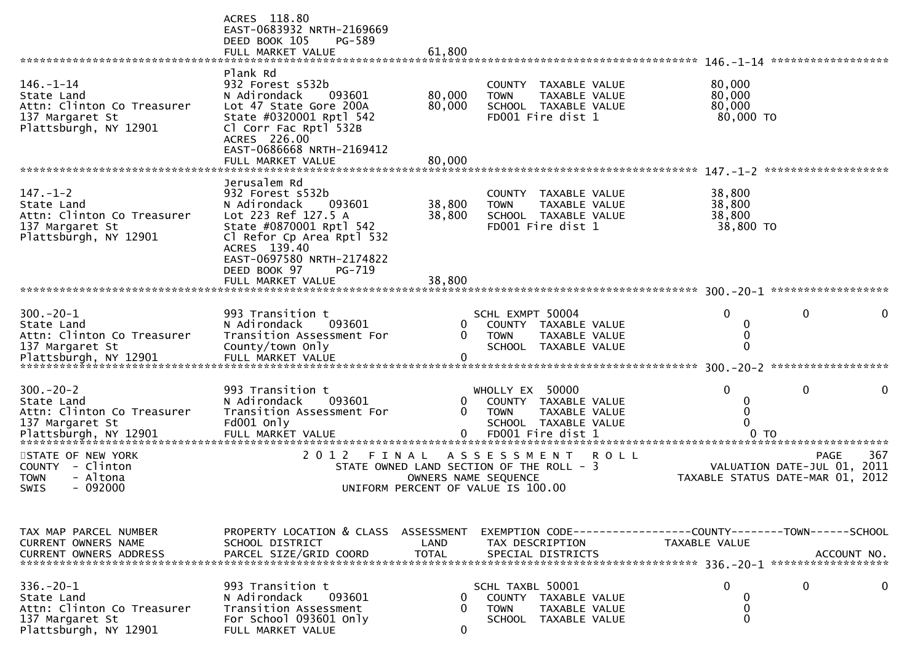|                                                                                                                                   | ACRES 118.80<br>EAST-0683932 NRTH-2169669<br>DEED BOOK 105<br>PG-589<br>FULL MARKET VALUE                                                                                                                        | 61,800                                                                                                 |                                                                                                     |                      |             |                                                                               |                     |                                                   |
|-----------------------------------------------------------------------------------------------------------------------------------|------------------------------------------------------------------------------------------------------------------------------------------------------------------------------------------------------------------|--------------------------------------------------------------------------------------------------------|-----------------------------------------------------------------------------------------------------|----------------------|-------------|-------------------------------------------------------------------------------|---------------------|---------------------------------------------------|
| $146. - 1 - 14$<br>State Land<br>Attn: Clinton Co Treasurer<br>137 Margaret St<br>Plattsburgh, NY 12901                           | Plank Rd<br>932 Forest s532b<br>N Adirondack<br>093601<br>Lot 47 State Gore 200A<br>State #0320001 Rptl 542<br>Cl Corr Fac Rptl 532B<br>ACRES 226.00<br>EAST-0686668 NRTH-2169412                                | 80,000<br>80,000                                                                                       | COUNTY TAXABLE VALUE<br><b>TOWN</b><br>SCHOOL TAXABLE VALUE<br>FD001 Fire dist 1                    | TAXABLE VALUE        |             | 80,000<br>80,000<br>80,000<br>80,000 TO                                       |                     |                                                   |
|                                                                                                                                   | FULL MARKET VALUE                                                                                                                                                                                                | 80,000                                                                                                 |                                                                                                     |                      |             |                                                                               |                     | ******************                                |
| $147. - 1 - 2$<br>State Land<br>Attn: Clinton Co Treasurer<br>137 Margaret St<br>Plattsburgh, NY 12901                            | Jerusalem Rd<br>932 Forest s532b<br>N Adirondack<br>093601<br>Lot 223 Ref 127.5 A<br>State #0870001 Rptl 542<br>Cl Refor Cp Area Rptl 532<br>ACRES 139.40<br>EAST-0697580 NRTH-2174822<br>DEED BOOK 97<br>PG-719 | 38,800<br>38,800                                                                                       | COUNTY TAXABLE VALUE<br><b>TOWN</b><br>SCHOOL TAXABLE VALUE<br>FD001 Fire dist 1                    | TAXABLE VALUE        |             | 38,800<br>38,800<br>38,800<br>38,800 TO                                       |                     |                                                   |
|                                                                                                                                   | FULL MARKET VALUE                                                                                                                                                                                                | 38,800                                                                                                 |                                                                                                     |                      |             |                                                                               |                     |                                                   |
| $300 - 20 - 1$<br>State Land<br>Attn: Clinton Co Treasurer<br>137 Margaret St                                                     | 993 Transition t<br>093601<br>N Adirondack<br>Transition Assessment For<br>County/town Only                                                                                                                      | 0<br>0                                                                                                 | SCHL EXMPT 50004<br>COUNTY TAXABLE VALUE<br><b>TOWN</b><br>SCHOOL TAXABLE VALUE                     | TAXABLE VALUE        |             | 0<br>0<br>0<br>$\Omega$                                                       | 0                   | *****************                                 |
| $300 - 20 - 2$<br>State Land<br>Attn: Clinton Co Treasurer<br>137 Margaret St<br>Plattsburgh, NY 12901<br>*********************** | 993 Transition t<br>N Adirondack<br>093601<br>Transition Assessment For<br>Fd001 only<br>FULL MARKET VALUE                                                                                                       | 0<br>0<br>0                                                                                            | WHOLLY EX 50000<br>COUNTY TAXABLE VALUE<br><b>TOWN</b><br>SCHOOL TAXABLE VALUE<br>FD001 Fire dist 1 | TAXABLE VALUE        |             | 0<br>0<br>0<br>0                                                              | 0<br>0 <sub>T</sub> | 0                                                 |
| STATE OF NEW YORK<br>COUNTY - Clinton<br>- Altona<br><b>TOWN</b><br>SWIS<br>$-092000$                                             | ************************<br>2 0 1 2<br>FINAL                                                                                                                                                                     | STATE OWNED LAND SECTION OF THE ROLL - 3<br>OWNERS NAME SEQUENCE<br>UNIFORM PERCENT OF VALUE IS 100.00 | ASSESSMENT                                                                                          |                      | <b>ROLL</b> | TAXABLE STATUS DATE-MAR 01, 2012                                              |                     | <b>PAGE</b><br>367<br>VALUATION DATE-JUL 01, 2011 |
| TAX MAP PARCEL NUMBER<br><b>CURRENT OWNERS NAME</b><br><b>CURRENT OWNERS ADDRESS</b>                                              | PROPERTY LOCATION & CLASS ASSESSMENT<br>SCHOOL DISTRICT<br>PARCEL SIZE/GRID COORD                                                                                                                                | LAND<br><b>TOTAL</b>                                                                                   | TAX DESCRIPTION<br>SPECIAL DISTRICTS                                                                |                      |             | EXEMPTION CODE-----------------COUNTY-------TOWN------SCHOOL<br>TAXABLE VALUE |                     | ACCOUNT NO.                                       |
| $336. - 20 - 1$<br>State Land<br>Attn: Clinton Co Treasurer<br>137 Margaret St<br>Plattsburgh, NY 12901                           | 993 Transition t<br>093601<br>N Adirondack<br>Transition Assessment<br>For School 093601 Only<br>FULL MARKET VALUE                                                                                               | 0<br>0<br>0                                                                                            | SCHL TAXBL 50001<br>COUNTY TAXABLE VALUE<br><b>TOWN</b><br>SCHOOL TAXABLE VALUE                     | <b>TAXABLE VALUE</b> |             | 0<br>0<br>0<br>$\mathbf{0}$                                                   | 0                   | 0                                                 |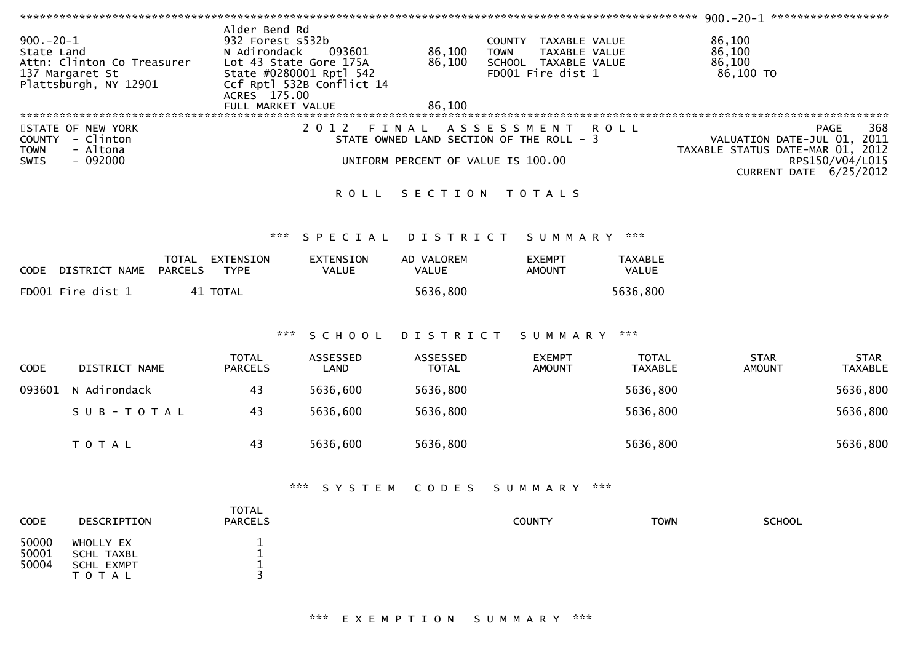| $900.-20-1$<br>State Land | Attn: Clinton Co Treasurer<br>137 Margaret St<br>Plattsburgh, NY 12901 | Alder Bend Rd<br>932 Forest s532b<br>N Adirondack<br>Lot 43 State Gore 175A<br>State #0280001 Rptl 542<br>ACRES 175.00 | 093601<br>Ccf Rptl 532B Conflict 14 | 86,100<br>86,100                   | COUNTY TAXABLE VALUE<br><b>TOWN</b><br>TAXABLE VALUE<br>SCHOOL TAXABLE VALUE<br>FD001 Fire dist 1 |                                | 86,100<br>86,100<br>86,100<br>86,100 TO                                                                              |                               |
|---------------------------|------------------------------------------------------------------------|------------------------------------------------------------------------------------------------------------------------|-------------------------------------|------------------------------------|---------------------------------------------------------------------------------------------------|--------------------------------|----------------------------------------------------------------------------------------------------------------------|-------------------------------|
|                           |                                                                        | FULL MARKET VALUE                                                                                                      |                                     | 86.100                             |                                                                                                   |                                |                                                                                                                      |                               |
| <b>TOWN</b><br>SWIS       | STATE OF NEW YORK<br>COUNTY - Clinton<br>- Altona<br>$-092000$         |                                                                                                                        | 2 0 1 2                             | UNIFORM PERCENT OF VALUE IS 100.00 | FINAL ASSESSMENT<br>STATE OWNED LAND SECTION OF THE ROLL - 3                                      | <b>ROLL</b>                    | PAGE<br>VALUATION DATE-JUL 01, 2011<br>TAXABLE STATUS DATE-MAR 01, 2012<br>RPS150/V04/L015<br>CURRENT DATE 6/25/2012 | 368                           |
|                           |                                                                        |                                                                                                                        | <b>ROLL</b>                         |                                    | SECTION TOTALS                                                                                    |                                |                                                                                                                      |                               |
|                           |                                                                        | ***                                                                                                                    | SPECIAL                             | DISTRICT                           | SUMMARY ***                                                                                       |                                |                                                                                                                      |                               |
|                           | CODE DISTRICT NAME PARCELS                                             | TOTAL EXTENSION<br><b>TYPE</b>                                                                                         | <b>EXTENSION</b><br><b>VALUE</b>    | AD VALOREM<br>VALUE                | <b>EXEMPT</b><br><b>AMOUNT</b>                                                                    | <b>TAXABLE</b><br>VALUE        |                                                                                                                      |                               |
|                           | FD001 Fire dist 1                                                      | 41 TOTAL                                                                                                               |                                     | 5636,800                           |                                                                                                   | 5636,800                       |                                                                                                                      |                               |
|                           |                                                                        | ***                                                                                                                    | SCHOOL                              | DISTRICT                           | SUMMARY                                                                                           | ***                            |                                                                                                                      |                               |
| CODE                      | DISTRICT NAME                                                          | <b>TOTAL</b><br><b>PARCELS</b>                                                                                         | ASSESSED<br>LAND                    | ASSESSED<br><b>TOTAL</b>           | <b>EXEMPT</b><br><b>AMOUNT</b>                                                                    | <b>TOTAL</b><br><b>TAXABLE</b> | <b>STAR</b><br><b>AMOUNT</b>                                                                                         | <b>STAR</b><br><b>TAXABLE</b> |
| 093601                    | N Adirondack                                                           | 43                                                                                                                     | 5636,600                            | 5636,800                           |                                                                                                   | 5636,800                       |                                                                                                                      | 5636,800                      |
|                           | SUB-TOTAL                                                              | 43                                                                                                                     | 5636,600                            | 5636,800                           |                                                                                                   | 5636,800                       |                                                                                                                      | 5636,800                      |
|                           | TOTAL                                                                  | 43                                                                                                                     | 5636,600                            | 5636,800                           |                                                                                                   | 5636,800                       |                                                                                                                      | 5636,800                      |
|                           |                                                                        | ***                                                                                                                    | S Y S T E M                         | CODES                              | S U M M A R Y                                                                                     | $\pi \times \pi$               |                                                                                                                      |                               |
| CODE                      | DESCRIPTION                                                            | <b>TOTAL</b><br><b>PARCELS</b>                                                                                         |                                     |                                    | <b>COUNTY</b>                                                                                     | <b>TOWN</b>                    | <b>SCHOOL</b>                                                                                                        |                               |
| 50000<br>50001<br>50004   | WHOLLY EX<br><b>SCHL TAXBL</b><br><b>SCHL EXMPT</b><br>T O T A L       | $\begin{bmatrix} 1 \\ 1 \\ 1 \end{bmatrix}$<br>$\overline{3}$                                                          |                                     |                                    |                                                                                                   |                                |                                                                                                                      |                               |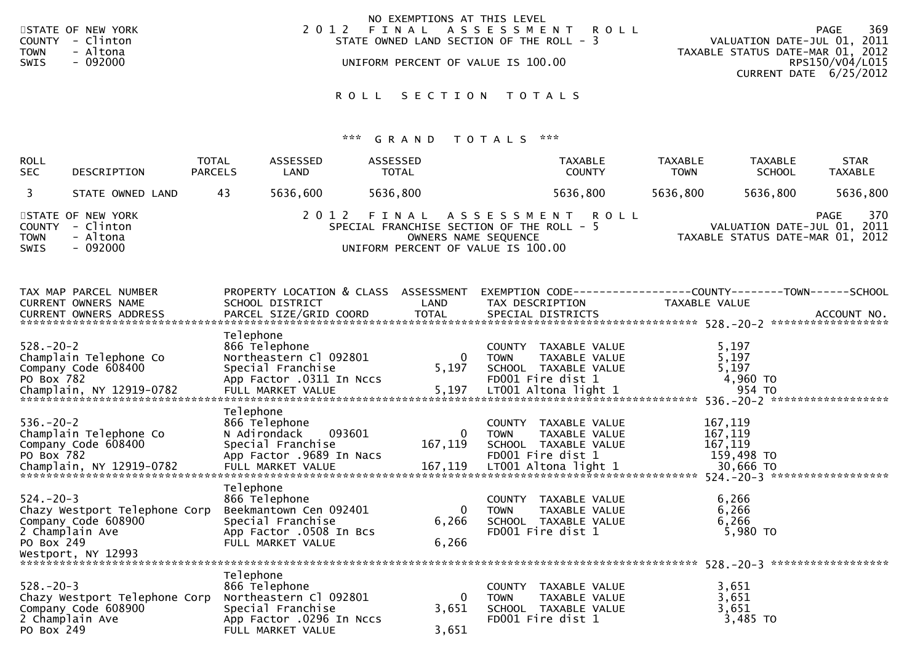| STATE OF NEW YORK<br>COUNTY - Clinton<br>- Altona<br><b>TOWN</b><br>- 092000<br>SWIS | NO EXEMPTIONS AT THIS LEVEL<br>2012 FINAL ASSESSMENT ROLL<br>STATE OWNED LAND SECTION OF THE ROLL - 3<br>UNIFORM PERCENT OF VALUE IS 100.00 | 369<br>PAGE<br>VALUATION DATE-JUL 01, 2011<br>TAXABLE STATUS DATE-MAR 01, 2012<br>RPS150/V04/L015 |
|--------------------------------------------------------------------------------------|---------------------------------------------------------------------------------------------------------------------------------------------|---------------------------------------------------------------------------------------------------|
|                                                                                      | ROLL SECTION TOTALS                                                                                                                         | CURRENT DATE 6/25/2012                                                                            |

| <b>ROLL</b><br><b>SEC</b>                        | DESCRIPTION                                                               | <b>TOTAL</b><br><b>PARCELS</b> | ASSESSED<br>LAND                                                                                              | ASSESSED<br><b>TOTAL</b> |                                                                                                                  |                              | <b>TAXABLE</b><br><b>COUNTY</b>                                                    | <b>TAXABLE</b><br><b>TOWN</b> | <b>TAXABLE</b><br><b>SCHOOL</b>                                 | <b>STAR</b><br><b>TAXABLE</b> |
|--------------------------------------------------|---------------------------------------------------------------------------|--------------------------------|---------------------------------------------------------------------------------------------------------------|--------------------------|------------------------------------------------------------------------------------------------------------------|------------------------------|------------------------------------------------------------------------------------|-------------------------------|-----------------------------------------------------------------|-------------------------------|
| 3                                                | STATE OWNED LAND                                                          | 43                             | 5636,600                                                                                                      | 5636,800                 |                                                                                                                  |                              | 5636,800                                                                           | 5636,800                      | 5636,800                                                        | 5636,800                      |
| <b>COUNTY</b><br><b>TOWN</b><br><b>SWIS</b>      | STATE OF NEW YORK<br>- Clinton<br>- Altona<br>$-092000$                   |                                | 2 0 1 2                                                                                                       |                          | FINAL<br>SPECIAL FRANCHISE SECTION OF THE ROLL - 5<br>OWNERS NAME SEQUENCE<br>UNIFORM PERCENT OF VALUE IS 100.00 |                              | A S S E S S M E N T R O L L                                                        |                               | VALUATION DATE-JUL 01, 2011<br>TAXABLE STATUS DATE-MAR 01, 2012 | 370<br><b>PAGE</b>            |
|                                                  | TAX MAP PARCEL NUMBER<br>CURRENT OWNERS NAME                              |                                | SCHOOL DISTRICT                                                                                               |                          | PROPERTY LOCATION & CLASS ASSESSMENT<br>LAND                                                                     |                              | TAX DESCRIPTION                                                                    | TAXABLE VALUE                 |                                                                 |                               |
| $528. - 20 - 2$<br>PO Box 782                    | Champlain Telephone Co<br>Company Code 608400                             | Telephone                      | 866 Telephone<br>Northeastern Cl 092801<br>Special Franchise<br>App Factor .0311 In Nccs                      |                          | 0<br>5,197                                                                                                       | <b>TOWN</b>                  | COUNTY TAXABLE VALUE<br>TAXABLE VALUE<br>SCHOOL TAXABLE VALUE<br>FD001 Fire dist 1 |                               | 5,197<br>5,197<br>5,197<br>4,960 TO                             |                               |
| $536. - 20 - 2$<br>PO Box 782                    | Champlain Telephone Co<br>Company Code 608400<br>Champlain, NY 12919-0782 | Telephone                      | 866 Telephone<br>N Adirondack<br>Special Franchise<br>App Factor .9689 In Nacs                                | 093601                   | 0<br>167,119                                                                                                     | <b>TOWN</b>                  | COUNTY TAXABLE VALUE<br>TAXABLE VALUE<br>SCHOOL TAXABLE VALUE<br>FD001 Fire dist 1 |                               | 167,119<br>167,119<br>167,119<br>159,498 TO                     |                               |
| $524. - 20 - 3$<br>2 Champlain Ave<br>PO Box 249 | Chazy Westport Telephone Corp<br>Company Code 608900                      | Telephone                      | 866 Telephone<br>Beekmantown Cen 092401<br>Special Franchise<br>App Factor .0508 In Bcs<br>FULL MARKET VALUE  |                          | $\Omega$<br>6,266<br>6,266                                                                                       | <b>TOWN</b>                  | COUNTY TAXABLE VALUE<br>TAXABLE VALUE<br>SCHOOL TAXABLE VALUE<br>FD001 Fire dist 1 |                               | 6,266<br>6,266<br>6,266<br>5,980 TO                             |                               |
| $528. - 20 - 3$<br>2 Champlain Ave<br>PO Box 249 | Chazy Westport Telephone Corp<br>Company Code 608900                      | Telephone                      | 866 Telephone<br>Northeastern Cl 092801<br>Special Franchise<br>App Factor .0296 In Nccs<br>FULL MARKET VALUE |                          | 0<br>3,651<br>3,651                                                                                              | <b>COUNTY</b><br><b>TOWN</b> | TAXABLE VALUE<br>TAXABLE VALUE<br>SCHOOL TAXABLE VALUE<br>FD001 Fire dist 1        |                               | 3,651<br>3,651<br>3,651<br>3,485 TO                             |                               |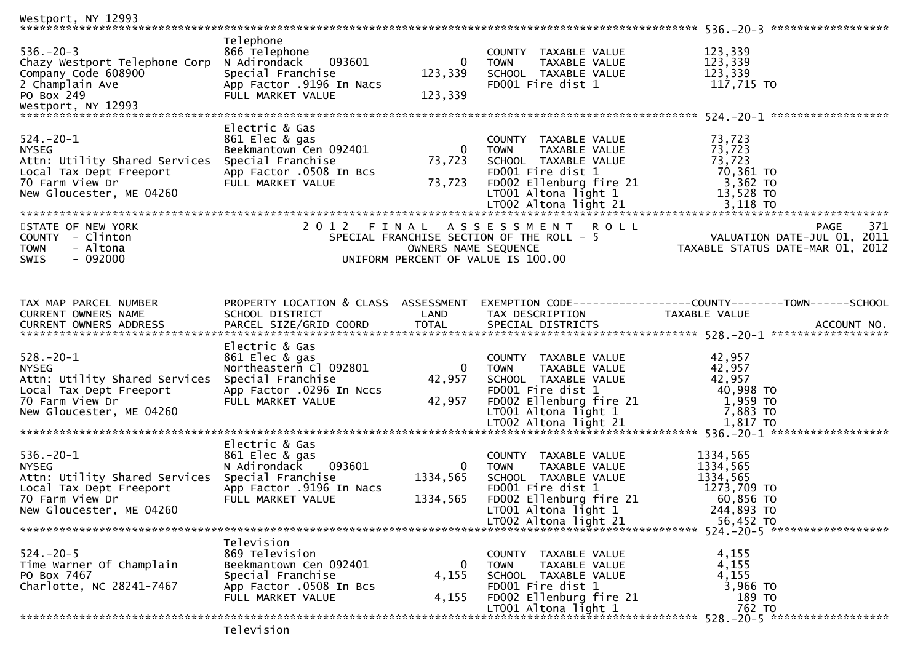| Westport, NY 12993                                                                                                                                       |                                                                                                                                  |                                             |                                                                                                                                                                                                    |                                                                                         |
|----------------------------------------------------------------------------------------------------------------------------------------------------------|----------------------------------------------------------------------------------------------------------------------------------|---------------------------------------------|----------------------------------------------------------------------------------------------------------------------------------------------------------------------------------------------------|-----------------------------------------------------------------------------------------|
| $536. - 20 - 3$<br>Chazy Westport Telephone Corp<br>Company Code 608900<br>2 Champlain Ave<br>PO Box 249                                                 | Telephone<br>866 Telephone<br>093601<br>N Adirondack<br>Special Franchise<br>App Factor .9196 In Nacs<br>FULL MARKET VALUE       | 0<br>123,339<br>123,339                     | COUNTY TAXABLE VALUE<br><b>TOWN</b><br>TAXABLE VALUE<br>SCHOOL TAXABLE VALUE<br>FD001 Fire dist 1                                                                                                  | 123,339<br>123,339<br>123,339<br>117,715 TO                                             |
| $524.-20-1$<br><b>NYSEG</b><br>Attn: Utility Shared Services<br>Local Tax Dept Freeport<br>70 Farm View Dr<br>New Gloucester, ME 04260                   | Electric & Gas<br>861 Elec & gas<br>Beekmantown Cen 092401<br>Special Franchise<br>App Factor .0508 In Bcs<br>FULL MARKET VALUE  | $\overline{\mathbf{0}}$<br>73,723<br>73,723 | COUNTY TAXABLE VALUE<br>TAXABLE VALUE<br><b>TOWN</b><br>SCHOOL TAXABLE VALUE<br>FD001 Fire dist 1<br>FD002 Ellenburg fire 21<br>LT001 Altona light 1                                               | 73,723<br>73,723<br>$73, 725$<br>70,361 TO<br>3,362 TO<br>13,528 TO                     |
| STATE OF NEW YORK<br>COUNTY - Clinton<br>- Altona<br><b>TOWN</b><br>SWIS<br>- 092000                                                                     |                                                                                                                                  | OWNERS NAME SEQUENCE                        | 2012 FINAL ASSESSMENT ROLL<br>SPECIAL FRANCHISE SECTION OF THE ROLL - 5<br>UNIFORM PERCENT OF VALUE IS 100.00                                                                                      | <b>PAGE</b><br>371<br>VALUATION DATE-JUL 01, 2011<br>TAXABLE STATUS DATE-MAR 01, 2012   |
| TAX MAP PARCEL NUMBER<br>CURRENT OWNERS NAME                                                                                                             | PROPERTY LOCATION & CLASS ASSESSMENT<br>SCHOOL DISTRICT                                                                          | LAND                                        | TAX DESCRIPTION                                                                                                                                                                                    | EXEMPTION CODE-----------------COUNTY-------TOWN------SCHOOL<br>TAXABLE VALUE           |
| $528. - 20 - 1$<br><b>NYSEG</b><br>Attn: Utility Shared Services<br>Local Tax Dept Freeport<br>70 Farm View Dr<br>New Gloucester, ME 04260               | Electric & Gas<br>861 Elec & gas<br>Northeastern Cl 092801<br>Special Franchise<br>App Factor .0296 In Nccs<br>FULL MARKET VALUE | $\overline{0}$<br>42,957<br>42,957          | COUNTY TAXABLE VALUE<br>TAXABLE VALUE<br><b>TOWN</b><br>SCHOOL TAXABLE VALUE<br>FD001 Fire dist 1<br>FD001 Fire dist 1<br>FD002 Ellenburg fire 21<br>LT001 Altona light 1<br>LT002 Altona light 21 | 42,957<br>42,957<br>42,957<br>40,998 TO<br>1,959 TO<br>7,883 TO                         |
| $536.-20-1$<br><b>NYSEG</b><br>Attn: Utility Shared Services Special Franchise<br>Local Tax Dept Freeport<br>70 Farm View Dr<br>New Gloucester, ME 04260 | Electric & Gas<br>861 Elec & gas<br>093601<br>N Adirondack<br>App Factor .9196 In Nacs<br>FULL MARKET VALUE                      | $\overline{0}$<br>1334,565<br>1334,565      | COUNTY TAXABLE VALUE<br>TAXABLE VALUE<br><b>TOWN</b><br>SCHOOL TAXABLE VALUE<br>FD001 Fire dist 1<br>FD002 Ellenburg fire 21<br>LT001 Altona light 1<br>LT002 Altona light 21                      | 1334,565<br>1334,565<br>1334,565<br>1273,709 TO<br>60,856 TO<br>244,893 TO<br>56,452 TO |
| $524. - 20 - 5$<br>Time Warner Of Champlain<br>PO Box 7467<br>Charlotte, NC 28241-7467                                                                   | Television<br>869 Television<br>Beekmantown Cen 092401<br>Special Franchise<br>App Factor .0508 In Bcs<br>FULL MARKET VALUE      | 0<br>4,155<br>4,155                         | COUNTY TAXABLE VALUE<br>TAXABLE VALUE<br><b>TOWN</b><br>SCHOOL TAXABLE VALUE<br>FD001 Fire dist 1<br>FD002 Ellenburg fire 21<br>LT001 Altona light 1                                               | 4,155<br>4,155<br>4,155<br>3,966 TO<br>189 TO<br>762 TO                                 |
|                                                                                                                                                          | $T \cap T \cap T \cap T \cap T$                                                                                                  |                                             |                                                                                                                                                                                                    |                                                                                         |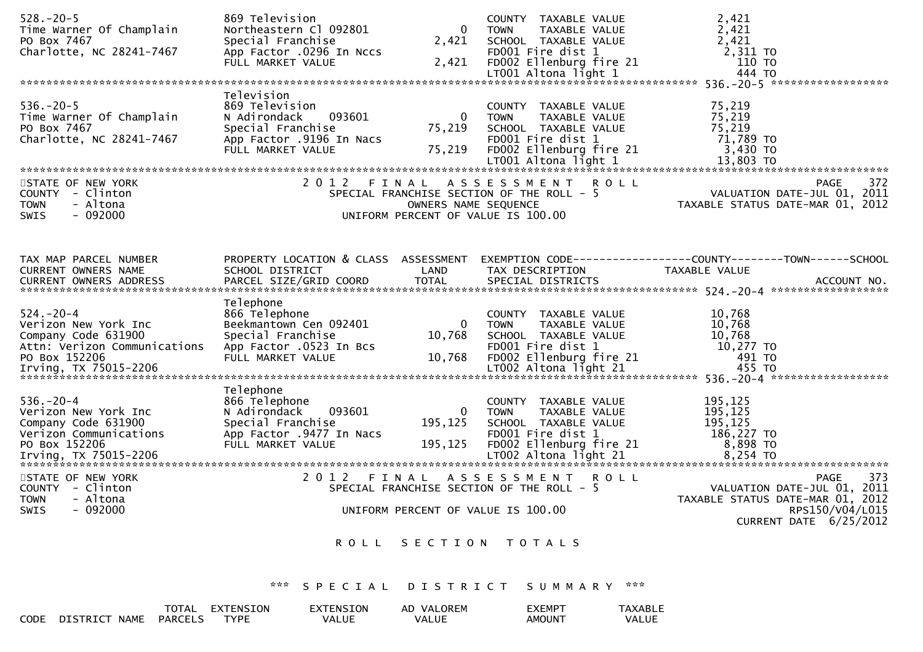| $528. - 20 - 5$<br>Time Warner Of Champlain                                                  | 869 Television<br>Northeastern Cl 092801                                                                                     | $\overline{0}$                              | COUNTY TAXABLE VALUE<br>TAXABLE VALUE<br><b>TOWN</b>                                                                         | 2,421<br>2,421<br>PO Box 7467<br>PO Box 7467<br>Charlotte, NC 28241-7467 App Factor 0296 In Nccs<br>FULL MARKET VALUE 2,421 FD001 Fire dist 1 2,311 TO<br>FULL MARKET VALUE 2,421 FD002 Ellenburg fire 21 110 TO<br>ETO01 Altona light 1 444 TO<br>ANALLE 1                           |     |
|----------------------------------------------------------------------------------------------|------------------------------------------------------------------------------------------------------------------------------|---------------------------------------------|------------------------------------------------------------------------------------------------------------------------------|---------------------------------------------------------------------------------------------------------------------------------------------------------------------------------------------------------------------------------------------------------------------------------------|-----|
|                                                                                              |                                                                                                                              |                                             |                                                                                                                              |                                                                                                                                                                                                                                                                                       |     |
| $536.-20-5$<br>Time Warner Of Champlain<br>PO Box 7467<br>Charlotte, NC 28241-7467           | Television<br>869 Television<br>093601<br>N Adirondack<br>Special Franchise<br>App Factor .9196 In Nacs<br>FULL MARKET VALUE | $\overline{\mathbf{0}}$<br>75,219<br>75,219 | COUNTY TAXABLE VALUE<br>TAXABLE VALUE<br><b>TOWN</b><br>SCHOOL TAXABLE VALUE<br>FD001 Fire dist 1<br>FD002 Ellenburg fire 21 | 75,219<br>75,219<br>75,219<br>71,789 то<br>3,430 TO<br>$1001$ Altona light 1 $13,803$ TO $13,803$ TO $15,803$ TO $15,803$ TO $15,803$ TO $15,803$ TO $15,803$ TO $15,803$ TO $15,803$ TO $15,803$ TO $15,803$ TO $15,803$ TO $15,803$ TO $15,803$ TO $15,803$ TO $15,803$ TO $15,803$ |     |
|                                                                                              |                                                                                                                              |                                             |                                                                                                                              |                                                                                                                                                                                                                                                                                       |     |
| STATE OF NEW YORK<br>COUNTY - Clinton<br>- Altona<br><b>TOWN</b><br>$-092000$<br><b>SWIS</b> |                                                                                                                              | OWNERS NAME SEQUENCE                        | 2012 FINAL ASSESSMENT ROLL<br>SPECIAL FRANCHISE SECTION OF THE ROLL - 5<br>UNIFORM PERCENT OF VALUE IS 100.00                | PAGE<br>N I KULL<br>2011 - VALUATION DATE-JUL 01, 2011<br>2012 TAXABLE STATUS DATE-MAR 01, 2012                                                                                                                                                                                       | 372 |
|                                                                                              |                                                                                                                              |                                             |                                                                                                                              |                                                                                                                                                                                                                                                                                       |     |
| TAX MAP PARCEL NUMBER<br>CURRENT OWNERS NAME                                                 | SCHOOL DISTRICT                                                                                                              | LAND                                        | TAX DESCRIPTION                                                                                                              | PROPERTY LOCATION & CLASS ASSESSMENT EXEMPTION CODE----------------COUNTY-------TOWN------SCHOOL<br>TAXABLE VALUE<br>CURRENT OMNERS ADDRESS FARCEL SIZE/GRID COORD TOTAL SPECIAL DISTRICTS FOR THE SERVER ACCOUNT NO.                                                                 |     |
|                                                                                              | Telephone                                                                                                                    |                                             |                                                                                                                              |                                                                                                                                                                                                                                                                                       |     |
| $524. - 20 - 4$<br>Verizon New York Inc<br>Company Code 631900                               | 866 Telephone<br>Beekmantown Cen 092401<br>Special Franchise                                                                 | $\bf{0}$<br>10,768                          | COUNTY TAXABLE VALUE<br><b>TOWN</b><br>TAXABLE VALUE<br>SCHOOL TAXABLE VALUE                                                 | 10,768<br>10,768<br>10,768<br>Attn: Verizon Communications App Factor 0523 In Bcs<br>PO Box 152206 FULL MARKET VALUE 10,768 FD001 Fire dist 1 10,277 TO<br>FULL MARKET VALUE 10,768 FD002 Ellenburg fire 21 491 TO<br>1002 Altona light 21 455 TO<br>1002 Altona lig                  |     |
|                                                                                              | Telephone                                                                                                                    |                                             |                                                                                                                              |                                                                                                                                                                                                                                                                                       |     |
| $536. - 20 - 4$<br>Verizon New York Inc<br>Company Code 631900<br>Verizon Communications     | 866 Telephone<br>093601<br>N Adirondack<br>Special Franchise<br>App Factor .9477 In Nacs                                     | $\overline{0}$<br>195,125                   | COUNTY TAXABLE VALUE<br>TAXABLE VALUE<br>TOWN<br>SCHOOL TAXABLE VALUE<br>FD001 Fire dist 1                                   | 195,125<br>195,125<br>195,125<br>186,227 TO                                                                                                                                                                                                                                           |     |
| STATE OF NEW YORK                                                                            |                                                                                                                              |                                             | 2012 FINAL ASSESSMENT ROLL                                                                                                   | <b>PAGE</b>                                                                                                                                                                                                                                                                           | 373 |
| COUNTY - Clinton<br>- Altona<br><b>TOWN</b>                                                  |                                                                                                                              |                                             | SPECIAL FRANCHISE SECTION OF THE ROLL - 5<br>UNIFORM PERCENT OF VALUE IS 100.00                                              | VALUATION DATE-JUL 01, 2011<br>TAXABLE STATUS DATE-MAR 01, 2012                                                                                                                                                                                                                       |     |
| SWIS<br>$-092000$                                                                            |                                                                                                                              |                                             |                                                                                                                              | RPS150/V04/L015<br>CURRENT DATE $6/25/2012$                                                                                                                                                                                                                                           |     |
|                                                                                              |                                                                                                                              |                                             | ROLL SECTION TOTALS                                                                                                          |                                                                                                                                                                                                                                                                                       |     |
|                                                                                              |                                                                                                                              |                                             | *** SPECIAL DISTRICT SUMMARY ***                                                                                             |                                                                                                                                                                                                                                                                                       |     |
|                                                                                              |                                                                                                                              |                                             |                                                                                                                              |                                                                                                                                                                                                                                                                                       |     |

|      |                                | <b>TOTAL</b>   | <sup>-</sup> XTENSION | EXTENSION | VALOREM<br>AD | EXEMP <sup>-</sup> | <b>TAXABI</b> |
|------|--------------------------------|----------------|-----------------------|-----------|---------------|--------------------|---------------|
| CODE | <b>DISTRICT</b><br><b>NAME</b> | <b>PARCELS</b> | <b>TYPF</b>           | VALUE     | <b>VALUE</b>  | <b>AMOUN</b>       | VALUE         |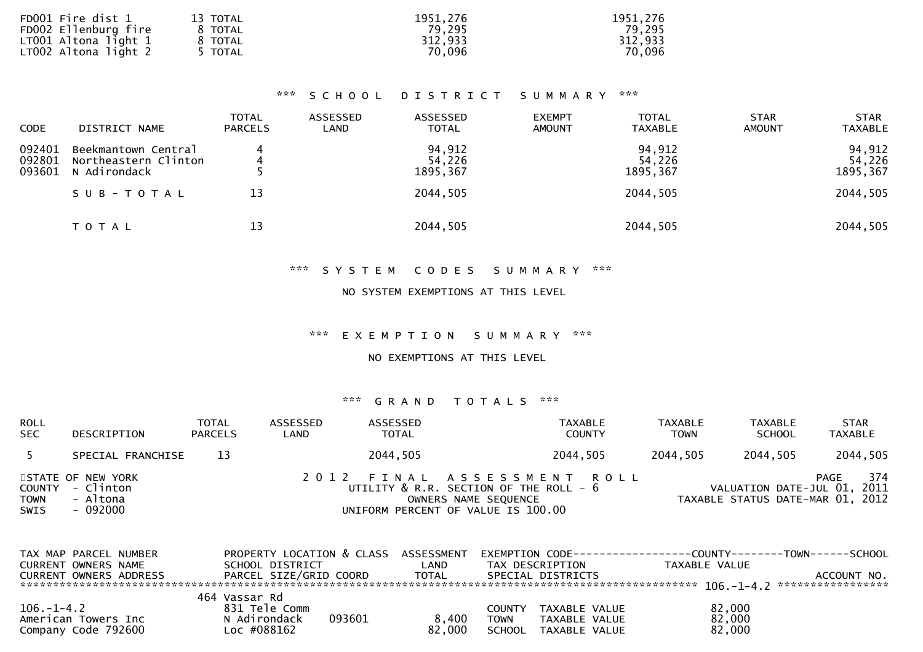| FD001 Fire dist 1    | 13 TOTAL | 1951,276 | 1951,276 |
|----------------------|----------|----------|----------|
| FD002 Ellenburg fire | 8 TOTAL  | 79,295   | 79,295   |
| LT001 Altona light 1 | 8 TOTAL  | 312,933  | 312,933  |
| LT002 Altona light 2 | 5 TOTAL  | 70,096   | 70,096   |
|                      |          |          |          |

## \*\*\* S C H O O L D I S T R I C T S U M M A R Y \*\*\*

| <b>CODE</b>                | DISTRICT NAME                                               | <b>TOTAL</b><br><b>PARCELS</b> | ASSESSED<br>LAND | ASSESSED<br><b>TOTAL</b>     | <b>EXEMPT</b><br><b>AMOUNT</b> | <b>TOTAL</b><br><b>TAXABLE</b> | <b>STAR</b><br><b>AMOUNT</b> | <b>STAR</b><br><b>TAXABLE</b> |
|----------------------------|-------------------------------------------------------------|--------------------------------|------------------|------------------------------|--------------------------------|--------------------------------|------------------------------|-------------------------------|
| 092401<br>092801<br>093601 | Beekmantown Central<br>Northeastern Clinton<br>N Adirondack |                                |                  | 94,912<br>54,226<br>1895,367 |                                | 94,912<br>54,226<br>1895, 367  |                              | 94,912<br>54,226<br>1895,367  |
|                            | SUB-TOTAL                                                   | 13                             |                  | 2044,505                     |                                | 2044,505                       |                              | 2044,505                      |
|                            | T O T A L                                                   | 13                             |                  | 2044,505                     |                                | 2044,505                       |                              | 2044,505                      |

# \*\*\* S Y S T E M C O D E S S U M M A R Y \*\*\*

### NO SYSTEM EXEMPTIONS AT THIS LEVEL

\*\*\* E X E M P T I O N S U M M A R Y \*\*\*

NO EXEMPTIONS AT THIS LEVEL

| <b>ROLL</b><br><b>SEC</b> | DESCRIPTION                                                   | <b>TOTAL</b><br><b>PARCELS</b> | ASSESSED<br>LAND | ASSESSED<br><b>TOTAL</b>                                                                                                                | TAXABLE<br><b>COUNTY</b> | <b>TAXABLE</b><br><b>TOWN</b> | TAXABLE<br><b>SCHOOL</b> | <b>STAR</b><br><b>TAXABLE</b>                                                  |
|---------------------------|---------------------------------------------------------------|--------------------------------|------------------|-----------------------------------------------------------------------------------------------------------------------------------------|--------------------------|-------------------------------|--------------------------|--------------------------------------------------------------------------------|
|                           | SPECIAL FRANCHISE                                             | 13                             |                  | 2044,505                                                                                                                                | 2044,505                 | 2044,505                      | 2044,505                 | 2044,505                                                                       |
| <b>TOWN</b><br>SWIS       | STATE OF NEW YORK<br>COUNTY - Clinton<br>- Altona<br>- 092000 |                                |                  | 2012 FINAL ASSESSMENT ROLL<br>UTILITY $\&$ R.R. SECTION OF THE ROLL - $6$<br>OWNERS NAME SEQUENCE<br>UNIFORM PERCENT OF VALUE IS 100.00 |                          |                               |                          | 374<br>PAGE<br>VALUATION DATE-JUL 01, 2011<br>TAXABLE STATUS DATE-MAR 01, 2012 |

| TAX MAP PARCEL NUMBER<br>CURRENT OWNERS NAME                   | PROPERTY LOCATION & CLASS<br>SCHOOL DISTRICT           | ASSESSMENT<br>∟AND. | EXEMPTION CODE-----------------COUNTY-------TOWN-----<br>TAX DESCRIPTION           | TAXABLE VALUE              | -SCHOOL     |
|----------------------------------------------------------------|--------------------------------------------------------|---------------------|------------------------------------------------------------------------------------|----------------------------|-------------|
| CURRENT OWNERS ADDRESS                                         | PARCEL SIZE/GRID COORD                                 | <b>TOTAL</b>        | SPECIAL DISTRICTS                                                                  |                            | ACCOUNT NO. |
|                                                                | 464 Vassar Rd                                          |                     |                                                                                    |                            |             |
| $106. - 1 - 4.2$<br>American Towers Inc<br>Company Code 792600 | 831 Tele Comm<br>093601<br>N Adirondack<br>Loc #088162 | 8.400<br>82,000     | TAXABLE VALUE<br>COUNTY<br>TOWN<br>TAXABLE VALUE<br><b>SCHOOL</b><br>TAXABLE VALUE | 82,000<br>82,000<br>82,000 |             |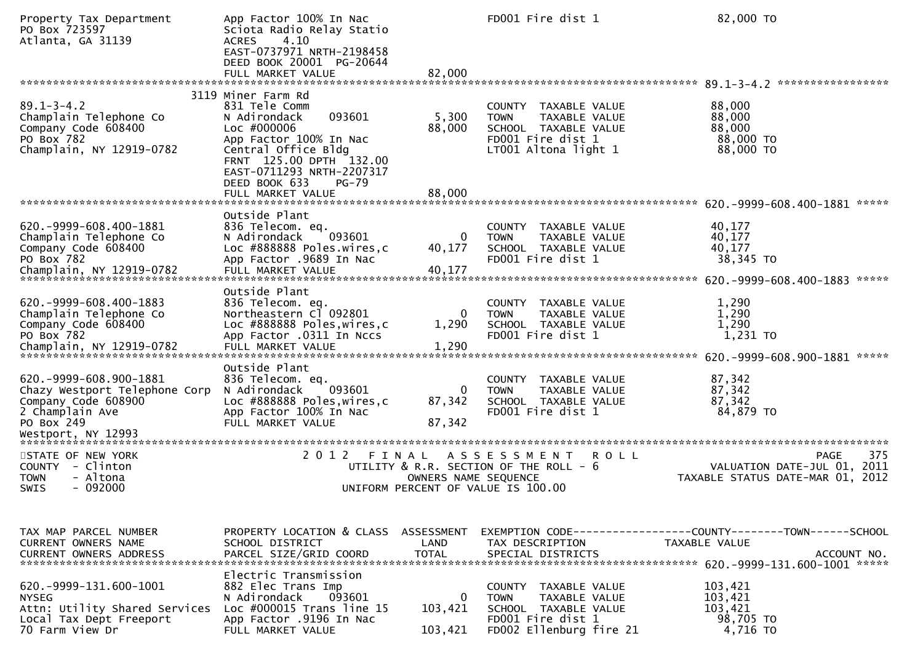| Property Tax Department<br>PO Box 723597<br>Atlanta, GA 31139                                                                | App Factor 100% In Nac<br>Sciota Radio Relay Statio<br>4.10<br><b>ACRES</b><br>EAST-0737971 NRTH-2198458<br>DEED BOOK 20001 PG-20644<br>FULL MARKET VALUE                                                                              | 82,000                             | FD001 Fire dist 1                                                                                                                   | 82,000 TO                                                                                    |
|------------------------------------------------------------------------------------------------------------------------------|----------------------------------------------------------------------------------------------------------------------------------------------------------------------------------------------------------------------------------------|------------------------------------|-------------------------------------------------------------------------------------------------------------------------------------|----------------------------------------------------------------------------------------------|
|                                                                                                                              |                                                                                                                                                                                                                                        |                                    |                                                                                                                                     | 89.1-3-4.2 ******************                                                                |
| $89.1 - 3 - 4.2$<br>Champlain Telephone Co<br>Company Code 608400<br>PO Box 782<br>Champlain, NY 12919-0782                  | 3119 Miner Farm Rd<br>831 Tele Comm<br>093601<br>N Adirondack<br>Loc #000006<br>App Factor 100% In Nac<br>Central Office Bldg<br>FRNT 125.00 DPTH 132.00<br>EAST-0711293 NRTH-2207317<br>DEED BOOK 633<br>$PG-79$<br>FULL MARKET VALUE | 5,300<br>88,000<br>88,000          | COUNTY TAXABLE VALUE<br><b>TOWN</b><br>TAXABLE VALUE<br>SCHOOL TAXABLE VALUE<br>FD001 Fire dist 1<br>LT001 Altona light 1           | 88,000<br>88,000<br>88,000<br>88,000 TO<br>88,000 TO                                         |
|                                                                                                                              |                                                                                                                                                                                                                                        |                                    |                                                                                                                                     |                                                                                              |
| 620. - 9999 - 608. 400 - 1881<br>Champlain Telephone Co<br>Company Code 608400<br>PO Box 782                                 | Outside Plant<br>836 Telecom. eq.<br>093601<br>N Adirondack<br>Loc #888888 Poles.wires,c<br>App Factor .9689 In Nac                                                                                                                    | 0<br>40,177                        | COUNTY TAXABLE VALUE<br><b>TOWN</b><br>TAXABLE VALUE<br>SCHOOL TAXABLE VALUE<br>FD001 Fire dist 1                                   | 40,177<br>40,177<br>40,177<br>38,345 TO                                                      |
|                                                                                                                              | Outside Plant                                                                                                                                                                                                                          |                                    |                                                                                                                                     |                                                                                              |
| 620. - 9999 - 608. 400 - 1883<br>Champlain Telephone Co<br>Company Code 608400<br>PO Box 782                                 | 836 Telecom. eq.<br>Northeastern Cl 092801<br>Loc #888888 Poles, wires, c<br>App Factor .0311 In Nccs                                                                                                                                  | $\Omega$<br>1,290                  | COUNTY TAXABLE VALUE<br>TAXABLE VALUE<br><b>TOWN</b><br>SCHOOL TAXABLE VALUE<br>FD001 Fire dist 1                                   | 1,290<br>1,290<br>1,290<br>1,231 TO<br>620. -9999-608.900-1881<br>*****                      |
|                                                                                                                              | Outside Plant                                                                                                                                                                                                                          |                                    |                                                                                                                                     |                                                                                              |
| 620. -9999-608.900-1881<br>Chazy Westport Telephone Corp<br>Company Code 608900<br>2 Champlain Ave<br>PO Box 249             | 836 Telecom. eq.<br>093601<br>N Adirondack<br>Loc #888888 Poles, wires, c<br>App Factor 100% In Nac<br>FULL MARKET VALUE                                                                                                               | $\Omega$<br>87,342<br>87,342       | <b>COUNTY</b><br>TAXABLE VALUE<br>TAXABLE VALUE<br><b>TOWN</b><br>SCHOOL TAXABLE VALUE<br>FD001 Fire dist 1                         | 87,342<br>87,342<br>87,342<br>84,879 TO                                                      |
|                                                                                                                              |                                                                                                                                                                                                                                        |                                    |                                                                                                                                     |                                                                                              |
| STATE OF NEW YORK<br>COUNTY - Clinton<br><b>TOWN</b><br>- Altona<br><b>SWIS</b><br>- 092000                                  | 2 0 1 2                                                                                                                                                                                                                                | FINAL<br>OWNERS NAME SEQUENCE      | <b>ROLL</b><br>A S S E S S M E N T<br>UTILITY & R.R. SECTION OF THE ROLL - 6<br>UNIFORM PERCENT OF VALUE IS 100.00                  | 375<br><b>PAGE</b><br>VALUATION DATE-JUL 01, 2011<br>TAXABLE STATUS DATE-MAR 01, 2012        |
|                                                                                                                              |                                                                                                                                                                                                                                        |                                    |                                                                                                                                     |                                                                                              |
| TAX MAP PARCEL NUMBER<br>CURRENT OWNERS NAME<br>CURRENT OWNERS ADDRESS                                                       | PROPERTY LOCATION & CLASS ASSESSMENT<br>SCHOOL DISTRICT<br>PARCEL SIZE/GRID COORD                                                                                                                                                      | LAND<br><b>TOTAL</b>               | TAX DESCRIPTION<br>SPECIAL DISTRICTS                                                                                                | EXEMPTION CODE-----------------COUNTY-------TOWN------SCHOOL<br>TAXABLE VALUE<br>ACCOUNT NO. |
| 620. - 9999 - 131. 600 - 1001<br><b>NYSEG</b><br>Attn: Utility Shared Services<br>Local Tax Dept Freeport<br>70 Farm View Dr | Electric Transmission<br>882 Elec Trans Imp<br>N Adirondack<br>093601<br>Loc #000015 Trans line 15<br>App Factor .9196 In Nac<br>FULL MARKET VALUE                                                                                     | $\mathbf{0}$<br>103,421<br>103,421 | COUNTY TAXABLE VALUE<br><b>TOWN</b><br><b>TAXABLE VALUE</b><br>SCHOOL TAXABLE VALUE<br>FD001 Fire dist 1<br>FD002 Ellenburg fire 21 | 103,421<br>103,421<br>103,421<br>98,705 TO<br>4,716 TO                                       |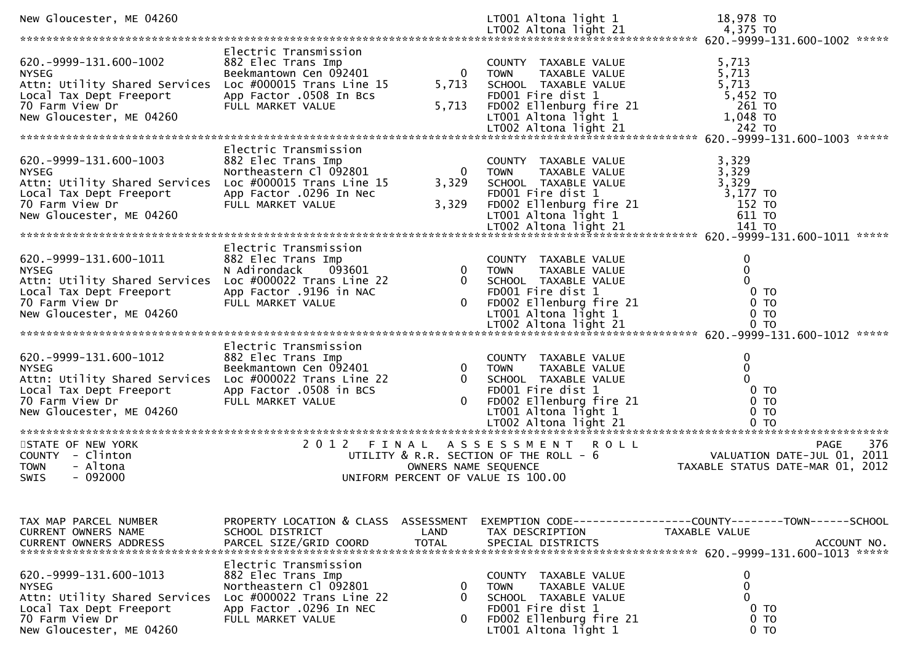| New Gloucester, ME 04260                                                                                                                            |                                                                                                                                                       |                                  | LT001 Altona light 1                                                                                                                                   | 18,978 TO                                                                                    |
|-----------------------------------------------------------------------------------------------------------------------------------------------------|-------------------------------------------------------------------------------------------------------------------------------------------------------|----------------------------------|--------------------------------------------------------------------------------------------------------------------------------------------------------|----------------------------------------------------------------------------------------------|
| 620. -9999-131. 600-1002<br><b>NYSEG</b><br>Attn: Utility Shared Services<br>Local Tax Dept Freeport<br>70 Farm View Dr<br>New Gloucester, ME 04260 | Electric Transmission<br>882 Elec Trans Imp<br>Beekmantown Cen 092401<br>Loc $\#000015$ Trans Line 15<br>App Factor .0508 In Bcs<br>FULL MARKET VALUE | $\overline{0}$<br>5,713<br>5,713 | COUNTY TAXABLE VALUE<br>TAXABLE VALUE<br><b>TOWN</b><br>SCHOOL TAXABLE VALUE<br>FD001 Fire dist 1<br>FD002 Ellenburg fire 21<br>LT001 Altona light 1   | 5,713<br>5,713<br>5,713<br>$5,452$ TO<br>261 TO<br>1,048 TO                                  |
|                                                                                                                                                     |                                                                                                                                                       |                                  |                                                                                                                                                        |                                                                                              |
| 620. -9999-131. 600-1003<br><b>NYSEG</b><br>Attn: Utility Shared Services<br>Local Tax Dept Freeport<br>70 Farm View Dr<br>New Gloucester, ME 04260 | Electric Transmission<br>882 Elec Trans Imp<br>Northeastern Cl 092801<br>Loc $\#000015$ Trans Line 15<br>App Factor .0296 In Nec<br>FULL MARKET VALUE | 0<br>3,329<br>3,329              | COUNTY TAXABLE VALUE<br>TAXABLE VALUE<br><b>TOWN</b><br>SCHOOL TAXABLE VALUE<br>FD001 Fire dist 1<br>FD002 Ellenburg fire 21<br>LT001 Altona light $1$ | 3,329<br>3,329<br>3,329<br>3,177 TO<br>152 TO<br>611 TO<br>*****                             |
|                                                                                                                                                     | Electric Transmission                                                                                                                                 |                                  |                                                                                                                                                        |                                                                                              |
| 620. -9999-131. 600-1011<br><b>NYSEG</b><br>Attn: Utility Shared Services<br>Local Tax Dept Freeport<br>70 Farm View Dr<br>New Gloucester, ME 04260 | 882 Elec Trans Imp<br>N Adirondack<br>093601<br>Loc $\#000022$ Trans Line 22<br>App Factor .9196 in NAC<br>FULL MARKET VALUE                          | $\Omega$<br>$\mathbf{0}$         | COUNTY TAXABLE VALUE<br>TAXABLE VALUE<br><b>TOWN</b><br>SCHOOL TAXABLE VALUE<br>FD001 Fire dist 1<br>FD002 Ellenburg fire 21<br>LT001 Altona light 1   | $\mathbf 0$<br>$\mathbf{0}$<br>$\Omega$<br>$0$ TO<br>0 <sub>T</sub><br>0 <sub>T</sub>        |
|                                                                                                                                                     |                                                                                                                                                       |                                  |                                                                                                                                                        |                                                                                              |
| 620. -9999-131. 600-1012<br><b>NYSEG</b><br>Attn: Utility Shared Services<br>Local Tax Dept Freeport<br>70 Farm View Dr<br>New Gloucester, ME 04260 | Electric Transmission<br>882 Elec Trans Imp<br>Beekmantown Cen 092401<br>Loc #000022 Trans Line 22<br>App Factor .0508 in BCS<br>FULL MARKET VALUE    | $\Omega$                         | COUNTY TAXABLE VALUE<br><b>TOWN</b><br>TAXABLE VALUE<br>SCHOOL TAXABLE VALUE<br>FD001 Fire dist 1<br>FD002 Ellenburg fire 21<br>LT001 Altona light 1   | $\mathbf 0$<br>$\mathbf{0}$<br>$\Omega$<br>$0$ TO<br>0 <sub>T</sub><br>0 <sub>T</sub>        |
| STATE OF NEW YORK                                                                                                                                   | 2012 FINAL                                                                                                                                            |                                  | A S S E S S M E N T R O L L                                                                                                                            | 376<br><b>PAGE</b>                                                                           |
| COUNTY - Clinton<br><b>TOWN</b><br>- Altona<br>- 092000<br><b>SWIS</b>                                                                              |                                                                                                                                                       | OWNERS NAME SEQUENCE             | UTILITY & R.R. SECTION OF THE ROLL - 6<br>UNIFORM PERCENT OF VALUE IS 100.00                                                                           | 2011<br>VALUATION DATE-JUL 01,<br>TAXABLE STATUS DATE-MAR 01, 2012                           |
| TAX MAP PARCEL NUMBER<br><b>CURRENT OWNERS NAME</b><br>CURRENT OWNERS ADDRESS                                                                       | PROPERTY LOCATION & CLASS ASSESSMENT<br>SCHOOL DISTRICT<br>PARCEL SIZE/GRID COORD                                                                     | LAND<br><b>TOTAL</b>             | TAX DESCRIPTION<br>SPECIAL DISTRICTS                                                                                                                   | EXEMPTION CODE-----------------COUNTY-------TOWN------SCHOOL<br>TAXABLE VALUE<br>ACCOUNT NO. |
| 620. -9999-131. 600-1013<br><b>NYSEG</b><br>Attn: Utility Shared Services<br>Local Tax Dept Freeport<br>70 Farm View Dr<br>New Gloucester, ME 04260 | Electric Transmission<br>882 Elec Trans Imp<br>Northeastern Cl 092801<br>Loc $\#000022$ Trans Line 22<br>App Factor .0296 In NEC<br>FULL MARKET VALUE | 0<br>0<br>0                      | COUNTY TAXABLE VALUE<br>TAXABLE VALUE<br>TOWN<br>SCHOOL TAXABLE VALUE<br>FD001 Fire dist 1<br>FD002 Ellenburg fire 21<br>LT001 Altona light 1          | 0<br>$\mathbf{0}$<br>0<br>0 <sub>T</sub><br>0 <sub>T</sub><br>0 <sub>T</sub>                 |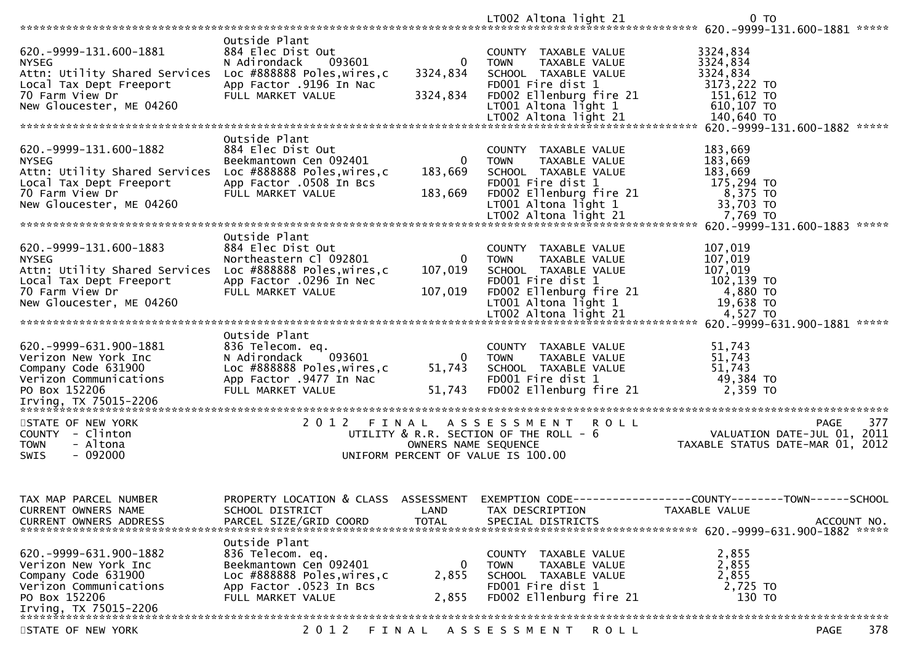|                                                                                                                                                                                 |                                                                                                                                            |                                    | LT002 Altona light 21                                                                                                        | 0 <sub>T</sub>                                                                                                                                                                                                                |
|---------------------------------------------------------------------------------------------------------------------------------------------------------------------------------|--------------------------------------------------------------------------------------------------------------------------------------------|------------------------------------|------------------------------------------------------------------------------------------------------------------------------|-------------------------------------------------------------------------------------------------------------------------------------------------------------------------------------------------------------------------------|
|                                                                                                                                                                                 | Outside Plant                                                                                                                              |                                    |                                                                                                                              |                                                                                                                                                                                                                               |
| 620. - 9999 - 131. 600 - 1881<br><b>NYSEG</b><br>Attn: Utility Shared Services                                                                                                  | 884 Elec Dist Out<br>N Adirondack<br>093601<br>Loc #888888 Poles, wires, c                                                                 | $\mathbf{0}$<br>3324,834           | COUNTY TAXABLE VALUE<br>TAXABLE VALUE<br>TOWN<br>SCHOOL TAXABLE VALUE                                                        | 3324,834<br>3324,834<br>3324,834                                                                                                                                                                                              |
| Local Tax Dept Freeport<br>70 Farm View Dr<br>New Gloucester, ME 04260                                                                                                          | App Factor .9196 In Nac<br>FULL MARKET VALUE                                                                                               | 3324,834                           | FD001 Fire dist 1<br>FD002 Ellenburg fire 21<br>LT001 Altona light 1                                                         | 3173,222 TO<br>151,612 TO<br>610,107 то<br>140,640 то                                                                                                                                                                         |
|                                                                                                                                                                                 |                                                                                                                                            |                                    | LT002 Altona light 21                                                                                                        |                                                                                                                                                                                                                               |
|                                                                                                                                                                                 | Outside Plant                                                                                                                              |                                    |                                                                                                                              |                                                                                                                                                                                                                               |
| 620. -9999-131. 600-1882<br><b>NYSEG</b><br>Attn: Utility Shared Services<br>Local Tax Dept Freeport<br>70 Farm View Dr                                                         | 884 Elec Dist Out<br>Beekmantown Cen 092401<br>Loc #888888 Poles, wires, c<br>App Factor .0508 In Bcs<br>FULL MARKET VALUE                 | $\Omega$<br>183,669<br>183,669     | COUNTY TAXABLE VALUE<br>TAXABLE VALUE<br><b>TOWN</b><br>SCHOOL TAXABLE VALUE<br>FD001 Fire dist 1<br>FD002 Ellenburg fire 21 | 183,669<br>183,669<br>183,669<br>175,294 TO<br>8,375 TO                                                                                                                                                                       |
| New Gloucester, ME 04260                                                                                                                                                        |                                                                                                                                            |                                    | LT001 Altona light 1                                                                                                         | 33,703 TO                                                                                                                                                                                                                     |
|                                                                                                                                                                                 |                                                                                                                                            |                                    |                                                                                                                              |                                                                                                                                                                                                                               |
| 620. -9999-131. 600-1883<br><b>NYSEG</b><br>Attn: Utility Shared Services Loc #888888 Poles, wires, c<br>Local Tax Dept Freeport<br>70 Farm View Dr<br>New Gloucester, ME 04260 | Outside Plant<br>884 Elec Dist Out<br>Northeastern Cl 092801<br>App Factor .0296 In Nec<br>FULL MARKET VALUE                               | $\Omega$<br>107,019<br>107,019     | COUNTY TAXABLE VALUE<br>TAXABLE VALUE<br><b>TOWN</b><br>SCHOOL TAXABLE VALUE<br>FD001 Fire dist 1<br>FD002 Ellenburg fire 21 | 107,019<br>107,019<br>107,019<br>102,139 TO<br>4,880 TO<br>19,638 TO                                                                                                                                                          |
|                                                                                                                                                                                 |                                                                                                                                            |                                    | LT001 Altona light 1<br>LT002 Altona light 21                                                                                | $4,527$ TO                                                                                                                                                                                                                    |
|                                                                                                                                                                                 |                                                                                                                                            |                                    |                                                                                                                              | LTOO2 Altona light 21 هـ 4,527 TO مـ 1,527 LTOO2 Altona light 21 هـ 4,527 TO ميتانية ميتانية مع المستقيمة مع المستقيمة مع المستقيمة مع المستقيمة مع المستقيمة مع المستقيمة مع المستقيمة مع المستقيمة مع المستقيمة مع المستقيم |
| 620.-9999-631.900-1881<br>Verizon New York Inc<br>Company Code 631900<br>Verizon Communications<br>PO Box 152206                                                                | Outside Plant<br>836 Telecom. eq.<br>093601<br>N Adirondack<br>Loc #888888 Poles, wires, c<br>App Factor .9477 In Nac<br>FULL MARKET VALUE | $\overline{0}$<br>51,743<br>51,743 | COUNTY TAXABLE VALUE<br>TAXABLE VALUE<br><b>TOWN</b><br>SCHOOL TAXABLE VALUE<br>FD001 Fire dist 1<br>FD002 Ellenburg fire 21 | 51,743<br>51,743<br>51,743<br>49,384 TO<br>2.359 TO                                                                                                                                                                           |
|                                                                                                                                                                                 |                                                                                                                                            |                                    |                                                                                                                              |                                                                                                                                                                                                                               |
| STATE OF NEW YORK<br>COUNTY - Clinton<br><b>TOWN</b><br>- Altona<br>$-092000$<br>SWIS                                                                                           |                                                                                                                                            | OWNERS NAME SEQUENCE               | 2012 FINAL ASSESSMENT ROLL<br>UTILITY & R.R. SECTION OF THE ROLL - 6<br>UNIFORM PERCENT OF VALUE IS 100.00                   | 377<br>PAGE<br>201 - PAGE<br>2011 VALUATION DATE-JUL<br>2011 -… TAXARLE STATUS DATE<br>TAXABLE STATUS DATE-MAR 01, 2012                                                                                                       |
| TAX MAP PARCEL NUMBER<br>CURRENT OWNERS NAME                                                                                                                                    | SCHOOL DISTRICT<br>PARCEL SIZE/GRID COORD                                                                                                  | LAND<br><b>TOTAL</b>               | TAX DESCRIPTION                                                                                                              | PROPERTY LOCATION & CLASS ASSESSMENT EXEMPTION CODE----------------COUNTY-------TOWN------SCHOOL<br>TAXABLE VALUE                                                                                                             |
| <b>CURRENT OWNERS ADDRESS</b>                                                                                                                                                   |                                                                                                                                            |                                    | SPECIAL DISTRICTS                                                                                                            | ACCOUNT NO.                                                                                                                                                                                                                   |
| 620. -9999-631.900-1882<br>Verizon New York Inc<br>Company Code 631900<br>Verizon Communications<br>PO Box 152206<br>Irving, TX 75015-2206                                      | Outside Plant<br>836 Telecom. eq.<br>Beekmantown Cen 092401<br>Loc #888888 Poles, wires, c<br>App Factor .0523 In Bcs<br>FULL MARKET VALUE | 0<br>2,855<br>2,855                | COUNTY TAXABLE VALUE<br>TAXABLE VALUE<br><b>TOWN</b><br>SCHOOL TAXABLE VALUE<br>FD001 Fire dist 1<br>FD002 Ellenburg fire 21 | 2,855<br>2,855<br>2,855<br>2,725 TO<br>130 TO                                                                                                                                                                                 |
|                                                                                                                                                                                 |                                                                                                                                            |                                    |                                                                                                                              |                                                                                                                                                                                                                               |
| STATE OF NEW YORK                                                                                                                                                               | 2 0 1 2                                                                                                                                    |                                    | FINAL ASSESSMENT<br>R O L L                                                                                                  | 378<br><b>PAGE</b>                                                                                                                                                                                                            |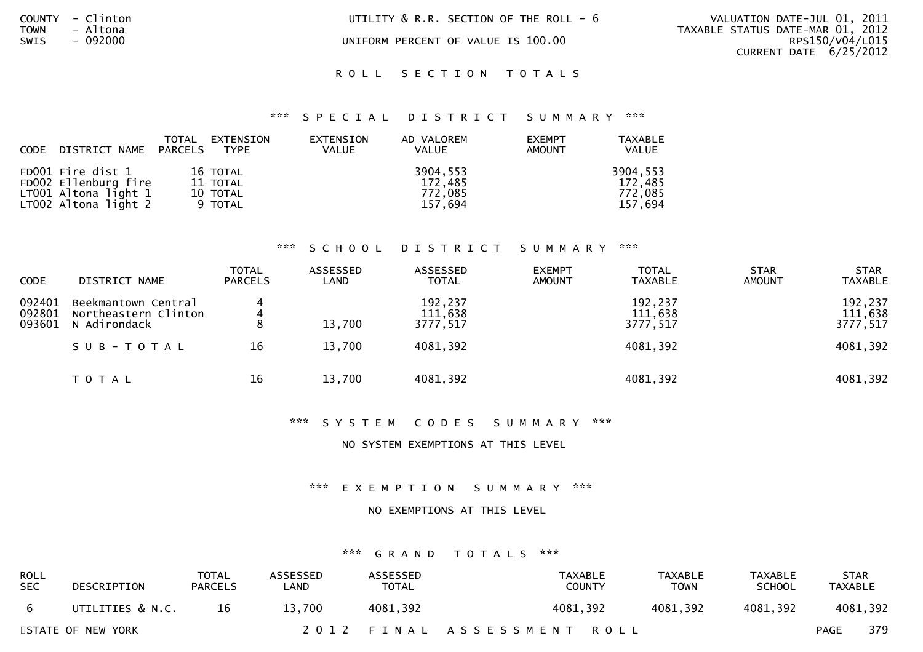| COUNTY | Clintor                            |
|--------|------------------------------------|
| TOWN   | Altona<br>$\sim$                   |
| SWIS   | 092000<br>$\overline{\phantom{0}}$ |

COUNTY - Clinton UTILITY & R.R. SECTION OF THE ROLL - 6 VALUATION DATE-JUL 01, 2011

UNIFORM PERCENT OF VALUE IS 100.00

 TOWN - Altona TAXABLE STATUS DATE-MAR 01, 2012RPS150/V04/L015 CURRENT DATE 6/25/2012

### ROLL SECTION TOTALS

### \*\*\* S P E C I A L D I S T R I C T S U M M A R Y \*\*\*

| CODE DISTRICT NAME PARCELS                                                                  | TOTAL | EXTENSION<br><b>TYPE</b>                    | EXTENSION<br><b>VALUE</b> | AD VALOREM<br><b>VALUE</b>                | <b>EXEMPT</b><br>AMOUNT | <b>TAXABLE</b><br>VALUE                   |
|---------------------------------------------------------------------------------------------|-------|---------------------------------------------|---------------------------|-------------------------------------------|-------------------------|-------------------------------------------|
| FD001 Fire dist 1<br>FD002 Ellenburg fire<br>LT001 Altona light $1$<br>LT002 Altona light 2 |       | 16 TOTAL<br>11 TOTAL<br>10 TOTAL<br>9 TOTAL |                           | 3904,553<br>172,485<br>772,085<br>157,694 |                         | 3904,553<br>172,485<br>772,085<br>157,694 |

### \*\*\* S C H O O L D I S T R I C T S U M M A R Y \*\*\*

| <b>CODE</b>                | DISTRICT NAME                                               | <b>TOTAL</b><br><b>PARCELS</b> | ASSESSED<br>LAND | ASSESSED<br><b>TOTAL</b>       | <b>EXEMPT</b><br><b>AMOUNT</b> | <b>TOTAL</b><br><b>TAXABLE</b> | <b>STAR</b><br><b>AMOUNT</b> | <b>STAR</b><br><b>TAXABLE</b>  |
|----------------------------|-------------------------------------------------------------|--------------------------------|------------------|--------------------------------|--------------------------------|--------------------------------|------------------------------|--------------------------------|
| 092401<br>092801<br>093601 | Beekmantown Central<br>Northeastern Clinton<br>N Adirondack | 4<br>4<br>8                    | 13,700           | 192,237<br>111,638<br>3777,517 |                                | 192,237<br>111,638<br>3777,517 |                              | 192,237<br>111,638<br>3777,517 |
|                            | SUB-TOTAL                                                   | 16                             | 13,700           | 4081,392                       |                                | 4081,392                       |                              | 4081,392                       |
|                            | T O T A L                                                   | 16                             | 13,700           | 4081,392                       |                                | 4081,392                       |                              | 4081,392                       |

### \*\*\* S Y S T E M C O D E S S U M M A R Y \*\*\*

### NO SYSTEM EXEMPTIONS AT THIS LEVEL

\*\*\* E X E M P T I O N S U M M A R Y \*\*\*

### NO EXEMPTIONS AT THIS LEVEL

| ROLL<br>SEC. | DESCRIPTION       | TOTAL<br><b>PARCELS</b> | <b>ASSESSED</b><br>_AND | ASSESSED<br><b>TOTAL</b> | TAXABLE<br><b>COUNTY</b>   | <b>TAXABLE</b><br><b>TOWN</b> | <b>TAXABLE</b><br><b>SCHOOL</b> | <b>STAR</b><br>TAXABLE |          |
|--------------|-------------------|-------------------------|-------------------------|--------------------------|----------------------------|-------------------------------|---------------------------------|------------------------|----------|
| - 6          | UTILITIES & N.C.  | 16                      | 13,700                  | 4081,392                 | 4081,392                   | 4081,392                      | 4081,392                        |                        | 4081,392 |
|              | STATE OF NEW YORK |                         |                         |                          | 2012 FINAL ASSESSMENT ROLL |                               |                                 | <b>PAGE</b>            | 379      |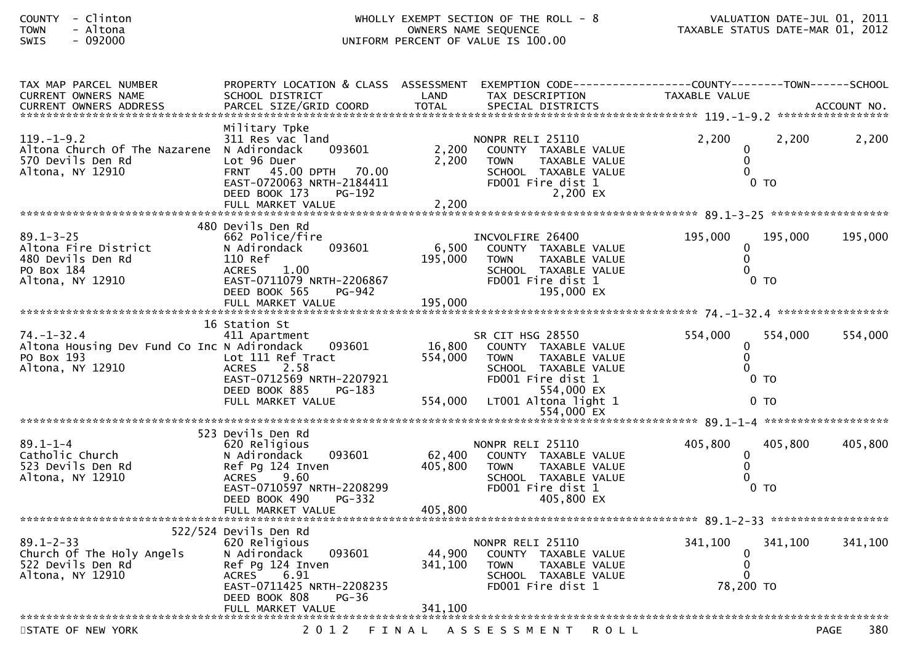## COUNTY - Clinton WHOLLY EXEMPT SECTION OF THE ROLL - 8 VALUATION DATE-JUL 01, 2011 TOWN - Altona OWNERS NAME SEQUENCE TAXABLE STATUS DATE-MAR 01, 2012SWIS - 092000 UNIFORM PERCENT OF VALUE IS 100.00

| TAX MAP PARCEL NUMBER<br>CURRENT OWNERS NAME                                                      | PROPERTY LOCATION & CLASS ASSESSMENT<br>SCHOOL DISTRICT                                                                                                                                    | LAND                         | TAX DESCRIPTION                                                                                                                     | EXEMPTION CODE------------------COUNTY--------TOWN------SCHOOL<br>TAXABLE VALUE |                    |
|---------------------------------------------------------------------------------------------------|--------------------------------------------------------------------------------------------------------------------------------------------------------------------------------------------|------------------------------|-------------------------------------------------------------------------------------------------------------------------------------|---------------------------------------------------------------------------------|--------------------|
| <b>CURRENT OWNERS ADDRESS</b>                                                                     | PARCEL SIZE/GRID COORD                                                                                                                                                                     | <b>TOTAL</b>                 | SPECIAL DISTRICTS                                                                                                                   |                                                                                 | ACCOUNT NO.        |
|                                                                                                   |                                                                                                                                                                                            |                              |                                                                                                                                     |                                                                                 |                    |
| $119. - 1 - 9.2$<br>Altona Church Of The Nazarene<br>570 Devils Den Rd<br>Altona, NY 12910        | Military Tpke<br>311 Res vac land<br>N Adirondack<br>093601<br>Lot 96 Duer<br>FRNT 45.00 DPTH 70.00<br>EAST-0720063 NRTH-2184411<br>PG-192<br>DEED BOOK 173                                | 2,200<br>2,200               | NONPR RELI 25110<br>COUNTY TAXABLE VALUE<br><b>TOWN</b><br>TAXABLE VALUE<br>SCHOOL TAXABLE VALUE<br>FD001 Fire dist 1<br>2,200 EX   | 2,200<br>2,200<br>$\Omega$<br>$0$ TO                                            | 2,200              |
|                                                                                                   | FULL MARKET VALUE                                                                                                                                                                          | 2,200                        |                                                                                                                                     |                                                                                 |                    |
|                                                                                                   | 480 Devils Den Rd                                                                                                                                                                          |                              |                                                                                                                                     |                                                                                 |                    |
| $89.1 - 3 - 25$<br>Altona Fire District<br>480 Devils Den Rd<br>PO Box 184<br>Altona, NY 12910    | 662 Police/fire<br>093601<br>N Adirondack<br>110 Ref<br>1.00<br><b>ACRES</b><br>EAST-0711079 NRTH-2206867<br>DEED BOOK 565<br>PG-942                                                       | 6,500<br>195,000<br>195,000  | INCVOLFIRE 26400<br>COUNTY TAXABLE VALUE<br>TAXABLE VALUE<br><b>TOWN</b><br>SCHOOL TAXABLE VALUE<br>FD001 Fire dist 1<br>195,000 EX | 195,000<br>195,000<br>0<br>$\Omega$<br>0 TO                                     | 195,000            |
|                                                                                                   | FULL MARKET VALUE                                                                                                                                                                          |                              |                                                                                                                                     |                                                                                 |                    |
| $74. - 1 - 32.4$<br>Altona Housing Dev Fund Co Inc N Adirondack<br>PO Box 193<br>Altona, NY 12910 | 16 Station St<br>411 Apartment<br>093601<br>Lot 111 Ref Tract<br><b>ACRES</b><br>2.58<br>EAST-0712569 NRTH-2207921<br>DEED BOOK 885<br>PG-183                                              | 16,800<br>554,000            | SR CIT HSG 28550<br>COUNTY TAXABLE VALUE<br><b>TOWN</b><br>TAXABLE VALUE<br>SCHOOL TAXABLE VALUE<br>FD001 Fire dist 1<br>554,000 EX | 554,000<br>554,000<br>0<br>$\mathbf 0$<br>0 <sub>TO</sub>                       | 554,000            |
|                                                                                                   | FULL MARKET VALUE                                                                                                                                                                          | 554,000                      | LT001 Altona light 1<br>554,000 EX                                                                                                  | $0$ TO                                                                          |                    |
|                                                                                                   |                                                                                                                                                                                            |                              |                                                                                                                                     |                                                                                 |                    |
| $89.1 - 1 - 4$<br>Catholic Church<br>523 Devils Den Rd<br>Altona, NY 12910                        | 523 Devils Den Rd<br>620 Religious<br>093601<br>N Adirondack<br>Ref Pg 124 Inven<br>9.60<br><b>ACRES</b><br>EAST-0710597 NRTH-2208299<br>DEED BOOK 490<br>PG-332<br>FULL MARKET VALUE      | 62,400<br>405,800<br>405,800 | NONPR RELI 25110<br>COUNTY TAXABLE VALUE<br>TAXABLE VALUE<br><b>TOWN</b><br>SCHOOL TAXABLE VALUE<br>FD001 Fire dist 1<br>405,800 EX | 405,800<br>405,800<br>0<br>$\Omega$<br>0 <sub>T</sub>                           | 405,800            |
|                                                                                                   |                                                                                                                                                                                            |                              |                                                                                                                                     |                                                                                 |                    |
| $89.1 - 2 - 33$<br>Church Of The Holy Angels<br>522 Devils Den Rd<br>Altona, NY 12910             | 522/524 Devils Den Rd<br>620 Religious<br>093601<br>N Adirondack<br>Ref Pg 124 Inven<br><b>ACRES</b><br>6.91<br>EAST-0711425 NRTH-2208235<br>DEED BOOK 808<br>$PG-36$<br>FULL MARKET VALUE | 44,900<br>341,100<br>341,100 | NONPR RELI 25110<br>COUNTY TAXABLE VALUE<br><b>TOWN</b><br>TAXABLE VALUE<br>SCHOOL TAXABLE VALUE<br>FD001 Fire dist 1               | 341,100<br>341,100<br>0<br>$\Omega$<br>$\Omega$<br>78,200 TO                    | 341,100            |
|                                                                                                   |                                                                                                                                                                                            |                              |                                                                                                                                     |                                                                                 |                    |
| STATE OF NEW YORK                                                                                 | 2 0 1 2                                                                                                                                                                                    | FINAL                        | A S S E S S M E N T<br><b>ROLL</b>                                                                                                  |                                                                                 | 380<br><b>PAGE</b> |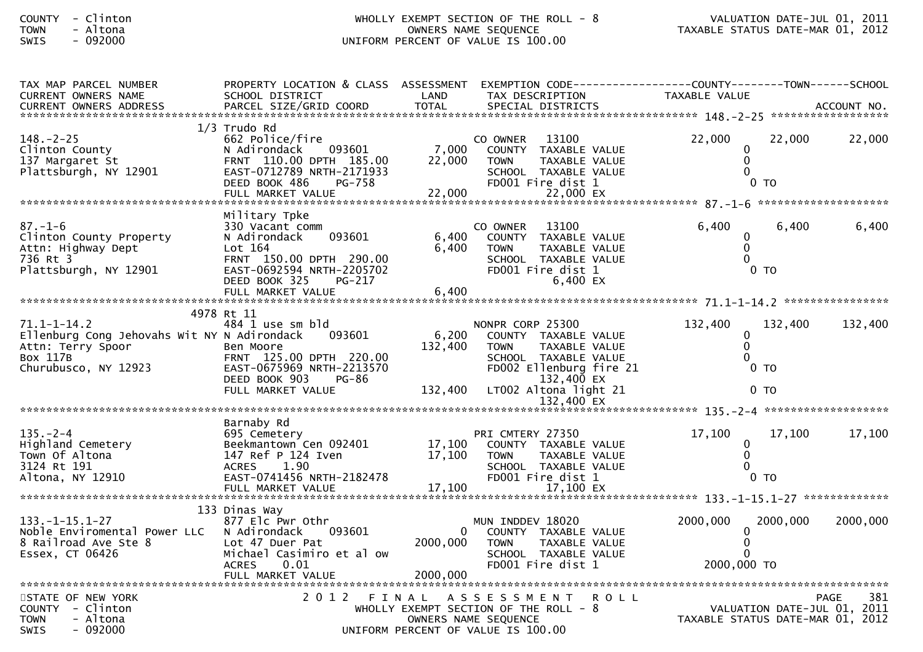## COUNTY - Clinton WHOLLY EXEMPT SECTION OF THE ROLL - 8 VALUATION DATE-JUL 01, 2011 TOWN - Altona OWNERS NAME SEQUENCE TAXABLE STATUS DATE-MAR 01, 2012SWIS - 092000 UNIFORM PERCENT OF VALUE IS 100.00

| TAX MAP PARCEL NUMBER<br><b>CURRENT OWNERS NAME</b>                                                                              | PROPERTY LOCATION & CLASS ASSESSMENT<br>SCHOOL DISTRICT                                                                                                      | LAND                        | EXEMPTION        CODE------------------COUNTY-------TOWN------SCHOOL<br>TAX DESCRIPTION                                                                            | TAXABLE VALUE                                                |                                                 |
|----------------------------------------------------------------------------------------------------------------------------------|--------------------------------------------------------------------------------------------------------------------------------------------------------------|-----------------------------|--------------------------------------------------------------------------------------------------------------------------------------------------------------------|--------------------------------------------------------------|-------------------------------------------------|
|                                                                                                                                  |                                                                                                                                                              |                             |                                                                                                                                                                    |                                                              |                                                 |
|                                                                                                                                  | $1/3$ Trudo Rd                                                                                                                                               |                             |                                                                                                                                                                    |                                                              |                                                 |
| $148. - 2 - 25$<br>Clinton County<br>137 Margaret St<br>Plattsburgh, NY 12901                                                    | 662 Police/fire<br>093601<br>N Adirondack<br>FRNT 110.00 DPTH 185.00<br>EAST-0712789 NRTH-2171933                                                            | 7,000<br>22,000             | 13100<br>CO OWNER<br>COUNTY TAXABLE VALUE<br><b>TOWN</b><br>TAXABLE VALUE<br>SCHOOL TAXABLE VALUE                                                                  | 22,000<br>0<br>$\mathbf 0$<br>$\Omega$                       | 22,000<br>22,000                                |
|                                                                                                                                  | PG-758<br>DEED BOOK 486                                                                                                                                      |                             | FD001 Fire dist 1                                                                                                                                                  | 0 <sub>T</sub>                                               |                                                 |
|                                                                                                                                  |                                                                                                                                                              |                             |                                                                                                                                                                    |                                                              |                                                 |
| $87. - 1 - 6$<br>Clinton County Property<br>Attn: Highway Dept<br>736 Rt 3<br>Plattsburgh, NY 12901                              | Military Tpke<br>330 Vacant comm<br>093601<br>N Adirondack<br>Lot $164$<br>FRNT 150.00 DPTH 290.00<br>EAST-0692594 NRTH-2205702                              | 6,400<br>6,400              | 13100<br>CO OWNER<br>COUNTY TAXABLE VALUE<br><b>TOWN</b><br>TAXABLE VALUE<br>SCHOOL TAXABLE VALUE<br>FD001 Fire dist 1                                             | 6,400<br>$\mathbf{0}$<br>0 <sub>T</sub>                      | 6,400<br>6,400                                  |
|                                                                                                                                  | DEED BOOK 325<br>PG-217<br>FULL MARKET VALUE                                                                                                                 | 6,400                       | 6,400 EX                                                                                                                                                           |                                                              |                                                 |
|                                                                                                                                  |                                                                                                                                                              |                             |                                                                                                                                                                    |                                                              |                                                 |
| $71.1 - 1 - 14.2$<br>Ellenburg Cong Jehovahs Wit NY N Adirondack<br>Attn: Terry Spoor<br><b>BOX 117B</b><br>Churubusco, NY 12923 | 4978 Rt 11<br>484 1 use sm bld<br>093601<br>Ben Moore<br>FRNT 125.00 DPTH 220.00<br>EAST-0675969 NRTH-2213570<br>DEED BOOK 903<br>PG-86<br>FULL MARKET VALUE | 6,200<br>132,400<br>132,400 | NONPR CORP 25300<br>COUNTY TAXABLE VALUE<br>TAXABLE VALUE<br><b>TOWN</b><br>SCHOOL TAXABLE VALUE<br>FD002 Ellenburg fire 21<br>132,400 EX<br>LT002 Altona light 21 | 132,400<br>0<br>$\Omega$<br>0 <sub>T</sub><br>0 <sub>T</sub> | 132,400<br>132,400                              |
|                                                                                                                                  |                                                                                                                                                              |                             | 132,400 EX                                                                                                                                                         |                                                              |                                                 |
|                                                                                                                                  | Barnaby Rd                                                                                                                                                   |                             |                                                                                                                                                                    |                                                              |                                                 |
| $135. - 2 - 4$<br>Highland Cemetery<br>Town Of Altona<br>3124 Rt 191<br>Altona, NY 12910                                         | 695 Cemetery<br>Beekmantown Cen 092401<br>147 Ref P 124 Iven<br>1.90<br><b>ACRES</b><br>EAST-0741456 NRTH-2182478<br>FULL MARKET VALUE                       | 17,100<br>17,100<br>17,100  | PRI CMTERY 27350<br>COUNTY TAXABLE VALUE<br><b>TOWN</b><br>TAXABLE VALUE<br>SCHOOL TAXABLE VALUE<br>FD001 Fire dist 1<br>17,100 EX                                 | 17,100<br>0<br>$\Omega$<br>0 <sub>T</sub>                    | 17,100<br>17,100                                |
|                                                                                                                                  |                                                                                                                                                              |                             |                                                                                                                                                                    |                                                              |                                                 |
| $133. - 1 - 15.1 - 27$<br>Noble Enviromental Power LLC<br>8 Railroad Ave Ste 8<br>Essex, CT 06426                                | 133 Dinas Way<br>877 Elc Pwr Othr<br>N Adirondack<br>093601<br>Lot 47 Duer Pat<br>Michael Casimiro et al ow<br><b>ACRES</b><br>0.01                          | 0<br>2000,000               | MUN INDDEV 18020<br>COUNTY TAXABLE VALUE<br><b>TOWN</b><br>TAXABLE VALUE<br>SCHOOL TAXABLE VALUE<br>FD001 Fire dist 1                                              | 2000,000<br>0<br>2000,000 TO                                 | 2000,000<br>2000,000                            |
|                                                                                                                                  | FULL MARKET VALUE                                                                                                                                            | 2000,000                    |                                                                                                                                                                    |                                                              |                                                 |
| STATE OF NEW YORK<br>COUNTY - Clinton<br><b>TOWN</b><br>- Altona<br><b>SWIS</b><br>- 092000                                      | 2012 FINAL                                                                                                                                                   |                             | <b>ROLL</b><br>A S S E S S M E N T<br>WHOLLY EXEMPT SECTION OF THE ROLL $-8$<br>OWNERS NAME SEQUENCE<br>UNIFORM PERCENT OF VALUE IS 100.00                         | VALUATION DATE-JUL 01, 2011                                  | 381<br>PAGE<br>TAXABLE STATUS DATE-MAR 01, 2012 |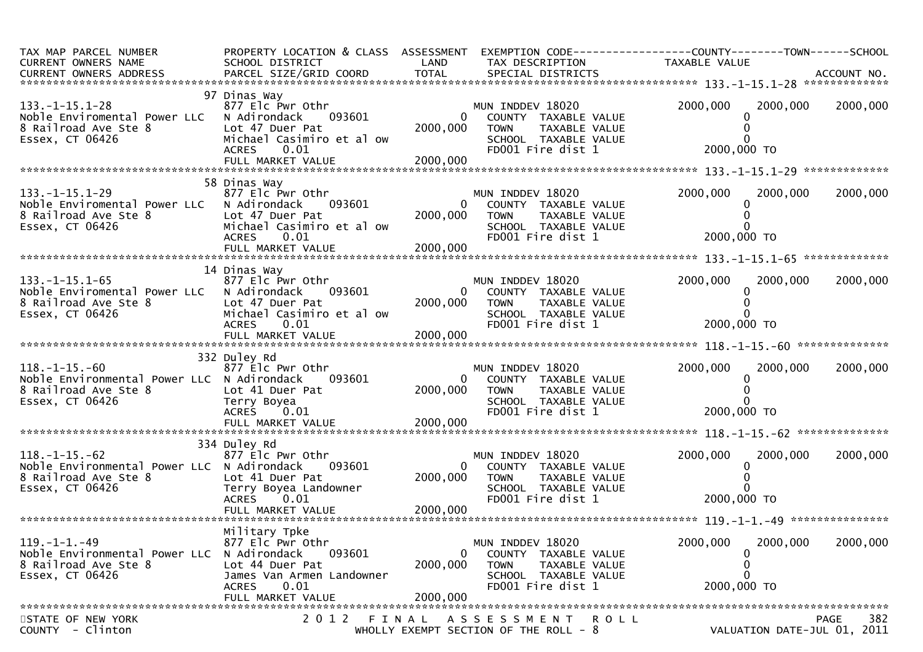| TAX MAP PARCEL NUMBER<br>CURRENT OWNERS NAME<br>CURRENT OWNERS ADDRESS                                         | SCHOOL DISTRICT                                                                                                                    | LAND                                   | TAX DESCRIPTION                                                                                                       | PROPERTY LOCATION & CLASS ASSESSMENT EXEMPTION CODE----------------COUNTY-------TOWN------SCHOOL<br>TAXABLE VALUE |                    |
|----------------------------------------------------------------------------------------------------------------|------------------------------------------------------------------------------------------------------------------------------------|----------------------------------------|-----------------------------------------------------------------------------------------------------------------------|-------------------------------------------------------------------------------------------------------------------|--------------------|
|                                                                                                                |                                                                                                                                    |                                        |                                                                                                                       |                                                                                                                   |                    |
| $133. -1 - 15.1 - 28$<br>Noble Enviromental Power LLC<br>8 Railroad Ave Ste 8<br>Essex, CT 06426               | 97 Dinas Way<br>877 Elc Pwr Othr<br>N Adirondack<br>093601<br>Lot 47 Duer Pat<br>Michael Casimiro et al ow<br>0.01<br><b>ACRES</b> | $\overline{0}$<br>2000,000             | MUN INDDEV 18020<br>COUNTY TAXABLE VALUE<br>TAXABLE VALUE<br><b>TOWN</b><br>SCHOOL TAXABLE VALUE<br>FD001 Fire dist 1 | 2000,000<br>2000,000<br>2000,000 TO                                                                               | 2000,000           |
|                                                                                                                |                                                                                                                                    |                                        |                                                                                                                       |                                                                                                                   |                    |
| $133. -1 - 15.1 - 29$<br>Noble Enviromental Power LLC<br>8 Railroad Ave Ste 8<br>Essex, CT 06426               | 58 Dinas Way<br>877 Elc Pwr Othr<br>093601<br>N Adirondack<br>Lot 47 Duer Pat<br>Michael Casimiro et al ow<br>0.01<br><b>ACRES</b> | $\mathbf{0}$<br>2000,000               | MUN INDDEV 18020<br>COUNTY TAXABLE VALUE<br>TAXABLE VALUE<br><b>TOWN</b><br>SCHOOL TAXABLE VALUE<br>FD001 Fire dist 1 | 2000,000<br>2000,000<br>0<br>2000,000 TO                                                                          | 2000,000           |
|                                                                                                                |                                                                                                                                    |                                        |                                                                                                                       |                                                                                                                   |                    |
| $133. - 1 - 15.1 - 65$<br>Noble Enviromental Power LLC N Adirondack<br>8 Railroad Ave Ste 8                    | 14 Dinas Way<br>877 Elc Pwr Othr<br>093601<br>Lot 47 Duer Pat                                                                      | 2000,000                               | MUN INDDEV 18020<br>0 COUNTY TAXABLE VALUE<br><b>TOWN</b><br>TAXABLE VALUE                                            | 2000,000<br>2000,000                                                                                              | 2000,000           |
| Essex, CT 06426                                                                                                | Michael Casimiro et al ow<br>0.01<br><b>ACRES</b>                                                                                  |                                        | SCHOOL TAXABLE VALUE<br>FD001 Fire dist 1                                                                             | 2000,000 TO                                                                                                       |                    |
|                                                                                                                |                                                                                                                                    |                                        |                                                                                                                       |                                                                                                                   |                    |
| $118. - 1 - 15. - 60$<br>Noble Environmental Power LLC N Adirondack<br>8 Railroad Ave Ste 8<br>Essex, CT 06426 | 332 Duley Rd<br>877 Elc Pwr Othr<br>093601<br>Lot 41 Duer Pat<br>Terry Boyea<br>ACRES 0.01<br>FULL MARKET VALUE                    | $\overline{0}$<br>2000,000<br>2000,000 | MUN INDDEV 18020<br>COUNTY TAXABLE VALUE<br><b>TOWN</b><br>TAXABLE VALUE<br>SCHOOL TAXABLE VALUE<br>FD001 Fire dist 1 | 2000,000<br>2000,000<br>0<br>2000,000 ТО                                                                          | 2000,000           |
|                                                                                                                | 334 Duley Rd                                                                                                                       |                                        |                                                                                                                       |                                                                                                                   |                    |
| $118. - 1 - 15. - 62$<br>Noble Environmental Power LLC N Adirondack<br>8 Railroad Ave Ste 8<br>Essex, CT 06426 | 877 Elc Pwr Othr<br>093601<br>Lot 41 Duer Pat<br>Terry Boyea Landowner<br><b>ACRES</b><br>0.01                                     | $\mathbf{0}$<br>2000,000               | MUN INDDEV 18020<br>COUNTY TAXABLE VALUE<br>TAXABLE VALUE<br>TOWN<br>SCHOOL TAXABLE VALUE<br>FD001 Fire dist 1        | 2000,000<br>2000,000<br>0<br>2000,000 TO                                                                          | 2000,000           |
|                                                                                                                |                                                                                                                                    |                                        |                                                                                                                       |                                                                                                                   |                    |
|                                                                                                                | Military Tpke                                                                                                                      |                                        |                                                                                                                       |                                                                                                                   |                    |
| $119. - 1 - 1. - 49$<br>Noble Environmental Power LLC<br>8 Railroad Ave Ste 8<br>Essex, CT 06426               | 877 Elc Pwr Othr<br>N Adirondack<br>093601<br>Lot 44 Duer Pat<br>James Van Armen Landowner<br>0.01<br><b>ACRES</b>                 | 0<br>2000,000                          | MUN INDDEV 18020<br>COUNTY TAXABLE VALUE<br><b>TOWN</b><br>TAXABLE VALUE<br>SCHOOL TAXABLE VALUE<br>FD001 Fire dist 1 | 2000,000<br>2000,000<br>0<br>0<br>0<br>2000,000 TO                                                                | 2000,000           |
|                                                                                                                | FULL MARKET VALUE                                                                                                                  | 2000,000                               |                                                                                                                       |                                                                                                                   |                    |
| STATE OF NEW YORK<br>COUNTY - Clinton                                                                          | 2 0 1 2<br>FINAL                                                                                                                   |                                        | A S S E S S M E N T<br>ROLL<br>WHOLLY EXEMPT SECTION OF THE ROLL - 8                                                  | VALUATION DATE-JUL 01, 2011                                                                                       | 382<br><b>PAGE</b> |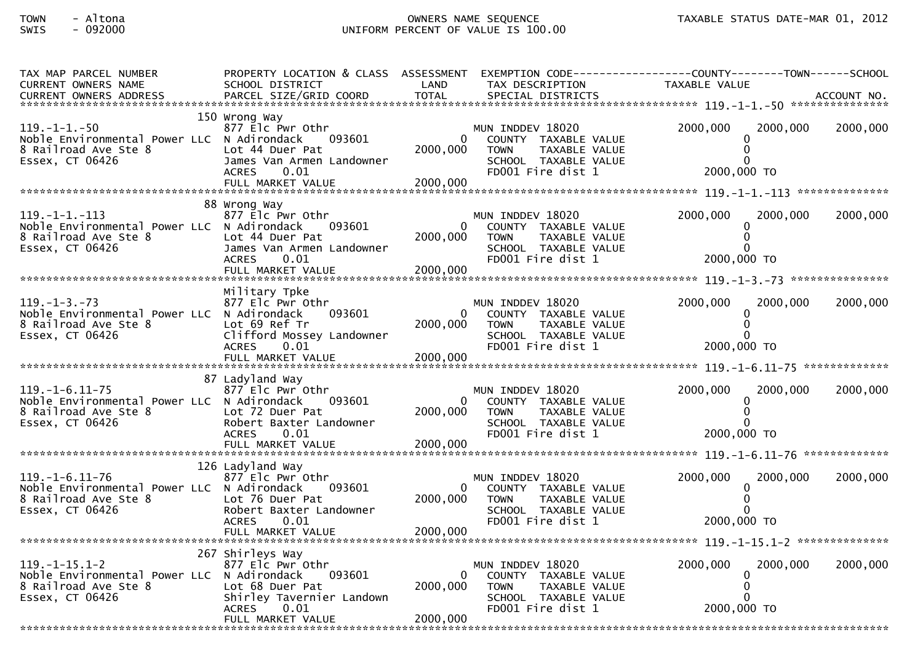# TOWN - Altona OWNERS NAME SEQUENCE TAXABLE STATUS DATE-MAR 01, 2012SWIS - 092000 UNIFORM PERCENT OF VALUE IS 100.00

| TAX MAP PARCEL NUMBER<br><b>CURRENT OWNERS NAME</b>                                                                                                                    | SCHOOL DISTRICT                                   | LAND                     | TAX DESCRIPTION                                      | PROPERTY LOCATION & CLASS ASSESSMENT EXEMPTION CODE----------------COUNTY-------TOWN------SCHOOL<br>TAXABLE VALUE |          |
|------------------------------------------------------------------------------------------------------------------------------------------------------------------------|---------------------------------------------------|--------------------------|------------------------------------------------------|-------------------------------------------------------------------------------------------------------------------|----------|
| -CURRENT OWNERS ADDRESS FARCEL SIZE/GRID COORD TOTAL SPECIAL DISTRICTS AND MONERS ADDRESS FARCEL SIZE/GRID COORD TOTAL SPECIAL DISTRICTS AND MANUSCRIPT OWNERS ADDRESS |                                                   |                          |                                                      |                                                                                                                   |          |
|                                                                                                                                                                        | 150 Wrong Way                                     |                          |                                                      |                                                                                                                   |          |
| $119. - 1 - 1. - 50$                                                                                                                                                   | 877 Elc Pwr Othr                                  |                          | MUN INDDEV 18020                                     | 2000,000<br>2000,000                                                                                              | 2000,000 |
| Noble Environmental Power LLC N Adirondack<br>8 Railroad Ave Ste 8                                                                                                     | 093601<br>Lot 44 Duer Pat                         | 2000,000                 | COUNTY TAXABLE VALUE<br>TAXABLE VALUE<br><b>TOWN</b> | $\Omega$                                                                                                          |          |
| Essex, CT 06426                                                                                                                                                        | James Van Armen Landowner<br><b>ACRES</b><br>0.01 |                          | SCHOOL TAXABLE VALUE<br>FD001 Fire dist 1            | 2000,000 TO                                                                                                       |          |
|                                                                                                                                                                        |                                                   |                          |                                                      |                                                                                                                   |          |
|                                                                                                                                                                        | 88 Wrong Way                                      |                          |                                                      |                                                                                                                   |          |
| $119. -1 -1. -113$                                                                                                                                                     | 877 Elc Pwr Othr                                  |                          | MUN INDDEV 18020                                     | 2000,000<br>2000,000                                                                                              | 2000,000 |
| Noble Environmental Power LLC N Adirondack<br>8 Railroad Ave Ste 8                                                                                                     | 093601<br>Lot 44 Duer Pat                         | $\mathbf{0}$<br>2000,000 | COUNTY TAXABLE VALUE<br><b>TOWN</b><br>TAXABLE VALUE |                                                                                                                   |          |
| Essex, CT 06426                                                                                                                                                        | James Van Armen Landowner<br><b>ACRES</b><br>0.01 |                          | SCHOOL TAXABLE VALUE<br>FD001 Fire dist 1            | 2000,000 TO                                                                                                       |          |
|                                                                                                                                                                        |                                                   |                          |                                                      |                                                                                                                   |          |
|                                                                                                                                                                        | Military Tpke                                     |                          |                                                      |                                                                                                                   |          |
| $119. - 1 - 3. - 73$                                                                                                                                                   | 877 Elc Pwr Othr                                  |                          | MUN INDDEV 18020                                     | 2000,000<br>2000,000                                                                                              | 2000,000 |
| Noble Environmental Power LLC N Adirondack<br>8 Railroad Ave Ste 8                                                                                                     | 093601<br>Lot 69 Ref Tr                           | $\Omega$<br>2000,000     | COUNTY TAXABLE VALUE<br><b>TOWN</b><br>TAXABLE VALUE |                                                                                                                   |          |
| Essex, CT 06426                                                                                                                                                        | Clifford Mossey Landowner                         |                          | SCHOOL TAXABLE VALUE                                 |                                                                                                                   |          |
|                                                                                                                                                                        | <b>ACRES</b><br>0.01<br>FULL MARKET VALUE         | 2000,000                 | FD001 Fire dist 1                                    | 2000,000 TO                                                                                                       |          |
|                                                                                                                                                                        |                                                   |                          |                                                      |                                                                                                                   |          |
| $119. - 1 - 6.11 - 75$                                                                                                                                                 | 87 Ladyland Way<br>877 Elc Pwr Othr               |                          | MUN INDDEV 18020                                     | 2000,000<br>2000,000                                                                                              | 2000,000 |
| Noble Environmental Power LLC N Adirondack                                                                                                                             | 093601                                            |                          | COUNTY TAXABLE VALUE                                 |                                                                                                                   |          |
| 8 Railroad Ave Ste 8<br>Essex, CT 06426                                                                                                                                | Lot 72 Duer Pat<br>Robert Baxter Landowner        | 2000,000                 | <b>TOWN</b><br>TAXABLE VALUE<br>SCHOOL TAXABLE VALUE |                                                                                                                   |          |
|                                                                                                                                                                        | 0.01<br><b>ACRES</b>                              |                          | FD001 Fire dist 1                                    | 2000,000 TO                                                                                                       |          |
|                                                                                                                                                                        |                                                   |                          |                                                      |                                                                                                                   |          |
| $119. - 1 - 6.11 - 76$                                                                                                                                                 | 126 Ladyland Way<br>877 Elc Pwr Othr              |                          | MUN INDDEV 18020                                     | 2000,000<br>2000.000                                                                                              | 2000,000 |
| Noble Environmental Power LLC N Adirondack                                                                                                                             | 093601                                            |                          | COUNTY TAXABLE VALUE                                 |                                                                                                                   |          |
| 8 Railroad Ave Ste 8<br>Essex, CT 06426                                                                                                                                | Lot 76 Duer Pat<br>Robert Baxter Landowner        | 2000,000                 | TAXABLE VALUE<br><b>TOWN</b><br>SCHOOL TAXABLE VALUE |                                                                                                                   |          |
|                                                                                                                                                                        | <b>ACRES</b><br>0.01                              |                          | FD001 Fire dist 1                                    | 2000,000 TO                                                                                                       |          |
|                                                                                                                                                                        |                                                   |                          |                                                      |                                                                                                                   |          |
|                                                                                                                                                                        | 267 Shirleys Way                                  |                          |                                                      |                                                                                                                   |          |
| $119. - 1 - 15.1 - 2$<br>Noble Environmental Power LLC N Adirondack                                                                                                    | 877 Elc Pwr Othr<br>093601                        | $\Omega$                 | MUN INDDEV 18020<br>COUNTY TAXABLE VALUE             | 2000,000<br>2000,000                                                                                              | 2000,000 |
| 8 Railroad Ave Ste 8<br>Essex, CT 06426                                                                                                                                | Lot 68 Duer Pat<br>Shirley Tavernier Landown      | 2000,000                 | <b>TOWN</b><br>TAXABLE VALUE<br>SCHOOL TAXABLE VALUE | 0                                                                                                                 |          |
|                                                                                                                                                                        | <b>ACRES</b><br>0.01                              |                          | FD001 Fire dist 1                                    | 2000,000 TO                                                                                                       |          |
|                                                                                                                                                                        | FULL MARKET VALUE                                 | 2000,000                 |                                                      |                                                                                                                   |          |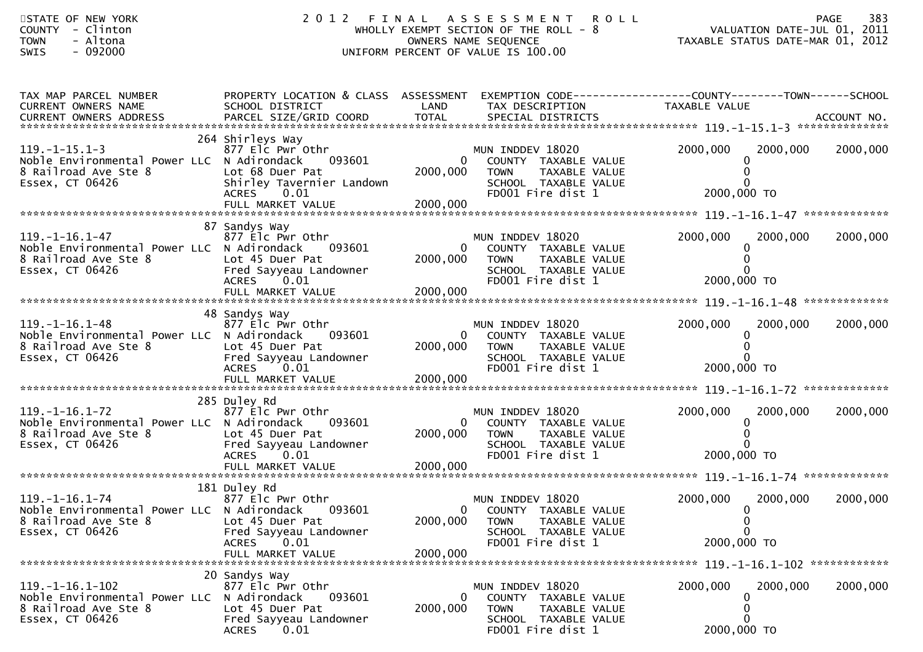| STATE OF NEW YORK<br>COUNTY - Clinton<br><b>TOWN</b><br>- Altona<br>SWIS<br>$-092000$                           |                                                                                                                                      |                                      | 2012 FINAL ASSESSMENT ROLL<br>WHOLLY EXEMPT SECTION OF THE ROLL - $8$<br>OWNERS NAME SEQUENCE<br>UNIFORM PERCENT OF VALUE IS 100.00 | VALUATION DATE-JUL 01, 2011<br>TAXABLE STATUS DATE-MAR 01, 2012                                                   | 383<br><b>PAGE</b> |
|-----------------------------------------------------------------------------------------------------------------|--------------------------------------------------------------------------------------------------------------------------------------|--------------------------------------|-------------------------------------------------------------------------------------------------------------------------------------|-------------------------------------------------------------------------------------------------------------------|--------------------|
| TAX MAP PARCEL NUMBER<br>CURRENT OWNERS NAME                                                                    | SCHOOL DISTRICT                                                                                                                      | LAND                                 | TAX DESCRIPTION                                                                                                                     | PROPERTY LOCATION & CLASS ASSESSMENT EXEMPTION CODE----------------COUNTY-------TOWN------SCHOOL<br>TAXABLE VALUE |                    |
| $119. -1 - 15.1 - 3$<br>Noble Environmental Power LLC N Adirondack<br>8 Railroad Ave Ste 8<br>Essex, CT 06426   | 264 Shirleys Way<br>877 Elc Pwr Othr<br>093601<br>Lot 68 Duer Pat<br>Shirley Tavernier Landown<br>ACRES 0.01<br>FULL MARKET VALUE    | $\mathbf{0}$<br>2000,000<br>2000,000 | MUN INDDEV 18020<br>COUNTY TAXABLE VALUE<br><b>TOWN</b><br>TAXABLE VALUE<br>SCHOOL TAXABLE VALUE<br>FD001 Fire dist 1               | 2000,000<br>2000,000<br>0<br>2000,000 TO                                                                          | 2000,000           |
|                                                                                                                 |                                                                                                                                      |                                      |                                                                                                                                     |                                                                                                                   |                    |
| $119. - 1 - 16.1 - 47$<br>Noble Environmental Power LLC N Adirondack<br>8 Railroad Ave Ste 8<br>Essex, CT 06426 | 87 Sandys Way<br>877 Elc Pwr Othr<br>093601<br>Lot 45 Duer Pat<br>Fred Sayyeau Landowner                                             | $\mathbf{0}$<br>2000,000             | MUN INDDEV 18020<br>COUNTY TAXABLE VALUE<br>TAXABLE VALUE<br><b>TOWN</b><br>SCHOOL TAXABLE VALUE                                    | 2000,000<br>2000,000<br>0                                                                                         | 2000,000           |
|                                                                                                                 | <b>ACRES</b><br>0.01                                                                                                                 |                                      | FD001 Fire dist 1                                                                                                                   | 2000,000 TO                                                                                                       |                    |
|                                                                                                                 | 48 Sandys Way                                                                                                                        |                                      |                                                                                                                                     |                                                                                                                   |                    |
| 119. –1–16. 1–48<br>Noble Environmental Power LLC N Adirondack<br>8 Railroad Ave Ste 8<br>Essex, CT 06426       | 877 Elc Pwr Othr<br>093601<br>Lot 45 Duer Pat<br>Fred Sayyeau Landowner<br>ACRES 0.01                                                | 0<br>2000,000                        | MUN INDDEV 18020<br>COUNTY TAXABLE VALUE<br><b>TOWN</b><br>TAXABLE VALUE<br>SCHOOL TAXABLE VALUE<br>FD001 Fire dist 1               | 2000,000<br>2000,000<br>2000,000 TO                                                                               | 2000,000           |
|                                                                                                                 | FULL MARKET VALUE                                                                                                                    | 2000,000                             |                                                                                                                                     |                                                                                                                   |                    |
| $119. - 1 - 16.1 - 72$<br>Noble Environmental Power LLC N Adirondack<br>8 Railroad Ave Ste 8<br>Essex, CT 06426 | 285 Duley Rd<br>877 Elc Pwr Othr<br>093601<br>Lot 45 Duer Pat<br>Fred Sayyeau Landowner<br>ACRES 0.01                                | 0<br>2000,000                        | MUN INDDEV 18020<br>COUNTY TAXABLE VALUE<br><b>TOWN</b><br>TAXABLE VALUE<br>SCHOOL TAXABLE VALUE<br>FD001 Fire dist 1               | 2000,000<br>2000,000<br>2000,000 TO                                                                               | 2000,000           |
|                                                                                                                 |                                                                                                                                      |                                      |                                                                                                                                     |                                                                                                                   |                    |
| $119. - 1 - 16.1 - 74$<br>Noble Environmental Power LLC N Adirondack<br>8 Railroad Ave Ste 8<br>Essex, CT 06426 | 181 Duley Rd<br>877 Elc Pwr Othr<br>093601<br>Lot 45 Duer Pat<br>Fred Sayyeau Landowner<br>0.01<br><b>ACRES</b><br>FULL MARKET VALUE | 0<br>2000,000<br>2000,000            | MUN INDDEV 18020<br>COUNTY TAXABLE VALUE<br><b>TOWN</b><br>TAXABLE VALUE<br>SCHOOL TAXABLE VALUE<br>FD001 Fire dist 1               | 2000,000<br>2000,000<br>U<br>0<br>0<br>2000,000 TO                                                                | 2000,000           |
| 119. -1-16. 1-102<br>Noble Environmental Power LLC<br>8 Railroad Ave Ste 8<br>Essex, CT 06426                   | 20 Sandys Way<br>877 Elc Pwr Othr<br>093601<br>N Adirondack<br>Lot 45 Duer Pat<br>Fred Sayyeau Landowner<br>0.01<br><b>ACRES</b>     | 0<br>2000,000                        | MUN INDDEV 18020<br>COUNTY TAXABLE VALUE<br><b>TOWN</b><br>TAXABLE VALUE<br>SCHOOL TAXABLE VALUE<br>FD001 Fire dist 1               | 2000,000<br>2000,000<br>$\Omega$<br>2000,000 TO                                                                   | 2000,000           |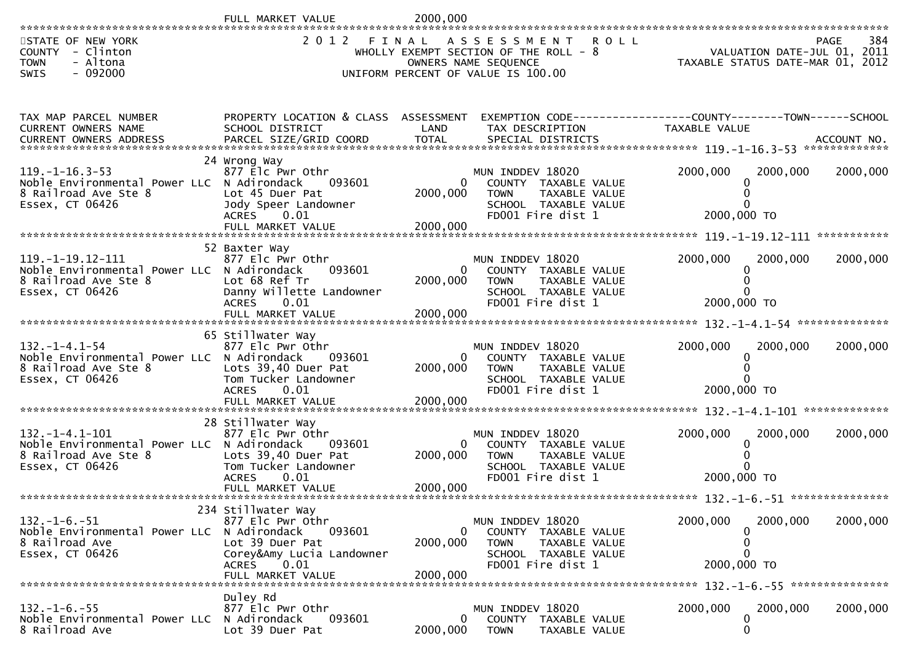|                                                                                                                  | FULL MARKET VALUE                                                                                                                             | 2000,000                         |                                                                                                                                           |                                                                               |             |
|------------------------------------------------------------------------------------------------------------------|-----------------------------------------------------------------------------------------------------------------------------------------------|----------------------------------|-------------------------------------------------------------------------------------------------------------------------------------------|-------------------------------------------------------------------------------|-------------|
| STATE OF NEW YORK<br>COUNTY<br>- Clinton<br>- Altona<br><b>TOWN</b><br>$-092000$<br>SWIS                         | 2012<br>FINAL                                                                                                                                 |                                  | A S S E S S M E N T<br><b>ROLL</b><br>WHOLLY EXEMPT SECTION OF THE ROLL - 8<br>OWNERS NAME SEQUENCE<br>UNIFORM PERCENT OF VALUE IS 100.00 | VALUATION DATE-JUL 01, 2011<br>TAXABLE STATUS DATE-MAR 01, 2012               | 384<br>PAGE |
| TAX MAP PARCEL NUMBER<br>CURRENT OWNERS NAME                                                                     | PROPERTY LOCATION & CLASS ASSESSMENT<br>SCHOOL DISTRICT                                                                                       | LAND                             | TAX DESCRIPTION                                                                                                                           | EXEMPTION CODE-----------------COUNTY-------TOWN------SCHOOL<br>TAXABLE VALUE |             |
| $119. - 1 - 16.3 - 53$<br>Noble Environmental Power LLC N Adirondack<br>8 Railroad Ave Ste 8<br>Essex, CT 06426  | 24 Wrong Way<br>877 Elc Pwr Othr<br>093601<br>Lot 45 Duer Pat<br>Jody Speer Landowner<br>ACRES 0.01<br>FULL MARKET VALUE                      | 2000,000<br>2000,000             | MUN INDDEV 18020<br>COUNTY TAXABLE VALUE<br>TAXABLE VALUE<br><b>TOWN</b><br>SCHOOL TAXABLE VALUE<br>FD001 Fire dist 1                     | 2000,000<br>2000,000<br>2000,000 TO                                           | 2000,000    |
| $119. -1 - 19.12 - 111$<br>Noble Environmental Power LLC N Adirondack<br>8 Railroad Ave Ste 8<br>Essex, CT 06426 | 52 Baxter Way<br>877 Elc Pwr Othr<br>093601<br>Lot 68 Ref Tr<br>Danny Willette Landowner<br>0.01<br><b>ACRES</b>                              | $\Omega$<br>2000,000<br>2000,000 | MUN INDDEV 18020<br>COUNTY TAXABLE VALUE<br>TAXABLE VALUE<br><b>TOWN</b><br>SCHOOL TAXABLE VALUE<br>FD001 Fire dist 1                     | 2000,000<br>2000,000<br>2000,000 TO                                           | 2000,000    |
| $132. - 1 - 4.1 - 54$<br>Noble Environmental Power LLC N Adirondack<br>8 Railroad Ave Ste 8<br>Essex, CT 06426   | 65 Stillwater Way<br>877 Elc Pwr Othr<br>093601<br>Lots 39,40 Duer Pat<br>Tom Tucker Landowner<br><b>ACRES</b><br>0.01<br>FULL MARKET VALUE   | 0<br>2000,000<br>2000,000        | MUN INDDEV 18020<br>COUNTY TAXABLE VALUE<br>TAXABLE VALUE<br><b>TOWN</b><br>SCHOOL TAXABLE VALUE<br>FD001 Fire dist 1                     | 2000,000<br>2000,000<br>2000,000 TO                                           | 2000,000    |
| $132. -1 - 4.1 - 101$<br>Noble Environmental Power LLC N Adirondack<br>8 Railroad Ave Ste 8<br>Essex, CT 06426   | 28 Stillwater Way<br>877 Elc Pwr Othr<br>093601<br>Lots 39,40 Duer Pat<br>Tom Tucker Landowner<br><b>ACRES</b><br>0.01<br>FULL MARKET VALUE   | $\Omega$<br>2000,000<br>2000,000 | MUN INDDEV 18020<br>COUNTY TAXABLE VALUE<br><b>TOWN</b><br>TAXABLE VALUE<br>SCHOOL TAXABLE VALUE<br>FD001 Fire dist 1                     | 2000,000<br>2000,000<br>2000,000 TO                                           | 2000,000    |
| $132. -1 - 6. -51$<br>Noble Environmental Power LLC N Adirondack<br>8 Railroad Ave<br>Essex, CT 06426            | 234 Stillwater Way<br>877 Elc Pwr Othr<br>093601<br>Lot 39 Duer Pat<br>Corey&Amy Lucia Landowner<br><b>ACRES</b><br>0.01<br>FULL MARKET VALUE | 0<br>2000,000<br>2000,000        | MUN INDDEV 18020<br>COUNTY TAXABLE VALUE<br><b>TOWN</b><br>TAXABLE VALUE<br>SCHOOL TAXABLE VALUE<br>FD001 Fire dist 1                     | 2000,000<br>2000,000<br>2000,000 TO                                           | 2000,000    |
| $132. - 1 - 6. - 55$<br>Noble Environmental Power LLC<br>8 Railroad Ave                                          | Duley Rd<br>877 Elc Pwr Othr<br>N Adirondack<br>093601<br>Lot 39 Duer Pat                                                                     | $\mathbf{0}$<br>2000,000         | MUN INDDEV 18020<br>COUNTY TAXABLE VALUE<br><b>TOWN</b><br>TAXABLE VALUE                                                                  | 2000,000<br>2000,000<br>0<br>0                                                | 2000,000    |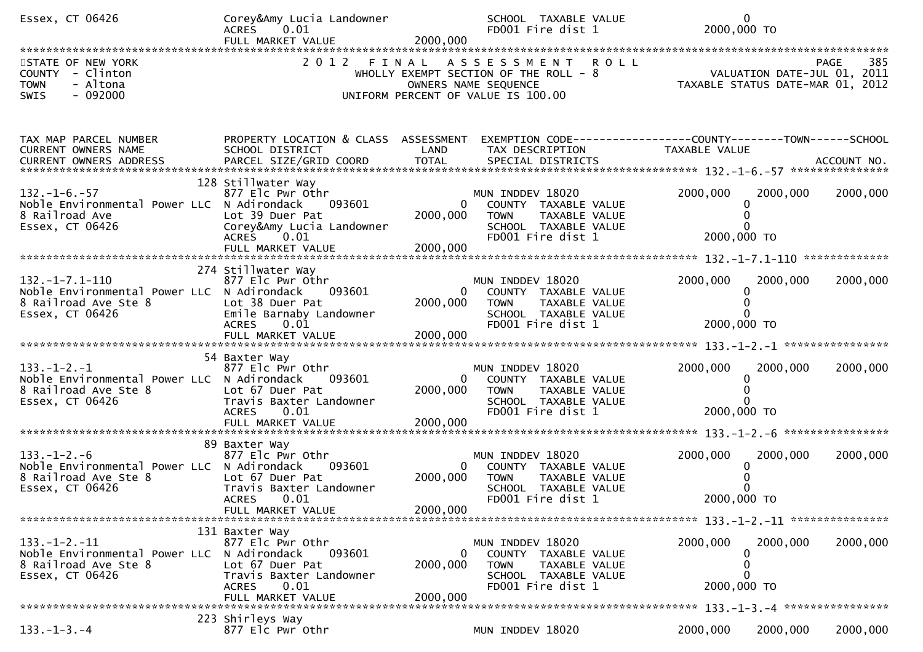| Essex, CT 06426                                                                                                | Corey&Amy Lucia Landowner<br>ACRES 0.01<br>FULL MARKET VALUE                                                                            | 2000,000                             | SCHOOL TAXABLE VALUE<br>FD001 Fire dist 1                                                                                    |               | $\mathbf{0}$<br>2000,000 TO                                                                       |
|----------------------------------------------------------------------------------------------------------------|-----------------------------------------------------------------------------------------------------------------------------------------|--------------------------------------|------------------------------------------------------------------------------------------------------------------------------|---------------|---------------------------------------------------------------------------------------------------|
| STATE OF NEW YORK<br>COUNTY - Clinton<br><b>TOWN</b><br>- Altona<br>$-092000$<br><b>SWIS</b>                   |                                                                                                                                         |                                      | 2012 FINAL ASSESSMENT<br>WHOLLY EXEMPT SECTION OF THE ROLL - 8<br>OWNERS NAME SEQUENCE<br>UNIFORM PERCENT OF VALUE IS 100.00 | <b>ROLL</b>   | 385<br><b>PAGE</b><br>985 PAGE<br>VALUATION DATE-JUL 01, 2011<br>TAXABLE STATUS DATE-MAR 01, 2012 |
| TAX MAP PARCEL NUMBER<br>CURRENT OWNERS NAME                                                                   | PROPERTY LOCATION & CLASS ASSESSMENT<br>SCHOOL DISTRICT                                                                                 | LAND                                 | TAX DESCRIPTION                                                                                                              | TAXABLE VALUE | EXEMPTION CODE------------------COUNTY--------TOWN------SCHOOL                                    |
| $132. - 1 - 6. - 57$<br>Noble Environmental Power LLC N Adirondack<br>8 Railroad Ave<br>Essex, CT 06426        | 128 Stillwater Way<br>877 Elc Pwr Othr<br>093601<br>Lot 39 Duer Pat<br>Corey&Amy Lucia Landowner<br>ACRES 0.01                          | $\mathbf{0}$<br>2000,000             | MUN INDDEV 18020<br>COUNTY TAXABLE VALUE<br><b>TOWN</b><br>TAXABLE VALUE<br>SCHOOL TAXABLE VALUE<br>FD001 Fire dist 1        | 2000,000      | 2000,000<br>2000,000<br>2000,000 TO                                                               |
| $132. -1 - 7.1 - 110$<br>Noble Environmental Power LLC N Adirondack<br>8 Railroad Ave Ste 8<br>Essex, CT 06426 | 274 Stillwater Way<br>877 Elc Pwr Othr<br>093601<br>Lot 38 Duer Pat<br>Emile Barnaby Landowner<br>ACRES 0.01                            | $\overline{0}$<br>2000,000           | MUN INDDEV 18020<br>COUNTY TAXABLE VALUE<br><b>TOWN</b><br>TAXABLE VALUE<br>SCHOOL TAXABLE VALUE<br>FD001 Fire dist 1        | 2000,000      | 2000,000<br>2000,000<br>2000,000 TO                                                               |
|                                                                                                                |                                                                                                                                         |                                      |                                                                                                                              |               |                                                                                                   |
| $133. - 1 - 2. - 1$<br>Noble Environmental Power LLC N Adirondack<br>8 Railroad Ave Ste 8<br>Essex, CT 06426   | 54 Baxter Way<br>877 Elc Pwr Othr<br>093601<br>Lot 67 Duer Pat<br>Travis Baxter Landowner<br>0.01<br><b>ACRES</b>                       | $\overline{0}$<br>2000,000           | MUN INDDEV 18020<br>COUNTY TAXABLE VALUE<br>TAXABLE VALUE<br>TOWN<br>SCHOOL TAXABLE VALUE<br>FD001 Fire dist 1               | 2000,000      | 2000,000<br>2000,000<br>0<br>2000,000 TO                                                          |
|                                                                                                                | 89 Baxter Way                                                                                                                           |                                      |                                                                                                                              |               |                                                                                                   |
| $133. - 1 - 2. - 6$<br>Noble Environmental Power LLC N Adirondack<br>8 Railroad Ave Ste 8<br>Essex, CT 06426   | 877 Elc Pwr Othr<br>093601<br>Lot 67 Duer Pat<br>Travis Baxter Landowner<br>ACRES 0.01                                                  | $\overline{0}$<br>2000,000           | MUN INDDEV 18020<br>COUNTY TAXABLE VALUE<br><b>TOWN</b><br>TAXABLE VALUE<br>SCHOOL TAXABLE VALUE<br>FD001 Fire dist 1        | 2000,000      | 2000,000<br>2000,000<br>2000,000 TO                                                               |
|                                                                                                                | FULL MARKET VALUE                                                                                                                       | 2000,000                             |                                                                                                                              |               |                                                                                                   |
| $133. - 1 - 2. - 11$<br>Noble Environmental Power LLC N Adirondack<br>8 Railroad Ave Ste 8<br>Essex, CT 06426  | 131 Baxter Way<br>877 Elc Pwr Othr<br>093601<br>Lot 67 Duer Pat<br>Travis Baxter Landowner<br>0.01<br><b>ACRES</b><br>FULL MARKET VALUE | $\mathbf{0}$<br>2000,000<br>2000,000 | MUN INDDEV 18020<br>COUNTY TAXABLE VALUE<br><b>TOWN</b><br>TAXABLE VALUE<br>SCHOOL TAXABLE VALUE<br>FD001 Fire dist 1        | 2000,000      | 2000,000<br>2000,000<br>0<br>2000,000 TO                                                          |
|                                                                                                                | 223 Shirleys Way                                                                                                                        |                                      |                                                                                                                              |               |                                                                                                   |
| $133. - 1 - 3. - 4$                                                                                            | 877 Elc Pwr Othr                                                                                                                        |                                      | MUN INDDEV 18020                                                                                                             | 2000,000      | 2000,000<br>2000,000                                                                              |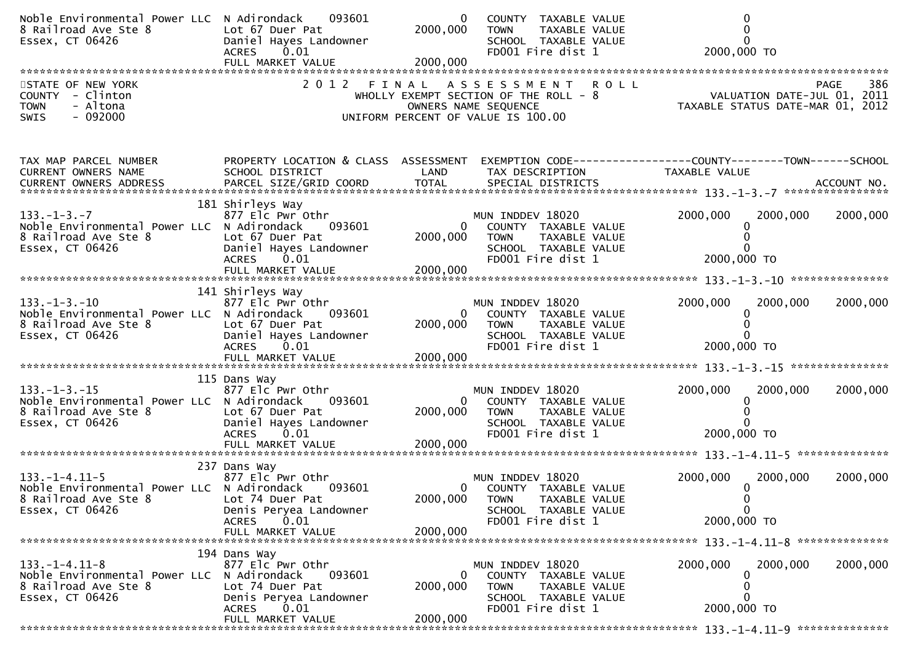| Noble Environmental Power LLC N Adirondack<br>8 Railroad Ave Ste 8<br>Essex, CT 06426                          | 093601<br>Lot 67 Duer Pat<br>Daniel Hayes Landowner<br><b>ACRES</b><br>0.01                                                              | 0<br>2000,000                    | COUNTY TAXABLE VALUE<br>TAXABLE VALUE<br><b>TOWN</b><br>SCHOOL TAXABLE VALUE<br>FD001 Fire dist 1                                 | $\Omega$<br>2000,000 TO                                                                                 |          |
|----------------------------------------------------------------------------------------------------------------|------------------------------------------------------------------------------------------------------------------------------------------|----------------------------------|-----------------------------------------------------------------------------------------------------------------------------------|---------------------------------------------------------------------------------------------------------|----------|
| STATE OF NEW YORK<br>COUNTY - Clinton<br>- Altona<br><b>TOWN</b><br>$-092000$<br><b>SWIS</b>                   |                                                                                                                                          |                                  | 2012 FINAL ASSESSMENT ROLL<br>WHOLLY EXEMPT SECTION OF THE ROLL - 8<br>OWNERS NAME SEQUENCE<br>UNIFORM PERCENT OF VALUE IS 100.00 | 986 PAGE<br>VALUATION DATE-JUL 01, 2011<br>TAXARLE STATUS BATE 2011<br>TAXABLE STATUS DATE-MAR 01, 2012 |          |
| TAX MAP PARCEL NUMBER<br>CURRENT OWNERS NAME                                                                   | PROPERTY LOCATION & CLASS ASSESSMENT<br>SCHOOL DISTRICT                                                                                  | LAND                             | TAX DESCRIPTION                                                                                                                   | EXEMPTION CODE------------------COUNTY--------TOWN------SCHOOL<br>TAXABLE VALUE                         |          |
|                                                                                                                |                                                                                                                                          |                                  |                                                                                                                                   |                                                                                                         |          |
| $133. - 1 - 3. - 7$<br>Noble Environmental Power LLC N Adirondack<br>8 Railroad Ave Ste 8<br>Essex, CT 06426   | 181 Shirleys Way<br>877 Elc Pwr Othr<br>093601<br>Lot 67 Duer Pat<br>Daniel Hayes Landowner<br><b>ACRES</b><br>0.01                      | 2000,000                         | MUN INDDEV 18020<br>COUNTY TAXABLE VALUE<br><b>TOWN</b><br>TAXABLE VALUE<br>SCHOOL TAXABLE VALUE<br>FD001 Fire dist 1             | 2000,000<br>2000,000<br>2000,000 TO                                                                     | 2000,000 |
|                                                                                                                |                                                                                                                                          |                                  |                                                                                                                                   |                                                                                                         |          |
| $133. - 1 - 3. - 10$<br>Noble Environmental Power LLC N Adirondack<br>8 Railroad Ave Ste 8<br>Essex, CT 06426  | 141 Shirleys Way<br>877 Elc Pwr Othr<br>093601<br>Lot 67 Duer Pat<br>Daniel Hayes Landowner<br><b>ACRES</b><br>0.01<br>FULL MARKET VALUE | $\Omega$<br>2000,000<br>2000,000 | MUN INDDEV 18020<br>COUNTY TAXABLE VALUE<br><b>TOWN</b><br>TAXABLE VALUE<br>SCHOOL TAXABLE VALUE<br>FD001 Fire dist 1             | 2000,000<br>2000,000<br>2000,000 TO                                                                     | 2000,000 |
|                                                                                                                | 115 Dans Way                                                                                                                             |                                  |                                                                                                                                   |                                                                                                         |          |
| $133. - 1 - 3. - 15$<br>Noble Environmental Power LLC N Adirondack<br>8 Railroad Ave Ste 8<br>Essex, CT 06426  | 877 Elc Pwr Othr<br>093601<br>Lot 67 Duer Pat<br>Daniel Hayes Landowner<br><b>ACRES</b><br>0.01                                          | $\mathbf{0}$<br>2000,000         | MUN INDDEV 18020<br>COUNTY TAXABLE VALUE<br><b>TOWN</b><br>TAXABLE VALUE<br>SCHOOL TAXABLE VALUE<br>FD001 Fire dist 1             | 2000,000<br>2000,000<br><sup>0</sup><br>2000,000 TO                                                     | 2000,000 |
|                                                                                                                | FULL MARKET VALUE                                                                                                                        | 2000,000                         |                                                                                                                                   |                                                                                                         |          |
| $133. - 1 - 4.11 - 5$<br>Noble Environmental Power LLC N Adirondack<br>8 Railroad Ave Ste 8<br>Essex, CT 06426 | 237 Dans Way<br>877 Elc Pwr Othr<br>093601<br>Lot 74 Duer Pat<br>Denis Peryea Landowner                                                  | 2000,000                         | MUN INDDEV 18020<br>COUNTY TAXABLE VALUE<br><b>TOWN</b><br><b>TAXABLE VALUE</b><br>SCHOOL TAXABLE VALUE                           | 2000,000<br>2000,000<br>0<br>$\mathbf 0$                                                                | 2000,000 |
|                                                                                                                | 0.01<br><b>ACRES</b><br>FULL MARKET VALUE                                                                                                | 2000,000                         | FD001 Fire dist 1                                                                                                                 | 2000,000 TO                                                                                             |          |
|                                                                                                                | 194 Dans Way                                                                                                                             |                                  |                                                                                                                                   |                                                                                                         |          |
| $133. - 1 - 4.11 - 8$<br>Noble Environmental Power LLC N Adirondack<br>8 Railroad Ave Ste 8<br>Essex, CT 06426 | 877 Elc Pwr Othr<br>093601<br>Lot 74 Duer Pat<br>Denis Peryea Landowner<br>0.01<br><b>ACRES</b><br>FULL MARKET VALUE                     | 0<br>2000,000<br>2000,000        | MUN INDDEV 18020<br>COUNTY TAXABLE VALUE<br><b>TOWN</b><br>TAXABLE VALUE<br>SCHOOL TAXABLE VALUE<br>FD001 Fire dist 1             | 2000,000<br>2000,000<br>0<br>0<br>0<br>2000,000 TO                                                      | 2000,000 |
|                                                                                                                |                                                                                                                                          |                                  |                                                                                                                                   |                                                                                                         |          |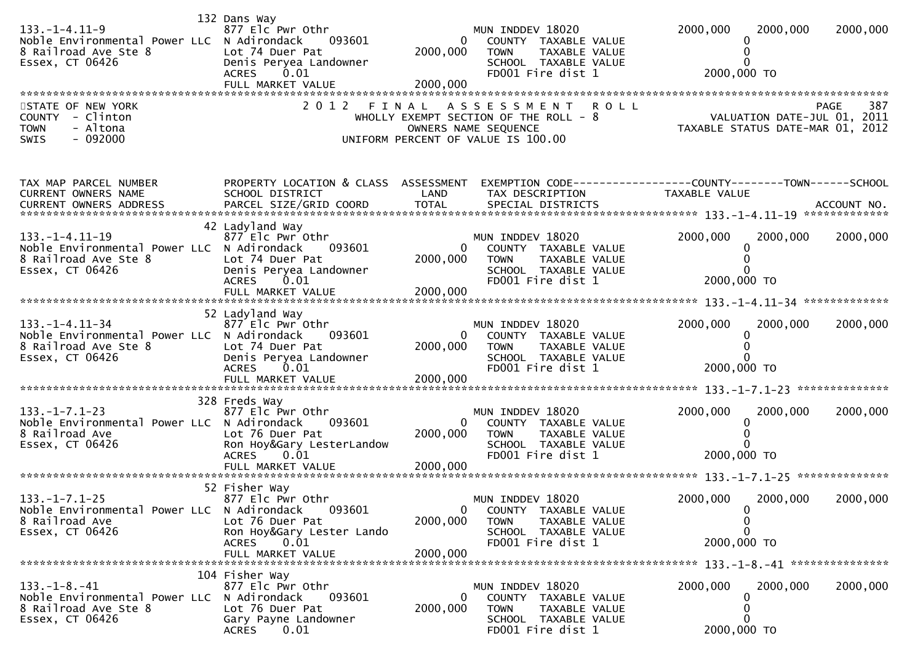| $133. - 1 - 4.11 - 9$<br>Noble Environmental Power LLC N Adirondack<br>8 Railroad Ave Ste 8<br>Essex, CT 06426  | 132 Dans Way<br>877 Elc Pwr Othr<br>093601<br>Lot 74 Duer Pat<br>Denis Peryea Landowner<br><b>ACRES</b><br>0.01<br>FULL MARKET VALUE     | $\Omega$<br>2000,000<br>2000,000                | MUN INDDEV 18020<br>COUNTY TAXABLE VALUE<br>TAXABLE VALUE<br><b>TOWN</b><br>SCHOOL TAXABLE VALUE<br>FD001 Fire dist 1                     | 2000,000<br>2000,000<br>2000,000 TO                                             | 2000,000 |
|-----------------------------------------------------------------------------------------------------------------|------------------------------------------------------------------------------------------------------------------------------------------|-------------------------------------------------|-------------------------------------------------------------------------------------------------------------------------------------------|---------------------------------------------------------------------------------|----------|
| STATE OF NEW YORK<br>COUNTY - Clinton<br>- Altona<br><b>TOWN</b><br>$-092000$<br>SWIS                           | 2 0 1 2                                                                                                                                  | FINAL                                           | <b>ROLL</b><br>A S S E S S M E N T<br>WHOLLY EXEMPT SECTION OF THE ROLL - 8<br>OWNERS NAME SEQUENCE<br>UNIFORM PERCENT OF VALUE IS 100.00 | <b>PAGE</b><br>067 - VALUATION DATE-JUL<br>TAXABLE STATUS DATE-MAR 01, 2012     | 387      |
| TAX MAP PARCEL NUMBER<br>CURRENT OWNERS NAME                                                                    | PROPERTY LOCATION & CLASS ASSESSMENT<br>SCHOOL DISTRICT                                                                                  | LAND                                            | TAX DESCRIPTION                                                                                                                           | EXEMPTION CODE------------------COUNTY--------TOWN------SCHOOL<br>TAXABLE VALUE |          |
| $133. -1 - 4.11 - 19$<br>Noble Environmental Power LLC N Adirondack<br>8 Railroad Ave Ste 8<br>Essex, CT 06426  | 42 Ladyland Way<br>877 Elc Pwr Othr<br>093601<br>Lot 74 Duer Pat<br>Denis Peryea Landowner<br><b>ACRES</b><br>0.01<br>FULL MARKET VALUE  | 2000,000<br>2000,000                            | MUN INDDEV 18020<br>COUNTY TAXABLE VALUE<br><b>TOWN</b><br>TAXABLE VALUE<br>SCHOOL TAXABLE VALUE<br>FD001 Fire dist 1                     | 2000,000<br>2000,000<br>2000,000 TO                                             | 2000,000 |
| $133. - 1 - 4.11 - 34$<br>Noble Environmental Power LLC N Adirondack<br>8 Railroad Ave Ste 8<br>Essex, CT 06426 | 52 Ladyland Way<br>877 Elc Pwr Othr<br>093601<br>Lot 74 Duer Pat<br>Denis Peryea Landowner<br>ACRES 0.01<br>FULL MARKET VALUE            | $\overline{0}$<br>2000,000<br>2000,000          | MUN INDDEV 18020<br>COUNTY TAXABLE VALUE<br><b>TOWN</b><br>TAXABLE VALUE<br>SCHOOL TAXABLE VALUE<br>FD001 Fire dist 1                     | 2000,000<br>2000,000<br>2000,000 TO                                             | 2000,000 |
| $133. - 1 - 7.1 - 23$<br>Noble Environmental Power LLC N Adirondack<br>8 Railroad Ave<br>Essex, CT 06426        | 328 Freds Way<br>877 Elc Pwr Othr<br>093601<br>Lot 76 Duer Pat<br>Ron Hoy&Gary LesterLandow<br><b>ACRES</b><br>0.01                      | 2000,000                                        | MUN INDDEV 18020<br>COUNTY TAXABLE VALUE<br><b>TOWN</b><br>TAXABLE VALUE<br>SCHOOL TAXABLE VALUE<br>FD001 Fire dist 1                     | 2000,000<br>2000,000<br>2000,000 TO                                             | 2000,000 |
| $133. -1 - 7.1 - 25$<br>Noble Environmental Power LLC N Adirondack<br>8 Railroad Ave<br>Essex, CT 06426         | 52 Fisher Way<br>877 Elc Pwr Othr<br>093601<br>Lot 76 Duer Pat<br>Ron Hoy&Gary Lester Lando<br><b>ACRES</b><br>0.01<br>FULL MARKET VALUE | $\overline{\mathbf{0}}$<br>2000,000<br>2000,000 | MUN INDDEV 18020<br>COUNTY TAXABLE VALUE<br><b>TOWN</b><br>TAXABLE VALUE<br>SCHOOL TAXABLE VALUE<br>FD001 Fire dist 1                     | 2000,000<br>2000,000<br>0<br>0<br>0<br>2000,000 TO                              | 2000,000 |
| $133. - 1 - 8. - 41$<br>Noble Environmental Power LLC N Adirondack<br>8 Railroad Ave Ste 8<br>Essex, CT 06426   | 104 Fisher Way<br>877 Elc Pwr Othr<br>093601<br>Lot 76 Duer Pat<br>Gary Payne Landowner<br><b>ACRES</b><br>0.01                          | 0<br>2000,000                                   | MUN INDDEV 18020<br>COUNTY TAXABLE VALUE<br><b>TOWN</b><br>TAXABLE VALUE<br>SCHOOL TAXABLE VALUE<br>FD001 Fire dist 1                     | 2000,000<br>2000,000<br>0<br>2000,000 TO                                        | 2000,000 |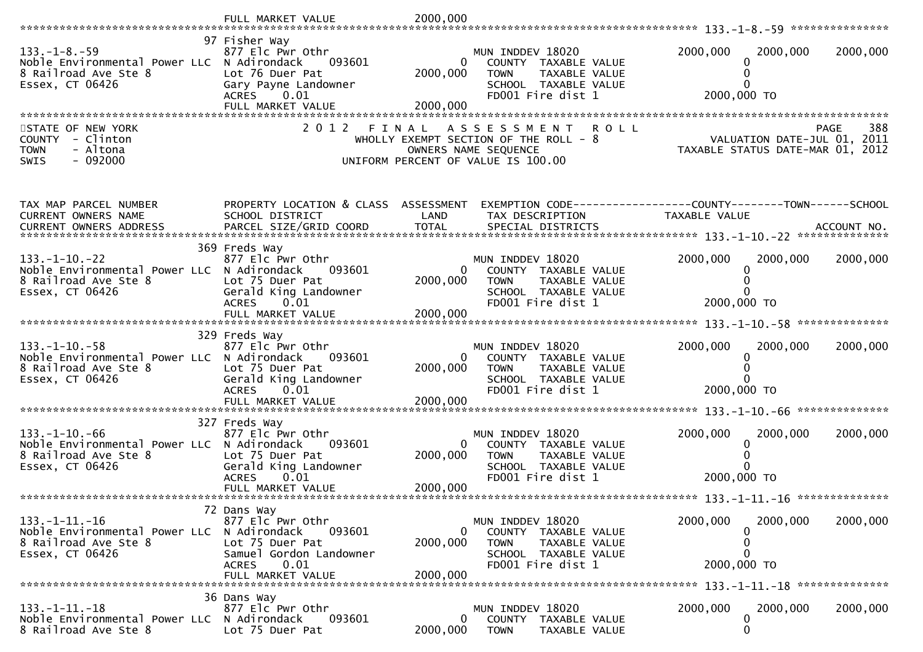|                                                                                                   | FULL MARKET VALUE                                                                                                       | 2000,000                   |                                                                                                                                           |                                                                                |          |
|---------------------------------------------------------------------------------------------------|-------------------------------------------------------------------------------------------------------------------------|----------------------------|-------------------------------------------------------------------------------------------------------------------------------------------|--------------------------------------------------------------------------------|----------|
| $133. - 1 - 8. - 59$                                                                              | 97 Fisher Way<br>877 Elc Pwr Othr                                                                                       |                            | MUN INDDEV 18020                                                                                                                          | 2000,000<br>2000,000                                                           | 2000,000 |
| Noble Environmental Power LLC N Adirondack<br>8 Railroad Ave Ste 8<br>Essex, CT 06426             | 093601<br>Lot 76 Duer Pat<br>Gary Payne Landowner                                                                       | 0<br>2000,000              | COUNTY TAXABLE VALUE<br><b>TOWN</b><br>TAXABLE VALUE<br>SCHOOL TAXABLE VALUE                                                              | 2000,000 TO                                                                    |          |
|                                                                                                   | ACRES 0.01<br>FULL MARKET VALUE                                                                                         | 2000,000                   | FD001 Fire dist 1                                                                                                                         |                                                                                |          |
| STATE OF NEW YORK<br>COUNTY - Clinton<br>- Altona<br><b>TOWN</b><br>$-092000$<br><b>SWIS</b>      | 2 0 1 2<br>FINAL                                                                                                        |                            | <b>ROLL</b><br>A S S E S S M E N T<br>WHOLLY EXEMPT SECTION OF THE ROLL - 8<br>OWNERS NAME SEQUENCE<br>UNIFORM PERCENT OF VALUE IS 100.00 | <b>PAGE</b><br>VALUATION DATE-JUL 01, 2011<br>TAXABLE STATUS DATE-MAR 01, 2012 | 388      |
| TAX MAP PARCEL NUMBER<br>CURRENT OWNERS NAME                                                      | PROPERTY LOCATION & CLASS ASSESSMENT<br>SCHOOL DISTRICT                                                                 | LAND                       | TAX DESCRIPTION                                                                                                                           | TAXABLE VALUE                                                                  |          |
|                                                                                                   | 369 Freds Way                                                                                                           |                            |                                                                                                                                           |                                                                                |          |
| $133. - 1 - 10. - 22$<br>Noble Environmental Power LLC N Adirondack<br>8 Railroad Ave Ste 8       | 877 Elc Pwr Othr<br>093601<br>Lot 75 Duer Pat                                                                           | $\overline{0}$<br>2000,000 | MUN INDDEV 18020<br>COUNTY TAXABLE VALUE<br><b>TOWN</b><br>TAXABLE VALUE                                                                  | 2000,000<br>2000,000                                                           | 2000,000 |
| Essex, CT 06426                                                                                   | Gerald King Landowner<br><b>ACRES</b><br>0.01                                                                           | 2000,000                   | SCHOOL TAXABLE VALUE<br>FD001 Fire dist 1                                                                                                 | 2000,000 TO                                                                    |          |
|                                                                                                   |                                                                                                                         |                            |                                                                                                                                           |                                                                                |          |
| $133. - 1 - 10. - 58$<br>Noble Environmental Power LLC<br>8 Railroad Ave Ste 8<br>Essex, CT 06426 | 329 Freds Way<br>877 Elc Pwr Othr<br>093601<br>N Adirondack<br>Lot 75 Duer Pat<br>Gerald King Landowner<br><b>ACRES</b> | 0<br>2000,000              | MUN INDDEV 18020<br>COUNTY TAXABLE VALUE<br><b>TOWN</b><br>TAXABLE VALUE<br>SCHOOL TAXABLE VALUE<br>FD001 Fire dist 1                     | 2000,000<br>2000,000<br>0<br>2000,000 TO                                       | 2000,000 |
|                                                                                                   | 0.01                                                                                                                    | 2000,000                   |                                                                                                                                           |                                                                                |          |
|                                                                                                   | 327 Freds Way                                                                                                           |                            |                                                                                                                                           |                                                                                |          |
| $133. - 1 - 10. - 66$<br>Noble Environmental Power LLC N Adirondack<br>8 Railroad Ave Ste 8       | 877 Elc Pwr Othr<br>093601<br>Lot 75 Duer Pat                                                                           | $\mathbf{0}$<br>2000,000   | MUN INDDEV 18020<br>COUNTY TAXABLE VALUE<br><b>TOWN</b><br>TAXABLE VALUE                                                                  | 2000,000<br>2000,000                                                           | 2000,000 |
| Essex, CT 06426                                                                                   | Gerald King Landowner<br><b>ACRES</b><br>0.01                                                                           |                            | SCHOOL TAXABLE VALUE<br>FD001 Fire dist 1                                                                                                 | 2000,000 TO                                                                    |          |
|                                                                                                   | FULL MARKET VALUE                                                                                                       | 2000,000                   |                                                                                                                                           |                                                                                |          |
| $133. -1 - 11. -16$                                                                               | 72 Dans Way<br>877 Elc Pwr Othr                                                                                         |                            | MUN INDDEV 18020                                                                                                                          | 2000,000<br>2000,000                                                           | 2000,000 |
| Noble Environmental Power LLC N Adirondack                                                        | 093601                                                                                                                  | $\mathbf{0}$               | COUNTY TAXABLE VALUE                                                                                                                      |                                                                                |          |
| 8 Railroad Ave Ste 8<br>Essex, CT 06426                                                           | Lot 75 Duer Pat<br>Samuel Gordon Landowner<br>0.01<br><b>ACRES</b>                                                      | 2000,000                   | <b>TOWN</b><br>TAXABLE VALUE<br>SCHOOL TAXABLE VALUE<br>FD001 Fire dist 1                                                                 | 0<br>0<br>2000,000 TO                                                          |          |
|                                                                                                   | FULL MARKET VALUE                                                                                                       | 2000,000                   |                                                                                                                                           |                                                                                |          |
| $133. - 1 - 11. - 18$                                                                             | 36 Dans Way<br>877 Elc Pwr Othr                                                                                         |                            | MUN INDDEV 18020                                                                                                                          | 2000,000<br>2000,000                                                           | 2000,000 |
| Noble Environmental Power LLC<br>8 Railroad Ave Ste 8                                             | N Adirondack<br>093601<br>Lot 75 Duer Pat                                                                               | $\mathbf{0}$<br>2000,000   | COUNTY TAXABLE VALUE<br><b>TOWN</b><br>TAXABLE VALUE                                                                                      | 0<br>0                                                                         |          |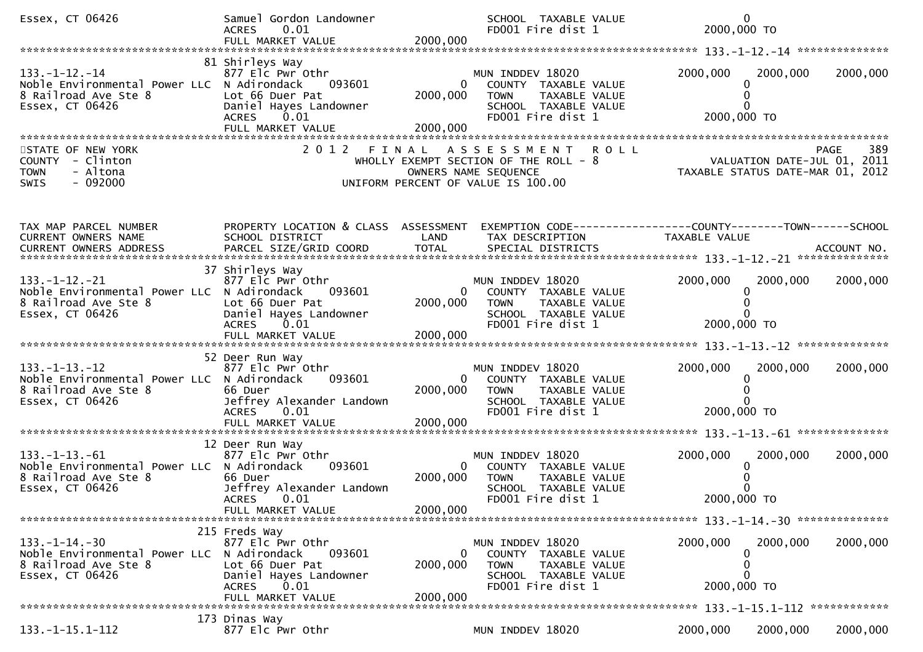| Essex, CT 06426                                                                                                | Samuel Gordon Landowner<br>0.01<br><b>ACRES</b>                                                                                         |                                        | SCHOOL TAXABLE VALUE<br>FD001 Fire dist 1                                                                             | $\mathbf{0}$<br>2000,000 TO                                     |                    |
|----------------------------------------------------------------------------------------------------------------|-----------------------------------------------------------------------------------------------------------------------------------------|----------------------------------------|-----------------------------------------------------------------------------------------------------------------------|-----------------------------------------------------------------|--------------------|
|                                                                                                                |                                                                                                                                         |                                        |                                                                                                                       |                                                                 |                    |
| 133. –1–12. –14<br>Noble Environmental Power LLC N Adirondack<br>8 Railroad Ave Ste 8<br>Essex, CT 06426       | 81 Shirleys Way<br>877 Elc Pwr Othr<br>093601<br>Lot 66 Duer Pat<br>Daniel Hayes Landowner<br><b>ACRES</b><br>0.01<br>FULL MARKET VALUE | 0<br>2000,000<br>2000,000              | MUN INDDEV 18020<br>COUNTY TAXABLE VALUE<br><b>TOWN</b><br>TAXABLE VALUE<br>SCHOOL TAXABLE VALUE<br>FD001 Fire dist 1 | 2000,000<br>2000,000<br>0<br>2000,000 TO                        | 2000,000           |
|                                                                                                                |                                                                                                                                         |                                        |                                                                                                                       |                                                                 |                    |
| STATE OF NEW YORK<br>COUNTY - Clinton<br><b>TOWN</b><br>- Altona<br>$-092000$<br><b>SWIS</b>                   | 2 0 1 2                                                                                                                                 | FINAL<br>OWNERS NAME SEQUENCE          | <b>ROLL</b><br>A S S E S S M E N T<br>WHOLLY EXEMPT SECTION OF THE ROLL - 8<br>UNIFORM PERCENT OF VALUE IS 100.00     | VALUATION DATE-JUL 01, 2011<br>TAXABLE STATUS DATE-MAR 01, 2012 | 389<br><b>PAGE</b> |
| TAX MAP PARCEL NUMBER                                                                                          | PROPERTY LOCATION & CLASS ASSESSMENT                                                                                                    |                                        |                                                                                                                       | EXEMPTION CODE------------------COUNTY--------TOWN------SCHOOL  |                    |
| CURRENT OWNERS NAME                                                                                            | SCHOOL DISTRICT                                                                                                                         | LAND                                   | TAX DESCRIPTION                                                                                                       | TAXABLE VALUE                                                   |                    |
| $133. -1 - 12. -21$<br>Noble Environmental Power LLC N Adirondack<br>8 Railroad Ave Ste 8<br>Essex, CT 06426   | 37 Shirleys Way<br>877 Elc Pwr Othr<br>093601<br>Lot 66 Duer Pat<br>Daniel Hayes Landowner<br>0.01<br><b>ACRES</b>                      | $\overline{0}$<br>2000,000             | MUN INDDEV 18020<br>COUNTY TAXABLE VALUE<br><b>TOWN</b><br>TAXABLE VALUE<br>SCHOOL TAXABLE VALUE<br>FD001 Fire dist 1 | 2000,000<br>2000,000<br>0<br>2000,000 TO                        | 2000,000           |
|                                                                                                                |                                                                                                                                         |                                        |                                                                                                                       |                                                                 |                    |
|                                                                                                                |                                                                                                                                         |                                        |                                                                                                                       |                                                                 |                    |
| $133. -1 - 13. -12$<br>Noble Environmental Power LLC N Adirondack<br>8 Railroad Ave Ste 8<br>Essex, CT 06426   | 52 Deer Run Way<br>877 Elc Pwr Othr<br>093601<br>66 Duer<br>Jeffrey Alexander Landown<br>0.01<br><b>ACRES</b><br>FULL MARKET VALUE      | $\overline{0}$<br>2000,000<br>2000,000 | MUN INDDEV 18020<br>COUNTY TAXABLE VALUE<br>TAXABLE VALUE<br><b>TOWN</b><br>SCHOOL TAXABLE VALUE<br>FD001 Fire dist 1 | 2000,000<br>2000,000<br>0<br>2000,000 TO                        | 2000,000           |
|                                                                                                                | 12 Deer Run Way                                                                                                                         |                                        |                                                                                                                       |                                                                 |                    |
| $133. -1 - 13. -61$<br>Noble Environmental Power LLC N Adirondack<br>8 Railroad Ave Ste 8<br>Essex, CT 06426   | 877 Elc Pwr Othr<br>093601<br>66 Duer<br>Jeffrey Alexander Landown<br>ACRES 0.01                                                        | $\overline{0}$<br>2000,000             | MUN INDDEV 18020<br>COUNTY TAXABLE VALUE<br><b>TOWN</b><br>TAXABLE VALUE<br>SCHOOL TAXABLE VALUE<br>FD001 Fire dist 1 | 2000,000<br>2000,000<br>0<br>2000,000 TO                        | 2000,000           |
|                                                                                                                | FULL MARKET VALUE                                                                                                                       | 2000,000                               |                                                                                                                       |                                                                 |                    |
|                                                                                                                | 215 Freds Way                                                                                                                           |                                        |                                                                                                                       |                                                                 |                    |
| $133. - 1 - 14. - 30$<br>Noble Environmental Power LLC N Adirondack<br>8 Railroad Ave Ste 8<br>Essex, CT 06426 | 877 Elc Pwr Othr<br>093601<br>Lot 66 Duer Pat<br>Daniel Hayes Landowner<br>0.01<br><b>ACRES</b>                                         | 0<br>2000,000                          | MUN INDDEV 18020<br>COUNTY TAXABLE VALUE<br><b>TOWN</b><br>TAXABLE VALUE<br>SCHOOL TAXABLE VALUE<br>FD001 Fire dist 1 | 2000,000<br>2000,000<br>0<br>0<br>2000,000 TO                   | 2000,000           |
|                                                                                                                | FULL MARKET VALUE                                                                                                                       | 2000,000                               |                                                                                                                       |                                                                 |                    |
| $133. -1 - 15.1 - 112$                                                                                         | 173 Dinas Way<br>877 Elc Pwr Othr                                                                                                       |                                        | MUN INDDEV 18020                                                                                                      | 2000,000<br>2000,000                                            | 2000,000           |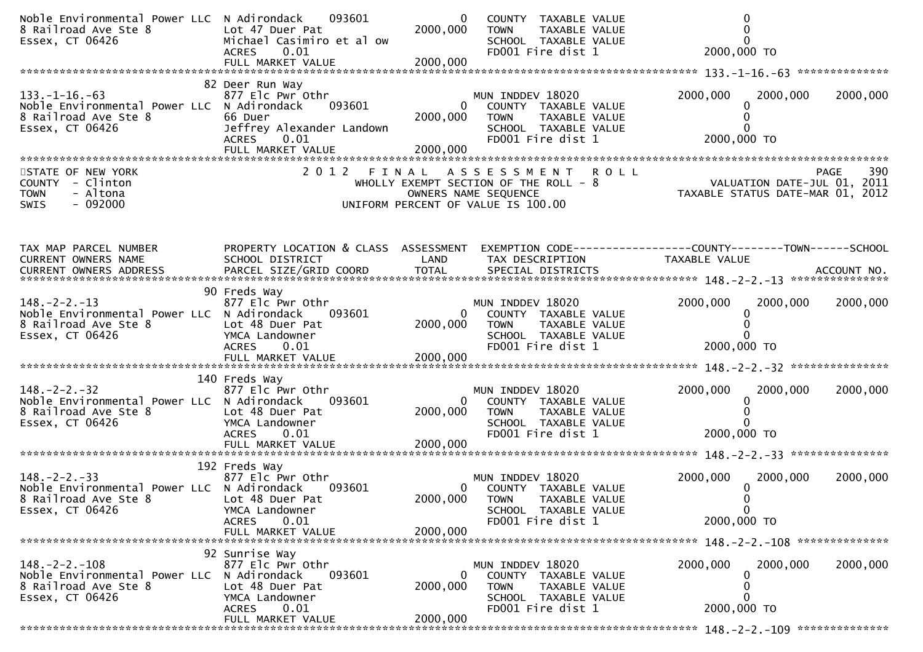| Noble Environmental Power LLC N Adirondack 093601<br>8 Railroad Ave Ste 8<br>Essex, CT 06426                        | Lot 47 Duer Pat<br>Michael Casimiro et al ow<br>ACRES 0.01                                                                     | $\overline{0}$<br>2000,000       | COUNTY TAXABLE VALUE<br><b>TOWN</b><br>TAXABLE VALUE<br>SCHOOL TAXABLE VALUE<br>FD001 Fire dist 1                            | 2000,000 TO                                                                       |          |
|---------------------------------------------------------------------------------------------------------------------|--------------------------------------------------------------------------------------------------------------------------------|----------------------------------|------------------------------------------------------------------------------------------------------------------------------|-----------------------------------------------------------------------------------|----------|
| $133. -1 - 16. -63$<br>Noble Environmental Power LLC N Adirondack 093601<br>8 Railroad Ave Ste 8<br>Essex, CT 06426 | 82 Deer Run Way<br>877 Elc Pwr Othr<br>66 Duer<br>Jeffrey Alexander Landown<br>0.01<br><b>ACRES</b><br>FULL MARKET VALUE       | 2000,000<br>2000,000             | MUN INDDEV 18020<br>0 COUNTY TAXABLE VALUE<br><b>TOWN</b><br>TAXABLE VALUE<br>SCHOOL TAXABLE VALUE<br>FD001 Fire dist 1      | 2000,000<br>2000,000<br>2000,000 TO                                               | 2000,000 |
| STATE OF NEW YORK<br>COUNTY - Clinton<br><b>TOWN</b><br>- Altona<br>$-092000$<br><b>SWIS</b>                        |                                                                                                                                |                                  | 2012 FINAL ASSESSMENT<br>WHOLLY EXEMPT SECTION OF THE ROLL - 8<br>OWNERS NAME SEQUENCE<br>UNIFORM PERCENT OF VALUE IS 100.00 | PAGE 390<br>L - 8 VALUATION DATE-JUL 01, 2011<br>TAXABLE STATUS DATE-MAR 01, 2012 |          |
| TAX MAP PARCEL NUMBER<br>CURRENT OWNERS NAME                                                                        | PROPERTY LOCATION & CLASS ASSESSMENT<br>SCHOOL DISTRICT                                                                        | LAND                             | TAX DESCRIPTION                                                                                                              | EXEMPTION CODE-----------------COUNTY--------TOWN------SCHOOL<br>TAXABLE VALUE    |          |
| $148. - 2 - 2. - 13$<br>Noble Environmental Power LLC N Adirondack<br>8 Railroad Ave Ste 8<br>Essex, CT 06426       | 90 Freds Way<br>877 Elc Pwr Othr<br>093601<br>Lot 48 Duer Pat<br>YMCA Landowner<br>ACRES 0.01                                  | 2000,000                         | MUN INDDEV 18020<br>COUNTY TAXABLE VALUE<br>0<br><b>TOWN</b><br>TAXABLE VALUE<br>SCHOOL TAXABLE VALUE<br>FD001 Fire dist 1   | 2000,000<br>2000,000<br>2000,000 TO                                               | 2000,000 |
| $148. - 2 - 2. - 32$<br>Noble Environmental Power LLC N Adirondack<br>8 Railroad Ave Ste 8<br>Essex, CT 06426       | 140 Freds Way<br>877 Elc Pwr Othr<br>093601<br>Lot 48 Duer Pat<br>YMCA Landowner<br>ACRES 0.01<br>FULL MARKET VALUE            | 2000,000<br>2000,000             | MUN INDDEV 18020<br>0 COUNTY TAXABLE VALUE<br>TAXABLE VALUE<br><b>TOWN</b><br>SCHOOL TAXABLE VALUE<br>FD001 Fire dist 1      | 2000,000<br>2000,000<br>2000,000 TO                                               | 2000,000 |
| $148. -2 - 2. -33$<br>Noble Environmental Power LLC N Adirondack<br>8 Railroad Ave Ste 8<br>Essex, CT 06426         | 192 Freds Way<br>877 Elc Pwr Othr<br>093601<br>Lot 48 Duer Pat<br>YMCA Landowner<br><b>ACRES</b><br>0.01<br>FULL MARKET VALUE  | 2000,000                         | MUN INDDEV 18020<br>COUNTY TAXABLE VALUE<br>0<br>2000,000 TOWN<br>TAXABLE VALUE<br>SCHOOL TAXABLE VALUE<br>FD001 Fire dist 1 | 2000,000<br>2000,000<br>$\mathbf{0}$<br>2000,000 TO                               | 2000,000 |
| $148. - 2 - 2. - 108$<br>Noble Environmental Power LLC N Adirondack<br>8 Railroad Ave Ste 8<br>Essex, CT 06426      | 92 Sunrise Way<br>877 Elc Pwr Othr<br>093601<br>Lot 48 Duer Pat<br>YMCA Landowner<br>0.01<br><b>ACRES</b><br>FULL MARKET VALUE | $\Omega$<br>2000,000<br>2000,000 | MUN INDDEV 18020<br>COUNTY TAXABLE VALUE<br><b>TOWN</b><br>TAXABLE VALUE<br>SCHOOL TAXABLE VALUE<br>FD001 Fire dist 1        | 2000,000<br>2000,000<br>O<br>2000,000 TO                                          | 2000,000 |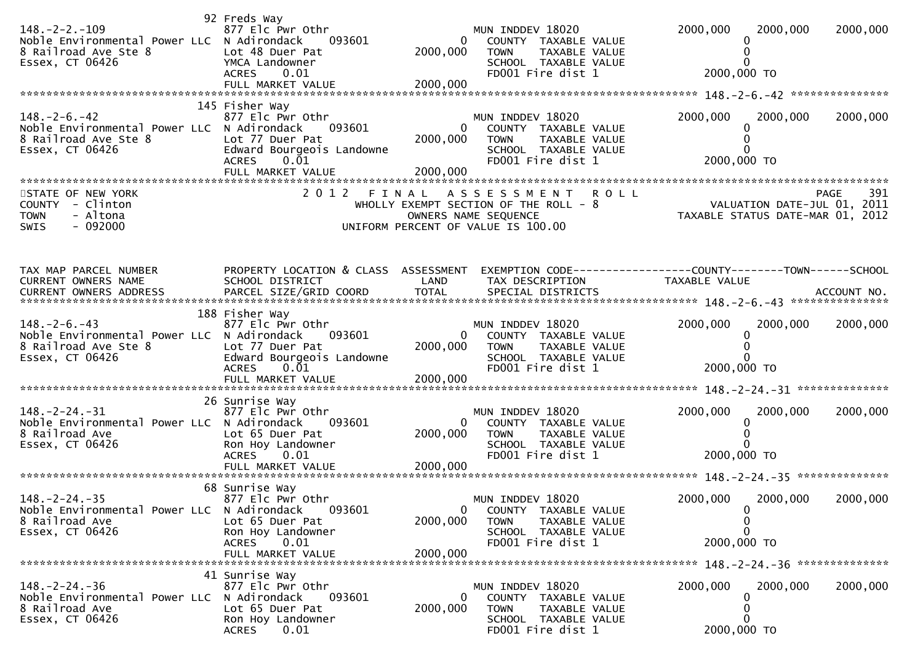| $148. -2 - 2. -109$<br>Noble Environmental Power LLC N Adirondack<br>8 Railroad Ave Ste 8<br>Essex, CT 06426  | 92 Freds Way<br>877 Elc Pwr Othr<br>093601<br>Lot 48 Duer Pat<br>YMCA Landowner<br><b>ACRES</b><br>0.01                                           | 2000,000                               | MUN INDDEV 18020<br>COUNTY TAXABLE VALUE<br>TAXABLE VALUE<br><b>TOWN</b><br>SCHOOL TAXABLE VALUE<br>FD001 Fire dist 1                     | 2000,000<br>2000,000<br>2000,000 TO                                            | 2000,000    |
|---------------------------------------------------------------------------------------------------------------|---------------------------------------------------------------------------------------------------------------------------------------------------|----------------------------------------|-------------------------------------------------------------------------------------------------------------------------------------------|--------------------------------------------------------------------------------|-------------|
| $148. - 2 - 6. - 42$<br>Noble Environmental Power LLC N Adirondack<br>8 Railroad Ave Ste 8<br>Essex, CT 06426 | 145 Fisher Way<br>877 Elc Pwr Othr<br>093601<br>Lot 77 Duer Pat<br>Edward Bourgeois Landowne<br>$0.\bar{0}1$<br><b>ACRES</b><br>FULL MARKET VALUE | $\overline{0}$<br>2000,000<br>2000,000 | MUN INDDEV 18020<br>COUNTY TAXABLE VALUE<br>TAXABLE VALUE<br><b>TOWN</b><br>SCHOOL TAXABLE VALUE<br>FD001 Fire dist 1                     | 2000,000<br>2000,000<br>2000,000 TO                                            | 2000,000    |
| STATE OF NEW YORK<br>- Clinton<br>COUNTY<br>- Altona<br><b>TOWN</b><br>$-092000$<br>SWIS                      | 2 0 1 2<br>FINAL                                                                                                                                  |                                        | <b>ROLL</b><br>A S S E S S M E N T<br>WHOLLY EXEMPT SECTION OF THE ROLL - 8<br>OWNERS NAME SEQUENCE<br>UNIFORM PERCENT OF VALUE IS 100.00 | کلام<br>VALUATION DATE-JUL 01, 2011<br>TAXABLE STATUS DATE-MAR 01, 2012        | 391<br>PAGE |
| TAX MAP PARCEL NUMBER<br>CURRENT OWNERS NAME                                                                  | PROPERTY LOCATION & CLASS ASSESSMENT<br>SCHOOL DISTRICT                                                                                           | LAND                                   | TAX DESCRIPTION                                                                                                                           | EXEMPTION CODE-----------------COUNTY--------TOWN------SCHOOL<br>TAXABLE VALUE |             |
| $148. - 2 - 6. - 43$<br>Noble Environmental Power LLC N Adirondack<br>8 Railroad Ave Ste 8<br>Essex, CT 06426 | 188 Fisher Way<br>877 Elc Pwr Othr<br>093601<br>Lot 77 Duer Pat<br>Edward Bourgeois Landowne<br><b>ACRES</b><br>0.01<br>FULL MARKET VALUE         | $\Omega$<br>2000,000<br>2000,000       | MUN INDDEV 18020<br>COUNTY TAXABLE VALUE<br><b>TOWN</b><br>TAXABLE VALUE<br>SCHOOL TAXABLE VALUE<br>FD001 Fire dist 1                     | 2000,000<br>2000,000<br>2000,000 TO                                            | 2000,000    |
| $148. - 2 - 24. - 31$<br>Noble Environmental Power LLC N Adirondack<br>8 Railroad Ave<br>Essex, CT 06426      | 26 Sunrise Way<br>877 Elc Pwr Othr<br>093601<br>Lot 65 Duer Pat<br>Ron Hoy Landowner<br>ACRES 0.01                                                | 0<br>2000,000                          | MUN INDDEV 18020<br>COUNTY TAXABLE VALUE<br>TAXABLE VALUE<br><b>TOWN</b><br>SCHOOL TAXABLE VALUE<br>FD001 Fire dist 1                     | 2000,000<br>2000,000<br>2000,000 TO                                            | 2000,000    |
| $148. -2 - 24. -35$<br>Noble Environmental Power LLC N Adirondack<br>8 Railroad Ave<br>Essex, CT 06426        | 68 Sunrise Way<br>877 Elc Pwr Othr<br>093601<br>Lot 65 Duer Pat<br>Ron Hoy Landowner<br><b>ACRES</b><br>0.01                                      | $\mathbf 0$<br>2000,000                | MUN INDDEV 18020<br>COUNTY TAXABLE VALUE<br><b>TOWN</b><br>TAXABLE VALUE<br>SCHOOL TAXABLE VALUE<br>FD001 Fire dist 1                     | 2000,000<br>2000,000<br>$\Omega$<br>2000,000 TO                                | 2000,000    |
|                                                                                                               | FULL MARKET VALUE                                                                                                                                 | 2000,000                               |                                                                                                                                           |                                                                                |             |
| $148. -2 - 24. -36$<br>Noble Environmental Power LLC<br>8 Railroad Ave<br>Essex, CT 06426                     | 41 Sunrise Way<br>877 Elc Pwr Othr<br>N Adirondack<br>093601<br>Lot 65 Duer Pat<br>Ron Hoy Landowner<br><b>ACRES</b><br>0.01                      | 0<br>2000,000                          | MUN INDDEV 18020<br>COUNTY TAXABLE VALUE<br><b>TOWN</b><br>TAXABLE VALUE<br>SCHOOL TAXABLE VALUE<br>FD001 Fire dist 1                     | 2000,000<br>2000,000<br>2000,000 TO                                            | 2000,000    |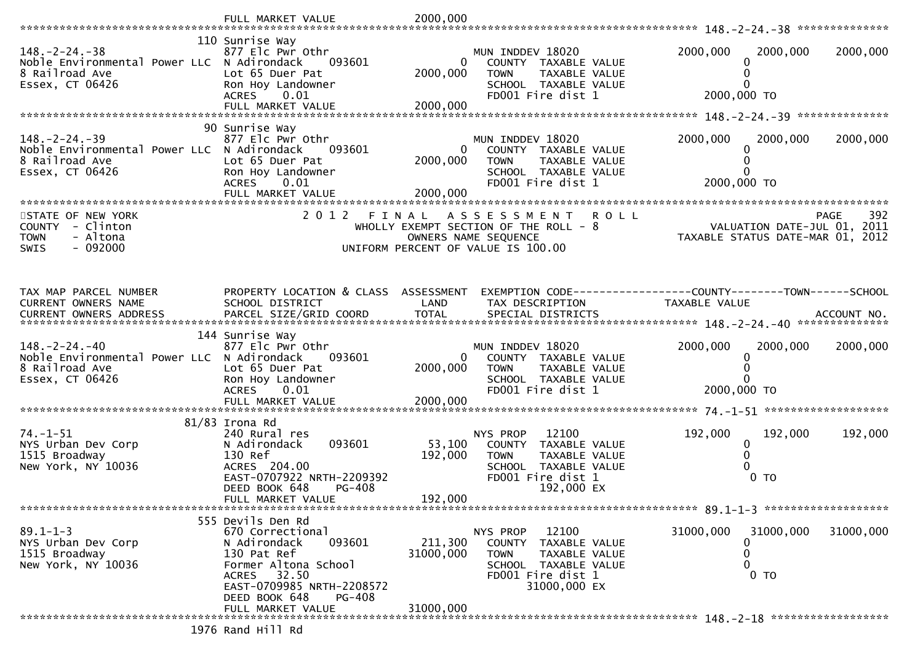|                                                                                                          | FULL MARKET VALUE                                                                                                                                                                                  | 2000,000                          |                                                                                                                                         |                                                                                                                            |           |
|----------------------------------------------------------------------------------------------------------|----------------------------------------------------------------------------------------------------------------------------------------------------------------------------------------------------|-----------------------------------|-----------------------------------------------------------------------------------------------------------------------------------------|----------------------------------------------------------------------------------------------------------------------------|-----------|
| $148. - 2 - 24. - 38$<br>Noble Environmental Power LLC N Adirondack<br>8 Railroad Ave<br>Essex, CT 06426 | 110 Sunrise Way<br>877 Elc Pwr Othr<br>093601<br>Lot 65 Duer Pat<br>Ron Hoy Landowner<br><b>ACRES</b><br>0.01                                                                                      | 0<br>2000,000                     | MUN INDDEV 18020<br>COUNTY TAXABLE VALUE<br><b>TOWN</b><br>TAXABLE VALUE<br>SCHOOL TAXABLE VALUE<br>FD001 Fire dist 1                   | 2000,000<br>2000,000<br>0<br>0<br>2000,000 TO                                                                              | 2000,000  |
|                                                                                                          | 90 Sunrise Way                                                                                                                                                                                     |                                   |                                                                                                                                         |                                                                                                                            |           |
| $148. -2 - 24. -39$<br>Noble Environmental Power LLC N Adirondack<br>8 Railroad Ave<br>Essex, CT 06426   | 877 Elc Pwr Othr<br>093601<br>Lot 65 Duer Pat<br>Ron Hoy Landowner<br>0.01<br><b>ACRES</b>                                                                                                         | 0<br>2000,000<br>2000,000         | MUN INDDEV 18020<br>COUNTY TAXABLE VALUE<br><b>TOWN</b><br>TAXABLE VALUE<br>SCHOOL TAXABLE VALUE<br>FD001 Fire dist 1                   | 2000,000<br>2000,000<br>0<br>2000,000 TO                                                                                   | 2000,000  |
| STATE OF NEW YORK<br>COUNTY - Clinton<br>- Altona<br><b>TOWN</b><br>$-092000$<br>SWIS                    | 2 0 1 2                                                                                                                                                                                            |                                   | <b>ROLL</b><br>FINAL ASSESSMENT<br>WHOLLY EXEMPT SECTION OF THE ROLL $-8$<br>OWNERS NAME SEQUENCE<br>UNIFORM PERCENT OF VALUE IS 100.00 | <b>PAGE</b><br>PAGE 392<br>VALUATION DATE-JUL 01, 2011<br>TAXARLE STATIC DATE WALL DAY<br>TAXABLE STATUS DATE-MAR 01, 2012 | 392       |
| TAX MAP PARCEL NUMBER<br>CURRENT OWNERS NAME                                                             | PROPERTY LOCATION & CLASS ASSESSMENT<br>SCHOOL DISTRICT                                                                                                                                            | LAND                              | TAX DESCRIPTION                                                                                                                         | EXEMPTION CODE------------------COUNTY--------TOWN------SCHOOL<br>TAXABLE VALUE                                            |           |
| $148. - 2 - 24. - 40$<br>Noble Environmental Power LLC N Adirondack<br>8 Railroad Ave<br>Essex, CT 06426 | 144 Sunrise Way<br>877 Elc Pwr Othr<br>093601<br>Lot 65 Duer Pat<br>Ron Hoy Landowner<br>0.01<br><b>ACRES</b><br>FULL MARKET VALUE                                                                 | 0<br>2000,000<br>2000,000         | MUN INDDEV 18020<br>COUNTY TAXABLE VALUE<br><b>TOWN</b><br>TAXABLE VALUE<br>SCHOOL TAXABLE VALUE<br>FD001 Fire dist 1                   | 2000,000<br>2000,000<br>0<br>0<br>0<br>2000,000 TO                                                                         | 2000,000  |
|                                                                                                          |                                                                                                                                                                                                    |                                   |                                                                                                                                         |                                                                                                                            |           |
| $74. - 1 - 51$<br>NYS Urban Dev Corp<br>1515 Broadway<br>New York, NY 10036                              | 81/83 Irona Rd<br>240 Rural res<br>093601<br>N Adirondack<br>130 Ref<br>ACRES 204.00<br>EAST-0707922 NRTH-2209392<br>DEED BOOK 648<br>PG-408<br>FULL MARKET VALUE                                  | 53,100<br>192,000<br>192,000      | NYS PROP<br>12100<br>COUNTY TAXABLE VALUE<br><b>TOWN</b><br>TAXABLE VALUE<br>SCHOOL TAXABLE VALUE<br>FD001 Fire dist 1<br>192,000 EX    | 192,000<br>192,000<br>0<br>0<br>$0$ TO                                                                                     | 192,000   |
|                                                                                                          |                                                                                                                                                                                                    |                                   |                                                                                                                                         |                                                                                                                            |           |
| $89.1 - 1 - 3$<br>NYS Urban Dev Corp<br>1515 Broadway<br>New York, NY 10036                              | 555 Devils Den Rd<br>670 Correctional<br>093601<br>N Adirondack<br>130 Pat Ref<br>Former Altona School<br>ACRES 32.50<br>EAST-0709985 NRTH-2208572<br>DEED BOOK 648<br>PG-408<br>FULL MARKET VALUE | 211,300<br>31000,000<br>31000,000 | NYS PROP<br>12100<br>COUNTY TAXABLE VALUE<br><b>TOWN</b><br>TAXABLE VALUE<br>SCHOOL TAXABLE VALUE<br>FD001 Fire dist 1<br>31000,000 EX  | 31000,000<br>31000,000<br>0<br>0<br>0<br>$0$ TO                                                                            | 31000,000 |
|                                                                                                          |                                                                                                                                                                                                    |                                   |                                                                                                                                         |                                                                                                                            |           |
|                                                                                                          | 1976 Rand Hill Rd                                                                                                                                                                                  |                                   |                                                                                                                                         |                                                                                                                            |           |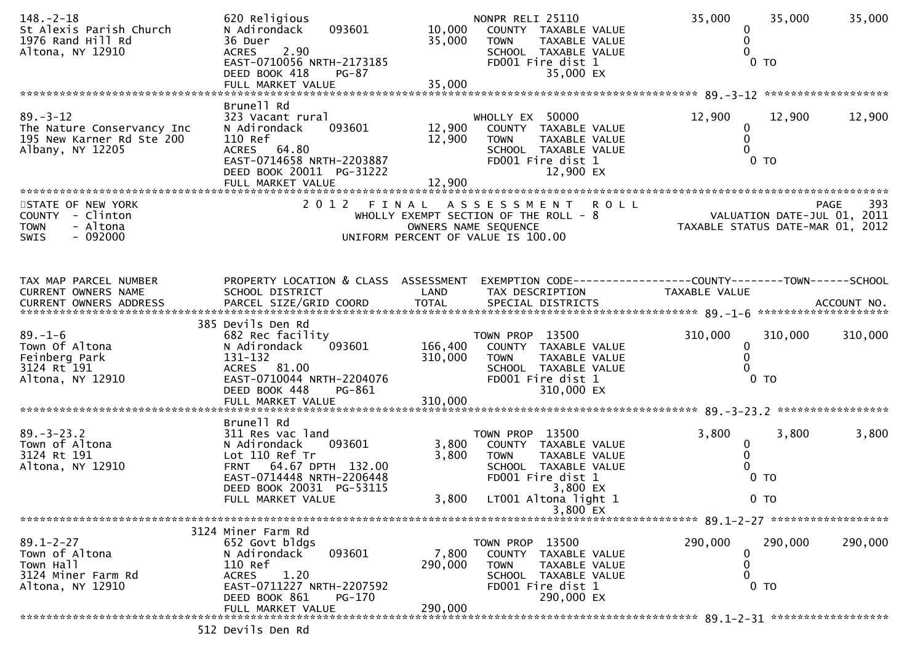| $148. - 2 - 18$<br>St Alexis Parish Church<br>1976 Rand Hill Rd<br>Altona, NY 12910           | 620 Religious<br>093601<br>N Adirondack<br>36 Duer<br>2.90<br><b>ACRES</b><br>EAST-0710056 NRTH-2173185<br>DEED BOOK 418<br><b>PG-87</b><br>FULL MARKET VALUE | 10,000<br>35,000<br>35,000 | NONPR RELI 25110<br>COUNTY TAXABLE VALUE<br>TAXABLE VALUE<br><b>TOWN</b><br>SCHOOL TAXABLE VALUE<br>FD001 Fire dist 1<br>35,000 EX           | 35,000<br>0<br>0<br>0                                           | 35,000<br>$0$ TO         | 35,000      |
|-----------------------------------------------------------------------------------------------|---------------------------------------------------------------------------------------------------------------------------------------------------------------|----------------------------|----------------------------------------------------------------------------------------------------------------------------------------------|-----------------------------------------------------------------|--------------------------|-------------|
|                                                                                               | Brunell Rd                                                                                                                                                    |                            |                                                                                                                                              |                                                                 |                          |             |
| $89. - 3 - 12$<br>The Nature Conservancy Inc<br>195 New Karner Rd Ste 200<br>Albany, NY 12205 | 323 Vacant rural<br>N Adirondack<br>093601<br>110 Ref<br>ACRES 64.80<br>EAST-0714658 NRTH-2203887<br>DEED BOOK 20011 PG-31222<br>FULL MARKET VALUE            | 12,900<br>12,900<br>12,900 | WHOLLY EX 50000<br>COUNTY TAXABLE VALUE<br>TAXABLE VALUE<br><b>TOWN</b><br>SCHOOL TAXABLE VALUE<br>FD001 Fire dist 1<br>12,900 EX            | 12,900<br>0<br>0<br>0                                           | 12,900<br>0 <sub>T</sub> | 12,900      |
| STATE OF NEW YORK                                                                             |                                                                                                                                                               |                            | 2012 FINAL ASSESSMENT<br><b>ROLL</b>                                                                                                         |                                                                 |                          | 393<br>PAGE |
| COUNTY - Clinton<br><b>TOWN</b><br>- Altona<br>$-092000$<br><b>SWIS</b>                       |                                                                                                                                                               |                            | WHOLLY EXEMPT SECTION OF THE ROLL - 8<br>OWNERS NAME SEQUENCE<br>UNIFORM PERCENT OF VALUE IS 100.00                                          | VALUATION DATE-JUL 01, 2011<br>TAXABLE STATUS DATE-MAR 01, 2012 |                          |             |
| TAX MAP PARCEL NUMBER                                                                         | PROPERTY LOCATION & CLASS ASSESSMENT                                                                                                                          |                            | EXEMPTION CODE-----------------COUNTY-------TOWN------SCHOOL                                                                                 |                                                                 |                          |             |
| CURRENT OWNERS NAME                                                                           | SCHOOL DISTRICT                                                                                                                                               | LAND                       | TAX DESCRIPTION                                                                                                                              | TAXABLE VALUE                                                   |                          |             |
| $89. - 1 - 6$<br>Town Of Altona<br>Feinberg Park<br>3124 Rt 191<br>Altona, NY 12910           | 385 Devils Den Rd<br>682 Rec facility<br>093601<br>N Adirondack<br>131–132<br>ACRES 81.00<br>EAST-0710044 NRTH-2204076<br>DEED BOOK 448<br>PG-861             | 166,400<br>310,000         | TOWN PROP 13500<br>COUNTY TAXABLE VALUE<br>TAXABLE VALUE<br>TOWN<br>SCHOOL TAXABLE VALUE<br>FD001 Fire dist 1<br>310,000 EX                  | 310,000<br>0<br>0<br>0                                          | 310,000<br>$0$ TO        | 310,000     |
|                                                                                               | Brunell Rd                                                                                                                                                    |                            |                                                                                                                                              |                                                                 |                          |             |
| $89. - 3 - 23.2$<br>Town of Altona<br>3124 Rt 191<br>Altona, NY 12910                         | 311 Res vac land<br>N Adirondack<br>093601<br>Lot 110 Ref Tr<br>FRNT 64.67 DPTH 132.00<br>EAST-0714448 NRTH-2206448<br>DEED BOOK 20031 PG-53115               | 3,800<br>3,800             | TOWN PROP 13500<br>COUNTY TAXABLE VALUE<br><b>TOWN</b><br>TAXABLE VALUE<br>SCHOOL TAXABLE VALUE<br>FD001 Fire dist 1<br>3,800 EX             | 3,800<br>0<br>$\mathbf 0$<br>0                                  | 3,800<br>$0$ TO          | 3,800       |
|                                                                                               | FULL MARKET VALUE                                                                                                                                             | 3,800                      | LT001 Altona light 1                                                                                                                         |                                                                 | 0 <sub>T</sub>           |             |
|                                                                                               |                                                                                                                                                               |                            | 3,800 EX                                                                                                                                     |                                                                 |                          |             |
|                                                                                               | 3124 Miner Farm Rd                                                                                                                                            |                            |                                                                                                                                              |                                                                 |                          |             |
| $89.1 - 2 - 27$<br>Town of Altona<br>Town Hall<br>3124 Miner Farm Rd<br>Altona, NY 12910      | 652 Govt bldgs<br>093601<br>N Adirondack<br>110 Ref<br>1.20<br><b>ACRES</b><br>EAST-0711227 NRTH-2207592<br>DEED BOOK 861<br><b>PG-170</b>                    | 7,800<br>290,000           | TOWN PROP 13500<br>TAXABLE VALUE<br><b>COUNTY</b><br><b>TOWN</b><br>TAXABLE VALUE<br>SCHOOL TAXABLE VALUE<br>FD001 Fire dist 1<br>290,000 EX | 290,000<br>0<br>0<br>0                                          | 290,000<br>$0$ TO        | 290,000     |
|                                                                                               | FULL MARKET VALUE<br>513 Baulle Bes                                                                                                                           | 290,000                    |                                                                                                                                              |                                                                 |                          |             |
|                                                                                               |                                                                                                                                                               |                            |                                                                                                                                              |                                                                 |                          |             |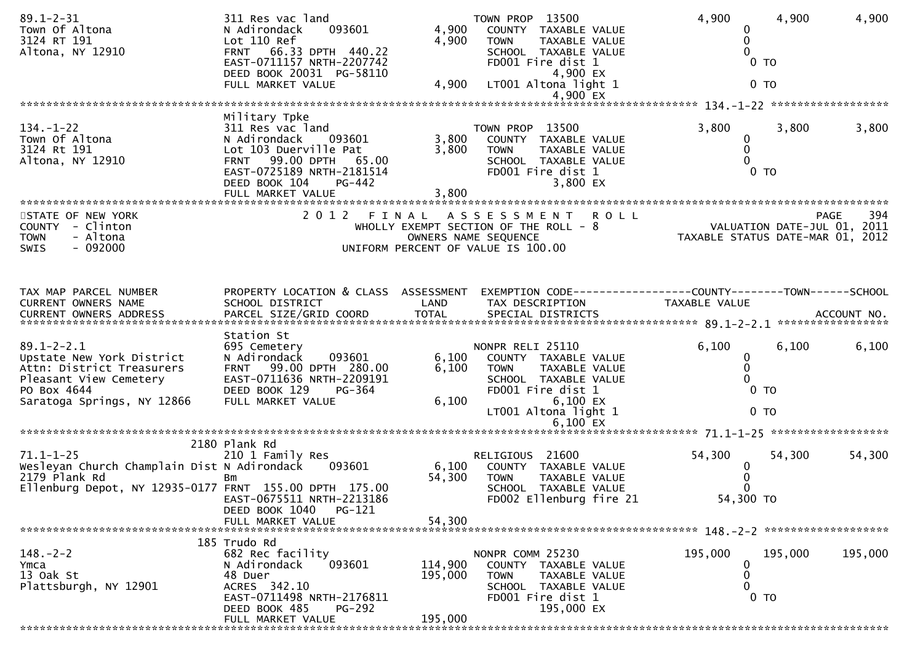| $89.1 - 2 - 31$<br>Town Of Altona<br>3124 RT 191<br>Altona, NY 12910                                                                              | 311 Res vac land<br>N Adirondack<br>093601<br>Lot 110 Ref<br>FRNT 66.33 DPTH 440.22<br>EAST-0711157 NRTH-2207742<br>DEED BOOK 20031 PG-58110<br>FULL MARKET VALUE                                       | 4,900<br>4,900<br>4,900 | TOWN PROP 13500<br>COUNTY TAXABLE VALUE<br>TAXABLE VALUE<br><b>TOWN</b><br>SCHOOL TAXABLE VALUE<br>FD001 Fire dist 1<br>4,900 EX<br>LT001 Altona light 1  | 4,900<br>0<br>$\mathbf 0$<br>$\Omega$<br>$0$ TO<br>$0$ TO       | 4,900                     | 4,900        |
|---------------------------------------------------------------------------------------------------------------------------------------------------|---------------------------------------------------------------------------------------------------------------------------------------------------------------------------------------------------------|-------------------------|-----------------------------------------------------------------------------------------------------------------------------------------------------------|-----------------------------------------------------------------|---------------------------|--------------|
|                                                                                                                                                   |                                                                                                                                                                                                         |                         | 4,900 EX                                                                                                                                                  |                                                                 |                           |              |
|                                                                                                                                                   |                                                                                                                                                                                                         |                         |                                                                                                                                                           |                                                                 |                           |              |
| $134. - 1 - 22$<br>Town Of Altona<br>3124 Rt 191<br>Altona, NY 12910                                                                              | Military Tpke<br>311 Res vac land<br>093601<br>N Adirondack<br>Lot 103 Duerville Pat<br>99.00 DPTH<br>65.00<br><b>FRNT</b><br>EAST-0725189 NRTH-2181514<br>PG-442<br>DEED BOOK 104<br>FULL MARKET VALUE | 3,800<br>3,800<br>3,800 | TOWN PROP 13500<br>COUNTY TAXABLE VALUE<br>TAXABLE VALUE<br><b>TOWN</b><br>SCHOOL TAXABLE VALUE<br>FD001 Fire dist 1<br>3,800 EX                          | 3,800<br>0<br>0<br>0<br>0 <sub>T</sub>                          | 3,800                     | 3,800        |
|                                                                                                                                                   |                                                                                                                                                                                                         |                         |                                                                                                                                                           |                                                                 |                           |              |
| STATE OF NEW YORK<br>COUNTY - Clinton<br>- Altona<br><b>TOWN</b><br>$-092000$<br><b>SWIS</b>                                                      |                                                                                                                                                                                                         |                         | 2012 FINAL ASSESSMENT<br><b>ROLL</b><br>WHOLLY EXEMPT SECTION OF THE ROLL - 8<br>OWNERS NAME SEQUENCE<br>UNIFORM PERCENT OF VALUE IS 100.00               | VALUATION DATE-JUL 01, 2011<br>TAXABLE STATUS DATE-MAR 01, 2012 |                           | -394<br>PAGE |
| TAX MAP PARCEL NUMBER<br>CURRENT OWNERS NAME                                                                                                      | PROPERTY LOCATION & CLASS ASSESSMENT<br>SCHOOL DISTRICT                                                                                                                                                 | LAND                    | EXEMPTION CODE------------------COUNTY--------TOWN------SCHOOL<br>TAX DESCRIPTION                                                                         | TAXABLE VALUE                                                   |                           |              |
| $89.1 - 2 - 2.1$<br>Upstate New York District<br>Attn: District Treasurers<br>Pleasant View Cemetery<br>PO Box 4644<br>Saratoga Springs, NY 12866 | Station St<br>695 Cemetery<br>N Adirondack<br>093601<br>FRNT 99.00 DPTH 280.00<br>EAST-0711636 NRTH-2209191<br>DEED BOOK 129<br>PG-364<br>FULL MARKET VALUE                                             | 6,100<br>6,100<br>6,100 | NONPR RELI 25110<br>COUNTY TAXABLE VALUE<br><b>TOWN</b><br>TAXABLE VALUE<br>SCHOOL TAXABLE VALUE<br>FD001 Fire dist 1<br>6,100 EX<br>LT001 Altona light 1 | 6,100<br>$\bf{0}$<br>0<br>0<br>0 <sub>T</sub><br>0 <sub>T</sub> | 6,100                     | 6,100        |
|                                                                                                                                                   |                                                                                                                                                                                                         |                         | $6,100$ EX                                                                                                                                                |                                                                 |                           |              |
| $71.1 - 1 - 25$<br>Wesleyan Church Champlain Dist N Adirondack<br>2179 Plank Rd<br>Ellenburg Depot, NY 12935-0177 FRNT 155.00 DPTH 175.00         | 2180 Plank Rd<br>210 1 Family Res<br>093601<br>Bm<br>EAST-0675511 NRTH-2213186<br>PG-121<br>DEED BOOK 1040                                                                                              | 6,100<br>54,300         | RELIGIOUS 21600<br>COUNTY TAXABLE VALUE<br><b>TOWN</b><br>TAXABLE VALUE<br>SCHOOL TAXABLE VALUE<br>FD002 Ellenburg fire 21                                | 54,300<br>0<br>0<br>0<br>54,300 TO                              | 54,300                    | 54,300       |
|                                                                                                                                                   | FULL MARKET VALUE                                                                                                                                                                                       | 54,300                  |                                                                                                                                                           |                                                                 |                           |              |
|                                                                                                                                                   |                                                                                                                                                                                                         |                         |                                                                                                                                                           |                                                                 |                           |              |
| $148. - 2 - 2$<br>Ymca<br>13 Oak St<br>Plattsburgh, NY 12901                                                                                      | 185 Trudo Rd<br>682 Rec facility<br>N Adirondack<br>093601<br>48 Duer<br>ACRES 342.10<br>EAST-0711498 NRTH-2176811<br>DEED BOOK 485<br><b>PG-292</b>                                                    | 114,900<br>195,000      | NONPR COMM 25230<br>COUNTY TAXABLE VALUE<br>TAXABLE VALUE<br><b>TOWN</b><br>SCHOOL TAXABLE VALUE<br>FD001 Fire dist 1<br>195,000 EX                       | 195,000<br>0<br>0<br>0                                          | 195,000<br>0 <sub>T</sub> | 195,000      |
|                                                                                                                                                   | FULL MARKET VALUE                                                                                                                                                                                       | 195,000                 |                                                                                                                                                           |                                                                 |                           |              |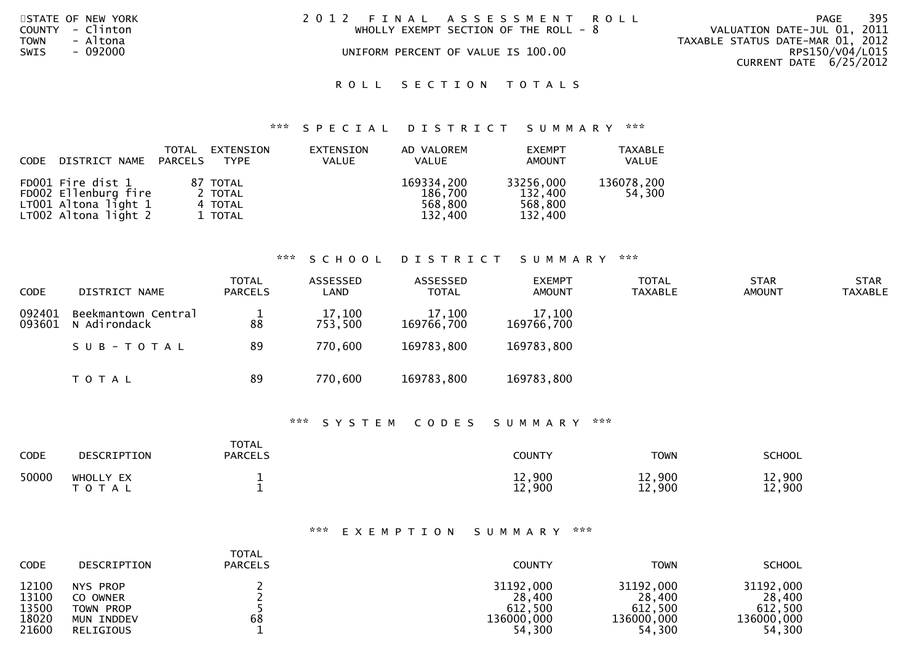| STATE OF NEW YORK       | 2012 FINAL ASSESSMENT ROLL              | - 395<br>PAGE                    |
|-------------------------|-----------------------------------------|----------------------------------|
| COUNTY - Clinton        | WHOLLY EXEMPT SECTION OF THE ROLL - $8$ | VALUATION DATE-JUL 01, 2011      |
| <b>TOWN</b><br>- Altona |                                         | TAXABLE STATUS DATE-MAR 01, 2012 |
| <b>SWIS</b><br>- 092000 | UNIFORM PERCENT OF VALUE IS 100.00      | RPS150/V04/L015                  |
|                         |                                         | CURRENT DATE 6/25/2012           |
|                         | ROLL SECTION TOTALS                     |                                  |

## \*\*\* S P E C I A L D I S T R I C T S U M M A R Y \*\*\*

| CODE | DISTRICT NAME                                                                             | TOTAL<br>PARCELS | EXTENSION<br>TYPE                         | EXTENSION<br>VALUE | AD VALOREM<br><b>VALUE</b>                  | <b>EXEMPT</b><br>AMOUNT                    | <b>TAXABLE</b><br>VALUE |
|------|-------------------------------------------------------------------------------------------|------------------|-------------------------------------------|--------------------|---------------------------------------------|--------------------------------------------|-------------------------|
|      | FD001 Fire dist 1<br>FD002 Ellenburg fire<br>LT001 Altona light 1<br>LT002 Altona light 2 |                  | 87 TOTAL<br>2 TOTAL<br>4 TOTAL<br>1 TOTAL |                    | 169334,200<br>186,700<br>568,800<br>132.400 | 33256,000<br>132,400<br>568,800<br>132,400 | 136078,200<br>54,300    |

# \*\*\* S C H O O L D I S T R I C T S U M M A R Y \*\*\*

| <b>CODE</b>      | DISTRICT NAME                       | <b>TOTAL</b><br><b>PARCELS</b> | ASSESSED<br>LAND  | ASSESSED<br><b>TOTAL</b> | <b>EXEMPT</b><br><b>AMOUNT</b> | <b>TOTAL</b><br><b>TAXABLE</b> | <b>STAR</b><br><b>AMOUNT</b> | <b>STAR</b><br><b>TAXABLE</b> |
|------------------|-------------------------------------|--------------------------------|-------------------|--------------------------|--------------------------------|--------------------------------|------------------------------|-------------------------------|
| 092401<br>093601 | Beekmantown Central<br>N Adirondack | 88                             | 17,100<br>753,500 | 17,100<br>169766,700     | 17,100<br>169766,700           |                                |                              |                               |
|                  | SUB-TOTAL                           | 89                             | 770,600           | 169783,800               | 169783,800                     |                                |                              |                               |
|                  | <b>TOTAL</b>                        | 89                             | 770,600           | 169783,800               | 169783,800                     |                                |                              |                               |

## \*\*\* S Y S T E M C O D E S S U M M A R Y \*\*\*

| CODE  | DESCRIPTION               | <b>TOTAL</b><br><b>PARCELS</b> | <b>COUNTY</b>    | <b>TOWN</b>      | <b>SCHOOL</b>    |
|-------|---------------------------|--------------------------------|------------------|------------------|------------------|
| 50000 | WHOLLY EX<br><b>TOTAL</b> |                                | 12,900<br>12,900 | 12,900<br>12,900 | 12,900<br>12,900 |

## \*\*\* E X E M P T I O N S U M M A R Y \*\*\*

| <b>CODE</b> | DESCRIPTION | <b>TOTAL</b><br><b>PARCELS</b> | <b>COUNTY</b> | <b>TOWN</b> | <b>SCHOOL</b> |
|-------------|-------------|--------------------------------|---------------|-------------|---------------|
| 12100       | NYS PROP    | 68                             | 31192,000     | 31192,000   | 31192,000     |
| 13100       | CO OWNER    |                                | 28,400        | 28,400      | 28,400        |
| 13500       | TOWN PROP   |                                | 612.500       | 612,500     | 612,500       |
| 18020       | MUN INDDEV  |                                | 136000,000    | 136000,000  | 136000,000    |
| 21600       | RELIGIOUS   |                                | 54,300        | 54,300      | 54,300        |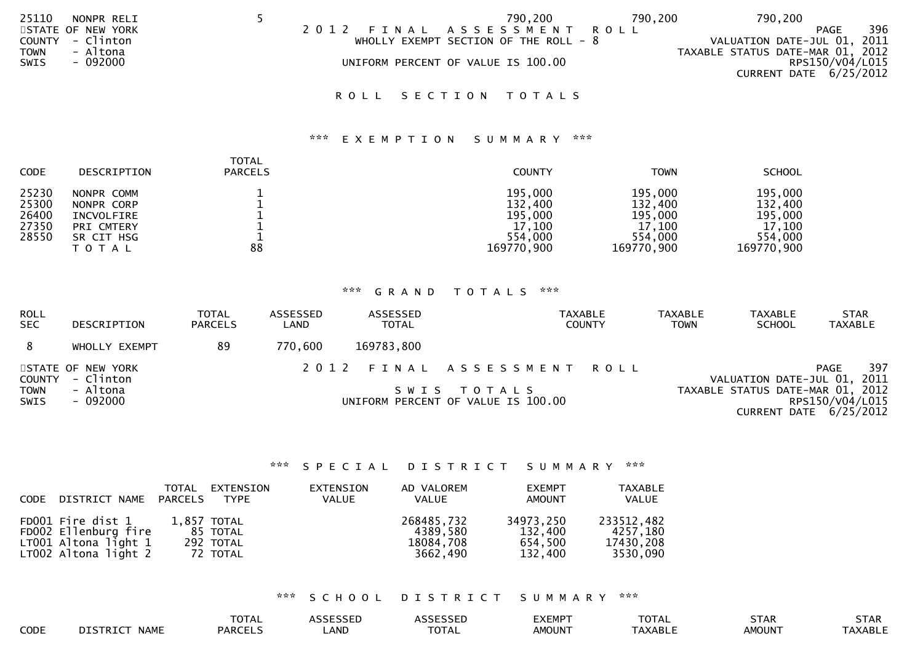| 25110       | NONPR RELI        |      | 790,200                                | 790,200 | 790,200                          |     |
|-------------|-------------------|------|----------------------------------------|---------|----------------------------------|-----|
|             | STATE OF NEW YORK | 2012 | FINAL ASSESSMENT ROLL                  |         | <b>PAGE</b>                      | 396 |
|             | COUNTY - Clinton  |      | WHOLLY EXEMPT SECTION OF THE ROLL $-8$ |         | VALUATION DATE-JUL 01, 2011      |     |
| <b>TOWN</b> | - Altona          |      |                                        |         | TAXABLE STATUS DATE-MAR 01, 2012 |     |
| SWIS        | - 092000          |      | UNIFORM PERCENT OF VALUE IS 100.00     |         | RPS150/V04/L015                  |     |
|             |                   |      |                                        |         | CURRENT DATE 6/25/2012           |     |
|             |                   |      |                                        |         |                                  |     |

# ROLL SECTION TOTALS

## \*\*\* E X E M P T I O N S U M M A R Y \*\*\*

| <b>CODE</b>                               | <b>DESCRIPTION</b>                                                                        | TOTAL<br><b>PARCELS</b> | <b>COUNTY</b>                                                    | <b>TOWN</b>                                                      | <b>SCHOOL</b>                                                    |
|-------------------------------------------|-------------------------------------------------------------------------------------------|-------------------------|------------------------------------------------------------------|------------------------------------------------------------------|------------------------------------------------------------------|
| 25230<br>25300<br>26400<br>27350<br>28550 | NONPR COMM<br>NONPR CORP<br>INCVOLFIRE<br><b>PRI CMTERY</b><br>SR CIT HSG<br><b>TOTAL</b> | 88                      | 195,000<br>132,400<br>195,000<br>17,100<br>554,000<br>169770,900 | 195,000<br>132,400<br>195,000<br>17,100<br>554,000<br>169770,900 | 195,000<br>132,400<br>195,000<br>17,100<br>554,000<br>169770,900 |

# \*\*\* G R A N D T O T A L S \*\*\*

| <b>ROLL</b><br><b>SEC</b> | DESCRIPTION                    | <b>TOTAL</b><br><b>PARCELS</b> | ASSESSED<br>LAND | ASSESSED<br><b>TOTAL</b> | TAXABLE<br><b>COUNTY</b>                          | <b>TAXABLE</b><br><b>TOWN</b> | <b>TAXABLE</b><br><b>SCHOOL</b>  | <b>STAR</b><br><b>TAXABLE</b>               |
|---------------------------|--------------------------------|--------------------------------|------------------|--------------------------|---------------------------------------------------|-------------------------------|----------------------------------|---------------------------------------------|
| 8                         | WHOLLY EXEMPT                  | 89                             | 770,600          | 169783,800               |                                                   |                               |                                  |                                             |
| <b>COUNTY</b>             | STATE OF NEW YORK<br>- Clinton |                                |                  |                          | 2012 FINAL ASSESSMENT ROLL                        |                               | VALUATION DATE-JUL 01, 2011      | 397<br>PAGE                                 |
| TOWN<br><b>SWIS</b>       | - Altona<br>- 092000           |                                |                  |                          | SWIS TOTALS<br>UNIFORM PERCENT OF VALUE IS 100.00 |                               | TAXABLE STATUS DATE-MAR 01, 2012 | RPS150/V04/L015<br>CURRENT DATE $6/25/2012$ |

### \*\*\* S P E C I A L D I S T R I C T S U M M A R Y \*\*\*

| CODE DISTRICT NAME PARCELS                                                                  | TOTAL       | EXTENSION<br><b>TYPE</b>          | EXTENSION<br>VALUE | AD VALOREM<br>VALUE                             | <b>EXEMPT</b><br><b>AMOUNT</b>             | <b>TAXABLE</b><br>VALUE                         |
|---------------------------------------------------------------------------------------------|-------------|-----------------------------------|--------------------|-------------------------------------------------|--------------------------------------------|-------------------------------------------------|
| FD001 Fire dist 1<br>FD002 Ellenburg fire<br>$LT001$ Altona light 1<br>LT002 Altona light 2 | 1,857 TOTAL | 85 TOTAL<br>292 TOTAL<br>72 TOTAL |                    | 268485,732<br>4389.580<br>18084,708<br>3662.490 | 34973,250<br>132,400<br>654.500<br>132,400 | 233512,482<br>4257,180<br>17430,208<br>3530,090 |

\*\*\* S C H O O L D I S T R I C T S U M M A R Y \*\*\*

|      |                         | <b>TOTAL</b>   | <b><i>SSESSED</i></b> | $\sim$ $\sim$ $\sim$ $\sim$ $\sim$ $\sim$ $\sim$<br>SSED<br><b>ANNF</b> | <b>EXEMPT</b> | <b>TOTAL</b>        | <b>STAR</b>   | <b>STAR</b>         |
|------|-------------------------|----------------|-----------------------|-------------------------------------------------------------------------|---------------|---------------------|---------------|---------------------|
| CODE | DISTRICT<br><b>NAME</b> | <b>PARCELS</b> | LAND                  | $T\cap T$<br><b>UIAL</b>                                                | <b>AMOUNT</b> | <sup>-</sup> AXABLE | <b>AMOUNT</b> | <sup>-</sup> AXABLE |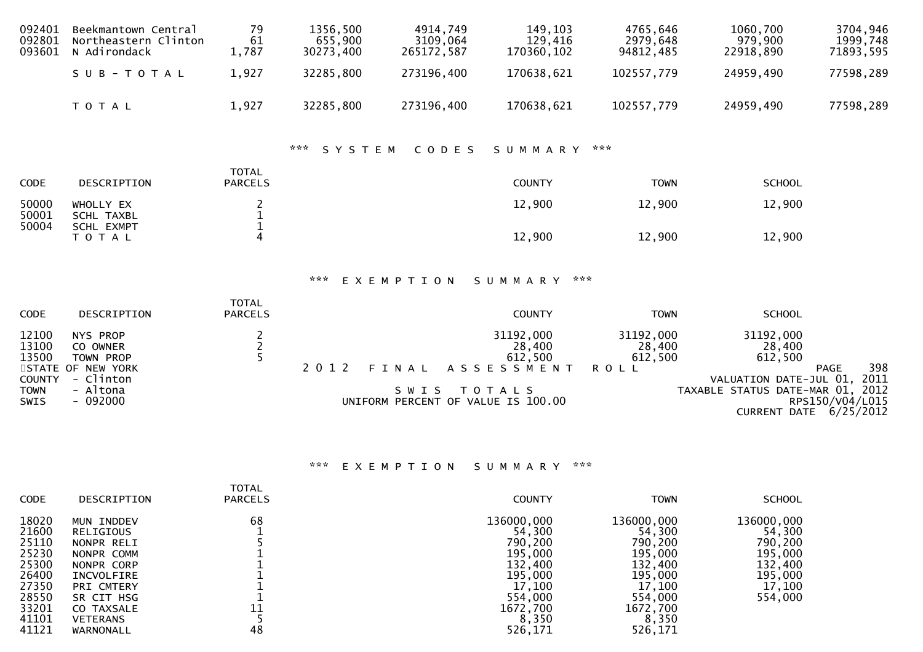| 092401<br>092801<br>093601                                      | Beekmantown Central<br>Northeastern Clinton<br>N Adirondack                                  | 79<br>61<br>1,787                          | 1356,500<br>655,900<br>30273,400 | 4914,749<br>3109,064<br>265172,587                  | 149,103<br>129,416<br>170360,102                            | 4765,646<br>2979,648<br>94812,485             | 1060,700<br>979,900<br>22918,890                                                                               | 3704,946<br>1999,748<br>71893,595                                  |
|-----------------------------------------------------------------|----------------------------------------------------------------------------------------------|--------------------------------------------|----------------------------------|-----------------------------------------------------|-------------------------------------------------------------|-----------------------------------------------|----------------------------------------------------------------------------------------------------------------|--------------------------------------------------------------------|
|                                                                 | SUB-TOTAL                                                                                    | 1,927                                      | 32285,800                        | 273196,400                                          | 170638,621                                                  | 102557,779                                    | 24959,490                                                                                                      | 77598,289                                                          |
|                                                                 | TOTAL                                                                                        | 1,927                                      | 32285,800                        | 273196,400                                          | 170638,621                                                  | 102557,779                                    | 24959,490                                                                                                      | 77598,289                                                          |
|                                                                 |                                                                                              |                                            | ***<br>SYSTEM                    | CODES                                               | SUMMARY                                                     | $\star \star \star$                           |                                                                                                                |                                                                    |
| CODE                                                            | DESCRIPTION                                                                                  | <b>TOTAL</b><br><b>PARCELS</b>             |                                  |                                                     | <b>COUNTY</b>                                               | <b>TOWN</b>                                   | <b>SCHOOL</b>                                                                                                  |                                                                    |
| 50000<br>50001<br>50004                                         | WHOLLY EX<br><b>SCHL TAXBL</b><br><b>SCHL EXMPT</b>                                          | 2<br>$\frac{1}{1}$                         |                                  |                                                     | 12,900                                                      | 12,900                                        | 12,900                                                                                                         |                                                                    |
|                                                                 | TOTAL                                                                                        | 4                                          |                                  |                                                     | 12,900                                                      | 12,900                                        | 12,900                                                                                                         |                                                                    |
|                                                                 |                                                                                              |                                            | ***                              | EXEMPTION                                           | SUMMARY                                                     | ***                                           |                                                                                                                |                                                                    |
| CODE                                                            | DESCRIPTION                                                                                  | <b>TOTAL</b><br><b>PARCELS</b>             |                                  |                                                     | <b>COUNTY</b>                                               | <b>TOWN</b>                                   | <b>SCHOOL</b>                                                                                                  |                                                                    |
| 12100<br>13100<br>13500<br>COUNTY<br><b>TOWN</b><br><b>SWIS</b> | NYS PROP<br>CO OWNER<br>TOWN PROP<br>STATE OF NEW YORK<br>- Clinton<br>- Altona<br>$-092000$ | $\begin{array}{c} 2 \\ 2 \\ 5 \end{array}$ | 2 0 1 2                          | FINAL<br>SWIS<br>UNIFORM PERCENT OF VALUE IS 100.00 | 31192,000<br>28,400<br>612,500<br>ASSESSMENT<br>T O T A L S | 31192,000<br>28,400<br>612,500<br><b>ROLL</b> | 31192,000<br>28,400<br>612,500<br>VALUATION DATE-JUL 01,<br>TAXABLE STATUS DATE-MAR 01,<br><b>CURRENT DATE</b> | 398<br><b>PAGE</b><br>2011<br>2012<br>RPS150/V04/L015<br>6/25/2012 |

# \*\*\* E X E M P T I O N S U M M A R Y \*\*\*

| <b>CODE</b>                                        | DESCRIPTION                                                                   | <b>TOTAL</b><br><b>PARCELS</b> | <b>COUNTY</b>                                                | <b>TOWN</b>                                                  | <b>SCHOOL</b>                                         |
|----------------------------------------------------|-------------------------------------------------------------------------------|--------------------------------|--------------------------------------------------------------|--------------------------------------------------------------|-------------------------------------------------------|
| 18020<br>21600<br>25110<br>25230<br>25300          | MUN INDDEV<br>RELIGIOUS<br>NONPR RELI<br>NONPR COMM<br>NONPR CORP             | 68                             | 136000,000<br>54,300<br>790,200<br>195,000<br>132,400        | 136000,000<br>54,300<br>790,200<br>195,000<br>132,400        | 136000,000<br>54,300<br>790,200<br>195,000<br>132,400 |
| 26400<br>27350<br>28550<br>33201<br>41101<br>41121 | INCVOLFIRE<br>PRI CMTERY<br>SR CIT HSG<br>CO TAXSALE<br>VETERANS<br>WARNONALL | 11<br>48                       | 195,000<br>17,100<br>554,000<br>1672,700<br>8,350<br>526,171 | 195,000<br>17,100<br>554,000<br>1672,700<br>8,350<br>526,171 | 195,000<br>17,100<br>554,000                          |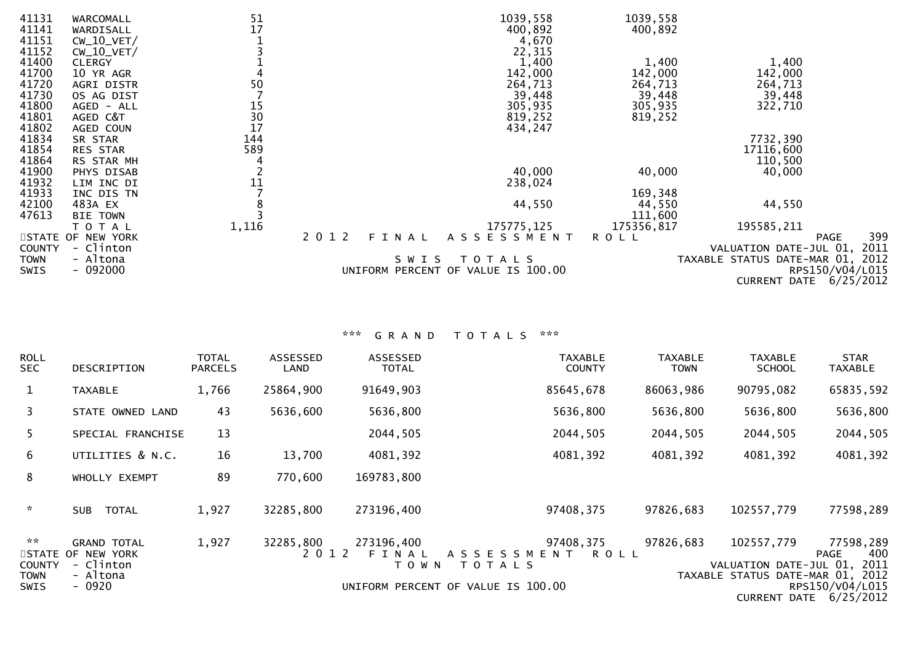| 41131         | WARCOMALL             | 51             | 1039,558                           |             | 1039,558   |                                  |                 |
|---------------|-----------------------|----------------|------------------------------------|-------------|------------|----------------------------------|-----------------|
| 41141         | WARDISALL             | 17             | 400,892                            |             | 400,892    |                                  |                 |
| 41151         | $CW_10_VET/$          |                |                                    | 4,670       |            |                                  |                 |
| 41152         | $CW_10_VET/$          |                |                                    | 22,315      |            |                                  |                 |
| 41400         | <b>CLERGY</b>         |                |                                    | 1,400       | 1,400      | 1,400                            |                 |
| 41700         | 10 YR AGR             |                | 142,000                            |             | 142,000    | 142,000                          |                 |
| 41720         | AGRI DISTR            | 50             | 264,713                            |             | 264,713    | 264,713                          |                 |
| 41730         | OS AG DIST            |                |                                    | 39,448      | 39,448     | 39,448                           |                 |
| 41800         | AGED - ALL            |                | 305,935                            |             | 305,935    | 322,710                          |                 |
| 41801         | AGED C&T              |                | 819,252                            |             | 819,252    |                                  |                 |
| 41802         | AGED COUN             | 15<br>30<br>17 | 434,247                            |             |            |                                  |                 |
| 41834         | SR STAR               | 144            |                                    |             |            | 7732,390                         |                 |
| 41854         | RES STAR              | 589            |                                    |             |            | 17116,600                        |                 |
| 41864         | RS STAR MH            |                |                                    |             |            | 110,500                          |                 |
| 41900         | PHYS DISAB            |                |                                    | 40,000      | 40,000     | 40,000                           |                 |
| 41932         | LIM INC DI            | 11             | 238,024                            |             |            |                                  |                 |
| 41933         |                       |                |                                    |             | 169,348    |                                  |                 |
|               | INC DIS TN<br>483A EX |                |                                    |             |            | 44,550                           |                 |
| 42100         |                       |                |                                    | 44,550      | 44,550     |                                  |                 |
| 47613         | <b>TOWN</b><br>BIE    |                |                                    |             | 111,600    |                                  |                 |
|               | T O T A L             | 1,116          | 175775,125                         |             | 175356,817 | 195585,211                       |                 |
|               | STATE OF NEW YORK     |                | 2 0 1 2<br>FINAL<br>ASSESSMENT     | <b>ROLL</b> |            |                                  | 399<br>PAGE     |
| <b>COUNTY</b> | - Clinton             |                |                                    |             |            | VALUATION DATE-JUL 01, 2011      |                 |
| TOWN          | - Altona              |                | SWIS<br>T O T A L S                |             |            | TAXABLE STATUS DATE-MAR 01, 2012 |                 |
| <b>SWIS</b>   | $-092000$             |                | UNIFORM PERCENT OF VALUE IS 100.00 |             |            |                                  | RPS150/V04/L015 |
|               |                       |                |                                    |             |            | CURRENT DATE                     | 6/25/2012       |

| <b>ROLL</b><br><b>SEC</b>                               | <b>DESCRIPTION</b>                                                          | <b>TOTAL</b><br><b>PARCELS</b> | ASSESSED<br>LAND     | ASSESSED<br><b>TOTAL</b>       | <b>TAXABLE</b><br><b>COUNTY</b>                                                                        | <b>TAXABLE</b><br><b>TOWN</b> | <b>TAXABLE</b><br><b>SCHOOL</b>                                          | <b>STAR</b><br><b>TAXABLE</b>                                                 |
|---------------------------------------------------------|-----------------------------------------------------------------------------|--------------------------------|----------------------|--------------------------------|--------------------------------------------------------------------------------------------------------|-------------------------------|--------------------------------------------------------------------------|-------------------------------------------------------------------------------|
| $\mathbf{1}$                                            | <b>TAXABLE</b>                                                              | 1,766                          | 25864,900            | 91649,903                      | 85645,678                                                                                              | 86063,986                     | 90795,082                                                                | 65835,592                                                                     |
| 3                                                       | STATE OWNED LAND                                                            | 43                             | 5636,600             | 5636,800                       | 5636,800                                                                                               | 5636,800                      | 5636,800                                                                 | 5636,800                                                                      |
| 5.                                                      | SPECIAL FRANCHISE                                                           | 13                             |                      | 2044,505                       | 2044,505                                                                                               | 2044,505                      | 2044,505                                                                 | 2044,505                                                                      |
| 6                                                       | UTILITIES & N.C.                                                            | 16                             | 13,700               | 4081,392                       | 4081,392                                                                                               | 4081,392                      | 4081,392                                                                 | 4081,392                                                                      |
| 8                                                       | WHOLLY EXEMPT                                                               | 89                             | 770,600              | 169783,800                     |                                                                                                        |                               |                                                                          |                                                                               |
| $\sim$                                                  | <b>SUB</b><br>TOTAL                                                         | 1,927                          | 32285,800            | 273196,400                     | 97408,375                                                                                              | 97826,683                     | 102557,779                                                               | 77598,289                                                                     |
| $\sim$ $\times$<br><b>COUNTY</b><br><b>TOWN</b><br>SWIS | <b>GRAND TOTAL</b><br>STATE OF NEW YORK<br>- Clinton<br>- Altona<br>$-0920$ | 1,927                          | 32285,800<br>2 0 1 2 | 273196,400<br>FINAL<br>T O W N | 97408,375<br>A S S E S S M E N T<br><b>ROLL</b><br><b>TOTALS</b><br>UNIFORM PERCENT OF VALUE IS 100.00 | 97826,683                     | 102557,779<br>VALUATION DATE-JUL 01,<br>TAXABLE STATUS DATE-MAR 01, 2012 | 77598,289<br>400<br>PAGE<br>2011<br>RPS150/V04/L015<br>CURRENT DATE 6/25/2012 |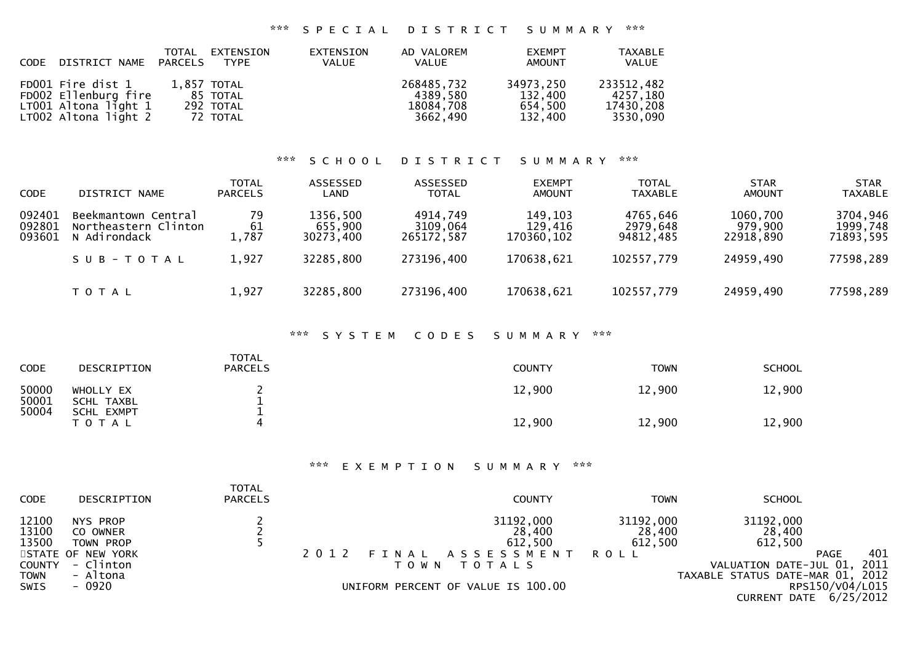### \*\*\* S P E C I A L D I S T R I C T S U M M A R Y \*\*\*

| CODE DISTRICT NAME PARCELS                                                                | TOTAL EXTENSION<br><b>TYPE</b>                   | EXTENSION<br>VALUE | AD VALOREM<br><b>VALUE</b>                      | <b>EXEMPT</b><br><b>AMOUNT</b>             | <b>TAXABLE</b><br>VALUE                         |
|-------------------------------------------------------------------------------------------|--------------------------------------------------|--------------------|-------------------------------------------------|--------------------------------------------|-------------------------------------------------|
| FD001 Fire dist 1<br>FD002 Ellenburg fire<br>LT001 Altona light 1<br>LT002 Altona light 2 | 1,857 TOTAL<br>85 TOTAL<br>292 TOTAL<br>72 TOTAL |                    | 268485,732<br>4389.580<br>18084,708<br>3662.490 | 34973,250<br>132,400<br>654.500<br>132.400 | 233512,482<br>4257,180<br>17430,208<br>3530,090 |

## \*\*\* S C H O O L D I S T R I C T S U M M A R Y \*\*\*

| CODE                       | DISTRICT NAME                                               | <b>TOTAL</b><br><b>PARCELS</b> | ASSESSED<br>LAND                 | ASSESSED<br><b>TOTAL</b>           | <b>EXEMPT</b><br>AMOUNT          | <b>TOTAL</b><br><b>TAXABLE</b>    | <b>STAR</b><br><b>AMOUNT</b>     | <b>STAR</b><br><b>TAXABLE</b>     |
|----------------------------|-------------------------------------------------------------|--------------------------------|----------------------------------|------------------------------------|----------------------------------|-----------------------------------|----------------------------------|-----------------------------------|
| 092401<br>092801<br>093601 | Beekmantown Central<br>Northeastern Clinton<br>N Adirondack | 79<br>61<br>1,787              | 1356,500<br>655,900<br>30273,400 | 4914,749<br>3109,064<br>265172.587 | 149,103<br>129,416<br>170360,102 | 4765,646<br>2979,648<br>94812.485 | 1060,700<br>979,900<br>22918.890 | 3704,946<br>1999,748<br>71893,595 |
|                            | SUB-TOTAL                                                   | 1,927                          | 32285,800                        | 273196,400                         | 170638,621                       | 102557,779                        | 24959,490                        | 77598,289                         |
|                            | T O T A L                                                   | 1,927                          | 32285,800                        | 273196,400                         | 170638,621                       | 102557,779                        | 24959,490                        | 77598,289                         |

## \*\*\* S Y S T E M C O D E S S U M M A R Y \*\*\*

| <b>CODE</b>    | DESCRIPTION                    | <b>TOTAL</b><br><b>PARCELS</b> | COUNTY | <b>TOWN</b> | <b>SCHOOL</b> |
|----------------|--------------------------------|--------------------------------|--------|-------------|---------------|
| 50000<br>50001 | WHOLLY EX<br>SCHL TAXBL        |                                | 12,900 | 12,900      | 12,900        |
| 50004          | <b>SCHL EXMPT</b><br>T O T A L |                                | 12,900 | 12,900      | 12,900        |

\*\*\* E X E M P T I O N S U M M A R Y \*\*\*

| <b>CODE</b>    | DESCRIPTION          | <b>TOTAL</b><br><b>PARCELS</b> |      |         | <b>COUNTY</b>                      | TOWN                | <b>SCHOOL</b>                    |                                   |
|----------------|----------------------|--------------------------------|------|---------|------------------------------------|---------------------|----------------------------------|-----------------------------------|
| 12100<br>13100 | NYS PROP<br>CO OWNER |                                |      |         | 31192,000<br>28,400                | 31192,000<br>28,400 | 31192,000<br>28,400              |                                   |
| 13500          | TOWN PROP            |                                |      |         | 612,500                            | 612,500             | 612,500                          |                                   |
|                | STATE OF NEW YORK    |                                | 2012 |         | FINAL ASSESSMENT                   | ROLL                |                                  | 401<br>PAGE                       |
| <b>COUNTY</b>  | - Clinton            |                                |      | T O W N | T O T A L S                        |                     | VALUATION DATE-JUL 01, 2011      |                                   |
| <b>TOWN</b>    | - Altona             |                                |      |         |                                    |                     | TAXABLE STATUS DATE-MAR 01, 2012 |                                   |
| <b>SWIS</b>    | - 0920               |                                |      |         | UNIFORM PERCENT OF VALUE IS 100.00 |                     |                                  | RPS150/V04/L015                   |
|                |                      |                                |      |         |                                    |                     |                                  | $CIDDENT$ $MTE$ $\hat{A}/25/2012$ |

CURRENT DATE 6/25/2012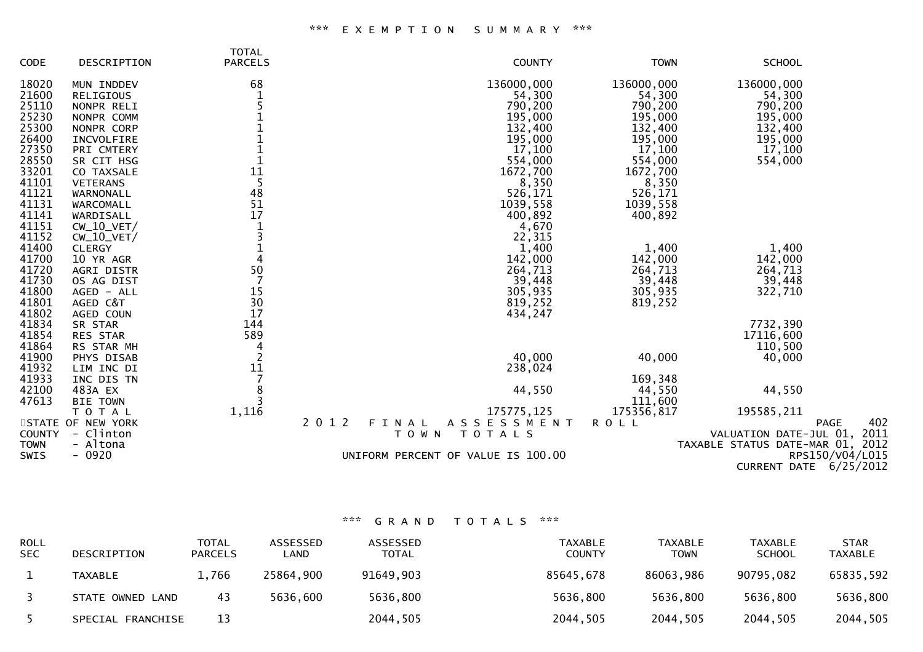|               |                   | <b>TOTAL</b>   |                                    |             |                                  |
|---------------|-------------------|----------------|------------------------------------|-------------|----------------------------------|
| <b>CODE</b>   | DESCRIPTION       | <b>PARCELS</b> | <b>COUNTY</b>                      | <b>TOWN</b> | <b>SCHOOL</b>                    |
| 18020         | MUN INDDEV        | 68             | 136000,000                         | 136000,000  | 136000,000                       |
| 21600         | RELIGIOUS         | 1              | 54,300                             | 54,300      | 54,300                           |
| 25110         | NONPR RELI        |                | 790,200                            | 790,200     | 790,200                          |
| 25230         | NONPR COMM        |                | 195,000                            | 195,000     | 195,000                          |
| 25300         | NONPR CORP        |                | 132,400                            | 132,400     | 132,400                          |
| 26400         | INCVOLFIRE        |                | 195,000                            | 195,000     | 195,000                          |
| 27350         | PRI CMTERY        |                | 17,100                             | 17,100      | 17,100                           |
| 28550         | SR CIT HSG        |                | 554,000                            | 554,000     | 554,000                          |
| 33201         | CO TAXSALE        | 11             | 1672,700                           | 1672,700    |                                  |
| 41101         | <b>VETERANS</b>   | 5              | 8,350                              | 8,350       |                                  |
| 41121         | WARNONALL         | 48             | 526,171                            | 526,171     |                                  |
| 41131         | WARCOMALL         | 51             | 1039,558                           | 1039,558    |                                  |
| 41141         | WARDISALL         | 17             | 400,892                            | 400,892     |                                  |
| 41151         | $CW_10_VET/$      |                | 4,670                              |             |                                  |
| 41152         | $CW_10_VET/$      | 3              | 22,315                             |             |                                  |
| 41400         | <b>CLERGY</b>     |                | 1,400                              | 1,400       | 1,400                            |
| 41700         | 10 YR AGR         | 4              | 142,000                            | 142,000     | 142,000                          |
| 41720         | AGRI DISTR        | 50             | 264,713                            | 264,713     | 264,713                          |
| 41730         | OS AG DIST        |                | 39,448                             | 39,448      | 39,448                           |
| 41800         | AGED - ALL        | 15             | 305,935                            | 305,935     | 322,710                          |
| 41801         | AGED C&T          | 30             | 819,252                            | 819,252     |                                  |
| 41802         | AGED COUN         | 17             | 434,247                            |             |                                  |
| 41834         | SR STAR           | 144            |                                    |             | 7732,390                         |
| 41854         | RES STAR          | 589            |                                    |             | 17116,600                        |
| 41864         | RS STAR MH        | 4              |                                    |             | 110,500                          |
| 41900         | PHYS DISAB        |                | 40,000                             | 40,000      | 40,000                           |
| 41932         | LIM INC DI        | 11             | 238,024                            |             |                                  |
| 41933         | INC DIS TN        |                |                                    | 169,348     |                                  |
| 42100         | 483A EX           | 8              | 44,550                             | 44,550      | 44,550                           |
| 47613         | <b>BIE TOWN</b>   |                |                                    | 111,600     |                                  |
|               | TOTAL             | 1,116          | 175775, 125                        | 175356,817  | 195585,211                       |
|               | STATE OF NEW YORK |                | 2 0 1 2<br>ASSESSMENT<br>FINAL     | <b>ROLL</b> | 402<br><b>PAGE</b>               |
| <b>COUNTY</b> | - Clinton         |                | TOTALS<br>T O W N                  |             | VALUATION DATE-JUL 01, 2011      |
| <b>TOWN</b>   | - Altona          |                |                                    |             | TAXABLE STATUS DATE-MAR 01, 2012 |
| SWIS          | $-0920$           |                | UNIFORM PERCENT OF VALUE IS 100.00 |             | RPS150/V04/L015                  |
|               |                   |                |                                    |             | 6/25/2012<br><b>CURRENT DATE</b> |
|               |                   |                |                                    |             |                                  |

| <b>ROLL</b><br><b>SEC</b> | DESCRIPTION       | TOTAL<br><b>PARCELS</b> | ASSESSED<br>∟AND | ASSESSED<br>TOTAL | TAXABLE<br><b>COUNTY</b> | TAXABLE<br><b>TOWN</b> | <b>TAXABLE</b><br><b>SCHOOL</b> | <b>STAR</b><br>TAXABLE |
|---------------------------|-------------------|-------------------------|------------------|-------------------|--------------------------|------------------------|---------------------------------|------------------------|
|                           | TAXABLE           | 1,766                   | 25864,900        | 91649,903         | 85645,678                | 86063,986              | 90795,082                       | 65835,592              |
|                           | STATE OWNED LAND  | 43                      | 5636,600         | 5636,800          | 5636,800                 | 5636,800               | 5636,800                        | 5636,800               |
|                           | SPECIAL FRANCHISE | 13                      |                  | 2044,505          | 2044,505                 | 2044,505               | 2044,505                        | 2044,505               |